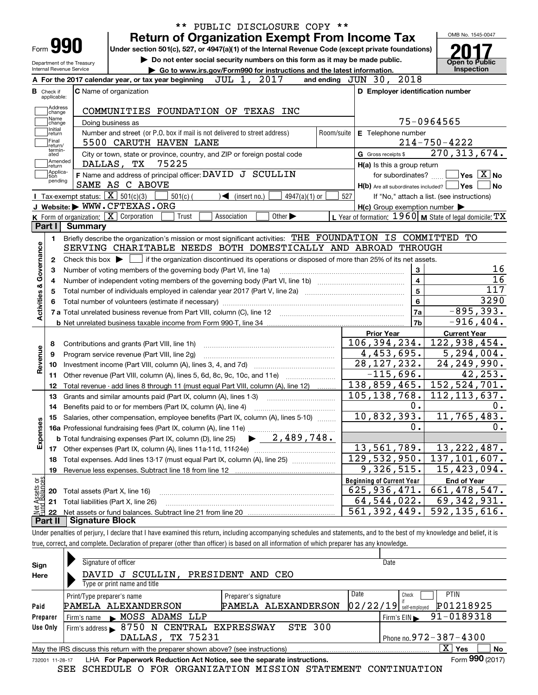|                                                                                  |                                                        |                                                   |                                                                                                                                                                          |                                   |                                                                                                                                                |                         |     |                     |                                  |                                                           |                                                      | OMB No. 1545-0047                   |
|----------------------------------------------------------------------------------|--------------------------------------------------------|---------------------------------------------------|--------------------------------------------------------------------------------------------------------------------------------------------------------------------------|-----------------------------------|------------------------------------------------------------------------------------------------------------------------------------------------|-------------------------|-----|---------------------|----------------------------------|-----------------------------------------------------------|------------------------------------------------------|-------------------------------------|
| Form <b>990</b>                                                                  |                                                        |                                                   | <b>Return of Organization Exempt From Income Tax</b>                                                                                                                     |                                   |                                                                                                                                                |                         |     |                     |                                  |                                                           |                                                      |                                     |
|                                                                                  |                                                        |                                                   | Under section 501(c), 527, or 4947(a)(1) of the Internal Revenue Code (except private foundations)                                                                       |                                   |                                                                                                                                                |                         |     |                     |                                  |                                                           |                                                      |                                     |
|                                                                                  | Department of the Treasury<br>Internal Revenue Service |                                                   | Do not enter social security numbers on this form as it may be made public.                                                                                              |                                   |                                                                                                                                                |                         |     |                     |                                  |                                                           | Open to Public<br>Inspection                         |                                     |
|                                                                                  |                                                        |                                                   | Go to www.irs.gov/Form990 for instructions and the latest information.<br>A For the 2017 calendar year, or tax year beginning                                            | JUL 1, 2017                       |                                                                                                                                                | and ending JUN 30, 2018 |     |                     |                                  |                                                           |                                                      |                                     |
| <b>B</b> Check if                                                                |                                                        | C Name of organization                            |                                                                                                                                                                          |                                   |                                                                                                                                                |                         |     |                     |                                  | D Employer identification number                          |                                                      |                                     |
| applicable:                                                                      |                                                        |                                                   |                                                                                                                                                                          |                                   |                                                                                                                                                |                         |     |                     |                                  |                                                           |                                                      |                                     |
| Address<br>change                                                                |                                                        |                                                   | COMMUNITIES FOUNDATION OF TEXAS INC                                                                                                                                      |                                   |                                                                                                                                                |                         |     |                     |                                  |                                                           |                                                      |                                     |
| Name<br>change                                                                   |                                                        | Doing business as                                 |                                                                                                                                                                          |                                   |                                                                                                                                                |                         |     |                     |                                  | 75-0964565                                                |                                                      |                                     |
| Initial<br>return                                                                |                                                        |                                                   | Number and street (or P.O. box if mail is not delivered to street address)                                                                                               |                                   |                                                                                                                                                | Room/suite              |     |                     | E Telephone number               |                                                           |                                                      |                                     |
| Final<br>return/                                                                 |                                                        |                                                   | 5500 CARUTH HAVEN LANE                                                                                                                                                   |                                   |                                                                                                                                                |                         |     |                     |                                  | $214 - 750 - 4222$                                        |                                                      |                                     |
| termin-<br>ated                                                                  |                                                        |                                                   | City or town, state or province, country, and ZIP or foreign postal code                                                                                                 |                                   |                                                                                                                                                |                         |     | G Gross receipts \$ |                                  | 270, 313, 674.                                            |                                                      |                                     |
| Amended<br> return                                                               |                                                        | DALLAS, TX                                        | 75225                                                                                                                                                                    |                                   |                                                                                                                                                |                         |     |                     | H(a) Is this a group return      |                                                           |                                                      |                                     |
| Applica-<br>tion<br>pending                                                      |                                                        |                                                   | F Name and address of principal officer: DAVID J SCULLIN                                                                                                                 |                                   |                                                                                                                                                |                         |     |                     | for subordinates?                |                                                           | $\overline{\mathsf{Yes}}$ $\overline{\mathsf{X}}$ No |                                     |
|                                                                                  |                                                        | SAME AS C ABOVE                                   |                                                                                                                                                                          |                                   |                                                                                                                                                |                         |     |                     |                                  | $H(b)$ Are all subordinates included? $\Box$ Yes          |                                                      | ∣No                                 |
|                                                                                  |                                                        | Tax-exempt status: $\boxed{\mathbf{X}}$ 501(c)(3) | $501(c)$ (                                                                                                                                                               | $\blacktriangleleft$ (insert no.) | 4947(a)(1) or                                                                                                                                  |                         | 527 |                     |                                  | If "No," attach a list. (see instructions)                |                                                      |                                     |
|                                                                                  |                                                        | J Website: WWW.CFTEXAS.ORG                        |                                                                                                                                                                          |                                   |                                                                                                                                                |                         |     |                     |                                  | $H(c)$ Group exemption number $\blacktriangleright$       |                                                      |                                     |
|                                                                                  |                                                        | K Form of organization: X Corporation             | Trust                                                                                                                                                                    | Association                       | Other $\blacktriangleright$                                                                                                                    |                         |     |                     |                                  | L Year of formation: $1960$ M State of legal domicile: TX |                                                      |                                     |
| Part I                                                                           | Summary                                                |                                                   |                                                                                                                                                                          |                                   |                                                                                                                                                |                         |     |                     |                                  |                                                           |                                                      |                                     |
| 1.                                                                               |                                                        |                                                   | Briefly describe the organization's mission or most significant activities: THE FOUNDATION IS COMMITTED<br>SERVING CHARITABLE NEEDS BOTH DOMESTICALLY AND ABROAD THROUGH |                                   |                                                                                                                                                |                         |     |                     |                                  |                                                           | TО                                                   |                                     |
| 2                                                                                |                                                        |                                                   |                                                                                                                                                                          |                                   |                                                                                                                                                |                         |     |                     |                                  |                                                           |                                                      |                                     |
|                                                                                  |                                                        |                                                   |                                                                                                                                                                          |                                   |                                                                                                                                                |                         |     |                     |                                  |                                                           |                                                      |                                     |
|                                                                                  |                                                        |                                                   |                                                                                                                                                                          |                                   | Check this box $\triangleright$ $\blacksquare$ if the organization discontinued its operations or disposed of more than 25% of its net assets. |                         |     |                     |                                  |                                                           |                                                      |                                     |
| з                                                                                |                                                        |                                                   | Number of voting members of the governing body (Part VI, line 1a)                                                                                                        |                                   |                                                                                                                                                |                         |     |                     | 3                                |                                                           |                                                      |                                     |
| 4                                                                                |                                                        |                                                   |                                                                                                                                                                          |                                   |                                                                                                                                                |                         |     |                     | $\overline{\mathbf{4}}$          |                                                           |                                                      |                                     |
| 5                                                                                |                                                        |                                                   |                                                                                                                                                                          |                                   |                                                                                                                                                |                         |     |                     | 5                                |                                                           |                                                      |                                     |
|                                                                                  |                                                        |                                                   |                                                                                                                                                                          |                                   |                                                                                                                                                |                         |     |                     | 6                                |                                                           |                                                      |                                     |
|                                                                                  |                                                        |                                                   |                                                                                                                                                                          |                                   |                                                                                                                                                |                         |     |                     | 7a<br>7b                         |                                                           | $-895, 393.$<br>$-916, 404.$                         |                                     |
|                                                                                  |                                                        |                                                   |                                                                                                                                                                          |                                   |                                                                                                                                                |                         |     | <b>Prior Year</b>   |                                  |                                                           |                                                      |                                     |
| 8                                                                                |                                                        | Contributions and grants (Part VIII, line 1h)     |                                                                                                                                                                          |                                   |                                                                                                                                                |                         |     |                     | 106,394,234.                     |                                                           | <b>Current Year</b>                                  |                                     |
| 9                                                                                |                                                        | Program service revenue (Part VIII, line 2g)      |                                                                                                                                                                          |                                   |                                                                                                                                                |                         |     |                     | 4,453,695.                       | 122,938,454.                                              | 5, 294, 004.                                         |                                     |
| 10                                                                               |                                                        |                                                   |                                                                                                                                                                          |                                   |                                                                                                                                                |                         |     |                     | 28, 127, 232.                    | $\overline{24}$ , 249, 990.                               |                                                      |                                     |
| 11                                                                               |                                                        |                                                   | Other revenue (Part VIII, column (A), lines 5, 6d, 8c, 9c, 10c, and 11e)                                                                                                 |                                   |                                                                                                                                                |                         |     |                     | $-115,696.$                      |                                                           | 42,253.                                              |                                     |
| 12                                                                               |                                                        |                                                   | Total revenue - add lines 8 through 11 (must equal Part VIII, column (A), line 12)                                                                                       |                                   |                                                                                                                                                |                         |     |                     | $138,859,465$ .                  | 152, 524, 701.                                            |                                                      |                                     |
| 13                                                                               |                                                        |                                                   | Grants and similar amounts paid (Part IX, column (A), lines 1-3)                                                                                                         |                                   |                                                                                                                                                |                         |     |                     | 105, 138, 768.                   | 112, 113, 637.                                            |                                                      |                                     |
| 14                                                                               |                                                        |                                                   | Benefits paid to or for members (Part IX, column (A), line 4)                                                                                                            |                                   |                                                                                                                                                |                         |     |                     | Ο.                               |                                                           |                                                      |                                     |
| 15                                                                               |                                                        |                                                   | Salaries, other compensation, employee benefits (Part IX, column (A), lines 5-10)                                                                                        |                                   |                                                                                                                                                |                         |     |                     | 10,832,393.                      | 11,765,483.                                               |                                                      |                                     |
|                                                                                  |                                                        |                                                   | 16a Professional fundraising fees (Part IX, column (A), line 11e)                                                                                                        |                                   |                                                                                                                                                |                         |     |                     | 0.                               |                                                           |                                                      |                                     |
|                                                                                  |                                                        |                                                   | <b>b</b> Total fundraising expenses (Part IX, column (D), line 25)                                                                                                       |                                   | $-2,489,748.$                                                                                                                                  |                         |     |                     |                                  |                                                           |                                                      |                                     |
|                                                                                  |                                                        |                                                   |                                                                                                                                                                          |                                   |                                                                                                                                                |                         |     |                     | 13,561,789.                      | 13, 222, 487.                                             |                                                      |                                     |
| 18                                                                               |                                                        |                                                   | Total expenses. Add lines 13-17 (must equal Part IX, column (A), line 25) [                                                                                              |                                   |                                                                                                                                                |                         |     |                     | 129, 532, 950.                   | 137, 101, 607.                                            |                                                      |                                     |
| 19                                                                               |                                                        |                                                   | Revenue less expenses. Subtract line 18 from line 12                                                                                                                     |                                   |                                                                                                                                                |                         |     |                     | $\overline{9}$ , 326, 515.       | 15,423,094.                                               |                                                      |                                     |
|                                                                                  |                                                        |                                                   |                                                                                                                                                                          |                                   |                                                                                                                                                |                         |     |                     | <b>Beginning of Current Year</b> |                                                           | <b>End of Year</b>                                   |                                     |
|                                                                                  |                                                        | Total assets (Part X, line 16)                    |                                                                                                                                                                          |                                   |                                                                                                                                                |                         |     |                     | 625,936,471.                     | 661, 478, 547.                                            |                                                      | 16<br>16<br>117<br>3290<br>0.<br>0. |
| Activities & Governance<br>Revenue<br>Expenses<br>Met Assets or<br>Fund Balances |                                                        | Total liabilities (Part X, line 26)               |                                                                                                                                                                          |                                   | and a complete the contract of the complete the complete the complete the complete the complete the complete t                                 |                         |     |                     | 64, 544, 022.<br>561, 392, 449.  | 69, 342, 931.<br>592,135,616.                             |                                                      |                                     |

true, correct, and complete. Declaration of preparer (other than officer) is based on all information of which preparer has any knowledge.

| Sign            | Signature of officer                                                              |                      | Date                                  |  |  |  |  |  |  |  |
|-----------------|-----------------------------------------------------------------------------------|----------------------|---------------------------------------|--|--|--|--|--|--|--|
| Here            | SCULLIN.<br>DAVID<br>J                                                            | PRESIDENT AND CEO    |                                       |  |  |  |  |  |  |  |
|                 | Type or print name and title                                                      |                      |                                       |  |  |  |  |  |  |  |
|                 | Print/Type preparer's name                                                        | Preparer's signature | Date<br><b>PTIN</b><br>Check          |  |  |  |  |  |  |  |
| Paid            | PAMELA ALEXANDERSON                                                               | PAMELA ALEXANDERSON  | P01218925<br>$02/22/19$ self-employed |  |  |  |  |  |  |  |
| Preparer        | MOSS ADAMS LLP<br>Firm's name $\blacktriangleright$                               |                      | 91-0189318<br>Firm's $EIN$            |  |  |  |  |  |  |  |
| Use Only        | Firm's address > 8750 N CENTRAL EXPRESSWAY                                        | <b>STE 300</b>       |                                       |  |  |  |  |  |  |  |
|                 | Phone no. $972 - 387 - 4300$<br>DALLAS, TX 75231                                  |                      |                                       |  |  |  |  |  |  |  |
|                 | May the IRS discuss this return with the preparer shown above? (see instructions) |                      | $\overline{X}$ Yes<br>No              |  |  |  |  |  |  |  |
| 732001 11-28-17 | LHA For Paperwork Reduction Act Notice, see the separate instructions.            |                      | Form 990 (2017)                       |  |  |  |  |  |  |  |

SEE SCHEDULE O FOR ORGANIZATION MISSION STATEMENT CONTINUATION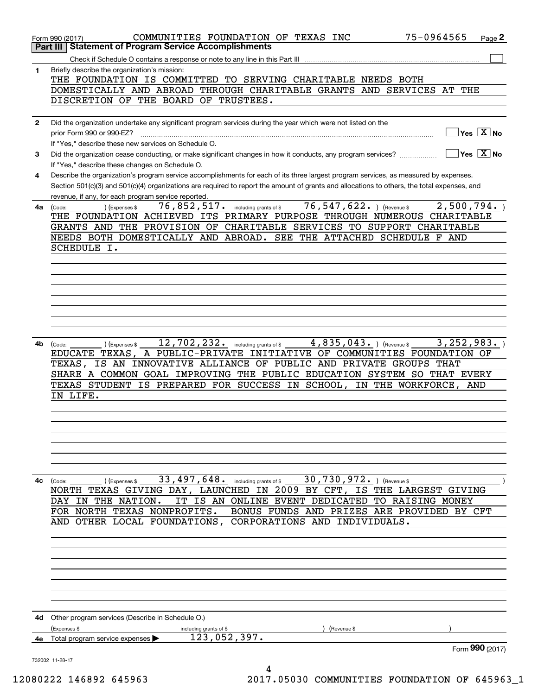|              | 75-0964565<br>COMMUNITIES FOUNDATION OF TEXAS INC<br>Page 2<br>Form 990 (2017)<br><b>Statement of Program Service Accomplishments</b><br>Part III              |
|--------------|----------------------------------------------------------------------------------------------------------------------------------------------------------------|
|              |                                                                                                                                                                |
|              |                                                                                                                                                                |
| 1            | Briefly describe the organization's mission:<br>THE FOUNDATION IS COMMITTED TO SERVING CHARITABLE NEEDS BOTH                                                   |
|              |                                                                                                                                                                |
|              | DOMESTICALLY AND ABROAD THROUGH CHARITABLE GRANTS AND SERVICES AT<br>THE                                                                                       |
|              | DISCRETION OF THE BOARD OF TRUSTEES.                                                                                                                           |
|              |                                                                                                                                                                |
| $\mathbf{2}$ | Did the organization undertake any significant program services during the year which were not listed on the                                                   |
|              | $\overline{Y}$ es $\overline{X}$ No<br>prior Form 990 or 990-EZ?                                                                                               |
|              | If "Yes," describe these new services on Schedule O.                                                                                                           |
| 3            | $\overline{\ }$ Yes $\overline{\mathrm{X}}$ No<br>Did the organization cease conducting, or make significant changes in how it conducts, any program services? |
|              |                                                                                                                                                                |
|              | If "Yes," describe these changes on Schedule O.                                                                                                                |
| 4            | Describe the organization's program service accomplishments for each of its three largest program services, as measured by expenses.                           |
|              | Section 501(c)(3) and 501(c)(4) organizations are required to report the amount of grants and allocations to others, the total expenses, and                   |
|              | revenue, if any, for each program service reported.                                                                                                            |
| 4a l         | 76,547,622. ) (Revenue \$<br>2,500,794.<br>76,852,517.<br>(Expenses \$<br>including grants of \$<br>(Code:                                                     |
|              | THE FOUNDATION ACHIEVED ITS PRIMARY PURPOSE THROUGH NUMEROUS CHARITABLE                                                                                        |
|              | GRANTS AND THE PROVISION OF CHARITABLE SERVICES TO SUPPORT CHARITABLE                                                                                          |
|              |                                                                                                                                                                |
|              | SEE THE ATTACHED SCHEDULE F AND<br>NEEDS BOTH DOMESTICALLY AND ABROAD.                                                                                         |
|              | SCHEDULE I.                                                                                                                                                    |
|              |                                                                                                                                                                |
|              |                                                                                                                                                                |
|              |                                                                                                                                                                |
|              |                                                                                                                                                                |
|              |                                                                                                                                                                |
|              |                                                                                                                                                                |
|              |                                                                                                                                                                |
|              |                                                                                                                                                                |
|              |                                                                                                                                                                |
| 4b           | 12,702,232.<br>4,835,043. ) (Revenue \$<br>3, 252, 983.<br>(Expenses \$<br>(Code:<br>including grants of \$                                                    |
|              | EDUCATE TEXAS,<br>A PUBLIC-PRIVATE<br>INITIATIVE OF COMMUNITIES FOUNDATION OF                                                                                  |
|              | IS AN INNOVATIVE ALLIANCE OF PUBLIC AND PRIVATE<br>GROUPS THAT<br>TEXAS,                                                                                       |
|              | A COMMON GOAL IMPROVING THE PUBLIC EDUCATION SYSTEM<br>SO THAT EVERY<br>SHARE                                                                                  |
|              | TEXAS STUDENT IS PREPARED FOR SUCCESS IN SCHOOL,                                                                                                               |
|              | IN THE WORKFORCE,<br>AND                                                                                                                                       |
|              | IN LIFE.                                                                                                                                                       |
|              |                                                                                                                                                                |
|              |                                                                                                                                                                |
|              |                                                                                                                                                                |
|              |                                                                                                                                                                |
|              |                                                                                                                                                                |
|              |                                                                                                                                                                |
|              |                                                                                                                                                                |
|              |                                                                                                                                                                |
| 4с           | 33, 497, 648. including grants of \$<br>30,730,972. ) (Revenue \$<br>(Expenses \$<br>(Code:                                                                    |
|              | TEXAS GIVING DAY, LAUNCHED IN 2009 BY CFT, IS THE LARGEST GIVING<br>NORTH                                                                                      |
|              | IS AN ONLINE EVENT DEDICATED TO RAISING MONEY<br>IN THE NATION.<br>IT<br>DAY                                                                                   |
|              | FOR NORTH TEXAS NONPROFITS.<br>BONUS FUNDS AND PRIZES ARE PROVIDED BY CFT                                                                                      |
|              | AND OTHER LOCAL FOUNDATIONS,<br>CORPORATIONS AND INDIVIDUALS.                                                                                                  |
|              |                                                                                                                                                                |
|              |                                                                                                                                                                |
|              |                                                                                                                                                                |
|              |                                                                                                                                                                |
|              |                                                                                                                                                                |
|              |                                                                                                                                                                |
|              |                                                                                                                                                                |
|              |                                                                                                                                                                |
|              |                                                                                                                                                                |
|              |                                                                                                                                                                |
| 4d           | Other program services (Describe in Schedule O.)                                                                                                               |
|              | (Expenses \$<br>(Revenue \$<br>including grants of \$                                                                                                          |
| 4e           | 123,052,397.<br>Total program service expenses                                                                                                                 |
|              | Form 990 (2017)                                                                                                                                                |
|              | 732002 11-28-17                                                                                                                                                |
|              | 4                                                                                                                                                              |

12080222 146892 645963 2017.05030 COMMUNITIES FOUNDATION OF 645963\_1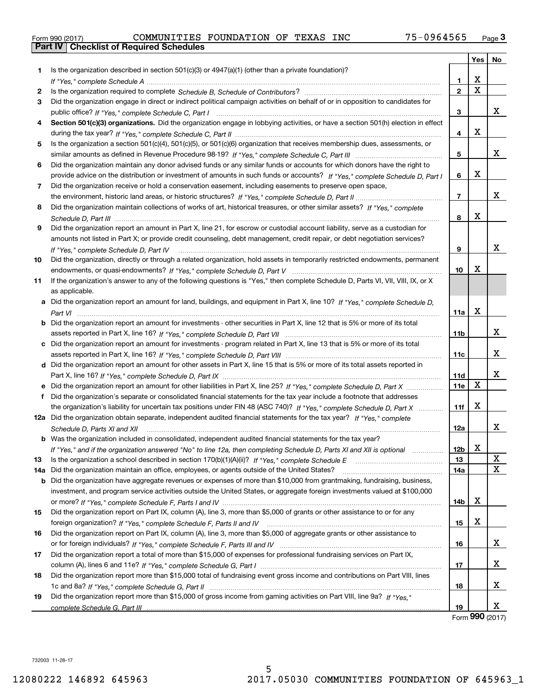|  | Form 990 (2017) |  |
|--|-----------------|--|

|     |                                                                                                                                      |                 | Yes    | No          |
|-----|--------------------------------------------------------------------------------------------------------------------------------------|-----------------|--------|-------------|
| 1.  | Is the organization described in section $501(c)(3)$ or $4947(a)(1)$ (other than a private foundation)?                              |                 |        |             |
|     |                                                                                                                                      | 1.              | х<br>X |             |
| 2   |                                                                                                                                      | $\overline{2}$  |        |             |
| 3   | Did the organization engage in direct or indirect political campaign activities on behalf of or in opposition to candidates for      |                 |        |             |
|     | public office? If "Yes," complete Schedule C, Part I                                                                                 | 3               |        | x           |
| 4   | Section 501(c)(3) organizations. Did the organization engage in lobbying activities, or have a section 501(h) election in effect     |                 |        |             |
|     |                                                                                                                                      | 4               | х      |             |
| 5   | Is the organization a section 501(c)(4), 501(c)(5), or 501(c)(6) organization that receives membership dues, assessments, or         |                 |        |             |
|     |                                                                                                                                      | 5               |        | x           |
| 6   | Did the organization maintain any donor advised funds or any similar funds or accounts for which donors have the right to            |                 |        |             |
|     | provide advice on the distribution or investment of amounts in such funds or accounts? If "Yes," complete Schedule D, Part I         | 6               | х      |             |
| 7   | Did the organization receive or hold a conservation easement, including easements to preserve open space,                            |                 |        |             |
|     |                                                                                                                                      | $\overline{7}$  |        | x           |
| 8   | Did the organization maintain collections of works of art, historical treasures, or other similar assets? If "Yes," complete         |                 |        |             |
|     |                                                                                                                                      | 8               | х      |             |
| 9   | Did the organization report an amount in Part X, line 21, for escrow or custodial account liability, serve as a custodian for        |                 |        |             |
|     | amounts not listed in Part X; or provide credit counseling, debt management, credit repair, or debt negotiation services?            |                 |        |             |
|     | If "Yes," complete Schedule D, Part IV                                                                                               | 9               |        | x           |
| 10  | Did the organization, directly or through a related organization, hold assets in temporarily restricted endowments, permanent        |                 |        |             |
|     |                                                                                                                                      | 10              | х      |             |
| 11  | If the organization's answer to any of the following questions is "Yes," then complete Schedule D, Parts VI, VII, VIII, IX, or X     |                 |        |             |
|     | as applicable.                                                                                                                       |                 |        |             |
|     | a Did the organization report an amount for land, buildings, and equipment in Part X, line 10? If "Yes," complete Schedule D,        |                 |        |             |
|     |                                                                                                                                      | 11a             | х      |             |
|     | <b>b</b> Did the organization report an amount for investments - other securities in Part X, line 12 that is 5% or more of its total |                 |        |             |
|     |                                                                                                                                      | 11 <sub>b</sub> |        | x           |
|     | c Did the organization report an amount for investments - program related in Part X, line 13 that is 5% or more of its total         |                 |        |             |
|     |                                                                                                                                      | 11c             |        | x           |
|     | d Did the organization report an amount for other assets in Part X, line 15 that is 5% or more of its total assets reported in       |                 |        |             |
|     |                                                                                                                                      |                 |        | x           |
|     |                                                                                                                                      | 11d             | X      |             |
|     |                                                                                                                                      | 11e             |        |             |
|     | f Did the organization's separate or consolidated financial statements for the tax year include a footnote that addresses            |                 |        |             |
|     | the organization's liability for uncertain tax positions under FIN 48 (ASC 740)? If "Yes," complete Schedule D, Part X               | 11f             | х      |             |
|     | 12a Did the organization obtain separate, independent audited financial statements for the tax year? If "Yes," complete              |                 |        |             |
|     | Schedule D, Parts XI and XII                                                                                                         | 12a             |        | X           |
|     | <b>b</b> Was the organization included in consolidated, independent audited financial statements for the tax year?                   |                 |        |             |
|     | If "Yes," and if the organization answered "No" to line 12a, then completing Schedule D, Parts XI and XII is optional                | 12b             | х      |             |
| 13  |                                                                                                                                      | 13              |        | X           |
| 14a | Did the organization maintain an office, employees, or agents outside of the United States?                                          | 14a             |        | $\mathbf X$ |
| b   | Did the organization have aggregate revenues or expenses of more than \$10,000 from grantmaking, fundraising, business,              |                 |        |             |
|     | investment, and program service activities outside the United States, or aggregate foreign investments valued at \$100,000           |                 |        |             |
|     |                                                                                                                                      | 14b             | х      |             |
| 15  | Did the organization report on Part IX, column (A), line 3, more than \$5,000 of grants or other assistance to or for any            |                 |        |             |
|     |                                                                                                                                      | 15              | х      |             |
| 16  | Did the organization report on Part IX, column (A), line 3, more than \$5,000 of aggregate grants or other assistance to             |                 |        |             |
|     |                                                                                                                                      | 16              |        | x           |
| 17  | Did the organization report a total of more than \$15,000 of expenses for professional fundraising services on Part IX,              |                 |        |             |
|     |                                                                                                                                      | 17              |        | x           |
| 18  | Did the organization report more than \$15,000 total of fundraising event gross income and contributions on Part VIII, lines         |                 |        |             |
|     |                                                                                                                                      | 18              |        | x           |
| 19  | Did the organization report more than \$15,000 of gross income from gaming activities on Part VIII, line 9a? If "Yes."               |                 |        |             |
|     |                                                                                                                                      | 19              |        | x           |

Form (2017) **990**

732003 11-28-17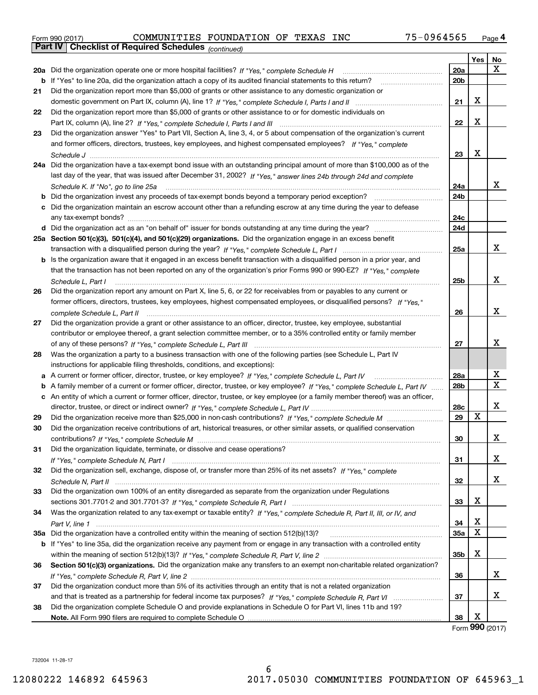| Form 990 (2017) |                                                              | COMMUNITIES FOUNDATION OF TEXAS INC |  | 75-0964565 | Page 4 |
|-----------------|--------------------------------------------------------------|-------------------------------------|--|------------|--------|
|                 | <b>Part IV   Checklist of Required Schedules</b> (continued) |                                     |  |            |        |

|    | Parl IV  <br>Criecklist of Required Scriedules $_{(continued)}$                                                                                                                                                                                                   |                 |     |             |
|----|-------------------------------------------------------------------------------------------------------------------------------------------------------------------------------------------------------------------------------------------------------------------|-----------------|-----|-------------|
|    |                                                                                                                                                                                                                                                                   |                 | Yes | No          |
|    | 20a Did the organization operate one or more hospital facilities? If "Yes," complete Schedule H                                                                                                                                                                   | 20a             |     | x           |
|    | <b>b</b> If "Yes" to line 20a, did the organization attach a copy of its audited financial statements to this return?                                                                                                                                             | 20 <sub>b</sub> |     |             |
| 21 | Did the organization report more than \$5,000 of grants or other assistance to any domestic organization or                                                                                                                                                       |                 |     |             |
|    |                                                                                                                                                                                                                                                                   | 21              | х   |             |
| 22 | Did the organization report more than \$5,000 of grants or other assistance to or for domestic individuals on                                                                                                                                                     |                 |     |             |
|    |                                                                                                                                                                                                                                                                   | 22              | X   |             |
| 23 | Did the organization answer "Yes" to Part VII, Section A, line 3, 4, or 5 about compensation of the organization's current                                                                                                                                        |                 |     |             |
|    | and former officers, directors, trustees, key employees, and highest compensated employees? If "Yes," complete                                                                                                                                                    |                 |     |             |
|    |                                                                                                                                                                                                                                                                   | 23              | x   |             |
|    | 24a Did the organization have a tax-exempt bond issue with an outstanding principal amount of more than \$100,000 as of the                                                                                                                                       |                 |     |             |
|    | last day of the year, that was issued after December 31, 2002? If "Yes," answer lines 24b through 24d and complete                                                                                                                                                |                 |     |             |
|    | Schedule K. If "No", go to line 25a                                                                                                                                                                                                                               | 24a             |     | x           |
| b  | Did the organization invest any proceeds of tax-exempt bonds beyond a temporary period exception?                                                                                                                                                                 | 24b             |     |             |
|    | c Did the organization maintain an escrow account other than a refunding escrow at any time during the year to defease                                                                                                                                            |                 |     |             |
|    | any tax-exempt bonds?                                                                                                                                                                                                                                             | 24c             |     |             |
|    | d Did the organization act as an "on behalf of" issuer for bonds outstanding at any time during the year?                                                                                                                                                         | 24d             |     |             |
|    | 25a Section 501(c)(3), 501(c)(4), and 501(c)(29) organizations. Did the organization engage in an excess benefit                                                                                                                                                  |                 |     |             |
|    |                                                                                                                                                                                                                                                                   | 25a             |     | x           |
|    | b Is the organization aware that it engaged in an excess benefit transaction with a disqualified person in a prior year, and                                                                                                                                      |                 |     |             |
|    | that the transaction has not been reported on any of the organization's prior Forms 990 or 990-EZ? If "Yes," complete                                                                                                                                             |                 |     |             |
|    | Schedule L, Part I                                                                                                                                                                                                                                                | 25 <sub>b</sub> |     | х           |
| 26 | Did the organization report any amount on Part X, line 5, 6, or 22 for receivables from or payables to any current or                                                                                                                                             |                 |     |             |
|    | former officers, directors, trustees, key employees, highest compensated employees, or disqualified persons? If "Yes "                                                                                                                                            |                 |     |             |
|    |                                                                                                                                                                                                                                                                   | 26              |     | x           |
| 27 | Did the organization provide a grant or other assistance to an officer, director, trustee, key employee, substantial                                                                                                                                              |                 |     |             |
|    | contributor or employee thereof, a grant selection committee member, or to a 35% controlled entity or family member                                                                                                                                               |                 |     |             |
|    |                                                                                                                                                                                                                                                                   | 27              |     | x           |
| 28 | Was the organization a party to a business transaction with one of the following parties (see Schedule L, Part IV                                                                                                                                                 |                 |     |             |
|    | instructions for applicable filing thresholds, conditions, and exceptions):                                                                                                                                                                                       |                 |     |             |
|    | a A current or former officer, director, trustee, or key employee? If "Yes," complete Schedule L, Part IV                                                                                                                                                         | 28a             |     | х           |
|    |                                                                                                                                                                                                                                                                   | 28 <sub>b</sub> |     | $\mathbf X$ |
|    | b A family member of a current or former officer, director, trustee, or key employee? If "Yes," complete Schedule L, Part IV<br>c An entity of which a current or former officer, director, trustee, or key employee (or a family member thereof) was an officer, |                 |     |             |
|    |                                                                                                                                                                                                                                                                   |                 |     | x           |
|    |                                                                                                                                                                                                                                                                   | 28c<br>29       | x   |             |
| 29 |                                                                                                                                                                                                                                                                   |                 |     |             |
| 30 | Did the organization receive contributions of art, historical treasures, or other similar assets, or qualified conservation                                                                                                                                       |                 |     | х           |
|    |                                                                                                                                                                                                                                                                   | 30              |     |             |
| 31 | Did the organization liquidate, terminate, or dissolve and cease operations?                                                                                                                                                                                      |                 |     |             |
|    |                                                                                                                                                                                                                                                                   | 31              |     | X           |
| 32 | Did the organization sell, exchange, dispose of, or transfer more than 25% of its net assets? If "Yes," complete                                                                                                                                                  |                 |     | x           |
|    |                                                                                                                                                                                                                                                                   | 32              |     |             |
| 33 | Did the organization own 100% of an entity disregarded as separate from the organization under Regulations                                                                                                                                                        |                 |     |             |
|    |                                                                                                                                                                                                                                                                   | 33              | х   |             |
| 34 | Was the organization related to any tax-exempt or taxable entity? If "Yes," complete Schedule R, Part II, III, or IV, and                                                                                                                                         |                 |     |             |
|    |                                                                                                                                                                                                                                                                   | 34              | х   |             |
|    |                                                                                                                                                                                                                                                                   | <b>35a</b>      | х   |             |
|    | b If "Yes" to line 35a, did the organization receive any payment from or engage in any transaction with a controlled entity                                                                                                                                       |                 |     |             |
|    |                                                                                                                                                                                                                                                                   | 35b             | х   |             |
| 36 | Section 501(c)(3) organizations. Did the organization make any transfers to an exempt non-charitable related organization?                                                                                                                                        |                 |     |             |
|    |                                                                                                                                                                                                                                                                   | 36              |     | х           |
| 37 | Did the organization conduct more than 5% of its activities through an entity that is not a related organization                                                                                                                                                  |                 |     |             |
|    |                                                                                                                                                                                                                                                                   | 37              |     | x           |
| 38 | Did the organization complete Schedule O and provide explanations in Schedule O for Part VI, lines 11b and 19?                                                                                                                                                    |                 |     |             |
|    |                                                                                                                                                                                                                                                                   | 38              | х   |             |

Form (2017) **990**

732004 11-28-17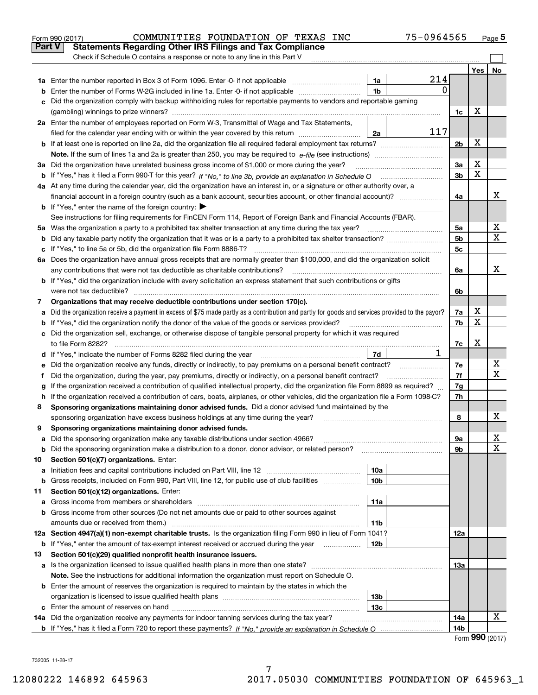|    | 75-0964565<br>COMMUNITIES FOUNDATION OF TEXAS INC<br>Form 990 (2017)                                                                            |                |     | Page 5 |
|----|-------------------------------------------------------------------------------------------------------------------------------------------------|----------------|-----|--------|
|    | Part V<br><b>Statements Regarding Other IRS Filings and Tax Compliance</b>                                                                      |                |     |        |
|    | Check if Schedule O contains a response or note to any line in this Part V                                                                      |                |     |        |
|    |                                                                                                                                                 |                | Yes | No     |
|    | 214<br>1a Enter the number reported in Box 3 of Form 1096. Enter -0- if not applicable<br>1a                                                    |                |     |        |
| b  | $\Omega$<br>1 <sub>b</sub><br>Enter the number of Forms W-2G included in line 1a. Enter -0- if not applicable                                   |                |     |        |
| c  | Did the organization comply with backup withholding rules for reportable payments to vendors and reportable gaming                              |                |     |        |
|    |                                                                                                                                                 | 1c             | х   |        |
|    | 2a Enter the number of employees reported on Form W-3, Transmittal of Wage and Tax Statements,                                                  |                |     |        |
|    | 117<br>filed for the calendar year ending with or within the year covered by this return<br>2a                                                  |                |     |        |
|    |                                                                                                                                                 | 2 <sub>b</sub> | х   |        |
|    |                                                                                                                                                 |                |     |        |
|    | 3a Did the organization have unrelated business gross income of \$1,000 or more during the year?                                                | За             | х   |        |
|    |                                                                                                                                                 | 3 <sub>b</sub> | X   |        |
|    | 4a At any time during the calendar year, did the organization have an interest in, or a signature or other authority over, a                    |                |     |        |
|    |                                                                                                                                                 | 4a             |     | x      |
|    | <b>b</b> If "Yes," enter the name of the foreign country: $\blacktriangleright$                                                                 |                |     |        |
|    | See instructions for filing requirements for FinCEN Form 114, Report of Foreign Bank and Financial Accounts (FBAR).                             |                |     |        |
|    | 5a Was the organization a party to a prohibited tax shelter transaction at any time during the tax year?                                        | 5a             |     | х      |
| b  |                                                                                                                                                 | 5 <sub>b</sub> |     | X      |
| c  | If "Yes," to line 5a or 5b, did the organization file Form 8886-T?                                                                              | 5c             |     |        |
|    | 6a Does the organization have annual gross receipts that are normally greater than \$100,000, and did the organization solicit                  |                |     |        |
|    | any contributions that were not tax deductible as charitable contributions?                                                                     | 6a             |     | X      |
|    | <b>b</b> If "Yes," did the organization include with every solicitation an express statement that such contributions or gifts                   |                |     |        |
|    | were not tax deductible?                                                                                                                        | 6b             |     |        |
| 7  | Organizations that may receive deductible contributions under section 170(c).                                                                   |                |     |        |
| а  | Did the organization receive a payment in excess of \$75 made partly as a contribution and partly for goods and services provided to the payor? | 7a             | х   |        |
| b  | If "Yes," did the organization notify the donor of the value of the goods or services provided?                                                 | 7b             | X   |        |
|    | c Did the organization sell, exchange, or otherwise dispose of tangible personal property for which it was required                             |                |     |        |
|    |                                                                                                                                                 | 7c             | х   |        |
|    | 1<br>7d                                                                                                                                         |                |     |        |
| е  | Did the organization receive any funds, directly or indirectly, to pay premiums on a personal benefit contract?                                 | 7e             |     | х      |
| f  | Did the organization, during the year, pay premiums, directly or indirectly, on a personal benefit contract?                                    | 7f             |     | х      |
| g  | If the organization received a contribution of qualified intellectual property, did the organization file Form 8899 as required?                | 7g             |     |        |
| h. | If the organization received a contribution of cars, boats, airplanes, or other vehicles, did the organization file a Form 1098-C?              | 7h             |     |        |
| 8  | Sponsoring organizations maintaining donor advised funds. Did a donor advised fund maintained by the                                            |                |     |        |
|    | sponsoring organization have excess business holdings at any time during the year?                                                              | 8              |     | х      |
|    | Sponsoring organizations maintaining donor advised funds.                                                                                       |                |     |        |
| а  | Did the sponsoring organization make any taxable distributions under section 4966?                                                              | 9а             |     | x      |
| b  | Did the sponsoring organization make a distribution to a donor, donor advisor, or related person?                                               | 9b             |     | X      |
| 10 | Section 501(c)(7) organizations. Enter:                                                                                                         |                |     |        |
| а  | 10a<br>Initiation fees and capital contributions included on Part VIII, line 12 <i>manuarrouus</i> manuations of the lates                      |                |     |        |
| b  | Gross receipts, included on Form 990, Part VIII, line 12, for public use of club facilities<br>10 <sub>b</sub>                                  |                |     |        |
| 11 | Section 501(c)(12) organizations. Enter:                                                                                                        |                |     |        |
| a  | 11a<br>Gross income from members or shareholders                                                                                                |                |     |        |
| b  | Gross income from other sources (Do not net amounts due or paid to other sources against                                                        |                |     |        |
|    | amounts due or received from them.)<br>11b                                                                                                      |                |     |        |
|    | 12a Section 4947(a)(1) non-exempt charitable trusts. Is the organization filing Form 990 in lieu of Form 1041?                                  | 12a            |     |        |
|    | <b>b</b> If "Yes," enter the amount of tax-exempt interest received or accrued during the year<br>12b                                           |                |     |        |
| 13 | Section 501(c)(29) qualified nonprofit health insurance issuers.                                                                                |                |     |        |
| а  | Is the organization licensed to issue qualified health plans in more than one state?                                                            | 13а            |     |        |
|    | Note. See the instructions for additional information the organization must report on Schedule O.                                               |                |     |        |
|    | <b>b</b> Enter the amount of reserves the organization is required to maintain by the states in which the                                       |                |     |        |
|    | 13 <sub>b</sub>                                                                                                                                 |                |     |        |
|    | 13c                                                                                                                                             |                |     |        |
|    | 14a Did the organization receive any payments for indoor tanning services during the tax year?                                                  | 14a            |     | х      |
|    |                                                                                                                                                 | 14b            | nnn |        |

|  |  | Form 990 (2017) |
|--|--|-----------------|
|--|--|-----------------|

732005 11-28-17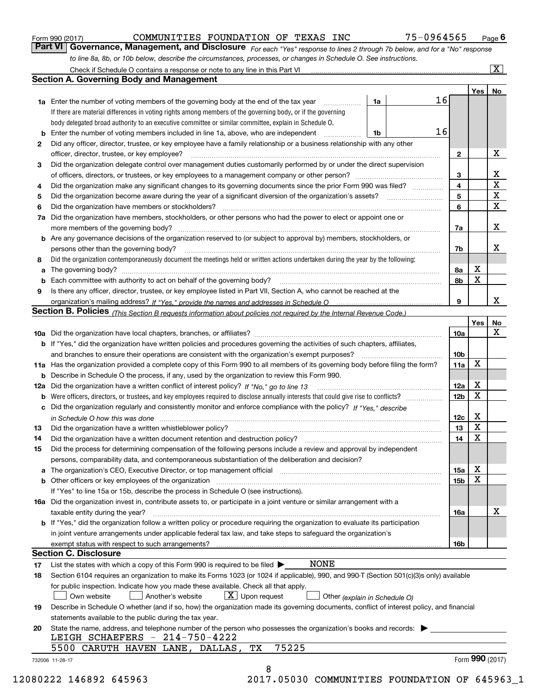|  | Form 990 (2017) |
|--|-----------------|
|  |                 |

### COMMUNITIES FOUNDATION OF TEXAS INC 75-0964565

*For each "Yes" response to lines 2 through 7b below, and for a "No" response to line 8a, 8b, or 10b below, describe the circumstances, processes, or changes in Schedule O. See instructions.* Form 990 (2017) **COMMUNITIES FOUNDATION OF TEXAS INC** 75-0964565 Page 6<br>**Part VI Governance, Management, and Disclosure** *For each "Yes" response to lines 2 through 7b below, and for a "No" response* 

|     | Check if Schedule O contains a response or note to any line in this Part VI                                                                                                                                                                               |    |    |                 |     | $\overline{\mathbf{x}}$ |  |  |  |  |  |
|-----|-----------------------------------------------------------------------------------------------------------------------------------------------------------------------------------------------------------------------------------------------------------|----|----|-----------------|-----|-------------------------|--|--|--|--|--|
|     | <b>Section A. Governing Body and Management</b>                                                                                                                                                                                                           |    |    |                 |     |                         |  |  |  |  |  |
|     |                                                                                                                                                                                                                                                           |    |    |                 | Yes | No                      |  |  |  |  |  |
|     | <b>1a</b> Enter the number of voting members of the governing body at the end of the tax year                                                                                                                                                             | 1a | 16 |                 |     |                         |  |  |  |  |  |
|     | If there are material differences in voting rights among members of the governing body, or if the governing                                                                                                                                               |    |    |                 |     |                         |  |  |  |  |  |
|     | body delegated broad authority to an executive committee or similar committee, explain in Schedule O.                                                                                                                                                     |    |    |                 |     |                         |  |  |  |  |  |
| b   | Enter the number of voting members included in line 1a, above, who are independent                                                                                                                                                                        | 1b | 16 |                 |     |                         |  |  |  |  |  |
| 2   | Did any officer, director, trustee, or key employee have a family relationship or a business relationship with any other                                                                                                                                  |    |    |                 |     |                         |  |  |  |  |  |
|     | officer, director, trustee, or key employee?                                                                                                                                                                                                              |    |    | $\mathbf{2}$    |     | X                       |  |  |  |  |  |
| 3   | Did the organization delegate control over management duties customarily performed by or under the direct supervision                                                                                                                                     |    |    |                 |     |                         |  |  |  |  |  |
|     |                                                                                                                                                                                                                                                           |    |    | 3               |     | х                       |  |  |  |  |  |
| 4   | Did the organization make any significant changes to its governing documents since the prior Form 990 was filed?                                                                                                                                          |    |    | $\overline{4}$  |     | $\mathbf X$             |  |  |  |  |  |
| 5   | Did the organization become aware during the year of a significant diversion of the organization's assets?                                                                                                                                                |    |    | 5               |     | X                       |  |  |  |  |  |
| 6   | Did the organization have members or stockholders?                                                                                                                                                                                                        |    |    | 6               |     | $\mathbf X$             |  |  |  |  |  |
| 7a  | Did the organization have members, stockholders, or other persons who had the power to elect or appoint one or                                                                                                                                            |    |    |                 |     |                         |  |  |  |  |  |
|     | more members of the governing body?                                                                                                                                                                                                                       |    |    | 7a              |     | х                       |  |  |  |  |  |
|     | <b>b</b> Are any governance decisions of the organization reserved to (or subject to approval by) members, stockholders, or                                                                                                                               |    |    |                 |     |                         |  |  |  |  |  |
|     | persons other than the governing body?                                                                                                                                                                                                                    |    |    | 7b              |     | х                       |  |  |  |  |  |
| 8   | Did the organization contemporaneously document the meetings held or written actions undertaken during the year by the following:                                                                                                                         |    |    |                 |     |                         |  |  |  |  |  |
| a   |                                                                                                                                                                                                                                                           |    |    | 8a              | X   |                         |  |  |  |  |  |
| b   |                                                                                                                                                                                                                                                           |    |    | 8b              | X   |                         |  |  |  |  |  |
| 9   | Is there any officer, director, trustee, or key employee listed in Part VII, Section A, who cannot be reached at the                                                                                                                                      |    |    |                 |     |                         |  |  |  |  |  |
|     |                                                                                                                                                                                                                                                           |    |    | 9               |     | x                       |  |  |  |  |  |
|     | Section B. Policies <sub>(This</sub> Section B requests information about policies not required by the Internal Revenue Code.)                                                                                                                            |    |    |                 |     |                         |  |  |  |  |  |
|     |                                                                                                                                                                                                                                                           |    |    |                 | Yes | No                      |  |  |  |  |  |
|     |                                                                                                                                                                                                                                                           |    |    | 10a             |     | х                       |  |  |  |  |  |
|     | <b>b</b> If "Yes," did the organization have written policies and procedures governing the activities of such chapters, affiliates,                                                                                                                       |    |    |                 |     |                         |  |  |  |  |  |
|     | and branches to ensure their operations are consistent with the organization's exempt purposes?                                                                                                                                                           |    |    | 10 <sub>b</sub> |     |                         |  |  |  |  |  |
|     | 11a Has the organization provided a complete copy of this Form 990 to all members of its governing body before filing the form?                                                                                                                           |    |    | 11a             | X   |                         |  |  |  |  |  |
|     | <b>b</b> Describe in Schedule O the process, if any, used by the organization to review this Form 990.                                                                                                                                                    |    |    |                 |     |                         |  |  |  |  |  |
|     | Did the organization have a written conflict of interest policy? If "No," go to line 13                                                                                                                                                                   |    |    | 12a             | X   |                         |  |  |  |  |  |
| 12a |                                                                                                                                                                                                                                                           |    |    | 12 <sub>b</sub> | X   |                         |  |  |  |  |  |
| b   | Were officers, directors, or trustees, and key employees required to disclose annually interests that could give rise to conflicts?<br>Did the organization regularly and consistently monitor and enforce compliance with the policy? If "Yes." describe |    |    |                 |     |                         |  |  |  |  |  |
| c   |                                                                                                                                                                                                                                                           |    |    |                 | X   |                         |  |  |  |  |  |
|     |                                                                                                                                                                                                                                                           |    |    | 12c<br>13       | X   |                         |  |  |  |  |  |
| 13  | Did the organization have a written whistleblower policy?                                                                                                                                                                                                 |    |    |                 | X   |                         |  |  |  |  |  |
| 14  | Did the organization have a written document retention and destruction policy?                                                                                                                                                                            |    |    | 14              |     |                         |  |  |  |  |  |
| 15  | Did the process for determining compensation of the following persons include a review and approval by independent                                                                                                                                        |    |    |                 |     |                         |  |  |  |  |  |
|     | persons, comparability data, and contemporaneous substantiation of the deliberation and decision?                                                                                                                                                         |    |    |                 | Χ   |                         |  |  |  |  |  |
|     | The organization's CEO, Executive Director, or top management official manufactured content of the organization's CEO, Executive Director, or top management official                                                                                     |    |    | 15a             | Χ   |                         |  |  |  |  |  |
|     | <b>b</b> Other officers or key employees of the organization                                                                                                                                                                                              |    |    | 15b             |     |                         |  |  |  |  |  |
|     | If "Yes" to line 15a or 15b, describe the process in Schedule O (see instructions).                                                                                                                                                                       |    |    |                 |     |                         |  |  |  |  |  |
|     | 16a Did the organization invest in, contribute assets to, or participate in a joint venture or similar arrangement with a                                                                                                                                 |    |    |                 |     |                         |  |  |  |  |  |
|     | taxable entity during the year?                                                                                                                                                                                                                           |    |    | 16a             |     | X                       |  |  |  |  |  |
|     | b If "Yes," did the organization follow a written policy or procedure requiring the organization to evaluate its participation                                                                                                                            |    |    |                 |     |                         |  |  |  |  |  |
|     | in joint venture arrangements under applicable federal tax law, and take steps to safeguard the organization's                                                                                                                                            |    |    |                 |     |                         |  |  |  |  |  |
|     | exempt status with respect to such arrangements?                                                                                                                                                                                                          |    |    | 16b             |     |                         |  |  |  |  |  |
|     | <b>Section C. Disclosure</b>                                                                                                                                                                                                                              |    |    |                 |     |                         |  |  |  |  |  |
| 17  | <b>NONE</b><br>List the states with which a copy of this Form 990 is required to be filed $\blacktriangleright$                                                                                                                                           |    |    |                 |     |                         |  |  |  |  |  |
| 18  | Section 6104 requires an organization to make its Forms 1023 (or 1024 if applicable), 990, and 990-T (Section 501(c)(3)s only) available                                                                                                                  |    |    |                 |     |                         |  |  |  |  |  |
|     | for public inspection. Indicate how you made these available. Check all that apply.                                                                                                                                                                       |    |    |                 |     |                         |  |  |  |  |  |
|     | $X$ Upon request<br>Own website<br>Another's website<br>Other (explain in Schedule O)                                                                                                                                                                     |    |    |                 |     |                         |  |  |  |  |  |
| 19  | Describe in Schedule O whether (and if so, how) the organization made its governing documents, conflict of interest policy, and financial                                                                                                                 |    |    |                 |     |                         |  |  |  |  |  |
|     | statements available to the public during the tax year.                                                                                                                                                                                                   |    |    |                 |     |                         |  |  |  |  |  |
| 20  | State the name, address, and telephone number of the person who possesses the organization's books and records:                                                                                                                                           |    |    |                 |     |                         |  |  |  |  |  |
|     | LEIGH SCHAEFERS - 214-750-4222                                                                                                                                                                                                                            |    |    |                 |     |                         |  |  |  |  |  |
|     | 75225<br>5500 CARUTH HAVEN LANE, DALLAS,<br>TХ                                                                                                                                                                                                            |    |    |                 |     |                         |  |  |  |  |  |
|     | 732006 11-28-17                                                                                                                                                                                                                                           |    |    |                 |     | Form 990 (2017)         |  |  |  |  |  |
|     | 8                                                                                                                                                                                                                                                         |    |    |                 |     |                         |  |  |  |  |  |

12080222 146892 645963 2017.05030 COMMUNITIES FOUNDATION OF 645963\_1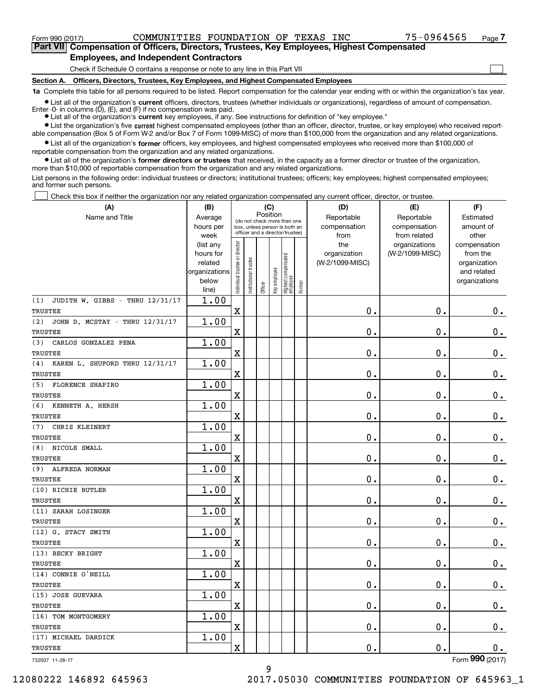$\mathcal{L}^{\text{max}}$ 

**7Part VII Compensation of Officers, Directors, Trustees, Key Employees, Highest Compensated Employees, and Independent Contractors**

Check if Schedule O contains a response or note to any line in this Part VII

**Section A. Officers, Directors, Trustees, Key Employees, and Highest Compensated Employees**

**1a**  Complete this table for all persons required to be listed. Report compensation for the calendar year ending with or within the organization's tax year.

**•** List all of the organization's current officers, directors, trustees (whether individuals or organizations), regardless of amount of compensation. Enter -0- in columns  $(D)$ ,  $(E)$ , and  $(F)$  if no compensation was paid.

● List all of the organization's **current** key employees, if any. See instructions for definition of "key employee."

**•** List the organization's five current highest compensated employees (other than an officer, director, trustee, or key employee) who received reportable compensation (Box 5 of Form W-2 and/or Box 7 of Form 1099-MISC) of more than \$100,000 from the organization and any related organizations.

 $\bullet$  List all of the organization's **former** officers, key employees, and highest compensated employees who received more than \$100,000 of reportable compensation from the organization and any related organizations.

**•** List all of the organization's former directors or trustees that received, in the capacity as a former director or trustee of the organization, more than \$10,000 of reportable compensation from the organization and any related organizations.

List persons in the following order: individual trustees or directors; institutional trustees; officers; key employees; highest compensated employees; and former such persons.

Check this box if neither the organization nor any related organization compensated any current officer, director, or trustee.  $\mathcal{L}^{\text{max}}$ 

| (A)                                    | (B)                                                |                                                                  |                       | (C)     |              |                                 |        | (D)                             | (E)             | (F)                         |
|----------------------------------------|----------------------------------------------------|------------------------------------------------------------------|-----------------------|---------|--------------|---------------------------------|--------|---------------------------------|-----------------|-----------------------------|
| Name and Title                         | Position<br>Average<br>(do not check more than one |                                                                  |                       |         |              |                                 |        | Reportable                      | Reportable      | Estimated                   |
|                                        | hours per                                          | box, unless person is both an<br>officer and a director/trustee) |                       |         |              |                                 |        | compensation                    | compensation    | amount of                   |
|                                        | week                                               |                                                                  |                       |         |              |                                 |        | from                            | from related    | other                       |
|                                        | (list any                                          |                                                                  |                       |         |              |                                 |        | the                             | organizations   | compensation                |
|                                        | hours for<br>related                               |                                                                  |                       |         |              |                                 |        | organization<br>(W-2/1099-MISC) | (W-2/1099-MISC) | from the                    |
|                                        | organizations                                      |                                                                  |                       |         |              |                                 |        |                                 |                 | organization<br>and related |
|                                        | below                                              |                                                                  |                       |         |              |                                 |        |                                 |                 | organizations               |
|                                        | line)                                              | Individual trustee or director                                   | Institutional trustee | Officer | Key employee | Highest compensated<br>employee | Former |                                 |                 |                             |
| JUDITH W. GIBBS - THRU 12/31/17<br>(1) | 1.00                                               |                                                                  |                       |         |              |                                 |        |                                 |                 |                             |
| TRUSTEE                                |                                                    | X                                                                |                       |         |              |                                 |        | 0.                              | 0.              | 0.                          |
| (2)<br>JOHN D. MCSTAY - THRU 12/31/17  | 1.00                                               |                                                                  |                       |         |              |                                 |        |                                 |                 |                             |
| TRUSTEE                                |                                                    | X                                                                |                       |         |              |                                 |        | 0.                              | 0.              | $0_{.}$                     |
| CARLOS GONZALEZ PENA<br>(3)            | 1.00                                               |                                                                  |                       |         |              |                                 |        |                                 |                 |                             |
| TRUSTEE                                |                                                    | X                                                                |                       |         |              |                                 |        | 0.                              | 0.              | $0_{.}$                     |
| (4)<br>KAREN L. SHUFORD THRU 12/31/17  | 1.00                                               |                                                                  |                       |         |              |                                 |        |                                 |                 |                             |
| TRUSTEE                                |                                                    | $\mathbf X$                                                      |                       |         |              |                                 |        | 0.                              | 0.              | $0_{.}$                     |
| <b>FLORENCE SHAPIRO</b><br>(5)         | 1.00                                               |                                                                  |                       |         |              |                                 |        |                                 |                 |                             |
| TRUSTEE                                |                                                    | $\mathbf X$                                                      |                       |         |              |                                 |        | 0.                              | 0.              | $0_{.}$                     |
| (6)<br>KENNETH A. HERSH                | 1.00                                               |                                                                  |                       |         |              |                                 |        |                                 |                 |                             |
| <b>TRUSTEE</b>                         |                                                    | $\mathbf X$                                                      |                       |         |              |                                 |        | 0.                              | 0.              | $0_{.}$                     |
| (7)<br>CHRIS KLEINERT                  | 1.00                                               |                                                                  |                       |         |              |                                 |        |                                 |                 |                             |
| TRUSTEE                                |                                                    | $\mathbf X$                                                      |                       |         |              |                                 |        | 0.                              | 0.              | 0.                          |
| NICOLE SMALL<br>(8)                    | 1.00                                               |                                                                  |                       |         |              |                                 |        |                                 |                 |                             |
| TRUSTEE                                |                                                    | $\mathbf X$                                                      |                       |         |              |                                 |        | 0.                              | 0.              | 0.                          |
| (9)<br>ALFREDA NORMAN                  | 1.00                                               |                                                                  |                       |         |              |                                 |        |                                 |                 |                             |
| TRUSTEE                                |                                                    | $\mathbf X$                                                      |                       |         |              |                                 |        | 0.                              | 0.              | 0.                          |
| (10) RICHIE BUTLER                     | 1.00                                               |                                                                  |                       |         |              |                                 |        |                                 |                 |                             |
| TRUSTEE                                |                                                    | $\mathbf X$                                                      |                       |         |              |                                 |        | 0.                              | 0.              | 0.                          |
| (11) SARAH LOSINGER                    | 1.00                                               |                                                                  |                       |         |              |                                 |        |                                 |                 |                             |
| TRUSTEE                                |                                                    | $\mathbf X$                                                      |                       |         |              |                                 |        | 0.                              | 0.              | 0.                          |
| (12) G. STACY SMITH                    | 1.00                                               |                                                                  |                       |         |              |                                 |        |                                 |                 |                             |
| TRUSTEE                                |                                                    | $\mathbf X$                                                      |                       |         |              |                                 |        | $\mathbf 0$ .                   | 0.              | 0.                          |
| (13) BECKY BRIGHT                      | 1.00                                               |                                                                  |                       |         |              |                                 |        |                                 |                 |                             |
| TRUSTEE                                |                                                    | $\mathbf X$                                                      |                       |         |              |                                 |        | 0.                              | 0.              | 0.                          |
| (14) CONNIE O'NEILL                    | 1.00                                               |                                                                  |                       |         |              |                                 |        |                                 |                 |                             |
| TRUSTEE                                |                                                    | X                                                                |                       |         |              |                                 |        | 0.                              | 0.              | 0.                          |
| (15) JOSE GUEVARA                      | 1.00                                               |                                                                  |                       |         |              |                                 |        |                                 |                 |                             |
| TRUSTEE                                |                                                    | X                                                                |                       |         |              |                                 |        | $\mathbf 0$ .                   | $\mathbf 0$ .   | 0.                          |
| (16) TOM MONTGOMERY                    | 1.00                                               |                                                                  |                       |         |              |                                 |        |                                 |                 |                             |
| TRUSTEE                                |                                                    | X                                                                |                       |         |              |                                 |        | $\mathbf 0$ .                   | $\mathbf 0$ .   | $0_{.}$                     |
| (17) MICHAEL DARDICK                   | 1.00                                               |                                                                  |                       |         |              |                                 |        |                                 |                 |                             |
| <b>TRUSTEE</b>                         |                                                    | X                                                                |                       |         |              |                                 |        | 0.                              | $\mathbf 0$ .   | 0.                          |
| 732007 11-28-17                        |                                                    |                                                                  |                       |         |              |                                 |        |                                 |                 | Form 990 (2017)             |

732007 11-28-17

12080222 146892 645963 2017.05030 COMMUNITIES FOUNDATION OF 645963\_1

9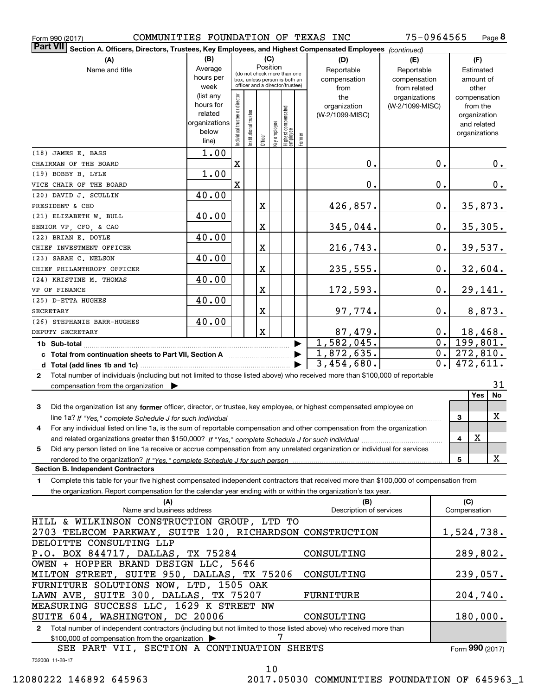| COMMUNITIES FOUNDATION OF TEXAS INC<br>Form 990 (2017)                                                                                            |                      |                                |                      |             |              |                                                              |        |                         | 75-0964565      |       |              | Page 8                      |    |
|---------------------------------------------------------------------------------------------------------------------------------------------------|----------------------|--------------------------------|----------------------|-------------|--------------|--------------------------------------------------------------|--------|-------------------------|-----------------|-------|--------------|-----------------------------|----|
| <b>Part VII</b><br>Section A. Officers, Directors, Trustees, Key Employees, and Highest Compensated Employees (continued)                         |                      |                                |                      |             |              |                                                              |        |                         |                 |       |              |                             |    |
| (A)                                                                                                                                               | (B)                  |                                |                      |             | (C)          |                                                              |        | (D)                     | (E)             |       |              | (F)                         |    |
| Name and title                                                                                                                                    | Average              |                                |                      |             | Position     |                                                              |        | Reportable              | Reportable      |       |              | Estimated                   |    |
|                                                                                                                                                   | hours per            |                                |                      |             |              | (do not check more than one<br>box, unless person is both an |        | compensation            | compensation    |       |              | amount of                   |    |
|                                                                                                                                                   | week                 |                                |                      |             |              | officer and a director/trustee)                              |        | from                    | from related    |       |              | other                       |    |
|                                                                                                                                                   | (list any            |                                |                      |             |              |                                                              |        | the                     | organizations   |       |              | compensation                |    |
|                                                                                                                                                   | hours for<br>related |                                |                      |             |              |                                                              |        | organization            | (W-2/1099-MISC) |       |              | from the                    |    |
|                                                                                                                                                   | organizations        |                                |                      |             |              |                                                              |        | (W-2/1099-MISC)         |                 |       |              | organization<br>and related |    |
|                                                                                                                                                   | below                |                                |                      |             |              |                                                              |        |                         |                 |       |              | organizations               |    |
|                                                                                                                                                   | line)                | Individual trustee or director | nstitutional trustee | Officer     | Key employee | Highest compensated<br> employee                             | Former |                         |                 |       |              |                             |    |
| (18) JAMES E. BASS                                                                                                                                | 1.00                 |                                |                      |             |              |                                                              |        |                         |                 |       |              |                             |    |
| CHAIRMAN OF THE BOARD                                                                                                                             |                      | $\mathbf x$                    |                      |             |              |                                                              |        | 0.                      |                 | 0.    |              | 0.                          |    |
| (19) BOBBY B. LYLE                                                                                                                                | 1.00                 |                                |                      |             |              |                                                              |        |                         |                 |       |              |                             |    |
| VICE CHAIR OF THE BOARD                                                                                                                           |                      | $\mathbf X$                    |                      |             |              |                                                              |        | $0$ .                   |                 | 0.    |              | 0.                          |    |
| (20) DAVID J. SCULLIN                                                                                                                             | 40.00                |                                |                      |             |              |                                                              |        |                         |                 |       |              |                             |    |
| PRESIDENT & CEO                                                                                                                                   |                      |                                |                      | $\mathbf X$ |              |                                                              |        | 426,857.                |                 | 0.    |              | 35,873.                     |    |
| (21) ELIZABETH W. BULL                                                                                                                            | 40.00                |                                |                      |             |              |                                                              |        |                         |                 |       |              |                             |    |
| SENIOR VP, CFO, & CAO                                                                                                                             |                      |                                |                      | $\mathbf X$ |              |                                                              |        | 345,044.                |                 | 0.    |              | 35,305.                     |    |
| (22) BRIAN E. DOYLE                                                                                                                               | 40.00                |                                |                      |             |              |                                                              |        |                         |                 |       |              |                             |    |
| CHIEF INVESTMENT OFFICER<br>(23) SARAH C. NELSON                                                                                                  | 40.00                |                                |                      | $\mathbf X$ |              |                                                              |        | 216,743.                |                 | 0.    |              | 39,537.                     |    |
| CHIEF PHILANTHROPY OFFICER                                                                                                                        |                      |                                |                      | $\mathbf X$ |              |                                                              |        | 235,555.                |                 | 0.    |              | 32,604.                     |    |
| (24) KRISTINE M. THOMAS                                                                                                                           | 40.00                |                                |                      |             |              |                                                              |        |                         |                 |       |              |                             |    |
| VP OF FINANCE                                                                                                                                     |                      |                                |                      | $\mathbf X$ |              |                                                              |        | 172,593.                |                 | 0.    |              | 29,141.                     |    |
| (25) D-ETTA HUGHES                                                                                                                                | 40.00                |                                |                      |             |              |                                                              |        |                         |                 |       |              |                             |    |
| <b>SECRETARY</b>                                                                                                                                  |                      |                                |                      | $\mathbf X$ |              |                                                              |        | 97,774.                 |                 | 0.    |              | 8,873.                      |    |
| (26) STEPHANIE BARR-HUGHES                                                                                                                        | 40.00                |                                |                      |             |              |                                                              |        |                         |                 |       |              |                             |    |
| DEPUTY SECRETARY                                                                                                                                  |                      |                                |                      | $\mathbf x$ |              |                                                              |        | 87,479.                 |                 | $0$ . |              | 18,468.                     |    |
| 1b Sub-total                                                                                                                                      |                      |                                |                      |             |              |                                                              |        | 1,582,045.              |                 | 0.    |              | 199,801.                    |    |
| c Total from continuation sheets to Part VII, Section A [11] [12] [20] [20]                                                                       |                      |                                |                      |             |              |                                                              |        | 1,872,635.              |                 | 0.1   |              | 272,810.                    |    |
|                                                                                                                                                   |                      |                                |                      |             |              |                                                              |        | 3,454,680.              |                 | 0.1   |              | 472,611.                    |    |
| Total number of individuals (including but not limited to those listed above) who received more than \$100,000 of reportable<br>$\mathbf{2}$      |                      |                                |                      |             |              |                                                              |        |                         |                 |       |              |                             |    |
| compensation from the organization $\blacktriangleright$                                                                                          |                      |                                |                      |             |              |                                                              |        |                         |                 |       |              | Yes                         | 31 |
|                                                                                                                                                   |                      |                                |                      |             |              |                                                              |        |                         |                 |       |              | No                          |    |
| 3<br>Did the organization list any former officer, director, or trustee, key employee, or highest compensated employee on                         |                      |                                |                      |             |              |                                                              |        |                         |                 |       |              | X                           |    |
| line 1a? If "Yes," complete Schedule J for such individual material content content to the content of the complete Schedule J for such individual |                      |                                |                      |             |              |                                                              |        |                         |                 |       | 3            |                             |    |
| For any individual listed on line 1a, is the sum of reportable compensation and other compensation from the organization                          |                      |                                |                      |             |              |                                                              |        |                         |                 |       |              | х                           |    |
| Did any person listed on line 1a receive or accrue compensation from any unrelated organization or individual for services<br>5                   |                      |                                |                      |             |              |                                                              |        |                         |                 |       | 4            |                             |    |
| rendered to the organization? If "Yes." complete Schedule J for such person                                                                       |                      |                                |                      |             |              |                                                              |        |                         |                 |       | 5            | X                           |    |
| <b>Section B. Independent Contractors</b>                                                                                                         |                      |                                |                      |             |              |                                                              |        |                         |                 |       |              |                             |    |
| Complete this table for your five highest compensated independent contractors that received more than \$100,000 of compensation from<br>1         |                      |                                |                      |             |              |                                                              |        |                         |                 |       |              |                             |    |
| the organization. Report compensation for the calendar year ending with or within the organization's tax year.                                    |                      |                                |                      |             |              |                                                              |        |                         |                 |       |              |                             |    |
| (A)                                                                                                                                               |                      |                                |                      |             |              |                                                              |        | (B)                     |                 |       | (C)          |                             |    |
| Name and business address                                                                                                                         |                      |                                |                      |             |              |                                                              |        | Description of services |                 |       | Compensation |                             |    |
| HILL & WILKINSON CONSTRUCTION GROUP, LTD TO                                                                                                       |                      |                                |                      |             |              |                                                              |        |                         |                 |       |              |                             |    |
| 2703 TELECOM PARKWAY, SUITE 120, RICHARDSON                                                                                                       |                      |                                |                      |             |              |                                                              |        | CONSTRUCTION            |                 |       |              | 1,524,738.                  |    |
| DELOITTE CONSULTING LLP                                                                                                                           |                      |                                |                      |             |              |                                                              |        |                         |                 |       | 289,802.     |                             |    |
| P.O. BOX 844717, DALLAS, TX 75284<br>OWEN + HOPPER BRAND DESIGN LLC, 5646                                                                         |                      |                                |                      |             |              |                                                              |        | CONSULTING              |                 |       |              |                             |    |
| MILTON STREET, SUITE 950, DALLAS, TX 75206                                                                                                        |                      |                                |                      |             |              |                                                              |        | CONSULTING              |                 |       |              | 239,057.                    |    |
| FURNITURE SOLUTIONS NOW, LTD, 1505 OAK                                                                                                            |                      |                                |                      |             |              |                                                              |        |                         |                 |       |              |                             |    |
| LAWN AVE, SUITE 300, DALLAS, TX 75207                                                                                                             |                      |                                |                      |             |              |                                                              |        | FURNITURE               |                 |       |              | 204,740.                    |    |
| MEASURING SUCCESS LLC, 1629 K STREET NW                                                                                                           |                      |                                |                      |             |              |                                                              |        |                         |                 |       |              |                             |    |
| SUITE 604, WASHINGTON, DC 20006                                                                                                                   | CONSULTING           | 180,000.                       |                      |             |              |                                                              |        |                         |                 |       |              |                             |    |

**2**Total number of independent contractors (including but not limited to those listed above) who received more than  $$100,000$  of compensation from the organization  $\blacktriangleright$   $\qquad\qquad$   $7$ 

732008 11-28-17 Form (2017) **990** SEE PART VII, SECTION A CONTINUATION SHEETS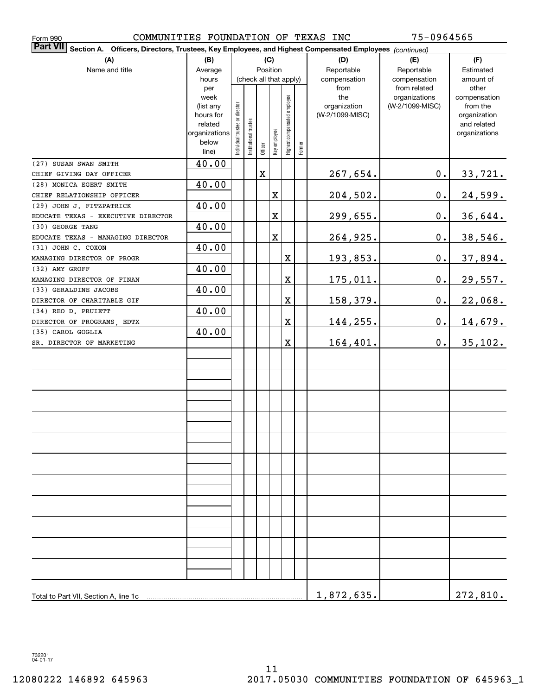| 75-0964565<br>COMMUNITIES FOUNDATION OF TEXAS INC<br>Form 990                                                       |                |                                |                        |             |              |                              |        |                 |                               |                       |  |  |
|---------------------------------------------------------------------------------------------------------------------|----------------|--------------------------------|------------------------|-------------|--------------|------------------------------|--------|-----------------|-------------------------------|-----------------------|--|--|
| Part VII <br>Section A. Officers, Directors, Trustees, Key Employees, and Highest Compensated Employees (continued) |                |                                |                        |             |              |                              |        |                 |                               |                       |  |  |
| (A)                                                                                                                 | (B)            |                                |                        |             | (C)          |                              |        | (D)             | (E)                           | (F)                   |  |  |
| Name and title                                                                                                      | Average        |                                |                        |             | Position     |                              |        | Reportable      | Reportable                    | Estimated             |  |  |
|                                                                                                                     | hours          |                                | (check all that apply) |             |              |                              |        | compensation    | compensation                  | amount of             |  |  |
|                                                                                                                     | per<br>week    |                                |                        |             |              |                              |        | from<br>the     | from related<br>organizations | other<br>compensation |  |  |
|                                                                                                                     | (list any      |                                |                        |             |              |                              |        | organization    | (W-2/1099-MISC)               | from the              |  |  |
|                                                                                                                     | hours for      |                                |                        |             |              |                              |        | (W-2/1099-MISC) |                               | organization          |  |  |
|                                                                                                                     | related        |                                |                        |             |              |                              |        |                 |                               | and related           |  |  |
|                                                                                                                     | organizations  |                                |                        |             |              |                              |        |                 |                               | organizations         |  |  |
|                                                                                                                     | below<br>line) | Individual trustee or director | Institutional trustee  | Officer     | Key employee | Highest compensated employee | Former |                 |                               |                       |  |  |
| (27) SUSAN SWAN SMITH                                                                                               | 40.00          |                                |                        |             |              |                              |        |                 |                               |                       |  |  |
| CHIEF GIVING DAY OFFICER                                                                                            |                |                                |                        | $\mathbf X$ |              |                              |        | 267,654.        | $\mathbf 0$ .                 | 33,721.               |  |  |
| (28) MONICA EGERT SMITH                                                                                             | 40.00          |                                |                        |             |              |                              |        |                 |                               |                       |  |  |
| CHIEF RELATIONSHIP OFFICER                                                                                          |                |                                |                        |             | $\mathbf X$  |                              |        | 204,502.        | $\mathbf 0$ .                 | 24,599.               |  |  |
| (29) JOHN J. FITZPATRICK                                                                                            | 40.00          |                                |                        |             |              |                              |        |                 |                               |                       |  |  |
| EDUCATE TEXAS - EXECUTIVE DIRECTOR                                                                                  |                |                                |                        |             | $\mathbf X$  |                              |        | 299,655.        | 0.                            | 36,644.               |  |  |
| (30) GEORGE TANG                                                                                                    | 40.00          |                                |                        |             |              |                              |        |                 |                               |                       |  |  |
| EDUCATE TEXAS - MANAGING DIRECTOR                                                                                   |                |                                |                        |             | $\mathbf X$  |                              |        | 264,925.        | 0.                            | 38,546.               |  |  |
| (31) JOHN C. COXON                                                                                                  | 40.00          |                                |                        |             |              |                              |        |                 |                               |                       |  |  |
| MANAGING DIRECTOR OF PROGR                                                                                          |                |                                |                        |             |              | Χ                            |        | <u>193,853.</u> | $\mathbf 0$ .                 | 37,894.               |  |  |
| (32) AMY GROFF                                                                                                      | 40.00          |                                |                        |             |              |                              |        |                 |                               |                       |  |  |
| MANAGING DIRECTOR OF FINAN                                                                                          |                |                                |                        |             |              | $\mathbf X$                  |        | 175,011.        | 0.                            | 29,557.               |  |  |
| (33) GERALDINE JACOBS                                                                                               | 40.00          |                                |                        |             |              |                              |        |                 |                               |                       |  |  |
| DIRECTOR OF CHARITABLE GIF                                                                                          |                |                                |                        |             |              | $\mathbf X$                  |        | <u>158,379.</u> | 0.                            | 22,068.               |  |  |
| (34) REO D. PRUIETT                                                                                                 | 40.00          |                                |                        |             |              |                              |        |                 |                               |                       |  |  |
| DIRECTOR OF PROGRAMS, EDTX                                                                                          |                |                                |                        |             |              | $\overline{\textbf{X}}$      |        | 144,255.        | 0.                            | <u>14,679.</u>        |  |  |
| (35) CAROL GOGLIA                                                                                                   | 40.00          |                                |                        |             |              |                              |        |                 |                               |                       |  |  |
| SR. DIRECTOR OF MARKETING                                                                                           |                |                                |                        |             |              | $\overline{\textbf{X}}$      |        | 164,401.        | $\mathbf 0$ .                 | 35,102.               |  |  |
|                                                                                                                     |                |                                |                        |             |              |                              |        |                 |                               |                       |  |  |
|                                                                                                                     |                |                                |                        |             |              |                              |        |                 |                               |                       |  |  |
|                                                                                                                     |                |                                |                        |             |              |                              |        |                 |                               |                       |  |  |
|                                                                                                                     |                |                                |                        |             |              |                              |        |                 |                               |                       |  |  |
|                                                                                                                     |                |                                |                        |             |              |                              |        |                 |                               |                       |  |  |
|                                                                                                                     |                |                                |                        |             |              |                              |        |                 |                               |                       |  |  |
|                                                                                                                     |                |                                |                        |             |              |                              |        |                 |                               |                       |  |  |
|                                                                                                                     |                |                                |                        |             |              |                              |        |                 |                               |                       |  |  |
|                                                                                                                     |                |                                |                        |             |              |                              |        |                 |                               |                       |  |  |
|                                                                                                                     |                |                                |                        |             |              |                              |        |                 |                               |                       |  |  |
|                                                                                                                     |                |                                |                        |             |              |                              |        |                 |                               |                       |  |  |
|                                                                                                                     |                |                                |                        |             |              |                              |        |                 |                               |                       |  |  |
|                                                                                                                     |                |                                |                        |             |              |                              |        |                 |                               |                       |  |  |
|                                                                                                                     |                |                                |                        |             |              |                              |        |                 |                               |                       |  |  |
|                                                                                                                     |                |                                |                        |             |              |                              |        |                 |                               |                       |  |  |
|                                                                                                                     |                |                                |                        |             |              |                              |        |                 |                               |                       |  |  |
|                                                                                                                     |                |                                |                        |             |              |                              |        |                 |                               |                       |  |  |
|                                                                                                                     |                |                                |                        |             |              |                              |        |                 |                               |                       |  |  |
|                                                                                                                     |                |                                |                        |             |              |                              |        |                 |                               |                       |  |  |
|                                                                                                                     |                |                                |                        |             |              |                              |        |                 |                               |                       |  |  |
|                                                                                                                     |                |                                |                        |             |              |                              |        |                 |                               |                       |  |  |
| Total to Part VII, Section A, line 1c                                                                               | 1,872,635.     |                                | 272,810.               |             |              |                              |        |                 |                               |                       |  |  |

732201 04-01-17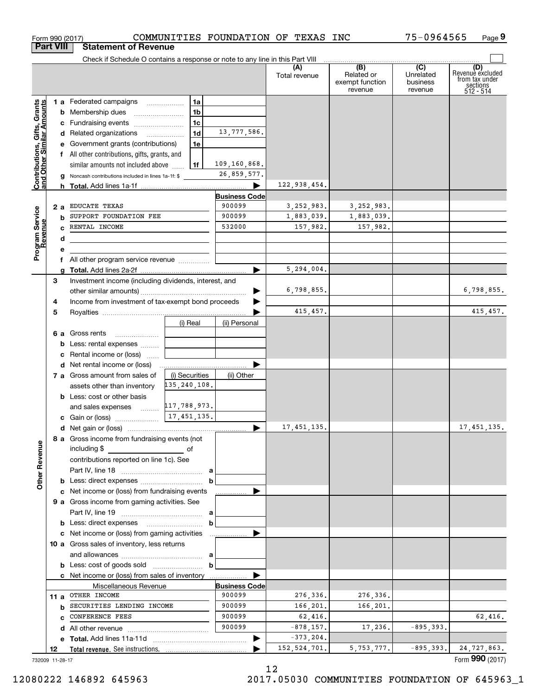| Form 990 (2017)                                           |     |                                                                                           |                | COMMUNITIES FOUNDATION OF TEXAS INC |                      |                                                 | 75-0964565                                         | Page 9                                                             |
|-----------------------------------------------------------|-----|-------------------------------------------------------------------------------------------|----------------|-------------------------------------|----------------------|-------------------------------------------------|----------------------------------------------------|--------------------------------------------------------------------|
| <b>Part VIII</b>                                          |     | <b>Statement of Revenue</b>                                                               |                |                                     |                      |                                                 |                                                    |                                                                    |
|                                                           |     | Check if Schedule O contains a response or note to any line in this Part VIII             |                |                                     |                      |                                                 |                                                    |                                                                    |
|                                                           |     |                                                                                           |                |                                     | (A)<br>Total revenue | (B)<br>Related or<br>exempt function<br>revenue | $\overline{C}$<br>Unrelated<br>business<br>revenue | (D)<br>Revenue excluded<br>from tax under<br>sections<br>512 - 514 |
|                                                           |     | 1 a Federated campaigns                                                                   | 1a             |                                     |                      |                                                 |                                                    |                                                                    |
| Contributions, Gifts, Grants<br>and Other Similar Amounts |     | <b>b</b> Membership dues                                                                  | 1 <sub>b</sub> |                                     |                      |                                                 |                                                    |                                                                    |
|                                                           |     | c Fundraising events                                                                      | 1 <sub>c</sub> |                                     |                      |                                                 |                                                    |                                                                    |
|                                                           |     | d Related organizations                                                                   | 1d             | 13,777,586.                         |                      |                                                 |                                                    |                                                                    |
|                                                           |     | e Government grants (contributions)                                                       | 1e             |                                     |                      |                                                 |                                                    |                                                                    |
|                                                           |     | f All other contributions, gifts, grants, and                                             |                |                                     |                      |                                                 |                                                    |                                                                    |
|                                                           |     | similar amounts not included above                                                        | 1f             | 109,160,868.                        |                      |                                                 |                                                    |                                                                    |
|                                                           |     | g Noncash contributions included in lines 1a-1f: \$                                       |                | 26,859,577.                         |                      |                                                 |                                                    |                                                                    |
|                                                           |     |                                                                                           |                |                                     | 122,938,454.         |                                                 |                                                    |                                                                    |
|                                                           |     |                                                                                           |                | <b>Business Code</b>                |                      |                                                 |                                                    |                                                                    |
|                                                           | 2 a | <b>EDUCATE TEXAS</b>                                                                      |                | 900099                              | 3,252,983.           | 3, 252, 983.                                    |                                                    |                                                                    |
| Program Service<br>Revenue                                |     | <b>b</b> SUPPORT FOUNDATION FEE                                                           |                | 900099                              | 1,883,039.           | 1,883,039.                                      |                                                    |                                                                    |
|                                                           |     | C RENTAL INCOME                                                                           |                | 532000                              | 157,982.             | 157,982.                                        |                                                    |                                                                    |
|                                                           | d   | the control of the control of the control of the control of the control of the control of |                |                                     |                      |                                                 |                                                    |                                                                    |
|                                                           | е   |                                                                                           |                |                                     |                      |                                                 |                                                    |                                                                    |
|                                                           |     | f All other program service revenue                                                       |                |                                     |                      |                                                 |                                                    |                                                                    |
|                                                           | a   |                                                                                           |                |                                     | 5,294,004.           |                                                 |                                                    |                                                                    |
| 3                                                         |     | Investment income (including dividends, interest, and                                     |                |                                     |                      |                                                 |                                                    |                                                                    |
|                                                           |     |                                                                                           |                | ▶                                   | 6,798,855.           |                                                 |                                                    | 6,798,855.                                                         |
| 4                                                         |     | Income from investment of tax-exempt bond proceeds                                        |                |                                     |                      |                                                 |                                                    |                                                                    |
| 5                                                         |     |                                                                                           |                |                                     | 415,457.             |                                                 |                                                    | 415, 457.                                                          |
|                                                           |     |                                                                                           | (i) Real       | (ii) Personal                       |                      |                                                 |                                                    |                                                                    |
|                                                           |     | 6 a Gross rents                                                                           |                |                                     |                      |                                                 |                                                    |                                                                    |
|                                                           |     | <b>b</b> Less: rental expenses                                                            |                |                                     |                      |                                                 |                                                    |                                                                    |
|                                                           |     | <b>c</b> Rental income or (loss) $\ldots$                                                 |                |                                     |                      |                                                 |                                                    |                                                                    |
|                                                           |     |                                                                                           |                |                                     |                      |                                                 |                                                    |                                                                    |
|                                                           |     | 7 a Gross amount from sales of                                                            | (i) Securities | (ii) Other                          |                      |                                                 |                                                    |                                                                    |
|                                                           |     | assets other than inventory                                                               | 135,240,108.   |                                     |                      |                                                 |                                                    |                                                                    |
|                                                           |     | <b>b</b> Less: cost or other basis                                                        |                |                                     |                      |                                                 |                                                    |                                                                    |
|                                                           |     | and sales expenses                                                                        | 117,788,973.   |                                     |                      |                                                 |                                                    |                                                                    |
|                                                           |     | c Gain or (loss)                                                                          | 17, 451, 135.  |                                     |                      |                                                 |                                                    |                                                                    |
|                                                           |     |                                                                                           |                |                                     | 17, 451, 135.        |                                                 |                                                    | 17, 451, 135.                                                      |
| <b>Other Revenue</b>                                      |     | 8 a Gross income from fundraising events (not<br>including \$                             |                |                                     |                      |                                                 |                                                    |                                                                    |
|                                                           |     | contributions reported on line 1c). See                                                   |                |                                     |                      |                                                 |                                                    |                                                                    |
|                                                           |     |                                                                                           |                |                                     |                      |                                                 |                                                    |                                                                    |
|                                                           |     |                                                                                           |                | b                                   |                      |                                                 |                                                    |                                                                    |
|                                                           |     | c Net income or (loss) from fundraising events                                            |                |                                     |                      |                                                 |                                                    |                                                                    |
|                                                           |     | 9 a Gross income from gaming activities. See                                              |                |                                     |                      |                                                 |                                                    |                                                                    |
|                                                           |     |                                                                                           |                |                                     |                      |                                                 |                                                    |                                                                    |
|                                                           |     |                                                                                           |                |                                     |                      |                                                 |                                                    |                                                                    |
|                                                           |     |                                                                                           |                | b                                   |                      |                                                 |                                                    |                                                                    |
|                                                           |     |                                                                                           |                |                                     |                      |                                                 |                                                    |                                                                    |
|                                                           |     | 10 a Gross sales of inventory, less returns                                               |                |                                     |                      |                                                 |                                                    |                                                                    |
|                                                           |     |                                                                                           |                |                                     |                      |                                                 |                                                    |                                                                    |
|                                                           |     |                                                                                           |                | $\mathbf b$                         |                      |                                                 |                                                    |                                                                    |
|                                                           |     |                                                                                           |                |                                     |                      |                                                 |                                                    |                                                                    |
|                                                           |     | c Net income or (loss) from sales of inventory                                            |                |                                     |                      |                                                 |                                                    |                                                                    |
|                                                           |     | Miscellaneous Revenue                                                                     |                | <b>Business Code</b>                |                      |                                                 |                                                    |                                                                    |
|                                                           |     | 11 a OTHER INCOME                                                                         |                | 900099                              | 276,336.             | 276,336.                                        |                                                    |                                                                    |
|                                                           |     | <b>b</b> SECURITIES LENDING INCOME                                                        |                | 900099                              | 166,201.             | 166,201.                                        |                                                    |                                                                    |
|                                                           |     | C CONFERENCE FEES                                                                         |                | 900099                              | 62,416.              |                                                 |                                                    |                                                                    |
|                                                           |     |                                                                                           |                | 900099                              | $-878, 157.$         | 17,236.                                         | $-895, 393.$                                       |                                                                    |
|                                                           |     |                                                                                           |                | ▶                                   | $-373, 204.$         |                                                 | $-895, 393.$                                       | 62,416.<br>24,727,863.                                             |

12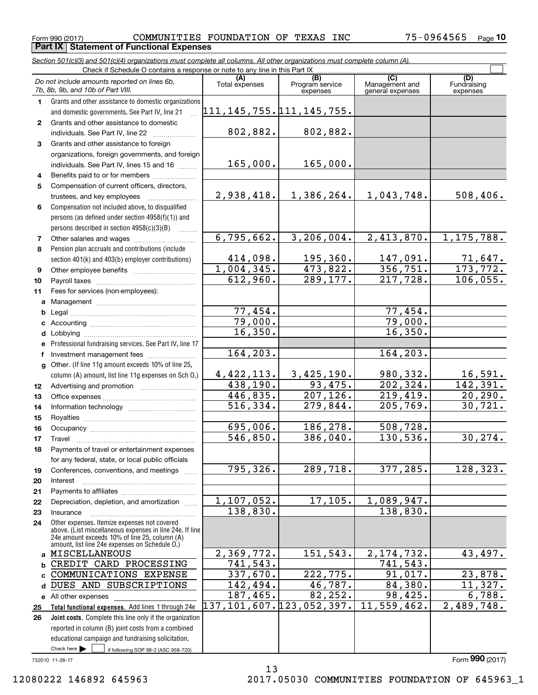**Part IX Statement of Functional Expenses** 

*Section 501(c)(3) and 501(c)(4) organizations must complete all columns. All other organizations must complete column (A).*

|          | Do not include amounts reported on lines 6b,<br>7b, 8b, 9b, and 10b of Part VIII.                         | (A)<br>Total expenses | (B)<br>Program service<br>expenses | (C)<br>Management and<br>general expenses | (D)<br>Fundraising<br>expenses |  |  |  |  |  |
|----------|-----------------------------------------------------------------------------------------------------------|-----------------------|------------------------------------|-------------------------------------------|--------------------------------|--|--|--|--|--|
| 1.       | Grants and other assistance to domestic organizations                                                     |                       |                                    |                                           |                                |  |  |  |  |  |
|          | and domestic governments. See Part IV, line 21                                                            |                       | 111,145,755.111,145,755.           |                                           |                                |  |  |  |  |  |
| 2        | Grants and other assistance to domestic                                                                   |                       |                                    |                                           |                                |  |  |  |  |  |
|          | individuals. See Part IV, line 22                                                                         | 802,882.              | 802,882.                           |                                           |                                |  |  |  |  |  |
| 3        | Grants and other assistance to foreign                                                                    |                       |                                    |                                           |                                |  |  |  |  |  |
|          | organizations, foreign governments, and foreign                                                           |                       |                                    |                                           |                                |  |  |  |  |  |
|          | individuals. See Part IV, lines 15 and 16                                                                 | 165,000.              | 165,000.                           |                                           |                                |  |  |  |  |  |
| 4        | Benefits paid to or for members                                                                           |                       |                                    |                                           |                                |  |  |  |  |  |
| 5        | Compensation of current officers, directors,                                                              |                       |                                    |                                           |                                |  |  |  |  |  |
|          |                                                                                                           | 2,938,418.            | 1,386,264.                         | 1,043,748.                                | 508,406.                       |  |  |  |  |  |
| 6        | Compensation not included above, to disqualified                                                          |                       |                                    |                                           |                                |  |  |  |  |  |
|          | persons (as defined under section 4958(f)(1)) and                                                         |                       |                                    |                                           |                                |  |  |  |  |  |
|          | persons described in section 4958(c)(3)(B)                                                                |                       |                                    |                                           |                                |  |  |  |  |  |
| 7        | Other salaries and wages                                                                                  | 6,795,662.            | 3, 206, 004.                       | 2,413,870.                                | 1, 175, 788.                   |  |  |  |  |  |
| 8        | Pension plan accruals and contributions (include                                                          |                       |                                    |                                           |                                |  |  |  |  |  |
|          | section 401(k) and 403(b) employer contributions)                                                         | 414,098.              | 195,360.                           | 147,091.                                  | $\frac{71,647}{173,772}$       |  |  |  |  |  |
| 9        |                                                                                                           | 1,004,345.            | 473,822.                           | 356, 751.                                 |                                |  |  |  |  |  |
| 10       |                                                                                                           | 612,960.              | 289,177.                           | 217,728.                                  | 106,055.                       |  |  |  |  |  |
| 11       | Fees for services (non-employees):                                                                        |                       |                                    |                                           |                                |  |  |  |  |  |
| a        |                                                                                                           |                       |                                    |                                           |                                |  |  |  |  |  |
| b        |                                                                                                           | 77,454.               |                                    | 77,454.                                   |                                |  |  |  |  |  |
| c        |                                                                                                           | 79,000.<br>16,350.    |                                    | 79,000.<br>16,350.                        |                                |  |  |  |  |  |
| d        |                                                                                                           |                       |                                    |                                           |                                |  |  |  |  |  |
| е        | Professional fundraising services. See Part IV, line 17                                                   | 164,203.              |                                    | 164, 203.                                 |                                |  |  |  |  |  |
| f        | Investment management fees                                                                                |                       |                                    |                                           |                                |  |  |  |  |  |
| g        | Other. (If line 11g amount exceeds 10% of line 25,                                                        | 4,422,113.            | 3,425,190.                         | 980,332.                                  | 16,591.                        |  |  |  |  |  |
|          | column (A) amount, list line 11g expenses on Sch O.)                                                      | 438,190.              | 93,475.                            | 202, 324.                                 | 142,391.                       |  |  |  |  |  |
| 12<br>13 |                                                                                                           | 446,835.              | 207, 126.                          | 219,419.                                  | 20, 290.                       |  |  |  |  |  |
| 14       |                                                                                                           | 516,334.              | 279,844.                           | 205, 769.                                 | 30, 721.                       |  |  |  |  |  |
| 15       |                                                                                                           |                       |                                    |                                           |                                |  |  |  |  |  |
| 16       |                                                                                                           | 695,006.              | 186,278.                           | 508,728.                                  |                                |  |  |  |  |  |
| 17       | Travel                                                                                                    | 546,850.              | 386,040.                           | 130,536.                                  | 30, 274.                       |  |  |  |  |  |
| 18       | Payments of travel or entertainment expenses                                                              |                       |                                    |                                           |                                |  |  |  |  |  |
|          | for any federal, state, or local public officials                                                         |                       |                                    |                                           |                                |  |  |  |  |  |
| 19       | Conferences, conventions, and meetings                                                                    | 795,326.              | 289,718.                           | 377,285.                                  | 128,323.                       |  |  |  |  |  |
| 20       | Interest                                                                                                  |                       |                                    |                                           |                                |  |  |  |  |  |
| 21       |                                                                                                           |                       |                                    |                                           |                                |  |  |  |  |  |
| 22       | Depreciation, depletion, and amortization                                                                 | 1, 107, 052.          | 17, 105.                           | 1,089,947.                                |                                |  |  |  |  |  |
| 23       | Insurance                                                                                                 | 138,830.              |                                    | 138,830.                                  |                                |  |  |  |  |  |
| 24       | Other expenses. Itemize expenses not covered                                                              |                       |                                    |                                           |                                |  |  |  |  |  |
|          | above. (List miscellaneous expenses in line 24e. If line<br>24e amount exceeds 10% of line 25, column (A) |                       |                                    |                                           |                                |  |  |  |  |  |
|          | amount, list line 24e expenses on Schedule 0.)                                                            |                       |                                    |                                           |                                |  |  |  |  |  |
|          | a MISCELLANEOUS                                                                                           | 2,369,772.            | 151,543.                           | 2, 174, 732.                              | 43,497.                        |  |  |  |  |  |
| b        | CREDIT CARD PROCESSING                                                                                    | 741,543.              |                                    | 741,543.                                  |                                |  |  |  |  |  |
|          | c COMMUNICATIONS EXPENSE                                                                                  | 337,670.              | 222, 775.                          | 91,017.                                   | 23,878.                        |  |  |  |  |  |
| d        | DUES AND SUBSCRIPTIONS                                                                                    | 142,494.              | 46,787.                            | 84,380.                                   | 11,327.                        |  |  |  |  |  |
|          | e All other expenses                                                                                      | 187,465.              | 82, 252.                           | 98,425.                                   | 6,788.                         |  |  |  |  |  |
| 25       | Total functional expenses. Add lines 1 through 24e                                                        |                       | 137,101,607.123,052,397.           | 11,559,462.                               | 2,489,748.                     |  |  |  |  |  |
| 26       | Joint costs. Complete this line only if the organization                                                  |                       |                                    |                                           |                                |  |  |  |  |  |
|          | reported in column (B) joint costs from a combined                                                        |                       |                                    |                                           |                                |  |  |  |  |  |
|          | educational campaign and fundraising solicitation.<br>Check here $\blacktriangleright$                    |                       |                                    |                                           |                                |  |  |  |  |  |
|          | if following SOP 98-2 (ASC 958-720)                                                                       |                       |                                    |                                           |                                |  |  |  |  |  |

13

732010 11-28-17

Form (2017) **990**

12080222 146892 645963 2017.05030 COMMUNITIES FOUNDATION OF 645963\_1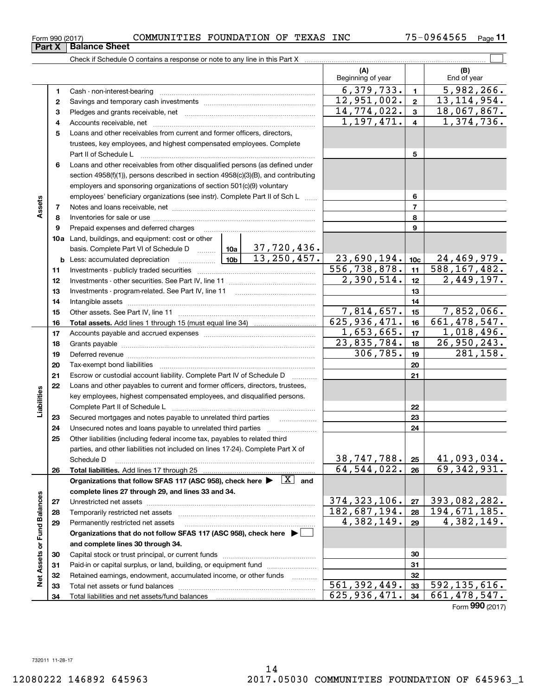| Form 990 (2017) | COMMUNITIES FOUNDATION OF TEXAS INC |  |  | 75-0964565 | Page |
|-----------------|-------------------------------------|--|--|------------|------|
|                 |                                     |  |  |            |      |

 $\mathcal{L}^{\text{max}}$ Check if Schedule O contains a response or note to any line in this Part X **(A) (B)** Beginning of year  $\begin{vmatrix} 1 & 1 \\ 1 & 1 \end{vmatrix}$  End of year  $6,379,733.$   $1$  5,982,266. **11**Cash - non-interest-bearing ~~~~~~~~~~~~~~~~~~~~~~~~~  $12,951,002. | z | 13,114,954.$ **22**Savings and temporary cash investments ~~~~~~~~~~~~~~~~~~14,774,022. 3 18,067,867. **33** Pledges and grants receivable, net  $\ldots$  **multimes contained and grants receivable**, net **multimes contained and grants receivable**, net **multimes contained and grants receivable**  $1,197,471. | 4 | 1,374,736.$ Accounts receivable, net ~~~~~~~~~~~~~~~~~~~~~~~~~~ **445**Loans and other receivables from current and former officers, directors, trustees, key employees, and highest compensated employees. Complete Part II of Schedule L ~~~~~~~~~~~~~~~~~~~~~~~~~~~~ **5**Loans and other receivables from other disqualified persons (as defined under **6**section 4958(f)(1)), persons described in section 4958(c)(3)(B), and contributing employers and sponsoring organizations of section 501(c)(9) voluntary employees' beneficiary organizations (see instr). Complete Part II of Sch L **6Assets 77**Notes and loans receivable, net ~~~~~~~~~~~~~~~~~~~~~~~ **88**Inventories for sale or use ~~~~~~~~~~~~~~~~~~~~~~~~~~ Prepaid expenses and deferred charges **9910a**Land, buildings, and equipment: cost or other 37,720,436. basis. Complete Part VI of Schedule D will aller 13,250,457. 23,690,194. 24,469,979. **10cb** Less: accumulated depreciation \_\_\_\_\_\_\_\_\_\_\_\_\_\_\_ Lub 556,738,878. 11 588,167,482. **1111**Investments - publicly traded securities ~~~~~~~~~~~~~~~~~~~  $2,390,514.$   $12$   $2,449,197.$ **1212**Investments - other securities. See Part IV, line 11 ~~~~~~~~~~~~~~**13**Investments - program-related. See Part IV, line 11 **131414**Intangible assets ……………………………………………………………………………………  $7,814,657.$  15 7,852,066. Other assets. See Part IV, line 11 ~~~~~~~~~~~~~~~~~~~~~~ **151516**625,936,471. 16 661,478,547. **16Total assets.**  Add lines 1 through 15 (must equal line 34)  $1,653,665.$  17 1,018,496. **1717**Accounts payable and accrued expenses ~~~~~~~~~~~~~~~~~~23,835,784. 18 26,950,243. **1818**Grants payable ~~~~~~~~~~~~~~~~~~~~~~~~~~~~~~~  $306, 785.$  19 281, 158. **1919**Deferred revenue et al. and the state of the state of the state of the state of the state of the state of the state of the state of the state of the state of the state of the state of the state of the state of the state of **2020**Tax-exempt bond liabilities …………………………………………………………… **21**Escrow or custodial account liability. Complete Part IV of Schedule D **21**Loans and other payables to current and former officers, directors, trustees, **22**Liabilities **Liabilities** key employees, highest compensated employees, and disqualified persons. Complete Part II of Schedule L <sub>…………………………………………………………</sub> **2223**Secured mortgages and notes payable to unrelated third parties **23**Unsecured notes and loans payable to unrelated third parties ~~~~~~~~~~~~~~~~~~~~ **2424**Other liabilities (including federal income tax, payables to related third **25**parties, and other liabilities not included on lines 17-24). Complete Part X of Schedule D ~~~~~~~~~~~~~~~~~~~~~~~~~~~~~~~~ **25**38,747,788. 41,093,034.  $64,544,022.$   $26$  69,342,931. **2626Total liabilities.**  Add lines 17 through 25 Organizations that follow SFAS 117 (ASC 958), check here  $\blacktriangleright$   $\boxed{\text{X}}$  and **complete lines 27 through 29, and lines 33 and 34. Net Assets or Fund Balances Net Assets or Fund Balances**  $374,323,106$ .  $|z_7|393,082,282$ . **2727**Unrestricted net assets ~~~~~~~~~~~~~~~~~~~~~~~~~~~ 182,687,194. 194,671,185. **2828**Temporarily restricted net assets ~~~~~~~~~~~~~~~~~~~~~~ 4,382,149. 4,382,149. **2929**Permanently restricted net assets …………………………………………………… **Organizations that do not follow SFAS 117 (ASC 958), check here** | **and complete lines 30 through 34. 3030**Capital stock or trust principal, or current funds ~~~~~~~~~~~~~~~ **3131**Paid-in or capital surplus, or land, building, or equipment fund will concurred. **3232**Retained earnings, endowment, accumulated income, or other funds www.com  $561,392,449.$   $33 \mid 592,135,616.$ **33**Total net assets or fund balances ~~~~~~~~~~~~~~~~~~~~~~ **33**625,936,471. 661,478,547. **34**Total liabilities and net assets/fund balances **34**Form (2017) **990**

**Part X** Balance Sheet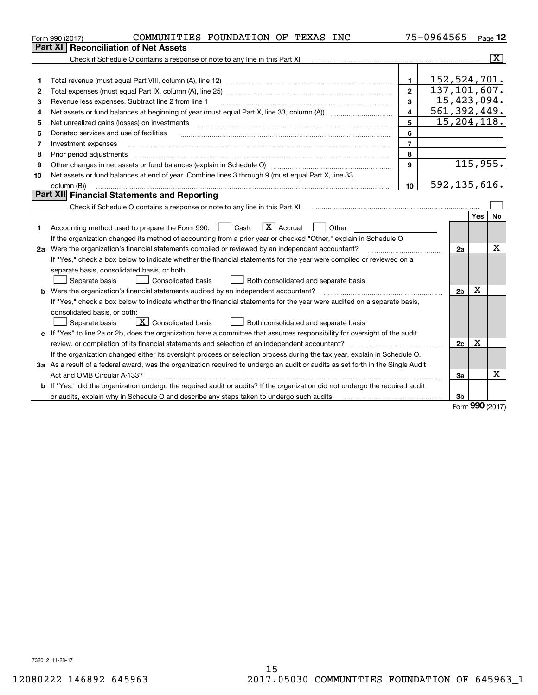| Part XI<br>$\overline{\mathbf{X}}$<br>Check if Schedule O contains a response or note to any line in this Part XI [11] [12] Check if Schedule O contains a response or note to any line in this Part XI<br>152, 524, 701.<br>$\mathbf{1}$<br>Total revenue (must equal Part VIII, column (A), line 12)<br>1<br>137, 101, 607.<br>$\overline{2}$<br>2<br>15,423,094.<br>3<br>3<br>Revenue less expenses. Subtract line 2 from line 1<br>561, 392, 449.<br>$\overline{\mathbf{A}}$<br>4<br>15, 204, 118.<br>5<br>Net unrealized gains (losses) on investments<br>5<br>6<br>Donated services and use of facilities<br>6<br>$\overline{7}$<br>Investment expenses<br>7<br>8<br>Prior period adjustments<br>8<br>115,955.<br>$\mathbf{Q}$<br>Other changes in net assets or fund balances (explain in Schedule O) [11] [2000] [2000] [2000] [2000] [2000] [<br>9<br>Net assets or fund balances at end of year. Combine lines 3 through 9 (must equal Part X, line 33,<br>10<br>592, 135, 616.<br>10<br>column (B))<br>Part XII Financial Statements and Reporting<br><b>No</b><br>Yes<br>$\boxed{\mathbf{X}}$ Accrual<br>Accounting method used to prepare the Form 990: <u>[</u> Cash<br>Other<br>1.<br>If the organization changed its method of accounting from a prior year or checked "Other," explain in Schedule O.<br>Χ<br>2a Were the organization's financial statements compiled or reviewed by an independent accountant?<br>2a<br>If "Yes," check a box below to indicate whether the financial statements for the year were compiled or reviewed on a<br>separate basis, consolidated basis, or both:<br>Both consolidated and separate basis<br>Separate basis<br>Consolidated basis<br>X<br><b>b</b> Were the organization's financial statements audited by an independent accountant?<br>2 <sub>b</sub><br>If "Yes," check a box below to indicate whether the financial statements for the year were audited on a separate basis,<br>consolidated basis, or both:<br>$\overline{X}$ Consolidated basis<br>Separate basis<br>Both consolidated and separate basis<br>c If "Yes" to line 2a or 2b, does the organization have a committee that assumes responsibility for oversight of the audit,<br>X<br>2c<br>If the organization changed either its oversight process or selection process during the tax year, explain in Schedule O.<br>3a As a result of a federal award, was the organization required to undergo an audit or audits as set forth in the Single Audit<br>Χ<br>За<br><b>b</b> If "Yes," did the organization undergo the required audit or audits? If the organization did not undergo the required audit<br>3b<br>or audits, explain why in Schedule O and describe any steps taken to undergo such audits matures and the matur<br>$000 -$ | COMMUNITIES FOUNDATION OF TEXAS INC<br>Form 990 (2017) | 75-0964565 |  | Page 12 |
|---------------------------------------------------------------------------------------------------------------------------------------------------------------------------------------------------------------------------------------------------------------------------------------------------------------------------------------------------------------------------------------------------------------------------------------------------------------------------------------------------------------------------------------------------------------------------------------------------------------------------------------------------------------------------------------------------------------------------------------------------------------------------------------------------------------------------------------------------------------------------------------------------------------------------------------------------------------------------------------------------------------------------------------------------------------------------------------------------------------------------------------------------------------------------------------------------------------------------------------------------------------------------------------------------------------------------------------------------------------------------------------------------------------------------------------------------------------------------------------------------------------------------------------------------------------------------------------------------------------------------------------------------------------------------------------------------------------------------------------------------------------------------------------------------------------------------------------------------------------------------------------------------------------------------------------------------------------------------------------------------------------------------------------------------------------------------------------------------------------------------------------------------------------------------------------------------------------------------------------------------------------------------------------------------------------------------------------------------------------------------------------------------------------------------------------------------------------------------------------------------------------------------------------------------------------------------------------------------------------------------------------------------------------------------------------------------------------------------------------------------------------------------------|--------------------------------------------------------|------------|--|---------|
|                                                                                                                                                                                                                                                                                                                                                                                                                                                                                                                                                                                                                                                                                                                                                                                                                                                                                                                                                                                                                                                                                                                                                                                                                                                                                                                                                                                                                                                                                                                                                                                                                                                                                                                                                                                                                                                                                                                                                                                                                                                                                                                                                                                                                                                                                                                                                                                                                                                                                                                                                                                                                                                                                                                                                                                 | <b>Reconciliation of Net Assets</b>                    |            |  |         |
|                                                                                                                                                                                                                                                                                                                                                                                                                                                                                                                                                                                                                                                                                                                                                                                                                                                                                                                                                                                                                                                                                                                                                                                                                                                                                                                                                                                                                                                                                                                                                                                                                                                                                                                                                                                                                                                                                                                                                                                                                                                                                                                                                                                                                                                                                                                                                                                                                                                                                                                                                                                                                                                                                                                                                                                 |                                                        |            |  |         |
|                                                                                                                                                                                                                                                                                                                                                                                                                                                                                                                                                                                                                                                                                                                                                                                                                                                                                                                                                                                                                                                                                                                                                                                                                                                                                                                                                                                                                                                                                                                                                                                                                                                                                                                                                                                                                                                                                                                                                                                                                                                                                                                                                                                                                                                                                                                                                                                                                                                                                                                                                                                                                                                                                                                                                                                 |                                                        |            |  |         |
|                                                                                                                                                                                                                                                                                                                                                                                                                                                                                                                                                                                                                                                                                                                                                                                                                                                                                                                                                                                                                                                                                                                                                                                                                                                                                                                                                                                                                                                                                                                                                                                                                                                                                                                                                                                                                                                                                                                                                                                                                                                                                                                                                                                                                                                                                                                                                                                                                                                                                                                                                                                                                                                                                                                                                                                 |                                                        |            |  |         |
|                                                                                                                                                                                                                                                                                                                                                                                                                                                                                                                                                                                                                                                                                                                                                                                                                                                                                                                                                                                                                                                                                                                                                                                                                                                                                                                                                                                                                                                                                                                                                                                                                                                                                                                                                                                                                                                                                                                                                                                                                                                                                                                                                                                                                                                                                                                                                                                                                                                                                                                                                                                                                                                                                                                                                                                 |                                                        |            |  |         |
|                                                                                                                                                                                                                                                                                                                                                                                                                                                                                                                                                                                                                                                                                                                                                                                                                                                                                                                                                                                                                                                                                                                                                                                                                                                                                                                                                                                                                                                                                                                                                                                                                                                                                                                                                                                                                                                                                                                                                                                                                                                                                                                                                                                                                                                                                                                                                                                                                                                                                                                                                                                                                                                                                                                                                                                 |                                                        |            |  |         |
|                                                                                                                                                                                                                                                                                                                                                                                                                                                                                                                                                                                                                                                                                                                                                                                                                                                                                                                                                                                                                                                                                                                                                                                                                                                                                                                                                                                                                                                                                                                                                                                                                                                                                                                                                                                                                                                                                                                                                                                                                                                                                                                                                                                                                                                                                                                                                                                                                                                                                                                                                                                                                                                                                                                                                                                 |                                                        |            |  |         |
|                                                                                                                                                                                                                                                                                                                                                                                                                                                                                                                                                                                                                                                                                                                                                                                                                                                                                                                                                                                                                                                                                                                                                                                                                                                                                                                                                                                                                                                                                                                                                                                                                                                                                                                                                                                                                                                                                                                                                                                                                                                                                                                                                                                                                                                                                                                                                                                                                                                                                                                                                                                                                                                                                                                                                                                 |                                                        |            |  |         |
|                                                                                                                                                                                                                                                                                                                                                                                                                                                                                                                                                                                                                                                                                                                                                                                                                                                                                                                                                                                                                                                                                                                                                                                                                                                                                                                                                                                                                                                                                                                                                                                                                                                                                                                                                                                                                                                                                                                                                                                                                                                                                                                                                                                                                                                                                                                                                                                                                                                                                                                                                                                                                                                                                                                                                                                 |                                                        |            |  |         |
|                                                                                                                                                                                                                                                                                                                                                                                                                                                                                                                                                                                                                                                                                                                                                                                                                                                                                                                                                                                                                                                                                                                                                                                                                                                                                                                                                                                                                                                                                                                                                                                                                                                                                                                                                                                                                                                                                                                                                                                                                                                                                                                                                                                                                                                                                                                                                                                                                                                                                                                                                                                                                                                                                                                                                                                 |                                                        |            |  |         |
|                                                                                                                                                                                                                                                                                                                                                                                                                                                                                                                                                                                                                                                                                                                                                                                                                                                                                                                                                                                                                                                                                                                                                                                                                                                                                                                                                                                                                                                                                                                                                                                                                                                                                                                                                                                                                                                                                                                                                                                                                                                                                                                                                                                                                                                                                                                                                                                                                                                                                                                                                                                                                                                                                                                                                                                 |                                                        |            |  |         |
|                                                                                                                                                                                                                                                                                                                                                                                                                                                                                                                                                                                                                                                                                                                                                                                                                                                                                                                                                                                                                                                                                                                                                                                                                                                                                                                                                                                                                                                                                                                                                                                                                                                                                                                                                                                                                                                                                                                                                                                                                                                                                                                                                                                                                                                                                                                                                                                                                                                                                                                                                                                                                                                                                                                                                                                 |                                                        |            |  |         |
|                                                                                                                                                                                                                                                                                                                                                                                                                                                                                                                                                                                                                                                                                                                                                                                                                                                                                                                                                                                                                                                                                                                                                                                                                                                                                                                                                                                                                                                                                                                                                                                                                                                                                                                                                                                                                                                                                                                                                                                                                                                                                                                                                                                                                                                                                                                                                                                                                                                                                                                                                                                                                                                                                                                                                                                 |                                                        |            |  |         |
|                                                                                                                                                                                                                                                                                                                                                                                                                                                                                                                                                                                                                                                                                                                                                                                                                                                                                                                                                                                                                                                                                                                                                                                                                                                                                                                                                                                                                                                                                                                                                                                                                                                                                                                                                                                                                                                                                                                                                                                                                                                                                                                                                                                                                                                                                                                                                                                                                                                                                                                                                                                                                                                                                                                                                                                 |                                                        |            |  |         |
|                                                                                                                                                                                                                                                                                                                                                                                                                                                                                                                                                                                                                                                                                                                                                                                                                                                                                                                                                                                                                                                                                                                                                                                                                                                                                                                                                                                                                                                                                                                                                                                                                                                                                                                                                                                                                                                                                                                                                                                                                                                                                                                                                                                                                                                                                                                                                                                                                                                                                                                                                                                                                                                                                                                                                                                 |                                                        |            |  |         |
|                                                                                                                                                                                                                                                                                                                                                                                                                                                                                                                                                                                                                                                                                                                                                                                                                                                                                                                                                                                                                                                                                                                                                                                                                                                                                                                                                                                                                                                                                                                                                                                                                                                                                                                                                                                                                                                                                                                                                                                                                                                                                                                                                                                                                                                                                                                                                                                                                                                                                                                                                                                                                                                                                                                                                                                 |                                                        |            |  |         |
|                                                                                                                                                                                                                                                                                                                                                                                                                                                                                                                                                                                                                                                                                                                                                                                                                                                                                                                                                                                                                                                                                                                                                                                                                                                                                                                                                                                                                                                                                                                                                                                                                                                                                                                                                                                                                                                                                                                                                                                                                                                                                                                                                                                                                                                                                                                                                                                                                                                                                                                                                                                                                                                                                                                                                                                 |                                                        |            |  |         |
|                                                                                                                                                                                                                                                                                                                                                                                                                                                                                                                                                                                                                                                                                                                                                                                                                                                                                                                                                                                                                                                                                                                                                                                                                                                                                                                                                                                                                                                                                                                                                                                                                                                                                                                                                                                                                                                                                                                                                                                                                                                                                                                                                                                                                                                                                                                                                                                                                                                                                                                                                                                                                                                                                                                                                                                 |                                                        |            |  |         |
|                                                                                                                                                                                                                                                                                                                                                                                                                                                                                                                                                                                                                                                                                                                                                                                                                                                                                                                                                                                                                                                                                                                                                                                                                                                                                                                                                                                                                                                                                                                                                                                                                                                                                                                                                                                                                                                                                                                                                                                                                                                                                                                                                                                                                                                                                                                                                                                                                                                                                                                                                                                                                                                                                                                                                                                 |                                                        |            |  |         |
|                                                                                                                                                                                                                                                                                                                                                                                                                                                                                                                                                                                                                                                                                                                                                                                                                                                                                                                                                                                                                                                                                                                                                                                                                                                                                                                                                                                                                                                                                                                                                                                                                                                                                                                                                                                                                                                                                                                                                                                                                                                                                                                                                                                                                                                                                                                                                                                                                                                                                                                                                                                                                                                                                                                                                                                 |                                                        |            |  |         |
|                                                                                                                                                                                                                                                                                                                                                                                                                                                                                                                                                                                                                                                                                                                                                                                                                                                                                                                                                                                                                                                                                                                                                                                                                                                                                                                                                                                                                                                                                                                                                                                                                                                                                                                                                                                                                                                                                                                                                                                                                                                                                                                                                                                                                                                                                                                                                                                                                                                                                                                                                                                                                                                                                                                                                                                 |                                                        |            |  |         |
|                                                                                                                                                                                                                                                                                                                                                                                                                                                                                                                                                                                                                                                                                                                                                                                                                                                                                                                                                                                                                                                                                                                                                                                                                                                                                                                                                                                                                                                                                                                                                                                                                                                                                                                                                                                                                                                                                                                                                                                                                                                                                                                                                                                                                                                                                                                                                                                                                                                                                                                                                                                                                                                                                                                                                                                 |                                                        |            |  |         |
|                                                                                                                                                                                                                                                                                                                                                                                                                                                                                                                                                                                                                                                                                                                                                                                                                                                                                                                                                                                                                                                                                                                                                                                                                                                                                                                                                                                                                                                                                                                                                                                                                                                                                                                                                                                                                                                                                                                                                                                                                                                                                                                                                                                                                                                                                                                                                                                                                                                                                                                                                                                                                                                                                                                                                                                 |                                                        |            |  |         |
|                                                                                                                                                                                                                                                                                                                                                                                                                                                                                                                                                                                                                                                                                                                                                                                                                                                                                                                                                                                                                                                                                                                                                                                                                                                                                                                                                                                                                                                                                                                                                                                                                                                                                                                                                                                                                                                                                                                                                                                                                                                                                                                                                                                                                                                                                                                                                                                                                                                                                                                                                                                                                                                                                                                                                                                 |                                                        |            |  |         |
|                                                                                                                                                                                                                                                                                                                                                                                                                                                                                                                                                                                                                                                                                                                                                                                                                                                                                                                                                                                                                                                                                                                                                                                                                                                                                                                                                                                                                                                                                                                                                                                                                                                                                                                                                                                                                                                                                                                                                                                                                                                                                                                                                                                                                                                                                                                                                                                                                                                                                                                                                                                                                                                                                                                                                                                 |                                                        |            |  |         |
|                                                                                                                                                                                                                                                                                                                                                                                                                                                                                                                                                                                                                                                                                                                                                                                                                                                                                                                                                                                                                                                                                                                                                                                                                                                                                                                                                                                                                                                                                                                                                                                                                                                                                                                                                                                                                                                                                                                                                                                                                                                                                                                                                                                                                                                                                                                                                                                                                                                                                                                                                                                                                                                                                                                                                                                 |                                                        |            |  |         |
|                                                                                                                                                                                                                                                                                                                                                                                                                                                                                                                                                                                                                                                                                                                                                                                                                                                                                                                                                                                                                                                                                                                                                                                                                                                                                                                                                                                                                                                                                                                                                                                                                                                                                                                                                                                                                                                                                                                                                                                                                                                                                                                                                                                                                                                                                                                                                                                                                                                                                                                                                                                                                                                                                                                                                                                 |                                                        |            |  |         |
|                                                                                                                                                                                                                                                                                                                                                                                                                                                                                                                                                                                                                                                                                                                                                                                                                                                                                                                                                                                                                                                                                                                                                                                                                                                                                                                                                                                                                                                                                                                                                                                                                                                                                                                                                                                                                                                                                                                                                                                                                                                                                                                                                                                                                                                                                                                                                                                                                                                                                                                                                                                                                                                                                                                                                                                 |                                                        |            |  |         |
|                                                                                                                                                                                                                                                                                                                                                                                                                                                                                                                                                                                                                                                                                                                                                                                                                                                                                                                                                                                                                                                                                                                                                                                                                                                                                                                                                                                                                                                                                                                                                                                                                                                                                                                                                                                                                                                                                                                                                                                                                                                                                                                                                                                                                                                                                                                                                                                                                                                                                                                                                                                                                                                                                                                                                                                 |                                                        |            |  |         |
|                                                                                                                                                                                                                                                                                                                                                                                                                                                                                                                                                                                                                                                                                                                                                                                                                                                                                                                                                                                                                                                                                                                                                                                                                                                                                                                                                                                                                                                                                                                                                                                                                                                                                                                                                                                                                                                                                                                                                                                                                                                                                                                                                                                                                                                                                                                                                                                                                                                                                                                                                                                                                                                                                                                                                                                 |                                                        |            |  |         |
|                                                                                                                                                                                                                                                                                                                                                                                                                                                                                                                                                                                                                                                                                                                                                                                                                                                                                                                                                                                                                                                                                                                                                                                                                                                                                                                                                                                                                                                                                                                                                                                                                                                                                                                                                                                                                                                                                                                                                                                                                                                                                                                                                                                                                                                                                                                                                                                                                                                                                                                                                                                                                                                                                                                                                                                 |                                                        |            |  |         |
|                                                                                                                                                                                                                                                                                                                                                                                                                                                                                                                                                                                                                                                                                                                                                                                                                                                                                                                                                                                                                                                                                                                                                                                                                                                                                                                                                                                                                                                                                                                                                                                                                                                                                                                                                                                                                                                                                                                                                                                                                                                                                                                                                                                                                                                                                                                                                                                                                                                                                                                                                                                                                                                                                                                                                                                 |                                                        |            |  |         |
|                                                                                                                                                                                                                                                                                                                                                                                                                                                                                                                                                                                                                                                                                                                                                                                                                                                                                                                                                                                                                                                                                                                                                                                                                                                                                                                                                                                                                                                                                                                                                                                                                                                                                                                                                                                                                                                                                                                                                                                                                                                                                                                                                                                                                                                                                                                                                                                                                                                                                                                                                                                                                                                                                                                                                                                 |                                                        |            |  |         |
|                                                                                                                                                                                                                                                                                                                                                                                                                                                                                                                                                                                                                                                                                                                                                                                                                                                                                                                                                                                                                                                                                                                                                                                                                                                                                                                                                                                                                                                                                                                                                                                                                                                                                                                                                                                                                                                                                                                                                                                                                                                                                                                                                                                                                                                                                                                                                                                                                                                                                                                                                                                                                                                                                                                                                                                 |                                                        |            |  |         |

Form (2017) **990**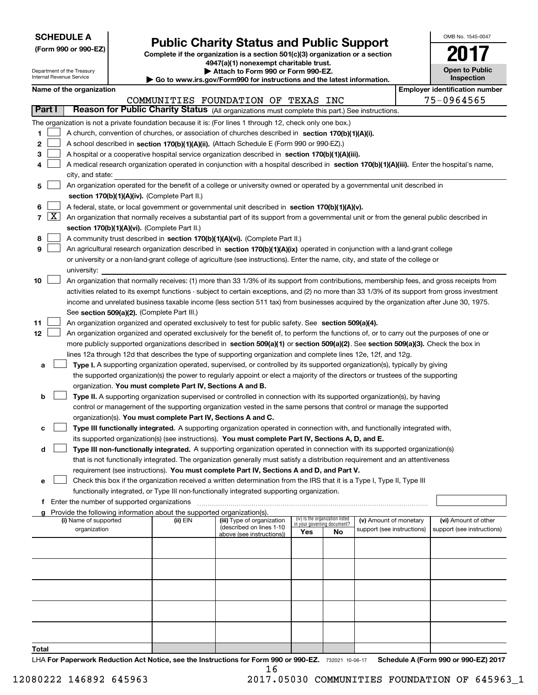| <b>SCHEDULE A</b> |
|-------------------|
|-------------------|

**(Form 990 or 990-EZ)**

# **Public Charity Status and Public Support**

**Complete if the organization is a section 501(c)(3) organization or a section 4947(a)(1) nonexempt charitable trust. | Attach to Form 990 or Form 990-EZ.** 

| OMB No 1545-0047                    |
|-------------------------------------|
| 01                                  |
| <b>Open to Public</b><br>Inspection |

 $\overline{\phantom{a}}$ 

| Department of the Treasury<br>Internal Revenue Service |                   |                                                                                                                                           |  | Attach to Form 990 or Form 990-EZ.<br>$\blacktriangleright$ Go to www.irs.gov/Form990 for instructions and the latest information. |                                                                                                                                               | <b>Open to Public</b><br>Inspection |                                   |                            |  |                                       |  |  |
|--------------------------------------------------------|-------------------|-------------------------------------------------------------------------------------------------------------------------------------------|--|------------------------------------------------------------------------------------------------------------------------------------|-----------------------------------------------------------------------------------------------------------------------------------------------|-------------------------------------|-----------------------------------|----------------------------|--|---------------------------------------|--|--|
|                                                        |                   | Name of the organization                                                                                                                  |  |                                                                                                                                    |                                                                                                                                               |                                     |                                   |                            |  | <b>Employer identification number</b> |  |  |
|                                                        |                   |                                                                                                                                           |  |                                                                                                                                    | COMMUNITIES FOUNDATION OF TEXAS INC                                                                                                           |                                     |                                   |                            |  | 75-0964565                            |  |  |
| Part I                                                 |                   |                                                                                                                                           |  |                                                                                                                                    | Reason for Public Charity Status (All organizations must complete this part.) See instructions.                                               |                                     |                                   |                            |  |                                       |  |  |
|                                                        |                   |                                                                                                                                           |  |                                                                                                                                    | The organization is not a private foundation because it is: (For lines 1 through 12, check only one box.)                                     |                                     |                                   |                            |  |                                       |  |  |
| 1                                                      |                   |                                                                                                                                           |  |                                                                                                                                    | A church, convention of churches, or association of churches described in section $170(b)(1)(A)(i)$ .                                         |                                     |                                   |                            |  |                                       |  |  |
| $\mathbf{2}$                                           |                   |                                                                                                                                           |  |                                                                                                                                    | A school described in section 170(b)(1)(A)(ii). (Attach Schedule E (Form 990 or 990-EZ).)                                                     |                                     |                                   |                            |  |                                       |  |  |
| 3                                                      |                   |                                                                                                                                           |  |                                                                                                                                    | A hospital or a cooperative hospital service organization described in section 170(b)(1)(A)(iii).                                             |                                     |                                   |                            |  |                                       |  |  |
| 4                                                      |                   |                                                                                                                                           |  |                                                                                                                                    | A medical research organization operated in conjunction with a hospital described in section 170(b)(1)(A)(iii). Enter the hospital's name,    |                                     |                                   |                            |  |                                       |  |  |
|                                                        |                   | city, and state:                                                                                                                          |  |                                                                                                                                    |                                                                                                                                               |                                     |                                   |                            |  |                                       |  |  |
| 5.                                                     |                   |                                                                                                                                           |  |                                                                                                                                    | An organization operated for the benefit of a college or university owned or operated by a governmental unit described in                     |                                     |                                   |                            |  |                                       |  |  |
|                                                        |                   |                                                                                                                                           |  | section 170(b)(1)(A)(iv). (Complete Part II.)                                                                                      |                                                                                                                                               |                                     |                                   |                            |  |                                       |  |  |
| 6                                                      |                   |                                                                                                                                           |  |                                                                                                                                    | A federal, state, or local government or governmental unit described in section 170(b)(1)(A)(v).                                              |                                     |                                   |                            |  |                                       |  |  |
|                                                        | $7 \vert X \vert$ | An organization that normally receives a substantial part of its support from a governmental unit or from the general public described in |  |                                                                                                                                    |                                                                                                                                               |                                     |                                   |                            |  |                                       |  |  |
|                                                        |                   |                                                                                                                                           |  | section 170(b)(1)(A)(vi). (Complete Part II.)                                                                                      |                                                                                                                                               |                                     |                                   |                            |  |                                       |  |  |
| 8                                                      |                   |                                                                                                                                           |  |                                                                                                                                    | A community trust described in section 170(b)(1)(A)(vi). (Complete Part II.)                                                                  |                                     |                                   |                            |  |                                       |  |  |
| 9                                                      |                   |                                                                                                                                           |  |                                                                                                                                    | An agricultural research organization described in section 170(b)(1)(A)(ix) operated in conjunction with a land-grant college                 |                                     |                                   |                            |  |                                       |  |  |
|                                                        |                   |                                                                                                                                           |  |                                                                                                                                    | or university or a non-land-grant college of agriculture (see instructions). Enter the name, city, and state of the college or                |                                     |                                   |                            |  |                                       |  |  |
|                                                        |                   | university:                                                                                                                               |  |                                                                                                                                    |                                                                                                                                               |                                     |                                   |                            |  |                                       |  |  |
| 10                                                     |                   |                                                                                                                                           |  |                                                                                                                                    | An organization that normally receives: (1) more than 33 1/3% of its support from contributions, membership fees, and gross receipts from     |                                     |                                   |                            |  |                                       |  |  |
|                                                        |                   |                                                                                                                                           |  |                                                                                                                                    | activities related to its exempt functions - subject to certain exceptions, and (2) no more than 33 1/3% of its support from gross investment |                                     |                                   |                            |  |                                       |  |  |
|                                                        |                   |                                                                                                                                           |  |                                                                                                                                    | income and unrelated business taxable income (less section 511 tax) from businesses acquired by the organization after June 30, 1975.         |                                     |                                   |                            |  |                                       |  |  |
|                                                        |                   |                                                                                                                                           |  | See section 509(a)(2). (Complete Part III.)                                                                                        |                                                                                                                                               |                                     |                                   |                            |  |                                       |  |  |
| 11                                                     |                   |                                                                                                                                           |  |                                                                                                                                    | An organization organized and operated exclusively to test for public safety. See section 509(a)(4).                                          |                                     |                                   |                            |  |                                       |  |  |
| 12                                                     |                   |                                                                                                                                           |  |                                                                                                                                    | An organization organized and operated exclusively for the benefit of, to perform the functions of, or to carry out the purposes of one or    |                                     |                                   |                            |  |                                       |  |  |
|                                                        |                   |                                                                                                                                           |  |                                                                                                                                    | more publicly supported organizations described in section 509(a)(1) or section 509(a)(2). See section 509(a)(3). Check the box in            |                                     |                                   |                            |  |                                       |  |  |
|                                                        |                   |                                                                                                                                           |  |                                                                                                                                    | lines 12a through 12d that describes the type of supporting organization and complete lines 12e, 12f, and 12g.                                |                                     |                                   |                            |  |                                       |  |  |
| а                                                      |                   |                                                                                                                                           |  |                                                                                                                                    | Type I. A supporting organization operated, supervised, or controlled by its supported organization(s), typically by giving                   |                                     |                                   |                            |  |                                       |  |  |
|                                                        |                   |                                                                                                                                           |  |                                                                                                                                    | the supported organization(s) the power to regularly appoint or elect a majority of the directors or trustees of the supporting               |                                     |                                   |                            |  |                                       |  |  |
|                                                        |                   |                                                                                                                                           |  | organization. You must complete Part IV, Sections A and B.                                                                         |                                                                                                                                               |                                     |                                   |                            |  |                                       |  |  |
| b                                                      |                   |                                                                                                                                           |  |                                                                                                                                    | Type II. A supporting organization supervised or controlled in connection with its supported organization(s), by having                       |                                     |                                   |                            |  |                                       |  |  |
|                                                        |                   |                                                                                                                                           |  |                                                                                                                                    | control or management of the supporting organization vested in the same persons that control or manage the supported                          |                                     |                                   |                            |  |                                       |  |  |
|                                                        |                   |                                                                                                                                           |  | organization(s). You must complete Part IV, Sections A and C.                                                                      |                                                                                                                                               |                                     |                                   |                            |  |                                       |  |  |
| с                                                      |                   |                                                                                                                                           |  |                                                                                                                                    | Type III functionally integrated. A supporting organization operated in connection with, and functionally integrated with,                    |                                     |                                   |                            |  |                                       |  |  |
|                                                        |                   |                                                                                                                                           |  |                                                                                                                                    | its supported organization(s) (see instructions). You must complete Part IV, Sections A, D, and E.                                            |                                     |                                   |                            |  |                                       |  |  |
| d                                                      |                   |                                                                                                                                           |  |                                                                                                                                    | Type III non-functionally integrated. A supporting organization operated in connection with its supported organization(s)                     |                                     |                                   |                            |  |                                       |  |  |
|                                                        |                   |                                                                                                                                           |  |                                                                                                                                    | that is not functionally integrated. The organization generally must satisfy a distribution requirement and an attentiveness                  |                                     |                                   |                            |  |                                       |  |  |
|                                                        |                   |                                                                                                                                           |  |                                                                                                                                    | requirement (see instructions). You must complete Part IV, Sections A and D, and Part V.                                                      |                                     |                                   |                            |  |                                       |  |  |
| е                                                      |                   |                                                                                                                                           |  |                                                                                                                                    | Check this box if the organization received a written determination from the IRS that it is a Type I, Type II, Type III                       |                                     |                                   |                            |  |                                       |  |  |
|                                                        |                   |                                                                                                                                           |  |                                                                                                                                    | functionally integrated, or Type III non-functionally integrated supporting organization.                                                     |                                     |                                   |                            |  |                                       |  |  |
| f                                                      |                   | Enter the number of supported organizations                                                                                               |  | Provide the following information about the supported organization(s).                                                             |                                                                                                                                               |                                     |                                   |                            |  |                                       |  |  |
| a                                                      |                   | (i) Name of supported                                                                                                                     |  | (ii) EIN                                                                                                                           | (iii) Type of organization                                                                                                                    |                                     | (iv) Is the organization listed   | (v) Amount of monetary     |  | (vi) Amount of other                  |  |  |
|                                                        |                   | organization                                                                                                                              |  |                                                                                                                                    | (described on lines 1-10                                                                                                                      | Yes                                 | in your governing document?<br>No | support (see instructions) |  | support (see instructions)            |  |  |
|                                                        |                   |                                                                                                                                           |  |                                                                                                                                    | above (see instructions))                                                                                                                     |                                     |                                   |                            |  |                                       |  |  |
|                                                        |                   |                                                                                                                                           |  |                                                                                                                                    |                                                                                                                                               |                                     |                                   |                            |  |                                       |  |  |
|                                                        |                   |                                                                                                                                           |  |                                                                                                                                    |                                                                                                                                               |                                     |                                   |                            |  |                                       |  |  |
|                                                        |                   |                                                                                                                                           |  |                                                                                                                                    |                                                                                                                                               |                                     |                                   |                            |  |                                       |  |  |
|                                                        |                   |                                                                                                                                           |  |                                                                                                                                    |                                                                                                                                               |                                     |                                   |                            |  |                                       |  |  |
|                                                        |                   |                                                                                                                                           |  |                                                                                                                                    |                                                                                                                                               |                                     |                                   |                            |  |                                       |  |  |
|                                                        |                   |                                                                                                                                           |  |                                                                                                                                    |                                                                                                                                               |                                     |                                   |                            |  |                                       |  |  |
|                                                        |                   |                                                                                                                                           |  |                                                                                                                                    |                                                                                                                                               |                                     |                                   |                            |  |                                       |  |  |
|                                                        |                   |                                                                                                                                           |  |                                                                                                                                    |                                                                                                                                               |                                     |                                   |                            |  |                                       |  |  |
|                                                        |                   |                                                                                                                                           |  |                                                                                                                                    |                                                                                                                                               |                                     |                                   |                            |  |                                       |  |  |
| Total                                                  |                   |                                                                                                                                           |  |                                                                                                                                    |                                                                                                                                               |                                     |                                   |                            |  |                                       |  |  |

LHA For Paperwork Reduction Act Notice, see the Instructions for Form 990 or 990-EZ. 732021 10-06-17 Schedule A (Form 990 or 990-EZ) 2017

12080222 146892 645963 2017.05030 COMMUNITIES FOUNDATION OF 645963\_1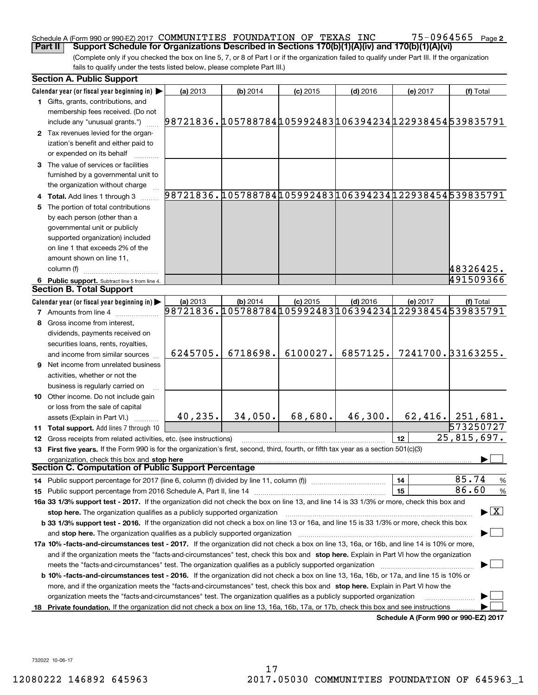#### Schedule A (Form 990 or 990-EZ) 2017 Page COMMUNITIES FOUNDATION OF TEXAS INC 75-0964565 **Part II Support Schedule for Organizations Described in Sections 170(b)(1)(A)(iv) and 170(b)(1)(A)(vi)**

75-0964565 <sub>Page 2</sub>

(Complete only if you checked the box on line 5, 7, or 8 of Part I or if the organization failed to qualify under Part III. If the organization fails to qualify under the tests listed below, please complete Part III.)

|    | <b>Section A. Public Support</b>                                                                                                                                                                                               |                                                        |            |            |            |          |                                      |
|----|--------------------------------------------------------------------------------------------------------------------------------------------------------------------------------------------------------------------------------|--------------------------------------------------------|------------|------------|------------|----------|--------------------------------------|
|    | Calendar year (or fiscal year beginning in) $\blacktriangleright$                                                                                                                                                              | (a) 2013                                               | $(b)$ 2014 | $(c)$ 2015 | $(d)$ 2016 | (e) 2017 | (f) Total                            |
|    | <b>1</b> Gifts, grants, contributions, and<br>membership fees received. (Do not                                                                                                                                                |                                                        |            |            |            |          |                                      |
|    | include any "unusual grants.")                                                                                                                                                                                                 | 98721836.105788784105992483106394234122938454539835791 |            |            |            |          |                                      |
|    | 2 Tax revenues levied for the organ-<br>ization's benefit and either paid to                                                                                                                                                   |                                                        |            |            |            |          |                                      |
|    | or expended on its behalf                                                                                                                                                                                                      |                                                        |            |            |            |          |                                      |
|    | 3 The value of services or facilities                                                                                                                                                                                          |                                                        |            |            |            |          |                                      |
|    | furnished by a governmental unit to<br>the organization without charge                                                                                                                                                         |                                                        |            |            |            |          |                                      |
|    | 4 Total. Add lines 1 through 3                                                                                                                                                                                                 | 98721836.105788784105992483106394234122938454539835791 |            |            |            |          |                                      |
|    | The portion of total contributions                                                                                                                                                                                             |                                                        |            |            |            |          |                                      |
|    | by each person (other than a                                                                                                                                                                                                   |                                                        |            |            |            |          |                                      |
|    | governmental unit or publicly                                                                                                                                                                                                  |                                                        |            |            |            |          |                                      |
|    | supported organization) included                                                                                                                                                                                               |                                                        |            |            |            |          |                                      |
|    | on line 1 that exceeds 2% of the                                                                                                                                                                                               |                                                        |            |            |            |          |                                      |
|    | amount shown on line 11,                                                                                                                                                                                                       |                                                        |            |            |            |          |                                      |
|    | column (f)                                                                                                                                                                                                                     |                                                        |            |            |            |          | 48326425.                            |
|    | 6 Public support. Subtract line 5 from line 4.                                                                                                                                                                                 |                                                        |            |            |            |          | 491509366                            |
|    | <b>Section B. Total Support</b>                                                                                                                                                                                                |                                                        |            |            |            |          |                                      |
|    | Calendar year (or fiscal year beginning in) $\blacktriangleright$                                                                                                                                                              | (a) 2013                                               | $(b)$ 2014 | $(c)$ 2015 | $(d)$ 2016 | (e) 2017 | (f) Total                            |
|    | <b>7</b> Amounts from line 4                                                                                                                                                                                                   | 98721836.105788784105992483106394234122938454539835791 |            |            |            |          |                                      |
|    | Gross income from interest,                                                                                                                                                                                                    |                                                        |            |            |            |          |                                      |
|    | dividends, payments received on                                                                                                                                                                                                |                                                        |            |            |            |          |                                      |
|    | securities loans, rents, royalties,                                                                                                                                                                                            |                                                        |            |            |            |          |                                      |
|    | and income from similar sources                                                                                                                                                                                                | 6245705.                                               | 6718698.   | 6100027.   | 6857125.   |          | 7241700. 33163255.                   |
|    | 9 Net income from unrelated business                                                                                                                                                                                           |                                                        |            |            |            |          |                                      |
|    | activities, whether or not the                                                                                                                                                                                                 |                                                        |            |            |            |          |                                      |
|    | business is regularly carried on                                                                                                                                                                                               |                                                        |            |            |            |          |                                      |
|    | 10 Other income. Do not include gain                                                                                                                                                                                           |                                                        |            |            |            |          |                                      |
|    | or loss from the sale of capital                                                                                                                                                                                               |                                                        |            |            |            |          |                                      |
|    | assets (Explain in Part VI.)                                                                                                                                                                                                   | 40, 235.                                               | 34,050.    | 68,680.    | 46,300.    |          | $62,416.$ 251,681.                   |
|    | <b>11 Total support.</b> Add lines 7 through 10                                                                                                                                                                                |                                                        |            |            |            |          | 573250727                            |
|    | 12 Gross receipts from related activities, etc. (see instructions)                                                                                                                                                             |                                                        |            |            |            | 12       | 25,815,697.                          |
|    | 13 First five years. If the Form 990 is for the organization's first, second, third, fourth, or fifth tax year as a section 501(c)(3)                                                                                          |                                                        |            |            |            |          |                                      |
|    | organization, check this box and stop here<br>Section C. Computation of Public Support Percentage                                                                                                                              |                                                        |            |            |            |          |                                      |
|    |                                                                                                                                                                                                                                |                                                        |            |            |            | 14       | 85.74<br>$\frac{9}{6}$               |
|    |                                                                                                                                                                                                                                |                                                        |            |            |            | 15       | 86.60<br>%                           |
|    | 16a 33 1/3% support test - 2017. If the organization did not check the box on line 13, and line 14 is 33 1/3% or more, check this box and                                                                                      |                                                        |            |            |            |          |                                      |
|    | stop here. The organization qualifies as a publicly supported organization                                                                                                                                                     |                                                        |            |            |            |          | $\blacktriangleright$ $\vert$ X      |
|    | b 33 1/3% support test - 2016. If the organization did not check a box on line 13 or 16a, and line 15 is 33 1/3% or more, check this box                                                                                       |                                                        |            |            |            |          |                                      |
|    | and stop here. The organization qualifies as a publicly supported organization [11] manuscription manuscription manuscription manuscription manuscription manuscription manuscription manuscription manuscription manuscriptio |                                                        |            |            |            |          |                                      |
|    | 17a 10% -facts-and-circumstances test - 2017. If the organization did not check a box on line 13, 16a, or 16b, and line 14 is 10% or more,                                                                                     |                                                        |            |            |            |          |                                      |
|    | and if the organization meets the "facts-and-circumstances" test, check this box and stop here. Explain in Part VI how the organization                                                                                        |                                                        |            |            |            |          |                                      |
|    | meets the "facts-and-circumstances" test. The organization qualifies as a publicly supported organization                                                                                                                      |                                                        |            |            |            |          |                                      |
|    | <b>b 10% -facts-and-circumstances test - 2016.</b> If the organization did not check a box on line 13, 16a, 16b, or 17a, and line 15 is 10% or                                                                                 |                                                        |            |            |            |          |                                      |
|    | more, and if the organization meets the "facts-and-circumstances" test, check this box and stop here. Explain in Part VI how the                                                                                               |                                                        |            |            |            |          |                                      |
|    | organization meets the "facts-and-circumstances" test. The organization qualifies as a publicly supported organization                                                                                                         |                                                        |            |            |            |          |                                      |
| 18 | Private foundation. If the organization did not check a box on line 13, 16a, 16b, 17a, or 17b, check this box and see instructions                                                                                             |                                                        |            |            |            |          | Schedule A (Form 990 or 990-EZ) 2017 |
|    |                                                                                                                                                                                                                                |                                                        |            |            |            |          |                                      |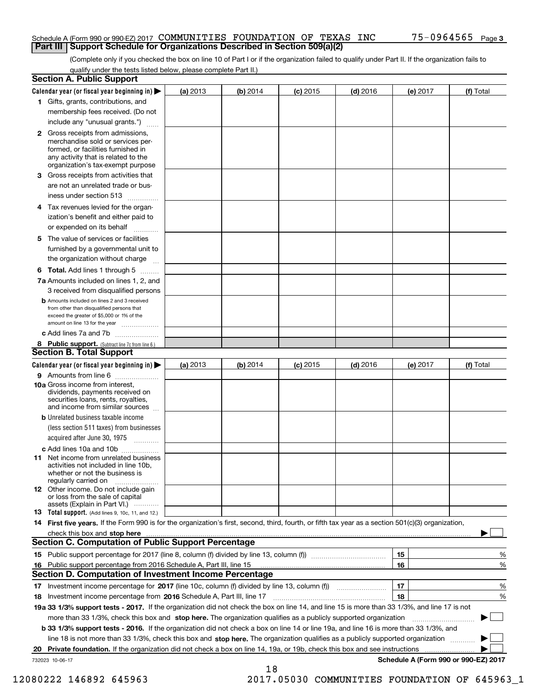#### Schedule A (Form 990 or 990-EZ) 2017 Page COMMUNITIES FOUNDATION OF TEXAS INC 75-0964565 **Part III Support Schedule for Organizations Described in Section 509(a)(2)**

(Complete only if you checked the box on line 10 of Part I or if the organization failed to qualify under Part II. If the organization fails to qualify under the tests listed below, please complete Part II.)

|    | <b>Section A. Public Support</b>                                                                                                                                                                |          |          |            |            |          |                                      |
|----|-------------------------------------------------------------------------------------------------------------------------------------------------------------------------------------------------|----------|----------|------------|------------|----------|--------------------------------------|
|    | Calendar year (or fiscal year beginning in) $\blacktriangleright$                                                                                                                               | (a) 2013 | (b) 2014 | $(c)$ 2015 | $(d)$ 2016 | (e) 2017 | (f) Total                            |
|    | 1 Gifts, grants, contributions, and                                                                                                                                                             |          |          |            |            |          |                                      |
|    | membership fees received. (Do not                                                                                                                                                               |          |          |            |            |          |                                      |
|    | include any "unusual grants.")                                                                                                                                                                  |          |          |            |            |          |                                      |
|    | <b>2</b> Gross receipts from admissions,<br>merchandise sold or services per-<br>formed, or facilities furnished in<br>any activity that is related to the<br>organization's tax-exempt purpose |          |          |            |            |          |                                      |
|    | 3 Gross receipts from activities that<br>are not an unrelated trade or bus-                                                                                                                     |          |          |            |            |          |                                      |
|    | iness under section 513                                                                                                                                                                         |          |          |            |            |          |                                      |
|    | 4 Tax revenues levied for the organ-<br>ization's benefit and either paid to                                                                                                                    |          |          |            |            |          |                                      |
|    | or expended on its behalf                                                                                                                                                                       |          |          |            |            |          |                                      |
|    | 5 The value of services or facilities<br>furnished by a governmental unit to                                                                                                                    |          |          |            |            |          |                                      |
|    | the organization without charge                                                                                                                                                                 |          |          |            |            |          |                                      |
|    | <b>6 Total.</b> Add lines 1 through 5<br>7a Amounts included on lines 1, 2, and                                                                                                                 |          |          |            |            |          |                                      |
|    | 3 received from disqualified persons                                                                                                                                                            |          |          |            |            |          |                                      |
|    | <b>b</b> Amounts included on lines 2 and 3 received<br>from other than disqualified persons that<br>exceed the greater of \$5,000 or 1% of the<br>amount on line 13 for the year                |          |          |            |            |          |                                      |
|    | c Add lines 7a and 7b                                                                                                                                                                           |          |          |            |            |          |                                      |
|    | 8 Public support. (Subtract line 7c from line 6.)<br><b>Section B. Total Support</b>                                                                                                            |          |          |            |            |          |                                      |
|    | Calendar year (or fiscal year beginning in)                                                                                                                                                     | (a) 2013 | (b) 2014 | $(c)$ 2015 | $(d)$ 2016 | (e) 2017 | (f) Total                            |
|    | 9 Amounts from line 6                                                                                                                                                                           |          |          |            |            |          |                                      |
|    | <b>10a</b> Gross income from interest,<br>dividends, payments received on<br>securities loans, rents, royalties,<br>and income from similar sources                                             |          |          |            |            |          |                                      |
|    | <b>b</b> Unrelated business taxable income<br>(less section 511 taxes) from businesses                                                                                                          |          |          |            |            |          |                                      |
|    | acquired after June 30, 1975                                                                                                                                                                    |          |          |            |            |          |                                      |
|    | c Add lines 10a and 10b<br>11 Net income from unrelated business<br>activities not included in line 10b,<br>whether or not the business is<br>regularly carried on                              |          |          |            |            |          |                                      |
|    | 12 Other income. Do not include gain<br>or loss from the sale of capital<br>assets (Explain in Part VI.)                                                                                        |          |          |            |            |          |                                      |
|    | 13 Total support. (Add lines 9, 10c, 11, and 12.)                                                                                                                                               |          |          |            |            |          |                                      |
|    | 14 First five years. If the Form 990 is for the organization's first, second, third, fourth, or fifth tax year as a section 501(c)(3) organization,                                             |          |          |            |            |          |                                      |
|    | check this box and stop here measurements and stop here are constructed and stop here are all the state of the<br><b>Section C. Computation of Public Support Percentage</b>                    |          |          |            |            |          |                                      |
|    |                                                                                                                                                                                                 |          |          |            |            | 15       | %                                    |
| 16 | Public support percentage from 2016 Schedule A, Part III, line 15                                                                                                                               |          |          |            |            | 16       | %                                    |
|    | <b>Section D. Computation of Investment Income Percentage</b>                                                                                                                                   |          |          |            |            |          |                                      |
|    | 17 Investment income percentage for 2017 (line 10c, column (f) divided by line 13, column (f))                                                                                                  |          |          |            |            | 17       | %                                    |
|    | 18 Investment income percentage from 2016 Schedule A, Part III, line 17                                                                                                                         |          |          |            |            | 18       | %                                    |
|    | 19a 33 1/3% support tests - 2017. If the organization did not check the box on line 14, and line 15 is more than 33 1/3%, and line 17 is not                                                    |          |          |            |            |          |                                      |
|    | more than 33 1/3%, check this box and stop here. The organization qualifies as a publicly supported organization                                                                                |          |          |            |            |          | ▶                                    |
|    | b 33 1/3% support tests - 2016. If the organization did not check a box on line 14 or line 19a, and line 16 is more than 33 1/3%, and                                                           |          |          |            |            |          |                                      |
|    | line 18 is not more than 33 1/3%, check this box and stop here. The organization qualifies as a publicly supported organization                                                                 |          |          |            |            |          |                                      |
| 20 | Private foundation. If the organization did not check a box on line 14, 19a, or 19b, check this box and see instructions                                                                        |          |          |            |            |          | .                                    |
|    | 732023 10-06-17                                                                                                                                                                                 |          |          |            |            |          | Schedule A (Form 990 or 990-EZ) 2017 |
|    |                                                                                                                                                                                                 |          | 18       |            |            |          |                                      |

12080222 146892 645963 2017.05030 COMMUNITIES FOUNDATION OF 645963\_1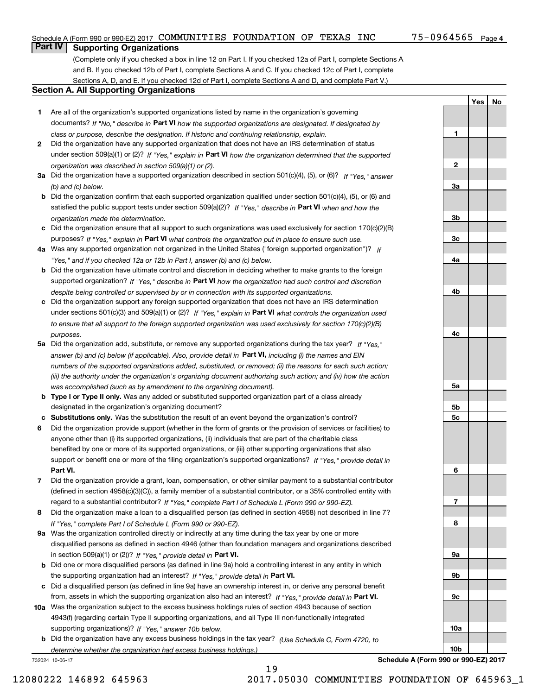**1**

**YesNo**

## **Part IV Supporting Organizations**

(Complete only if you checked a box in line 12 on Part I. If you checked 12a of Part I, complete Sections A and B. If you checked 12b of Part I, complete Sections A and C. If you checked 12c of Part I, complete Sections A, D, and E. If you checked 12d of Part I, complete Sections A and D, and complete Part V.)

### **Section A. All Supporting Organizations**

- **1** Are all of the organization's supported organizations listed by name in the organization's governing documents? If "No," describe in **Part VI** how the supported organizations are designated. If designated by *class or purpose, describe the designation. If historic and continuing relationship, explain.*
- **2** Did the organization have any supported organization that does not have an IRS determination of status under section 509(a)(1) or (2)? If "Yes," explain in Part VI how the organization determined that the supported *organization was described in section 509(a)(1) or (2).*
- **3a** Did the organization have a supported organization described in section 501(c)(4), (5), or (6)? If "Yes," answer *(b) and (c) below.*
- **b** Did the organization confirm that each supported organization qualified under section 501(c)(4), (5), or (6) and satisfied the public support tests under section 509(a)(2)? If "Yes," describe in **Part VI** when and how the *organization made the determination.*
- **c**Did the organization ensure that all support to such organizations was used exclusively for section 170(c)(2)(B) purposes? If "Yes," explain in **Part VI** what controls the organization put in place to ensure such use.
- **4a***If* Was any supported organization not organized in the United States ("foreign supported organization")? *"Yes," and if you checked 12a or 12b in Part I, answer (b) and (c) below.*
- **b** Did the organization have ultimate control and discretion in deciding whether to make grants to the foreign supported organization? If "Yes," describe in **Part VI** how the organization had such control and discretion *despite being controlled or supervised by or in connection with its supported organizations.*
- **c** Did the organization support any foreign supported organization that does not have an IRS determination under sections 501(c)(3) and 509(a)(1) or (2)? If "Yes," explain in **Part VI** what controls the organization used *to ensure that all support to the foreign supported organization was used exclusively for section 170(c)(2)(B) purposes.*
- **5a** Did the organization add, substitute, or remove any supported organizations during the tax year? If "Yes," answer (b) and (c) below (if applicable). Also, provide detail in **Part VI,** including (i) the names and EIN *numbers of the supported organizations added, substituted, or removed; (ii) the reasons for each such action; (iii) the authority under the organization's organizing document authorizing such action; and (iv) how the action was accomplished (such as by amendment to the organizing document).*
- **b** Type I or Type II only. Was any added or substituted supported organization part of a class already designated in the organization's organizing document?
- **cSubstitutions only.**  Was the substitution the result of an event beyond the organization's control?
- **6** Did the organization provide support (whether in the form of grants or the provision of services or facilities) to **Part VI.** *If "Yes," provide detail in* support or benefit one or more of the filing organization's supported organizations? anyone other than (i) its supported organizations, (ii) individuals that are part of the charitable class benefited by one or more of its supported organizations, or (iii) other supporting organizations that also
- **7**Did the organization provide a grant, loan, compensation, or other similar payment to a substantial contributor *If "Yes," complete Part I of Schedule L (Form 990 or 990-EZ).* regard to a substantial contributor? (defined in section 4958(c)(3)(C)), a family member of a substantial contributor, or a 35% controlled entity with
- **8** Did the organization make a loan to a disqualified person (as defined in section 4958) not described in line 7? *If "Yes," complete Part I of Schedule L (Form 990 or 990-EZ).*
- **9a** Was the organization controlled directly or indirectly at any time during the tax year by one or more in section 509(a)(1) or (2))? If "Yes," *provide detail in* <code>Part VI.</code> disqualified persons as defined in section 4946 (other than foundation managers and organizations described
- **b** Did one or more disqualified persons (as defined in line 9a) hold a controlling interest in any entity in which the supporting organization had an interest? If "Yes," provide detail in P**art VI**.
- **c**Did a disqualified person (as defined in line 9a) have an ownership interest in, or derive any personal benefit from, assets in which the supporting organization also had an interest? If "Yes," provide detail in P**art VI.**
- **10a** Was the organization subject to the excess business holdings rules of section 4943 because of section supporting organizations)? If "Yes," answer 10b below. 4943(f) (regarding certain Type II supporting organizations, and all Type III non-functionally integrated
- **b** Did the organization have any excess business holdings in the tax year? (Use Schedule C, Form 4720, to *determine whether the organization had excess business holdings.)*

19

732024 10-06-17



**Schedule A (Form 990 or 990-EZ) 2017**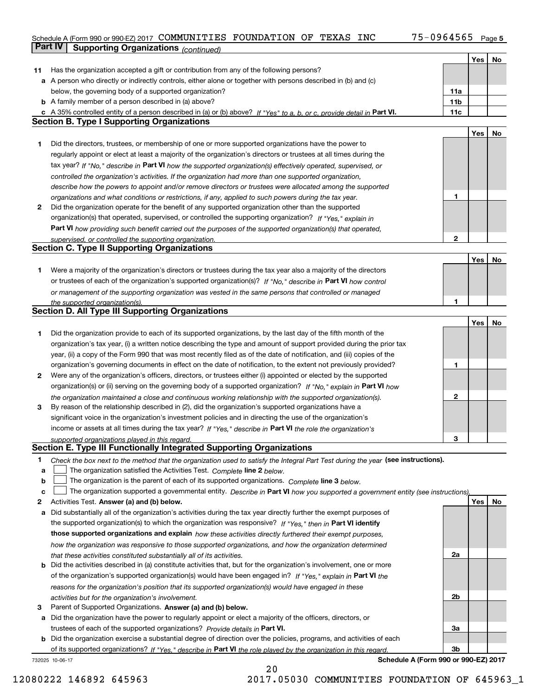## Schedule A (Form 990 or 990-EZ) 2017 Page COMMUNITIES FOUNDATION OF TEXAS INC 75-0964565 **Part IV Supporting Organizations** *(continued)*

|              |                                                                                                                                   |                 | Yes | No |
|--------------|-----------------------------------------------------------------------------------------------------------------------------------|-----------------|-----|----|
| 11           | Has the organization accepted a gift or contribution from any of the following persons?                                           |                 |     |    |
|              | a A person who directly or indirectly controls, either alone or together with persons described in (b) and (c)                    |                 |     |    |
|              | below, the governing body of a supported organization?                                                                            | 11a             |     |    |
|              | <b>b</b> A family member of a person described in (a) above?                                                                      | 11 <sub>b</sub> |     |    |
|              | c A 35% controlled entity of a person described in (a) or (b) above? If "Yes" to a, b, or c, provide detail in Part VI.           | 11c             |     |    |
|              | <b>Section B. Type I Supporting Organizations</b>                                                                                 |                 |     |    |
|              |                                                                                                                                   |                 | Yes | No |
| 1            | Did the directors, trustees, or membership of one or more supported organizations have the power to                               |                 |     |    |
|              | regularly appoint or elect at least a majority of the organization's directors or trustees at all times during the                |                 |     |    |
|              | tax year? If "No," describe in Part VI how the supported organization(s) effectively operated, supervised, or                     |                 |     |    |
|              | controlled the organization's activities. If the organization had more than one supported organization,                           |                 |     |    |
|              | describe how the powers to appoint and/or remove directors or trustees were allocated among the supported                         |                 |     |    |
|              | organizations and what conditions or restrictions, if any, applied to such powers during the tax year.                            | 1               |     |    |
| $\mathbf{2}$ | Did the organization operate for the benefit of any supported organization other than the supported                               |                 |     |    |
|              | organization(s) that operated, supervised, or controlled the supporting organization? If "Yes," explain in                        |                 |     |    |
|              | Part VI how providing such benefit carried out the purposes of the supported organization(s) that operated,                       |                 |     |    |
|              | supervised, or controlled the supporting organization.                                                                            | 2               |     |    |
|              | <b>Section C. Type II Supporting Organizations</b>                                                                                |                 |     |    |
|              |                                                                                                                                   |                 | Yes | No |
| 1.           | Were a majority of the organization's directors or trustees during the tax year also a majority of the directors                  |                 |     |    |
|              | or trustees of each of the organization's supported organization(s)? If "No," describe in Part VI how control                     |                 |     |    |
|              | or management of the supporting organization was vested in the same persons that controlled or managed                            |                 |     |    |
|              | the supported organization(s).                                                                                                    |                 |     |    |
|              | <b>Section D. All Type III Supporting Organizations</b>                                                                           |                 |     |    |
|              |                                                                                                                                   |                 | Yes | No |
| 1            | Did the organization provide to each of its supported organizations, by the last day of the fifth month of the                    |                 |     |    |
|              | organization's tax year, (i) a written notice describing the type and amount of support provided during the prior tax             |                 |     |    |
|              | year, (ii) a copy of the Form 990 that was most recently filed as of the date of notification, and (iii) copies of the            |                 |     |    |
|              | organization's governing documents in effect on the date of notification, to the extent not previously provided?                  | 1               |     |    |
| 2            | Were any of the organization's officers, directors, or trustees either (i) appointed or elected by the supported                  |                 |     |    |
|              | organization(s) or (ii) serving on the governing body of a supported organization? If "No," explain in Part VI how                |                 |     |    |
|              | the organization maintained a close and continuous working relationship with the supported organization(s).                       | $\mathbf{2}$    |     |    |
| 3            | By reason of the relationship described in (2), did the organization's supported organizations have a                             |                 |     |    |
|              | significant voice in the organization's investment policies and in directing the use of the organization's                        |                 |     |    |
|              | income or assets at all times during the tax year? If "Yes," describe in Part VI the role the organization's                      |                 |     |    |
|              | supported organizations played in this regard.                                                                                    | 3               |     |    |
|              | Section E. Type III Functionally Integrated Supporting Organizations                                                              |                 |     |    |
| 1.           | Check the box next to the method that the organization used to satisfy the Integral Part Test during the year (see instructions). |                 |     |    |
| а            | The organization satisfied the Activities Test. Complete line 2 below.                                                            |                 |     |    |
| b            | The organization is the parent of each of its supported organizations. Complete line 3 below.                                     |                 |     |    |
| c            | The organization supported a governmental entity. Describe in Part VI how you supported a government entity (see instructions),   |                 |     |    |
| 2            | Activities Test. Answer (a) and (b) below.                                                                                        |                 | Yes | No |
| a            | Did substantially all of the organization's activities during the tax year directly further the exempt purposes of                |                 |     |    |
|              | the supported organization(s) to which the organization was responsive? If "Yes." then in Part VI identify                        |                 |     |    |
|              | those supported organizations and explain how these activities directly furthered their exempt purposes,                          |                 |     |    |
|              | how the organization was responsive to those supported organizations, and how the organization determined                         |                 |     |    |
|              | that these activities constituted substantially all of its activities.                                                            | 2a              |     |    |
| b            | Did the activities described in (a) constitute activities that, but for the organization's involvement, one or more               |                 |     |    |
|              | of the organization's supported organization(s) would have been engaged in? If "Yes," explain in Part VI the                      |                 |     |    |
|              | reasons for the organization's position that its supported organization(s) would have engaged in these                            |                 |     |    |
|              | activities but for the organization's involvement.                                                                                | 2 <sub>b</sub>  |     |    |
| 3            | Parent of Supported Organizations. Answer (a) and (b) below.                                                                      |                 |     |    |
| а            | Did the organization have the power to regularly appoint or elect a majority of the officers, directors, or                       |                 |     |    |
|              | trustees of each of the supported organizations? Provide details in Part VI.                                                      | За              |     |    |
| b            | Did the organization exercise a substantial degree of direction over the policies, programs, and activities of each               |                 |     |    |
|              | of its supported organizations? If "Yes." describe in Part VI the role played by the organization in this regard.                 | 3b              |     |    |
|              |                                                                                                                                   |                 |     |    |

20

732025 10-06-17

**Schedule A (Form 990 or 990-EZ) 2017**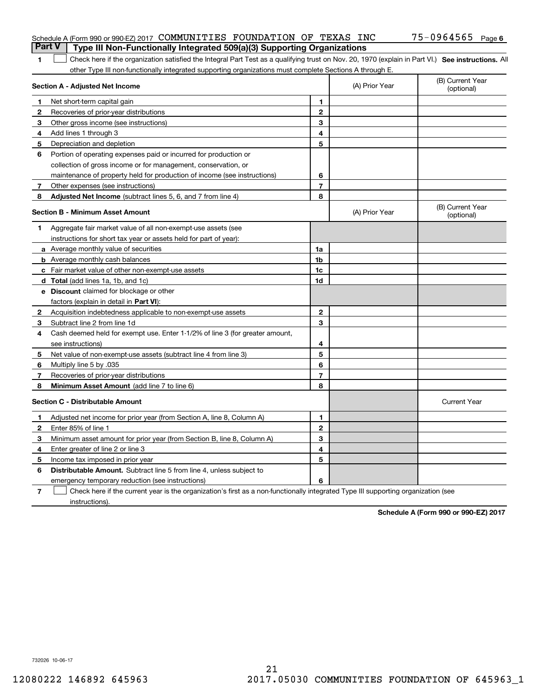| <b>Part V</b> | Schedule A (Form 990 or 990-EZ) 2017 COMMUNITIES FOUNDATION OF TEXAS INC                                                                                                                                                      |                |                | 75-0964565 Page 6              |
|---------------|-------------------------------------------------------------------------------------------------------------------------------------------------------------------------------------------------------------------------------|----------------|----------------|--------------------------------|
| 1             | Type III Non-Functionally Integrated 509(a)(3) Supporting Organizations<br>Check here if the organization satisfied the Integral Part Test as a qualifying trust on Nov. 20, 1970 (explain in Part VI.) See instructions. All |                |                |                                |
|               | other Type III non-functionally integrated supporting organizations must complete Sections A through E.                                                                                                                       |                |                |                                |
|               | <b>Section A - Adjusted Net Income</b>                                                                                                                                                                                        |                | (A) Prior Year | (B) Current Year<br>(optional) |
|               | Net short-term capital gain                                                                                                                                                                                                   | 1.             |                |                                |
| 2             | Recoveries of prior-year distributions                                                                                                                                                                                        | $\mathbf{2}$   |                |                                |
| З             | Other gross income (see instructions)                                                                                                                                                                                         | 3              |                |                                |
| 4             | Add lines 1 through 3                                                                                                                                                                                                         | 4              |                |                                |
| 5             | Depreciation and depletion                                                                                                                                                                                                    | 5              |                |                                |
| 6             | Portion of operating expenses paid or incurred for production or                                                                                                                                                              |                |                |                                |
|               | collection of gross income or for management, conservation, or                                                                                                                                                                |                |                |                                |
|               | maintenance of property held for production of income (see instructions)                                                                                                                                                      | 6              |                |                                |
| 7             | Other expenses (see instructions)                                                                                                                                                                                             | $\overline{7}$ |                |                                |
| 8             | Adjusted Net Income (subtract lines 5, 6, and 7 from line 4)                                                                                                                                                                  | 8              |                |                                |
|               | <b>Section B - Minimum Asset Amount</b>                                                                                                                                                                                       |                | (A) Prior Year | (B) Current Year<br>(optional) |
| 1             | Aggregate fair market value of all non-exempt-use assets (see                                                                                                                                                                 |                |                |                                |
|               | instructions for short tax year or assets held for part of year):                                                                                                                                                             |                |                |                                |
|               | <b>a</b> Average monthly value of securities                                                                                                                                                                                  | 1a             |                |                                |
|               | <b>b</b> Average monthly cash balances                                                                                                                                                                                        | 1b             |                |                                |
|               | c Fair market value of other non-exempt-use assets                                                                                                                                                                            | 1c             |                |                                |
|               | d Total (add lines 1a, 1b, and 1c)                                                                                                                                                                                            | 1d             |                |                                |
|               | <b>e</b> Discount claimed for blockage or other                                                                                                                                                                               |                |                |                                |
|               | factors (explain in detail in Part VI):                                                                                                                                                                                       |                |                |                                |
| 2             | Acquisition indebtedness applicable to non-exempt-use assets                                                                                                                                                                  | $\mathbf{2}$   |                |                                |
| З             | Subtract line 2 from line 1d                                                                                                                                                                                                  | 3              |                |                                |
| 4             | Cash deemed held for exempt use. Enter 1-1/2% of line 3 (for greater amount,                                                                                                                                                  |                |                |                                |
|               | see instructions)                                                                                                                                                                                                             | 4              |                |                                |
| 5             | Net value of non-exempt-use assets (subtract line 4 from line 3)                                                                                                                                                              | 5              |                |                                |
| 6             | Multiply line 5 by .035                                                                                                                                                                                                       | 6              |                |                                |
| 7             | Recoveries of prior-year distributions                                                                                                                                                                                        | $\overline{7}$ |                |                                |
| 8             | Minimum Asset Amount (add line 7 to line 6)                                                                                                                                                                                   | 8              |                |                                |
|               | <b>Section C - Distributable Amount</b>                                                                                                                                                                                       |                |                | <b>Current Year</b>            |
|               | Adjusted net income for prior year (from Section A, line 8, Column A)                                                                                                                                                         | 1              |                |                                |
|               | Enter 85% of line 1                                                                                                                                                                                                           | 2              |                |                                |
| 3             | Minimum asset amount for prior year (from Section B, line 8, Column A)                                                                                                                                                        | 3              |                |                                |
| 4             | Enter greater of line 2 or line 3                                                                                                                                                                                             | 4              |                |                                |
| 5             | Income tax imposed in prior year                                                                                                                                                                                              | 5              |                |                                |
| 6             | <b>Distributable Amount.</b> Subtract line 5 from line 4, unless subject to                                                                                                                                                   |                |                |                                |
|               | emergency temporary reduction (see instructions)                                                                                                                                                                              | 6              |                |                                |
| $\mathbf{7}$  | Check here if the current year is the organization's first as a non-functionally integrated Type III supporting organization (see                                                                                             |                |                |                                |

instructions).

**Schedule A (Form 990 or 990-EZ) 2017**

732026 10-06-17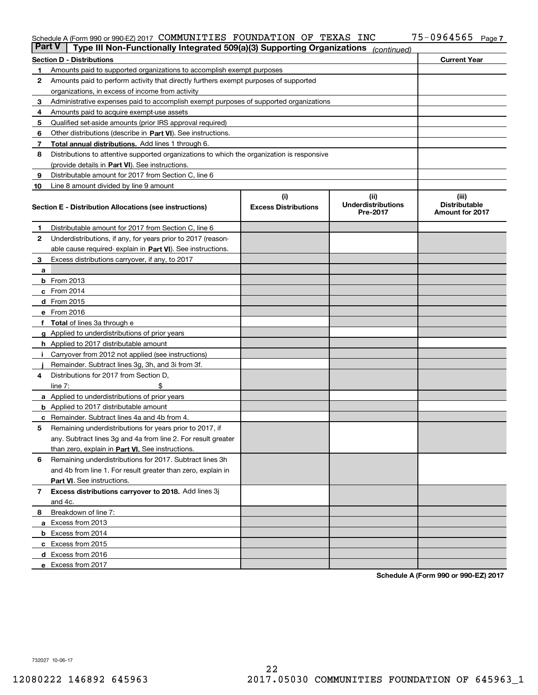#### Schedule A (Form 990 or 990-EZ) 2017 COMMUNITILES FOUNDATION OF TEXAS INC 75─U964565 Page COMMUNITIES FOUNDATION OF TEXAS INC 75-0964565

| <b>Part V</b> | Type III Non-Functionally Integrated 509(a)(3) Supporting Organizations                    |                             | (continued)                           |                                                |
|---------------|--------------------------------------------------------------------------------------------|-----------------------------|---------------------------------------|------------------------------------------------|
|               | <b>Section D - Distributions</b>                                                           |                             |                                       | <b>Current Year</b>                            |
| 1             | Amounts paid to supported organizations to accomplish exempt purposes                      |                             |                                       |                                                |
| 2             | Amounts paid to perform activity that directly furthers exempt purposes of supported       |                             |                                       |                                                |
|               | organizations, in excess of income from activity                                           |                             |                                       |                                                |
| 3             | Administrative expenses paid to accomplish exempt purposes of supported organizations      |                             |                                       |                                                |
| 4             | Amounts paid to acquire exempt-use assets                                                  |                             |                                       |                                                |
| 5             | Qualified set-aside amounts (prior IRS approval required)                                  |                             |                                       |                                                |
| 6             | Other distributions (describe in Part VI). See instructions.                               |                             |                                       |                                                |
| 7             | Total annual distributions. Add lines 1 through 6.                                         |                             |                                       |                                                |
| 8             | Distributions to attentive supported organizations to which the organization is responsive |                             |                                       |                                                |
|               | (provide details in Part VI). See instructions.                                            |                             |                                       |                                                |
| 9             | Distributable amount for 2017 from Section C, line 6                                       |                             |                                       |                                                |
| 10            | Line 8 amount divided by line 9 amount                                                     |                             |                                       |                                                |
|               |                                                                                            | (i)                         | (iii)                                 | (iii)                                          |
|               | <b>Section E - Distribution Allocations (see instructions)</b>                             | <b>Excess Distributions</b> | <b>Underdistributions</b><br>Pre-2017 | <b>Distributable</b><br><b>Amount for 2017</b> |
| 1.            | Distributable amount for 2017 from Section C, line 6                                       |                             |                                       |                                                |
| 2             | Underdistributions, if any, for years prior to 2017 (reason-                               |                             |                                       |                                                |
|               | able cause required-explain in Part VI). See instructions.                                 |                             |                                       |                                                |
| 3             | Excess distributions carryover, if any, to 2017                                            |                             |                                       |                                                |
| а             |                                                                                            |                             |                                       |                                                |
|               | <b>b</b> From 2013                                                                         |                             |                                       |                                                |
|               | c From 2014                                                                                |                             |                                       |                                                |
|               | $d$ From 2015                                                                              |                             |                                       |                                                |
|               | e From 2016                                                                                |                             |                                       |                                                |
|               | <b>Total</b> of lines 3a through e                                                         |                             |                                       |                                                |
|               | <b>g</b> Applied to underdistributions of prior years                                      |                             |                                       |                                                |
|               | <b>h</b> Applied to 2017 distributable amount                                              |                             |                                       |                                                |
|               | Carryover from 2012 not applied (see instructions)                                         |                             |                                       |                                                |
|               | Remainder. Subtract lines 3g, 3h, and 3i from 3f.                                          |                             |                                       |                                                |
| 4             | Distributions for 2017 from Section D,                                                     |                             |                                       |                                                |
|               | line $7:$                                                                                  |                             |                                       |                                                |
|               | <b>a</b> Applied to underdistributions of prior years                                      |                             |                                       |                                                |
|               | <b>b</b> Applied to 2017 distributable amount                                              |                             |                                       |                                                |
|               | c Remainder. Subtract lines 4a and 4b from 4.                                              |                             |                                       |                                                |
| 5             | Remaining underdistributions for years prior to 2017, if                                   |                             |                                       |                                                |
|               | any. Subtract lines 3g and 4a from line 2. For result greater                              |                             |                                       |                                                |
|               | than zero, explain in Part VI. See instructions.                                           |                             |                                       |                                                |
| 6             | Remaining underdistributions for 2017. Subtract lines 3h                                   |                             |                                       |                                                |
|               | and 4b from line 1. For result greater than zero, explain in                               |                             |                                       |                                                |
|               | Part VI. See instructions.                                                                 |                             |                                       |                                                |
| 7             | Excess distributions carryover to 2018. Add lines 3j                                       |                             |                                       |                                                |
|               | and 4c.                                                                                    |                             |                                       |                                                |
|               | Breakdown of line 7:                                                                       |                             |                                       |                                                |
| 8             |                                                                                            |                             |                                       |                                                |
|               | a Excess from 2013                                                                         |                             |                                       |                                                |
|               | <b>b</b> Excess from 2014                                                                  |                             |                                       |                                                |
|               | c Excess from 2015                                                                         |                             |                                       |                                                |
|               | d Excess from 2016                                                                         |                             |                                       |                                                |
|               | e Excess from 2017                                                                         |                             |                                       |                                                |

**Schedule A (Form 990 or 990-EZ) 2017**

732027 10-06-17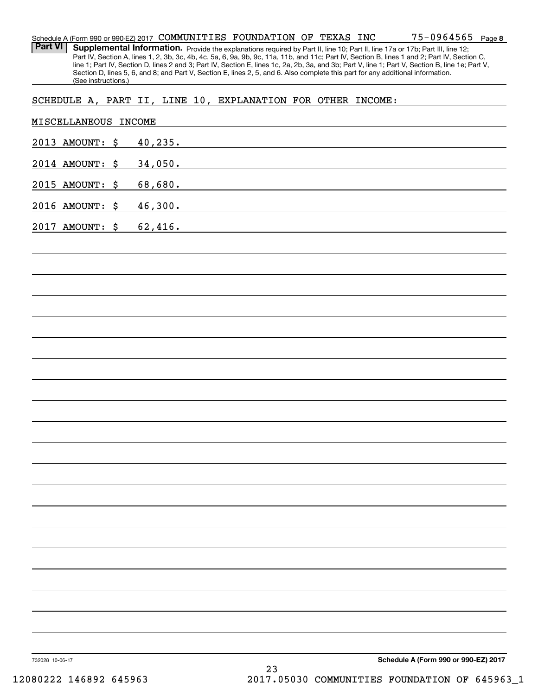#### **8** 75-0964565 Schedule A (Form 990 or 990-EZ) 2017 Page COMMUNITIES FOUNDATION OF TEXAS INC

Part VI | Supplemental Information. Provide the explanations required by Part II, line 10; Part II, line 17a or 17b; Part III, line 12; Part IV, Section A, lines 1, 2, 3b, 3c, 4b, 4c, 5a, 6, 9a, 9b, 9c, 11a, 11b, and 11c; Part IV, Section B, lines 1 and 2; Part IV, Section C, line 1; Part IV, Section D, lines 2 and 3; Part IV, Section E, lines 1c, 2a, 2b, 3a, and 3b; Part V, line 1; Part V, Section B, line 1e; Part V, Section D, lines 5, 6, and 8; and Part V, Section E, lines 2, 5, and 6. Also complete this part for any additional information. (See instructions.)

## SCHEDULE A, PART II, LINE 10, EXPLANATION FOR OTHER INCOME:

| MISCELLANEOUS INCOME |  |          |  |    |                                                             |                                      |
|----------------------|--|----------|--|----|-------------------------------------------------------------|--------------------------------------|
| 2013 AMOUNT: \$      |  | 40, 235. |  |    | <u> 1989 - Johann Stein, mars an de Brazilian (b. 1989)</u> |                                      |
| 2014 AMOUNT: \$      |  | 34,050.  |  |    | <u> 1989 - Johann Barn, amerikansk politiker (d. 1989)</u>  |                                      |
| 2015 AMOUNT: \$      |  | 68,680.  |  |    | <u> 1989 - Johann John Stone, markin sanadi bashkar (</u>   |                                      |
| 2016 AMOUNT: \$      |  |          |  |    | 46,300.                                                     |                                      |
| 2017 AMOUNT: \$      |  | 62,416.  |  |    |                                                             |                                      |
|                      |  |          |  |    |                                                             |                                      |
|                      |  |          |  |    |                                                             |                                      |
|                      |  |          |  |    |                                                             |                                      |
|                      |  |          |  |    |                                                             |                                      |
|                      |  |          |  |    |                                                             |                                      |
|                      |  |          |  |    |                                                             |                                      |
|                      |  |          |  |    |                                                             |                                      |
|                      |  |          |  |    |                                                             |                                      |
|                      |  |          |  |    |                                                             |                                      |
|                      |  |          |  |    |                                                             |                                      |
|                      |  |          |  |    |                                                             |                                      |
|                      |  |          |  |    |                                                             |                                      |
|                      |  |          |  |    |                                                             |                                      |
|                      |  |          |  |    |                                                             |                                      |
|                      |  |          |  |    |                                                             |                                      |
|                      |  |          |  |    |                                                             |                                      |
|                      |  |          |  |    |                                                             |                                      |
|                      |  |          |  |    |                                                             |                                      |
|                      |  |          |  |    |                                                             |                                      |
|                      |  |          |  |    |                                                             |                                      |
| 732028 10-06-17      |  |          |  | 23 |                                                             | Schedule A (Form 990 or 990-EZ) 2017 |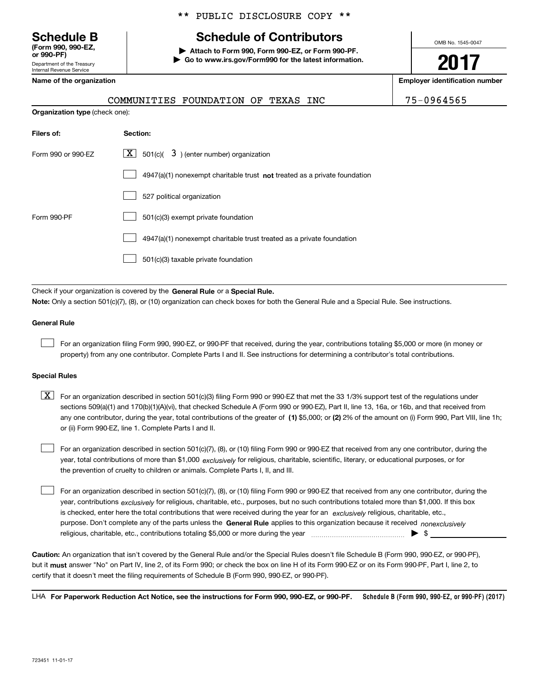Department of the Treasury **(Form 990, 990-EZ, or 990-PF)**

### \*\* PUBLIC DISCLOSURE COPY \*\*

# **Schedule B Schedule of Contributors**

**| Attach to Form 990, Form 990-EZ, or Form 990-PF. | Go to www.irs.gov/Form990 for the latest information.** OMB No. 1545-0047

**2017**

**Name of the organization Employer identification number**

| Internal Revenue Service              |                                     |  |  | --                           |
|---------------------------------------|-------------------------------------|--|--|------------------------------|
| Name of the organization              |                                     |  |  | <b>Employer identificati</b> |
|                                       | COMMUNITIES FOUNDATION OF TEXAS INC |  |  | 75-0964565                   |
| <b>Organization type (check one):</b> |                                     |  |  |                              |
| Filers of:                            | Section:                            |  |  |                              |

| Form 990 or 990-EZ | $X$ 501(c)( 3) (enter number) organization                                  |
|--------------------|-----------------------------------------------------------------------------|
|                    | $4947(a)(1)$ nonexempt charitable trust not treated as a private foundation |
|                    | 527 political organization                                                  |
| Form 990-PF        | 501(c)(3) exempt private foundation                                         |
|                    | 4947(a)(1) nonexempt charitable trust treated as a private foundation       |
|                    | 501(c)(3) taxable private foundation                                        |

Check if your organization is covered by the **General Rule** or a **Special Rule. Note:**  Only a section 501(c)(7), (8), or (10) organization can check boxes for both the General Rule and a Special Rule. See instructions.

#### **General Rule**

For an organization filing Form 990, 990-EZ, or 990-PF that received, during the year, contributions totaling \$5,000 or more (in money or property) from any one contributor. Complete Parts I and II. See instructions for determining a contributor's total contributions.

#### **Special Rules**

 $\mathcal{L}^{\text{max}}$ 

any one contributor, during the year, total contributions of the greater of  $\,$  (1) \$5,000; or **(2)** 2% of the amount on (i) Form 990, Part VIII, line 1h;  $\boxed{\textbf{X}}$  For an organization described in section 501(c)(3) filing Form 990 or 990-EZ that met the 33 1/3% support test of the regulations under sections 509(a)(1) and 170(b)(1)(A)(vi), that checked Schedule A (Form 990 or 990-EZ), Part II, line 13, 16a, or 16b, and that received from or (ii) Form 990-EZ, line 1. Complete Parts I and II.

year, total contributions of more than \$1,000 *exclusively* for religious, charitable, scientific, literary, or educational purposes, or for For an organization described in section 501(c)(7), (8), or (10) filing Form 990 or 990-EZ that received from any one contributor, during the the prevention of cruelty to children or animals. Complete Parts I, II, and III.  $\mathcal{L}^{\text{max}}$ 

purpose. Don't complete any of the parts unless the **General Rule** applies to this organization because it received *nonexclusively* year, contributions <sub>exclusively</sub> for religious, charitable, etc., purposes, but no such contributions totaled more than \$1,000. If this box is checked, enter here the total contributions that were received during the year for an  $\;$ exclusively religious, charitable, etc., For an organization described in section 501(c)(7), (8), or (10) filing Form 990 or 990-EZ that received from any one contributor, during the religious, charitable, etc., contributions totaling \$5,000 or more during the year  $\ldots$  $\ldots$  $\ldots$  $\ldots$  $\ldots$  $\ldots$  $\ldots$ 

**Caution:**  An organization that isn't covered by the General Rule and/or the Special Rules doesn't file Schedule B (Form 990, 990-EZ, or 990-PF),  **must** but it answer "No" on Part IV, line 2, of its Form 990; or check the box on line H of its Form 990-EZ or on its Form 990-PF, Part I, line 2, to certify that it doesn't meet the filing requirements of Schedule B (Form 990, 990-EZ, or 990-PF).

**Schedule B (Form 990, 990-EZ, or 990-PF) (2017) For Paperwork Reduction Act Notice, see the instructions for Form 990, 990-EZ, or 990-PF.** LHA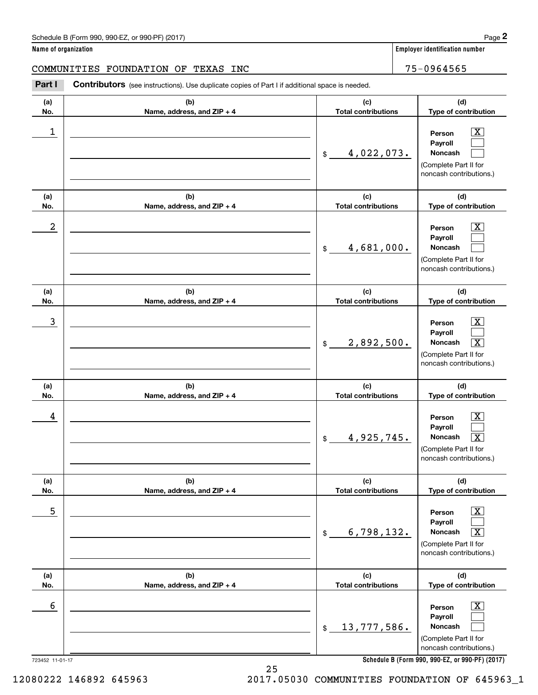**Name of organization Employer identification number**

COMMUNITIES FOUNDATION OF TEXAS INC 75-0964565

**(a)No.(b)Name, address, and ZIP + 4 (c)Total contributions (d)Type of contribution PersonPayrollNoncash (a)No.(b)Name, address, and ZIP + 4 (c)Total contributions (d)Type of contribution PersonPayrollNoncash (a)No.(b)Name, address, and ZIP + 4 (c)Total contributions (d)Type of contribution PersonPayrollNoncash (a) No.(b) Name, address, and ZIP + 4 (c) Total contributions (d) Type of contribution PersonPayrollNoncash(a) No.(b) Name, address, and ZIP + 4 (c) Total contributions (d) Type of contribution PersonPayrollNoncash (a) No.(b)Name, address, and ZIP + 4 (c) Total contributions (d)Type of contribution PersonPayrollNoncash Contributors** (see instructions). Use duplicate copies of Part I if additional space is needed. \$(Complete Part II for noncash contributions.) \$(Complete Part II for noncash contributions.) \$(Complete Part II for noncash contributions.) \$(Complete Part II for noncash contributions.) \$(Complete Part II for noncash contributions.) \$(Complete Part II for noncash contributions.) Employer identification Page 2<br> **2Part I** Contributors (see instructions). Use duplicate copies of Part I if additional space is needed.<br> **Part I** Contributors (see instructions). Use duplicate copies of Part I if addition  $|X|$  $\mathcal{L}^{\text{max}}$  $\mathcal{L}^{\text{max}}$  $\boxed{\text{X}}$  $\mathcal{L}^{\text{max}}$  $\mathcal{L}^{\text{max}}$  $|X|$  $\mathcal{L}^{\text{max}}$  $\boxed{\text{X}}$  $\boxed{\text{X}}$  $\mathcal{L}^{\text{max}}$  $\lceil \text{X} \rceil$  $\boxed{\text{X}}$  $\mathcal{L}^{\text{max}}$  $\sqrt{X}$  $\lfloor x \rfloor$  $\mathcal{L}^{\text{max}}$  $\mathcal{L}^{\text{max}}$  $\begin{array}{c|c|c|c|c|c} 1 & \hspace{1.5cm} & \hspace{1.5cm} & \hspace{1.5cm} & \hspace{1.5cm} & \hspace{1.5cm} & \hspace{1.5cm} & \hspace{1.5cm} & \hspace{1.5cm} & \hspace{1.5cm} & \hspace{1.5cm} & \hspace{1.5cm} & \hspace{1.5cm} & \hspace{1.5cm} & \hspace{1.5cm} & \hspace{1.5cm} & \hspace{1.5cm} & \hspace{1.5cm} & \hspace{1.5cm} & \hspace{1.5cm} & \hspace{1.5cm} &$ 4,022,073.  $2$  | Person  $\overline{\text{X}}$ 4,681,000.  $\overline{3}$  | Person  $\overline{X}$ 2,892,500. X  $4$  | Person  $\overline{\text{X}}$ 4,925,745. X  $\sim$  5 | Person X 6,798,132. X  $\sim$  6 | Person X 13,777,586.

**Schedule B (Form 990, 990-EZ, or 990-PF) (2017)**

723452 11-01-17

12080222 146892 645963 2017.05030 COMMUNITIES FOUNDATION OF 645963\_1

25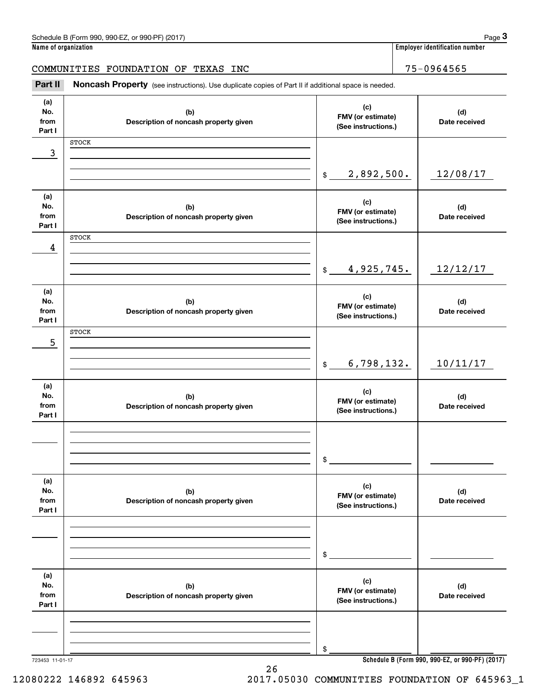| Name of organization         | Schedule B (Form 990, 990-EZ, or 990-PF) (2017)                                                     |                                                 |                      | Page 3<br><b>Employer identification number</b> |
|------------------------------|-----------------------------------------------------------------------------------------------------|-------------------------------------------------|----------------------|-------------------------------------------------|
|                              |                                                                                                     |                                                 |                      |                                                 |
|                              | COMMUNITIES FOUNDATION OF TEXAS INC                                                                 |                                                 |                      | 75-0964565                                      |
| Part II                      | Noncash Property (see instructions). Use duplicate copies of Part II if additional space is needed. |                                                 |                      |                                                 |
| (a)<br>No.<br>from<br>Part I | (b)<br>Description of noncash property given                                                        | (c)<br>FMV (or estimate)<br>(See instructions.) | (d)<br>Date received |                                                 |
|                              | <b>STOCK</b>                                                                                        |                                                 |                      |                                                 |
| 3                            |                                                                                                     |                                                 |                      |                                                 |
|                              |                                                                                                     | 2,892,500.<br>$$\mathbb{S}$$                    |                      | 12/08/17                                        |
| (a)<br>No.<br>from<br>Part I | (b)<br>Description of noncash property given                                                        | (c)<br>FMV (or estimate)<br>(See instructions.) |                      | (d)<br>Date received                            |
|                              | <b>STOCK</b>                                                                                        |                                                 |                      |                                                 |
| 4                            |                                                                                                     | 4,925,745.<br>$\$\$                             |                      | 12/12/17                                        |
| (a)<br>No.<br>from<br>Part I | (b)<br>Description of noncash property given                                                        | (c)<br>FMV (or estimate)<br>(See instructions.) |                      | (d)<br>Date received                            |
| 5                            | <b>STOCK</b>                                                                                        |                                                 |                      |                                                 |
|                              |                                                                                                     | 6,798,132.<br>$\mathfrak{S}$                    |                      | 10/11/17                                        |
| (a)<br>No.<br>from<br>Part I | (b)<br>Description of noncash property given                                                        | (c)<br>FMV (or estimate)<br>(See instructions.) |                      | (d)<br>Date received                            |
|                              |                                                                                                     | \$                                              |                      |                                                 |
| (a)<br>No.<br>from<br>Part I | (b)<br>Description of noncash property given                                                        | (c)<br>FMV (or estimate)<br>(See instructions.) |                      | (d)<br>Date received                            |
|                              |                                                                                                     | \$                                              |                      |                                                 |
|                              |                                                                                                     |                                                 |                      |                                                 |
| (a)<br>No.<br>from<br>Part I | (b)<br>Description of noncash property given                                                        | (c)<br>FMV (or estimate)<br>(See instructions.) |                      | (d)<br>Date received                            |
|                              |                                                                                                     |                                                 |                      |                                                 |
|                              |                                                                                                     | \$                                              |                      |                                                 |
|                              |                                                                                                     |                                                 |                      |                                                 |

**Schedule B (Form 990, 990-EZ, or 990-PF) (2017)**

12080222 146892 645963 2017.05030 COMMUNITIES FOUNDATION OF 645963\_1

26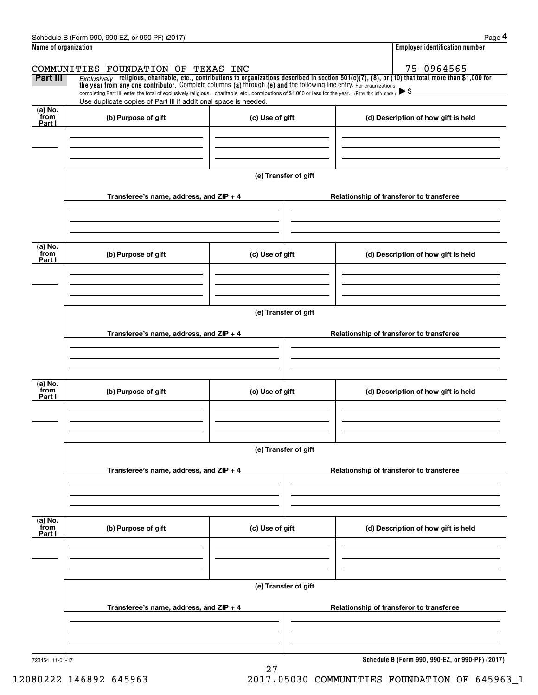| Schedule<br>. or 990-PF <sup>)</sup><br>(2017<br>990-EZ<br>B (Form 990.<br>the contract of the contract of the contract of the contract of the contract of the contract of the contract of |  |  | Page |
|--------------------------------------------------------------------------------------------------------------------------------------------------------------------------------------------|--|--|------|
|                                                                                                                                                                                            |  |  |      |

|                             | Schedule B (Form 990, 990-EZ, or 990-PF) (2017)                                                                                                                                                                                                                                |                      |  | Page 4                                          |  |  |  |  |  |
|-----------------------------|--------------------------------------------------------------------------------------------------------------------------------------------------------------------------------------------------------------------------------------------------------------------------------|----------------------|--|-------------------------------------------------|--|--|--|--|--|
| Name of organization        |                                                                                                                                                                                                                                                                                |                      |  | <b>Employer identification number</b>           |  |  |  |  |  |
|                             | COMMUNITIES FOUNDATION OF TEXAS INC                                                                                                                                                                                                                                            |                      |  | 75-0964565                                      |  |  |  |  |  |
| Part III                    | $Exclusively$ religious, charitable, etc., contributions to organizations described in section 501(c)(7), (8), or (10) that total more than \$1,000 for<br>the year from any one contributor. Complete columns (a) through (e) and the following line entry. For organizations |                      |  |                                                 |  |  |  |  |  |
|                             | completing Part III, enter the total of exclusively religious, charitable, etc., contributions of \$1,000 or less for the year. (Enter this info. once.) $\blacktriangleright$ \$<br>Use duplicate copies of Part III if additional space is needed.                           |                      |  |                                                 |  |  |  |  |  |
| $(a)$ No.<br>from<br>Part I | (b) Purpose of gift                                                                                                                                                                                                                                                            | (c) Use of gift      |  | (d) Description of how gift is held             |  |  |  |  |  |
|                             |                                                                                                                                                                                                                                                                                |                      |  |                                                 |  |  |  |  |  |
|                             |                                                                                                                                                                                                                                                                                | (e) Transfer of gift |  |                                                 |  |  |  |  |  |
|                             | Transferee's name, address, and $ZIP + 4$                                                                                                                                                                                                                                      |                      |  | Relationship of transferor to transferee        |  |  |  |  |  |
|                             |                                                                                                                                                                                                                                                                                |                      |  |                                                 |  |  |  |  |  |
| (a) No.<br>from<br>Part I   | (b) Purpose of gift                                                                                                                                                                                                                                                            | (c) Use of gift      |  | (d) Description of how gift is held             |  |  |  |  |  |
|                             |                                                                                                                                                                                                                                                                                |                      |  |                                                 |  |  |  |  |  |
|                             | (e) Transfer of gift                                                                                                                                                                                                                                                           |                      |  |                                                 |  |  |  |  |  |
|                             | Transferee's name, address, and $ZIP + 4$                                                                                                                                                                                                                                      |                      |  | Relationship of transferor to transferee        |  |  |  |  |  |
|                             |                                                                                                                                                                                                                                                                                |                      |  |                                                 |  |  |  |  |  |
|                             |                                                                                                                                                                                                                                                                                |                      |  |                                                 |  |  |  |  |  |
| (a) No.<br>from<br>Part I   | (b) Purpose of gift                                                                                                                                                                                                                                                            | (c) Use of gift      |  | (d) Description of how gift is held             |  |  |  |  |  |
|                             |                                                                                                                                                                                                                                                                                |                      |  |                                                 |  |  |  |  |  |
|                             |                                                                                                                                                                                                                                                                                | (e) Transfer of gift |  |                                                 |  |  |  |  |  |
|                             | Transferee's name, address, and ZIP + 4                                                                                                                                                                                                                                        |                      |  | Relationship of transferor to transferee        |  |  |  |  |  |
|                             |                                                                                                                                                                                                                                                                                |                      |  |                                                 |  |  |  |  |  |
| (a) No.<br>from<br>Part I   | (b) Purpose of gift                                                                                                                                                                                                                                                            | (c) Use of gift      |  | (d) Description of how gift is held             |  |  |  |  |  |
|                             |                                                                                                                                                                                                                                                                                |                      |  |                                                 |  |  |  |  |  |
|                             |                                                                                                                                                                                                                                                                                | (e) Transfer of gift |  |                                                 |  |  |  |  |  |
|                             | Transferee's name, address, and $ZIP + 4$                                                                                                                                                                                                                                      |                      |  | Relationship of transferor to transferee        |  |  |  |  |  |
|                             |                                                                                                                                                                                                                                                                                |                      |  |                                                 |  |  |  |  |  |
| 723454 11-01-17             |                                                                                                                                                                                                                                                                                |                      |  | Schedule B (Form 990, 990-EZ, or 990-PF) (2017) |  |  |  |  |  |

27

**Schedule B (Form 990, 990-EZ, or 990-PF) (2017)**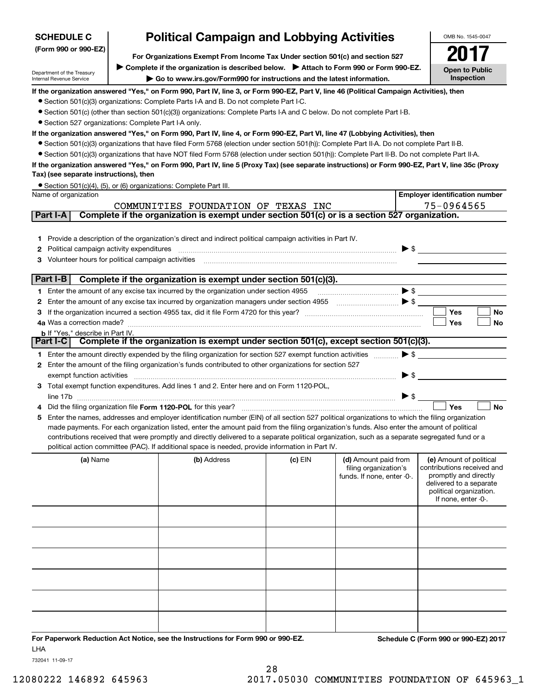| <b>SCHEDULE C</b>                                      | <b>Political Campaign and Lobbying Activities</b>                                                                                                                    |         |                            |                          | OMB No. 1545-0047                                   |
|--------------------------------------------------------|----------------------------------------------------------------------------------------------------------------------------------------------------------------------|---------|----------------------------|--------------------------|-----------------------------------------------------|
| (Form 990 or 990-EZ)                                   |                                                                                                                                                                      |         |                            |                          |                                                     |
|                                                        | For Organizations Exempt From Income Tax Under section 501(c) and section 527<br>Complete if the organization is described below. Attach to Form 990 or Form 990-EZ. |         |                            |                          |                                                     |
| Department of the Treasury<br>Internal Revenue Service | Go to www.irs.gov/Form990 for instructions and the latest information.                                                                                               |         |                            |                          | <b>Open to Public</b><br>Inspection                 |
|                                                        | If the organization answered "Yes," on Form 990, Part IV, line 3, or Form 990-EZ, Part V, line 46 (Political Campaign Activities), then                              |         |                            |                          |                                                     |
|                                                        | • Section 501(c)(3) organizations: Complete Parts I-A and B. Do not complete Part I-C.                                                                               |         |                            |                          |                                                     |
|                                                        | • Section 501(c) (other than section 501(c)(3)) organizations: Complete Parts I-A and C below. Do not complete Part I-B.                                             |         |                            |                          |                                                     |
| • Section 527 organizations: Complete Part I-A only.   |                                                                                                                                                                      |         |                            |                          |                                                     |
|                                                        | If the organization answered "Yes," on Form 990, Part IV, line 4, or Form 990-EZ, Part VI, line 47 (Lobbying Activities), then                                       |         |                            |                          |                                                     |
|                                                        | • Section 501(c)(3) organizations that have filed Form 5768 (election under section 501(h)): Complete Part II-A. Do not complete Part II-B.                          |         |                            |                          |                                                     |
|                                                        | • Section 501(c)(3) organizations that have NOT filed Form 5768 (election under section 501(h)): Complete Part II-B. Do not complete Part II-A.                      |         |                            |                          |                                                     |
| Tax) (see separate instructions), then                 | If the organization answered "Yes," on Form 990, Part IV, line 5 (Proxy Tax) (see separate instructions) or Form 990-EZ, Part V, line 35c (Proxy                     |         |                            |                          |                                                     |
|                                                        | • Section 501(c)(4), (5), or (6) organizations: Complete Part III.                                                                                                   |         |                            |                          |                                                     |
| Name of organization                                   |                                                                                                                                                                      |         |                            |                          | <b>Employer identification number</b>               |
|                                                        | COMMUNITIES FOUNDATION OF TEXAS INC                                                                                                                                  |         |                            |                          | 75-0964565                                          |
| Part I-A                                               | Complete if the organization is exempt under section 501(c) or is a section 527 organization.                                                                        |         |                            |                          |                                                     |
|                                                        |                                                                                                                                                                      |         |                            |                          |                                                     |
|                                                        | 1 Provide a description of the organization's direct and indirect political campaign activities in Part IV.                                                          |         |                            |                          |                                                     |
| 2 Political campaign activity expenditures             |                                                                                                                                                                      |         |                            | $\blacktriangleright$ \$ |                                                     |
| 3 Volunteer hours for political campaign activities    |                                                                                                                                                                      |         |                            |                          |                                                     |
| Part I-B                                               | Complete if the organization is exempt under section 501(c)(3).                                                                                                      |         |                            |                          |                                                     |
|                                                        | 1 Enter the amount of any excise tax incurred by the organization under section 4955                                                                                 |         |                            |                          |                                                     |
|                                                        | 2 Enter the amount of any excise tax incurred by organization managers under section 4955                                                                            |         |                            |                          |                                                     |
|                                                        |                                                                                                                                                                      |         |                            |                          | Yes<br>No                                           |
|                                                        |                                                                                                                                                                      |         |                            |                          | Yes<br>No                                           |
| <b>b</b> If "Yes," describe in Part IV.                |                                                                                                                                                                      |         |                            |                          |                                                     |
|                                                        | Part I-C Complete if the organization is exempt under section 501(c), except section 501(c)(3).                                                                      |         |                            |                          |                                                     |
|                                                        | 1 Enter the amount directly expended by the filing organization for section 527 exempt function activities                                                           |         |                            | $\blacktriangleright$ \$ |                                                     |
|                                                        | 2 Enter the amount of the filing organization's funds contributed to other organizations for section 527                                                             |         |                            |                          |                                                     |
| exempt function activities                             | 3 Total exempt function expenditures. Add lines 1 and 2. Enter here and on Form 1120-POL,                                                                            |         |                            | $\blacktriangleright$ \$ |                                                     |
|                                                        |                                                                                                                                                                      |         |                            | $\blacktriangleright$ \$ |                                                     |
|                                                        | Did the filing organization file Form 1120-POL for this year?                                                                                                        |         |                            |                          | <b>No</b><br>Yes                                    |
| 5                                                      | Enter the names, addresses and employer identification number (EIN) of all section 527 political organizations to which the filing organization                      |         |                            |                          |                                                     |
|                                                        | made payments. For each organization listed, enter the amount paid from the filing organization's funds. Also enter the amount of political                          |         |                            |                          |                                                     |
|                                                        | contributions received that were promptly and directly delivered to a separate political organization, such as a separate segregated fund or a                       |         |                            |                          |                                                     |
|                                                        | political action committee (PAC). If additional space is needed, provide information in Part IV.                                                                     |         |                            |                          |                                                     |
| (a) Name                                               | (b) Address                                                                                                                                                          | (c) EIN | (d) Amount paid from       |                          | (e) Amount of political                             |
|                                                        |                                                                                                                                                                      |         | filing organization's      |                          | contributions received and<br>promptly and directly |
|                                                        |                                                                                                                                                                      |         | funds. If none, enter -0-. |                          | delivered to a separate                             |
|                                                        |                                                                                                                                                                      |         |                            |                          | political organization.                             |
|                                                        |                                                                                                                                                                      |         |                            |                          | If none, enter -0-.                                 |
|                                                        |                                                                                                                                                                      |         |                            |                          |                                                     |
|                                                        |                                                                                                                                                                      |         |                            |                          |                                                     |
|                                                        |                                                                                                                                                                      |         |                            |                          |                                                     |
|                                                        |                                                                                                                                                                      |         |                            |                          |                                                     |
|                                                        |                                                                                                                                                                      |         |                            |                          |                                                     |
|                                                        |                                                                                                                                                                      |         |                            |                          |                                                     |

**For Paperwork Reduction Act Notice, see the Instructions for Form 990 or 990-EZ. Schedule C (Form 990 or 990-EZ) 2017** LHA

732041 11-09-17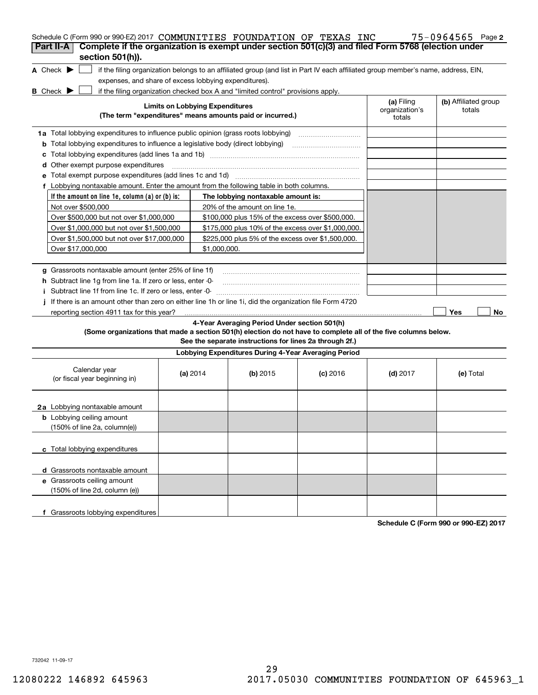| Schedule C (Form 990 or 990-EZ) 2017 COMMUNITIES FOUNDATION OF TEXAS INC                                                            |                                        |                                                                                                         |                                                                                                                                   |                          | $75 - 0964565$ Page 2 |
|-------------------------------------------------------------------------------------------------------------------------------------|----------------------------------------|---------------------------------------------------------------------------------------------------------|-----------------------------------------------------------------------------------------------------------------------------------|--------------------------|-----------------------|
| Complete if the organization is exempt under section 501(c)(3) and filed Form 5768 (election under<br>Part II-A<br>section 501(h)). |                                        |                                                                                                         |                                                                                                                                   |                          |                       |
|                                                                                                                                     |                                        |                                                                                                         |                                                                                                                                   |                          |                       |
| A Check $\blacktriangleright$                                                                                                       |                                        |                                                                                                         | if the filing organization belongs to an affiliated group (and list in Part IV each affiliated group member's name, address, EIN, |                          |                       |
| expenses, and share of excess lobbying expenditures).                                                                               |                                        |                                                                                                         |                                                                                                                                   |                          |                       |
| B Check D                                                                                                                           | <b>Limits on Lobbying Expenditures</b> | if the filing organization checked box A and "limited control" provisions apply.                        |                                                                                                                                   | (a) Filing               | (b) Affiliated group  |
|                                                                                                                                     |                                        | (The term "expenditures" means amounts paid or incurred.)                                               |                                                                                                                                   | organization's<br>totals | totals                |
| 1a Total lobbying expenditures to influence public opinion (grass roots lobbying)                                                   |                                        |                                                                                                         |                                                                                                                                   |                          |                       |
| <b>b</b> Total lobbying expenditures to influence a legislative body (direct lobbying) <i>manumumumum</i>                           |                                        |                                                                                                         |                                                                                                                                   |                          |                       |
| c                                                                                                                                   |                                        |                                                                                                         |                                                                                                                                   |                          |                       |
| d Other exempt purpose expenditures                                                                                                 |                                        |                                                                                                         |                                                                                                                                   |                          |                       |
|                                                                                                                                     |                                        |                                                                                                         |                                                                                                                                   |                          |                       |
| f Lobbying nontaxable amount. Enter the amount from the following table in both columns.                                            |                                        |                                                                                                         |                                                                                                                                   |                          |                       |
| If the amount on line 1e, column (a) or (b) is:                                                                                     |                                        | The lobbying nontaxable amount is:                                                                      |                                                                                                                                   |                          |                       |
| Not over \$500,000                                                                                                                  |                                        | 20% of the amount on line 1e.                                                                           |                                                                                                                                   |                          |                       |
| Over \$500,000 but not over \$1,000,000                                                                                             |                                        | \$100,000 plus 15% of the excess over \$500,000.                                                        |                                                                                                                                   |                          |                       |
| Over \$1,000,000 but not over \$1,500,000                                                                                           |                                        | \$175,000 plus 10% of the excess over \$1,000,000.                                                      |                                                                                                                                   |                          |                       |
| Over \$1,500,000 but not over \$17,000,000                                                                                          |                                        | \$225,000 plus 5% of the excess over \$1,500,000.                                                       |                                                                                                                                   |                          |                       |
| Over \$17,000,000                                                                                                                   | \$1,000,000.                           |                                                                                                         |                                                                                                                                   |                          |                       |
|                                                                                                                                     |                                        |                                                                                                         |                                                                                                                                   |                          |                       |
| g Grassroots nontaxable amount (enter 25% of line 1f)                                                                               |                                        |                                                                                                         |                                                                                                                                   |                          |                       |
| <b>h</b> Subtract line 1g from line 1a. If zero or less, enter -0-                                                                  |                                        |                                                                                                         |                                                                                                                                   |                          |                       |
|                                                                                                                                     |                                        |                                                                                                         |                                                                                                                                   |                          |                       |
| i Subtract line 1f from line 1c. If zero or less, enter -0-                                                                         |                                        |                                                                                                         |                                                                                                                                   |                          |                       |
| If there is an amount other than zero on either line 1h or line 1i, did the organization file Form 4720                             |                                        |                                                                                                         |                                                                                                                                   |                          |                       |
| reporting section 4911 tax for this year?                                                                                           |                                        |                                                                                                         |                                                                                                                                   |                          | Yes<br>No             |
| (Some organizations that made a section 501(h) election do not have to complete all of the five columns below.                      |                                        | 4-Year Averaging Period Under section 501(h)<br>See the separate instructions for lines 2a through 2f.) |                                                                                                                                   |                          |                       |
|                                                                                                                                     |                                        | Lobbying Expenditures During 4-Year Averaging Period                                                    |                                                                                                                                   |                          |                       |
| Calendar year<br>(or fiscal year beginning in)                                                                                      | (a) $2014$                             | (b) $2015$                                                                                              | $(c)$ 2016                                                                                                                        | $(d)$ 2017               | (e) Total             |
| 2a Lobbying nontaxable amount                                                                                                       |                                        |                                                                                                         |                                                                                                                                   |                          |                       |
| <b>b</b> Lobbying ceiling amount                                                                                                    |                                        |                                                                                                         |                                                                                                                                   |                          |                       |
| (150% of line 2a, column(e))                                                                                                        |                                        |                                                                                                         |                                                                                                                                   |                          |                       |
|                                                                                                                                     |                                        |                                                                                                         |                                                                                                                                   |                          |                       |
| c Total lobbying expenditures                                                                                                       |                                        |                                                                                                         |                                                                                                                                   |                          |                       |
|                                                                                                                                     |                                        |                                                                                                         |                                                                                                                                   |                          |                       |
| d Grassroots nontaxable amount                                                                                                      |                                        |                                                                                                         |                                                                                                                                   |                          |                       |
| e Grassroots ceiling amount                                                                                                         |                                        |                                                                                                         |                                                                                                                                   |                          |                       |
| (150% of line 2d, column (e))                                                                                                       |                                        |                                                                                                         |                                                                                                                                   |                          |                       |
|                                                                                                                                     |                                        |                                                                                                         |                                                                                                                                   |                          |                       |
| f Grassroots lobbying expenditures                                                                                                  |                                        |                                                                                                         |                                                                                                                                   |                          |                       |

**Schedule C (Form 990 or 990-EZ) 2017**

732042 11-09-17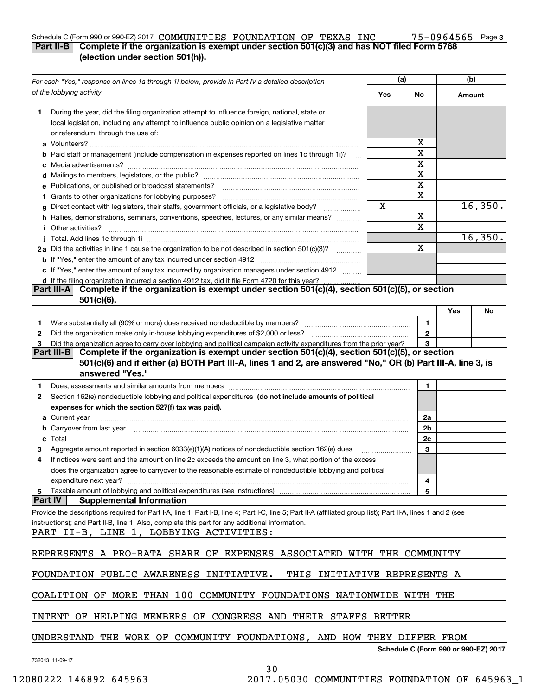#### Schedule C (Form 990 or 990-EZ) 2017 Page **Part II-B Complete if the organization is exempt under section 501(c)(3) and has NOT filed Form 5768** COMMUNITIES FOUNDATION OF TEXAS INC 75-0964565

**3**

### **(election under section 501(h)).**

|                | For each "Yes," response on lines 1a through 1i below, provide in Part IV a detailed description                                                                                                                                                                                                          | (a) |                                      | (b)    |         |  |
|----------------|-----------------------------------------------------------------------------------------------------------------------------------------------------------------------------------------------------------------------------------------------------------------------------------------------------------|-----|--------------------------------------|--------|---------|--|
|                | of the lobbying activity.                                                                                                                                                                                                                                                                                 | Yes | No                                   | Amount |         |  |
| 1.             | During the year, did the filing organization attempt to influence foreign, national, state or<br>local legislation, including any attempt to influence public opinion on a legislative matter                                                                                                             |     |                                      |        |         |  |
|                | or referendum, through the use of:                                                                                                                                                                                                                                                                        |     |                                      |        |         |  |
|                |                                                                                                                                                                                                                                                                                                           |     | х<br>X                               |        |         |  |
|                | Paid staff or management (include compensation in expenses reported on lines 1c through 1i)?                                                                                                                                                                                                              |     | X                                    |        |         |  |
|                |                                                                                                                                                                                                                                                                                                           |     | Χ                                    |        |         |  |
|                |                                                                                                                                                                                                                                                                                                           |     | X                                    |        |         |  |
|                | e Publications, or published or broadcast statements?                                                                                                                                                                                                                                                     |     | X                                    |        |         |  |
|                | f Grants to other organizations for lobbying purposes?<br>Direct contact with legislators, their staffs, government officials, or a legislative body?                                                                                                                                                     | X   |                                      |        | 16,350. |  |
| a              | h Rallies, demonstrations, seminars, conventions, speeches, lectures, or any similar means?                                                                                                                                                                                                               |     | X                                    |        |         |  |
|                | <i>i</i> Other activities?                                                                                                                                                                                                                                                                                |     | $\overline{\mathbf{X}}$              |        |         |  |
|                |                                                                                                                                                                                                                                                                                                           |     |                                      |        | 16,350. |  |
|                | 2a Did the activities in line 1 cause the organization to be not described in section 501(c)(3)?                                                                                                                                                                                                          |     | X                                    |        |         |  |
|                |                                                                                                                                                                                                                                                                                                           |     |                                      |        |         |  |
|                | c If "Yes," enter the amount of any tax incurred by organization managers under section 4912                                                                                                                                                                                                              |     |                                      |        |         |  |
|                | d If the filing organization incurred a section 4912 tax, did it file Form 4720 for this year?                                                                                                                                                                                                            |     |                                      |        |         |  |
|                | Complete if the organization is exempt under section 501(c)(4), section 501(c)(5), or section<br><b>Part III-AI</b><br>$501(c)(6)$ .                                                                                                                                                                      |     |                                      |        |         |  |
|                |                                                                                                                                                                                                                                                                                                           |     |                                      | Yes    | No      |  |
| 1.             |                                                                                                                                                                                                                                                                                                           |     | 1                                    |        |         |  |
| 2              |                                                                                                                                                                                                                                                                                                           |     | $\mathbf{2}$                         |        |         |  |
| З              | Did the organization agree to carry over lobbying and political campaign activity expenditures from the prior year?                                                                                                                                                                                       |     | 3                                    |        |         |  |
|                | Complete if the organization is exempt under section 501(c)(4), section 501(c)(5), or section<br> Part III-B                                                                                                                                                                                              |     |                                      |        |         |  |
|                | 501(c)(6) and if either (a) BOTH Part III-A, lines 1 and 2, are answered "No," OR (b) Part III-A, line 3, is<br>answered "Yes."                                                                                                                                                                           |     |                                      |        |         |  |
| 1              |                                                                                                                                                                                                                                                                                                           |     | 1                                    |        |         |  |
| 2              | Section 162(e) nondeductible lobbying and political expenditures (do not include amounts of political                                                                                                                                                                                                     |     |                                      |        |         |  |
|                | expenses for which the section 527(f) tax was paid).                                                                                                                                                                                                                                                      |     |                                      |        |         |  |
|                |                                                                                                                                                                                                                                                                                                           |     | 2a                                   |        |         |  |
|                |                                                                                                                                                                                                                                                                                                           |     | 2b                                   |        |         |  |
|                |                                                                                                                                                                                                                                                                                                           |     | 2c                                   |        |         |  |
|                | Aggregate amount reported in section 6033(e)(1)(A) notices of nondeductible section 162(e) dues                                                                                                                                                                                                           |     | 3                                    |        |         |  |
|                | If notices were sent and the amount on line 2c exceeds the amount on line 3, what portion of the excess                                                                                                                                                                                                   |     |                                      |        |         |  |
|                | does the organization agree to carryover to the reasonable estimate of nondeductible lobbying and political                                                                                                                                                                                               |     |                                      |        |         |  |
|                | expenditure next year?                                                                                                                                                                                                                                                                                    |     | 4                                    |        |         |  |
| 5              | Taxable amount of lobbying and political expenditures (see instructions)                                                                                                                                                                                                                                  |     | 5                                    |        |         |  |
| <b>Part IV</b> | <b>Supplemental Information</b>                                                                                                                                                                                                                                                                           |     |                                      |        |         |  |
|                | Provide the descriptions required for Part I-A, line 1; Part I-B, line 4; Part I-C, line 5; Part II-A (affiliated group list); Part II-A, lines 1 and 2 (see<br>instructions); and Part II-B, line 1. Also, complete this part for any additional information.<br>PART II-B, LINE 1, LOBBYING ACTIVITIES: |     |                                      |        |         |  |
|                | REPRESENTS A PRO-RATA SHARE OF EXPENSES ASSOCIATED WITH THE COMMUNITY                                                                                                                                                                                                                                     |     |                                      |        |         |  |
|                | FOUNDATION PUBLIC AWARENESS<br>INITIATIVE.<br>THIS<br>INITIATIVE REPRESENTS A                                                                                                                                                                                                                             |     |                                      |        |         |  |
|                | COALITION OF MORE THAN 100 COMMUNITY FOUNDATIONS NATIONWIDE WITH THE                                                                                                                                                                                                                                      |     |                                      |        |         |  |
|                | HELPING MEMBERS OF CONGRESS AND THEIR STAFFS BETTER<br>INTENT<br>OF.                                                                                                                                                                                                                                      |     |                                      |        |         |  |
|                | UNDERSTAND THE WORK OF COMMUNITY FOUNDATIONS, AND HOW THEY DIFFER FROM                                                                                                                                                                                                                                    |     |                                      |        |         |  |
|                | 732043 11-09-17                                                                                                                                                                                                                                                                                           |     | Schedule C (Form 990 or 990-EZ) 2017 |        |         |  |

30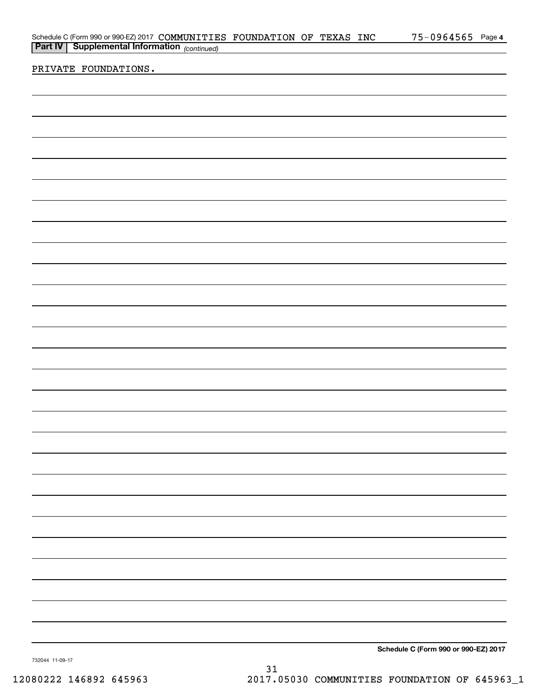|                      |  |                                                                                                                                 |  | $75 - 0964565$ Page 4                |
|----------------------|--|---------------------------------------------------------------------------------------------------------------------------------|--|--------------------------------------|
|                      |  | Schedule C (Form 990 or 990-EZ) 2017 COMMUNITIES FOUNDATION OF TEXAS INC<br><b>Part IV</b> Supplemental Information (continued) |  |                                      |
|                      |  |                                                                                                                                 |  |                                      |
| PRIVATE FOUNDATIONS. |  |                                                                                                                                 |  |                                      |
|                      |  |                                                                                                                                 |  |                                      |
|                      |  |                                                                                                                                 |  |                                      |
|                      |  |                                                                                                                                 |  |                                      |
|                      |  |                                                                                                                                 |  |                                      |
|                      |  |                                                                                                                                 |  |                                      |
|                      |  |                                                                                                                                 |  |                                      |
|                      |  |                                                                                                                                 |  |                                      |
|                      |  |                                                                                                                                 |  |                                      |
|                      |  |                                                                                                                                 |  |                                      |
|                      |  |                                                                                                                                 |  |                                      |
|                      |  |                                                                                                                                 |  |                                      |
|                      |  |                                                                                                                                 |  |                                      |
|                      |  |                                                                                                                                 |  |                                      |
|                      |  |                                                                                                                                 |  |                                      |
|                      |  |                                                                                                                                 |  |                                      |
|                      |  |                                                                                                                                 |  |                                      |
|                      |  |                                                                                                                                 |  |                                      |
|                      |  |                                                                                                                                 |  |                                      |
|                      |  |                                                                                                                                 |  |                                      |
|                      |  |                                                                                                                                 |  |                                      |
|                      |  |                                                                                                                                 |  |                                      |
|                      |  |                                                                                                                                 |  |                                      |
|                      |  |                                                                                                                                 |  |                                      |
|                      |  |                                                                                                                                 |  |                                      |
|                      |  |                                                                                                                                 |  |                                      |
|                      |  |                                                                                                                                 |  |                                      |
|                      |  |                                                                                                                                 |  |                                      |
|                      |  |                                                                                                                                 |  |                                      |
|                      |  |                                                                                                                                 |  |                                      |
|                      |  |                                                                                                                                 |  |                                      |
|                      |  |                                                                                                                                 |  |                                      |
|                      |  |                                                                                                                                 |  |                                      |
|                      |  |                                                                                                                                 |  |                                      |
|                      |  |                                                                                                                                 |  |                                      |
|                      |  |                                                                                                                                 |  |                                      |
|                      |  |                                                                                                                                 |  |                                      |
|                      |  |                                                                                                                                 |  |                                      |
|                      |  |                                                                                                                                 |  |                                      |
|                      |  |                                                                                                                                 |  |                                      |
|                      |  |                                                                                                                                 |  |                                      |
|                      |  |                                                                                                                                 |  |                                      |
|                      |  |                                                                                                                                 |  |                                      |
|                      |  |                                                                                                                                 |  |                                      |
|                      |  |                                                                                                                                 |  |                                      |
|                      |  |                                                                                                                                 |  |                                      |
|                      |  |                                                                                                                                 |  |                                      |
|                      |  |                                                                                                                                 |  |                                      |
|                      |  |                                                                                                                                 |  |                                      |
|                      |  |                                                                                                                                 |  |                                      |
|                      |  |                                                                                                                                 |  |                                      |
|                      |  |                                                                                                                                 |  |                                      |
|                      |  |                                                                                                                                 |  | Schedule C (Form 990 or 990-EZ) 2017 |

732044 11-09-17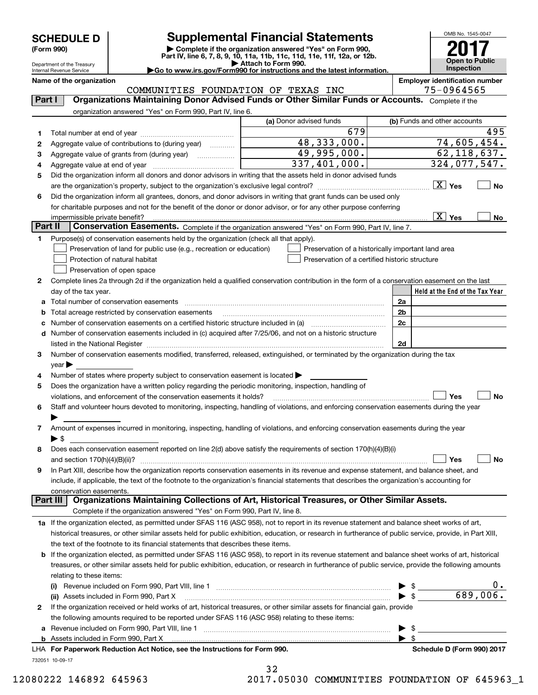Department of the Treasury

# **SCHEDULE D Supplemental Financial Statements**

(Form 990)<br>
Pepartment of the Treasury<br>
Department of the Treasury<br>
Department of the Treasury<br>
Department of the Treasury<br> **Co to www.irs.gov/Form990 for instructions and the latest information.**<br> **Co to www.irs.gov/Form9** 

OMB No. 1545-0047 **Open to Public Inspection 2017**

| Internal Revenue Service | $\blacktriangleright$ Go to www.irs.gov/Form990 for instructions and the latest information. | <b>Inspection</b>              |
|--------------------------|----------------------------------------------------------------------------------------------|--------------------------------|
| Name of the organization |                                                                                              | Employer identification number |

|         | ivame or the organization<br>COMMUNITIES FOUNDATION OF TEXAS INC                                                                                          |                                                | Employer identification number<br>75-0964565                                |
|---------|-----------------------------------------------------------------------------------------------------------------------------------------------------------|------------------------------------------------|-----------------------------------------------------------------------------|
| Part I  | Organizations Maintaining Donor Advised Funds or Other Similar Funds or Accounts. Complete if the                                                         |                                                |                                                                             |
|         | organization answered "Yes" on Form 990, Part IV, line 6.                                                                                                 |                                                |                                                                             |
|         |                                                                                                                                                           | (a) Donor advised funds                        | (b) Funds and other accounts                                                |
| 1       |                                                                                                                                                           | 679                                            | 495                                                                         |
| 2       | Aggregate value of contributions to (during year)                                                                                                         | 48,333,000.                                    | 74,605,454.                                                                 |
| з       | Aggregate value of grants from (during year)                                                                                                              | 49,995,000.                                    | 62, 118, 637.                                                               |
| 4       | Aggregate value at end of year                                                                                                                            | $\overline{337,401,000}$ .                     | 324,077,547.                                                                |
| 5       | Did the organization inform all donors and donor advisors in writing that the assets held in donor advised funds                                          |                                                |                                                                             |
|         |                                                                                                                                                           |                                                | $\boxed{\text{X}}$ Yes<br><b>No</b>                                         |
| 6       | Did the organization inform all grantees, donors, and donor advisors in writing that grant funds can be used only                                         |                                                |                                                                             |
|         | for charitable purposes and not for the benefit of the donor or donor advisor, or for any other purpose conferring                                        |                                                |                                                                             |
|         | impermissible private benefit?                                                                                                                            |                                                | $\boxed{\text{X}}$ Yes<br>No                                                |
| Part II | Conservation Easements. Complete if the organization answered "Yes" on Form 990, Part IV, line 7.                                                         |                                                |                                                                             |
| 1       | Purpose(s) of conservation easements held by the organization (check all that apply).                                                                     |                                                |                                                                             |
|         | Preservation of land for public use (e.g., recreation or education)                                                                                       |                                                | Preservation of a historically important land area                          |
|         | Protection of natural habitat                                                                                                                             | Preservation of a certified historic structure |                                                                             |
|         | Preservation of open space                                                                                                                                |                                                |                                                                             |
| 2       | Complete lines 2a through 2d if the organization held a qualified conservation contribution in the form of a conservation easement on the last            |                                                |                                                                             |
|         | day of the tax year.                                                                                                                                      |                                                | Held at the End of the Tax Year                                             |
| а       | Total number of conservation easements                                                                                                                    |                                                | 2a                                                                          |
| b       | Total acreage restricted by conservation easements                                                                                                        |                                                | 2b                                                                          |
| с       | Number of conservation easements on a certified historic structure included in (a)                                                                        |                                                | 2c                                                                          |
| d       | Number of conservation easements included in (c) acquired after 7/25/06, and not on a historic structure                                                  |                                                |                                                                             |
|         | listed in the National Register                                                                                                                           |                                                | 2d                                                                          |
| 3       | Number of conservation easements modified, transferred, released, extinguished, or terminated by the organization during the tax                          |                                                |                                                                             |
|         | year                                                                                                                                                      |                                                |                                                                             |
| 4       | Number of states where property subject to conservation easement is located                                                                               |                                                |                                                                             |
| 5       | Does the organization have a written policy regarding the periodic monitoring, inspection, handling of                                                    |                                                |                                                                             |
|         | violations, and enforcement of the conservation easements it holds?                                                                                       |                                                | Yes<br>No                                                                   |
| 6       | Staff and volunteer hours devoted to monitoring, inspecting, handling of violations, and enforcing conservation easements during the year                 |                                                |                                                                             |
|         |                                                                                                                                                           |                                                |                                                                             |
| 7       | Amount of expenses incurred in monitoring, inspecting, handling of violations, and enforcing conservation easements during the year                       |                                                |                                                                             |
|         | ▶ \$<br>Does each conservation easement reported on line 2(d) above satisfy the requirements of section 170(h)(4)(B)(i)                                   |                                                |                                                                             |
| 8       | and section $170(h)(4)(B)(ii)?$                                                                                                                           |                                                | Yes<br>No                                                                   |
| 9       | In Part XIII, describe how the organization reports conservation easements in its revenue and expense statement, and balance sheet, and                   |                                                |                                                                             |
|         | include, if applicable, the text of the footnote to the organization's financial statements that describes the organization's accounting for              |                                                |                                                                             |
|         | conservation easements.                                                                                                                                   |                                                |                                                                             |
|         | Organizations Maintaining Collections of Art, Historical Treasures, or Other Similar Assets.<br>Part III                                                  |                                                |                                                                             |
|         | Complete if the organization answered "Yes" on Form 990, Part IV, line 8.                                                                                 |                                                |                                                                             |
|         | 1a If the organization elected, as permitted under SFAS 116 (ASC 958), not to report in its revenue statement and balance sheet works of art,             |                                                |                                                                             |
|         | historical treasures, or other similar assets held for public exhibition, education, or research in furtherance of public service, provide, in Part XIII, |                                                |                                                                             |
|         | the text of the footnote to its financial statements that describes these items.                                                                          |                                                |                                                                             |
| b       | If the organization elected, as permitted under SFAS 116 (ASC 958), to report in its revenue statement and balance sheet works of art, historical         |                                                |                                                                             |
|         | treasures, or other similar assets held for public exhibition, education, or research in furtherance of public service, provide the following amounts     |                                                |                                                                             |
|         | relating to these items:                                                                                                                                  |                                                |                                                                             |
|         |                                                                                                                                                           |                                                | υ.                                                                          |
|         | (ii) Assets included in Form 990, Part X                                                                                                                  |                                                | $\begin{array}{c} \bullet \ \ast \\ \bullet \ \ast \end{array}$<br>689,006. |
| 2       | If the organization received or held works of art, historical treasures, or other similar assets for financial gain, provide                              |                                                |                                                                             |
|         | the following amounts required to be reported under SFAS 116 (ASC 958) relating to these items:                                                           |                                                |                                                                             |
| а       |                                                                                                                                                           |                                                | $\mathfrak{S}$ and $\mathfrak{S}$                                           |
| b       |                                                                                                                                                           |                                                | $\blacktriangleright$ s                                                     |
|         | LHA For Paperwork Reduction Act Notice, see the Instructions for Form 990.                                                                                |                                                | Schedule D (Form 990) 2017                                                  |

732051 10-09-17

32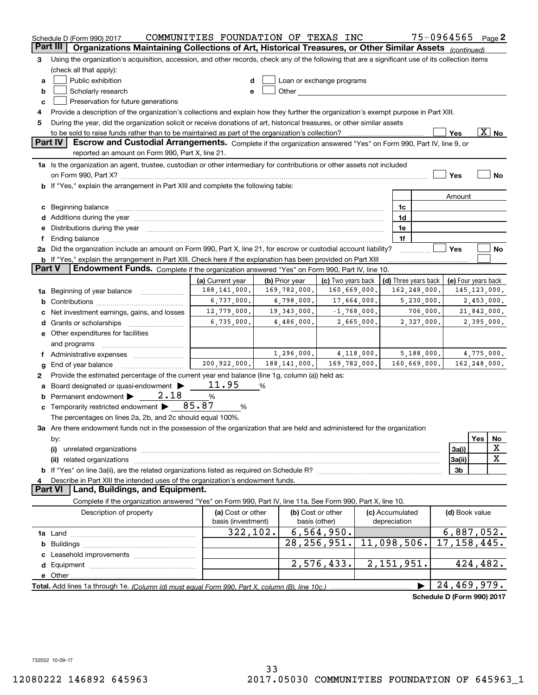|               | Schedule D (Form 990) 2017                                                                                                                                                                                                     | COMMUNITIES FOUNDATION OF TEXAS INC |   |                |                           |               |                          |              | 75-0964565                 |     | Page 2         |
|---------------|--------------------------------------------------------------------------------------------------------------------------------------------------------------------------------------------------------------------------------|-------------------------------------|---|----------------|---------------------------|---------------|--------------------------|--------------|----------------------------|-----|----------------|
|               | Part III<br>Organizations Maintaining Collections of Art, Historical Treasures, or Other Similar Assets (continued)                                                                                                            |                                     |   |                |                           |               |                          |              |                            |     |                |
| 3             | Using the organization's acquisition, accession, and other records, check any of the following that are a significant use of its collection items                                                                              |                                     |   |                |                           |               |                          |              |                            |     |                |
|               | (check all that apply):                                                                                                                                                                                                        |                                     |   |                |                           |               |                          |              |                            |     |                |
| а             | Public exhibition                                                                                                                                                                                                              | d                                   |   |                | Loan or exchange programs |               |                          |              |                            |     |                |
| b             | Scholarly research                                                                                                                                                                                                             | е                                   |   |                |                           |               |                          |              |                            |     |                |
| с             | Preservation for future generations                                                                                                                                                                                            |                                     |   |                |                           |               |                          |              |                            |     |                |
| 4             | Provide a description of the organization's collections and explain how they further the organization's exempt purpose in Part XIII.                                                                                           |                                     |   |                |                           |               |                          |              |                            |     |                |
| 5             | During the year, did the organization solicit or receive donations of art, historical treasures, or other similar assets                                                                                                       |                                     |   |                |                           |               |                          |              |                            |     |                |
|               | $\overline{\text{X}}$ No<br>to be sold to raise funds rather than to be maintained as part of the organization's collection?<br>Yes<br>. <u>.</u> .                                                                            |                                     |   |                |                           |               |                          |              |                            |     |                |
|               | <b>Part IV</b><br>Escrow and Custodial Arrangements. Complete if the organization answered "Yes" on Form 990, Part IV, line 9, or<br>reported an amount on Form 990, Part X, line 21.                                          |                                     |   |                |                           |               |                          |              |                            |     |                |
|               | 1a Is the organization an agent, trustee, custodian or other intermediary for contributions or other assets not included                                                                                                       |                                     |   |                |                           |               |                          |              |                            |     |                |
|               | on Form 990, Part X? [11] matter continuum matter contract to the contract of the contract of the contract of the contract of the contract of the contract of the contract of the contract of the contract of the contract of  |                                     |   |                |                           |               |                          |              | Yes                        |     | No             |
|               | <b>b</b> If "Yes," explain the arrangement in Part XIII and complete the following table:                                                                                                                                      |                                     |   |                |                           |               |                          |              |                            |     |                |
|               |                                                                                                                                                                                                                                |                                     |   |                |                           |               |                          |              | Amount                     |     |                |
|               | c Beginning balance measurements and the contract of the contract of the contract of the contract of the contract of the contract of the contract of the contract of the contract of the contract of the contract of the contr |                                     |   |                |                           |               | 1c                       |              |                            |     |                |
|               |                                                                                                                                                                                                                                |                                     |   |                |                           |               | 1d                       |              |                            |     |                |
|               | e Distributions during the year manufactured and an account of the year manufactured and the year manufactured                                                                                                                 |                                     |   |                |                           |               | 1e                       |              |                            |     |                |
|               |                                                                                                                                                                                                                                |                                     |   |                |                           |               | 1f                       |              |                            |     |                |
|               | 2a Did the organization include an amount on Form 990, Part X, line 21, for escrow or custodial account liability?                                                                                                             |                                     |   |                |                           |               |                          |              | Yes                        |     | No             |
|               | <b>b</b> If "Yes," explain the arrangement in Part XIII. Check here if the explanation has been provided on Part XIII                                                                                                          |                                     |   |                |                           |               |                          |              |                            |     |                |
| <b>Part V</b> | Endowment Funds. Complete if the organization answered "Yes" on Form 990, Part IV, line 10.                                                                                                                                    |                                     |   |                |                           |               |                          |              |                            |     |                |
|               |                                                                                                                                                                                                                                | (a) Current year                    |   | (b) Prior year | (c) Two years back        |               | (d) Three years back     |              | (e) Four years back        |     |                |
|               | 1a Beginning of year balance                                                                                                                                                                                                   | 188, 141, 000.                      |   | 169,782,000.   | 160,669,000.              |               |                          | 162,248,000. |                            |     | 145, 123, 000. |
|               |                                                                                                                                                                                                                                | 6,737,000.                          |   | 4,798,000.     |                           | 17,664,000.   |                          | 5,230,000.   |                            |     | 2,453,000.     |
| c             | Net investment earnings, gains, and losses                                                                                                                                                                                     | 12,779,000.                         |   | 19,343,000.    |                           | $-1,768,000.$ |                          | 706,000.     |                            |     | 21,842,000.    |
|               |                                                                                                                                                                                                                                | 6,735,000.                          |   | 4,486,000.     |                           | 2,665,000.    |                          | 2,327,000.   |                            |     | 2,395,000.     |
|               | e Other expenditures for facilities                                                                                                                                                                                            |                                     |   |                |                           |               |                          |              |                            |     |                |
|               | and programs                                                                                                                                                                                                                   |                                     |   |                |                           |               |                          |              |                            |     |                |
|               | f Administrative expenses                                                                                                                                                                                                      |                                     |   | 1,296,000.     |                           | 4,118,000.    |                          | 5,188,000.   |                            |     | 4,775,000.     |
| g             | End of year balance                                                                                                                                                                                                            | 200,922,000.                        |   | 188, 141, 000. | 169,782,000.              |               |                          | 160,669,000. |                            |     | 162,248,000.   |
| 2             | Provide the estimated percentage of the current year end balance (line 1g, column (a)) held as:                                                                                                                                |                                     |   |                |                           |               |                          |              |                            |     |                |
| а             | Board designated or quasi-endowment                                                                                                                                                                                            | 11.95                               | % |                |                           |               |                          |              |                            |     |                |
|               | <b>b</b> Permanent endowment $\blacktriangleright$<br>2.18                                                                                                                                                                     | %                                   |   |                |                           |               |                          |              |                            |     |                |
|               | <b>c</b> Temporarily restricted endowment $\triangleright$ 85.87                                                                                                                                                               | %                                   |   |                |                           |               |                          |              |                            |     |                |
|               | The percentages on lines 2a, 2b, and 2c should equal 100%.                                                                                                                                                                     |                                     |   |                |                           |               |                          |              |                            |     |                |
|               | 3a Are there endowment funds not in the possession of the organization that are held and administered for the organization                                                                                                     |                                     |   |                |                           |               |                          |              |                            |     |                |
|               | by:                                                                                                                                                                                                                            |                                     |   |                |                           |               |                          |              |                            | Yes | No             |
|               | (i)                                                                                                                                                                                                                            |                                     |   |                |                           |               |                          |              | 3a(i)                      |     | x              |
|               |                                                                                                                                                                                                                                |                                     |   |                |                           |               |                          |              | 3a(ii)                     |     | X              |
|               |                                                                                                                                                                                                                                |                                     |   |                |                           |               |                          |              | 3b                         |     |                |
| 4             | Describe in Part XIII the intended uses of the organization's endowment funds.                                                                                                                                                 |                                     |   |                |                           |               |                          |              |                            |     |                |
|               | Land, Buildings, and Equipment.<br>Part VI                                                                                                                                                                                     |                                     |   |                |                           |               |                          |              |                            |     |                |
|               | Complete if the organization answered "Yes" on Form 990, Part IV, line 11a. See Form 990, Part X, line 10.                                                                                                                     |                                     |   |                |                           |               |                          |              |                            |     |                |
|               | Description of property                                                                                                                                                                                                        | (a) Cost or other                   |   |                | (b) Cost or other         |               | (c) Accumulated          |              | (d) Book value             |     |                |
|               |                                                                                                                                                                                                                                | basis (investment)                  |   |                | basis (other)             |               | depreciation             |              |                            |     |                |
|               |                                                                                                                                                                                                                                | 322, 102.                           |   |                | 6, 564, 950.              |               |                          |              | 6,887,052.                 |     |                |
| b             |                                                                                                                                                                                                                                |                                     |   |                | 28, 256, 951.             |               | 11,098,506.              |              | 17, 158, 445.              |     |                |
|               |                                                                                                                                                                                                                                |                                     |   |                |                           |               |                          |              |                            |     |                |
|               |                                                                                                                                                                                                                                |                                     |   |                | 2,576,433.                |               | $\overline{2,151,951}$ . |              |                            |     | 424,482.       |
|               |                                                                                                                                                                                                                                |                                     |   |                |                           |               |                          |              |                            |     |                |
|               |                                                                                                                                                                                                                                |                                     |   |                |                           |               |                          |              | 24,469,979.                |     |                |
|               |                                                                                                                                                                                                                                |                                     |   |                |                           |               |                          |              | Schedule D (Form 990) 2017 |     |                |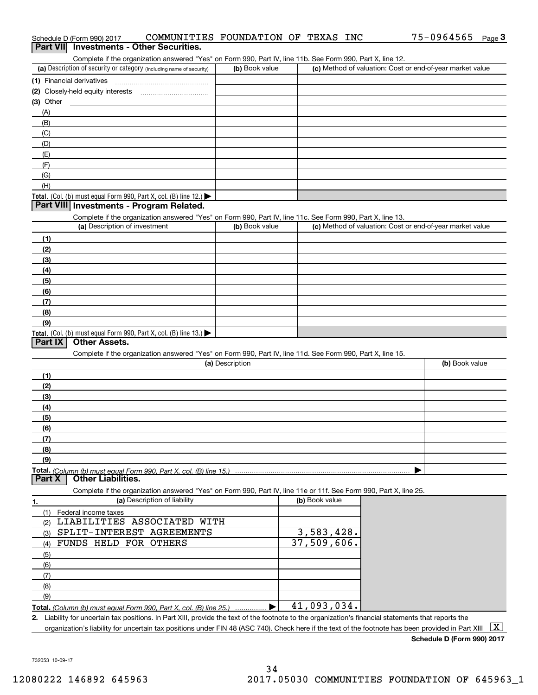| <b>Investments - Other Securities.</b><br><b>Part VIII</b><br>Complete if the organization answered "Yes" on Form 990, Part IV, line 11b. See Form 990, Part X, line 12.<br>(c) Method of valuation: Cost or end-of-year market value<br>(a) Description of security or category (including name of security)<br>(b) Book value<br>(1) Financial derivatives<br>(3) Other<br>(A)<br>(B)<br>(C)<br>(D)<br>(E)<br>(F)<br>(G)<br>(H)<br>Total. (Col. (b) must equal Form 990, Part X, col. (B) line 12.)<br>Part VIII Investments - Program Related.<br>Complete if the organization answered "Yes" on Form 990, Part IV, line 11c. See Form 990, Part X, line 13.<br>(a) Description of investment<br>(c) Method of valuation: Cost or end-of-year market value<br>(b) Book value<br>(1)<br>(2)<br>(3)<br>(4)<br>(5)<br>(6)<br>(7)<br>(8)<br>(9)<br><b>Total.</b> (Col. (b) must equal Form 990, Part X, col. (B) line 13.)<br>Part IX<br><b>Other Assets.</b><br>Complete if the organization answered "Yes" on Form 990, Part IV, line 11d. See Form 990, Part X, line 15.<br>(a) Description<br>(b) Book value<br>(1)<br>(2)<br>(3)<br>(4)<br>(5)<br>(6)<br>(7)<br>(8)<br>(9)<br>Total. (Column (b) must equal Form 990. Part X, col. (B) line 15.)<br><b>Other Liabilities.</b><br>Part X<br>Complete if the organization answered "Yes" on Form 990, Part IV, line 11e or 11f. See Form 990, Part X, line 25.<br>(b) Book value<br>(a) Description of liability<br>1.<br>(1) Federal income taxes<br>LIABILITIES ASSOCIATED WITH<br>(2)<br>$\overline{3,583,428}$ .<br>SPLIT-INTEREST AGREEMENTS<br>(3)<br>37,509,606.<br>FUNDS HELD FOR OTHERS<br>(4)<br>(5)<br>(6)<br>(7)<br>(8)<br>(9)<br>41,093,034.<br>Total. (Column (b) must equal Form 990, Part X, col. (B) line 25.)<br>2. Liability for uncertain tax positions. In Part XIII, provide the text of the footnote to the organization's financial statements that reports the<br>  X  <br>organization's liability for uncertain tax positions under FIN 48 (ASC 740). Check here if the text of the footnote has been provided in Part XIII | Schedule D (Form 990) 2017 | COMMUNITIES FOUNDATION OF TEXAS INC |  |  | 75-0964565 | Page $3$ |
|----------------------------------------------------------------------------------------------------------------------------------------------------------------------------------------------------------------------------------------------------------------------------------------------------------------------------------------------------------------------------------------------------------------------------------------------------------------------------------------------------------------------------------------------------------------------------------------------------------------------------------------------------------------------------------------------------------------------------------------------------------------------------------------------------------------------------------------------------------------------------------------------------------------------------------------------------------------------------------------------------------------------------------------------------------------------------------------------------------------------------------------------------------------------------------------------------------------------------------------------------------------------------------------------------------------------------------------------------------------------------------------------------------------------------------------------------------------------------------------------------------------------------------------------------------------------------------------------------------------------------------------------------------------------------------------------------------------------------------------------------------------------------------------------------------------------------------------------------------------------------------------------------------------------------------------------------------------------------------------------------------------------------------------------------------------------------------------------------------|----------------------------|-------------------------------------|--|--|------------|----------|
|                                                                                                                                                                                                                                                                                                                                                                                                                                                                                                                                                                                                                                                                                                                                                                                                                                                                                                                                                                                                                                                                                                                                                                                                                                                                                                                                                                                                                                                                                                                                                                                                                                                                                                                                                                                                                                                                                                                                                                                                                                                                                                          |                            |                                     |  |  |            |          |
|                                                                                                                                                                                                                                                                                                                                                                                                                                                                                                                                                                                                                                                                                                                                                                                                                                                                                                                                                                                                                                                                                                                                                                                                                                                                                                                                                                                                                                                                                                                                                                                                                                                                                                                                                                                                                                                                                                                                                                                                                                                                                                          |                            |                                     |  |  |            |          |
|                                                                                                                                                                                                                                                                                                                                                                                                                                                                                                                                                                                                                                                                                                                                                                                                                                                                                                                                                                                                                                                                                                                                                                                                                                                                                                                                                                                                                                                                                                                                                                                                                                                                                                                                                                                                                                                                                                                                                                                                                                                                                                          |                            |                                     |  |  |            |          |
|                                                                                                                                                                                                                                                                                                                                                                                                                                                                                                                                                                                                                                                                                                                                                                                                                                                                                                                                                                                                                                                                                                                                                                                                                                                                                                                                                                                                                                                                                                                                                                                                                                                                                                                                                                                                                                                                                                                                                                                                                                                                                                          |                            |                                     |  |  |            |          |
|                                                                                                                                                                                                                                                                                                                                                                                                                                                                                                                                                                                                                                                                                                                                                                                                                                                                                                                                                                                                                                                                                                                                                                                                                                                                                                                                                                                                                                                                                                                                                                                                                                                                                                                                                                                                                                                                                                                                                                                                                                                                                                          |                            |                                     |  |  |            |          |
|                                                                                                                                                                                                                                                                                                                                                                                                                                                                                                                                                                                                                                                                                                                                                                                                                                                                                                                                                                                                                                                                                                                                                                                                                                                                                                                                                                                                                                                                                                                                                                                                                                                                                                                                                                                                                                                                                                                                                                                                                                                                                                          |                            |                                     |  |  |            |          |
|                                                                                                                                                                                                                                                                                                                                                                                                                                                                                                                                                                                                                                                                                                                                                                                                                                                                                                                                                                                                                                                                                                                                                                                                                                                                                                                                                                                                                                                                                                                                                                                                                                                                                                                                                                                                                                                                                                                                                                                                                                                                                                          |                            |                                     |  |  |            |          |
|                                                                                                                                                                                                                                                                                                                                                                                                                                                                                                                                                                                                                                                                                                                                                                                                                                                                                                                                                                                                                                                                                                                                                                                                                                                                                                                                                                                                                                                                                                                                                                                                                                                                                                                                                                                                                                                                                                                                                                                                                                                                                                          |                            |                                     |  |  |            |          |
|                                                                                                                                                                                                                                                                                                                                                                                                                                                                                                                                                                                                                                                                                                                                                                                                                                                                                                                                                                                                                                                                                                                                                                                                                                                                                                                                                                                                                                                                                                                                                                                                                                                                                                                                                                                                                                                                                                                                                                                                                                                                                                          |                            |                                     |  |  |            |          |
|                                                                                                                                                                                                                                                                                                                                                                                                                                                                                                                                                                                                                                                                                                                                                                                                                                                                                                                                                                                                                                                                                                                                                                                                                                                                                                                                                                                                                                                                                                                                                                                                                                                                                                                                                                                                                                                                                                                                                                                                                                                                                                          |                            |                                     |  |  |            |          |
|                                                                                                                                                                                                                                                                                                                                                                                                                                                                                                                                                                                                                                                                                                                                                                                                                                                                                                                                                                                                                                                                                                                                                                                                                                                                                                                                                                                                                                                                                                                                                                                                                                                                                                                                                                                                                                                                                                                                                                                                                                                                                                          |                            |                                     |  |  |            |          |
|                                                                                                                                                                                                                                                                                                                                                                                                                                                                                                                                                                                                                                                                                                                                                                                                                                                                                                                                                                                                                                                                                                                                                                                                                                                                                                                                                                                                                                                                                                                                                                                                                                                                                                                                                                                                                                                                                                                                                                                                                                                                                                          |                            |                                     |  |  |            |          |
|                                                                                                                                                                                                                                                                                                                                                                                                                                                                                                                                                                                                                                                                                                                                                                                                                                                                                                                                                                                                                                                                                                                                                                                                                                                                                                                                                                                                                                                                                                                                                                                                                                                                                                                                                                                                                                                                                                                                                                                                                                                                                                          |                            |                                     |  |  |            |          |
|                                                                                                                                                                                                                                                                                                                                                                                                                                                                                                                                                                                                                                                                                                                                                                                                                                                                                                                                                                                                                                                                                                                                                                                                                                                                                                                                                                                                                                                                                                                                                                                                                                                                                                                                                                                                                                                                                                                                                                                                                                                                                                          |                            |                                     |  |  |            |          |
|                                                                                                                                                                                                                                                                                                                                                                                                                                                                                                                                                                                                                                                                                                                                                                                                                                                                                                                                                                                                                                                                                                                                                                                                                                                                                                                                                                                                                                                                                                                                                                                                                                                                                                                                                                                                                                                                                                                                                                                                                                                                                                          |                            |                                     |  |  |            |          |
|                                                                                                                                                                                                                                                                                                                                                                                                                                                                                                                                                                                                                                                                                                                                                                                                                                                                                                                                                                                                                                                                                                                                                                                                                                                                                                                                                                                                                                                                                                                                                                                                                                                                                                                                                                                                                                                                                                                                                                                                                                                                                                          |                            |                                     |  |  |            |          |
|                                                                                                                                                                                                                                                                                                                                                                                                                                                                                                                                                                                                                                                                                                                                                                                                                                                                                                                                                                                                                                                                                                                                                                                                                                                                                                                                                                                                                                                                                                                                                                                                                                                                                                                                                                                                                                                                                                                                                                                                                                                                                                          |                            |                                     |  |  |            |          |
|                                                                                                                                                                                                                                                                                                                                                                                                                                                                                                                                                                                                                                                                                                                                                                                                                                                                                                                                                                                                                                                                                                                                                                                                                                                                                                                                                                                                                                                                                                                                                                                                                                                                                                                                                                                                                                                                                                                                                                                                                                                                                                          |                            |                                     |  |  |            |          |
|                                                                                                                                                                                                                                                                                                                                                                                                                                                                                                                                                                                                                                                                                                                                                                                                                                                                                                                                                                                                                                                                                                                                                                                                                                                                                                                                                                                                                                                                                                                                                                                                                                                                                                                                                                                                                                                                                                                                                                                                                                                                                                          |                            |                                     |  |  |            |          |
|                                                                                                                                                                                                                                                                                                                                                                                                                                                                                                                                                                                                                                                                                                                                                                                                                                                                                                                                                                                                                                                                                                                                                                                                                                                                                                                                                                                                                                                                                                                                                                                                                                                                                                                                                                                                                                                                                                                                                                                                                                                                                                          |                            |                                     |  |  |            |          |
|                                                                                                                                                                                                                                                                                                                                                                                                                                                                                                                                                                                                                                                                                                                                                                                                                                                                                                                                                                                                                                                                                                                                                                                                                                                                                                                                                                                                                                                                                                                                                                                                                                                                                                                                                                                                                                                                                                                                                                                                                                                                                                          |                            |                                     |  |  |            |          |
|                                                                                                                                                                                                                                                                                                                                                                                                                                                                                                                                                                                                                                                                                                                                                                                                                                                                                                                                                                                                                                                                                                                                                                                                                                                                                                                                                                                                                                                                                                                                                                                                                                                                                                                                                                                                                                                                                                                                                                                                                                                                                                          |                            |                                     |  |  |            |          |
|                                                                                                                                                                                                                                                                                                                                                                                                                                                                                                                                                                                                                                                                                                                                                                                                                                                                                                                                                                                                                                                                                                                                                                                                                                                                                                                                                                                                                                                                                                                                                                                                                                                                                                                                                                                                                                                                                                                                                                                                                                                                                                          |                            |                                     |  |  |            |          |
|                                                                                                                                                                                                                                                                                                                                                                                                                                                                                                                                                                                                                                                                                                                                                                                                                                                                                                                                                                                                                                                                                                                                                                                                                                                                                                                                                                                                                                                                                                                                                                                                                                                                                                                                                                                                                                                                                                                                                                                                                                                                                                          |                            |                                     |  |  |            |          |
|                                                                                                                                                                                                                                                                                                                                                                                                                                                                                                                                                                                                                                                                                                                                                                                                                                                                                                                                                                                                                                                                                                                                                                                                                                                                                                                                                                                                                                                                                                                                                                                                                                                                                                                                                                                                                                                                                                                                                                                                                                                                                                          |                            |                                     |  |  |            |          |
|                                                                                                                                                                                                                                                                                                                                                                                                                                                                                                                                                                                                                                                                                                                                                                                                                                                                                                                                                                                                                                                                                                                                                                                                                                                                                                                                                                                                                                                                                                                                                                                                                                                                                                                                                                                                                                                                                                                                                                                                                                                                                                          |                            |                                     |  |  |            |          |
|                                                                                                                                                                                                                                                                                                                                                                                                                                                                                                                                                                                                                                                                                                                                                                                                                                                                                                                                                                                                                                                                                                                                                                                                                                                                                                                                                                                                                                                                                                                                                                                                                                                                                                                                                                                                                                                                                                                                                                                                                                                                                                          |                            |                                     |  |  |            |          |
|                                                                                                                                                                                                                                                                                                                                                                                                                                                                                                                                                                                                                                                                                                                                                                                                                                                                                                                                                                                                                                                                                                                                                                                                                                                                                                                                                                                                                                                                                                                                                                                                                                                                                                                                                                                                                                                                                                                                                                                                                                                                                                          |                            |                                     |  |  |            |          |
|                                                                                                                                                                                                                                                                                                                                                                                                                                                                                                                                                                                                                                                                                                                                                                                                                                                                                                                                                                                                                                                                                                                                                                                                                                                                                                                                                                                                                                                                                                                                                                                                                                                                                                                                                                                                                                                                                                                                                                                                                                                                                                          |                            |                                     |  |  |            |          |
|                                                                                                                                                                                                                                                                                                                                                                                                                                                                                                                                                                                                                                                                                                                                                                                                                                                                                                                                                                                                                                                                                                                                                                                                                                                                                                                                                                                                                                                                                                                                                                                                                                                                                                                                                                                                                                                                                                                                                                                                                                                                                                          |                            |                                     |  |  |            |          |
|                                                                                                                                                                                                                                                                                                                                                                                                                                                                                                                                                                                                                                                                                                                                                                                                                                                                                                                                                                                                                                                                                                                                                                                                                                                                                                                                                                                                                                                                                                                                                                                                                                                                                                                                                                                                                                                                                                                                                                                                                                                                                                          |                            |                                     |  |  |            |          |
|                                                                                                                                                                                                                                                                                                                                                                                                                                                                                                                                                                                                                                                                                                                                                                                                                                                                                                                                                                                                                                                                                                                                                                                                                                                                                                                                                                                                                                                                                                                                                                                                                                                                                                                                                                                                                                                                                                                                                                                                                                                                                                          |                            |                                     |  |  |            |          |
|                                                                                                                                                                                                                                                                                                                                                                                                                                                                                                                                                                                                                                                                                                                                                                                                                                                                                                                                                                                                                                                                                                                                                                                                                                                                                                                                                                                                                                                                                                                                                                                                                                                                                                                                                                                                                                                                                                                                                                                                                                                                                                          |                            |                                     |  |  |            |          |
|                                                                                                                                                                                                                                                                                                                                                                                                                                                                                                                                                                                                                                                                                                                                                                                                                                                                                                                                                                                                                                                                                                                                                                                                                                                                                                                                                                                                                                                                                                                                                                                                                                                                                                                                                                                                                                                                                                                                                                                                                                                                                                          |                            |                                     |  |  |            |          |
|                                                                                                                                                                                                                                                                                                                                                                                                                                                                                                                                                                                                                                                                                                                                                                                                                                                                                                                                                                                                                                                                                                                                                                                                                                                                                                                                                                                                                                                                                                                                                                                                                                                                                                                                                                                                                                                                                                                                                                                                                                                                                                          |                            |                                     |  |  |            |          |
|                                                                                                                                                                                                                                                                                                                                                                                                                                                                                                                                                                                                                                                                                                                                                                                                                                                                                                                                                                                                                                                                                                                                                                                                                                                                                                                                                                                                                                                                                                                                                                                                                                                                                                                                                                                                                                                                                                                                                                                                                                                                                                          |                            |                                     |  |  |            |          |
|                                                                                                                                                                                                                                                                                                                                                                                                                                                                                                                                                                                                                                                                                                                                                                                                                                                                                                                                                                                                                                                                                                                                                                                                                                                                                                                                                                                                                                                                                                                                                                                                                                                                                                                                                                                                                                                                                                                                                                                                                                                                                                          |                            |                                     |  |  |            |          |
|                                                                                                                                                                                                                                                                                                                                                                                                                                                                                                                                                                                                                                                                                                                                                                                                                                                                                                                                                                                                                                                                                                                                                                                                                                                                                                                                                                                                                                                                                                                                                                                                                                                                                                                                                                                                                                                                                                                                                                                                                                                                                                          |                            |                                     |  |  |            |          |
|                                                                                                                                                                                                                                                                                                                                                                                                                                                                                                                                                                                                                                                                                                                                                                                                                                                                                                                                                                                                                                                                                                                                                                                                                                                                                                                                                                                                                                                                                                                                                                                                                                                                                                                                                                                                                                                                                                                                                                                                                                                                                                          |                            |                                     |  |  |            |          |
|                                                                                                                                                                                                                                                                                                                                                                                                                                                                                                                                                                                                                                                                                                                                                                                                                                                                                                                                                                                                                                                                                                                                                                                                                                                                                                                                                                                                                                                                                                                                                                                                                                                                                                                                                                                                                                                                                                                                                                                                                                                                                                          |                            |                                     |  |  |            |          |
|                                                                                                                                                                                                                                                                                                                                                                                                                                                                                                                                                                                                                                                                                                                                                                                                                                                                                                                                                                                                                                                                                                                                                                                                                                                                                                                                                                                                                                                                                                                                                                                                                                                                                                                                                                                                                                                                                                                                                                                                                                                                                                          |                            |                                     |  |  |            |          |
|                                                                                                                                                                                                                                                                                                                                                                                                                                                                                                                                                                                                                                                                                                                                                                                                                                                                                                                                                                                                                                                                                                                                                                                                                                                                                                                                                                                                                                                                                                                                                                                                                                                                                                                                                                                                                                                                                                                                                                                                                                                                                                          |                            |                                     |  |  |            |          |
|                                                                                                                                                                                                                                                                                                                                                                                                                                                                                                                                                                                                                                                                                                                                                                                                                                                                                                                                                                                                                                                                                                                                                                                                                                                                                                                                                                                                                                                                                                                                                                                                                                                                                                                                                                                                                                                                                                                                                                                                                                                                                                          |                            |                                     |  |  |            |          |
|                                                                                                                                                                                                                                                                                                                                                                                                                                                                                                                                                                                                                                                                                                                                                                                                                                                                                                                                                                                                                                                                                                                                                                                                                                                                                                                                                                                                                                                                                                                                                                                                                                                                                                                                                                                                                                                                                                                                                                                                                                                                                                          |                            |                                     |  |  |            |          |
|                                                                                                                                                                                                                                                                                                                                                                                                                                                                                                                                                                                                                                                                                                                                                                                                                                                                                                                                                                                                                                                                                                                                                                                                                                                                                                                                                                                                                                                                                                                                                                                                                                                                                                                                                                                                                                                                                                                                                                                                                                                                                                          |                            |                                     |  |  |            |          |
|                                                                                                                                                                                                                                                                                                                                                                                                                                                                                                                                                                                                                                                                                                                                                                                                                                                                                                                                                                                                                                                                                                                                                                                                                                                                                                                                                                                                                                                                                                                                                                                                                                                                                                                                                                                                                                                                                                                                                                                                                                                                                                          |                            |                                     |  |  |            |          |
|                                                                                                                                                                                                                                                                                                                                                                                                                                                                                                                                                                                                                                                                                                                                                                                                                                                                                                                                                                                                                                                                                                                                                                                                                                                                                                                                                                                                                                                                                                                                                                                                                                                                                                                                                                                                                                                                                                                                                                                                                                                                                                          |                            |                                     |  |  |            |          |
|                                                                                                                                                                                                                                                                                                                                                                                                                                                                                                                                                                                                                                                                                                                                                                                                                                                                                                                                                                                                                                                                                                                                                                                                                                                                                                                                                                                                                                                                                                                                                                                                                                                                                                                                                                                                                                                                                                                                                                                                                                                                                                          |                            |                                     |  |  |            |          |
|                                                                                                                                                                                                                                                                                                                                                                                                                                                                                                                                                                                                                                                                                                                                                                                                                                                                                                                                                                                                                                                                                                                                                                                                                                                                                                                                                                                                                                                                                                                                                                                                                                                                                                                                                                                                                                                                                                                                                                                                                                                                                                          |                            |                                     |  |  |            |          |
|                                                                                                                                                                                                                                                                                                                                                                                                                                                                                                                                                                                                                                                                                                                                                                                                                                                                                                                                                                                                                                                                                                                                                                                                                                                                                                                                                                                                                                                                                                                                                                                                                                                                                                                                                                                                                                                                                                                                                                                                                                                                                                          |                            |                                     |  |  |            |          |
|                                                                                                                                                                                                                                                                                                                                                                                                                                                                                                                                                                                                                                                                                                                                                                                                                                                                                                                                                                                                                                                                                                                                                                                                                                                                                                                                                                                                                                                                                                                                                                                                                                                                                                                                                                                                                                                                                                                                                                                                                                                                                                          |                            |                                     |  |  |            |          |
|                                                                                                                                                                                                                                                                                                                                                                                                                                                                                                                                                                                                                                                                                                                                                                                                                                                                                                                                                                                                                                                                                                                                                                                                                                                                                                                                                                                                                                                                                                                                                                                                                                                                                                                                                                                                                                                                                                                                                                                                                                                                                                          |                            |                                     |  |  |            |          |
|                                                                                                                                                                                                                                                                                                                                                                                                                                                                                                                                                                                                                                                                                                                                                                                                                                                                                                                                                                                                                                                                                                                                                                                                                                                                                                                                                                                                                                                                                                                                                                                                                                                                                                                                                                                                                                                                                                                                                                                                                                                                                                          |                            |                                     |  |  |            |          |
|                                                                                                                                                                                                                                                                                                                                                                                                                                                                                                                                                                                                                                                                                                                                                                                                                                                                                                                                                                                                                                                                                                                                                                                                                                                                                                                                                                                                                                                                                                                                                                                                                                                                                                                                                                                                                                                                                                                                                                                                                                                                                                          |                            |                                     |  |  |            |          |
|                                                                                                                                                                                                                                                                                                                                                                                                                                                                                                                                                                                                                                                                                                                                                                                                                                                                                                                                                                                                                                                                                                                                                                                                                                                                                                                                                                                                                                                                                                                                                                                                                                                                                                                                                                                                                                                                                                                                                                                                                                                                                                          |                            |                                     |  |  |            |          |
|                                                                                                                                                                                                                                                                                                                                                                                                                                                                                                                                                                                                                                                                                                                                                                                                                                                                                                                                                                                                                                                                                                                                                                                                                                                                                                                                                                                                                                                                                                                                                                                                                                                                                                                                                                                                                                                                                                                                                                                                                                                                                                          |                            |                                     |  |  |            |          |
|                                                                                                                                                                                                                                                                                                                                                                                                                                                                                                                                                                                                                                                                                                                                                                                                                                                                                                                                                                                                                                                                                                                                                                                                                                                                                                                                                                                                                                                                                                                                                                                                                                                                                                                                                                                                                                                                                                                                                                                                                                                                                                          |                            |                                     |  |  |            |          |

**Schedule D (Form 990) 2017**

732053 10-09-17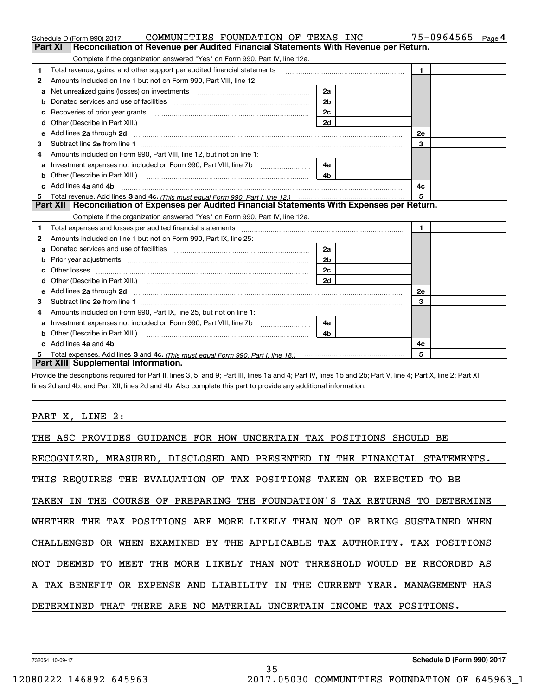|    | COMMUNITIES FOUNDATION OF TEXAS INC<br>Schedule D (Form 990) 2017                                                                                                                                                                   |                | 75-0964565<br>Page 4 |
|----|-------------------------------------------------------------------------------------------------------------------------------------------------------------------------------------------------------------------------------------|----------------|----------------------|
|    | Reconciliation of Revenue per Audited Financial Statements With Revenue per Return.<br>Part XI                                                                                                                                      |                |                      |
|    | Complete if the organization answered "Yes" on Form 990, Part IV, line 12a.                                                                                                                                                         |                |                      |
| 1  | Total revenue, gains, and other support per audited financial statements                                                                                                                                                            |                | $\blacksquare$       |
| 2  | Amounts included on line 1 but not on Form 990, Part VIII, line 12:                                                                                                                                                                 |                |                      |
| a  | Net unrealized gains (losses) on investments [11] matter contracts and the unrealized gains (losses) on investments                                                                                                                 | 2a             |                      |
|    |                                                                                                                                                                                                                                     | 2 <sub>b</sub> |                      |
|    |                                                                                                                                                                                                                                     | 2c             |                      |
| d  | Other (Describe in Part XIII.) <b>2006</b> 2007 2010 2010 2010 2010 2011 2012 2013 2014 2014 2015 2016 2017 2018 2019 2016 2017 2018 2019 2016 2017 2018 2019 2016 2017 2018 2019 2018 2019 2019 2016 2017 2018 2019 2018 2019 2019 | 2d             |                      |
| е  | Add lines 2a through 2d                                                                                                                                                                                                             |                | <b>2e</b>            |
| З  |                                                                                                                                                                                                                                     |                | 3                    |
| 4  | Amounts included on Form 990. Part VIII. line 12, but not on line 1:                                                                                                                                                                |                |                      |
| а  |                                                                                                                                                                                                                                     | 4a             |                      |
| b  |                                                                                                                                                                                                                                     | 4b             |                      |
| c. | Add lines 4a and 4b                                                                                                                                                                                                                 |                | 4с                   |
|    |                                                                                                                                                                                                                                     |                | 5                    |
|    | Part XII   Reconciliation of Expenses per Audited Financial Statements With Expenses per Return.                                                                                                                                    |                |                      |
|    | Complete if the organization answered "Yes" on Form 990, Part IV, line 12a.                                                                                                                                                         |                |                      |
| 1  | Total expenses and losses per audited financial statements [11] [12] manuscription and contract the statements [13] manuscription and the statements [13] manuscription and the statements and the statements and the statemen      |                | $\mathbf 1$          |
| 2  | Amounts included on line 1 but not on Form 990, Part IX, line 25:                                                                                                                                                                   |                |                      |
| a  |                                                                                                                                                                                                                                     | 2a             |                      |
| b  |                                                                                                                                                                                                                                     | 2b             |                      |
| с  |                                                                                                                                                                                                                                     | 2с             |                      |
| d  |                                                                                                                                                                                                                                     | 2d             |                      |
| е  | Add lines 2a through 2d <b>contained a contained a contained a contained a</b> contained a contained a contained a contained a contained a contained a contained a contained a contained a contained a contained a contained a cont |                | <b>2e</b>            |
| 3  |                                                                                                                                                                                                                                     |                | 3                    |
| 4  | Amounts included on Form 990, Part IX, line 25, but not on line 1:                                                                                                                                                                  |                |                      |
| a  |                                                                                                                                                                                                                                     | - 4a l         |                      |
| b  |                                                                                                                                                                                                                                     | 4b.            |                      |
|    | Add lines 4a and 4b                                                                                                                                                                                                                 |                | 4c                   |
|    |                                                                                                                                                                                                                                     |                | 5                    |
|    | Part XIII Supplemental Information.                                                                                                                                                                                                 |                |                      |

Provide the descriptions required for Part II, lines 3, 5, and 9; Part III, lines 1a and 4; Part IV, lines 1b and 2b; Part V, line 4; Part X, line 2; Part XI, lines 2d and 4b; and Part XII, lines 2d and 4b. Also complete this part to provide any additional information.

## PART X, LINE 2:

| THE ASC PROVIDES GUIDANCE FOR HOW UNCERTAIN TAX POSITIONS SHOULD BE        |  |  |  |  |  |
|----------------------------------------------------------------------------|--|--|--|--|--|
| RECOGNIZED, MEASURED, DISCLOSED AND PRESENTED IN THE FINANCIAL STATEMENTS. |  |  |  |  |  |
| THIS REQUIRES THE EVALUATION OF TAX POSITIONS TAKEN OR EXPECTED TO BE      |  |  |  |  |  |
| TAKEN IN THE COURSE OF PREPARING THE FOUNDATION'S TAX RETURNS TO DETERMINE |  |  |  |  |  |
| WHETHER THE TAX POSITIONS ARE MORE LIKELY THAN NOT OF BEING SUSTAINED WHEN |  |  |  |  |  |
| CHALLENGED OR WHEN EXAMINED BY THE APPLICABLE TAX AUTHORITY. TAX POSITIONS |  |  |  |  |  |
| NOT DEEMED TO MEET THE MORE LIKELY THAN NOT THRESHOLD WOULD BE RECORDED AS |  |  |  |  |  |
| A TAX BENEFIT OR EXPENSE AND LIABILITY IN THE CURRENT YEAR. MANAGEMENT HAS |  |  |  |  |  |
| DETERMINED THAT THERE ARE NO MATERIAL UNCERTAIN INCOME TAX POSITIONS.      |  |  |  |  |  |
|                                                                            |  |  |  |  |  |

732054 10-09-17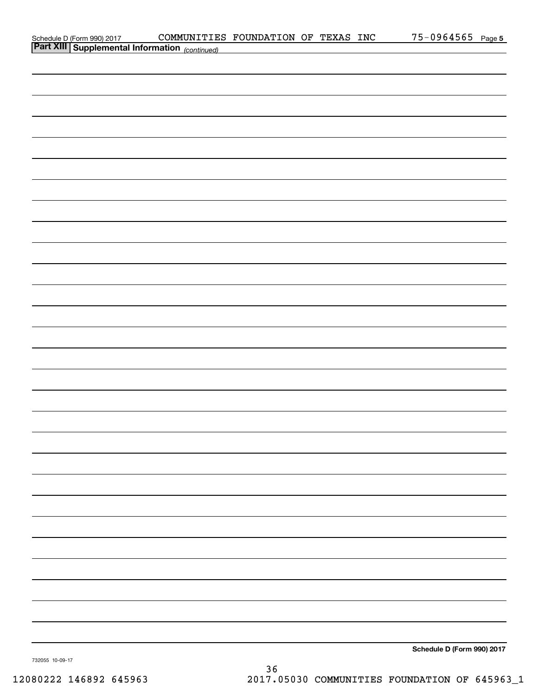|                                                                                            | COMMUNITIES FOUNDATION OF TEXAS INC |  |  | $75 - 0964565$ Page 5      |  |
|--------------------------------------------------------------------------------------------|-------------------------------------|--|--|----------------------------|--|
| Schedule D (Form 990) 2017 COMMUNITIE:<br>Part XIII   Supplemental Information (continued) |                                     |  |  |                            |  |
|                                                                                            |                                     |  |  |                            |  |
|                                                                                            |                                     |  |  |                            |  |
|                                                                                            |                                     |  |  |                            |  |
|                                                                                            |                                     |  |  |                            |  |
|                                                                                            |                                     |  |  |                            |  |
|                                                                                            |                                     |  |  |                            |  |
|                                                                                            |                                     |  |  |                            |  |
|                                                                                            |                                     |  |  |                            |  |
|                                                                                            |                                     |  |  |                            |  |
|                                                                                            |                                     |  |  |                            |  |
|                                                                                            |                                     |  |  |                            |  |
|                                                                                            |                                     |  |  |                            |  |
|                                                                                            |                                     |  |  |                            |  |
|                                                                                            |                                     |  |  |                            |  |
|                                                                                            |                                     |  |  |                            |  |
|                                                                                            |                                     |  |  |                            |  |
|                                                                                            |                                     |  |  |                            |  |
|                                                                                            |                                     |  |  |                            |  |
|                                                                                            |                                     |  |  |                            |  |
|                                                                                            |                                     |  |  |                            |  |
|                                                                                            |                                     |  |  |                            |  |
|                                                                                            |                                     |  |  |                            |  |
|                                                                                            |                                     |  |  |                            |  |
|                                                                                            |                                     |  |  |                            |  |
|                                                                                            |                                     |  |  |                            |  |
|                                                                                            |                                     |  |  |                            |  |
|                                                                                            |                                     |  |  |                            |  |
|                                                                                            |                                     |  |  |                            |  |
|                                                                                            |                                     |  |  |                            |  |
|                                                                                            |                                     |  |  |                            |  |
|                                                                                            |                                     |  |  |                            |  |
|                                                                                            |                                     |  |  |                            |  |
|                                                                                            |                                     |  |  |                            |  |
|                                                                                            |                                     |  |  |                            |  |
|                                                                                            |                                     |  |  |                            |  |
|                                                                                            |                                     |  |  |                            |  |
|                                                                                            |                                     |  |  |                            |  |
|                                                                                            |                                     |  |  |                            |  |
|                                                                                            |                                     |  |  |                            |  |
|                                                                                            |                                     |  |  |                            |  |
|                                                                                            |                                     |  |  |                            |  |
|                                                                                            |                                     |  |  |                            |  |
|                                                                                            |                                     |  |  |                            |  |
|                                                                                            |                                     |  |  |                            |  |
|                                                                                            |                                     |  |  |                            |  |
|                                                                                            |                                     |  |  |                            |  |
|                                                                                            |                                     |  |  |                            |  |
|                                                                                            |                                     |  |  | Schedule D (Form 990) 2017 |  |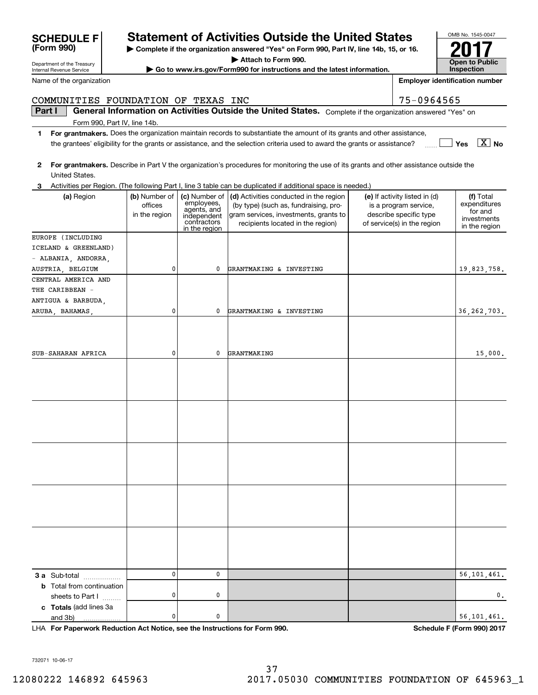**| Complete if the organization answered "Yes" on Form 990, Part IV, line 14b, 15, or 16.**

**| Attach to Form 990.**

**| Go to www.irs.gov/Form990 for instructions and the latest information.**

|   | United States.                                                                   |                                           |                                                                                           | 2 For grantmakers. Describe in Part V the organization's procedures for monitoring the use of its grants and other assistance outside the                     |                                                                                                                 |                                                                      |
|---|----------------------------------------------------------------------------------|-------------------------------------------|-------------------------------------------------------------------------------------------|---------------------------------------------------------------------------------------------------------------------------------------------------------------|-----------------------------------------------------------------------------------------------------------------|----------------------------------------------------------------------|
| 3 |                                                                                  |                                           |                                                                                           | Activities per Region. (The following Part I, line 3 table can be duplicated if additional space is needed.)                                                  |                                                                                                                 |                                                                      |
|   | (a) Region                                                                       | (b) Number of<br>offices<br>in the region | (c) Number of<br>employees,<br>agents, and<br>independent<br>contractors<br>in the region | (d) Activities conducted in the region<br>(by type) (such as, fundraising, pro-<br>gram services, investments, grants to<br>recipients located in the region) | (e) If activity listed in (d)<br>is a program service,<br>describe specific type<br>of service(s) in the region | (f) Total<br>expenditures<br>for and<br>investments<br>in the region |
|   | EUROPE (INCLUDING<br>ICELAND & GREENLAND)<br>- ALBANIA, ANDORRA,                 |                                           |                                                                                           |                                                                                                                                                               |                                                                                                                 |                                                                      |
|   | AUSTRIA, BELGIUM<br>CENTRAL AMERICA AND<br>THE CARIBBEAN -<br>ANTIGUA & BARBUDA, | 0                                         | 0                                                                                         | GRANTMAKING & INVESTING                                                                                                                                       |                                                                                                                 | 19,823,758.                                                          |
|   | ARUBA, BAHAMAS,                                                                  | 0                                         | 0                                                                                         | GRANTMAKING & INVESTING                                                                                                                                       |                                                                                                                 | 36, 262, 703.                                                        |
|   |                                                                                  |                                           |                                                                                           |                                                                                                                                                               |                                                                                                                 |                                                                      |
|   | SUB-SAHARAN AFRICA                                                               | 0                                         | 0                                                                                         | GRANTMAKING                                                                                                                                                   |                                                                                                                 | 15,000.                                                              |
|   |                                                                                  |                                           |                                                                                           |                                                                                                                                                               |                                                                                                                 |                                                                      |
|   |                                                                                  |                                           |                                                                                           |                                                                                                                                                               |                                                                                                                 |                                                                      |
|   |                                                                                  |                                           |                                                                                           |                                                                                                                                                               |                                                                                                                 |                                                                      |
|   |                                                                                  |                                           |                                                                                           |                                                                                                                                                               |                                                                                                                 |                                                                      |
|   |                                                                                  |                                           |                                                                                           |                                                                                                                                                               |                                                                                                                 |                                                                      |
|   |                                                                                  | 0                                         | $\mathbf 0$                                                                               |                                                                                                                                                               |                                                                                                                 | 56, 101, 461.                                                        |
|   | 3 a Sub-total<br><b>b</b> Total from continuation<br>sheets to Part I            | 0                                         | 0                                                                                         |                                                                                                                                                               |                                                                                                                 | $\mathbf{0}$ .                                                       |
|   | c Totals (add lines 3a<br>and 3b)<br>.                                           | 0                                         | 0                                                                                         |                                                                                                                                                               |                                                                                                                 | 56, 101, 461.                                                        |

**For Paperwork Reduction Act Notice, see the Instructions for Form 990. Schedule F (Form 990) 2017** LHA

732071 10-06-17



OMB No. 1545-0047 **Open to Public Inspection2017**

**Part I General Information on Activities Outside the United States.** Complete if the organization answered "Yes" on

**Employer identification number**

Form 990, Part IV, line 14b.

Department of the Treasury Internal Revenue Service

**(Form 990) SCHEDULE F** 

Name of the organization

**1For grantmakers.**  Does the organization maintain records to substantiate the amount of its grants and other assistance, **WALKED Yes**  $\boxed{\textbf{X}}$  **No** the grantees' eligibility for the grants or assistance, and the selection criteria used to award the grants or assistance?

COMMUNITIES FOUNDATION OF TEXAS INC<br>
75-0964565

|  |  | Activities per Region. (The following Part I, line 3 table can be duplicated if additional space is needed.) |  |
|--|--|--------------------------------------------------------------------------------------------------------------|--|
|  |  |                                                                                                              |  |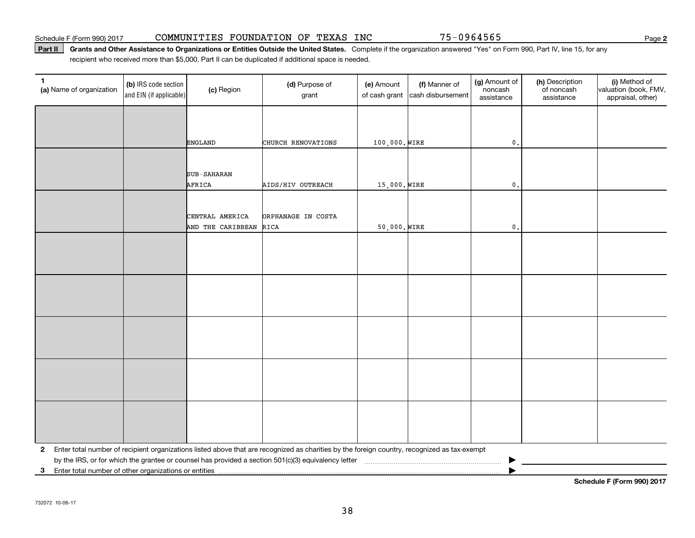#### Schedule F (Form 990) 2017 CO**MMUNITIES FOUNDATION OF TEXAS INC** 75-0964565 Page

#### Part II | Grants and Other Assistance to Organizations or Entities Outside the United States. Complete if the organization answered "Yes" on Form 990, Part IV, line 15, for any recipient who received more than \$5,000. Part II can be duplicated if additional space is needed.

| 1<br>(a) Name of organization | (b) IRS code section<br>and EIN (if applicable)       | (c) Region         | (d) Purpose of<br>grant                                                                                                                        | (e) Amount<br>of cash grant | (f) Manner of<br>cash disbursement | (g) Amount of<br>noncash<br>assistance | (h) Description<br>of noncash<br>assistance | (i) Method of<br>valuation (book, FMV,<br>appraisal, other) |  |  |  |
|-------------------------------|-------------------------------------------------------|--------------------|------------------------------------------------------------------------------------------------------------------------------------------------|-----------------------------|------------------------------------|----------------------------------------|---------------------------------------------|-------------------------------------------------------------|--|--|--|
|                               |                                                       |                    |                                                                                                                                                |                             |                                    |                                        |                                             |                                                             |  |  |  |
|                               |                                                       | <b>ENGLAND</b>     | CHURCH RENOVATIONS                                                                                                                             | 100,000. WIRE               |                                    | $\mathfrak o$ .                        |                                             |                                                             |  |  |  |
|                               |                                                       |                    |                                                                                                                                                |                             |                                    |                                        |                                             |                                                             |  |  |  |
|                               |                                                       | <b>SUB-SAHARAN</b> |                                                                                                                                                |                             |                                    |                                        |                                             |                                                             |  |  |  |
|                               |                                                       | AFRICA             | AIDS/HIV OUTREACH                                                                                                                              | 15,000. WIRE                |                                    | $\mathbf{0}$ .                         |                                             |                                                             |  |  |  |
|                               |                                                       |                    |                                                                                                                                                |                             |                                    |                                        |                                             |                                                             |  |  |  |
|                               |                                                       | CENTRAL AMERICA    | ORPHANAGE IN COSTA                                                                                                                             |                             |                                    |                                        |                                             |                                                             |  |  |  |
|                               |                                                       | AND THE CARIBBEAN  | RICA                                                                                                                                           | 50,000. WIRE                |                                    | $\mathbf{0}$ .                         |                                             |                                                             |  |  |  |
|                               |                                                       |                    |                                                                                                                                                |                             |                                    |                                        |                                             |                                                             |  |  |  |
|                               |                                                       |                    |                                                                                                                                                |                             |                                    |                                        |                                             |                                                             |  |  |  |
|                               |                                                       |                    |                                                                                                                                                |                             |                                    |                                        |                                             |                                                             |  |  |  |
|                               |                                                       |                    |                                                                                                                                                |                             |                                    |                                        |                                             |                                                             |  |  |  |
|                               |                                                       |                    |                                                                                                                                                |                             |                                    |                                        |                                             |                                                             |  |  |  |
|                               |                                                       |                    |                                                                                                                                                |                             |                                    |                                        |                                             |                                                             |  |  |  |
|                               |                                                       |                    |                                                                                                                                                |                             |                                    |                                        |                                             |                                                             |  |  |  |
|                               |                                                       |                    |                                                                                                                                                |                             |                                    |                                        |                                             |                                                             |  |  |  |
|                               |                                                       |                    |                                                                                                                                                |                             |                                    |                                        |                                             |                                                             |  |  |  |
|                               |                                                       |                    |                                                                                                                                                |                             |                                    |                                        |                                             |                                                             |  |  |  |
|                               |                                                       |                    | 2 Enter total number of recipient organizations listed above that are recognized as charities by the foreign country, recognized as tax-exempt |                             |                                    |                                        |                                             |                                                             |  |  |  |
|                               |                                                       |                    |                                                                                                                                                |                             |                                    |                                        |                                             |                                                             |  |  |  |
| 3 <sup>1</sup>                | Enter total number of other organizations or entities |                    |                                                                                                                                                |                             |                                    |                                        |                                             |                                                             |  |  |  |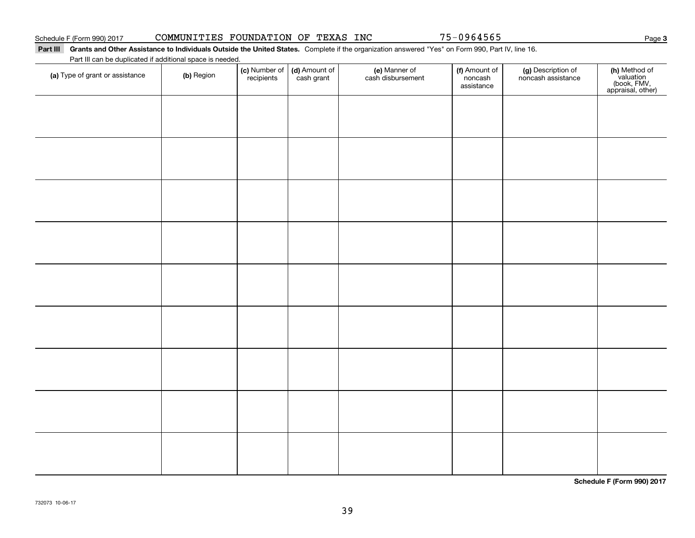# Schedule F (Form 990) 2017 CO**MMUNITIES FOUNDATION OF TEXAS INC** 75-0964565 Page

### Part III Grants and Other Assistance to Individuals Outside the United States. Complete if the organization answered "Yes" on Form 990, Part IV, line 16. Part III can be duplicated if additional space is needed.

| (a) Type of grant or assistance | (b) Region | (c) Number of (d) Amount of<br>recipients cash grant | (e) Manner of<br>cash disbursement | (f) Amount of<br>noncash<br>assistance | (g) Description of<br>noncash assistance | (h) Method of<br>valuation<br>(book, FMV,<br>appraisal, other) |
|---------------------------------|------------|------------------------------------------------------|------------------------------------|----------------------------------------|------------------------------------------|----------------------------------------------------------------|
|                                 |            |                                                      |                                    |                                        |                                          |                                                                |
|                                 |            |                                                      |                                    |                                        |                                          |                                                                |
|                                 |            |                                                      |                                    |                                        |                                          |                                                                |
|                                 |            |                                                      |                                    |                                        |                                          |                                                                |
|                                 |            |                                                      |                                    |                                        |                                          |                                                                |
|                                 |            |                                                      |                                    |                                        |                                          |                                                                |
|                                 |            |                                                      |                                    |                                        |                                          |                                                                |
|                                 |            |                                                      |                                    |                                        |                                          |                                                                |
|                                 |            |                                                      |                                    |                                        |                                          |                                                                |
|                                 |            |                                                      |                                    |                                        |                                          |                                                                |
|                                 |            |                                                      |                                    |                                        |                                          |                                                                |
|                                 |            |                                                      |                                    |                                        |                                          |                                                                |
|                                 |            |                                                      |                                    |                                        |                                          |                                                                |
|                                 |            |                                                      |                                    |                                        |                                          |                                                                |
|                                 |            |                                                      |                                    |                                        |                                          |                                                                |

**Schedule F (Form 990) 2017**

**3**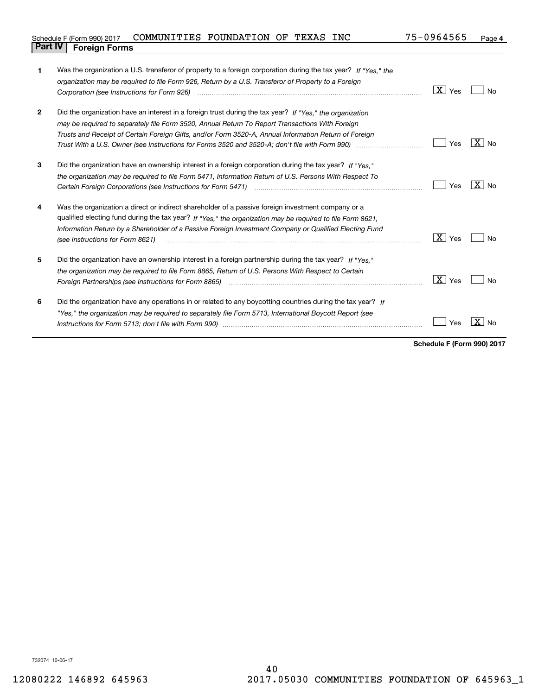| Schedule F (Form 990) 2017     | COMMUNITIES FOUNDATION OF TEXAS |  | <b>INC</b> | 75-0964565 | Page 4 |
|--------------------------------|---------------------------------|--|------------|------------|--------|
| <b>Part IV   Foreign Forms</b> |                                 |  |            |            |        |

| 1              | Was the organization a U.S. transferor of property to a foreign corporation during the tax year? If "Yes," the          |                        |                     |
|----------------|-------------------------------------------------------------------------------------------------------------------------|------------------------|---------------------|
|                | organization may be required to file Form 926, Return by a U.S. Transferor of Property to a Foreign                     |                        |                     |
|                | Corporation (see Instructions for Form 926) manufactured contract the control of the control of the control of          | $\boxed{\text{X}}$ Yes | No                  |
|                |                                                                                                                         |                        |                     |
| $\overline{2}$ | Did the organization have an interest in a foreign trust during the tax year? If "Yes," the organization                |                        |                     |
|                | may be required to separately file Form 3520, Annual Return To Report Transactions With Foreign                         |                        |                     |
|                | Trusts and Receipt of Certain Foreign Gifts, and/or Form 3520-A, Annual Information Return of Foreign                   |                        |                     |
|                | Trust With a U.S. Owner (see Instructions for Forms 3520 and 3520-A; don't file with Form 990) manufaction manufactured | Yes                    | $X \mid N_{\Omega}$ |
| 3              | Did the organization have an ownership interest in a foreign corporation during the tax year? If "Yes."                 |                        |                     |
|                | the organization may be required to file Form 5471, Information Return of U.S. Persons With Respect To                  |                        |                     |
|                |                                                                                                                         | Yes                    | $X _{N0}$           |
| 4              | Was the organization a direct or indirect shareholder of a passive foreign investment company or a                      |                        |                     |
|                | qualified electing fund during the tax year? If "Yes," the organization may be required to file Form 8621,              |                        |                     |
|                | Information Return by a Shareholder of a Passive Foreign Investment Company or Qualified Electing Fund                  |                        |                     |
|                | (see Instructions for Form 8621)                                                                                        | X  <br>Yes             | No                  |
| 5              | Did the organization have an ownership interest in a foreign partnership during the tax year? If "Yes."                 |                        |                     |
|                | the organization may be required to file Form 8865, Return of U.S. Persons With Respect to Certain                      |                        |                     |
|                |                                                                                                                         | $\vert X \vert$ Yes    | Nο                  |
| 6              | Did the organization have any operations in or related to any boycotting countries during the tax year? If              |                        |                     |
|                | "Yes," the organization may be required to separately file Form 5713, International Boycott Report (see                 |                        |                     |
|                |                                                                                                                         | Yes                    | No                  |
|                |                                                                                                                         |                        |                     |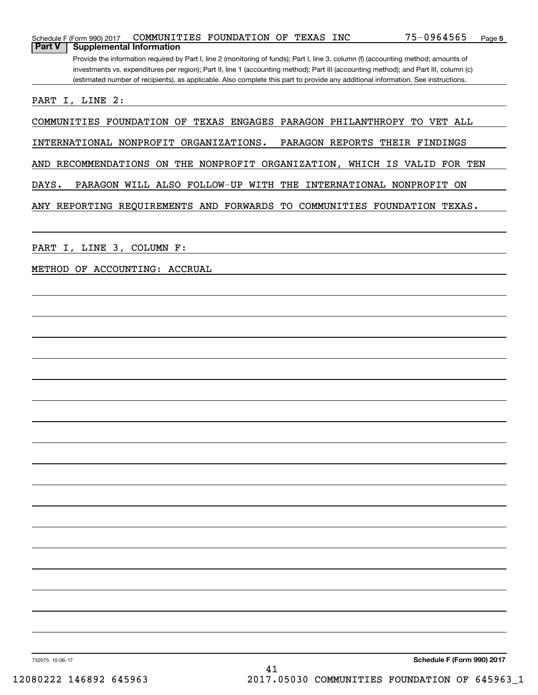| COMMUNITIES FOUNDATION OF TEXAS INC<br>Schedule F (Form 990) 2017                                                                     | 75-0964565                 | Page 5 |
|---------------------------------------------------------------------------------------------------------------------------------------|----------------------------|--------|
| <b>Part V</b><br><b>Supplemental Information</b>                                                                                      |                            |        |
| Provide the information required by Part I, line 2 (monitoring of funds); Part I, line 3, column (f) (accounting method; amounts of   |                            |        |
| investments vs. expenditures per region); Part II, line 1 (accounting method); Part III (accounting method); and Part III, column (c) |                            |        |
| (estimated number of recipients), as applicable. Also complete this part to provide any additional information. See instructions.     |                            |        |
| PART I, LINE 2:                                                                                                                       |                            |        |
|                                                                                                                                       |                            |        |
| COMMUNITIES FOUNDATION OF<br>TEXAS ENGAGES PARAGON PHILANTHROPY TO VET ALL                                                            |                            |        |
| INTERNATIONAL NONPROFIT ORGANIZATIONS.                                                                                                |                            |        |
| PARAGON REPORTS THEIR FINDINGS                                                                                                        |                            |        |
| AND RECOMMENDATIONS ON THE NONPROFIT ORGANIZATION, WHICH IS VALID FOR TEN                                                             |                            |        |
|                                                                                                                                       |                            |        |
| DAYS.<br>PARAGON WILL ALSO FOLLOW-UP WITH THE                                                                                         | INTERNATIONAL NONPROFIT ON |        |
| ANY REPORTING REQUIREMENTS AND FORWARDS TO COMMUNITIES FOUNDATION TEXAS.                                                              |                            |        |
|                                                                                                                                       |                            |        |
|                                                                                                                                       |                            |        |
| I, LINE 3, COLUMN F:<br>PART                                                                                                          |                            |        |
|                                                                                                                                       |                            |        |
| METHOD OF ACCOUNTING: ACCRUAL                                                                                                         |                            |        |
|                                                                                                                                       |                            |        |
|                                                                                                                                       |                            |        |
|                                                                                                                                       |                            |        |
|                                                                                                                                       |                            |        |
|                                                                                                                                       |                            |        |
|                                                                                                                                       |                            |        |
|                                                                                                                                       |                            |        |
|                                                                                                                                       |                            |        |
|                                                                                                                                       |                            |        |
|                                                                                                                                       |                            |        |
|                                                                                                                                       |                            |        |
|                                                                                                                                       |                            |        |
|                                                                                                                                       |                            |        |
|                                                                                                                                       |                            |        |
|                                                                                                                                       |                            |        |
|                                                                                                                                       |                            |        |
|                                                                                                                                       |                            |        |
|                                                                                                                                       |                            |        |
|                                                                                                                                       |                            |        |
|                                                                                                                                       |                            |        |
|                                                                                                                                       |                            |        |
|                                                                                                                                       |                            |        |
|                                                                                                                                       |                            |        |
|                                                                                                                                       |                            |        |
|                                                                                                                                       |                            |        |
|                                                                                                                                       |                            |        |
|                                                                                                                                       |                            |        |
|                                                                                                                                       |                            |        |
|                                                                                                                                       |                            |        |
| 732075 10-06-17                                                                                                                       | Schedule F (Form 990) 2017 |        |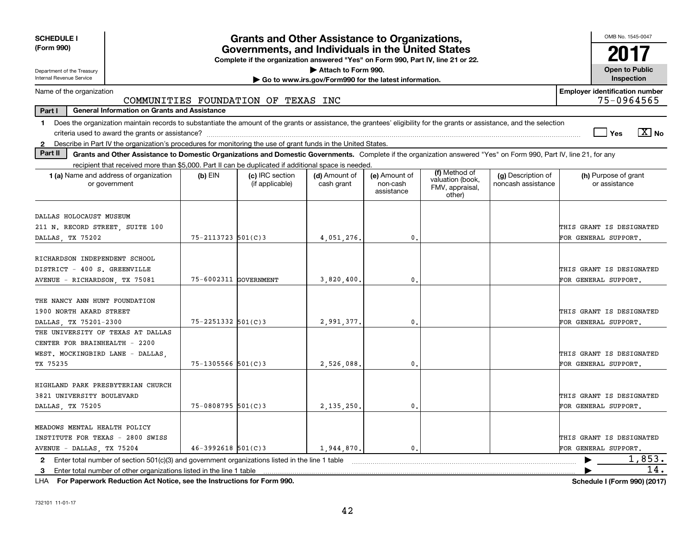| <b>SCHEDULE I</b>                                                                                                                                                                        |                        | <b>Grants and Other Assistance to Organizations,</b>                             |                                                       |                                         |                                               |                                          | OMB No. 1545-0047                                   |
|------------------------------------------------------------------------------------------------------------------------------------------------------------------------------------------|------------------------|----------------------------------------------------------------------------------|-------------------------------------------------------|-----------------------------------------|-----------------------------------------------|------------------------------------------|-----------------------------------------------------|
| (Form 990)                                                                                                                                                                               |                        | Governments, and Individuals in the United States                                |                                                       |                                         |                                               |                                          |                                                     |
| Department of the Treasury                                                                                                                                                               |                        | Complete if the organization answered "Yes" on Form 990, Part IV, line 21 or 22. | Attach to Form 990.                                   |                                         |                                               |                                          | <b>Open to Public</b>                               |
| Internal Revenue Service                                                                                                                                                                 |                        |                                                                                  | Go to www.irs.gov/Form990 for the latest information. |                                         |                                               |                                          | Inspection                                          |
| Name of the organization                                                                                                                                                                 |                        | COMMUNITIES FOUNDATION OF TEXAS INC                                              |                                                       |                                         |                                               |                                          | <b>Employer identification number</b><br>75-0964565 |
| Part I<br><b>General Information on Grants and Assistance</b>                                                                                                                            |                        |                                                                                  |                                                       |                                         |                                               |                                          |                                                     |
| Does the organization maintain records to substantiate the amount of the grants or assistance, the grantees' eligibility for the grants or assistance, and the selection<br>$\mathbf{1}$ |                        |                                                                                  |                                                       |                                         |                                               |                                          |                                                     |
|                                                                                                                                                                                          |                        |                                                                                  |                                                       |                                         |                                               |                                          | $\sqrt{X}$ No<br>l Yes                              |
| Describe in Part IV the organization's procedures for monitoring the use of grant funds in the United States.<br>$\mathbf{2}$                                                            |                        |                                                                                  |                                                       |                                         |                                               |                                          |                                                     |
| Part II<br>Grants and Other Assistance to Domestic Organizations and Domestic Governments. Complete if the organization answered "Yes" on Form 990, Part IV, line 21, for any            |                        |                                                                                  |                                                       |                                         |                                               |                                          |                                                     |
| recipient that received more than \$5,000. Part II can be duplicated if additional space is needed.                                                                                      |                        |                                                                                  |                                                       |                                         | (f) Method of                                 |                                          |                                                     |
| 1 (a) Name and address of organization<br>or government                                                                                                                                  | $(b)$ EIN              | (c) IRC section<br>(if applicable)                                               | (d) Amount of<br>cash grant                           | (e) Amount of<br>non-cash<br>assistance | valuation (book,<br>FMV, appraisal,<br>other) | (g) Description of<br>noncash assistance | (h) Purpose of grant<br>or assistance               |
| DALLAS HOLOCAUST MUSEUM                                                                                                                                                                  |                        |                                                                                  |                                                       |                                         |                                               |                                          |                                                     |
| 211 N. RECORD STREET, SUITE 100                                                                                                                                                          |                        |                                                                                  |                                                       |                                         |                                               |                                          | THIS GRANT IS DESIGNATED                            |
| DALLAS TX 75202                                                                                                                                                                          | $75 - 2113723$ 501(C)3 |                                                                                  | 4,051,276.                                            | $\mathbf{0}$                            |                                               |                                          | FOR GENERAL SUPPORT.                                |
| RICHARDSON INDEPENDENT SCHOOL                                                                                                                                                            |                        |                                                                                  |                                                       |                                         |                                               |                                          |                                                     |
| DISTRICT - 400 S. GREENVILLE                                                                                                                                                             |                        |                                                                                  |                                                       |                                         |                                               |                                          | THIS GRANT IS DESIGNATED                            |
| AVENUE - RICHARDSON, TX 75081                                                                                                                                                            | 75-6002311 GOVERNMENT  |                                                                                  | 3,820,400                                             | $\mathbf{0}$                            |                                               |                                          | FOR GENERAL SUPPORT.                                |
|                                                                                                                                                                                          |                        |                                                                                  |                                                       |                                         |                                               |                                          |                                                     |
| THE NANCY ANN HUNT FOUNDATION                                                                                                                                                            |                        |                                                                                  |                                                       |                                         |                                               |                                          |                                                     |
| 1900 NORTH AKARD STREET                                                                                                                                                                  |                        |                                                                                  |                                                       |                                         |                                               |                                          | THIS GRANT IS DESIGNATED                            |
| DALLAS, TX 75201-2300                                                                                                                                                                    | $75 - 2251332$ 501(C)3 |                                                                                  | 2,991,377.                                            | $\mathbf{0}$                            |                                               |                                          | FOR GENERAL SUPPORT.                                |
| THE UNIVERSITY OF TEXAS AT DALLAS                                                                                                                                                        |                        |                                                                                  |                                                       |                                         |                                               |                                          |                                                     |
| CENTER FOR BRAINHEALTH - 2200                                                                                                                                                            |                        |                                                                                  |                                                       |                                         |                                               |                                          |                                                     |
| WEST. MOCKINGBIRD LANE - DALLAS.                                                                                                                                                         |                        |                                                                                  |                                                       |                                         |                                               |                                          | THIS GRANT IS DESIGNATED                            |
| TX 75235                                                                                                                                                                                 | $75 - 1305566$ 501(C)3 |                                                                                  | 2,526,088                                             | 0                                       |                                               |                                          | FOR GENERAL SUPPORT.                                |
|                                                                                                                                                                                          |                        |                                                                                  |                                                       |                                         |                                               |                                          |                                                     |
| HIGHLAND PARK PRESBYTERIAN CHURCH<br>3821 UNIVERSITY BOULEVARD                                                                                                                           |                        |                                                                                  |                                                       |                                         |                                               |                                          | THIS GRANT IS DESIGNATED                            |
| DALLAS TX 75205                                                                                                                                                                          | $75 - 0808795$ 501(C)3 |                                                                                  | 2.135.250                                             | $\mathbf{0}$                            |                                               |                                          | FOR GENERAL SUPPORT.                                |
|                                                                                                                                                                                          |                        |                                                                                  |                                                       |                                         |                                               |                                          |                                                     |
| MEADOWS MENTAL HEALTH POLICY                                                                                                                                                             |                        |                                                                                  |                                                       |                                         |                                               |                                          |                                                     |
| INSTITUTE FOR TEXAS - 2800 SWISS                                                                                                                                                         |                        |                                                                                  |                                                       |                                         |                                               |                                          | THIS GRANT IS DESIGNATED                            |
| AVENUE - DALLAS, TX 75204                                                                                                                                                                | $46 - 3992618$ 501(C)3 |                                                                                  | 1,944,870.                                            | $\mathbf{0}$ .                          |                                               |                                          | FOR GENERAL SUPPORT.                                |
| 2 Enter total number of section $501(c)(3)$ and government organizations listed in the line 1 table                                                                                      |                        |                                                                                  |                                                       |                                         |                                               |                                          | 1,853.                                              |
| Enter total number of other organizations listed in the line 1 table<br>3                                                                                                                |                        |                                                                                  |                                                       |                                         |                                               |                                          | 14.                                                 |

**For Paperwork Reduction Act Notice, see the Instructions for Form 990. Schedule I (Form 990) (2017)** LHA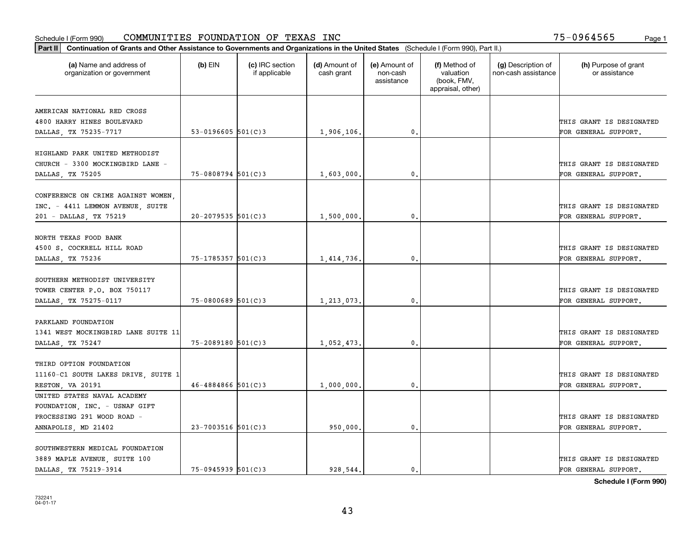| Part II   Continuation of Grants and Other Assistance to Governments and Organizations in the United States (Schedule I (Form 990), Part II.) |                        |                                  |                             |                                         |                                                                |                                           |                                       |
|-----------------------------------------------------------------------------------------------------------------------------------------------|------------------------|----------------------------------|-----------------------------|-----------------------------------------|----------------------------------------------------------------|-------------------------------------------|---------------------------------------|
| (a) Name and address of<br>organization or government                                                                                         | $(b)$ EIN              | (c) IRC section<br>if applicable | (d) Amount of<br>cash grant | (e) Amount of<br>non-cash<br>assistance | (f) Method of<br>valuation<br>(book, FMV,<br>appraisal, other) | (g) Description of<br>non-cash assistance | (h) Purpose of grant<br>or assistance |
|                                                                                                                                               |                        |                                  |                             |                                         |                                                                |                                           |                                       |
| AMERICAN NATIONAL RED CROSS<br>4800 HARRY HINES BOULEVARD                                                                                     |                        |                                  |                             |                                         |                                                                |                                           | THIS GRANT IS DESIGNATED              |
| DALLAS, TX 75235-7717                                                                                                                         | 53-0196605 $501(C)$ 3  |                                  | 1,906,106.                  | 0.                                      |                                                                |                                           | FOR GENERAL SUPPORT.                  |
|                                                                                                                                               |                        |                                  |                             |                                         |                                                                |                                           |                                       |
| HIGHLAND PARK UNITED METHODIST                                                                                                                |                        |                                  |                             |                                         |                                                                |                                           |                                       |
| CHURCH - 3300 MOCKINGBIRD LANE -                                                                                                              |                        |                                  |                             |                                         |                                                                |                                           | THIS GRANT IS DESIGNATED              |
| DALLAS, TX 75205                                                                                                                              | $75 - 0808794$ 501(C)3 |                                  | 1,603,000,                  | 0.                                      |                                                                |                                           | FOR GENERAL SUPPORT.                  |
|                                                                                                                                               |                        |                                  |                             |                                         |                                                                |                                           |                                       |
| CONFERENCE ON CRIME AGAINST WOMEN,                                                                                                            |                        |                                  |                             |                                         |                                                                |                                           |                                       |
| INC. - 4411 LEMMON AVENUE, SUITE                                                                                                              |                        |                                  |                             |                                         |                                                                |                                           | THIS GRANT IS DESIGNATED              |
| 201 - DALLAS, TX 75219                                                                                                                        | $20 - 2079535$ 501(C)3 |                                  | 1,500,000.                  | $\mathbf{0}$ .                          |                                                                |                                           | FOR GENERAL SUPPORT.                  |
|                                                                                                                                               |                        |                                  |                             |                                         |                                                                |                                           |                                       |
| NORTH TEXAS FOOD BANK                                                                                                                         |                        |                                  |                             |                                         |                                                                |                                           |                                       |
| 4500 S. COCKRELL HILL ROAD                                                                                                                    |                        |                                  |                             |                                         |                                                                |                                           | THIS GRANT IS DESIGNATED              |
| DALLAS, TX 75236                                                                                                                              | $75 - 1785357$ 501(C)3 |                                  | 1,414,736.                  | $\mathbf{0}$                            |                                                                |                                           | FOR GENERAL SUPPORT.                  |
|                                                                                                                                               |                        |                                  |                             |                                         |                                                                |                                           |                                       |
| SOUTHERN METHODIST UNIVERSITY                                                                                                                 |                        |                                  |                             |                                         |                                                                |                                           |                                       |
| TOWER CENTER P.O. BOX 750117                                                                                                                  |                        |                                  |                             |                                         |                                                                |                                           | THIS GRANT IS DESIGNATED              |
| DALLAS, TX 75275-0117                                                                                                                         | $75 - 0800689$ 501(C)3 |                                  | 1,213,073.                  | $\mathbf{0}$                            |                                                                |                                           | FOR GENERAL SUPPORT.                  |
|                                                                                                                                               |                        |                                  |                             |                                         |                                                                |                                           |                                       |
| PARKLAND FOUNDATION                                                                                                                           |                        |                                  |                             |                                         |                                                                |                                           |                                       |
| 1341 WEST MOCKINGBIRD LANE SUITE 11                                                                                                           |                        |                                  |                             |                                         |                                                                |                                           | THIS GRANT IS DESIGNATED              |
| DALLAS, TX 75247                                                                                                                              | $75 - 2089180$ 501(C)3 |                                  | 1,052,473.                  | $\mathbf{0}$                            |                                                                |                                           | FOR GENERAL SUPPORT.                  |
|                                                                                                                                               |                        |                                  |                             |                                         |                                                                |                                           |                                       |
| THIRD OPTION FOUNDATION                                                                                                                       |                        |                                  |                             |                                         |                                                                |                                           |                                       |
| 11160-C1 SOUTH LAKES DRIVE, SUITE 1                                                                                                           |                        |                                  |                             |                                         |                                                                |                                           | THIS GRANT IS DESIGNATED              |
| RESTON, VA 20191                                                                                                                              | $46 - 4884866$ 501(C)3 |                                  | 1,000,000,                  | $^{\rm 0}$ .                            |                                                                |                                           | FOR GENERAL SUPPORT.                  |
| UNITED STATES NAVAL ACADEMY                                                                                                                   |                        |                                  |                             |                                         |                                                                |                                           |                                       |
| FOUNDATION, INC. - USNAF GIFT                                                                                                                 |                        |                                  |                             |                                         |                                                                |                                           |                                       |
| PROCESSING 291 WOOD ROAD -                                                                                                                    |                        |                                  |                             |                                         |                                                                |                                           | THIS GRANT IS DESIGNATED              |
| ANNAPOLIS, MD 21402                                                                                                                           | $23 - 7003516$ 501(C)3 |                                  | 950,000.                    | $^{\circ}$ .                            |                                                                |                                           | FOR GENERAL SUPPORT.                  |
|                                                                                                                                               |                        |                                  |                             |                                         |                                                                |                                           |                                       |
| SOUTHWESTERN MEDICAL FOUNDATION                                                                                                               |                        |                                  |                             |                                         |                                                                |                                           | THIS GRANT IS DESIGNATED              |
| 3889 MAPLE AVENUE, SUITE 100<br>DALLAS, TX 75219-3914                                                                                         | 75-0945939 501(C)3     |                                  | 928.544.                    | $\mathbf{0}$ .                          |                                                                |                                           | FOR GENERAL SUPPORT.                  |
|                                                                                                                                               |                        |                                  |                             |                                         |                                                                |                                           |                                       |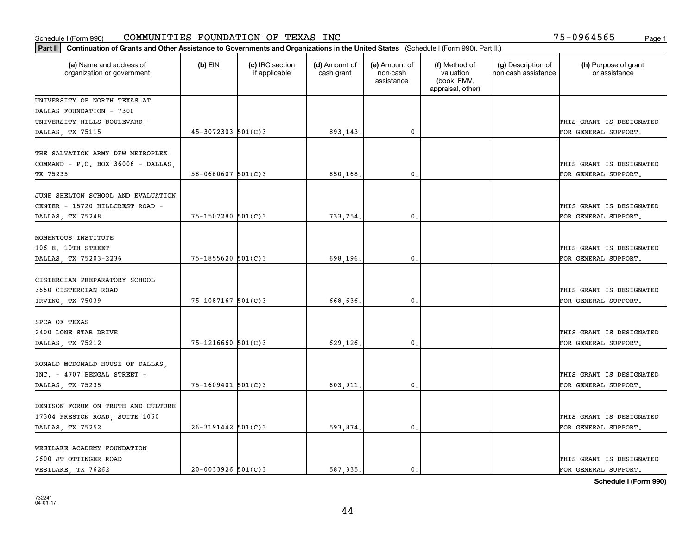| Part II   Continuation of Grants and Other Assistance to Governments and Organizations in the United States (Schedule I (Form 990), Part II.) |                          |                                  |                             |                                         |                                                                |                                           |                                                  |
|-----------------------------------------------------------------------------------------------------------------------------------------------|--------------------------|----------------------------------|-----------------------------|-----------------------------------------|----------------------------------------------------------------|-------------------------------------------|--------------------------------------------------|
| (a) Name and address of<br>organization or government                                                                                         | $(b)$ EIN                | (c) IRC section<br>if applicable | (d) Amount of<br>cash grant | (e) Amount of<br>non-cash<br>assistance | (f) Method of<br>valuation<br>(book, FMV,<br>appraisal, other) | (g) Description of<br>non-cash assistance | (h) Purpose of grant<br>or assistance            |
| UNIVERSITY OF NORTH TEXAS AT                                                                                                                  |                          |                                  |                             |                                         |                                                                |                                           |                                                  |
| DALLAS FOUNDATION - 7300                                                                                                                      |                          |                                  |                             |                                         |                                                                |                                           |                                                  |
| UNIVERSITY HILLS BOULEVARD -                                                                                                                  |                          |                                  |                             |                                         |                                                                |                                           | THIS GRANT IS DESIGNATED                         |
| DALLAS, TX 75115                                                                                                                              | $45 - 3072303$ 501(C)3   |                                  | 893,143.                    | 0.                                      |                                                                |                                           | FOR GENERAL SUPPORT.                             |
| THE SALVATION ARMY DFW METROPLEX<br>COMMAND - P.O. BOX 36006 - DALLAS,<br>TX 75235                                                            | $58 - 0660607$ $501(C)3$ |                                  | 850,168.                    | $\mathfrak{o}$ .                        |                                                                |                                           | THIS GRANT IS DESIGNATED<br>FOR GENERAL SUPPORT. |
|                                                                                                                                               |                          |                                  |                             |                                         |                                                                |                                           |                                                  |
| JUNE SHELTON SCHOOL AND EVALUATION<br>CENTER - 15720 HILLCREST ROAD -<br>DALLAS, TX 75248                                                     | 75-1507280 501(C)3       |                                  | 733,754.                    | $\mathfrak{o}$ .                        |                                                                |                                           | THIS GRANT IS DESIGNATED<br>FOR GENERAL SUPPORT. |
|                                                                                                                                               |                          |                                  |                             |                                         |                                                                |                                           |                                                  |
| MOMENTOUS INSTITUTE                                                                                                                           |                          |                                  |                             |                                         |                                                                |                                           |                                                  |
| 106 E. 10TH STREET                                                                                                                            |                          |                                  |                             |                                         |                                                                |                                           | THIS GRANT IS DESIGNATED                         |
| DALLAS, TX 75203-2236                                                                                                                         | 75-1855620 501(C)3       |                                  | 698,196.                    | 0.                                      |                                                                |                                           | FOR GENERAL SUPPORT.                             |
| CISTERCIAN PREPARATORY SCHOOL<br>3660 CISTERCIAN ROAD                                                                                         |                          |                                  |                             |                                         |                                                                |                                           | THIS GRANT IS DESIGNATED                         |
| IRVING, TX 75039                                                                                                                              | $75 - 1087167$ 501(C) 3  |                                  | 668,636.                    | $\mathbf{0}$                            |                                                                |                                           | FOR GENERAL SUPPORT.                             |
|                                                                                                                                               |                          |                                  |                             |                                         |                                                                |                                           |                                                  |
| SPCA OF TEXAS                                                                                                                                 |                          |                                  |                             |                                         |                                                                |                                           |                                                  |
| 2400 LONE STAR DRIVE                                                                                                                          |                          |                                  |                             |                                         |                                                                |                                           | THIS GRANT IS DESIGNATED                         |
| DALLAS, TX 75212                                                                                                                              | $75 - 1216660$ 501(C)3   |                                  | 629,126.                    | $\mathbf{0}$                            |                                                                |                                           | FOR GENERAL SUPPORT.                             |
|                                                                                                                                               |                          |                                  |                             |                                         |                                                                |                                           |                                                  |
| RONALD MCDONALD HOUSE OF DALLAS,<br>INC. - 4707 BENGAL STREET -                                                                               |                          |                                  |                             |                                         |                                                                |                                           | THIS GRANT IS DESIGNATED                         |
| DALLAS, TX 75235                                                                                                                              | $75 - 1609401$ 501(C)3   |                                  | 603,911.                    | $\mathbf{0}$ .                          |                                                                |                                           | FOR GENERAL SUPPORT.                             |
|                                                                                                                                               |                          |                                  |                             |                                         |                                                                |                                           |                                                  |
| DENISON FORUM ON TRUTH AND CULTURE                                                                                                            |                          |                                  |                             |                                         |                                                                |                                           |                                                  |
| 17304 PRESTON ROAD, SUITE 1060                                                                                                                |                          |                                  |                             |                                         |                                                                |                                           | THIS GRANT IS DESIGNATED                         |
| DALLAS, TX 75252                                                                                                                              | $26 - 3191442$ 501(C)3   |                                  | 593,874.                    | $\mathfrak o$ .                         |                                                                |                                           | FOR GENERAL SUPPORT.                             |
|                                                                                                                                               |                          |                                  |                             |                                         |                                                                |                                           |                                                  |
| WESTLAKE ACADEMY FOUNDATION                                                                                                                   |                          |                                  |                             |                                         |                                                                |                                           |                                                  |
| 2600 JT OTTINGER ROAD                                                                                                                         |                          |                                  |                             |                                         |                                                                |                                           | THIS GRANT IS DESIGNATED                         |
| WESTLAKE, TX 76262                                                                                                                            | $20 - 0033926$ 501(C)3   |                                  | 587.335.                    | $\mathbf{0}$ .                          |                                                                |                                           | FOR GENERAL SUPPORT.                             |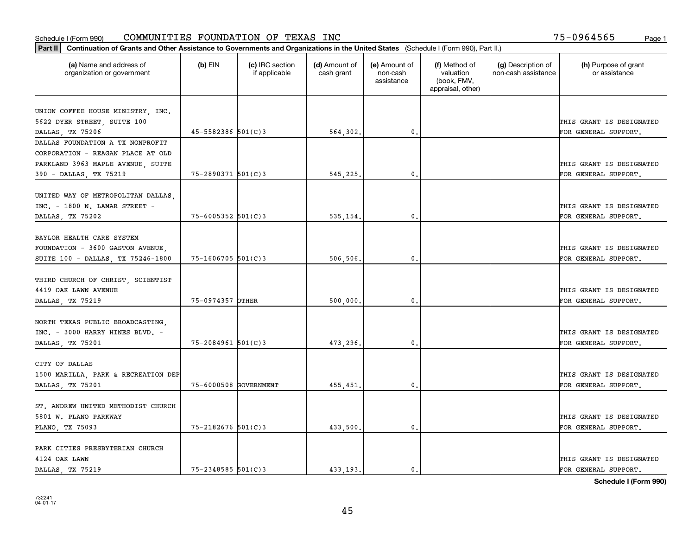| (a) Name and address of             | $(b)$ EIN              | (c) IRC section | (d) Amount of | (e) Amount of          | (f) Method of                                 | (g) Description of  | (h) Purpose of grant                             |
|-------------------------------------|------------------------|-----------------|---------------|------------------------|-----------------------------------------------|---------------------|--------------------------------------------------|
| organization or government          |                        | if applicable   | cash grant    | non-cash<br>assistance | valuation<br>(book, FMV,<br>appraisal, other) | non-cash assistance | or assistance                                    |
| UNION COFFEE HOUSE MINISTRY, INC.   |                        |                 |               |                        |                                               |                     |                                                  |
| 5622 DYER STREET, SUITE 100         |                        |                 |               |                        |                                               |                     | THIS GRANT IS DESIGNATED                         |
| DALLAS, TX 75206                    | 45-5582386 501(C)3     |                 | 564,302.      | 0.                     |                                               |                     | FOR GENERAL SUPPORT.                             |
| DALLAS FOUNDATION A TX NONPROFIT    |                        |                 |               |                        |                                               |                     |                                                  |
| CORPORATION - REAGAN PLACE AT OLD   |                        |                 |               |                        |                                               |                     |                                                  |
| PARKLAND 3963 MAPLE AVENUE, SUITE   |                        |                 |               |                        |                                               |                     | THIS GRANT IS DESIGNATED                         |
| 390 - DALLAS, TX 75219              | 75-2890371 501(C)3     |                 | 545,225.      | 0.                     |                                               |                     | FOR GENERAL SUPPORT.                             |
|                                     |                        |                 |               |                        |                                               |                     |                                                  |
| UNITED WAY OF METROPOLITAN DALLAS,  |                        |                 |               |                        |                                               |                     |                                                  |
| INC. - 1800 N. LAMAR STREET -       | $75 - 6005352$ 501(C)3 |                 |               | $\mathfrak{o}$ .       |                                               |                     | THIS GRANT IS DESIGNATED<br>FOR GENERAL SUPPORT. |
| DALLAS, TX 75202                    |                        |                 | 535,154.      |                        |                                               |                     |                                                  |
| BAYLOR HEALTH CARE SYSTEM           |                        |                 |               |                        |                                               |                     |                                                  |
| FOUNDATION - 3600 GASTON AVENUE,    |                        |                 |               |                        |                                               |                     | THIS GRANT IS DESIGNATED                         |
| SUITE 100 - DALLAS, TX 75246-1800   | 75-1606705 501(C)3     |                 | 506,506.      | 0.                     |                                               |                     | FOR GENERAL SUPPORT.                             |
|                                     |                        |                 |               |                        |                                               |                     |                                                  |
| THIRD CHURCH OF CHRIST, SCIENTIST   |                        |                 |               |                        |                                               |                     |                                                  |
| 4419 OAK LAWN AVENUE                |                        |                 |               |                        |                                               |                     | THIS GRANT IS DESIGNATED                         |
| DALLAS, TX 75219                    | 75-0974357 OTHER       |                 | 500,000.      | 0.                     |                                               |                     | FOR GENERAL SUPPORT.                             |
| NORTH TEXAS PUBLIC BROADCASTING,    |                        |                 |               |                        |                                               |                     |                                                  |
| INC. - 3000 HARRY HINES BLVD. -     |                        |                 |               |                        |                                               |                     | THIS GRANT IS DESIGNATED                         |
| DALLAS, TX 75201                    | $75 - 2084961$ 501(C)3 |                 | 473.296.      | 0.                     |                                               |                     | FOR GENERAL SUPPORT.                             |
|                                     |                        |                 |               |                        |                                               |                     |                                                  |
| CITY OF DALLAS                      |                        |                 |               |                        |                                               |                     |                                                  |
| 1500 MARILLA, PARK & RECREATION DEP |                        |                 |               |                        |                                               |                     | THIS GRANT IS DESIGNATED                         |
| DALLAS, TX 75201                    | 75-6000508 GOVERNMENT  |                 | 455,451.      | $\mathfrak{o}$ .       |                                               |                     | FOR GENERAL SUPPORT.                             |
| ST. ANDREW UNITED METHODIST CHURCH  |                        |                 |               |                        |                                               |                     |                                                  |
| 5801 W. PLANO PARKWAY               |                        |                 |               |                        |                                               |                     | THIS GRANT IS DESIGNATED                         |
| PLANO, TX 75093                     | $75 - 2182676$ 501(C)3 |                 | 433,500.      | 0.                     |                                               |                     | FOR GENERAL SUPPORT.                             |
|                                     |                        |                 |               |                        |                                               |                     |                                                  |
| PARK CITIES PRESBYTERIAN CHURCH     |                        |                 |               |                        |                                               |                     |                                                  |
| 4124 OAK LAWN                       |                        |                 |               |                        |                                               |                     | THIS GRANT IS DESIGNATED                         |
| DALLAS, TX 75219                    | 75-2348585 501(C)3     |                 | 433.193.      | $\mathbf{0}$ .         |                                               |                     | FOR GENERAL SUPPORT.                             |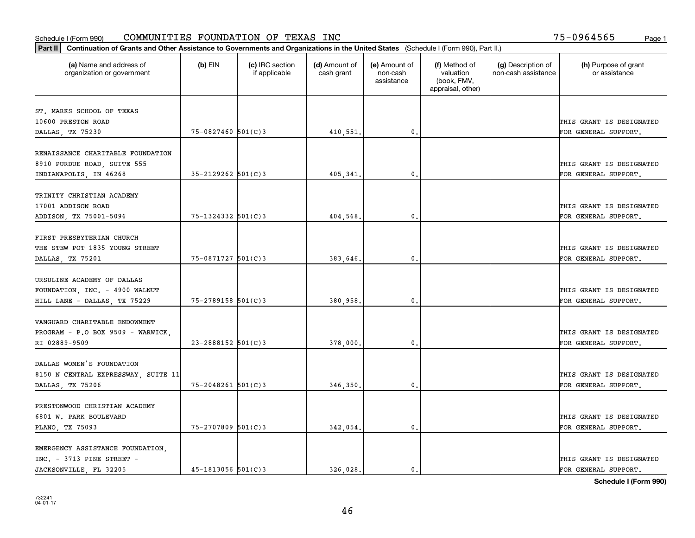|                                                       | Part II   Continuation of Grants and Other Assistance to Governments and Organizations in the United States (Schedule I (Form 990), Part II.) |                                  |                             |                                         |                                                                |                                           |                                       |  |  |  |
|-------------------------------------------------------|-----------------------------------------------------------------------------------------------------------------------------------------------|----------------------------------|-----------------------------|-----------------------------------------|----------------------------------------------------------------|-------------------------------------------|---------------------------------------|--|--|--|
| (a) Name and address of<br>organization or government | (b) $EIN$                                                                                                                                     | (c) IRC section<br>if applicable | (d) Amount of<br>cash grant | (e) Amount of<br>non-cash<br>assistance | (f) Method of<br>valuation<br>(book, FMV,<br>appraisal, other) | (g) Description of<br>non-cash assistance | (h) Purpose of grant<br>or assistance |  |  |  |
|                                                       |                                                                                                                                               |                                  |                             |                                         |                                                                |                                           |                                       |  |  |  |
| ST. MARKS SCHOOL OF TEXAS<br>10600 PRESTON ROAD       |                                                                                                                                               |                                  |                             |                                         |                                                                |                                           | THIS GRANT IS DESIGNATED              |  |  |  |
| DALLAS, TX 75230                                      | 75-0827460 501(C)3                                                                                                                            |                                  | 410,551.                    | 0.                                      |                                                                |                                           | FOR GENERAL SUPPORT.                  |  |  |  |
|                                                       |                                                                                                                                               |                                  |                             |                                         |                                                                |                                           |                                       |  |  |  |
| RENAISSANCE CHARITABLE FOUNDATION                     |                                                                                                                                               |                                  |                             |                                         |                                                                |                                           |                                       |  |  |  |
| 8910 PURDUE ROAD, SUITE 555                           |                                                                                                                                               |                                  |                             |                                         |                                                                |                                           | THIS GRANT IS DESIGNATED              |  |  |  |
| INDIANAPOLIS, IN 46268                                | $35 - 2129262$ 501(C)3                                                                                                                        |                                  | 405,341                     | 0.                                      |                                                                |                                           | FOR GENERAL SUPPORT.                  |  |  |  |
|                                                       |                                                                                                                                               |                                  |                             |                                         |                                                                |                                           |                                       |  |  |  |
| TRINITY CHRISTIAN ACADEMY                             |                                                                                                                                               |                                  |                             |                                         |                                                                |                                           |                                       |  |  |  |
| 17001 ADDISON ROAD                                    |                                                                                                                                               |                                  |                             |                                         |                                                                |                                           | THIS GRANT IS DESIGNATED              |  |  |  |
| ADDISON, TX 75001-5096                                | 75-1324332 501(C)3                                                                                                                            |                                  | 404,568.                    | 0.                                      |                                                                |                                           | FOR GENERAL SUPPORT.                  |  |  |  |
|                                                       |                                                                                                                                               |                                  |                             |                                         |                                                                |                                           |                                       |  |  |  |
| FIRST PRESBYTERIAN CHURCH                             |                                                                                                                                               |                                  |                             |                                         |                                                                |                                           |                                       |  |  |  |
| THE STEW POT 1835 YOUNG STREET                        |                                                                                                                                               |                                  |                             |                                         |                                                                |                                           | THIS GRANT IS DESIGNATED              |  |  |  |
| DALLAS, TX 75201                                      | 75-0871727 501(C)3                                                                                                                            |                                  | 383,646.                    | 0.                                      |                                                                |                                           | FOR GENERAL SUPPORT.                  |  |  |  |
|                                                       |                                                                                                                                               |                                  |                             |                                         |                                                                |                                           |                                       |  |  |  |
| URSULINE ACADEMY OF DALLAS                            |                                                                                                                                               |                                  |                             |                                         |                                                                |                                           |                                       |  |  |  |
| FOUNDATION, INC. - 4900 WALNUT                        |                                                                                                                                               |                                  |                             |                                         |                                                                |                                           | THIS GRANT IS DESIGNATED              |  |  |  |
| HILL LANE - DALLAS, TX 75229                          | 75-2789158 501(C)3                                                                                                                            |                                  | 380,958                     | 0.                                      |                                                                |                                           | FOR GENERAL SUPPORT.                  |  |  |  |
|                                                       |                                                                                                                                               |                                  |                             |                                         |                                                                |                                           |                                       |  |  |  |
| VANGUARD CHARITABLE ENDOWMENT                         |                                                                                                                                               |                                  |                             |                                         |                                                                |                                           |                                       |  |  |  |
| PROGRAM - P.O BOX 9509 - WARWICK,                     |                                                                                                                                               |                                  |                             |                                         |                                                                |                                           | THIS GRANT IS DESIGNATED              |  |  |  |
| RI 02889-9509                                         | $23 - 2888152$ 501(C)3                                                                                                                        |                                  | 378,000                     | 0.                                      |                                                                |                                           | FOR GENERAL SUPPORT.                  |  |  |  |
| DALLAS WOMEN'S FOUNDATION                             |                                                                                                                                               |                                  |                             |                                         |                                                                |                                           |                                       |  |  |  |
| 8150 N CENTRAL EXPRESSWAY, SUITE 11                   |                                                                                                                                               |                                  |                             |                                         |                                                                |                                           | THIS GRANT IS DESIGNATED              |  |  |  |
| DALLAS, TX 75206                                      | $75 - 2048261$ 501(C)3                                                                                                                        |                                  | 346,350.                    | 0.                                      |                                                                |                                           | FOR GENERAL SUPPORT.                  |  |  |  |
|                                                       |                                                                                                                                               |                                  |                             |                                         |                                                                |                                           |                                       |  |  |  |
| PRESTONWOOD CHRISTIAN ACADEMY                         |                                                                                                                                               |                                  |                             |                                         |                                                                |                                           |                                       |  |  |  |
| 6801 W. PARK BOULEVARD                                |                                                                                                                                               |                                  |                             |                                         |                                                                |                                           | THIS GRANT IS DESIGNATED              |  |  |  |
| PLANO, TX 75093                                       | 75-2707809 501(C)3                                                                                                                            |                                  | 342,054.                    | 0.                                      |                                                                |                                           | FOR GENERAL SUPPORT.                  |  |  |  |
|                                                       |                                                                                                                                               |                                  |                             |                                         |                                                                |                                           |                                       |  |  |  |
| EMERGENCY ASSISTANCE FOUNDATION,                      |                                                                                                                                               |                                  |                             |                                         |                                                                |                                           |                                       |  |  |  |
| $INC. - 3713$ PINE STREET -                           |                                                                                                                                               |                                  |                             |                                         |                                                                |                                           | THIS GRANT IS DESIGNATED              |  |  |  |
| JACKSONVILLE, FL 32205                                | $45 - 1813056$ 501(C)3                                                                                                                        |                                  | 326.028.                    | $\mathbf{0}$ .                          |                                                                |                                           | FOR GENERAL SUPPORT.                  |  |  |  |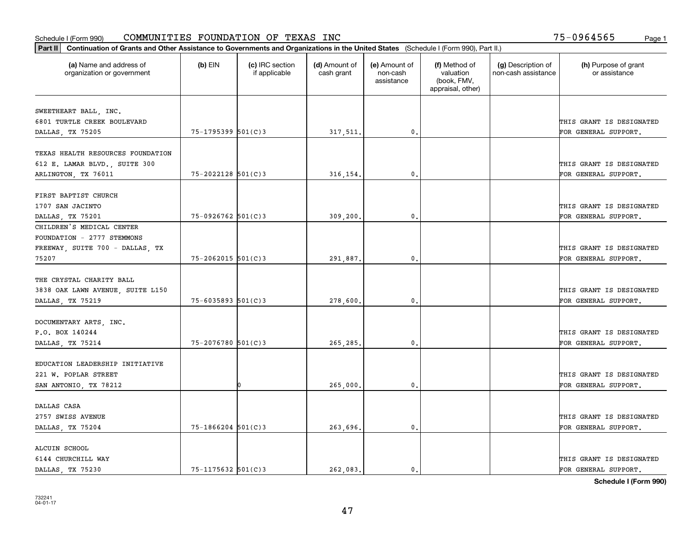| (a) Name and address of<br>organization or government | $(b)$ EIN              | (c) IRC section<br>if applicable | (d) Amount of<br>cash grant | (e) Amount of<br>non-cash<br>assistance | (f) Method of<br>valuation<br>(book, FMV,<br>appraisal, other) | (g) Description of<br>non-cash assistance | (h) Purpose of grant<br>or assistance |
|-------------------------------------------------------|------------------------|----------------------------------|-----------------------------|-----------------------------------------|----------------------------------------------------------------|-------------------------------------------|---------------------------------------|
| SWEETHEART BALL, INC.                                 |                        |                                  |                             |                                         |                                                                |                                           |                                       |
| 6801 TURTLE CREEK BOULEVARD                           |                        |                                  |                             |                                         |                                                                |                                           | THIS GRANT IS DESIGNATED              |
| DALLAS, TX 75205                                      | 75-1795399 501(C)3     |                                  | 317,511.                    | 0.                                      |                                                                |                                           | FOR GENERAL SUPPORT.                  |
|                                                       |                        |                                  |                             |                                         |                                                                |                                           |                                       |
| TEXAS HEALTH RESOURCES FOUNDATION                     |                        |                                  |                             |                                         |                                                                |                                           |                                       |
| 612 E. LAMAR BLVD., SUITE 300                         |                        |                                  |                             |                                         |                                                                |                                           | THIS GRANT IS DESIGNATED              |
| ARLINGTON, TX 76011                                   | 75-2022128 501(C)3     |                                  | 316, 154.                   | 0.                                      |                                                                |                                           | FOR GENERAL SUPPORT.                  |
| FIRST BAPTIST CHURCH                                  |                        |                                  |                             |                                         |                                                                |                                           |                                       |
| 1707 SAN JACINTO                                      |                        |                                  |                             |                                         |                                                                |                                           | THIS GRANT IS DESIGNATED              |
| DALLAS, TX 75201                                      | 75-0926762 501(C)3     |                                  | 309, 200.                   | $\mathfrak{o}$ .                        |                                                                |                                           | FOR GENERAL SUPPORT.                  |
| CHILDREN'S MEDICAL CENTER                             |                        |                                  |                             |                                         |                                                                |                                           |                                       |
| FOUNDATION - 2777 STEMMONS                            |                        |                                  |                             |                                         |                                                                |                                           |                                       |
| FREEWAY, SUITE 700 - DALLAS, TX                       |                        |                                  |                             |                                         |                                                                |                                           | THIS GRANT IS DESIGNATED              |
| 75207                                                 | 75-2062015 501(C)3     |                                  | 291,887.                    | 0.                                      |                                                                |                                           | FOR GENERAL SUPPORT.                  |
|                                                       |                        |                                  |                             |                                         |                                                                |                                           |                                       |
| THE CRYSTAL CHARITY BALL                              |                        |                                  |                             |                                         |                                                                |                                           |                                       |
| 3838 OAK LAWN AVENUE, SUITE L150                      |                        |                                  |                             |                                         |                                                                |                                           | THIS GRANT IS DESIGNATED              |
| DALLAS, TX 75219                                      | $75 - 6035893$ 501(C)3 |                                  | 278,600.                    | 0.                                      |                                                                |                                           | FOR GENERAL SUPPORT.                  |
|                                                       |                        |                                  |                             |                                         |                                                                |                                           |                                       |
| DOCUMENTARY ARTS, INC.                                |                        |                                  |                             |                                         |                                                                |                                           |                                       |
| P.O. BOX 140244                                       |                        |                                  |                             |                                         |                                                                |                                           | THIS GRANT IS DESIGNATED              |
| DALLAS, TX 75214                                      | $75 - 2076780$ 501(C)3 |                                  | 265.285.                    | 0.                                      |                                                                |                                           | FOR GENERAL SUPPORT.                  |
| EDUCATION LEADERSHIP INITIATIVE                       |                        |                                  |                             |                                         |                                                                |                                           |                                       |
| 221 W. POPLAR STREET                                  |                        |                                  |                             |                                         |                                                                |                                           | THIS GRANT IS DESIGNATED              |
| SAN ANTONIO, TX 78212                                 |                        |                                  | 265,000.                    | $\mathfrak{o}$ .                        |                                                                |                                           | FOR GENERAL SUPPORT.                  |
|                                                       |                        |                                  |                             |                                         |                                                                |                                           |                                       |
| DALLAS CASA                                           |                        |                                  |                             |                                         |                                                                |                                           |                                       |
| 2757 SWISS AVENUE                                     |                        |                                  |                             |                                         |                                                                |                                           | THIS GRANT IS DESIGNATED              |
| DALLAS, TX 75204                                      | $75 - 1866204$ 501(C)3 |                                  | 263,696.                    | $\mathbf{0}$                            |                                                                |                                           | FOR GENERAL SUPPORT.                  |
|                                                       |                        |                                  |                             |                                         |                                                                |                                           |                                       |
| ALCUIN SCHOOL                                         |                        |                                  |                             |                                         |                                                                |                                           |                                       |
| 6144 CHURCHILL WAY                                    |                        |                                  |                             |                                         |                                                                |                                           | THIS GRANT IS DESIGNATED              |
| DALLAS TX 75230                                       | $75 - 1175632$ 501(C)3 |                                  | 262.083.                    | $\mathbf{0}$ .                          |                                                                |                                           | FOR GENERAL SUPPORT.                  |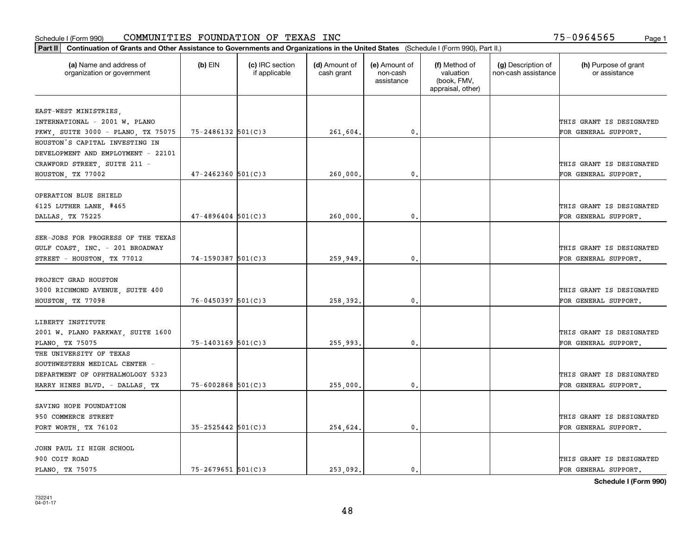| Part II   Continuation of Grants and Other Assistance to Governments and Organizations in the United States (Schedule I (Form 990), Part II.) |                          |                                  |                             |                                         |                                                                |                                           |                                       |
|-----------------------------------------------------------------------------------------------------------------------------------------------|--------------------------|----------------------------------|-----------------------------|-----------------------------------------|----------------------------------------------------------------|-------------------------------------------|---------------------------------------|
| (a) Name and address of<br>organization or government                                                                                         | $(b)$ EIN                | (c) IRC section<br>if applicable | (d) Amount of<br>cash grant | (e) Amount of<br>non-cash<br>assistance | (f) Method of<br>valuation<br>(book, FMV,<br>appraisal, other) | (g) Description of<br>non-cash assistance | (h) Purpose of grant<br>or assistance |
| EAST-WEST MINISTRIES,                                                                                                                         |                          |                                  |                             |                                         |                                                                |                                           |                                       |
| INTERNATIONAL - 2001 W. PLANO                                                                                                                 |                          |                                  |                             |                                         |                                                                |                                           | THIS GRANT IS DESIGNATED              |
| PKWY, SUITE 3000 - PLANO, TX 75075                                                                                                            | 75-2486132 501(C)3       |                                  | 261,604.                    | 0.                                      |                                                                |                                           | FOR GENERAL SUPPORT.                  |
| HOUSTON'S CAPITAL INVESTING IN                                                                                                                |                          |                                  |                             |                                         |                                                                |                                           |                                       |
| DEVELOPMENT AND EMPLOYMENT - 22101                                                                                                            |                          |                                  |                             |                                         |                                                                |                                           |                                       |
| CRAWFORD STREET, SUITE 211 -                                                                                                                  |                          |                                  |                             |                                         |                                                                |                                           | THIS GRANT IS DESIGNATED              |
| HOUSTON, TX 77002                                                                                                                             | $47 - 2462360$ 501(C)3   |                                  | 260,000                     | 0.                                      |                                                                |                                           | FOR GENERAL SUPPORT.                  |
|                                                                                                                                               |                          |                                  |                             |                                         |                                                                |                                           |                                       |
| OPERATION BLUE SHIELD                                                                                                                         |                          |                                  |                             |                                         |                                                                |                                           |                                       |
| 6125 LUTHER LANE, #465                                                                                                                        |                          |                                  |                             |                                         |                                                                |                                           | THIS GRANT IS DESIGNATED              |
| DALLAS, TX 75225                                                                                                                              | $47 - 4896404$ 501(C)3   |                                  | 260,000.                    | $\mathbf{0}$ .                          |                                                                |                                           | FOR GENERAL SUPPORT.                  |
|                                                                                                                                               |                          |                                  |                             |                                         |                                                                |                                           |                                       |
| SER-JOBS FOR PROGRESS OF THE TEXAS                                                                                                            |                          |                                  |                             |                                         |                                                                |                                           |                                       |
| GULF COAST, INC. - 201 BROADWAY                                                                                                               |                          |                                  |                             |                                         |                                                                |                                           | THIS GRANT IS DESIGNATED              |
| STREET - HOUSTON, TX 77012                                                                                                                    | 74-1590387 501(C)3       |                                  | 259,949.                    | 0.                                      |                                                                |                                           | FOR GENERAL SUPPORT.                  |
| PROJECT GRAD HOUSTON                                                                                                                          |                          |                                  |                             |                                         |                                                                |                                           |                                       |
| 3000 RICHMOND AVENUE, SUITE 400                                                                                                               |                          |                                  |                             |                                         |                                                                |                                           | THIS GRANT IS DESIGNATED              |
| HOUSTON, TX 77098                                                                                                                             | $76 - 0450397$ 501(C)3   |                                  | 258,392.                    | $\mathbf{0}$                            |                                                                |                                           | FOR GENERAL SUPPORT.                  |
|                                                                                                                                               |                          |                                  |                             |                                         |                                                                |                                           |                                       |
| LIBERTY INSTITUTE                                                                                                                             |                          |                                  |                             |                                         |                                                                |                                           |                                       |
| 2001 W. PLANO PARKWAY, SUITE 1600                                                                                                             |                          |                                  |                             |                                         |                                                                |                                           | THIS GRANT IS DESIGNATED              |
| PLANO, TX 75075                                                                                                                               | $75 - 1403169$ $501(C)3$ |                                  | 255,993.                    | $\mathfrak o$ .                         |                                                                |                                           | FOR GENERAL SUPPORT.                  |
| THE UNIVERSITY OF TEXAS                                                                                                                       |                          |                                  |                             |                                         |                                                                |                                           |                                       |
| SOUTHWESTERN MEDICAL CENTER -                                                                                                                 |                          |                                  |                             |                                         |                                                                |                                           |                                       |
| DEPARTMENT OF OPHTHALMOLOGY 5323                                                                                                              |                          |                                  |                             |                                         |                                                                |                                           | THIS GRANT IS DESIGNATED              |
| HARRY HINES BLVD. - DALLAS, TX                                                                                                                | $75 - 6002868$ 501(C)3   |                                  | 255,000.                    | $\mathbf{0}$ .                          |                                                                |                                           | FOR GENERAL SUPPORT.                  |
|                                                                                                                                               |                          |                                  |                             |                                         |                                                                |                                           |                                       |
| SAVING HOPE FOUNDATION                                                                                                                        |                          |                                  |                             |                                         |                                                                |                                           |                                       |
| 950 COMMERCE STREET                                                                                                                           |                          |                                  |                             |                                         |                                                                |                                           | THIS GRANT IS DESIGNATED              |
| FORT WORTH, TX 76102                                                                                                                          | $35 - 2525442$ 501(C)3   |                                  | 254,624.                    | 0.                                      |                                                                |                                           | FOR GENERAL SUPPORT.                  |
|                                                                                                                                               |                          |                                  |                             |                                         |                                                                |                                           |                                       |
| JOHN PAUL II HIGH SCHOOL                                                                                                                      |                          |                                  |                             |                                         |                                                                |                                           |                                       |
| 900 COIT ROAD                                                                                                                                 |                          |                                  |                             |                                         |                                                                |                                           | THIS GRANT IS DESIGNATED              |
| PLANO, TX 75075                                                                                                                               | $75 - 2679651$ 501(C)3   |                                  | 253.092.                    | 0.                                      |                                                                |                                           | FOR GENERAL SUPPORT.                  |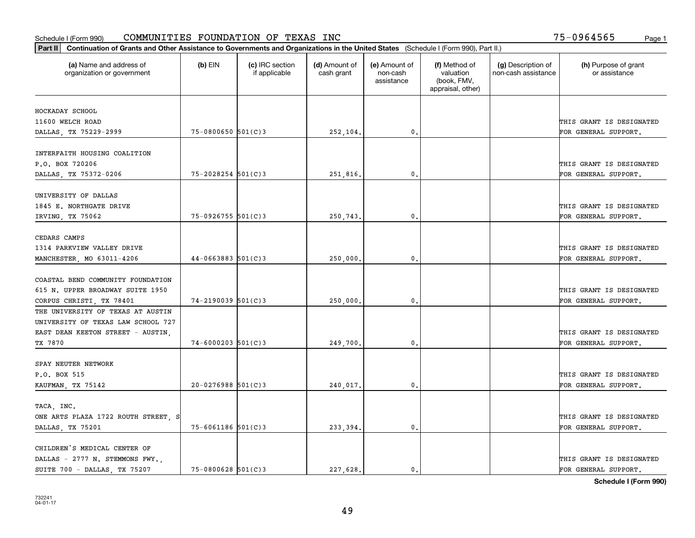#### Schedule I (Form 990) Page 1 COMMUNITIES FOUNDATION OF TEXAS INC 75-0964565

| Part II   Continuation of Grants and Other Assistance to Governments and Organizations in the United States (Schedule I (Form 990), Part II.) |                        |                                  |                             |                                         |                                                                |                                           |                                       |  |  |
|-----------------------------------------------------------------------------------------------------------------------------------------------|------------------------|----------------------------------|-----------------------------|-----------------------------------------|----------------------------------------------------------------|-------------------------------------------|---------------------------------------|--|--|
| (a) Name and address of<br>organization or government                                                                                         | $(b)$ EIN              | (c) IRC section<br>if applicable | (d) Amount of<br>cash grant | (e) Amount of<br>non-cash<br>assistance | (f) Method of<br>valuation<br>(book, FMV,<br>appraisal, other) | (g) Description of<br>non-cash assistance | (h) Purpose of grant<br>or assistance |  |  |
|                                                                                                                                               |                        |                                  |                             |                                         |                                                                |                                           |                                       |  |  |
| HOCKADAY SCHOOL<br>11600 WELCH ROAD                                                                                                           |                        |                                  |                             |                                         |                                                                |                                           | THIS GRANT IS DESIGNATED              |  |  |
| DALLAS, TX 75229-2999                                                                                                                         | $75 - 0800650$ 501(C)3 |                                  | 252,104.                    | 0.                                      |                                                                |                                           | FOR GENERAL SUPPORT.                  |  |  |
|                                                                                                                                               |                        |                                  |                             |                                         |                                                                |                                           |                                       |  |  |
| INTERFAITH HOUSING COALITION                                                                                                                  |                        |                                  |                             |                                         |                                                                |                                           |                                       |  |  |
| P.O. BOX 720206                                                                                                                               |                        |                                  |                             |                                         |                                                                |                                           | THIS GRANT IS DESIGNATED              |  |  |
| DALLAS, TX 75372-0206                                                                                                                         | $75 - 2028254$ 501(C)3 |                                  | 251,816.                    | 0.                                      |                                                                |                                           | FOR GENERAL SUPPORT.                  |  |  |
|                                                                                                                                               |                        |                                  |                             |                                         |                                                                |                                           |                                       |  |  |
| UNIVERSITY OF DALLAS                                                                                                                          |                        |                                  |                             |                                         |                                                                |                                           |                                       |  |  |
| 1845 E. NORTHGATE DRIVE                                                                                                                       |                        |                                  |                             |                                         |                                                                |                                           | THIS GRANT IS DESIGNATED              |  |  |
| IRVING, TX 75062                                                                                                                              | 75-0926755 501(C)3     |                                  | 250,743.                    | $\mathbf{0}$ .                          |                                                                |                                           | FOR GENERAL SUPPORT.                  |  |  |
|                                                                                                                                               |                        |                                  |                             |                                         |                                                                |                                           |                                       |  |  |
| CEDARS CAMPS                                                                                                                                  |                        |                                  |                             |                                         |                                                                |                                           |                                       |  |  |
| 1314 PARKVIEW VALLEY DRIVE                                                                                                                    |                        |                                  |                             |                                         |                                                                |                                           | THIS GRANT IS DESIGNATED              |  |  |
| MANCHESTER, MO 63011-4206                                                                                                                     | $44-0663883$ 501(C)3   |                                  | 250,000                     | 0.                                      |                                                                |                                           | FOR GENERAL SUPPORT.                  |  |  |
|                                                                                                                                               |                        |                                  |                             |                                         |                                                                |                                           |                                       |  |  |
| COASTAL BEND COMMUNITY FOUNDATION                                                                                                             |                        |                                  |                             |                                         |                                                                |                                           |                                       |  |  |
| 615 N. UPPER BROADWAY SUITE 1950                                                                                                              |                        |                                  |                             |                                         |                                                                |                                           | THIS GRANT IS DESIGNATED              |  |  |
| CORPUS CHRISTI, TX 78401                                                                                                                      | $74 - 2190039$ 501(C)3 |                                  | 250,000                     | 0.                                      |                                                                |                                           | FOR GENERAL SUPPORT.                  |  |  |
| THE UNIVERSITY OF TEXAS AT AUSTIN                                                                                                             |                        |                                  |                             |                                         |                                                                |                                           |                                       |  |  |
| UNIVERSITY OF TEXAS LAW SCHOOL 727                                                                                                            |                        |                                  |                             |                                         |                                                                |                                           |                                       |  |  |
| EAST DEAN KEETON STREET - AUSTIN,                                                                                                             |                        |                                  |                             |                                         |                                                                |                                           | THIS GRANT IS DESIGNATED              |  |  |
| TX 7870                                                                                                                                       | $74 - 6000203$ 501(C)3 |                                  | 249,700,                    | 0.                                      |                                                                |                                           | FOR GENERAL SUPPORT.                  |  |  |
|                                                                                                                                               |                        |                                  |                             |                                         |                                                                |                                           |                                       |  |  |
| SPAY NEUTER NETWORK                                                                                                                           |                        |                                  |                             |                                         |                                                                |                                           |                                       |  |  |
| P.O. BOX 515                                                                                                                                  |                        |                                  |                             |                                         |                                                                |                                           | THIS GRANT IS DESIGNATED              |  |  |
| KAUFMAN, TX 75142                                                                                                                             | $20 - 0276988$ 501(C)3 |                                  | 240,017.                    | $\mathbf{0}$ .                          |                                                                |                                           | FOR GENERAL SUPPORT.                  |  |  |
|                                                                                                                                               |                        |                                  |                             |                                         |                                                                |                                           |                                       |  |  |
| TACA, INC.                                                                                                                                    |                        |                                  |                             |                                         |                                                                |                                           |                                       |  |  |
| ONE ARTS PLAZA 1722 ROUTH STREET, S                                                                                                           |                        |                                  |                             |                                         |                                                                |                                           | THIS GRANT IS DESIGNATED              |  |  |
| DALLAS, TX 75201                                                                                                                              | $75 - 6061186$ 501(C)3 |                                  | 233,394.                    | 0.                                      |                                                                |                                           | FOR GENERAL SUPPORT.                  |  |  |
|                                                                                                                                               |                        |                                  |                             |                                         |                                                                |                                           |                                       |  |  |
| CHILDREN'S MEDICAL CENTER OF                                                                                                                  |                        |                                  |                             |                                         |                                                                |                                           |                                       |  |  |
| DALLAS - 2777 N. STEMMONS FWY.,                                                                                                               |                        |                                  |                             |                                         |                                                                |                                           | THIS GRANT IS DESIGNATED              |  |  |
| SUITE 700 - DALLAS, TX 75207                                                                                                                  | 75-0800628 501(C)3     |                                  | 227.628.                    | 0.                                      |                                                                |                                           | FOR GENERAL SUPPORT.                  |  |  |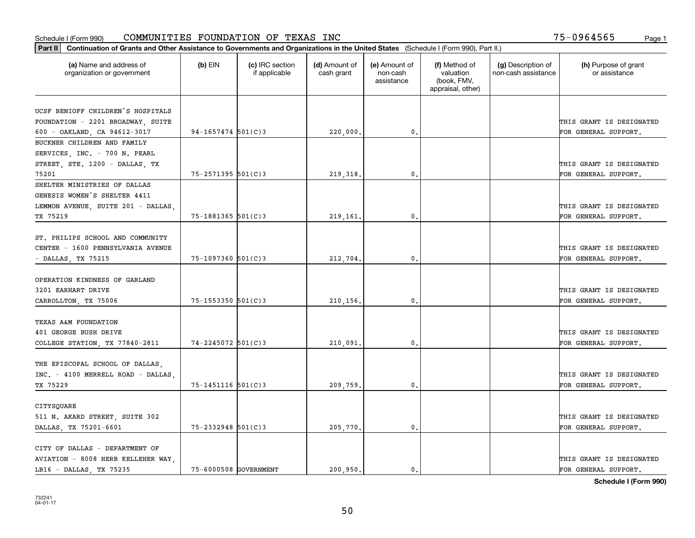| Part II   Continuation of Grants and Other Assistance to Governments and Organizations in the United States (Schedule I (Form 990), Part II.) |                        |                                  |                             |                                         |                                                                |                                           |                                                  |
|-----------------------------------------------------------------------------------------------------------------------------------------------|------------------------|----------------------------------|-----------------------------|-----------------------------------------|----------------------------------------------------------------|-------------------------------------------|--------------------------------------------------|
| (a) Name and address of<br>organization or government                                                                                         | $(b)$ EIN              | (c) IRC section<br>if applicable | (d) Amount of<br>cash grant | (e) Amount of<br>non-cash<br>assistance | (f) Method of<br>valuation<br>(book, FMV,<br>appraisal, other) | (g) Description of<br>non-cash assistance | (h) Purpose of grant<br>or assistance            |
|                                                                                                                                               |                        |                                  |                             |                                         |                                                                |                                           |                                                  |
| UCSF BENIOFF CHILDREN'S HOSPITALS                                                                                                             |                        |                                  |                             |                                         |                                                                |                                           |                                                  |
| FOUNDATION - 2201 BROADWAY, SUITE                                                                                                             |                        |                                  |                             |                                         |                                                                |                                           | THIS GRANT IS DESIGNATED                         |
| 600 - OAKLAND, CA 94612-3017                                                                                                                  | $94-1657474$ 501(C)3   |                                  | 220,000.                    | 0.                                      |                                                                |                                           | FOR GENERAL SUPPORT.                             |
| BUCKNER CHILDREN AND FAMILY                                                                                                                   |                        |                                  |                             |                                         |                                                                |                                           |                                                  |
| SERVICES, INC. - 700 N. PEARL                                                                                                                 |                        |                                  |                             |                                         |                                                                |                                           |                                                  |
| STREET, STE. 1200 - DALLAS, TX                                                                                                                |                        |                                  |                             |                                         |                                                                |                                           | THIS GRANT IS DESIGNATED                         |
| 75201                                                                                                                                         | $75 - 2571395$ 501(C)3 |                                  | 219, 318.                   | 0.                                      |                                                                |                                           | FOR GENERAL SUPPORT.                             |
| SHELTER MINISTRIES OF DALLAS                                                                                                                  |                        |                                  |                             |                                         |                                                                |                                           |                                                  |
| GENESIS WOMEN'S SHELTER 4411                                                                                                                  |                        |                                  |                             |                                         |                                                                |                                           |                                                  |
| LEMMON AVENUE, SUITE 201 - DALLAS                                                                                                             |                        |                                  |                             |                                         |                                                                |                                           | THIS GRANT IS DESIGNATED                         |
| TX 75219                                                                                                                                      | $75 - 1881365$ 501(C)3 |                                  | 219,161.                    | 0.                                      |                                                                |                                           | FOR GENERAL SUPPORT.                             |
| ST. PHILIPS SCHOOL AND COMMUNITY<br>CENTER - 1600 PENNSYLVANIA AVENUE                                                                         |                        |                                  |                             |                                         |                                                                |                                           | THIS GRANT IS DESIGNATED                         |
| - DALLAS, TX 75215                                                                                                                            | $75 - 1097360$ 501(C)3 |                                  | 212,704.                    | 0.                                      |                                                                |                                           | FOR GENERAL SUPPORT.                             |
|                                                                                                                                               |                        |                                  |                             |                                         |                                                                |                                           |                                                  |
| OPERATION KINDNESS OF GARLAND<br>3201 EARHART DRIVE                                                                                           |                        |                                  |                             |                                         |                                                                |                                           | THIS GRANT IS DESIGNATED                         |
| CARROLLTON, TX 75006                                                                                                                          | 75-1553350 501(C)3     |                                  | 210,156.                    | $\mathbf{0}$ .                          |                                                                |                                           | FOR GENERAL SUPPORT.                             |
| TEXAS A&M FOUNDATION<br>401 GEORGE BUSH DRIVE<br>COLLEGE STATION, TX 77840-2811                                                               | 74-2245072 501(C)3     |                                  | 210,091                     | 0.                                      |                                                                |                                           | THIS GRANT IS DESIGNATED<br>FOR GENERAL SUPPORT. |
| THE EPISCOPAL SCHOOL OF DALLAS,<br>INC. - 4100 MERRELL ROAD - DALLAS.<br>TX 75229                                                             | 75-1451116 501(C)3     |                                  | 209,759.                    | 0.                                      |                                                                |                                           | THIS GRANT IS DESIGNATED<br>FOR GENERAL SUPPORT. |
| CITYSQUARE<br>511 N. AKARD STREET, SUITE 302<br>DALLAS, TX 75201-6601                                                                         | 75-2332948 501(C)3     |                                  | 205,770.                    | 0.                                      |                                                                |                                           | THIS GRANT IS DESIGNATED<br>FOR GENERAL SUPPORT. |
|                                                                                                                                               |                        |                                  |                             |                                         |                                                                |                                           |                                                  |
| CITY OF DALLAS - DEPARTMENT OF<br>AVIATION - 8008 HERB KELLEHER WAY                                                                           |                        |                                  |                             |                                         |                                                                |                                           | THIS GRANT IS DESIGNATED                         |
| LB16 - DALLAS, TX 75235                                                                                                                       | 75-6000508 GOVERNMENT  |                                  | 200.950.                    | $\mathbf{0}$ .                          |                                                                |                                           | FOR GENERAL SUPPORT.                             |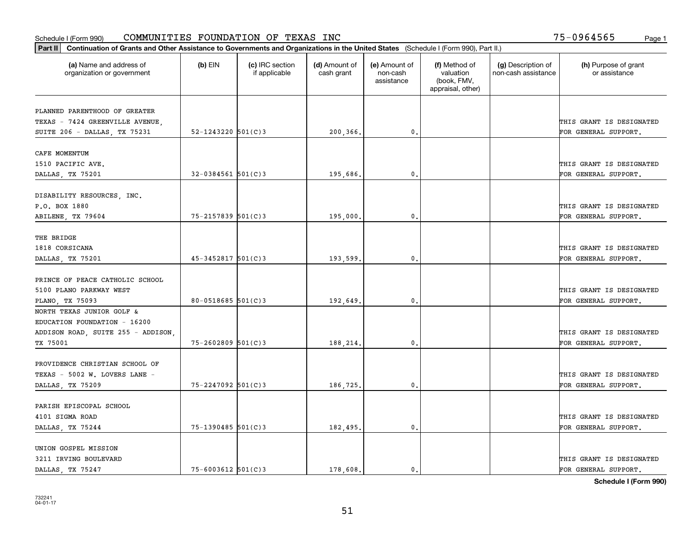|                                                       |                          |                                  |                             |                                         |                                                                | Part II   Continuation of Grants and Other Assistance to Governments and Organizations in the United States (Schedule I (Form 990), Part II.) |                                       |  |  |  |  |  |  |  |  |  |
|-------------------------------------------------------|--------------------------|----------------------------------|-----------------------------|-----------------------------------------|----------------------------------------------------------------|-----------------------------------------------------------------------------------------------------------------------------------------------|---------------------------------------|--|--|--|--|--|--|--|--|--|
| (a) Name and address of<br>organization or government | $(b)$ EIN                | (c) IRC section<br>if applicable | (d) Amount of<br>cash grant | (e) Amount of<br>non-cash<br>assistance | (f) Method of<br>valuation<br>(book, FMV,<br>appraisal, other) | (g) Description of<br>non-cash assistance                                                                                                     | (h) Purpose of grant<br>or assistance |  |  |  |  |  |  |  |  |  |
| PLANNED PARENTHOOD OF GREATER                         |                          |                                  |                             |                                         |                                                                |                                                                                                                                               |                                       |  |  |  |  |  |  |  |  |  |
| TEXAS - 7424 GREENVILLE AVENUE,                       |                          |                                  |                             |                                         |                                                                |                                                                                                                                               | THIS GRANT IS DESIGNATED              |  |  |  |  |  |  |  |  |  |
| SUITE 206 - DALLAS, TX 75231                          | $52 - 1243220$ $501(C)3$ |                                  | 200,366.                    | 0.                                      |                                                                |                                                                                                                                               | FOR GENERAL SUPPORT.                  |  |  |  |  |  |  |  |  |  |
|                                                       |                          |                                  |                             |                                         |                                                                |                                                                                                                                               |                                       |  |  |  |  |  |  |  |  |  |
| CAFE MOMENTUM                                         |                          |                                  |                             |                                         |                                                                |                                                                                                                                               |                                       |  |  |  |  |  |  |  |  |  |
| 1510 PACIFIC AVE.                                     |                          |                                  |                             |                                         |                                                                |                                                                                                                                               | THIS GRANT IS DESIGNATED              |  |  |  |  |  |  |  |  |  |
| DALLAS, TX 75201                                      | $32 - 0384561$ 501(C)3   |                                  | 195,686.                    | 0.                                      |                                                                |                                                                                                                                               | FOR GENERAL SUPPORT.                  |  |  |  |  |  |  |  |  |  |
|                                                       |                          |                                  |                             |                                         |                                                                |                                                                                                                                               |                                       |  |  |  |  |  |  |  |  |  |
| DISABILITY RESOURCES, INC.                            |                          |                                  |                             |                                         |                                                                |                                                                                                                                               |                                       |  |  |  |  |  |  |  |  |  |
| P.O. BOX 1880                                         |                          |                                  |                             |                                         |                                                                |                                                                                                                                               | THIS GRANT IS DESIGNATED              |  |  |  |  |  |  |  |  |  |
| ABILENE, TX 79604                                     | $75 - 2157839$ 501(C)3   |                                  | 195,000.                    | $\mathbf{0}$ .                          |                                                                |                                                                                                                                               | FOR GENERAL SUPPORT.                  |  |  |  |  |  |  |  |  |  |
|                                                       |                          |                                  |                             |                                         |                                                                |                                                                                                                                               |                                       |  |  |  |  |  |  |  |  |  |
| THE BRIDGE                                            |                          |                                  |                             |                                         |                                                                |                                                                                                                                               |                                       |  |  |  |  |  |  |  |  |  |
| 1818 CORSICANA                                        |                          |                                  |                             |                                         |                                                                |                                                                                                                                               | THIS GRANT IS DESIGNATED              |  |  |  |  |  |  |  |  |  |
| DALLAS, TX 75201                                      | $45 - 3452817$ 501(C)3   |                                  | 193,599.                    | $\mathbf{0}$                            |                                                                |                                                                                                                                               | FOR GENERAL SUPPORT.                  |  |  |  |  |  |  |  |  |  |
|                                                       |                          |                                  |                             |                                         |                                                                |                                                                                                                                               |                                       |  |  |  |  |  |  |  |  |  |
| PRINCE OF PEACE CATHOLIC SCHOOL                       |                          |                                  |                             |                                         |                                                                |                                                                                                                                               |                                       |  |  |  |  |  |  |  |  |  |
| 5100 PLANO PARKWAY WEST                               |                          |                                  |                             |                                         |                                                                |                                                                                                                                               | THIS GRANT IS DESIGNATED              |  |  |  |  |  |  |  |  |  |
| PLANO, TX 75093                                       | $80 - 0518685$ 501(C) 3  |                                  | 192,649.                    | $\mathbf{0}$                            |                                                                |                                                                                                                                               | FOR GENERAL SUPPORT.                  |  |  |  |  |  |  |  |  |  |
| NORTH TEXAS JUNIOR GOLF &                             |                          |                                  |                             |                                         |                                                                |                                                                                                                                               |                                       |  |  |  |  |  |  |  |  |  |
| EDUCATION FOUNDATION - 16200                          |                          |                                  |                             |                                         |                                                                |                                                                                                                                               |                                       |  |  |  |  |  |  |  |  |  |
| ADDISON ROAD, SUITE 255 - ADDISON                     |                          |                                  |                             |                                         |                                                                |                                                                                                                                               | THIS GRANT IS DESIGNATED              |  |  |  |  |  |  |  |  |  |
| TX 75001                                              | $75 - 2602809$ 501(C)3   |                                  | 188,214.                    | 0.                                      |                                                                |                                                                                                                                               | FOR GENERAL SUPPORT.                  |  |  |  |  |  |  |  |  |  |
| PROVIDENCE CHRISTIAN SCHOOL OF                        |                          |                                  |                             |                                         |                                                                |                                                                                                                                               |                                       |  |  |  |  |  |  |  |  |  |
| TEXAS - 5002 W. LOVERS LANE -                         |                          |                                  |                             |                                         |                                                                |                                                                                                                                               | THIS GRANT IS DESIGNATED              |  |  |  |  |  |  |  |  |  |
| DALLAS, TX 75209                                      | 75-2247092 501(C)3       |                                  | 186,725.                    | $^{\rm 0}$ .                            |                                                                |                                                                                                                                               | FOR GENERAL SUPPORT.                  |  |  |  |  |  |  |  |  |  |
|                                                       |                          |                                  |                             |                                         |                                                                |                                                                                                                                               |                                       |  |  |  |  |  |  |  |  |  |
| PARISH EPISCOPAL SCHOOL                               |                          |                                  |                             |                                         |                                                                |                                                                                                                                               |                                       |  |  |  |  |  |  |  |  |  |
| 4101 SIGMA ROAD                                       |                          |                                  |                             |                                         |                                                                |                                                                                                                                               | THIS GRANT IS DESIGNATED              |  |  |  |  |  |  |  |  |  |
| DALLAS, TX 75244                                      | 75-1390485 501(C)3       |                                  | 182,495.                    | $\mathfrak{o}$ .                        |                                                                |                                                                                                                                               | FOR GENERAL SUPPORT.                  |  |  |  |  |  |  |  |  |  |
|                                                       |                          |                                  |                             |                                         |                                                                |                                                                                                                                               |                                       |  |  |  |  |  |  |  |  |  |
| UNION GOSPEL MISSION                                  |                          |                                  |                             |                                         |                                                                |                                                                                                                                               |                                       |  |  |  |  |  |  |  |  |  |
| 3211 IRVING BOULEVARD                                 |                          |                                  |                             |                                         |                                                                |                                                                                                                                               | THIS GRANT IS DESIGNATED              |  |  |  |  |  |  |  |  |  |
| DALLAS, TX 75247                                      | $75 - 6003612$ 501(C)3   |                                  | 178,608.                    | $\mathbf{0}$ .                          |                                                                |                                                                                                                                               | FOR GENERAL SUPPORT.                  |  |  |  |  |  |  |  |  |  |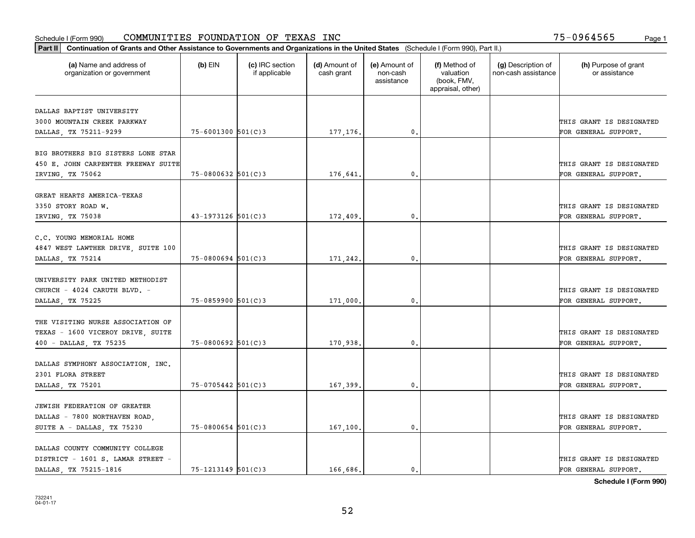| (a) Name and address of<br>organization or government  | $(b)$ EIN                | (c) IRC section<br>if applicable | (d) Amount of<br>cash grant | (e) Amount of<br>non-cash<br>assistance | (f) Method of<br>valuation<br>(book, FMV,<br>appraisal, other) | (g) Description of<br>non-cash assistance | (h) Purpose of grant<br>or assistance            |
|--------------------------------------------------------|--------------------------|----------------------------------|-----------------------------|-----------------------------------------|----------------------------------------------------------------|-------------------------------------------|--------------------------------------------------|
| DALLAS BAPTIST UNIVERSITY                              |                          |                                  |                             |                                         |                                                                |                                           |                                                  |
| 3000 MOUNTAIN CREEK PARKWAY                            |                          |                                  |                             |                                         |                                                                |                                           | THIS GRANT IS DESIGNATED                         |
| DALLAS, TX 75211-9299                                  | $75 - 6001300$ 501(C)3   |                                  | 177, 176.                   | 0.                                      |                                                                |                                           | FOR GENERAL SUPPORT.                             |
| BIG BROTHERS BIG SISTERS LONE STAR                     |                          |                                  |                             |                                         |                                                                |                                           |                                                  |
| 450 E. JOHN CARPENTER FREEWAY SUITE                    |                          |                                  |                             |                                         |                                                                |                                           | THIS GRANT IS DESIGNATED                         |
| IRVING, TX 75062                                       | $75 - 0800632$ 501(C)3   |                                  | 176,641                     | 0.                                      |                                                                |                                           | FOR GENERAL SUPPORT.                             |
| GREAT HEARTS AMERICA-TEXAS                             |                          |                                  |                             |                                         |                                                                |                                           |                                                  |
| 3350 STORY ROAD W.                                     |                          |                                  |                             |                                         |                                                                |                                           | THIS GRANT IS DESIGNATED                         |
| IRVING, TX 75038                                       | $43 - 1973126$ 501(C)3   |                                  | 172,409.                    | 0.                                      |                                                                |                                           | FOR GENERAL SUPPORT.                             |
|                                                        |                          |                                  |                             |                                         |                                                                |                                           |                                                  |
| C.C. YOUNG MEMORIAL HOME                               |                          |                                  |                             |                                         |                                                                |                                           |                                                  |
| 4847 WEST LAWTHER DRIVE, SUITE 100<br>DALLAS, TX 75214 | $75 - 0800694$ 501(C)3   |                                  | 171,242.                    | $\mathbf 0$ .                           |                                                                |                                           | THIS GRANT IS DESIGNATED<br>FOR GENERAL SUPPORT. |
|                                                        |                          |                                  |                             |                                         |                                                                |                                           |                                                  |
| UNIVERSITY PARK UNITED METHODIST                       |                          |                                  |                             |                                         |                                                                |                                           |                                                  |
| CHURCH - 4024 CARUTH BLVD. -                           |                          |                                  |                             |                                         |                                                                |                                           | THIS GRANT IS DESIGNATED                         |
| DALLAS, TX 75225                                       | $75 - 0859900$ 501(C)3   |                                  | 171,000.                    | 0.                                      |                                                                |                                           | FOR GENERAL SUPPORT.                             |
| THE VISITING NURSE ASSOCIATION OF                      |                          |                                  |                             |                                         |                                                                |                                           |                                                  |
| TEXAS - 1600 VICEROY DRIVE, SUITE                      |                          |                                  |                             |                                         |                                                                |                                           | THIS GRANT IS DESIGNATED                         |
| 400 - DALLAS, TX 75235                                 | $75 - 0800692$ 501(C)3   |                                  | 170,938,                    | 0.                                      |                                                                |                                           | FOR GENERAL SUPPORT.                             |
| DALLAS SYMPHONY ASSOCIATION, INC.                      |                          |                                  |                             |                                         |                                                                |                                           |                                                  |
| 2301 FLORA STREET                                      |                          |                                  |                             |                                         |                                                                |                                           | THIS GRANT IS DESIGNATED                         |
| DALLAS, TX 75201                                       | 75-0705442 501(C)3       |                                  | 167,399.                    | 0.                                      |                                                                |                                           | FOR GENERAL SUPPORT.                             |
|                                                        |                          |                                  |                             |                                         |                                                                |                                           |                                                  |
| JEWISH FEDERATION OF GREATER                           |                          |                                  |                             |                                         |                                                                |                                           |                                                  |
| DALLAS - 7800 NORTHAVEN ROAD,                          |                          |                                  |                             |                                         |                                                                |                                           | THIS GRANT IS DESIGNATED                         |
| SUITE A - DALLAS, TX 75230                             | $75 - 0800654$ 501(C)3   |                                  | 167,100,                    | 0.                                      |                                                                |                                           | FOR GENERAL SUPPORT.                             |
| DALLAS COUNTY COMMUNITY COLLEGE                        |                          |                                  |                             |                                         |                                                                |                                           |                                                  |
| DISTRICT - 1601 S. LAMAR STREET -                      |                          |                                  |                             |                                         |                                                                |                                           | THIS GRANT IS DESIGNATED                         |
| DALLAS TX 75215-1816                                   | $75 - 1213149$ $501(C)3$ |                                  | 166,686.                    | $\mathbf{0}$ .                          |                                                                |                                           | FOR GENERAL SUPPORT.                             |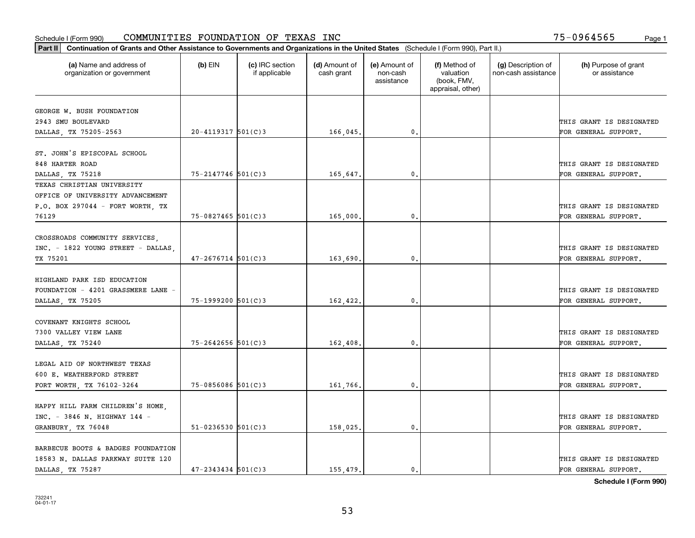| Part II   Continuation of Grants and Other Assistance to Governments and Organizations in the United States (Schedule I (Form 990), Part II.) |                          |                                  |                             |                                         |                                                                |                                           |                                       |
|-----------------------------------------------------------------------------------------------------------------------------------------------|--------------------------|----------------------------------|-----------------------------|-----------------------------------------|----------------------------------------------------------------|-------------------------------------------|---------------------------------------|
| (a) Name and address of<br>organization or government                                                                                         | $(b)$ EIN                | (c) IRC section<br>if applicable | (d) Amount of<br>cash grant | (e) Amount of<br>non-cash<br>assistance | (f) Method of<br>valuation<br>(book, FMV,<br>appraisal, other) | (g) Description of<br>non-cash assistance | (h) Purpose of grant<br>or assistance |
|                                                                                                                                               |                          |                                  |                             |                                         |                                                                |                                           |                                       |
| GEORGE W. BUSH FOUNDATION<br>2943 SMU BOULEVARD                                                                                               |                          |                                  |                             |                                         |                                                                |                                           | THIS GRANT IS DESIGNATED              |
| DALLAS, TX 75205-2563                                                                                                                         | $20 - 4119317$ 501(C)3   |                                  | 166,045.                    | $\mathbf{0}$ .                          |                                                                |                                           | FOR GENERAL SUPPORT.                  |
|                                                                                                                                               |                          |                                  |                             |                                         |                                                                |                                           |                                       |
| ST. JOHN'S EPISCOPAL SCHOOL                                                                                                                   |                          |                                  |                             |                                         |                                                                |                                           |                                       |
| 848 HARTER ROAD                                                                                                                               |                          |                                  |                             |                                         |                                                                |                                           | THIS GRANT IS DESIGNATED              |
| DALLAS TX 75218                                                                                                                               | 75-2147746 501(C)3       |                                  | 165.647.                    | 0.                                      |                                                                |                                           | FOR GENERAL SUPPORT.                  |
| TEXAS CHRISTIAN UNIVERSITY                                                                                                                    |                          |                                  |                             |                                         |                                                                |                                           |                                       |
| OFFICE OF UNIVERSITY ADVANCEMENT                                                                                                              |                          |                                  |                             |                                         |                                                                |                                           |                                       |
| P.O. BOX 297044 - FORT WORTH, TX                                                                                                              |                          |                                  |                             |                                         |                                                                |                                           | THIS GRANT IS DESIGNATED              |
| 76129                                                                                                                                         | $75 - 0827465$ 501(C)3   |                                  | 165,000,                    | $\mathfrak{o}$ .                        |                                                                |                                           | FOR GENERAL SUPPORT.                  |
|                                                                                                                                               |                          |                                  |                             |                                         |                                                                |                                           |                                       |
| CROSSROADS COMMUNITY SERVICES,                                                                                                                |                          |                                  |                             |                                         |                                                                |                                           |                                       |
| INC. - 1822 YOUNG STREET - DALLAS                                                                                                             |                          |                                  |                             |                                         |                                                                |                                           | THIS GRANT IS DESIGNATED              |
| TX 75201                                                                                                                                      | $47 - 2676714$ 501(C)3   |                                  | 163,690.                    | $\mathbf{0}$                            |                                                                |                                           | FOR GENERAL SUPPORT.                  |
|                                                                                                                                               |                          |                                  |                             |                                         |                                                                |                                           |                                       |
| HIGHLAND PARK ISD EDUCATION                                                                                                                   |                          |                                  |                             |                                         |                                                                |                                           |                                       |
| FOUNDATION - 4201 GRASSMERE LANE -                                                                                                            |                          |                                  |                             |                                         |                                                                |                                           | THIS GRANT IS DESIGNATED              |
| DALLAS, TX 75205                                                                                                                              | 75-1999200 501(C)3       |                                  | 162,422.                    | $\mathbf 0$ .                           |                                                                |                                           | FOR GENERAL SUPPORT.                  |
|                                                                                                                                               |                          |                                  |                             |                                         |                                                                |                                           |                                       |
| COVENANT KNIGHTS SCHOOL                                                                                                                       |                          |                                  |                             |                                         |                                                                |                                           |                                       |
| 7300 VALLEY VIEW LANE                                                                                                                         |                          |                                  |                             |                                         |                                                                |                                           | THIS GRANT IS DESIGNATED              |
| DALLAS, TX 75240                                                                                                                              | $75 - 2642656$ 501(C)3   |                                  | 162,408.                    | $\mathbf{0}$                            |                                                                |                                           | FOR GENERAL SUPPORT.                  |
|                                                                                                                                               |                          |                                  |                             |                                         |                                                                |                                           |                                       |
| LEGAL AID OF NORTHWEST TEXAS                                                                                                                  |                          |                                  |                             |                                         |                                                                |                                           |                                       |
| 600 E. WEATHERFORD STREET                                                                                                                     |                          |                                  |                             |                                         |                                                                |                                           | THIS GRANT IS DESIGNATED              |
| FORT WORTH, TX 76102-3264                                                                                                                     | $75 - 0856086$ 501(C)3   |                                  | 161,766.                    | $^{\circ}$ .                            |                                                                |                                           | FOR GENERAL SUPPORT.                  |
|                                                                                                                                               |                          |                                  |                             |                                         |                                                                |                                           |                                       |
| HAPPY HILL FARM CHILDREN'S HOME,                                                                                                              |                          |                                  |                             |                                         |                                                                |                                           |                                       |
| INC. - 3846 N. HIGHWAY 144 -                                                                                                                  |                          |                                  |                             |                                         |                                                                |                                           | THIS GRANT IS DESIGNATED              |
| GRANBURY, TX 76048                                                                                                                            | $51 - 0236530$ $501(C)3$ |                                  | 158,025.                    | $\mathbf{0}$                            |                                                                |                                           | FOR GENERAL SUPPORT.                  |
| BARBECUE BOOTS & BADGES FOUNDATION                                                                                                            |                          |                                  |                             |                                         |                                                                |                                           |                                       |
| 18583 N. DALLAS PARKWAY SUITE 120                                                                                                             |                          |                                  |                             |                                         |                                                                |                                           | THIS GRANT IS DESIGNATED              |
| DALLAS TX 75287                                                                                                                               | $47 - 2343434$ 501(C)3   |                                  | 155.479.                    | $\mathbf{0}$ .                          |                                                                |                                           | FOR GENERAL SUPPORT.                  |
|                                                                                                                                               |                          |                                  |                             |                                         |                                                                |                                           |                                       |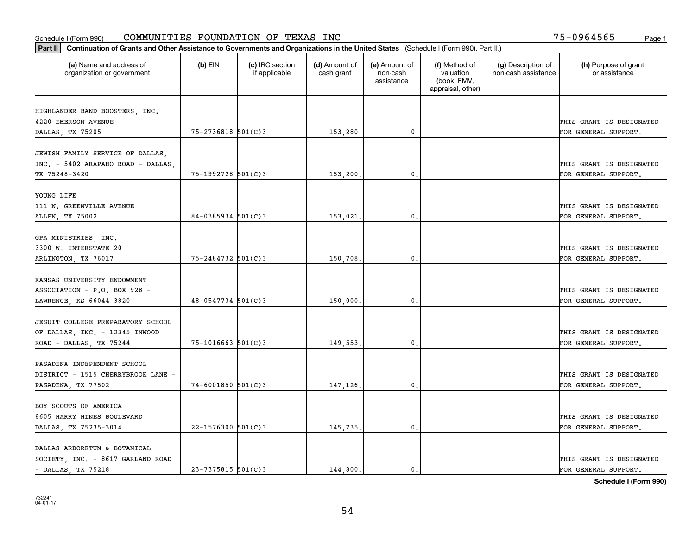| Part II   Continuation of Grants and Other Assistance to Governments and Organizations in the United States (Schedule I (Form 990), Part II.) |                        |                                  |                             |                                         |                                                                |                                           |                                       |
|-----------------------------------------------------------------------------------------------------------------------------------------------|------------------------|----------------------------------|-----------------------------|-----------------------------------------|----------------------------------------------------------------|-------------------------------------------|---------------------------------------|
| (a) Name and address of<br>organization or government                                                                                         | $(b)$ EIN              | (c) IRC section<br>if applicable | (d) Amount of<br>cash grant | (e) Amount of<br>non-cash<br>assistance | (f) Method of<br>valuation<br>(book, FMV,<br>appraisal, other) | (g) Description of<br>non-cash assistance | (h) Purpose of grant<br>or assistance |
|                                                                                                                                               |                        |                                  |                             |                                         |                                                                |                                           |                                       |
| HIGHLANDER BAND BOOSTERS, INC.<br>4220 EMERSON AVENUE                                                                                         |                        |                                  |                             |                                         |                                                                |                                           | THIS GRANT IS DESIGNATED              |
| DALLAS, TX 75205                                                                                                                              | 75-2736818 501(C)3     |                                  | 153,280.                    | $\mathbf{0}$ .                          |                                                                |                                           | FOR GENERAL SUPPORT.                  |
|                                                                                                                                               |                        |                                  |                             |                                         |                                                                |                                           |                                       |
| JEWISH FAMILY SERVICE OF DALLAS,                                                                                                              |                        |                                  |                             |                                         |                                                                |                                           |                                       |
| INC. - 5402 ARAPAHO ROAD - DALLAS,                                                                                                            |                        |                                  |                             |                                         |                                                                |                                           | THIS GRANT IS DESIGNATED              |
| TX 75248-3420                                                                                                                                 | $75 - 1992728$ 501(C)3 |                                  | 153,200                     | 0.                                      |                                                                |                                           | FOR GENERAL SUPPORT.                  |
|                                                                                                                                               |                        |                                  |                             |                                         |                                                                |                                           |                                       |
| YOUNG LIFE                                                                                                                                    |                        |                                  |                             |                                         |                                                                |                                           |                                       |
| 111 N. GREENVILLE AVENUE                                                                                                                      |                        |                                  |                             |                                         |                                                                |                                           | THIS GRANT IS DESIGNATED              |
| ALLEN, TX 75002                                                                                                                               | $84 - 0385934$ 501(C)3 |                                  | 153,021.                    | $\mathbf{0}$ .                          |                                                                |                                           | FOR GENERAL SUPPORT.                  |
|                                                                                                                                               |                        |                                  |                             |                                         |                                                                |                                           |                                       |
| GPA MINISTRIES, INC.                                                                                                                          |                        |                                  |                             |                                         |                                                                |                                           |                                       |
| 3300 W. INTERSTATE 20                                                                                                                         |                        |                                  |                             |                                         |                                                                |                                           | THIS GRANT IS DESIGNATED              |
| ARLINGTON, TX 76017                                                                                                                           | $75 - 2484732$ 501(C)3 |                                  | 150,708.                    | 0.                                      |                                                                |                                           | FOR GENERAL SUPPORT.                  |
|                                                                                                                                               |                        |                                  |                             |                                         |                                                                |                                           |                                       |
| KANSAS UNIVERSITY ENDOWMENT                                                                                                                   |                        |                                  |                             |                                         |                                                                |                                           |                                       |
| ASSOCIATION - P.O. BOX 928 -                                                                                                                  |                        |                                  |                             |                                         |                                                                |                                           | THIS GRANT IS DESIGNATED              |
| LAWRENCE, KS 66044-3820                                                                                                                       | $48 - 0547734$ 501(C)3 |                                  | 150,000.                    | 0.                                      |                                                                |                                           | FOR GENERAL SUPPORT.                  |
|                                                                                                                                               |                        |                                  |                             |                                         |                                                                |                                           |                                       |
| JESUIT COLLEGE PREPARATORY SCHOOL                                                                                                             |                        |                                  |                             |                                         |                                                                |                                           |                                       |
| OF DALLAS, INC. - 12345 INWOOD                                                                                                                |                        |                                  |                             |                                         |                                                                |                                           | THIS GRANT IS DESIGNATED              |
| ROAD - DALLAS, TX 75244                                                                                                                       | $75 - 1016663$ 501(C)3 |                                  | 149,553                     | 0.                                      |                                                                |                                           | FOR GENERAL SUPPORT.                  |
| PASADENA INDEPENDENT SCHOOL                                                                                                                   |                        |                                  |                             |                                         |                                                                |                                           |                                       |
|                                                                                                                                               |                        |                                  |                             |                                         |                                                                |                                           | THIS GRANT IS DESIGNATED              |
| DISTRICT - 1515 CHERRYBROOK LANE -                                                                                                            |                        |                                  |                             |                                         |                                                                |                                           |                                       |
| PASADENA, TX 77502                                                                                                                            | $74 - 6001850$ 501(C)3 |                                  | 147,126.                    | $\mathbf{0}$ .                          |                                                                |                                           | FOR GENERAL SUPPORT.                  |
| BOY SCOUTS OF AMERICA                                                                                                                         |                        |                                  |                             |                                         |                                                                |                                           |                                       |
| 8605 HARRY HINES BOULEVARD                                                                                                                    |                        |                                  |                             |                                         |                                                                |                                           | THIS GRANT IS DESIGNATED              |
| DALLAS, TX 75235-3014                                                                                                                         | $22 - 1576300$ 501(C)3 |                                  | 145,735.                    | 0.                                      |                                                                |                                           | FOR GENERAL SUPPORT.                  |
|                                                                                                                                               |                        |                                  |                             |                                         |                                                                |                                           |                                       |
| DALLAS ARBORETUM & BOTANICAL                                                                                                                  |                        |                                  |                             |                                         |                                                                |                                           |                                       |
| SOCIETY, INC. - 8617 GARLAND ROAD                                                                                                             |                        |                                  |                             |                                         |                                                                |                                           | THIS GRANT IS DESIGNATED              |
| $-$ DALLAS, TX 75218                                                                                                                          | $23 - 7375815$ 501(C)3 |                                  | 144,800.                    | 0.                                      |                                                                |                                           | FOR GENERAL SUPPORT.                  |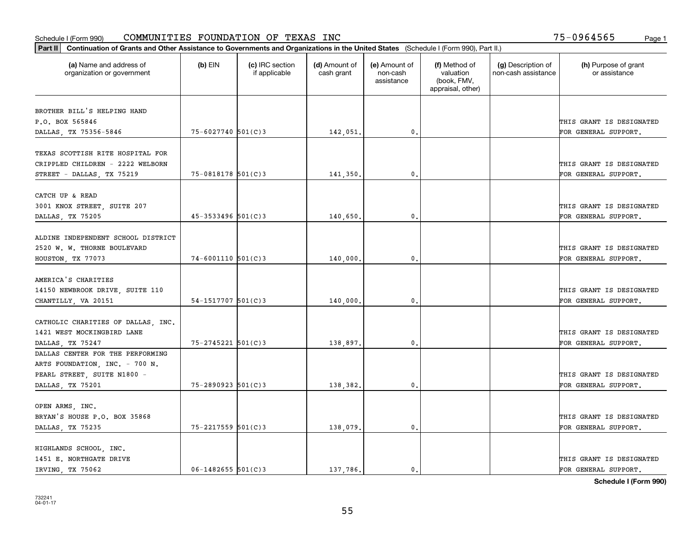|                                                       |                        |                                  |                             |                                         |                                                                | Part II   Continuation of Grants and Other Assistance to Governments and Organizations in the United States (Schedule I (Form 990), Part II.) |                                       |  |  |  |  |  |  |  |  |  |
|-------------------------------------------------------|------------------------|----------------------------------|-----------------------------|-----------------------------------------|----------------------------------------------------------------|-----------------------------------------------------------------------------------------------------------------------------------------------|---------------------------------------|--|--|--|--|--|--|--|--|--|
| (a) Name and address of<br>organization or government | $(b)$ EIN              | (c) IRC section<br>if applicable | (d) Amount of<br>cash grant | (e) Amount of<br>non-cash<br>assistance | (f) Method of<br>valuation<br>(book, FMV,<br>appraisal, other) | (g) Description of<br>non-cash assistance                                                                                                     | (h) Purpose of grant<br>or assistance |  |  |  |  |  |  |  |  |  |
| BROTHER BILL'S HELPING HAND                           |                        |                                  |                             |                                         |                                                                |                                                                                                                                               |                                       |  |  |  |  |  |  |  |  |  |
| P.O. BOX 565846                                       |                        |                                  |                             |                                         |                                                                |                                                                                                                                               | THIS GRANT IS DESIGNATED              |  |  |  |  |  |  |  |  |  |
| DALLAS, TX 75356-5846                                 | $75 - 6027740$ 501(C)3 |                                  | 142,051.                    | 0.                                      |                                                                |                                                                                                                                               | FOR GENERAL SUPPORT.                  |  |  |  |  |  |  |  |  |  |
|                                                       |                        |                                  |                             |                                         |                                                                |                                                                                                                                               |                                       |  |  |  |  |  |  |  |  |  |
| TEXAS SCOTTISH RITE HOSPITAL FOR                      |                        |                                  |                             |                                         |                                                                |                                                                                                                                               |                                       |  |  |  |  |  |  |  |  |  |
| CRIPPLED CHILDREN - 2222 WELBORN                      |                        |                                  |                             |                                         |                                                                |                                                                                                                                               | THIS GRANT IS DESIGNATED              |  |  |  |  |  |  |  |  |  |
| STREET - DALLAS, TX 75219                             | $75 - 0818178$ 501(C)3 |                                  | 141,350                     | 0.                                      |                                                                |                                                                                                                                               | FOR GENERAL SUPPORT.                  |  |  |  |  |  |  |  |  |  |
|                                                       |                        |                                  |                             |                                         |                                                                |                                                                                                                                               |                                       |  |  |  |  |  |  |  |  |  |
| CATCH UP & READ                                       |                        |                                  |                             |                                         |                                                                |                                                                                                                                               |                                       |  |  |  |  |  |  |  |  |  |
| 3001 KNOX STREET, SUITE 207                           |                        |                                  |                             |                                         |                                                                |                                                                                                                                               | THIS GRANT IS DESIGNATED              |  |  |  |  |  |  |  |  |  |
| DALLAS, TX 75205                                      | $45 - 3533496$ 501(C)3 |                                  | 140,650.                    | $\mathfrak{o}$ .                        |                                                                |                                                                                                                                               | FOR GENERAL SUPPORT.                  |  |  |  |  |  |  |  |  |  |
|                                                       |                        |                                  |                             |                                         |                                                                |                                                                                                                                               |                                       |  |  |  |  |  |  |  |  |  |
| ALDINE INDEPENDENT SCHOOL DISTRICT                    |                        |                                  |                             |                                         |                                                                |                                                                                                                                               |                                       |  |  |  |  |  |  |  |  |  |
| 2520 W. W. THORNE BOULEVARD                           |                        |                                  |                             |                                         |                                                                |                                                                                                                                               | THIS GRANT IS DESIGNATED              |  |  |  |  |  |  |  |  |  |
| HOUSTON, TX 77073                                     | $74 - 6001110$ 501(C)3 |                                  | 140,000.                    | 0.                                      |                                                                |                                                                                                                                               | FOR GENERAL SUPPORT.                  |  |  |  |  |  |  |  |  |  |
|                                                       |                        |                                  |                             |                                         |                                                                |                                                                                                                                               |                                       |  |  |  |  |  |  |  |  |  |
| AMERICA'S CHARITIES                                   |                        |                                  |                             |                                         |                                                                |                                                                                                                                               |                                       |  |  |  |  |  |  |  |  |  |
| 14150 NEWBROOK DRIVE, SUITE 110                       |                        |                                  |                             |                                         |                                                                |                                                                                                                                               | THIS GRANT IS DESIGNATED              |  |  |  |  |  |  |  |  |  |
| CHANTILLY, VA 20151                                   | $54-1517707$ 501(C)3   |                                  | 140,000                     | $\mathbf{0}$                            |                                                                |                                                                                                                                               | FOR GENERAL SUPPORT.                  |  |  |  |  |  |  |  |  |  |
| CATHOLIC CHARITIES OF DALLAS, INC.                    |                        |                                  |                             |                                         |                                                                |                                                                                                                                               |                                       |  |  |  |  |  |  |  |  |  |
| 1421 WEST MOCKINGBIRD LANE                            |                        |                                  |                             |                                         |                                                                |                                                                                                                                               | THIS GRANT IS DESIGNATED              |  |  |  |  |  |  |  |  |  |
| DALLAS, TX 75247                                      | 75-2745221 501(C)3     |                                  | 138,897.                    | $\mathbf{0}$                            |                                                                |                                                                                                                                               | FOR GENERAL SUPPORT.                  |  |  |  |  |  |  |  |  |  |
| DALLAS CENTER FOR THE PERFORMING                      |                        |                                  |                             |                                         |                                                                |                                                                                                                                               |                                       |  |  |  |  |  |  |  |  |  |
| ARTS FOUNDATION, INC. - 700 N.                        |                        |                                  |                             |                                         |                                                                |                                                                                                                                               |                                       |  |  |  |  |  |  |  |  |  |
| PEARL STREET, SUITE N1800 -                           |                        |                                  |                             |                                         |                                                                |                                                                                                                                               | THIS GRANT IS DESIGNATED              |  |  |  |  |  |  |  |  |  |
| DALLAS, TX 75201                                      | $75 - 2890923$ 501(C)3 |                                  | 138,382.                    | $\mathbf{0}$ .                          |                                                                |                                                                                                                                               | FOR GENERAL SUPPORT.                  |  |  |  |  |  |  |  |  |  |
|                                                       |                        |                                  |                             |                                         |                                                                |                                                                                                                                               |                                       |  |  |  |  |  |  |  |  |  |
| OPEN ARMS, INC.                                       |                        |                                  |                             |                                         |                                                                |                                                                                                                                               |                                       |  |  |  |  |  |  |  |  |  |
| BRYAN'S HOUSE P.O. BOX 35868                          |                        |                                  |                             |                                         |                                                                |                                                                                                                                               | THIS GRANT IS DESIGNATED              |  |  |  |  |  |  |  |  |  |
| DALLAS, TX 75235                                      | $75 - 2217559$ 501(C)3 |                                  | 138,079.                    | $\mathfrak{o}$ .                        |                                                                |                                                                                                                                               | FOR GENERAL SUPPORT.                  |  |  |  |  |  |  |  |  |  |
|                                                       |                        |                                  |                             |                                         |                                                                |                                                                                                                                               |                                       |  |  |  |  |  |  |  |  |  |
| HIGHLANDS SCHOOL, INC.                                |                        |                                  |                             |                                         |                                                                |                                                                                                                                               |                                       |  |  |  |  |  |  |  |  |  |
| 1451 E. NORTHGATE DRIVE                               |                        |                                  |                             |                                         |                                                                |                                                                                                                                               | THIS GRANT IS DESIGNATED              |  |  |  |  |  |  |  |  |  |
| IRVING, TX 75062                                      | $06 - 1482655$ 501(C)3 |                                  | 137,786.                    | $\mathfrak{o}$ .                        |                                                                |                                                                                                                                               | FOR GENERAL SUPPORT.                  |  |  |  |  |  |  |  |  |  |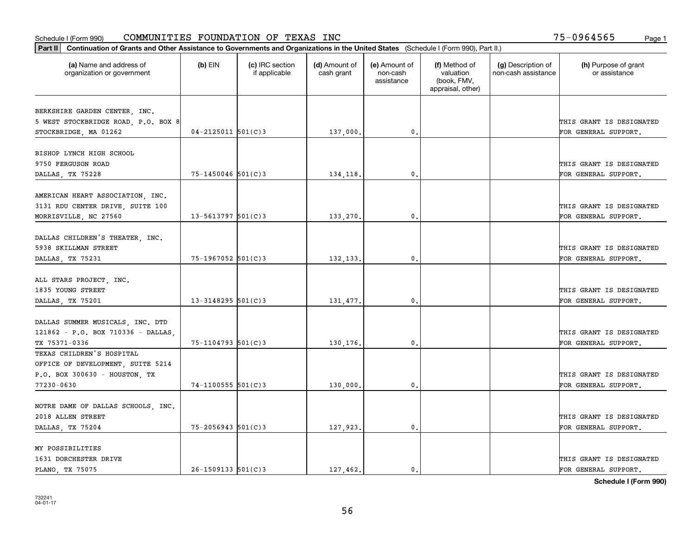| Part II   Continuation of Grants and Other Assistance to Governments and Organizations in the United States (Schedule I (Form 990), Part II.) |                        |                                  |                             |                                         |                                                                |                                           |                                       |
|-----------------------------------------------------------------------------------------------------------------------------------------------|------------------------|----------------------------------|-----------------------------|-----------------------------------------|----------------------------------------------------------------|-------------------------------------------|---------------------------------------|
| (a) Name and address of<br>organization or government                                                                                         | $(b)$ EIN              | (c) IRC section<br>if applicable | (d) Amount of<br>cash grant | (e) Amount of<br>non-cash<br>assistance | (f) Method of<br>valuation<br>(book, FMV,<br>appraisal, other) | (g) Description of<br>non-cash assistance | (h) Purpose of grant<br>or assistance |
|                                                                                                                                               |                        |                                  |                             |                                         |                                                                |                                           |                                       |
| BERKSHIRE GARDEN CENTER, INC.<br>5 WEST STOCKBRIDGE ROAD, P.O. BOX 8                                                                          |                        |                                  |                             |                                         |                                                                |                                           | THIS GRANT IS DESIGNATED              |
| STOCKBRIDGE, MA 01262                                                                                                                         | $04 - 2125011$ 501(C)3 |                                  | 137,000.                    | 0.                                      |                                                                |                                           | FOR GENERAL SUPPORT.                  |
|                                                                                                                                               |                        |                                  |                             |                                         |                                                                |                                           |                                       |
| BISHOP LYNCH HIGH SCHOOL                                                                                                                      |                        |                                  |                             |                                         |                                                                |                                           |                                       |
| 9750 FERGUSON ROAD                                                                                                                            |                        |                                  |                             |                                         |                                                                |                                           | THIS GRANT IS DESIGNATED              |
| DALLAS, TX 75228                                                                                                                              | $75 - 1450046$ 501(C)3 |                                  | 134,118.                    | 0.                                      |                                                                |                                           | FOR GENERAL SUPPORT.                  |
|                                                                                                                                               |                        |                                  |                             |                                         |                                                                |                                           |                                       |
| AMERICAN HEART ASSOCIATION, INC.                                                                                                              |                        |                                  |                             |                                         |                                                                |                                           |                                       |
| 3131 RDU CENTER DRIVE, SUITE 100                                                                                                              |                        |                                  |                             |                                         |                                                                |                                           | THIS GRANT IS DESIGNATED              |
| MORRISVILLE, NC 27560                                                                                                                         | $13 - 5613797$ 501(C)3 |                                  | 133,270.                    | 0.                                      |                                                                |                                           | FOR GENERAL SUPPORT.                  |
|                                                                                                                                               |                        |                                  |                             |                                         |                                                                |                                           |                                       |
| DALLAS CHILDREN'S THEATER, INC.                                                                                                               |                        |                                  |                             |                                         |                                                                |                                           |                                       |
| 5938 SKILLMAN STREET                                                                                                                          |                        |                                  |                             |                                         |                                                                |                                           | THIS GRANT IS DESIGNATED              |
| DALLAS, TX 75231                                                                                                                              | 75-1967052 501(C)3     |                                  | 132,133.                    | 0.                                      |                                                                |                                           | FOR GENERAL SUPPORT.                  |
|                                                                                                                                               |                        |                                  |                             |                                         |                                                                |                                           |                                       |
| ALL STARS PROJECT, INC.                                                                                                                       |                        |                                  |                             |                                         |                                                                |                                           |                                       |
| 1835 YOUNG STREET                                                                                                                             |                        |                                  |                             |                                         |                                                                |                                           | THIS GRANT IS DESIGNATED              |
| DALLAS, TX 75201                                                                                                                              | $13 - 3148295$ 501(C)3 |                                  | 131,477.                    | 0.                                      |                                                                |                                           | FOR GENERAL SUPPORT.                  |
|                                                                                                                                               |                        |                                  |                             |                                         |                                                                |                                           |                                       |
| DALLAS SUMMER MUSICALS, INC. DTD                                                                                                              |                        |                                  |                             |                                         |                                                                |                                           |                                       |
| 121862 - P.O. BOX 710336 - DALLAS                                                                                                             |                        |                                  |                             |                                         |                                                                |                                           | THIS GRANT IS DESIGNATED              |
| TX 75371-0336                                                                                                                                 | $75 - 1104793$ 501(C)3 |                                  | 130,176.                    | 0.                                      |                                                                |                                           | FOR GENERAL SUPPORT.                  |
| TEXAS CHILDREN'S HOSPITAL                                                                                                                     |                        |                                  |                             |                                         |                                                                |                                           |                                       |
| OFFICE OF DEVELOPMENT, SUITE 5214                                                                                                             |                        |                                  |                             |                                         |                                                                |                                           |                                       |
| P.O. BOX 300630 - HOUSTON, TX                                                                                                                 |                        |                                  |                             |                                         |                                                                |                                           | THIS GRANT IS DESIGNATED              |
| 77230-0630                                                                                                                                    | $74 - 1100555$ 501(C)3 |                                  | 130,000.                    | $\mathbf{0}$ .                          |                                                                |                                           | FOR GENERAL SUPPORT.                  |
|                                                                                                                                               |                        |                                  |                             |                                         |                                                                |                                           |                                       |
| NOTRE DAME OF DALLAS SCHOOLS, INC.                                                                                                            |                        |                                  |                             |                                         |                                                                |                                           |                                       |
| 2018 ALLEN STREET                                                                                                                             |                        |                                  |                             |                                         |                                                                |                                           | THIS GRANT IS DESIGNATED              |
| DALLAS, TX 75204                                                                                                                              | $75 - 2056943$ 501(C)3 |                                  | 127,923.                    | $\mathbf{0}$ .                          |                                                                |                                           | FOR GENERAL SUPPORT.                  |
| MY POSSIBILITIES                                                                                                                              |                        |                                  |                             |                                         |                                                                |                                           |                                       |
| 1631 DORCHESTER DRIVE                                                                                                                         |                        |                                  |                             |                                         |                                                                |                                           | THIS GRANT IS DESIGNATED              |
| PLANO, TX 75075                                                                                                                               | $26 - 1509133$ 501(C)3 |                                  | 127.462.                    | $\mathbf{0}$ .                          |                                                                |                                           | FOR GENERAL SUPPORT.                  |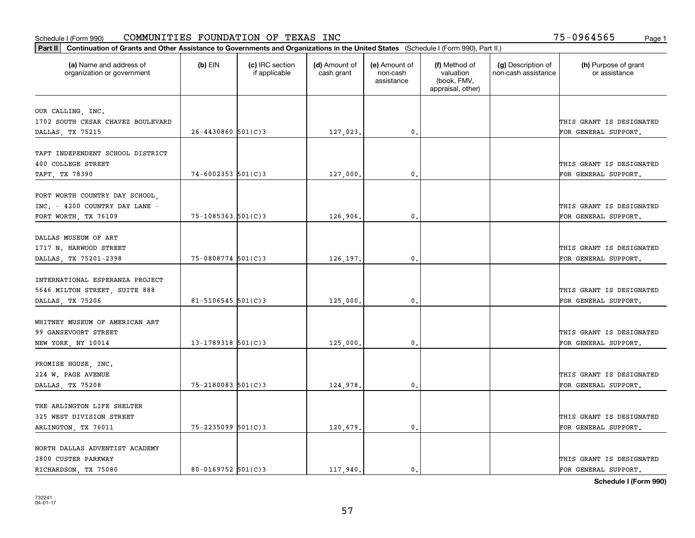| Part II   Continuation of Grants and Other Assistance to Governments and Organizations in the United States (Schedule I (Form 990), Part II.) |                          |                                  |                             |                                         |                                                                |                                           |                                                  |
|-----------------------------------------------------------------------------------------------------------------------------------------------|--------------------------|----------------------------------|-----------------------------|-----------------------------------------|----------------------------------------------------------------|-------------------------------------------|--------------------------------------------------|
| (a) Name and address of<br>organization or government                                                                                         | $(b)$ EIN                | (c) IRC section<br>if applicable | (d) Amount of<br>cash grant | (e) Amount of<br>non-cash<br>assistance | (f) Method of<br>valuation<br>(book, FMV,<br>appraisal, other) | (g) Description of<br>non-cash assistance | (h) Purpose of grant<br>or assistance            |
|                                                                                                                                               |                          |                                  |                             |                                         |                                                                |                                           |                                                  |
| OUR CALLING, INC.                                                                                                                             |                          |                                  |                             |                                         |                                                                |                                           |                                                  |
| 1702 SOUTH CESAR CHAVEZ BOULEVARD                                                                                                             | $26 - 4430860$ 501(C)3   |                                  |                             | $\mathbf{0}$ .                          |                                                                |                                           | THIS GRANT IS DESIGNATED<br>FOR GENERAL SUPPORT. |
| DALLAS, TX 75215                                                                                                                              |                          |                                  | 127,023.                    |                                         |                                                                |                                           |                                                  |
| TAFT INDEPENDENT SCHOOL DISTRICT                                                                                                              |                          |                                  |                             |                                         |                                                                |                                           |                                                  |
| 400 COLLEGE STREET                                                                                                                            |                          |                                  |                             |                                         |                                                                |                                           | THIS GRANT IS DESIGNATED                         |
| TAFT, TX 78390                                                                                                                                | $74 - 6002353$ 501(C)3   |                                  | 127,000                     | 0.                                      |                                                                |                                           | FOR GENERAL SUPPORT.                             |
|                                                                                                                                               |                          |                                  |                             |                                         |                                                                |                                           |                                                  |
| FORT WORTH COUNTRY DAY SCHOOL,                                                                                                                |                          |                                  |                             |                                         |                                                                |                                           |                                                  |
| INC. - 4200 COUNTRY DAY LANE -                                                                                                                |                          |                                  |                             |                                         |                                                                |                                           | THIS GRANT IS DESIGNATED                         |
| FORT WORTH, TX 76109                                                                                                                          | $75 - 1085363$ $501(C)3$ |                                  | 126,906.                    | 0.                                      |                                                                |                                           | FOR GENERAL SUPPORT.                             |
|                                                                                                                                               |                          |                                  |                             |                                         |                                                                |                                           |                                                  |
| DALLAS MUSEUM OF ART                                                                                                                          |                          |                                  |                             |                                         |                                                                |                                           |                                                  |
| 1717 N. HARWOOD STREET                                                                                                                        |                          |                                  |                             |                                         |                                                                |                                           | THIS GRANT IS DESIGNATED                         |
| DALLAS, TX 75201-2398                                                                                                                         | $75 - 0808774$ 501(C)3   |                                  | 126,197.                    | 0.                                      |                                                                |                                           | FOR GENERAL SUPPORT.                             |
|                                                                                                                                               |                          |                                  |                             |                                         |                                                                |                                           |                                                  |
| INTERNATIONAL ESPERANZA PROJECT                                                                                                               |                          |                                  |                             |                                         |                                                                |                                           |                                                  |
| 5646 MILTON STREET, SUITE 888                                                                                                                 |                          |                                  |                             |                                         |                                                                |                                           | THIS GRANT IS DESIGNATED                         |
| DALLAS, TX 75206                                                                                                                              | $81 - 5106545$ 501(C)3   |                                  | 125,000                     | 0.                                      |                                                                |                                           | FOR GENERAL SUPPORT.                             |
| WHITNEY MUSEUM OF AMERICAN ART                                                                                                                |                          |                                  |                             |                                         |                                                                |                                           |                                                  |
| 99 GANSEVOORT STREET                                                                                                                          |                          |                                  |                             |                                         |                                                                |                                           | THIS GRANT IS DESIGNATED                         |
| NEW YORK, NY 10014                                                                                                                            | $13 - 1789318$ 501(C)3   |                                  | 125,000                     | 0.                                      |                                                                |                                           | FOR GENERAL SUPPORT.                             |
|                                                                                                                                               |                          |                                  |                             |                                         |                                                                |                                           |                                                  |
| PROMISE HOUSE, INC.                                                                                                                           |                          |                                  |                             |                                         |                                                                |                                           |                                                  |
| 224 W. PAGE AVENUE                                                                                                                            |                          |                                  |                             |                                         |                                                                |                                           | THIS GRANT IS DESIGNATED                         |
| DALLAS, TX 75208                                                                                                                              | $75 - 2180083$ 501(C)3   |                                  | 124,978.                    | 0.                                      |                                                                |                                           | FOR GENERAL SUPPORT.                             |
|                                                                                                                                               |                          |                                  |                             |                                         |                                                                |                                           |                                                  |
| THE ARLINGTON LIFE SHELTER                                                                                                                    |                          |                                  |                             |                                         |                                                                |                                           |                                                  |
| 325 WEST DIVISION STREET                                                                                                                      |                          |                                  |                             |                                         |                                                                |                                           | THIS GRANT IS DESIGNATED                         |
| ARLINGTON, TX 76011                                                                                                                           | $75 - 2235099$ 501(C)3   |                                  | 120,679.                    | 0.                                      |                                                                |                                           | FOR GENERAL SUPPORT.                             |
|                                                                                                                                               |                          |                                  |                             |                                         |                                                                |                                           |                                                  |
| NORTH DALLAS ADVENTIST ACADEMY                                                                                                                |                          |                                  |                             |                                         |                                                                |                                           |                                                  |
| 2800 CUSTER PARKWAY                                                                                                                           |                          |                                  |                             |                                         |                                                                |                                           | THIS GRANT IS DESIGNATED                         |
| RICHARDSON, TX 75080                                                                                                                          | $80 - 0169752$ 501(C)3   |                                  | 117,940.                    | 0.                                      |                                                                |                                           | FOR GENERAL SUPPORT.                             |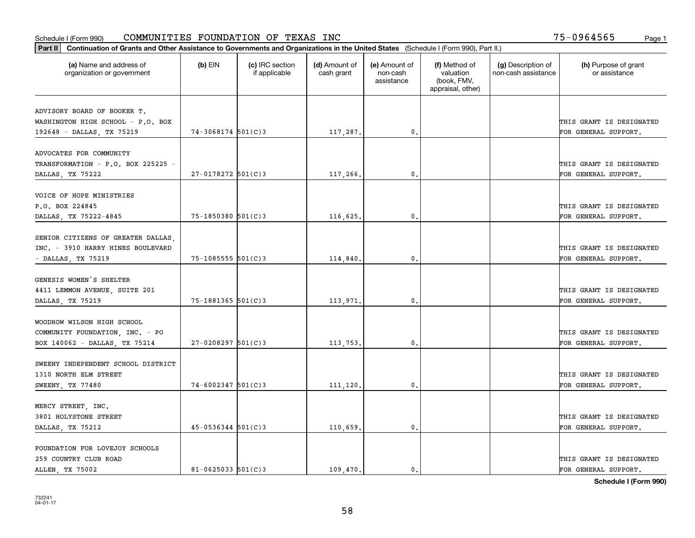| Part II   Continuation of Grants and Other Assistance to Governments and Organizations in the United States (Schedule I (Form 990), Part II.) |                        |                                  |                             |                                         |                                                                |                                           |                                       |
|-----------------------------------------------------------------------------------------------------------------------------------------------|------------------------|----------------------------------|-----------------------------|-----------------------------------------|----------------------------------------------------------------|-------------------------------------------|---------------------------------------|
| (a) Name and address of<br>organization or government                                                                                         | $(b)$ EIN              | (c) IRC section<br>if applicable | (d) Amount of<br>cash grant | (e) Amount of<br>non-cash<br>assistance | (f) Method of<br>valuation<br>(book, FMV,<br>appraisal, other) | (g) Description of<br>non-cash assistance | (h) Purpose of grant<br>or assistance |
| ADVISORY BOARD OF BOOKER T.                                                                                                                   |                        |                                  |                             |                                         |                                                                |                                           |                                       |
| WASHINGTON HIGH SCHOOL - P.O. BOX                                                                                                             |                        |                                  |                             |                                         |                                                                |                                           | THIS GRANT IS DESIGNATED              |
| 192648 - DALLAS, TX 75219                                                                                                                     | $74 - 3068174$ 501(C)3 |                                  | 117,287.                    | $\mathfrak{o}$ .                        |                                                                |                                           | FOR GENERAL SUPPORT.                  |
|                                                                                                                                               |                        |                                  |                             |                                         |                                                                |                                           |                                       |
| ADVOCATES FOR COMMUNITY                                                                                                                       |                        |                                  |                             |                                         |                                                                |                                           |                                       |
| TRANSFORMATION - P.O. BOX 225225 -                                                                                                            |                        |                                  |                             |                                         |                                                                |                                           | THIS GRANT IS DESIGNATED              |
| DALLAS, TX 75222                                                                                                                              | $27 - 0178272$ 501(C)3 |                                  | 117,266.                    | 0.                                      |                                                                |                                           | FOR GENERAL SUPPORT.                  |
|                                                                                                                                               |                        |                                  |                             |                                         |                                                                |                                           |                                       |
| VOICE OF HOPE MINISTRIES                                                                                                                      |                        |                                  |                             |                                         |                                                                |                                           |                                       |
| P.O. BOX 224845                                                                                                                               |                        |                                  |                             |                                         |                                                                |                                           | THIS GRANT IS DESIGNATED              |
| DALLAS, TX 75222-4845                                                                                                                         | $75 - 1850380$ 501(C)3 |                                  | 116,625.                    | $\mathbf{0}$ .                          |                                                                |                                           | FOR GENERAL SUPPORT.                  |
| SENIOR CITIZENS OF GREATER DALLAS                                                                                                             |                        |                                  |                             |                                         |                                                                |                                           |                                       |
| INC. - 3910 HARRY HINES BOULEVARD                                                                                                             |                        |                                  |                             |                                         |                                                                |                                           | THIS GRANT IS DESIGNATED              |
| - DALLAS, TX 75219                                                                                                                            | 75-1085555 501(C)3     |                                  | 114,840.                    | $\mathbf{0}$                            |                                                                |                                           | FOR GENERAL SUPPORT.                  |
|                                                                                                                                               |                        |                                  |                             |                                         |                                                                |                                           |                                       |
| GENESIS WOMEN'S SHELTER                                                                                                                       |                        |                                  |                             |                                         |                                                                |                                           |                                       |
| 4411 LEMMON AVENUE, SUITE 201                                                                                                                 |                        |                                  |                             |                                         |                                                                |                                           | THIS GRANT IS DESIGNATED              |
| DALLAS, TX 75219                                                                                                                              | 75-1881365 501(C)3     |                                  | 113,971                     | 0.                                      |                                                                |                                           | FOR GENERAL SUPPORT.                  |
|                                                                                                                                               |                        |                                  |                             |                                         |                                                                |                                           |                                       |
| WOODROW WILSON HIGH SCHOOL                                                                                                                    |                        |                                  |                             |                                         |                                                                |                                           |                                       |
| COMMUNITY FOUNDATION, INC. - PO                                                                                                               |                        |                                  |                             |                                         |                                                                |                                           | THIS GRANT IS DESIGNATED              |
| BOX 140062 - DALLAS, TX 75214                                                                                                                 | $27 - 0208297$ 501(C)3 |                                  | 113,753.                    | 0.                                      |                                                                |                                           | FOR GENERAL SUPPORT.                  |
|                                                                                                                                               |                        |                                  |                             |                                         |                                                                |                                           |                                       |
| SWEENY INDEPENDENT SCHOOL DISTRICT                                                                                                            |                        |                                  |                             |                                         |                                                                |                                           |                                       |
| 1310 NORTH ELM STREET                                                                                                                         |                        |                                  |                             |                                         |                                                                |                                           | THIS GRANT IS DESIGNATED              |
| SWEENY, TX 77480                                                                                                                              | $74 - 6002347$ 501(C)3 |                                  | 111,120,                    | $^{\rm 0}$ .                            |                                                                |                                           | FOR GENERAL SUPPORT.                  |
|                                                                                                                                               |                        |                                  |                             |                                         |                                                                |                                           |                                       |
| MERCY STREET, INC.                                                                                                                            |                        |                                  |                             |                                         |                                                                |                                           |                                       |
| 3801 HOLYSTONE STREET                                                                                                                         |                        |                                  |                             |                                         |                                                                |                                           | THIS GRANT IS DESIGNATED              |
| DALLAS, TX 75212                                                                                                                              | $45 - 0536344$ 501(C)3 |                                  | 110,659.                    | $^{\circ}$ .                            |                                                                |                                           | FOR GENERAL SUPPORT.                  |
| FOUNDATION FOR LOVEJOY SCHOOLS                                                                                                                |                        |                                  |                             |                                         |                                                                |                                           |                                       |
| 259 COUNTRY CLUB ROAD                                                                                                                         |                        |                                  |                             |                                         |                                                                |                                           | THIS GRANT IS DESIGNATED              |
| ALLEN, TX 75002                                                                                                                               | $81 - 0625033$ 501(C)3 |                                  | 109.470.                    | $\mathbf{0}$ .                          |                                                                |                                           | FOR GENERAL SUPPORT.                  |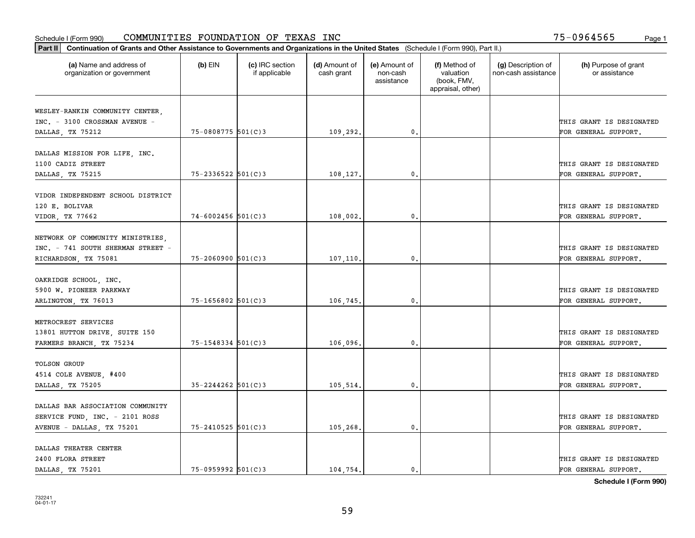|                                                                  | Part II   Continuation of Grants and Other Assistance to Governments and Organizations in the United States (Schedule I (Form 990), Part II.) |                                  |                             |                                         |                                                                |                                           |                                       |  |  |  |  |
|------------------------------------------------------------------|-----------------------------------------------------------------------------------------------------------------------------------------------|----------------------------------|-----------------------------|-----------------------------------------|----------------------------------------------------------------|-------------------------------------------|---------------------------------------|--|--|--|--|
| (a) Name and address of<br>organization or government            | $(b)$ EIN                                                                                                                                     | (c) IRC section<br>if applicable | (d) Amount of<br>cash grant | (e) Amount of<br>non-cash<br>assistance | (f) Method of<br>valuation<br>(book, FMV,<br>appraisal, other) | (g) Description of<br>non-cash assistance | (h) Purpose of grant<br>or assistance |  |  |  |  |
|                                                                  |                                                                                                                                               |                                  |                             |                                         |                                                                |                                           |                                       |  |  |  |  |
| WESLEY-RANKIN COMMUNITY CENTER,<br>INC. - 3100 CROSSMAN AVENUE - |                                                                                                                                               |                                  |                             |                                         |                                                                |                                           | THIS GRANT IS DESIGNATED              |  |  |  |  |
| DALLAS, TX 75212                                                 | 75-0808775 501(C)3                                                                                                                            |                                  | 109,292.                    | 0.                                      |                                                                |                                           | FOR GENERAL SUPPORT.                  |  |  |  |  |
|                                                                  |                                                                                                                                               |                                  |                             |                                         |                                                                |                                           |                                       |  |  |  |  |
| DALLAS MISSION FOR LIFE, INC.                                    |                                                                                                                                               |                                  |                             |                                         |                                                                |                                           |                                       |  |  |  |  |
| 1100 CADIZ STREET                                                |                                                                                                                                               |                                  |                             |                                         |                                                                |                                           | THIS GRANT IS DESIGNATED              |  |  |  |  |
| DALLAS, TX 75215                                                 | $75 - 2336522$ 501(C)3                                                                                                                        |                                  | 108,127.                    | 0.                                      |                                                                |                                           | FOR GENERAL SUPPORT.                  |  |  |  |  |
|                                                                  |                                                                                                                                               |                                  |                             |                                         |                                                                |                                           |                                       |  |  |  |  |
| VIDOR INDEPENDENT SCHOOL DISTRICT                                |                                                                                                                                               |                                  |                             |                                         |                                                                |                                           |                                       |  |  |  |  |
| 120 E. BOLIVAR                                                   |                                                                                                                                               |                                  |                             |                                         |                                                                |                                           | THIS GRANT IS DESIGNATED              |  |  |  |  |
| VIDOR, TX 77662                                                  | $74 - 6002456$ 501(C)3                                                                                                                        |                                  | 108,002.                    | $\mathfrak{o}$ .                        |                                                                |                                           | FOR GENERAL SUPPORT.                  |  |  |  |  |
|                                                                  |                                                                                                                                               |                                  |                             |                                         |                                                                |                                           |                                       |  |  |  |  |
| NETWORK OF COMMUNITY MINISTRIES,                                 |                                                                                                                                               |                                  |                             |                                         |                                                                |                                           |                                       |  |  |  |  |
| INC. - 741 SOUTH SHERMAN STREET -                                |                                                                                                                                               |                                  |                             |                                         |                                                                |                                           | THIS GRANT IS DESIGNATED              |  |  |  |  |
| RICHARDSON, TX 75081                                             | $75 - 2060900$ 501(C)3                                                                                                                        |                                  | 107,110.                    | $\mathbf{0}$                            |                                                                |                                           | FOR GENERAL SUPPORT.                  |  |  |  |  |
|                                                                  |                                                                                                                                               |                                  |                             |                                         |                                                                |                                           |                                       |  |  |  |  |
| OAKRIDGE SCHOOL, INC.<br>5900 W. PIONEER PARKWAY                 |                                                                                                                                               |                                  |                             |                                         |                                                                |                                           | THIS GRANT IS DESIGNATED              |  |  |  |  |
| ARLINGTON, TX 76013                                              | 75-1656802 501(C)3                                                                                                                            |                                  | 106,745.                    | 0.                                      |                                                                |                                           | FOR GENERAL SUPPORT.                  |  |  |  |  |
|                                                                  |                                                                                                                                               |                                  |                             |                                         |                                                                |                                           |                                       |  |  |  |  |
| METROCREST SERVICES                                              |                                                                                                                                               |                                  |                             |                                         |                                                                |                                           |                                       |  |  |  |  |
| 13801 HUTTON DRIVE, SUITE 150                                    |                                                                                                                                               |                                  |                             |                                         |                                                                |                                           | THIS GRANT IS DESIGNATED              |  |  |  |  |
| FARMERS BRANCH, TX 75234                                         | 75-1548334 501(C)3                                                                                                                            |                                  | 106,096.                    | 0.                                      |                                                                |                                           | FOR GENERAL SUPPORT.                  |  |  |  |  |
|                                                                  |                                                                                                                                               |                                  |                             |                                         |                                                                |                                           |                                       |  |  |  |  |
| <b>TOLSON GROUP</b>                                              |                                                                                                                                               |                                  |                             |                                         |                                                                |                                           |                                       |  |  |  |  |
| 4514 COLE AVENUE, #400                                           |                                                                                                                                               |                                  |                             |                                         |                                                                |                                           | THIS GRANT IS DESIGNATED              |  |  |  |  |
| DALLAS, TX 75205                                                 | $35 - 2244262$ 501(C)3                                                                                                                        |                                  | 105,514.                    | $^{\rm 0}$ .                            |                                                                |                                           | FOR GENERAL SUPPORT.                  |  |  |  |  |
|                                                                  |                                                                                                                                               |                                  |                             |                                         |                                                                |                                           |                                       |  |  |  |  |
| DALLAS BAR ASSOCIATION COMMUNITY                                 |                                                                                                                                               |                                  |                             |                                         |                                                                |                                           |                                       |  |  |  |  |
| SERVICE FUND, INC. - 2101 ROSS                                   |                                                                                                                                               |                                  |                             |                                         |                                                                |                                           | THIS GRANT IS DESIGNATED              |  |  |  |  |
| AVENUE - DALLAS, TX 75201                                        | $75 - 2410525$ 501(C)3                                                                                                                        |                                  | 105,268.                    | $^{\circ}$ .                            |                                                                |                                           | FOR GENERAL SUPPORT.                  |  |  |  |  |
|                                                                  |                                                                                                                                               |                                  |                             |                                         |                                                                |                                           |                                       |  |  |  |  |
| DALLAS THEATER CENTER                                            |                                                                                                                                               |                                  |                             |                                         |                                                                |                                           |                                       |  |  |  |  |
| 2400 FLORA STREET                                                |                                                                                                                                               |                                  |                             |                                         |                                                                |                                           | THIS GRANT IS DESIGNATED              |  |  |  |  |
| DALLAS, TX 75201                                                 | $75 - 0959992$ 501(C)3                                                                                                                        |                                  | 104,754.                    | $\mathbf{0}$ .                          |                                                                |                                           | FOR GENERAL SUPPORT.                  |  |  |  |  |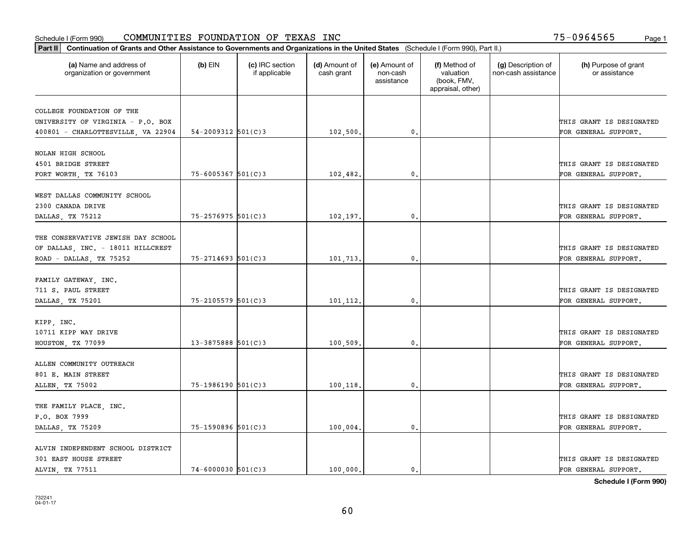|                                                       |                          |                                  |                             |                                         |                                                                | Part II   Continuation of Grants and Other Assistance to Governments and Organizations in the United States (Schedule I (Form 990), Part II.) |                                       |  |  |  |  |  |  |  |  |  |
|-------------------------------------------------------|--------------------------|----------------------------------|-----------------------------|-----------------------------------------|----------------------------------------------------------------|-----------------------------------------------------------------------------------------------------------------------------------------------|---------------------------------------|--|--|--|--|--|--|--|--|--|
| (a) Name and address of<br>organization or government | $(b)$ EIN                | (c) IRC section<br>if applicable | (d) Amount of<br>cash grant | (e) Amount of<br>non-cash<br>assistance | (f) Method of<br>valuation<br>(book, FMV,<br>appraisal, other) | (g) Description of<br>non-cash assistance                                                                                                     | (h) Purpose of grant<br>or assistance |  |  |  |  |  |  |  |  |  |
| COLLEGE FOUNDATION OF THE                             |                          |                                  |                             |                                         |                                                                |                                                                                                                                               |                                       |  |  |  |  |  |  |  |  |  |
| UNIVERSITY OF VIRGINIA - P.O. BOX                     |                          |                                  |                             |                                         |                                                                |                                                                                                                                               | THIS GRANT IS DESIGNATED              |  |  |  |  |  |  |  |  |  |
| 400801 - CHARLOTTESVILLE, VA 22904                    | $54 - 2009312$ $501(C)3$ |                                  | 102,500.                    | $\mathfrak o$ .                         |                                                                |                                                                                                                                               | FOR GENERAL SUPPORT.                  |  |  |  |  |  |  |  |  |  |
|                                                       |                          |                                  |                             |                                         |                                                                |                                                                                                                                               |                                       |  |  |  |  |  |  |  |  |  |
| NOLAN HIGH SCHOOL                                     |                          |                                  |                             |                                         |                                                                |                                                                                                                                               |                                       |  |  |  |  |  |  |  |  |  |
| 4501 BRIDGE STREET                                    |                          |                                  |                             |                                         |                                                                |                                                                                                                                               | THIS GRANT IS DESIGNATED              |  |  |  |  |  |  |  |  |  |
| FORT WORTH, TX 76103                                  | $75 - 6005367$ 501(C)3   |                                  | 102,482.                    | 0.                                      |                                                                |                                                                                                                                               | FOR GENERAL SUPPORT.                  |  |  |  |  |  |  |  |  |  |
|                                                       |                          |                                  |                             |                                         |                                                                |                                                                                                                                               |                                       |  |  |  |  |  |  |  |  |  |
| WEST DALLAS COMMUNITY SCHOOL                          |                          |                                  |                             |                                         |                                                                |                                                                                                                                               |                                       |  |  |  |  |  |  |  |  |  |
| 2300 CANADA DRIVE                                     |                          |                                  |                             |                                         |                                                                |                                                                                                                                               | THIS GRANT IS DESIGNATED              |  |  |  |  |  |  |  |  |  |
| DALLAS, TX 75212                                      | $75 - 2576975$ 501(C)3   |                                  | 102,197.                    | $\mathfrak{o}$ .                        |                                                                |                                                                                                                                               | FOR GENERAL SUPPORT.                  |  |  |  |  |  |  |  |  |  |
|                                                       |                          |                                  |                             |                                         |                                                                |                                                                                                                                               |                                       |  |  |  |  |  |  |  |  |  |
| THE CONSERVATIVE JEWISH DAY SCHOOL                    |                          |                                  |                             |                                         |                                                                |                                                                                                                                               |                                       |  |  |  |  |  |  |  |  |  |
| OF DALLAS, INC. - 18011 HILLCREST                     |                          |                                  |                             |                                         |                                                                |                                                                                                                                               | THIS GRANT IS DESIGNATED              |  |  |  |  |  |  |  |  |  |
| ROAD - DALLAS, TX 75252                               | $75 - 2714693$ 501(C)3   |                                  | 101,713.                    | 0.                                      |                                                                |                                                                                                                                               | FOR GENERAL SUPPORT.                  |  |  |  |  |  |  |  |  |  |
|                                                       |                          |                                  |                             |                                         |                                                                |                                                                                                                                               |                                       |  |  |  |  |  |  |  |  |  |
| FAMILY GATEWAY, INC.                                  |                          |                                  |                             |                                         |                                                                |                                                                                                                                               |                                       |  |  |  |  |  |  |  |  |  |
| 711 S. PAUL STREET                                    |                          |                                  |                             |                                         |                                                                |                                                                                                                                               | THIS GRANT IS DESIGNATED              |  |  |  |  |  |  |  |  |  |
| DALLAS, TX 75201                                      | $75 - 2105579$ 501(C)3   |                                  | 101,112.                    | $\mathbf{0}$                            |                                                                |                                                                                                                                               | FOR GENERAL SUPPORT.                  |  |  |  |  |  |  |  |  |  |
| KIPP, INC.                                            |                          |                                  |                             |                                         |                                                                |                                                                                                                                               |                                       |  |  |  |  |  |  |  |  |  |
| 10711 KIPP WAY DRIVE                                  |                          |                                  |                             |                                         |                                                                |                                                                                                                                               | THIS GRANT IS DESIGNATED              |  |  |  |  |  |  |  |  |  |
| HOUSTON, TX 77099                                     | $13 - 3875888$ 501(C) 3  |                                  | 100,509.                    | $\mathbf{0}$                            |                                                                |                                                                                                                                               | FOR GENERAL SUPPORT.                  |  |  |  |  |  |  |  |  |  |
|                                                       |                          |                                  |                             |                                         |                                                                |                                                                                                                                               |                                       |  |  |  |  |  |  |  |  |  |
| ALLEN COMMUNITY OUTREACH                              |                          |                                  |                             |                                         |                                                                |                                                                                                                                               |                                       |  |  |  |  |  |  |  |  |  |
| 801 E. MAIN STREET                                    |                          |                                  |                             |                                         |                                                                |                                                                                                                                               | THIS GRANT IS DESIGNATED              |  |  |  |  |  |  |  |  |  |
| ALLEN, TX 75002                                       | $75 - 1986190$ 501(C)3   |                                  | 100,118.                    | $\mathbf{0}$ .                          |                                                                |                                                                                                                                               | FOR GENERAL SUPPORT.                  |  |  |  |  |  |  |  |  |  |
|                                                       |                          |                                  |                             |                                         |                                                                |                                                                                                                                               |                                       |  |  |  |  |  |  |  |  |  |
| THE FAMILY PLACE, INC.                                |                          |                                  |                             |                                         |                                                                |                                                                                                                                               |                                       |  |  |  |  |  |  |  |  |  |
| P.O. BOX 7999                                         |                          |                                  |                             |                                         |                                                                |                                                                                                                                               | THIS GRANT IS DESIGNATED              |  |  |  |  |  |  |  |  |  |
| DALLAS, TX 75209                                      | $75 - 1590896$ 501(C)3   |                                  | 100,004.                    | $\mathfrak{o}$ .                        |                                                                |                                                                                                                                               | FOR GENERAL SUPPORT.                  |  |  |  |  |  |  |  |  |  |
|                                                       |                          |                                  |                             |                                         |                                                                |                                                                                                                                               |                                       |  |  |  |  |  |  |  |  |  |
| ALVIN INDEPENDENT SCHOOL DISTRICT                     |                          |                                  |                             |                                         |                                                                |                                                                                                                                               |                                       |  |  |  |  |  |  |  |  |  |
| 301 EAST HOUSE STREET                                 |                          |                                  |                             |                                         |                                                                |                                                                                                                                               | THIS GRANT IS DESIGNATED              |  |  |  |  |  |  |  |  |  |
| ALVIN, TX 77511                                       | $74 - 6000030$ 501(C)3   |                                  | 100.000.                    | $\mathfrak{o}$ .                        |                                                                |                                                                                                                                               | FOR GENERAL SUPPORT.                  |  |  |  |  |  |  |  |  |  |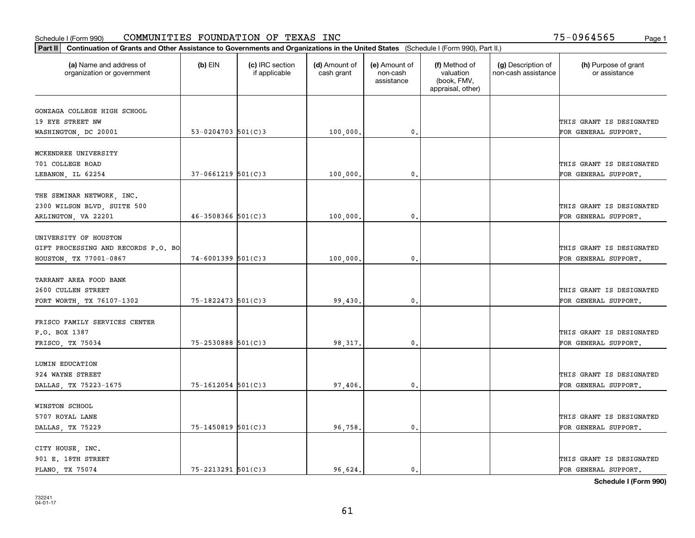|                                                       | Part II   Continuation of Grants and Other Assistance to Governments and Organizations in the United States (Schedule I (Form 990), Part II.) |                                  |                             |                                         |                                                                |                                           |                                       |  |  |  |  |
|-------------------------------------------------------|-----------------------------------------------------------------------------------------------------------------------------------------------|----------------------------------|-----------------------------|-----------------------------------------|----------------------------------------------------------------|-------------------------------------------|---------------------------------------|--|--|--|--|
| (a) Name and address of<br>organization or government | $(b)$ EIN                                                                                                                                     | (c) IRC section<br>if applicable | (d) Amount of<br>cash grant | (e) Amount of<br>non-cash<br>assistance | (f) Method of<br>valuation<br>(book, FMV,<br>appraisal, other) | (g) Description of<br>non-cash assistance | (h) Purpose of grant<br>or assistance |  |  |  |  |
| GONZAGA COLLEGE HIGH SCHOOL                           |                                                                                                                                               |                                  |                             |                                         |                                                                |                                           |                                       |  |  |  |  |
| 19 EYE STREET NW                                      |                                                                                                                                               |                                  |                             |                                         |                                                                |                                           | THIS GRANT IS DESIGNATED              |  |  |  |  |
| WASHINGTON, DC 20001                                  | 53-0204703 $501(C)$ 3                                                                                                                         |                                  | 100,000.                    | 0.                                      |                                                                |                                           | FOR GENERAL SUPPORT.                  |  |  |  |  |
|                                                       |                                                                                                                                               |                                  |                             |                                         |                                                                |                                           |                                       |  |  |  |  |
| MCKENDREE UNIVERSITY                                  |                                                                                                                                               |                                  |                             |                                         |                                                                |                                           |                                       |  |  |  |  |
| 701 COLLEGE ROAD                                      |                                                                                                                                               |                                  |                             |                                         |                                                                |                                           | THIS GRANT IS DESIGNATED              |  |  |  |  |
| LEBANON, IL 62254                                     | $37-0661219$ 501(C)3                                                                                                                          |                                  | 100,000,                    | 0.                                      |                                                                |                                           | FOR GENERAL SUPPORT.                  |  |  |  |  |
|                                                       |                                                                                                                                               |                                  |                             |                                         |                                                                |                                           |                                       |  |  |  |  |
| THE SEMINAR NETWORK, INC.                             |                                                                                                                                               |                                  |                             |                                         |                                                                |                                           |                                       |  |  |  |  |
| 2300 WILSON BLVD, SUITE 500                           |                                                                                                                                               |                                  |                             |                                         |                                                                |                                           | THIS GRANT IS DESIGNATED              |  |  |  |  |
| ARLINGTON, VA 22201                                   | $46 - 3508366$ 501(C)3                                                                                                                        |                                  | 100,000,                    | $\mathfrak{o}$ .                        |                                                                |                                           | FOR GENERAL SUPPORT.                  |  |  |  |  |
| UNIVERSITY OF HOUSTON                                 |                                                                                                                                               |                                  |                             |                                         |                                                                |                                           |                                       |  |  |  |  |
| GIFT PROCESSING AND RECORDS P.O. BO                   |                                                                                                                                               |                                  |                             |                                         |                                                                |                                           | THIS GRANT IS DESIGNATED              |  |  |  |  |
| HOUSTON, TX 77001-0867                                | $74 - 6001399$ 501(C)3                                                                                                                        |                                  | 100,000                     | $\mathbf{0}$                            |                                                                |                                           | FOR GENERAL SUPPORT.                  |  |  |  |  |
|                                                       |                                                                                                                                               |                                  |                             |                                         |                                                                |                                           |                                       |  |  |  |  |
| TARRANT AREA FOOD BANK                                |                                                                                                                                               |                                  |                             |                                         |                                                                |                                           |                                       |  |  |  |  |
| 2600 CULLEN STREET                                    |                                                                                                                                               |                                  |                             |                                         |                                                                |                                           | THIS GRANT IS DESIGNATED              |  |  |  |  |
| FORT WORTH, TX 76107-1302                             | 75-1822473 501(C)3                                                                                                                            |                                  | 99,430                      | $\mathbf{0}$                            |                                                                |                                           | FOR GENERAL SUPPORT.                  |  |  |  |  |
|                                                       |                                                                                                                                               |                                  |                             |                                         |                                                                |                                           |                                       |  |  |  |  |
| FRISCO FAMILY SERVICES CENTER                         |                                                                                                                                               |                                  |                             |                                         |                                                                |                                           |                                       |  |  |  |  |
| P.O. BOX 1387                                         |                                                                                                                                               |                                  |                             |                                         |                                                                |                                           | THIS GRANT IS DESIGNATED              |  |  |  |  |
| FRISCO, TX 75034                                      | 75-2530888 501(C)3                                                                                                                            |                                  | 98,317.                     | 0.                                      |                                                                |                                           | FOR GENERAL SUPPORT.                  |  |  |  |  |
|                                                       |                                                                                                                                               |                                  |                             |                                         |                                                                |                                           |                                       |  |  |  |  |
| LUMIN EDUCATION                                       |                                                                                                                                               |                                  |                             |                                         |                                                                |                                           |                                       |  |  |  |  |
| 924 WAYNE STREET                                      |                                                                                                                                               |                                  |                             |                                         |                                                                |                                           | THIS GRANT IS DESIGNATED              |  |  |  |  |
| DALLAS, TX 75223-1675                                 | 75-1612054 501(C)3                                                                                                                            |                                  | 97,406.                     | $^{\rm 0}$ .                            |                                                                |                                           | FOR GENERAL SUPPORT.                  |  |  |  |  |
| WINSTON SCHOOL                                        |                                                                                                                                               |                                  |                             |                                         |                                                                |                                           |                                       |  |  |  |  |
| 5707 ROYAL LANE                                       |                                                                                                                                               |                                  |                             |                                         |                                                                |                                           | THIS GRANT IS DESIGNATED              |  |  |  |  |
| DALLAS, TX 75229                                      | 75-1450819 501(C)3                                                                                                                            |                                  | 96,758.                     | $\mathfrak{o}$ .                        |                                                                |                                           | FOR GENERAL SUPPORT.                  |  |  |  |  |
|                                                       |                                                                                                                                               |                                  |                             |                                         |                                                                |                                           |                                       |  |  |  |  |
| CITY HOUSE, INC.                                      |                                                                                                                                               |                                  |                             |                                         |                                                                |                                           |                                       |  |  |  |  |
| 901 E. 18TH STREET                                    |                                                                                                                                               |                                  |                             |                                         |                                                                |                                           | THIS GRANT IS DESIGNATED              |  |  |  |  |
| PLANO, TX 75074                                       | 75-2213291 501(C)3                                                                                                                            |                                  | 96.624.                     | $\mathbf{0}$ .                          |                                                                |                                           | FOR GENERAL SUPPORT.                  |  |  |  |  |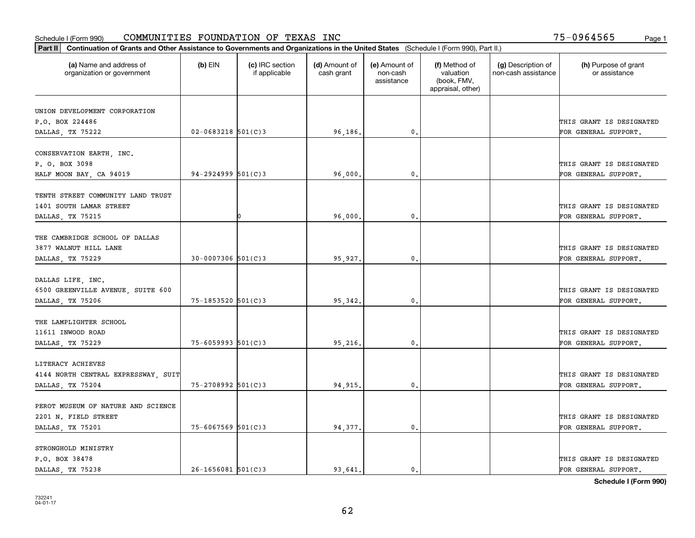| Part II   Continuation of Grants and Other Assistance to Governments and Organizations in the United States (Schedule I (Form 990), Part II.) |                        |                                  |                             |                                         |                                                                |                                           |                                                  |
|-----------------------------------------------------------------------------------------------------------------------------------------------|------------------------|----------------------------------|-----------------------------|-----------------------------------------|----------------------------------------------------------------|-------------------------------------------|--------------------------------------------------|
| (a) Name and address of<br>organization or government                                                                                         | $(b)$ EIN              | (c) IRC section<br>if applicable | (d) Amount of<br>cash grant | (e) Amount of<br>non-cash<br>assistance | (f) Method of<br>valuation<br>(book, FMV,<br>appraisal, other) | (g) Description of<br>non-cash assistance | (h) Purpose of grant<br>or assistance            |
|                                                                                                                                               |                        |                                  |                             |                                         |                                                                |                                           |                                                  |
| UNION DEVELOPMENT CORPORATION<br>P.O. BOX 224486                                                                                              |                        |                                  |                             |                                         |                                                                |                                           |                                                  |
| DALLAS, TX 75222                                                                                                                              | $02 - 0683218$ 501(C)3 |                                  | 96,186.                     | $\mathfrak{o}$ .                        |                                                                |                                           | THIS GRANT IS DESIGNATED<br>FOR GENERAL SUPPORT. |
|                                                                                                                                               |                        |                                  |                             |                                         |                                                                |                                           |                                                  |
| CONSERVATION EARTH, INC.                                                                                                                      |                        |                                  |                             |                                         |                                                                |                                           |                                                  |
| P. O. BOX 3098                                                                                                                                |                        |                                  |                             |                                         |                                                                |                                           | THIS GRANT IS DESIGNATED                         |
| HALF MOON BAY, CA 94019                                                                                                                       | $94 - 2924999$ 501(C)3 |                                  | 96,000                      | 0.                                      |                                                                |                                           | FOR GENERAL SUPPORT.                             |
|                                                                                                                                               |                        |                                  |                             |                                         |                                                                |                                           |                                                  |
| TENTH STREET COMMUNITY LAND TRUST                                                                                                             |                        |                                  |                             |                                         |                                                                |                                           |                                                  |
| 1401 SOUTH LAMAR STREET                                                                                                                       |                        |                                  |                             |                                         |                                                                |                                           | THIS GRANT IS DESIGNATED                         |
| DALLAS, TX 75215                                                                                                                              |                        |                                  | 96,000.                     | $\mathfrak{o}$ .                        |                                                                |                                           | FOR GENERAL SUPPORT.                             |
|                                                                                                                                               |                        |                                  |                             |                                         |                                                                |                                           |                                                  |
| THE CAMBRIDGE SCHOOL OF DALLAS                                                                                                                |                        |                                  |                             |                                         |                                                                |                                           |                                                  |
| 3877 WALNUT HILL LANE                                                                                                                         |                        |                                  |                             |                                         |                                                                |                                           | THIS GRANT IS DESIGNATED                         |
| DALLAS, TX 75229                                                                                                                              | $30 - 0007306$ 501(C)3 |                                  | 95,927.                     | $\mathfrak{o}$ .                        |                                                                |                                           | FOR GENERAL SUPPORT.                             |
|                                                                                                                                               |                        |                                  |                             |                                         |                                                                |                                           |                                                  |
| DALLAS LIFE, INC.                                                                                                                             |                        |                                  |                             |                                         |                                                                |                                           |                                                  |
| 6500 GREENVILLE AVENUE, SUITE 600                                                                                                             |                        |                                  |                             |                                         |                                                                |                                           | THIS GRANT IS DESIGNATED                         |
| DALLAS, TX 75206                                                                                                                              | $75 - 1853520$ 501(C)3 |                                  | 95, 342.                    | 0.                                      |                                                                |                                           | FOR GENERAL SUPPORT.                             |
|                                                                                                                                               |                        |                                  |                             |                                         |                                                                |                                           |                                                  |
| THE LAMPLIGHTER SCHOOL                                                                                                                        |                        |                                  |                             |                                         |                                                                |                                           |                                                  |
| 11611 INWOOD ROAD                                                                                                                             |                        |                                  |                             |                                         |                                                                |                                           | THIS GRANT IS DESIGNATED                         |
| DALLAS, TX 75229                                                                                                                              | $75 - 6059993$ 501(C)3 |                                  | 95,216.                     | $\mathbf{0}$ .                          |                                                                |                                           | FOR GENERAL SUPPORT.                             |
|                                                                                                                                               |                        |                                  |                             |                                         |                                                                |                                           |                                                  |
| LITERACY ACHIEVES                                                                                                                             |                        |                                  |                             |                                         |                                                                |                                           |                                                  |
| 4144 NORTH CENTRAL EXPRESSWAY, SUIT                                                                                                           |                        |                                  |                             |                                         |                                                                |                                           | THIS GRANT IS DESIGNATED                         |
| DALLAS, TX 75204                                                                                                                              | 75-2708992 501(C)3     |                                  | 94, 915.                    | 0.                                      |                                                                |                                           | FOR GENERAL SUPPORT.                             |
|                                                                                                                                               |                        |                                  |                             |                                         |                                                                |                                           |                                                  |
| PEROT MUSEUM OF NATURE AND SCIENCE                                                                                                            |                        |                                  |                             |                                         |                                                                |                                           |                                                  |
| 2201 N. FIELD STREET                                                                                                                          |                        |                                  |                             |                                         |                                                                |                                           | THIS GRANT IS DESIGNATED                         |
| DALLAS, TX 75201                                                                                                                              | $75 - 6067569$ 501(C)3 |                                  | 94,377.                     | $\mathbf 0$ .                           |                                                                |                                           | FOR GENERAL SUPPORT.                             |
|                                                                                                                                               |                        |                                  |                             |                                         |                                                                |                                           |                                                  |
| STRONGHOLD MINISTRY                                                                                                                           |                        |                                  |                             |                                         |                                                                |                                           |                                                  |
| P.O. BOX 38478                                                                                                                                |                        |                                  |                             |                                         |                                                                |                                           | THIS GRANT IS DESIGNATED                         |
| DALLAS, TX 75238                                                                                                                              | $26 - 1656081$ 501(C)3 |                                  | 93.641.                     | $\mathbf{0}$ .                          |                                                                |                                           | FOR GENERAL SUPPORT.                             |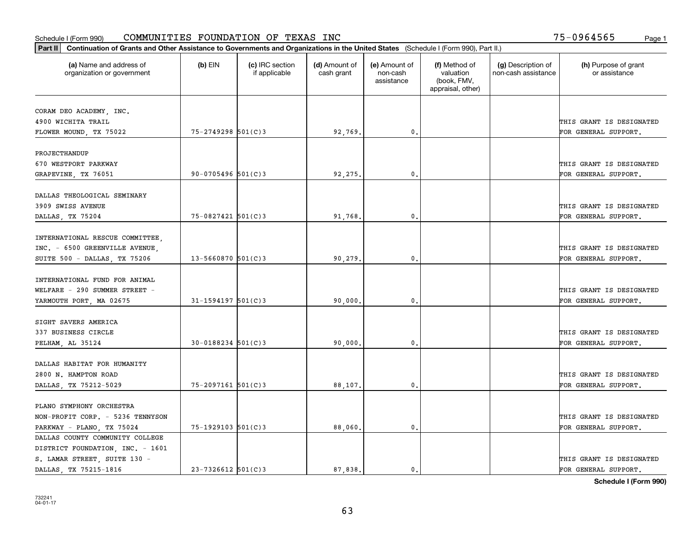| Part II   Continuation of Grants and Other Assistance to Governments and Organizations in the United States (Schedule I (Form 990), Part II.) |                        |                                  |                             |                                         |                                                                |                                           |                                                  |
|-----------------------------------------------------------------------------------------------------------------------------------------------|------------------------|----------------------------------|-----------------------------|-----------------------------------------|----------------------------------------------------------------|-------------------------------------------|--------------------------------------------------|
| (a) Name and address of<br>organization or government                                                                                         | $(b)$ EIN              | (c) IRC section<br>if applicable | (d) Amount of<br>cash grant | (e) Amount of<br>non-cash<br>assistance | (f) Method of<br>valuation<br>(book, FMV,<br>appraisal, other) | (g) Description of<br>non-cash assistance | (h) Purpose of grant<br>or assistance            |
| CORAM DEO ACADEMY, INC.                                                                                                                       |                        |                                  |                             |                                         |                                                                |                                           |                                                  |
| 4900 WICHITA TRAIL                                                                                                                            |                        |                                  |                             |                                         |                                                                |                                           | THIS GRANT IS DESIGNATED                         |
| FLOWER MOUND, TX 75022                                                                                                                        | 75-2749298 501(C)3     |                                  | 92,769.                     | $\mathfrak o$ .                         |                                                                |                                           | FOR GENERAL SUPPORT.                             |
|                                                                                                                                               |                        |                                  |                             |                                         |                                                                |                                           |                                                  |
| PROJECTHANDUP                                                                                                                                 |                        |                                  |                             |                                         |                                                                |                                           |                                                  |
| 670 WESTPORT PARKWAY                                                                                                                          |                        |                                  |                             |                                         |                                                                |                                           | THIS GRANT IS DESIGNATED                         |
| GRAPEVINE, TX 76051                                                                                                                           | $90 - 0705496$ 501(C)3 |                                  | 92,275,                     | 0.                                      |                                                                |                                           | FOR GENERAL SUPPORT.                             |
|                                                                                                                                               |                        |                                  |                             |                                         |                                                                |                                           |                                                  |
| DALLAS THEOLOGICAL SEMINARY                                                                                                                   |                        |                                  |                             |                                         |                                                                |                                           |                                                  |
| 3909 SWISS AVENUE                                                                                                                             |                        |                                  |                             |                                         |                                                                |                                           | THIS GRANT IS DESIGNATED                         |
| DALLAS, TX 75204                                                                                                                              | $75 - 0827421$ 501(C)3 |                                  | 91,768.                     | $\mathfrak{o}$ .                        |                                                                |                                           | FOR GENERAL SUPPORT.                             |
| INTERNATIONAL RESCUE COMMITTEE,                                                                                                               |                        |                                  |                             |                                         |                                                                |                                           |                                                  |
| INC. - 6500 GREENVILLE AVENUE,                                                                                                                |                        |                                  |                             |                                         |                                                                |                                           | THIS GRANT IS DESIGNATED                         |
| SUITE 500 - DALLAS, TX 75206                                                                                                                  | $13 - 5660870$ 501(C)3 |                                  | 90,279.                     | $\mathbf{0}$                            |                                                                |                                           | FOR GENERAL SUPPORT.                             |
|                                                                                                                                               |                        |                                  |                             |                                         |                                                                |                                           |                                                  |
| INTERNATIONAL FUND FOR ANIMAL                                                                                                                 |                        |                                  |                             |                                         |                                                                |                                           |                                                  |
| WELFARE - 290 SUMMER STREET -                                                                                                                 |                        |                                  |                             |                                         |                                                                |                                           | THIS GRANT IS DESIGNATED                         |
| YARMOUTH PORT, MA 02675                                                                                                                       | $31 - 1594197$ 501(C)3 |                                  | 90,000                      | $\mathfrak o$ .                         |                                                                |                                           | FOR GENERAL SUPPORT.                             |
|                                                                                                                                               |                        |                                  |                             |                                         |                                                                |                                           |                                                  |
| SIGHT SAVERS AMERICA                                                                                                                          |                        |                                  |                             |                                         |                                                                |                                           |                                                  |
| 337 BUSINESS CIRCLE                                                                                                                           |                        |                                  |                             |                                         |                                                                |                                           | THIS GRANT IS DESIGNATED                         |
| PELHAM, AL 35124                                                                                                                              | $30 - 0188234$ 501(C)3 |                                  | 90,000,                     | $\mathbf{0}$ .                          |                                                                |                                           | FOR GENERAL SUPPORT.                             |
|                                                                                                                                               |                        |                                  |                             |                                         |                                                                |                                           |                                                  |
| DALLAS HABITAT FOR HUMANITY                                                                                                                   |                        |                                  |                             |                                         |                                                                |                                           |                                                  |
| 2800 N. HAMPTON ROAD                                                                                                                          |                        |                                  |                             |                                         |                                                                |                                           | THIS GRANT IS DESIGNATED                         |
| DALLAS, TX 75212-5029                                                                                                                         | $75 - 2097161$ 501(C)3 |                                  | 88,107.                     | $^{\circ}$ .                            |                                                                |                                           | FOR GENERAL SUPPORT.                             |
|                                                                                                                                               |                        |                                  |                             |                                         |                                                                |                                           |                                                  |
| PLANO SYMPHONY ORCHESTRA                                                                                                                      |                        |                                  |                             |                                         |                                                                |                                           |                                                  |
| NON-PROFIT CORP. - 5236 TENNYSON                                                                                                              | $75 - 1929103$ 501(C)3 |                                  |                             | $\mathbf{0}$                            |                                                                |                                           | THIS GRANT IS DESIGNATED<br>FOR GENERAL SUPPORT. |
| PARKWAY - PLANO, TX 75024<br>DALLAS COUNTY COMMUNITY COLLEGE                                                                                  |                        |                                  | 88,060                      |                                         |                                                                |                                           |                                                  |
| DISTRICT FOUNDATION, INC. - 1601                                                                                                              |                        |                                  |                             |                                         |                                                                |                                           |                                                  |
| S. LAMAR STREET, SUITE 130 -                                                                                                                  |                        |                                  |                             |                                         |                                                                |                                           | THIS GRANT IS DESIGNATED                         |
| DALLAS TX 75215-1816                                                                                                                          | $23 - 7326612$ 501(C)3 |                                  | 87.838.                     | $\mathfrak{o}$ .                        |                                                                |                                           | FOR GENERAL SUPPORT.                             |
|                                                                                                                                               |                        |                                  |                             |                                         |                                                                |                                           |                                                  |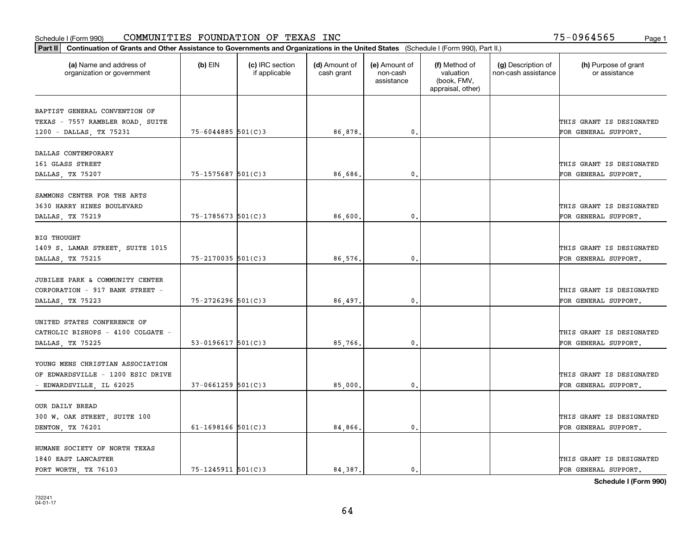| Part II   Continuation of Grants and Other Assistance to Governments and Organizations in the United States (Schedule I (Form 990), Part II.) |                          |                                  |                             |                                         |                                                                |                                           |                                       |
|-----------------------------------------------------------------------------------------------------------------------------------------------|--------------------------|----------------------------------|-----------------------------|-----------------------------------------|----------------------------------------------------------------|-------------------------------------------|---------------------------------------|
| (a) Name and address of<br>organization or government                                                                                         | $(b)$ EIN                | (c) IRC section<br>if applicable | (d) Amount of<br>cash grant | (e) Amount of<br>non-cash<br>assistance | (f) Method of<br>valuation<br>(book, FMV,<br>appraisal, other) | (g) Description of<br>non-cash assistance | (h) Purpose of grant<br>or assistance |
|                                                                                                                                               |                          |                                  |                             |                                         |                                                                |                                           |                                       |
| BAPTIST GENERAL CONVENTION OF                                                                                                                 |                          |                                  |                             |                                         |                                                                |                                           | THIS GRANT IS DESIGNATED              |
| TEXAS - 7557 RAMBLER ROAD, SUITE                                                                                                              | $75 - 6044885$ 501(C)3   |                                  | 86,878.                     |                                         |                                                                |                                           |                                       |
| 1200 - DALLAS, TX 75231                                                                                                                       |                          |                                  |                             | 0.                                      |                                                                |                                           | FOR GENERAL SUPPORT.                  |
| DALLAS CONTEMPORARY                                                                                                                           |                          |                                  |                             |                                         |                                                                |                                           |                                       |
| 161 GLASS STREET                                                                                                                              |                          |                                  |                             |                                         |                                                                |                                           | THIS GRANT IS DESIGNATED              |
| DALLAS, TX 75207                                                                                                                              | $75 - 1575687$ 501(C)3   |                                  | 86,686.                     | 0.                                      |                                                                |                                           | FOR GENERAL SUPPORT.                  |
|                                                                                                                                               |                          |                                  |                             |                                         |                                                                |                                           |                                       |
| SAMMONS CENTER FOR THE ARTS                                                                                                                   |                          |                                  |                             |                                         |                                                                |                                           |                                       |
| 3630 HARRY HINES BOULEVARD                                                                                                                    |                          |                                  |                             |                                         |                                                                |                                           | THIS GRANT IS DESIGNATED              |
| DALLAS, TX 75219                                                                                                                              | 75-1785673 501(C)3       |                                  | 86,600                      | 0.                                      |                                                                |                                           | FOR GENERAL SUPPORT.                  |
|                                                                                                                                               |                          |                                  |                             |                                         |                                                                |                                           |                                       |
| <b>BIG THOUGHT</b>                                                                                                                            |                          |                                  |                             |                                         |                                                                |                                           |                                       |
| 1409 S. LAMAR STREET, SUITE 1015                                                                                                              |                          |                                  |                             |                                         |                                                                |                                           | THIS GRANT IS DESIGNATED              |
| DALLAS, TX 75215                                                                                                                              | $75 - 2170035$ 501(C)3   |                                  | 86,576.                     | 0.                                      |                                                                |                                           | FOR GENERAL SUPPORT.                  |
|                                                                                                                                               |                          |                                  |                             |                                         |                                                                |                                           |                                       |
| JUBILEE PARK & COMMUNITY CENTER                                                                                                               |                          |                                  |                             |                                         |                                                                |                                           |                                       |
| CORPORATION - 917 BANK STREET -                                                                                                               |                          |                                  |                             |                                         |                                                                |                                           | THIS GRANT IS DESIGNATED              |
| DALLAS, TX 75223                                                                                                                              | $75 - 2726296$ 501(C)3   |                                  | 86,497.                     | 0.                                      |                                                                |                                           | FOR GENERAL SUPPORT.                  |
|                                                                                                                                               |                          |                                  |                             |                                         |                                                                |                                           |                                       |
| UNITED STATES CONFERENCE OF                                                                                                                   |                          |                                  |                             |                                         |                                                                |                                           |                                       |
| CATHOLIC BISHOPS - 4100 COLGATE -                                                                                                             |                          |                                  |                             |                                         |                                                                |                                           | THIS GRANT IS DESIGNATED              |
| DALLAS, TX 75225                                                                                                                              | $53 - 0196617$ $501(C)3$ |                                  | 85,766.                     | 0.                                      |                                                                |                                           | FOR GENERAL SUPPORT.                  |
|                                                                                                                                               |                          |                                  |                             |                                         |                                                                |                                           |                                       |
| YOUNG MENS CHRISTIAN ASSOCIATION                                                                                                              |                          |                                  |                             |                                         |                                                                |                                           |                                       |
| OF EDWARDSVILLE - 1200 ESIC DRIVE                                                                                                             |                          |                                  |                             |                                         |                                                                |                                           | THIS GRANT IS DESIGNATED              |
| - EDWARDSVILLE, IL 62025                                                                                                                      | $37-0661259$ 501(C)3     |                                  | 85,000                      | 0.                                      |                                                                |                                           | FOR GENERAL SUPPORT.                  |
|                                                                                                                                               |                          |                                  |                             |                                         |                                                                |                                           |                                       |
| OUR DAILY BREAD                                                                                                                               |                          |                                  |                             |                                         |                                                                |                                           |                                       |
| 300 W. OAK STREET, SUITE 100                                                                                                                  |                          |                                  |                             |                                         |                                                                |                                           | THIS GRANT IS DESIGNATED              |
| DENTON, TX 76201                                                                                                                              | 61-1698166 $501(C)$ 3    |                                  | 84,866.                     | 0.                                      |                                                                |                                           | FOR GENERAL SUPPORT.                  |
|                                                                                                                                               |                          |                                  |                             |                                         |                                                                |                                           |                                       |
| HUMANE SOCIETY OF NORTH TEXAS                                                                                                                 |                          |                                  |                             |                                         |                                                                |                                           |                                       |
| 1840 EAST LANCASTER                                                                                                                           |                          |                                  |                             |                                         |                                                                |                                           | THIS GRANT IS DESIGNATED              |
| FORT WORTH, TX 76103                                                                                                                          | $75 - 1245911$ 501(C)3   |                                  | 84,387.                     | $\mathbf{0}$ .                          |                                                                |                                           | FOR GENERAL SUPPORT.                  |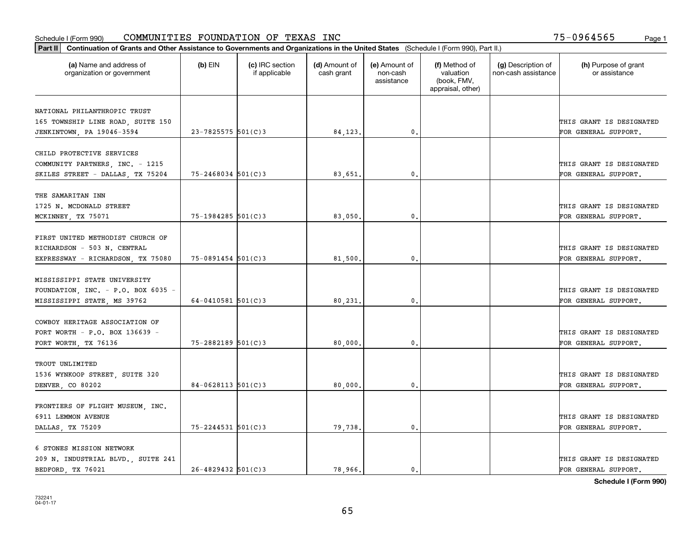| Part II   Continuation of Grants and Other Assistance to Governments and Organizations in the United States (Schedule I (Form 990), Part II.) |                        |                                  |                             |                                         |                                                                |                                           |                                                  |
|-----------------------------------------------------------------------------------------------------------------------------------------------|------------------------|----------------------------------|-----------------------------|-----------------------------------------|----------------------------------------------------------------|-------------------------------------------|--------------------------------------------------|
| (a) Name and address of<br>organization or government                                                                                         | $(b)$ EIN              | (c) IRC section<br>if applicable | (d) Amount of<br>cash grant | (e) Amount of<br>non-cash<br>assistance | (f) Method of<br>valuation<br>(book, FMV,<br>appraisal, other) | (g) Description of<br>non-cash assistance | (h) Purpose of grant<br>or assistance            |
|                                                                                                                                               |                        |                                  |                             |                                         |                                                                |                                           |                                                  |
| NATIONAL PHILANTHROPIC TRUST                                                                                                                  |                        |                                  |                             |                                         |                                                                |                                           |                                                  |
| 165 TOWNSHIP LINE ROAD, SUITE 150                                                                                                             | $23 - 7825575$ 501(C)3 |                                  |                             | 0.                                      |                                                                |                                           | THIS GRANT IS DESIGNATED<br>FOR GENERAL SUPPORT. |
| JENKINTOWN, PA 19046-3594                                                                                                                     |                        |                                  | 84, 123.                    |                                         |                                                                |                                           |                                                  |
| CHILD PROTECTIVE SERVICES                                                                                                                     |                        |                                  |                             |                                         |                                                                |                                           |                                                  |
| COMMUNITY PARTNERS, INC. - 1215                                                                                                               |                        |                                  |                             |                                         |                                                                |                                           | THIS GRANT IS DESIGNATED                         |
| SKILES STREET - DALLAS, TX 75204                                                                                                              | $75 - 2468034$ 501(C)3 |                                  | 83,651                      | 0.                                      |                                                                |                                           | FOR GENERAL SUPPORT.                             |
|                                                                                                                                               |                        |                                  |                             |                                         |                                                                |                                           |                                                  |
| THE SAMARITAN INN                                                                                                                             |                        |                                  |                             |                                         |                                                                |                                           |                                                  |
| 1725 N. MCDONALD STREET                                                                                                                       |                        |                                  |                             |                                         |                                                                |                                           | THIS GRANT IS DESIGNATED                         |
| MCKINNEY, TX 75071                                                                                                                            | 75-1984285 501(C)3     |                                  | 83,050.                     | 0.                                      |                                                                |                                           | FOR GENERAL SUPPORT.                             |
|                                                                                                                                               |                        |                                  |                             |                                         |                                                                |                                           |                                                  |
| FIRST UNITED METHODIST CHURCH OF                                                                                                              |                        |                                  |                             |                                         |                                                                |                                           |                                                  |
| RICHARDSON - 503 N. CENTRAL                                                                                                                   |                        |                                  |                             |                                         |                                                                |                                           | THIS GRANT IS DESIGNATED                         |
| EXPRESSWAY - RICHARDSON, TX 75080                                                                                                             | 75-0891454 501(C)3     |                                  | 81,500                      | 0.                                      |                                                                |                                           | FOR GENERAL SUPPORT.                             |
|                                                                                                                                               |                        |                                  |                             |                                         |                                                                |                                           |                                                  |
| MISSISSIPPI STATE UNIVERSITY                                                                                                                  |                        |                                  |                             |                                         |                                                                |                                           |                                                  |
| FOUNDATION, INC. - P.O. BOX 6035 -                                                                                                            |                        |                                  |                             |                                         |                                                                |                                           | THIS GRANT IS DESIGNATED                         |
| MISSISSIPPI STATE, MS 39762                                                                                                                   | 64-0410581 $501(C)$ 3  |                                  | 80,231                      | 0.                                      |                                                                |                                           | FOR GENERAL SUPPORT.                             |
|                                                                                                                                               |                        |                                  |                             |                                         |                                                                |                                           |                                                  |
| COWBOY HERITAGE ASSOCIATION OF                                                                                                                |                        |                                  |                             |                                         |                                                                |                                           |                                                  |
| FORT WORTH - P.O. BOX 136639 -                                                                                                                |                        |                                  |                             |                                         |                                                                |                                           | THIS GRANT IS DESIGNATED                         |
| FORT WORTH, TX 76136                                                                                                                          | 75-2882189 501(C)3     |                                  | 80,000                      | 0.                                      |                                                                |                                           | FOR GENERAL SUPPORT.                             |
|                                                                                                                                               |                        |                                  |                             |                                         |                                                                |                                           |                                                  |
| TROUT UNLIMITED                                                                                                                               |                        |                                  |                             |                                         |                                                                |                                           |                                                  |
| 1536 WYNKOOP STREET, SUITE 320                                                                                                                |                        |                                  |                             |                                         |                                                                |                                           | THIS GRANT IS DESIGNATED                         |
| DENVER CO 80202                                                                                                                               | $84 - 0628113$ 501(C)3 |                                  | 80,000,                     | $\mathbf{0}$ .                          |                                                                |                                           | FOR GENERAL SUPPORT.                             |
|                                                                                                                                               |                        |                                  |                             |                                         |                                                                |                                           |                                                  |
| FRONTIERS OF FLIGHT MUSEUM, INC.                                                                                                              |                        |                                  |                             |                                         |                                                                |                                           |                                                  |
| 6911 LEMMON AVENUE                                                                                                                            |                        |                                  |                             |                                         |                                                                |                                           | THIS GRANT IS DESIGNATED                         |
| DALLAS, TX 75209                                                                                                                              | $75 - 2244531$ 501(C)3 |                                  | 79,738.                     | 0.                                      |                                                                |                                           | FOR GENERAL SUPPORT.                             |
|                                                                                                                                               |                        |                                  |                             |                                         |                                                                |                                           |                                                  |
| 6 STONES MISSION NETWORK                                                                                                                      |                        |                                  |                             |                                         |                                                                |                                           |                                                  |
| 209 N. INDUSTRIAL BLVD., SUITE 241                                                                                                            |                        |                                  |                             |                                         |                                                                |                                           | THIS GRANT IS DESIGNATED                         |
| BEDFORD, TX 76021                                                                                                                             | $26 - 4829432$ 501(C)3 |                                  | 78,966.                     | 0.                                      |                                                                |                                           | FOR GENERAL SUPPORT.                             |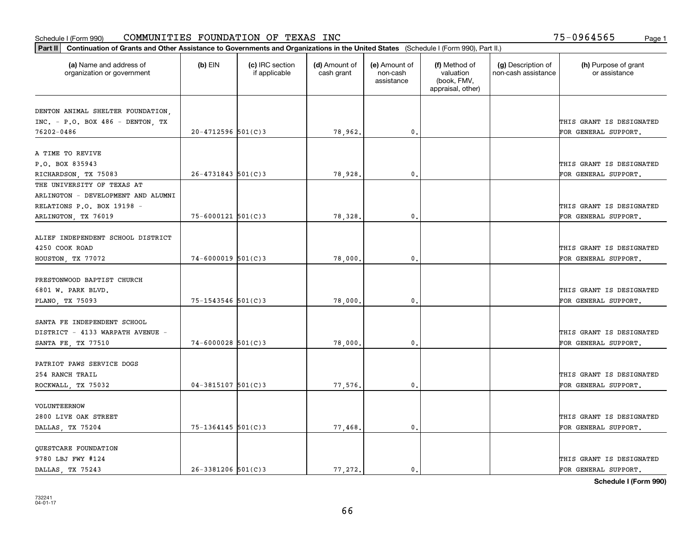| Part II   Continuation of Grants and Other Assistance to Governments and Organizations in the United States (Schedule I (Form 990), Part II.) |                        |                                  |                             |                                         |                                                                |                                           |                                       |
|-----------------------------------------------------------------------------------------------------------------------------------------------|------------------------|----------------------------------|-----------------------------|-----------------------------------------|----------------------------------------------------------------|-------------------------------------------|---------------------------------------|
| (a) Name and address of<br>organization or government                                                                                         | $(b)$ EIN              | (c) IRC section<br>if applicable | (d) Amount of<br>cash grant | (e) Amount of<br>non-cash<br>assistance | (f) Method of<br>valuation<br>(book, FMV,<br>appraisal, other) | (g) Description of<br>non-cash assistance | (h) Purpose of grant<br>or assistance |
|                                                                                                                                               |                        |                                  |                             |                                         |                                                                |                                           |                                       |
| DENTON ANIMAL SHELTER FOUNDATION,<br>$INC. - P.O. BOX 486 - DENTON. TX$                                                                       |                        |                                  |                             |                                         |                                                                |                                           | THIS GRANT IS DESIGNATED              |
| 76202-0486                                                                                                                                    | $20 - 4712596$ 501(C)3 |                                  | 78,962.                     | $\mathbf{0}$ .                          |                                                                |                                           | FOR GENERAL SUPPORT.                  |
|                                                                                                                                               |                        |                                  |                             |                                         |                                                                |                                           |                                       |
| A TIME TO REVIVE                                                                                                                              |                        |                                  |                             |                                         |                                                                |                                           |                                       |
| P.O. BOX 835943                                                                                                                               |                        |                                  |                             |                                         |                                                                |                                           | THIS GRANT IS DESIGNATED              |
| RICHARDSON, TX 75083                                                                                                                          | $26 - 4731843$ 501(C)3 |                                  | 78,928                      | 0.                                      |                                                                |                                           | FOR GENERAL SUPPORT.                  |
| THE UNIVERSITY OF TEXAS AT                                                                                                                    |                        |                                  |                             |                                         |                                                                |                                           |                                       |
| ARLINGTON - DEVELOPMENT AND ALUMNI                                                                                                            |                        |                                  |                             |                                         |                                                                |                                           |                                       |
| RELATIONS P.O. BOX 19198 -                                                                                                                    |                        |                                  |                             |                                         |                                                                |                                           | THIS GRANT IS DESIGNATED              |
| ARLINGTON, TX 76019                                                                                                                           | $75 - 6000121$ 501(C)3 |                                  | 78,328.                     | $\mathbf{0}$ .                          |                                                                |                                           | FOR GENERAL SUPPORT.                  |
|                                                                                                                                               |                        |                                  |                             |                                         |                                                                |                                           |                                       |
| ALIEF INDEPENDENT SCHOOL DISTRICT                                                                                                             |                        |                                  |                             |                                         |                                                                |                                           |                                       |
| 4250 COOK ROAD                                                                                                                                |                        |                                  |                             |                                         |                                                                |                                           | THIS GRANT IS DESIGNATED              |
| HOUSTON, TX 77072                                                                                                                             | $74 - 6000019$ 501(C)3 |                                  | 78,000.                     | 0.                                      |                                                                |                                           | FOR GENERAL SUPPORT.                  |
|                                                                                                                                               |                        |                                  |                             |                                         |                                                                |                                           |                                       |
| PRESTONWOOD BAPTIST CHURCH                                                                                                                    |                        |                                  |                             |                                         |                                                                |                                           |                                       |
| 6801 W. PARK BLVD.                                                                                                                            |                        |                                  |                             |                                         |                                                                |                                           | THIS GRANT IS DESIGNATED              |
| PLANO, TX 75093                                                                                                                               | 75-1543546 501(C)3     |                                  | 78,000                      | 0.                                      |                                                                |                                           | FOR GENERAL SUPPORT.                  |
|                                                                                                                                               |                        |                                  |                             |                                         |                                                                |                                           |                                       |
| SANTA FE INDEPENDENT SCHOOL                                                                                                                   |                        |                                  |                             |                                         |                                                                |                                           |                                       |
| DISTRICT - 4133 WARPATH AVENUE -                                                                                                              |                        |                                  |                             |                                         |                                                                |                                           | THIS GRANT IS DESIGNATED              |
| SANTA FE, TX 77510                                                                                                                            | $74 - 6000028$ 501(C)3 |                                  | 78,000                      | 0.                                      |                                                                |                                           | FOR GENERAL SUPPORT.                  |
|                                                                                                                                               |                        |                                  |                             |                                         |                                                                |                                           |                                       |
| PATRIOT PAWS SERVICE DOGS                                                                                                                     |                        |                                  |                             |                                         |                                                                |                                           |                                       |
| 254 RANCH TRAIL                                                                                                                               |                        |                                  |                             |                                         |                                                                |                                           | THIS GRANT IS DESIGNATED              |
| ROCKWALL, TX 75032                                                                                                                            | $04 - 3815107$ 501(C)3 |                                  | 77,576.                     | $\mathbf{0}$ .                          |                                                                |                                           | FOR GENERAL SUPPORT.                  |
| VOLUNTEERNOW                                                                                                                                  |                        |                                  |                             |                                         |                                                                |                                           |                                       |
| 2800 LIVE OAK STREET                                                                                                                          |                        |                                  |                             |                                         |                                                                |                                           | THIS GRANT IS DESIGNATED              |
| DALLAS, TX 75204                                                                                                                              | $75 - 1364145$ 501(C)3 |                                  | 77,468.                     | 0.                                      |                                                                |                                           | FOR GENERAL SUPPORT.                  |
|                                                                                                                                               |                        |                                  |                             |                                         |                                                                |                                           |                                       |
| QUESTCARE FOUNDATION                                                                                                                          |                        |                                  |                             |                                         |                                                                |                                           |                                       |
| 9780 LBJ FWY #124                                                                                                                             |                        |                                  |                             |                                         |                                                                |                                           | THIS GRANT IS DESIGNATED              |
| DALLAS TX 75243                                                                                                                               | $26 - 3381206$ 501(C)3 |                                  | 77,272.                     | 0.                                      |                                                                |                                           | FOR GENERAL SUPPORT.                  |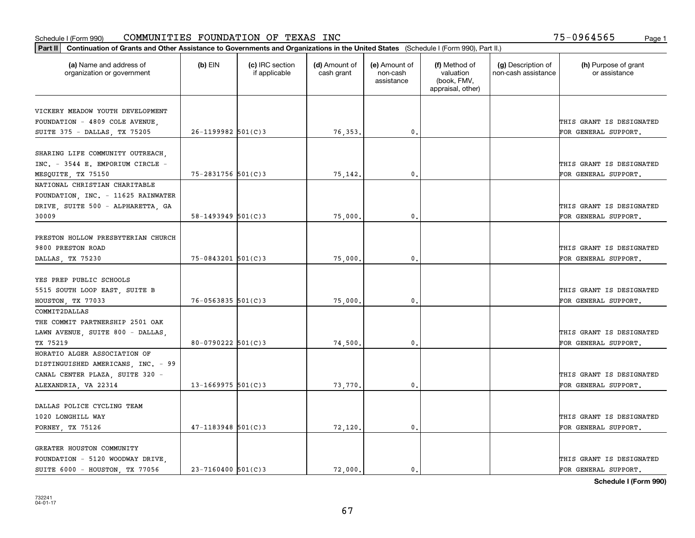| Part II   Continuation of Grants and Other Assistance to Governments and Organizations in the United States (Schedule I (Form 990), Part II.) |                          |                                  |                             |                                         |                                                                |                                           |                                       |
|-----------------------------------------------------------------------------------------------------------------------------------------------|--------------------------|----------------------------------|-----------------------------|-----------------------------------------|----------------------------------------------------------------|-------------------------------------------|---------------------------------------|
| (a) Name and address of<br>organization or government                                                                                         | $(b)$ EIN                | (c) IRC section<br>if applicable | (d) Amount of<br>cash grant | (e) Amount of<br>non-cash<br>assistance | (f) Method of<br>valuation<br>(book, FMV,<br>appraisal, other) | (g) Description of<br>non-cash assistance | (h) Purpose of grant<br>or assistance |
|                                                                                                                                               |                          |                                  |                             |                                         |                                                                |                                           |                                       |
| VICKERY MEADOW YOUTH DEVELOPMENT<br>FOUNDATION - 4809 COLE AVENUE,                                                                            |                          |                                  |                             |                                         |                                                                |                                           | THIS GRANT IS DESIGNATED              |
| SUITE 375 - DALLAS, TX 75205                                                                                                                  | $26 - 1199982$ 501(C)3   |                                  | 76,353.                     | 0.                                      |                                                                |                                           | FOR GENERAL SUPPORT.                  |
|                                                                                                                                               |                          |                                  |                             |                                         |                                                                |                                           |                                       |
| SHARING LIFE COMMUNITY OUTREACH,                                                                                                              |                          |                                  |                             |                                         |                                                                |                                           |                                       |
| INC. - 3544 E. EMPORIUM CIRCLE -                                                                                                              |                          |                                  |                             |                                         |                                                                |                                           | THIS GRANT IS DESIGNATED              |
| MESQUITE, TX 75150                                                                                                                            | $75 - 2831756$ 501(C)3   |                                  | 75,142.                     | $\mathbf{0}$                            |                                                                |                                           | FOR GENERAL SUPPORT.                  |
| NATIONAL CHRISTIAN CHARITABLE                                                                                                                 |                          |                                  |                             |                                         |                                                                |                                           |                                       |
| FOUNDATION, INC. - 11625 RAINWATER                                                                                                            |                          |                                  |                             |                                         |                                                                |                                           |                                       |
| DRIVE SUITE 500 - ALPHARETTA GA                                                                                                               |                          |                                  |                             |                                         |                                                                |                                           | THIS GRANT IS DESIGNATED              |
| 30009                                                                                                                                         | $58 - 1493949$ $501(C)3$ |                                  | 75,000.                     | $\mathbf{0}$ .                          |                                                                |                                           | FOR GENERAL SUPPORT.                  |
|                                                                                                                                               |                          |                                  |                             |                                         |                                                                |                                           |                                       |
| PRESTON HOLLOW PRESBYTERIAN CHURCH                                                                                                            |                          |                                  |                             |                                         |                                                                |                                           |                                       |
| 9800 PRESTON ROAD                                                                                                                             |                          |                                  |                             |                                         |                                                                |                                           | THIS GRANT IS DESIGNATED              |
| DALLAS, TX 75230                                                                                                                              | $75 - 0843201$ 501(C)3   |                                  | 75,000                      | $\mathbf{0}$                            |                                                                |                                           | FOR GENERAL SUPPORT.                  |
|                                                                                                                                               |                          |                                  |                             |                                         |                                                                |                                           |                                       |
| YES PREP PUBLIC SCHOOLS                                                                                                                       |                          |                                  |                             |                                         |                                                                |                                           |                                       |
| 5515 SOUTH LOOP EAST, SUITE B                                                                                                                 |                          |                                  |                             |                                         |                                                                |                                           | THIS GRANT IS DESIGNATED              |
| HOUSTON, TX 77033                                                                                                                             | $76 - 0563835$ 501(C)3   |                                  | 75,000                      | 0.                                      |                                                                |                                           | FOR GENERAL SUPPORT.                  |
| COMMIT2DALLAS                                                                                                                                 |                          |                                  |                             |                                         |                                                                |                                           |                                       |
| THE COMMIT PARTNERSHIP 2501 OAK                                                                                                               |                          |                                  |                             |                                         |                                                                |                                           |                                       |
| LAWN AVENUE, SUITE 800 - DALLAS,                                                                                                              |                          |                                  |                             |                                         |                                                                |                                           | THIS GRANT IS DESIGNATED              |
| TX 75219                                                                                                                                      | $80 - 0790222$ 501(C)3   |                                  | 74,500.                     | $\mathbf{0}$                            |                                                                |                                           | FOR GENERAL SUPPORT.                  |
| HORATIO ALGER ASSOCIATION OF                                                                                                                  |                          |                                  |                             |                                         |                                                                |                                           |                                       |
| DISTINGUISHED AMERICANS, INC. - 99                                                                                                            |                          |                                  |                             |                                         |                                                                |                                           |                                       |
| CANAL CENTER PLAZA, SUITE 320 -                                                                                                               |                          |                                  |                             |                                         |                                                                |                                           | THIS GRANT IS DESIGNATED              |
| ALEXANDRIA, VA 22314                                                                                                                          | $13 - 1669975$ 501(C)3   |                                  | 73,770                      | $^{\rm 0}$ .                            |                                                                |                                           | FOR GENERAL SUPPORT.                  |
|                                                                                                                                               |                          |                                  |                             |                                         |                                                                |                                           |                                       |
| DALLAS POLICE CYCLING TEAM                                                                                                                    |                          |                                  |                             |                                         |                                                                |                                           |                                       |
| 1020 LONGHILL WAY                                                                                                                             |                          |                                  |                             |                                         |                                                                |                                           | THIS GRANT IS DESIGNATED              |
| FORNEY, TX 75126                                                                                                                              | $47 - 1183948$ 501(C)3   |                                  | 72,120.                     | $^{\circ}$ .                            |                                                                |                                           | FOR GENERAL SUPPORT.                  |
|                                                                                                                                               |                          |                                  |                             |                                         |                                                                |                                           |                                       |
| GREATER HOUSTON COMMUNITY                                                                                                                     |                          |                                  |                             |                                         |                                                                |                                           |                                       |
| FOUNDATION - 5120 WOODWAY DRIVE,<br>SUITE 6000 - HOUSTON, TX 77056                                                                            | $23 - 7160400$ $501(C)3$ |                                  | 72.000.                     |                                         |                                                                |                                           | THIS GRANT IS DESIGNATED              |
|                                                                                                                                               |                          |                                  |                             | $\mathfrak{o}$ .                        |                                                                |                                           | FOR GENERAL SUPPORT.                  |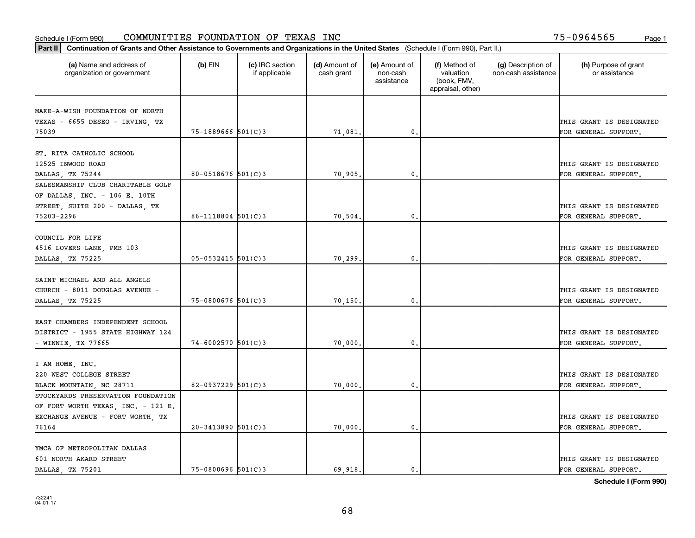| Part II   Continuation of Grants and Other Assistance to Governments and Organizations in the United States (Schedule I (Form 990), Part II.) |                        |                                  |                             |                                         |                                                                |                                           |                                       |
|-----------------------------------------------------------------------------------------------------------------------------------------------|------------------------|----------------------------------|-----------------------------|-----------------------------------------|----------------------------------------------------------------|-------------------------------------------|---------------------------------------|
| (a) Name and address of<br>organization or government                                                                                         | $(b)$ EIN              | (c) IRC section<br>if applicable | (d) Amount of<br>cash grant | (e) Amount of<br>non-cash<br>assistance | (f) Method of<br>valuation<br>(book, FMV,<br>appraisal, other) | (g) Description of<br>non-cash assistance | (h) Purpose of grant<br>or assistance |
|                                                                                                                                               |                        |                                  |                             |                                         |                                                                |                                           |                                       |
| MAKE-A-WISH FOUNDATION OF NORTH                                                                                                               |                        |                                  |                             |                                         |                                                                |                                           |                                       |
| TEXAS - 6655 DESEO - IRVING, TX                                                                                                               |                        |                                  |                             |                                         |                                                                |                                           | THIS GRANT IS DESIGNATED              |
| 75039                                                                                                                                         | $75 - 1889666$ 501(C)3 |                                  | 71,081.                     | 0.                                      |                                                                |                                           | FOR GENERAL SUPPORT.                  |
| ST. RITA CATHOLIC SCHOOL                                                                                                                      |                        |                                  |                             |                                         |                                                                |                                           |                                       |
| 12525 INWOOD ROAD                                                                                                                             |                        |                                  |                             |                                         |                                                                |                                           | THIS GRANT IS DESIGNATED              |
| DALLAS, TX 75244                                                                                                                              | 80-0518676 $501(C)3$   |                                  | 70,905.                     | 0.                                      |                                                                |                                           | FOR GENERAL SUPPORT.                  |
| SALESMANSHIP CLUB CHARITABLE GOLF                                                                                                             |                        |                                  |                             |                                         |                                                                |                                           |                                       |
| OF DALLAS, INC. - 106 E. 10TH                                                                                                                 |                        |                                  |                             |                                         |                                                                |                                           |                                       |
| STREET, SUITE 200 - DALLAS, TX                                                                                                                |                        |                                  |                             |                                         |                                                                |                                           | THIS GRANT IS DESIGNATED              |
| 75203-2296                                                                                                                                    | $86 - 1118804$ 501(C)3 |                                  | 70,504.                     | $\mathbf{0}$ .                          |                                                                |                                           | FOR GENERAL SUPPORT.                  |
|                                                                                                                                               |                        |                                  |                             |                                         |                                                                |                                           |                                       |
| COUNCIL FOR LIFE                                                                                                                              |                        |                                  |                             |                                         |                                                                |                                           |                                       |
| 4516 LOVERS LANE, PMB 103                                                                                                                     |                        |                                  |                             |                                         |                                                                |                                           | THIS GRANT IS DESIGNATED              |
| DALLAS, TX 75225                                                                                                                              | $05 - 0532415$ 501(C)3 |                                  | 70,299                      | 0.                                      |                                                                |                                           | FOR GENERAL SUPPORT.                  |
|                                                                                                                                               |                        |                                  |                             |                                         |                                                                |                                           |                                       |
| SAINT MICHAEL AND ALL ANGELS                                                                                                                  |                        |                                  |                             |                                         |                                                                |                                           |                                       |
| CHURCH - 8011 DOUGLAS AVENUE -                                                                                                                |                        |                                  |                             |                                         |                                                                |                                           | THIS GRANT IS DESIGNATED              |
| DALLAS, TX 75225                                                                                                                              | $75 - 0800676$ 501(C)3 |                                  | 70,150                      | 0.                                      |                                                                |                                           | FOR GENERAL SUPPORT.                  |
|                                                                                                                                               |                        |                                  |                             |                                         |                                                                |                                           |                                       |
| EAST CHAMBERS INDEPENDENT SCHOOL                                                                                                              |                        |                                  |                             |                                         |                                                                |                                           |                                       |
| DISTRICT - 1955 STATE HIGHWAY 124                                                                                                             |                        |                                  |                             |                                         |                                                                |                                           | THIS GRANT IS DESIGNATED              |
| - WINNIE, TX 77665                                                                                                                            | $74 - 6002570$ 501(C)3 |                                  | 70,000                      | 0.                                      |                                                                |                                           | FOR GENERAL SUPPORT.                  |
|                                                                                                                                               |                        |                                  |                             |                                         |                                                                |                                           |                                       |
| I AM HOME, INC.                                                                                                                               |                        |                                  |                             |                                         |                                                                |                                           |                                       |
| 220 WEST COLLEGE STREET                                                                                                                       |                        |                                  |                             |                                         |                                                                |                                           | THIS GRANT IS DESIGNATED              |
| BLACK MOUNTAIN, NC 28711                                                                                                                      | 82-0937229 $501(C)3$   |                                  | 70,000.                     | $\mathbf{0}$ .                          |                                                                |                                           | FOR GENERAL SUPPORT.                  |
| STOCKYARDS PRESERVATION FOUNDATION                                                                                                            |                        |                                  |                             |                                         |                                                                |                                           |                                       |
| OF FORT WORTH TEXAS, INC. - 121 E.                                                                                                            |                        |                                  |                             |                                         |                                                                |                                           |                                       |
| EXCHANGE AVENUE - FORT WORTH, TX                                                                                                              |                        |                                  |                             |                                         |                                                                |                                           | THIS GRANT IS DESIGNATED              |
| 76164                                                                                                                                         | $20 - 3413890$ 501(C)3 |                                  | 70,000.                     | 0.                                      |                                                                |                                           | FOR GENERAL SUPPORT.                  |
|                                                                                                                                               |                        |                                  |                             |                                         |                                                                |                                           |                                       |
| YMCA OF METROPOLITAN DALLAS                                                                                                                   |                        |                                  |                             |                                         |                                                                |                                           |                                       |
| 601 NORTH AKARD STREET                                                                                                                        |                        |                                  |                             |                                         |                                                                |                                           | THIS GRANT IS DESIGNATED              |
| DALLAS TX 75201                                                                                                                               | $75 - 0800696$ 501(C)3 |                                  | 69.918.                     | $\mathbf{0}$ .                          |                                                                |                                           | FOR GENERAL SUPPORT.                  |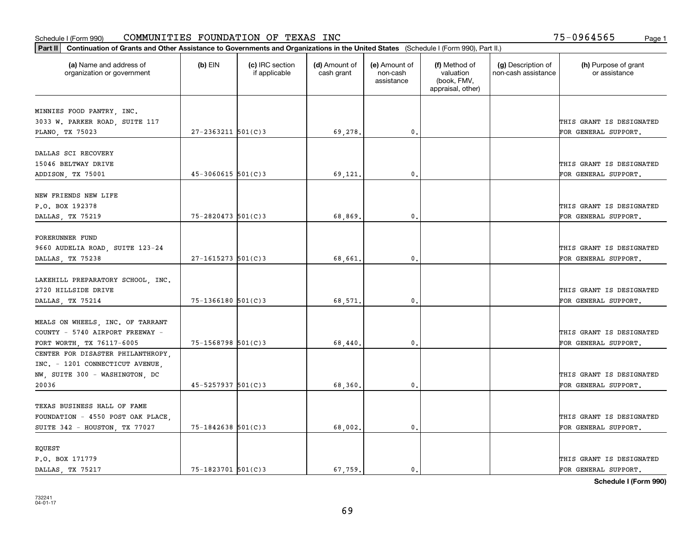|                                                             |                        |                                  |                             |                                         | Part II   Continuation of Grants and Other Assistance to Governments and Organizations in the United States (Schedule I (Form 990), Part II.) |                                           |                                                  |  |  |  |  |  |  |  |  |
|-------------------------------------------------------------|------------------------|----------------------------------|-----------------------------|-----------------------------------------|-----------------------------------------------------------------------------------------------------------------------------------------------|-------------------------------------------|--------------------------------------------------|--|--|--|--|--|--|--|--|
| (a) Name and address of<br>organization or government       | $(b)$ EIN              | (c) IRC section<br>if applicable | (d) Amount of<br>cash grant | (e) Amount of<br>non-cash<br>assistance | (f) Method of<br>valuation<br>(book, FMV,<br>appraisal, other)                                                                                | (g) Description of<br>non-cash assistance | (h) Purpose of grant<br>or assistance            |  |  |  |  |  |  |  |  |
|                                                             |                        |                                  |                             |                                         |                                                                                                                                               |                                           |                                                  |  |  |  |  |  |  |  |  |
| MINNIES FOOD PANTRY, INC.<br>3033 W. PARKER ROAD, SUITE 117 |                        |                                  |                             |                                         |                                                                                                                                               |                                           | THIS GRANT IS DESIGNATED                         |  |  |  |  |  |  |  |  |
| PLANO, TX 75023                                             | $27 - 2363211$ 501(C)3 |                                  | 69,278.                     | 0.                                      |                                                                                                                                               |                                           | FOR GENERAL SUPPORT.                             |  |  |  |  |  |  |  |  |
|                                                             |                        |                                  |                             |                                         |                                                                                                                                               |                                           |                                                  |  |  |  |  |  |  |  |  |
| DALLAS SCI RECOVERY                                         |                        |                                  |                             |                                         |                                                                                                                                               |                                           |                                                  |  |  |  |  |  |  |  |  |
| 15046 BELTWAY DRIVE                                         |                        |                                  |                             |                                         |                                                                                                                                               |                                           | THIS GRANT IS DESIGNATED                         |  |  |  |  |  |  |  |  |
| ADDISON, TX 75001                                           | $45 - 3060615$ 501(C)3 |                                  | 69,121                      | $\mathbf{0}$                            |                                                                                                                                               |                                           | FOR GENERAL SUPPORT.                             |  |  |  |  |  |  |  |  |
|                                                             |                        |                                  |                             |                                         |                                                                                                                                               |                                           |                                                  |  |  |  |  |  |  |  |  |
| NEW FRIENDS NEW LIFE                                        |                        |                                  |                             |                                         |                                                                                                                                               |                                           |                                                  |  |  |  |  |  |  |  |  |
| P.O. BOX 192378                                             |                        |                                  |                             |                                         |                                                                                                                                               |                                           | THIS GRANT IS DESIGNATED                         |  |  |  |  |  |  |  |  |
| DALLAS, TX 75219                                            | 75-2820473 501(C)3     |                                  | 68,869.                     | $\mathbf{0}$ .                          |                                                                                                                                               |                                           | FOR GENERAL SUPPORT.                             |  |  |  |  |  |  |  |  |
|                                                             |                        |                                  |                             |                                         |                                                                                                                                               |                                           |                                                  |  |  |  |  |  |  |  |  |
| FORERUNNER FUND                                             |                        |                                  |                             |                                         |                                                                                                                                               |                                           |                                                  |  |  |  |  |  |  |  |  |
| 9660 AUDELIA ROAD, SUITE 123-24                             |                        |                                  |                             |                                         |                                                                                                                                               |                                           | THIS GRANT IS DESIGNATED                         |  |  |  |  |  |  |  |  |
| DALLAS, TX 75238                                            | $27 - 1615273$ 501(C)3 |                                  | 68,661                      | $\mathbf{0}$                            |                                                                                                                                               |                                           | FOR GENERAL SUPPORT.                             |  |  |  |  |  |  |  |  |
|                                                             |                        |                                  |                             |                                         |                                                                                                                                               |                                           |                                                  |  |  |  |  |  |  |  |  |
| LAKEHILL PREPARATORY SCHOOL, INC.                           |                        |                                  |                             |                                         |                                                                                                                                               |                                           |                                                  |  |  |  |  |  |  |  |  |
| 2720 HILLSIDE DRIVE                                         | 75-1366180 501(C)3     |                                  |                             | $\mathbf{0}$                            |                                                                                                                                               |                                           | THIS GRANT IS DESIGNATED<br>FOR GENERAL SUPPORT. |  |  |  |  |  |  |  |  |
| DALLAS, TX 75214                                            |                        |                                  | 68,571                      |                                         |                                                                                                                                               |                                           |                                                  |  |  |  |  |  |  |  |  |
| MEALS ON WHEELS, INC. OF TARRANT                            |                        |                                  |                             |                                         |                                                                                                                                               |                                           |                                                  |  |  |  |  |  |  |  |  |
| COUNTY - 5740 AIRPORT FREEWAY -                             |                        |                                  |                             |                                         |                                                                                                                                               |                                           | THIS GRANT IS DESIGNATED                         |  |  |  |  |  |  |  |  |
| FORT WORTH, TX 76117-6005                                   | $75 - 1568798$ 501(C)3 |                                  | 68,440.                     | $\mathbf{0}$                            |                                                                                                                                               |                                           | FOR GENERAL SUPPORT.                             |  |  |  |  |  |  |  |  |
| CENTER FOR DISASTER PHILANTHROPY,                           |                        |                                  |                             |                                         |                                                                                                                                               |                                           |                                                  |  |  |  |  |  |  |  |  |
| INC. - 1201 CONNECTICUT AVENUE,                             |                        |                                  |                             |                                         |                                                                                                                                               |                                           |                                                  |  |  |  |  |  |  |  |  |
| NW, SUITE 300 - WASHINGTON, DC                              |                        |                                  |                             |                                         |                                                                                                                                               |                                           | THIS GRANT IS DESIGNATED                         |  |  |  |  |  |  |  |  |
| 20036                                                       | $45 - 5257937$ 501(C)3 |                                  | 68,360                      | $^{\rm 0}$ .                            |                                                                                                                                               |                                           | FOR GENERAL SUPPORT.                             |  |  |  |  |  |  |  |  |
|                                                             |                        |                                  |                             |                                         |                                                                                                                                               |                                           |                                                  |  |  |  |  |  |  |  |  |
| TEXAS BUSINESS HALL OF FAME                                 |                        |                                  |                             |                                         |                                                                                                                                               |                                           |                                                  |  |  |  |  |  |  |  |  |
| FOUNDATION - 4550 POST OAK PLACE,                           |                        |                                  |                             |                                         |                                                                                                                                               |                                           | THIS GRANT IS DESIGNATED                         |  |  |  |  |  |  |  |  |
| SUITE 342 - HOUSTON, TX 77027                               | $75 - 1842638$ 501(C)3 |                                  | 68,002.                     | $\mathfrak{o}$ .                        |                                                                                                                                               |                                           | FOR GENERAL SUPPORT.                             |  |  |  |  |  |  |  |  |
|                                                             |                        |                                  |                             |                                         |                                                                                                                                               |                                           |                                                  |  |  |  |  |  |  |  |  |
| EQUEST                                                      |                        |                                  |                             |                                         |                                                                                                                                               |                                           |                                                  |  |  |  |  |  |  |  |  |
| P.O. BOX 171779                                             |                        |                                  |                             |                                         |                                                                                                                                               |                                           | THIS GRANT IS DESIGNATED                         |  |  |  |  |  |  |  |  |
| DALLAS, TX 75217                                            | $75 - 1823701$ 501(C)3 |                                  | 67,759.                     | $\mathbf{0}$ .                          |                                                                                                                                               |                                           | FOR GENERAL SUPPORT.                             |  |  |  |  |  |  |  |  |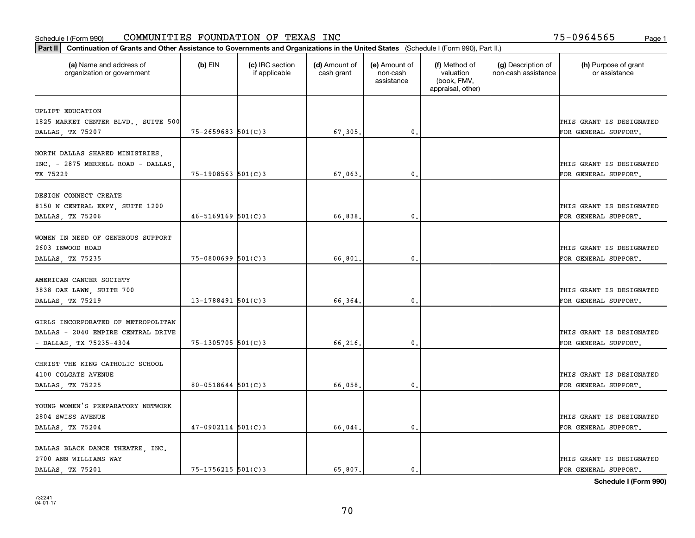| Part II   Continuation of Grants and Other Assistance to Governments and Organizations in the United States (Schedule I (Form 990), Part II.) |                          |                                  |                             |                                         |                                                                |                                           |                                       |
|-----------------------------------------------------------------------------------------------------------------------------------------------|--------------------------|----------------------------------|-----------------------------|-----------------------------------------|----------------------------------------------------------------|-------------------------------------------|---------------------------------------|
| (a) Name and address of<br>organization or government                                                                                         | $(b)$ EIN                | (c) IRC section<br>if applicable | (d) Amount of<br>cash grant | (e) Amount of<br>non-cash<br>assistance | (f) Method of<br>valuation<br>(book, FMV,<br>appraisal, other) | (g) Description of<br>non-cash assistance | (h) Purpose of grant<br>or assistance |
| UPLIFT EDUCATION                                                                                                                              |                          |                                  |                             |                                         |                                                                |                                           |                                       |
| 1825 MARKET CENTER BLVD., SUITE 500                                                                                                           |                          |                                  |                             |                                         |                                                                |                                           | THIS GRANT IS DESIGNATED              |
| DALLAS, TX 75207                                                                                                                              | $75 - 2659683$ 501(C)3   |                                  | 67,305.                     | $\mathbf{0}$ .                          |                                                                |                                           | FOR GENERAL SUPPORT.                  |
|                                                                                                                                               |                          |                                  |                             |                                         |                                                                |                                           |                                       |
| NORTH DALLAS SHARED MINISTRIES,                                                                                                               |                          |                                  |                             |                                         |                                                                |                                           |                                       |
| INC. - 2875 MERRELL ROAD - DALLAS,                                                                                                            |                          |                                  |                             |                                         |                                                                |                                           | THIS GRANT IS DESIGNATED              |
| TX 75229                                                                                                                                      | $75 - 1908563$ $501(C)3$ |                                  | 67,063                      | 0.                                      |                                                                |                                           | FOR GENERAL SUPPORT.                  |
|                                                                                                                                               |                          |                                  |                             |                                         |                                                                |                                           |                                       |
| DESIGN CONNECT CREATE                                                                                                                         |                          |                                  |                             |                                         |                                                                |                                           |                                       |
| 8150 N CENTRAL EXPY, SUITE 1200                                                                                                               | $46 - 5169169$ 501(C)3   |                                  |                             | $\mathbf{0}$ .                          |                                                                |                                           | THIS GRANT IS DESIGNATED              |
| DALLAS, TX 75206                                                                                                                              |                          |                                  | 66,838.                     |                                         |                                                                |                                           | FOR GENERAL SUPPORT.                  |
| WOMEN IN NEED OF GENEROUS SUPPORT                                                                                                             |                          |                                  |                             |                                         |                                                                |                                           |                                       |
| 2603 INWOOD ROAD                                                                                                                              |                          |                                  |                             |                                         |                                                                |                                           | THIS GRANT IS DESIGNATED              |
| DALLAS, TX 75235                                                                                                                              | $75 - 0800699$ 501(C)3   |                                  | 66,801                      | $\mathbf{0}$ .                          |                                                                |                                           | FOR GENERAL SUPPORT.                  |
|                                                                                                                                               |                          |                                  |                             |                                         |                                                                |                                           |                                       |
| AMERICAN CANCER SOCIETY                                                                                                                       |                          |                                  |                             |                                         |                                                                |                                           |                                       |
| 3838 OAK LAWN, SUITE 700                                                                                                                      |                          |                                  |                             |                                         |                                                                |                                           | THIS GRANT IS DESIGNATED              |
| DALLAS, TX 75219                                                                                                                              | $13 - 1788491$ 501(C)3   |                                  | 66,364                      | 0.                                      |                                                                |                                           | FOR GENERAL SUPPORT.                  |
|                                                                                                                                               |                          |                                  |                             |                                         |                                                                |                                           |                                       |
| GIRLS INCORPORATED OF METROPOLITAN                                                                                                            |                          |                                  |                             |                                         |                                                                |                                           |                                       |
| DALLAS - 2040 EMPIRE CENTRAL DRIVE                                                                                                            |                          |                                  |                             |                                         |                                                                |                                           | THIS GRANT IS DESIGNATED              |
| - DALLAS, TX 75235-4304                                                                                                                       | 75-1305705 501(C)3       |                                  | 66,216.                     | 0.                                      |                                                                |                                           | FOR GENERAL SUPPORT.                  |
| CHRIST THE KING CATHOLIC SCHOOL                                                                                                               |                          |                                  |                             |                                         |                                                                |                                           |                                       |
| 4100 COLGATE AVENUE                                                                                                                           |                          |                                  |                             |                                         |                                                                |                                           | THIS GRANT IS DESIGNATED              |
| DALLAS, TX 75225                                                                                                                              | $80 - 0518644$ 501(C)3   |                                  | 66,058                      | 0.                                      |                                                                |                                           | FOR GENERAL SUPPORT.                  |
|                                                                                                                                               |                          |                                  |                             |                                         |                                                                |                                           |                                       |
| YOUNG WOMEN'S PREPARATORY NETWORK                                                                                                             |                          |                                  |                             |                                         |                                                                |                                           |                                       |
| 2804 SWISS AVENUE                                                                                                                             |                          |                                  |                             |                                         |                                                                |                                           | THIS GRANT IS DESIGNATED              |
| DALLAS, TX 75204                                                                                                                              | $47-0902114$ 501(C)3     |                                  | 66,046.                     | $\mathbf{0}$ .                          |                                                                |                                           | FOR GENERAL SUPPORT.                  |
|                                                                                                                                               |                          |                                  |                             |                                         |                                                                |                                           |                                       |
| DALLAS BLACK DANCE THEATRE, INC.                                                                                                              |                          |                                  |                             |                                         |                                                                |                                           |                                       |
| 2700 ANN WILLIAMS WAY                                                                                                                         |                          |                                  |                             |                                         |                                                                |                                           | THIS GRANT IS DESIGNATED              |
| DALLAS TX 75201                                                                                                                               | 75-1756215 501(C)3       |                                  | 65,807.                     | $\mathbf{0}$ .                          |                                                                |                                           | FOR GENERAL SUPPORT.                  |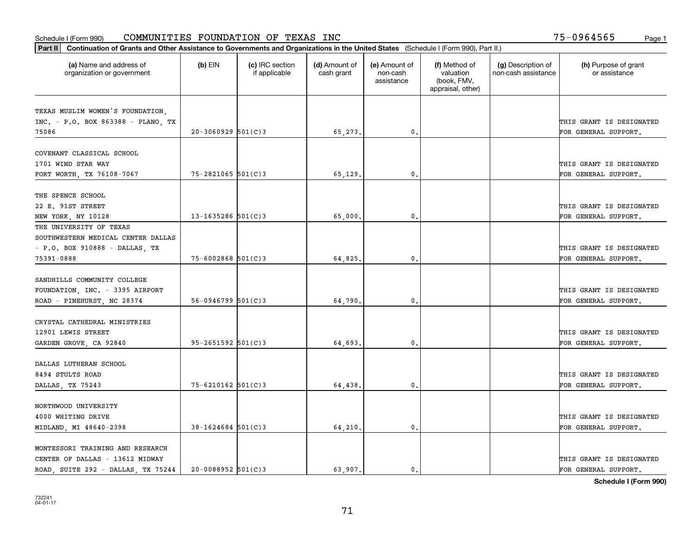| (a) Name and address of<br>organization or government<br>INC. - P.O. BOX 863388 - PLANO, TX | $(b)$ EIN<br>$20-3060929$ 501(C)3<br>$75 - 2821065$ 501(C)3 | (c) IRC section<br>if applicable | (d) Amount of<br>cash grant<br>65,273. | (e) Amount of<br>non-cash<br>assistance<br>0. | (f) Method of<br>valuation<br>(book, FMV,<br>appraisal, other) | (g) Description of<br>non-cash assistance | (h) Purpose of grant<br>or assistance<br>THIS GRANT IS DESIGNATED<br>FOR GENERAL SUPPORT. |
|---------------------------------------------------------------------------------------------|-------------------------------------------------------------|----------------------------------|----------------------------------------|-----------------------------------------------|----------------------------------------------------------------|-------------------------------------------|-------------------------------------------------------------------------------------------|
| TEXAS MUSLIM WOMEN'S FOUNDATION,                                                            |                                                             |                                  |                                        |                                               |                                                                |                                           |                                                                                           |
|                                                                                             |                                                             |                                  |                                        |                                               |                                                                |                                           |                                                                                           |
|                                                                                             |                                                             |                                  |                                        |                                               |                                                                |                                           |                                                                                           |
| 75086                                                                                       |                                                             |                                  |                                        |                                               |                                                                |                                           |                                                                                           |
|                                                                                             |                                                             |                                  |                                        |                                               |                                                                |                                           |                                                                                           |
| COVENANT CLASSICAL SCHOOL                                                                   |                                                             |                                  |                                        |                                               |                                                                |                                           |                                                                                           |
| 1701 WIND STAR WAY                                                                          |                                                             |                                  |                                        |                                               |                                                                |                                           | THIS GRANT IS DESIGNATED                                                                  |
| FORT WORTH, TX 76108-7067                                                                   |                                                             |                                  | 65,129                                 | 0.                                            |                                                                |                                           | FOR GENERAL SUPPORT.                                                                      |
|                                                                                             |                                                             |                                  |                                        |                                               |                                                                |                                           |                                                                                           |
| THE SPENCE SCHOOL                                                                           |                                                             |                                  |                                        |                                               |                                                                |                                           |                                                                                           |
| 22 E. 91ST STREET                                                                           |                                                             |                                  |                                        |                                               |                                                                |                                           | THIS GRANT IS DESIGNATED                                                                  |
| NEW YORK, NY 10128                                                                          | 13-1635286 $501(C)$ 3                                       |                                  | 65,000                                 | $\mathbf{0}$                                  |                                                                |                                           | FOR GENERAL SUPPORT.                                                                      |
| THE UNIVERSITY OF TEXAS                                                                     |                                                             |                                  |                                        |                                               |                                                                |                                           |                                                                                           |
| SOUTHWESTERN MEDICAL CENTER DALLAS                                                          |                                                             |                                  |                                        |                                               |                                                                |                                           |                                                                                           |
| - P.O. BOX 910888 - DALLAS, TX                                                              |                                                             |                                  |                                        |                                               |                                                                |                                           | THIS GRANT IS DESIGNATED                                                                  |
| 75391-0888                                                                                  | $75 - 6002868$ 501(C)3                                      |                                  | 64,825.                                | $\mathfrak{o}$ .                              |                                                                |                                           | FOR GENERAL SUPPORT.                                                                      |
|                                                                                             |                                                             |                                  |                                        |                                               |                                                                |                                           |                                                                                           |
| SANDHILLS COMMUNITY COLLEGE                                                                 |                                                             |                                  |                                        |                                               |                                                                |                                           |                                                                                           |
| FOUNDATION, INC. - 3395 AIRPORT                                                             |                                                             |                                  |                                        |                                               |                                                                |                                           | THIS GRANT IS DESIGNATED                                                                  |
| ROAD - PINEHURST, NC 28374                                                                  | $56 - 0946799$ $501(C)3$                                    |                                  | 64,790.                                | 0.                                            |                                                                |                                           | FOR GENERAL SUPPORT.                                                                      |
|                                                                                             |                                                             |                                  |                                        |                                               |                                                                |                                           |                                                                                           |
| CRYSTAL CATHEDRAL MINISTRIES                                                                |                                                             |                                  |                                        |                                               |                                                                |                                           |                                                                                           |
| 12901 LEWIS STREET                                                                          |                                                             |                                  |                                        |                                               |                                                                |                                           | THIS GRANT IS DESIGNATED                                                                  |
| GARDEN GROVE, CA 92840                                                                      | $95 - 2651592$ $501(C)3$                                    |                                  | 64,693,                                | $\mathfrak{o}$ .                              |                                                                |                                           | FOR GENERAL SUPPORT.                                                                      |
|                                                                                             |                                                             |                                  |                                        |                                               |                                                                |                                           |                                                                                           |
| DALLAS LUTHERAN SCHOOL                                                                      |                                                             |                                  |                                        |                                               |                                                                |                                           |                                                                                           |
| 8494 STULTS ROAD                                                                            |                                                             |                                  |                                        |                                               |                                                                |                                           | THIS GRANT IS DESIGNATED                                                                  |
| DALLAS, TX 75243                                                                            | 75-6210162 501(C)3                                          |                                  | 64,438.                                | 0.                                            |                                                                |                                           | FOR GENERAL SUPPORT.                                                                      |
|                                                                                             |                                                             |                                  |                                        |                                               |                                                                |                                           |                                                                                           |
| NORTHWOOD UNIVERSITY                                                                        |                                                             |                                  |                                        |                                               |                                                                |                                           |                                                                                           |
| 4000 WHITING DRIVE                                                                          | $38 - 1624684$ 501(C)3                                      |                                  | 64,210.                                | $\mathfrak{o}$ .                              |                                                                |                                           | THIS GRANT IS DESIGNATED<br>FOR GENERAL SUPPORT.                                          |
| MIDLAND, MI 48640-2398                                                                      |                                                             |                                  |                                        |                                               |                                                                |                                           |                                                                                           |
| MONTESSORI TRAINING AND RESEARCH                                                            |                                                             |                                  |                                        |                                               |                                                                |                                           |                                                                                           |
| CENTER OF DALLAS - 13612 MIDWAY                                                             |                                                             |                                  |                                        |                                               |                                                                |                                           | THIS GRANT IS DESIGNATED                                                                  |
| ROAD, SUITE 292 - DALLAS, TX 75244                                                          | $20 - 0088952$ 501(C)3                                      |                                  | 63,907.                                | $\mathfrak{o}$ .                              |                                                                |                                           | FOR GENERAL SUPPORT.                                                                      |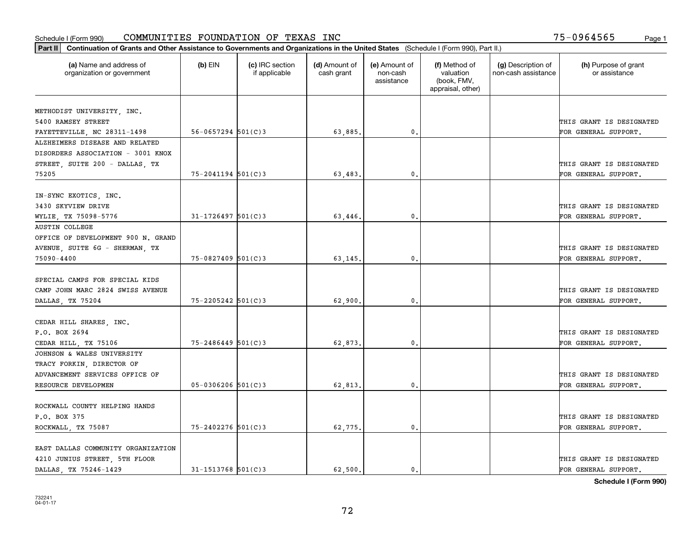| Part II   Continuation of Grants and Other Assistance to Governments and Organizations in the United States (Schedule I (Form 990), Part II.) |                        |                                  |                             |                                         |                                                                |                                           |                                       |
|-----------------------------------------------------------------------------------------------------------------------------------------------|------------------------|----------------------------------|-----------------------------|-----------------------------------------|----------------------------------------------------------------|-------------------------------------------|---------------------------------------|
| (a) Name and address of<br>organization or government                                                                                         | $(b)$ EIN              | (c) IRC section<br>if applicable | (d) Amount of<br>cash grant | (e) Amount of<br>non-cash<br>assistance | (f) Method of<br>valuation<br>(book, FMV,<br>appraisal, other) | (g) Description of<br>non-cash assistance | (h) Purpose of grant<br>or assistance |
|                                                                                                                                               |                        |                                  |                             |                                         |                                                                |                                           |                                       |
| METHODIST UNIVERSITY, INC.<br>5400 RAMSEY STREET                                                                                              |                        |                                  |                             |                                         |                                                                |                                           | THIS GRANT IS DESIGNATED              |
| FAYETTEVILLE, NC 28311-1498                                                                                                                   | $56 - 0657294$ 501(C)3 |                                  | 63,885.                     | 0.                                      |                                                                |                                           | FOR GENERAL SUPPORT.                  |
| ALZHEIMERS DISEASE AND RELATED                                                                                                                |                        |                                  |                             |                                         |                                                                |                                           |                                       |
| DISORDERS ASSOCIATION - 3001 KNOX                                                                                                             |                        |                                  |                             |                                         |                                                                |                                           |                                       |
| STREET, SUITE 200 - DALLAS, TX                                                                                                                |                        |                                  |                             |                                         |                                                                |                                           | THIS GRANT IS DESIGNATED              |
| 75205                                                                                                                                         | $75 - 2041194$ 501(C)3 |                                  | 63,483,                     | 0.                                      |                                                                |                                           | FOR GENERAL SUPPORT.                  |
|                                                                                                                                               |                        |                                  |                             |                                         |                                                                |                                           |                                       |
| IN-SYNC EXOTICS, INC.                                                                                                                         |                        |                                  |                             |                                         |                                                                |                                           |                                       |
| 3430 SKYVIEW DRIVE                                                                                                                            |                        |                                  |                             |                                         |                                                                |                                           | THIS GRANT IS DESIGNATED              |
| WYLIE, TX 75098-5776                                                                                                                          | $31 - 1726497$ 501(C)3 |                                  | 63,446.                     | $\mathbf{0}$ .                          |                                                                |                                           | FOR GENERAL SUPPORT.                  |
| <b>AUSTIN COLLEGE</b>                                                                                                                         |                        |                                  |                             |                                         |                                                                |                                           |                                       |
| OFFICE OF DEVELOPMENT 900 N. GRAND                                                                                                            |                        |                                  |                             |                                         |                                                                |                                           |                                       |
| AVENUE, SUITE 6G - SHERMAN, TX                                                                                                                |                        |                                  |                             |                                         |                                                                |                                           | THIS GRANT IS DESIGNATED              |
| 75090-4400                                                                                                                                    | $75 - 0827409$ 501(C)3 |                                  | 63,145.                     | 0.                                      |                                                                |                                           | FOR GENERAL SUPPORT.                  |
|                                                                                                                                               |                        |                                  |                             |                                         |                                                                |                                           |                                       |
| SPECIAL CAMPS FOR SPECIAL KIDS                                                                                                                |                        |                                  |                             |                                         |                                                                |                                           |                                       |
| CAMP JOHN MARC 2824 SWISS AVENUE                                                                                                              |                        |                                  |                             |                                         |                                                                |                                           | THIS GRANT IS DESIGNATED              |
| DALLAS, TX 75204                                                                                                                              | $75 - 2205242$ 501(C)3 |                                  | 62,900.                     | $\mathbf{0}$                            |                                                                |                                           | FOR GENERAL SUPPORT.                  |
|                                                                                                                                               |                        |                                  |                             |                                         |                                                                |                                           |                                       |
| CEDAR HILL SHARES, INC.                                                                                                                       |                        |                                  |                             |                                         |                                                                |                                           |                                       |
| P.O. BOX 2694                                                                                                                                 | $75 - 2486449$ 501(C)3 |                                  |                             | 0.                                      |                                                                |                                           | THIS GRANT IS DESIGNATED              |
| CEDAR HILL, TX 75106<br>JOHNSON & WALES UNIVERSITY                                                                                            |                        |                                  | 62,873.                     |                                         |                                                                |                                           | FOR GENERAL SUPPORT.                  |
|                                                                                                                                               |                        |                                  |                             |                                         |                                                                |                                           |                                       |
| TRACY FORKIN, DIRECTOR OF<br>ADVANCEMENT SERVICES OFFICE OF                                                                                   |                        |                                  |                             |                                         |                                                                |                                           | THIS GRANT IS DESIGNATED              |
| RESOURCE DEVELOPMEN                                                                                                                           | $05 - 0306206$ 501(C)3 |                                  | 62,813.                     | 0.                                      |                                                                |                                           | FOR GENERAL SUPPORT.                  |
|                                                                                                                                               |                        |                                  |                             |                                         |                                                                |                                           |                                       |
| ROCKWALL COUNTY HELPING HANDS                                                                                                                 |                        |                                  |                             |                                         |                                                                |                                           |                                       |
| P.O. BOX 375                                                                                                                                  |                        |                                  |                             |                                         |                                                                |                                           | THIS GRANT IS DESIGNATED              |
| ROCKWALL, TX 75087                                                                                                                            | 75-2402276 501(C)3     |                                  | 62,775.                     | $\mathbf{0}$ .                          |                                                                |                                           | FOR GENERAL SUPPORT.                  |
|                                                                                                                                               |                        |                                  |                             |                                         |                                                                |                                           |                                       |
| EAST DALLAS COMMUNITY ORGANIZATION                                                                                                            |                        |                                  |                             |                                         |                                                                |                                           |                                       |
| 4210 JUNIUS STREET, 5TH FLOOR                                                                                                                 |                        |                                  |                             |                                         |                                                                |                                           | THIS GRANT IS DESIGNATED              |
| DALLAS TX 75246-1429                                                                                                                          | $31 - 1513768$ 501(C)3 |                                  | 62.500.                     | $\mathbf{0}$ .                          |                                                                |                                           | FOR GENERAL SUPPORT.                  |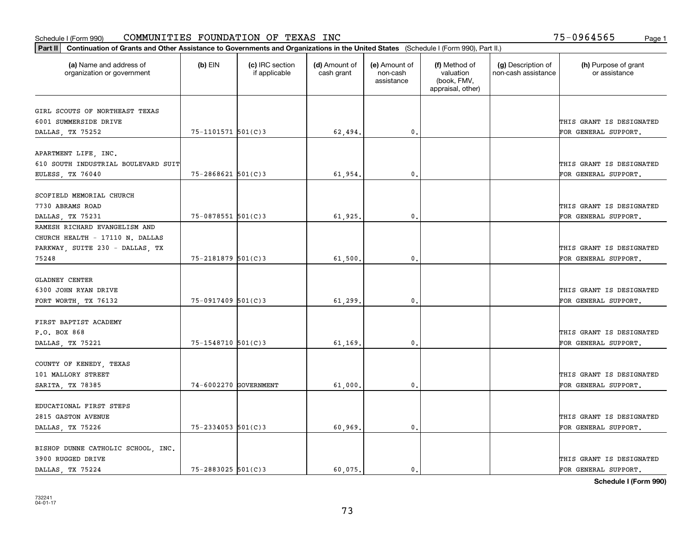| Part II   Continuation of Grants and Other Assistance to Governments and Organizations in the United States (Schedule I (Form 990), Part II.) |                        |                                  |                             |                                         |                                                                |                                           |                                       |
|-----------------------------------------------------------------------------------------------------------------------------------------------|------------------------|----------------------------------|-----------------------------|-----------------------------------------|----------------------------------------------------------------|-------------------------------------------|---------------------------------------|
| (a) Name and address of<br>organization or government                                                                                         | $(b)$ EIN              | (c) IRC section<br>if applicable | (d) Amount of<br>cash grant | (e) Amount of<br>non-cash<br>assistance | (f) Method of<br>valuation<br>(book, FMV,<br>appraisal, other) | (g) Description of<br>non-cash assistance | (h) Purpose of grant<br>or assistance |
| GIRL SCOUTS OF NORTHEAST TEXAS                                                                                                                |                        |                                  |                             |                                         |                                                                |                                           |                                       |
| 6001 SUMMERSIDE DRIVE                                                                                                                         |                        |                                  |                             |                                         |                                                                |                                           | THIS GRANT IS DESIGNATED              |
| DALLAS, TX 75252                                                                                                                              | 75-1101571 501(C)3     |                                  | 62,494.                     | 0.                                      |                                                                |                                           | FOR GENERAL SUPPORT.                  |
|                                                                                                                                               |                        |                                  |                             |                                         |                                                                |                                           |                                       |
| APARTMENT LIFE, INC.                                                                                                                          |                        |                                  |                             |                                         |                                                                |                                           |                                       |
| 610 SOUTH INDUSTRIAL BOULEVARD SUIT                                                                                                           |                        |                                  |                             |                                         |                                                                |                                           | THIS GRANT IS DESIGNATED              |
| EULESS, TX 76040                                                                                                                              | $75 - 2868621$ 501(C)3 |                                  | 61,954.                     | 0.                                      |                                                                |                                           | FOR GENERAL SUPPORT.                  |
|                                                                                                                                               |                        |                                  |                             |                                         |                                                                |                                           |                                       |
| SCOFIELD MEMORIAL CHURCH                                                                                                                      |                        |                                  |                             |                                         |                                                                |                                           |                                       |
| 7730 ABRAMS ROAD                                                                                                                              |                        |                                  |                             |                                         |                                                                |                                           | THIS GRANT IS DESIGNATED              |
| DALLAS, TX 75231                                                                                                                              | $75 - 0878551$ 501(C)3 |                                  | 61,925.                     | $\mathbf{0}$ .                          |                                                                |                                           | FOR GENERAL SUPPORT.                  |
| RAMESH RICHARD EVANGELISM AND                                                                                                                 |                        |                                  |                             |                                         |                                                                |                                           |                                       |
| CHURCH HEALTH - 17110 N. DALLAS                                                                                                               |                        |                                  |                             |                                         |                                                                |                                           |                                       |
| PARKWAY, SUITE 230 - DALLAS, TX<br>75248                                                                                                      | 75-2181879 501(C)3     |                                  |                             | $\mathbf{0}$                            |                                                                |                                           | THIS GRANT IS DESIGNATED              |
|                                                                                                                                               |                        |                                  | 61,500                      |                                         |                                                                |                                           | FOR GENERAL SUPPORT.                  |
| <b>GLADNEY CENTER</b>                                                                                                                         |                        |                                  |                             |                                         |                                                                |                                           |                                       |
| 6300 JOHN RYAN DRIVE                                                                                                                          |                        |                                  |                             |                                         |                                                                |                                           | THIS GRANT IS DESIGNATED              |
| FORT WORTH, TX 76132                                                                                                                          | 75-0917409 501(C)3     |                                  | 61,299.                     | $\mathbf{0}$                            |                                                                |                                           | FOR GENERAL SUPPORT.                  |
|                                                                                                                                               |                        |                                  |                             |                                         |                                                                |                                           |                                       |
| FIRST BAPTIST ACADEMY                                                                                                                         |                        |                                  |                             |                                         |                                                                |                                           |                                       |
| P.O. BOX 868                                                                                                                                  |                        |                                  |                             |                                         |                                                                |                                           | THIS GRANT IS DESIGNATED              |
| DALLAS, TX 75221                                                                                                                              | $75 - 1548710$ 501(C)3 |                                  | 61,169.                     | 0.                                      |                                                                |                                           | FOR GENERAL SUPPORT.                  |
|                                                                                                                                               |                        |                                  |                             |                                         |                                                                |                                           |                                       |
| COUNTY OF KENEDY, TEXAS                                                                                                                       |                        |                                  |                             |                                         |                                                                |                                           |                                       |
| 101 MALLORY STREET                                                                                                                            |                        |                                  |                             |                                         |                                                                |                                           | THIS GRANT IS DESIGNATED              |
| SARITA, TX 78385                                                                                                                              | 74-6002270 GOVERNMENT  |                                  | 61,000                      | $^{\rm 0}$ .                            |                                                                |                                           | FOR GENERAL SUPPORT.                  |
|                                                                                                                                               |                        |                                  |                             |                                         |                                                                |                                           |                                       |
| EDUCATIONAL FIRST STEPS                                                                                                                       |                        |                                  |                             |                                         |                                                                |                                           | THIS GRANT IS DESIGNATED              |
| 2815 GASTON AVENUE                                                                                                                            | $75 - 2334053$ 501(C)3 |                                  | 60,969.                     | $\mathfrak{o}$ .                        |                                                                |                                           | FOR GENERAL SUPPORT.                  |
| DALLAS, TX 75226                                                                                                                              |                        |                                  |                             |                                         |                                                                |                                           |                                       |
| BISHOP DUNNE CATHOLIC SCHOOL, INC.                                                                                                            |                        |                                  |                             |                                         |                                                                |                                           |                                       |
| 3900 RUGGED DRIVE                                                                                                                             |                        |                                  |                             |                                         |                                                                |                                           | THIS GRANT IS DESIGNATED              |
| DALLAS, TX 75224                                                                                                                              | $75 - 2883025$ 501(C)3 |                                  | 60.075.                     | $\mathbf{0}$ .                          |                                                                |                                           | FOR GENERAL SUPPORT.                  |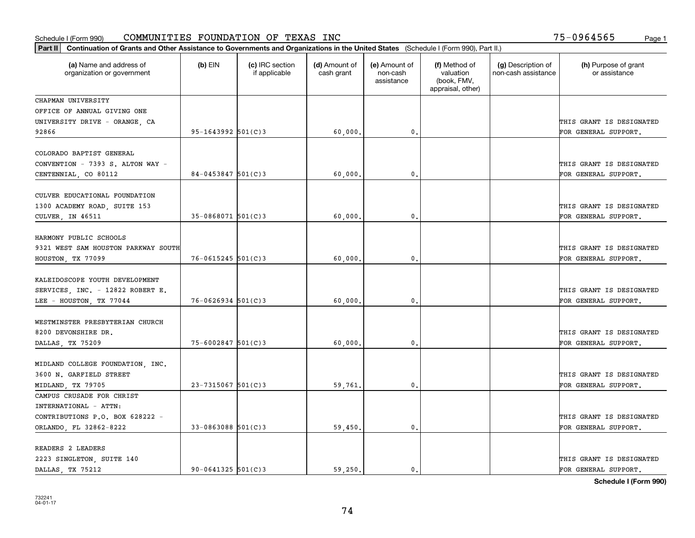| Part II   Continuation of Grants and Other Assistance to Governments and Organizations in the United States (Schedule I (Form 990), Part II.) |                         |                                  |                             |                                         |                                                                |                                           |                                                  |
|-----------------------------------------------------------------------------------------------------------------------------------------------|-------------------------|----------------------------------|-----------------------------|-----------------------------------------|----------------------------------------------------------------|-------------------------------------------|--------------------------------------------------|
| (a) Name and address of<br>organization or government                                                                                         | $(b)$ EIN               | (c) IRC section<br>if applicable | (d) Amount of<br>cash grant | (e) Amount of<br>non-cash<br>assistance | (f) Method of<br>valuation<br>(book, FMV,<br>appraisal, other) | (g) Description of<br>non-cash assistance | (h) Purpose of grant<br>or assistance            |
| CHAPMAN UNIVERSITY                                                                                                                            |                         |                                  |                             |                                         |                                                                |                                           |                                                  |
| OFFICE OF ANNUAL GIVING ONE                                                                                                                   |                         |                                  |                             |                                         |                                                                |                                           |                                                  |
| UNIVERSITY DRIVE - ORANGE, CA                                                                                                                 |                         |                                  |                             |                                         |                                                                |                                           | THIS GRANT IS DESIGNATED                         |
| 92866                                                                                                                                         | $95 - 1643992$ 501(C)3  |                                  | 60,000.                     | $\mathfrak o$ .                         |                                                                |                                           | FOR GENERAL SUPPORT.                             |
| COLORADO BAPTIST GENERAL<br>CONVENTION - 7393 S. ALTON WAY -<br>CENTENNIAL, CO 80112                                                          | $84 - 0453847$ 501(C)3  |                                  | 60,000                      | $\mathbf{0}$ .                          |                                                                |                                           | THIS GRANT IS DESIGNATED<br>FOR GENERAL SUPPORT. |
|                                                                                                                                               |                         |                                  |                             |                                         |                                                                |                                           |                                                  |
| CULVER EDUCATIONAL FOUNDATION<br>1300 ACADEMY ROAD, SUITE 153<br>CULVER, IN 46511                                                             | $35 - 0868071$ 501(C)3  |                                  | 60,000,                     | $\mathbf{0}$ .                          |                                                                |                                           | THIS GRANT IS DESIGNATED<br>FOR GENERAL SUPPORT. |
|                                                                                                                                               |                         |                                  |                             |                                         |                                                                |                                           |                                                  |
| HARMONY PUBLIC SCHOOLS                                                                                                                        |                         |                                  |                             |                                         |                                                                |                                           |                                                  |
| 9321 WEST SAM HOUSTON PARKWAY SOUTH                                                                                                           |                         |                                  |                             |                                         |                                                                |                                           | THIS GRANT IS DESIGNATED                         |
| HOUSTON, TX 77099                                                                                                                             | $76 - 0615245$ 501(C)3  |                                  | 60,000.                     | 0.                                      |                                                                |                                           | FOR GENERAL SUPPORT.                             |
| KALEIDOSCOPE YOUTH DEVELOPMENT<br>SERVICES, INC. - 12822 ROBERT E.                                                                            |                         |                                  |                             |                                         |                                                                |                                           | THIS GRANT IS DESIGNATED                         |
| LEE - HOUSTON, TX 77044                                                                                                                       | $76 - 0626934$ 501(C)3  |                                  | 60,000,                     | $\mathbf{0}$                            |                                                                |                                           | FOR GENERAL SUPPORT.                             |
| WESTMINSTER PRESBYTERIAN CHURCH                                                                                                               |                         |                                  |                             |                                         |                                                                |                                           |                                                  |
| 8200 DEVONSHIRE DR.                                                                                                                           |                         |                                  |                             |                                         |                                                                |                                           | THIS GRANT IS DESIGNATED                         |
| DALLAS, TX 75209                                                                                                                              | $75 - 6002847$ 501(C)3  |                                  | 60,000,                     | 0.                                      |                                                                |                                           | FOR GENERAL SUPPORT.                             |
| MIDLAND COLLEGE FOUNDATION, INC.                                                                                                              |                         |                                  |                             |                                         |                                                                |                                           |                                                  |
| 3600 N. GARFIELD STREET                                                                                                                       |                         |                                  |                             |                                         |                                                                |                                           | THIS GRANT IS DESIGNATED                         |
| MIDLAND, TX 79705                                                                                                                             | $23 - 7315067$ 501(C) 3 |                                  | 59,761.                     | $\mathbf{0}$ .                          |                                                                |                                           | FOR GENERAL SUPPORT.                             |
| CAMPUS CRUSADE FOR CHRIST                                                                                                                     |                         |                                  |                             |                                         |                                                                |                                           |                                                  |
| INTERNATIONAL - ATTN:                                                                                                                         |                         |                                  |                             |                                         |                                                                |                                           |                                                  |
| CONTRIBUTIONS P.O. BOX 628222 -                                                                                                               |                         |                                  |                             |                                         |                                                                |                                           | THIS GRANT IS DESIGNATED                         |
| ORLANDO, FL 32862-8222                                                                                                                        | $33 - 0863088$ 501(C) 3 |                                  | 59,450.                     | 0.                                      |                                                                |                                           | FOR GENERAL SUPPORT.                             |
|                                                                                                                                               |                         |                                  |                             |                                         |                                                                |                                           |                                                  |
| READERS 2 LEADERS                                                                                                                             |                         |                                  |                             |                                         |                                                                |                                           | THIS GRANT IS DESIGNATED                         |
| 2223 SINGLETON, SUITE 140<br>DALLAS, TX 75212                                                                                                 | $90 - 0641325$ 501(C)3  |                                  | 59.250.                     | 0.                                      |                                                                |                                           | FOR GENERAL SUPPORT.                             |
|                                                                                                                                               |                         |                                  |                             |                                         |                                                                |                                           |                                                  |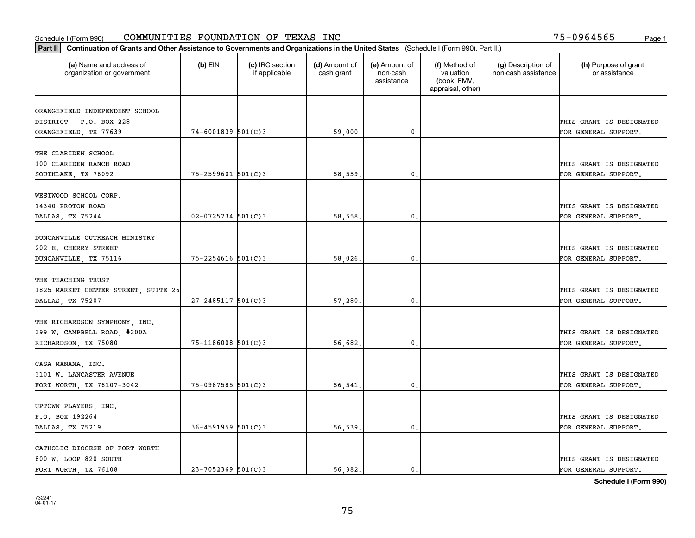| Part II   Continuation of Grants and Other Assistance to Governments and Organizations in the United States (Schedule I (Form 990), Part II.) |                        |                                  |                             |                                         |                                                                |                                           |                                       |
|-----------------------------------------------------------------------------------------------------------------------------------------------|------------------------|----------------------------------|-----------------------------|-----------------------------------------|----------------------------------------------------------------|-------------------------------------------|---------------------------------------|
| (a) Name and address of<br>organization or government                                                                                         | $(b)$ EIN              | (c) IRC section<br>if applicable | (d) Amount of<br>cash grant | (e) Amount of<br>non-cash<br>assistance | (f) Method of<br>valuation<br>(book, FMV,<br>appraisal, other) | (g) Description of<br>non-cash assistance | (h) Purpose of grant<br>or assistance |
| ORANGEFIELD INDEPENDENT SCHOOL                                                                                                                |                        |                                  |                             |                                         |                                                                |                                           |                                       |
| DISTRICT - P.O. BOX 228 -                                                                                                                     |                        |                                  |                             |                                         |                                                                |                                           | THIS GRANT IS DESIGNATED              |
| ORANGEFIELD, TX 77639                                                                                                                         | $74 - 6001839$ 501(C)3 |                                  | 59,000.                     | 0.                                      |                                                                |                                           | FOR GENERAL SUPPORT.                  |
|                                                                                                                                               |                        |                                  |                             |                                         |                                                                |                                           |                                       |
| THE CLARIDEN SCHOOL                                                                                                                           |                        |                                  |                             |                                         |                                                                |                                           |                                       |
| 100 CLARIDEN RANCH ROAD                                                                                                                       |                        |                                  |                             |                                         |                                                                |                                           | THIS GRANT IS DESIGNATED              |
| SOUTHLAKE, TX 76092                                                                                                                           | $75 - 2599601$ 501(C)3 |                                  | 58,559                      | 0.                                      |                                                                |                                           | FOR GENERAL SUPPORT.                  |
|                                                                                                                                               |                        |                                  |                             |                                         |                                                                |                                           |                                       |
| WESTWOOD SCHOOL CORP.                                                                                                                         |                        |                                  |                             |                                         |                                                                |                                           |                                       |
| 14340 PROTON ROAD                                                                                                                             |                        |                                  |                             |                                         |                                                                |                                           | THIS GRANT IS DESIGNATED              |
| DALLAS, TX 75244                                                                                                                              | $02 - 0725734$ 501(C)3 |                                  | 58,558.                     | $\mathbf{0}$                            |                                                                |                                           | FOR GENERAL SUPPORT.                  |
|                                                                                                                                               |                        |                                  |                             |                                         |                                                                |                                           |                                       |
| DUNCANVILLE OUTREACH MINISTRY                                                                                                                 |                        |                                  |                             |                                         |                                                                |                                           |                                       |
| 202 E. CHERRY STREET                                                                                                                          |                        |                                  |                             |                                         |                                                                |                                           | THIS GRANT IS DESIGNATED              |
| DUNCANVILLE, TX 75116                                                                                                                         | $75 - 2254616$ 501(C)3 |                                  | 58,026.                     | 0.                                      |                                                                |                                           | FOR GENERAL SUPPORT.                  |
|                                                                                                                                               |                        |                                  |                             |                                         |                                                                |                                           |                                       |
| THE TEACHING TRUST                                                                                                                            |                        |                                  |                             |                                         |                                                                |                                           |                                       |
| 1825 MARKET CENTER STREET, SUITE 26                                                                                                           |                        |                                  |                             |                                         |                                                                |                                           | THIS GRANT IS DESIGNATED              |
| DALLAS, TX 75207                                                                                                                              | $27 - 2485117$ 501(C)3 |                                  | 57,280.                     | $\mathbf{0}$ .                          |                                                                |                                           | FOR GENERAL SUPPORT.                  |
|                                                                                                                                               |                        |                                  |                             |                                         |                                                                |                                           |                                       |
| THE RICHARDSON SYMPHONY, INC.                                                                                                                 |                        |                                  |                             |                                         |                                                                |                                           |                                       |
| 399 W. CAMPBELL ROAD, #200A                                                                                                                   |                        |                                  |                             |                                         |                                                                |                                           | THIS GRANT IS DESIGNATED              |
| RICHARDSON, TX 75080                                                                                                                          | $75 - 1186008$ 501(C)3 |                                  | 56,682.                     | 0.                                      |                                                                |                                           | FOR GENERAL SUPPORT.                  |
|                                                                                                                                               |                        |                                  |                             |                                         |                                                                |                                           |                                       |
| CASA MANANA, INC.                                                                                                                             |                        |                                  |                             |                                         |                                                                |                                           |                                       |
| 3101 W. LANCASTER AVENUE                                                                                                                      |                        |                                  |                             |                                         |                                                                |                                           | THIS GRANT IS DESIGNATED              |
| FORT WORTH, TX 76107-3042                                                                                                                     | 75-0987585 501(C)3     |                                  | 56,541                      | 0.                                      |                                                                |                                           | FOR GENERAL SUPPORT.                  |
|                                                                                                                                               |                        |                                  |                             |                                         |                                                                |                                           |                                       |
| UPTOWN PLAYERS, INC.                                                                                                                          |                        |                                  |                             |                                         |                                                                |                                           |                                       |
| P.O. BOX 192264                                                                                                                               |                        |                                  |                             |                                         |                                                                |                                           | THIS GRANT IS DESIGNATED              |
| DALLAS, TX 75219                                                                                                                              | $36 - 4591959$ 501(C)3 |                                  | 56,539.                     | $\mathfrak{o}$ .                        |                                                                |                                           | FOR GENERAL SUPPORT.                  |
|                                                                                                                                               |                        |                                  |                             |                                         |                                                                |                                           |                                       |
| CATHOLIC DIOCESE OF FORT WORTH                                                                                                                |                        |                                  |                             |                                         |                                                                |                                           |                                       |
| 800 W. LOOP 820 SOUTH                                                                                                                         |                        |                                  |                             |                                         |                                                                |                                           | THIS GRANT IS DESIGNATED              |
| FORT WORTH, TX 76108                                                                                                                          | $23 - 7052369$ 501(C)3 |                                  | 56.382.                     | $\mathbf{0}$ .                          |                                                                |                                           | FOR GENERAL SUPPORT.                  |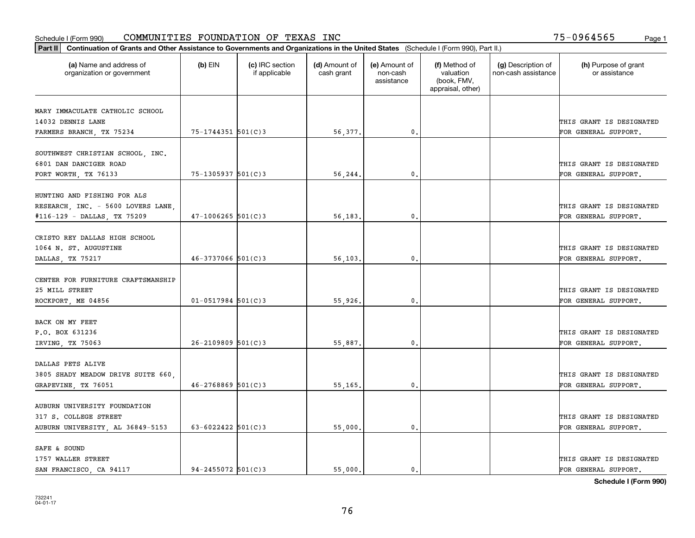| Part II   Continuation of Grants and Other Assistance to Governments and Organizations in the United States (Schedule I (Form 990), Part II.) |                          |                                  |                             |                                         |                                                                |                                           |                                       |
|-----------------------------------------------------------------------------------------------------------------------------------------------|--------------------------|----------------------------------|-----------------------------|-----------------------------------------|----------------------------------------------------------------|-------------------------------------------|---------------------------------------|
| (a) Name and address of<br>organization or government                                                                                         | $(b)$ EIN                | (c) IRC section<br>if applicable | (d) Amount of<br>cash grant | (e) Amount of<br>non-cash<br>assistance | (f) Method of<br>valuation<br>(book, FMV,<br>appraisal, other) | (g) Description of<br>non-cash assistance | (h) Purpose of grant<br>or assistance |
| MARY IMMACULATE CATHOLIC SCHOOL                                                                                                               |                          |                                  |                             |                                         |                                                                |                                           |                                       |
| 14032 DENNIS LANE                                                                                                                             |                          |                                  |                             |                                         |                                                                |                                           | THIS GRANT IS DESIGNATED              |
| FARMERS BRANCH, TX 75234                                                                                                                      | 75-1744351 501(C)3       |                                  | 56,377.                     | 0.                                      |                                                                |                                           | FOR GENERAL SUPPORT.                  |
|                                                                                                                                               |                          |                                  |                             |                                         |                                                                |                                           |                                       |
| SOUTHWEST CHRISTIAN SCHOOL, INC.                                                                                                              |                          |                                  |                             |                                         |                                                                |                                           |                                       |
| 6801 DAN DANCIGER ROAD                                                                                                                        |                          |                                  |                             |                                         |                                                                |                                           | THIS GRANT IS DESIGNATED              |
| FORT WORTH, TX 76133                                                                                                                          | 75-1305937 501(C)3       |                                  | 56,244.                     | 0.                                      |                                                                |                                           | FOR GENERAL SUPPORT.                  |
| HUNTING AND FISHING FOR ALS                                                                                                                   |                          |                                  |                             |                                         |                                                                |                                           |                                       |
| RESEARCH, INC. - 5600 LOVERS LANE,                                                                                                            |                          |                                  |                             |                                         |                                                                |                                           | THIS GRANT IS DESIGNATED              |
| #116-129 - DALLAS, TX 75209                                                                                                                   | $47 - 1006265$ 501(C)3   |                                  | 56,183.                     | $\mathbf{0}$ .                          |                                                                |                                           | FOR GENERAL SUPPORT.                  |
|                                                                                                                                               |                          |                                  |                             |                                         |                                                                |                                           |                                       |
| CRISTO REY DALLAS HIGH SCHOOL                                                                                                                 |                          |                                  |                             |                                         |                                                                |                                           |                                       |
| 1064 N. ST. AUGUSTINE                                                                                                                         |                          |                                  |                             |                                         |                                                                |                                           | THIS GRANT IS DESIGNATED              |
| DALLAS, TX 75217                                                                                                                              | $46 - 3737066$ 501(C)3   |                                  | 56,103.                     | $\mathbf{0}$                            |                                                                |                                           | FOR GENERAL SUPPORT.                  |
| CENTER FOR FURNITURE CRAFTSMANSHIP                                                                                                            |                          |                                  |                             |                                         |                                                                |                                           |                                       |
| 25 MILL STREET                                                                                                                                |                          |                                  |                             |                                         |                                                                |                                           | THIS GRANT IS DESIGNATED              |
| ROCKPORT, ME 04856                                                                                                                            | $01 - 0517984$ 501(C)3   |                                  | 55,926.                     | $\mathbf{0}$                            |                                                                |                                           | FOR GENERAL SUPPORT.                  |
|                                                                                                                                               |                          |                                  |                             |                                         |                                                                |                                           |                                       |
| BACK ON MY FEET                                                                                                                               |                          |                                  |                             |                                         |                                                                |                                           |                                       |
| P.O. BOX 631236                                                                                                                               |                          |                                  |                             |                                         |                                                                |                                           | THIS GRANT IS DESIGNATED              |
| IRVING, TX 75063                                                                                                                              | $26 - 2109809$ 501(C)3   |                                  | 55,887.                     | $\mathbf{0}$                            |                                                                |                                           | FOR GENERAL SUPPORT.                  |
|                                                                                                                                               |                          |                                  |                             |                                         |                                                                |                                           |                                       |
| DALLAS PETS ALIVE                                                                                                                             |                          |                                  |                             |                                         |                                                                |                                           |                                       |
| 3805 SHADY MEADOW DRIVE SUITE 660,                                                                                                            |                          |                                  |                             |                                         |                                                                |                                           | THIS GRANT IS DESIGNATED              |
| GRAPEVINE, TX 76051                                                                                                                           | $46 - 2768869$ 501(C)3   |                                  | 55,165.                     | $^{\rm 0}$ .                            |                                                                |                                           | FOR GENERAL SUPPORT.                  |
| AUBURN UNIVERSITY FOUNDATION                                                                                                                  |                          |                                  |                             |                                         |                                                                |                                           |                                       |
| 317 S. COLLEGE STREET                                                                                                                         |                          |                                  |                             |                                         |                                                                |                                           | THIS GRANT IS DESIGNATED              |
| AUBURN UNIVERSITY, AL 36849-5153                                                                                                              | $63 - 6022422$ $501(C)3$ |                                  | 55,000.                     | $\mathfrak{o}$ .                        |                                                                |                                           | FOR GENERAL SUPPORT.                  |
|                                                                                                                                               |                          |                                  |                             |                                         |                                                                |                                           |                                       |
| SAFE & SOUND                                                                                                                                  |                          |                                  |                             |                                         |                                                                |                                           |                                       |
| 1757 WALLER STREET                                                                                                                            |                          |                                  |                             |                                         |                                                                |                                           | THIS GRANT IS DESIGNATED              |
| SAN FRANCISCO, CA 94117                                                                                                                       | $94 - 2455072$ 501(C)3   |                                  | 55.000.                     | $\mathfrak{o}$ .                        |                                                                |                                           | FOR GENERAL SUPPORT.                  |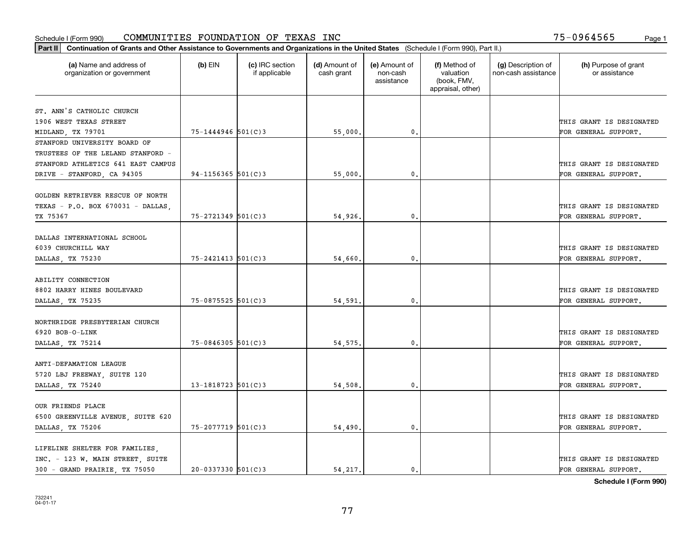|                                                       |                        |                                  |                             |                                         |                                                                | Part II   Continuation of Grants and Other Assistance to Governments and Organizations in the United States (Schedule I (Form 990), Part II.) |                                       |  |  |  |  |  |  |  |  |  |
|-------------------------------------------------------|------------------------|----------------------------------|-----------------------------|-----------------------------------------|----------------------------------------------------------------|-----------------------------------------------------------------------------------------------------------------------------------------------|---------------------------------------|--|--|--|--|--|--|--|--|--|
| (a) Name and address of<br>organization or government | $(b)$ EIN              | (c) IRC section<br>if applicable | (d) Amount of<br>cash grant | (e) Amount of<br>non-cash<br>assistance | (f) Method of<br>valuation<br>(book, FMV,<br>appraisal, other) | (g) Description of<br>non-cash assistance                                                                                                     | (h) Purpose of grant<br>or assistance |  |  |  |  |  |  |  |  |  |
| ST. ANN'S CATHOLIC CHURCH                             |                        |                                  |                             |                                         |                                                                |                                                                                                                                               |                                       |  |  |  |  |  |  |  |  |  |
| 1906 WEST TEXAS STREET                                |                        |                                  |                             |                                         |                                                                |                                                                                                                                               | THIS GRANT IS DESIGNATED              |  |  |  |  |  |  |  |  |  |
| MIDLAND, TX 79701                                     | 75-1444946 501(C)3     |                                  | 55,000.                     | $\mathbf{0}$ .                          |                                                                |                                                                                                                                               | FOR GENERAL SUPPORT.                  |  |  |  |  |  |  |  |  |  |
| STANFORD UNIVERSITY BOARD OF                          |                        |                                  |                             |                                         |                                                                |                                                                                                                                               |                                       |  |  |  |  |  |  |  |  |  |
| TRUSTEES OF THE LELAND STANFORD -                     |                        |                                  |                             |                                         |                                                                |                                                                                                                                               |                                       |  |  |  |  |  |  |  |  |  |
| STANFORD ATHLETICS 641 EAST CAMPUS                    |                        |                                  |                             |                                         |                                                                |                                                                                                                                               | THIS GRANT IS DESIGNATED              |  |  |  |  |  |  |  |  |  |
| DRIVE - STANFORD, CA 94305                            | $94 - 1156365$ 501(C)3 |                                  | 55,000,                     | 0.                                      |                                                                |                                                                                                                                               | FOR GENERAL SUPPORT.                  |  |  |  |  |  |  |  |  |  |
|                                                       |                        |                                  |                             |                                         |                                                                |                                                                                                                                               |                                       |  |  |  |  |  |  |  |  |  |
| GOLDEN RETRIEVER RESCUE OF NORTH                      |                        |                                  |                             |                                         |                                                                |                                                                                                                                               |                                       |  |  |  |  |  |  |  |  |  |
| TEXAS - P.O. BOX 670031 - DALLAS,                     |                        |                                  |                             |                                         |                                                                |                                                                                                                                               | THIS GRANT IS DESIGNATED              |  |  |  |  |  |  |  |  |  |
| TX 75367                                              | $75 - 2721349$ 501(C)3 |                                  | 54,926.                     | $\mathbf{0}$ .                          |                                                                |                                                                                                                                               | FOR GENERAL SUPPORT.                  |  |  |  |  |  |  |  |  |  |
|                                                       |                        |                                  |                             |                                         |                                                                |                                                                                                                                               |                                       |  |  |  |  |  |  |  |  |  |
| DALLAS INTERNATIONAL SCHOOL                           |                        |                                  |                             |                                         |                                                                |                                                                                                                                               |                                       |  |  |  |  |  |  |  |  |  |
| 6039 CHURCHILL WAY                                    |                        |                                  |                             |                                         |                                                                |                                                                                                                                               | THIS GRANT IS DESIGNATED              |  |  |  |  |  |  |  |  |  |
| DALLAS, TX 75230                                      | $75 - 2421413$ 501(C)3 |                                  | 54,660.                     | 0.                                      |                                                                |                                                                                                                                               | FOR GENERAL SUPPORT.                  |  |  |  |  |  |  |  |  |  |
|                                                       |                        |                                  |                             |                                         |                                                                |                                                                                                                                               |                                       |  |  |  |  |  |  |  |  |  |
| ABILITY CONNECTION                                    |                        |                                  |                             |                                         |                                                                |                                                                                                                                               |                                       |  |  |  |  |  |  |  |  |  |
| 8802 HARRY HINES BOULEVARD                            |                        |                                  |                             |                                         |                                                                |                                                                                                                                               | THIS GRANT IS DESIGNATED              |  |  |  |  |  |  |  |  |  |
| DALLAS, TX 75235                                      | 75-0875525 501(C)3     |                                  | 54,591.                     | 0.                                      |                                                                |                                                                                                                                               | FOR GENERAL SUPPORT.                  |  |  |  |  |  |  |  |  |  |
| NORTHRIDGE PRESBYTERIAN CHURCH                        |                        |                                  |                             |                                         |                                                                |                                                                                                                                               |                                       |  |  |  |  |  |  |  |  |  |
| 6920 BOB-O-LINK                                       |                        |                                  |                             |                                         |                                                                |                                                                                                                                               | THIS GRANT IS DESIGNATED              |  |  |  |  |  |  |  |  |  |
| DALLAS, TX 75214                                      | $75 - 0846305$ 501(C)3 |                                  | 54, 575.                    | 0.                                      |                                                                |                                                                                                                                               | FOR GENERAL SUPPORT.                  |  |  |  |  |  |  |  |  |  |
|                                                       |                        |                                  |                             |                                         |                                                                |                                                                                                                                               |                                       |  |  |  |  |  |  |  |  |  |
| ANTI-DEFAMATION LEAGUE                                |                        |                                  |                             |                                         |                                                                |                                                                                                                                               |                                       |  |  |  |  |  |  |  |  |  |
| 5720 LBJ FREEWAY, SUITE 120                           |                        |                                  |                             |                                         |                                                                |                                                                                                                                               | THIS GRANT IS DESIGNATED              |  |  |  |  |  |  |  |  |  |
| DALLAS, TX 75240                                      | $13 - 1818723$ 501(C)3 |                                  | 54,508.                     | 0.                                      |                                                                |                                                                                                                                               | FOR GENERAL SUPPORT.                  |  |  |  |  |  |  |  |  |  |
|                                                       |                        |                                  |                             |                                         |                                                                |                                                                                                                                               |                                       |  |  |  |  |  |  |  |  |  |
| OUR FRIENDS PLACE                                     |                        |                                  |                             |                                         |                                                                |                                                                                                                                               |                                       |  |  |  |  |  |  |  |  |  |
| 6500 GREENVILLE AVENUE, SUITE 620                     |                        |                                  |                             |                                         |                                                                |                                                                                                                                               | THIS GRANT IS DESIGNATED              |  |  |  |  |  |  |  |  |  |
| DALLAS, TX 75206                                      | 75-2077719 501(C)3     |                                  | 54,490.                     | $\mathbf{0}$ .                          |                                                                |                                                                                                                                               | FOR GENERAL SUPPORT.                  |  |  |  |  |  |  |  |  |  |
| LIFELINE SHELTER FOR FAMILIES,                        |                        |                                  |                             |                                         |                                                                |                                                                                                                                               |                                       |  |  |  |  |  |  |  |  |  |
| INC. - 123 W. MAIN STREET, SUITE                      |                        |                                  |                             |                                         |                                                                |                                                                                                                                               | THIS GRANT IS DESIGNATED              |  |  |  |  |  |  |  |  |  |
| 300 - GRAND PRAIRIE, TX 75050                         | $20 - 0337330$ 501(C)3 |                                  | 54,217.                     | $\mathbf{0}$ .                          |                                                                |                                                                                                                                               | FOR GENERAL SUPPORT.                  |  |  |  |  |  |  |  |  |  |
|                                                       |                        |                                  |                             |                                         |                                                                |                                                                                                                                               |                                       |  |  |  |  |  |  |  |  |  |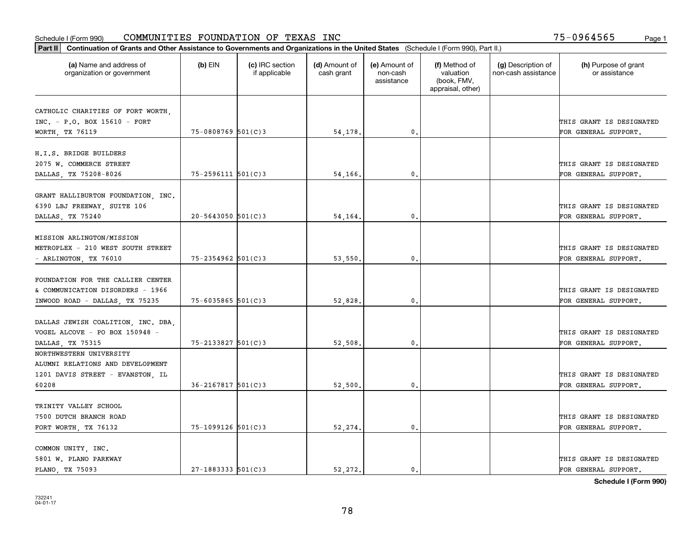|                                                       | Part II   Continuation of Grants and Other Assistance to Governments and Organizations in the United States (Schedule I (Form 990), Part II.) |                                  |                             |                                         |                                                                |                                           |                                       |  |  |  |  |
|-------------------------------------------------------|-----------------------------------------------------------------------------------------------------------------------------------------------|----------------------------------|-----------------------------|-----------------------------------------|----------------------------------------------------------------|-------------------------------------------|---------------------------------------|--|--|--|--|
| (a) Name and address of<br>organization or government | $(b)$ EIN                                                                                                                                     | (c) IRC section<br>if applicable | (d) Amount of<br>cash grant | (e) Amount of<br>non-cash<br>assistance | (f) Method of<br>valuation<br>(book, FMV,<br>appraisal, other) | (g) Description of<br>non-cash assistance | (h) Purpose of grant<br>or assistance |  |  |  |  |
|                                                       |                                                                                                                                               |                                  |                             |                                         |                                                                |                                           |                                       |  |  |  |  |
| CATHOLIC CHARITIES OF FORT WORTH,                     |                                                                                                                                               |                                  |                             |                                         |                                                                |                                           |                                       |  |  |  |  |
| INC. - P.O. BOX 15610 - FORT                          |                                                                                                                                               |                                  |                             |                                         |                                                                |                                           | THIS GRANT IS DESIGNATED              |  |  |  |  |
| WORTH, TX 76119                                       | 75-0808769 501(C)3                                                                                                                            |                                  | 54,178.                     | 0.                                      |                                                                |                                           | FOR GENERAL SUPPORT.                  |  |  |  |  |
| H.I.S. BRIDGE BUILDERS                                |                                                                                                                                               |                                  |                             |                                         |                                                                |                                           |                                       |  |  |  |  |
| 2075 W. COMMERCE STREET                               |                                                                                                                                               |                                  |                             |                                         |                                                                |                                           | THIS GRANT IS DESIGNATED              |  |  |  |  |
| DALLAS, TX 75208-8026                                 | $75 - 2596111$ $501(C)3$                                                                                                                      |                                  | 54,166.                     | 0.                                      |                                                                |                                           | FOR GENERAL SUPPORT.                  |  |  |  |  |
|                                                       |                                                                                                                                               |                                  |                             |                                         |                                                                |                                           |                                       |  |  |  |  |
| GRANT HALLIBURTON FOUNDATION, INC.                    |                                                                                                                                               |                                  |                             |                                         |                                                                |                                           |                                       |  |  |  |  |
| 6390 LBJ FREEWAY, SUITE 106                           |                                                                                                                                               |                                  |                             |                                         |                                                                |                                           | THIS GRANT IS DESIGNATED              |  |  |  |  |
| DALLAS, TX 75240                                      | $20 - 5643050$ 501(C)3                                                                                                                        |                                  | 54,164.                     | $\mathbf{0}$ .                          |                                                                |                                           | FOR GENERAL SUPPORT.                  |  |  |  |  |
|                                                       |                                                                                                                                               |                                  |                             |                                         |                                                                |                                           |                                       |  |  |  |  |
| MISSION ARLINGTON/MISSION                             |                                                                                                                                               |                                  |                             |                                         |                                                                |                                           |                                       |  |  |  |  |
| METROPLEX - 210 WEST SOUTH STREET                     |                                                                                                                                               |                                  |                             |                                         |                                                                |                                           | THIS GRANT IS DESIGNATED              |  |  |  |  |
| - ARLINGTON, TX 76010                                 | 75-2354962 501(C)3                                                                                                                            |                                  | 53,550.                     | 0.                                      |                                                                |                                           | FOR GENERAL SUPPORT.                  |  |  |  |  |
|                                                       |                                                                                                                                               |                                  |                             |                                         |                                                                |                                           |                                       |  |  |  |  |
| FOUNDATION FOR THE CALLIER CENTER                     |                                                                                                                                               |                                  |                             |                                         |                                                                |                                           |                                       |  |  |  |  |
| & COMMUNICATION DISORDERS - 1966                      |                                                                                                                                               |                                  |                             |                                         |                                                                |                                           | THIS GRANT IS DESIGNATED              |  |  |  |  |
| INWOOD ROAD - DALLAS, TX 75235                        | $75 - 6035865$ 501(C)3                                                                                                                        |                                  | 52,828                      | 0.                                      |                                                                |                                           | FOR GENERAL SUPPORT.                  |  |  |  |  |
|                                                       |                                                                                                                                               |                                  |                             |                                         |                                                                |                                           |                                       |  |  |  |  |
| DALLAS JEWISH COALITION, INC. DBA,                    |                                                                                                                                               |                                  |                             |                                         |                                                                |                                           |                                       |  |  |  |  |
| VOGEL ALCOVE - PO BOX 150948 -                        |                                                                                                                                               |                                  |                             |                                         |                                                                |                                           | THIS GRANT IS DESIGNATED              |  |  |  |  |
| DALLAS, TX 75315                                      | $75 - 2133827$ 501(C)3                                                                                                                        |                                  | 52,508.                     | 0.                                      |                                                                |                                           | FOR GENERAL SUPPORT.                  |  |  |  |  |
| NORTHWESTERN UNIVERSITY                               |                                                                                                                                               |                                  |                             |                                         |                                                                |                                           |                                       |  |  |  |  |
| ALUMNI RELATIONS AND DEVELOPMENT                      |                                                                                                                                               |                                  |                             |                                         |                                                                |                                           |                                       |  |  |  |  |
| 1201 DAVIS STREET - EVANSTON, IL                      |                                                                                                                                               |                                  |                             |                                         |                                                                |                                           | THIS GRANT IS DESIGNATED              |  |  |  |  |
| 60208                                                 | $36 - 2167817$ 501(C)3                                                                                                                        |                                  | 52,500.                     | $\mathbf{0}$ .                          |                                                                |                                           | FOR GENERAL SUPPORT.                  |  |  |  |  |
|                                                       |                                                                                                                                               |                                  |                             |                                         |                                                                |                                           |                                       |  |  |  |  |
| TRINITY VALLEY SCHOOL                                 |                                                                                                                                               |                                  |                             |                                         |                                                                |                                           |                                       |  |  |  |  |
| 7500 DUTCH BRANCH ROAD                                |                                                                                                                                               |                                  |                             |                                         |                                                                |                                           | THIS GRANT IS DESIGNATED              |  |  |  |  |
| FORT WORTH, TX 76132                                  | 75-1099126 501(C)3                                                                                                                            |                                  | 52,274.                     | 0.                                      |                                                                |                                           | FOR GENERAL SUPPORT.                  |  |  |  |  |
|                                                       |                                                                                                                                               |                                  |                             |                                         |                                                                |                                           |                                       |  |  |  |  |
| COMMON UNITY, INC.                                    |                                                                                                                                               |                                  |                             |                                         |                                                                |                                           |                                       |  |  |  |  |
| 5801 W. PLANO PARKWAY                                 |                                                                                                                                               |                                  |                             |                                         |                                                                |                                           | THIS GRANT IS DESIGNATED              |  |  |  |  |
| PLANO, TX 75093                                       | $27 - 1883333$ 501(C)3                                                                                                                        |                                  | 52.272.                     | $\mathbf{0}$ .                          |                                                                |                                           | FOR GENERAL SUPPORT.                  |  |  |  |  |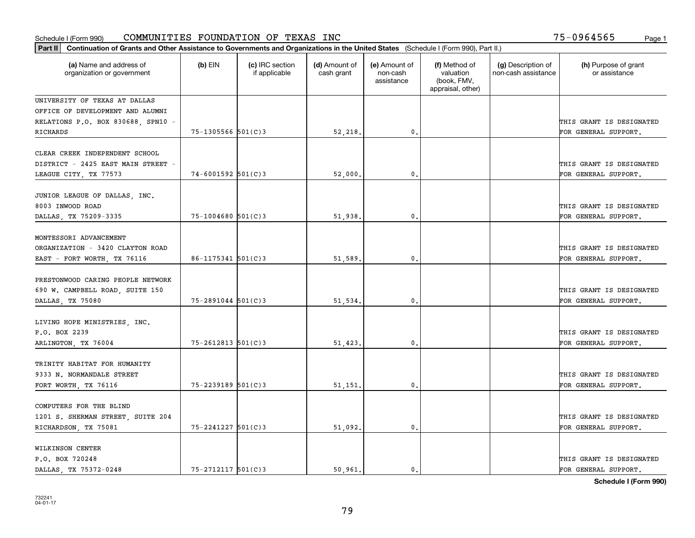| Part II   Continuation of Grants and Other Assistance to Governments and Organizations in the United States (Schedule I (Form 990), Part II.) |                          |                                  |                             |                                         |                                                                |                                           |                                                  |
|-----------------------------------------------------------------------------------------------------------------------------------------------|--------------------------|----------------------------------|-----------------------------|-----------------------------------------|----------------------------------------------------------------|-------------------------------------------|--------------------------------------------------|
| (a) Name and address of<br>organization or government                                                                                         | $(b)$ EIN                | (c) IRC section<br>if applicable | (d) Amount of<br>cash grant | (e) Amount of<br>non-cash<br>assistance | (f) Method of<br>valuation<br>(book, FMV,<br>appraisal, other) | (g) Description of<br>non-cash assistance | (h) Purpose of grant<br>or assistance            |
| UNIVERSITY OF TEXAS AT DALLAS                                                                                                                 |                          |                                  |                             |                                         |                                                                |                                           |                                                  |
| OFFICE OF DEVELOPMENT AND ALUMNI                                                                                                              |                          |                                  |                             |                                         |                                                                |                                           |                                                  |
| RELATIONS P.O. BOX 830688, SPN10 -                                                                                                            |                          |                                  |                             |                                         |                                                                |                                           | THIS GRANT IS DESIGNATED                         |
| <b>RICHARDS</b>                                                                                                                               | 75-1305566 501(C)3       |                                  | 52,218.                     | 0.                                      |                                                                |                                           | FOR GENERAL SUPPORT.                             |
| CLEAR CREEK INDEPENDENT SCHOOL<br>DISTRICT - 2425 EAST MAIN STREET -                                                                          |                          |                                  |                             |                                         |                                                                |                                           | THIS GRANT IS DESIGNATED                         |
| LEAGUE CITY, TX 77573                                                                                                                         | 74-6001592 501(C)3       |                                  | 52,000                      | $\mathbf{0}$                            |                                                                |                                           | FOR GENERAL SUPPORT.                             |
| JUNIOR LEAGUE OF DALLAS, INC.<br>8003 INWOOD ROAD<br>DALLAS, TX 75209-3335                                                                    | $75 - 1004680$ 501(C)3   |                                  | 51,938.                     | $\mathbf{0}$ .                          |                                                                |                                           | THIS GRANT IS DESIGNATED<br>FOR GENERAL SUPPORT. |
|                                                                                                                                               |                          |                                  |                             |                                         |                                                                |                                           |                                                  |
| MONTESSORI ADVANCEMENT                                                                                                                        |                          |                                  |                             |                                         |                                                                |                                           |                                                  |
| ORGANIZATION - 3420 CLAYTON ROAD                                                                                                              |                          |                                  |                             |                                         |                                                                |                                           | THIS GRANT IS DESIGNATED                         |
| EAST - FORT WORTH, TX 76116                                                                                                                   | $86 - 1175341$ 501(C)3   |                                  | 51,589                      | $\mathbf{0}$                            |                                                                |                                           | FOR GENERAL SUPPORT.                             |
| PRESTONWOOD CARING PEOPLE NETWORK<br>690 W. CAMPBELL ROAD, SUITE 150                                                                          |                          |                                  |                             |                                         |                                                                |                                           | THIS GRANT IS DESIGNATED                         |
| DALLAS, TX 75080                                                                                                                              | $75 - 2891044$ 501(C)3   |                                  | 51,534                      | 0.                                      |                                                                |                                           | FOR GENERAL SUPPORT.                             |
| LIVING HOPE MINISTRIES, INC.<br>P.O. BOX 2239                                                                                                 |                          |                                  |                             |                                         |                                                                |                                           | THIS GRANT IS DESIGNATED                         |
| ARLINGTON, TX 76004                                                                                                                           | $75 - 2612813$ $501(C)3$ |                                  | 51,423                      | $\mathbf{0}$                            |                                                                |                                           | FOR GENERAL SUPPORT.                             |
| TRINITY HABITAT FOR HUMANITY<br>9333 N. NORMANDALE STREET                                                                                     |                          |                                  |                             |                                         |                                                                |                                           | THIS GRANT IS DESIGNATED                         |
| FORT WORTH, TX 76116                                                                                                                          | 75-2239189 501(C)3       |                                  | 51,151                      | $\mathbf{0}$ .                          |                                                                |                                           | FOR GENERAL SUPPORT.                             |
| COMPUTERS FOR THE BLIND<br>1201 S. SHERMAN STREET, SUITE 204                                                                                  |                          |                                  |                             |                                         |                                                                |                                           | THIS GRANT IS DESIGNATED                         |
| RICHARDSON, TX 75081                                                                                                                          | $75 - 2241227$ 501(C)3   |                                  | 51,092.                     | $\mathbf{0}$                            |                                                                |                                           | FOR GENERAL SUPPORT.                             |
| WILKINSON CENTER<br>P.O. BOX 720248<br>DALLAS TX 75372-0248                                                                                   | $75 - 2712117$ 501(C)3   |                                  | 50.961.                     | 0.                                      |                                                                |                                           | THIS GRANT IS DESIGNATED<br>FOR GENERAL SUPPORT. |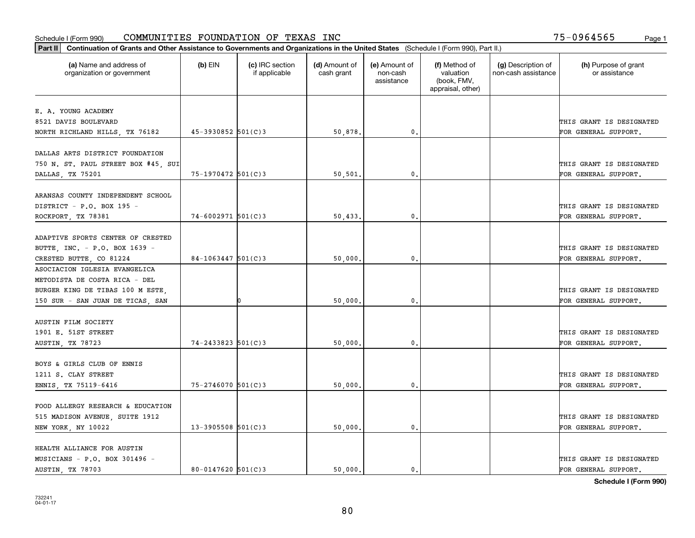| Part II   Continuation of Grants and Other Assistance to Governments and Organizations in the United States (Schedule I (Form 990), Part II.) |                          |                                  |                             |                                         |                                                                |                                           |                                       |
|-----------------------------------------------------------------------------------------------------------------------------------------------|--------------------------|----------------------------------|-----------------------------|-----------------------------------------|----------------------------------------------------------------|-------------------------------------------|---------------------------------------|
| (a) Name and address of<br>organization or government                                                                                         | $(b)$ EIN                | (c) IRC section<br>if applicable | (d) Amount of<br>cash grant | (e) Amount of<br>non-cash<br>assistance | (f) Method of<br>valuation<br>(book, FMV,<br>appraisal, other) | (g) Description of<br>non-cash assistance | (h) Purpose of grant<br>or assistance |
| E. A. YOUNG ACADEMY                                                                                                                           |                          |                                  |                             |                                         |                                                                |                                           |                                       |
| 8521 DAVIS BOULEVARD                                                                                                                          |                          |                                  |                             |                                         |                                                                |                                           | THIS GRANT IS DESIGNATED              |
| NORTH RICHLAND HILLS, TX 76182                                                                                                                | $45 - 3930852$ 501(C)3   |                                  | 50,878.                     | 0.                                      |                                                                |                                           | FOR GENERAL SUPPORT.                  |
|                                                                                                                                               |                          |                                  |                             |                                         |                                                                |                                           |                                       |
| DALLAS ARTS DISTRICT FOUNDATION                                                                                                               |                          |                                  |                             |                                         |                                                                |                                           |                                       |
| 750 N. ST. PAUL STREET BOX #45, SUI                                                                                                           |                          |                                  |                             |                                         |                                                                |                                           | THIS GRANT IS DESIGNATED              |
| DALLAS, TX 75201                                                                                                                              | $75 - 1970472$ 501(C)3   |                                  | 50,501                      | 0.                                      |                                                                |                                           | FOR GENERAL SUPPORT.                  |
|                                                                                                                                               |                          |                                  |                             |                                         |                                                                |                                           |                                       |
| ARANSAS COUNTY INDEPENDENT SCHOOL                                                                                                             |                          |                                  |                             |                                         |                                                                |                                           |                                       |
| DISTRICT - P.O. BOX 195 -                                                                                                                     |                          |                                  |                             |                                         |                                                                |                                           | THIS GRANT IS DESIGNATED              |
| ROCKPORT, TX 78381                                                                                                                            | $74 - 6002971$ 501(C)3   |                                  | 50,433.                     | $\mathbf 0$ .                           |                                                                |                                           | FOR GENERAL SUPPORT.                  |
|                                                                                                                                               |                          |                                  |                             |                                         |                                                                |                                           |                                       |
| ADAPTIVE SPORTS CENTER OF CRESTED                                                                                                             |                          |                                  |                             |                                         |                                                                |                                           |                                       |
| BUTTE, INC. - P.O. BOX 1639 -                                                                                                                 |                          |                                  |                             |                                         |                                                                |                                           | THIS GRANT IS DESIGNATED              |
| CRESTED BUTTE, CO 81224                                                                                                                       | $84-1063447$ 501(C)3     |                                  | 50,000                      | 0.                                      |                                                                |                                           | FOR GENERAL SUPPORT.                  |
| ASOCIACION IGLESIA EVANGELICA                                                                                                                 |                          |                                  |                             |                                         |                                                                |                                           |                                       |
| METODISTA DE COSTA RICA - DEL                                                                                                                 |                          |                                  |                             |                                         |                                                                |                                           |                                       |
| BURGER KING DE TIBAS 100 M ESTE,                                                                                                              |                          |                                  |                             |                                         |                                                                |                                           | THIS GRANT IS DESIGNATED              |
| 150 SUR - SAN JUAN DE TICAS, SAN                                                                                                              |                          |                                  | 50,000                      | 0                                       |                                                                |                                           | FOR GENERAL SUPPORT.                  |
|                                                                                                                                               |                          |                                  |                             |                                         |                                                                |                                           |                                       |
| <b>AUSTIN FILM SOCIETY</b>                                                                                                                    |                          |                                  |                             |                                         |                                                                |                                           |                                       |
| 1901 E. 51ST STREET                                                                                                                           |                          |                                  |                             |                                         |                                                                |                                           | THIS GRANT IS DESIGNATED              |
| AUSTIN, TX 78723                                                                                                                              | $74 - 2433823$ 501(C)3   |                                  | 50,000,                     | $\mathbf{0}$                            |                                                                |                                           | FOR GENERAL SUPPORT.                  |
|                                                                                                                                               |                          |                                  |                             |                                         |                                                                |                                           |                                       |
| BOYS & GIRLS CLUB OF ENNIS                                                                                                                    |                          |                                  |                             |                                         |                                                                |                                           |                                       |
| 1211 S. CLAY STREET                                                                                                                           |                          |                                  |                             |                                         |                                                                |                                           | THIS GRANT IS DESIGNATED              |
| ENNIS, TX 75119-6416                                                                                                                          | 75-2746070 501(C)3       |                                  | 50,000                      | $\mathbf{0}$ .                          |                                                                |                                           | FOR GENERAL SUPPORT.                  |
|                                                                                                                                               |                          |                                  |                             |                                         |                                                                |                                           |                                       |
| FOOD ALLERGY RESEARCH & EDUCATION                                                                                                             |                          |                                  |                             |                                         |                                                                |                                           |                                       |
| 515 MADISON AVENUE, SUITE 1912                                                                                                                |                          |                                  |                             |                                         |                                                                |                                           | THIS GRANT IS DESIGNATED              |
| NEW YORK, NY 10022                                                                                                                            | $13 - 3905508$ $501(C)3$ |                                  | 50,000.                     | $\mathfrak{o}$ .                        |                                                                |                                           | FOR GENERAL SUPPORT.                  |
|                                                                                                                                               |                          |                                  |                             |                                         |                                                                |                                           |                                       |
| HEALTH ALLIANCE FOR AUSTIN                                                                                                                    |                          |                                  |                             |                                         |                                                                |                                           |                                       |
| MUSICIANS - P.O. BOX 301496 -                                                                                                                 |                          |                                  |                             |                                         |                                                                |                                           | THIS GRANT IS DESIGNATED              |
| AUSTIN, TX 78703                                                                                                                              | $80 - 0147620$ 501(C)3   |                                  | 50.000.                     | $\mathfrak{o}$ .                        |                                                                |                                           | FOR GENERAL SUPPORT.                  |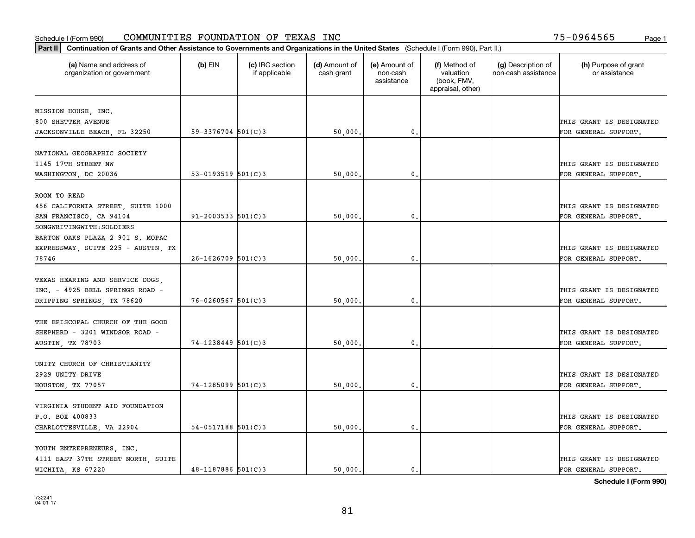| Part II   Continuation of Grants and Other Assistance to Governments and Organizations in the United States (Schedule I (Form 990), Part II.) |                          |                                  |                             |                                         |                                                                |                                           |                                       |
|-----------------------------------------------------------------------------------------------------------------------------------------------|--------------------------|----------------------------------|-----------------------------|-----------------------------------------|----------------------------------------------------------------|-------------------------------------------|---------------------------------------|
| (a) Name and address of<br>organization or government                                                                                         | $(b)$ EIN                | (c) IRC section<br>if applicable | (d) Amount of<br>cash grant | (e) Amount of<br>non-cash<br>assistance | (f) Method of<br>valuation<br>(book, FMV,<br>appraisal, other) | (g) Description of<br>non-cash assistance | (h) Purpose of grant<br>or assistance |
|                                                                                                                                               |                          |                                  |                             |                                         |                                                                |                                           |                                       |
| MISSION HOUSE, INC.<br>800 SHETTER AVENUE                                                                                                     |                          |                                  |                             |                                         |                                                                |                                           | THIS GRANT IS DESIGNATED              |
|                                                                                                                                               | $59 - 3376704$ 501(C)3   |                                  |                             | $\mathbf{0}$ .                          |                                                                |                                           |                                       |
| JACKSONVILLE BEACH, FL 32250                                                                                                                  |                          |                                  | 50,000                      |                                         |                                                                |                                           | FOR GENERAL SUPPORT.                  |
| NATIONAL GEOGRAPHIC SOCIETY                                                                                                                   |                          |                                  |                             |                                         |                                                                |                                           |                                       |
| 1145 17TH STREET NW                                                                                                                           |                          |                                  |                             |                                         |                                                                |                                           | THIS GRANT IS DESIGNATED              |
| WASHINGTON, DC 20036                                                                                                                          | 53-0193519 $501(C)$ 3    |                                  | 50,000                      | 0.                                      |                                                                |                                           | FOR GENERAL SUPPORT.                  |
|                                                                                                                                               |                          |                                  |                             |                                         |                                                                |                                           |                                       |
| ROOM TO READ                                                                                                                                  |                          |                                  |                             |                                         |                                                                |                                           |                                       |
| 456 CALIFORNIA STREET, SUITE 1000                                                                                                             |                          |                                  |                             |                                         |                                                                |                                           | THIS GRANT IS DESIGNATED              |
| SAN FRANCISCO, CA 94104                                                                                                                       | $91 - 2003533$ $501(C)3$ |                                  | 50,000                      | 0.                                      |                                                                |                                           | FOR GENERAL SUPPORT.                  |
| SONGWRITINGWITH: SOLDIERS                                                                                                                     |                          |                                  |                             |                                         |                                                                |                                           |                                       |
| BARTON OAKS PLAZA 2 901 S. MOPAC                                                                                                              |                          |                                  |                             |                                         |                                                                |                                           |                                       |
| EXPRESSWAY, SUITE 225 - AUSTIN, TX                                                                                                            |                          |                                  |                             |                                         |                                                                |                                           | THIS GRANT IS DESIGNATED              |
|                                                                                                                                               |                          |                                  |                             |                                         |                                                                |                                           |                                       |
| 78746                                                                                                                                         | $26 - 1626709$ 501(C)3   |                                  | 50,000                      | 0.                                      |                                                                |                                           | FOR GENERAL SUPPORT.                  |
| TEXAS HEARING AND SERVICE DOGS,                                                                                                               |                          |                                  |                             |                                         |                                                                |                                           |                                       |
| INC. - 4925 BELL SPRINGS ROAD -                                                                                                               |                          |                                  |                             |                                         |                                                                |                                           | THIS GRANT IS DESIGNATED              |
|                                                                                                                                               | $76 - 0260567$ 501(C)3   |                                  |                             |                                         |                                                                |                                           |                                       |
| DRIPPING SPRINGS, TX 78620                                                                                                                    |                          |                                  | 50,000                      | 0.                                      |                                                                |                                           | FOR GENERAL SUPPORT.                  |
| THE EPISCOPAL CHURCH OF THE GOOD                                                                                                              |                          |                                  |                             |                                         |                                                                |                                           |                                       |
| SHEPHERD - 3201 WINDSOR ROAD -                                                                                                                |                          |                                  |                             |                                         |                                                                |                                           | THIS GRANT IS DESIGNATED              |
| AUSTIN, TX 78703                                                                                                                              | $74 - 1238449$ 501(C)3   |                                  | 50,000                      | 0.                                      |                                                                |                                           | FOR GENERAL SUPPORT.                  |
|                                                                                                                                               |                          |                                  |                             |                                         |                                                                |                                           |                                       |
| UNITY CHURCH OF CHRISTIANITY                                                                                                                  |                          |                                  |                             |                                         |                                                                |                                           |                                       |
| 2929 UNITY DRIVE                                                                                                                              |                          |                                  |                             |                                         |                                                                |                                           | THIS GRANT IS DESIGNATED              |
| HOUSTON, TX 77057                                                                                                                             | $74 - 1285099$ 501(C)3   |                                  | 50,000                      | 0.                                      |                                                                |                                           | FOR GENERAL SUPPORT.                  |
|                                                                                                                                               |                          |                                  |                             |                                         |                                                                |                                           |                                       |
| VIRGINIA STUDENT AID FOUNDATION                                                                                                               |                          |                                  |                             |                                         |                                                                |                                           |                                       |
| P.O. BOX 400833                                                                                                                               |                          |                                  |                             |                                         |                                                                |                                           | THIS GRANT IS DESIGNATED              |
|                                                                                                                                               | $54-0517188$ 501(C)3     |                                  |                             | 0.                                      |                                                                |                                           | FOR GENERAL SUPPORT.                  |
| CHARLOTTESVILLE, VA 22904                                                                                                                     |                          |                                  | 50,000                      |                                         |                                                                |                                           |                                       |
| YOUTH ENTREPRENEURS, INC.                                                                                                                     |                          |                                  |                             |                                         |                                                                |                                           |                                       |
| 4111 EAST 37TH STREET NORTH, SUITE                                                                                                            |                          |                                  |                             |                                         |                                                                |                                           | THIS GRANT IS DESIGNATED              |
| WICHITA, KS 67220                                                                                                                             | $48 - 1187886$ 501(C)3   |                                  | 50,000.                     | 0.                                      |                                                                |                                           | FOR GENERAL SUPPORT.                  |
|                                                                                                                                               |                          |                                  |                             |                                         |                                                                |                                           |                                       |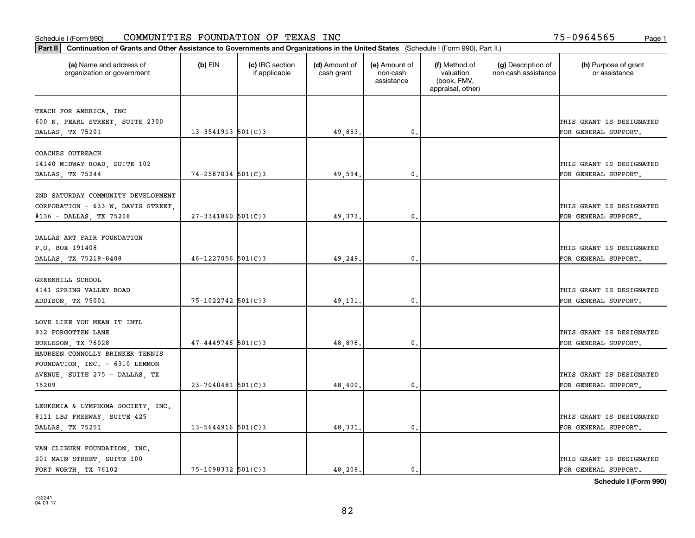| Part II   Continuation of Grants and Other Assistance to Governments and Organizations in the United States (Schedule I (Form 990), Part II.) |                        |                                  |                             |                                         |                                                                |                                           |                                       |
|-----------------------------------------------------------------------------------------------------------------------------------------------|------------------------|----------------------------------|-----------------------------|-----------------------------------------|----------------------------------------------------------------|-------------------------------------------|---------------------------------------|
| (a) Name and address of<br>organization or government                                                                                         | $(b)$ EIN              | (c) IRC section<br>if applicable | (d) Amount of<br>cash grant | (e) Amount of<br>non-cash<br>assistance | (f) Method of<br>valuation<br>(book, FMV,<br>appraisal, other) | (g) Description of<br>non-cash assistance | (h) Purpose of grant<br>or assistance |
|                                                                                                                                               |                        |                                  |                             |                                         |                                                                |                                           |                                       |
| TEACH FOR AMERICA, INC<br>600 N. PEARL STREET, SUITE 2300                                                                                     |                        |                                  |                             |                                         |                                                                |                                           | THIS GRANT IS DESIGNATED              |
| DALLAS, TX 75201                                                                                                                              | $13 - 3541913$ 501(C)3 |                                  | 49,853.                     | $\mathbf{0}$ .                          |                                                                |                                           | FOR GENERAL SUPPORT.                  |
|                                                                                                                                               |                        |                                  |                             |                                         |                                                                |                                           |                                       |
| COACHES OUTREACH                                                                                                                              |                        |                                  |                             |                                         |                                                                |                                           |                                       |
| 14140 MIDWAY ROAD, SUITE 102                                                                                                                  |                        |                                  |                             |                                         |                                                                |                                           | THIS GRANT IS DESIGNATED              |
| DALLAS, TX 75244                                                                                                                              | $74 - 2587034$ 501(C)3 |                                  | 49,594.                     | $^{\circ}$ .                            |                                                                |                                           | FOR GENERAL SUPPORT.                  |
|                                                                                                                                               |                        |                                  |                             |                                         |                                                                |                                           |                                       |
| 2ND SATURDAY COMMUNITY DEVELOPMENT                                                                                                            |                        |                                  |                             |                                         |                                                                |                                           |                                       |
| CORPORATION - 633 W. DAVIS STREET,                                                                                                            |                        |                                  |                             |                                         |                                                                |                                           | THIS GRANT IS DESIGNATED              |
| #136 - DALLAS, TX 75208                                                                                                                       | $27 - 3341860$ 501(C)3 |                                  | 49,373.                     | $\mathbf{0}$ .                          |                                                                |                                           | FOR GENERAL SUPPORT.                  |
|                                                                                                                                               |                        |                                  |                             |                                         |                                                                |                                           |                                       |
| DALLAS ART FAIR FOUNDATION                                                                                                                    |                        |                                  |                             |                                         |                                                                |                                           |                                       |
| P.O. BOX 191408                                                                                                                               |                        |                                  |                             |                                         |                                                                |                                           | THIS GRANT IS DESIGNATED              |
| DALLAS, TX 75219-8408                                                                                                                         | $46 - 1227056$ 501(C)3 |                                  | 49,249                      | 0.                                      |                                                                |                                           | FOR GENERAL SUPPORT.                  |
|                                                                                                                                               |                        |                                  |                             |                                         |                                                                |                                           |                                       |
| GREENHILL SCHOOL                                                                                                                              |                        |                                  |                             |                                         |                                                                |                                           |                                       |
| 4141 SPRING VALLEY ROAD                                                                                                                       |                        |                                  |                             |                                         |                                                                |                                           | THIS GRANT IS DESIGNATED              |
| ADDISON, TX 75001                                                                                                                             | 75-1022742 501(C)3     |                                  | 49,131.                     | 0.                                      |                                                                |                                           | FOR GENERAL SUPPORT.                  |
|                                                                                                                                               |                        |                                  |                             |                                         |                                                                |                                           |                                       |
| LOVE LIKE YOU MEAN IT INTL                                                                                                                    |                        |                                  |                             |                                         |                                                                |                                           |                                       |
| 932 FORGOTTEN LANE                                                                                                                            |                        |                                  |                             |                                         |                                                                |                                           | THIS GRANT IS DESIGNATED              |
| BURLESON, TX 76028                                                                                                                            | $47 - 4449746$ 501(C)3 |                                  | 48.876.                     | 0.                                      |                                                                |                                           | FOR GENERAL SUPPORT.                  |
| MAUREEN CONNOLLY BRINKER TENNIS                                                                                                               |                        |                                  |                             |                                         |                                                                |                                           |                                       |
| FOUNDATION, INC. - 6310 LEMMON                                                                                                                |                        |                                  |                             |                                         |                                                                |                                           |                                       |
| AVENUE, SUITE 275 - DALLAS, TX                                                                                                                |                        |                                  |                             |                                         |                                                                |                                           | THIS GRANT IS DESIGNATED              |
| 75209                                                                                                                                         | $23 - 7040481$ 501(C)3 |                                  | 48,400                      | $\mathfrak o$ .                         |                                                                |                                           | FOR GENERAL SUPPORT.                  |
|                                                                                                                                               |                        |                                  |                             |                                         |                                                                |                                           |                                       |
| LEUKEMIA & LYMPHOMA SOCIETY, INC.                                                                                                             |                        |                                  |                             |                                         |                                                                |                                           |                                       |
| 8111 LBJ FREEWAY, SUITE 425                                                                                                                   |                        |                                  |                             |                                         |                                                                |                                           | THIS GRANT IS DESIGNATED              |
| DALLAS, TX 75251                                                                                                                              | $13 - 5644916$ 501(C)3 |                                  | 48, 331.                    | 0.                                      |                                                                |                                           | FOR GENERAL SUPPORT.                  |
|                                                                                                                                               |                        |                                  |                             |                                         |                                                                |                                           |                                       |
| VAN CLIBURN FOUNDATION, INC.                                                                                                                  |                        |                                  |                             |                                         |                                                                |                                           |                                       |
| 201 MAIN STREET, SUITE 100                                                                                                                    |                        |                                  |                             |                                         |                                                                |                                           | THIS GRANT IS DESIGNATED              |
| FORT WORTH TX 76102                                                                                                                           | 75-1098332 501(C)3     |                                  | 48,208.                     | $\mathbf{0}$ .                          |                                                                |                                           | FOR GENERAL SUPPORT.                  |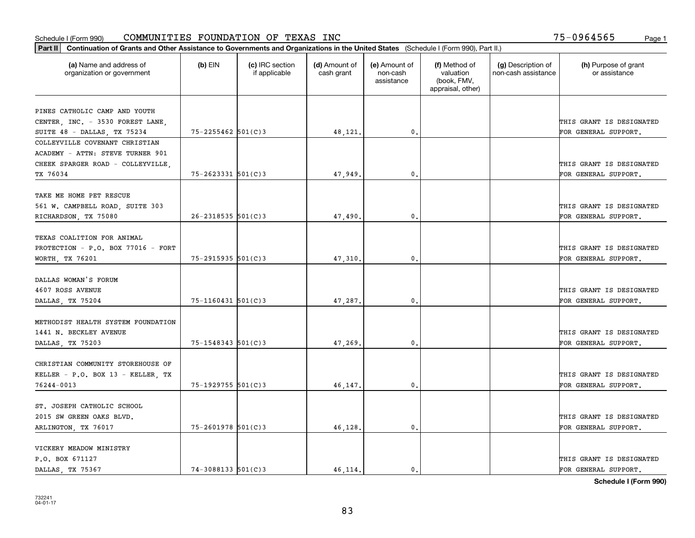| (a) Name and address of<br>organization or government | $(b)$ EIN                | (c) IRC section<br>if applicable | (d) Amount of<br>cash grant | (e) Amount of<br>non-cash<br>assistance | (f) Method of<br>valuation<br>(book, FMV,<br>appraisal, other) | (g) Description of<br>non-cash assistance | (h) Purpose of grant<br>or assistance |
|-------------------------------------------------------|--------------------------|----------------------------------|-----------------------------|-----------------------------------------|----------------------------------------------------------------|-------------------------------------------|---------------------------------------|
|                                                       |                          |                                  |                             |                                         |                                                                |                                           |                                       |
| PINES CATHOLIC CAMP AND YOUTH                         |                          |                                  |                             |                                         |                                                                |                                           |                                       |
| CENTER, INC. - 3530 FOREST LANE,                      |                          |                                  |                             |                                         |                                                                |                                           | THIS GRANT IS DESIGNATED              |
| SUITE 48 - DALLAS, TX 75234                           | $75 - 2255462$ 501(C)3   |                                  | 48,121.                     | 0.                                      |                                                                |                                           | FOR GENERAL SUPPORT.                  |
| COLLEYVILLE COVENANT CHRISTIAN                        |                          |                                  |                             |                                         |                                                                |                                           |                                       |
| ACADEMY - ATTN: STEVE TURNER 901                      |                          |                                  |                             |                                         |                                                                |                                           |                                       |
| CHEEK SPARGER ROAD - COLLEYVILLE,                     |                          |                                  |                             |                                         |                                                                |                                           | THIS GRANT IS DESIGNATED              |
| TX 76034                                              | $75 - 2623331$ $501(C)3$ |                                  | 47.949.                     | $\mathbf{0}$ .                          |                                                                |                                           | FOR GENERAL SUPPORT.                  |
|                                                       |                          |                                  |                             |                                         |                                                                |                                           |                                       |
| TAKE ME HOME PET RESCUE                               |                          |                                  |                             |                                         |                                                                |                                           |                                       |
| 561 W. CAMPBELL ROAD, SUITE 303                       |                          |                                  |                             |                                         |                                                                |                                           | THIS GRANT IS DESIGNATED              |
| RICHARDSON, TX 75080                                  | $26 - 2318535$ 501(C) 3  |                                  | 47,490.                     | $\mathbf{0}$ .                          |                                                                |                                           | FOR GENERAL SUPPORT.                  |
| TEXAS COALITION FOR ANIMAL                            |                          |                                  |                             |                                         |                                                                |                                           |                                       |
| PROTECTION - P.O. BOX 77016 - FORT                    |                          |                                  |                             |                                         |                                                                |                                           | THIS GRANT IS DESIGNATED              |
| WORTH, TX 76201                                       | $75 - 2915935$ $501(C)3$ |                                  | 47,310.                     | 0.                                      |                                                                |                                           | FOR GENERAL SUPPORT.                  |
|                                                       |                          |                                  |                             |                                         |                                                                |                                           |                                       |
| DALLAS WOMAN'S FORUM                                  |                          |                                  |                             |                                         |                                                                |                                           |                                       |
| 4607 ROSS AVENUE                                      |                          |                                  |                             |                                         |                                                                |                                           | THIS GRANT IS DESIGNATED              |
| DALLAS, TX 75204                                      | $75 - 1160431$ 501(C)3   |                                  | 47,287.                     | $\mathbf{0}$                            |                                                                |                                           | FOR GENERAL SUPPORT.                  |
|                                                       |                          |                                  |                             |                                         |                                                                |                                           |                                       |
| METHODIST HEALTH SYSTEM FOUNDATION                    |                          |                                  |                             |                                         |                                                                |                                           |                                       |
| 1441 N. BECKLEY AVENUE                                |                          |                                  |                             |                                         |                                                                |                                           | THIS GRANT IS DESIGNATED              |
| DALLAS, TX 75203                                      | 75-1548343 501(C)3       |                                  | 47,269.                     | 0.                                      |                                                                |                                           | FOR GENERAL SUPPORT.                  |
| CHRISTIAN COMMUNITY STOREHOUSE OF                     |                          |                                  |                             |                                         |                                                                |                                           |                                       |
| KELLER - P.O. BOX 13 - KELLER, TX                     |                          |                                  |                             |                                         |                                                                |                                           | THIS GRANT IS DESIGNATED              |
| 76244-0013                                            | $75 - 1929755$ 501(C)3   |                                  | 46, 147.                    | 0.                                      |                                                                |                                           | FOR GENERAL SUPPORT.                  |
|                                                       |                          |                                  |                             |                                         |                                                                |                                           |                                       |
| ST. JOSEPH CATHOLIC SCHOOL                            |                          |                                  |                             |                                         |                                                                |                                           |                                       |
| 2015 SW GREEN OAKS BLVD.                              |                          |                                  |                             |                                         |                                                                |                                           | THIS GRANT IS DESIGNATED              |
| ARLINGTON, TX 76017                                   | $75 - 2601978$ 501(C)3   |                                  | 46,128.                     | $\mathbf{0}$ .                          |                                                                |                                           | FOR GENERAL SUPPORT.                  |
|                                                       |                          |                                  |                             |                                         |                                                                |                                           |                                       |
| VICKERY MEADOW MINISTRY                               |                          |                                  |                             |                                         |                                                                |                                           |                                       |
| P.O. BOX 671127                                       |                          |                                  |                             |                                         |                                                                |                                           | THIS GRANT IS DESIGNATED              |
| DALLAS TX 75367                                       | $74 - 3088133$ 501(C) 3  |                                  | 46.114.                     | $\mathbf{0}$ .                          |                                                                |                                           | FOR GENERAL SUPPORT.                  |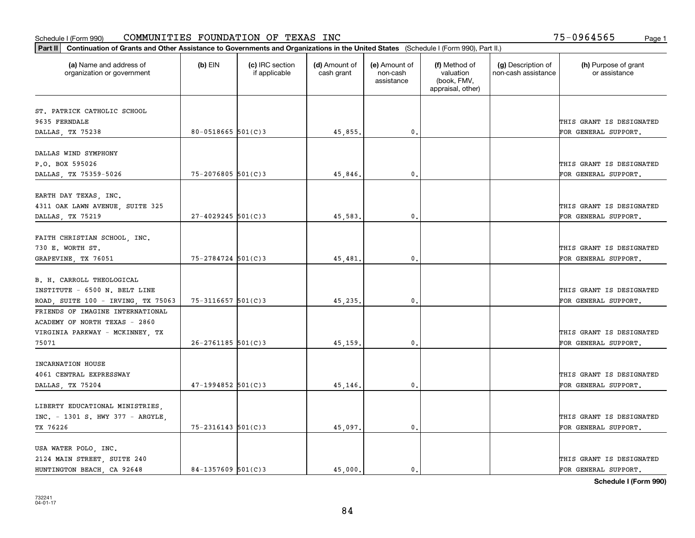| Part II   Continuation of Grants and Other Assistance to Governments and Organizations in the United States (Schedule I (Form 990), Part II.) |                          |                                  |                             |                                         |                                                                |                                           |                                       |
|-----------------------------------------------------------------------------------------------------------------------------------------------|--------------------------|----------------------------------|-----------------------------|-----------------------------------------|----------------------------------------------------------------|-------------------------------------------|---------------------------------------|
| (a) Name and address of<br>organization or government                                                                                         | $(b)$ EIN                | (c) IRC section<br>if applicable | (d) Amount of<br>cash grant | (e) Amount of<br>non-cash<br>assistance | (f) Method of<br>valuation<br>(book, FMV,<br>appraisal, other) | (g) Description of<br>non-cash assistance | (h) Purpose of grant<br>or assistance |
| ST. PATRICK CATHOLIC SCHOOL                                                                                                                   |                          |                                  |                             |                                         |                                                                |                                           |                                       |
| 9635 FERNDALE                                                                                                                                 |                          |                                  |                             |                                         |                                                                |                                           | THIS GRANT IS DESIGNATED              |
| DALLAS, TX 75238                                                                                                                              | $80 - 0518665$ 501(C)3   |                                  | 45,855.                     | $\mathbf{0}$ .                          |                                                                |                                           | FOR GENERAL SUPPORT.                  |
|                                                                                                                                               |                          |                                  |                             |                                         |                                                                |                                           |                                       |
| DALLAS WIND SYMPHONY                                                                                                                          |                          |                                  |                             |                                         |                                                                |                                           |                                       |
| P.O. BOX 595026                                                                                                                               |                          |                                  |                             |                                         |                                                                |                                           | THIS GRANT IS DESIGNATED              |
| DALLAS, TX 75359-5026                                                                                                                         | $75 - 2076805$ 501(C)3   |                                  | 45,846.                     | 0.                                      |                                                                |                                           | FOR GENERAL SUPPORT.                  |
|                                                                                                                                               |                          |                                  |                             |                                         |                                                                |                                           |                                       |
| EARTH DAY TEXAS, INC.                                                                                                                         |                          |                                  |                             |                                         |                                                                |                                           |                                       |
| 4311 OAK LAWN AVENUE, SUITE 325                                                                                                               |                          |                                  |                             |                                         |                                                                |                                           | THIS GRANT IS DESIGNATED              |
| DALLAS, TX 75219                                                                                                                              | $27 - 4029245$ 501(C)3   |                                  | 45,583.                     | $\mathbf{0}$ .                          |                                                                |                                           | FOR GENERAL SUPPORT.                  |
|                                                                                                                                               |                          |                                  |                             |                                         |                                                                |                                           |                                       |
| FAITH CHRISTIAN SCHOOL, INC.                                                                                                                  |                          |                                  |                             |                                         |                                                                |                                           |                                       |
| 730 E. WORTH ST.                                                                                                                              |                          |                                  |                             |                                         |                                                                |                                           | THIS GRANT IS DESIGNATED              |
| GRAPEVINE, TX 76051                                                                                                                           | 75-2784724 501(C)3       |                                  | 45,481.                     | 0.                                      |                                                                |                                           | FOR GENERAL SUPPORT.                  |
|                                                                                                                                               |                          |                                  |                             |                                         |                                                                |                                           |                                       |
| B. H. CARROLL THEOLOGICAL                                                                                                                     |                          |                                  |                             |                                         |                                                                |                                           |                                       |
| INSTITUTE - 6500 N. BELT LINE                                                                                                                 |                          |                                  |                             |                                         |                                                                |                                           | THIS GRANT IS DESIGNATED              |
| ROAD, SUITE 100 - IRVING, TX 75063                                                                                                            | $75 - 3116657$ 501(C)3   |                                  | 45,235.                     | 0.                                      |                                                                |                                           | FOR GENERAL SUPPORT.                  |
| FRIENDS OF IMAGINE INTERNATIONAL                                                                                                              |                          |                                  |                             |                                         |                                                                |                                           |                                       |
| ACADEMY OF NORTH TEXAS - 2860                                                                                                                 |                          |                                  |                             |                                         |                                                                |                                           |                                       |
| VIRGINIA PARKWAY - MCKINNEY, TX                                                                                                               |                          |                                  |                             |                                         |                                                                |                                           | THIS GRANT IS DESIGNATED              |
| 75071                                                                                                                                         | $26 - 2761185$ 501(C)3   |                                  | 45,159                      | $\mathbf{0}$ .                          |                                                                |                                           | FOR GENERAL SUPPORT.                  |
|                                                                                                                                               |                          |                                  |                             |                                         |                                                                |                                           |                                       |
| INCARNATION HOUSE                                                                                                                             |                          |                                  |                             |                                         |                                                                |                                           |                                       |
| 4061 CENTRAL EXPRESSWAY                                                                                                                       |                          |                                  |                             |                                         |                                                                |                                           | THIS GRANT IS DESIGNATED              |
| DALLAS, TX 75204                                                                                                                              | $47-1994852$ 501(C)3     |                                  | 45,146.                     | $\mathfrak{o}$ .                        |                                                                |                                           | FOR GENERAL SUPPORT.                  |
|                                                                                                                                               |                          |                                  |                             |                                         |                                                                |                                           |                                       |
| LIBERTY EDUCATIONAL MINISTRIES,                                                                                                               |                          |                                  |                             |                                         |                                                                |                                           |                                       |
| INC. - 1301 S. HWY 377 - ARGYLE,                                                                                                              |                          |                                  |                             |                                         |                                                                |                                           | THIS GRANT IS DESIGNATED              |
| TX 76226                                                                                                                                      | $75 - 2316143$ $501(C)3$ |                                  | 45,097.                     | $\mathbf{0}$ .                          |                                                                |                                           | FOR GENERAL SUPPORT.                  |
|                                                                                                                                               |                          |                                  |                             |                                         |                                                                |                                           |                                       |
| USA WATER POLO, INC.                                                                                                                          |                          |                                  |                             |                                         |                                                                |                                           |                                       |
| 2124 MAIN STREET, SUITE 240                                                                                                                   |                          |                                  |                             |                                         |                                                                |                                           | THIS GRANT IS DESIGNATED              |
| HUNTINGTON BEACH, CA 92648                                                                                                                    | 84-1357609 $501(C)3$     |                                  | 45.000.                     | $\mathbf{0}$ .                          |                                                                |                                           | FOR GENERAL SUPPORT.                  |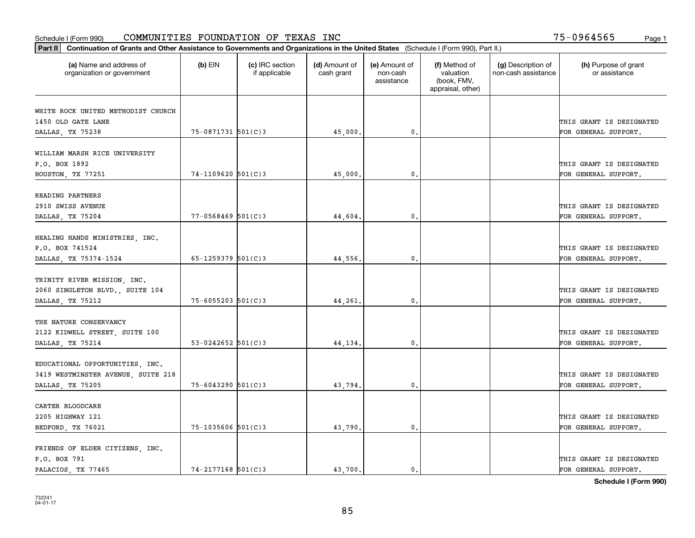| Part II   Continuation of Grants and Other Assistance to Governments and Organizations in the United States (Schedule I (Form 990), Part II.) |                          |                                  |                             |                                         |                                                                |                                           |                                       |
|-----------------------------------------------------------------------------------------------------------------------------------------------|--------------------------|----------------------------------|-----------------------------|-----------------------------------------|----------------------------------------------------------------|-------------------------------------------|---------------------------------------|
| (a) Name and address of<br>organization or government                                                                                         | $(b)$ EIN                | (c) IRC section<br>if applicable | (d) Amount of<br>cash grant | (e) Amount of<br>non-cash<br>assistance | (f) Method of<br>valuation<br>(book, FMV,<br>appraisal, other) | (g) Description of<br>non-cash assistance | (h) Purpose of grant<br>or assistance |
|                                                                                                                                               |                          |                                  |                             |                                         |                                                                |                                           |                                       |
| WHITE ROCK UNITED METHODIST CHURCH<br>1450 OLD GATE LANE                                                                                      |                          |                                  |                             |                                         |                                                                |                                           | THIS GRANT IS DESIGNATED              |
| DALLAS, TX 75238                                                                                                                              | 75-0871731 501(C)3       |                                  | 45,000.                     | 0.                                      |                                                                |                                           | FOR GENERAL SUPPORT.                  |
|                                                                                                                                               |                          |                                  |                             |                                         |                                                                |                                           |                                       |
| WILLIAM MARSH RICE UNIVERSITY                                                                                                                 |                          |                                  |                             |                                         |                                                                |                                           |                                       |
| P.O. BOX 1892                                                                                                                                 |                          |                                  |                             |                                         |                                                                |                                           | THIS GRANT IS DESIGNATED              |
| HOUSTON, TX 77251                                                                                                                             | $74 - 1109620$ 501(C)3   |                                  | 45,000                      | 0.                                      |                                                                |                                           | FOR GENERAL SUPPORT.                  |
|                                                                                                                                               |                          |                                  |                             |                                         |                                                                |                                           |                                       |
| READING PARTNERS                                                                                                                              |                          |                                  |                             |                                         |                                                                |                                           |                                       |
| 2910 SWISS AVENUE                                                                                                                             |                          |                                  |                             |                                         |                                                                |                                           | THIS GRANT IS DESIGNATED              |
| DALLAS, TX 75204                                                                                                                              | $77 - 0568469$ 501(C)3   |                                  | 44,604.                     | 0.                                      |                                                                |                                           | FOR GENERAL SUPPORT.                  |
|                                                                                                                                               |                          |                                  |                             |                                         |                                                                |                                           |                                       |
| HEALING HANDS MINISTRIES, INC.                                                                                                                |                          |                                  |                             |                                         |                                                                |                                           |                                       |
| P.O. BOX 741524                                                                                                                               |                          |                                  |                             |                                         |                                                                |                                           | THIS GRANT IS DESIGNATED              |
| DALLAS, TX 75374-1524                                                                                                                         | $65 - 1259379$ $501(C)3$ |                                  | 44,556.                     | 0.                                      |                                                                |                                           | FOR GENERAL SUPPORT.                  |
|                                                                                                                                               |                          |                                  |                             |                                         |                                                                |                                           |                                       |
| TRINITY RIVER MISSION, INC.                                                                                                                   |                          |                                  |                             |                                         |                                                                |                                           |                                       |
| 2060 SINGLETON BLVD., SUITE 104                                                                                                               |                          |                                  |                             |                                         |                                                                |                                           | THIS GRANT IS DESIGNATED              |
| DALLAS, TX 75212                                                                                                                              | $75 - 6055203$ 501(C)3   |                                  | 44,261.                     | 0.                                      |                                                                |                                           | FOR GENERAL SUPPORT.                  |
| THE NATURE CONSERVANCY                                                                                                                        |                          |                                  |                             |                                         |                                                                |                                           |                                       |
| 2122 KIDWELL STREET, SUITE 100                                                                                                                |                          |                                  |                             |                                         |                                                                |                                           | THIS GRANT IS DESIGNATED              |
| DALLAS, TX 75214                                                                                                                              | 53-0242652 $501(C)$ 3    |                                  | 44, 134.                    | 0.                                      |                                                                |                                           | FOR GENERAL SUPPORT.                  |
|                                                                                                                                               |                          |                                  |                             |                                         |                                                                |                                           |                                       |
| EDUCATIONAL OPPORTUNITIES, INC.                                                                                                               |                          |                                  |                             |                                         |                                                                |                                           |                                       |
| 3419 WESTMINSTER AVENUE, SUITE 218                                                                                                            |                          |                                  |                             |                                         |                                                                |                                           | THIS GRANT IS DESIGNATED              |
| DALLAS, TX 75205                                                                                                                              | 75-6043290 501(C)3       |                                  | 43,794.                     | $\mathbf{0}$ .                          |                                                                |                                           | FOR GENERAL SUPPORT.                  |
|                                                                                                                                               |                          |                                  |                             |                                         |                                                                |                                           |                                       |
| CARTER BLOODCARE                                                                                                                              |                          |                                  |                             |                                         |                                                                |                                           |                                       |
| 2205 HIGHWAY 121                                                                                                                              |                          |                                  |                             |                                         |                                                                |                                           | THIS GRANT IS DESIGNATED              |
| BEDFORD, TX 76021                                                                                                                             | $75 - 1035606$ 501(C)3   |                                  | 43,790.                     | 0.                                      |                                                                |                                           | FOR GENERAL SUPPORT.                  |
|                                                                                                                                               |                          |                                  |                             |                                         |                                                                |                                           |                                       |
| FRIENDS OF ELDER CITIZENS, INC.                                                                                                               |                          |                                  |                             |                                         |                                                                |                                           |                                       |
| P.O. BOX 791                                                                                                                                  |                          |                                  |                             |                                         |                                                                |                                           | THIS GRANT IS DESIGNATED              |
| PALACIOS, TX 77465                                                                                                                            | $74 - 2177168$ 501(C)3   |                                  | 43.700.                     | 0.                                      |                                                                |                                           | FOR GENERAL SUPPORT.                  |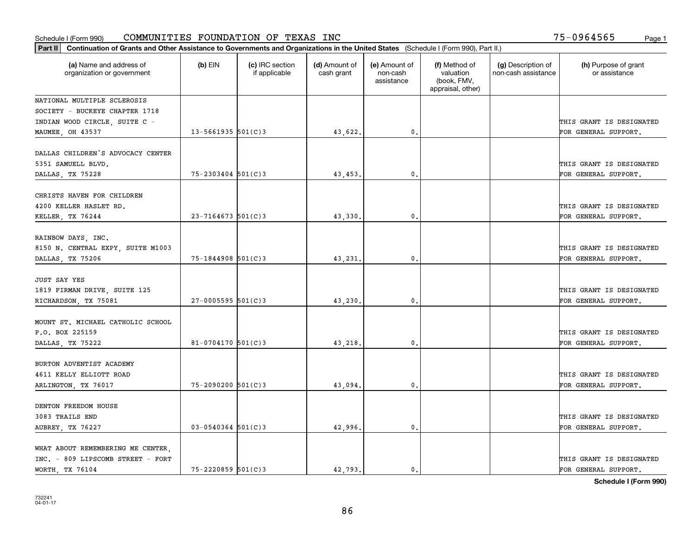|                                                                                           | Part II   Continuation of Grants and Other Assistance to Governments and Organizations in the United States (Schedule I (Form 990), Part II.) |                                  |                             |                                         |                                                                |                                           |                                                  |  |  |  |  |
|-------------------------------------------------------------------------------------------|-----------------------------------------------------------------------------------------------------------------------------------------------|----------------------------------|-----------------------------|-----------------------------------------|----------------------------------------------------------------|-------------------------------------------|--------------------------------------------------|--|--|--|--|
| (a) Name and address of<br>organization or government                                     | $(b)$ EIN                                                                                                                                     | (c) IRC section<br>if applicable | (d) Amount of<br>cash grant | (e) Amount of<br>non-cash<br>assistance | (f) Method of<br>valuation<br>(book, FMV,<br>appraisal, other) | (g) Description of<br>non-cash assistance | (h) Purpose of grant<br>or assistance            |  |  |  |  |
| NATIONAL MULTIPLE SCLEROSIS                                                               |                                                                                                                                               |                                  |                             |                                         |                                                                |                                           |                                                  |  |  |  |  |
| SOCIETY - BUCKEYE CHAPTER 1718                                                            |                                                                                                                                               |                                  |                             |                                         |                                                                |                                           |                                                  |  |  |  |  |
| INDIAN WOOD CIRCLE, SUITE C -                                                             |                                                                                                                                               |                                  |                             |                                         |                                                                |                                           | THIS GRANT IS DESIGNATED                         |  |  |  |  |
| MAUMEE, OH 43537                                                                          | $13 - 5661935$ 501(C)3                                                                                                                        |                                  | 43,622.                     | $\mathbf{0}$ .                          |                                                                |                                           | FOR GENERAL SUPPORT.                             |  |  |  |  |
| DALLAS CHILDREN'S ADVOCACY CENTER<br>5351 SAMUELL BLVD.                                   |                                                                                                                                               |                                  |                             |                                         |                                                                |                                           | THIS GRANT IS DESIGNATED                         |  |  |  |  |
| DALLAS, TX 75228                                                                          | $75 - 2303404$ 501(C)3                                                                                                                        |                                  | 43,453.                     | 0.                                      |                                                                |                                           | FOR GENERAL SUPPORT.                             |  |  |  |  |
| CHRISTS HAVEN FOR CHILDREN<br>4200 KELLER HASLET RD.<br>KELLER, TX 76244                  | $23 - 7164673$ 501(C) 3                                                                                                                       |                                  | 43,330.                     | $\mathbf{0}$ .                          |                                                                |                                           | THIS GRANT IS DESIGNATED<br>FOR GENERAL SUPPORT. |  |  |  |  |
|                                                                                           |                                                                                                                                               |                                  |                             |                                         |                                                                |                                           |                                                  |  |  |  |  |
| RAINBOW DAYS, INC.<br>8150 N. CENTRAL EXPY, SUITE M1003                                   |                                                                                                                                               |                                  |                             |                                         |                                                                |                                           | THIS GRANT IS DESIGNATED                         |  |  |  |  |
| DALLAS, TX 75206                                                                          | $75 - 1844908$ 501(C)3                                                                                                                        |                                  | 43,231.                     | $\mathbf{0}$ .                          |                                                                |                                           | FOR GENERAL SUPPORT.                             |  |  |  |  |
| <b>JUST SAY YES</b><br>1819 FIRMAN DRIVE, SUITE 125                                       | $27 - 0005595$ 501(C)3                                                                                                                        |                                  |                             |                                         |                                                                |                                           | THIS GRANT IS DESIGNATED                         |  |  |  |  |
| RICHARDSON, TX 75081                                                                      |                                                                                                                                               |                                  | 43,230.                     | 0.                                      |                                                                |                                           | FOR GENERAL SUPPORT.                             |  |  |  |  |
| MOUNT ST. MICHAEL CATHOLIC SCHOOL<br>P.O. BOX 225159<br>DALLAS, TX 75222                  | $81 - 0704170$ 501(C)3                                                                                                                        |                                  | 43,218.                     | 0.                                      |                                                                |                                           | THIS GRANT IS DESIGNATED<br>FOR GENERAL SUPPORT. |  |  |  |  |
| BURTON ADVENTIST ACADEMY<br>4611 KELLY ELLIOTT ROAD                                       |                                                                                                                                               |                                  |                             |                                         |                                                                |                                           | THIS GRANT IS DESIGNATED                         |  |  |  |  |
| ARLINGTON, TX 76017                                                                       | 75-2090200 501(C)3                                                                                                                            |                                  | 43,094                      | 0.                                      |                                                                |                                           | FOR GENERAL SUPPORT.                             |  |  |  |  |
| DENTON FREEDOM HOUSE<br>3083 TRAILS END                                                   |                                                                                                                                               |                                  |                             |                                         |                                                                |                                           | THIS GRANT IS DESIGNATED                         |  |  |  |  |
| <b>AUBREY, TX 76227</b>                                                                   | $03 - 0540364$ 501(C)3                                                                                                                        |                                  | 42,996.                     | $\mathbf{0}$ .                          |                                                                |                                           | FOR GENERAL SUPPORT.                             |  |  |  |  |
| WHAT ABOUT REMEMBERING ME CENTER.<br>INC. - 809 LIPSCOMB STREET - FORT<br>WORTH, TX 76104 | 75-2220859 501(C)3                                                                                                                            |                                  | 42.793.                     | $\mathbf{0}$ .                          |                                                                |                                           | THIS GRANT IS DESIGNATED<br>FOR GENERAL SUPPORT. |  |  |  |  |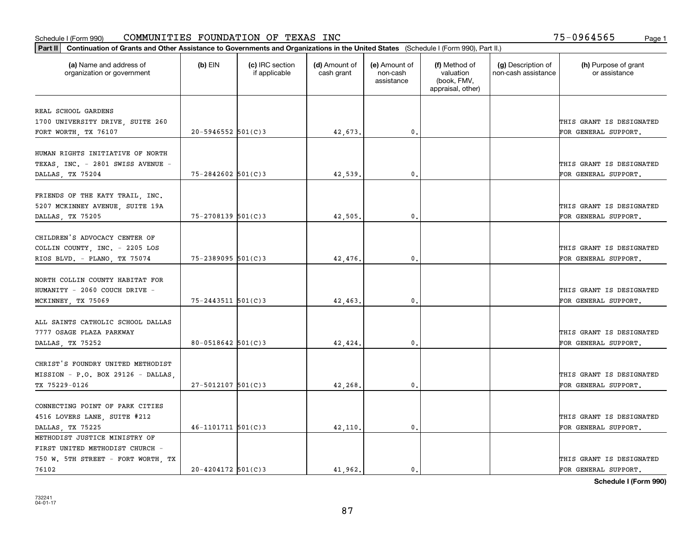| Part II   Continuation of Grants and Other Assistance to Governments and Organizations in the United States (Schedule I (Form 990), Part II.) |                          |                                  |                             |                                         |                                                                |                                           |                                       |
|-----------------------------------------------------------------------------------------------------------------------------------------------|--------------------------|----------------------------------|-----------------------------|-----------------------------------------|----------------------------------------------------------------|-------------------------------------------|---------------------------------------|
| (a) Name and address of<br>organization or government                                                                                         | $(b)$ EIN                | (c) IRC section<br>if applicable | (d) Amount of<br>cash grant | (e) Amount of<br>non-cash<br>assistance | (f) Method of<br>valuation<br>(book, FMV,<br>appraisal, other) | (g) Description of<br>non-cash assistance | (h) Purpose of grant<br>or assistance |
|                                                                                                                                               |                          |                                  |                             |                                         |                                                                |                                           |                                       |
| REAL SCHOOL GARDENS                                                                                                                           |                          |                                  |                             |                                         |                                                                |                                           |                                       |
| 1700 UNIVERSITY DRIVE, SUITE 260                                                                                                              | $20 - 5946552$ 501(C)3   |                                  |                             | 0.                                      |                                                                |                                           | THIS GRANT IS DESIGNATED              |
| FORT WORTH, TX 76107                                                                                                                          |                          |                                  | 42,673.                     |                                         |                                                                |                                           | FOR GENERAL SUPPORT.                  |
| HUMAN RIGHTS INITIATIVE OF NORTH                                                                                                              |                          |                                  |                             |                                         |                                                                |                                           |                                       |
| TEXAS, INC. - 2801 SWISS AVENUE -                                                                                                             |                          |                                  |                             |                                         |                                                                |                                           | THIS GRANT IS DESIGNATED              |
| DALLAS, TX 75204                                                                                                                              | $75 - 2842602$ 501(C)3   |                                  | 42,539                      | $\mathfrak{o}$ .                        |                                                                |                                           | FOR GENERAL SUPPORT.                  |
|                                                                                                                                               |                          |                                  |                             |                                         |                                                                |                                           |                                       |
| FRIENDS OF THE KATY TRAIL, INC.                                                                                                               |                          |                                  |                             |                                         |                                                                |                                           |                                       |
| 5207 MCKINNEY AVENUE, SUITE 19A                                                                                                               |                          |                                  |                             |                                         |                                                                |                                           | THIS GRANT IS DESIGNATED              |
| DALLAS, TX 75205                                                                                                                              | 75-2708139 501(C)3       |                                  | 42,505.                     | 0.                                      |                                                                |                                           | FOR GENERAL SUPPORT.                  |
|                                                                                                                                               |                          |                                  |                             |                                         |                                                                |                                           |                                       |
| CHILDREN'S ADVOCACY CENTER OF                                                                                                                 |                          |                                  |                             |                                         |                                                                |                                           |                                       |
| COLLIN COUNTY, INC. - 2205 LOS                                                                                                                |                          |                                  |                             |                                         |                                                                |                                           | THIS GRANT IS DESIGNATED              |
| RIOS BLVD. - PLANO, TX 75074                                                                                                                  | $75 - 2389095$ 501(C)3   |                                  | 42,476.                     | 0.                                      |                                                                |                                           | FOR GENERAL SUPPORT.                  |
|                                                                                                                                               |                          |                                  |                             |                                         |                                                                |                                           |                                       |
| NORTH COLLIN COUNTY HABITAT FOR                                                                                                               |                          |                                  |                             |                                         |                                                                |                                           |                                       |
| HUMANITY - 2060 COUCH DRIVE -                                                                                                                 |                          |                                  |                             |                                         |                                                                |                                           | THIS GRANT IS DESIGNATED              |
| MCKINNEY, TX 75069                                                                                                                            | $75 - 2443511$ $501(C)3$ |                                  | 42,463.                     | 0.                                      |                                                                |                                           | FOR GENERAL SUPPORT.                  |
|                                                                                                                                               |                          |                                  |                             |                                         |                                                                |                                           |                                       |
| ALL SAINTS CATHOLIC SCHOOL DALLAS                                                                                                             |                          |                                  |                             |                                         |                                                                |                                           |                                       |
| 7777 OSAGE PLAZA PARKWAY                                                                                                                      |                          |                                  |                             |                                         |                                                                |                                           | THIS GRANT IS DESIGNATED              |
| DALLAS, TX 75252                                                                                                                              | $80 - 0518642$ 501(C)3   |                                  | 42,424.                     | $\mathbf{0}$ .                          |                                                                |                                           | FOR GENERAL SUPPORT.                  |
|                                                                                                                                               |                          |                                  |                             |                                         |                                                                |                                           |                                       |
| CHRIST'S FOUNDRY UNITED METHODIST                                                                                                             |                          |                                  |                             |                                         |                                                                |                                           |                                       |
| MISSION - P.O. BOX 29126 - DALLAS                                                                                                             |                          |                                  |                             |                                         |                                                                |                                           | THIS GRANT IS DESIGNATED              |
| TX 75229-0126                                                                                                                                 | $27 - 5012107$ 501(C) 3  |                                  | 42,268.                     | 0.                                      |                                                                |                                           | FOR GENERAL SUPPORT.                  |
|                                                                                                                                               |                          |                                  |                             |                                         |                                                                |                                           |                                       |
| CONNECTING POINT OF PARK CITIES                                                                                                               |                          |                                  |                             |                                         |                                                                |                                           |                                       |
| 4516 LOVERS LANE, SUITE #212                                                                                                                  |                          |                                  |                             |                                         |                                                                |                                           | THIS GRANT IS DESIGNATED              |
| DALLAS, TX 75225                                                                                                                              | $46 - 1101711$ 501(C)3   |                                  | 42,110                      | $\mathbf{0}$ .                          |                                                                |                                           | FOR GENERAL SUPPORT.                  |
| METHODIST JUSTICE MINISTRY OF                                                                                                                 |                          |                                  |                             |                                         |                                                                |                                           |                                       |
| FIRST UNITED METHODIST CHURCH -                                                                                                               |                          |                                  |                             |                                         |                                                                |                                           |                                       |
| 750 W. 5TH STREET - FORT WORTH, TX                                                                                                            |                          |                                  |                             |                                         |                                                                |                                           | THIS GRANT IS DESIGNATED              |
| 76102                                                                                                                                         | $20 - 4204172$ 501(C)3   |                                  | 41.962.                     | $\mathbf{0}$ .                          |                                                                |                                           | FOR GENERAL SUPPORT.                  |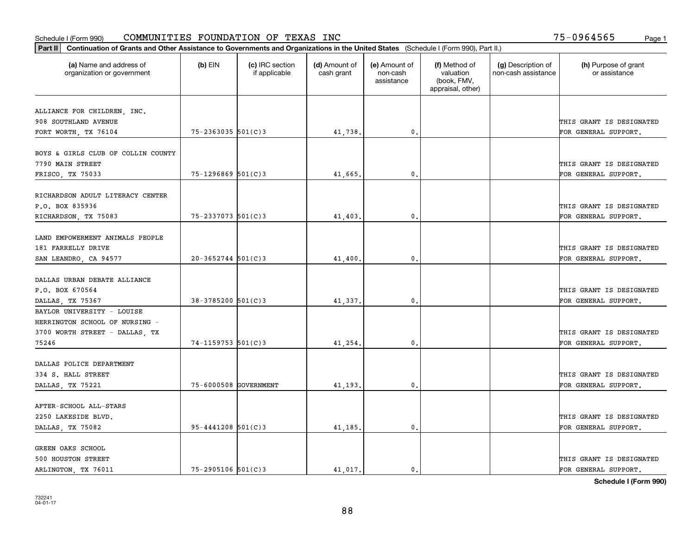| Part II   Continuation of Grants and Other Assistance to Governments and Organizations in the United States (Schedule I (Form 990), Part II.) |                        |                                  |                             |                                         |                                                                |                                           |                                                  |
|-----------------------------------------------------------------------------------------------------------------------------------------------|------------------------|----------------------------------|-----------------------------|-----------------------------------------|----------------------------------------------------------------|-------------------------------------------|--------------------------------------------------|
| (a) Name and address of<br>organization or government                                                                                         | $(b)$ EIN              | (c) IRC section<br>if applicable | (d) Amount of<br>cash grant | (e) Amount of<br>non-cash<br>assistance | (f) Method of<br>valuation<br>(book, FMV,<br>appraisal, other) | (g) Description of<br>non-cash assistance | (h) Purpose of grant<br>or assistance            |
|                                                                                                                                               |                        |                                  |                             |                                         |                                                                |                                           |                                                  |
| ALLIANCE FOR CHILDREN, INC.<br>908 SOUTHLAND AVENUE                                                                                           |                        |                                  |                             |                                         |                                                                |                                           | THIS GRANT IS DESIGNATED                         |
| FORT WORTH, TX 76104                                                                                                                          | $75 - 2363035$ 501(C)3 |                                  | 41,738.                     | $\mathbf{0}$ .                          |                                                                |                                           | FOR GENERAL SUPPORT.                             |
|                                                                                                                                               |                        |                                  |                             |                                         |                                                                |                                           |                                                  |
| BOYS & GIRLS CLUB OF COLLIN COUNTY<br>7790 MAIN STREET                                                                                        |                        |                                  |                             |                                         |                                                                |                                           | THIS GRANT IS DESIGNATED                         |
| FRISCO, TX 75033                                                                                                                              | $75 - 1296869$ 501(C)3 |                                  | 41,665.                     | 0.                                      |                                                                |                                           | FOR GENERAL SUPPORT.                             |
|                                                                                                                                               |                        |                                  |                             |                                         |                                                                |                                           |                                                  |
| RICHARDSON ADULT LITERACY CENTER                                                                                                              |                        |                                  |                             |                                         |                                                                |                                           |                                                  |
| P.O. BOX 835936                                                                                                                               |                        |                                  |                             |                                         |                                                                |                                           | THIS GRANT IS DESIGNATED                         |
| RICHARDSON, TX 75083                                                                                                                          | $75 - 2337073$ 501(C)3 |                                  | 41,403.                     | $^{\circ}$ .                            |                                                                |                                           | FOR GENERAL SUPPORT.                             |
| LAND EMPOWERMENT ANIMALS PEOPLE<br>181 FARRELLY DRIVE<br>SAN LEANDRO, CA 94577                                                                | $20 - 3652744$ 501(C)3 |                                  | 41,400                      | 0.                                      |                                                                |                                           | THIS GRANT IS DESIGNATED<br>FOR GENERAL SUPPORT. |
|                                                                                                                                               |                        |                                  |                             |                                         |                                                                |                                           |                                                  |
| DALLAS URBAN DEBATE ALLIANCE                                                                                                                  |                        |                                  |                             |                                         |                                                                |                                           |                                                  |
| P.O. BOX 670564                                                                                                                               |                        |                                  |                             |                                         |                                                                |                                           | THIS GRANT IS DESIGNATED                         |
| DALLAS, TX 75367                                                                                                                              | $38 - 3785200$ 501(C)3 |                                  | 41,337.                     | 0.                                      |                                                                |                                           | FOR GENERAL SUPPORT.                             |
| BAYLOR UNIVERSITY - LOUISE<br>HERRINGTON SCHOOL OF NURSING -<br>3700 WORTH STREET - DALLAS, TX                                                |                        |                                  |                             |                                         |                                                                |                                           | THIS GRANT IS DESIGNATED                         |
| 75246                                                                                                                                         | $74 - 1159753$ 501(C)3 |                                  | 41,254.                     | 0.                                      |                                                                |                                           | FOR GENERAL SUPPORT.                             |
| DALLAS POLICE DEPARTMENT<br>334 S. HALL STREET<br>DALLAS, TX 75221                                                                            | 75-6000508 GOVERNMENT  |                                  | 41,193.                     | 0.                                      |                                                                |                                           | THIS GRANT IS DESIGNATED<br>FOR GENERAL SUPPORT. |
| AFTER-SCHOOL ALL-STARS                                                                                                                        |                        |                                  |                             |                                         |                                                                |                                           |                                                  |
| 2250 LAKESIDE BLVD.                                                                                                                           |                        |                                  |                             |                                         |                                                                |                                           | THIS GRANT IS DESIGNATED                         |
| DALLAS, TX 75082                                                                                                                              | $95 - 4441208$ 501(C)3 |                                  | 41,185.                     | 0.                                      |                                                                |                                           | FOR GENERAL SUPPORT.                             |
| GREEN OAKS SCHOOL<br>500 HOUSTON STREET<br>ARLINGTON, TX 76011                                                                                | $75 - 2905106$ 501(C)3 |                                  | 41,017.                     | $\mathbf{0}$ .                          |                                                                |                                           | THIS GRANT IS DESIGNATED<br>FOR GENERAL SUPPORT. |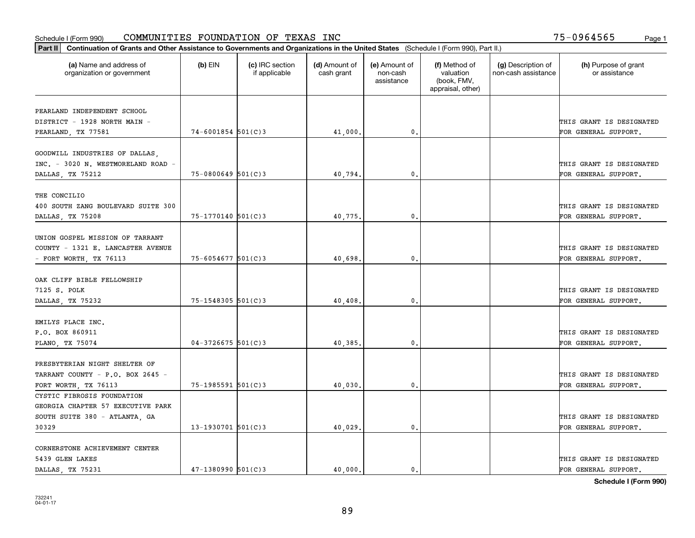| Part II   Continuation of Grants and Other Assistance to Governments and Organizations in the United States (Schedule I (Form 990), Part II.) |                        |                                  |                             |                                         |                                                                |                                           |                                       |
|-----------------------------------------------------------------------------------------------------------------------------------------------|------------------------|----------------------------------|-----------------------------|-----------------------------------------|----------------------------------------------------------------|-------------------------------------------|---------------------------------------|
| (a) Name and address of<br>organization or government                                                                                         | $(b)$ EIN              | (c) IRC section<br>if applicable | (d) Amount of<br>cash grant | (e) Amount of<br>non-cash<br>assistance | (f) Method of<br>valuation<br>(book, FMV,<br>appraisal, other) | (g) Description of<br>non-cash assistance | (h) Purpose of grant<br>or assistance |
| PEARLAND INDEPENDENT SCHOOL                                                                                                                   |                        |                                  |                             |                                         |                                                                |                                           |                                       |
| DISTRICT - 1928 NORTH MAIN -                                                                                                                  |                        |                                  |                             |                                         |                                                                |                                           | THIS GRANT IS DESIGNATED              |
| PEARLAND, TX 77581                                                                                                                            | $74 - 6001854$ 501(C)3 |                                  | 41,000.                     | $\mathbf 0$ .                           |                                                                |                                           | FOR GENERAL SUPPORT.                  |
|                                                                                                                                               |                        |                                  |                             |                                         |                                                                |                                           |                                       |
| GOODWILL INDUSTRIES OF DALLAS,                                                                                                                |                        |                                  |                             |                                         |                                                                |                                           |                                       |
| INC. - 3020 N. WESTMORELAND ROAD                                                                                                              |                        |                                  |                             |                                         |                                                                |                                           | THIS GRANT IS DESIGNATED              |
| DALLAS TX 75212                                                                                                                               | $75 - 0800649$ 501(C)3 |                                  | 40.794.                     | 0.                                      |                                                                |                                           | FOR GENERAL SUPPORT.                  |
|                                                                                                                                               |                        |                                  |                             |                                         |                                                                |                                           |                                       |
| THE CONCILIO                                                                                                                                  |                        |                                  |                             |                                         |                                                                |                                           |                                       |
| 400 SOUTH ZANG BOULEVARD SUITE 300                                                                                                            |                        |                                  |                             |                                         |                                                                |                                           | THIS GRANT IS DESIGNATED              |
| DALLAS, TX 75208                                                                                                                              | $75 - 1770140$ 501(C)3 |                                  | 40,775.                     | $\mathbf{0}$ .                          |                                                                |                                           | FOR GENERAL SUPPORT.                  |
|                                                                                                                                               |                        |                                  |                             |                                         |                                                                |                                           |                                       |
| UNION GOSPEL MISSION OF TARRANT                                                                                                               |                        |                                  |                             |                                         |                                                                |                                           |                                       |
| COUNTY - 1321 E. LANCASTER AVENUE                                                                                                             |                        |                                  |                             |                                         |                                                                |                                           | THIS GRANT IS DESIGNATED              |
| - FORT WORTH, TX $76113$                                                                                                                      | $75 - 6054677$ 501(C)3 |                                  | 40,698                      | $\mathbf{0}$                            |                                                                |                                           | FOR GENERAL SUPPORT.                  |
|                                                                                                                                               |                        |                                  |                             |                                         |                                                                |                                           |                                       |
| OAK CLIFF BIBLE FELLOWSHIP                                                                                                                    |                        |                                  |                             |                                         |                                                                |                                           |                                       |
| 7125 S. POLK                                                                                                                                  |                        |                                  |                             |                                         |                                                                |                                           | THIS GRANT IS DESIGNATED              |
|                                                                                                                                               | $75 - 1548305$ 501(C)3 |                                  | 40,408                      | $\mathbf{0}$                            |                                                                |                                           | FOR GENERAL SUPPORT.                  |
| DALLAS, TX 75232                                                                                                                              |                        |                                  |                             |                                         |                                                                |                                           |                                       |
| EMILYS PLACE INC.                                                                                                                             |                        |                                  |                             |                                         |                                                                |                                           |                                       |
| P.O. BOX 860911                                                                                                                               |                        |                                  |                             |                                         |                                                                |                                           | THIS GRANT IS DESIGNATED              |
| PLANO, TX 75074                                                                                                                               | $04 - 3726675$ 501(C)3 |                                  | 40,385.                     | $\mathbf 0$ .                           |                                                                |                                           | FOR GENERAL SUPPORT.                  |
|                                                                                                                                               |                        |                                  |                             |                                         |                                                                |                                           |                                       |
| PRESBYTERIAN NIGHT SHELTER OF                                                                                                                 |                        |                                  |                             |                                         |                                                                |                                           |                                       |
| TARRANT COUNTY - P.O. BOX 2645 -                                                                                                              |                        |                                  |                             |                                         |                                                                |                                           | THIS GRANT IS DESIGNATED              |
| FORT WORTH, TX 76113                                                                                                                          | $75 - 1985591$ 501(C)3 |                                  | 40,030                      | $^{\circ}$ .                            |                                                                |                                           | FOR GENERAL SUPPORT.                  |
| CYSTIC FIBROSIS FOUNDATION                                                                                                                    |                        |                                  |                             |                                         |                                                                |                                           |                                       |
| GEORGIA CHAPTER 57 EXECUTIVE PARK                                                                                                             |                        |                                  |                             |                                         |                                                                |                                           |                                       |
|                                                                                                                                               |                        |                                  |                             |                                         |                                                                |                                           | THIS GRANT IS DESIGNATED              |
| SOUTH SUITE 380 - ATLANTA, GA                                                                                                                 |                        |                                  |                             |                                         |                                                                |                                           |                                       |
| 30329                                                                                                                                         | $13-1930701$ 501(C)3   |                                  | 40,029.                     | $\mathbf{0}$                            |                                                                |                                           | FOR GENERAL SUPPORT.                  |
| CORNERSTONE ACHIEVEMENT CENTER                                                                                                                |                        |                                  |                             |                                         |                                                                |                                           |                                       |
| 5439 GLEN LAKES                                                                                                                               |                        |                                  |                             |                                         |                                                                |                                           | THIS GRANT IS DESIGNATED              |
|                                                                                                                                               | $47 - 1380990$ 501(C)3 |                                  | 40.000.                     | $\mathfrak{o}$ .                        |                                                                |                                           |                                       |
| DALLAS TX 75231                                                                                                                               |                        |                                  |                             |                                         |                                                                |                                           | FOR GENERAL SUPPORT.                  |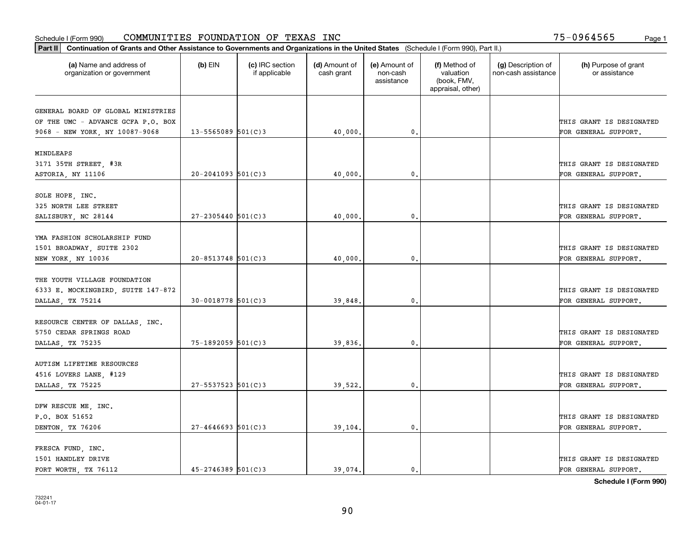| Part II   Continuation of Grants and Other Assistance to Governments and Organizations in the United States (Schedule I (Form 990), Part II.) |                         |                                  |                             |                                         |                                                                |                                           |                                                  |
|-----------------------------------------------------------------------------------------------------------------------------------------------|-------------------------|----------------------------------|-----------------------------|-----------------------------------------|----------------------------------------------------------------|-------------------------------------------|--------------------------------------------------|
| (a) Name and address of<br>organization or government                                                                                         | $(b)$ EIN               | (c) IRC section<br>if applicable | (d) Amount of<br>cash grant | (e) Amount of<br>non-cash<br>assistance | (f) Method of<br>valuation<br>(book, FMV,<br>appraisal, other) | (g) Description of<br>non-cash assistance | (h) Purpose of grant<br>or assistance            |
| GENERAL BOARD OF GLOBAL MINISTRIES                                                                                                            |                         |                                  |                             |                                         |                                                                |                                           |                                                  |
| OF THE UMC - ADVANCE GCFA P.O. BOX                                                                                                            |                         |                                  |                             |                                         |                                                                |                                           | THIS GRANT IS DESIGNATED                         |
| 9068 - NEW YORK, NY 10087-9068                                                                                                                | $13 - 5565089$ 501(C)3  |                                  | 40,000.                     | $\mathfrak{o}$ .                        |                                                                |                                           | FOR GENERAL SUPPORT.                             |
|                                                                                                                                               |                         |                                  |                             |                                         |                                                                |                                           |                                                  |
| MINDLEAPS                                                                                                                                     |                         |                                  |                             |                                         |                                                                |                                           |                                                  |
| 3171 35TH STREET, #3R                                                                                                                         |                         |                                  |                             |                                         |                                                                |                                           | THIS GRANT IS DESIGNATED                         |
| ASTORIA, NY 11106                                                                                                                             | $20 - 2041093$ 501(C)3  |                                  | 40,000                      | 0.                                      |                                                                |                                           | FOR GENERAL SUPPORT.                             |
|                                                                                                                                               |                         |                                  |                             |                                         |                                                                |                                           |                                                  |
| SOLE HOPE, INC.                                                                                                                               |                         |                                  |                             |                                         |                                                                |                                           |                                                  |
| 325 NORTH LEE STREET                                                                                                                          | $27 - 2305440$ 501(C)3  |                                  |                             | $\mathfrak{o}$ .                        |                                                                |                                           | THIS GRANT IS DESIGNATED<br>FOR GENERAL SUPPORT. |
| SALISBURY, NC 28144                                                                                                                           |                         |                                  | 40,000.                     |                                         |                                                                |                                           |                                                  |
| YMA FASHION SCHOLARSHIP FUND                                                                                                                  |                         |                                  |                             |                                         |                                                                |                                           |                                                  |
| 1501 BROADWAY, SUITE 2302                                                                                                                     |                         |                                  |                             |                                         |                                                                |                                           | THIS GRANT IS DESIGNATED                         |
| NEW YORK, NY 10036                                                                                                                            | $20 - 8513748$ 501(C)3  |                                  | 40,000                      | 0.                                      |                                                                |                                           | FOR GENERAL SUPPORT.                             |
|                                                                                                                                               |                         |                                  |                             |                                         |                                                                |                                           |                                                  |
| THE YOUTH VILLAGE FOUNDATION                                                                                                                  |                         |                                  |                             |                                         |                                                                |                                           |                                                  |
| 6333 E. MOCKINGBIRD, SUITE 147-872                                                                                                            |                         |                                  |                             |                                         |                                                                |                                           | THIS GRANT IS DESIGNATED                         |
| DALLAS, TX 75214                                                                                                                              | $30 - 0018778$ 501(C) 3 |                                  | 39,848.                     | 0.                                      |                                                                |                                           | FOR GENERAL SUPPORT.                             |
|                                                                                                                                               |                         |                                  |                             |                                         |                                                                |                                           |                                                  |
| RESOURCE CENTER OF DALLAS, INC.                                                                                                               |                         |                                  |                             |                                         |                                                                |                                           |                                                  |
| 5750 CEDAR SPRINGS ROAD                                                                                                                       |                         |                                  |                             |                                         |                                                                |                                           | THIS GRANT IS DESIGNATED                         |
| DALLAS, TX 75235                                                                                                                              | $75 - 1892059$ 501(C)3  |                                  | 39,836,                     | 0.                                      |                                                                |                                           | FOR GENERAL SUPPORT.                             |
| AUTISM LIFETIME RESOURCES                                                                                                                     |                         |                                  |                             |                                         |                                                                |                                           |                                                  |
| 4516 LOVERS LANE, #129                                                                                                                        |                         |                                  |                             |                                         |                                                                |                                           | THIS GRANT IS DESIGNATED                         |
| DALLAS, TX 75225                                                                                                                              | $27 - 5537523$ 501(C)3  |                                  | 39,522.                     | $\mathfrak{o}$ .                        |                                                                |                                           | FOR GENERAL SUPPORT.                             |
|                                                                                                                                               |                         |                                  |                             |                                         |                                                                |                                           |                                                  |
| DFW RESCUE ME, INC.                                                                                                                           |                         |                                  |                             |                                         |                                                                |                                           |                                                  |
| P.O. BOX 51652                                                                                                                                |                         |                                  |                             |                                         |                                                                |                                           | THIS GRANT IS DESIGNATED                         |
| DENTON, TX 76206                                                                                                                              | $27 - 4646693$ 501(C)3  |                                  | 39,104.                     | $\mathbf{0}$                            |                                                                |                                           | FOR GENERAL SUPPORT.                             |
|                                                                                                                                               |                         |                                  |                             |                                         |                                                                |                                           |                                                  |
| FRESCA FUND, INC.                                                                                                                             |                         |                                  |                             |                                         |                                                                |                                           |                                                  |
| 1501 HANDLEY DRIVE                                                                                                                            |                         |                                  |                             |                                         |                                                                |                                           | THIS GRANT IS DESIGNATED                         |
| FORT WORTH, TX 76112                                                                                                                          | $45 - 2746389$ 501(C)3  |                                  | 39.074.                     | $\mathbf{0}$ .                          |                                                                |                                           | FOR GENERAL SUPPORT.                             |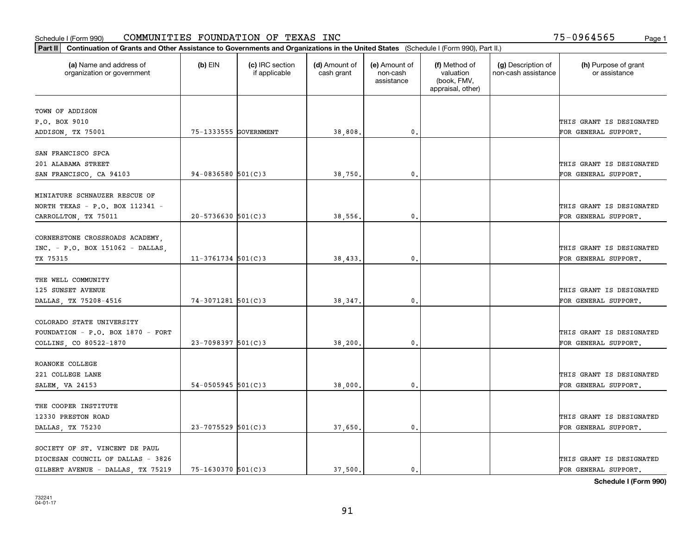| Part II   Continuation of Grants and Other Assistance to Governments and Organizations in the United States (Schedule I (Form 990), Part II.) |                        |                                  |                             |                                         |                                                                |                                           |                                       |
|-----------------------------------------------------------------------------------------------------------------------------------------------|------------------------|----------------------------------|-----------------------------|-----------------------------------------|----------------------------------------------------------------|-------------------------------------------|---------------------------------------|
| (a) Name and address of<br>organization or government                                                                                         | $(b)$ EIN              | (c) IRC section<br>if applicable | (d) Amount of<br>cash grant | (e) Amount of<br>non-cash<br>assistance | (f) Method of<br>valuation<br>(book, FMV,<br>appraisal, other) | (g) Description of<br>non-cash assistance | (h) Purpose of grant<br>or assistance |
| TOWN OF ADDISON                                                                                                                               |                        |                                  |                             |                                         |                                                                |                                           |                                       |
| P.O. BOX 9010                                                                                                                                 |                        |                                  |                             |                                         |                                                                |                                           | THIS GRANT IS DESIGNATED              |
| ADDISON, TX 75001                                                                                                                             | 75-1333555 GOVERNMENT  |                                  | 38,808.                     | $\mathbf{0}$ .                          |                                                                |                                           | FOR GENERAL SUPPORT.                  |
|                                                                                                                                               |                        |                                  |                             |                                         |                                                                |                                           |                                       |
| SAN FRANCISCO SPCA                                                                                                                            |                        |                                  |                             |                                         |                                                                |                                           |                                       |
| 201 ALABAMA STREET                                                                                                                            |                        |                                  |                             |                                         |                                                                |                                           | THIS GRANT IS DESIGNATED              |
| SAN FRANCISCO, CA 94103                                                                                                                       | $94 - 0836580$ 501(C)3 |                                  | 38,750,                     | 0.                                      |                                                                |                                           | FOR GENERAL SUPPORT.                  |
| MINIATURE SCHNAUZER RESCUE OF                                                                                                                 |                        |                                  |                             |                                         |                                                                |                                           |                                       |
| NORTH TEXAS - P.O. BOX 112341 -                                                                                                               |                        |                                  |                             |                                         |                                                                |                                           | THIS GRANT IS DESIGNATED              |
| CARROLLTON, TX 75011                                                                                                                          | $20 - 5736630$ 501(C)3 |                                  | 38,556.                     | $\mathbf{0}$ .                          |                                                                |                                           | FOR GENERAL SUPPORT.                  |
|                                                                                                                                               |                        |                                  |                             |                                         |                                                                |                                           |                                       |
| CORNERSTONE CROSSROADS ACADEMY,                                                                                                               |                        |                                  |                             |                                         |                                                                |                                           |                                       |
| INC. - P.O. BOX 151062 - DALLAS,                                                                                                              |                        |                                  |                             |                                         |                                                                |                                           | THIS GRANT IS DESIGNATED              |
| TX 75315                                                                                                                                      | $11 - 3761734$ 501(C)3 |                                  | 38,433.                     | 0.                                      |                                                                |                                           | FOR GENERAL SUPPORT.                  |
| THE WELL COMMUNITY                                                                                                                            |                        |                                  |                             |                                         |                                                                |                                           |                                       |
| 125 SUNSET AVENUE                                                                                                                             |                        |                                  |                             |                                         |                                                                |                                           | THIS GRANT IS DESIGNATED              |
| DALLAS, TX 75208-4516                                                                                                                         | $74-3071281$ 501(C)3   |                                  | 38, 347.                    | 0.                                      |                                                                |                                           | FOR GENERAL SUPPORT.                  |
|                                                                                                                                               |                        |                                  |                             |                                         |                                                                |                                           |                                       |
| COLORADO STATE UNIVERSITY                                                                                                                     |                        |                                  |                             |                                         |                                                                |                                           |                                       |
| FOUNDATION - P.O. BOX 1870 - FORT                                                                                                             |                        |                                  |                             |                                         |                                                                |                                           | THIS GRANT IS DESIGNATED              |
| COLLINS, CO 80522-1870                                                                                                                        | $23 - 7098397$ 501(C)3 |                                  | 38,200.                     | 0.                                      |                                                                |                                           | FOR GENERAL SUPPORT.                  |
|                                                                                                                                               |                        |                                  |                             |                                         |                                                                |                                           |                                       |
| ROANOKE COLLEGE                                                                                                                               |                        |                                  |                             |                                         |                                                                |                                           |                                       |
| 221 COLLEGE LANE                                                                                                                              |                        |                                  |                             |                                         |                                                                |                                           | THIS GRANT IS DESIGNATED              |
| SALEM, VA 24153                                                                                                                               | $54 - 0505945$ 501(C)3 |                                  | 38,000.                     | 0.                                      |                                                                |                                           | FOR GENERAL SUPPORT.                  |
| THE COOPER INSTITUTE                                                                                                                          |                        |                                  |                             |                                         |                                                                |                                           |                                       |
| 12330 PRESTON ROAD                                                                                                                            |                        |                                  |                             |                                         |                                                                |                                           | THIS GRANT IS DESIGNATED              |
| DALLAS TX 75230                                                                                                                               | $23 - 7075529$ 501(C)3 |                                  | 37,650.                     | $\mathbf{0}$ .                          |                                                                |                                           | FOR GENERAL SUPPORT.                  |
|                                                                                                                                               |                        |                                  |                             |                                         |                                                                |                                           |                                       |
| SOCIETY OF ST. VINCENT DE PAUL                                                                                                                |                        |                                  |                             |                                         |                                                                |                                           |                                       |
| DIOCESAN COUNCIL OF DALLAS - 3826                                                                                                             |                        |                                  |                             |                                         |                                                                |                                           | THIS GRANT IS DESIGNATED              |
| GILBERT AVENUE - DALLAS, TX 75219                                                                                                             | 75-1630370 501(C)3     |                                  | 37,500.                     | $\mathbf{0}$ .                          |                                                                |                                           | FOR GENERAL SUPPORT.                  |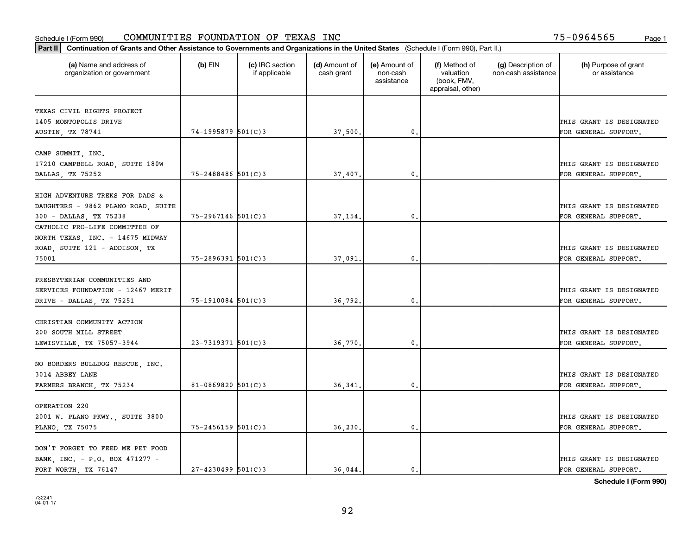| Part II   Continuation of Grants and Other Assistance to Governments and Organizations in the United States (Schedule I (Form 990), Part II.) |                        |                                  |                             |                                         |                                                                |                                           |                                       |  |
|-----------------------------------------------------------------------------------------------------------------------------------------------|------------------------|----------------------------------|-----------------------------|-----------------------------------------|----------------------------------------------------------------|-------------------------------------------|---------------------------------------|--|
| (a) Name and address of<br>organization or government                                                                                         | (b) EIN                | (c) IRC section<br>if applicable | (d) Amount of<br>cash grant | (e) Amount of<br>non-cash<br>assistance | (f) Method of<br>valuation<br>(book, FMV,<br>appraisal, other) | (g) Description of<br>non-cash assistance | (h) Purpose of grant<br>or assistance |  |
| TEXAS CIVIL RIGHTS PROJECT                                                                                                                    |                        |                                  |                             |                                         |                                                                |                                           |                                       |  |
| 1405 MONTOPOLIS DRIVE                                                                                                                         |                        |                                  |                             |                                         |                                                                |                                           | THIS GRANT IS DESIGNATED              |  |
| AUSTIN, TX 78741                                                                                                                              | 74-1995879 501(C)3     |                                  | 37,500.                     | $\mathbf{0}$ .                          |                                                                |                                           | FOR GENERAL SUPPORT.                  |  |
| CAMP SUMMIT, INC.                                                                                                                             |                        |                                  |                             |                                         |                                                                |                                           |                                       |  |
| 17210 CAMPBELL ROAD, SUITE 180W                                                                                                               |                        |                                  |                             |                                         |                                                                |                                           | THIS GRANT IS DESIGNATED              |  |
| DALLAS, TX 75252                                                                                                                              | 75-2488486 501(C)3     |                                  | 37,407                      | $\mathbf{0}$                            |                                                                |                                           | FOR GENERAL SUPPORT.                  |  |
|                                                                                                                                               |                        |                                  |                             |                                         |                                                                |                                           |                                       |  |
| HIGH ADVENTURE TREKS FOR DADS &                                                                                                               |                        |                                  |                             |                                         |                                                                |                                           |                                       |  |
| DAUGHTERS - 9862 PLANO ROAD, SUITE                                                                                                            |                        |                                  |                             |                                         |                                                                |                                           | THIS GRANT IS DESIGNATED              |  |
| 300 - DALLAS, TX 75238                                                                                                                        | 75-2967146 501(C)3     |                                  | 37,154.                     | 0.                                      |                                                                |                                           | FOR GENERAL SUPPORT.                  |  |
| CATHOLIC PRO-LIFE COMMITTEE OF                                                                                                                |                        |                                  |                             |                                         |                                                                |                                           |                                       |  |
| NORTH TEXAS, INC. - 14675 MIDWAY                                                                                                              |                        |                                  |                             |                                         |                                                                |                                           |                                       |  |
| ROAD, SUITE 121 - ADDISON, TX                                                                                                                 |                        |                                  |                             |                                         |                                                                |                                           | THIS GRANT IS DESIGNATED              |  |
| 75001                                                                                                                                         | $75 - 2896391$ 501(C)3 |                                  | 37,091                      | $\mathbf{0}$                            |                                                                |                                           | FOR GENERAL SUPPORT.                  |  |
|                                                                                                                                               |                        |                                  |                             |                                         |                                                                |                                           |                                       |  |
| PRESBYTERIAN COMMUNITIES AND                                                                                                                  |                        |                                  |                             |                                         |                                                                |                                           |                                       |  |
| SERVICES FOUNDATION - 12467 MERIT                                                                                                             |                        |                                  |                             |                                         |                                                                |                                           | THIS GRANT IS DESIGNATED              |  |
| DRIVE - DALLAS, TX 75251                                                                                                                      | $75-1910084$ 501(C)3   |                                  | 36,792.                     | $\mathbf{0}$                            |                                                                |                                           | FOR GENERAL SUPPORT.                  |  |
| CHRISTIAN COMMUNITY ACTION                                                                                                                    |                        |                                  |                             |                                         |                                                                |                                           |                                       |  |
| 200 SOUTH MILL STREET                                                                                                                         |                        |                                  |                             |                                         |                                                                |                                           | THIS GRANT IS DESIGNATED              |  |
| LEWISVILLE, TX 75057-3944                                                                                                                     | $23 - 7319371$ 501(C)3 |                                  | 36,770                      | 0.                                      |                                                                |                                           | FOR GENERAL SUPPORT.                  |  |
|                                                                                                                                               |                        |                                  |                             |                                         |                                                                |                                           |                                       |  |
| NO BORDERS BULLDOG RESCUE, INC.                                                                                                               |                        |                                  |                             |                                         |                                                                |                                           |                                       |  |
| 3014 ABBEY LANE                                                                                                                               |                        |                                  |                             |                                         |                                                                |                                           | THIS GRANT IS DESIGNATED              |  |
| FARMERS BRANCH, TX 75234                                                                                                                      | $81 - 0869820$ 501(C)3 |                                  | 36,341                      | 0.                                      |                                                                |                                           | FOR GENERAL SUPPORT.                  |  |
| OPERATION 220                                                                                                                                 |                        |                                  |                             |                                         |                                                                |                                           |                                       |  |
| 2001 W. PLANO PKWY., SUITE 3800                                                                                                               |                        |                                  |                             |                                         |                                                                |                                           | THIS GRANT IS DESIGNATED              |  |
| PLANO, TX 75075                                                                                                                               | $75 - 2456159$ 501(C)3 |                                  | 36,230                      | 0.                                      |                                                                |                                           | FOR GENERAL SUPPORT.                  |  |
|                                                                                                                                               |                        |                                  |                             |                                         |                                                                |                                           |                                       |  |
| DON'T FORGET TO FEED ME PET FOOD                                                                                                              |                        |                                  |                             |                                         |                                                                |                                           |                                       |  |
| BANK, INC. - P.O. BOX 471277 -                                                                                                                |                        |                                  |                             |                                         |                                                                |                                           | THIS GRANT IS DESIGNATED              |  |
| FORT WORTH TX 76147                                                                                                                           | $27 - 4230499$ 501(C)3 |                                  | 36,044.                     | 0.                                      |                                                                |                                           | FOR GENERAL SUPPORT.                  |  |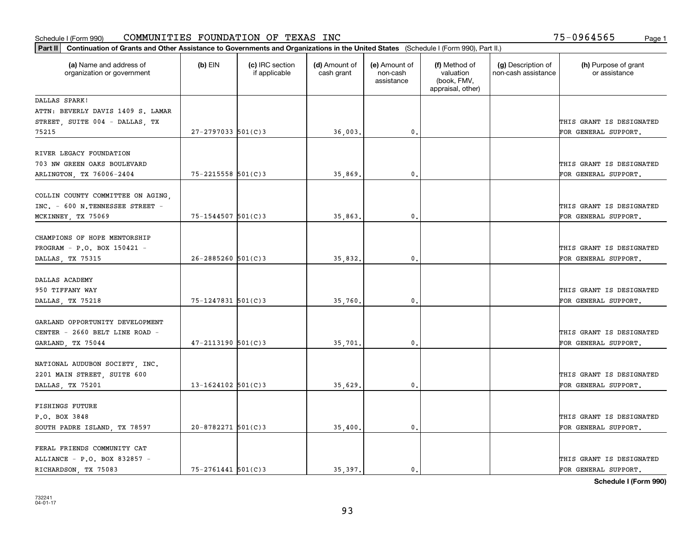| Part II   Continuation of Grants and Other Assistance to Governments and Organizations in the United States (Schedule I (Form 990), Part II.) |                          |                                  |                             |                                         |                                                                |                                           |                                                  |
|-----------------------------------------------------------------------------------------------------------------------------------------------|--------------------------|----------------------------------|-----------------------------|-----------------------------------------|----------------------------------------------------------------|-------------------------------------------|--------------------------------------------------|
| (a) Name and address of<br>organization or government                                                                                         | $(b)$ EIN                | (c) IRC section<br>if applicable | (d) Amount of<br>cash grant | (e) Amount of<br>non-cash<br>assistance | (f) Method of<br>valuation<br>(book, FMV,<br>appraisal, other) | (g) Description of<br>non-cash assistance | (h) Purpose of grant<br>or assistance            |
| DALLAS SPARK!                                                                                                                                 |                          |                                  |                             |                                         |                                                                |                                           |                                                  |
| ATTN: BEVERLY DAVIS 1409 S. LAMAR                                                                                                             |                          |                                  |                             |                                         |                                                                |                                           |                                                  |
| STREET, SUITE 004 - DALLAS, TX                                                                                                                |                          |                                  |                             |                                         |                                                                |                                           | THIS GRANT IS DESIGNATED                         |
| 75215                                                                                                                                         | $27 - 2797033$ 501(C)3   |                                  | 36,003.                     | 0.                                      |                                                                |                                           | FOR GENERAL SUPPORT.                             |
| RIVER LEGACY FOUNDATION                                                                                                                       |                          |                                  |                             |                                         |                                                                |                                           |                                                  |
| 703 NW GREEN OAKS BOULEVARD                                                                                                                   |                          |                                  |                             |                                         |                                                                |                                           | THIS GRANT IS DESIGNATED                         |
| ARLINGTON, TX 76006-2404                                                                                                                      | $75 - 2215558$ $501(C)3$ |                                  | 35,869                      | 0.                                      |                                                                |                                           | FOR GENERAL SUPPORT.                             |
|                                                                                                                                               |                          |                                  |                             |                                         |                                                                |                                           |                                                  |
| COLLIN COUNTY COMMITTEE ON AGING,                                                                                                             |                          |                                  |                             |                                         |                                                                |                                           |                                                  |
| INC. - 600 N.TENNESSEE STREET -                                                                                                               |                          |                                  |                             |                                         |                                                                |                                           | THIS GRANT IS DESIGNATED                         |
| MCKINNEY, TX 75069                                                                                                                            | $75 - 1544507$ 501(C)3   |                                  | 35,863.                     | $\mathbf{0}$                            |                                                                |                                           | FOR GENERAL SUPPORT.                             |
|                                                                                                                                               |                          |                                  |                             |                                         |                                                                |                                           |                                                  |
| CHAMPIONS OF HOPE MENTORSHIP                                                                                                                  |                          |                                  |                             |                                         |                                                                |                                           |                                                  |
| PROGRAM - P.O. BOX 150421 -                                                                                                                   |                          |                                  |                             |                                         |                                                                |                                           | THIS GRANT IS DESIGNATED                         |
| DALLAS, TX 75315                                                                                                                              | $26 - 2885260$ 501(C)3   |                                  | 35,832.                     | 0.                                      |                                                                |                                           | FOR GENERAL SUPPORT.                             |
| DALLAS ACADEMY                                                                                                                                |                          |                                  |                             |                                         |                                                                |                                           |                                                  |
|                                                                                                                                               |                          |                                  |                             |                                         |                                                                |                                           |                                                  |
| 950 TIFFANY WAY                                                                                                                               | $75 - 1247831$ 501(C)3   |                                  |                             | $\mathbf{0}$ .                          |                                                                |                                           | THIS GRANT IS DESIGNATED<br>FOR GENERAL SUPPORT. |
| DALLAS, TX 75218                                                                                                                              |                          |                                  | 35,760                      |                                         |                                                                |                                           |                                                  |
| GARLAND OPPORTUNITY DEVELOPMENT                                                                                                               |                          |                                  |                             |                                         |                                                                |                                           |                                                  |
| CENTER - 2660 BELT LINE ROAD -                                                                                                                |                          |                                  |                             |                                         |                                                                |                                           | THIS GRANT IS DESIGNATED                         |
| GARLAND, TX 75044                                                                                                                             | $47 - 2113190$ 501(C)3   |                                  | 35,701.                     | 0.                                      |                                                                |                                           | FOR GENERAL SUPPORT.                             |
|                                                                                                                                               |                          |                                  |                             |                                         |                                                                |                                           |                                                  |
| NATIONAL AUDUBON SOCIETY, INC.                                                                                                                |                          |                                  |                             |                                         |                                                                |                                           |                                                  |
| 2201 MAIN STREET, SUITE 600                                                                                                                   |                          |                                  |                             |                                         |                                                                |                                           | THIS GRANT IS DESIGNATED                         |
| DALLAS, TX 75201                                                                                                                              | $13 - 1624102$ 501(C)3   |                                  | 35,629.                     | 0.                                      |                                                                |                                           | FOR GENERAL SUPPORT.                             |
|                                                                                                                                               |                          |                                  |                             |                                         |                                                                |                                           |                                                  |
| <b>FISHINGS FUTURE</b><br>P.O. BOX 3848                                                                                                       |                          |                                  |                             |                                         |                                                                |                                           | THIS GRANT IS DESIGNATED                         |
|                                                                                                                                               | $20 - 8782271$ 501(C)3   |                                  |                             | $\mathfrak{o}$ .                        |                                                                |                                           |                                                  |
| SOUTH PADRE ISLAND, TX 78597                                                                                                                  |                          |                                  | 35,400.                     |                                         |                                                                |                                           | FOR GENERAL SUPPORT.                             |
| FERAL FRIENDS COMMUNITY CAT                                                                                                                   |                          |                                  |                             |                                         |                                                                |                                           |                                                  |
| ALLIANCE - P.O. BOX 832857 -                                                                                                                  |                          |                                  |                             |                                         |                                                                |                                           | THIS GRANT IS DESIGNATED                         |
| RICHARDSON, TX 75083                                                                                                                          | $75 - 2761441$ 501(C)3   |                                  | 35, 397.                    | $\mathbf{0}$ .                          |                                                                |                                           | FOR GENERAL SUPPORT.                             |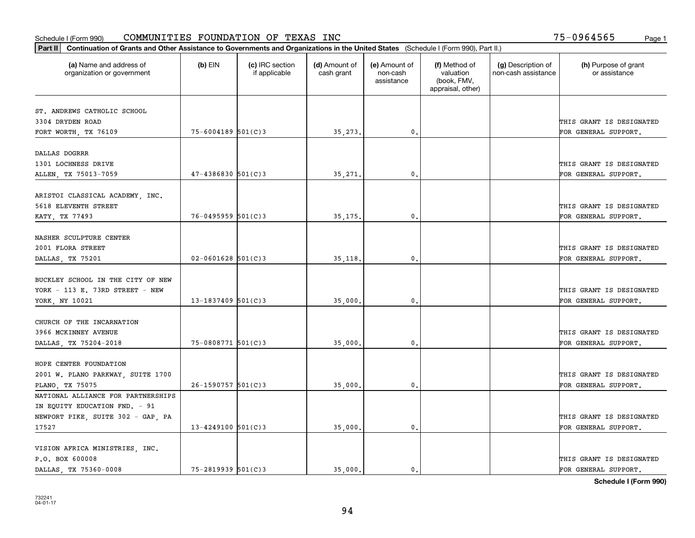| Part II   Continuation of Grants and Other Assistance to Governments and Organizations in the United States (Schedule I (Form 990), Part II.) |                        |                                  |                             |                                         |                                                                |                                           |                                       |
|-----------------------------------------------------------------------------------------------------------------------------------------------|------------------------|----------------------------------|-----------------------------|-----------------------------------------|----------------------------------------------------------------|-------------------------------------------|---------------------------------------|
| (a) Name and address of<br>organization or government                                                                                         | $(b)$ EIN              | (c) IRC section<br>if applicable | (d) Amount of<br>cash grant | (e) Amount of<br>non-cash<br>assistance | (f) Method of<br>valuation<br>(book, FMV,<br>appraisal, other) | (g) Description of<br>non-cash assistance | (h) Purpose of grant<br>or assistance |
|                                                                                                                                               |                        |                                  |                             |                                         |                                                                |                                           |                                       |
| ST. ANDREWS CATHOLIC SCHOOL<br>3304 DRYDEN ROAD                                                                                               |                        |                                  |                             |                                         |                                                                |                                           | THIS GRANT IS DESIGNATED              |
| FORT WORTH, TX 76109                                                                                                                          | $75 - 6004189$ 501(C)3 |                                  | 35,273.                     | 0.                                      |                                                                |                                           | FOR GENERAL SUPPORT.                  |
|                                                                                                                                               |                        |                                  |                             |                                         |                                                                |                                           |                                       |
| DALLAS DOGRRR                                                                                                                                 |                        |                                  |                             |                                         |                                                                |                                           |                                       |
| 1301 LOCHNESS DRIVE                                                                                                                           |                        |                                  |                             |                                         |                                                                |                                           | THIS GRANT IS DESIGNATED              |
| ALLEN, TX 75013-7059                                                                                                                          | $47 - 4386830$ 501(C)3 |                                  | 35,271.                     | 0.                                      |                                                                |                                           | FOR GENERAL SUPPORT.                  |
|                                                                                                                                               |                        |                                  |                             |                                         |                                                                |                                           |                                       |
| ARISTOI CLASSICAL ACADEMY, INC.                                                                                                               |                        |                                  |                             |                                         |                                                                |                                           |                                       |
| 5618 ELEVENTH STREET                                                                                                                          |                        |                                  |                             |                                         |                                                                |                                           | THIS GRANT IS DESIGNATED              |
| KATY, TX 77493                                                                                                                                | $76 - 0495959$ 501(C)3 |                                  | 35,175.                     | 0.                                      |                                                                |                                           | FOR GENERAL SUPPORT.                  |
|                                                                                                                                               |                        |                                  |                             |                                         |                                                                |                                           |                                       |
| NASHER SCULPTURE CENTER                                                                                                                       |                        |                                  |                             |                                         |                                                                |                                           |                                       |
| 2001 FLORA STREET                                                                                                                             |                        |                                  |                             |                                         |                                                                |                                           | THIS GRANT IS DESIGNATED              |
| DALLAS, TX 75201                                                                                                                              | $02 - 0601628$ 501(C)3 |                                  | 35,118.                     | 0.                                      |                                                                |                                           | FOR GENERAL SUPPORT.                  |
|                                                                                                                                               |                        |                                  |                             |                                         |                                                                |                                           |                                       |
| BUCKLEY SCHOOL IN THE CITY OF NEW                                                                                                             |                        |                                  |                             |                                         |                                                                |                                           |                                       |
| YORK - 113 E. 73RD STREET - NEW                                                                                                               |                        |                                  |                             |                                         |                                                                |                                           | THIS GRANT IS DESIGNATED              |
| YORK, NY 10021                                                                                                                                | $13 - 1837409$ 501(C)3 |                                  | 35,000                      | 0.                                      |                                                                |                                           | FOR GENERAL SUPPORT.                  |
|                                                                                                                                               |                        |                                  |                             |                                         |                                                                |                                           |                                       |
| CHURCH OF THE INCARNATION                                                                                                                     |                        |                                  |                             |                                         |                                                                |                                           |                                       |
| 3966 MCKINNEY AVENUE                                                                                                                          |                        |                                  |                             |                                         |                                                                |                                           | THIS GRANT IS DESIGNATED              |
| DALLAS, TX 75204-2018                                                                                                                         | 75-0808771 501(C)3     |                                  | 35,000                      | 0.                                      |                                                                |                                           | FOR GENERAL SUPPORT.                  |
| HOPE CENTER FOUNDATION                                                                                                                        |                        |                                  |                             |                                         |                                                                |                                           |                                       |
| 2001 W. PLANO PARKWAY, SUITE 1700                                                                                                             |                        |                                  |                             |                                         |                                                                |                                           | THIS GRANT IS DESIGNATED              |
| PLANO, TX 75075                                                                                                                               | $26 - 1590757$ 501(C)3 |                                  | 35,000.                     | 0.                                      |                                                                |                                           | FOR GENERAL SUPPORT.                  |
| NATIONAL ALLIANCE FOR PARTNERSHIPS                                                                                                            |                        |                                  |                             |                                         |                                                                |                                           |                                       |
| IN EQUITY EDUCATION FND. - 91                                                                                                                 |                        |                                  |                             |                                         |                                                                |                                           |                                       |
| NEWPORT PIKE, SUITE 302 - GAP, PA                                                                                                             |                        |                                  |                             |                                         |                                                                |                                           | THIS GRANT IS DESIGNATED              |
| 17527                                                                                                                                         | $13 - 4249100$ 501(C)3 |                                  | 35,000.                     | 0.                                      |                                                                |                                           | FOR GENERAL SUPPORT.                  |
|                                                                                                                                               |                        |                                  |                             |                                         |                                                                |                                           |                                       |
| VISION AFRICA MINISTRIES, INC.                                                                                                                |                        |                                  |                             |                                         |                                                                |                                           |                                       |
| P.O. BOX 600008                                                                                                                               |                        |                                  |                             |                                         |                                                                |                                           | THIS GRANT IS DESIGNATED              |
| DALLAS TX 75360-0008                                                                                                                          | $75 - 2819939$ 501(C)3 |                                  | 35,000.                     | 0.                                      |                                                                |                                           | FOR GENERAL SUPPORT.                  |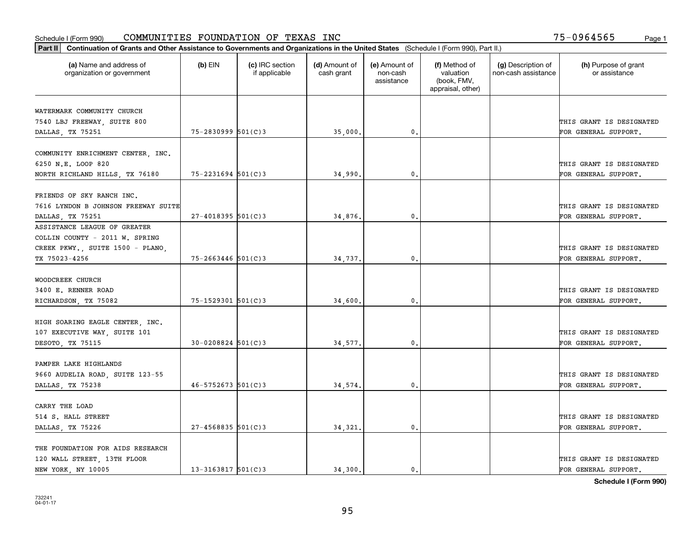| (a) Name and address of<br>organization or government            | $(b)$ EIN                | (c) IRC section<br>if applicable | (d) Amount of<br>cash grant | (e) Amount of<br>non-cash<br>assistance | (f) Method of<br>valuation<br>(book, FMV,<br>appraisal, other) | (g) Description of<br>non-cash assistance | (h) Purpose of grant<br>or assistance |
|------------------------------------------------------------------|--------------------------|----------------------------------|-----------------------------|-----------------------------------------|----------------------------------------------------------------|-------------------------------------------|---------------------------------------|
| WATERMARK COMMUNITY CHURCH                                       |                          |                                  |                             |                                         |                                                                |                                           |                                       |
| 7540 LBJ FREEWAY, SUITE 800                                      |                          |                                  |                             |                                         |                                                                |                                           | THIS GRANT IS DESIGNATED              |
| DALLAS, TX 75251                                                 | $75 - 2830999$ 501(C)3   |                                  | 35,000.                     | 0.                                      |                                                                |                                           | FOR GENERAL SUPPORT.                  |
| COMMUNITY ENRICHMENT CENTER, INC.                                |                          |                                  |                             |                                         |                                                                |                                           |                                       |
| 6250 N.E. LOOP 820                                               |                          |                                  |                             |                                         |                                                                |                                           | THIS GRANT IS DESIGNATED              |
| NORTH RICHLAND HILLS, TX 76180                                   | $75 - 2231694$ 501(C)3   |                                  | 34,990.                     | 0.                                      |                                                                |                                           | FOR GENERAL SUPPORT.                  |
|                                                                  |                          |                                  |                             |                                         |                                                                |                                           |                                       |
| FRIENDS OF SKY RANCH INC.<br>7616 LYNDON B JOHNSON FREEWAY SUITE |                          |                                  |                             |                                         |                                                                |                                           | THIS GRANT IS DESIGNATED              |
| DALLAS, TX 75251                                                 | $27 - 4018395$ 501(C)3   |                                  | 34,876.                     | $\mathbf 0$ .                           |                                                                |                                           | FOR GENERAL SUPPORT.                  |
| ASSISTANCE LEAGUE OF GREATER                                     |                          |                                  |                             |                                         |                                                                |                                           |                                       |
| COLLIN COUNTY - 2011 W. SPRING                                   |                          |                                  |                             |                                         |                                                                |                                           |                                       |
| CREEK PKWY., SUITE 1500 - PLANO,                                 |                          |                                  |                             |                                         |                                                                |                                           | THIS GRANT IS DESIGNATED              |
| TX 75023-4256                                                    | $75 - 2663446$ 501(C)3   |                                  | 34,737.                     | 0.                                      |                                                                |                                           | FOR GENERAL SUPPORT.                  |
|                                                                  |                          |                                  |                             |                                         |                                                                |                                           |                                       |
| WOODCREEK CHURCH                                                 |                          |                                  |                             |                                         |                                                                |                                           |                                       |
| 3400 E. RENNER ROAD                                              |                          |                                  |                             |                                         |                                                                |                                           | THIS GRANT IS DESIGNATED              |
| RICHARDSON, TX 75082                                             | $75 - 1529301$ 501(C)3   |                                  | 34,600.                     | $\mathbf{0}$                            |                                                                |                                           | FOR GENERAL SUPPORT.                  |
| HIGH SOARING EAGLE CENTER, INC.                                  |                          |                                  |                             |                                         |                                                                |                                           |                                       |
| 107 EXECUTIVE WAY, SUITE 101                                     |                          |                                  |                             |                                         |                                                                |                                           | THIS GRANT IS DESIGNATED              |
| DESOTO, TX 75115                                                 | $30 - 0208824$ 501(C) 3  |                                  | 34,577.                     | $\mathfrak o$ .                         |                                                                |                                           | FOR GENERAL SUPPORT.                  |
|                                                                  |                          |                                  |                             |                                         |                                                                |                                           |                                       |
| PAMPER LAKE HIGHLANDS                                            |                          |                                  |                             |                                         |                                                                |                                           |                                       |
| 9660 AUDELIA ROAD, SUITE 123-55                                  |                          |                                  |                             |                                         |                                                                |                                           | THIS GRANT IS DESIGNATED              |
| DALLAS, TX 75238                                                 | $46 - 5752673$ 501(C) 3  |                                  | 34,574.                     | $\mathfrak{o}$ .                        |                                                                |                                           | FOR GENERAL SUPPORT.                  |
| CARRY THE LOAD                                                   |                          |                                  |                             |                                         |                                                                |                                           |                                       |
| 514 S. HALL STREET                                               |                          |                                  |                             |                                         |                                                                |                                           | THIS GRANT IS DESIGNATED              |
| DALLAS, TX 75226                                                 | $27 - 4568835$ 501(C)3   |                                  | 34,321.                     | $\mathbf{0}$ .                          |                                                                |                                           | FOR GENERAL SUPPORT.                  |
| THE FOUNDATION FOR AIDS RESEARCH                                 |                          |                                  |                             |                                         |                                                                |                                           |                                       |
| 120 WALL STREET, 13TH FLOOR                                      |                          |                                  |                             |                                         |                                                                |                                           | THIS GRANT IS DESIGNATED              |
| NEW YORK, NY 10005                                               | $13 - 3163817$ $501(C)3$ |                                  | 34.300.                     | 0.                                      |                                                                |                                           | FOR GENERAL SUPPORT.                  |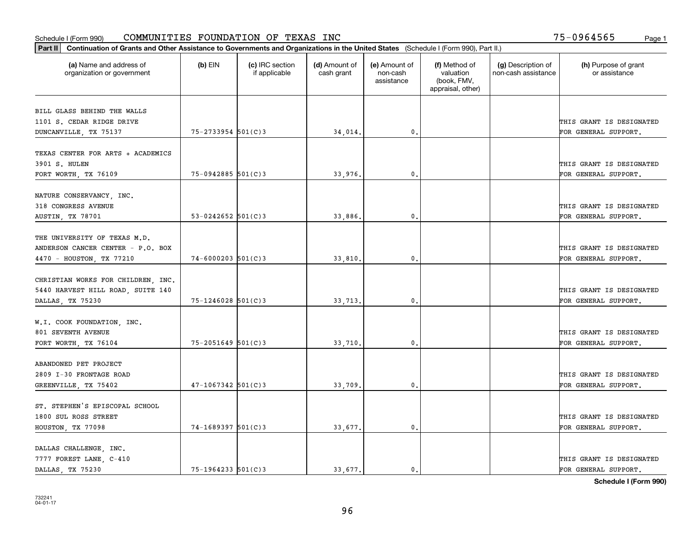|                                                                            | Part II   Continuation of Grants and Other Assistance to Governments and Organizations in the United States (Schedule I (Form 990), Part II.) |                                  |                             |                                         |                                                                |                                           |                                                  |  |  |  |  |
|----------------------------------------------------------------------------|-----------------------------------------------------------------------------------------------------------------------------------------------|----------------------------------|-----------------------------|-----------------------------------------|----------------------------------------------------------------|-------------------------------------------|--------------------------------------------------|--|--|--|--|
| (a) Name and address of<br>organization or government                      | $(b)$ EIN                                                                                                                                     | (c) IRC section<br>if applicable | (d) Amount of<br>cash grant | (e) Amount of<br>non-cash<br>assistance | (f) Method of<br>valuation<br>(book, FMV,<br>appraisal, other) | (g) Description of<br>non-cash assistance | (h) Purpose of grant<br>or assistance            |  |  |  |  |
|                                                                            |                                                                                                                                               |                                  |                             |                                         |                                                                |                                           |                                                  |  |  |  |  |
| BILL GLASS BEHIND THE WALLS<br>1101 S. CEDAR RIDGE DRIVE                   |                                                                                                                                               |                                  |                             |                                         |                                                                |                                           | THIS GRANT IS DESIGNATED                         |  |  |  |  |
| DUNCANVILLE, TX 75137                                                      | 75-2733954 501(C)3                                                                                                                            |                                  | 34,014.                     | 0.                                      |                                                                |                                           | FOR GENERAL SUPPORT.                             |  |  |  |  |
|                                                                            |                                                                                                                                               |                                  |                             |                                         |                                                                |                                           |                                                  |  |  |  |  |
| TEXAS CENTER FOR ARTS + ACADEMICS<br>3901 S. HULEN                         |                                                                                                                                               |                                  |                             |                                         |                                                                |                                           | THIS GRANT IS DESIGNATED                         |  |  |  |  |
| FORT WORTH, TX 76109                                                       | $75 - 0942885$ 501(C)3                                                                                                                        |                                  | 33,976.                     | 0.                                      |                                                                |                                           | FOR GENERAL SUPPORT.                             |  |  |  |  |
| NATURE CONSERVANCY, INC.<br>318 CONGRESS AVENUE<br><b>AUSTIN, TX 78701</b> | 53-0242652 $501(C)$ 3                                                                                                                         |                                  | 33,886.                     | $\mathbf{0}$ .                          |                                                                |                                           | THIS GRANT IS DESIGNATED<br>FOR GENERAL SUPPORT. |  |  |  |  |
|                                                                            |                                                                                                                                               |                                  |                             |                                         |                                                                |                                           |                                                  |  |  |  |  |
| THE UNIVERSITY OF TEXAS M.D.<br>ANDERSON CANCER CENTER - P.O. BOX          |                                                                                                                                               |                                  |                             |                                         |                                                                |                                           | THIS GRANT IS DESIGNATED                         |  |  |  |  |
| 4470 - HOUSTON, TX 77210                                                   | $74 - 6000203$ 501(C)3                                                                                                                        |                                  | 33,810.                     | $\mathbf{0}$ .                          |                                                                |                                           | FOR GENERAL SUPPORT.                             |  |  |  |  |
| CHRISTIAN WORKS FOR CHILDREN, INC.<br>5440 HARVEST HILL ROAD, SUITE 140    |                                                                                                                                               |                                  |                             |                                         |                                                                |                                           | THIS GRANT IS DESIGNATED                         |  |  |  |  |
| DALLAS, TX 75230                                                           | $75 - 1246028$ 501(C)3                                                                                                                        |                                  | 33,713.                     | 0.                                      |                                                                |                                           | FOR GENERAL SUPPORT.                             |  |  |  |  |
| W.I. COOK FOUNDATION, INC.<br>801 SEVENTH AVENUE<br>FORT WORTH, TX 76104   | $75 - 2051649$ 501(C)3                                                                                                                        |                                  | 33,710.                     | 0.                                      |                                                                |                                           | THIS GRANT IS DESIGNATED<br>FOR GENERAL SUPPORT. |  |  |  |  |
|                                                                            |                                                                                                                                               |                                  |                             |                                         |                                                                |                                           |                                                  |  |  |  |  |
| ABANDONED PET PROJECT<br>2809 I-30 FRONTAGE ROAD                           |                                                                                                                                               |                                  |                             |                                         |                                                                |                                           | THIS GRANT IS DESIGNATED                         |  |  |  |  |
| GREENVILLE, TX 75402                                                       | $47 - 1067342$ 501(C)3                                                                                                                        |                                  | 33,709.                     | $\mathfrak{o}$ .                        |                                                                |                                           | FOR GENERAL SUPPORT.                             |  |  |  |  |
| ST. STEPHEN'S EPISCOPAL SCHOOL<br>1800 SUL ROSS STREET                     |                                                                                                                                               |                                  |                             |                                         |                                                                |                                           | THIS GRANT IS DESIGNATED                         |  |  |  |  |
| HOUSTON, TX 77098                                                          | $74-1689397$ 501(C)3                                                                                                                          |                                  | 33,677.                     | $\mathfrak o$ .                         |                                                                |                                           | FOR GENERAL SUPPORT.                             |  |  |  |  |
|                                                                            |                                                                                                                                               |                                  |                             |                                         |                                                                |                                           |                                                  |  |  |  |  |
| DALLAS CHALLENGE, INC.                                                     |                                                                                                                                               |                                  |                             |                                         |                                                                |                                           |                                                  |  |  |  |  |
| 7777 FOREST LANE, C-410<br>DALLAS, TX 75230                                | $75 - 1964233$ 501(C)3                                                                                                                        |                                  | 33.677.                     | $\mathbf{0}$ .                          |                                                                |                                           | THIS GRANT IS DESIGNATED<br>FOR GENERAL SUPPORT. |  |  |  |  |
|                                                                            |                                                                                                                                               |                                  |                             |                                         |                                                                |                                           |                                                  |  |  |  |  |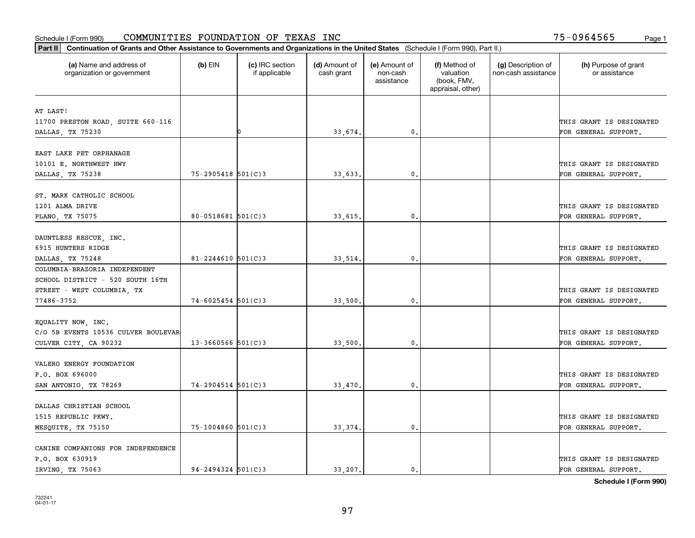|                                                       | Part II   Continuation of Grants and Other Assistance to Governments and Organizations in the United States (Schedule I (Form 990), Part II.) |                                  |                             |                                         |                                                                |                                           |                                       |  |  |  |  |
|-------------------------------------------------------|-----------------------------------------------------------------------------------------------------------------------------------------------|----------------------------------|-----------------------------|-----------------------------------------|----------------------------------------------------------------|-------------------------------------------|---------------------------------------|--|--|--|--|
| (a) Name and address of<br>organization or government | $(b)$ EIN                                                                                                                                     | (c) IRC section<br>if applicable | (d) Amount of<br>cash grant | (e) Amount of<br>non-cash<br>assistance | (f) Method of<br>valuation<br>(book, FMV,<br>appraisal, other) | (g) Description of<br>non-cash assistance | (h) Purpose of grant<br>or assistance |  |  |  |  |
| AT LAST!                                              |                                                                                                                                               |                                  |                             |                                         |                                                                |                                           |                                       |  |  |  |  |
| 11700 PRESTON ROAD, SUITE 660-116                     |                                                                                                                                               |                                  |                             |                                         |                                                                |                                           | THIS GRANT IS DESIGNATED              |  |  |  |  |
| DALLAS, TX 75230                                      |                                                                                                                                               |                                  | 33,674.                     | 0.                                      |                                                                |                                           | FOR GENERAL SUPPORT.                  |  |  |  |  |
|                                                       |                                                                                                                                               |                                  |                             |                                         |                                                                |                                           |                                       |  |  |  |  |
| EAST LAKE PET ORPHANAGE                               |                                                                                                                                               |                                  |                             |                                         |                                                                |                                           |                                       |  |  |  |  |
| 10101 E. NORTHWEST HWY                                |                                                                                                                                               |                                  |                             |                                         |                                                                |                                           | THIS GRANT IS DESIGNATED              |  |  |  |  |
| DALLAS, TX 75238                                      | $75 - 2905418$ 501(C)3                                                                                                                        |                                  | 33,633.                     | 0.                                      |                                                                |                                           | FOR GENERAL SUPPORT.                  |  |  |  |  |
|                                                       |                                                                                                                                               |                                  |                             |                                         |                                                                |                                           |                                       |  |  |  |  |
| ST. MARK CATHOLIC SCHOOL                              |                                                                                                                                               |                                  |                             |                                         |                                                                |                                           |                                       |  |  |  |  |
| 1201 ALMA DRIVE                                       |                                                                                                                                               |                                  |                             |                                         |                                                                |                                           | THIS GRANT IS DESIGNATED              |  |  |  |  |
| PLANO, TX 75075                                       | $80 - 0518681$ 501(C)3                                                                                                                        |                                  | 33,615.                     | $\mathbf{0}$ .                          |                                                                |                                           | FOR GENERAL SUPPORT.                  |  |  |  |  |
|                                                       |                                                                                                                                               |                                  |                             |                                         |                                                                |                                           |                                       |  |  |  |  |
| DAUNTLESS RESCUE, INC.                                |                                                                                                                                               |                                  |                             |                                         |                                                                |                                           |                                       |  |  |  |  |
| 6915 HUNTERS RIDGE                                    | $81 - 2244610$ 501(C)3                                                                                                                        |                                  |                             | $\mathbf{0}$                            |                                                                |                                           | THIS GRANT IS DESIGNATED              |  |  |  |  |
| DALLAS, TX 75248<br>COLUMBIA-BRAZORIA INDEPENDENT     |                                                                                                                                               |                                  | 33,514.                     |                                         |                                                                |                                           | FOR GENERAL SUPPORT.                  |  |  |  |  |
| SCHOOL DISTRICT - 520 SOUTH 16TH                      |                                                                                                                                               |                                  |                             |                                         |                                                                |                                           |                                       |  |  |  |  |
| STREET - WEST COLUMBIA, TX                            |                                                                                                                                               |                                  |                             |                                         |                                                                |                                           | THIS GRANT IS DESIGNATED              |  |  |  |  |
| 77486-3752                                            | $74 - 6025454$ 501(C)3                                                                                                                        |                                  | 33,500                      | $\mathbf{0}$                            |                                                                |                                           | FOR GENERAL SUPPORT.                  |  |  |  |  |
|                                                       |                                                                                                                                               |                                  |                             |                                         |                                                                |                                           |                                       |  |  |  |  |
| EQUALITY NOW, INC.                                    |                                                                                                                                               |                                  |                             |                                         |                                                                |                                           |                                       |  |  |  |  |
| C/O 5B EVENTS 10536 CULVER BOULEVAR                   |                                                                                                                                               |                                  |                             |                                         |                                                                |                                           | THIS GRANT IS DESIGNATED              |  |  |  |  |
| CULVER CITY, CA 90232                                 | $13 - 3660566$ 501(C)3                                                                                                                        |                                  | 33,500.                     | 0.                                      |                                                                |                                           | FOR GENERAL SUPPORT.                  |  |  |  |  |
|                                                       |                                                                                                                                               |                                  |                             |                                         |                                                                |                                           |                                       |  |  |  |  |
| VALERO ENERGY FOUNDATION                              |                                                                                                                                               |                                  |                             |                                         |                                                                |                                           |                                       |  |  |  |  |
| P.O. BOX 696000                                       |                                                                                                                                               |                                  |                             |                                         |                                                                |                                           | THIS GRANT IS DESIGNATED              |  |  |  |  |
| SAN ANTONIO, TX 78269                                 | $74 - 2904514$ 501(C)3                                                                                                                        |                                  | 33,470.                     | $^{\rm 0}$ .                            |                                                                |                                           | FOR GENERAL SUPPORT.                  |  |  |  |  |
|                                                       |                                                                                                                                               |                                  |                             |                                         |                                                                |                                           |                                       |  |  |  |  |
| DALLAS CHRISTIAN SCHOOL                               |                                                                                                                                               |                                  |                             |                                         |                                                                |                                           |                                       |  |  |  |  |
| 1515 REPUBLIC PKWY.                                   |                                                                                                                                               |                                  |                             |                                         |                                                                |                                           | THIS GRANT IS DESIGNATED              |  |  |  |  |
| MESQUITE, TX 75150                                    | $75 - 1004860$ 501(C)3                                                                                                                        |                                  | 33, 374.                    | $\mathfrak{o}$ .                        |                                                                |                                           | FOR GENERAL SUPPORT.                  |  |  |  |  |
|                                                       |                                                                                                                                               |                                  |                             |                                         |                                                                |                                           |                                       |  |  |  |  |
| CANINE COMPANIONS FOR INDEPENDENCE<br>P.O. BOX 630919 |                                                                                                                                               |                                  |                             |                                         |                                                                |                                           | THIS GRANT IS DESIGNATED              |  |  |  |  |
| IRVING, TX 75063                                      | $94 - 2494324$ 501(C)3                                                                                                                        |                                  | 33.207.                     | $\mathbf{0}$ .                          |                                                                |                                           | FOR GENERAL SUPPORT.                  |  |  |  |  |
|                                                       |                                                                                                                                               |                                  |                             |                                         |                                                                |                                           |                                       |  |  |  |  |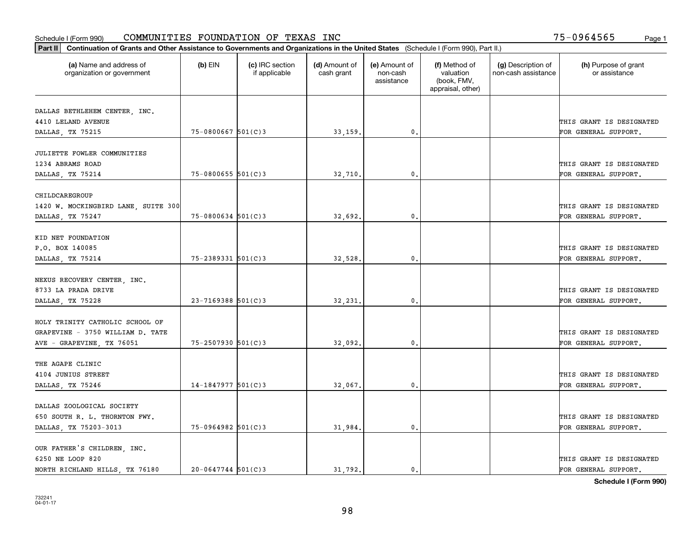| Part II   Continuation of Grants and Other Assistance to Governments and Organizations in the United States (Schedule I (Form 990), Part II.) |                        |                                  |                             |                                         |                                                                |                                           |                                       |
|-----------------------------------------------------------------------------------------------------------------------------------------------|------------------------|----------------------------------|-----------------------------|-----------------------------------------|----------------------------------------------------------------|-------------------------------------------|---------------------------------------|
| (a) Name and address of<br>organization or government                                                                                         | $(b)$ EIN              | (c) IRC section<br>if applicable | (d) Amount of<br>cash grant | (e) Amount of<br>non-cash<br>assistance | (f) Method of<br>valuation<br>(book, FMV,<br>appraisal, other) | (g) Description of<br>non-cash assistance | (h) Purpose of grant<br>or assistance |
| DALLAS BETHLEHEM CENTER, INC.                                                                                                                 |                        |                                  |                             |                                         |                                                                |                                           |                                       |
| 4410 LELAND AVENUE                                                                                                                            |                        |                                  |                             |                                         |                                                                |                                           | THIS GRANT IS DESIGNATED              |
| DALLAS, TX 75215                                                                                                                              | $75 - 0800667$ 501(C)3 |                                  | 33,159.                     | 0.                                      |                                                                |                                           | FOR GENERAL SUPPORT.                  |
|                                                                                                                                               |                        |                                  |                             |                                         |                                                                |                                           |                                       |
| JULIETTE FOWLER COMMUNITIES                                                                                                                   |                        |                                  |                             |                                         |                                                                |                                           |                                       |
| 1234 ABRAMS ROAD                                                                                                                              |                        |                                  |                             |                                         |                                                                |                                           | THIS GRANT IS DESIGNATED              |
| DALLAS, TX 75214                                                                                                                              | $75 - 0800655$ 501(C)3 |                                  | 32,710                      | $\mathfrak{o}$ .                        |                                                                |                                           | FOR GENERAL SUPPORT.                  |
|                                                                                                                                               |                        |                                  |                             |                                         |                                                                |                                           |                                       |
| CHILDCAREGROUP                                                                                                                                |                        |                                  |                             |                                         |                                                                |                                           | THIS GRANT IS DESIGNATED              |
| 1420 W. MOCKINGBIRD LANE, SUITE 300                                                                                                           | $75 - 0800634$ 501(C)3 |                                  | 32,692.                     | $\mathfrak{o}$ .                        |                                                                |                                           | FOR GENERAL SUPPORT.                  |
| DALLAS, TX 75247                                                                                                                              |                        |                                  |                             |                                         |                                                                |                                           |                                       |
| KID NET FOUNDATION                                                                                                                            |                        |                                  |                             |                                         |                                                                |                                           |                                       |
| P.O. BOX 140085                                                                                                                               |                        |                                  |                             |                                         |                                                                |                                           | THIS GRANT IS DESIGNATED              |
| DALLAS, TX 75214                                                                                                                              | 75-2389331 501(C)3     |                                  | 32,528.                     | 0.                                      |                                                                |                                           | FOR GENERAL SUPPORT.                  |
|                                                                                                                                               |                        |                                  |                             |                                         |                                                                |                                           |                                       |
| NEXUS RECOVERY CENTER, INC.                                                                                                                   |                        |                                  |                             |                                         |                                                                |                                           |                                       |
| 8733 LA PRADA DRIVE                                                                                                                           |                        |                                  |                             |                                         |                                                                |                                           | THIS GRANT IS DESIGNATED              |
| DALLAS, TX 75228                                                                                                                              | $23 - 7169388$ 501(C)3 |                                  | 32,231                      | $\mathbf{0}$                            |                                                                |                                           | FOR GENERAL SUPPORT.                  |
|                                                                                                                                               |                        |                                  |                             |                                         |                                                                |                                           |                                       |
| HOLY TRINITY CATHOLIC SCHOOL OF<br>GRAPEVINE - 3750 WILLIAM D. TATE                                                                           |                        |                                  |                             |                                         |                                                                |                                           | THIS GRANT IS DESIGNATED              |
| AVE - GRAPEVINE, TX 76051                                                                                                                     | $75 - 2507930$ 501(C)3 |                                  | 32,092.                     | $\mathbf{0}$                            |                                                                |                                           | FOR GENERAL SUPPORT.                  |
|                                                                                                                                               |                        |                                  |                             |                                         |                                                                |                                           |                                       |
| THE AGAPE CLINIC                                                                                                                              |                        |                                  |                             |                                         |                                                                |                                           |                                       |
| 4104 JUNIUS STREET                                                                                                                            |                        |                                  |                             |                                         |                                                                |                                           | THIS GRANT IS DESIGNATED              |
| DALLAS, TX 75246                                                                                                                              | $14-1847977$ 501(C)3   |                                  | 32,067.                     | $\mathbf{0}$ .                          |                                                                |                                           | FOR GENERAL SUPPORT.                  |
|                                                                                                                                               |                        |                                  |                             |                                         |                                                                |                                           |                                       |
| DALLAS ZOOLOGICAL SOCIETY                                                                                                                     |                        |                                  |                             |                                         |                                                                |                                           |                                       |
| 650 SOUTH R. L. THORNTON FWY.                                                                                                                 |                        |                                  |                             |                                         |                                                                |                                           | THIS GRANT IS DESIGNATED              |
| DALLAS, TX 75203-3013                                                                                                                         | $75-0964982$ 501(C)3   |                                  | 31,984.                     | $\mathfrak{o}$ .                        |                                                                |                                           | FOR GENERAL SUPPORT.                  |
|                                                                                                                                               |                        |                                  |                             |                                         |                                                                |                                           |                                       |
| OUR FATHER'S CHILDREN, INC.<br>6250 NE LOOP 820                                                                                               |                        |                                  |                             |                                         |                                                                |                                           | THIS GRANT IS DESIGNATED              |
| NORTH RICHLAND HILLS, TX 76180                                                                                                                | $20 - 0647744$ 501(C)3 |                                  | 31.792.                     | $\mathfrak{o}$ .                        |                                                                |                                           | FOR GENERAL SUPPORT.                  |
|                                                                                                                                               |                        |                                  |                             |                                         |                                                                |                                           |                                       |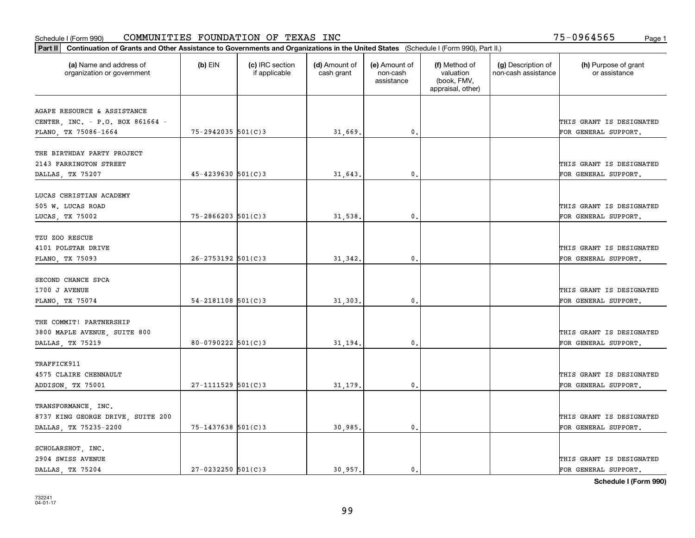| Part II   Continuation of Grants and Other Assistance to Governments and Organizations in the United States (Schedule I (Form 990), Part II.) |                          |                                  |                             |                                         |                                                                |                                           |                                       |
|-----------------------------------------------------------------------------------------------------------------------------------------------|--------------------------|----------------------------------|-----------------------------|-----------------------------------------|----------------------------------------------------------------|-------------------------------------------|---------------------------------------|
| (a) Name and address of<br>organization or government                                                                                         | $(b)$ EIN                | (c) IRC section<br>if applicable | (d) Amount of<br>cash grant | (e) Amount of<br>non-cash<br>assistance | (f) Method of<br>valuation<br>(book, FMV,<br>appraisal, other) | (g) Description of<br>non-cash assistance | (h) Purpose of grant<br>or assistance |
| AGAPE RESOURCE & ASSISTANCE                                                                                                                   |                          |                                  |                             |                                         |                                                                |                                           |                                       |
| CENTER, INC. - P.O. BOX 861664 -                                                                                                              |                          |                                  |                             |                                         |                                                                |                                           | THIS GRANT IS DESIGNATED              |
| PLANO, TX 75086-1664                                                                                                                          | $75 - 2942035$ 501(C)3   |                                  | 31,669.                     | $\mathfrak o$ .                         |                                                                |                                           | FOR GENERAL SUPPORT.                  |
|                                                                                                                                               |                          |                                  |                             |                                         |                                                                |                                           |                                       |
| THE BIRTHDAY PARTY PROJECT                                                                                                                    |                          |                                  |                             |                                         |                                                                |                                           |                                       |
| 2143 FARRINGTON STREET                                                                                                                        |                          |                                  |                             |                                         |                                                                |                                           | THIS GRANT IS DESIGNATED              |
| DALLAS, TX 75207                                                                                                                              | $45 - 4239630$ 501(C)3   |                                  | 31,643                      | $\mathfrak{o}$ .                        |                                                                |                                           | FOR GENERAL SUPPORT.                  |
|                                                                                                                                               |                          |                                  |                             |                                         |                                                                |                                           |                                       |
| LUCAS CHRISTIAN ACADEMY                                                                                                                       |                          |                                  |                             |                                         |                                                                |                                           |                                       |
| 505 W. LUCAS ROAD                                                                                                                             | $75 - 2866203$ 501(C)3   |                                  |                             | $\mathfrak{o}$ .                        |                                                                |                                           | THIS GRANT IS DESIGNATED              |
| LUCAS, TX 75002                                                                                                                               |                          |                                  | 31,538.                     |                                         |                                                                |                                           | FOR GENERAL SUPPORT.                  |
| TZU ZOO RESCUE                                                                                                                                |                          |                                  |                             |                                         |                                                                |                                           |                                       |
| 4101 POLSTAR DRIVE                                                                                                                            |                          |                                  |                             |                                         |                                                                |                                           | THIS GRANT IS DESIGNATED              |
| PLANO, TX 75093                                                                                                                               | $26 - 2753192$ 501(C)3   |                                  | 31,342.                     | 0.                                      |                                                                |                                           | FOR GENERAL SUPPORT.                  |
|                                                                                                                                               |                          |                                  |                             |                                         |                                                                |                                           |                                       |
| SECOND CHANCE SPCA                                                                                                                            |                          |                                  |                             |                                         |                                                                |                                           |                                       |
| 1700 J AVENUE                                                                                                                                 |                          |                                  |                             |                                         |                                                                |                                           | THIS GRANT IS DESIGNATED              |
| PLANO, TX 75074                                                                                                                               | $54 - 2181108$ $501(C)3$ |                                  | 31,303                      | 0                                       |                                                                |                                           | FOR GENERAL SUPPORT.                  |
|                                                                                                                                               |                          |                                  |                             |                                         |                                                                |                                           |                                       |
| THE COMMIT! PARTNERSHIP                                                                                                                       |                          |                                  |                             |                                         |                                                                |                                           |                                       |
| 3800 MAPLE AVENUE, SUITE 800                                                                                                                  | $80 - 0790222$ 501(C)3   |                                  |                             | $\mathbf{0}$                            |                                                                |                                           | THIS GRANT IS DESIGNATED              |
| DALLAS, TX 75219                                                                                                                              |                          |                                  | 31,194.                     |                                         |                                                                |                                           | FOR GENERAL SUPPORT.                  |
| TRAFFICK911                                                                                                                                   |                          |                                  |                             |                                         |                                                                |                                           |                                       |
| 4575 CLAIRE CHENNAULT                                                                                                                         |                          |                                  |                             |                                         |                                                                |                                           | THIS GRANT IS DESIGNATED              |
| ADDISON, TX 75001                                                                                                                             | $27 - 1111529$ 501(C)3   |                                  | 31,179.                     | $\mathbf{0}$ .                          |                                                                |                                           | FOR GENERAL SUPPORT.                  |
|                                                                                                                                               |                          |                                  |                             |                                         |                                                                |                                           |                                       |
| TRANSFORMANCE, INC.                                                                                                                           |                          |                                  |                             |                                         |                                                                |                                           |                                       |
| 8737 KING GEORGE DRIVE, SUITE 200                                                                                                             |                          |                                  |                             |                                         |                                                                |                                           | THIS GRANT IS DESIGNATED              |
| DALLAS, TX 75235-2200                                                                                                                         | $75 - 1437638$ 501(C)3   |                                  | 30,985.                     | $\mathfrak{o}$ .                        |                                                                |                                           | FOR GENERAL SUPPORT.                  |
|                                                                                                                                               |                          |                                  |                             |                                         |                                                                |                                           |                                       |
| SCHOLARSHOT, INC.                                                                                                                             |                          |                                  |                             |                                         |                                                                |                                           |                                       |
| 2904 SWISS AVENUE                                                                                                                             |                          |                                  |                             |                                         |                                                                |                                           | THIS GRANT IS DESIGNATED              |
| DALLAS, TX 75204                                                                                                                              | $27 - 0232250$ 501(C)3   |                                  | 30.957.                     | $\mathfrak{o}$ .                        |                                                                |                                           | FOR GENERAL SUPPORT.                  |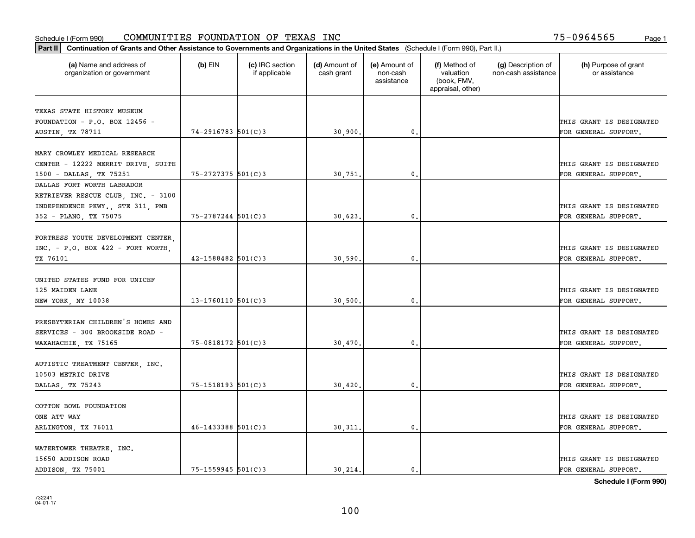| Part II   Continuation of Grants and Other Assistance to Governments and Organizations in the United States (Schedule I (Form 990), Part II.) |                         |                                  |                             |                                         |                                                                |                                           |                                       |
|-----------------------------------------------------------------------------------------------------------------------------------------------|-------------------------|----------------------------------|-----------------------------|-----------------------------------------|----------------------------------------------------------------|-------------------------------------------|---------------------------------------|
| (a) Name and address of<br>organization or government                                                                                         | $(b)$ EIN               | (c) IRC section<br>if applicable | (d) Amount of<br>cash grant | (e) Amount of<br>non-cash<br>assistance | (f) Method of<br>valuation<br>(book, FMV,<br>appraisal, other) | (g) Description of<br>non-cash assistance | (h) Purpose of grant<br>or assistance |
| TEXAS STATE HISTORY MUSEUM                                                                                                                    |                         |                                  |                             |                                         |                                                                |                                           |                                       |
| FOUNDATION - P.O. BOX 12456 -                                                                                                                 |                         |                                  |                             |                                         |                                                                |                                           | THIS GRANT IS DESIGNATED              |
| <b>AUSTIN, TX 78711</b>                                                                                                                       | $74 - 2916783$ 501(C)3  |                                  | 30,900.                     | 0.                                      |                                                                |                                           | FOR GENERAL SUPPORT.                  |
|                                                                                                                                               |                         |                                  |                             |                                         |                                                                |                                           |                                       |
| MARY CROWLEY MEDICAL RESEARCH                                                                                                                 |                         |                                  |                             |                                         |                                                                |                                           |                                       |
| CENTER - 12222 MERRIT DRIVE, SUITE                                                                                                            |                         |                                  |                             |                                         |                                                                |                                           | THIS GRANT IS DESIGNATED              |
| 1500 - DALLAS, TX 75251                                                                                                                       | $75 - 2727375$ 501(C)3  |                                  | 30,751                      | 0.                                      |                                                                |                                           | FOR GENERAL SUPPORT.                  |
| DALLAS FORT WORTH LABRADOR                                                                                                                    |                         |                                  |                             |                                         |                                                                |                                           |                                       |
| RETRIEVER RESCUE CLUB, INC. - 3100                                                                                                            |                         |                                  |                             |                                         |                                                                |                                           |                                       |
| INDEPENDENCE PKWY., STE 311, PMB                                                                                                              |                         |                                  |                             |                                         |                                                                |                                           | THIS GRANT IS DESIGNATED              |
| 352 - PLANO, TX 75075                                                                                                                         | 75-2787244 501(C)3      |                                  | 30,623.                     | $\mathbf{0}$ .                          |                                                                |                                           | FOR GENERAL SUPPORT.                  |
|                                                                                                                                               |                         |                                  |                             |                                         |                                                                |                                           |                                       |
| FORTRESS YOUTH DEVELOPMENT CENTER,                                                                                                            |                         |                                  |                             |                                         |                                                                |                                           |                                       |
| $INC. - P.O. BOX 422 - FORT WORK.$                                                                                                            |                         |                                  |                             |                                         |                                                                |                                           | THIS GRANT IS DESIGNATED              |
| TX 76101                                                                                                                                      | 42-1588482 501(C)3      |                                  | 30,590.                     | $\mathbf{0}$ .                          |                                                                |                                           | FOR GENERAL SUPPORT.                  |
|                                                                                                                                               |                         |                                  |                             |                                         |                                                                |                                           |                                       |
| UNITED STATES FUND FOR UNICEF                                                                                                                 |                         |                                  |                             |                                         |                                                                |                                           |                                       |
| 125 MAIDEN LANE                                                                                                                               |                         |                                  |                             |                                         |                                                                |                                           | THIS GRANT IS DESIGNATED              |
| NEW YORK, NY 10038                                                                                                                            | $13 - 1760110$ 501(C)3  |                                  | 30,500.                     | 0.                                      |                                                                |                                           | FOR GENERAL SUPPORT.                  |
| PRESBYTERIAN CHILDREN'S HOMES AND                                                                                                             |                         |                                  |                             |                                         |                                                                |                                           |                                       |
| SERVICES - 300 BROOKSIDE ROAD -                                                                                                               |                         |                                  |                             |                                         |                                                                |                                           | THIS GRANT IS DESIGNATED              |
| WAXAHACHIE, TX 75165                                                                                                                          | 75-0818172 501(C)3      |                                  | 30,470.                     | 0.                                      |                                                                |                                           | FOR GENERAL SUPPORT.                  |
|                                                                                                                                               |                         |                                  |                             |                                         |                                                                |                                           |                                       |
| AUTISTIC TREATMENT CENTER, INC.                                                                                                               |                         |                                  |                             |                                         |                                                                |                                           |                                       |
| 10503 METRIC DRIVE                                                                                                                            |                         |                                  |                             |                                         |                                                                |                                           | THIS GRANT IS DESIGNATED              |
| DALLAS, TX 75243                                                                                                                              | 75-1518193 501(C)3      |                                  | 30,420.                     | $\mathbf{0}$ .                          |                                                                |                                           | FOR GENERAL SUPPORT.                  |
|                                                                                                                                               |                         |                                  |                             |                                         |                                                                |                                           |                                       |
| COTTON BOWL FOUNDATION                                                                                                                        |                         |                                  |                             |                                         |                                                                |                                           |                                       |
| ONE ATT WAY                                                                                                                                   |                         |                                  |                             |                                         |                                                                |                                           | THIS GRANT IS DESIGNATED              |
| ARLINGTON, TX 76011                                                                                                                           | $46 - 1433388$ 501(C) 3 |                                  | 30, 311.                    | $\mathbf{0}$ .                          |                                                                |                                           | FOR GENERAL SUPPORT.                  |
|                                                                                                                                               |                         |                                  |                             |                                         |                                                                |                                           |                                       |
| WATERTOWER THEATRE, INC.                                                                                                                      |                         |                                  |                             |                                         |                                                                |                                           |                                       |
| 15650 ADDISON ROAD                                                                                                                            |                         |                                  |                             |                                         |                                                                |                                           | THIS GRANT IS DESIGNATED              |
| ADDISON, TX 75001                                                                                                                             | $75 - 1559945$ 501(C)3  |                                  | 30.214.                     | $\mathbf{0}$ .                          |                                                                |                                           | FOR GENERAL SUPPORT.                  |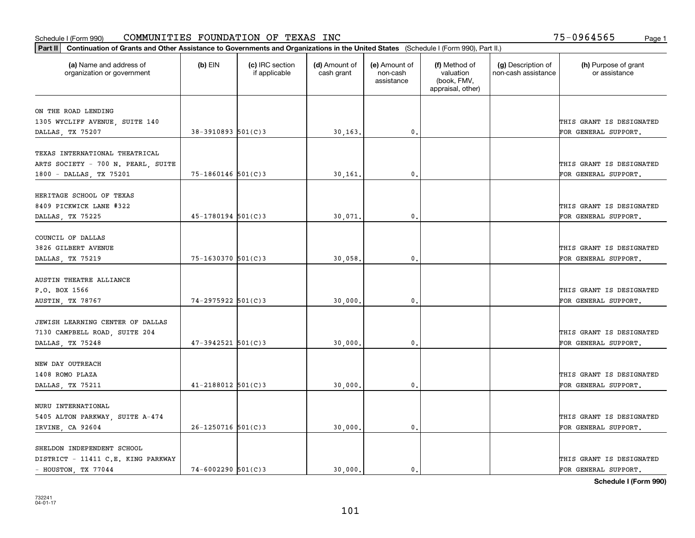| Part II   Continuation of Grants and Other Assistance to Governments and Organizations in the United States (Schedule I (Form 990), Part II.) |                        |                                  |                             |                                         |                                                                |                                           |                                       |
|-----------------------------------------------------------------------------------------------------------------------------------------------|------------------------|----------------------------------|-----------------------------|-----------------------------------------|----------------------------------------------------------------|-------------------------------------------|---------------------------------------|
| (a) Name and address of<br>organization or government                                                                                         | $(b)$ EIN              | (c) IRC section<br>if applicable | (d) Amount of<br>cash grant | (e) Amount of<br>non-cash<br>assistance | (f) Method of<br>valuation<br>(book, FMV,<br>appraisal, other) | (g) Description of<br>non-cash assistance | (h) Purpose of grant<br>or assistance |
| ON THE ROAD LENDING                                                                                                                           |                        |                                  |                             |                                         |                                                                |                                           |                                       |
| 1305 WYCLIFF AVENUE, SUITE 140                                                                                                                |                        |                                  |                             |                                         |                                                                |                                           | THIS GRANT IS DESIGNATED              |
| DALLAS, TX 75207                                                                                                                              | $38-3910893$ 501(C) 3  |                                  | 30, 163.                    | $\mathbf{0}$ .                          |                                                                |                                           | FOR GENERAL SUPPORT.                  |
|                                                                                                                                               |                        |                                  |                             |                                         |                                                                |                                           |                                       |
| TEXAS INTERNATIONAL THEATRICAL                                                                                                                |                        |                                  |                             |                                         |                                                                |                                           |                                       |
| ARTS SOCIETY - 700 N. PEARL, SUITE                                                                                                            |                        |                                  |                             |                                         |                                                                |                                           | THIS GRANT IS DESIGNATED              |
| 1800 - DALLAS, TX 75201                                                                                                                       | $75 - 1860146$ 501(C)3 |                                  | 30,161                      | 0.                                      |                                                                |                                           | FOR GENERAL SUPPORT.                  |
|                                                                                                                                               |                        |                                  |                             |                                         |                                                                |                                           |                                       |
| HERITAGE SCHOOL OF TEXAS                                                                                                                      |                        |                                  |                             |                                         |                                                                |                                           |                                       |
| 8409 PICKWICK LANE #322                                                                                                                       |                        |                                  |                             |                                         |                                                                |                                           | THIS GRANT IS DESIGNATED              |
| DALLAS, TX 75225                                                                                                                              | $45 - 1780194$ 501(C)3 |                                  | 30,071.                     | $\mathbf{0}$ .                          |                                                                |                                           | FOR GENERAL SUPPORT.                  |
|                                                                                                                                               |                        |                                  |                             |                                         |                                                                |                                           |                                       |
| COUNCIL OF DALLAS                                                                                                                             |                        |                                  |                             |                                         |                                                                |                                           |                                       |
| 3826 GILBERT AVENUE                                                                                                                           |                        |                                  |                             |                                         |                                                                |                                           | THIS GRANT IS DESIGNATED              |
| DALLAS, TX 75219                                                                                                                              | 75-1630370 501(C)3     |                                  | 30,058.                     | 0.                                      |                                                                |                                           | FOR GENERAL SUPPORT.                  |
| AUSTIN THEATRE ALLIANCE                                                                                                                       |                        |                                  |                             |                                         |                                                                |                                           |                                       |
| P.O. BOX 1566                                                                                                                                 |                        |                                  |                             |                                         |                                                                |                                           | THIS GRANT IS DESIGNATED              |
| AUSTIN, TX 78767                                                                                                                              | $74 - 2975922$ 501(C)3 |                                  | 30,000.                     | $\mathfrak o$ .                         |                                                                |                                           | FOR GENERAL SUPPORT.                  |
|                                                                                                                                               |                        |                                  |                             |                                         |                                                                |                                           |                                       |
| JEWISH LEARNING CENTER OF DALLAS                                                                                                              |                        |                                  |                             |                                         |                                                                |                                           |                                       |
| 7130 CAMPBELL ROAD, SUITE 204                                                                                                                 |                        |                                  |                             |                                         |                                                                |                                           | THIS GRANT IS DESIGNATED              |
| DALLAS, TX 75248                                                                                                                              | $47 - 3942521$ 501(C)3 |                                  | 30,000                      | 0.                                      |                                                                |                                           | FOR GENERAL SUPPORT.                  |
|                                                                                                                                               |                        |                                  |                             |                                         |                                                                |                                           |                                       |
| NEW DAY OUTREACH                                                                                                                              |                        |                                  |                             |                                         |                                                                |                                           |                                       |
| 1408 ROMO PLAZA                                                                                                                               |                        |                                  |                             |                                         |                                                                |                                           | THIS GRANT IS DESIGNATED              |
| DALLAS, TX 75211                                                                                                                              | $41 - 2188012$ 501(C)3 |                                  | 30,000,                     | $\mathbf{0}$ .                          |                                                                |                                           | FOR GENERAL SUPPORT.                  |
|                                                                                                                                               |                        |                                  |                             |                                         |                                                                |                                           |                                       |
| NURU INTERNATIONAL                                                                                                                            |                        |                                  |                             |                                         |                                                                |                                           |                                       |
| 5405 ALTON PARKWAY, SUITE A-474                                                                                                               |                        |                                  |                             |                                         |                                                                |                                           | THIS GRANT IS DESIGNATED              |
| IRVINE, CA 92604                                                                                                                              | $26 - 1250716$ 501(C)3 |                                  | 30,000                      | $\mathbf{0}$                            |                                                                |                                           | FOR GENERAL SUPPORT.                  |
|                                                                                                                                               |                        |                                  |                             |                                         |                                                                |                                           |                                       |
| SHELDON INDEPENDENT SCHOOL                                                                                                                    |                        |                                  |                             |                                         |                                                                |                                           |                                       |
| DISTRICT - 11411 C.E. KING PARKWAY                                                                                                            |                        |                                  |                             |                                         |                                                                |                                           | THIS GRANT IS DESIGNATED              |
| - HOUSTON, TX 77044                                                                                                                           | $74 - 6002290$ 501(C)3 |                                  | 30,000.                     | $\mathbf{0}$ .                          |                                                                |                                           | FOR GENERAL SUPPORT.                  |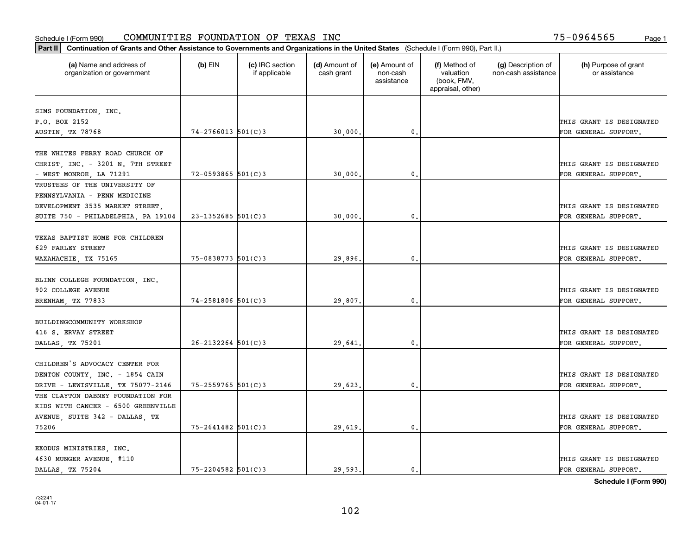|                                                                        |                        |                                  | Part II   Continuation of Grants and Other Assistance to Governments and Organizations in the United States (Schedule I (Form 990), Part II.) |                                         |                                                                |                                           |                                       |  |  |  |  |  |  |
|------------------------------------------------------------------------|------------------------|----------------------------------|-----------------------------------------------------------------------------------------------------------------------------------------------|-----------------------------------------|----------------------------------------------------------------|-------------------------------------------|---------------------------------------|--|--|--|--|--|--|
| (a) Name and address of<br>organization or government                  | $(b)$ EIN              | (c) IRC section<br>if applicable | (d) Amount of<br>cash grant                                                                                                                   | (e) Amount of<br>non-cash<br>assistance | (f) Method of<br>valuation<br>(book, FMV,<br>appraisal, other) | (g) Description of<br>non-cash assistance | (h) Purpose of grant<br>or assistance |  |  |  |  |  |  |
|                                                                        |                        |                                  |                                                                                                                                               |                                         |                                                                |                                           |                                       |  |  |  |  |  |  |
| SIMS FOUNDATION, INC.<br>P.O. BOX 2152                                 |                        |                                  |                                                                                                                                               |                                         |                                                                |                                           | THIS GRANT IS DESIGNATED              |  |  |  |  |  |  |
| AUSTIN, TX 78768                                                       | $74 - 2766013$ 501(C)3 |                                  | 30,000.                                                                                                                                       | 0.                                      |                                                                |                                           | FOR GENERAL SUPPORT.                  |  |  |  |  |  |  |
|                                                                        |                        |                                  |                                                                                                                                               |                                         |                                                                |                                           |                                       |  |  |  |  |  |  |
| THE WHITES FERRY ROAD CHURCH OF                                        |                        |                                  |                                                                                                                                               |                                         |                                                                |                                           |                                       |  |  |  |  |  |  |
| CHRIST, INC. - 3201 N. 7TH STREET                                      |                        |                                  |                                                                                                                                               |                                         |                                                                |                                           | THIS GRANT IS DESIGNATED              |  |  |  |  |  |  |
| - WEST MONROE, LA 71291                                                | $72 - 0593865$ 501(C)3 |                                  | 30,000                                                                                                                                        | $\mathbf{0}$                            |                                                                |                                           | FOR GENERAL SUPPORT.                  |  |  |  |  |  |  |
| TRUSTEES OF THE UNIVERSITY OF                                          |                        |                                  |                                                                                                                                               |                                         |                                                                |                                           |                                       |  |  |  |  |  |  |
| PENNSYLVANIA - PENN MEDICINE                                           |                        |                                  |                                                                                                                                               |                                         |                                                                |                                           |                                       |  |  |  |  |  |  |
| DEVELOPMENT 3535 MARKET STREET,                                        |                        |                                  |                                                                                                                                               |                                         |                                                                |                                           | THIS GRANT IS DESIGNATED              |  |  |  |  |  |  |
| SUITE 750 - PHILADELPHIA, PA 19104                                     | $23 - 1352685$ 501(C)3 |                                  | 30,000.                                                                                                                                       | $\mathbf{0}$ .                          |                                                                |                                           | FOR GENERAL SUPPORT.                  |  |  |  |  |  |  |
|                                                                        |                        |                                  |                                                                                                                                               |                                         |                                                                |                                           |                                       |  |  |  |  |  |  |
| TEXAS BAPTIST HOME FOR CHILDREN                                        |                        |                                  |                                                                                                                                               |                                         |                                                                |                                           |                                       |  |  |  |  |  |  |
| 629 FARLEY STREET                                                      |                        |                                  |                                                                                                                                               |                                         |                                                                |                                           | THIS GRANT IS DESIGNATED              |  |  |  |  |  |  |
| WAXAHACHIE, TX 75165                                                   | $75 - 0838773$ 501(C)3 |                                  | 29,896.                                                                                                                                       | $\mathbf{0}$                            |                                                                |                                           | FOR GENERAL SUPPORT.                  |  |  |  |  |  |  |
|                                                                        |                        |                                  |                                                                                                                                               |                                         |                                                                |                                           |                                       |  |  |  |  |  |  |
| BLINN COLLEGE FOUNDATION, INC.                                         |                        |                                  |                                                                                                                                               |                                         |                                                                |                                           |                                       |  |  |  |  |  |  |
| 902 COLLEGE AVENUE                                                     |                        |                                  |                                                                                                                                               |                                         |                                                                |                                           | THIS GRANT IS DESIGNATED              |  |  |  |  |  |  |
| BRENHAM, TX 77833                                                      | 74-2581806 501(C)3     |                                  | 29,807.                                                                                                                                       | 0.                                      |                                                                |                                           | FOR GENERAL SUPPORT.                  |  |  |  |  |  |  |
|                                                                        |                        |                                  |                                                                                                                                               |                                         |                                                                |                                           |                                       |  |  |  |  |  |  |
| BUILDINGCOMMUNITY WORKSHOP                                             |                        |                                  |                                                                                                                                               |                                         |                                                                |                                           |                                       |  |  |  |  |  |  |
| 416 S. ERVAY STREET                                                    |                        |                                  |                                                                                                                                               |                                         |                                                                |                                           | THIS GRANT IS DESIGNATED              |  |  |  |  |  |  |
| DALLAS, TX 75201                                                       | $26 - 2132264$ 501(C)3 |                                  | 29,641                                                                                                                                        | $\mathbf{0}$                            |                                                                |                                           | FOR GENERAL SUPPORT.                  |  |  |  |  |  |  |
|                                                                        |                        |                                  |                                                                                                                                               |                                         |                                                                |                                           |                                       |  |  |  |  |  |  |
| CHILDREN'S ADVOCACY CENTER FOR                                         |                        |                                  |                                                                                                                                               |                                         |                                                                |                                           |                                       |  |  |  |  |  |  |
| DENTON COUNTY, INC. - 1854 CAIN                                        |                        |                                  |                                                                                                                                               |                                         |                                                                |                                           | THIS GRANT IS DESIGNATED              |  |  |  |  |  |  |
| DRIVE - LEWISVILLE, TX 75077-2146<br>THE CLAYTON DABNEY FOUNDATION FOR | 75-2559765 501(C)3     |                                  | 29,623.                                                                                                                                       | $^{\rm 0}$ .                            |                                                                |                                           | FOR GENERAL SUPPORT.                  |  |  |  |  |  |  |
|                                                                        |                        |                                  |                                                                                                                                               |                                         |                                                                |                                           |                                       |  |  |  |  |  |  |
| KIDS WITH CANCER - 6500 GREENVILLE                                     |                        |                                  |                                                                                                                                               |                                         |                                                                |                                           | THIS GRANT IS DESIGNATED              |  |  |  |  |  |  |
| AVENUE, SUITE 342 - DALLAS, TX<br>75206                                | $75 - 2641482$ 501(C)3 |                                  |                                                                                                                                               | $\mathfrak{o}$ .                        |                                                                |                                           | FOR GENERAL SUPPORT.                  |  |  |  |  |  |  |
|                                                                        |                        |                                  | 29,619.                                                                                                                                       |                                         |                                                                |                                           |                                       |  |  |  |  |  |  |
| EXODUS MINISTRIES, INC.                                                |                        |                                  |                                                                                                                                               |                                         |                                                                |                                           |                                       |  |  |  |  |  |  |
| 4630 MUNGER AVENUE, #110                                               |                        |                                  |                                                                                                                                               |                                         |                                                                |                                           | THIS GRANT IS DESIGNATED              |  |  |  |  |  |  |
| DALLAS, TX 75204                                                       | $75 - 2204582$ 501(C)3 |                                  | 29.593.                                                                                                                                       | $\mathfrak{o}$ .                        |                                                                |                                           | FOR GENERAL SUPPORT.                  |  |  |  |  |  |  |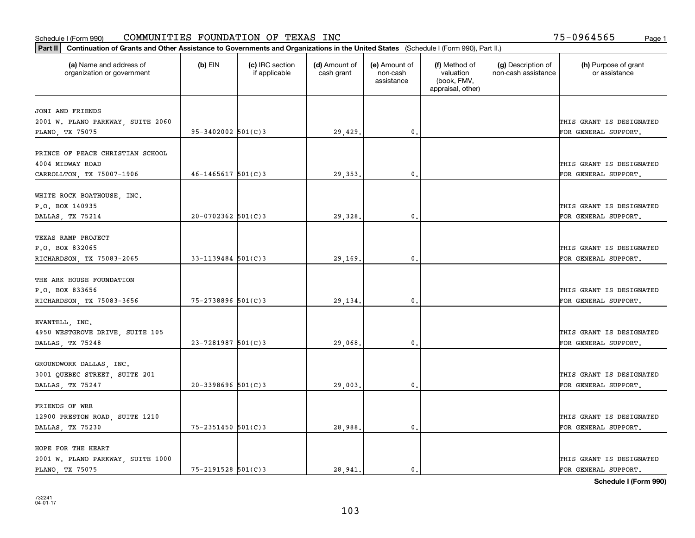| Part II   Continuation of Grants and Other Assistance to Governments and Organizations in the United States (Schedule I (Form 990), Part II.) |                        |                                  |                             |                                         |                                                                |                                           |                                       |
|-----------------------------------------------------------------------------------------------------------------------------------------------|------------------------|----------------------------------|-----------------------------|-----------------------------------------|----------------------------------------------------------------|-------------------------------------------|---------------------------------------|
| (a) Name and address of<br>organization or government                                                                                         | $(b)$ EIN              | (c) IRC section<br>if applicable | (d) Amount of<br>cash grant | (e) Amount of<br>non-cash<br>assistance | (f) Method of<br>valuation<br>(book, FMV,<br>appraisal, other) | (g) Description of<br>non-cash assistance | (h) Purpose of grant<br>or assistance |
|                                                                                                                                               |                        |                                  |                             |                                         |                                                                |                                           |                                       |
| JONI AND FRIENDS<br>2001 W. PLANO PARKWAY, SUITE 2060                                                                                         |                        |                                  |                             |                                         |                                                                |                                           | THIS GRANT IS DESIGNATED              |
| PLANO, TX 75075                                                                                                                               | 95-3402002 501(C)3     |                                  | 29,429.                     | 0.                                      |                                                                |                                           | FOR GENERAL SUPPORT.                  |
|                                                                                                                                               |                        |                                  |                             |                                         |                                                                |                                           |                                       |
| PRINCE OF PEACE CHRISTIAN SCHOOL                                                                                                              |                        |                                  |                             |                                         |                                                                |                                           |                                       |
| 4004 MIDWAY ROAD                                                                                                                              |                        |                                  |                             |                                         |                                                                |                                           | THIS GRANT IS DESIGNATED              |
| CARROLLTON, TX 75007-1906                                                                                                                     | $46 - 1465617$ 501(C)3 |                                  | 29, 353.                    | 0.                                      |                                                                |                                           | FOR GENERAL SUPPORT.                  |
|                                                                                                                                               |                        |                                  |                             |                                         |                                                                |                                           |                                       |
| WHITE ROCK BOATHOUSE, INC.                                                                                                                    |                        |                                  |                             |                                         |                                                                |                                           |                                       |
| P.O. BOX 140935                                                                                                                               |                        |                                  |                             |                                         |                                                                |                                           | THIS GRANT IS DESIGNATED              |
| DALLAS, TX 75214                                                                                                                              | $20-0702362$ 501(C)3   |                                  | 29,328.                     | $\mathbf{0}$ .                          |                                                                |                                           | FOR GENERAL SUPPORT.                  |
|                                                                                                                                               |                        |                                  |                             |                                         |                                                                |                                           |                                       |
| TEXAS RAMP PROJECT                                                                                                                            |                        |                                  |                             |                                         |                                                                |                                           |                                       |
| P.O. BOX 832065                                                                                                                               |                        |                                  |                             |                                         |                                                                |                                           | THIS GRANT IS DESIGNATED              |
| RICHARDSON, TX 75083-2065                                                                                                                     | $33 - 1139484$ 501(C)3 |                                  | 29,169.                     | 0.                                      |                                                                |                                           | FOR GENERAL SUPPORT.                  |
| THE ARK HOUSE FOUNDATION                                                                                                                      |                        |                                  |                             |                                         |                                                                |                                           |                                       |
| P.O. BOX 833656                                                                                                                               |                        |                                  |                             |                                         |                                                                |                                           | THIS GRANT IS DESIGNATED              |
|                                                                                                                                               | 75-2738896 501(C)3     |                                  |                             | 0.                                      |                                                                |                                           | FOR GENERAL SUPPORT.                  |
| RICHARDSON, TX 75083-3656                                                                                                                     |                        |                                  | 29,134.                     |                                         |                                                                |                                           |                                       |
| EVANTELL, INC.                                                                                                                                |                        |                                  |                             |                                         |                                                                |                                           |                                       |
| 4950 WESTGROVE DRIVE, SUITE 105                                                                                                               |                        |                                  |                             |                                         |                                                                |                                           | THIS GRANT IS DESIGNATED              |
| DALLAS, TX 75248                                                                                                                              | $23 - 7281987$ 501(C)3 |                                  | 29,068.                     | 0.                                      |                                                                |                                           | FOR GENERAL SUPPORT.                  |
|                                                                                                                                               |                        |                                  |                             |                                         |                                                                |                                           |                                       |
| GROUNDWORK DALLAS, INC.                                                                                                                       |                        |                                  |                             |                                         |                                                                |                                           |                                       |
| 3001 QUEBEC STREET, SUITE 201                                                                                                                 |                        |                                  |                             |                                         |                                                                |                                           | THIS GRANT IS DESIGNATED              |
| DALLAS, TX 75247                                                                                                                              | $20 - 3398696$ 501(C)3 |                                  | 29,003.                     | $\mathfrak{o}$ .                        |                                                                |                                           | FOR GENERAL SUPPORT.                  |
|                                                                                                                                               |                        |                                  |                             |                                         |                                                                |                                           |                                       |
| FRIENDS OF WRR                                                                                                                                |                        |                                  |                             |                                         |                                                                |                                           |                                       |
| 12900 PRESTON ROAD, SUITE 1210                                                                                                                |                        |                                  |                             |                                         |                                                                |                                           | THIS GRANT IS DESIGNATED              |
| DALLAS, TX 75230                                                                                                                              | 75-2351450 501(C)3     |                                  | 28,988.                     | $\mathbf{0}$ .                          |                                                                |                                           | FOR GENERAL SUPPORT.                  |
|                                                                                                                                               |                        |                                  |                             |                                         |                                                                |                                           |                                       |
| HOPE FOR THE HEART                                                                                                                            |                        |                                  |                             |                                         |                                                                |                                           |                                       |
| 2001 W. PLANO PARKWAY, SUITE 1000                                                                                                             |                        |                                  |                             |                                         |                                                                |                                           | THIS GRANT IS DESIGNATED              |
| PLANO, TX 75075                                                                                                                               | 75-2191528 501(C)3     |                                  | 28,941.                     | $\mathbf{0}$ .                          |                                                                |                                           | FOR GENERAL SUPPORT.                  |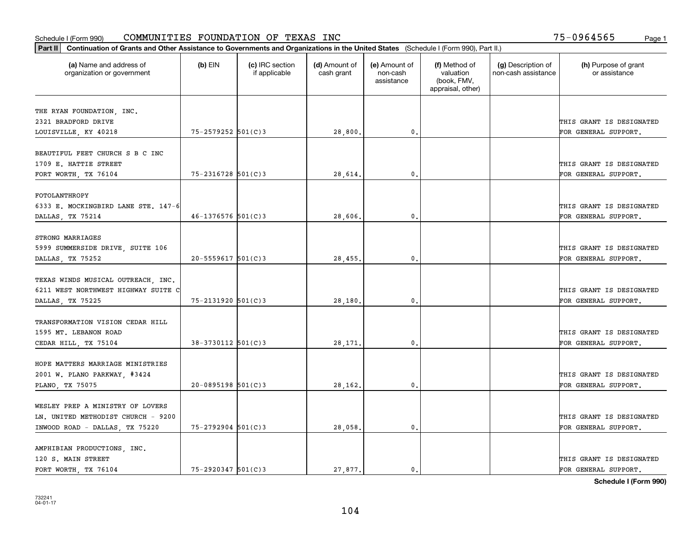| Part II   Continuation of Grants and Other Assistance to Governments and Organizations in the United States (Schedule I (Form 990), Part II.) |                        |                                  |                             |                                         |                                                                |                                           |                                       |
|-----------------------------------------------------------------------------------------------------------------------------------------------|------------------------|----------------------------------|-----------------------------|-----------------------------------------|----------------------------------------------------------------|-------------------------------------------|---------------------------------------|
| (a) Name and address of<br>organization or government                                                                                         | $(b)$ EIN              | (c) IRC section<br>if applicable | (d) Amount of<br>cash grant | (e) Amount of<br>non-cash<br>assistance | (f) Method of<br>valuation<br>(book, FMV,<br>appraisal, other) | (g) Description of<br>non-cash assistance | (h) Purpose of grant<br>or assistance |
|                                                                                                                                               |                        |                                  |                             |                                         |                                                                |                                           |                                       |
| THE RYAN FOUNDATION, INC.<br>2321 BRADFORD DRIVE                                                                                              |                        |                                  |                             |                                         |                                                                |                                           | THIS GRANT IS DESIGNATED              |
| LOUISVILLE, KY 40218                                                                                                                          | 75-2579252 501(C)3     |                                  | 28,800.                     | 0.                                      |                                                                |                                           | FOR GENERAL SUPPORT.                  |
|                                                                                                                                               |                        |                                  |                             |                                         |                                                                |                                           |                                       |
| BEAUTIFUL FEET CHURCH S B C INC                                                                                                               |                        |                                  |                             |                                         |                                                                |                                           |                                       |
| 1709 E. HATTIE STREET                                                                                                                         |                        |                                  |                             |                                         |                                                                |                                           | THIS GRANT IS DESIGNATED              |
| FORT WORTH, TX 76104                                                                                                                          | $75 - 2316728$ 501(C)3 |                                  | 28,614.                     | 0.                                      |                                                                |                                           | FOR GENERAL SUPPORT.                  |
|                                                                                                                                               |                        |                                  |                             |                                         |                                                                |                                           |                                       |
| FOTOLANTHROPY                                                                                                                                 |                        |                                  |                             |                                         |                                                                |                                           | THIS GRANT IS DESIGNATED              |
| 6333 E. MOCKINGBIRD LANE STE. 147-6                                                                                                           | $46 - 1376576$ 501(C)3 |                                  | 28,606,                     | $\mathbf{0}$ .                          |                                                                |                                           | FOR GENERAL SUPPORT.                  |
| DALLAS, TX 75214                                                                                                                              |                        |                                  |                             |                                         |                                                                |                                           |                                       |
| STRONG MARRIAGES                                                                                                                              |                        |                                  |                             |                                         |                                                                |                                           |                                       |
| 5999 SUMMERSIDE DRIVE, SUITE 106                                                                                                              |                        |                                  |                             |                                         |                                                                |                                           | THIS GRANT IS DESIGNATED              |
| DALLAS, TX 75252                                                                                                                              | $20 - 5559617$ 501(C)3 |                                  | 28,455.                     | $\mathbf{0}$                            |                                                                |                                           | FOR GENERAL SUPPORT.                  |
|                                                                                                                                               |                        |                                  |                             |                                         |                                                                |                                           |                                       |
| TEXAS WINDS MUSICAL OUTREACH, INC.                                                                                                            |                        |                                  |                             |                                         |                                                                |                                           |                                       |
| 6211 WEST NORTHWEST HIGHWAY SUITE C                                                                                                           |                        |                                  |                             |                                         |                                                                |                                           | THIS GRANT IS DESIGNATED              |
| DALLAS, TX 75225                                                                                                                              | 75-2131920 501(C)3     |                                  | 28,180                      | $\mathbf{0}$                            |                                                                |                                           | FOR GENERAL SUPPORT.                  |
|                                                                                                                                               |                        |                                  |                             |                                         |                                                                |                                           |                                       |
| TRANSFORMATION VISION CEDAR HILL<br>1595 MT. LEBANON ROAD                                                                                     |                        |                                  |                             |                                         |                                                                |                                           | THIS GRANT IS DESIGNATED              |
| CEDAR HILL, TX 75104                                                                                                                          | 38-3730112 501(C)3     |                                  | 28,171.                     | 0.                                      |                                                                |                                           | FOR GENERAL SUPPORT.                  |
|                                                                                                                                               |                        |                                  |                             |                                         |                                                                |                                           |                                       |
| HOPE MATTERS MARRIAGE MINISTRIES                                                                                                              |                        |                                  |                             |                                         |                                                                |                                           |                                       |
| 2001 W. PLANO PARKWAY, #3424                                                                                                                  |                        |                                  |                             |                                         |                                                                |                                           | THIS GRANT IS DESIGNATED              |
| PLANO, TX 75075                                                                                                                               | $20 - 0895198$ 501(C)3 |                                  | 28,162.                     | $^{\rm 0}$ .                            |                                                                |                                           | FOR GENERAL SUPPORT.                  |
|                                                                                                                                               |                        |                                  |                             |                                         |                                                                |                                           |                                       |
| WESLEY PREP A MINISTRY OF LOVERS                                                                                                              |                        |                                  |                             |                                         |                                                                |                                           |                                       |
| LN. UNITED METHODIST CHURCH - 9200                                                                                                            |                        |                                  |                             |                                         |                                                                |                                           | THIS GRANT IS DESIGNATED              |
| INWOOD ROAD - DALLAS, TX 75220                                                                                                                | 75-2792904 501(C)3     |                                  | 28,058.                     | $^{\circ}$ .                            |                                                                |                                           | FOR GENERAL SUPPORT.                  |
|                                                                                                                                               |                        |                                  |                             |                                         |                                                                |                                           |                                       |
| AMPHIBIAN PRODUCTIONS, INC.<br>120 S. MAIN STREET                                                                                             |                        |                                  |                             |                                         |                                                                |                                           | THIS GRANT IS DESIGNATED              |
| FORT WORTH, TX 76104                                                                                                                          | $75 - 2920347$ 501(C)3 |                                  | 27.877.                     | $\mathbf{0}$ .                          |                                                                |                                           | FOR GENERAL SUPPORT.                  |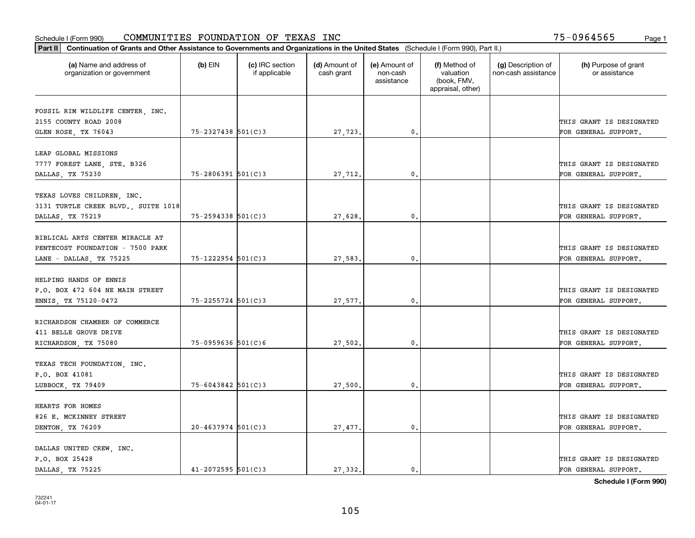| (a) Name and address of<br>organization or government | $(b)$ EIN              | (c) IRC section<br>if applicable | (d) Amount of<br>cash grant | (e) Amount of<br>non-cash<br>assistance | (f) Method of<br>valuation<br>(book, FMV,<br>appraisal, other) | (g) Description of<br>non-cash assistance | (h) Purpose of grant<br>or assistance            |
|-------------------------------------------------------|------------------------|----------------------------------|-----------------------------|-----------------------------------------|----------------------------------------------------------------|-------------------------------------------|--------------------------------------------------|
| FOSSIL RIM WILDLIFE CENTER, INC.                      |                        |                                  |                             |                                         |                                                                |                                           |                                                  |
| 2155 COUNTY ROAD 2008                                 |                        |                                  |                             |                                         |                                                                |                                           | THIS GRANT IS DESIGNATED                         |
| GLEN ROSE, TX 76043                                   | 75-2327438 501(C)3     |                                  | 27,723.                     | 0.                                      |                                                                |                                           | FOR GENERAL SUPPORT.                             |
| LEAP GLOBAL MISSIONS                                  |                        |                                  |                             |                                         |                                                                |                                           |                                                  |
| 7777 FOREST LANE, STE. B326                           |                        |                                  |                             |                                         |                                                                |                                           | THIS GRANT IS DESIGNATED                         |
| DALLAS, TX 75230                                      | $75 - 2806391$ 501(C)3 |                                  | 27,712.                     | 0.                                      |                                                                |                                           | FOR GENERAL SUPPORT.                             |
|                                                       |                        |                                  |                             |                                         |                                                                |                                           |                                                  |
| TEXAS LOVES CHILDREN, INC.                            |                        |                                  |                             |                                         |                                                                |                                           |                                                  |
| 3131 TURTLE CREEK BLVD., SUITE 1018                   |                        |                                  |                             |                                         |                                                                |                                           | THIS GRANT IS DESIGNATED                         |
| DALLAS, TX 75219                                      | 75-2594338 501(C)3     |                                  | 27,628.                     | $\mathfrak{o}$ .                        |                                                                |                                           | FOR GENERAL SUPPORT.                             |
| BIBLICAL ARTS CENTER MIRACLE AT                       |                        |                                  |                             |                                         |                                                                |                                           |                                                  |
| PENTECOST FOUNDATION - 7500 PARK                      |                        |                                  |                             |                                         |                                                                |                                           | THIS GRANT IS DESIGNATED                         |
| LANE - DALLAS, TX 75225                               | 75-1222954 501(C)3     |                                  | 27,583.                     | 0.                                      |                                                                |                                           | FOR GENERAL SUPPORT.                             |
|                                                       |                        |                                  |                             |                                         |                                                                |                                           |                                                  |
| HELPING HANDS OF ENNIS                                |                        |                                  |                             |                                         |                                                                |                                           |                                                  |
| P.O. BOX 472 604 NE MAIN STREET                       |                        |                                  |                             |                                         |                                                                |                                           | THIS GRANT IS DESIGNATED                         |
| ENNIS, TX 75120-0472                                  | $75 - 2255724$ 501(C)3 |                                  | 27,577.                     | 0.                                      |                                                                |                                           | FOR GENERAL SUPPORT.                             |
| RICHARDSON CHAMBER OF COMMERCE                        |                        |                                  |                             |                                         |                                                                |                                           |                                                  |
| 411 BELLE GROVE DRIVE                                 |                        |                                  |                             |                                         |                                                                |                                           | THIS GRANT IS DESIGNATED                         |
| RICHARDSON, TX 75080                                  | $75 - 0959636$ 501(C)6 |                                  | 27,502,                     | 0.                                      |                                                                |                                           | FOR GENERAL SUPPORT.                             |
|                                                       |                        |                                  |                             |                                         |                                                                |                                           |                                                  |
| TEXAS TECH FOUNDATION, INC.                           |                        |                                  |                             |                                         |                                                                |                                           |                                                  |
| P.O. BOX 41081                                        | $75 - 6043842$ 501(C)3 |                                  |                             | $\mathfrak{o}$ .                        |                                                                |                                           | THIS GRANT IS DESIGNATED<br>FOR GENERAL SUPPORT. |
| LUBBOCK, TX 79409                                     |                        |                                  | 27,500.                     |                                         |                                                                |                                           |                                                  |
| HEARTS FOR HOMES                                      |                        |                                  |                             |                                         |                                                                |                                           |                                                  |
| 826 E. MCKINNEY STREET                                |                        |                                  |                             |                                         |                                                                |                                           | THIS GRANT IS DESIGNATED                         |
| DENTON, TX 76209                                      | $20 - 4637974$ 501(C)3 |                                  | 27,477.                     | $\mathbf{0}$                            |                                                                |                                           | FOR GENERAL SUPPORT.                             |
|                                                       |                        |                                  |                             |                                         |                                                                |                                           |                                                  |
| DALLAS UNITED CREW, INC.<br>P.O. BOX 25428            |                        |                                  |                             |                                         |                                                                |                                           | THIS GRANT IS DESIGNATED                         |
| DALLAS TX 75225                                       | $41 - 2072595$ 501(C)3 |                                  | 27.332.                     | $\mathbf{0}$ .                          |                                                                |                                           | FOR GENERAL SUPPORT.                             |
|                                                       |                        |                                  |                             |                                         |                                                                |                                           |                                                  |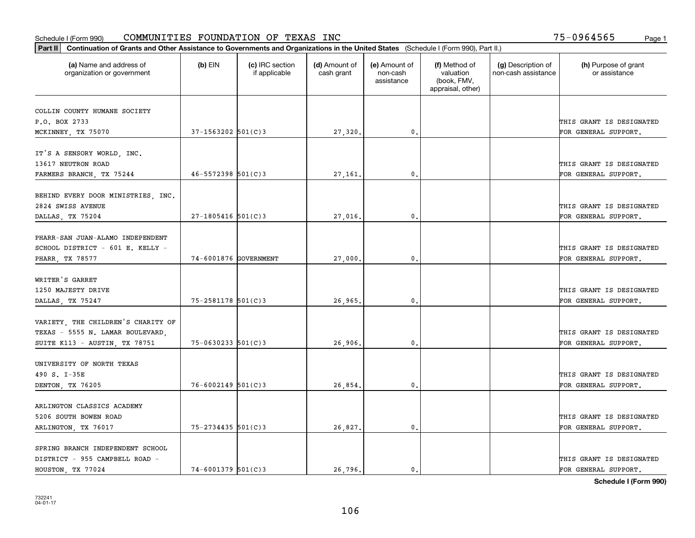| Part II   Continuation of Grants and Other Assistance to Governments and Organizations in the United States (Schedule I (Form 990), Part II.) |                        |                                  |                             |                                         |                                                                |                                           |                                       |
|-----------------------------------------------------------------------------------------------------------------------------------------------|------------------------|----------------------------------|-----------------------------|-----------------------------------------|----------------------------------------------------------------|-------------------------------------------|---------------------------------------|
| (a) Name and address of<br>organization or government                                                                                         | $(b)$ EIN              | (c) IRC section<br>if applicable | (d) Amount of<br>cash grant | (e) Amount of<br>non-cash<br>assistance | (f) Method of<br>valuation<br>(book, FMV,<br>appraisal, other) | (g) Description of<br>non-cash assistance | (h) Purpose of grant<br>or assistance |
|                                                                                                                                               |                        |                                  |                             |                                         |                                                                |                                           |                                       |
| COLLIN COUNTY HUMANE SOCIETY<br>P.O. BOX 2733                                                                                                 |                        |                                  |                             |                                         |                                                                |                                           | THIS GRANT IS DESIGNATED              |
| MCKINNEY, TX 75070                                                                                                                            | $37 - 1563202$ 501(C)3 |                                  | 27,320.                     | $\mathbf{0}$ .                          |                                                                |                                           | FOR GENERAL SUPPORT.                  |
|                                                                                                                                               |                        |                                  |                             |                                         |                                                                |                                           |                                       |
| IT'S A SENSORY WORLD, INC.                                                                                                                    |                        |                                  |                             |                                         |                                                                |                                           |                                       |
| 13617 NEUTRON ROAD                                                                                                                            |                        |                                  |                             |                                         |                                                                |                                           | THIS GRANT IS DESIGNATED              |
| FARMERS BRANCH, TX 75244                                                                                                                      | $46 - 5572398$ 501(C)3 |                                  | 27,161                      | 0.                                      |                                                                |                                           | FOR GENERAL SUPPORT.                  |
|                                                                                                                                               |                        |                                  |                             |                                         |                                                                |                                           |                                       |
| BEHIND EVERY DOOR MINISTRIES, INC.                                                                                                            |                        |                                  |                             |                                         |                                                                |                                           |                                       |
| 2824 SWISS AVENUE                                                                                                                             |                        |                                  |                             |                                         |                                                                |                                           | THIS GRANT IS DESIGNATED              |
| DALLAS, TX 75204                                                                                                                              | $27 - 1805416$ 501(C)3 |                                  | 27,016.                     | $\mathbf{0}$ .                          |                                                                |                                           | FOR GENERAL SUPPORT.                  |
|                                                                                                                                               |                        |                                  |                             |                                         |                                                                |                                           |                                       |
| PHARR-SAN JUAN-ALAMO INDEPENDENT                                                                                                              |                        |                                  |                             |                                         |                                                                |                                           |                                       |
| SCHOOL DISTRICT - 601 E. KELLY -                                                                                                              |                        |                                  |                             |                                         |                                                                |                                           | THIS GRANT IS DESIGNATED              |
| PHARR, TX 78577                                                                                                                               | 74-6001876 GOVERNMENT  |                                  | 27,000.                     | $\mathbf{0}$                            |                                                                |                                           | FOR GENERAL SUPPORT.                  |
|                                                                                                                                               |                        |                                  |                             |                                         |                                                                |                                           |                                       |
| WRITER'S GARRET                                                                                                                               |                        |                                  |                             |                                         |                                                                |                                           |                                       |
| 1250 MAJESTY DRIVE                                                                                                                            |                        |                                  |                             |                                         |                                                                |                                           | THIS GRANT IS DESIGNATED              |
| DALLAS, TX 75247                                                                                                                              | 75-2581178 501(C)3     |                                  | 26,965                      | 0.                                      |                                                                |                                           | FOR GENERAL SUPPORT.                  |
|                                                                                                                                               |                        |                                  |                             |                                         |                                                                |                                           |                                       |
| VARIETY, THE CHILDREN'S CHARITY OF                                                                                                            |                        |                                  |                             |                                         |                                                                |                                           |                                       |
| TEXAS - 5555 N. LAMAR BOULEVARD,                                                                                                              |                        |                                  |                             |                                         |                                                                |                                           | THIS GRANT IS DESIGNATED              |
| SUITE K113 - AUSTIN, TX 78751                                                                                                                 | $75 - 0630233$ 501(C)3 |                                  | 26,906,                     | 0.                                      |                                                                |                                           | FOR GENERAL SUPPORT.                  |
|                                                                                                                                               |                        |                                  |                             |                                         |                                                                |                                           |                                       |
| UNIVERSITY OF NORTH TEXAS                                                                                                                     |                        |                                  |                             |                                         |                                                                |                                           |                                       |
| 490 S. I-35E                                                                                                                                  |                        |                                  |                             |                                         |                                                                |                                           | THIS GRANT IS DESIGNATED              |
| DENTON, TX 76205                                                                                                                              | $76 - 6002149$ 501(C)3 |                                  | 26,854.                     | $\mathbf{0}$ .                          |                                                                |                                           | FOR GENERAL SUPPORT.                  |
|                                                                                                                                               |                        |                                  |                             |                                         |                                                                |                                           |                                       |
| ARLINGTON CLASSICS ACADEMY<br>5206 SOUTH BOWEN ROAD                                                                                           |                        |                                  |                             |                                         |                                                                |                                           | THIS GRANT IS DESIGNATED              |
|                                                                                                                                               | $75 - 2734435$ 501(C)3 |                                  |                             | 0.                                      |                                                                |                                           |                                       |
| ARLINGTON, TX 76017                                                                                                                           |                        |                                  | 26,827.                     |                                         |                                                                |                                           | FOR GENERAL SUPPORT.                  |
| SPRING BRANCH INDEPENDENT SCHOOL                                                                                                              |                        |                                  |                             |                                         |                                                                |                                           |                                       |
| DISTRICT - 955 CAMPBELL ROAD -                                                                                                                |                        |                                  |                             |                                         |                                                                |                                           | THIS GRANT IS DESIGNATED              |
| HOUSTON, TX 77024                                                                                                                             | $74 - 6001379$ 501(C)3 |                                  | 26, 796.                    | $\mathbf{0}$ .                          |                                                                |                                           | FOR GENERAL SUPPORT.                  |
|                                                                                                                                               |                        |                                  |                             |                                         |                                                                |                                           |                                       |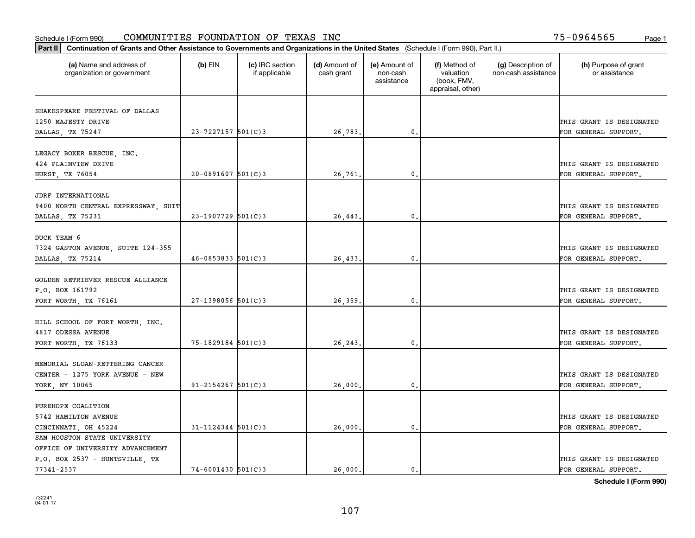| Part II   Continuation of Grants and Other Assistance to Governments and Organizations in the United States (Schedule I (Form 990), Part II.) |                          |                                  |                             |                                         |                                                                |                                           |                                       |
|-----------------------------------------------------------------------------------------------------------------------------------------------|--------------------------|----------------------------------|-----------------------------|-----------------------------------------|----------------------------------------------------------------|-------------------------------------------|---------------------------------------|
| (a) Name and address of<br>organization or government                                                                                         | $(b)$ EIN                | (c) IRC section<br>if applicable | (d) Amount of<br>cash grant | (e) Amount of<br>non-cash<br>assistance | (f) Method of<br>valuation<br>(book, FMV,<br>appraisal, other) | (g) Description of<br>non-cash assistance | (h) Purpose of grant<br>or assistance |
| SHAKESPEARE FESTIVAL OF DALLAS                                                                                                                |                          |                                  |                             |                                         |                                                                |                                           |                                       |
| 1250 MAJESTY DRIVE                                                                                                                            |                          |                                  |                             |                                         |                                                                |                                           | THIS GRANT IS DESIGNATED              |
| DALLAS, TX 75247                                                                                                                              | $23 - 7227157$ 501(C)3   |                                  | 26,783.                     | $\mathbf 0$ .                           |                                                                |                                           | FOR GENERAL SUPPORT.                  |
|                                                                                                                                               |                          |                                  |                             |                                         |                                                                |                                           |                                       |
| LEGACY BOXER RESCUE, INC.                                                                                                                     |                          |                                  |                             |                                         |                                                                |                                           |                                       |
| 424 PLAINVIEW DRIVE                                                                                                                           |                          |                                  |                             |                                         |                                                                |                                           | THIS GRANT IS DESIGNATED              |
| <b>HURST, TX 76054</b>                                                                                                                        | $20 - 0891607$ 501(C)3   |                                  | 26.761                      | 0.                                      |                                                                |                                           | FOR GENERAL SUPPORT.                  |
|                                                                                                                                               |                          |                                  |                             |                                         |                                                                |                                           |                                       |
| JDRF INTERNATIONAL                                                                                                                            |                          |                                  |                             |                                         |                                                                |                                           |                                       |
| 9400 NORTH CENTRAL EXPRESSWAY, SUIT                                                                                                           |                          |                                  |                             |                                         |                                                                |                                           | THIS GRANT IS DESIGNATED              |
| DALLAS, TX 75231                                                                                                                              | $23-1907729$ 501(C)3     |                                  | 26,443.                     | $\mathbf{0}$ .                          |                                                                |                                           | FOR GENERAL SUPPORT.                  |
|                                                                                                                                               |                          |                                  |                             |                                         |                                                                |                                           |                                       |
| DUCK TEAM 6                                                                                                                                   |                          |                                  |                             |                                         |                                                                |                                           |                                       |
| 7324 GASTON AVENUE, SUITE 124-355                                                                                                             |                          |                                  |                             |                                         |                                                                |                                           | THIS GRANT IS DESIGNATED              |
| DALLAS, TX 75214                                                                                                                              | $46 - 0853833$ $501(C)3$ |                                  | 26,433.                     | $\mathbf{0}$                            |                                                                |                                           | FOR GENERAL SUPPORT.                  |
|                                                                                                                                               |                          |                                  |                             |                                         |                                                                |                                           |                                       |
| GOLDEN RETRIEVER RESCUE ALLIANCE                                                                                                              |                          |                                  |                             |                                         |                                                                |                                           |                                       |
| P.O. BOX 161792                                                                                                                               |                          |                                  |                             |                                         |                                                                |                                           | THIS GRANT IS DESIGNATED              |
| FORT WORTH, TX 76161                                                                                                                          | $27-1398056$ 501(C)3     |                                  | 26,359.                     | $\mathfrak o$ .                         |                                                                |                                           | FOR GENERAL SUPPORT.                  |
| HILL SCHOOL OF FORT WORTH, INC.                                                                                                               |                          |                                  |                             |                                         |                                                                |                                           |                                       |
| 4817 ODESSA AVENUE                                                                                                                            |                          |                                  |                             |                                         |                                                                |                                           | THIS GRANT IS DESIGNATED              |
| FORT WORTH, TX 76133                                                                                                                          | 75-1829184 501(C)3       |                                  | 26, 243.                    | 0.                                      |                                                                |                                           | FOR GENERAL SUPPORT.                  |
|                                                                                                                                               |                          |                                  |                             |                                         |                                                                |                                           |                                       |
| MEMORIAL SLOAN-KETTERING CANCER                                                                                                               |                          |                                  |                             |                                         |                                                                |                                           |                                       |
| CENTER - 1275 YORK AVENUE - NEW                                                                                                               |                          |                                  |                             |                                         |                                                                |                                           | THIS GRANT IS DESIGNATED              |
| YORK, NY 10065                                                                                                                                | $91 - 2154267$ 501(C)3   |                                  | 26,000.                     | $\mathfrak{o}$ .                        |                                                                |                                           | FOR GENERAL SUPPORT.                  |
|                                                                                                                                               |                          |                                  |                             |                                         |                                                                |                                           |                                       |
| PUREHOPE COALITION                                                                                                                            |                          |                                  |                             |                                         |                                                                |                                           |                                       |
| 5742 HAMILTON AVENUE                                                                                                                          |                          |                                  |                             |                                         |                                                                |                                           | THIS GRANT IS DESIGNATED              |
| CINCINNATI, OH 45224                                                                                                                          | $31 - 1124344$ 501(C)3   |                                  | 26,000                      | $\mathbf{0}$                            |                                                                |                                           | FOR GENERAL SUPPORT.                  |
| SAM HOUSTON STATE UNIVERSITY                                                                                                                  |                          |                                  |                             |                                         |                                                                |                                           |                                       |
| OFFICE OF UNIVERSITY ADVANCEMENT                                                                                                              |                          |                                  |                             |                                         |                                                                |                                           |                                       |
| P.O. BOX 2537 - HUNTSVILLE, TX                                                                                                                |                          |                                  |                             |                                         |                                                                |                                           | THIS GRANT IS DESIGNATED              |
| 77341-2537                                                                                                                                    | $74 - 6001430$ 501(C)3   |                                  | 26,000.                     | $\mathfrak{o}$ .                        |                                                                |                                           | FOR GENERAL SUPPORT.                  |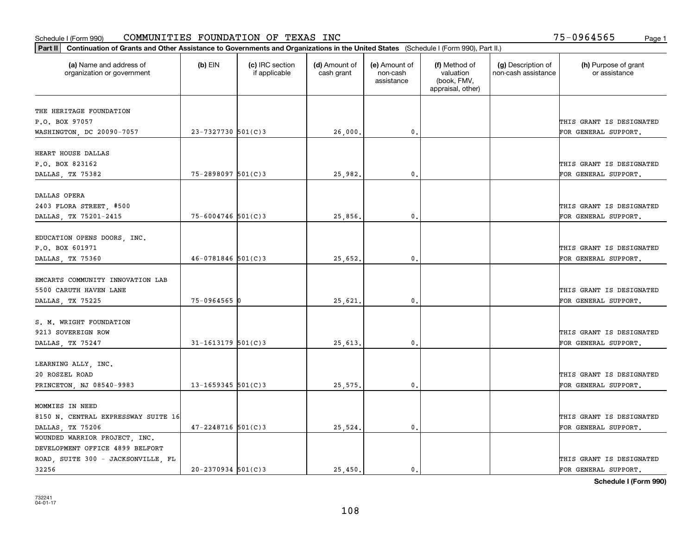| Part II   Continuation of Grants and Other Assistance to Governments and Organizations in the United States (Schedule I (Form 990), Part II.) |                        |                                  |                             |                                         |                                                                |                                           |                                       |
|-----------------------------------------------------------------------------------------------------------------------------------------------|------------------------|----------------------------------|-----------------------------|-----------------------------------------|----------------------------------------------------------------|-------------------------------------------|---------------------------------------|
| (a) Name and address of<br>organization or government                                                                                         | $(b)$ EIN              | (c) IRC section<br>if applicable | (d) Amount of<br>cash grant | (e) Amount of<br>non-cash<br>assistance | (f) Method of<br>valuation<br>(book, FMV,<br>appraisal, other) | (g) Description of<br>non-cash assistance | (h) Purpose of grant<br>or assistance |
| THE HERITAGE FOUNDATION                                                                                                                       |                        |                                  |                             |                                         |                                                                |                                           |                                       |
| P.O. BOX 97057                                                                                                                                |                        |                                  |                             |                                         |                                                                |                                           | THIS GRANT IS DESIGNATED              |
| WASHINGTON, DC 20090-7057                                                                                                                     | 23-7327730 501(C)3     |                                  | 26,000.                     | $\mathbf{0}$ .                          |                                                                |                                           | FOR GENERAL SUPPORT.                  |
|                                                                                                                                               |                        |                                  |                             |                                         |                                                                |                                           |                                       |
| HEART HOUSE DALLAS                                                                                                                            |                        |                                  |                             |                                         |                                                                |                                           |                                       |
| P.O. BOX 823162                                                                                                                               |                        |                                  |                             |                                         |                                                                |                                           | THIS GRANT IS DESIGNATED              |
| DALLAS, TX 75382                                                                                                                              | $75 - 2898097$ 501(C)3 |                                  | 25,982.                     | 0.                                      |                                                                |                                           | FOR GENERAL SUPPORT.                  |
|                                                                                                                                               |                        |                                  |                             |                                         |                                                                |                                           |                                       |
| DALLAS OPERA                                                                                                                                  |                        |                                  |                             |                                         |                                                                |                                           |                                       |
| 2403 FLORA STREET, #500                                                                                                                       |                        |                                  |                             |                                         |                                                                |                                           | THIS GRANT IS DESIGNATED              |
| DALLAS, TX 75201-2415                                                                                                                         | $75 - 6004746$ 501(C)3 |                                  | 25,856.                     | $\mathfrak{o}$ .                        |                                                                |                                           | FOR GENERAL SUPPORT.                  |
|                                                                                                                                               |                        |                                  |                             |                                         |                                                                |                                           |                                       |
| EDUCATION OPENS DOORS, INC.                                                                                                                   |                        |                                  |                             |                                         |                                                                |                                           |                                       |
| P.O. BOX 601971                                                                                                                               |                        |                                  |                             |                                         |                                                                |                                           | THIS GRANT IS DESIGNATED              |
| DALLAS, TX 75360                                                                                                                              | $46 - 0781846$ 501(C)3 |                                  | 25,652.                     | $\mathbf{0}$                            |                                                                |                                           | FOR GENERAL SUPPORT.                  |
|                                                                                                                                               |                        |                                  |                             |                                         |                                                                |                                           |                                       |
| EMCARTS COMMUNITY INNOVATION LAB                                                                                                              |                        |                                  |                             |                                         |                                                                |                                           |                                       |
| 5500 CARUTH HAVEN LANE                                                                                                                        |                        |                                  |                             |                                         |                                                                |                                           | THIS GRANT IS DESIGNATED              |
| DALLAS, TX 75225                                                                                                                              | $75 - 0964565$ 0       |                                  | 25,621                      | $\mathbf 0$ .                           |                                                                |                                           | FOR GENERAL SUPPORT.                  |
|                                                                                                                                               |                        |                                  |                             |                                         |                                                                |                                           |                                       |
| S. M. WRIGHT FOUNDATION                                                                                                                       |                        |                                  |                             |                                         |                                                                |                                           |                                       |
| 9213 SOVEREIGN ROW                                                                                                                            |                        |                                  |                             |                                         |                                                                |                                           | THIS GRANT IS DESIGNATED              |
| DALLAS, TX 75247                                                                                                                              | $31 - 1613179$ 501(C)3 |                                  | 25,613.                     | $\mathbf{0}$ .                          |                                                                |                                           | FOR GENERAL SUPPORT.                  |
|                                                                                                                                               |                        |                                  |                             |                                         |                                                                |                                           |                                       |
| LEARNING ALLY, INC.                                                                                                                           |                        |                                  |                             |                                         |                                                                |                                           |                                       |
| 20 ROSZEL ROAD                                                                                                                                |                        |                                  |                             |                                         |                                                                |                                           | THIS GRANT IS DESIGNATED              |
| PRINCETON, NJ 08540-9983                                                                                                                      | $13 - 1659345$ 501(C)3 |                                  | 25,575.                     | $^{\circ}$ .                            |                                                                |                                           | FOR GENERAL SUPPORT.                  |
|                                                                                                                                               |                        |                                  |                             |                                         |                                                                |                                           |                                       |
| MOMMIES IN NEED                                                                                                                               |                        |                                  |                             |                                         |                                                                |                                           |                                       |
| 8150 N. CENTRAL EXPRESSWAY SUITE 16                                                                                                           |                        |                                  |                             |                                         |                                                                |                                           | THIS GRANT IS DESIGNATED              |
| DALLAS, TX 75206                                                                                                                              | $47 - 2248716$ 501(C)3 |                                  | 25,524.                     | $\mathbf{0}$                            |                                                                |                                           | FOR GENERAL SUPPORT.                  |
| WOUNDED WARRIOR PROJECT, INC.                                                                                                                 |                        |                                  |                             |                                         |                                                                |                                           |                                       |
| DEVELOPMENT OFFICE 4899 BELFORT                                                                                                               |                        |                                  |                             |                                         |                                                                |                                           |                                       |
| ROAD, SUITE 300 - JACKSONVILLE, FL                                                                                                            |                        |                                  |                             |                                         |                                                                |                                           | THIS GRANT IS DESIGNATED              |
| 32256                                                                                                                                         | $20 - 2370934$ 501(C)3 |                                  | 25.450.                     | $\mathbf{0}$ .                          |                                                                |                                           | FOR GENERAL SUPPORT.                  |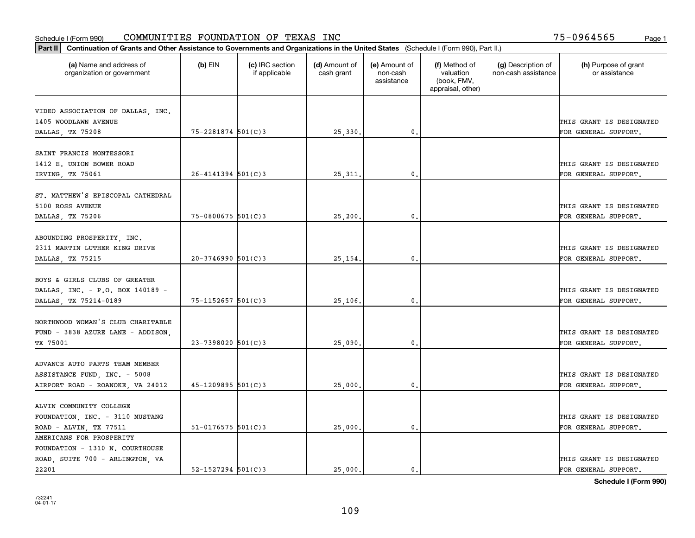| Part II   Continuation of Grants and Other Assistance to Governments and Organizations in the United States (Schedule I (Form 990), Part II.) |                        |                                  |                             |                                         |                                                                |                                           |                                       |
|-----------------------------------------------------------------------------------------------------------------------------------------------|------------------------|----------------------------------|-----------------------------|-----------------------------------------|----------------------------------------------------------------|-------------------------------------------|---------------------------------------|
| (a) Name and address of<br>organization or government                                                                                         | (b) EIN                | (c) IRC section<br>if applicable | (d) Amount of<br>cash grant | (e) Amount of<br>non-cash<br>assistance | (f) Method of<br>valuation<br>(book, FMV,<br>appraisal, other) | (g) Description of<br>non-cash assistance | (h) Purpose of grant<br>or assistance |
|                                                                                                                                               |                        |                                  |                             |                                         |                                                                |                                           |                                       |
| VIDEO ASSOCIATION OF DALLAS, INC.                                                                                                             |                        |                                  |                             |                                         |                                                                |                                           |                                       |
| 1405 WOODLAWN AVENUE                                                                                                                          |                        |                                  |                             |                                         |                                                                |                                           | THIS GRANT IS DESIGNATED              |
| DALLAS, TX 75208                                                                                                                              | 75-2281874 501(C)3     |                                  | 25,330.                     | $\mathbf{0}$ .                          |                                                                |                                           | FOR GENERAL SUPPORT.                  |
| SAINT FRANCIS MONTESSORI                                                                                                                      |                        |                                  |                             |                                         |                                                                |                                           |                                       |
| 1412 E. UNION BOWER ROAD                                                                                                                      |                        |                                  |                             |                                         |                                                                |                                           | THIS GRANT IS DESIGNATED              |
|                                                                                                                                               | $26 - 4141394$ 501(C)3 |                                  |                             |                                         |                                                                |                                           |                                       |
| IRVING, TX 75061                                                                                                                              |                        |                                  | 25, 311                     | 0.                                      |                                                                |                                           | FOR GENERAL SUPPORT.                  |
| ST. MATTHEW'S EPISCOPAL CATHEDRAL                                                                                                             |                        |                                  |                             |                                         |                                                                |                                           |                                       |
| 5100 ROSS AVENUE                                                                                                                              |                        |                                  |                             |                                         |                                                                |                                           | THIS GRANT IS DESIGNATED              |
| DALLAS, TX 75206                                                                                                                              | $75 - 0800675$ 501(C)3 |                                  | 25,200                      | 0.                                      |                                                                |                                           | FOR GENERAL SUPPORT.                  |
|                                                                                                                                               |                        |                                  |                             |                                         |                                                                |                                           |                                       |
| ABOUNDING PROSPERITY, INC.                                                                                                                    |                        |                                  |                             |                                         |                                                                |                                           |                                       |
| 2311 MARTIN LUTHER KING DRIVE                                                                                                                 |                        |                                  |                             |                                         |                                                                |                                           | THIS GRANT IS DESIGNATED              |
| DALLAS, TX 75215                                                                                                                              | $20-3746990$ 501(C)3   |                                  | 25, 154.                    | 0.                                      |                                                                |                                           | FOR GENERAL SUPPORT.                  |
|                                                                                                                                               |                        |                                  |                             |                                         |                                                                |                                           |                                       |
| BOYS & GIRLS CLUBS OF GREATER                                                                                                                 |                        |                                  |                             |                                         |                                                                |                                           |                                       |
| DALLAS, INC. - P.O. BOX 140189 -                                                                                                              |                        |                                  |                             |                                         |                                                                |                                           | THIS GRANT IS DESIGNATED              |
| DALLAS, TX 75214-0189                                                                                                                         | 75-1152657 501(C)3     |                                  | 25,106.                     | 0.                                      |                                                                |                                           | FOR GENERAL SUPPORT.                  |
|                                                                                                                                               |                        |                                  |                             |                                         |                                                                |                                           |                                       |
| NORTHWOOD WOMAN'S CLUB CHARITABLE                                                                                                             |                        |                                  |                             |                                         |                                                                |                                           |                                       |
| FUND - 3838 AZURE LANE - ADDISON,                                                                                                             |                        |                                  |                             |                                         |                                                                |                                           | THIS GRANT IS DESIGNATED              |
| TX 75001                                                                                                                                      | $23 - 7398020$ 501(C)3 |                                  | 25,090                      | 0.                                      |                                                                |                                           | FOR GENERAL SUPPORT.                  |
|                                                                                                                                               |                        |                                  |                             |                                         |                                                                |                                           |                                       |
| ADVANCE AUTO PARTS TEAM MEMBER                                                                                                                |                        |                                  |                             |                                         |                                                                |                                           |                                       |
| ASSISTANCE FUND, INC. - 5008                                                                                                                  |                        |                                  |                             |                                         |                                                                |                                           | THIS GRANT IS DESIGNATED              |
| AIRPORT ROAD - ROANOKE, VA 24012                                                                                                              | $45 - 1209895$ 501(C)3 |                                  | 25,000                      | 0.                                      |                                                                |                                           | FOR GENERAL SUPPORT.                  |
|                                                                                                                                               |                        |                                  |                             |                                         |                                                                |                                           |                                       |
| ALVIN COMMUNITY COLLEGE                                                                                                                       |                        |                                  |                             |                                         |                                                                |                                           |                                       |
| FOUNDATION, INC. - 3110 MUSTANG                                                                                                               |                        |                                  |                             |                                         |                                                                |                                           | THIS GRANT IS DESIGNATED              |
| ROAD - ALVIN, TX 77511                                                                                                                        | $51 - 0176575$ 501(C)3 |                                  | 25,000                      | 0.                                      |                                                                |                                           | FOR GENERAL SUPPORT.                  |
| AMERICANS FOR PROSPERITY                                                                                                                      |                        |                                  |                             |                                         |                                                                |                                           |                                       |
| FOUNDATION - 1310 N. COURTHOUSE                                                                                                               |                        |                                  |                             |                                         |                                                                |                                           |                                       |
| ROAD, SUITE 700 - ARLINGTON, VA                                                                                                               |                        |                                  |                             |                                         |                                                                |                                           | THIS GRANT IS DESIGNATED              |
| 22201                                                                                                                                         | $52 - 1527294$ 501(C)3 |                                  | 25,000.                     | 0.                                      |                                                                |                                           | FOR GENERAL SUPPORT.                  |
|                                                                                                                                               |                        |                                  |                             |                                         |                                                                |                                           |                                       |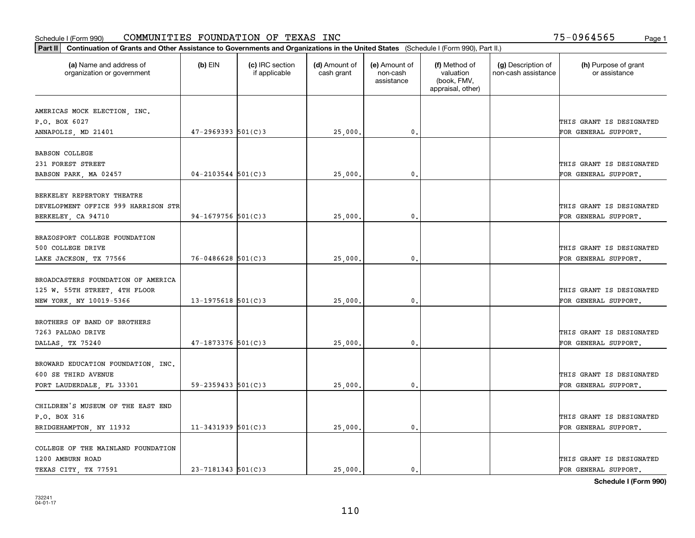| Part II   Continuation of Grants and Other Assistance to Governments and Organizations in the United States (Schedule I (Form 990), Part II.) |                          |                                  |                             |                                         |                                                                |                                           |                                       |
|-----------------------------------------------------------------------------------------------------------------------------------------------|--------------------------|----------------------------------|-----------------------------|-----------------------------------------|----------------------------------------------------------------|-------------------------------------------|---------------------------------------|
| (a) Name and address of<br>organization or government                                                                                         | $(b)$ EIN                | (c) IRC section<br>if applicable | (d) Amount of<br>cash grant | (e) Amount of<br>non-cash<br>assistance | (f) Method of<br>valuation<br>(book, FMV,<br>appraisal, other) | (g) Description of<br>non-cash assistance | (h) Purpose of grant<br>or assistance |
|                                                                                                                                               |                          |                                  |                             |                                         |                                                                |                                           |                                       |
| AMERICAS MOCK ELECTION, INC.<br>P.O. BOX 6027                                                                                                 |                          |                                  |                             |                                         |                                                                |                                           | THIS GRANT IS DESIGNATED              |
| ANNAPOLIS, MD 21401                                                                                                                           | $47 - 2969393$ 501(C)3   |                                  | 25,000.                     | 0.                                      |                                                                |                                           | FOR GENERAL SUPPORT.                  |
|                                                                                                                                               |                          |                                  |                             |                                         |                                                                |                                           |                                       |
| <b>BABSON COLLEGE</b>                                                                                                                         |                          |                                  |                             |                                         |                                                                |                                           |                                       |
| 231 FOREST STREET                                                                                                                             |                          |                                  |                             |                                         |                                                                |                                           | THIS GRANT IS DESIGNATED              |
| BABSON PARK, MA 02457                                                                                                                         | $04 - 2103544$ 501(C)3   |                                  | 25,000                      | 0.                                      |                                                                |                                           | FOR GENERAL SUPPORT.                  |
|                                                                                                                                               |                          |                                  |                             |                                         |                                                                |                                           |                                       |
| BERKELEY REPERTORY THEATRE                                                                                                                    |                          |                                  |                             |                                         |                                                                |                                           |                                       |
| DEVELOPMENT OFFICE 999 HARRISON STR                                                                                                           |                          |                                  |                             |                                         |                                                                |                                           | THIS GRANT IS DESIGNATED              |
| BERKELEY, CA 94710                                                                                                                            | 94-1679756 $501(C)3$     |                                  | 25,000                      | $\mathbf{0}$ .                          |                                                                |                                           | FOR GENERAL SUPPORT.                  |
|                                                                                                                                               |                          |                                  |                             |                                         |                                                                |                                           |                                       |
| BRAZOSPORT COLLEGE FOUNDATION                                                                                                                 |                          |                                  |                             |                                         |                                                                |                                           |                                       |
| 500 COLLEGE DRIVE                                                                                                                             |                          |                                  |                             |                                         |                                                                |                                           | THIS GRANT IS DESIGNATED              |
| LAKE JACKSON, TX 77566                                                                                                                        | $76 - 0486628$ 501(C)3   |                                  | 25,000.                     | 0.                                      |                                                                |                                           | FOR GENERAL SUPPORT.                  |
| BROADCASTERS FOUNDATION OF AMERICA                                                                                                            |                          |                                  |                             |                                         |                                                                |                                           |                                       |
|                                                                                                                                               |                          |                                  |                             |                                         |                                                                |                                           | THIS GRANT IS DESIGNATED              |
| 125 W. 55TH STREET, 4TH FLOOR                                                                                                                 |                          |                                  |                             |                                         |                                                                |                                           |                                       |
| NEW YORK, NY 10019-5366                                                                                                                       | $13 - 1975618$ 501(C)3   |                                  | 25,000                      | 0.                                      |                                                                |                                           | FOR GENERAL SUPPORT.                  |
| BROTHERS OF BAND OF BROTHERS                                                                                                                  |                          |                                  |                             |                                         |                                                                |                                           |                                       |
| 7263 PALDAO DRIVE                                                                                                                             |                          |                                  |                             |                                         |                                                                |                                           | THIS GRANT IS DESIGNATED              |
| DALLAS, TX 75240                                                                                                                              | $47 - 1873376$ 501(C)3   |                                  | 25,000                      | 0.                                      |                                                                |                                           | FOR GENERAL SUPPORT.                  |
|                                                                                                                                               |                          |                                  |                             |                                         |                                                                |                                           |                                       |
| BROWARD EDUCATION FOUNDATION, INC.                                                                                                            |                          |                                  |                             |                                         |                                                                |                                           |                                       |
| 600 SE THIRD AVENUE                                                                                                                           |                          |                                  |                             |                                         |                                                                |                                           | THIS GRANT IS DESIGNATED              |
| FORT LAUDERDALE, FL 33301                                                                                                                     | $59 - 2359433$ $501(C)3$ |                                  | 25,000                      | $\mathfrak{o}$ .                        |                                                                |                                           | FOR GENERAL SUPPORT.                  |
|                                                                                                                                               |                          |                                  |                             |                                         |                                                                |                                           |                                       |
| CHILDREN'S MUSEUM OF THE EAST END                                                                                                             |                          |                                  |                             |                                         |                                                                |                                           |                                       |
| P.O. BOX 316                                                                                                                                  |                          |                                  |                             |                                         |                                                                |                                           | THIS GRANT IS DESIGNATED              |
| BRIDGEHAMPTON, NY 11932                                                                                                                       | $11 - 3431939$ 501(C)3   |                                  | 25,000.                     | $\mathbf{0}$ .                          |                                                                |                                           | FOR GENERAL SUPPORT.                  |
|                                                                                                                                               |                          |                                  |                             |                                         |                                                                |                                           |                                       |
| COLLEGE OF THE MAINLAND FOUNDATION                                                                                                            |                          |                                  |                             |                                         |                                                                |                                           |                                       |
| 1200 AMBURN ROAD                                                                                                                              |                          |                                  |                             |                                         |                                                                |                                           | THIS GRANT IS DESIGNATED              |
| TEXAS CITY, TX 77591                                                                                                                          | $23 - 7181343$ 501(C)3   |                                  | 25,000.                     | 0.                                      |                                                                |                                           | FOR GENERAL SUPPORT.                  |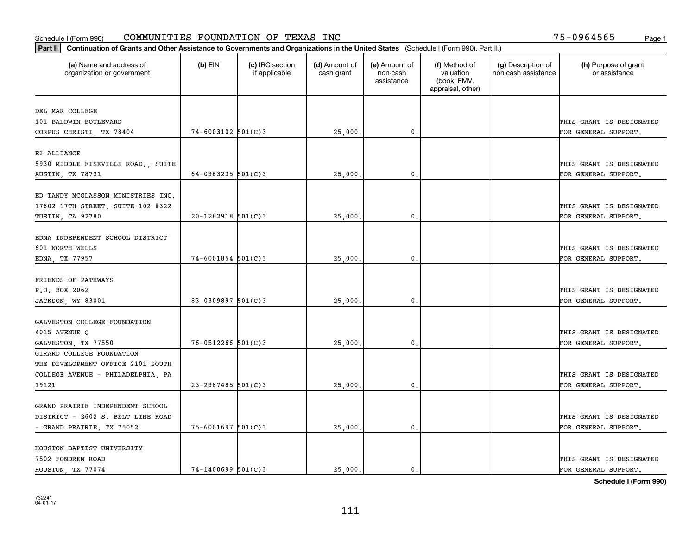| Part II   Continuation of Grants and Other Assistance to Governments and Organizations in the United States (Schedule I (Form 990), Part II.) |                        |                                  |                             |                                         |                                                                |                                           |                                       |
|-----------------------------------------------------------------------------------------------------------------------------------------------|------------------------|----------------------------------|-----------------------------|-----------------------------------------|----------------------------------------------------------------|-------------------------------------------|---------------------------------------|
| (a) Name and address of<br>organization or government                                                                                         | $(b)$ EIN              | (c) IRC section<br>if applicable | (d) Amount of<br>cash grant | (e) Amount of<br>non-cash<br>assistance | (f) Method of<br>valuation<br>(book, FMV,<br>appraisal, other) | (g) Description of<br>non-cash assistance | (h) Purpose of grant<br>or assistance |
| DEL MAR COLLEGE                                                                                                                               |                        |                                  |                             |                                         |                                                                |                                           |                                       |
| 101 BALDWIN BOULEVARD                                                                                                                         |                        |                                  |                             |                                         |                                                                |                                           | THIS GRANT IS DESIGNATED              |
| CORPUS CHRISTI, TX 78404                                                                                                                      | $74 - 6003102$ 501(C)3 |                                  | 25,000.                     | $\mathbf{0}$ .                          |                                                                |                                           | FOR GENERAL SUPPORT.                  |
|                                                                                                                                               |                        |                                  |                             |                                         |                                                                |                                           |                                       |
| E3 ALLIANCE                                                                                                                                   |                        |                                  |                             |                                         |                                                                |                                           |                                       |
| 5930 MIDDLE FISKVILLE ROAD., SUITE                                                                                                            |                        |                                  |                             |                                         |                                                                |                                           | THIS GRANT IS DESIGNATED              |
| AUSTIN, TX 78731                                                                                                                              | 64-0963235 $501(C)$ 3  |                                  | 25,000                      | 0.                                      |                                                                |                                           | FOR GENERAL SUPPORT.                  |
|                                                                                                                                               |                        |                                  |                             |                                         |                                                                |                                           |                                       |
| ED TANDY MCGLASSON MINISTRIES INC.                                                                                                            |                        |                                  |                             |                                         |                                                                |                                           |                                       |
| 17602 17TH STREET, SUITE 102 #322                                                                                                             |                        |                                  |                             |                                         |                                                                |                                           | THIS GRANT IS DESIGNATED              |
| TUSTIN, CA 92780                                                                                                                              | $20-1282918$ 501(C)3   |                                  | 25,000.                     | $\mathfrak{o}$ .                        |                                                                |                                           | FOR GENERAL SUPPORT.                  |
|                                                                                                                                               |                        |                                  |                             |                                         |                                                                |                                           |                                       |
| EDNA INDEPENDENT SCHOOL DISTRICT                                                                                                              |                        |                                  |                             |                                         |                                                                |                                           |                                       |
| 601 NORTH WELLS                                                                                                                               |                        |                                  |                             |                                         |                                                                |                                           | THIS GRANT IS DESIGNATED              |
| EDNA, TX 77957                                                                                                                                | $74 - 6001854$ 501(C)3 |                                  | 25,000.                     | 0.                                      |                                                                |                                           | FOR GENERAL SUPPORT.                  |
|                                                                                                                                               |                        |                                  |                             |                                         |                                                                |                                           |                                       |
| FRIENDS OF PATHWAYS                                                                                                                           |                        |                                  |                             |                                         |                                                                |                                           |                                       |
| P.O. BOX 2062                                                                                                                                 |                        |                                  |                             |                                         |                                                                |                                           | THIS GRANT IS DESIGNATED              |
| JACKSON, WY 83001                                                                                                                             | 83-0309897 $501(C)$ 3  |                                  | 25,000                      | $\mathbf{0}$ .                          |                                                                |                                           | FOR GENERAL SUPPORT.                  |
|                                                                                                                                               |                        |                                  |                             |                                         |                                                                |                                           |                                       |
| GALVESTON COLLEGE FOUNDATION                                                                                                                  |                        |                                  |                             |                                         |                                                                |                                           |                                       |
| 4015 AVENUE Q                                                                                                                                 |                        |                                  |                             | $\mathbf{0}$ .                          |                                                                |                                           | THIS GRANT IS DESIGNATED              |
| GALVESTON, TX 77550                                                                                                                           | $76 - 0512266$ 501(C)3 |                                  | 25,000                      |                                         |                                                                |                                           | FOR GENERAL SUPPORT.                  |
| GIRARD COLLEGE FOUNDATION<br>THE DEVELOPMENT OFFICE 2101 SOUTH                                                                                |                        |                                  |                             |                                         |                                                                |                                           |                                       |
|                                                                                                                                               |                        |                                  |                             |                                         |                                                                |                                           | THIS GRANT IS DESIGNATED              |
| COLLEGE AVENUE - PHILADELPHIA, PA<br>19121                                                                                                    | $23 - 2987485$ 501(C)3 |                                  |                             | $\mathbf{0}$ .                          |                                                                |                                           | FOR GENERAL SUPPORT.                  |
|                                                                                                                                               |                        |                                  | 25,000.                     |                                         |                                                                |                                           |                                       |
| GRAND PRAIRIE INDEPENDENT SCHOOL                                                                                                              |                        |                                  |                             |                                         |                                                                |                                           |                                       |
| DISTRICT - 2602 S. BELT LINE ROAD                                                                                                             |                        |                                  |                             |                                         |                                                                |                                           | THIS GRANT IS DESIGNATED              |
| - GRAND PRAIRIE, TX 75052                                                                                                                     | $75 - 6001697$ 501(C)3 |                                  | 25,000.                     | 0.                                      |                                                                |                                           | FOR GENERAL SUPPORT.                  |
|                                                                                                                                               |                        |                                  |                             |                                         |                                                                |                                           |                                       |
| HOUSTON BAPTIST UNIVERSITY                                                                                                                    |                        |                                  |                             |                                         |                                                                |                                           |                                       |
| 7502 FONDREN ROAD                                                                                                                             |                        |                                  |                             |                                         |                                                                |                                           | THIS GRANT IS DESIGNATED              |
| HOUSTON, TX 77074                                                                                                                             | $74 - 1400699$ 501(C)3 |                                  | 25,000.                     | $\mathbf{0}$ .                          |                                                                |                                           | FOR GENERAL SUPPORT.                  |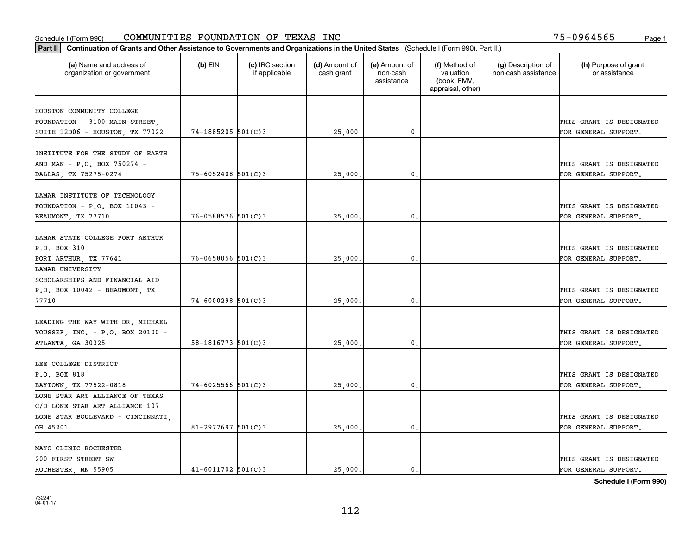| Part II   Continuation of Grants and Other Assistance to Governments and Organizations in the United States (Schedule I (Form 990), Part II.) |                          |                                  |                             |                                         |                                                                |                                           |                                       |
|-----------------------------------------------------------------------------------------------------------------------------------------------|--------------------------|----------------------------------|-----------------------------|-----------------------------------------|----------------------------------------------------------------|-------------------------------------------|---------------------------------------|
| (a) Name and address of<br>organization or government                                                                                         | $(b)$ EIN                | (c) IRC section<br>if applicable | (d) Amount of<br>cash grant | (e) Amount of<br>non-cash<br>assistance | (f) Method of<br>valuation<br>(book, FMV,<br>appraisal, other) | (g) Description of<br>non-cash assistance | (h) Purpose of grant<br>or assistance |
| HOUSTON COMMUNITY COLLEGE                                                                                                                     |                          |                                  |                             |                                         |                                                                |                                           |                                       |
| FOUNDATION - 3100 MAIN STREET,                                                                                                                |                          |                                  |                             |                                         |                                                                |                                           | THIS GRANT IS DESIGNATED              |
| SUITE 12D06 - HOUSTON, TX 77022                                                                                                               | 74-1885205 501(C)3       |                                  | 25,000.                     | $\mathbf{0}$ .                          |                                                                |                                           | FOR GENERAL SUPPORT.                  |
|                                                                                                                                               |                          |                                  |                             |                                         |                                                                |                                           |                                       |
| INSTITUTE FOR THE STUDY OF EARTH                                                                                                              |                          |                                  |                             |                                         |                                                                |                                           |                                       |
| AND MAN - P.O. BOX 750274 -                                                                                                                   |                          |                                  |                             |                                         |                                                                |                                           | THIS GRANT IS DESIGNATED              |
| DALLAS TX 75275-0274                                                                                                                          | $75 - 6052408$ 501(C)3   |                                  | 25,000                      | 0.                                      |                                                                |                                           | FOR GENERAL SUPPORT.                  |
|                                                                                                                                               |                          |                                  |                             |                                         |                                                                |                                           |                                       |
| LAMAR INSTITUTE OF TECHNOLOGY                                                                                                                 |                          |                                  |                             |                                         |                                                                |                                           |                                       |
| FOUNDATION - P.O. BOX 10043 -                                                                                                                 |                          |                                  |                             |                                         |                                                                |                                           | THIS GRANT IS DESIGNATED              |
|                                                                                                                                               | $76 - 0588576$ 501(C)3   |                                  | 25,000.                     | $\mathfrak{o}$ .                        |                                                                |                                           | FOR GENERAL SUPPORT.                  |
| BEAUMONT, TX 77710                                                                                                                            |                          |                                  |                             |                                         |                                                                |                                           |                                       |
| LAMAR STATE COLLEGE PORT ARTHUR                                                                                                               |                          |                                  |                             |                                         |                                                                |                                           |                                       |
|                                                                                                                                               |                          |                                  |                             |                                         |                                                                |                                           |                                       |
| P.O. BOX 310                                                                                                                                  |                          |                                  |                             |                                         |                                                                |                                           | THIS GRANT IS DESIGNATED              |
| PORT ARTHUR, TX 77641                                                                                                                         | $76 - 0658056$ 501(C)3   |                                  | 25,000                      | $\mathbf{0}$                            |                                                                |                                           | FOR GENERAL SUPPORT.                  |
| LAMAR UNIVERSITY                                                                                                                              |                          |                                  |                             |                                         |                                                                |                                           |                                       |
| SCHOLARSHIPS AND FINANCIAL AID                                                                                                                |                          |                                  |                             |                                         |                                                                |                                           |                                       |
| P.O. BOX 10042 - BEAUMONT, TX                                                                                                                 |                          |                                  |                             |                                         |                                                                |                                           | THIS GRANT IS DESIGNATED              |
| 77710                                                                                                                                         | $74 - 6000298$ 501(C)3   |                                  | 25,000.                     | $\mathfrak o$ .                         |                                                                |                                           | FOR GENERAL SUPPORT.                  |
|                                                                                                                                               |                          |                                  |                             |                                         |                                                                |                                           |                                       |
| LEADING THE WAY WITH DR. MICHAEL                                                                                                              |                          |                                  |                             |                                         |                                                                |                                           |                                       |
| YOUSSEF, INC. - P.O. BOX 20100 -                                                                                                              |                          |                                  |                             |                                         |                                                                |                                           | THIS GRANT IS DESIGNATED              |
| ATLANTA, GA 30325                                                                                                                             | $58 - 1816773$ $501(C)3$ |                                  | 25,000.                     | $\mathbf{0}$                            |                                                                |                                           | FOR GENERAL SUPPORT.                  |
|                                                                                                                                               |                          |                                  |                             |                                         |                                                                |                                           |                                       |
| LEE COLLEGE DISTRICT                                                                                                                          |                          |                                  |                             |                                         |                                                                |                                           |                                       |
| P.O. BOX 818                                                                                                                                  |                          |                                  |                             |                                         |                                                                |                                           | THIS GRANT IS DESIGNATED              |
| BAYTOWN, TX 77522-0818                                                                                                                        | $74 - 6025566$ 501(C)3   |                                  | 25,000.                     | $^{\circ}$ .                            |                                                                |                                           | FOR GENERAL SUPPORT.                  |
| LONE STAR ART ALLIANCE OF TEXAS                                                                                                               |                          |                                  |                             |                                         |                                                                |                                           |                                       |
| C/O LONE STAR ART ALLIANCE 107                                                                                                                |                          |                                  |                             |                                         |                                                                |                                           |                                       |
| LONE STAR BOULEVARD - CINCINNATI,                                                                                                             |                          |                                  |                             |                                         |                                                                |                                           | THIS GRANT IS DESIGNATED              |
| OH 45201                                                                                                                                      | $81 - 2977697$ 501(C)3   |                                  | 25,000                      | $\mathbf{0}$                            |                                                                |                                           | FOR GENERAL SUPPORT.                  |
|                                                                                                                                               |                          |                                  |                             |                                         |                                                                |                                           |                                       |
| MAYO CLINIC ROCHESTER                                                                                                                         |                          |                                  |                             |                                         |                                                                |                                           |                                       |
| 200 FIRST STREET SW                                                                                                                           |                          |                                  |                             |                                         |                                                                |                                           | THIS GRANT IS DESIGNATED              |
| ROCHESTER, MN 55905                                                                                                                           | $41 - 6011702$ $501(C)3$ |                                  | 25,000.                     | $\mathbf{0}$ .                          |                                                                |                                           | FOR GENERAL SUPPORT.                  |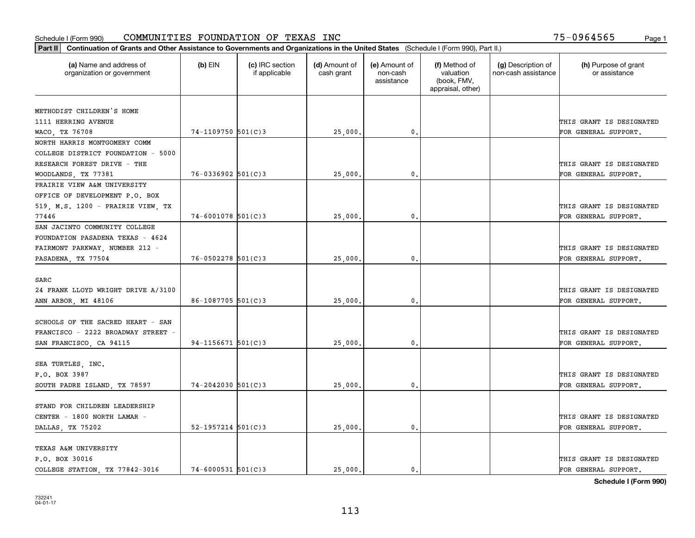| (a) Name and address of            | $(b)$ EIN                | (c) IRC section | (d) Amount of | (e) Amount of          | (f) Method of                                 | (g) Description of  | (h) Purpose of grant     |
|------------------------------------|--------------------------|-----------------|---------------|------------------------|-----------------------------------------------|---------------------|--------------------------|
| organization or government         |                          | if applicable   | cash grant    | non-cash<br>assistance | valuation<br>(book, FMV,<br>appraisal, other) | non-cash assistance | or assistance            |
| METHODIST CHILDREN'S HOME          |                          |                 |               |                        |                                               |                     |                          |
| 1111 HERRING AVENUE                |                          |                 |               |                        |                                               |                     | THIS GRANT IS DESIGNATED |
| WACO, TX 76708                     | $74 - 1109750$ 501(C)3   |                 | 25,000.       | 0.                     |                                               |                     | FOR GENERAL SUPPORT.     |
| NORTH HARRIS MONTGOMERY COMM       |                          |                 |               |                        |                                               |                     |                          |
| COLLEGE DISTRICT FOUNDATION - 5000 |                          |                 |               |                        |                                               |                     |                          |
| RESEARCH FOREST DRIVE - THE        |                          |                 |               |                        |                                               |                     | THIS GRANT IS DESIGNATED |
| WOODLANDS, TX 77381                | $76 - 0336902$ 501(C)3   |                 | 25,000        | 0.                     |                                               |                     | FOR GENERAL SUPPORT.     |
| PRAIRIE VIEW A&M UNIVERSITY        |                          |                 |               |                        |                                               |                     |                          |
| OFFICE OF DEVELOPMENT P.O. BOX     |                          |                 |               |                        |                                               |                     |                          |
| 519, M.S. 1200 - PRAIRIE VIEW, TX  |                          |                 |               |                        |                                               |                     | THIS GRANT IS DESIGNATED |
| 77446                              | $74 - 6001078$ 501(C)3   |                 | 25,000        | $\mathbf{0}$ .         |                                               |                     | FOR GENERAL SUPPORT.     |
| SAN JACINTO COMMUNITY COLLEGE      |                          |                 |               |                        |                                               |                     |                          |
| FOUNDATION PASADENA TEXAS - 4624   |                          |                 |               |                        |                                               |                     |                          |
| FAIRMONT PARKWAY, NUMBER 212 -     |                          |                 |               |                        |                                               |                     | THIS GRANT IS DESIGNATED |
| PASADENA, TX 77504                 | $76 - 0502278$ 501(C)3   |                 | 25,000,       | $\mathbf{0}$           |                                               |                     | FOR GENERAL SUPPORT.     |
|                                    |                          |                 |               |                        |                                               |                     |                          |
| SARC                               |                          |                 |               |                        |                                               |                     |                          |
| 24 FRANK LLOYD WRIGHT DRIVE A/3100 |                          |                 |               |                        |                                               |                     | THIS GRANT IS DESIGNATED |
| ANN ARBOR, MI 48106                | $86 - 1087705$ 501(C)3   |                 | 25,000        | $\mathbf{0}$ .         |                                               |                     | FOR GENERAL SUPPORT.     |
|                                    |                          |                 |               |                        |                                               |                     |                          |
| SCHOOLS OF THE SACRED HEART - SAN  |                          |                 |               |                        |                                               |                     |                          |
| FRANCISCO - 2222 BROADWAY STREET - |                          |                 |               |                        |                                               |                     | THIS GRANT IS DESIGNATED |
| SAN FRANCISCO, CA 94115            | $94 - 1156671$ 501(C)3   |                 | 25,000        | 0.                     |                                               |                     | FOR GENERAL SUPPORT.     |
|                                    |                          |                 |               |                        |                                               |                     |                          |
| SEA TURTLES, INC.                  |                          |                 |               |                        |                                               |                     |                          |
| P.O. BOX 3987                      |                          |                 |               |                        |                                               |                     | THIS GRANT IS DESIGNATED |
| SOUTH PADRE ISLAND, TX 78597       | 74-2042030 501(C)3       |                 | 25,000        | 0.                     |                                               |                     | FOR GENERAL SUPPORT.     |
|                                    |                          |                 |               |                        |                                               |                     |                          |
| STAND FOR CHILDREN LEADERSHIP      |                          |                 |               |                        |                                               |                     |                          |
| CENTER - 1800 NORTH LAMAR -        |                          |                 |               |                        |                                               |                     | THIS GRANT IS DESIGNATED |
| DALLAS, TX 75202                   | $52 - 1957214$ $501(C)3$ |                 | 25,000.       | 0.                     |                                               |                     | FOR GENERAL SUPPORT.     |
|                                    |                          |                 |               |                        |                                               |                     |                          |
| TEXAS A&M UNIVERSITY               |                          |                 |               |                        |                                               |                     |                          |
| P.O. BOX 30016                     |                          |                 |               |                        |                                               |                     | THIS GRANT IS DESIGNATED |
| COLLEGE STATION, TX 77842-3016     | $74 - 6000531$ 501(C)3   |                 | 25,000.       | $\mathbf{0}$ .         |                                               |                     | FOR GENERAL SUPPORT.     |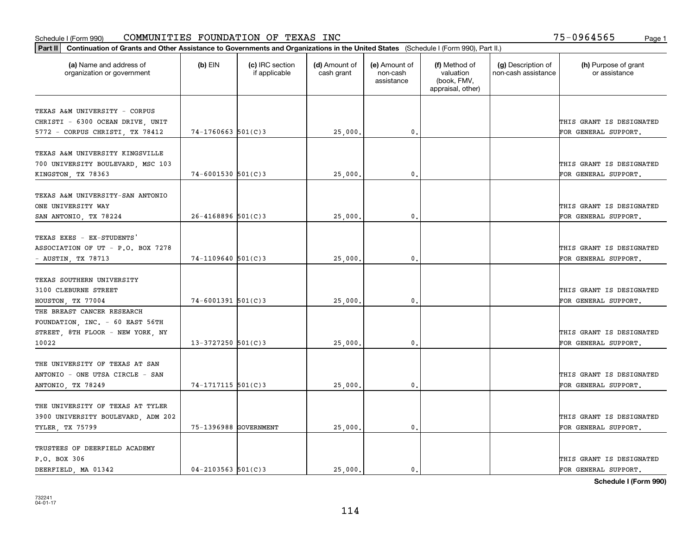| Part II   Continuation of Grants and Other Assistance to Governments and Organizations in the United States (Schedule I (Form 990), Part II.) |                        |                                  |                             |                                         |                                                                |                                           |                                       |
|-----------------------------------------------------------------------------------------------------------------------------------------------|------------------------|----------------------------------|-----------------------------|-----------------------------------------|----------------------------------------------------------------|-------------------------------------------|---------------------------------------|
| (a) Name and address of<br>organization or government                                                                                         | $(b)$ EIN              | (c) IRC section<br>if applicable | (d) Amount of<br>cash grant | (e) Amount of<br>non-cash<br>assistance | (f) Method of<br>valuation<br>(book, FMV,<br>appraisal, other) | (g) Description of<br>non-cash assistance | (h) Purpose of grant<br>or assistance |
|                                                                                                                                               |                        |                                  |                             |                                         |                                                                |                                           |                                       |
| TEXAS A&M UNIVERSITY - CORPUS                                                                                                                 |                        |                                  |                             |                                         |                                                                |                                           |                                       |
| CHRISTI - 6300 OCEAN DRIVE, UNIT                                                                                                              |                        |                                  |                             |                                         |                                                                |                                           | THIS GRANT IS DESIGNATED              |
| 5772 - CORPUS CHRISTI, TX 78412                                                                                                               | $74 - 1760663$ 501(C)3 |                                  | 25,000.                     | $\mathbf{0}$ .                          |                                                                |                                           | FOR GENERAL SUPPORT.                  |
| TEXAS A&M UNIVERSITY KINGSVILLE                                                                                                               |                        |                                  |                             |                                         |                                                                |                                           |                                       |
|                                                                                                                                               |                        |                                  |                             |                                         |                                                                |                                           | THIS GRANT IS DESIGNATED              |
| 700 UNIVERSITY BOULEVARD, MSC 103                                                                                                             | $74 - 6001530$ 501(C)3 |                                  | 25,000                      | 0.                                      |                                                                |                                           | FOR GENERAL SUPPORT.                  |
| KINGSTON, TX 78363                                                                                                                            |                        |                                  |                             |                                         |                                                                |                                           |                                       |
| TEXAS A&M UNIVERSITY-SAN ANTONIO                                                                                                              |                        |                                  |                             |                                         |                                                                |                                           |                                       |
| ONE UNIVERSITY WAY                                                                                                                            |                        |                                  |                             |                                         |                                                                |                                           | THIS GRANT IS DESIGNATED              |
| SAN ANTONIO, TX 78224                                                                                                                         | $26 - 4168896$ 501(C)3 |                                  | 25,000                      | 0.                                      |                                                                |                                           | FOR GENERAL SUPPORT.                  |
|                                                                                                                                               |                        |                                  |                             |                                         |                                                                |                                           |                                       |
| TEXAS EXES - EX-STUDENTS'                                                                                                                     |                        |                                  |                             |                                         |                                                                |                                           |                                       |
| ASSOCIATION OF UT - P.O. BOX 7278                                                                                                             |                        |                                  |                             |                                         |                                                                |                                           | THIS GRANT IS DESIGNATED              |
| - AUSTIN, TX 78713                                                                                                                            | $74 - 1109640$ 501(C)3 |                                  | 25,000.                     | $\mathbf{0}$ .                          |                                                                |                                           | FOR GENERAL SUPPORT.                  |
|                                                                                                                                               |                        |                                  |                             |                                         |                                                                |                                           |                                       |
| TEXAS SOUTHERN UNIVERSITY                                                                                                                     |                        |                                  |                             |                                         |                                                                |                                           |                                       |
| 3100 CLEBURNE STREET                                                                                                                          |                        |                                  |                             |                                         |                                                                |                                           | THIS GRANT IS DESIGNATED              |
|                                                                                                                                               | $74 - 6001391$ 501(C)3 |                                  | 25,000                      | 0.                                      |                                                                |                                           | FOR GENERAL SUPPORT.                  |
| HOUSTON, TX 77004<br>THE BREAST CANCER RESEARCH                                                                                               |                        |                                  |                             |                                         |                                                                |                                           |                                       |
|                                                                                                                                               |                        |                                  |                             |                                         |                                                                |                                           |                                       |
| FOUNDATION, INC. - 60 EAST 56TH<br>STREET, 8TH FLOOR - NEW YORK, NY                                                                           |                        |                                  |                             |                                         |                                                                |                                           | THIS GRANT IS DESIGNATED              |
|                                                                                                                                               |                        |                                  |                             |                                         |                                                                |                                           |                                       |
| 10022                                                                                                                                         | $13 - 3727250$ 501(C)3 |                                  | 25,000                      | $\mathbf{0}$ .                          |                                                                |                                           | FOR GENERAL SUPPORT.                  |
| THE UNIVERSITY OF TEXAS AT SAN                                                                                                                |                        |                                  |                             |                                         |                                                                |                                           |                                       |
|                                                                                                                                               |                        |                                  |                             |                                         |                                                                |                                           | THIS GRANT IS DESIGNATED              |
| ANTONIO - ONE UTSA CIRCLE - SAN                                                                                                               |                        |                                  |                             |                                         |                                                                |                                           |                                       |
| ANTONIO, TX 78249                                                                                                                             | 74-1717115 501(C)3     |                                  | 25,000.                     | 0.                                      |                                                                |                                           | FOR GENERAL SUPPORT.                  |
| THE UNIVERSITY OF TEXAS AT TYLER                                                                                                              |                        |                                  |                             |                                         |                                                                |                                           |                                       |
|                                                                                                                                               |                        |                                  |                             |                                         |                                                                |                                           |                                       |
| 3900 UNIVERSITY BOULEVARD, ADM 202                                                                                                            |                        |                                  |                             |                                         |                                                                |                                           | THIS GRANT IS DESIGNATED              |
| TYLER, TX 75799                                                                                                                               | 75-1396988 GOVERNMENT  |                                  | 25,000.                     | 0.                                      |                                                                |                                           | FOR GENERAL SUPPORT.                  |
| TRUSTEES OF DEERFIELD ACADEMY                                                                                                                 |                        |                                  |                             |                                         |                                                                |                                           |                                       |
| P.O. BOX 306                                                                                                                                  |                        |                                  |                             |                                         |                                                                |                                           | THIS GRANT IS DESIGNATED              |
|                                                                                                                                               |                        |                                  |                             |                                         |                                                                |                                           |                                       |
| DEERFIELD, MA 01342                                                                                                                           | $04 - 2103563$ 501(C)3 |                                  | 25,000.                     | $\mathbf{0}$ .                          |                                                                |                                           | FOR GENERAL SUPPORT.                  |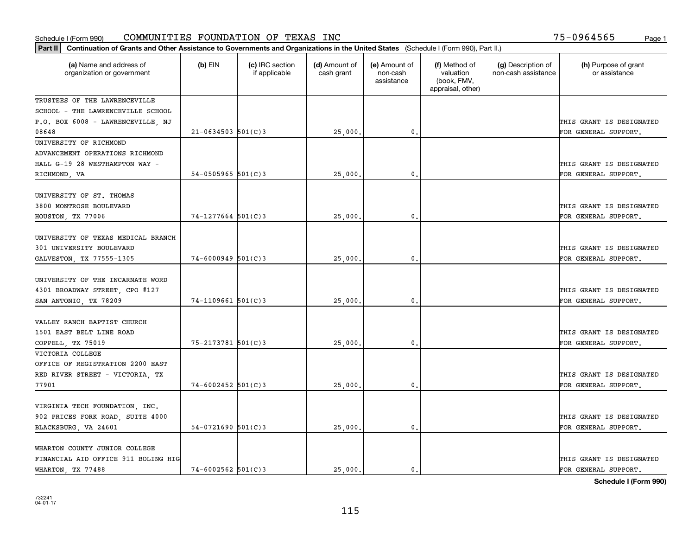| Part II   Continuation of Grants and Other Assistance to Governments and Organizations in the United States (Schedule I (Form 990), Part II.) |                        |                                  |                             |                                         |                                                                |                                           |                                                  |
|-----------------------------------------------------------------------------------------------------------------------------------------------|------------------------|----------------------------------|-----------------------------|-----------------------------------------|----------------------------------------------------------------|-------------------------------------------|--------------------------------------------------|
| (a) Name and address of<br>organization or government                                                                                         | $(b)$ EIN              | (c) IRC section<br>if applicable | (d) Amount of<br>cash grant | (e) Amount of<br>non-cash<br>assistance | (f) Method of<br>valuation<br>(book, FMV,<br>appraisal, other) | (g) Description of<br>non-cash assistance | (h) Purpose of grant<br>or assistance            |
| TRUSTEES OF THE LAWRENCEVILLE                                                                                                                 |                        |                                  |                             |                                         |                                                                |                                           |                                                  |
| SCHOOL - THE LAWRENCEVILLE SCHOOL                                                                                                             |                        |                                  |                             |                                         |                                                                |                                           |                                                  |
| P.O. BOX 6008 - LAWRENCEVILLE, NJ                                                                                                             |                        |                                  |                             |                                         |                                                                |                                           | THIS GRANT IS DESIGNATED                         |
| 08648                                                                                                                                         | $21 - 0634503$ 501(C)3 |                                  | 25,000                      | $\mathbf{0}$ .                          |                                                                |                                           | FOR GENERAL SUPPORT.                             |
| UNIVERSITY OF RICHMOND                                                                                                                        |                        |                                  |                             |                                         |                                                                |                                           |                                                  |
| ADVANCEMENT OPERATIONS RICHMOND                                                                                                               |                        |                                  |                             |                                         |                                                                |                                           |                                                  |
| HALL G-19 28 WESTHAMPTON WAY -                                                                                                                |                        |                                  |                             |                                         |                                                                |                                           | THIS GRANT IS DESIGNATED                         |
| RICHMOND, VA                                                                                                                                  | 54-0505965 $501(C)3$   |                                  | 25,000                      | 0.                                      |                                                                |                                           | FOR GENERAL SUPPORT.                             |
| UNIVERSITY OF ST. THOMAS<br>3800 MONTROSE BOULEVARD                                                                                           |                        |                                  |                             |                                         |                                                                |                                           | THIS GRANT IS DESIGNATED                         |
|                                                                                                                                               | $74-1277664$ 501(C)3   |                                  |                             | 0.                                      |                                                                |                                           | FOR GENERAL SUPPORT.                             |
| HOUSTON, TX 77006                                                                                                                             |                        |                                  | 25,000                      |                                         |                                                                |                                           |                                                  |
| UNIVERSITY OF TEXAS MEDICAL BRANCH<br>301 UNIVERSITY BOULEVARD                                                                                |                        |                                  |                             |                                         |                                                                |                                           | THIS GRANT IS DESIGNATED                         |
| GALVESTON, TX 77555-1305                                                                                                                      | $74 - 6000949$ 501(C)3 |                                  | 25,000                      | 0.                                      |                                                                |                                           | FOR GENERAL SUPPORT.                             |
| UNIVERSITY OF THE INCARNATE WORD<br>4301 BROADWAY STREET, CPO #127<br>SAN ANTONIO, TX 78209                                                   | $74-1109661$ 501(C)3   |                                  | 25,000                      | 0.                                      |                                                                |                                           | THIS GRANT IS DESIGNATED<br>FOR GENERAL SUPPORT. |
| VALLEY RANCH BAPTIST CHURCH<br>1501 EAST BELT LINE ROAD<br>COPPELL, TX 75019                                                                  | 75-2173781 501(C)3     |                                  | 25,000                      | 0.                                      |                                                                |                                           | THIS GRANT IS DESIGNATED<br>FOR GENERAL SUPPORT. |
| VICTORIA COLLEGE<br>OFFICE OF REGISTRATION 2200 EAST<br>RED RIVER STREET - VICTORIA, TX<br>77901                                              | $74 - 6002452$ 501(C)3 |                                  | 25,000.                     | $\mathbf{0}$ .                          |                                                                |                                           | THIS GRANT IS DESIGNATED<br>FOR GENERAL SUPPORT. |
| VIRGINIA TECH FOUNDATION, INC.<br>902 PRICES FORK ROAD, SUITE 4000<br>BLACKSBURG, VA 24601                                                    | $54-0721690$ $501(C)3$ |                                  | 25,000                      | 0.                                      |                                                                |                                           | THIS GRANT IS DESIGNATED<br>FOR GENERAL SUPPORT. |
| WHARTON COUNTY JUNIOR COLLEGE<br>FINANCIAL AID OFFICE 911 BOLING HIG<br>WHARTON, TX 77488                                                     | $74 - 6002562$ 501(C)3 |                                  | 25,000.                     | $\mathbf{0}$ .                          |                                                                |                                           | THIS GRANT IS DESIGNATED<br>FOR GENERAL SUPPORT. |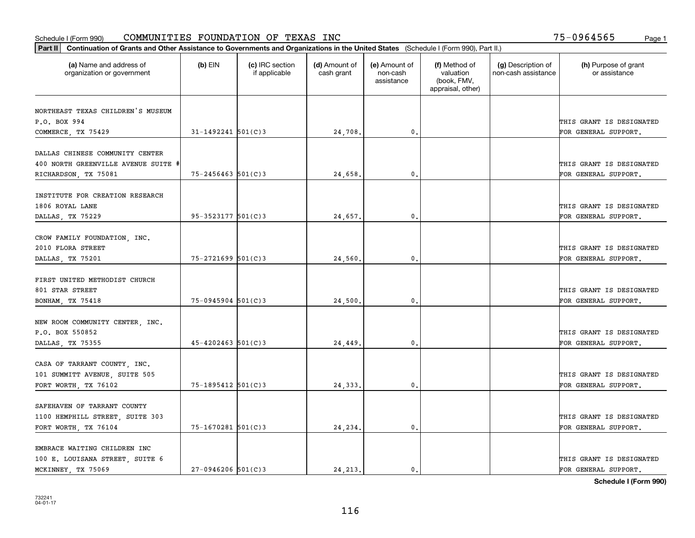| Part II   Continuation of Grants and Other Assistance to Governments and Organizations in the United States (Schedule I (Form 990), Part II.) |                        |                                  |                             |                                         |                                                                |                                           |                                       |
|-----------------------------------------------------------------------------------------------------------------------------------------------|------------------------|----------------------------------|-----------------------------|-----------------------------------------|----------------------------------------------------------------|-------------------------------------------|---------------------------------------|
| (a) Name and address of<br>organization or government                                                                                         | $(b)$ EIN              | (c) IRC section<br>if applicable | (d) Amount of<br>cash grant | (e) Amount of<br>non-cash<br>assistance | (f) Method of<br>valuation<br>(book, FMV,<br>appraisal, other) | (g) Description of<br>non-cash assistance | (h) Purpose of grant<br>or assistance |
| NORTHEAST TEXAS CHILDREN'S MUSEUM                                                                                                             |                        |                                  |                             |                                         |                                                                |                                           |                                       |
| P.O. BOX 994                                                                                                                                  |                        |                                  |                             |                                         |                                                                |                                           | THIS GRANT IS DESIGNATED              |
| COMMERCE, TX 75429                                                                                                                            | $31 - 1492241$ 501(C)3 |                                  | 24,708.                     | 0.                                      |                                                                |                                           | FOR GENERAL SUPPORT.                  |
|                                                                                                                                               |                        |                                  |                             |                                         |                                                                |                                           |                                       |
| DALLAS CHINESE COMMUNITY CENTER                                                                                                               |                        |                                  |                             |                                         |                                                                |                                           |                                       |
| 400 NORTH GREENVILLE AVENUE SUITE #                                                                                                           |                        |                                  |                             |                                         |                                                                |                                           | THIS GRANT IS DESIGNATED              |
| RICHARDSON, TX 75081                                                                                                                          | $75 - 2456463$ 501(C)3 |                                  | 24,658.                     | 0.                                      |                                                                |                                           | FOR GENERAL SUPPORT.                  |
|                                                                                                                                               |                        |                                  |                             |                                         |                                                                |                                           |                                       |
| INSTITUTE FOR CREATION RESEARCH                                                                                                               |                        |                                  |                             |                                         |                                                                |                                           |                                       |
| 1806 ROYAL LANE                                                                                                                               |                        |                                  |                             |                                         |                                                                |                                           | THIS GRANT IS DESIGNATED              |
| DALLAS, TX 75229                                                                                                                              | $95 - 3523177$ 501(C)3 |                                  | 24,657.                     | $\mathbf{0}$ .                          |                                                                |                                           | FOR GENERAL SUPPORT.                  |
| CROW FAMILY FOUNDATION, INC.                                                                                                                  |                        |                                  |                             |                                         |                                                                |                                           |                                       |
| 2010 FLORA STREET                                                                                                                             |                        |                                  |                             |                                         |                                                                |                                           | THIS GRANT IS DESIGNATED              |
| DALLAS, TX 75201                                                                                                                              | 75-2721699 501(C)3     |                                  | 24,560                      | $\mathbf{0}$                            |                                                                |                                           | FOR GENERAL SUPPORT.                  |
|                                                                                                                                               |                        |                                  |                             |                                         |                                                                |                                           |                                       |
| FIRST UNITED METHODIST CHURCH                                                                                                                 |                        |                                  |                             |                                         |                                                                |                                           |                                       |
| 801 STAR STREET                                                                                                                               |                        |                                  |                             |                                         |                                                                |                                           | THIS GRANT IS DESIGNATED              |
| BONHAM, TX 75418                                                                                                                              | $75 - 0945904$ 501(C)3 |                                  | 24,500                      | $\mathbf{0}$                            |                                                                |                                           | FOR GENERAL SUPPORT.                  |
|                                                                                                                                               |                        |                                  |                             |                                         |                                                                |                                           |                                       |
| NEW ROOM COMMUNITY CENTER, INC.                                                                                                               |                        |                                  |                             |                                         |                                                                |                                           |                                       |
| P.O. BOX 550852                                                                                                                               |                        |                                  |                             |                                         |                                                                |                                           | THIS GRANT IS DESIGNATED              |
| DALLAS, TX 75355                                                                                                                              | $45 - 4202463$ 501(C)3 |                                  | 24,449.                     | 0.                                      |                                                                |                                           | FOR GENERAL SUPPORT.                  |
|                                                                                                                                               |                        |                                  |                             |                                         |                                                                |                                           |                                       |
| CASA OF TARRANT COUNTY, INC.                                                                                                                  |                        |                                  |                             |                                         |                                                                |                                           |                                       |
| 101 SUMMITT AVENUE, SUITE 505                                                                                                                 |                        |                                  |                             |                                         |                                                                |                                           | THIS GRANT IS DESIGNATED              |
| FORT WORTH, TX 76102                                                                                                                          | 75-1895412 501(C)3     |                                  | 24,333.                     | $^{\rm 0}$ .                            |                                                                |                                           | FOR GENERAL SUPPORT.                  |
|                                                                                                                                               |                        |                                  |                             |                                         |                                                                |                                           |                                       |
| SAFEHAVEN OF TARRANT COUNTY                                                                                                                   |                        |                                  |                             |                                         |                                                                |                                           |                                       |
| 1100 HEMPHILL STREET, SUITE 303                                                                                                               |                        |                                  |                             |                                         |                                                                |                                           | THIS GRANT IS DESIGNATED              |
| FORT WORTH, TX 76104                                                                                                                          | 75-1670281 501(C)3     |                                  | 24,234.                     | $\mathfrak{o}$ .                        |                                                                |                                           | FOR GENERAL SUPPORT.                  |
| EMBRACE WAITING CHILDREN INC                                                                                                                  |                        |                                  |                             |                                         |                                                                |                                           |                                       |
| 100 E. LOUISANA STREET, SUITE 6                                                                                                               |                        |                                  |                             |                                         |                                                                |                                           | THIS GRANT IS DESIGNATED              |
| MCKINNEY, TX 75069                                                                                                                            | $27 - 0946206$ 501(C)3 |                                  | 24.213.                     | $\mathbf{0}$ .                          |                                                                |                                           | FOR GENERAL SUPPORT.                  |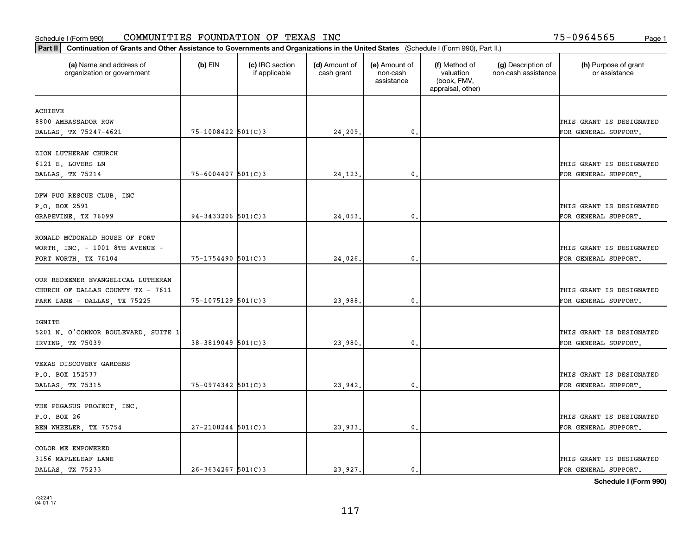| Part II   Continuation of Grants and Other Assistance to Governments and Organizations in the United States (Schedule I (Form 990), Part II.) |                        |                                  |                             |                                         |                                                                |                                           |                                       |
|-----------------------------------------------------------------------------------------------------------------------------------------------|------------------------|----------------------------------|-----------------------------|-----------------------------------------|----------------------------------------------------------------|-------------------------------------------|---------------------------------------|
| (a) Name and address of<br>organization or government                                                                                         | $(b)$ EIN              | (c) IRC section<br>if applicable | (d) Amount of<br>cash grant | (e) Amount of<br>non-cash<br>assistance | (f) Method of<br>valuation<br>(book, FMV,<br>appraisal, other) | (g) Description of<br>non-cash assistance | (h) Purpose of grant<br>or assistance |
| <b>ACHIEVE</b>                                                                                                                                |                        |                                  |                             |                                         |                                                                |                                           |                                       |
| 8800 AMBASSADOR ROW                                                                                                                           |                        |                                  |                             |                                         |                                                                |                                           | THIS GRANT IS DESIGNATED              |
| DALLAS, TX 75247-4621                                                                                                                         | 75-1008422 501(C)3     |                                  | 24,209.                     | 0.                                      |                                                                |                                           | FOR GENERAL SUPPORT.                  |
|                                                                                                                                               |                        |                                  |                             |                                         |                                                                |                                           |                                       |
| ZION LUTHERAN CHURCH                                                                                                                          |                        |                                  |                             |                                         |                                                                |                                           |                                       |
| 6121 E. LOVERS LN                                                                                                                             |                        |                                  |                             |                                         |                                                                |                                           | THIS GRANT IS DESIGNATED              |
| DALLAS, TX 75214                                                                                                                              | $75 - 6004407$ 501(C)3 |                                  | 24, 123.                    | 0.                                      |                                                                |                                           | FOR GENERAL SUPPORT.                  |
|                                                                                                                                               |                        |                                  |                             |                                         |                                                                |                                           |                                       |
| DFW PUG RESCUE CLUB, INC                                                                                                                      |                        |                                  |                             |                                         |                                                                |                                           |                                       |
| P.O. BOX 2591                                                                                                                                 |                        |                                  |                             |                                         |                                                                |                                           | THIS GRANT IS DESIGNATED              |
| GRAPEVINE, TX 76099                                                                                                                           | $94 - 3433206$ 501(C)3 |                                  | 24,053.                     | $\mathbf{0}$ .                          |                                                                |                                           | FOR GENERAL SUPPORT.                  |
|                                                                                                                                               |                        |                                  |                             |                                         |                                                                |                                           |                                       |
| RONALD MCDONALD HOUSE OF FORT                                                                                                                 |                        |                                  |                             |                                         |                                                                |                                           |                                       |
| WORTH, INC. - 1001 8TH AVENUE -                                                                                                               |                        |                                  |                             |                                         |                                                                |                                           | THIS GRANT IS DESIGNATED              |
| FORT WORTH, TX 76104                                                                                                                          | 75-1754490 501(C)3     |                                  | 24,026.                     | $\mathbf{0}$                            |                                                                |                                           | FOR GENERAL SUPPORT.                  |
| OUR REDEEMER EVANGELICAL LUTHERAN                                                                                                             |                        |                                  |                             |                                         |                                                                |                                           |                                       |
|                                                                                                                                               |                        |                                  |                             |                                         |                                                                |                                           |                                       |
| CHURCH OF DALLAS COUNTY TX - 7611                                                                                                             | 75-1075129 501(C)3     |                                  |                             | $\mathbf{0}$                            |                                                                |                                           | THIS GRANT IS DESIGNATED              |
| PARK LANE - DALLAS, TX 75225                                                                                                                  |                        |                                  | 23,988.                     |                                         |                                                                |                                           | FOR GENERAL SUPPORT.                  |
| IGNITE                                                                                                                                        |                        |                                  |                             |                                         |                                                                |                                           |                                       |
| 5201 N. O'CONNOR BOULEVARD, SUITE 1                                                                                                           |                        |                                  |                             |                                         |                                                                |                                           | THIS GRANT IS DESIGNATED              |
| IRVING, TX 75039                                                                                                                              | $38 - 3819049$ 501(C)3 |                                  | 23,980.                     | 0.                                      |                                                                |                                           | FOR GENERAL SUPPORT.                  |
|                                                                                                                                               |                        |                                  |                             |                                         |                                                                |                                           |                                       |
| TEXAS DISCOVERY GARDENS                                                                                                                       |                        |                                  |                             |                                         |                                                                |                                           |                                       |
| P.O. BOX 152537                                                                                                                               |                        |                                  |                             |                                         |                                                                |                                           | THIS GRANT IS DESIGNATED              |
| DALLAS, TX 75315                                                                                                                              | 75-0974342 501(C)3     |                                  | 23,942.                     | $^{\rm 0}$ .                            |                                                                |                                           | FOR GENERAL SUPPORT.                  |
|                                                                                                                                               |                        |                                  |                             |                                         |                                                                |                                           |                                       |
| THE PEGASUS PROJECT, INC.                                                                                                                     |                        |                                  |                             |                                         |                                                                |                                           |                                       |
| P.O. BOX 26                                                                                                                                   |                        |                                  |                             |                                         |                                                                |                                           | THIS GRANT IS DESIGNATED              |
| BEN WHEELER, TX 75754                                                                                                                         | $27 - 2108244$ 501(C)3 |                                  | 23,933.                     | $\mathfrak{o}$ .                        |                                                                |                                           | FOR GENERAL SUPPORT.                  |
|                                                                                                                                               |                        |                                  |                             |                                         |                                                                |                                           |                                       |
| COLOR ME EMPOWERED                                                                                                                            |                        |                                  |                             |                                         |                                                                |                                           |                                       |
| 3156 MAPLELEAF LANE                                                                                                                           |                        |                                  |                             |                                         |                                                                |                                           | THIS GRANT IS DESIGNATED              |
| DALLAS, TX 75233                                                                                                                              | $26 - 3634267$ 501(C)3 |                                  | 23.927.                     | $\mathbf{0}$ .                          |                                                                |                                           | FOR GENERAL SUPPORT.                  |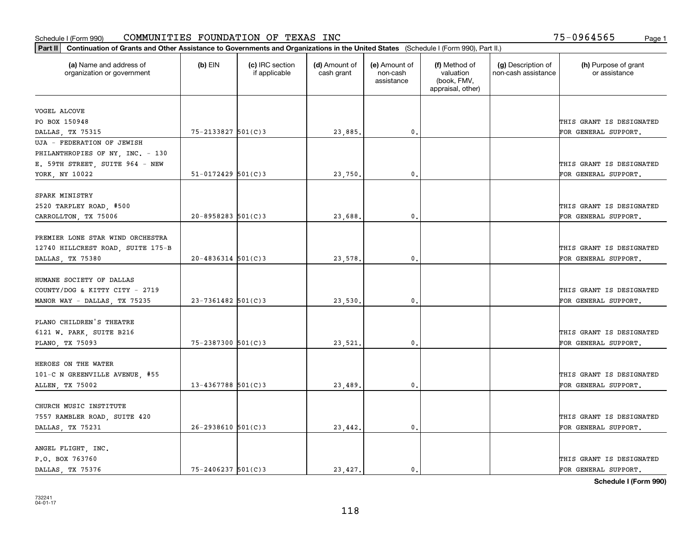| (a) Name and address of<br>organization or government | $(b)$ EIN                | (c) IRC section<br>if applicable | (d) Amount of<br>cash grant | (e) Amount of<br>non-cash<br>assistance | (f) Method of<br>valuation<br>(book, FMV,<br>appraisal, other) | (g) Description of<br>non-cash assistance | (h) Purpose of grant<br>or assistance |
|-------------------------------------------------------|--------------------------|----------------------------------|-----------------------------|-----------------------------------------|----------------------------------------------------------------|-------------------------------------------|---------------------------------------|
| VOGEL ALCOVE                                          |                          |                                  |                             |                                         |                                                                |                                           |                                       |
| PO BOX 150948                                         |                          |                                  |                             |                                         |                                                                |                                           | THIS GRANT IS DESIGNATED              |
| DALLAS, TX 75315                                      | 75-2133827 501(C)3       |                                  | 23,885.                     | 0.                                      |                                                                |                                           | FOR GENERAL SUPPORT.                  |
| UJA - FEDERATION OF JEWISH                            |                          |                                  |                             |                                         |                                                                |                                           |                                       |
| PHILANTHROPIES OF NY, INC. - 130                      |                          |                                  |                             |                                         |                                                                |                                           |                                       |
| E. 59TH STREET, SUITE 964 - NEW                       |                          |                                  |                             |                                         |                                                                |                                           | THIS GRANT IS DESIGNATED              |
| YORK, NY 10022                                        | $51 - 0172429$ $501(C)3$ |                                  | 23,750.                     | $\mathbf{0}$ .                          |                                                                |                                           | FOR GENERAL SUPPORT.                  |
|                                                       |                          |                                  |                             |                                         |                                                                |                                           |                                       |
| SPARK MINISTRY                                        |                          |                                  |                             |                                         |                                                                |                                           |                                       |
| 2520 TARPLEY ROAD, #500                               |                          |                                  |                             |                                         |                                                                |                                           | THIS GRANT IS DESIGNATED              |
| CARROLLTON, TX 75006                                  | $20 - 8958283$ 501(C) 3  |                                  | 23,688.                     | $\mathbf{0}$ .                          |                                                                |                                           | FOR GENERAL SUPPORT.                  |
| PREMIER LONE STAR WIND ORCHESTRA                      |                          |                                  |                             |                                         |                                                                |                                           |                                       |
| 12740 HILLCREST ROAD, SUITE 175-B                     |                          |                                  |                             |                                         |                                                                |                                           | THIS GRANT IS DESIGNATED              |
| DALLAS, TX 75380                                      | $20 - 4836314$ 501(C)3   |                                  | 23,578.                     | 0.                                      |                                                                |                                           | FOR GENERAL SUPPORT.                  |
|                                                       |                          |                                  |                             |                                         |                                                                |                                           |                                       |
| HUMANE SOCIETY OF DALLAS                              |                          |                                  |                             |                                         |                                                                |                                           |                                       |
| COUNTY/DOG & KITTY CITY - 2719                        |                          |                                  |                             |                                         |                                                                |                                           | THIS GRANT IS DESIGNATED              |
| MANOR WAY - DALLAS, TX 75235                          | $23 - 7361482$ 501(C)3   |                                  | 23,530.                     | $\mathbf{0}$                            |                                                                |                                           | FOR GENERAL SUPPORT.                  |
| PLANO CHILDREN'S THEATRE                              |                          |                                  |                             |                                         |                                                                |                                           |                                       |
| 6121 W. PARK, SUITE B216                              |                          |                                  |                             |                                         |                                                                |                                           | THIS GRANT IS DESIGNATED              |
| PLANO, TX 75093                                       | 75-2387300 501(C)3       |                                  | 23,521.                     | 0.                                      |                                                                |                                           | FOR GENERAL SUPPORT.                  |
|                                                       |                          |                                  |                             |                                         |                                                                |                                           |                                       |
| HEROES ON THE WATER                                   |                          |                                  |                             |                                         |                                                                |                                           |                                       |
| 101-C N GREENVILLE AVENUE, #55                        |                          |                                  |                             |                                         |                                                                |                                           | THIS GRANT IS DESIGNATED              |
| ALLEN, TX 75002                                       | $13 - 4367788$ 501(C)3   |                                  | 23,489                      | 0.                                      |                                                                |                                           | FOR GENERAL SUPPORT.                  |
|                                                       |                          |                                  |                             |                                         |                                                                |                                           |                                       |
| CHURCH MUSIC INSTITUTE                                |                          |                                  |                             |                                         |                                                                |                                           |                                       |
| 7557 RAMBLER ROAD, SUITE 420                          |                          |                                  |                             |                                         |                                                                |                                           | THIS GRANT IS DESIGNATED              |
| DALLAS, TX 75231                                      | $26 - 2938610$ 501(C)3   |                                  | 23,442.                     | 0.                                      |                                                                |                                           | FOR GENERAL SUPPORT.                  |
| ANGEL FLIGHT, INC.                                    |                          |                                  |                             |                                         |                                                                |                                           |                                       |
| P.O. BOX 763760                                       |                          |                                  |                             |                                         |                                                                |                                           | THIS GRANT IS DESIGNATED              |
| DALLAS TX 75376                                       | $75 - 2406237$ 501(C)3   |                                  | 23,427.                     | 0.                                      |                                                                |                                           | FOR GENERAL SUPPORT.                  |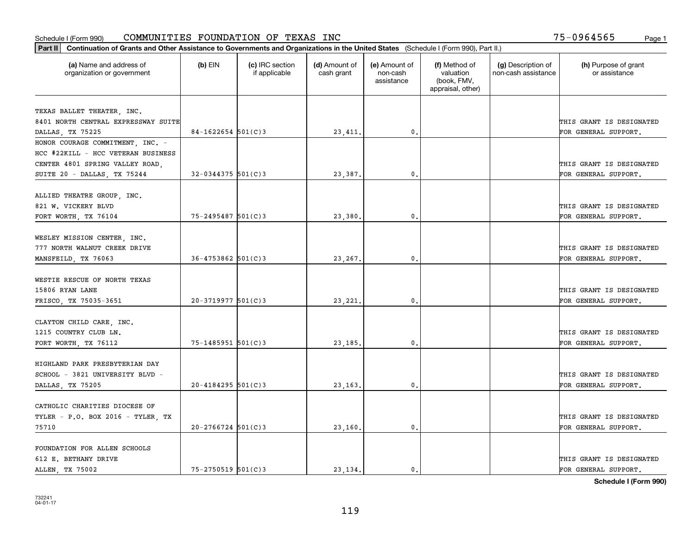| Part II   Continuation of Grants and Other Assistance to Governments and Organizations in the United States (Schedule I (Form 990), Part II.) |                         |                                  |                             |                                         |                                                                |                                           |                                       |
|-----------------------------------------------------------------------------------------------------------------------------------------------|-------------------------|----------------------------------|-----------------------------|-----------------------------------------|----------------------------------------------------------------|-------------------------------------------|---------------------------------------|
| (a) Name and address of<br>organization or government                                                                                         | $(b)$ EIN               | (c) IRC section<br>if applicable | (d) Amount of<br>cash grant | (e) Amount of<br>non-cash<br>assistance | (f) Method of<br>valuation<br>(book, FMV,<br>appraisal, other) | (g) Description of<br>non-cash assistance | (h) Purpose of grant<br>or assistance |
|                                                                                                                                               |                         |                                  |                             |                                         |                                                                |                                           |                                       |
| TEXAS BALLET THEATER, INC.                                                                                                                    |                         |                                  |                             |                                         |                                                                |                                           |                                       |
| 8401 NORTH CENTRAL EXPRESSWAY SUITE                                                                                                           |                         |                                  |                             |                                         |                                                                |                                           | THIS GRANT IS DESIGNATED              |
| DALLAS, TX 75225                                                                                                                              | $84-1622654$ 501(C)3    |                                  | 23, 411.                    | $\mathbf{0}$ .                          |                                                                |                                           | FOR GENERAL SUPPORT.                  |
| HONOR COURAGE COMMITMENT, INC. -                                                                                                              |                         |                                  |                             |                                         |                                                                |                                           |                                       |
| HCC #22KILL - HCC VETERAN BUSINESS                                                                                                            |                         |                                  |                             |                                         |                                                                |                                           |                                       |
| CENTER 4801 SPRING VALLEY ROAD,                                                                                                               |                         |                                  |                             |                                         |                                                                |                                           | THIS GRANT IS DESIGNATED              |
| SUITE 20 - DALLAS, TX 75244                                                                                                                   | $32 - 0344375$ 501(C)3  |                                  | 23,387                      | $\mathfrak{o}$ .                        |                                                                |                                           | FOR GENERAL SUPPORT.                  |
| ALLIED THEATRE GROUP, INC.                                                                                                                    |                         |                                  |                             |                                         |                                                                |                                           |                                       |
| 821 W. VICKERY BLVD                                                                                                                           |                         |                                  |                             |                                         |                                                                |                                           | THIS GRANT IS DESIGNATED              |
| FORT WORTH, TX 76104                                                                                                                          | $75 - 2495487$ 501(C)3  |                                  | 23,380                      | $\mathfrak{o}$ .                        |                                                                |                                           | FOR GENERAL SUPPORT.                  |
|                                                                                                                                               |                         |                                  |                             |                                         |                                                                |                                           |                                       |
| WESLEY MISSION CENTER, INC.                                                                                                                   |                         |                                  |                             |                                         |                                                                |                                           |                                       |
| 777 NORTH WALNUT CREEK DRIVE                                                                                                                  |                         |                                  |                             |                                         |                                                                |                                           | THIS GRANT IS DESIGNATED              |
| MANSFEILD, TX 76063                                                                                                                           | $36 - 4753862$ 501(C)3  |                                  | 23, 267.                    | 0.                                      |                                                                |                                           | FOR GENERAL SUPPORT.                  |
|                                                                                                                                               |                         |                                  |                             |                                         |                                                                |                                           |                                       |
| WESTIE RESCUE OF NORTH TEXAS                                                                                                                  |                         |                                  |                             |                                         |                                                                |                                           |                                       |
| 15806 RYAN LANE                                                                                                                               |                         |                                  |                             |                                         |                                                                |                                           | THIS GRANT IS DESIGNATED              |
| FRISCO, TX 75035-3651                                                                                                                         | $20 - 3719977$ 501(C) 3 |                                  | 23,221                      | 0.                                      |                                                                |                                           | FOR GENERAL SUPPORT.                  |
|                                                                                                                                               |                         |                                  |                             |                                         |                                                                |                                           |                                       |
| CLAYTON CHILD CARE, INC.                                                                                                                      |                         |                                  |                             |                                         |                                                                |                                           |                                       |
| 1215 COUNTRY CLUB LN.                                                                                                                         |                         |                                  |                             |                                         |                                                                |                                           | THIS GRANT IS DESIGNATED              |
| FORT WORTH, TX 76112                                                                                                                          | $75 - 1485951$ 501(C)3  |                                  | 23, 185.                    | $\mathfrak{o}$ .                        |                                                                |                                           | FOR GENERAL SUPPORT.                  |
|                                                                                                                                               |                         |                                  |                             |                                         |                                                                |                                           |                                       |
| HIGHLAND PARK PRESBYTERIAN DAY                                                                                                                |                         |                                  |                             |                                         |                                                                |                                           |                                       |
| SCHOOL - 3821 UNIVERSITY BLVD -                                                                                                               |                         |                                  |                             |                                         |                                                                |                                           | THIS GRANT IS DESIGNATED              |
| DALLAS, TX 75205                                                                                                                              | $20 - 4184295$ 501(C)3  |                                  | 23, 163.                    | 0.                                      |                                                                |                                           | FOR GENERAL SUPPORT.                  |
|                                                                                                                                               |                         |                                  |                             |                                         |                                                                |                                           |                                       |
| CATHOLIC CHARITIES DIOCESE OF                                                                                                                 |                         |                                  |                             |                                         |                                                                |                                           |                                       |
| TYLER - P.O. BOX 2016 - TYLER, TX                                                                                                             |                         |                                  |                             |                                         |                                                                |                                           | THIS GRANT IS DESIGNATED              |
| 75710                                                                                                                                         | $20 - 2766724$ 501(C)3  |                                  | 23,160.                     | $\mathbf{0}$ .                          |                                                                |                                           | FOR GENERAL SUPPORT.                  |
|                                                                                                                                               |                         |                                  |                             |                                         |                                                                |                                           |                                       |
| FOUNDATION FOR ALLEN SCHOOLS                                                                                                                  |                         |                                  |                             |                                         |                                                                |                                           |                                       |
| 612 E. BETHANY DRIVE                                                                                                                          |                         |                                  |                             |                                         |                                                                |                                           | THIS GRANT IS DESIGNATED              |
| ALLEN, TX 75002                                                                                                                               | $75 - 2750519$ 501(C)3  |                                  | 23.134.                     | $\mathbf{0}$ .                          |                                                                |                                           | FOR GENERAL SUPPORT.                  |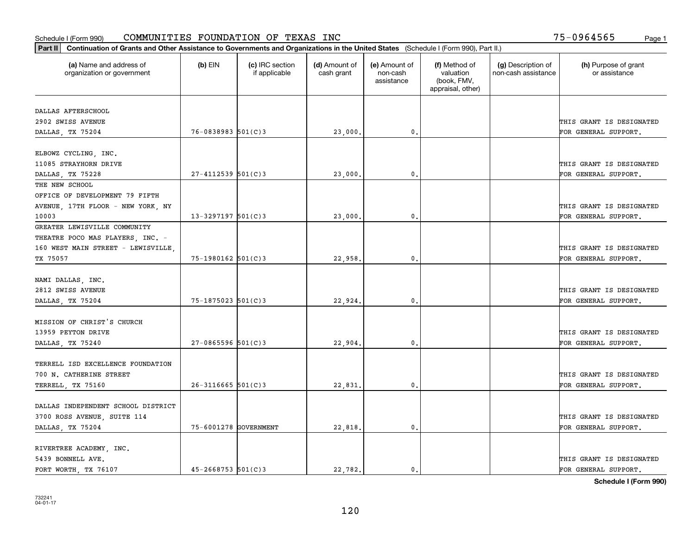| Part II   Continuation of Grants and Other Assistance to Governments and Organizations in the United States (Schedule I (Form 990), Part II.) |                         |                                  |                             |                                         |                                                                |                                           |                                       |
|-----------------------------------------------------------------------------------------------------------------------------------------------|-------------------------|----------------------------------|-----------------------------|-----------------------------------------|----------------------------------------------------------------|-------------------------------------------|---------------------------------------|
| (a) Name and address of<br>organization or government                                                                                         | $(b)$ EIN               | (c) IRC section<br>if applicable | (d) Amount of<br>cash grant | (e) Amount of<br>non-cash<br>assistance | (f) Method of<br>valuation<br>(book, FMV,<br>appraisal, other) | (g) Description of<br>non-cash assistance | (h) Purpose of grant<br>or assistance |
| DALLAS AFTERSCHOOL                                                                                                                            |                         |                                  |                             |                                         |                                                                |                                           |                                       |
| 2902 SWISS AVENUE                                                                                                                             |                         |                                  |                             |                                         |                                                                |                                           | THIS GRANT IS DESIGNATED              |
| DALLAS, TX 75204                                                                                                                              | $76 - 0838983$ 501(C)3  |                                  | 23,000.                     | $\mathfrak o$ .                         |                                                                |                                           | FOR GENERAL SUPPORT.                  |
|                                                                                                                                               |                         |                                  |                             |                                         |                                                                |                                           |                                       |
| ELBOWZ CYCLING, INC.                                                                                                                          |                         |                                  |                             |                                         |                                                                |                                           |                                       |
| 11085 STRAYHORN DRIVE                                                                                                                         |                         |                                  |                             |                                         |                                                                |                                           | THIS GRANT IS DESIGNATED              |
| DALLAS, TX 75228                                                                                                                              | $27 - 4112539$ 501(C)3  |                                  | 23,000                      | 0.                                      |                                                                |                                           | FOR GENERAL SUPPORT.                  |
| THE NEW SCHOOL                                                                                                                                |                         |                                  |                             |                                         |                                                                |                                           |                                       |
| OFFICE OF DEVELOPMENT 79 FIFTH                                                                                                                |                         |                                  |                             |                                         |                                                                |                                           |                                       |
| AVENUE, 17TH FLOOR - NEW YORK, NY                                                                                                             |                         |                                  |                             |                                         |                                                                |                                           | THIS GRANT IS DESIGNATED              |
| 10003                                                                                                                                         | $13 - 3297197$ 501(C)3  |                                  | 23,000,                     | $\mathfrak{o}$ .                        |                                                                |                                           | FOR GENERAL SUPPORT.                  |
| GREATER LEWISVILLE COMMUNITY                                                                                                                  |                         |                                  |                             |                                         |                                                                |                                           |                                       |
| THEATRE POCO MAS PLAYERS, INC. -                                                                                                              |                         |                                  |                             |                                         |                                                                |                                           |                                       |
| 160 WEST MAIN STREET - LEWISVILLE                                                                                                             |                         |                                  |                             |                                         |                                                                |                                           | THIS GRANT IS DESIGNATED              |
| TX 75057                                                                                                                                      | 75-1980162 501(C)3      |                                  | 22,958.                     | 0.                                      |                                                                |                                           | FOR GENERAL SUPPORT.                  |
|                                                                                                                                               |                         |                                  |                             |                                         |                                                                |                                           |                                       |
| NAMI DALLAS, INC.                                                                                                                             |                         |                                  |                             |                                         |                                                                |                                           |                                       |
| 2812 SWISS AVENUE                                                                                                                             |                         |                                  |                             |                                         |                                                                |                                           | THIS GRANT IS DESIGNATED              |
| DALLAS, TX 75204                                                                                                                              | $75 - 1875023$ 501(C)3  |                                  | 22,924.                     | 0                                       |                                                                |                                           | FOR GENERAL SUPPORT.                  |
|                                                                                                                                               |                         |                                  |                             |                                         |                                                                |                                           |                                       |
| MISSION OF CHRIST'S CHURCH                                                                                                                    |                         |                                  |                             |                                         |                                                                |                                           |                                       |
| 13959 PEYTON DRIVE                                                                                                                            |                         |                                  |                             |                                         |                                                                |                                           | THIS GRANT IS DESIGNATED              |
| DALLAS, TX 75240                                                                                                                              | $27 - 0865596$ 501(C)3  |                                  | 22,904.                     | $\mathbf{0}$                            |                                                                |                                           | FOR GENERAL SUPPORT.                  |
|                                                                                                                                               |                         |                                  |                             |                                         |                                                                |                                           |                                       |
| TERRELL ISD EXCELLENCE FOUNDATION<br>700 N. CATHERINE STREET                                                                                  |                         |                                  |                             |                                         |                                                                |                                           | THIS GRANT IS DESIGNATED              |
|                                                                                                                                               | $26 - 3116665$ 501(C)3  |                                  |                             |                                         |                                                                |                                           |                                       |
| TERRELL, TX 75160                                                                                                                             |                         |                                  | 22,831                      | $\mathbf{0}$ .                          |                                                                |                                           | FOR GENERAL SUPPORT.                  |
| DALLAS INDEPENDENT SCHOOL DISTRICT                                                                                                            |                         |                                  |                             |                                         |                                                                |                                           |                                       |
| 3700 ROSS AVENUE, SUITE 114                                                                                                                   |                         |                                  |                             |                                         |                                                                |                                           | THIS GRANT IS DESIGNATED              |
| DALLAS, TX 75204                                                                                                                              | 75-6001278 GOVERNMENT   |                                  | 22,818.                     | $\mathfrak{o}$ .                        |                                                                |                                           | FOR GENERAL SUPPORT.                  |
|                                                                                                                                               |                         |                                  |                             |                                         |                                                                |                                           |                                       |
| RIVERTREE ACADEMY, INC.                                                                                                                       |                         |                                  |                             |                                         |                                                                |                                           |                                       |
| 5439 BONNELL AVE.                                                                                                                             |                         |                                  |                             |                                         |                                                                |                                           | THIS GRANT IS DESIGNATED              |
| FORT WORTH TX 76107                                                                                                                           | $45 - 2668753$ 501(C) 3 |                                  | 22.782.                     | $\mathfrak{o}$ .                        |                                                                |                                           | FOR GENERAL SUPPORT.                  |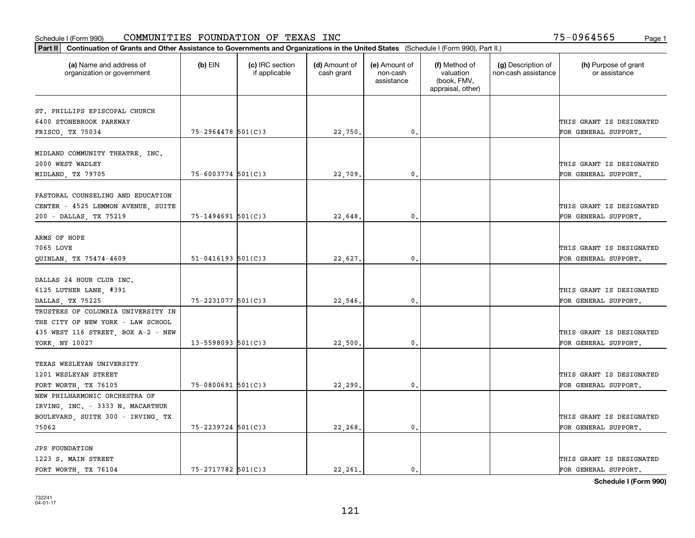|                                                       | Part II   Continuation of Grants and Other Assistance to Governments and Organizations in the United States (Schedule I (Form 990), Part II.) |                                  |                             |                                         |                                                                |                                           |                                       |  |  |  |  |
|-------------------------------------------------------|-----------------------------------------------------------------------------------------------------------------------------------------------|----------------------------------|-----------------------------|-----------------------------------------|----------------------------------------------------------------|-------------------------------------------|---------------------------------------|--|--|--|--|
| (a) Name and address of<br>organization or government | $(b)$ EIN                                                                                                                                     | (c) IRC section<br>if applicable | (d) Amount of<br>cash grant | (e) Amount of<br>non-cash<br>assistance | (f) Method of<br>valuation<br>(book, FMV,<br>appraisal, other) | (g) Description of<br>non-cash assistance | (h) Purpose of grant<br>or assistance |  |  |  |  |
|                                                       |                                                                                                                                               |                                  |                             |                                         |                                                                |                                           |                                       |  |  |  |  |
| ST. PHILLIPS EPISCOPAL CHURCH                         |                                                                                                                                               |                                  |                             |                                         |                                                                |                                           |                                       |  |  |  |  |
| 6400 STONEBROOK PARKWAY                               | 75-2964478 501(C)3                                                                                                                            |                                  |                             | 0.                                      |                                                                |                                           | THIS GRANT IS DESIGNATED              |  |  |  |  |
| FRISCO, TX 75034                                      |                                                                                                                                               |                                  | 22,750.                     |                                         |                                                                |                                           | FOR GENERAL SUPPORT.                  |  |  |  |  |
| MIDLAND COMMUNITY THEATRE, INC.                       |                                                                                                                                               |                                  |                             |                                         |                                                                |                                           |                                       |  |  |  |  |
| 2000 WEST WADLEY                                      |                                                                                                                                               |                                  |                             |                                         |                                                                |                                           | THIS GRANT IS DESIGNATED              |  |  |  |  |
| MIDLAND, TX 79705                                     | 75-6003774 501(C)3                                                                                                                            |                                  | 22,709                      | 0.                                      |                                                                |                                           | FOR GENERAL SUPPORT.                  |  |  |  |  |
|                                                       |                                                                                                                                               |                                  |                             |                                         |                                                                |                                           |                                       |  |  |  |  |
| PASTORAL COUNSELING AND EDUCATION                     |                                                                                                                                               |                                  |                             |                                         |                                                                |                                           |                                       |  |  |  |  |
| CENTER - 4525 LEMMON AVENUE, SUITE                    |                                                                                                                                               |                                  |                             |                                         |                                                                |                                           | THIS GRANT IS DESIGNATED              |  |  |  |  |
| 200 - DALLAS, TX 75219                                | $75 - 1494691$ 501(C)3                                                                                                                        |                                  | 22,648.                     | 0.                                      |                                                                |                                           | FOR GENERAL SUPPORT.                  |  |  |  |  |
|                                                       |                                                                                                                                               |                                  |                             |                                         |                                                                |                                           |                                       |  |  |  |  |
| ARMS OF HOPE                                          |                                                                                                                                               |                                  |                             |                                         |                                                                |                                           |                                       |  |  |  |  |
| 7065 LOVE                                             |                                                                                                                                               |                                  |                             |                                         |                                                                |                                           | THIS GRANT IS DESIGNATED              |  |  |  |  |
| QUINLAN, TX 75474-4609                                | $51 - 0416193$ $501(C)3$                                                                                                                      |                                  | 22,627.                     | $\mathbf{0}$ .                          |                                                                |                                           | FOR GENERAL SUPPORT.                  |  |  |  |  |
|                                                       |                                                                                                                                               |                                  |                             |                                         |                                                                |                                           |                                       |  |  |  |  |
| DALLAS 24 HOUR CLUB INC.                              |                                                                                                                                               |                                  |                             |                                         |                                                                |                                           |                                       |  |  |  |  |
| 6125 LUTHER LANE, #391                                |                                                                                                                                               |                                  |                             |                                         |                                                                |                                           | THIS GRANT IS DESIGNATED              |  |  |  |  |
| DALLAS, TX 75225                                      | 75-2231077 501(C)3                                                                                                                            |                                  | 22,546.                     | 0.                                      |                                                                |                                           | FOR GENERAL SUPPORT.                  |  |  |  |  |
| TRUSTEES OF COLUMBIA UNIVERSITY IN                    |                                                                                                                                               |                                  |                             |                                         |                                                                |                                           |                                       |  |  |  |  |
| THE CITY OF NEW YORK - LAW SCHOOL                     |                                                                                                                                               |                                  |                             |                                         |                                                                |                                           |                                       |  |  |  |  |
|                                                       |                                                                                                                                               |                                  |                             |                                         |                                                                |                                           | THIS GRANT IS DESIGNATED              |  |  |  |  |
| 435 WEST 116 STREET, BOX A-2 - NEW                    |                                                                                                                                               |                                  |                             | 0.                                      |                                                                |                                           |                                       |  |  |  |  |
| YORK, NY 10027                                        | $13 - 5598093$ 501(C)3                                                                                                                        |                                  | 22,500.                     |                                         |                                                                |                                           | FOR GENERAL SUPPORT.                  |  |  |  |  |
| TEXAS WESLEYAN UNIVERSITY                             |                                                                                                                                               |                                  |                             |                                         |                                                                |                                           |                                       |  |  |  |  |
| 1201 WESLEYAN STREET                                  |                                                                                                                                               |                                  |                             |                                         |                                                                |                                           | THIS GRANT IS DESIGNATED              |  |  |  |  |
|                                                       | $75 - 0800691$ 501(C)3                                                                                                                        |                                  |                             | $^{\circ}$ .                            |                                                                |                                           |                                       |  |  |  |  |
| FORT WORTH, TX 76105<br>NEW PHILHARMONIC ORCHESTRA OF |                                                                                                                                               |                                  | 22, 290.                    |                                         |                                                                |                                           | FOR GENERAL SUPPORT.                  |  |  |  |  |
|                                                       |                                                                                                                                               |                                  |                             |                                         |                                                                |                                           |                                       |  |  |  |  |
| IRVING, INC. - 3333 N. MACARTHUR                      |                                                                                                                                               |                                  |                             |                                         |                                                                |                                           |                                       |  |  |  |  |
| BOULEVARD, SUITE 300 - IRVING, TX                     |                                                                                                                                               |                                  |                             |                                         |                                                                |                                           | THIS GRANT IS DESIGNATED              |  |  |  |  |
| 75062                                                 | 75-2239724 501(C)3                                                                                                                            |                                  | 22,268.                     | 0.                                      |                                                                |                                           | FOR GENERAL SUPPORT.                  |  |  |  |  |
| <b>JPS FOUNDATION</b>                                 |                                                                                                                                               |                                  |                             |                                         |                                                                |                                           |                                       |  |  |  |  |
|                                                       |                                                                                                                                               |                                  |                             |                                         |                                                                |                                           | THIS GRANT IS DESIGNATED              |  |  |  |  |
| 1223 S. MAIN STREET                                   | $75 - 2717782$ 501(C)3                                                                                                                        |                                  |                             | $\mathbf{0}$ .                          |                                                                |                                           |                                       |  |  |  |  |
| FORT WORTH, TX 76104                                  |                                                                                                                                               |                                  | 22,261.                     |                                         |                                                                |                                           | FOR GENERAL SUPPORT.                  |  |  |  |  |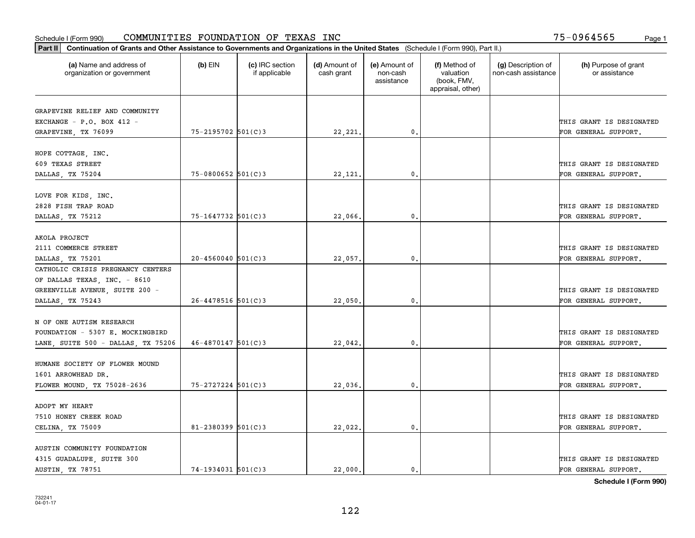| Part II   Continuation of Grants and Other Assistance to Governments and Organizations in the United States (Schedule I (Form 990), Part II.) |                        |                                  |                             |                                         |                                                                |                                           |                                       |
|-----------------------------------------------------------------------------------------------------------------------------------------------|------------------------|----------------------------------|-----------------------------|-----------------------------------------|----------------------------------------------------------------|-------------------------------------------|---------------------------------------|
| (a) Name and address of<br>organization or government                                                                                         | $(b)$ EIN              | (c) IRC section<br>if applicable | (d) Amount of<br>cash grant | (e) Amount of<br>non-cash<br>assistance | (f) Method of<br>valuation<br>(book, FMV,<br>appraisal, other) | (g) Description of<br>non-cash assistance | (h) Purpose of grant<br>or assistance |
|                                                                                                                                               |                        |                                  |                             |                                         |                                                                |                                           |                                       |
| GRAPEVINE RELIEF AND COMMUNITY<br>EXCHANGE - $P.O.$ BOX 412 -                                                                                 |                        |                                  |                             |                                         |                                                                |                                           | THIS GRANT IS DESIGNATED              |
| GRAPEVINE, TX 76099                                                                                                                           | 75-2195702 501(C)3     |                                  | 22, 221.                    | $\mathbf{0}$ .                          |                                                                |                                           | FOR GENERAL SUPPORT.                  |
|                                                                                                                                               |                        |                                  |                             |                                         |                                                                |                                           |                                       |
| HOPE COTTAGE, INC.                                                                                                                            |                        |                                  |                             |                                         |                                                                |                                           |                                       |
| 609 TEXAS STREET                                                                                                                              |                        |                                  |                             |                                         |                                                                |                                           | THIS GRANT IS DESIGNATED              |
| DALLAS, TX 75204                                                                                                                              | 75-0800652 501(C)3     |                                  | 22,121                      | 0.                                      |                                                                |                                           | FOR GENERAL SUPPORT.                  |
|                                                                                                                                               |                        |                                  |                             |                                         |                                                                |                                           |                                       |
| LOVE FOR KIDS, INC.                                                                                                                           |                        |                                  |                             |                                         |                                                                |                                           |                                       |
| 2828 FISH TRAP ROAD                                                                                                                           |                        |                                  |                             |                                         |                                                                |                                           | THIS GRANT IS DESIGNATED              |
| DALLAS, TX 75212                                                                                                                              | 75-1647732 501(C)3     |                                  | 22,066.                     | $\mathbf{0}$ .                          |                                                                |                                           | FOR GENERAL SUPPORT.                  |
|                                                                                                                                               |                        |                                  |                             |                                         |                                                                |                                           |                                       |
| AKOLA PROJECT                                                                                                                                 |                        |                                  |                             |                                         |                                                                |                                           |                                       |
| 2111 COMMERCE STREET                                                                                                                          |                        |                                  |                             |                                         |                                                                |                                           | THIS GRANT IS DESIGNATED              |
| DALLAS, TX 75201                                                                                                                              | $20 - 4560040$ 501(C)3 |                                  | 22,057.                     | 0.                                      |                                                                |                                           | FOR GENERAL SUPPORT.                  |
| CATHOLIC CRISIS PREGNANCY CENTERS                                                                                                             |                        |                                  |                             |                                         |                                                                |                                           |                                       |
| OF DALLAS TEXAS, INC. - 8610                                                                                                                  |                        |                                  |                             |                                         |                                                                |                                           |                                       |
| GREENVILLE AVENUE, SUITE 200 -                                                                                                                |                        |                                  |                             |                                         |                                                                |                                           | THIS GRANT IS DESIGNATED              |
| DALLAS, TX 75243                                                                                                                              | $26 - 4478516$ 501(C)3 |                                  | 22,050.                     | 0.                                      |                                                                |                                           | FOR GENERAL SUPPORT.                  |
|                                                                                                                                               |                        |                                  |                             |                                         |                                                                |                                           |                                       |
| N OF ONE AUTISM RESEARCH                                                                                                                      |                        |                                  |                             |                                         |                                                                |                                           |                                       |
| FOUNDATION - 5307 E. MOCKINGBIRD                                                                                                              |                        |                                  |                             |                                         |                                                                |                                           | THIS GRANT IS DESIGNATED              |
| LANE, SUITE 500 - DALLAS, TX 75206                                                                                                            | $46 - 4870147$ 501(C)3 |                                  | 22,042.                     | 0.                                      |                                                                |                                           | FOR GENERAL SUPPORT.                  |
|                                                                                                                                               |                        |                                  |                             |                                         |                                                                |                                           |                                       |
| HUMANE SOCIETY OF FLOWER MOUND                                                                                                                |                        |                                  |                             |                                         |                                                                |                                           |                                       |
| 1601 ARROWHEAD DR.                                                                                                                            |                        |                                  |                             |                                         |                                                                |                                           | THIS GRANT IS DESIGNATED              |
| FLOWER MOUND, TX 75028-2636                                                                                                                   | $75 - 2727224$ 501(C)3 |                                  | 22,036.                     | $\mathbf{0}$ .                          |                                                                |                                           | FOR GENERAL SUPPORT.                  |
|                                                                                                                                               |                        |                                  |                             |                                         |                                                                |                                           |                                       |
| ADOPT MY HEART                                                                                                                                |                        |                                  |                             |                                         |                                                                |                                           |                                       |
| 7510 HONEY CREEK ROAD                                                                                                                         |                        |                                  |                             |                                         |                                                                |                                           | THIS GRANT IS DESIGNATED              |
| CELINA, TX 75009                                                                                                                              | $81 - 2380399$ 501(C)3 |                                  | 22,022.                     | 0.                                      |                                                                |                                           | FOR GENERAL SUPPORT.                  |
|                                                                                                                                               |                        |                                  |                             |                                         |                                                                |                                           |                                       |
| AUSTIN COMMUNITY FOUNDATION                                                                                                                   |                        |                                  |                             |                                         |                                                                |                                           |                                       |
| 4315 GUADALUPE, SUITE 300                                                                                                                     |                        |                                  |                             |                                         |                                                                |                                           | THIS GRANT IS DESIGNATED              |
| AUSTIN, TX 78751                                                                                                                              | 74-1934031 501(C)3     |                                  | 22,000.                     | $\mathbf{0}$ .                          |                                                                |                                           | FOR GENERAL SUPPORT.                  |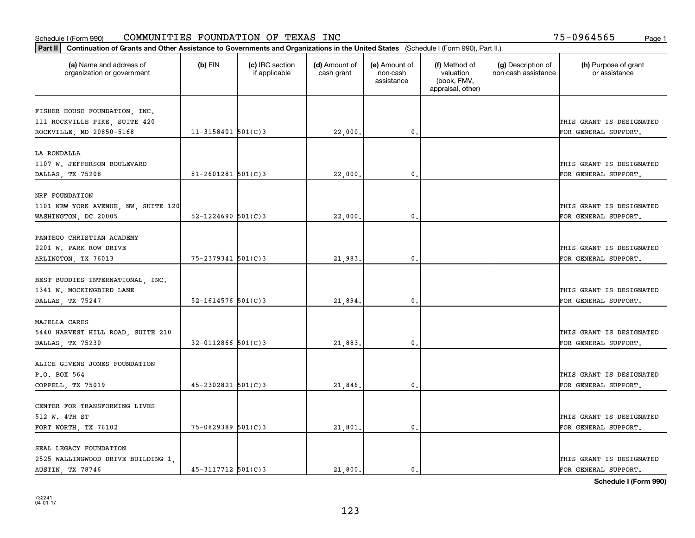| Part II   Continuation of Grants and Other Assistance to Governments and Organizations in the United States (Schedule I (Form 990), Part II.) |                          |                                  |                             |                                         |                                                                |                                           |                                       |
|-----------------------------------------------------------------------------------------------------------------------------------------------|--------------------------|----------------------------------|-----------------------------|-----------------------------------------|----------------------------------------------------------------|-------------------------------------------|---------------------------------------|
| (a) Name and address of<br>organization or government                                                                                         | $(b)$ EIN                | (c) IRC section<br>if applicable | (d) Amount of<br>cash grant | (e) Amount of<br>non-cash<br>assistance | (f) Method of<br>valuation<br>(book, FMV,<br>appraisal, other) | (g) Description of<br>non-cash assistance | (h) Purpose of grant<br>or assistance |
|                                                                                                                                               |                          |                                  |                             |                                         |                                                                |                                           |                                       |
| FISHER HOUSE FOUNDATION, INC.<br>111 ROCKVILLE PIKE, SUITE 420                                                                                |                          |                                  |                             |                                         |                                                                |                                           | THIS GRANT IS DESIGNATED              |
| ROCKVILLE, MD 20850-5168                                                                                                                      | $11 - 3158401$ 501(C)3   |                                  | 22,000.                     | 0.                                      |                                                                |                                           | FOR GENERAL SUPPORT.                  |
|                                                                                                                                               |                          |                                  |                             |                                         |                                                                |                                           |                                       |
| LA RONDALLA                                                                                                                                   |                          |                                  |                             |                                         |                                                                |                                           |                                       |
| 1107 W. JEFFERSON BOULEVARD                                                                                                                   |                          |                                  |                             |                                         |                                                                |                                           | THIS GRANT IS DESIGNATED              |
| DALLAS, TX 75208                                                                                                                              | $81 - 2601281$ 501(C)3   |                                  | 22,000                      | 0.                                      |                                                                |                                           | FOR GENERAL SUPPORT.                  |
|                                                                                                                                               |                          |                                  |                             |                                         |                                                                |                                           |                                       |
| NRF FOUNDATION                                                                                                                                |                          |                                  |                             |                                         |                                                                |                                           |                                       |
| 1101 NEW YORK AVENUE, NW, SUITE 120                                                                                                           |                          |                                  |                             |                                         |                                                                |                                           | THIS GRANT IS DESIGNATED              |
| WASHINGTON, DC 20005                                                                                                                          | $52 - 1224690$ $501(C)3$ |                                  | 22,000                      | 0.                                      |                                                                |                                           | FOR GENERAL SUPPORT.                  |
|                                                                                                                                               |                          |                                  |                             |                                         |                                                                |                                           |                                       |
| PANTEGO CHRISTIAN ACADEMY                                                                                                                     |                          |                                  |                             |                                         |                                                                |                                           |                                       |
| 2201 W. PARK ROW DRIVE                                                                                                                        |                          |                                  |                             |                                         |                                                                |                                           | THIS GRANT IS DESIGNATED              |
| ARLINGTON, TX 76013                                                                                                                           | 75-2379341 501(C)3       |                                  | 21,983.                     | 0.                                      |                                                                |                                           | FOR GENERAL SUPPORT.                  |
|                                                                                                                                               |                          |                                  |                             |                                         |                                                                |                                           |                                       |
| BEST BUDDIES INTERNATIONAL, INC.                                                                                                              |                          |                                  |                             |                                         |                                                                |                                           |                                       |
| 1341 W. MOCKINGBIRD LANE                                                                                                                      |                          |                                  |                             |                                         |                                                                |                                           | THIS GRANT IS DESIGNATED              |
| DALLAS, TX 75247                                                                                                                              | $52 - 1614576$ 501(C)3   |                                  | 21,894.                     | 0.                                      |                                                                |                                           | FOR GENERAL SUPPORT.                  |
|                                                                                                                                               |                          |                                  |                             |                                         |                                                                |                                           |                                       |
| MAJELLA CARES                                                                                                                                 |                          |                                  |                             |                                         |                                                                |                                           |                                       |
| 5440 HARVEST HILL ROAD, SUITE 210                                                                                                             |                          |                                  |                             |                                         |                                                                |                                           | THIS GRANT IS DESIGNATED              |
| DALLAS, TX 75230                                                                                                                              | $32 - 0112866$ 501(C)3   |                                  | 21,883,                     | 0.                                      |                                                                |                                           | FOR GENERAL SUPPORT.                  |
|                                                                                                                                               |                          |                                  |                             |                                         |                                                                |                                           |                                       |
| ALICE GIVENS JONES FOUNDATION                                                                                                                 |                          |                                  |                             |                                         |                                                                |                                           |                                       |
| P.O. BOX 564                                                                                                                                  |                          |                                  |                             |                                         |                                                                |                                           | THIS GRANT IS DESIGNATED              |
| COPPELL, TX 75019                                                                                                                             | $45 - 2302821$ 501(C)3   |                                  | 21,846.                     | $\mathbf{0}$ .                          |                                                                |                                           | FOR GENERAL SUPPORT.                  |
|                                                                                                                                               |                          |                                  |                             |                                         |                                                                |                                           |                                       |
| CENTER FOR TRANSFORMING LIVES                                                                                                                 |                          |                                  |                             |                                         |                                                                |                                           |                                       |
| 512 W. 4TH ST                                                                                                                                 |                          |                                  |                             |                                         |                                                                |                                           | THIS GRANT IS DESIGNATED              |
| FORT WORTH, TX 76102                                                                                                                          | 75-0829389 501(C)3       |                                  | 21,801.                     | 0.                                      |                                                                |                                           | FOR GENERAL SUPPORT.                  |
|                                                                                                                                               |                          |                                  |                             |                                         |                                                                |                                           |                                       |
| SEAL LEGACY FOUNDATION                                                                                                                        |                          |                                  |                             |                                         |                                                                |                                           |                                       |
| 2525 WALLINGWOOD DRIVE BUILDING 1,                                                                                                            |                          |                                  |                             |                                         |                                                                |                                           | THIS GRANT IS DESIGNATED              |
| AUSTIN, TX 78746                                                                                                                              | $45 - 3117712$ 501(C)3   |                                  | 21,800.                     | 0.                                      |                                                                |                                           | FOR GENERAL SUPPORT.                  |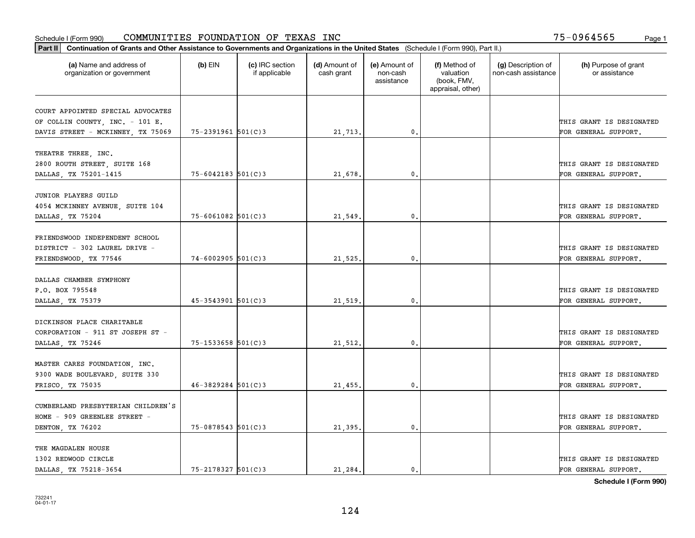| Part II   Continuation of Grants and Other Assistance to Governments and Organizations in the United States (Schedule I (Form 990), Part II.) |                        |                                  |                             |                                         |                                                                |                                           |                                       |
|-----------------------------------------------------------------------------------------------------------------------------------------------|------------------------|----------------------------------|-----------------------------|-----------------------------------------|----------------------------------------------------------------|-------------------------------------------|---------------------------------------|
| (a) Name and address of<br>organization or government                                                                                         | $(b)$ EIN              | (c) IRC section<br>if applicable | (d) Amount of<br>cash grant | (e) Amount of<br>non-cash<br>assistance | (f) Method of<br>valuation<br>(book, FMV,<br>appraisal, other) | (g) Description of<br>non-cash assistance | (h) Purpose of grant<br>or assistance |
|                                                                                                                                               |                        |                                  |                             |                                         |                                                                |                                           |                                       |
| COURT APPOINTED SPECIAL ADVOCATES<br>OF COLLIN COUNTY, INC. - 101 E.                                                                          |                        |                                  |                             |                                         |                                                                |                                           | THIS GRANT IS DESIGNATED              |
| DAVIS STREET - MCKINNEY, TX 75069                                                                                                             | 75-2391961 501(C)3     |                                  | 21,713.                     | 0.                                      |                                                                |                                           | FOR GENERAL SUPPORT.                  |
|                                                                                                                                               |                        |                                  |                             |                                         |                                                                |                                           |                                       |
| THEATRE THREE, INC.                                                                                                                           |                        |                                  |                             |                                         |                                                                |                                           |                                       |
| 2800 ROUTH STREET, SUITE 168                                                                                                                  |                        |                                  |                             |                                         |                                                                |                                           | THIS GRANT IS DESIGNATED              |
| DALLAS, TX 75201-1415                                                                                                                         | $75 - 6042183$ 501(C)3 |                                  | 21,678.                     | 0.                                      |                                                                |                                           | FOR GENERAL SUPPORT.                  |
|                                                                                                                                               |                        |                                  |                             |                                         |                                                                |                                           |                                       |
| JUNIOR PLAYERS GUILD                                                                                                                          |                        |                                  |                             |                                         |                                                                |                                           |                                       |
| 4054 MCKINNEY AVENUE, SUITE 104                                                                                                               |                        |                                  |                             |                                         |                                                                |                                           | THIS GRANT IS DESIGNATED              |
| DALLAS, TX 75204                                                                                                                              | $75 - 6061082$ 501(C)3 |                                  | 21,549.                     | $\mathbf{0}$ .                          |                                                                |                                           | FOR GENERAL SUPPORT.                  |
|                                                                                                                                               |                        |                                  |                             |                                         |                                                                |                                           |                                       |
| FRIENDSWOOD INDEPENDENT SCHOOL                                                                                                                |                        |                                  |                             |                                         |                                                                |                                           |                                       |
| DISTRICT - 302 LAUREL DRIVE -                                                                                                                 |                        |                                  |                             | 0.                                      |                                                                |                                           | THIS GRANT IS DESIGNATED              |
| FRIENDSWOOD, TX 77546                                                                                                                         | $74 - 6002905$ 501(C)3 |                                  | 21,525.                     |                                         |                                                                |                                           | FOR GENERAL SUPPORT.                  |
| DALLAS CHAMBER SYMPHONY                                                                                                                       |                        |                                  |                             |                                         |                                                                |                                           |                                       |
| P.O. BOX 795548                                                                                                                               |                        |                                  |                             |                                         |                                                                |                                           | THIS GRANT IS DESIGNATED              |
| DALLAS, TX 75379                                                                                                                              | $45 - 3543901$ 501(C)3 |                                  | 21,519.                     | 0.                                      |                                                                |                                           | FOR GENERAL SUPPORT.                  |
|                                                                                                                                               |                        |                                  |                             |                                         |                                                                |                                           |                                       |
| DICKINSON PLACE CHARITABLE                                                                                                                    |                        |                                  |                             |                                         |                                                                |                                           |                                       |
| CORPORATION - 911 ST JOSEPH ST -                                                                                                              |                        |                                  |                             |                                         |                                                                |                                           | THIS GRANT IS DESIGNATED              |
| DALLAS, TX 75246                                                                                                                              | 75-1533658 501(C)3     |                                  | 21,512.                     | 0.                                      |                                                                |                                           | FOR GENERAL SUPPORT.                  |
|                                                                                                                                               |                        |                                  |                             |                                         |                                                                |                                           |                                       |
| MASTER CARES FOUNDATION, INC.                                                                                                                 |                        |                                  |                             |                                         |                                                                |                                           |                                       |
| 9300 WADE BOULEVARD, SUITE 330                                                                                                                |                        |                                  |                             |                                         |                                                                |                                           | THIS GRANT IS DESIGNATED              |
| FRISCO, TX 75035                                                                                                                              | $46 - 3829284$ 501(C)3 |                                  | 21,455.                     | $\mathbf{0}$ .                          |                                                                |                                           | FOR GENERAL SUPPORT.                  |
|                                                                                                                                               |                        |                                  |                             |                                         |                                                                |                                           |                                       |
| CUMBERLAND PRESBYTERIAN CHILDREN'S                                                                                                            |                        |                                  |                             |                                         |                                                                |                                           |                                       |
| HOME - 909 GREENLEE STREET -                                                                                                                  |                        |                                  |                             |                                         |                                                                |                                           | THIS GRANT IS DESIGNATED              |
| DENTON, TX 76202                                                                                                                              | 75-0878543 501(C)3     |                                  | 21,395.                     | $\mathbf{0}$ .                          |                                                                |                                           | FOR GENERAL SUPPORT.                  |
| THE MAGDALEN HOUSE                                                                                                                            |                        |                                  |                             |                                         |                                                                |                                           |                                       |
| 1302 REDWOOD CIRCLE                                                                                                                           |                        |                                  |                             |                                         |                                                                |                                           | THIS GRANT IS DESIGNATED              |
| DALLAS, TX 75218-3654                                                                                                                         | $75 - 2178327$ 501(C)3 |                                  | 21.284.                     | $\mathbf{0}$ .                          |                                                                |                                           | FOR GENERAL SUPPORT.                  |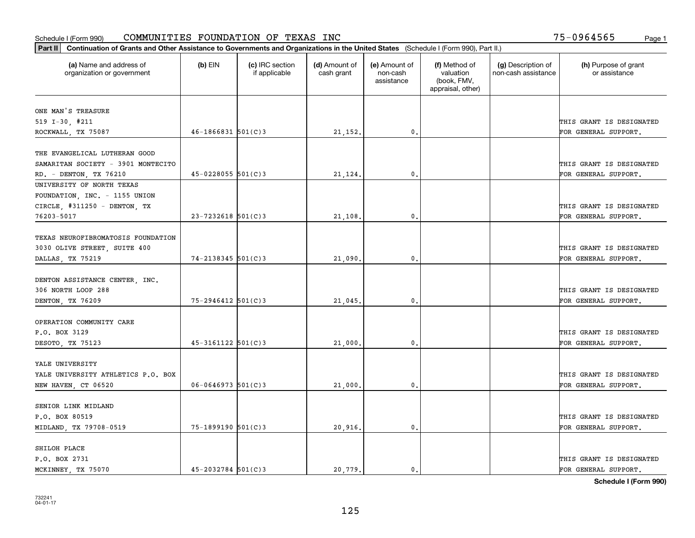| Part II   Continuation of Grants and Other Assistance to Governments and Organizations in the United States (Schedule I (Form 990), Part II.) |                          |                                  |                             |                                         |                                                                |                                           |                                       |
|-----------------------------------------------------------------------------------------------------------------------------------------------|--------------------------|----------------------------------|-----------------------------|-----------------------------------------|----------------------------------------------------------------|-------------------------------------------|---------------------------------------|
| (a) Name and address of<br>organization or government                                                                                         | $(b)$ EIN                | (c) IRC section<br>if applicable | (d) Amount of<br>cash grant | (e) Amount of<br>non-cash<br>assistance | (f) Method of<br>valuation<br>(book, FMV,<br>appraisal, other) | (g) Description of<br>non-cash assistance | (h) Purpose of grant<br>or assistance |
| ONE MAN'S TREASURE                                                                                                                            |                          |                                  |                             |                                         |                                                                |                                           |                                       |
| $519$ I-30, #211                                                                                                                              |                          |                                  |                             |                                         |                                                                |                                           | THIS GRANT IS DESIGNATED              |
| ROCKWALL, TX 75087                                                                                                                            | $46 - 1866831$ 501(C)3   |                                  | 21, 152.                    | $\mathbf{0}$ .                          |                                                                |                                           | FOR GENERAL SUPPORT.                  |
|                                                                                                                                               |                          |                                  |                             |                                         |                                                                |                                           |                                       |
| THE EVANGELICAL LUTHERAN GOOD                                                                                                                 |                          |                                  |                             |                                         |                                                                |                                           |                                       |
| SAMARITAN SOCIETY - 3901 MONTECITO                                                                                                            |                          |                                  |                             |                                         |                                                                |                                           | THIS GRANT IS DESIGNATED              |
| RD. - DENTON, TX 76210                                                                                                                        | $45 - 0228055$ 501(C)3   |                                  | 21,124.                     | $\mathfrak{o}$ .                        |                                                                |                                           | FOR GENERAL SUPPORT.                  |
| UNIVERSITY OF NORTH TEXAS                                                                                                                     |                          |                                  |                             |                                         |                                                                |                                           |                                       |
| FOUNDATION, INC. - 1155 UNION                                                                                                                 |                          |                                  |                             |                                         |                                                                |                                           |                                       |
| CIRCLE, #311250 - DENTON, TX                                                                                                                  |                          |                                  |                             |                                         |                                                                |                                           | THIS GRANT IS DESIGNATED              |
| 76203-5017                                                                                                                                    | $23 - 7232618$ 501(C)3   |                                  | 21,108.                     | $\mathbf{0}$ .                          |                                                                |                                           | FOR GENERAL SUPPORT.                  |
| TEXAS NEUROFIBROMATOSIS FOUNDATION                                                                                                            |                          |                                  |                             |                                         |                                                                |                                           |                                       |
| 3030 OLIVE STREET, SUITE 400                                                                                                                  |                          |                                  |                             |                                         |                                                                |                                           | THIS GRANT IS DESIGNATED              |
| DALLAS, TX 75219                                                                                                                              | $74 - 2138345$ 501(C)3   |                                  | 21,090                      | $\mathfrak{o}$ .                        |                                                                |                                           | FOR GENERAL SUPPORT.                  |
|                                                                                                                                               |                          |                                  |                             |                                         |                                                                |                                           |                                       |
| DENTON ASSISTANCE CENTER, INC.                                                                                                                |                          |                                  |                             |                                         |                                                                |                                           |                                       |
| 306 NORTH LOOP 288                                                                                                                            |                          |                                  |                             |                                         |                                                                |                                           | THIS GRANT IS DESIGNATED              |
| DENTON, TX 76209                                                                                                                              | $75 - 2946412$ 501(C)3   |                                  | 21,045.                     | 0.                                      |                                                                |                                           | FOR GENERAL SUPPORT.                  |
|                                                                                                                                               |                          |                                  |                             |                                         |                                                                |                                           |                                       |
| OPERATION COMMUNITY CARE                                                                                                                      |                          |                                  |                             |                                         |                                                                |                                           |                                       |
| P.O. BOX 3129                                                                                                                                 |                          |                                  |                             |                                         |                                                                |                                           | THIS GRANT IS DESIGNATED              |
| DESOTO, TX 75123                                                                                                                              | $45 - 3161122$ $501(C)3$ |                                  | 21,000                      | 0.                                      |                                                                |                                           | FOR GENERAL SUPPORT.                  |
| YALE UNIVERSITY                                                                                                                               |                          |                                  |                             |                                         |                                                                |                                           |                                       |
| YALE UNIVERSITY ATHLETICS P.O. BOX                                                                                                            |                          |                                  |                             |                                         |                                                                |                                           | THIS GRANT IS DESIGNATED              |
| NEW HAVEN, CT 06520                                                                                                                           | $06 - 0646973$ 501(C)3   |                                  |                             | $\mathfrak o$ .                         |                                                                |                                           | FOR GENERAL SUPPORT.                  |
|                                                                                                                                               |                          |                                  | 21,000                      |                                         |                                                                |                                           |                                       |
| SENIOR LINK MIDLAND                                                                                                                           |                          |                                  |                             |                                         |                                                                |                                           |                                       |
| P.O. BOX 80519                                                                                                                                |                          |                                  |                             |                                         |                                                                |                                           | THIS GRANT IS DESIGNATED              |
| MIDLAND, TX 79708-0519                                                                                                                        | 75-1899190 501(C)3       |                                  | 20,916.                     | $\mathfrak{o}$ .                        |                                                                |                                           | FOR GENERAL SUPPORT.                  |
|                                                                                                                                               |                          |                                  |                             |                                         |                                                                |                                           |                                       |
| SHILOH PLACE                                                                                                                                  |                          |                                  |                             |                                         |                                                                |                                           |                                       |
| P.O. BOX 2731                                                                                                                                 |                          |                                  |                             |                                         |                                                                |                                           | THIS GRANT IS DESIGNATED              |
| MCKINNEY, TX 75070                                                                                                                            | $45 - 2032784$ 501(C)3   |                                  | 20,779.                     | $\mathbf{0}$ .                          |                                                                |                                           | FOR GENERAL SUPPORT.                  |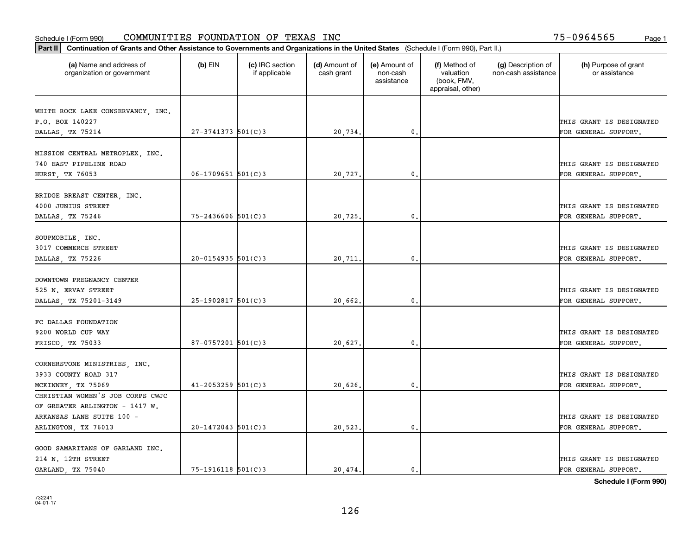| Part II   Continuation of Grants and Other Assistance to Governments and Organizations in the United States (Schedule I (Form 990), Part II.) |                          |                                  |                             |                                         |                                                                |                                           |                                       |
|-----------------------------------------------------------------------------------------------------------------------------------------------|--------------------------|----------------------------------|-----------------------------|-----------------------------------------|----------------------------------------------------------------|-------------------------------------------|---------------------------------------|
| (a) Name and address of<br>organization or government                                                                                         | $(b)$ EIN                | (c) IRC section<br>if applicable | (d) Amount of<br>cash grant | (e) Amount of<br>non-cash<br>assistance | (f) Method of<br>valuation<br>(book, FMV,<br>appraisal, other) | (g) Description of<br>non-cash assistance | (h) Purpose of grant<br>or assistance |
|                                                                                                                                               |                          |                                  |                             |                                         |                                                                |                                           |                                       |
| WHITE ROCK LAKE CONSERVANCY, INC.                                                                                                             |                          |                                  |                             |                                         |                                                                |                                           |                                       |
| P.O. BOX 140227                                                                                                                               |                          |                                  |                             |                                         |                                                                |                                           | THIS GRANT IS DESIGNATED              |
| DALLAS, TX 75214                                                                                                                              | $27 - 3741373$ 501(C)3   |                                  | 20,734.                     | 0.                                      |                                                                |                                           | FOR GENERAL SUPPORT.                  |
| MISSION CENTRAL METROPLEX, INC.                                                                                                               |                          |                                  |                             |                                         |                                                                |                                           |                                       |
| 740 EAST PIPELINE ROAD                                                                                                                        |                          |                                  |                             |                                         |                                                                |                                           | THIS GRANT IS DESIGNATED              |
| HURST, TX 76053                                                                                                                               | $06 - 1709651$ 501(C)3   |                                  | 20,727.                     | 0.                                      |                                                                |                                           | FOR GENERAL SUPPORT.                  |
|                                                                                                                                               |                          |                                  |                             |                                         |                                                                |                                           |                                       |
| BRIDGE BREAST CENTER, INC.                                                                                                                    |                          |                                  |                             |                                         |                                                                |                                           |                                       |
| 4000 JUNIUS STREET                                                                                                                            |                          |                                  |                             |                                         |                                                                |                                           | THIS GRANT IS DESIGNATED              |
| DALLAS, TX 75246                                                                                                                              | $75 - 2436606$ 501(C)3   |                                  | 20,725.                     | 0.                                      |                                                                |                                           | FOR GENERAL SUPPORT.                  |
|                                                                                                                                               |                          |                                  |                             |                                         |                                                                |                                           |                                       |
| SOUPMOBILE, INC.                                                                                                                              |                          |                                  |                             |                                         |                                                                |                                           |                                       |
| 3017 COMMERCE STREET                                                                                                                          |                          |                                  |                             |                                         |                                                                |                                           | THIS GRANT IS DESIGNATED              |
| DALLAS, TX 75226                                                                                                                              | $20 - 0154935$ 501(C)3   |                                  | 20,711.                     | 0.                                      |                                                                |                                           | FOR GENERAL SUPPORT.                  |
|                                                                                                                                               |                          |                                  |                             |                                         |                                                                |                                           |                                       |
| DOWNTOWN PREGNANCY CENTER                                                                                                                     |                          |                                  |                             |                                         |                                                                |                                           |                                       |
| 525 N. ERVAY STREET                                                                                                                           |                          |                                  |                             |                                         |                                                                |                                           | THIS GRANT IS DESIGNATED              |
| DALLAS, TX 75201-3149                                                                                                                         | $25-1902817$ 501(C)3     |                                  | 20,662.                     | 0.                                      |                                                                |                                           | FOR GENERAL SUPPORT.                  |
|                                                                                                                                               |                          |                                  |                             |                                         |                                                                |                                           |                                       |
| FC DALLAS FOUNDATION                                                                                                                          |                          |                                  |                             |                                         |                                                                |                                           |                                       |
| 9200 WORLD CUP WAY                                                                                                                            |                          |                                  |                             |                                         |                                                                |                                           | THIS GRANT IS DESIGNATED              |
| FRISCO, TX 75033                                                                                                                              | $87-0757201$ 501(C)3     |                                  | 20,627.                     | 0.                                      |                                                                |                                           | FOR GENERAL SUPPORT.                  |
|                                                                                                                                               |                          |                                  |                             |                                         |                                                                |                                           |                                       |
| CORNERSTONE MINISTRIES, INC.                                                                                                                  |                          |                                  |                             |                                         |                                                                |                                           |                                       |
| 3933 COUNTY ROAD 317                                                                                                                          |                          |                                  |                             |                                         |                                                                |                                           | THIS GRANT IS DESIGNATED              |
| MCKINNEY, TX 75069                                                                                                                            | $41 - 2053259$ 501(C)3   |                                  | 20,626.                     | 0.                                      |                                                                |                                           | FOR GENERAL SUPPORT.                  |
| CHRISTIAN WOMEN'S JOB CORPS CWJC                                                                                                              |                          |                                  |                             |                                         |                                                                |                                           |                                       |
| OF GREATER ARLINGTON - 1417 W.                                                                                                                |                          |                                  |                             |                                         |                                                                |                                           |                                       |
| ARKANSAS LANE SUITE 100 -                                                                                                                     |                          |                                  |                             |                                         |                                                                |                                           | THIS GRANT IS DESIGNATED              |
| ARLINGTON, TX 76013                                                                                                                           | $20 - 1472043$ 501(C)3   |                                  | 20,523.                     | 0.                                      |                                                                |                                           | FOR GENERAL SUPPORT.                  |
|                                                                                                                                               |                          |                                  |                             |                                         |                                                                |                                           |                                       |
| GOOD SAMARITANS OF GARLAND INC.                                                                                                               |                          |                                  |                             |                                         |                                                                |                                           |                                       |
| 214 N. 12TH STREET                                                                                                                            |                          |                                  |                             |                                         |                                                                |                                           | THIS GRANT IS DESIGNATED              |
| GARLAND, TX 75040                                                                                                                             | $75 - 1916118$ $501(C)3$ |                                  | 20.474.                     | $\mathbf{0}$ .                          |                                                                |                                           | FOR GENERAL SUPPORT.                  |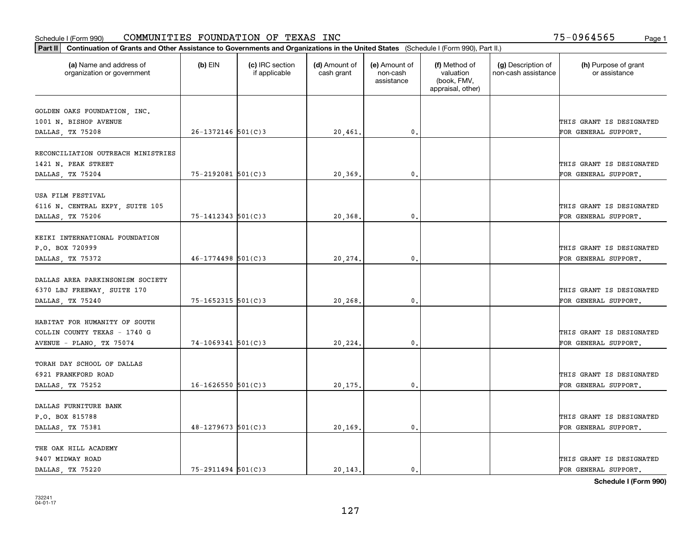| Part II   Continuation of Grants and Other Assistance to Governments and Organizations in the United States (Schedule I (Form 990), Part II.) |                          |                                  |                             |                                         |                                                                |                                           |                                       |
|-----------------------------------------------------------------------------------------------------------------------------------------------|--------------------------|----------------------------------|-----------------------------|-----------------------------------------|----------------------------------------------------------------|-------------------------------------------|---------------------------------------|
| (a) Name and address of<br>organization or government                                                                                         | $(b)$ EIN                | (c) IRC section<br>if applicable | (d) Amount of<br>cash grant | (e) Amount of<br>non-cash<br>assistance | (f) Method of<br>valuation<br>(book, FMV,<br>appraisal, other) | (g) Description of<br>non-cash assistance | (h) Purpose of grant<br>or assistance |
|                                                                                                                                               |                          |                                  |                             |                                         |                                                                |                                           |                                       |
| GOLDEN OAKS FOUNDATION, INC.<br>1001 N. BISHOP AVENUE                                                                                         |                          |                                  |                             |                                         |                                                                |                                           | THIS GRANT IS DESIGNATED              |
| DALLAS, TX 75208                                                                                                                              | $26 - 1372146$ 501(C)3   |                                  | 20,461.                     | $\mathbf{0}$ .                          |                                                                |                                           | FOR GENERAL SUPPORT.                  |
|                                                                                                                                               |                          |                                  |                             |                                         |                                                                |                                           |                                       |
| RECONCILIATION OUTREACH MINISTRIES                                                                                                            |                          |                                  |                             |                                         |                                                                |                                           |                                       |
| 1421 N. PEAK STREET                                                                                                                           |                          |                                  |                             |                                         |                                                                |                                           | THIS GRANT IS DESIGNATED              |
| DALLAS, TX 75204                                                                                                                              | 75-2192081 501(C)3       |                                  | 20,369.                     | 0.                                      |                                                                |                                           | FOR GENERAL SUPPORT.                  |
|                                                                                                                                               |                          |                                  |                             |                                         |                                                                |                                           |                                       |
| USA FILM FESTIVAL                                                                                                                             |                          |                                  |                             |                                         |                                                                |                                           |                                       |
| 6116 N. CENTRAL EXPY, SUITE 105                                                                                                               |                          |                                  |                             |                                         |                                                                |                                           | THIS GRANT IS DESIGNATED              |
| DALLAS, TX 75206                                                                                                                              | $75 - 1412343$ $501(C)3$ |                                  | 20,368.                     | $\mathbf{0}$ .                          |                                                                |                                           | FOR GENERAL SUPPORT.                  |
| KEIKI INTERNATIONAL FOUNDATION                                                                                                                |                          |                                  |                             |                                         |                                                                |                                           |                                       |
| P.O. BOX 720999                                                                                                                               |                          |                                  |                             |                                         |                                                                |                                           | THIS GRANT IS DESIGNATED              |
| DALLAS, TX 75372                                                                                                                              | $46 - 1774498$ 501(C)3   |                                  | 20,274.                     | $\mathbf{0}$ .                          |                                                                |                                           | FOR GENERAL SUPPORT.                  |
|                                                                                                                                               |                          |                                  |                             |                                         |                                                                |                                           |                                       |
| DALLAS AREA PARKINSONISM SOCIETY                                                                                                              |                          |                                  |                             |                                         |                                                                |                                           |                                       |
| 6370 LBJ FREEWAY, SUITE 170                                                                                                                   |                          |                                  |                             |                                         |                                                                |                                           | THIS GRANT IS DESIGNATED              |
| DALLAS, TX 75240                                                                                                                              | 75-1652315 501(C)3       |                                  | 20,268.                     | 0.                                      |                                                                |                                           | FOR GENERAL SUPPORT.                  |
|                                                                                                                                               |                          |                                  |                             |                                         |                                                                |                                           |                                       |
| HABITAT FOR HUMANITY OF SOUTH                                                                                                                 |                          |                                  |                             |                                         |                                                                |                                           |                                       |
| COLLIN COUNTY TEXAS - 1740 G                                                                                                                  |                          |                                  |                             |                                         |                                                                |                                           | THIS GRANT IS DESIGNATED              |
| AVENUE - PLANO, TX 75074                                                                                                                      | $74-1069341$ 501(C)3     |                                  | 20,224.                     | 0.                                      |                                                                |                                           | FOR GENERAL SUPPORT.                  |
|                                                                                                                                               |                          |                                  |                             |                                         |                                                                |                                           |                                       |
| TORAH DAY SCHOOL OF DALLAS                                                                                                                    |                          |                                  |                             |                                         |                                                                |                                           |                                       |
| 6921 FRANKFORD ROAD                                                                                                                           |                          |                                  |                             |                                         |                                                                |                                           | THIS GRANT IS DESIGNATED              |
| DALLAS, TX 75252                                                                                                                              | $16 - 1626550$ 501(C)3   |                                  | 20,175.                     | $\mathbf{0}$ .                          |                                                                |                                           | FOR GENERAL SUPPORT.                  |
| DALLAS FURNITURE BANK                                                                                                                         |                          |                                  |                             |                                         |                                                                |                                           |                                       |
| P.O. BOX 815788                                                                                                                               |                          |                                  |                             |                                         |                                                                |                                           | THIS GRANT IS DESIGNATED              |
| DALLAS, TX 75381                                                                                                                              | $48 - 1279673$ 501(C)3   |                                  | 20,169.                     | $\mathfrak o$ .                         |                                                                |                                           | FOR GENERAL SUPPORT.                  |
|                                                                                                                                               |                          |                                  |                             |                                         |                                                                |                                           |                                       |
| THE OAK HILL ACADEMY                                                                                                                          |                          |                                  |                             |                                         |                                                                |                                           |                                       |
| 9407 MIDWAY ROAD                                                                                                                              |                          |                                  |                             |                                         |                                                                |                                           | THIS GRANT IS DESIGNATED              |
| DALLAS, TX 75220                                                                                                                              | $75 - 2911494$ 501(C)3   |                                  | 20.143.                     | $\mathbf{0}$ .                          |                                                                |                                           | FOR GENERAL SUPPORT.                  |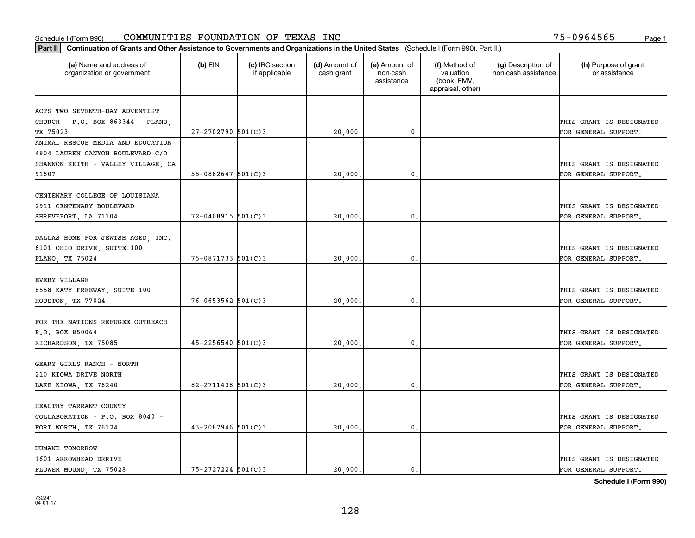| (a) Name and address of<br>organization or government | $(b)$ EIN               | (c) IRC section<br>if applicable | (d) Amount of<br>cash grant | (e) Amount of<br>non-cash<br>assistance | (f) Method of<br>valuation<br>(book, FMV,<br>appraisal, other) | (g) Description of<br>non-cash assistance | (h) Purpose of grant<br>or assistance |
|-------------------------------------------------------|-------------------------|----------------------------------|-----------------------------|-----------------------------------------|----------------------------------------------------------------|-------------------------------------------|---------------------------------------|
| ACTS TWO SEVENTH-DAY ADVENTIST                        |                         |                                  |                             |                                         |                                                                |                                           |                                       |
| CHURCH - P.O. BOX 863344 - PLANO,                     |                         |                                  |                             |                                         |                                                                |                                           | THIS GRANT IS DESIGNATED              |
| TX 75023                                              | $27 - 2702790$ 501(C)3  |                                  | 20,000.                     | $\mathbf{0}$ .                          |                                                                |                                           | FOR GENERAL SUPPORT.                  |
| ANIMAL RESCUE MEDIA AND EDUCATION                     |                         |                                  |                             |                                         |                                                                |                                           |                                       |
| 4804 LAUREN CANYON BOULEVARD C/O                      |                         |                                  |                             |                                         |                                                                |                                           |                                       |
| SHANNON KEITH - VALLEY VILLAGE, CA                    |                         |                                  |                             |                                         |                                                                |                                           | THIS GRANT IS DESIGNATED              |
| 91607                                                 | $55 - 0882647$ 501(C)3  |                                  | 20,000                      | 0.                                      |                                                                |                                           | FOR GENERAL SUPPORT.                  |
|                                                       |                         |                                  |                             |                                         |                                                                |                                           |                                       |
| CENTENARY COLLEGE OF LOUISIANA                        |                         |                                  |                             |                                         |                                                                |                                           |                                       |
| 2911 CENTENARY BOULEVARD                              |                         |                                  |                             |                                         |                                                                |                                           | THIS GRANT IS DESIGNATED              |
| SHREVEPORT, LA 71104                                  | $72 - 0408915$ 501(C)3  |                                  | 20,000.                     | $\mathbf{0}$ .                          |                                                                |                                           | FOR GENERAL SUPPORT.                  |
| DALLAS HOME FOR JEWISH AGED, INC.                     |                         |                                  |                             |                                         |                                                                |                                           |                                       |
| 6101 OHIO DRIVE, SUITE 100                            |                         |                                  |                             |                                         |                                                                |                                           | THIS GRANT IS DESIGNATED              |
| PLANO, TX 75024                                       | 75-0871733 501(C)3      |                                  | 20,000                      | 0.                                      |                                                                |                                           | FOR GENERAL SUPPORT.                  |
|                                                       |                         |                                  |                             |                                         |                                                                |                                           |                                       |
| <b>EVERY VILLAGE</b>                                  |                         |                                  |                             |                                         |                                                                |                                           |                                       |
| 8558 KATY FREEWAY, SUITE 100                          |                         |                                  |                             |                                         |                                                                |                                           | THIS GRANT IS DESIGNATED              |
| HOUSTON, TX 77024                                     | $76 - 0653562$ 501(C) 3 |                                  | 20,000.                     | $\mathbf{0}$                            |                                                                |                                           | FOR GENERAL SUPPORT.                  |
|                                                       |                         |                                  |                             |                                         |                                                                |                                           |                                       |
| FOR THE NATIONS REFUGEE OUTREACH                      |                         |                                  |                             |                                         |                                                                |                                           |                                       |
| P.O. BOX 850064                                       |                         |                                  |                             |                                         |                                                                |                                           | THIS GRANT IS DESIGNATED              |
| RICHARDSON, TX 75085                                  | $45 - 2256540$ 501(C)3  |                                  | 20,000                      | 0.                                      |                                                                |                                           | FOR GENERAL SUPPORT.                  |
| GEARY GIRLS RANCH - NORTH                             |                         |                                  |                             |                                         |                                                                |                                           |                                       |
| 210 KIOWA DRIVE NORTH                                 |                         |                                  |                             |                                         |                                                                |                                           | THIS GRANT IS DESIGNATED              |
| LAKE KIOWA, TX 76240                                  | $82 - 2711438$ 501(C) 3 |                                  | 20,000,                     | $\mathfrak{o}$ .                        |                                                                |                                           | FOR GENERAL SUPPORT.                  |
|                                                       |                         |                                  |                             |                                         |                                                                |                                           |                                       |
| HEALTHY TARRANT COUNTY                                |                         |                                  |                             |                                         |                                                                |                                           |                                       |
| COLLABORATION - P.O. BOX 8040 -                       |                         |                                  |                             |                                         |                                                                |                                           | THIS GRANT IS DESIGNATED              |
| FORT WORTH, TX 76124                                  | $43 - 2087946$ 501(C) 3 |                                  | 20,000                      | $\mathbf{0}$                            |                                                                |                                           | FOR GENERAL SUPPORT.                  |
|                                                       |                         |                                  |                             |                                         |                                                                |                                           |                                       |
| HUMANE TOMORROW                                       |                         |                                  |                             |                                         |                                                                |                                           |                                       |
| 1601 ARROWHEAD DRRIVE                                 |                         |                                  |                             |                                         |                                                                |                                           | THIS GRANT IS DESIGNATED              |
| FLOWER MOUND, TX 75028                                | $75 - 2727224$ 501(C)3  |                                  | 20,000.                     | $\mathbf{0}$ .                          |                                                                |                                           | FOR GENERAL SUPPORT.                  |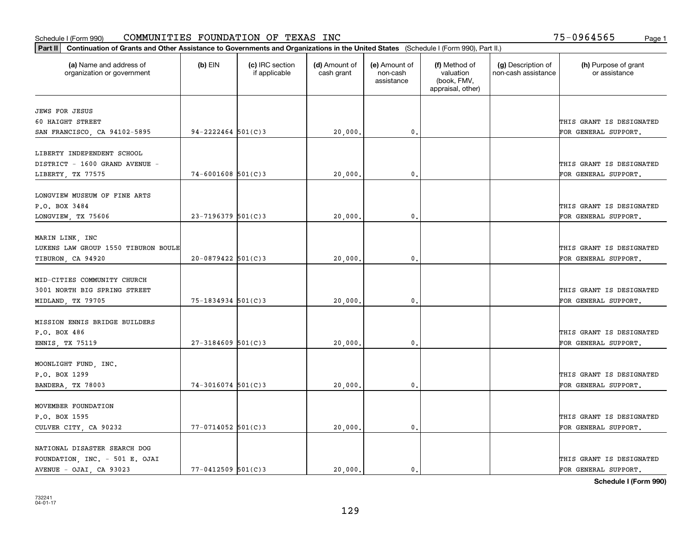| Part II   Continuation of Grants and Other Assistance to Governments and Organizations in the United States (Schedule I (Form 990), Part II.) |                          |                                  |                             |                                         |                                                                |                                           |                                       |
|-----------------------------------------------------------------------------------------------------------------------------------------------|--------------------------|----------------------------------|-----------------------------|-----------------------------------------|----------------------------------------------------------------|-------------------------------------------|---------------------------------------|
| (a) Name and address of<br>organization or government                                                                                         | $(b)$ EIN                | (c) IRC section<br>if applicable | (d) Amount of<br>cash grant | (e) Amount of<br>non-cash<br>assistance | (f) Method of<br>valuation<br>(book, FMV,<br>appraisal, other) | (g) Description of<br>non-cash assistance | (h) Purpose of grant<br>or assistance |
| <b>JEWS FOR JESUS</b>                                                                                                                         |                          |                                  |                             |                                         |                                                                |                                           |                                       |
| 60 HAIGHT STREET                                                                                                                              |                          |                                  |                             |                                         |                                                                |                                           | THIS GRANT IS DESIGNATED              |
| SAN FRANCISCO, CA 94102-5895                                                                                                                  | $94 - 2222464$ 501(C)3   |                                  | 20,000.                     | $\mathbf{0}$ .                          |                                                                |                                           | FOR GENERAL SUPPORT.                  |
|                                                                                                                                               |                          |                                  |                             |                                         |                                                                |                                           |                                       |
| LIBERTY INDEPENDENT SCHOOL                                                                                                                    |                          |                                  |                             |                                         |                                                                |                                           |                                       |
| DISTRICT - 1600 GRAND AVENUE -                                                                                                                |                          |                                  |                             |                                         |                                                                |                                           | THIS GRANT IS DESIGNATED              |
| LIBERTY, TX 77575                                                                                                                             | $74 - 6001608$ 501(C)3   |                                  | 20,000                      | 0.                                      |                                                                |                                           | FOR GENERAL SUPPORT.                  |
|                                                                                                                                               |                          |                                  |                             |                                         |                                                                |                                           |                                       |
| LONGVIEW MUSEUM OF FINE ARTS                                                                                                                  |                          |                                  |                             |                                         |                                                                |                                           |                                       |
| P.O. BOX 3484                                                                                                                                 |                          |                                  |                             |                                         |                                                                |                                           | THIS GRANT IS DESIGNATED              |
| LONGVIEW, TX 75606                                                                                                                            | $23 - 7196379$ 501(C)3   |                                  | 20,000.                     | $\mathbf{0}$ .                          |                                                                |                                           | FOR GENERAL SUPPORT.                  |
|                                                                                                                                               |                          |                                  |                             |                                         |                                                                |                                           |                                       |
| MARIN LINK, INC                                                                                                                               |                          |                                  |                             |                                         |                                                                |                                           |                                       |
| LUKENS LAW GROUP 1550 TIBURON BOULE                                                                                                           |                          |                                  |                             |                                         |                                                                |                                           | THIS GRANT IS DESIGNATED              |
| TIBURON, CA 94920                                                                                                                             | $20-0879422$ 501(C)3     |                                  | 20,000.                     | 0.                                      |                                                                |                                           | FOR GENERAL SUPPORT.                  |
| MID-CITIES COMMUNITY CHURCH                                                                                                                   |                          |                                  |                             |                                         |                                                                |                                           |                                       |
| 3001 NORTH BIG SPRING STREET                                                                                                                  |                          |                                  |                             |                                         |                                                                |                                           | THIS GRANT IS DESIGNATED              |
| MIDLAND, TX 79705                                                                                                                             | 75-1834934 501(C)3       |                                  | 20,000.                     | 0.                                      |                                                                |                                           | FOR GENERAL SUPPORT.                  |
|                                                                                                                                               |                          |                                  |                             |                                         |                                                                |                                           |                                       |
| MISSION ENNIS BRIDGE BUILDERS                                                                                                                 |                          |                                  |                             |                                         |                                                                |                                           |                                       |
| P.O. BOX 486                                                                                                                                  |                          |                                  |                             |                                         |                                                                |                                           | THIS GRANT IS DESIGNATED              |
| ENNIS, TX 75119                                                                                                                               | $27 - 3184609$ 501(C)3   |                                  | 20,000,                     | 0.                                      |                                                                |                                           | FOR GENERAL SUPPORT.                  |
|                                                                                                                                               |                          |                                  |                             |                                         |                                                                |                                           |                                       |
| MOONLIGHT FUND, INC.                                                                                                                          |                          |                                  |                             |                                         |                                                                |                                           |                                       |
| P.O. BOX 1299                                                                                                                                 |                          |                                  |                             |                                         |                                                                |                                           | THIS GRANT IS DESIGNATED              |
| BANDERA, TX 78003                                                                                                                             | $74 - 3016074$ 501(C)3   |                                  | 20,000.                     | $\mathbf{0}$ .                          |                                                                |                                           | FOR GENERAL SUPPORT.                  |
|                                                                                                                                               |                          |                                  |                             |                                         |                                                                |                                           |                                       |
| MOVEMBER FOUNDATION                                                                                                                           |                          |                                  |                             |                                         |                                                                |                                           |                                       |
| P.O. BOX 1595                                                                                                                                 |                          |                                  |                             |                                         |                                                                |                                           | THIS GRANT IS DESIGNATED              |
| CULVER CITY, CA 90232                                                                                                                         | $77 - 0714052$ $501(C)3$ |                                  | 20,000.                     | 0.                                      |                                                                |                                           | FOR GENERAL SUPPORT.                  |
| NATIONAL DISASTER SEARCH DOG                                                                                                                  |                          |                                  |                             |                                         |                                                                |                                           |                                       |
| FOUNDATION, INC. - 501 E. OJAI                                                                                                                |                          |                                  |                             |                                         |                                                                |                                           | THIS GRANT IS DESIGNATED              |
| AVENUE - OJAI, CA 93023                                                                                                                       | $77 - 0412509$ 501(C)3   |                                  | 20,000.                     | $\mathbf{0}$ .                          |                                                                |                                           | FOR GENERAL SUPPORT.                  |
|                                                                                                                                               |                          |                                  |                             |                                         |                                                                |                                           |                                       |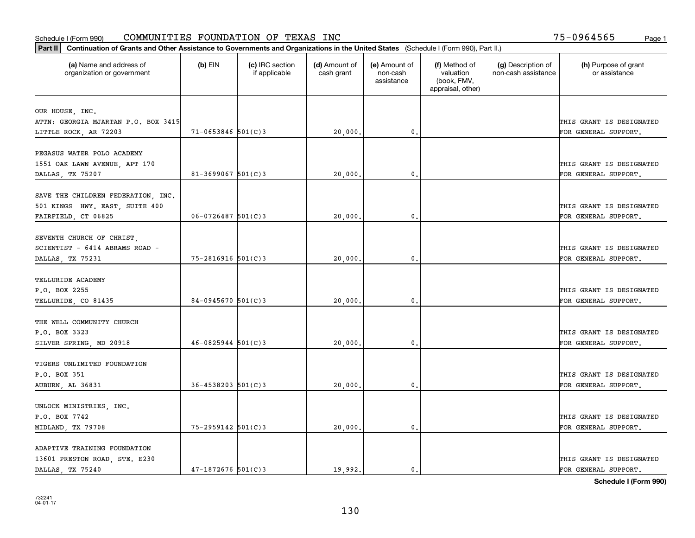| Part II   Continuation of Grants and Other Assistance to Governments and Organizations in the United States (Schedule I (Form 990), Part II.) |                          |                                  |                             |                                         |                                                                |                                           |                                       |
|-----------------------------------------------------------------------------------------------------------------------------------------------|--------------------------|----------------------------------|-----------------------------|-----------------------------------------|----------------------------------------------------------------|-------------------------------------------|---------------------------------------|
| (a) Name and address of<br>organization or government                                                                                         | $(b)$ EIN                | (c) IRC section<br>if applicable | (d) Amount of<br>cash grant | (e) Amount of<br>non-cash<br>assistance | (f) Method of<br>valuation<br>(book, FMV,<br>appraisal, other) | (g) Description of<br>non-cash assistance | (h) Purpose of grant<br>or assistance |
|                                                                                                                                               |                          |                                  |                             |                                         |                                                                |                                           |                                       |
| OUR HOUSE, INC.<br>ATTN: GEORGIA MJARTAN P.O. BOX 3415                                                                                        |                          |                                  |                             |                                         |                                                                |                                           | THIS GRANT IS DESIGNATED              |
| LITTLE ROCK, AR 72203                                                                                                                         | $71 - 0653846$ 501(C)3   |                                  | 20,000.                     | 0.                                      |                                                                |                                           | FOR GENERAL SUPPORT.                  |
|                                                                                                                                               |                          |                                  |                             |                                         |                                                                |                                           |                                       |
| PEGASUS WATER POLO ACADEMY                                                                                                                    |                          |                                  |                             |                                         |                                                                |                                           |                                       |
| 1551 OAK LAWN AVENUE, APT 170                                                                                                                 |                          |                                  |                             |                                         |                                                                |                                           | THIS GRANT IS DESIGNATED              |
| DALLAS, TX 75207                                                                                                                              | $81 - 3699067$ 501(C)3   |                                  | 20,000                      | 0.                                      |                                                                |                                           | FOR GENERAL SUPPORT.                  |
|                                                                                                                                               |                          |                                  |                             |                                         |                                                                |                                           |                                       |
| SAVE THE CHILDREN FEDERATION, INC.                                                                                                            |                          |                                  |                             |                                         |                                                                |                                           |                                       |
| 501 KINGS HWY. EAST, SUITE 400                                                                                                                |                          |                                  |                             |                                         |                                                                |                                           | THIS GRANT IS DESIGNATED              |
| FAIRFIELD, CT 06825                                                                                                                           | $06 - 0726487$ 501(C)3   |                                  | 20,000.                     | $\mathbf{0}$ .                          |                                                                |                                           | FOR GENERAL SUPPORT.                  |
|                                                                                                                                               |                          |                                  |                             |                                         |                                                                |                                           |                                       |
| SEVENTH CHURCH OF CHRIST,                                                                                                                     |                          |                                  |                             |                                         |                                                                |                                           |                                       |
| SCIENTIST - 6414 ABRAMS ROAD -                                                                                                                |                          |                                  |                             |                                         |                                                                |                                           | THIS GRANT IS DESIGNATED              |
| DALLAS, TX 75231                                                                                                                              | 75-2816916 501(C)3       |                                  | 20,000                      | $\mathbf{0}$                            |                                                                |                                           | FOR GENERAL SUPPORT.                  |
|                                                                                                                                               |                          |                                  |                             |                                         |                                                                |                                           |                                       |
| TELLURIDE ACADEMY                                                                                                                             |                          |                                  |                             |                                         |                                                                |                                           |                                       |
| P.O. BOX 2255                                                                                                                                 |                          |                                  |                             |                                         |                                                                |                                           | THIS GRANT IS DESIGNATED              |
| TELLURIDE, CO 81435                                                                                                                           | $84-0945670$ 501(C)3     |                                  | 20,000                      | $\mathbf{0}$                            |                                                                |                                           | FOR GENERAL SUPPORT.                  |
|                                                                                                                                               |                          |                                  |                             |                                         |                                                                |                                           |                                       |
| THE WELL COMMUNITY CHURCH                                                                                                                     |                          |                                  |                             |                                         |                                                                |                                           |                                       |
| P.O. BOX 3323                                                                                                                                 |                          |                                  |                             |                                         |                                                                |                                           | THIS GRANT IS DESIGNATED              |
| SILVER SPRING, MD 20918                                                                                                                       | $46 - 0825944$ 501(C)3   |                                  | 20,000.                     | $\mathbf{0}$                            |                                                                |                                           | FOR GENERAL SUPPORT.                  |
| TIGERS UNLIMITED FOUNDATION                                                                                                                   |                          |                                  |                             |                                         |                                                                |                                           |                                       |
|                                                                                                                                               |                          |                                  |                             |                                         |                                                                |                                           | THIS GRANT IS DESIGNATED              |
| P.O. BOX 351                                                                                                                                  | $36 - 4538203$ $501(C)3$ |                                  |                             |                                         |                                                                |                                           |                                       |
| AUBURN, AL 36831                                                                                                                              |                          |                                  | 20,000                      | $^{\rm 0}$ .                            |                                                                |                                           | FOR GENERAL SUPPORT.                  |
| UNLOCK MINISTRIES, INC.                                                                                                                       |                          |                                  |                             |                                         |                                                                |                                           |                                       |
| P.O. BOX 7742                                                                                                                                 |                          |                                  |                             |                                         |                                                                |                                           | THIS GRANT IS DESIGNATED              |
| MIDLAND, TX 79708                                                                                                                             | 75-2959142 501(C)3       |                                  | 20,000.                     | $\mathfrak{o}$ .                        |                                                                |                                           | FOR GENERAL SUPPORT.                  |
|                                                                                                                                               |                          |                                  |                             |                                         |                                                                |                                           |                                       |
| ADAPTIVE TRAINING FOUNDATION                                                                                                                  |                          |                                  |                             |                                         |                                                                |                                           |                                       |
| 13601 PRESTON ROAD, STE. E230                                                                                                                 |                          |                                  |                             |                                         |                                                                |                                           | THIS GRANT IS DESIGNATED              |
| DALLAS, TX 75240                                                                                                                              | $47 - 1872676$ 501(C)3   |                                  | 19.992.                     | $\mathbf{0}$ .                          |                                                                |                                           | FOR GENERAL SUPPORT.                  |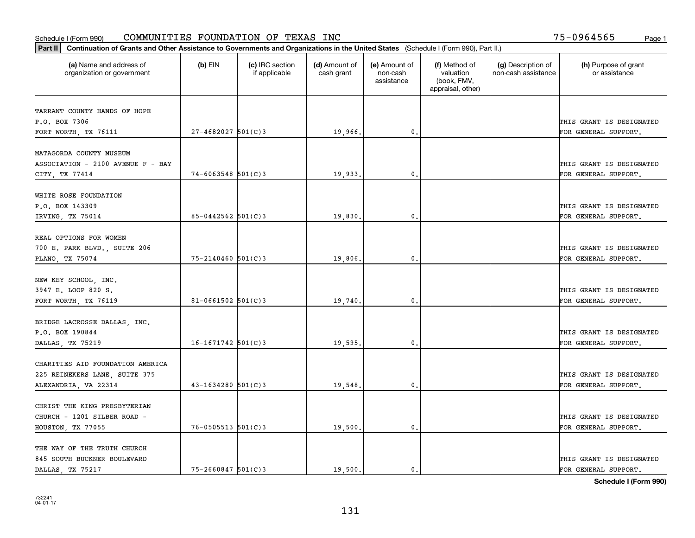| Part II   Continuation of Grants and Other Assistance to Governments and Organizations in the United States (Schedule I (Form 990), Part II.) |                        |                                  |                             |                                         |                                                                |                                           |                                                  |
|-----------------------------------------------------------------------------------------------------------------------------------------------|------------------------|----------------------------------|-----------------------------|-----------------------------------------|----------------------------------------------------------------|-------------------------------------------|--------------------------------------------------|
| (a) Name and address of<br>organization or government                                                                                         | $(b)$ EIN              | (c) IRC section<br>if applicable | (d) Amount of<br>cash grant | (e) Amount of<br>non-cash<br>assistance | (f) Method of<br>valuation<br>(book, FMV,<br>appraisal, other) | (g) Description of<br>non-cash assistance | (h) Purpose of grant<br>or assistance            |
| TARRANT COUNTY HANDS OF HOPE                                                                                                                  |                        |                                  |                             |                                         |                                                                |                                           |                                                  |
| P.O. BOX 7306                                                                                                                                 |                        |                                  |                             |                                         |                                                                |                                           | THIS GRANT IS DESIGNATED                         |
| FORT WORTH, TX 76111                                                                                                                          | $27 - 4682027$ 501(C)3 |                                  | 19,966.                     | 0.                                      |                                                                |                                           | FOR GENERAL SUPPORT.                             |
|                                                                                                                                               |                        |                                  |                             |                                         |                                                                |                                           |                                                  |
| MATAGORDA COUNTY MUSEUM                                                                                                                       |                        |                                  |                             |                                         |                                                                |                                           |                                                  |
| ASSOCIATION - 2100 AVENUE F - BAY                                                                                                             |                        |                                  |                             |                                         |                                                                |                                           | THIS GRANT IS DESIGNATED                         |
| CITY, TX 77414                                                                                                                                | $74 - 6063548$ 501(C)3 |                                  | 19,933.                     | 0.                                      |                                                                |                                           | FOR GENERAL SUPPORT.                             |
| WHITE ROSE FOUNDATION                                                                                                                         |                        |                                  |                             |                                         |                                                                |                                           |                                                  |
| P.O. BOX 143309                                                                                                                               |                        |                                  |                             |                                         |                                                                |                                           | THIS GRANT IS DESIGNATED                         |
| IRVING, TX 75014                                                                                                                              | $85 - 0442562$ 501(C)3 |                                  | 19,830.                     | $\mathbf{0}$ .                          |                                                                |                                           | FOR GENERAL SUPPORT.                             |
|                                                                                                                                               |                        |                                  |                             |                                         |                                                                |                                           |                                                  |
| REAL OPTIONS FOR WOMEN                                                                                                                        |                        |                                  |                             |                                         |                                                                |                                           |                                                  |
| 700 E. PARK BLVD., SUITE 206                                                                                                                  |                        |                                  |                             |                                         |                                                                |                                           | THIS GRANT IS DESIGNATED                         |
| PLANO, TX 75074                                                                                                                               | $75 - 2140460$ 501(C)3 |                                  | 19,806.                     | $\mathbf{0}$                            |                                                                |                                           | FOR GENERAL SUPPORT.                             |
|                                                                                                                                               |                        |                                  |                             |                                         |                                                                |                                           |                                                  |
| NEW KEY SCHOOL, INC.                                                                                                                          |                        |                                  |                             |                                         |                                                                |                                           |                                                  |
| 3947 E. LOOP 820 S.                                                                                                                           | $81 - 0661502$ 501(C)3 |                                  |                             | $\mathbf{0}$                            |                                                                |                                           | THIS GRANT IS DESIGNATED<br>FOR GENERAL SUPPORT. |
| FORT WORTH, TX 76119                                                                                                                          |                        |                                  | 19,740                      |                                         |                                                                |                                           |                                                  |
| BRIDGE LACROSSE DALLAS, INC.                                                                                                                  |                        |                                  |                             |                                         |                                                                |                                           |                                                  |
| P.O. BOX 190844                                                                                                                               |                        |                                  |                             |                                         |                                                                |                                           | THIS GRANT IS DESIGNATED                         |
| DALLAS, TX 75219                                                                                                                              | $16 - 1671742$ 501(C)3 |                                  | 19,595.                     | 0.                                      |                                                                |                                           | FOR GENERAL SUPPORT.                             |
|                                                                                                                                               |                        |                                  |                             |                                         |                                                                |                                           |                                                  |
| CHARITIES AID FOUNDATION AMERICA                                                                                                              |                        |                                  |                             |                                         |                                                                |                                           |                                                  |
| 225 REINEKERS LANE, SUITE 375                                                                                                                 |                        |                                  |                             |                                         |                                                                |                                           | THIS GRANT IS DESIGNATED                         |
| ALEXANDRIA, VA 22314                                                                                                                          | $43 - 1634280$ 501(C)3 |                                  | 19,548.                     | $^{\rm 0}$ .                            |                                                                |                                           | FOR GENERAL SUPPORT.                             |
| CHRIST THE KING PRESBYTERIAN                                                                                                                  |                        |                                  |                             |                                         |                                                                |                                           |                                                  |
| CHURCH - 1201 SILBER ROAD -                                                                                                                   |                        |                                  |                             |                                         |                                                                |                                           | THIS GRANT IS DESIGNATED                         |
| HOUSTON, TX 77055                                                                                                                             | $76 - 0505513$ 501(C)3 |                                  | 19,500.                     | $\mathfrak{o}$ .                        |                                                                |                                           | FOR GENERAL SUPPORT.                             |
|                                                                                                                                               |                        |                                  |                             |                                         |                                                                |                                           |                                                  |
| THE WAY OF THE TRUTH CHURCH                                                                                                                   |                        |                                  |                             |                                         |                                                                |                                           |                                                  |
| 845 SOUTH BUCKNER BOULEVARD                                                                                                                   |                        |                                  |                             |                                         |                                                                |                                           | THIS GRANT IS DESIGNATED                         |
| DALLAS, TX 75217                                                                                                                              | $75 - 2660847$ 501(C)3 |                                  | 19,500.                     | $\mathbf{0}$ .                          |                                                                |                                           | FOR GENERAL SUPPORT.                             |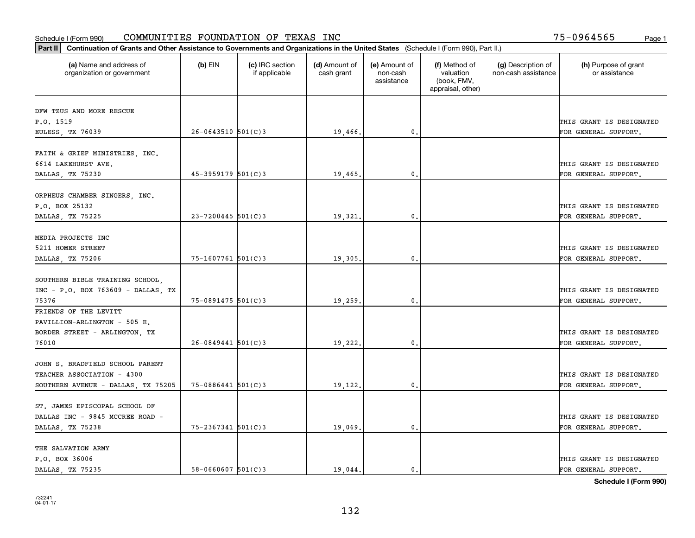| Part II   Continuation of Grants and Other Assistance to Governments and Organizations in the United States (Schedule I (Form 990), Part II.) |                        |                                  |                             |                                         |                                                                |                                           |                                       |
|-----------------------------------------------------------------------------------------------------------------------------------------------|------------------------|----------------------------------|-----------------------------|-----------------------------------------|----------------------------------------------------------------|-------------------------------------------|---------------------------------------|
| (a) Name and address of<br>organization or government                                                                                         | $(b)$ EIN              | (c) IRC section<br>if applicable | (d) Amount of<br>cash grant | (e) Amount of<br>non-cash<br>assistance | (f) Method of<br>valuation<br>(book, FMV,<br>appraisal, other) | (g) Description of<br>non-cash assistance | (h) Purpose of grant<br>or assistance |
| DFW TZUS AND MORE RESCUE                                                                                                                      |                        |                                  |                             |                                         |                                                                |                                           |                                       |
| P.O. 1519                                                                                                                                     |                        |                                  |                             |                                         |                                                                |                                           | THIS GRANT IS DESIGNATED              |
| EULESS, TX 76039                                                                                                                              | $26 - 0643510$ 501(C)3 |                                  | 19,466.                     | $\mathbf{0}$ .                          |                                                                |                                           | FOR GENERAL SUPPORT.                  |
|                                                                                                                                               |                        |                                  |                             |                                         |                                                                |                                           |                                       |
| FAITH & GRIEF MINISTRIES, INC.                                                                                                                |                        |                                  |                             |                                         |                                                                |                                           |                                       |
| 6614 LAKEHURST AVE.                                                                                                                           |                        |                                  |                             |                                         |                                                                |                                           | THIS GRANT IS DESIGNATED              |
| DALLAS, TX 75230                                                                                                                              | 45-3959179 501(C)3     |                                  | 19,465.                     | 0.                                      |                                                                |                                           | FOR GENERAL SUPPORT.                  |
|                                                                                                                                               |                        |                                  |                             |                                         |                                                                |                                           |                                       |
| ORPHEUS CHAMBER SINGERS, INC.                                                                                                                 |                        |                                  |                             |                                         |                                                                |                                           |                                       |
| P.O. BOX 25132                                                                                                                                |                        |                                  |                             |                                         |                                                                |                                           | THIS GRANT IS DESIGNATED              |
| DALLAS, TX 75225                                                                                                                              | $23 - 7200445$ 501(C)3 |                                  | 19,321.                     | $\mathbf{0}$ .                          |                                                                |                                           | FOR GENERAL SUPPORT.                  |
|                                                                                                                                               |                        |                                  |                             |                                         |                                                                |                                           |                                       |
| MEDIA PROJECTS INC                                                                                                                            |                        |                                  |                             |                                         |                                                                |                                           |                                       |
| 5211 HOMER STREET                                                                                                                             |                        |                                  |                             |                                         |                                                                |                                           | THIS GRANT IS DESIGNATED              |
| DALLAS, TX 75206                                                                                                                              | 75-1607761 501(C)3     |                                  | 19,305.                     | 0.                                      |                                                                |                                           | FOR GENERAL SUPPORT.                  |
| SOUTHERN BIBLE TRAINING SCHOOL,                                                                                                               |                        |                                  |                             |                                         |                                                                |                                           |                                       |
| INC - P.O. BOX 763609 - DALLAS, TX                                                                                                            |                        |                                  |                             |                                         |                                                                |                                           | THIS GRANT IS DESIGNATED              |
| 75376                                                                                                                                         | $75 - 0891475$ 501(C)3 |                                  | 19,259                      | 0.                                      |                                                                |                                           | FOR GENERAL SUPPORT.                  |
| FRIENDS OF THE LEVITT                                                                                                                         |                        |                                  |                             |                                         |                                                                |                                           |                                       |
| PAVILLION-ARLINGTON - 505 E.                                                                                                                  |                        |                                  |                             |                                         |                                                                |                                           |                                       |
| BORDER STREET - ARLINGTON, TX                                                                                                                 |                        |                                  |                             |                                         |                                                                |                                           | THIS GRANT IS DESIGNATED              |
| 76010                                                                                                                                         | $26 - 0849441$ 501(C)3 |                                  | 19,222.                     | $\mathbf{0}$ .                          |                                                                |                                           | FOR GENERAL SUPPORT.                  |
|                                                                                                                                               |                        |                                  |                             |                                         |                                                                |                                           |                                       |
| JOHN S. BRADFIELD SCHOOL PARENT                                                                                                               |                        |                                  |                             |                                         |                                                                |                                           |                                       |
| TEACHER ASSOCIATION - 4300                                                                                                                    |                        |                                  |                             |                                         |                                                                |                                           | THIS GRANT IS DESIGNATED              |
| SOUTHERN AVENUE - DALLAS, TX 75205                                                                                                            | $75 - 0886441$ 501(C)3 |                                  | 19,122.                     | $\mathfrak{o}$ .                        |                                                                |                                           | FOR GENERAL SUPPORT.                  |
|                                                                                                                                               |                        |                                  |                             |                                         |                                                                |                                           |                                       |
| ST. JAMES EPISCOPAL SCHOOL OF                                                                                                                 |                        |                                  |                             |                                         |                                                                |                                           |                                       |
| DALLAS INC - 9845 MCCREE ROAD -                                                                                                               |                        |                                  |                             |                                         |                                                                |                                           | THIS GRANT IS DESIGNATED              |
| DALLAS, TX 75238                                                                                                                              | 75-2367341 501(C)3     |                                  | 19,069.                     | $\mathbf{0}$ .                          |                                                                |                                           | FOR GENERAL SUPPORT.                  |
|                                                                                                                                               |                        |                                  |                             |                                         |                                                                |                                           |                                       |
| THE SALVATION ARMY                                                                                                                            |                        |                                  |                             |                                         |                                                                |                                           |                                       |
| P.O. BOX 36006                                                                                                                                |                        |                                  |                             |                                         |                                                                |                                           | THIS GRANT IS DESIGNATED              |
| DALLAS, TX 75235                                                                                                                              | $58 - 0660607$ 501(C)3 |                                  | 19,044.                     | $\mathbf{0}$ .                          |                                                                |                                           | FOR GENERAL SUPPORT.                  |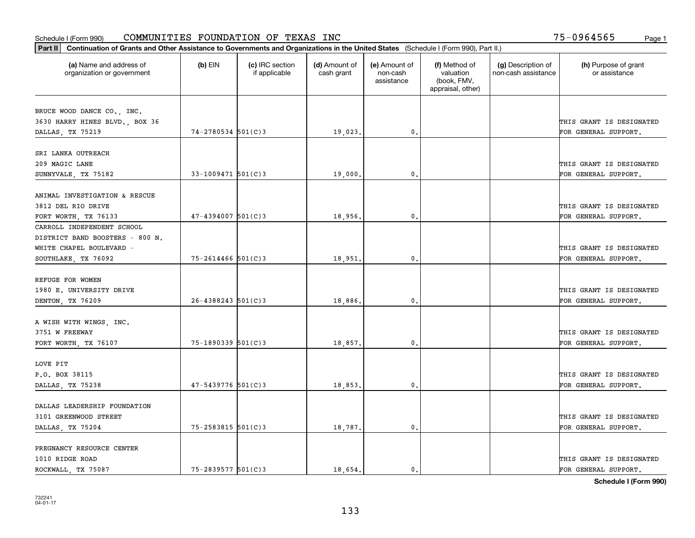| Part II   Continuation of Grants and Other Assistance to Governments and Organizations in the United States (Schedule I (Form 990), Part II.) |                          |                                  |                             |                                         |                                                                |                                           |                                       |
|-----------------------------------------------------------------------------------------------------------------------------------------------|--------------------------|----------------------------------|-----------------------------|-----------------------------------------|----------------------------------------------------------------|-------------------------------------------|---------------------------------------|
| (a) Name and address of<br>organization or government                                                                                         | $(b)$ EIN                | (c) IRC section<br>if applicable | (d) Amount of<br>cash grant | (e) Amount of<br>non-cash<br>assistance | (f) Method of<br>valuation<br>(book, FMV,<br>appraisal, other) | (g) Description of<br>non-cash assistance | (h) Purpose of grant<br>or assistance |
|                                                                                                                                               |                          |                                  |                             |                                         |                                                                |                                           |                                       |
| BRUCE WOOD DANCE CO., INC.<br>3630 HARRY HINES BLVD., BOX 36                                                                                  |                          |                                  |                             |                                         |                                                                |                                           | THIS GRANT IS DESIGNATED              |
| DALLAS, TX 75219                                                                                                                              | 74-2780534 501(C)3       |                                  | 19,023.                     | $\mathbf{0}$ .                          |                                                                |                                           | FOR GENERAL SUPPORT.                  |
|                                                                                                                                               |                          |                                  |                             |                                         |                                                                |                                           |                                       |
| SRI LANKA OUTREACH                                                                                                                            |                          |                                  |                             |                                         |                                                                |                                           |                                       |
| 209 MAGIC LANE                                                                                                                                |                          |                                  |                             |                                         |                                                                |                                           | THIS GRANT IS DESIGNATED              |
| SUNNYVALE, TX 75182                                                                                                                           | $33 - 1009471$ 501(C)3   |                                  | 19,000                      | 0.                                      |                                                                |                                           | FOR GENERAL SUPPORT.                  |
|                                                                                                                                               |                          |                                  |                             |                                         |                                                                |                                           |                                       |
| ANIMAL INVESTIGATION & RESCUE                                                                                                                 |                          |                                  |                             |                                         |                                                                |                                           |                                       |
| 3812 DEL RIO DRIVE                                                                                                                            |                          |                                  |                             |                                         |                                                                |                                           | THIS GRANT IS DESIGNATED              |
| FORT WORTH, TX 76133                                                                                                                          | $47 - 4394007$ 501(C)3   |                                  | 18,956.                     | $\mathbf{0}$ .                          |                                                                |                                           | FOR GENERAL SUPPORT.                  |
| CARROLL INDEPENDENT SCHOOL                                                                                                                    |                          |                                  |                             |                                         |                                                                |                                           |                                       |
| DISTRICT BAND BOOSTERS - 800 N.                                                                                                               |                          |                                  |                             |                                         |                                                                |                                           |                                       |
| WHITE CHAPEL BOULEVARD -                                                                                                                      |                          |                                  |                             |                                         |                                                                |                                           | THIS GRANT IS DESIGNATED              |
| SOUTHLAKE, TX 76092                                                                                                                           | $75 - 2614466$ 501(C)3   |                                  | 18,951                      | 0.                                      |                                                                |                                           | FOR GENERAL SUPPORT.                  |
|                                                                                                                                               |                          |                                  |                             |                                         |                                                                |                                           |                                       |
| REFUGE FOR WOMEN                                                                                                                              |                          |                                  |                             |                                         |                                                                |                                           |                                       |
| 1980 E. UNIVERSITY DRIVE                                                                                                                      |                          |                                  |                             |                                         |                                                                |                                           | THIS GRANT IS DESIGNATED              |
| DENTON, TX 76209                                                                                                                              | $26 - 4388243$ 501(C)3   |                                  | 18,886.                     | 0.                                      |                                                                |                                           | FOR GENERAL SUPPORT.                  |
|                                                                                                                                               |                          |                                  |                             |                                         |                                                                |                                           |                                       |
| A WISH WITH WINGS, INC.                                                                                                                       |                          |                                  |                             |                                         |                                                                |                                           |                                       |
| 3751 W FREEWAY                                                                                                                                |                          |                                  |                             |                                         |                                                                |                                           | THIS GRANT IS DESIGNATED              |
| FORT WORTH, TX 76107                                                                                                                          | $75 - 1890339$ $501(C)3$ |                                  | 18,857                      | 0.                                      |                                                                |                                           | FOR GENERAL SUPPORT.                  |
|                                                                                                                                               |                          |                                  |                             |                                         |                                                                |                                           |                                       |
| LOVE PIT                                                                                                                                      |                          |                                  |                             |                                         |                                                                |                                           |                                       |
| P.O. BOX 38115                                                                                                                                |                          |                                  |                             |                                         |                                                                |                                           | THIS GRANT IS DESIGNATED              |
| DALLAS, TX 75238                                                                                                                              | $47 - 5439776$ 501(C)3   |                                  | 18,853.                     | $\mathbf{0}$ .                          |                                                                |                                           | FOR GENERAL SUPPORT.                  |
|                                                                                                                                               |                          |                                  |                             |                                         |                                                                |                                           |                                       |
| DALLAS LEADERSHIP FOUNDATION                                                                                                                  |                          |                                  |                             |                                         |                                                                |                                           |                                       |
| 3101 GREENWOOD STREET                                                                                                                         |                          |                                  |                             |                                         |                                                                |                                           | THIS GRANT IS DESIGNATED              |
| DALLAS, TX 75204                                                                                                                              | 75-2583815 501(C)3       |                                  | 18,787.                     | 0.                                      |                                                                |                                           | FOR GENERAL SUPPORT.                  |
| PREGNANCY RESOURCE CENTER                                                                                                                     |                          |                                  |                             |                                         |                                                                |                                           |                                       |
| 1010 RIDGE ROAD                                                                                                                               |                          |                                  |                             |                                         |                                                                |                                           | THIS GRANT IS DESIGNATED              |
| ROCKWALL, TX 75087                                                                                                                            | 75-2839577 501(C)3       |                                  | 18,654.                     | 0.                                      |                                                                |                                           | FOR GENERAL SUPPORT.                  |
|                                                                                                                                               |                          |                                  |                             |                                         |                                                                |                                           |                                       |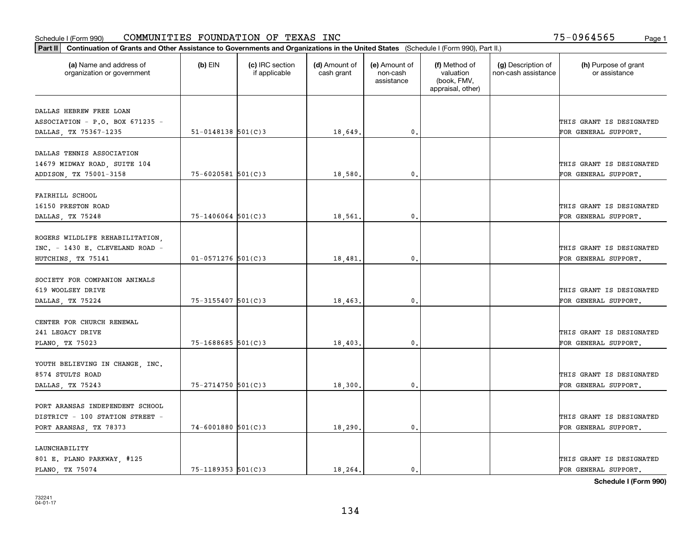| Part II   Continuation of Grants and Other Assistance to Governments and Organizations in the United States (Schedule I (Form 990), Part II.) |                          |                                  |                             |                                         |                                                                |                                           |                                       |
|-----------------------------------------------------------------------------------------------------------------------------------------------|--------------------------|----------------------------------|-----------------------------|-----------------------------------------|----------------------------------------------------------------|-------------------------------------------|---------------------------------------|
| (a) Name and address of<br>organization or government                                                                                         | $(b)$ EIN                | (c) IRC section<br>if applicable | (d) Amount of<br>cash grant | (e) Amount of<br>non-cash<br>assistance | (f) Method of<br>valuation<br>(book, FMV,<br>appraisal, other) | (g) Description of<br>non-cash assistance | (h) Purpose of grant<br>or assistance |
|                                                                                                                                               |                          |                                  |                             |                                         |                                                                |                                           |                                       |
| DALLAS HEBREW FREE LOAN<br>ASSOCIATION - P.O. BOX 671235 -                                                                                    |                          |                                  |                             |                                         |                                                                |                                           | THIS GRANT IS DESIGNATED              |
| DALLAS, TX 75367-1235                                                                                                                         | $51 - 0148138$ $501(C)3$ |                                  | 18,649.                     | $\mathfrak o$ .                         |                                                                |                                           | FOR GENERAL SUPPORT.                  |
|                                                                                                                                               |                          |                                  |                             |                                         |                                                                |                                           |                                       |
| DALLAS TENNIS ASSOCIATION                                                                                                                     |                          |                                  |                             |                                         |                                                                |                                           |                                       |
| 14679 MIDWAY ROAD, SUITE 104                                                                                                                  |                          |                                  |                             |                                         |                                                                |                                           | THIS GRANT IS DESIGNATED              |
| ADDISON, TX 75001-3158                                                                                                                        | $75 - 6020581$ 501(C)3   |                                  | 18,580                      | $^{\circ}$ .                            |                                                                |                                           | FOR GENERAL SUPPORT.                  |
|                                                                                                                                               |                          |                                  |                             |                                         |                                                                |                                           |                                       |
| FAIRHILL SCHOOL                                                                                                                               |                          |                                  |                             |                                         |                                                                |                                           |                                       |
| 16150 PRESTON ROAD                                                                                                                            |                          |                                  |                             |                                         |                                                                |                                           | THIS GRANT IS DESIGNATED              |
| DALLAS, TX 75248                                                                                                                              | $75 - 1406064$ 501(C)3   |                                  | 18,561.                     | $\mathbf{0}$ .                          |                                                                |                                           | FOR GENERAL SUPPORT.                  |
|                                                                                                                                               |                          |                                  |                             |                                         |                                                                |                                           |                                       |
| ROGERS WILDLIFE REHABILITATION,                                                                                                               |                          |                                  |                             |                                         |                                                                |                                           |                                       |
| INC. - 1430 E. CLEVELAND ROAD -                                                                                                               |                          |                                  |                             |                                         |                                                                |                                           | THIS GRANT IS DESIGNATED              |
| HUTCHINS, TX 75141                                                                                                                            | $01 - 0571276$ 501(C)3   |                                  | 18,481.                     | 0.                                      |                                                                |                                           | FOR GENERAL SUPPORT.                  |
|                                                                                                                                               |                          |                                  |                             |                                         |                                                                |                                           |                                       |
| SOCIETY FOR COMPANION ANIMALS                                                                                                                 |                          |                                  |                             |                                         |                                                                |                                           |                                       |
| 619 WOOLSEY DRIVE                                                                                                                             |                          |                                  |                             |                                         |                                                                |                                           | THIS GRANT IS DESIGNATED              |
| DALLAS, TX 75224                                                                                                                              | 75-3155407 501(C)3       |                                  | 18,463.                     | $\mathbf{0}$ .                          |                                                                |                                           | FOR GENERAL SUPPORT.                  |
|                                                                                                                                               |                          |                                  |                             |                                         |                                                                |                                           |                                       |
| CENTER FOR CHURCH RENEWAL                                                                                                                     |                          |                                  |                             |                                         |                                                                |                                           |                                       |
| 241 LEGACY DRIVE                                                                                                                              |                          |                                  |                             |                                         |                                                                |                                           | THIS GRANT IS DESIGNATED              |
| PLANO, TX 75023                                                                                                                               | $75 - 1688685$ 501(C)3   |                                  | 18,403,                     | $\mathfrak{o}$ .                        |                                                                |                                           | FOR GENERAL SUPPORT.                  |
|                                                                                                                                               |                          |                                  |                             |                                         |                                                                |                                           |                                       |
| YOUTH BELIEVING IN CHANGE, INC.                                                                                                               |                          |                                  |                             |                                         |                                                                |                                           |                                       |
| 8574 STULTS ROAD                                                                                                                              |                          |                                  |                             |                                         |                                                                |                                           | THIS GRANT IS DESIGNATED              |
| DALLAS, TX 75243                                                                                                                              | 75-2714750 501(C)3       |                                  | 18,300.                     | $\mathfrak o$ .                         |                                                                |                                           | FOR GENERAL SUPPORT.                  |
|                                                                                                                                               |                          |                                  |                             |                                         |                                                                |                                           |                                       |
| PORT ARANSAS INDEPENDENT SCHOOL                                                                                                               |                          |                                  |                             |                                         |                                                                |                                           |                                       |
| DISTRICT - 100 STATION STREET -                                                                                                               |                          |                                  |                             |                                         |                                                                |                                           | THIS GRANT IS DESIGNATED              |
| PORT ARANSAS, TX 78373                                                                                                                        | $74 - 6001880$ 501(C)3   |                                  | 18,290.                     | 0.                                      |                                                                |                                           | FOR GENERAL SUPPORT.                  |
|                                                                                                                                               |                          |                                  |                             |                                         |                                                                |                                           |                                       |
| LAUNCHABILITY                                                                                                                                 |                          |                                  |                             |                                         |                                                                |                                           |                                       |
| 801 E. PLANO PARKWAY, #125                                                                                                                    |                          |                                  |                             |                                         |                                                                |                                           | THIS GRANT IS DESIGNATED              |
| PLANO, TX 75074                                                                                                                               | $75 - 1189353$ $501(C)3$ |                                  | 18,264.                     | $\mathbf{0}$ .                          |                                                                |                                           | FOR GENERAL SUPPORT.                  |
|                                                                                                                                               |                          |                                  |                             |                                         |                                                                |                                           |                                       |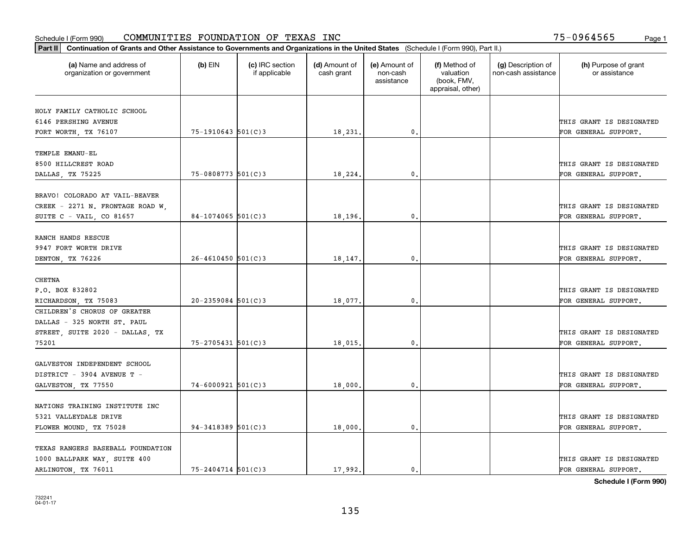| (a) Name and address of<br>organization or government        | $(b)$ EIN               | (c) IRC section<br>if applicable | (d) Amount of<br>cash grant | (e) Amount of<br>non-cash<br>assistance | (f) Method of<br>valuation<br>(book, FMV,<br>appraisal, other) | (g) Description of<br>non-cash assistance | (h) Purpose of grant<br>or assistance |
|--------------------------------------------------------------|-------------------------|----------------------------------|-----------------------------|-----------------------------------------|----------------------------------------------------------------|-------------------------------------------|---------------------------------------|
|                                                              |                         |                                  |                             |                                         |                                                                |                                           |                                       |
| HOLY FAMILY CATHOLIC SCHOOL                                  |                         |                                  |                             |                                         |                                                                |                                           |                                       |
| 6146 PERSHING AVENUE                                         |                         |                                  |                             |                                         |                                                                |                                           | THIS GRANT IS DESIGNATED              |
| FORT WORTH, TX 76107                                         | 75-1910643 501(C)3      |                                  | 18,231.                     | $\mathbf{0}$ .                          |                                                                |                                           | FOR GENERAL SUPPORT.                  |
| TEMPLE EMANU-EL                                              |                         |                                  |                             |                                         |                                                                |                                           |                                       |
| 8500 HILLCREST ROAD                                          |                         |                                  |                             |                                         |                                                                |                                           | THIS GRANT IS DESIGNATED              |
| DALLAS, TX 75225                                             | $75 - 0808773$ 501(C) 3 |                                  | 18,224                      | $\mathbf{0}$                            |                                                                |                                           | FOR GENERAL SUPPORT.                  |
| BRAVO! COLORADO AT VAIL-BEAVER                               |                         |                                  |                             |                                         |                                                                |                                           |                                       |
|                                                              |                         |                                  |                             |                                         |                                                                |                                           | THIS GRANT IS DESIGNATED              |
| CREEK - 2271 N. FRONTAGE ROAD W,<br>SUITE C - VAIL, CO 81657 | 84-1074065 $501(C)3$    |                                  | 18,196.                     | $\mathbf{0}$ .                          |                                                                |                                           | FOR GENERAL SUPPORT.                  |
|                                                              |                         |                                  |                             |                                         |                                                                |                                           |                                       |
| RANCH HANDS RESCUE                                           |                         |                                  |                             |                                         |                                                                |                                           |                                       |
| 9947 FORT WORTH DRIVE                                        |                         |                                  |                             |                                         |                                                                |                                           | THIS GRANT IS DESIGNATED              |
| DENTON, TX 76226                                             | $26 - 4610450$ 501(C)3  |                                  | 18,147                      | $\mathbf{0}$                            |                                                                |                                           | FOR GENERAL SUPPORT.                  |
|                                                              |                         |                                  |                             |                                         |                                                                |                                           |                                       |
| CHETNA                                                       |                         |                                  |                             |                                         |                                                                |                                           |                                       |
| P.O. BOX 832802                                              |                         |                                  |                             |                                         |                                                                |                                           | THIS GRANT IS DESIGNATED              |
| RICHARDSON, TX 75083                                         | $20 - 2359084$ 501(C)3  |                                  | 18,077.                     | 0.                                      |                                                                |                                           | FOR GENERAL SUPPORT.                  |
| CHILDREN'S CHORUS OF GREATER                                 |                         |                                  |                             |                                         |                                                                |                                           |                                       |
| DALLAS - 325 NORTH ST. PAUL                                  |                         |                                  |                             |                                         |                                                                |                                           |                                       |
| STREET, SUITE 2020 - DALLAS, TX                              |                         |                                  |                             |                                         |                                                                |                                           | THIS GRANT IS DESIGNATED              |
| 75201                                                        | 75-2705431 501(C)3      |                                  | 18,015                      | $\mathbf{0}$                            |                                                                |                                           | FOR GENERAL SUPPORT.                  |
| GALVESTON INDEPENDENT SCHOOL                                 |                         |                                  |                             |                                         |                                                                |                                           |                                       |
| DISTRICT - 3904 AVENUE T -                                   |                         |                                  |                             |                                         |                                                                |                                           | THIS GRANT IS DESIGNATED              |
| GALVESTON, TX 77550                                          | $74 - 6000921$ 501(C)3  |                                  | 18,000                      | $\mathbf{0}$ .                          |                                                                |                                           | FOR GENERAL SUPPORT.                  |
|                                                              |                         |                                  |                             |                                         |                                                                |                                           |                                       |
| NATIONS TRAINING INSTITUTE INC                               |                         |                                  |                             |                                         |                                                                |                                           |                                       |
| 5321 VALLEYDALE DRIVE                                        |                         |                                  |                             |                                         |                                                                |                                           | THIS GRANT IS DESIGNATED              |
| FLOWER MOUND, TX 75028                                       | $94 - 3418389$ 501(C)3  |                                  | 18,000                      | $\mathbf{0}$                            |                                                                |                                           | FOR GENERAL SUPPORT.                  |
|                                                              |                         |                                  |                             |                                         |                                                                |                                           |                                       |
| TEXAS RANGERS BASEBALL FOUNDATION                            |                         |                                  |                             |                                         |                                                                |                                           |                                       |
| 1000 BALLPARK WAY, SUITE 400                                 |                         |                                  |                             |                                         |                                                                |                                           | THIS GRANT IS DESIGNATED              |
| ARLINGTON, TX 76011                                          | 75-2404714 501(C)3      |                                  | 17,992.                     | 0.                                      |                                                                |                                           | FOR GENERAL SUPPORT.                  |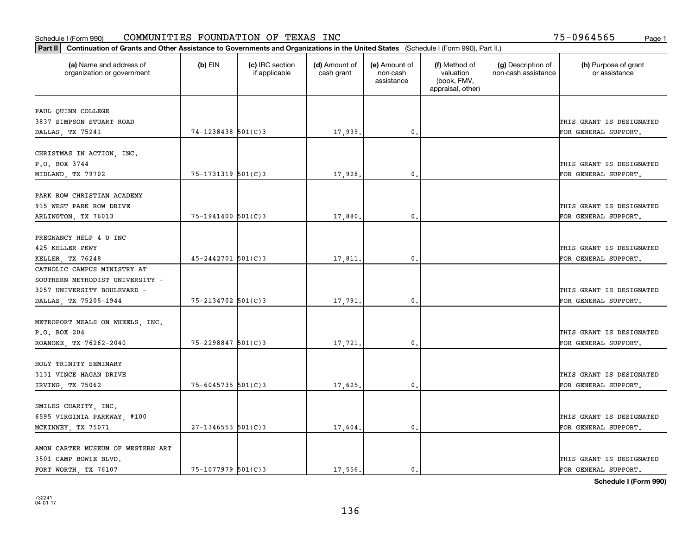|                                                       |                          |                                  |                             |                                         |                                                                | Part II   Continuation of Grants and Other Assistance to Governments and Organizations in the United States (Schedule I (Form 990), Part II.) |                                       |  |  |  |  |  |  |  |  |  |
|-------------------------------------------------------|--------------------------|----------------------------------|-----------------------------|-----------------------------------------|----------------------------------------------------------------|-----------------------------------------------------------------------------------------------------------------------------------------------|---------------------------------------|--|--|--|--|--|--|--|--|--|
| (a) Name and address of<br>organization or government | $(b)$ EIN                | (c) IRC section<br>if applicable | (d) Amount of<br>cash grant | (e) Amount of<br>non-cash<br>assistance | (f) Method of<br>valuation<br>(book, FMV,<br>appraisal, other) | (g) Description of<br>non-cash assistance                                                                                                     | (h) Purpose of grant<br>or assistance |  |  |  |  |  |  |  |  |  |
| PAUL QUINN COLLEGE                                    |                          |                                  |                             |                                         |                                                                |                                                                                                                                               |                                       |  |  |  |  |  |  |  |  |  |
| 3837 SIMPSON STUART ROAD                              |                          |                                  |                             |                                         |                                                                |                                                                                                                                               | THIS GRANT IS DESIGNATED              |  |  |  |  |  |  |  |  |  |
| DALLAS, TX 75241                                      | $74 - 1238438$ 501(C)3   |                                  | 17,939.                     | 0.                                      |                                                                |                                                                                                                                               | FOR GENERAL SUPPORT.                  |  |  |  |  |  |  |  |  |  |
|                                                       |                          |                                  |                             |                                         |                                                                |                                                                                                                                               |                                       |  |  |  |  |  |  |  |  |  |
| CHRISTMAS IN ACTION, INC.                             |                          |                                  |                             |                                         |                                                                |                                                                                                                                               |                                       |  |  |  |  |  |  |  |  |  |
| P.O. BOX 3744                                         |                          |                                  |                             |                                         |                                                                |                                                                                                                                               | THIS GRANT IS DESIGNATED              |  |  |  |  |  |  |  |  |  |
| MIDLAND, TX 79702                                     | $75 - 1731319$ $501(C)3$ |                                  | 17,928.                     | 0.                                      |                                                                |                                                                                                                                               | FOR GENERAL SUPPORT.                  |  |  |  |  |  |  |  |  |  |
|                                                       |                          |                                  |                             |                                         |                                                                |                                                                                                                                               |                                       |  |  |  |  |  |  |  |  |  |
| PARK ROW CHRISTIAN ACADEMY                            |                          |                                  |                             |                                         |                                                                |                                                                                                                                               |                                       |  |  |  |  |  |  |  |  |  |
| 915 WEST PARK ROW DRIVE                               |                          |                                  |                             |                                         |                                                                |                                                                                                                                               | THIS GRANT IS DESIGNATED              |  |  |  |  |  |  |  |  |  |
| ARLINGTON, TX 76013                                   | $75 - 1941400$ 501(C)3   |                                  | 17,880.                     | $\mathbf{0}$ .                          |                                                                |                                                                                                                                               | FOR GENERAL SUPPORT.                  |  |  |  |  |  |  |  |  |  |
| PREGNANCY HELP 4 U INC                                |                          |                                  |                             |                                         |                                                                |                                                                                                                                               |                                       |  |  |  |  |  |  |  |  |  |
| 425 KELLER PKWY                                       |                          |                                  |                             |                                         |                                                                |                                                                                                                                               | THIS GRANT IS DESIGNATED              |  |  |  |  |  |  |  |  |  |
| KELLER, TX 76248                                      | $45 - 2442701$ 501(C)3   |                                  | 17,811.                     | $\mathbf{0}$                            |                                                                |                                                                                                                                               | FOR GENERAL SUPPORT.                  |  |  |  |  |  |  |  |  |  |
| CATHOLIC CAMPUS MINISTRY AT                           |                          |                                  |                             |                                         |                                                                |                                                                                                                                               |                                       |  |  |  |  |  |  |  |  |  |
| SOUTHERN METHODIST UNIVERSITY -                       |                          |                                  |                             |                                         |                                                                |                                                                                                                                               |                                       |  |  |  |  |  |  |  |  |  |
| 3057 UNIVERSITY BOULEVARD -                           |                          |                                  |                             |                                         |                                                                |                                                                                                                                               | THIS GRANT IS DESIGNATED              |  |  |  |  |  |  |  |  |  |
| DALLAS, TX 75205-1944                                 | 75-2134702 501(C)3       |                                  | 17,791                      | $\mathbf{0}$                            |                                                                |                                                                                                                                               | FOR GENERAL SUPPORT.                  |  |  |  |  |  |  |  |  |  |
|                                                       |                          |                                  |                             |                                         |                                                                |                                                                                                                                               |                                       |  |  |  |  |  |  |  |  |  |
| METROPORT MEALS ON WHEELS, INC.                       |                          |                                  |                             |                                         |                                                                |                                                                                                                                               |                                       |  |  |  |  |  |  |  |  |  |
| P.O. BOX 204                                          |                          |                                  |                             |                                         |                                                                |                                                                                                                                               | THIS GRANT IS DESIGNATED              |  |  |  |  |  |  |  |  |  |
| ROANOKE, TX 76262-2040                                | $75 - 2298847$ 501(C)3   |                                  | 17,721.                     | 0.                                      |                                                                |                                                                                                                                               | FOR GENERAL SUPPORT.                  |  |  |  |  |  |  |  |  |  |
|                                                       |                          |                                  |                             |                                         |                                                                |                                                                                                                                               |                                       |  |  |  |  |  |  |  |  |  |
| HOLY TRINITY SEMINARY<br>3131 VINCE HAGAN DRIVE       |                          |                                  |                             |                                         |                                                                |                                                                                                                                               | THIS GRANT IS DESIGNATED              |  |  |  |  |  |  |  |  |  |
|                                                       | $75 - 6045735$ 501(C)3   |                                  |                             |                                         |                                                                |                                                                                                                                               |                                       |  |  |  |  |  |  |  |  |  |
| IRVING, TX 75062                                      |                          |                                  | 17,625.                     | $^{\rm 0}$ .                            |                                                                |                                                                                                                                               | FOR GENERAL SUPPORT.                  |  |  |  |  |  |  |  |  |  |
| SMILES CHARITY, INC.                                  |                          |                                  |                             |                                         |                                                                |                                                                                                                                               |                                       |  |  |  |  |  |  |  |  |  |
| 6595 VIRGINIA PARKWAY, #100                           |                          |                                  |                             |                                         |                                                                |                                                                                                                                               | THIS GRANT IS DESIGNATED              |  |  |  |  |  |  |  |  |  |
| MCKINNEY, TX 75071                                    | $27 - 1346553$ 501(C)3   |                                  | 17,604.                     | $\mathfrak{o}$ .                        |                                                                |                                                                                                                                               | FOR GENERAL SUPPORT.                  |  |  |  |  |  |  |  |  |  |
|                                                       |                          |                                  |                             |                                         |                                                                |                                                                                                                                               |                                       |  |  |  |  |  |  |  |  |  |
| AMON CARTER MUSEUM OF WESTERN ART                     |                          |                                  |                             |                                         |                                                                |                                                                                                                                               |                                       |  |  |  |  |  |  |  |  |  |
| 3501 CAMP BOWIE BLVD.                                 |                          |                                  |                             |                                         |                                                                |                                                                                                                                               | THIS GRANT IS DESIGNATED              |  |  |  |  |  |  |  |  |  |
| FORT WORTH, TX 76107                                  | 75-1077979 501(C)3       |                                  | 17.556.                     | $\mathbf{0}$ .                          |                                                                |                                                                                                                                               | FOR GENERAL SUPPORT.                  |  |  |  |  |  |  |  |  |  |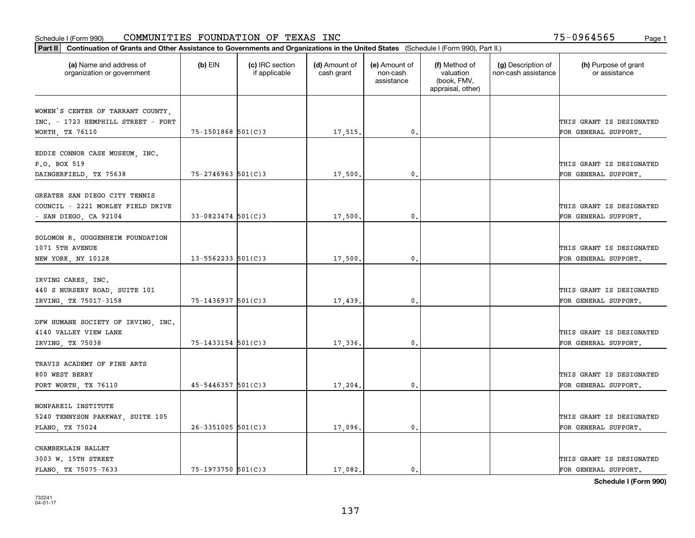| Part II   Continuation of Grants and Other Assistance to Governments and Organizations in the United States (Schedule I (Form 990), Part II.) |                          |                                  |                             |                                         |                                                                |                                           |                                       |
|-----------------------------------------------------------------------------------------------------------------------------------------------|--------------------------|----------------------------------|-----------------------------|-----------------------------------------|----------------------------------------------------------------|-------------------------------------------|---------------------------------------|
| (a) Name and address of<br>organization or government                                                                                         | $(b)$ EIN                | (c) IRC section<br>if applicable | (d) Amount of<br>cash grant | (e) Amount of<br>non-cash<br>assistance | (f) Method of<br>valuation<br>(book, FMV,<br>appraisal, other) | (g) Description of<br>non-cash assistance | (h) Purpose of grant<br>or assistance |
|                                                                                                                                               |                          |                                  |                             |                                         |                                                                |                                           |                                       |
| WOMEN'S CENTER OF TARRANT COUNTY,<br>INC. - 1723 HEMPHILL STREET - FORT                                                                       |                          |                                  |                             |                                         |                                                                |                                           | THIS GRANT IS DESIGNATED              |
| WORTH, TX 76110                                                                                                                               | 75-1501868 501(C)3       |                                  | 17,515.                     | 0.                                      |                                                                |                                           | FOR GENERAL SUPPORT.                  |
|                                                                                                                                               |                          |                                  |                             |                                         |                                                                |                                           |                                       |
| EDDIE CONNOR CASE MUSEUM, INC.                                                                                                                |                          |                                  |                             |                                         |                                                                |                                           |                                       |
| P.O. BOX 519                                                                                                                                  |                          |                                  |                             |                                         |                                                                |                                           | THIS GRANT IS DESIGNATED              |
| DAINGERFIELD, TX 75638                                                                                                                        | $75 - 2746963$ 501(C)3   |                                  | 17,500                      | 0.                                      |                                                                |                                           | FOR GENERAL SUPPORT.                  |
|                                                                                                                                               |                          |                                  |                             |                                         |                                                                |                                           |                                       |
| GREATER SAN DIEGO CITY TENNIS                                                                                                                 |                          |                                  |                             |                                         |                                                                |                                           |                                       |
| COUNCIL - 2221 MORLEY FIELD DRIVE                                                                                                             |                          |                                  |                             |                                         |                                                                |                                           | THIS GRANT IS DESIGNATED              |
| - SAN DIEGO, CA 92104                                                                                                                         | $33 - 0823474$ 501(C)3   |                                  | 17,500.                     | $\mathbf{0}$ .                          |                                                                |                                           | FOR GENERAL SUPPORT.                  |
|                                                                                                                                               |                          |                                  |                             |                                         |                                                                |                                           |                                       |
| SOLOMON R. GUGGENHEIM FOUNDATION                                                                                                              |                          |                                  |                             |                                         |                                                                |                                           |                                       |
| 1071 5TH AVENUE                                                                                                                               |                          |                                  |                             |                                         |                                                                |                                           | THIS GRANT IS DESIGNATED              |
| NEW YORK, NY 10128                                                                                                                            | $13 - 5562233$ $501(C)3$ |                                  | 17,500                      | 0.                                      |                                                                |                                           | FOR GENERAL SUPPORT.                  |
|                                                                                                                                               |                          |                                  |                             |                                         |                                                                |                                           |                                       |
| IRVING CARES, INC.                                                                                                                            |                          |                                  |                             |                                         |                                                                |                                           |                                       |
| 440 S NURSERY ROAD, SUITE 101                                                                                                                 |                          |                                  |                             |                                         |                                                                |                                           | THIS GRANT IS DESIGNATED              |
| IRVING TX 75017-3158                                                                                                                          | 75-1436937 501(C)3       |                                  | 17,439                      | 0.                                      |                                                                |                                           | FOR GENERAL SUPPORT.                  |
|                                                                                                                                               |                          |                                  |                             |                                         |                                                                |                                           |                                       |
| DFW HUMANE SOCIETY OF IRVING, INC.                                                                                                            |                          |                                  |                             |                                         |                                                                |                                           |                                       |
| 4140 VALLEY VIEW LANE                                                                                                                         |                          |                                  |                             |                                         |                                                                |                                           | THIS GRANT IS DESIGNATED              |
| IRVING, TX 75038                                                                                                                              | $75 - 1433154$ 501(C)3   |                                  | 17,336.                     | 0.                                      |                                                                |                                           | FOR GENERAL SUPPORT.                  |
| TRAVIS ACADEMY OF FINE ARTS                                                                                                                   |                          |                                  |                             |                                         |                                                                |                                           |                                       |
| 800 WEST BERRY                                                                                                                                |                          |                                  |                             |                                         |                                                                |                                           | THIS GRANT IS DESIGNATED              |
|                                                                                                                                               | $45 - 5446357$ 501(C)3   |                                  |                             | $\mathbf{0}$ .                          |                                                                |                                           | FOR GENERAL SUPPORT.                  |
| FORT WORTH, TX 76110                                                                                                                          |                          |                                  | 17,204.                     |                                         |                                                                |                                           |                                       |
| NONPAREIL INSTITUTE                                                                                                                           |                          |                                  |                             |                                         |                                                                |                                           |                                       |
| 5240 TENNYSON PARKWAY, SUITE 105                                                                                                              |                          |                                  |                             |                                         |                                                                |                                           | THIS GRANT IS DESIGNATED              |
| PLANO, TX 75024                                                                                                                               | $26 - 3351005$ 501(C)3   |                                  | 17,096.                     | 0.                                      |                                                                |                                           | FOR GENERAL SUPPORT.                  |
|                                                                                                                                               |                          |                                  |                             |                                         |                                                                |                                           |                                       |
| CHAMBERLAIN BALLET                                                                                                                            |                          |                                  |                             |                                         |                                                                |                                           |                                       |
| 3003 W. 15TH STREET                                                                                                                           |                          |                                  |                             |                                         |                                                                |                                           | THIS GRANT IS DESIGNATED              |
| PLANO, TX 75075-7633                                                                                                                          | $75 - 1973750$ 501(C)3   |                                  | 17,082.                     | 0.                                      |                                                                |                                           | FOR GENERAL SUPPORT.                  |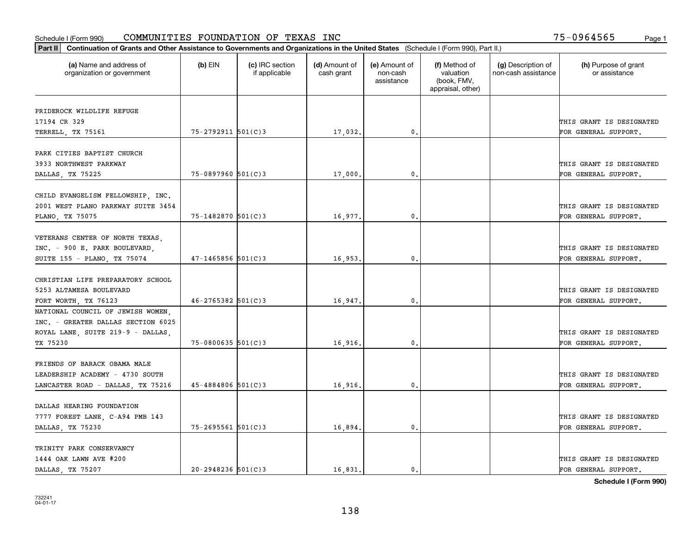| Part II   Continuation of Grants and Other Assistance to Governments and Organizations in the United States (Schedule I (Form 990), Part II.) |                        |                                  |                             |                                         |                                                                |                                           |                                       |
|-----------------------------------------------------------------------------------------------------------------------------------------------|------------------------|----------------------------------|-----------------------------|-----------------------------------------|----------------------------------------------------------------|-------------------------------------------|---------------------------------------|
| (a) Name and address of<br>organization or government                                                                                         | $(b)$ EIN              | (c) IRC section<br>if applicable | (d) Amount of<br>cash grant | (e) Amount of<br>non-cash<br>assistance | (f) Method of<br>valuation<br>(book, FMV,<br>appraisal, other) | (g) Description of<br>non-cash assistance | (h) Purpose of grant<br>or assistance |
| PRIDEROCK WILDLIFE REFUGE                                                                                                                     |                        |                                  |                             |                                         |                                                                |                                           |                                       |
| 17194 CR 329                                                                                                                                  |                        |                                  |                             |                                         |                                                                |                                           | THIS GRANT IS DESIGNATED              |
| TERRELL, TX 75161                                                                                                                             | 75-2792911 501(C)3     |                                  | 17,032.                     | 0.                                      |                                                                |                                           | FOR GENERAL SUPPORT.                  |
|                                                                                                                                               |                        |                                  |                             |                                         |                                                                |                                           |                                       |
| PARK CITIES BAPTIST CHURCH                                                                                                                    |                        |                                  |                             |                                         |                                                                |                                           |                                       |
| 3933 NORTHWEST PARKWAY                                                                                                                        |                        |                                  |                             |                                         |                                                                |                                           | THIS GRANT IS DESIGNATED              |
| DALLAS, TX 75225                                                                                                                              | $75 - 0897960$ 501(C)3 |                                  | 17,000                      | 0.                                      |                                                                |                                           | FOR GENERAL SUPPORT.                  |
|                                                                                                                                               |                        |                                  |                             |                                         |                                                                |                                           |                                       |
| CHILD EVANGELISM FELLOWSHIP, INC.                                                                                                             |                        |                                  |                             |                                         |                                                                |                                           |                                       |
| 2001 WEST PLANO PARKWAY SUITE 3454                                                                                                            |                        |                                  |                             |                                         |                                                                |                                           | THIS GRANT IS DESIGNATED              |
| PLANO, TX 75075                                                                                                                               | $75 - 1482870$ 501(C)3 |                                  | 16,977.                     | $\mathbf{0}$ .                          |                                                                |                                           | FOR GENERAL SUPPORT.                  |
|                                                                                                                                               |                        |                                  |                             |                                         |                                                                |                                           |                                       |
| VETERANS CENTER OF NORTH TEXAS,                                                                                                               |                        |                                  |                             |                                         |                                                                |                                           | THIS GRANT IS DESIGNATED              |
| INC. - 900 E. PARK BOULEVARD,<br>SUITE 155 - PLANO, TX 75074                                                                                  | $47 - 1465856$ 501(C)3 |                                  | 16,953.                     | $\mathbf{0}$ .                          |                                                                |                                           | FOR GENERAL SUPPORT.                  |
|                                                                                                                                               |                        |                                  |                             |                                         |                                                                |                                           |                                       |
| CHRISTIAN LIFE PREPARATORY SCHOOL                                                                                                             |                        |                                  |                             |                                         |                                                                |                                           |                                       |
| 5253 ALTAMESA BOULEVARD                                                                                                                       |                        |                                  |                             |                                         |                                                                |                                           | THIS GRANT IS DESIGNATED              |
| FORT WORTH, TX 76123                                                                                                                          | $46 - 2765382$ 501(C)3 |                                  | 16,947.                     | $\mathbf{0}$                            |                                                                |                                           | FOR GENERAL SUPPORT.                  |
| NATIONAL COUNCIL OF JEWISH WOMEN,                                                                                                             |                        |                                  |                             |                                         |                                                                |                                           |                                       |
| INC. - GREATER DALLAS SECTION 6025                                                                                                            |                        |                                  |                             |                                         |                                                                |                                           |                                       |
| ROYAL LANE, SUITE 219-9 - DALLAS,                                                                                                             |                        |                                  |                             |                                         |                                                                |                                           | THIS GRANT IS DESIGNATED              |
| TX 75230                                                                                                                                      | $75 - 0800635$ 501(C)3 |                                  | 16,916.                     | $\mathbf{0}$                            |                                                                |                                           | FOR GENERAL SUPPORT.                  |
|                                                                                                                                               |                        |                                  |                             |                                         |                                                                |                                           |                                       |
| FRIENDS OF BARACK OBAMA MALE                                                                                                                  |                        |                                  |                             |                                         |                                                                |                                           |                                       |
| LEADERSHIP ACADEMY - 4730 SOUTH                                                                                                               |                        |                                  |                             |                                         |                                                                |                                           | THIS GRANT IS DESIGNATED              |
| LANCASTER ROAD - DALLAS, TX 75216                                                                                                             | $45 - 4884806$ 501(C)3 |                                  | 16,916.                     | $^{\rm 0}$ .                            |                                                                |                                           | FOR GENERAL SUPPORT.                  |
|                                                                                                                                               |                        |                                  |                             |                                         |                                                                |                                           |                                       |
| DALLAS HEARING FOUNDATION                                                                                                                     |                        |                                  |                             |                                         |                                                                |                                           |                                       |
| 7777 FOREST LANE, C-A94 PMB 143                                                                                                               |                        |                                  |                             |                                         |                                                                |                                           | THIS GRANT IS DESIGNATED              |
| DALLAS, TX 75230                                                                                                                              | $75 - 2695561$ 501(C)3 |                                  | 16,894.                     | $^{\circ}$ .                            |                                                                |                                           | FOR GENERAL SUPPORT.                  |
|                                                                                                                                               |                        |                                  |                             |                                         |                                                                |                                           |                                       |
| TRINITY PARK CONSERVANCY<br>1444 OAK LAWN AVE #200                                                                                            |                        |                                  |                             |                                         |                                                                |                                           | THIS GRANT IS DESIGNATED              |
| DALLAS, TX 75207                                                                                                                              | $20 - 2948236$ 501(C)3 |                                  | 16.831.                     | $\mathbf{0}$ .                          |                                                                |                                           | FOR GENERAL SUPPORT.                  |
|                                                                                                                                               |                        |                                  |                             |                                         |                                                                |                                           |                                       |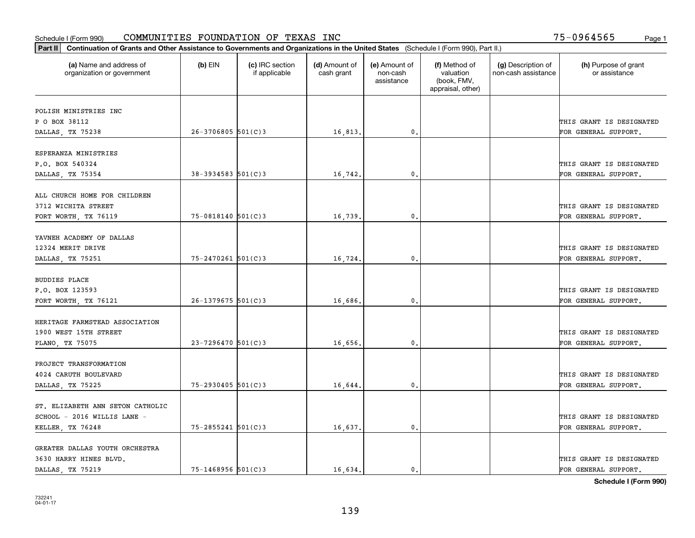| Part II   Continuation of Grants and Other Assistance to Governments and Organizations in the United States (Schedule I (Form 990), Part II.) |                          |                                  |                             |                                         |                                                                |                                           |                                       |
|-----------------------------------------------------------------------------------------------------------------------------------------------|--------------------------|----------------------------------|-----------------------------|-----------------------------------------|----------------------------------------------------------------|-------------------------------------------|---------------------------------------|
| (a) Name and address of<br>organization or government                                                                                         | $(b)$ EIN                | (c) IRC section<br>if applicable | (d) Amount of<br>cash grant | (e) Amount of<br>non-cash<br>assistance | (f) Method of<br>valuation<br>(book, FMV,<br>appraisal, other) | (g) Description of<br>non-cash assistance | (h) Purpose of grant<br>or assistance |
|                                                                                                                                               |                          |                                  |                             |                                         |                                                                |                                           |                                       |
| POLISH MINISTRIES INC<br>P O BOX 38112                                                                                                        |                          |                                  |                             |                                         |                                                                |                                           | THIS GRANT IS DESIGNATED              |
| DALLAS, TX 75238                                                                                                                              | $26 - 3706805$ 501(C)3   |                                  | 16,813.                     | 0.                                      |                                                                |                                           | FOR GENERAL SUPPORT.                  |
|                                                                                                                                               |                          |                                  |                             |                                         |                                                                |                                           |                                       |
| ESPERANZA MINISTRIES                                                                                                                          |                          |                                  |                             |                                         |                                                                |                                           |                                       |
| P.O. BOX 540324                                                                                                                               |                          |                                  |                             |                                         |                                                                |                                           | THIS GRANT IS DESIGNATED              |
| DALLAS, TX 75354                                                                                                                              | $38 - 3934583$ $501(C)3$ |                                  | 16,742.                     | 0.                                      |                                                                |                                           | FOR GENERAL SUPPORT.                  |
|                                                                                                                                               |                          |                                  |                             |                                         |                                                                |                                           |                                       |
| ALL CHURCH HOME FOR CHILDREN                                                                                                                  |                          |                                  |                             |                                         |                                                                |                                           |                                       |
| 3712 WICHITA STREET                                                                                                                           |                          |                                  |                             |                                         |                                                                |                                           | THIS GRANT IS DESIGNATED              |
| FORT WORTH, TX 76119                                                                                                                          | $75 - 0818140$ 501(C)3   |                                  | 16,739                      | 0.                                      |                                                                |                                           | FOR GENERAL SUPPORT.                  |
|                                                                                                                                               |                          |                                  |                             |                                         |                                                                |                                           |                                       |
| YAVNEH ACADEMY OF DALLAS                                                                                                                      |                          |                                  |                             |                                         |                                                                |                                           |                                       |
| 12324 MERIT DRIVE                                                                                                                             |                          |                                  |                             |                                         |                                                                |                                           | THIS GRANT IS DESIGNATED              |
| DALLAS, TX 75251                                                                                                                              | 75-2470261 501(C)3       |                                  | 16,724.                     | 0.                                      |                                                                |                                           | FOR GENERAL SUPPORT.                  |
|                                                                                                                                               |                          |                                  |                             |                                         |                                                                |                                           |                                       |
| <b>BUDDIES PLACE</b>                                                                                                                          |                          |                                  |                             |                                         |                                                                |                                           |                                       |
| P.O. BOX 123593                                                                                                                               |                          |                                  |                             |                                         |                                                                |                                           | THIS GRANT IS DESIGNATED              |
| FORT WORTH, TX 76121                                                                                                                          | $26 - 1379675$ 501(C)3   |                                  | 16,686.                     | 0.                                      |                                                                |                                           | FOR GENERAL SUPPORT.                  |
|                                                                                                                                               |                          |                                  |                             |                                         |                                                                |                                           |                                       |
| HERITAGE FARMSTEAD ASSOCIATION                                                                                                                |                          |                                  |                             |                                         |                                                                |                                           |                                       |
| 1900 WEST 15TH STREET                                                                                                                         |                          |                                  |                             |                                         |                                                                |                                           | THIS GRANT IS DESIGNATED              |
| PLANO, TX 75075                                                                                                                               | 23-7296470 501(C)3       |                                  | 16,656.                     | 0.                                      |                                                                |                                           | FOR GENERAL SUPPORT.                  |
|                                                                                                                                               |                          |                                  |                             |                                         |                                                                |                                           |                                       |
| PROJECT TRANSFORMATION                                                                                                                        |                          |                                  |                             |                                         |                                                                |                                           |                                       |
| 4024 CARUTH BOULEVARD                                                                                                                         |                          |                                  |                             |                                         |                                                                |                                           | THIS GRANT IS DESIGNATED              |
| DALLAS, TX 75225                                                                                                                              | $75 - 2930405$ 501(C)3   |                                  | 16,644                      | $\mathbf{0}$ .                          |                                                                |                                           | FOR GENERAL SUPPORT.                  |
|                                                                                                                                               |                          |                                  |                             |                                         |                                                                |                                           |                                       |
| ST. ELIZABETH ANN SETON CATHOLIC                                                                                                              |                          |                                  |                             |                                         |                                                                |                                           |                                       |
| SCHOOL - 2016 WILLIS LANE -                                                                                                                   |                          |                                  |                             |                                         |                                                                |                                           | THIS GRANT IS DESIGNATED              |
| KELLER, TX 76248                                                                                                                              | $75 - 2855241$ 501(C)3   |                                  | 16,637.                     | $\mathbf{0}$ .                          |                                                                |                                           | FOR GENERAL SUPPORT.                  |
|                                                                                                                                               |                          |                                  |                             |                                         |                                                                |                                           |                                       |
| GREATER DALLAS YOUTH ORCHESTRA                                                                                                                |                          |                                  |                             |                                         |                                                                |                                           |                                       |
| 3630 HARRY HINES BLVD.                                                                                                                        |                          |                                  |                             |                                         |                                                                |                                           | THIS GRANT IS DESIGNATED              |
| DALLAS, TX 75219                                                                                                                              | $75 - 1468956$ 501(C)3   |                                  | 16,634.                     | 0.                                      |                                                                |                                           | FOR GENERAL SUPPORT.                  |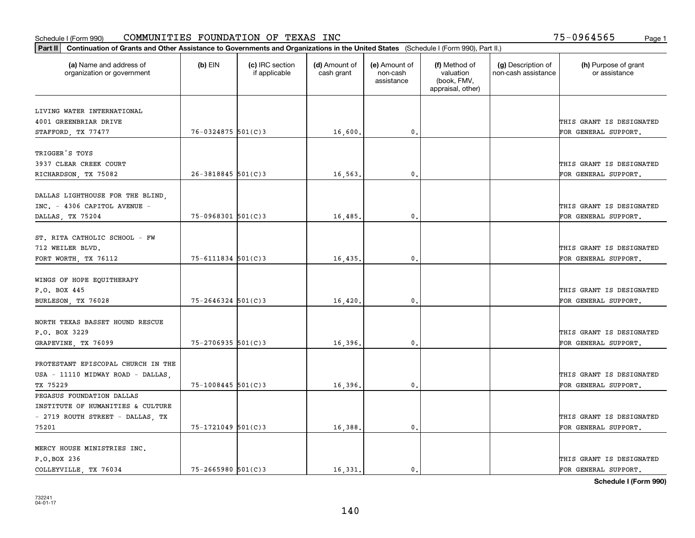| Part II   Continuation of Grants and Other Assistance to Governments and Organizations in the United States (Schedule I (Form 990), Part II.) |                        |                                  |                             |                                         |                                                                |                                           |                                       |
|-----------------------------------------------------------------------------------------------------------------------------------------------|------------------------|----------------------------------|-----------------------------|-----------------------------------------|----------------------------------------------------------------|-------------------------------------------|---------------------------------------|
| (a) Name and address of<br>organization or government                                                                                         | $(b)$ EIN              | (c) IRC section<br>if applicable | (d) Amount of<br>cash grant | (e) Amount of<br>non-cash<br>assistance | (f) Method of<br>valuation<br>(book, FMV,<br>appraisal, other) | (g) Description of<br>non-cash assistance | (h) Purpose of grant<br>or assistance |
| LIVING WATER INTERNATIONAL                                                                                                                    |                        |                                  |                             |                                         |                                                                |                                           |                                       |
| 4001 GREENBRIAR DRIVE                                                                                                                         |                        |                                  |                             |                                         |                                                                |                                           | THIS GRANT IS DESIGNATED              |
| STAFFORD, TX 77477                                                                                                                            | $76 - 0324875$ 501(C)3 |                                  | 16,600.                     | 0.                                      |                                                                |                                           | FOR GENERAL SUPPORT.                  |
|                                                                                                                                               |                        |                                  |                             |                                         |                                                                |                                           |                                       |
| TRIGGER'S TOYS                                                                                                                                |                        |                                  |                             |                                         |                                                                |                                           |                                       |
| 3937 CLEAR CREEK COURT                                                                                                                        |                        |                                  |                             |                                         |                                                                |                                           | THIS GRANT IS DESIGNATED              |
| RICHARDSON, TX 75082                                                                                                                          | $26 - 3818845$ 501(C)3 |                                  | 16,563.                     | 0.                                      |                                                                |                                           | FOR GENERAL SUPPORT.                  |
|                                                                                                                                               |                        |                                  |                             |                                         |                                                                |                                           |                                       |
| DALLAS LIGHTHOUSE FOR THE BLIND,                                                                                                              |                        |                                  |                             |                                         |                                                                |                                           |                                       |
| INC. - 4306 CAPITOL AVENUE -                                                                                                                  |                        |                                  |                             |                                         |                                                                |                                           | THIS GRANT IS DESIGNATED              |
| DALLAS, TX 75204                                                                                                                              | $75-0968301$ 501(C)3   |                                  | 16,485.                     | $\mathbf{0}$ .                          |                                                                |                                           | FOR GENERAL SUPPORT.                  |
|                                                                                                                                               |                        |                                  |                             |                                         |                                                                |                                           |                                       |
| ST. RITA CATHOLIC SCHOOL - FW                                                                                                                 |                        |                                  |                             |                                         |                                                                |                                           |                                       |
| 712 WEILER BLVD.                                                                                                                              |                        |                                  |                             |                                         |                                                                |                                           | THIS GRANT IS DESIGNATED              |
| FORT WORTH, TX 76112                                                                                                                          | 75-6111834 501(C)3     |                                  | 16,435.                     | $\mathbf{0}$                            |                                                                |                                           | FOR GENERAL SUPPORT.                  |
|                                                                                                                                               |                        |                                  |                             |                                         |                                                                |                                           |                                       |
| WINGS OF HOPE EQUITHERAPY                                                                                                                     |                        |                                  |                             |                                         |                                                                |                                           |                                       |
| P.O. BOX 445                                                                                                                                  |                        |                                  |                             |                                         |                                                                |                                           | THIS GRANT IS DESIGNATED              |
| BURLESON, TX 76028                                                                                                                            | $75 - 2646324$ 501(C)3 |                                  | 16,420                      | $\mathbf{0}$                            |                                                                |                                           | FOR GENERAL SUPPORT.                  |
| NORTH TEXAS BASSET HOUND RESCUE                                                                                                               |                        |                                  |                             |                                         |                                                                |                                           |                                       |
| P.O. BOX 3229                                                                                                                                 |                        |                                  |                             |                                         |                                                                |                                           | THIS GRANT IS DESIGNATED              |
| GRAPEVINE, TX 76099                                                                                                                           | $75 - 2706935$ 501(C)3 |                                  | 16,396.                     | 0.                                      |                                                                |                                           | FOR GENERAL SUPPORT.                  |
|                                                                                                                                               |                        |                                  |                             |                                         |                                                                |                                           |                                       |
| PROTESTANT EPISCOPAL CHURCH IN THE                                                                                                            |                        |                                  |                             |                                         |                                                                |                                           |                                       |
| USA - 11110 MIDWAY ROAD - DALLAS,                                                                                                             |                        |                                  |                             |                                         |                                                                |                                           | THIS GRANT IS DESIGNATED              |
| TX 75229                                                                                                                                      | $75 - 1008445$ 501(C)3 |                                  | 16,396.                     | $^{\rm 0}$ .                            |                                                                |                                           | FOR GENERAL SUPPORT.                  |
| PEGASUS FOUNDATION DALLAS                                                                                                                     |                        |                                  |                             |                                         |                                                                |                                           |                                       |
| INSTITUTE OF HUMANITIES & CULTURE                                                                                                             |                        |                                  |                             |                                         |                                                                |                                           |                                       |
| - 2719 ROUTH STREET - DALLAS, TX                                                                                                              |                        |                                  |                             |                                         |                                                                |                                           | THIS GRANT IS DESIGNATED              |
| 75201                                                                                                                                         | 75-1721049 501(C)3     |                                  | 16,388.                     | $\mathfrak{o}$ .                        |                                                                |                                           | FOR GENERAL SUPPORT.                  |
|                                                                                                                                               |                        |                                  |                             |                                         |                                                                |                                           |                                       |
| MERCY HOUSE MINISTRIES INC.                                                                                                                   |                        |                                  |                             |                                         |                                                                |                                           |                                       |
| P.O.BOX 236                                                                                                                                   |                        |                                  |                             |                                         |                                                                |                                           | THIS GRANT IS DESIGNATED              |
| COLLEYVILLE, TX 76034                                                                                                                         | $75 - 2665980$ 501(C)3 |                                  | 16.331.                     | $\mathbf{0}$ .                          |                                                                |                                           | FOR GENERAL SUPPORT.                  |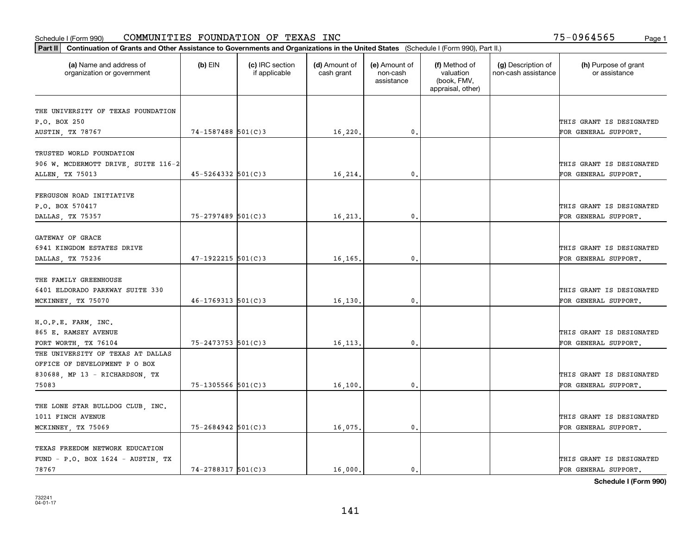| Part II   Continuation of Grants and Other Assistance to Governments and Organizations in the United States (Schedule I (Form 990), Part II.) |                          |                                  |                             |                                         |                                                                |                                           |                                       |
|-----------------------------------------------------------------------------------------------------------------------------------------------|--------------------------|----------------------------------|-----------------------------|-----------------------------------------|----------------------------------------------------------------|-------------------------------------------|---------------------------------------|
| (a) Name and address of<br>organization or government                                                                                         | $(b)$ EIN                | (c) IRC section<br>if applicable | (d) Amount of<br>cash grant | (e) Amount of<br>non-cash<br>assistance | (f) Method of<br>valuation<br>(book, FMV,<br>appraisal, other) | (g) Description of<br>non-cash assistance | (h) Purpose of grant<br>or assistance |
|                                                                                                                                               |                          |                                  |                             |                                         |                                                                |                                           |                                       |
| THE UNIVERSITY OF TEXAS FOUNDATION<br>P.O. BOX 250                                                                                            |                          |                                  |                             |                                         |                                                                |                                           | THIS GRANT IS DESIGNATED              |
| AUSTIN, TX 78767                                                                                                                              | 74-1587488 501(C)3       |                                  | 16,220.                     | 0.                                      |                                                                |                                           | FOR GENERAL SUPPORT.                  |
|                                                                                                                                               |                          |                                  |                             |                                         |                                                                |                                           |                                       |
| TRUSTED WORLD FOUNDATION                                                                                                                      |                          |                                  |                             |                                         |                                                                |                                           |                                       |
| 906 W. MCDERMOTT DRIVE, SUITE 116-2                                                                                                           |                          |                                  |                             |                                         |                                                                |                                           | THIS GRANT IS DESIGNATED              |
| ALLEN, TX 75013                                                                                                                               | $45 - 5264332$ $501(C)3$ |                                  | 16,214.                     | 0.                                      |                                                                |                                           | FOR GENERAL SUPPORT.                  |
|                                                                                                                                               |                          |                                  |                             |                                         |                                                                |                                           |                                       |
| FERGUSON ROAD INITIATIVE                                                                                                                      |                          |                                  |                             |                                         |                                                                |                                           |                                       |
| P.O. BOX 570417                                                                                                                               |                          |                                  |                             |                                         |                                                                |                                           | THIS GRANT IS DESIGNATED              |
| DALLAS, TX 75357                                                                                                                              | $75 - 2797489$ 501(C)3   |                                  | 16,213.                     | $\mathbf{0}$ .                          |                                                                |                                           | FOR GENERAL SUPPORT.                  |
|                                                                                                                                               |                          |                                  |                             |                                         |                                                                |                                           |                                       |
| GATEWAY OF GRACE                                                                                                                              |                          |                                  |                             |                                         |                                                                |                                           |                                       |
| 6941 KINGDOM ESTATES DRIVE                                                                                                                    |                          |                                  |                             |                                         |                                                                |                                           | THIS GRANT IS DESIGNATED              |
| DALLAS, TX 75236                                                                                                                              | $47 - 1922215$ 501(C)3   |                                  | 16,165.                     | $\mathbf{0}$                            |                                                                |                                           | FOR GENERAL SUPPORT.                  |
|                                                                                                                                               |                          |                                  |                             |                                         |                                                                |                                           |                                       |
| THE FAMILY GREENHOUSE                                                                                                                         |                          |                                  |                             |                                         |                                                                |                                           |                                       |
| 6401 ELDORADO PARKWAY SUITE 330                                                                                                               |                          |                                  |                             |                                         |                                                                |                                           | THIS GRANT IS DESIGNATED              |
| MCKINNEY, TX 75070                                                                                                                            | $46 - 1769313$ 501(C)3   |                                  | 16,130                      | $\mathbf{0}$                            |                                                                |                                           | FOR GENERAL SUPPORT.                  |
| H.O.P.E. FARM, INC.                                                                                                                           |                          |                                  |                             |                                         |                                                                |                                           |                                       |
| 865 E. RAMSEY AVENUE                                                                                                                          |                          |                                  |                             |                                         |                                                                |                                           | THIS GRANT IS DESIGNATED              |
| FORT WORTH, TX 76104                                                                                                                          | 75-2473753 501(C)3       |                                  | 16, 113.                    | 0.                                      |                                                                |                                           | FOR GENERAL SUPPORT.                  |
| THE UNIVERSITY OF TEXAS AT DALLAS                                                                                                             |                          |                                  |                             |                                         |                                                                |                                           |                                       |
| OFFICE OF DEVELOPMENT P O BOX                                                                                                                 |                          |                                  |                             |                                         |                                                                |                                           |                                       |
| 830688, MP 13 - RICHARDSON, TX                                                                                                                |                          |                                  |                             |                                         |                                                                |                                           | THIS GRANT IS DESIGNATED              |
| 75083                                                                                                                                         | 75-1305566 501(C)3       |                                  | 16, 100.                    | $^{\rm 0}$ .                            |                                                                |                                           | FOR GENERAL SUPPORT.                  |
|                                                                                                                                               |                          |                                  |                             |                                         |                                                                |                                           |                                       |
| THE LONE STAR BULLDOG CLUB, INC.                                                                                                              |                          |                                  |                             |                                         |                                                                |                                           |                                       |
| 1011 FINCH AVENUE                                                                                                                             |                          |                                  |                             |                                         |                                                                |                                           | THIS GRANT IS DESIGNATED              |
| MCKINNEY, TX 75069                                                                                                                            | $75 - 2684942$ 501(C)3   |                                  | 16,075.                     | $\mathfrak{o}$ .                        |                                                                |                                           | FOR GENERAL SUPPORT.                  |
|                                                                                                                                               |                          |                                  |                             |                                         |                                                                |                                           |                                       |
| TEXAS FREEDOM NETWORK EDUCATION                                                                                                               |                          |                                  |                             |                                         |                                                                |                                           |                                       |
| $FUND - P.O. BOX 1624 - AUSTIN, TX$                                                                                                           |                          |                                  |                             |                                         |                                                                |                                           | THIS GRANT IS DESIGNATED              |
| 78767                                                                                                                                         | 74-2788317 501(C)3       |                                  | 16,000.                     | $\mathbf{0}$ .                          |                                                                |                                           | FOR GENERAL SUPPORT.                  |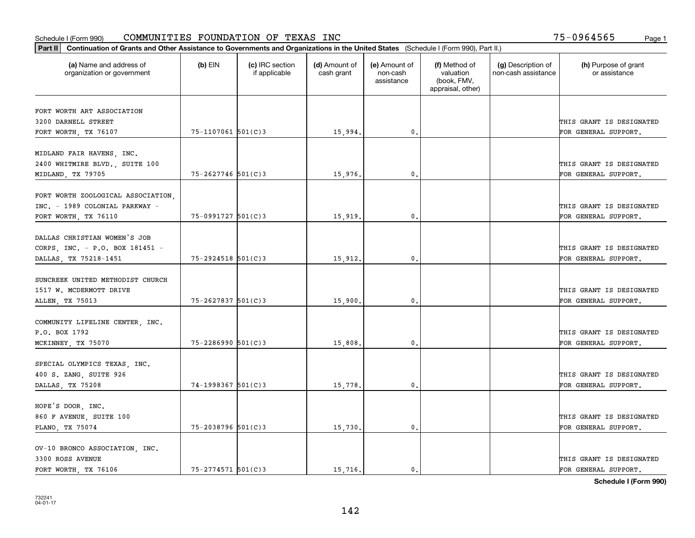| Part II   Continuation of Grants and Other Assistance to Governments and Organizations in the United States (Schedule I (Form 990), Part II.) |                        |                                  |                             |                                         |                                                                |                                           |                                       |
|-----------------------------------------------------------------------------------------------------------------------------------------------|------------------------|----------------------------------|-----------------------------|-----------------------------------------|----------------------------------------------------------------|-------------------------------------------|---------------------------------------|
| (a) Name and address of<br>organization or government                                                                                         | $(b)$ EIN              | (c) IRC section<br>if applicable | (d) Amount of<br>cash grant | (e) Amount of<br>non-cash<br>assistance | (f) Method of<br>valuation<br>(book, FMV,<br>appraisal, other) | (g) Description of<br>non-cash assistance | (h) Purpose of grant<br>or assistance |
|                                                                                                                                               |                        |                                  |                             |                                         |                                                                |                                           |                                       |
| FORT WORTH ART ASSOCIATION<br>3200 DARNELL STREET                                                                                             |                        |                                  |                             |                                         |                                                                |                                           | THIS GRANT IS DESIGNATED              |
| FORT WORTH, TX 76107                                                                                                                          | 75-1107061 501(C)3     |                                  | 15,994.                     | 0.                                      |                                                                |                                           | FOR GENERAL SUPPORT.                  |
|                                                                                                                                               |                        |                                  |                             |                                         |                                                                |                                           |                                       |
| MIDLAND FAIR HAVENS, INC.                                                                                                                     |                        |                                  |                             |                                         |                                                                |                                           |                                       |
| 2400 WHITMIRE BLVD., SUITE 100                                                                                                                |                        |                                  |                             |                                         |                                                                |                                           | THIS GRANT IS DESIGNATED              |
| MIDLAND, TX 79705                                                                                                                             | $75 - 2627746$ 501(C)3 |                                  | 15,976.                     | 0.                                      |                                                                |                                           | FOR GENERAL SUPPORT.                  |
|                                                                                                                                               |                        |                                  |                             |                                         |                                                                |                                           |                                       |
| FORT WORTH ZOOLOGICAL ASSOCIATION                                                                                                             |                        |                                  |                             |                                         |                                                                |                                           |                                       |
| INC. - 1989 COLONIAL PARKWAY -                                                                                                                | $75-0991727$ 501(C)3   |                                  |                             | $\mathbf{0}$ .                          |                                                                |                                           | THIS GRANT IS DESIGNATED              |
| FORT WORTH, TX 76110                                                                                                                          |                        |                                  | 15,919.                     |                                         |                                                                |                                           | FOR GENERAL SUPPORT.                  |
| DALLAS CHRISTIAN WOMEN'S JOB                                                                                                                  |                        |                                  |                             |                                         |                                                                |                                           |                                       |
| CORPS, INC. - P.O. BOX 181451 -                                                                                                               |                        |                                  |                             |                                         |                                                                |                                           | THIS GRANT IS DESIGNATED              |
| DALLAS, TX 75218-1451                                                                                                                         | 75-2924518 501(C)3     |                                  | 15,912.                     | $\mathbf{0}$                            |                                                                |                                           | FOR GENERAL SUPPORT.                  |
|                                                                                                                                               |                        |                                  |                             |                                         |                                                                |                                           |                                       |
| SUNCREEK UNITED METHODIST CHURCH                                                                                                              |                        |                                  |                             |                                         |                                                                |                                           |                                       |
| 1517 W. MCDERMOTT DRIVE                                                                                                                       |                        |                                  |                             |                                         |                                                                |                                           | THIS GRANT IS DESIGNATED              |
| ALLEN, TX 75013                                                                                                                               | 75-2627837 501(C)3     |                                  | 15,900                      | $\mathbf{0}$                            |                                                                |                                           | FOR GENERAL SUPPORT.                  |
|                                                                                                                                               |                        |                                  |                             |                                         |                                                                |                                           |                                       |
| COMMUNITY LIFELINE CENTER, INC.                                                                                                               |                        |                                  |                             |                                         |                                                                |                                           | THIS GRANT IS DESIGNATED              |
| P.O. BOX 1792<br>MCKINNEY, TX 75070                                                                                                           | $75 - 2286990$ 501(C)3 |                                  | 15,808.                     | 0.                                      |                                                                |                                           | FOR GENERAL SUPPORT.                  |
|                                                                                                                                               |                        |                                  |                             |                                         |                                                                |                                           |                                       |
| SPECIAL OLYMPICS TEXAS, INC.                                                                                                                  |                        |                                  |                             |                                         |                                                                |                                           |                                       |
| 400 S. ZANG, SUITE 926                                                                                                                        |                        |                                  |                             |                                         |                                                                |                                           | THIS GRANT IS DESIGNATED              |
| DALLAS, TX 75208                                                                                                                              | 74-1998367 501(C)3     |                                  | 15,778.                     | $^{\rm 0}$ .                            |                                                                |                                           | FOR GENERAL SUPPORT.                  |
|                                                                                                                                               |                        |                                  |                             |                                         |                                                                |                                           |                                       |
| HOPE'S DOOR, INC.                                                                                                                             |                        |                                  |                             |                                         |                                                                |                                           |                                       |
| 860 F AVENUE, SUITE 100                                                                                                                       |                        |                                  |                             |                                         |                                                                |                                           | THIS GRANT IS DESIGNATED              |
| PLANO, TX 75074                                                                                                                               | 75-2038796 501(C)3     |                                  | 15,730.                     | $\mathfrak{o}$ .                        |                                                                |                                           | FOR GENERAL SUPPORT.                  |
|                                                                                                                                               |                        |                                  |                             |                                         |                                                                |                                           |                                       |
| OV-10 BRONCO ASSOCIATION, INC.<br>3300 ROSS AVENUE                                                                                            |                        |                                  |                             |                                         |                                                                |                                           | THIS GRANT IS DESIGNATED              |
| FORT WORTH, TX 76106                                                                                                                          | $75 - 2774571$ 501(C)3 |                                  | 15,716.                     | $\mathbf{0}$ .                          |                                                                |                                           | FOR GENERAL SUPPORT.                  |
|                                                                                                                                               |                        |                                  |                             |                                         |                                                                |                                           |                                       |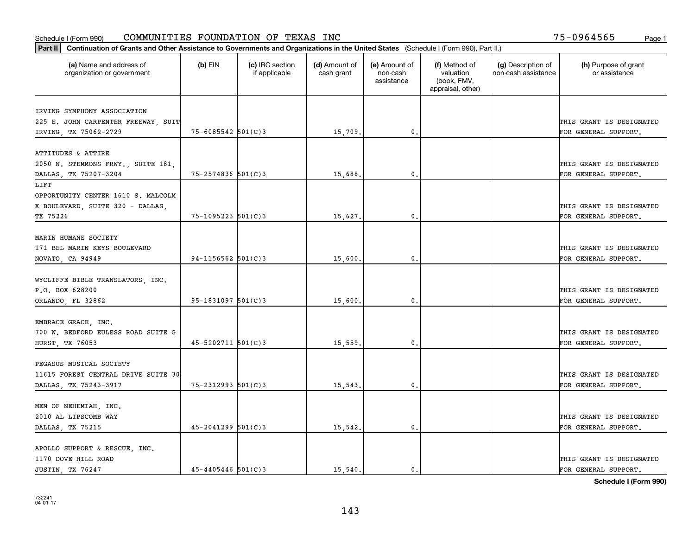| Part II   Continuation of Grants and Other Assistance to Governments and Organizations in the United States (Schedule I (Form 990), Part II.) |                          |                                  |                             |                                         |                                                                |                                           |                                       |
|-----------------------------------------------------------------------------------------------------------------------------------------------|--------------------------|----------------------------------|-----------------------------|-----------------------------------------|----------------------------------------------------------------|-------------------------------------------|---------------------------------------|
| (a) Name and address of<br>organization or government                                                                                         | $(b)$ EIN                | (c) IRC section<br>if applicable | (d) Amount of<br>cash grant | (e) Amount of<br>non-cash<br>assistance | (f) Method of<br>valuation<br>(book, FMV,<br>appraisal, other) | (g) Description of<br>non-cash assistance | (h) Purpose of grant<br>or assistance |
| IRVING SYMPHONY ASSOCIATION                                                                                                                   |                          |                                  |                             |                                         |                                                                |                                           |                                       |
| 225 E. JOHN CARPENTER FREEWAY, SUIT                                                                                                           |                          |                                  |                             |                                         |                                                                |                                           | THIS GRANT IS DESIGNATED              |
| IRVING, TX 75062-2729                                                                                                                         | $75 - 6085542$ 501(C)3   |                                  | 15,709.                     | $\mathfrak{o}$ .                        |                                                                |                                           | FOR GENERAL SUPPORT.                  |
|                                                                                                                                               |                          |                                  |                             |                                         |                                                                |                                           |                                       |
| ATTITUDES & ATTIRE                                                                                                                            |                          |                                  |                             |                                         |                                                                |                                           |                                       |
| 2050 N. STEMMONS FRWY., SUITE 181,                                                                                                            |                          |                                  |                             |                                         |                                                                |                                           | THIS GRANT IS DESIGNATED              |
| DALLAS, TX 75207-3204                                                                                                                         | $75 - 2574836$ 501(C)3   |                                  | 15,688.                     | 0.                                      |                                                                |                                           | FOR GENERAL SUPPORT.                  |
| LIFT                                                                                                                                          |                          |                                  |                             |                                         |                                                                |                                           |                                       |
| OPPORTUNITY CENTER 1610 S. MALCOLM                                                                                                            |                          |                                  |                             |                                         |                                                                |                                           |                                       |
| X BOULEVARD, SUITE 320 - DALLAS,                                                                                                              |                          |                                  |                             |                                         |                                                                |                                           | THIS GRANT IS DESIGNATED              |
| TX 75226                                                                                                                                      | 75-1095223 501(C)3       |                                  | 15,627.                     | 0.                                      |                                                                |                                           | FOR GENERAL SUPPORT.                  |
|                                                                                                                                               |                          |                                  |                             |                                         |                                                                |                                           |                                       |
| MARIN HUMANE SOCIETY                                                                                                                          |                          |                                  |                             |                                         |                                                                |                                           |                                       |
| 171 BEL MARIN KEYS BOULEVARD                                                                                                                  |                          |                                  |                             |                                         |                                                                |                                           | THIS GRANT IS DESIGNATED              |
| NOVATO, CA 94949                                                                                                                              | $94-1156562$ 501(C)3     |                                  | 15,600                      | 0.                                      |                                                                |                                           | FOR GENERAL SUPPORT.                  |
|                                                                                                                                               |                          |                                  |                             |                                         |                                                                |                                           |                                       |
| WYCLIFFE BIBLE TRANSLATORS, INC.                                                                                                              |                          |                                  |                             |                                         |                                                                |                                           |                                       |
| P.O. BOX 628200                                                                                                                               |                          |                                  |                             |                                         |                                                                |                                           | THIS GRANT IS DESIGNATED              |
| ORLANDO, FL 32862                                                                                                                             | $95 - 1831097$ 501(C)3   |                                  | 15,600.                     | $\mathbf{0}$                            |                                                                |                                           | FOR GENERAL SUPPORT.                  |
|                                                                                                                                               |                          |                                  |                             |                                         |                                                                |                                           |                                       |
| EMBRACE GRACE, INC.                                                                                                                           |                          |                                  |                             |                                         |                                                                |                                           |                                       |
| 700 W. BEDFORD EULESS ROAD SUITE G                                                                                                            |                          |                                  |                             |                                         |                                                                |                                           | THIS GRANT IS DESIGNATED              |
| <b>HURST, TX 76053</b>                                                                                                                        | $45 - 5202711$ $501(C)3$ |                                  | 15,559                      | 0.                                      |                                                                |                                           | FOR GENERAL SUPPORT.                  |
| PEGASUS MUSICAL SOCIETY                                                                                                                       |                          |                                  |                             |                                         |                                                                |                                           |                                       |
| 11615 FOREST CENTRAL DRIVE SUITE 30                                                                                                           |                          |                                  |                             |                                         |                                                                |                                           | THIS GRANT IS DESIGNATED              |
| DALLAS, TX 75243-3917                                                                                                                         | $75 - 2312993$ 501(C)3   |                                  |                             | 0.                                      |                                                                |                                           | FOR GENERAL SUPPORT.                  |
|                                                                                                                                               |                          |                                  | 15,543.                     |                                         |                                                                |                                           |                                       |
| MEN OF NEHEMIAH, INC.                                                                                                                         |                          |                                  |                             |                                         |                                                                |                                           |                                       |
| 2010 AL LIPSCOMB WAY                                                                                                                          |                          |                                  |                             |                                         |                                                                |                                           | THIS GRANT IS DESIGNATED              |
| DALLAS, TX 75215                                                                                                                              | $45 - 2041299$ 501(C)3   |                                  | 15,542.                     | 0.                                      |                                                                |                                           | FOR GENERAL SUPPORT.                  |
|                                                                                                                                               |                          |                                  |                             |                                         |                                                                |                                           |                                       |
| APOLLO SUPPORT & RESCUE, INC.                                                                                                                 |                          |                                  |                             |                                         |                                                                |                                           |                                       |
| 1170 DOVE HILL ROAD                                                                                                                           |                          |                                  |                             |                                         |                                                                |                                           | THIS GRANT IS DESIGNATED              |
| JUSTIN, TX 76247                                                                                                                              | $45 - 4405446$ 501(C)3   |                                  | 15,540.                     | $\mathbf{0}$ .                          |                                                                |                                           | FOR GENERAL SUPPORT.                  |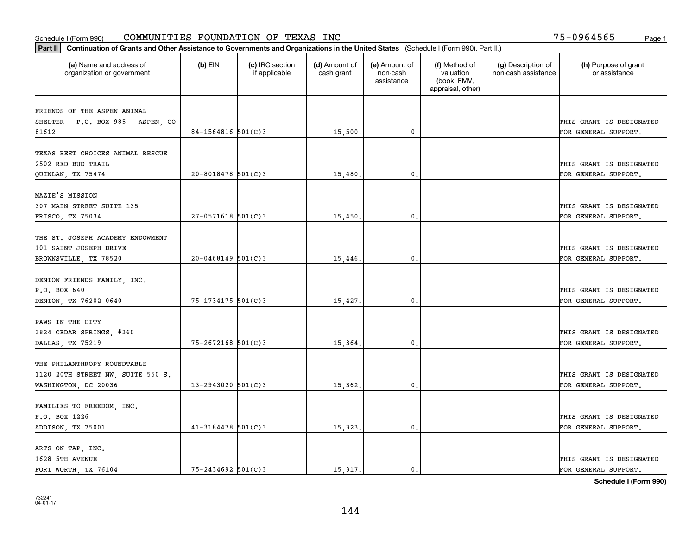| Part II   Continuation of Grants and Other Assistance to Governments and Organizations in the United States (Schedule I (Form 990), Part II.) |                        |                                  |                             |                                         |                                                                |                                           |                                       |
|-----------------------------------------------------------------------------------------------------------------------------------------------|------------------------|----------------------------------|-----------------------------|-----------------------------------------|----------------------------------------------------------------|-------------------------------------------|---------------------------------------|
| (a) Name and address of<br>organization or government                                                                                         | $(b)$ EIN              | (c) IRC section<br>if applicable | (d) Amount of<br>cash grant | (e) Amount of<br>non-cash<br>assistance | (f) Method of<br>valuation<br>(book, FMV,<br>appraisal, other) | (g) Description of<br>non-cash assistance | (h) Purpose of grant<br>or assistance |
|                                                                                                                                               |                        |                                  |                             |                                         |                                                                |                                           |                                       |
| FRIENDS OF THE ASPEN ANIMAL<br>SHELTER - P.O. BOX 985 - ASPEN, CO                                                                             |                        |                                  |                             |                                         |                                                                |                                           | THIS GRANT IS DESIGNATED              |
| 81612                                                                                                                                         | 84-1564816 $501(C)3$   |                                  | 15,500.                     | 0.                                      |                                                                |                                           | FOR GENERAL SUPPORT.                  |
|                                                                                                                                               |                        |                                  |                             |                                         |                                                                |                                           |                                       |
| TEXAS BEST CHOICES ANIMAL RESCUE                                                                                                              |                        |                                  |                             |                                         |                                                                |                                           |                                       |
| 2502 RED BUD TRAIL                                                                                                                            |                        |                                  |                             |                                         |                                                                |                                           | THIS GRANT IS DESIGNATED              |
| QUINLAN, TX 75474                                                                                                                             | $20 - 8018478$ 501(C)3 |                                  | 15,480                      | 0.                                      |                                                                |                                           | FOR GENERAL SUPPORT.                  |
|                                                                                                                                               |                        |                                  |                             |                                         |                                                                |                                           |                                       |
| MAZIE'S MISSION                                                                                                                               |                        |                                  |                             |                                         |                                                                |                                           |                                       |
| 307 MAIN STREET SUITE 135                                                                                                                     |                        |                                  |                             |                                         |                                                                |                                           | THIS GRANT IS DESIGNATED              |
| FRISCO, TX 75034                                                                                                                              | $27 - 0571618$ 501(C)3 |                                  | 15,450.                     | $\mathbf{0}$ .                          |                                                                |                                           | FOR GENERAL SUPPORT.                  |
|                                                                                                                                               |                        |                                  |                             |                                         |                                                                |                                           |                                       |
| THE ST. JOSEPH ACADEMY ENDOWMENT                                                                                                              |                        |                                  |                             |                                         |                                                                |                                           |                                       |
| 101 SAINT JOSEPH DRIVE                                                                                                                        |                        |                                  |                             |                                         |                                                                |                                           | THIS GRANT IS DESIGNATED              |
| BROWNSVILLE, TX 78520                                                                                                                         | $20 - 0468149$ 501(C)3 |                                  | .15,446                     | 0.                                      |                                                                |                                           | FOR GENERAL SUPPORT.                  |
|                                                                                                                                               |                        |                                  |                             |                                         |                                                                |                                           |                                       |
| DENTON FRIENDS FAMILY, INC.                                                                                                                   |                        |                                  |                             |                                         |                                                                |                                           |                                       |
| P.O. BOX 640                                                                                                                                  |                        |                                  |                             |                                         |                                                                |                                           | THIS GRANT IS DESIGNATED              |
| DENTON, TX 76202-0640                                                                                                                         | 75-1734175 501(C)3     |                                  | 15,427.                     | 0.                                      |                                                                |                                           | FOR GENERAL SUPPORT.                  |
| PAWS IN THE CITY                                                                                                                              |                        |                                  |                             |                                         |                                                                |                                           |                                       |
| 3824 CEDAR SPRINGS, #360                                                                                                                      |                        |                                  |                             |                                         |                                                                |                                           | THIS GRANT IS DESIGNATED              |
| DALLAS, TX 75219                                                                                                                              | $75 - 2672168$ 501(C)3 |                                  | 15,364.                     | 0.                                      |                                                                |                                           | FOR GENERAL SUPPORT.                  |
|                                                                                                                                               |                        |                                  |                             |                                         |                                                                |                                           |                                       |
| THE PHILANTHROPY ROUNDTABLE                                                                                                                   |                        |                                  |                             |                                         |                                                                |                                           |                                       |
| 1120 20TH STREET NW, SUITE 550 S.                                                                                                             |                        |                                  |                             |                                         |                                                                |                                           | THIS GRANT IS DESIGNATED              |
| WASHINGTON, DC 20036                                                                                                                          | $13 - 2943020$ 501(C)3 |                                  | 15,362.                     | $\mathbf{0}$ .                          |                                                                |                                           | FOR GENERAL SUPPORT.                  |
|                                                                                                                                               |                        |                                  |                             |                                         |                                                                |                                           |                                       |
| FAMILIES TO FREEDOM, INC.                                                                                                                     |                        |                                  |                             |                                         |                                                                |                                           |                                       |
| P.O. BOX 1226                                                                                                                                 |                        |                                  |                             |                                         |                                                                |                                           | THIS GRANT IS DESIGNATED              |
| ADDISON, TX 75001                                                                                                                             | $41 - 3184478$ 501(C)3 |                                  | 15,323.                     | 0.                                      |                                                                |                                           | FOR GENERAL SUPPORT.                  |
|                                                                                                                                               |                        |                                  |                             |                                         |                                                                |                                           |                                       |
| ARTS ON TAP, INC.                                                                                                                             |                        |                                  |                             |                                         |                                                                |                                           |                                       |
| 1628 5TH AVENUE                                                                                                                               |                        |                                  |                             |                                         |                                                                |                                           | THIS GRANT IS DESIGNATED              |
| FORT WORTH TX 76104                                                                                                                           | $75 - 2434692$ 501(C)3 |                                  | 15, 317.                    | $\mathbf{0}$ .                          |                                                                |                                           | FOR GENERAL SUPPORT.                  |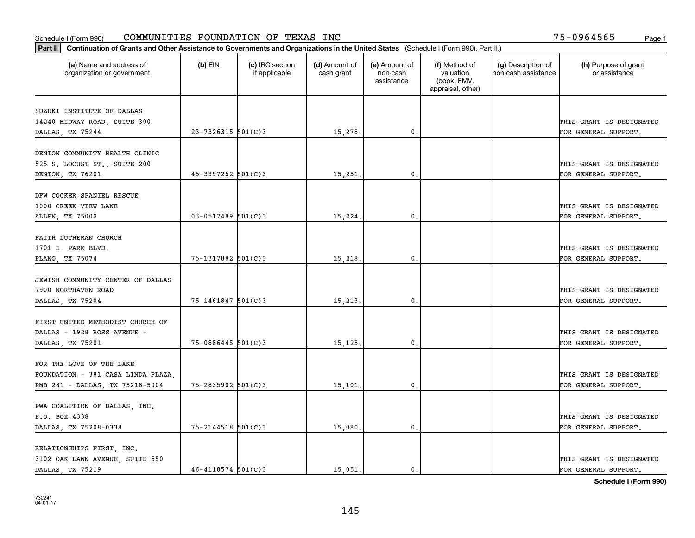| Part II   Continuation of Grants and Other Assistance to Governments and Organizations in the United States (Schedule I (Form 990), Part II.) |                        |                                  |                             |                                         |                                                                |                                           |                                       |
|-----------------------------------------------------------------------------------------------------------------------------------------------|------------------------|----------------------------------|-----------------------------|-----------------------------------------|----------------------------------------------------------------|-------------------------------------------|---------------------------------------|
| (a) Name and address of<br>organization or government                                                                                         | $(b)$ EIN              | (c) IRC section<br>if applicable | (d) Amount of<br>cash grant | (e) Amount of<br>non-cash<br>assistance | (f) Method of<br>valuation<br>(book, FMV,<br>appraisal, other) | (g) Description of<br>non-cash assistance | (h) Purpose of grant<br>or assistance |
| SUZUKI INSTITUTE OF DALLAS                                                                                                                    |                        |                                  |                             |                                         |                                                                |                                           |                                       |
| 14240 MIDWAY ROAD, SUITE 300                                                                                                                  |                        |                                  |                             |                                         |                                                                |                                           | THIS GRANT IS DESIGNATED              |
| DALLAS, TX 75244                                                                                                                              | 23-7326315 501(C)3     |                                  | 15,278.                     | $\mathbf{0}$ .                          |                                                                |                                           | FOR GENERAL SUPPORT.                  |
|                                                                                                                                               |                        |                                  |                             |                                         |                                                                |                                           |                                       |
| DENTON COMMUNITY HEALTH CLINIC                                                                                                                |                        |                                  |                             |                                         |                                                                |                                           |                                       |
| 525 S. LOCUST ST., SUITE 200                                                                                                                  |                        |                                  |                             |                                         |                                                                |                                           | THIS GRANT IS DESIGNATED              |
| DENTON, TX 76201                                                                                                                              | $45 - 3997262$ 501(C)3 |                                  | 15,251.                     | 0.                                      |                                                                |                                           | FOR GENERAL SUPPORT.                  |
| DFW COCKER SPANIEL RESCUE                                                                                                                     |                        |                                  |                             |                                         |                                                                |                                           |                                       |
| 1000 CREEK VIEW LANE                                                                                                                          |                        |                                  |                             |                                         |                                                                |                                           | THIS GRANT IS DESIGNATED              |
| ALLEN, TX 75002                                                                                                                               | $03 - 0517489$ 501(C)3 |                                  | 15,224.                     | $\mathbf{0}$ .                          |                                                                |                                           | FOR GENERAL SUPPORT.                  |
|                                                                                                                                               |                        |                                  |                             |                                         |                                                                |                                           |                                       |
| FAITH LUTHERAN CHURCH                                                                                                                         |                        |                                  |                             |                                         |                                                                |                                           |                                       |
| 1701 E. PARK BLVD.                                                                                                                            |                        |                                  |                             |                                         |                                                                |                                           | THIS GRANT IS DESIGNATED              |
| PLANO, TX 75074                                                                                                                               | 75-1317882 501(C)3     |                                  | 15,218.                     | 0.                                      |                                                                |                                           | FOR GENERAL SUPPORT.                  |
| JEWISH COMMUNITY CENTER OF DALLAS                                                                                                             |                        |                                  |                             |                                         |                                                                |                                           |                                       |
| 7900 NORTHAVEN ROAD                                                                                                                           |                        |                                  |                             |                                         |                                                                |                                           | THIS GRANT IS DESIGNATED              |
| DALLAS, TX 75204                                                                                                                              | $75 - 1461847$ 501(C)3 |                                  | 15,213.                     | 0.                                      |                                                                |                                           | FOR GENERAL SUPPORT.                  |
|                                                                                                                                               |                        |                                  |                             |                                         |                                                                |                                           |                                       |
| FIRST UNITED METHODIST CHURCH OF                                                                                                              |                        |                                  |                             |                                         |                                                                |                                           |                                       |
| DALLAS - 1928 ROSS AVENUE -                                                                                                                   |                        |                                  |                             |                                         |                                                                |                                           | THIS GRANT IS DESIGNATED              |
| DALLAS, TX 75201                                                                                                                              | $75 - 0886445$ 501(C)3 |                                  | 15,125.                     | 0.                                      |                                                                |                                           | FOR GENERAL SUPPORT.                  |
|                                                                                                                                               |                        |                                  |                             |                                         |                                                                |                                           |                                       |
| FOR THE LOVE OF THE LAKE                                                                                                                      |                        |                                  |                             |                                         |                                                                |                                           |                                       |
| FOUNDATION - 381 CASA LINDA PLAZA,                                                                                                            |                        |                                  |                             |                                         |                                                                |                                           | THIS GRANT IS DESIGNATED              |
| PMB 281 - DALLAS, TX 75218-5004                                                                                                               | 75-2835902 501(C)3     |                                  | 15,101.                     | 0.                                      |                                                                |                                           | FOR GENERAL SUPPORT.                  |
| PWA COALITION OF DALLAS, INC.                                                                                                                 |                        |                                  |                             |                                         |                                                                |                                           |                                       |
| P.O. BOX 4338                                                                                                                                 |                        |                                  |                             |                                         |                                                                |                                           | THIS GRANT IS DESIGNATED              |
| DALLAS, TX 75208-0338                                                                                                                         | $75 - 2144518$ 501(C)3 |                                  | 15,080.                     | $\mathbf{0}$ .                          |                                                                |                                           | FOR GENERAL SUPPORT.                  |
|                                                                                                                                               |                        |                                  |                             |                                         |                                                                |                                           |                                       |
| RELATIONSHIPS FIRST, INC.                                                                                                                     |                        |                                  |                             |                                         |                                                                |                                           |                                       |
| 3102 OAK LAWN AVENUE, SUITE 550                                                                                                               |                        |                                  |                             |                                         |                                                                |                                           | THIS GRANT IS DESIGNATED              |
| DALLAS TX 75219                                                                                                                               | $46 - 4118574$ 501(C)3 |                                  | 15,051.                     | $\mathbf{0}$ .                          |                                                                |                                           | FOR GENERAL SUPPORT.                  |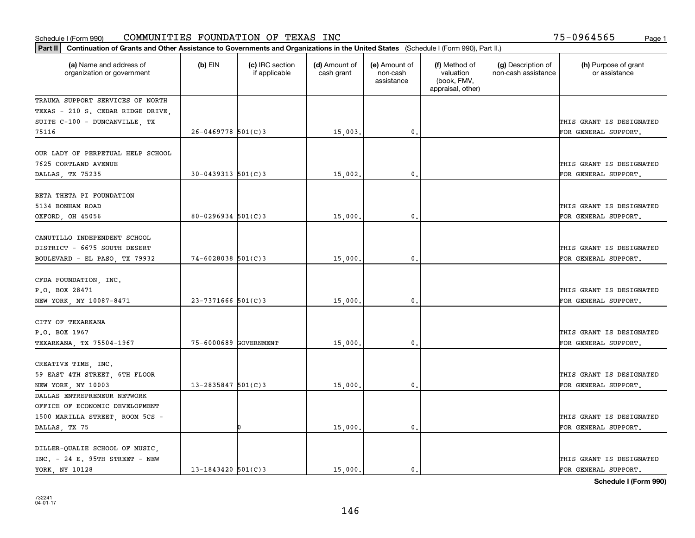| Part II   Continuation of Grants and Other Assistance to Governments and Organizations in the United States (Schedule I (Form 990), Part II.) |                          |                                  |                             |                                         |                                                                |                                           |                                                  |
|-----------------------------------------------------------------------------------------------------------------------------------------------|--------------------------|----------------------------------|-----------------------------|-----------------------------------------|----------------------------------------------------------------|-------------------------------------------|--------------------------------------------------|
| (a) Name and address of<br>organization or government                                                                                         | (b) EIN                  | (c) IRC section<br>if applicable | (d) Amount of<br>cash grant | (e) Amount of<br>non-cash<br>assistance | (f) Method of<br>valuation<br>(book, FMV,<br>appraisal, other) | (g) Description of<br>non-cash assistance | (h) Purpose of grant<br>or assistance            |
| TRAUMA SUPPORT SERVICES OF NORTH                                                                                                              |                          |                                  |                             |                                         |                                                                |                                           |                                                  |
| TEXAS - 210 S. CEDAR RIDGE DRIVE,                                                                                                             |                          |                                  |                             |                                         |                                                                |                                           |                                                  |
| SUITE C-100 - DUNCANVILLE, TX                                                                                                                 |                          |                                  |                             |                                         |                                                                |                                           | THIS GRANT IS DESIGNATED                         |
| 75116                                                                                                                                         | $26 - 0469778$ 501(C)3   |                                  | 15,003                      | $\mathbf{0}$ .                          |                                                                |                                           | FOR GENERAL SUPPORT.                             |
| OUR LADY OF PERPETUAL HELP SCHOOL<br>7625 CORTLAND AVENUE                                                                                     |                          |                                  |                             |                                         |                                                                |                                           | THIS GRANT IS DESIGNATED                         |
| DALLAS, TX 75235                                                                                                                              | $30 - 0439313$ $501(C)3$ |                                  | 15,002                      | $\mathbf{0}$                            |                                                                |                                           | FOR GENERAL SUPPORT.                             |
| BETA THETA PI FOUNDATION<br>5134 BONHAM ROAD<br>OXFORD, OH 45056                                                                              | $80 - 0296934$ 501(C)3   |                                  | 15,000                      | $\mathfrak{o}$ .                        |                                                                |                                           | THIS GRANT IS DESIGNATED<br>FOR GENERAL SUPPORT. |
|                                                                                                                                               |                          |                                  |                             |                                         |                                                                |                                           |                                                  |
| CANUTILLO INDEPENDENT SCHOOL<br>DISTRICT - 6675 SOUTH DESERT                                                                                  |                          |                                  |                             |                                         |                                                                |                                           | THIS GRANT IS DESIGNATED                         |
| BOULEVARD - EL PASO, TX 79932                                                                                                                 | 74-6028038 501(C)3       |                                  | 15,000                      | $\mathbf{0}$                            |                                                                |                                           | FOR GENERAL SUPPORT.                             |
| CFDA FOUNDATION, INC.<br>P.O. BOX 28471                                                                                                       |                          |                                  |                             |                                         |                                                                |                                           | THIS GRANT IS DESIGNATED                         |
| NEW YORK, NY 10087-8471                                                                                                                       | $23 - 7371666$ 501(C)3   |                                  | 15,000                      | 0.                                      |                                                                |                                           | FOR GENERAL SUPPORT.                             |
| CITY OF TEXARKANA<br>P.O. BOX 1967                                                                                                            |                          |                                  |                             |                                         |                                                                |                                           | THIS GRANT IS DESIGNATED                         |
| TEXARKANA, TX 75504-1967                                                                                                                      | 75-6000689 GOVERNMENT    |                                  | 15,000                      | $\mathbf{0}$                            |                                                                |                                           | FOR GENERAL SUPPORT.                             |
| CREATIVE TIME, INC.<br>59 EAST 4TH STREET, 6TH FLOOR                                                                                          |                          |                                  |                             |                                         |                                                                |                                           | THIS GRANT IS DESIGNATED                         |
| NEW YORK, NY 10003                                                                                                                            | $13 - 2835847$ 501(C)3   |                                  | 15,000                      | $\mathbf{0}$ .                          |                                                                |                                           | FOR GENERAL SUPPORT.                             |
| DALLAS ENTREPRENEUR NETWORK<br>OFFICE OF ECONOMIC DEVELOPMENT                                                                                 |                          |                                  |                             |                                         |                                                                |                                           |                                                  |
| 1500 MARILLA STREET, ROOM 5CS -                                                                                                               |                          |                                  |                             |                                         |                                                                |                                           | THIS GRANT IS DESIGNATED                         |
| DALLAS, TX 75                                                                                                                                 |                          |                                  | 15,000                      | $\mathbf{0}$                            |                                                                |                                           | FOR GENERAL SUPPORT.                             |
| DILLER-QUALIE SCHOOL OF MUSIC,<br>$INC. - 24 E. 95TH$ STREET - NEW<br>YORK, NY 10128                                                          | 13-1843420 $501(C)$ 3    |                                  | 15,000.                     | $\mathbf{0}$ .                          |                                                                |                                           | THIS GRANT IS DESIGNATED<br>FOR GENERAL SUPPORT. |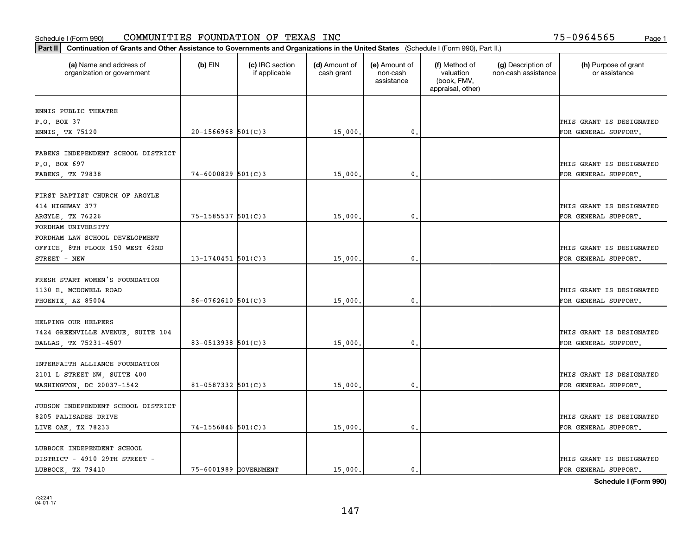| Part II   Continuation of Grants and Other Assistance to Governments and Organizations in the United States (Schedule I (Form 990), Part II.) |                        |                                  |                             |                                         |                                                                |                                           |                                                  |
|-----------------------------------------------------------------------------------------------------------------------------------------------|------------------------|----------------------------------|-----------------------------|-----------------------------------------|----------------------------------------------------------------|-------------------------------------------|--------------------------------------------------|
| (a) Name and address of<br>organization or government                                                                                         | $(b)$ EIN              | (c) IRC section<br>if applicable | (d) Amount of<br>cash grant | (e) Amount of<br>non-cash<br>assistance | (f) Method of<br>valuation<br>(book, FMV,<br>appraisal, other) | (g) Description of<br>non-cash assistance | (h) Purpose of grant<br>or assistance            |
| ENNIS PUBLIC THEATRE                                                                                                                          |                        |                                  |                             |                                         |                                                                |                                           |                                                  |
| P.O. BOX 37                                                                                                                                   |                        |                                  |                             |                                         |                                                                |                                           | THIS GRANT IS DESIGNATED                         |
| ENNIS, TX 75120                                                                                                                               | $20 - 1566968$ 501(C)3 |                                  | 15,000.                     | $\mathfrak{o}$ .                        |                                                                |                                           | FOR GENERAL SUPPORT.                             |
| FABENS INDEPENDENT SCHOOL DISTRICT                                                                                                            |                        |                                  |                             |                                         |                                                                |                                           |                                                  |
| P.O. BOX 697<br>FABENS, TX 79838                                                                                                              | $74 - 6000829$ 501(C)3 |                                  | 15,000,                     | 0.                                      |                                                                |                                           | THIS GRANT IS DESIGNATED<br>FOR GENERAL SUPPORT. |
|                                                                                                                                               |                        |                                  |                             |                                         |                                                                |                                           |                                                  |
| FIRST BAPTIST CHURCH OF ARGYLE<br>414 HIGHWAY 377                                                                                             |                        |                                  |                             |                                         |                                                                |                                           | THIS GRANT IS DESIGNATED                         |
| ARGYLE, TX 76226                                                                                                                              | $75 - 1585537$ 501(C)3 |                                  | 15,000.                     | $\mathfrak{o}$ .                        |                                                                |                                           | FOR GENERAL SUPPORT.                             |
| FORDHAM UNIVERSITY<br>FORDHAM LAW SCHOOL DEVELOPMENT<br>OFFICE, 8TH FLOOR 150 WEST 62ND<br>STREET - NEW                                       | $13 - 1740451$ 501(C)3 |                                  | 15,000.                     | 0.                                      |                                                                |                                           | THIS GRANT IS DESIGNATED<br>FOR GENERAL SUPPORT. |
|                                                                                                                                               |                        |                                  |                             |                                         |                                                                |                                           |                                                  |
| FRESH START WOMEN'S FOUNDATION<br>1130 E. MCDOWELL ROAD                                                                                       |                        |                                  |                             |                                         |                                                                |                                           | THIS GRANT IS DESIGNATED                         |
| PHOENIX, AZ 85004                                                                                                                             | $86 - 0762610$ 501(C)3 |                                  | 15,000.                     | $\mathbf 0$ .                           |                                                                |                                           | FOR GENERAL SUPPORT.                             |
| HELPING OUR HELPERS<br>7424 GREENVILLE AVENUE, SUITE 104<br>DALLAS, TX 75231-4507                                                             | 83-0513938 501(C)3     |                                  | 15,000.                     | 0.                                      |                                                                |                                           | THIS GRANT IS DESIGNATED<br>FOR GENERAL SUPPORT. |
| INTERFAITH ALLIANCE FOUNDATION                                                                                                                |                        |                                  |                             |                                         |                                                                |                                           |                                                  |
| 2101 L STREET NW, SUITE 400<br>WASHINGTON, DC 20037-1542                                                                                      | $81 - 0587332$ 501(C)3 |                                  | 15,000.                     | 0.                                      |                                                                |                                           | THIS GRANT IS DESIGNATED<br>FOR GENERAL SUPPORT. |
| JUDSON INDEPENDENT SCHOOL DISTRICT<br>8205 PALISADES DRIVE                                                                                    |                        |                                  |                             |                                         |                                                                |                                           | THIS GRANT IS DESIGNATED                         |
| LIVE OAK, TX 78233                                                                                                                            | $74 - 1556846$ 501(C)3 |                                  | 15,000.                     | $\mathbf{0}$ .                          |                                                                |                                           | FOR GENERAL SUPPORT.                             |
| LUBBOCK INDEPENDENT SCHOOL<br>DISTRICT - 4910 29TH STREET -<br>LUBBOCK TX 79410                                                               | 75-6001989 GOVERNMENT  |                                  | 15,000.                     | $\mathbf{0}$ .                          |                                                                |                                           | THIS GRANT IS DESIGNATED<br>FOR GENERAL SUPPORT. |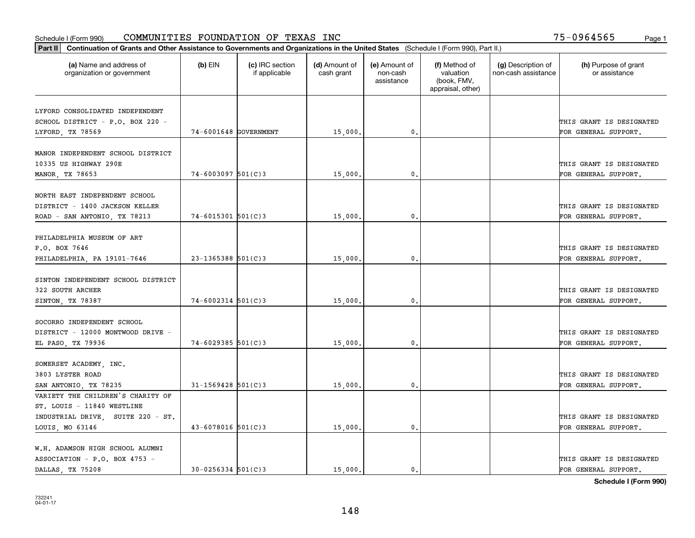#### Schedule I (Form 990) Page 1 COMMUNITIES FOUNDATION OF TEXAS INC 75-0964565

| Part II   Continuation of Grants and Other Assistance to Governments and Organizations in the United States (Schedule I (Form 990), Part II.) |                        |                                  |                             |                                         |                                                                |                                           |                                       |
|-----------------------------------------------------------------------------------------------------------------------------------------------|------------------------|----------------------------------|-----------------------------|-----------------------------------------|----------------------------------------------------------------|-------------------------------------------|---------------------------------------|
| (a) Name and address of<br>organization or government                                                                                         | $(b)$ EIN              | (c) IRC section<br>if applicable | (d) Amount of<br>cash grant | (e) Amount of<br>non-cash<br>assistance | (f) Method of<br>valuation<br>(book, FMV,<br>appraisal, other) | (g) Description of<br>non-cash assistance | (h) Purpose of grant<br>or assistance |
|                                                                                                                                               |                        |                                  |                             |                                         |                                                                |                                           |                                       |
| LYFORD CONSOLIDATED INDEPENDENT<br>SCHOOL DISTRICT - P.O. BOX 220 -                                                                           |                        |                                  |                             |                                         |                                                                |                                           | THIS GRANT IS DESIGNATED              |
| LYFORD, TX 78569                                                                                                                              | 74-6001648 GOVERNMENT  |                                  | 15,000.                     | $\mathfrak{o}$ .                        |                                                                |                                           | FOR GENERAL SUPPORT.                  |
|                                                                                                                                               |                        |                                  |                             |                                         |                                                                |                                           |                                       |
| MANOR INDEPENDENT SCHOOL DISTRICT                                                                                                             |                        |                                  |                             |                                         |                                                                |                                           |                                       |
| 10335 US HIGHWAY 290E                                                                                                                         |                        |                                  |                             |                                         |                                                                |                                           | THIS GRANT IS DESIGNATED              |
| MANOR, TX 78653                                                                                                                               | $74 - 6003097$ 501(C)3 |                                  | 15,000                      | 0.                                      |                                                                |                                           | FOR GENERAL SUPPORT.                  |
|                                                                                                                                               |                        |                                  |                             |                                         |                                                                |                                           |                                       |
| NORTH EAST INDEPENDENT SCHOOL                                                                                                                 |                        |                                  |                             |                                         |                                                                |                                           |                                       |
| DISTRICT - 1400 JACKSON KELLER                                                                                                                |                        |                                  |                             |                                         |                                                                |                                           | THIS GRANT IS DESIGNATED              |
| ROAD - SAN ANTONIO, TX 78213                                                                                                                  | $74 - 6015301$ 501(C)3 |                                  | 15,000.                     | $\mathfrak{o}$ .                        |                                                                |                                           | FOR GENERAL SUPPORT.                  |
|                                                                                                                                               |                        |                                  |                             |                                         |                                                                |                                           |                                       |
| PHILADELPHIA MUSEUM OF ART                                                                                                                    |                        |                                  |                             |                                         |                                                                |                                           |                                       |
| P.O. BOX 7646                                                                                                                                 |                        |                                  |                             |                                         |                                                                |                                           | THIS GRANT IS DESIGNATED              |
| PHILADELPHIA, PA 19101-7646                                                                                                                   | $23 - 1365388$ 501(C)3 |                                  | 15,000                      | 0.                                      |                                                                |                                           | FOR GENERAL SUPPORT.                  |
|                                                                                                                                               |                        |                                  |                             |                                         |                                                                |                                           |                                       |
| SINTON INDEPENDENT SCHOOL DISTRICT                                                                                                            |                        |                                  |                             |                                         |                                                                |                                           |                                       |
| 322 SOUTH ARCHER                                                                                                                              |                        |                                  |                             |                                         |                                                                |                                           | THIS GRANT IS DESIGNATED              |
| SINTON, TX 78387                                                                                                                              | $74 - 6002314$ 501(C)3 |                                  | 15,000.                     | 0.                                      |                                                                |                                           | FOR GENERAL SUPPORT.                  |
| SOCORRO INDEPENDENT SCHOOL                                                                                                                    |                        |                                  |                             |                                         |                                                                |                                           |                                       |
| DISTRICT - 12000 MONTWOOD DRIVE -                                                                                                             |                        |                                  |                             |                                         |                                                                |                                           | THIS GRANT IS DESIGNATED              |
| EL PASO, TX 79936                                                                                                                             | $74 - 6029385$ 501(C)3 |                                  | 15,000,                     | 0.                                      |                                                                |                                           | FOR GENERAL SUPPORT.                  |
|                                                                                                                                               |                        |                                  |                             |                                         |                                                                |                                           |                                       |
| SOMERSET ACADEMY, INC.                                                                                                                        |                        |                                  |                             |                                         |                                                                |                                           |                                       |
| 3803 LYSTER ROAD                                                                                                                              |                        |                                  |                             |                                         |                                                                |                                           | THIS GRANT IS DESIGNATED              |
| SAN ANTONIO, TX 78235                                                                                                                         | $31 - 1569428$ 501(C)3 |                                  | 15,000.                     | $\mathfrak{o}$ .                        |                                                                |                                           | FOR GENERAL SUPPORT.                  |
| VARIETY THE CHILDREN'S CHARITY OF                                                                                                             |                        |                                  |                             |                                         |                                                                |                                           |                                       |
| ST. LOUIS - 11840 WESTLINE                                                                                                                    |                        |                                  |                             |                                         |                                                                |                                           |                                       |
| INDUSTRIAL DRIVE, SUITE 220 - ST.                                                                                                             |                        |                                  |                             |                                         |                                                                |                                           | THIS GRANT IS DESIGNATED              |
| LOUIS, MO 63146                                                                                                                               | $43 - 6078016$ 501(C)3 |                                  | 15,000                      | $\mathbf{0}$                            |                                                                |                                           | FOR GENERAL SUPPORT.                  |
|                                                                                                                                               |                        |                                  |                             |                                         |                                                                |                                           |                                       |
| W.H. ADAMSON HIGH SCHOOL ALUMNI                                                                                                               |                        |                                  |                             |                                         |                                                                |                                           |                                       |
| ASSOCIATION - P.O. BOX 4753 -                                                                                                                 |                        |                                  |                             |                                         |                                                                |                                           | THIS GRANT IS DESIGNATED              |
| DALLAS TX 75208                                                                                                                               | $30 - 0256334$ 501(C)3 |                                  | 15,000.                     | $\mathbf{0}$ .                          |                                                                |                                           | FOR GENERAL SUPPORT.                  |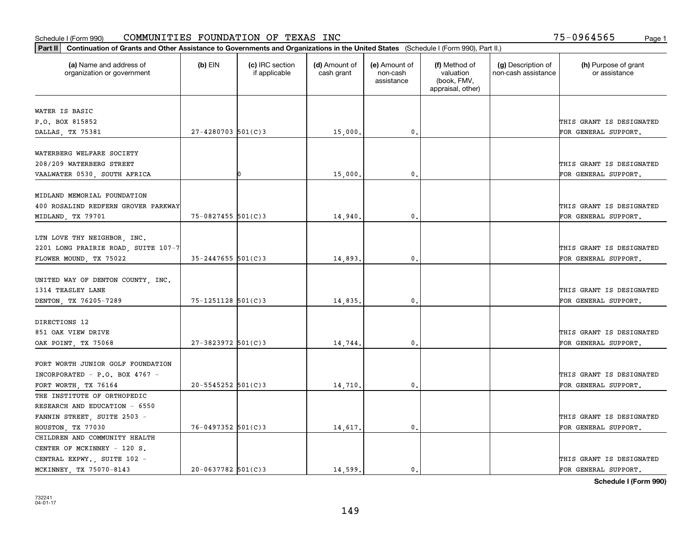| Part II   Continuation of Grants and Other Assistance to Governments and Organizations in the United States (Schedule I (Form 990), Part II.) |                        |                                  |                             |                                         |                                                                |                                           |                                       |
|-----------------------------------------------------------------------------------------------------------------------------------------------|------------------------|----------------------------------|-----------------------------|-----------------------------------------|----------------------------------------------------------------|-------------------------------------------|---------------------------------------|
| (a) Name and address of<br>organization or government                                                                                         | $(b)$ EIN              | (c) IRC section<br>if applicable | (d) Amount of<br>cash grant | (e) Amount of<br>non-cash<br>assistance | (f) Method of<br>valuation<br>(book, FMV,<br>appraisal, other) | (g) Description of<br>non-cash assistance | (h) Purpose of grant<br>or assistance |
| WATER IS BASIC                                                                                                                                |                        |                                  |                             |                                         |                                                                |                                           |                                       |
| P.O. BOX 815852                                                                                                                               |                        |                                  |                             |                                         |                                                                |                                           | THIS GRANT IS DESIGNATED              |
| DALLAS, TX 75381                                                                                                                              | $27 - 4280703$ 501(C)3 |                                  | 15,000.                     | $\mathfrak o$ .                         |                                                                |                                           | FOR GENERAL SUPPORT.                  |
|                                                                                                                                               |                        |                                  |                             |                                         |                                                                |                                           |                                       |
| WATERBERG WELFARE SOCIETY                                                                                                                     |                        |                                  |                             |                                         |                                                                |                                           |                                       |
| 208/209 WATERBERG STREET                                                                                                                      |                        |                                  |                             |                                         |                                                                |                                           | THIS GRANT IS DESIGNATED              |
| VAALWATER 0530, SOUTH AFRICA                                                                                                                  |                        |                                  | 15,000                      | 0.                                      |                                                                |                                           | FOR GENERAL SUPPORT.                  |
|                                                                                                                                               |                        |                                  |                             |                                         |                                                                |                                           |                                       |
| MIDLAND MEMORIAL FOUNDATION                                                                                                                   |                        |                                  |                             |                                         |                                                                |                                           |                                       |
| 400 ROSALIND REDFERN GROVER PARKWAY                                                                                                           |                        |                                  |                             |                                         |                                                                |                                           | THIS GRANT IS DESIGNATED              |
| MIDLAND, TX 79701                                                                                                                             | $75 - 0827455$ 501(C)3 |                                  | 14,940.                     | $\mathfrak{o}$ .                        |                                                                |                                           | FOR GENERAL SUPPORT.                  |
|                                                                                                                                               |                        |                                  |                             |                                         |                                                                |                                           |                                       |
| LTN LOVE THY NEIGHBOR, INC.                                                                                                                   |                        |                                  |                             |                                         |                                                                |                                           |                                       |
| 2201 LONG PRAIRIE ROAD, SUITE 107-7                                                                                                           |                        |                                  |                             |                                         |                                                                |                                           | THIS GRANT IS DESIGNATED              |
| FLOWER MOUND, TX 75022                                                                                                                        | $35 - 2447655$ 501(C)3 |                                  | 14,893                      | $\mathbf{0}$                            |                                                                |                                           | FOR GENERAL SUPPORT.                  |
| UNITED WAY OF DENTON COUNTY, INC.                                                                                                             |                        |                                  |                             |                                         |                                                                |                                           |                                       |
| 1314 TEASLEY LANE                                                                                                                             |                        |                                  |                             |                                         |                                                                |                                           | THIS GRANT IS DESIGNATED              |
| DENTON, TX 76205-7289                                                                                                                         | 75-1251128 501(C)3     |                                  | 14,835                      | $\mathfrak o$ .                         |                                                                |                                           | FOR GENERAL SUPPORT.                  |
|                                                                                                                                               |                        |                                  |                             |                                         |                                                                |                                           |                                       |
| DIRECTIONS 12                                                                                                                                 |                        |                                  |                             |                                         |                                                                |                                           |                                       |
| 851 OAK VIEW DRIVE                                                                                                                            |                        |                                  |                             |                                         |                                                                |                                           | THIS GRANT IS DESIGNATED              |
| OAK POINT, TX 75068                                                                                                                           | $27 - 3823972$ 501(C)3 |                                  | 14,744.                     | 0.                                      |                                                                |                                           | FOR GENERAL SUPPORT.                  |
|                                                                                                                                               |                        |                                  |                             |                                         |                                                                |                                           |                                       |
| FORT WORTH JUNIOR GOLF FOUNDATION                                                                                                             |                        |                                  |                             |                                         |                                                                |                                           |                                       |
| INCORPORATED - P.O. BOX 4767 -                                                                                                                |                        |                                  |                             |                                         |                                                                |                                           | THIS GRANT IS DESIGNATED              |
| FORT WORTH, TX 76164                                                                                                                          | $20 - 5545252$ 501(C)3 |                                  | 14,710.                     | $^{\circ}$ .                            |                                                                |                                           | FOR GENERAL SUPPORT.                  |
| THE INSTITUTE OF ORTHOPEDIC                                                                                                                   |                        |                                  |                             |                                         |                                                                |                                           |                                       |
| RESEARCH AND EDUCATION - 6550                                                                                                                 |                        |                                  |                             |                                         |                                                                |                                           |                                       |
| FANNIN STREET, SUITE 2503 -                                                                                                                   |                        |                                  |                             |                                         |                                                                |                                           | THIS GRANT IS DESIGNATED              |
| HOUSTON, TX 77030                                                                                                                             | $76 - 0497352$ 501(C)3 |                                  | 14,617.                     | $\mathbf{0}$                            |                                                                |                                           | FOR GENERAL SUPPORT.                  |
| CHILDREN AND COMMUNITY HEALTH                                                                                                                 |                        |                                  |                             |                                         |                                                                |                                           |                                       |
| CENTER OF MCKINNEY - 120 S.                                                                                                                   |                        |                                  |                             |                                         |                                                                |                                           |                                       |
| CENTRAL EXPWY., SUITE 102 -                                                                                                                   |                        |                                  |                             |                                         |                                                                |                                           | THIS GRANT IS DESIGNATED              |
| MCKINNEY TX 75070-8143                                                                                                                        | $20 - 0637782$ 501(C)3 |                                  | 14,599.                     | $\mathfrak{o}$ .                        |                                                                |                                           | FOR GENERAL SUPPORT.                  |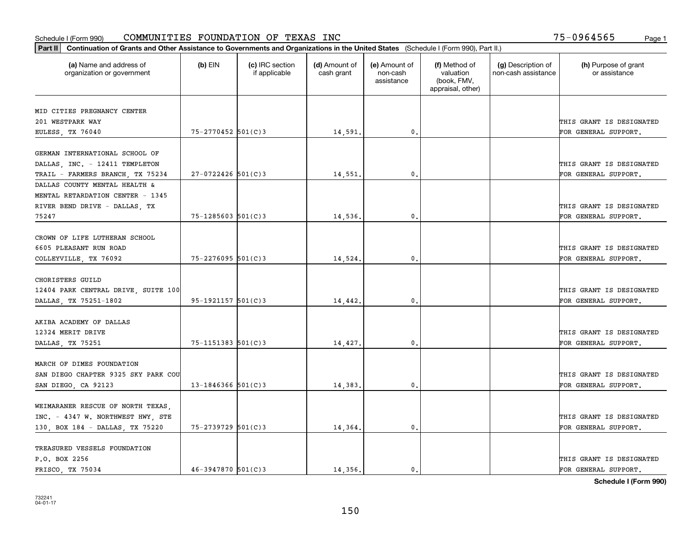| Part II   Continuation of Grants and Other Assistance to Governments and Organizations in the United States (Schedule I (Form 990), Part II.) |                          |                                  |                             |                                         |                                                                |                                           |                                       |
|-----------------------------------------------------------------------------------------------------------------------------------------------|--------------------------|----------------------------------|-----------------------------|-----------------------------------------|----------------------------------------------------------------|-------------------------------------------|---------------------------------------|
| (a) Name and address of<br>organization or government                                                                                         | $(b)$ EIN                | (c) IRC section<br>if applicable | (d) Amount of<br>cash grant | (e) Amount of<br>non-cash<br>assistance | (f) Method of<br>valuation<br>(book, FMV,<br>appraisal, other) | (g) Description of<br>non-cash assistance | (h) Purpose of grant<br>or assistance |
| MID CITIES PREGNANCY CENTER                                                                                                                   |                          |                                  |                             |                                         |                                                                |                                           |                                       |
| 201 WESTPARK WAY                                                                                                                              |                          |                                  |                             |                                         |                                                                |                                           | THIS GRANT IS DESIGNATED              |
|                                                                                                                                               | 75-2770452 501(C)3       |                                  | 14,591.                     | $\mathfrak{o}$ .                        |                                                                |                                           | FOR GENERAL SUPPORT.                  |
| EULESS, TX 76040                                                                                                                              |                          |                                  |                             |                                         |                                                                |                                           |                                       |
| GERMAN INTERNATIONAL SCHOOL OF                                                                                                                |                          |                                  |                             |                                         |                                                                |                                           |                                       |
| DALLAS, INC. - 12411 TEMPLETON                                                                                                                |                          |                                  |                             |                                         |                                                                |                                           | THIS GRANT IS DESIGNATED              |
| TRAIL - FARMERS BRANCH, TX 75234                                                                                                              | $27 - 0722426$ 501(C)3   |                                  | 14,551.                     | 0.                                      |                                                                |                                           | FOR GENERAL SUPPORT.                  |
| DALLAS COUNTY MENTAL HEALTH &                                                                                                                 |                          |                                  |                             |                                         |                                                                |                                           |                                       |
| MENTAL RETARDATION CENTER - 1345                                                                                                              |                          |                                  |                             |                                         |                                                                |                                           |                                       |
| RIVER BEND DRIVE - DALLAS, TX                                                                                                                 |                          |                                  |                             |                                         |                                                                |                                           | THIS GRANT IS DESIGNATED              |
| 75247                                                                                                                                         | $75 - 1285603$ $501(C)3$ |                                  | 14,536.                     | $\mathfrak{o}$ .                        |                                                                |                                           | FOR GENERAL SUPPORT.                  |
|                                                                                                                                               |                          |                                  |                             |                                         |                                                                |                                           |                                       |
| CROWN OF LIFE LUTHERAN SCHOOL                                                                                                                 |                          |                                  |                             |                                         |                                                                |                                           |                                       |
| 6605 PLEASANT RUN ROAD                                                                                                                        |                          |                                  |                             |                                         |                                                                |                                           | THIS GRANT IS DESIGNATED              |
| COLLEYVILLE, TX 76092                                                                                                                         | $75 - 2276095$ 501(C)3   |                                  | 14,524.                     | $\mathfrak{o}$ .                        |                                                                |                                           | FOR GENERAL SUPPORT.                  |
|                                                                                                                                               |                          |                                  |                             |                                         |                                                                |                                           |                                       |
| CHORISTERS GUILD                                                                                                                              |                          |                                  |                             |                                         |                                                                |                                           |                                       |
| 12404 PARK CENTRAL DRIVE, SUITE 100                                                                                                           |                          |                                  |                             |                                         |                                                                |                                           | THIS GRANT IS DESIGNATED              |
| DALLAS, TX 75251-1802                                                                                                                         | $95-1921157$ 501(C)3     |                                  | 14,442.                     | 0.                                      |                                                                |                                           | FOR GENERAL SUPPORT.                  |
|                                                                                                                                               |                          |                                  |                             |                                         |                                                                |                                           |                                       |
| AKIBA ACADEMY OF DALLAS                                                                                                                       |                          |                                  |                             |                                         |                                                                |                                           |                                       |
| 12324 MERIT DRIVE                                                                                                                             |                          |                                  |                             |                                         |                                                                |                                           | THIS GRANT IS DESIGNATED              |
| DALLAS, TX 75251                                                                                                                              | $75 - 1151383$ $501(C)3$ |                                  | 14,427.                     | 0.                                      |                                                                |                                           | FOR GENERAL SUPPORT.                  |
|                                                                                                                                               |                          |                                  |                             |                                         |                                                                |                                           |                                       |
| MARCH OF DIMES FOUNDATION                                                                                                                     |                          |                                  |                             |                                         |                                                                |                                           |                                       |
| SAN DIEGO CHAPTER 9325 SKY PARK COU                                                                                                           |                          |                                  |                             |                                         |                                                                |                                           | THIS GRANT IS DESIGNATED              |
| SAN DIEGO, CA 92123                                                                                                                           | 13-1846366 $501(C)$ 3    |                                  | 14,383.                     | 0.                                      |                                                                |                                           | FOR GENERAL SUPPORT.                  |
|                                                                                                                                               |                          |                                  |                             |                                         |                                                                |                                           |                                       |
| WEIMARANER RESCUE OF NORTH TEXAS,                                                                                                             |                          |                                  |                             |                                         |                                                                |                                           |                                       |
| INC. - 4347 W. NORTHWEST HWY, STE                                                                                                             |                          |                                  |                             |                                         |                                                                |                                           | THIS GRANT IS DESIGNATED              |
| 130, BOX 184 - DALLAS, TX 75220                                                                                                               | 75-2739729 501(C)3       |                                  | 14,364.                     | 0.                                      |                                                                |                                           | FOR GENERAL SUPPORT.                  |
|                                                                                                                                               |                          |                                  |                             |                                         |                                                                |                                           |                                       |
| TREASURED VESSELS FOUNDATION                                                                                                                  |                          |                                  |                             |                                         |                                                                |                                           |                                       |
| P.O. BOX 2256                                                                                                                                 |                          |                                  |                             |                                         |                                                                |                                           | THIS GRANT IS DESIGNATED              |
| FRISCO TX 75034                                                                                                                               | $46 - 3947870$ 501(C)3   |                                  | 14,356.                     | $\mathbf{0}$ .                          |                                                                |                                           | FOR GENERAL SUPPORT.                  |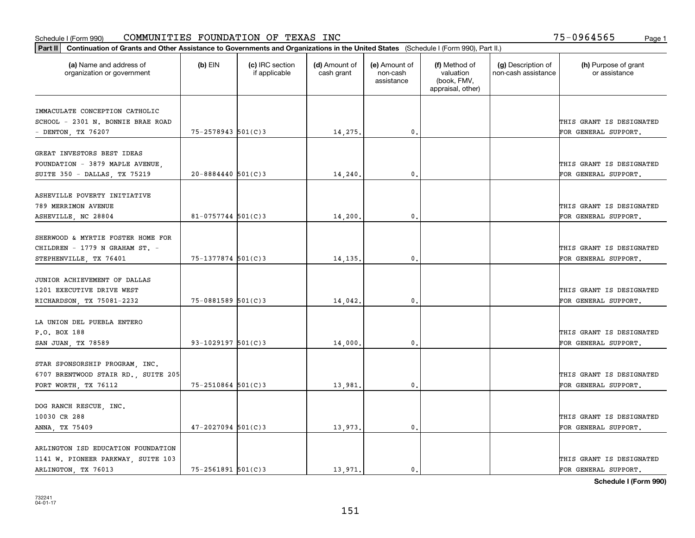| Part II   Continuation of Grants and Other Assistance to Governments and Organizations in the United States (Schedule I (Form 990), Part II.) |                        |                                  |                             |                                         |                                                                |                                           |                                       |
|-----------------------------------------------------------------------------------------------------------------------------------------------|------------------------|----------------------------------|-----------------------------|-----------------------------------------|----------------------------------------------------------------|-------------------------------------------|---------------------------------------|
| (a) Name and address of<br>organization or government                                                                                         | $(b)$ EIN              | (c) IRC section<br>if applicable | (d) Amount of<br>cash grant | (e) Amount of<br>non-cash<br>assistance | (f) Method of<br>valuation<br>(book, FMV,<br>appraisal, other) | (g) Description of<br>non-cash assistance | (h) Purpose of grant<br>or assistance |
|                                                                                                                                               |                        |                                  |                             |                                         |                                                                |                                           |                                       |
| IMMACULATE CONCEPTION CATHOLIC<br>SCHOOL - 2301 N. BONNIE BRAE ROAD                                                                           |                        |                                  |                             |                                         |                                                                |                                           | THIS GRANT IS DESIGNATED              |
| - DENTON, TX 76207                                                                                                                            | 75-2578943 501(C)3     |                                  | 14,275.                     | 0.                                      |                                                                |                                           | FOR GENERAL SUPPORT.                  |
|                                                                                                                                               |                        |                                  |                             |                                         |                                                                |                                           |                                       |
| GREAT INVESTORS BEST IDEAS                                                                                                                    |                        |                                  |                             |                                         |                                                                |                                           |                                       |
| FOUNDATION - 3879 MAPLE AVENUE,                                                                                                               |                        |                                  |                             |                                         |                                                                |                                           | THIS GRANT IS DESIGNATED              |
| SUITE 350 - DALLAS, TX 75219                                                                                                                  | $20 - 8884440$ 501(C)3 |                                  | 14,240                      | 0.                                      |                                                                |                                           | FOR GENERAL SUPPORT.                  |
|                                                                                                                                               |                        |                                  |                             |                                         |                                                                |                                           |                                       |
| ASHEVILLE POVERTY INITIATIVE                                                                                                                  |                        |                                  |                             |                                         |                                                                |                                           |                                       |
| 789 MERRIMON AVENUE                                                                                                                           |                        |                                  |                             | $\mathbf{0}$ .                          |                                                                |                                           | THIS GRANT IS DESIGNATED              |
| ASHEVILLE, NC 28804                                                                                                                           | $81 - 0757744$ 501(C)3 |                                  | 14,200.                     |                                         |                                                                |                                           | FOR GENERAL SUPPORT.                  |
| SHERWOOD & MYRTIE FOSTER HOME FOR                                                                                                             |                        |                                  |                             |                                         |                                                                |                                           |                                       |
| CHILDREN - 1779 N GRAHAM ST. -                                                                                                                |                        |                                  |                             |                                         |                                                                |                                           | THIS GRANT IS DESIGNATED              |
| STEPHENVILLE, TX 76401                                                                                                                        | 75-1377874 501(C)3     |                                  | 14,135.                     | $\mathbf{0}$                            |                                                                |                                           | FOR GENERAL SUPPORT.                  |
|                                                                                                                                               |                        |                                  |                             |                                         |                                                                |                                           |                                       |
| JUNIOR ACHIEVEMENT OF DALLAS                                                                                                                  |                        |                                  |                             |                                         |                                                                |                                           |                                       |
| 1201 EXECUTIVE DRIVE WEST                                                                                                                     |                        |                                  |                             |                                         |                                                                |                                           | THIS GRANT IS DESIGNATED              |
| RICHARDSON, TX 75081-2232                                                                                                                     | 75-0881589 501(C)3     |                                  | 14,042.                     | $\mathbf{0}$                            |                                                                |                                           | FOR GENERAL SUPPORT.                  |
|                                                                                                                                               |                        |                                  |                             |                                         |                                                                |                                           |                                       |
| LA UNION DEL PUEBLA ENTERO                                                                                                                    |                        |                                  |                             |                                         |                                                                |                                           |                                       |
| P.O. BOX 188                                                                                                                                  |                        |                                  |                             |                                         |                                                                |                                           | THIS GRANT IS DESIGNATED              |
| SAN JUAN, TX 78589                                                                                                                            | $93 - 1029197$ 501(C)3 |                                  | 14,000.                     | $\mathbf{0}$                            |                                                                |                                           | FOR GENERAL SUPPORT.                  |
| STAR SPONSORSHIP PROGRAM, INC.                                                                                                                |                        |                                  |                             |                                         |                                                                |                                           |                                       |
| 6707 BRENTWOOD STAIR RD., SUITE 205                                                                                                           |                        |                                  |                             |                                         |                                                                |                                           | THIS GRANT IS DESIGNATED              |
| FORT WORTH, TX 76112                                                                                                                          | $75 - 2510864$ 501(C)3 |                                  | 13,981                      | $^{\rm 0}$ .                            |                                                                |                                           | FOR GENERAL SUPPORT.                  |
|                                                                                                                                               |                        |                                  |                             |                                         |                                                                |                                           |                                       |
| DOG RANCH RESCUE, INC.                                                                                                                        |                        |                                  |                             |                                         |                                                                |                                           |                                       |
| 10030 CR 288                                                                                                                                  |                        |                                  |                             |                                         |                                                                |                                           | THIS GRANT IS DESIGNATED              |
| ANNA, TX 75409                                                                                                                                | $47 - 2027094$ 501(C)3 |                                  | 13,973.                     | $\mathfrak{o}$ .                        |                                                                |                                           | FOR GENERAL SUPPORT.                  |
|                                                                                                                                               |                        |                                  |                             |                                         |                                                                |                                           |                                       |
| ARLINGTON ISD EDUCATION FOUNDATION                                                                                                            |                        |                                  |                             |                                         |                                                                |                                           |                                       |
| 1141 W. PIONEER PARKWAY, SUITE 103                                                                                                            |                        |                                  |                             |                                         |                                                                |                                           | THIS GRANT IS DESIGNATED              |
| ARLINGTON, TX 76013                                                                                                                           | $75 - 2561891$ 501(C)3 |                                  | 13.971.                     | $\mathbf{0}$ .                          |                                                                |                                           | FOR GENERAL SUPPORT.                  |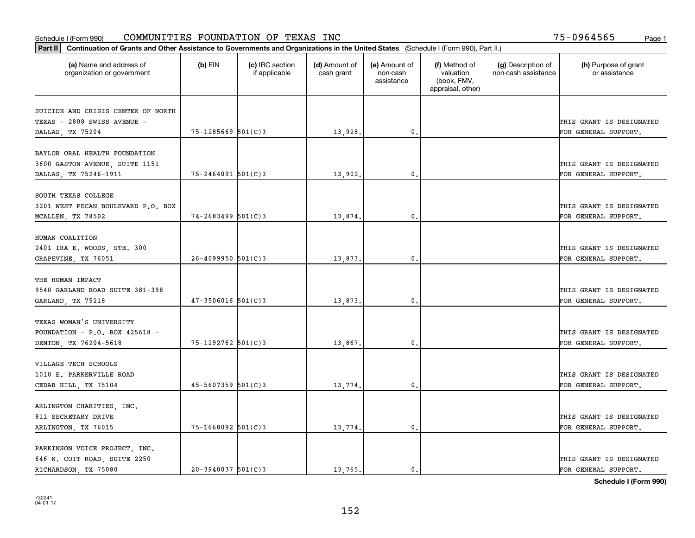| Part II   Continuation of Grants and Other Assistance to Governments and Organizations in the United States (Schedule I (Form 990), Part II.) |                        |                                  |                             |                                         |                                                                |                                           |                                                  |
|-----------------------------------------------------------------------------------------------------------------------------------------------|------------------------|----------------------------------|-----------------------------|-----------------------------------------|----------------------------------------------------------------|-------------------------------------------|--------------------------------------------------|
| (a) Name and address of<br>organization or government                                                                                         | $(b)$ EIN              | (c) IRC section<br>if applicable | (d) Amount of<br>cash grant | (e) Amount of<br>non-cash<br>assistance | (f) Method of<br>valuation<br>(book, FMV,<br>appraisal, other) | (g) Description of<br>non-cash assistance | (h) Purpose of grant<br>or assistance            |
| SUICIDE AND CRISIS CENTER OF NORTH<br>TEXAS - 2808 SWISS AVENUE -<br>DALLAS, TX 75204                                                         | 75-1285669 501(C)3     |                                  | 13,928.                     | $\mathfrak{o}$ .                        |                                                                |                                           | THIS GRANT IS DESIGNATED<br>FOR GENERAL SUPPORT. |
| BAYLOR ORAL HEALTH FOUNDATION<br>3600 GASTON AVENUE, SUITE 1151<br>DALLAS, TX 75246-1911                                                      | $75 - 2464091$ 501(C)3 |                                  | 13,902.                     | 0.                                      |                                                                |                                           | THIS GRANT IS DESIGNATED<br>FOR GENERAL SUPPORT. |
| SOUTH TEXAS COLLEGE<br>3201 WEST PECAN BOULEVARD P.O. BOX<br>MCALLEN, TX 78502                                                                | $74 - 2683499$ 501(C)3 |                                  | 13,874.                     | $\mathfrak{o}$ .                        |                                                                |                                           | THIS GRANT IS DESIGNATED<br>FOR GENERAL SUPPORT. |
| HUMAN COALITION<br>2401 IRA E. WOODS, STE. 300<br>GRAPEVINE, TX 76051                                                                         | $26 - 4099950$ 501(C)3 |                                  | 13,873.                     | $\mathbf{0}$                            |                                                                |                                           | THIS GRANT IS DESIGNATED<br>FOR GENERAL SUPPORT. |
| THE HUMAN IMPACT<br>9540 GARLAND ROAD SUITE 381-398<br>GARLAND, TX 75218                                                                      | $47 - 3506016$ 501(C)3 |                                  | 13,873.                     | $\mathfrak o$ .                         |                                                                |                                           | THIS GRANT IS DESIGNATED<br>FOR GENERAL SUPPORT. |
| TEXAS WOMAN'S UNIVERSITY<br>FOUNDATION - P.O. BOX 425618 -<br>DENTON, TX 76204-5618                                                           | 75-1292762 501(C)3     |                                  | 13,867.                     | $\mathbf{0}$ .                          |                                                                |                                           | THIS GRANT IS DESIGNATED<br>FOR GENERAL SUPPORT. |
| VILLAGE TECH SCHOOLS<br>1010 E. PARKERVILLE ROAD<br>CEDAR HILL, TX 75104                                                                      | $45 - 5607359$ 501(C)3 |                                  | 13,774.                     | $^{\circ}$ .                            |                                                                |                                           | THIS GRANT IS DESIGNATED<br>FOR GENERAL SUPPORT. |
| ARLINGTON CHARITIES, INC.<br>811 SECRETARY DRIVE<br>ARLINGTON, TX 76015                                                                       | $75 - 1668092$ 501(C)3 |                                  | 13,774.                     | $\mathbf{0}$                            |                                                                |                                           | THIS GRANT IS DESIGNATED<br>FOR GENERAL SUPPORT. |
| PARKINSON VOICE PROJECT, INC.<br>646 N. COIT ROAD, SUITE 2250<br>RICHARDSON, TX 75080                                                         | $20-3940037$ 501(C)3   |                                  | 13,765.                     | $\mathbf{0}$ .                          |                                                                |                                           | THIS GRANT IS DESIGNATED<br>FOR GENERAL SUPPORT. |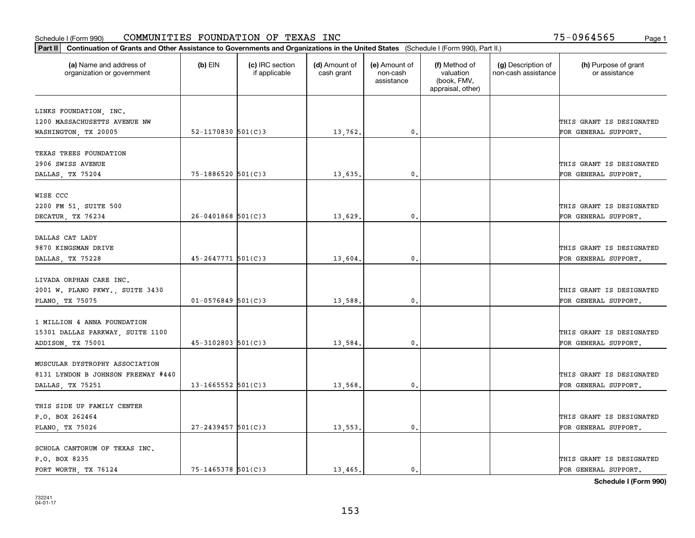| Part II   Continuation of Grants and Other Assistance to Governments and Organizations in the United States (Schedule I (Form 990), Part II.) |                        |                                  |                             |                                         |                                                                |                                           |                                       |
|-----------------------------------------------------------------------------------------------------------------------------------------------|------------------------|----------------------------------|-----------------------------|-----------------------------------------|----------------------------------------------------------------|-------------------------------------------|---------------------------------------|
| (a) Name and address of<br>organization or government                                                                                         | $(b)$ EIN              | (c) IRC section<br>if applicable | (d) Amount of<br>cash grant | (e) Amount of<br>non-cash<br>assistance | (f) Method of<br>valuation<br>(book, FMV,<br>appraisal, other) | (g) Description of<br>non-cash assistance | (h) Purpose of grant<br>or assistance |
|                                                                                                                                               |                        |                                  |                             |                                         |                                                                |                                           |                                       |
| LINKS FOUNDATION, INC.<br>1200 MASSACHUSETTS AVENUE NW                                                                                        |                        |                                  |                             |                                         |                                                                |                                           | THIS GRANT IS DESIGNATED              |
| WASHINGTON, TX 20005                                                                                                                          | 52-1170830 $501(C)$ 3  |                                  | 13,762.                     | $\mathbf{0}$ .                          |                                                                |                                           | FOR GENERAL SUPPORT.                  |
|                                                                                                                                               |                        |                                  |                             |                                         |                                                                |                                           |                                       |
| TEXAS TREES FOUNDATION                                                                                                                        |                        |                                  |                             |                                         |                                                                |                                           |                                       |
| 2906 SWISS AVENUE                                                                                                                             |                        |                                  |                             |                                         |                                                                |                                           | THIS GRANT IS DESIGNATED              |
| DALLAS, TX 75204                                                                                                                              | $75 - 1886520$ 501(C)3 |                                  | 13,635.                     | $\mathfrak{o}$ .                        |                                                                |                                           | FOR GENERAL SUPPORT.                  |
|                                                                                                                                               |                        |                                  |                             |                                         |                                                                |                                           |                                       |
| WISE CCC<br>2200 FM 51, SUITE 500                                                                                                             |                        |                                  |                             |                                         |                                                                |                                           | THIS GRANT IS DESIGNATED              |
| DECATUR, TX 76234                                                                                                                             | $26 - 0401868$ 501(C)3 |                                  | 13,629.                     | $\mathbf{0}$ .                          |                                                                |                                           | FOR GENERAL SUPPORT.                  |
|                                                                                                                                               |                        |                                  |                             |                                         |                                                                |                                           |                                       |
| DALLAS CAT LADY                                                                                                                               |                        |                                  |                             |                                         |                                                                |                                           |                                       |
| 9870 KINGSMAN DRIVE                                                                                                                           |                        |                                  |                             |                                         |                                                                |                                           | THIS GRANT IS DESIGNATED              |
| DALLAS, TX 75228                                                                                                                              | $45 - 2647771$ 501(C)3 |                                  | 13,604.                     | $\mathfrak{o}$ .                        |                                                                |                                           | FOR GENERAL SUPPORT.                  |
|                                                                                                                                               |                        |                                  |                             |                                         |                                                                |                                           |                                       |
| LIVADA ORPHAN CARE INC.                                                                                                                       |                        |                                  |                             |                                         |                                                                |                                           |                                       |
| 2001 W. PLANO PKWY., SUITE 3430                                                                                                               |                        |                                  |                             |                                         |                                                                |                                           | THIS GRANT IS DESIGNATED              |
| PLANO, TX 75075                                                                                                                               | $01 - 0576849$ 501(C)3 |                                  | 13,588.                     | 0.                                      |                                                                |                                           | FOR GENERAL SUPPORT.                  |
| 1 MILLION 4 ANNA FOUNDATION                                                                                                                   |                        |                                  |                             |                                         |                                                                |                                           |                                       |
| 15301 DALLAS PARKWAY, SUITE 1100                                                                                                              |                        |                                  |                             |                                         |                                                                |                                           | THIS GRANT IS DESIGNATED              |
| ADDISON, TX 75001                                                                                                                             | $45 - 3102803$ 501(C)3 |                                  | 13,584.                     | $\mathbf{0}$ .                          |                                                                |                                           | FOR GENERAL SUPPORT.                  |
|                                                                                                                                               |                        |                                  |                             |                                         |                                                                |                                           |                                       |
| MUSCULAR DYSTROPHY ASSOCIATION                                                                                                                |                        |                                  |                             |                                         |                                                                |                                           |                                       |
| 8131 LYNDON B JOHNSON FREEWAY #440                                                                                                            |                        |                                  |                             |                                         |                                                                |                                           | THIS GRANT IS DESIGNATED              |
| DALLAS, TX 75251                                                                                                                              | $13 - 1665552$ 501(C)3 |                                  | 13,568.                     | $\mathfrak o$ .                         |                                                                |                                           | FOR GENERAL SUPPORT.                  |
|                                                                                                                                               |                        |                                  |                             |                                         |                                                                |                                           |                                       |
| THIS SIDE UP FAMILY CENTER                                                                                                                    |                        |                                  |                             |                                         |                                                                |                                           |                                       |
| P.O. BOX 262464                                                                                                                               |                        |                                  |                             |                                         |                                                                |                                           | THIS GRANT IS DESIGNATED              |
| PLANO, TX 75026                                                                                                                               | $27 - 2439457$ 501(C)3 |                                  | 13,553.                     | $\mathfrak{o}$ .                        |                                                                |                                           | FOR GENERAL SUPPORT.                  |
|                                                                                                                                               |                        |                                  |                             |                                         |                                                                |                                           |                                       |
| SCHOLA CANTORUM OF TEXAS INC.<br>P.O. BOX 8235                                                                                                |                        |                                  |                             |                                         |                                                                |                                           | THIS GRANT IS DESIGNATED              |
| FORT WORTH, TX 76124                                                                                                                          | $75 - 1465378$ 501(C)3 |                                  | 13,465.                     | $\mathbf{0}$ .                          |                                                                |                                           | FOR GENERAL SUPPORT.                  |
|                                                                                                                                               |                        |                                  |                             |                                         |                                                                |                                           |                                       |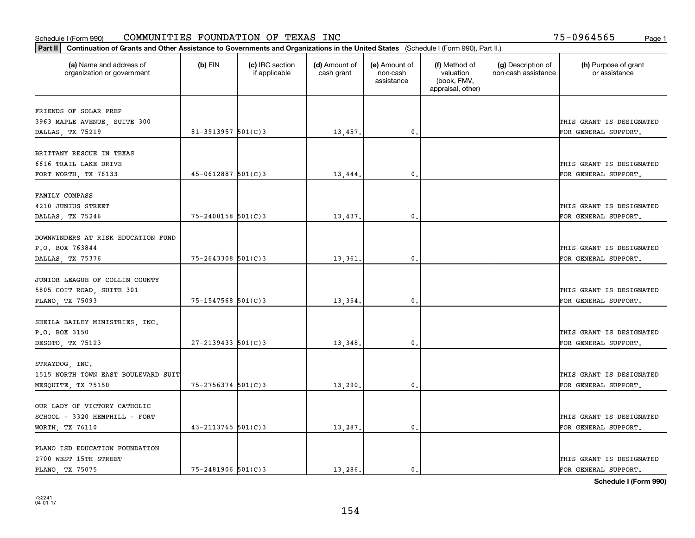| (a) Name and address of<br>organization or government | $(b)$ EIN              | (c) IRC section<br>if applicable | (d) Amount of<br>cash grant | (e) Amount of<br>non-cash<br>assistance | (f) Method of<br>valuation<br>(book, FMV,<br>appraisal, other) | (g) Description of<br>non-cash assistance | (h) Purpose of grant<br>or assistance |
|-------------------------------------------------------|------------------------|----------------------------------|-----------------------------|-----------------------------------------|----------------------------------------------------------------|-------------------------------------------|---------------------------------------|
|                                                       |                        |                                  |                             |                                         |                                                                |                                           |                                       |
| FRIENDS OF SOLAR PREP                                 |                        |                                  |                             |                                         |                                                                |                                           |                                       |
| 3963 MAPLE AVENUE, SUITE 300                          |                        |                                  |                             |                                         |                                                                |                                           | THIS GRANT IS DESIGNATED              |
| DALLAS, TX 75219                                      | 81-3913957 $501(C)$ 3  |                                  | 13,457.                     | $\mathbf{0}$ .                          |                                                                |                                           | FOR GENERAL SUPPORT.                  |
| BRITTANY RESCUE IN TEXAS                              |                        |                                  |                             |                                         |                                                                |                                           |                                       |
| 6616 TRAIL LAKE DRIVE                                 |                        |                                  |                             |                                         |                                                                |                                           | THIS GRANT IS DESIGNATED              |
| FORT WORTH, TX 76133                                  | $45 - 0612887$ 501(C)3 |                                  | 13,444.                     | 0.                                      |                                                                |                                           | FOR GENERAL SUPPORT.                  |
|                                                       |                        |                                  |                             |                                         |                                                                |                                           |                                       |
| FAMILY COMPASS                                        |                        |                                  |                             |                                         |                                                                |                                           |                                       |
| 4210 JUNIUS STREET                                    |                        |                                  |                             |                                         |                                                                |                                           | THIS GRANT IS DESIGNATED              |
| DALLAS, TX 75246                                      | $75 - 2400158$ 501(C)3 |                                  | 13,437.                     | $\mathfrak{o}$ .                        |                                                                |                                           | FOR GENERAL SUPPORT.                  |
| DOWNWINDERS AT RISK EDUCATION FUND                    |                        |                                  |                             |                                         |                                                                |                                           |                                       |
| P.O. BOX 763844                                       |                        |                                  |                             |                                         |                                                                |                                           | THIS GRANT IS DESIGNATED              |
| DALLAS, TX 75376                                      | $75 - 2643308$ 501(C)3 |                                  | 13,361                      | 0.                                      |                                                                |                                           | FOR GENERAL SUPPORT.                  |
|                                                       |                        |                                  |                             |                                         |                                                                |                                           |                                       |
| JUNIOR LEAGUE OF COLLIN COUNTY                        |                        |                                  |                             |                                         |                                                                |                                           |                                       |
| 5805 COIT ROAD, SUITE 301                             |                        |                                  |                             |                                         |                                                                |                                           | THIS GRANT IS DESIGNATED              |
| PLANO, TX 75093                                       | 75-1547568 501(C)3     |                                  | 13,354.                     | 0.                                      |                                                                |                                           | FOR GENERAL SUPPORT.                  |
| SHEILA BAILEY MINISTRIES, INC.                        |                        |                                  |                             |                                         |                                                                |                                           |                                       |
| P.O. BOX 3150                                         |                        |                                  |                             |                                         |                                                                |                                           | THIS GRANT IS DESIGNATED              |
| DESOTO, TX 75123                                      | $27 - 2139433$ 501(C)3 |                                  | 13,348,                     | 0.                                      |                                                                |                                           | FOR GENERAL SUPPORT.                  |
| STRAYDOG, INC.                                        |                        |                                  |                             |                                         |                                                                |                                           |                                       |
| 1515 NORTH TOWN EAST BOULEVARD SUIT                   |                        |                                  |                             |                                         |                                                                |                                           | THIS GRANT IS DESIGNATED              |
| MESQUITE, TX 75150                                    | $75 - 2756374$ 501(C)3 |                                  | 13,290.                     | $\mathfrak{o}$ .                        |                                                                |                                           | FOR GENERAL SUPPORT.                  |
|                                                       |                        |                                  |                             |                                         |                                                                |                                           |                                       |
| OUR LADY OF VICTORY CATHOLIC                          |                        |                                  |                             |                                         |                                                                |                                           |                                       |
| SCHOOL - 3320 HEMPHILL - FORT                         |                        |                                  |                             |                                         |                                                                |                                           | THIS GRANT IS DESIGNATED              |
| WORTH, TX 76110                                       | $43 - 2113765$ 501(C)3 |                                  | 13,287.                     | $\mathbf{0}$                            |                                                                |                                           | FOR GENERAL SUPPORT.                  |
| PLANO ISD EDUCATION FOUNDATION                        |                        |                                  |                             |                                         |                                                                |                                           |                                       |
| 2700 WEST 15TH STREET                                 |                        |                                  |                             |                                         |                                                                |                                           | THIS GRANT IS DESIGNATED              |
| PLANO, TX 75075                                       | $75 - 2481906$ 501(C)3 |                                  | 13,286.                     | $\mathbf{0}$ .                          |                                                                |                                           | FOR GENERAL SUPPORT.                  |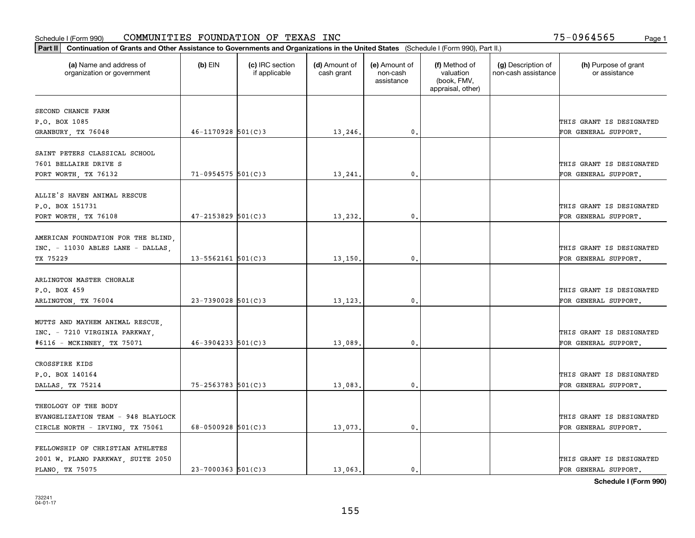| Part II   Continuation of Grants and Other Assistance to Governments and Organizations in the United States (Schedule I (Form 990), Part II.) |                          |                                  |                             |                                         |                                                                |                                           |                                       |
|-----------------------------------------------------------------------------------------------------------------------------------------------|--------------------------|----------------------------------|-----------------------------|-----------------------------------------|----------------------------------------------------------------|-------------------------------------------|---------------------------------------|
| (a) Name and address of<br>organization or government                                                                                         | $(b)$ EIN                | (c) IRC section<br>if applicable | (d) Amount of<br>cash grant | (e) Amount of<br>non-cash<br>assistance | (f) Method of<br>valuation<br>(book, FMV,<br>appraisal, other) | (g) Description of<br>non-cash assistance | (h) Purpose of grant<br>or assistance |
|                                                                                                                                               |                          |                                  |                             |                                         |                                                                |                                           |                                       |
| SECOND CHANCE FARM<br>P.O. BOX 1085                                                                                                           |                          |                                  |                             |                                         |                                                                |                                           | THIS GRANT IS DESIGNATED              |
| GRANBURY, TX 76048                                                                                                                            | $46 - 1170928$ 501(C)3   |                                  | 13,246.                     | 0.                                      |                                                                |                                           | FOR GENERAL SUPPORT.                  |
|                                                                                                                                               |                          |                                  |                             |                                         |                                                                |                                           |                                       |
| SAINT PETERS CLASSICAL SCHOOL                                                                                                                 |                          |                                  |                             |                                         |                                                                |                                           |                                       |
| 7601 BELLAIRE DRIVE S                                                                                                                         |                          |                                  |                             |                                         |                                                                |                                           | THIS GRANT IS DESIGNATED              |
| FORT WORTH, TX 76132                                                                                                                          | $71 - 0954575$ 501(C)3   |                                  | 13,241                      | $^{\circ}$ .                            |                                                                |                                           | FOR GENERAL SUPPORT.                  |
|                                                                                                                                               |                          |                                  |                             |                                         |                                                                |                                           |                                       |
| ALLIE'S HAVEN ANIMAL RESCUE                                                                                                                   |                          |                                  |                             |                                         |                                                                |                                           |                                       |
| P.O. BOX 151731                                                                                                                               |                          |                                  |                             |                                         |                                                                |                                           | THIS GRANT IS DESIGNATED              |
| FORT WORTH, TX 76108                                                                                                                          | $47 - 2153829$ 501(C)3   |                                  | 13,232.                     | $^{\rm 0}$ .                            |                                                                |                                           | FOR GENERAL SUPPORT.                  |
|                                                                                                                                               |                          |                                  |                             |                                         |                                                                |                                           |                                       |
| AMERICAN FOUNDATION FOR THE BLIND,                                                                                                            |                          |                                  |                             |                                         |                                                                |                                           |                                       |
| INC. - 11030 ABLES LANE - DALLAS,                                                                                                             |                          |                                  |                             |                                         |                                                                |                                           | THIS GRANT IS DESIGNATED              |
| TX 75229                                                                                                                                      | $13 - 5562161$ $501(C)3$ |                                  | 13,150.                     | 0.                                      |                                                                |                                           | FOR GENERAL SUPPORT.                  |
|                                                                                                                                               |                          |                                  |                             |                                         |                                                                |                                           |                                       |
| ARLINGTON MASTER CHORALE                                                                                                                      |                          |                                  |                             |                                         |                                                                |                                           |                                       |
| P.O. BOX 459                                                                                                                                  |                          |                                  |                             |                                         |                                                                |                                           | THIS GRANT IS DESIGNATED              |
| ARLINGTON, TX 76004                                                                                                                           | $23 - 7390028$ 501(C)3   |                                  | 13,123.                     | 0.                                      |                                                                |                                           | FOR GENERAL SUPPORT.                  |
|                                                                                                                                               |                          |                                  |                             |                                         |                                                                |                                           |                                       |
| MUTTS AND MAYHEM ANIMAL RESCUE,                                                                                                               |                          |                                  |                             |                                         |                                                                |                                           |                                       |
| INC. - 7210 VIRGINIA PARKWAY,                                                                                                                 |                          |                                  |                             |                                         |                                                                |                                           | THIS GRANT IS DESIGNATED              |
| #6116 - MCKINNEY, TX 75071                                                                                                                    | $46 - 3904233$ 501(C)3   |                                  | 13,089                      | 0.                                      |                                                                |                                           | FOR GENERAL SUPPORT.                  |
|                                                                                                                                               |                          |                                  |                             |                                         |                                                                |                                           |                                       |
| CROSSFIRE KIDS                                                                                                                                |                          |                                  |                             |                                         |                                                                |                                           |                                       |
| P.O. BOX 140164                                                                                                                               |                          |                                  |                             |                                         |                                                                |                                           | THIS GRANT IS DESIGNATED              |
| DALLAS, TX 75214                                                                                                                              | $75 - 2563783$ 501(C)3   |                                  | 13,083.                     | 0.                                      |                                                                |                                           | FOR GENERAL SUPPORT.                  |
|                                                                                                                                               |                          |                                  |                             |                                         |                                                                |                                           |                                       |
| THEOLOGY OF THE BODY                                                                                                                          |                          |                                  |                             |                                         |                                                                |                                           |                                       |
| EVANGELIZATION TEAM - 948 BLAYLOCK                                                                                                            |                          |                                  |                             |                                         |                                                                |                                           | THIS GRANT IS DESIGNATED              |
| CIRCLE NORTH - IRVING, TX 75061                                                                                                               | 68-0500928 $501(C)3$     |                                  | 13,073.                     | 0.                                      |                                                                |                                           | FOR GENERAL SUPPORT.                  |
| FELLOWSHIP OF CHRISTIAN ATHLETES                                                                                                              |                          |                                  |                             |                                         |                                                                |                                           |                                       |
| 2001 W. PLANO PARKWAY, SUITE 2050                                                                                                             |                          |                                  |                             |                                         |                                                                |                                           | THIS GRANT IS DESIGNATED              |
| PLANO, TX 75075                                                                                                                               | $23 - 7000363$ 501(C)3   |                                  | 13,063.                     | $\mathbf{0}$ .                          |                                                                |                                           | FOR GENERAL SUPPORT.                  |
|                                                                                                                                               |                          |                                  |                             |                                         |                                                                |                                           |                                       |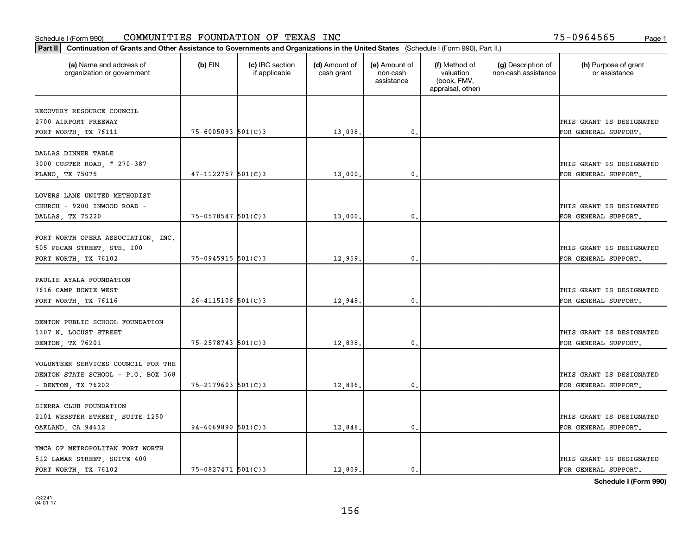| Part II   Continuation of Grants and Other Assistance to Governments and Organizations in the United States (Schedule I (Form 990), Part II.) |                        |                                  |                             |                                         |                                                                |                                           |                                       |
|-----------------------------------------------------------------------------------------------------------------------------------------------|------------------------|----------------------------------|-----------------------------|-----------------------------------------|----------------------------------------------------------------|-------------------------------------------|---------------------------------------|
| (a) Name and address of<br>organization or government                                                                                         | $(b)$ EIN              | (c) IRC section<br>if applicable | (d) Amount of<br>cash grant | (e) Amount of<br>non-cash<br>assistance | (f) Method of<br>valuation<br>(book, FMV,<br>appraisal, other) | (g) Description of<br>non-cash assistance | (h) Purpose of grant<br>or assistance |
|                                                                                                                                               |                        |                                  |                             |                                         |                                                                |                                           |                                       |
| RECOVERY RESOURCE COUNCIL                                                                                                                     |                        |                                  |                             |                                         |                                                                |                                           |                                       |
| 2700 AIRPORT FREEWAY                                                                                                                          | $75 - 6005093$ 501(C)3 |                                  |                             |                                         |                                                                |                                           | THIS GRANT IS DESIGNATED              |
| FORT WORTH, TX 76111                                                                                                                          |                        |                                  | 13,038.                     | 0.                                      |                                                                |                                           | FOR GENERAL SUPPORT.                  |
| DALLAS DINNER TABLE                                                                                                                           |                        |                                  |                             |                                         |                                                                |                                           |                                       |
| 3000 CUSTER ROAD, # 270-387                                                                                                                   |                        |                                  |                             |                                         |                                                                |                                           | THIS GRANT IS DESIGNATED              |
| PLANO, TX 75075                                                                                                                               | $47 - 1122757$ 501(C)3 |                                  | 13,000                      | 0.                                      |                                                                |                                           | FOR GENERAL SUPPORT.                  |
|                                                                                                                                               |                        |                                  |                             |                                         |                                                                |                                           |                                       |
| LOVERS LANE UNITED METHODIST                                                                                                                  |                        |                                  |                             |                                         |                                                                |                                           |                                       |
| CHURCH - 9200 INWOOD ROAD -                                                                                                                   |                        |                                  |                             |                                         |                                                                |                                           | THIS GRANT IS DESIGNATED              |
| DALLAS, TX 75220                                                                                                                              | $75 - 0578547$ 501(C)3 |                                  | 13,000                      | 0.                                      |                                                                |                                           | FOR GENERAL SUPPORT.                  |
|                                                                                                                                               |                        |                                  |                             |                                         |                                                                |                                           |                                       |
| FORT WORTH OPERA ASSOCIATION, INC.                                                                                                            |                        |                                  |                             |                                         |                                                                |                                           |                                       |
| 505 PECAN STREET, STE. 100                                                                                                                    |                        |                                  |                             |                                         |                                                                |                                           | THIS GRANT IS DESIGNATED              |
| FORT WORTH, TX 76102                                                                                                                          | $75 - 0945915$ 501(C)3 |                                  | 12,959                      | 0.                                      |                                                                |                                           | FOR GENERAL SUPPORT.                  |
|                                                                                                                                               |                        |                                  |                             |                                         |                                                                |                                           |                                       |
| PAULIE AYALA FOUNDATION                                                                                                                       |                        |                                  |                             |                                         |                                                                |                                           |                                       |
| 7616 CAMP BOWIE WEST                                                                                                                          |                        |                                  |                             |                                         |                                                                |                                           | THIS GRANT IS DESIGNATED              |
| FORT WORTH, TX 76116                                                                                                                          | $26 - 4115106$ 501(C)3 |                                  | 12,948                      | 0.                                      |                                                                |                                           | FOR GENERAL SUPPORT.                  |
|                                                                                                                                               |                        |                                  |                             |                                         |                                                                |                                           |                                       |
| DENTON PUBLIC SCHOOL FOUNDATION                                                                                                               |                        |                                  |                             |                                         |                                                                |                                           |                                       |
| 1307 N. LOCUST STREET                                                                                                                         |                        |                                  |                             |                                         |                                                                |                                           | THIS GRANT IS DESIGNATED              |
| DENTON, TX 76201                                                                                                                              | $75 - 2578743$ 501(C)3 |                                  | 12,898                      | 0.                                      |                                                                |                                           | FOR GENERAL SUPPORT.                  |
|                                                                                                                                               |                        |                                  |                             |                                         |                                                                |                                           |                                       |
| VOLUNTEER SERVICES COUNCIL FOR THE                                                                                                            |                        |                                  |                             |                                         |                                                                |                                           |                                       |
| DENTON STATE SCHOOL - P.O. BOX 368                                                                                                            |                        |                                  |                             |                                         |                                                                |                                           | THIS GRANT IS DESIGNATED              |
| - DENTON, TX 76202                                                                                                                            | 75-2179603 501(C)3     |                                  | 12,896.                     | 0.                                      |                                                                |                                           | FOR GENERAL SUPPORT.                  |
|                                                                                                                                               |                        |                                  |                             |                                         |                                                                |                                           |                                       |
| SIERRA CLUB FOUNDATION                                                                                                                        |                        |                                  |                             |                                         |                                                                |                                           |                                       |
| 2101 WEBSTER STREET, SUITE 1250                                                                                                               |                        |                                  |                             |                                         |                                                                |                                           | THIS GRANT IS DESIGNATED              |
| OAKLAND, CA 94612                                                                                                                             | $94 - 6069890$ 501(C)3 |                                  | 12,848.                     | 0.                                      |                                                                |                                           | FOR GENERAL SUPPORT.                  |
|                                                                                                                                               |                        |                                  |                             |                                         |                                                                |                                           |                                       |
| YMCA OF METROPOLITAN FORT WORTH                                                                                                               |                        |                                  |                             |                                         |                                                                |                                           |                                       |
| 512 LAMAR STREET, SUITE 400                                                                                                                   |                        |                                  |                             |                                         |                                                                |                                           | THIS GRANT IS DESIGNATED              |
| FORT WORTH, TX 76102                                                                                                                          | 75-0827471 501(C)3     |                                  | 12,809.                     | 0.                                      |                                                                |                                           | FOR GENERAL SUPPORT.                  |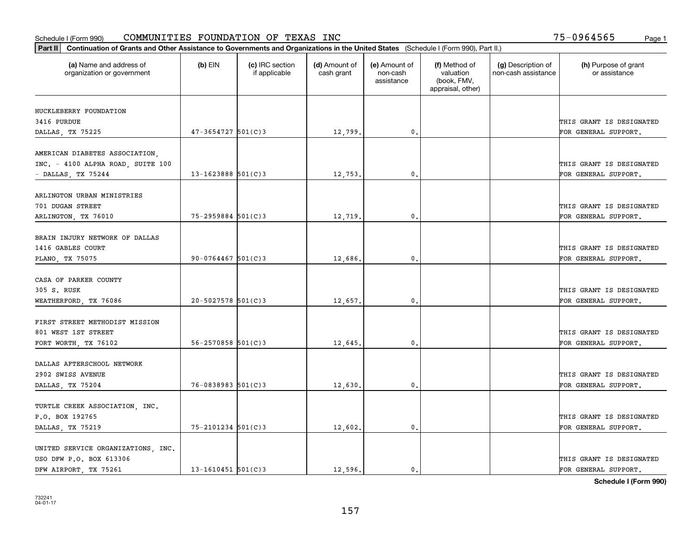| Part II   Continuation of Grants and Other Assistance to Governments and Organizations in the United States (Schedule I (Form 990), Part II.) |                          |                                  |                             |                                         |                                                                |                                           |                                       |
|-----------------------------------------------------------------------------------------------------------------------------------------------|--------------------------|----------------------------------|-----------------------------|-----------------------------------------|----------------------------------------------------------------|-------------------------------------------|---------------------------------------|
| (a) Name and address of<br>organization or government                                                                                         | $(b)$ EIN                | (c) IRC section<br>if applicable | (d) Amount of<br>cash grant | (e) Amount of<br>non-cash<br>assistance | (f) Method of<br>valuation<br>(book, FMV,<br>appraisal, other) | (g) Description of<br>non-cash assistance | (h) Purpose of grant<br>or assistance |
| HUCKLEBERRY FOUNDATION                                                                                                                        |                          |                                  |                             |                                         |                                                                |                                           |                                       |
| 3416 PURDUE                                                                                                                                   |                          |                                  |                             |                                         |                                                                |                                           | THIS GRANT IS DESIGNATED              |
| DALLAS, TX 75225                                                                                                                              | $47 - 3654727$ 501(C)3   |                                  | 12,799.                     | 0.                                      |                                                                |                                           | FOR GENERAL SUPPORT.                  |
|                                                                                                                                               |                          |                                  |                             |                                         |                                                                |                                           |                                       |
| AMERICAN DIABETES ASSOCIATION,                                                                                                                |                          |                                  |                             |                                         |                                                                |                                           |                                       |
| INC. - 4100 ALPHA ROAD, SUITE 100                                                                                                             |                          |                                  |                             |                                         |                                                                |                                           | THIS GRANT IS DESIGNATED              |
| - DALLAS, TX 75244                                                                                                                            | $13 - 1623888$ 501(C)3   |                                  | 12,753.                     | 0.                                      |                                                                |                                           | FOR GENERAL SUPPORT.                  |
|                                                                                                                                               |                          |                                  |                             |                                         |                                                                |                                           |                                       |
| ARLINGTON URBAN MINISTRIES                                                                                                                    |                          |                                  |                             |                                         |                                                                |                                           |                                       |
| 701 DUGAN STREET                                                                                                                              |                          |                                  |                             | $\mathbf{0}$ .                          |                                                                |                                           | THIS GRANT IS DESIGNATED              |
| ARLINGTON, TX 76010                                                                                                                           | $75 - 2959884$ 501(C)3   |                                  | 12,719.                     |                                         |                                                                |                                           | FOR GENERAL SUPPORT.                  |
| BRAIN INJURY NETWORK OF DALLAS                                                                                                                |                          |                                  |                             |                                         |                                                                |                                           |                                       |
| 1416 GABLES COURT                                                                                                                             |                          |                                  |                             |                                         |                                                                |                                           | THIS GRANT IS DESIGNATED              |
| PLANO, TX 75075                                                                                                                               | $90 - 0764467$ 501(C)3   |                                  | 12,686.                     | $\mathbf{0}$                            |                                                                |                                           | FOR GENERAL SUPPORT.                  |
|                                                                                                                                               |                          |                                  |                             |                                         |                                                                |                                           |                                       |
| CASA OF PARKER COUNTY                                                                                                                         |                          |                                  |                             |                                         |                                                                |                                           |                                       |
| 305 S. RUSK                                                                                                                                   |                          |                                  |                             |                                         |                                                                |                                           | THIS GRANT IS DESIGNATED              |
| WEATHERFORD, TX 76086                                                                                                                         | $20 - 5027578$ 501(C)3   |                                  | 12,657.                     | $\mathbf{0}$                            |                                                                |                                           | FOR GENERAL SUPPORT.                  |
|                                                                                                                                               |                          |                                  |                             |                                         |                                                                |                                           |                                       |
| FIRST STREET METHODIST MISSION                                                                                                                |                          |                                  |                             |                                         |                                                                |                                           |                                       |
| 801 WEST 1ST STREET                                                                                                                           |                          |                                  |                             |                                         |                                                                |                                           | THIS GRANT IS DESIGNATED              |
| FORT WORTH, TX 76102                                                                                                                          | $56 - 2570858$ $501(C)3$ |                                  | 12,645.                     | 0.                                      |                                                                |                                           | FOR GENERAL SUPPORT.                  |
| DALLAS AFTERSCHOOL NETWORK                                                                                                                    |                          |                                  |                             |                                         |                                                                |                                           |                                       |
| 2902 SWISS AVENUE                                                                                                                             |                          |                                  |                             |                                         |                                                                |                                           | THIS GRANT IS DESIGNATED              |
| DALLAS, TX 75204                                                                                                                              | $76 - 0838983$ $501(C)3$ |                                  | 12,630.                     | $^{\rm 0}$ .                            |                                                                |                                           | FOR GENERAL SUPPORT.                  |
|                                                                                                                                               |                          |                                  |                             |                                         |                                                                |                                           |                                       |
| TURTLE CREEK ASSOCIATION, INC.                                                                                                                |                          |                                  |                             |                                         |                                                                |                                           |                                       |
| P.O. BOX 192765                                                                                                                               |                          |                                  |                             |                                         |                                                                |                                           | THIS GRANT IS DESIGNATED              |
| DALLAS, TX 75219                                                                                                                              | $75 - 2101234$ 501(C)3   |                                  | 12,602.                     | $\mathfrak{o}$ .                        |                                                                |                                           | FOR GENERAL SUPPORT.                  |
|                                                                                                                                               |                          |                                  |                             |                                         |                                                                |                                           |                                       |
| UNITED SERVICE ORGANIZATIONS, INC.                                                                                                            |                          |                                  |                             |                                         |                                                                |                                           |                                       |
| USO DFW P.O. BOX 613306                                                                                                                       |                          |                                  |                             |                                         |                                                                |                                           | THIS GRANT IS DESIGNATED              |
| DFW AIRPORT, TX 75261                                                                                                                         | $13 - 1610451$ 501(C)3   |                                  | 12,596.                     | $\mathbf{0}$ .                          |                                                                |                                           | FOR GENERAL SUPPORT.                  |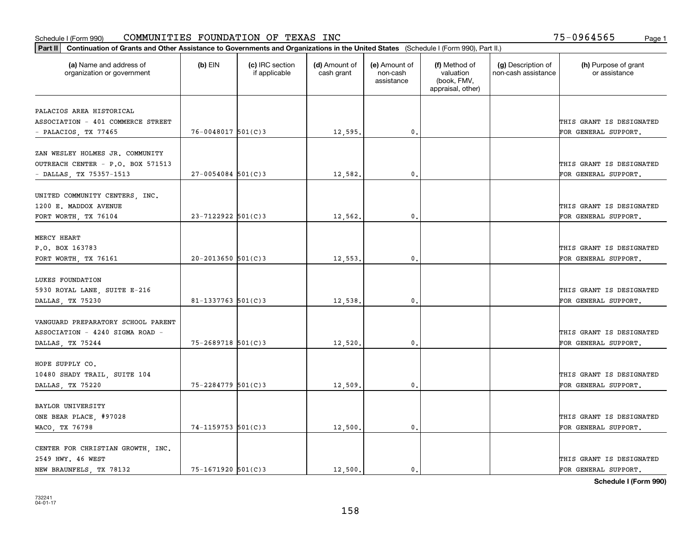#### Schedule I (Form 990) Page 1 COMMUNITIES FOUNDATION OF TEXAS INC 75-0964565

| Part II   Continuation of Grants and Other Assistance to Governments and Organizations in the United States (Schedule I (Form 990), Part II.) |                        |                                  |                             |                                         |                                                                |                                           |                                       |
|-----------------------------------------------------------------------------------------------------------------------------------------------|------------------------|----------------------------------|-----------------------------|-----------------------------------------|----------------------------------------------------------------|-------------------------------------------|---------------------------------------|
| (a) Name and address of<br>organization or government                                                                                         | $(b)$ EIN              | (c) IRC section<br>if applicable | (d) Amount of<br>cash grant | (e) Amount of<br>non-cash<br>assistance | (f) Method of<br>valuation<br>(book, FMV,<br>appraisal, other) | (g) Description of<br>non-cash assistance | (h) Purpose of grant<br>or assistance |
| PALACIOS AREA HISTORICAL                                                                                                                      |                        |                                  |                             |                                         |                                                                |                                           |                                       |
| ASSOCIATION - 401 COMMERCE STREET                                                                                                             |                        |                                  |                             |                                         |                                                                |                                           | THIS GRANT IS DESIGNATED              |
| - PALACIOS, TX 77465                                                                                                                          | 76-0048017 501(C)3     |                                  | 12,595.                     | $\mathbf{0}$ .                          |                                                                |                                           | FOR GENERAL SUPPORT.                  |
|                                                                                                                                               |                        |                                  |                             |                                         |                                                                |                                           |                                       |
| ZAN WESLEY HOLMES JR. COMMUNITY                                                                                                               |                        |                                  |                             |                                         |                                                                |                                           |                                       |
| OUTREACH CENTER - P.O. BOX 571513                                                                                                             |                        |                                  |                             |                                         |                                                                |                                           | THIS GRANT IS DESIGNATED              |
| - DALLAS, TX 75357-1513                                                                                                                       | $27 - 0054084$ 501(C)3 |                                  | 12,582.                     | 0.                                      |                                                                |                                           | FOR GENERAL SUPPORT.                  |
|                                                                                                                                               |                        |                                  |                             |                                         |                                                                |                                           |                                       |
| UNITED COMMUNITY CENTERS, INC.<br>1200 E. MADDOX AVENUE                                                                                       |                        |                                  |                             |                                         |                                                                |                                           | THIS GRANT IS DESIGNATED              |
| FORT WORTH, TX 76104                                                                                                                          | $23 - 7122922$ 501(C)3 |                                  | 12,562.                     | $\mathbf{0}$ .                          |                                                                |                                           | FOR GENERAL SUPPORT.                  |
|                                                                                                                                               |                        |                                  |                             |                                         |                                                                |                                           |                                       |
| MERCY HEART                                                                                                                                   |                        |                                  |                             |                                         |                                                                |                                           |                                       |
| P.O. BOX 163783                                                                                                                               |                        |                                  |                             |                                         |                                                                |                                           | THIS GRANT IS DESIGNATED              |
| FORT WORTH, TX 76161                                                                                                                          | $20 - 2013650$ 501(C)3 |                                  | 12,553.                     | 0.                                      |                                                                |                                           | FOR GENERAL SUPPORT.                  |
|                                                                                                                                               |                        |                                  |                             |                                         |                                                                |                                           |                                       |
| LUKES FOUNDATION                                                                                                                              |                        |                                  |                             |                                         |                                                                |                                           |                                       |
| 5930 ROYAL LANE, SUITE E-216                                                                                                                  |                        |                                  |                             |                                         |                                                                |                                           | THIS GRANT IS DESIGNATED              |
| DALLAS, TX 75230                                                                                                                              | 81-1337763 $501(C)$ 3  |                                  | 12,538.                     | 0.                                      |                                                                |                                           | FOR GENERAL SUPPORT.                  |
| VANGUARD PREPARATORY SCHOOL PARENT                                                                                                            |                        |                                  |                             |                                         |                                                                |                                           |                                       |
| ASSOCIATION - 4240 SIGMA ROAD -                                                                                                               |                        |                                  |                             |                                         |                                                                |                                           | THIS GRANT IS DESIGNATED              |
| DALLAS, TX 75244                                                                                                                              | 75-2689718 501(C)3     |                                  | 12,520,                     | 0.                                      |                                                                |                                           | FOR GENERAL SUPPORT.                  |
|                                                                                                                                               |                        |                                  |                             |                                         |                                                                |                                           |                                       |
| HOPE SUPPLY CO.                                                                                                                               |                        |                                  |                             |                                         |                                                                |                                           |                                       |
| 10480 SHADY TRAIL, SUITE 104                                                                                                                  |                        |                                  |                             |                                         |                                                                |                                           | THIS GRANT IS DESIGNATED              |
| DALLAS, TX 75220                                                                                                                              | 75-2284779 501(C)3     |                                  | 12,509.                     | $\mathbf{0}$ .                          |                                                                |                                           | FOR GENERAL SUPPORT.                  |
|                                                                                                                                               |                        |                                  |                             |                                         |                                                                |                                           |                                       |
| <b>BAYLOR UNIVERSITY</b>                                                                                                                      |                        |                                  |                             |                                         |                                                                |                                           |                                       |
| ONE BEAR PLACE, #97028                                                                                                                        |                        |                                  |                             |                                         |                                                                |                                           | THIS GRANT IS DESIGNATED              |
| WACO, TX 76798                                                                                                                                | 74-1159753 501(C)3     |                                  | 12,500.                     | 0.                                      |                                                                |                                           | FOR GENERAL SUPPORT.                  |
| CENTER FOR CHRISTIAN GROWTH, INC.                                                                                                             |                        |                                  |                             |                                         |                                                                |                                           |                                       |
| 2549 HWY. 46 WEST                                                                                                                             |                        |                                  |                             |                                         |                                                                |                                           | THIS GRANT IS DESIGNATED              |
| NEW BRAUNFELS, TX 78132                                                                                                                       | 75-1671920 501(C)3     |                                  | 12,500.                     | 0.                                      |                                                                |                                           | FOR GENERAL SUPPORT.                  |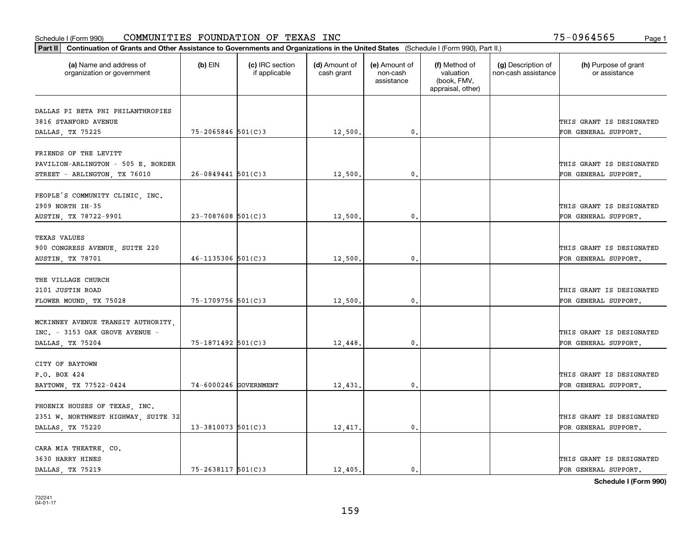|                                                                      | Part II   Continuation of Grants and Other Assistance to Governments and Organizations in the United States (Schedule I (Form 990), Part II.) |                                  |                             |                                         |                                                                |                                           |                                       |  |  |  |  |
|----------------------------------------------------------------------|-----------------------------------------------------------------------------------------------------------------------------------------------|----------------------------------|-----------------------------|-----------------------------------------|----------------------------------------------------------------|-------------------------------------------|---------------------------------------|--|--|--|--|
| (a) Name and address of<br>organization or government                | $(b)$ EIN                                                                                                                                     | (c) IRC section<br>if applicable | (d) Amount of<br>cash grant | (e) Amount of<br>non-cash<br>assistance | (f) Method of<br>valuation<br>(book, FMV,<br>appraisal, other) | (g) Description of<br>non-cash assistance | (h) Purpose of grant<br>or assistance |  |  |  |  |
|                                                                      |                                                                                                                                               |                                  |                             |                                         |                                                                |                                           |                                       |  |  |  |  |
| DALLAS PI BETA PHI PHILANTHROPIES<br>3816 STANFORD AVENUE            |                                                                                                                                               |                                  |                             |                                         |                                                                |                                           | THIS GRANT IS DESIGNATED              |  |  |  |  |
| DALLAS, TX 75225                                                     | $75 - 2065846$ 501(C)3                                                                                                                        |                                  | 12,500.                     | 0.                                      |                                                                |                                           | FOR GENERAL SUPPORT.                  |  |  |  |  |
|                                                                      |                                                                                                                                               |                                  |                             |                                         |                                                                |                                           |                                       |  |  |  |  |
| FRIENDS OF THE LEVITT                                                |                                                                                                                                               |                                  |                             |                                         |                                                                |                                           |                                       |  |  |  |  |
| PAVILION-ARLINGTON - 505 E. BORDER                                   |                                                                                                                                               |                                  |                             |                                         |                                                                |                                           | THIS GRANT IS DESIGNATED              |  |  |  |  |
| STREET - ARLINGTON, TX 76010                                         | $26 - 0849441$ 501(C)3                                                                                                                        |                                  | 12,500                      | 0.                                      |                                                                |                                           | FOR GENERAL SUPPORT.                  |  |  |  |  |
|                                                                      |                                                                                                                                               |                                  |                             |                                         |                                                                |                                           |                                       |  |  |  |  |
| PEOPLE'S COMMUNITY CLINIC, INC.                                      |                                                                                                                                               |                                  |                             |                                         |                                                                |                                           |                                       |  |  |  |  |
| 2909 NORTH IH-35                                                     |                                                                                                                                               |                                  |                             |                                         |                                                                |                                           | THIS GRANT IS DESIGNATED              |  |  |  |  |
| AUSTIN, TX 78722-9901                                                | $23 - 7087608$ 501(C)3                                                                                                                        |                                  | 12,500.                     | $\mathfrak{o}$ .                        |                                                                |                                           | FOR GENERAL SUPPORT.                  |  |  |  |  |
| TEXAS VALUES                                                         |                                                                                                                                               |                                  |                             |                                         |                                                                |                                           |                                       |  |  |  |  |
| 900 CONGRESS AVENUE, SUITE 220                                       |                                                                                                                                               |                                  |                             |                                         |                                                                |                                           | THIS GRANT IS DESIGNATED              |  |  |  |  |
| AUSTIN, TX 78701                                                     | $46 - 1135306$ 501(C)3                                                                                                                        |                                  | 12,500                      | 0.                                      |                                                                |                                           | FOR GENERAL SUPPORT.                  |  |  |  |  |
|                                                                      |                                                                                                                                               |                                  |                             |                                         |                                                                |                                           |                                       |  |  |  |  |
| THE VILLAGE CHURCH                                                   |                                                                                                                                               |                                  |                             |                                         |                                                                |                                           |                                       |  |  |  |  |
| 2101 JUSTIN ROAD                                                     |                                                                                                                                               |                                  |                             |                                         |                                                                |                                           | THIS GRANT IS DESIGNATED              |  |  |  |  |
| FLOWER MOUND, TX 75028                                               | 75-1709756 501(C)3                                                                                                                            |                                  | 12,500                      | 0.                                      |                                                                |                                           | FOR GENERAL SUPPORT.                  |  |  |  |  |
|                                                                      |                                                                                                                                               |                                  |                             |                                         |                                                                |                                           |                                       |  |  |  |  |
| MCKINNEY AVENUE TRANSIT AUTHORITY                                    |                                                                                                                                               |                                  |                             |                                         |                                                                |                                           |                                       |  |  |  |  |
| INC. - 3153 OAK GROVE AVENUE -                                       |                                                                                                                                               |                                  |                             |                                         |                                                                |                                           | THIS GRANT IS DESIGNATED              |  |  |  |  |
| DALLAS, TX 75204                                                     | 75-1871492 501(C)3                                                                                                                            |                                  | 12,448.                     | 0.                                      |                                                                |                                           | FOR GENERAL SUPPORT.                  |  |  |  |  |
|                                                                      |                                                                                                                                               |                                  |                             |                                         |                                                                |                                           |                                       |  |  |  |  |
| CITY OF BAYTOWN                                                      |                                                                                                                                               |                                  |                             |                                         |                                                                |                                           |                                       |  |  |  |  |
| P.O. BOX 424                                                         |                                                                                                                                               |                                  |                             |                                         |                                                                |                                           | THIS GRANT IS DESIGNATED              |  |  |  |  |
| BAYTOWN, TX 77522-0424                                               | 74-6000246 GOVERNMENT                                                                                                                         |                                  | 12,431.                     | $^{\circ}$ .                            |                                                                |                                           | FOR GENERAL SUPPORT.                  |  |  |  |  |
|                                                                      |                                                                                                                                               |                                  |                             |                                         |                                                                |                                           |                                       |  |  |  |  |
| PHOENIX HOUSES OF TEXAS, INC.<br>2351 W. NORTHWEST HIGHWAY, SUITE 32 |                                                                                                                                               |                                  |                             |                                         |                                                                |                                           | THIS GRANT IS DESIGNATED              |  |  |  |  |
| DALLAS, TX 75220                                                     | $13 - 3810073$ 501(C)3                                                                                                                        |                                  | 12,417.                     | 0.                                      |                                                                |                                           | FOR GENERAL SUPPORT.                  |  |  |  |  |
|                                                                      |                                                                                                                                               |                                  |                             |                                         |                                                                |                                           |                                       |  |  |  |  |
| CARA MIA THEATRE, CO.                                                |                                                                                                                                               |                                  |                             |                                         |                                                                |                                           |                                       |  |  |  |  |
| 3630 HARRY HINES                                                     |                                                                                                                                               |                                  |                             |                                         |                                                                |                                           | THIS GRANT IS DESIGNATED              |  |  |  |  |
| DALLAS TX 75219                                                      | $75 - 2638117$ 501(C)3                                                                                                                        |                                  | 12,405.                     | 0.                                      |                                                                |                                           | FOR GENERAL SUPPORT.                  |  |  |  |  |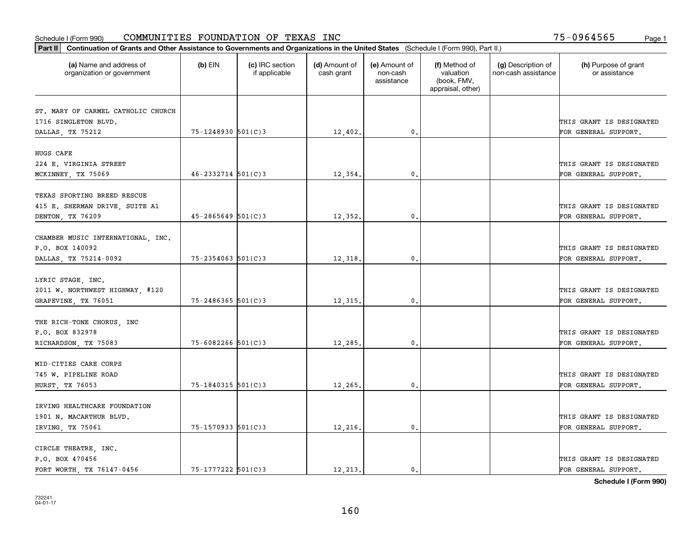|                                                       | Part II   Continuation of Grants and Other Assistance to Governments and Organizations in the United States (Schedule I (Form 990), Part II.) |                                  |                             |                                         |                                                                |                                           |                                                  |  |  |  |  |
|-------------------------------------------------------|-----------------------------------------------------------------------------------------------------------------------------------------------|----------------------------------|-----------------------------|-----------------------------------------|----------------------------------------------------------------|-------------------------------------------|--------------------------------------------------|--|--|--|--|
| (a) Name and address of<br>organization or government | $(b)$ EIN                                                                                                                                     | (c) IRC section<br>if applicable | (d) Amount of<br>cash grant | (e) Amount of<br>non-cash<br>assistance | (f) Method of<br>valuation<br>(book, FMV,<br>appraisal, other) | (g) Description of<br>non-cash assistance | (h) Purpose of grant<br>or assistance            |  |  |  |  |
|                                                       |                                                                                                                                               |                                  |                             |                                         |                                                                |                                           |                                                  |  |  |  |  |
| ST. MARY OF CARMEL CATHOLIC CHURCH                    |                                                                                                                                               |                                  |                             |                                         |                                                                |                                           |                                                  |  |  |  |  |
| 1716 SINGLETON BLVD.                                  | 75-1248930 501(C)3                                                                                                                            |                                  |                             | 0.                                      |                                                                |                                           | THIS GRANT IS DESIGNATED<br>FOR GENERAL SUPPORT. |  |  |  |  |
| DALLAS, TX 75212                                      |                                                                                                                                               |                                  | 12,402.                     |                                         |                                                                |                                           |                                                  |  |  |  |  |
| HUGS CAFE                                             |                                                                                                                                               |                                  |                             |                                         |                                                                |                                           |                                                  |  |  |  |  |
| 224 E. VIRGINIA STREET                                |                                                                                                                                               |                                  |                             |                                         |                                                                |                                           | THIS GRANT IS DESIGNATED                         |  |  |  |  |
| MCKINNEY, TX 75069                                    | $46 - 2332714$ 501(C)3                                                                                                                        |                                  | 12,354.                     | 0.                                      |                                                                |                                           | FOR GENERAL SUPPORT.                             |  |  |  |  |
|                                                       |                                                                                                                                               |                                  |                             |                                         |                                                                |                                           |                                                  |  |  |  |  |
| TEXAS SPORTING BREED RESCUE                           |                                                                                                                                               |                                  |                             |                                         |                                                                |                                           |                                                  |  |  |  |  |
| 415 E. SHERMAN DRIVE, SUITE A1                        |                                                                                                                                               |                                  |                             |                                         |                                                                |                                           | THIS GRANT IS DESIGNATED                         |  |  |  |  |
| DENTON, TX 76209                                      | $45 - 2865649$ 501(C)3                                                                                                                        |                                  | 12,352.                     | $\mathbf{0}$ .                          |                                                                |                                           | FOR GENERAL SUPPORT.                             |  |  |  |  |
|                                                       |                                                                                                                                               |                                  |                             |                                         |                                                                |                                           |                                                  |  |  |  |  |
| CHAMBER MUSIC INTERNATIONAL, INC.                     |                                                                                                                                               |                                  |                             |                                         |                                                                |                                           |                                                  |  |  |  |  |
| P.O. BOX 140092                                       |                                                                                                                                               |                                  |                             |                                         |                                                                |                                           | THIS GRANT IS DESIGNATED                         |  |  |  |  |
| DALLAS, TX 75214-0092                                 | $75 - 2354063$ 501(C)3                                                                                                                        |                                  | 12,318.                     | 0.                                      |                                                                |                                           | FOR GENERAL SUPPORT.                             |  |  |  |  |
|                                                       |                                                                                                                                               |                                  |                             |                                         |                                                                |                                           |                                                  |  |  |  |  |
| LYRIC STAGE, INC.                                     |                                                                                                                                               |                                  |                             |                                         |                                                                |                                           |                                                  |  |  |  |  |
| 2011 W. NORTHWEST HIGHWAY, #120                       |                                                                                                                                               |                                  |                             |                                         |                                                                |                                           | THIS GRANT IS DESIGNATED                         |  |  |  |  |
| GRAPEVINE, TX 76051                                   | $75 - 2486365$ 501(C)3                                                                                                                        |                                  | 12,315.                     | 0.                                      |                                                                |                                           | FOR GENERAL SUPPORT.                             |  |  |  |  |
|                                                       |                                                                                                                                               |                                  |                             |                                         |                                                                |                                           |                                                  |  |  |  |  |
| THE RICH-TONE CHORUS, INC                             |                                                                                                                                               |                                  |                             |                                         |                                                                |                                           |                                                  |  |  |  |  |
| P.O. BOX 832978                                       |                                                                                                                                               |                                  |                             |                                         |                                                                |                                           | THIS GRANT IS DESIGNATED                         |  |  |  |  |
| RICHARDSON, TX 75083                                  | $75 - 6082266$ 501(C)3                                                                                                                        |                                  | 12,285.                     | 0.                                      |                                                                |                                           | FOR GENERAL SUPPORT.                             |  |  |  |  |
|                                                       |                                                                                                                                               |                                  |                             |                                         |                                                                |                                           |                                                  |  |  |  |  |
| MID-CITIES CARE CORPS                                 |                                                                                                                                               |                                  |                             |                                         |                                                                |                                           |                                                  |  |  |  |  |
| 745 W. PIPELINE ROAD                                  |                                                                                                                                               |                                  |                             |                                         |                                                                |                                           | THIS GRANT IS DESIGNATED                         |  |  |  |  |
| HURST, TX 76053                                       | $75 - 1840315$ 501(C)3                                                                                                                        |                                  | 12,265.                     | $\mathbf{0}$ .                          |                                                                |                                           | FOR GENERAL SUPPORT.                             |  |  |  |  |
|                                                       |                                                                                                                                               |                                  |                             |                                         |                                                                |                                           |                                                  |  |  |  |  |
| IRVING HEALTHCARE FOUNDATION                          |                                                                                                                                               |                                  |                             |                                         |                                                                |                                           |                                                  |  |  |  |  |
| 1901 N. MACARTHUR BLVD.                               |                                                                                                                                               |                                  |                             |                                         |                                                                |                                           | THIS GRANT IS DESIGNATED                         |  |  |  |  |
| IRVING, TX 75061                                      | $75 - 1570933$ 501(C)3                                                                                                                        |                                  | 12,216.                     | 0.                                      |                                                                |                                           | FOR GENERAL SUPPORT.                             |  |  |  |  |
| CIRCLE THEATRE, INC.                                  |                                                                                                                                               |                                  |                             |                                         |                                                                |                                           |                                                  |  |  |  |  |
| P.O. BOX 470456                                       |                                                                                                                                               |                                  |                             |                                         |                                                                |                                           | THIS GRANT IS DESIGNATED                         |  |  |  |  |
| FORT WORTH, TX 76147-0456                             | $75 - 1777222$ 501(C)3                                                                                                                        |                                  | 12, 213.                    | 0.                                      |                                                                |                                           | FOR GENERAL SUPPORT.                             |  |  |  |  |
|                                                       |                                                                                                                                               |                                  |                             |                                         |                                                                |                                           |                                                  |  |  |  |  |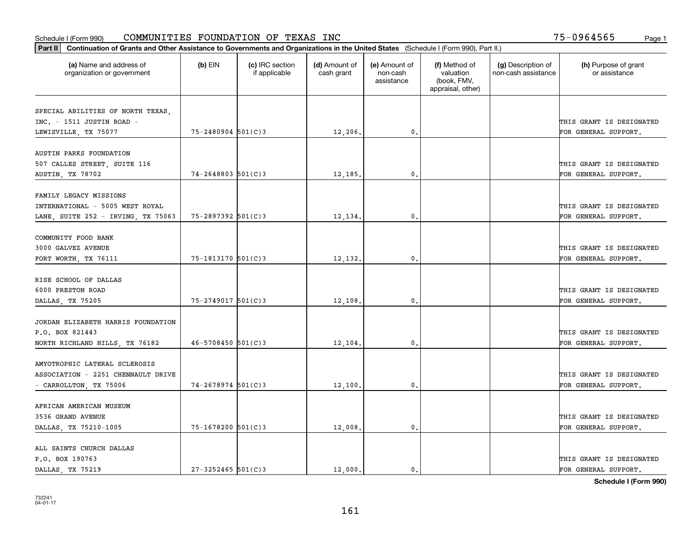| Part II   Continuation of Grants and Other Assistance to Governments and Organizations in the United States (Schedule I (Form 990), Part II.) |                        |                                  |                             |                                         |                                                                |                                           |                                       |
|-----------------------------------------------------------------------------------------------------------------------------------------------|------------------------|----------------------------------|-----------------------------|-----------------------------------------|----------------------------------------------------------------|-------------------------------------------|---------------------------------------|
| (a) Name and address of<br>organization or government                                                                                         | $(b)$ EIN              | (c) IRC section<br>if applicable | (d) Amount of<br>cash grant | (e) Amount of<br>non-cash<br>assistance | (f) Method of<br>valuation<br>(book, FMV,<br>appraisal, other) | (g) Description of<br>non-cash assistance | (h) Purpose of grant<br>or assistance |
|                                                                                                                                               |                        |                                  |                             |                                         |                                                                |                                           |                                       |
| SPECIAL ABILITIES OF NORTH TEXAS,<br>$INC. - 1511$ JUSTIN ROAD -                                                                              |                        |                                  |                             |                                         |                                                                |                                           | THIS GRANT IS DESIGNATED              |
| LEWISVILLE, TX 75077                                                                                                                          | $75 - 2480904$ 501(C)3 |                                  | 12,206.                     | $\mathbf{0}$ .                          |                                                                |                                           | FOR GENERAL SUPPORT.                  |
|                                                                                                                                               |                        |                                  |                             |                                         |                                                                |                                           |                                       |
| AUSTIN PARKS FOUNDATION                                                                                                                       |                        |                                  |                             |                                         |                                                                |                                           |                                       |
| 507 CALLES STREET, SUITE 116                                                                                                                  |                        |                                  |                             |                                         |                                                                |                                           | THIS GRANT IS DESIGNATED              |
| AUSTIN, TX 78702                                                                                                                              | $74 - 2648803$ 501(C)3 |                                  | 12,185                      | 0.                                      |                                                                |                                           | FOR GENERAL SUPPORT.                  |
|                                                                                                                                               |                        |                                  |                             |                                         |                                                                |                                           |                                       |
| FAMILY LEGACY MISSIONS                                                                                                                        |                        |                                  |                             |                                         |                                                                |                                           |                                       |
| INTERNATIONAL - 5005 WEST ROYAL                                                                                                               |                        |                                  |                             |                                         |                                                                |                                           | THIS GRANT IS DESIGNATED              |
| LANE, SUITE 252 - IRVING, TX 75063                                                                                                            | 75-2897392 501(C)3     |                                  | 12,134.                     | $\mathbf{0}$ .                          |                                                                |                                           | FOR GENERAL SUPPORT.                  |
|                                                                                                                                               |                        |                                  |                             |                                         |                                                                |                                           |                                       |
| COMMUNITY FOOD BANK                                                                                                                           |                        |                                  |                             |                                         |                                                                |                                           |                                       |
| 3000 GALVEZ AVENUE                                                                                                                            |                        |                                  |                             |                                         |                                                                |                                           | THIS GRANT IS DESIGNATED              |
| FORT WORTH, TX 76111                                                                                                                          | 75-1813170 501(C)3     |                                  | 12,132.                     | 0.                                      |                                                                |                                           | FOR GENERAL SUPPORT.                  |
|                                                                                                                                               |                        |                                  |                             |                                         |                                                                |                                           |                                       |
| RISE SCHOOL OF DALLAS                                                                                                                         |                        |                                  |                             |                                         |                                                                |                                           |                                       |
| 6000 PRESTON ROAD                                                                                                                             |                        |                                  |                             |                                         |                                                                |                                           | THIS GRANT IS DESIGNATED              |
| DALLAS, TX 75205                                                                                                                              | 75-2749017 501(C)3     |                                  | 12,108.                     | 0.                                      |                                                                |                                           | FOR GENERAL SUPPORT.                  |
| JORDAN ELIZABETH HARRIS FOUNDATION                                                                                                            |                        |                                  |                             |                                         |                                                                |                                           |                                       |
|                                                                                                                                               |                        |                                  |                             |                                         |                                                                |                                           |                                       |
| P.O. BOX 821443                                                                                                                               | $46 - 5708450$ 501(C)3 |                                  |                             | 0.                                      |                                                                |                                           | THIS GRANT IS DESIGNATED              |
| NORTH RICHLAND HILLS, TX 76182                                                                                                                |                        |                                  | 12,104                      |                                         |                                                                |                                           | FOR GENERAL SUPPORT.                  |
| AMYOTROPHIC LATERAL SCLEROSIS                                                                                                                 |                        |                                  |                             |                                         |                                                                |                                           |                                       |
| ASSOCIATION - 2251 CHENNAULT DRIVE                                                                                                            |                        |                                  |                             |                                         |                                                                |                                           | THIS GRANT IS DESIGNATED              |
| - CARROLLTON, TX 75006                                                                                                                        | 74-2678974 501(C)3     |                                  | 12,100.                     | $\mathbf{0}$ .                          |                                                                |                                           | FOR GENERAL SUPPORT.                  |
|                                                                                                                                               |                        |                                  |                             |                                         |                                                                |                                           |                                       |
| AFRICAN AMERICAN MUSEUM                                                                                                                       |                        |                                  |                             |                                         |                                                                |                                           |                                       |
| 3536 GRAND AVENUE                                                                                                                             |                        |                                  |                             |                                         |                                                                |                                           | THIS GRANT IS DESIGNATED              |
| DALLAS, TX 75210-1005                                                                                                                         | 75-1678200 501(C)3     |                                  | 12,008.                     | 0.                                      |                                                                |                                           | FOR GENERAL SUPPORT.                  |
|                                                                                                                                               |                        |                                  |                             |                                         |                                                                |                                           |                                       |
| ALL SAINTS CHURCH DALLAS                                                                                                                      |                        |                                  |                             |                                         |                                                                |                                           |                                       |
| P.O. BOX 190763                                                                                                                               |                        |                                  |                             |                                         |                                                                |                                           | THIS GRANT IS DESIGNATED              |
| DALLAS, TX 75219                                                                                                                              | $27 - 3252465$ 501(C)3 |                                  | 12,000.                     | 0.                                      |                                                                |                                           | FOR GENERAL SUPPORT.                  |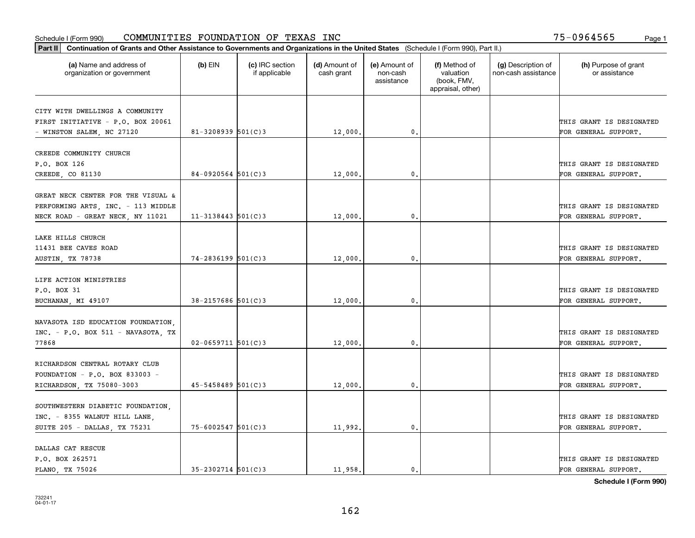|                                                                      | Part II   Continuation of Grants and Other Assistance to Governments and Organizations in the United States (Schedule I (Form 990), Part II.) |                                  |                             |                                         |                                                                |                                           |                                       |  |  |  |  |
|----------------------------------------------------------------------|-----------------------------------------------------------------------------------------------------------------------------------------------|----------------------------------|-----------------------------|-----------------------------------------|----------------------------------------------------------------|-------------------------------------------|---------------------------------------|--|--|--|--|
| (a) Name and address of<br>organization or government                | $(b)$ EIN                                                                                                                                     | (c) IRC section<br>if applicable | (d) Amount of<br>cash grant | (e) Amount of<br>non-cash<br>assistance | (f) Method of<br>valuation<br>(book, FMV,<br>appraisal, other) | (g) Description of<br>non-cash assistance | (h) Purpose of grant<br>or assistance |  |  |  |  |
|                                                                      |                                                                                                                                               |                                  |                             |                                         |                                                                |                                           |                                       |  |  |  |  |
| CITY WITH DWELLINGS A COMMUNITY<br>FIRST INITIATIVE - P.O. BOX 20061 |                                                                                                                                               |                                  |                             |                                         |                                                                |                                           | THIS GRANT IS DESIGNATED              |  |  |  |  |
| - WINSTON SALEM, NC 27120                                            | $81 - 3208939$ 501(C)3                                                                                                                        |                                  | 12,000.                     | 0.                                      |                                                                |                                           | FOR GENERAL SUPPORT.                  |  |  |  |  |
|                                                                      |                                                                                                                                               |                                  |                             |                                         |                                                                |                                           |                                       |  |  |  |  |
| CREEDE COMMUNITY CHURCH                                              |                                                                                                                                               |                                  |                             |                                         |                                                                |                                           |                                       |  |  |  |  |
| P.O. BOX 126                                                         |                                                                                                                                               |                                  |                             |                                         |                                                                |                                           | THIS GRANT IS DESIGNATED              |  |  |  |  |
| CREEDE, CO 81130                                                     | $84 - 0920564$ 501(C)3                                                                                                                        |                                  | 12,000                      | 0.                                      |                                                                |                                           | FOR GENERAL SUPPORT.                  |  |  |  |  |
|                                                                      |                                                                                                                                               |                                  |                             |                                         |                                                                |                                           |                                       |  |  |  |  |
| GREAT NECK CENTER FOR THE VISUAL &                                   |                                                                                                                                               |                                  |                             |                                         |                                                                |                                           |                                       |  |  |  |  |
| PERFORMING ARTS, INC. - 113 MIDDLE                                   |                                                                                                                                               |                                  |                             |                                         |                                                                |                                           | THIS GRANT IS DESIGNATED              |  |  |  |  |
| NECK ROAD - GREAT NECK, NY 11021                                     | $11 - 3138443$ 501(C)3                                                                                                                        |                                  | 12,000,                     | $\mathbf{0}$ .                          |                                                                |                                           | FOR GENERAL SUPPORT.                  |  |  |  |  |
|                                                                      |                                                                                                                                               |                                  |                             |                                         |                                                                |                                           |                                       |  |  |  |  |
| LAKE HILLS CHURCH                                                    |                                                                                                                                               |                                  |                             |                                         |                                                                |                                           |                                       |  |  |  |  |
| 11431 BEE CAVES ROAD                                                 |                                                                                                                                               |                                  |                             |                                         |                                                                |                                           | THIS GRANT IS DESIGNATED              |  |  |  |  |
| AUSTIN, TX 78738                                                     | 74-2836199 501(C)3                                                                                                                            |                                  | 12,000.                     | 0.                                      |                                                                |                                           | FOR GENERAL SUPPORT.                  |  |  |  |  |
|                                                                      |                                                                                                                                               |                                  |                             |                                         |                                                                |                                           |                                       |  |  |  |  |
| LIFE ACTION MINISTRIES                                               |                                                                                                                                               |                                  |                             |                                         |                                                                |                                           |                                       |  |  |  |  |
| P.O. BOX 31                                                          |                                                                                                                                               |                                  |                             |                                         |                                                                |                                           | THIS GRANT IS DESIGNATED              |  |  |  |  |
| BUCHANAN, MI 49107                                                   | 38-2157686 501(C)3                                                                                                                            |                                  | 12,000.                     | 0.                                      |                                                                |                                           | FOR GENERAL SUPPORT.                  |  |  |  |  |
|                                                                      |                                                                                                                                               |                                  |                             |                                         |                                                                |                                           |                                       |  |  |  |  |
| NAVASOTA ISD EDUCATION FOUNDATION                                    |                                                                                                                                               |                                  |                             |                                         |                                                                |                                           |                                       |  |  |  |  |
| INC. - P.O. BOX 511 - NAVASOTA, TX                                   |                                                                                                                                               |                                  |                             |                                         |                                                                |                                           | THIS GRANT IS DESIGNATED              |  |  |  |  |
| 77868                                                                | $02 - 0659711$ $501(C)3$                                                                                                                      |                                  | 12,000.                     | 0.                                      |                                                                |                                           | FOR GENERAL SUPPORT.                  |  |  |  |  |
| RICHARDSON CENTRAL ROTARY CLUB                                       |                                                                                                                                               |                                  |                             |                                         |                                                                |                                           |                                       |  |  |  |  |
| FOUNDATION - $P.O.$ BOX 833003 -                                     |                                                                                                                                               |                                  |                             |                                         |                                                                |                                           | THIS GRANT IS DESIGNATED              |  |  |  |  |
|                                                                      | $45 - 5458489$ 501(C)3                                                                                                                        |                                  |                             |                                         |                                                                |                                           |                                       |  |  |  |  |
| RICHARDSON, TX 75080-3003                                            |                                                                                                                                               |                                  | 12,000                      | 0.                                      |                                                                |                                           | FOR GENERAL SUPPORT.                  |  |  |  |  |
| SOUTHWESTERN DIABETIC FOUNDATION,                                    |                                                                                                                                               |                                  |                             |                                         |                                                                |                                           |                                       |  |  |  |  |
| INC. - 8355 WALNUT HILL LANE,                                        |                                                                                                                                               |                                  |                             |                                         |                                                                |                                           | THIS GRANT IS DESIGNATED              |  |  |  |  |
| SUITE 205 - DALLAS, TX 75231                                         | $75 - 6002547$ 501(C)3                                                                                                                        |                                  | 11,992.                     | 0.                                      |                                                                |                                           | FOR GENERAL SUPPORT.                  |  |  |  |  |
|                                                                      |                                                                                                                                               |                                  |                             |                                         |                                                                |                                           |                                       |  |  |  |  |
| DALLAS CAT RESCUE                                                    |                                                                                                                                               |                                  |                             |                                         |                                                                |                                           |                                       |  |  |  |  |
| P.O. BOX 262571                                                      |                                                                                                                                               |                                  |                             |                                         |                                                                |                                           | THIS GRANT IS DESIGNATED              |  |  |  |  |
| PLANO, TX 75026                                                      | $35 - 2302714$ 501(C)3                                                                                                                        |                                  | 11,958.                     | $\mathbf{0}$ .                          |                                                                |                                           | FOR GENERAL SUPPORT.                  |  |  |  |  |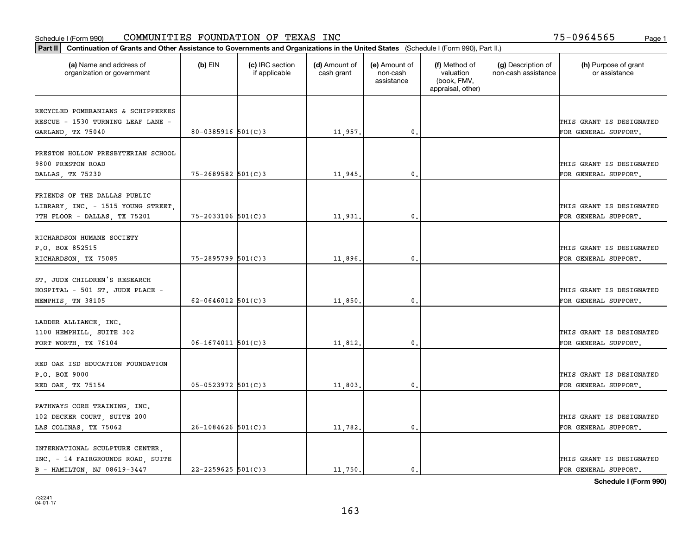|                                                       | Part II   Continuation of Grants and Other Assistance to Governments and Organizations in the United States (Schedule I (Form 990), Part II.) |                                  |                             |                                         |                                                                |                                           |                                       |  |  |  |  |
|-------------------------------------------------------|-----------------------------------------------------------------------------------------------------------------------------------------------|----------------------------------|-----------------------------|-----------------------------------------|----------------------------------------------------------------|-------------------------------------------|---------------------------------------|--|--|--|--|
| (a) Name and address of<br>organization or government | $(b)$ EIN                                                                                                                                     | (c) IRC section<br>if applicable | (d) Amount of<br>cash grant | (e) Amount of<br>non-cash<br>assistance | (f) Method of<br>valuation<br>(book, FMV,<br>appraisal, other) | (g) Description of<br>non-cash assistance | (h) Purpose of grant<br>or assistance |  |  |  |  |
| RECYCLED POMERANIANS & SCHIPPERKES                    |                                                                                                                                               |                                  |                             |                                         |                                                                |                                           |                                       |  |  |  |  |
| RESCUE - 1530 TURNING LEAF LANE -                     |                                                                                                                                               |                                  |                             |                                         |                                                                |                                           | THIS GRANT IS DESIGNATED              |  |  |  |  |
| GARLAND, TX 75040                                     | 80-0385916 $501(C)$ 3                                                                                                                         |                                  | 11,957.                     | 0.                                      |                                                                |                                           | FOR GENERAL SUPPORT.                  |  |  |  |  |
|                                                       |                                                                                                                                               |                                  |                             |                                         |                                                                |                                           |                                       |  |  |  |  |
| PRESTON HOLLOW PRESBYTERIAN SCHOOL                    |                                                                                                                                               |                                  |                             |                                         |                                                                |                                           |                                       |  |  |  |  |
| 9800 PRESTON ROAD                                     |                                                                                                                                               |                                  |                             |                                         |                                                                |                                           | THIS GRANT IS DESIGNATED              |  |  |  |  |
| DALLAS, TX 75230                                      | 75-2689582 501(C)3                                                                                                                            |                                  | 11,945.                     | 0.                                      |                                                                |                                           | FOR GENERAL SUPPORT.                  |  |  |  |  |
|                                                       |                                                                                                                                               |                                  |                             |                                         |                                                                |                                           |                                       |  |  |  |  |
| FRIENDS OF THE DALLAS PUBLIC                          |                                                                                                                                               |                                  |                             |                                         |                                                                |                                           |                                       |  |  |  |  |
| LIBRARY, INC. - 1515 YOUNG STREET,                    |                                                                                                                                               |                                  |                             |                                         |                                                                |                                           | THIS GRANT IS DESIGNATED              |  |  |  |  |
| 7TH FLOOR - DALLAS, TX 75201                          | $75 - 2033106$ 501(C)3                                                                                                                        |                                  | 11,931.                     | $\mathbf{0}$ .                          |                                                                |                                           | FOR GENERAL SUPPORT.                  |  |  |  |  |
|                                                       |                                                                                                                                               |                                  |                             |                                         |                                                                |                                           |                                       |  |  |  |  |
| RICHARDSON HUMANE SOCIETY                             |                                                                                                                                               |                                  |                             |                                         |                                                                |                                           |                                       |  |  |  |  |
| P.O. BOX 852515                                       |                                                                                                                                               |                                  |                             |                                         |                                                                |                                           | THIS GRANT IS DESIGNATED              |  |  |  |  |
| RICHARDSON, TX 75085                                  | 75-2895799 501(C)3                                                                                                                            |                                  | 11,896.                     | 0.                                      |                                                                |                                           | FOR GENERAL SUPPORT.                  |  |  |  |  |
| ST. JUDE CHILDREN'S RESEARCH                          |                                                                                                                                               |                                  |                             |                                         |                                                                |                                           |                                       |  |  |  |  |
| HOSPITAL - 501 ST. JUDE PLACE -                       |                                                                                                                                               |                                  |                             |                                         |                                                                |                                           | THIS GRANT IS DESIGNATED              |  |  |  |  |
|                                                       | 62-0646012 $501(C)$ 3                                                                                                                         |                                  | 11,850.                     | 0.                                      |                                                                |                                           | FOR GENERAL SUPPORT.                  |  |  |  |  |
| MEMPHIS, TN 38105                                     |                                                                                                                                               |                                  |                             |                                         |                                                                |                                           |                                       |  |  |  |  |
| LADDER ALLIANCE, INC.                                 |                                                                                                                                               |                                  |                             |                                         |                                                                |                                           |                                       |  |  |  |  |
| 1100 HEMPHILL, SUITE 302                              |                                                                                                                                               |                                  |                             |                                         |                                                                |                                           | THIS GRANT IS DESIGNATED              |  |  |  |  |
| FORT WORTH, TX 76104                                  | $06 - 1674011$ 501(C)3                                                                                                                        |                                  | 11,812.                     | 0.                                      |                                                                |                                           | FOR GENERAL SUPPORT.                  |  |  |  |  |
|                                                       |                                                                                                                                               |                                  |                             |                                         |                                                                |                                           |                                       |  |  |  |  |
| RED OAK ISD EDUCATION FOUNDATION                      |                                                                                                                                               |                                  |                             |                                         |                                                                |                                           |                                       |  |  |  |  |
| P.O. BOX 9000                                         |                                                                                                                                               |                                  |                             |                                         |                                                                |                                           | THIS GRANT IS DESIGNATED              |  |  |  |  |
| RED OAK, TX 75154                                     | $05 - 0523972$ 501(C)3                                                                                                                        |                                  | 11,803.                     | $\mathbf{0}$ .                          |                                                                |                                           | FOR GENERAL SUPPORT.                  |  |  |  |  |
|                                                       |                                                                                                                                               |                                  |                             |                                         |                                                                |                                           |                                       |  |  |  |  |
| PATHWAYS CORE TRAINING, INC.                          |                                                                                                                                               |                                  |                             |                                         |                                                                |                                           |                                       |  |  |  |  |
| 102 DECKER COURT, SUITE 200                           |                                                                                                                                               |                                  |                             |                                         |                                                                |                                           | THIS GRANT IS DESIGNATED              |  |  |  |  |
| LAS COLINAS, TX 75062                                 | $26 - 1084626$ 501(C)3                                                                                                                        |                                  | 11,782.                     | 0.                                      |                                                                |                                           | FOR GENERAL SUPPORT.                  |  |  |  |  |
|                                                       |                                                                                                                                               |                                  |                             |                                         |                                                                |                                           |                                       |  |  |  |  |
| INTERNATIONAL SCULPTURE CENTER,                       |                                                                                                                                               |                                  |                             |                                         |                                                                |                                           |                                       |  |  |  |  |
| INC. - 14 FAIRGROUNDS ROAD, SUITE                     |                                                                                                                                               |                                  |                             |                                         |                                                                |                                           | THIS GRANT IS DESIGNATED              |  |  |  |  |
| B - HAMILTON, NJ 08619-3447                           | $22 - 2259625$ 501(C)3                                                                                                                        |                                  | 11,750.                     | $\mathbf{0}$ .                          |                                                                |                                           | FOR GENERAL SUPPORT.                  |  |  |  |  |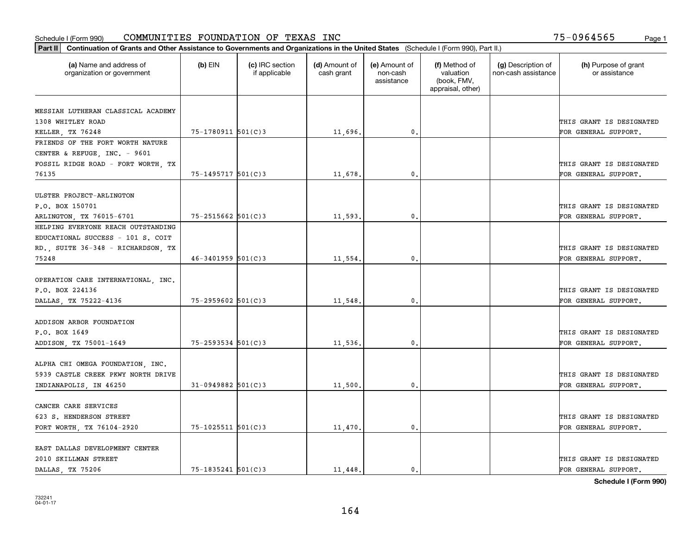| Part II   Continuation of Grants and Other Assistance to Governments and Organizations in the United States (Schedule I (Form 990), Part II.) |                        |                                  |                             |                                         |                                                                |                                           |                                       |
|-----------------------------------------------------------------------------------------------------------------------------------------------|------------------------|----------------------------------|-----------------------------|-----------------------------------------|----------------------------------------------------------------|-------------------------------------------|---------------------------------------|
| (a) Name and address of<br>organization or government                                                                                         | $(b)$ EIN              | (c) IRC section<br>if applicable | (d) Amount of<br>cash grant | (e) Amount of<br>non-cash<br>assistance | (f) Method of<br>valuation<br>(book, FMV,<br>appraisal, other) | (g) Description of<br>non-cash assistance | (h) Purpose of grant<br>or assistance |
|                                                                                                                                               |                        |                                  |                             |                                         |                                                                |                                           |                                       |
| MESSIAH LUTHERAN CLASSICAL ACADEMY<br>1308 WHITLEY ROAD                                                                                       |                        |                                  |                             |                                         |                                                                |                                           | THIS GRANT IS DESIGNATED              |
| KELLER, TX 76248                                                                                                                              | 75-1780911 501(C)3     |                                  | 11,696.                     | 0.                                      |                                                                |                                           | FOR GENERAL SUPPORT.                  |
| FRIENDS OF THE FORT WORTH NATURE                                                                                                              |                        |                                  |                             |                                         |                                                                |                                           |                                       |
| CENTER & REFUGE, INC. - 9601                                                                                                                  |                        |                                  |                             |                                         |                                                                |                                           |                                       |
| FOSSIL RIDGE ROAD - FORT WORTH, TX                                                                                                            |                        |                                  |                             |                                         |                                                                |                                           | THIS GRANT IS DESIGNATED              |
| 76135                                                                                                                                         | $75 - 1495717$ 501(C)3 |                                  | 11,678.                     | 0.                                      |                                                                |                                           | FOR GENERAL SUPPORT.                  |
|                                                                                                                                               |                        |                                  |                             |                                         |                                                                |                                           |                                       |
| ULSTER PROJECT-ARLINGTON                                                                                                                      |                        |                                  |                             |                                         |                                                                |                                           |                                       |
| P.O. BOX 150701                                                                                                                               |                        |                                  |                             |                                         |                                                                |                                           | THIS GRANT IS DESIGNATED              |
| ARLINGTON, TX 76015-6701                                                                                                                      | $75 - 2515662$ 501(C)3 |                                  | 11,593.                     | $\mathbf{0}$ .                          |                                                                |                                           | FOR GENERAL SUPPORT.                  |
| HELPING EVERYONE REACH OUTSTANDING                                                                                                            |                        |                                  |                             |                                         |                                                                |                                           |                                       |
| EDUCATIONAL SUCCESS - 101 S. COIT                                                                                                             |                        |                                  |                             |                                         |                                                                |                                           |                                       |
| RD., SUITE 36-348 - RICHARDSON, TX                                                                                                            |                        |                                  |                             |                                         |                                                                |                                           | THIS GRANT IS DESIGNATED              |
| 75248                                                                                                                                         | $46 - 3401959$ 501(C)3 |                                  | 11,554.                     | $\mathbf{0}$                            |                                                                |                                           | FOR GENERAL SUPPORT.                  |
|                                                                                                                                               |                        |                                  |                             |                                         |                                                                |                                           |                                       |
| OPERATION CARE INTERNATIONAL, INC.                                                                                                            |                        |                                  |                             |                                         |                                                                |                                           |                                       |
| P.O. BOX 224136                                                                                                                               |                        |                                  |                             |                                         |                                                                |                                           | THIS GRANT IS DESIGNATED              |
| DALLAS, TX 75222-4136                                                                                                                         | 75-2959602 501(C)3     |                                  | 11,548.                     | $\mathbf{0}$                            |                                                                |                                           | FOR GENERAL SUPPORT.                  |
| ADDISON ARBOR FOUNDATION                                                                                                                      |                        |                                  |                             |                                         |                                                                |                                           |                                       |
| P.O. BOX 1649                                                                                                                                 |                        |                                  |                             |                                         |                                                                |                                           | THIS GRANT IS DESIGNATED              |
| ADDISON, TX 75001-1649                                                                                                                        | 75-2593534 501(C)3     |                                  | 11,536.                     | $\mathbf{0}$                            |                                                                |                                           | FOR GENERAL SUPPORT.                  |
|                                                                                                                                               |                        |                                  |                             |                                         |                                                                |                                           |                                       |
| ALPHA CHI OMEGA FOUNDATION, INC.                                                                                                              |                        |                                  |                             |                                         |                                                                |                                           |                                       |
| 5939 CASTLE CREEK PKWY NORTH DRIVE                                                                                                            |                        |                                  |                             |                                         |                                                                |                                           | THIS GRANT IS DESIGNATED              |
| INDIANAPOLIS, IN 46250                                                                                                                        | $31 - 0949882$ 501(C)3 |                                  | 11,500                      | $^{\rm 0}$ .                            |                                                                |                                           | FOR GENERAL SUPPORT.                  |
|                                                                                                                                               |                        |                                  |                             |                                         |                                                                |                                           |                                       |
| CANCER CARE SERVICES                                                                                                                          |                        |                                  |                             |                                         |                                                                |                                           |                                       |
| 623 S. HENDERSON STREET                                                                                                                       |                        |                                  |                             |                                         |                                                                |                                           | THIS GRANT IS DESIGNATED              |
| FORT WORTH, TX 76104-2920                                                                                                                     | 75-1025511 501(C)3     |                                  | 11,470.                     | $\mathfrak{o}$ .                        |                                                                |                                           | FOR GENERAL SUPPORT.                  |
|                                                                                                                                               |                        |                                  |                             |                                         |                                                                |                                           |                                       |
| EAST DALLAS DEVELOPMENT CENTER                                                                                                                |                        |                                  |                             |                                         |                                                                |                                           |                                       |
| 2010 SKILLMAN STREET                                                                                                                          |                        |                                  |                             |                                         |                                                                |                                           | THIS GRANT IS DESIGNATED              |
| DALLAS TX 75206                                                                                                                               | $75 - 1835241$ 501(C)3 |                                  | 11.448.                     | $\mathfrak{o}$ .                        |                                                                |                                           | FOR GENERAL SUPPORT.                  |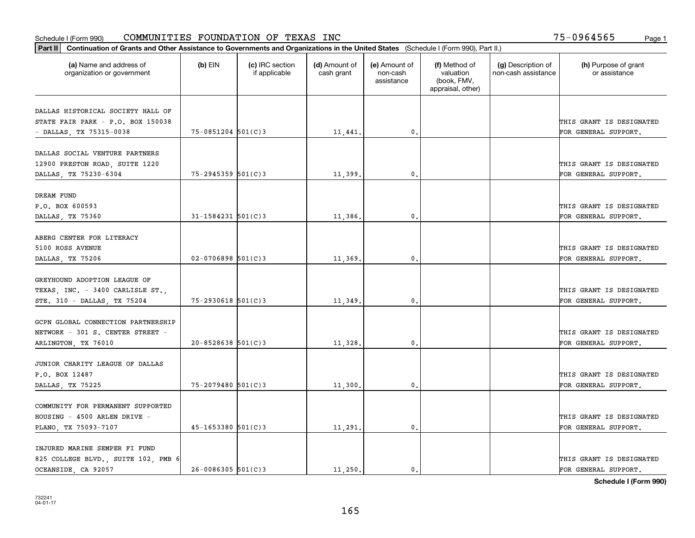|                                                       | Part II   Continuation of Grants and Other Assistance to Governments and Organizations in the United States (Schedule I (Form 990), Part II.) |                                  |                             |                                         |                                                                |                                           |                                       |  |  |  |  |
|-------------------------------------------------------|-----------------------------------------------------------------------------------------------------------------------------------------------|----------------------------------|-----------------------------|-----------------------------------------|----------------------------------------------------------------|-------------------------------------------|---------------------------------------|--|--|--|--|
| (a) Name and address of<br>organization or government | $(b)$ EIN                                                                                                                                     | (c) IRC section<br>if applicable | (d) Amount of<br>cash grant | (e) Amount of<br>non-cash<br>assistance | (f) Method of<br>valuation<br>(book, FMV,<br>appraisal, other) | (g) Description of<br>non-cash assistance | (h) Purpose of grant<br>or assistance |  |  |  |  |
| DALLAS HISTORICAL SOCIETY HALL OF                     |                                                                                                                                               |                                  |                             |                                         |                                                                |                                           |                                       |  |  |  |  |
| STATE FAIR PARK - P.O. BOX 150038                     |                                                                                                                                               |                                  |                             |                                         |                                                                |                                           | THIS GRANT IS DESIGNATED              |  |  |  |  |
| - DALLAS, TX 75315-0038                               | $75 - 0851204$ 501(C)3                                                                                                                        |                                  | 11,441.                     | 0.                                      |                                                                |                                           | FOR GENERAL SUPPORT.                  |  |  |  |  |
|                                                       |                                                                                                                                               |                                  |                             |                                         |                                                                |                                           |                                       |  |  |  |  |
| DALLAS SOCIAL VENTURE PARTNERS                        |                                                                                                                                               |                                  |                             |                                         |                                                                |                                           |                                       |  |  |  |  |
| 12900 PRESTON ROAD, SUITE 1220                        |                                                                                                                                               |                                  |                             |                                         |                                                                |                                           | THIS GRANT IS DESIGNATED              |  |  |  |  |
| DALLAS, TX 75230-6304                                 | $75 - 2945359$ 501(C)3                                                                                                                        |                                  | 11,399                      | $\mathfrak{o}$ .                        |                                                                |                                           | FOR GENERAL SUPPORT.                  |  |  |  |  |
|                                                       |                                                                                                                                               |                                  |                             |                                         |                                                                |                                           |                                       |  |  |  |  |
| DREAM FUND                                            |                                                                                                                                               |                                  |                             |                                         |                                                                |                                           |                                       |  |  |  |  |
| P.O. BOX 600593                                       |                                                                                                                                               |                                  |                             |                                         |                                                                |                                           | THIS GRANT IS DESIGNATED              |  |  |  |  |
| DALLAS, TX 75360                                      | $31 - 1584231$ 501(C)3                                                                                                                        |                                  | 11,386.                     | $\mathfrak{o}$ .                        |                                                                |                                           | FOR GENERAL SUPPORT.                  |  |  |  |  |
| ABERG CENTER FOR LITERACY                             |                                                                                                                                               |                                  |                             |                                         |                                                                |                                           |                                       |  |  |  |  |
| 5100 ROSS AVENUE                                      |                                                                                                                                               |                                  |                             |                                         |                                                                |                                           | THIS GRANT IS DESIGNATED              |  |  |  |  |
| DALLAS, TX 75206                                      | $02 - 0706898$ 501(C)3                                                                                                                        |                                  | 11,369.                     | 0.                                      |                                                                |                                           | FOR GENERAL SUPPORT.                  |  |  |  |  |
|                                                       |                                                                                                                                               |                                  |                             |                                         |                                                                |                                           |                                       |  |  |  |  |
| GREYHOUND ADOPTION LEAGUE OF                          |                                                                                                                                               |                                  |                             |                                         |                                                                |                                           |                                       |  |  |  |  |
| TEXAS, INC. - 3400 CARLISLE ST.,                      |                                                                                                                                               |                                  |                             |                                         |                                                                |                                           | THIS GRANT IS DESIGNATED              |  |  |  |  |
| STE. 310 - DALLAS, TX 75204                           | $75 - 2930618$ 501(C)3                                                                                                                        |                                  | 11,349.                     | $\mathbf{0}$                            |                                                                |                                           | FOR GENERAL SUPPORT.                  |  |  |  |  |
|                                                       |                                                                                                                                               |                                  |                             |                                         |                                                                |                                           |                                       |  |  |  |  |
| GCPN GLOBAL CONNECTION PARTNERSHIP                    |                                                                                                                                               |                                  |                             |                                         |                                                                |                                           |                                       |  |  |  |  |
| NETWORK - 301 S. CENTER STREET -                      |                                                                                                                                               |                                  |                             |                                         |                                                                |                                           | THIS GRANT IS DESIGNATED              |  |  |  |  |
| ARLINGTON, TX 76010                                   | $20 - 8528638$ 501(C)3                                                                                                                        |                                  | 11,328.                     | $\mathbf{0}$                            |                                                                |                                           | FOR GENERAL SUPPORT.                  |  |  |  |  |
|                                                       |                                                                                                                                               |                                  |                             |                                         |                                                                |                                           |                                       |  |  |  |  |
| JUNIOR CHARITY LEAGUE OF DALLAS<br>P.O. BOX 12487     |                                                                                                                                               |                                  |                             |                                         |                                                                |                                           | THIS GRANT IS DESIGNATED              |  |  |  |  |
| DALLAS, TX 75225                                      | $75 - 2079480$ 501(C)3                                                                                                                        |                                  | 11,300.                     | $\mathbf{0}$ .                          |                                                                |                                           | FOR GENERAL SUPPORT.                  |  |  |  |  |
|                                                       |                                                                                                                                               |                                  |                             |                                         |                                                                |                                           |                                       |  |  |  |  |
| COMMUNITY FOR PERMANENT SUPPORTED                     |                                                                                                                                               |                                  |                             |                                         |                                                                |                                           |                                       |  |  |  |  |
| HOUSING - 4500 ARLEN DRIVE -                          |                                                                                                                                               |                                  |                             |                                         |                                                                |                                           | THIS GRANT IS DESIGNATED              |  |  |  |  |
| PLANO, TX 75093-7107                                  | $45 - 1653380$ 501(C)3                                                                                                                        |                                  | 11,291.                     | $\mathfrak o$ .                         |                                                                |                                           | FOR GENERAL SUPPORT.                  |  |  |  |  |
|                                                       |                                                                                                                                               |                                  |                             |                                         |                                                                |                                           |                                       |  |  |  |  |
| INJURED MARINE SEMPER FI FUND                         |                                                                                                                                               |                                  |                             |                                         |                                                                |                                           |                                       |  |  |  |  |
| 825 COLLEGE BLVD., SUITE 102, PMB 6                   |                                                                                                                                               |                                  |                             |                                         |                                                                |                                           | THIS GRANT IS DESIGNATED              |  |  |  |  |
| OCEANSIDE, CA 92057                                   | $26 - 0086305$ 501(C)3                                                                                                                        |                                  | 11,250.                     | $\mathfrak{o}$ .                        |                                                                |                                           | FOR GENERAL SUPPORT.                  |  |  |  |  |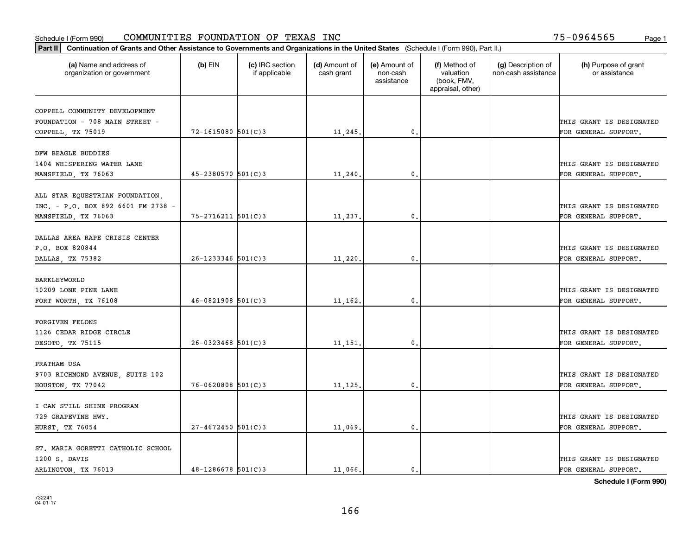| Part II   Continuation of Grants and Other Assistance to Governments and Organizations in the United States (Schedule I (Form 990), Part II.) |                          |                                  |                             |                                         |                                                                |                                           |                                       |
|-----------------------------------------------------------------------------------------------------------------------------------------------|--------------------------|----------------------------------|-----------------------------|-----------------------------------------|----------------------------------------------------------------|-------------------------------------------|---------------------------------------|
| (a) Name and address of<br>organization or government                                                                                         | $(b)$ EIN                | (c) IRC section<br>if applicable | (d) Amount of<br>cash grant | (e) Amount of<br>non-cash<br>assistance | (f) Method of<br>valuation<br>(book, FMV,<br>appraisal, other) | (g) Description of<br>non-cash assistance | (h) Purpose of grant<br>or assistance |
| COPPELL COMMUNITY DEVELOPMENT                                                                                                                 |                          |                                  |                             |                                         |                                                                |                                           |                                       |
| FOUNDATION - 708 MAIN STREET -                                                                                                                |                          |                                  |                             |                                         |                                                                |                                           | THIS GRANT IS DESIGNATED              |
| COPPELL, TX 75019                                                                                                                             | $72 - 1615080$ 501(C)3   |                                  | 11,245.                     | $\mathbf{0}$ .                          |                                                                |                                           | FOR GENERAL SUPPORT.                  |
|                                                                                                                                               |                          |                                  |                             |                                         |                                                                |                                           |                                       |
| DFW BEAGLE BUDDIES                                                                                                                            |                          |                                  |                             |                                         |                                                                |                                           |                                       |
| 1404 WHISPERING WATER LANE                                                                                                                    |                          |                                  |                             |                                         |                                                                |                                           | THIS GRANT IS DESIGNATED              |
| MANSFIELD, TX 76063                                                                                                                           | $45 - 2380570$ 501(C)3   |                                  | 11,240                      | 0.                                      |                                                                |                                           | FOR GENERAL SUPPORT.                  |
|                                                                                                                                               |                          |                                  |                             |                                         |                                                                |                                           |                                       |
| ALL STAR EQUESTRIAN FOUNDATION,                                                                                                               |                          |                                  |                             |                                         |                                                                |                                           |                                       |
| INC. - P.O. BOX 892 6601 FM 2738 -                                                                                                            |                          |                                  |                             |                                         |                                                                |                                           | THIS GRANT IS DESIGNATED              |
| MANSFIELD, TX 76063                                                                                                                           | $75 - 2716211$ $501(C)3$ |                                  | 11,237.                     | $\mathbf{0}$ .                          |                                                                |                                           | FOR GENERAL SUPPORT.                  |
|                                                                                                                                               |                          |                                  |                             |                                         |                                                                |                                           |                                       |
| DALLAS AREA RAPE CRISIS CENTER                                                                                                                |                          |                                  |                             |                                         |                                                                |                                           |                                       |
| P.O. BOX 820844                                                                                                                               |                          |                                  |                             |                                         |                                                                |                                           | THIS GRANT IS DESIGNATED              |
| DALLAS, TX 75382                                                                                                                              | $26 - 1233346$ 501(C)3   |                                  | 11,220.                     | 0.                                      |                                                                |                                           | FOR GENERAL SUPPORT.                  |
|                                                                                                                                               |                          |                                  |                             |                                         |                                                                |                                           |                                       |
| BARKLEYWORLD                                                                                                                                  |                          |                                  |                             |                                         |                                                                |                                           |                                       |
| 10209 LONE PINE LANE                                                                                                                          |                          |                                  |                             |                                         |                                                                |                                           | THIS GRANT IS DESIGNATED              |
| FORT WORTH, TX 76108                                                                                                                          | $46 - 0821908$ 501(C)3   |                                  | 11,162.                     | 0.                                      |                                                                |                                           | FOR GENERAL SUPPORT.                  |
|                                                                                                                                               |                          |                                  |                             |                                         |                                                                |                                           |                                       |
| FORGIVEN FELONS                                                                                                                               |                          |                                  |                             |                                         |                                                                |                                           |                                       |
| 1126 CEDAR RIDGE CIRCLE                                                                                                                       |                          |                                  |                             |                                         |                                                                |                                           | THIS GRANT IS DESIGNATED              |
| DESOTO, TX 75115                                                                                                                              | $26 - 0323468$ 501(C)3   |                                  | 11,151                      | 0.                                      |                                                                |                                           | FOR GENERAL SUPPORT.                  |
|                                                                                                                                               |                          |                                  |                             |                                         |                                                                |                                           |                                       |
| PRATHAM USA                                                                                                                                   |                          |                                  |                             |                                         |                                                                |                                           | THIS GRANT IS DESIGNATED              |
| 9703 RICHMOND AVENUE, SUITE 102                                                                                                               | $76 - 0620808$ 501(C)3   |                                  |                             | $\mathbf{0}$ .                          |                                                                |                                           | FOR GENERAL SUPPORT.                  |
| HOUSTON, TX 77042                                                                                                                             |                          |                                  | 11,125                      |                                         |                                                                |                                           |                                       |
| I CAN STILL SHINE PROGRAM                                                                                                                     |                          |                                  |                             |                                         |                                                                |                                           |                                       |
| 729 GRAPEVINE HWY.                                                                                                                            |                          |                                  |                             |                                         |                                                                |                                           | THIS GRANT IS DESIGNATED              |
| HURST, TX 76054                                                                                                                               | $27 - 4672450$ 501(C)3   |                                  | 11,069.                     | 0.                                      |                                                                |                                           | FOR GENERAL SUPPORT.                  |
|                                                                                                                                               |                          |                                  |                             |                                         |                                                                |                                           |                                       |
| ST. MARIA GORETTI CATHOLIC SCHOOL                                                                                                             |                          |                                  |                             |                                         |                                                                |                                           |                                       |
| 1200 S. DAVIS                                                                                                                                 |                          |                                  |                             |                                         |                                                                |                                           | THIS GRANT IS DESIGNATED              |
| ARLINGTON, TX 76013                                                                                                                           | $48 - 1286678$ 501(C)3   |                                  | 11,066.                     | 0.                                      |                                                                |                                           | FOR GENERAL SUPPORT.                  |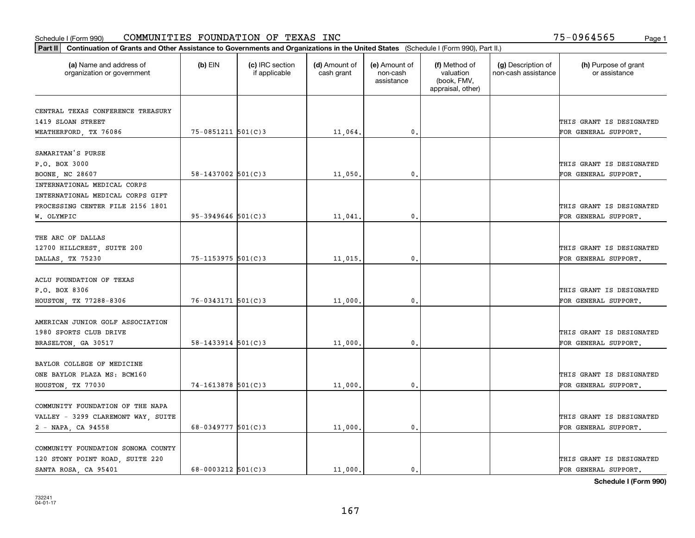|                                                       | Part II   Continuation of Grants and Other Assistance to Governments and Organizations in the United States (Schedule I (Form 990), Part II.) |                                  |                             |                                         |                                                                |                                           |                                       |  |  |  |  |
|-------------------------------------------------------|-----------------------------------------------------------------------------------------------------------------------------------------------|----------------------------------|-----------------------------|-----------------------------------------|----------------------------------------------------------------|-------------------------------------------|---------------------------------------|--|--|--|--|
| (a) Name and address of<br>organization or government | $(b)$ EIN                                                                                                                                     | (c) IRC section<br>if applicable | (d) Amount of<br>cash grant | (e) Amount of<br>non-cash<br>assistance | (f) Method of<br>valuation<br>(book, FMV,<br>appraisal, other) | (g) Description of<br>non-cash assistance | (h) Purpose of grant<br>or assistance |  |  |  |  |
| CENTRAL TEXAS CONFERENCE TREASURY                     |                                                                                                                                               |                                  |                             |                                         |                                                                |                                           |                                       |  |  |  |  |
| 1419 SLOAN STREET                                     |                                                                                                                                               |                                  |                             |                                         |                                                                |                                           | THIS GRANT IS DESIGNATED              |  |  |  |  |
| WEATHERFORD, TX 76086                                 | 75-0851211 501(C)3                                                                                                                            |                                  | 11,064.                     | 0.                                      |                                                                |                                           | FOR GENERAL SUPPORT.                  |  |  |  |  |
|                                                       |                                                                                                                                               |                                  |                             |                                         |                                                                |                                           |                                       |  |  |  |  |
| SAMARITAN'S PURSE                                     |                                                                                                                                               |                                  |                             |                                         |                                                                |                                           |                                       |  |  |  |  |
| P.O. BOX 3000                                         |                                                                                                                                               |                                  |                             |                                         |                                                                |                                           | THIS GRANT IS DESIGNATED              |  |  |  |  |
| BOONE, NC 28607                                       | $58 - 1437002$ 501(C)3                                                                                                                        |                                  | 11,050.                     | 0.                                      |                                                                |                                           | FOR GENERAL SUPPORT.                  |  |  |  |  |
| INTERNATIONAL MEDICAL CORPS                           |                                                                                                                                               |                                  |                             |                                         |                                                                |                                           |                                       |  |  |  |  |
| INTERNATIONAL MEDICAL CORPS GIFT                      |                                                                                                                                               |                                  |                             |                                         |                                                                |                                           |                                       |  |  |  |  |
| PROCESSING CENTER FILE 2156 1801                      |                                                                                                                                               |                                  |                             |                                         |                                                                |                                           | THIS GRANT IS DESIGNATED              |  |  |  |  |
| W. OLYMPIC                                            | $95 - 3949646$ 501(C)3                                                                                                                        |                                  | 11,041.                     | $\mathfrak{o}$ .                        |                                                                |                                           | FOR GENERAL SUPPORT.                  |  |  |  |  |
|                                                       |                                                                                                                                               |                                  |                             |                                         |                                                                |                                           |                                       |  |  |  |  |
| THE ARC OF DALLAS                                     |                                                                                                                                               |                                  |                             |                                         |                                                                |                                           |                                       |  |  |  |  |
| 12700 HILLCREST, SUITE 200                            |                                                                                                                                               |                                  |                             |                                         |                                                                |                                           | THIS GRANT IS DESIGNATED              |  |  |  |  |
| DALLAS, TX 75230                                      | $75 - 1153975$ 501(C)3                                                                                                                        |                                  | $11,015$ .                  | $\mathbf{0}$ .                          |                                                                |                                           | FOR GENERAL SUPPORT.                  |  |  |  |  |
|                                                       |                                                                                                                                               |                                  |                             |                                         |                                                                |                                           |                                       |  |  |  |  |
| ACLU FOUNDATION OF TEXAS                              |                                                                                                                                               |                                  |                             |                                         |                                                                |                                           |                                       |  |  |  |  |
| P.O. BOX 8306                                         |                                                                                                                                               |                                  |                             |                                         |                                                                |                                           | THIS GRANT IS DESIGNATED              |  |  |  |  |
| HOUSTON, TX 77288-8306                                | 76-0343171 501(C)3                                                                                                                            |                                  | 11,000.                     | 0.                                      |                                                                |                                           | FOR GENERAL SUPPORT.                  |  |  |  |  |
|                                                       |                                                                                                                                               |                                  |                             |                                         |                                                                |                                           |                                       |  |  |  |  |
| AMERICAN JUNIOR GOLF ASSOCIATION                      |                                                                                                                                               |                                  |                             |                                         |                                                                |                                           |                                       |  |  |  |  |
| 1980 SPORTS CLUB DRIVE                                |                                                                                                                                               |                                  |                             |                                         |                                                                |                                           | THIS GRANT IS DESIGNATED              |  |  |  |  |
| BRASELTON, GA 30517                                   | $58 - 1433914$ $501(C)3$                                                                                                                      |                                  | 11,000.                     | 0.                                      |                                                                |                                           | FOR GENERAL SUPPORT.                  |  |  |  |  |
|                                                       |                                                                                                                                               |                                  |                             |                                         |                                                                |                                           |                                       |  |  |  |  |
| BAYLOR COLLEGE OF MEDICINE                            |                                                                                                                                               |                                  |                             |                                         |                                                                |                                           |                                       |  |  |  |  |
| ONE BAYLOR PLAZA MS: BCM160                           |                                                                                                                                               |                                  |                             |                                         |                                                                |                                           | THIS GRANT IS DESIGNATED              |  |  |  |  |
| HOUSTON, TX 77030                                     | 74-1613878 501(C)3                                                                                                                            |                                  | 11,000,                     | 0.                                      |                                                                |                                           | FOR GENERAL SUPPORT.                  |  |  |  |  |
|                                                       |                                                                                                                                               |                                  |                             |                                         |                                                                |                                           |                                       |  |  |  |  |
| COMMUNITY FOUNDATION OF THE NAPA                      |                                                                                                                                               |                                  |                             |                                         |                                                                |                                           |                                       |  |  |  |  |
| VALLEY - 3299 CLAREMONT WAY, SUITE                    |                                                                                                                                               |                                  |                             |                                         |                                                                |                                           | THIS GRANT IS DESIGNATED              |  |  |  |  |
| 2 - NAPA, CA 94558                                    | $68 - 0349777$ 501(C)3                                                                                                                        |                                  | 11,000.                     | 0.                                      |                                                                |                                           | FOR GENERAL SUPPORT.                  |  |  |  |  |
| COMMUNITY FOUNDATION SONOMA COUNTY                    |                                                                                                                                               |                                  |                             |                                         |                                                                |                                           |                                       |  |  |  |  |
| 120 STONY POINT ROAD, SUITE 220                       |                                                                                                                                               |                                  |                             |                                         |                                                                |                                           | THIS GRANT IS DESIGNATED              |  |  |  |  |
| SANTA ROSA, CA 95401                                  | 68-0003212 $501(C)$ 3                                                                                                                         |                                  | 11,000.                     | $\mathbf{0}$ .                          |                                                                |                                           | FOR GENERAL SUPPORT.                  |  |  |  |  |
|                                                       |                                                                                                                                               |                                  |                             |                                         |                                                                |                                           |                                       |  |  |  |  |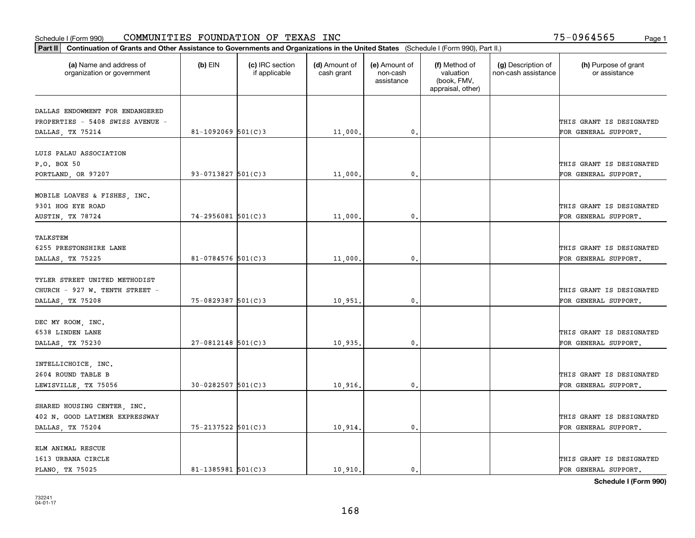|                                                       | Part II   Continuation of Grants and Other Assistance to Governments and Organizations in the United States (Schedule I (Form 990), Part II.) |                                  |                             |                                         |                                                                |                                           |                                       |  |  |  |  |
|-------------------------------------------------------|-----------------------------------------------------------------------------------------------------------------------------------------------|----------------------------------|-----------------------------|-----------------------------------------|----------------------------------------------------------------|-------------------------------------------|---------------------------------------|--|--|--|--|
| (a) Name and address of<br>organization or government | $(b)$ EIN                                                                                                                                     | (c) IRC section<br>if applicable | (d) Amount of<br>cash grant | (e) Amount of<br>non-cash<br>assistance | (f) Method of<br>valuation<br>(book, FMV,<br>appraisal, other) | (g) Description of<br>non-cash assistance | (h) Purpose of grant<br>or assistance |  |  |  |  |
| DALLAS ENDOWMENT FOR ENDANGERED                       |                                                                                                                                               |                                  |                             |                                         |                                                                |                                           |                                       |  |  |  |  |
| PROPERTIES - 5408 SWISS AVENUE -                      |                                                                                                                                               |                                  |                             |                                         |                                                                |                                           | THIS GRANT IS DESIGNATED              |  |  |  |  |
| DALLAS, TX 75214                                      | 81-1092069 $501(C)$ 3                                                                                                                         |                                  | 11,000.                     | $\mathbf{0}$ .                          |                                                                |                                           | FOR GENERAL SUPPORT.                  |  |  |  |  |
|                                                       |                                                                                                                                               |                                  |                             |                                         |                                                                |                                           |                                       |  |  |  |  |
| LUIS PALAU ASSOCIATION                                |                                                                                                                                               |                                  |                             |                                         |                                                                |                                           |                                       |  |  |  |  |
| P.O. BOX 50                                           |                                                                                                                                               |                                  |                             |                                         |                                                                |                                           | THIS GRANT IS DESIGNATED              |  |  |  |  |
| PORTLAND, OR 97207                                    | $93 - 0713827$ 501(C)3                                                                                                                        |                                  | 11,000                      | 0.                                      |                                                                |                                           | FOR GENERAL SUPPORT.                  |  |  |  |  |
|                                                       |                                                                                                                                               |                                  |                             |                                         |                                                                |                                           |                                       |  |  |  |  |
| MOBILE LOAVES & FISHES, INC.                          |                                                                                                                                               |                                  |                             |                                         |                                                                |                                           |                                       |  |  |  |  |
| 9301 HOG EYE ROAD                                     |                                                                                                                                               |                                  |                             |                                         |                                                                |                                           | THIS GRANT IS DESIGNATED              |  |  |  |  |
| AUSTIN, TX 78724                                      | $74 - 2956081$ 501(C)3                                                                                                                        |                                  | 11,000.                     | $\mathfrak{o}$ .                        |                                                                |                                           | FOR GENERAL SUPPORT.                  |  |  |  |  |
|                                                       |                                                                                                                                               |                                  |                             |                                         |                                                                |                                           |                                       |  |  |  |  |
| TALKSTEM                                              |                                                                                                                                               |                                  |                             |                                         |                                                                |                                           |                                       |  |  |  |  |
| 6255 PRESTONSHIRE LANE                                |                                                                                                                                               |                                  |                             |                                         |                                                                |                                           | THIS GRANT IS DESIGNATED              |  |  |  |  |
| DALLAS, TX 75225                                      | 81-0784576 $501(C)3$                                                                                                                          |                                  | 11,000                      | $\mathbf{0}$                            |                                                                |                                           | FOR GENERAL SUPPORT.                  |  |  |  |  |
|                                                       |                                                                                                                                               |                                  |                             |                                         |                                                                |                                           |                                       |  |  |  |  |
| TYLER STREET UNITED METHODIST                         |                                                                                                                                               |                                  |                             |                                         |                                                                |                                           |                                       |  |  |  |  |
| CHURCH - 927 W. TENTH STREET -                        | 75-0829387 501(C)3                                                                                                                            |                                  |                             | $\mathbf{0}$                            |                                                                |                                           | THIS GRANT IS DESIGNATED              |  |  |  |  |
| DALLAS, TX 75208                                      |                                                                                                                                               |                                  | 10,951                      |                                         |                                                                |                                           | FOR GENERAL SUPPORT.                  |  |  |  |  |
| DEC MY ROOM, INC.                                     |                                                                                                                                               |                                  |                             |                                         |                                                                |                                           |                                       |  |  |  |  |
| 6538 LINDEN LANE                                      |                                                                                                                                               |                                  |                             |                                         |                                                                |                                           | THIS GRANT IS DESIGNATED              |  |  |  |  |
| DALLAS, TX 75230                                      | $27 - 0812148$ 501(C)3                                                                                                                        |                                  | 10,935.                     | 0.                                      |                                                                |                                           | FOR GENERAL SUPPORT.                  |  |  |  |  |
|                                                       |                                                                                                                                               |                                  |                             |                                         |                                                                |                                           |                                       |  |  |  |  |
| INTELLICHOICE, INC.                                   |                                                                                                                                               |                                  |                             |                                         |                                                                |                                           |                                       |  |  |  |  |
| 2604 ROUND TABLE B                                    |                                                                                                                                               |                                  |                             |                                         |                                                                |                                           | THIS GRANT IS DESIGNATED              |  |  |  |  |
| LEWISVILLE, TX 75056                                  | $30 - 0282507$ 501(C)3                                                                                                                        |                                  | 10,916,                     | $^{\rm 0}$ .                            |                                                                |                                           | FOR GENERAL SUPPORT.                  |  |  |  |  |
|                                                       |                                                                                                                                               |                                  |                             |                                         |                                                                |                                           |                                       |  |  |  |  |
| SHARED HOUSING CENTER, INC.                           |                                                                                                                                               |                                  |                             |                                         |                                                                |                                           |                                       |  |  |  |  |
| 402 N. GOOD LATIMER EXPRESSWAY                        |                                                                                                                                               |                                  |                             |                                         |                                                                |                                           | THIS GRANT IS DESIGNATED              |  |  |  |  |
| DALLAS, TX 75204                                      | 75-2137522 501(C)3                                                                                                                            |                                  | 10,914.                     | $\mathfrak{o}$ .                        |                                                                |                                           | FOR GENERAL SUPPORT.                  |  |  |  |  |
|                                                       |                                                                                                                                               |                                  |                             |                                         |                                                                |                                           |                                       |  |  |  |  |
| ELM ANIMAL RESCUE                                     |                                                                                                                                               |                                  |                             |                                         |                                                                |                                           |                                       |  |  |  |  |
| 1613 URBANA CIRCLE                                    |                                                                                                                                               |                                  |                             |                                         |                                                                |                                           | THIS GRANT IS DESIGNATED              |  |  |  |  |
| PLANO, TX 75025                                       | $81 - 1385981$ 501(C)3                                                                                                                        |                                  | 10.910.                     | $\mathbf{0}$ .                          |                                                                |                                           | FOR GENERAL SUPPORT.                  |  |  |  |  |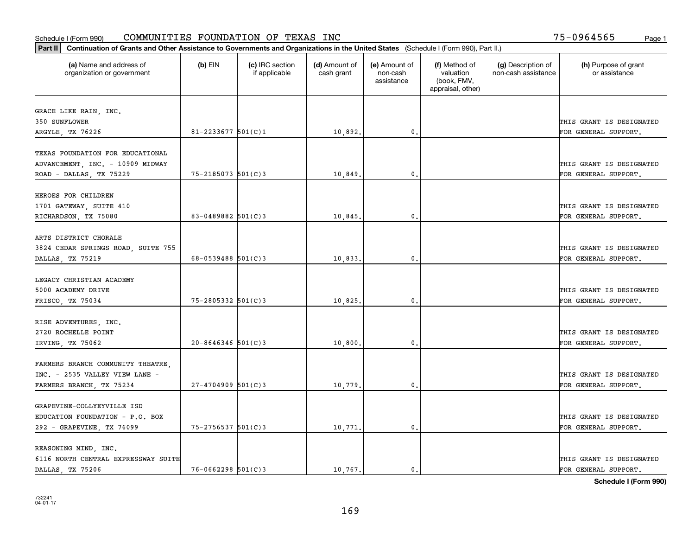|                                                        | Part II   Continuation of Grants and Other Assistance to Governments and Organizations in the United States (Schedule I (Form 990), Part II.) |                                  |                             |                                         |                                                                |                                           |                                                  |  |  |  |  |
|--------------------------------------------------------|-----------------------------------------------------------------------------------------------------------------------------------------------|----------------------------------|-----------------------------|-----------------------------------------|----------------------------------------------------------------|-------------------------------------------|--------------------------------------------------|--|--|--|--|
| (a) Name and address of<br>organization or government  | $(b)$ EIN                                                                                                                                     | (c) IRC section<br>if applicable | (d) Amount of<br>cash grant | (e) Amount of<br>non-cash<br>assistance | (f) Method of<br>valuation<br>(book, FMV,<br>appraisal, other) | (g) Description of<br>non-cash assistance | (h) Purpose of grant<br>or assistance            |  |  |  |  |
|                                                        |                                                                                                                                               |                                  |                             |                                         |                                                                |                                           |                                                  |  |  |  |  |
| GRACE LIKE RAIN, INC.<br>350 SUNFLOWER                 |                                                                                                                                               |                                  |                             |                                         |                                                                |                                           | THIS GRANT IS DESIGNATED                         |  |  |  |  |
| ARGYLE, TX 76226                                       | $81 - 2233677$ 501(C)1                                                                                                                        |                                  | 10,892.                     | 0.                                      |                                                                |                                           | FOR GENERAL SUPPORT.                             |  |  |  |  |
|                                                        |                                                                                                                                               |                                  |                             |                                         |                                                                |                                           |                                                  |  |  |  |  |
| TEXAS FOUNDATION FOR EDUCATIONAL                       |                                                                                                                                               |                                  |                             |                                         |                                                                |                                           |                                                  |  |  |  |  |
| ADVANCEMENT, INC. - 10909 MIDWAY                       |                                                                                                                                               |                                  |                             |                                         |                                                                |                                           | THIS GRANT IS DESIGNATED                         |  |  |  |  |
| ROAD - DALLAS, TX 75229                                | $75 - 2185073$ 501(C)3                                                                                                                        |                                  | 10,849.                     | 0.                                      |                                                                |                                           | FOR GENERAL SUPPORT.                             |  |  |  |  |
|                                                        |                                                                                                                                               |                                  |                             |                                         |                                                                |                                           |                                                  |  |  |  |  |
| HEROES FOR CHILDREN                                    |                                                                                                                                               |                                  |                             |                                         |                                                                |                                           |                                                  |  |  |  |  |
| 1701 GATEWAY, SUITE 410                                |                                                                                                                                               |                                  |                             |                                         |                                                                |                                           | THIS GRANT IS DESIGNATED                         |  |  |  |  |
| RICHARDSON, TX 75080                                   | 83-0489882 $501(C)3$                                                                                                                          |                                  | 10,845.                     | $\mathbf{0}$ .                          |                                                                |                                           | FOR GENERAL SUPPORT.                             |  |  |  |  |
|                                                        |                                                                                                                                               |                                  |                             |                                         |                                                                |                                           |                                                  |  |  |  |  |
| ARTS DISTRICT CHORALE                                  |                                                                                                                                               |                                  |                             |                                         |                                                                |                                           |                                                  |  |  |  |  |
| 3824 CEDAR SPRINGS ROAD, SUITE 755                     |                                                                                                                                               |                                  |                             |                                         |                                                                |                                           | THIS GRANT IS DESIGNATED                         |  |  |  |  |
| DALLAS, TX 75219                                       | 68-0539488 $501(C)$ 3                                                                                                                         |                                  | 10,833.                     | $\mathbf{0}$                            |                                                                |                                           | FOR GENERAL SUPPORT.                             |  |  |  |  |
| LEGACY CHRISTIAN ACADEMY                               |                                                                                                                                               |                                  |                             |                                         |                                                                |                                           |                                                  |  |  |  |  |
| 5000 ACADEMY DRIVE                                     |                                                                                                                                               |                                  |                             |                                         |                                                                |                                           | THIS GRANT IS DESIGNATED                         |  |  |  |  |
| FRISCO, TX 75034                                       | 75-2805332 501(C)3                                                                                                                            |                                  | 10,825.                     | $\mathbf{0}$                            |                                                                |                                           | FOR GENERAL SUPPORT.                             |  |  |  |  |
|                                                        |                                                                                                                                               |                                  |                             |                                         |                                                                |                                           |                                                  |  |  |  |  |
| RISE ADVENTURES, INC.                                  |                                                                                                                                               |                                  |                             |                                         |                                                                |                                           |                                                  |  |  |  |  |
| 2720 ROCHELLE POINT                                    |                                                                                                                                               |                                  |                             |                                         |                                                                |                                           | THIS GRANT IS DESIGNATED                         |  |  |  |  |
| IRVING, TX 75062                                       | $20 - 8646346$ 501(C)3                                                                                                                        |                                  | 10,800.                     | $\mathbf{0}$                            |                                                                |                                           | FOR GENERAL SUPPORT.                             |  |  |  |  |
|                                                        |                                                                                                                                               |                                  |                             |                                         |                                                                |                                           |                                                  |  |  |  |  |
| FARMERS BRANCH COMMUNITY THEATRE,                      |                                                                                                                                               |                                  |                             |                                         |                                                                |                                           |                                                  |  |  |  |  |
| INC. - 2535 VALLEY VIEW LANE -                         |                                                                                                                                               |                                  |                             |                                         |                                                                |                                           | THIS GRANT IS DESIGNATED                         |  |  |  |  |
| FARMERS BRANCH, TX 75234                               | $27 - 4704909$ 501(C)3                                                                                                                        |                                  | 10,779                      | $^{\rm 0}$ .                            |                                                                |                                           | FOR GENERAL SUPPORT.                             |  |  |  |  |
|                                                        |                                                                                                                                               |                                  |                             |                                         |                                                                |                                           |                                                  |  |  |  |  |
| GRAPEVINE-COLLYEYVILLE ISD                             |                                                                                                                                               |                                  |                             |                                         |                                                                |                                           |                                                  |  |  |  |  |
| EDUCATION FOUNDATION - P.O. BOX                        |                                                                                                                                               |                                  |                             |                                         |                                                                |                                           | THIS GRANT IS DESIGNATED                         |  |  |  |  |
| 292 - GRAPEVINE, TX 76099                              | 75-2756537 501(C)3                                                                                                                            |                                  | 10,771.                     | $\mathfrak{o}$ .                        |                                                                |                                           | FOR GENERAL SUPPORT.                             |  |  |  |  |
|                                                        |                                                                                                                                               |                                  |                             |                                         |                                                                |                                           |                                                  |  |  |  |  |
| REASONING MIND, INC.                                   |                                                                                                                                               |                                  |                             |                                         |                                                                |                                           |                                                  |  |  |  |  |
| 6116 NORTH CENTRAL EXPRESSWAY SUITE<br>DALLAS TX 75206 | $76 - 0662298$ 501(C)3                                                                                                                        |                                  | 10.767.                     | $\mathbf{0}$ .                          |                                                                |                                           | THIS GRANT IS DESIGNATED<br>FOR GENERAL SUPPORT. |  |  |  |  |
|                                                        |                                                                                                                                               |                                  |                             |                                         |                                                                |                                           |                                                  |  |  |  |  |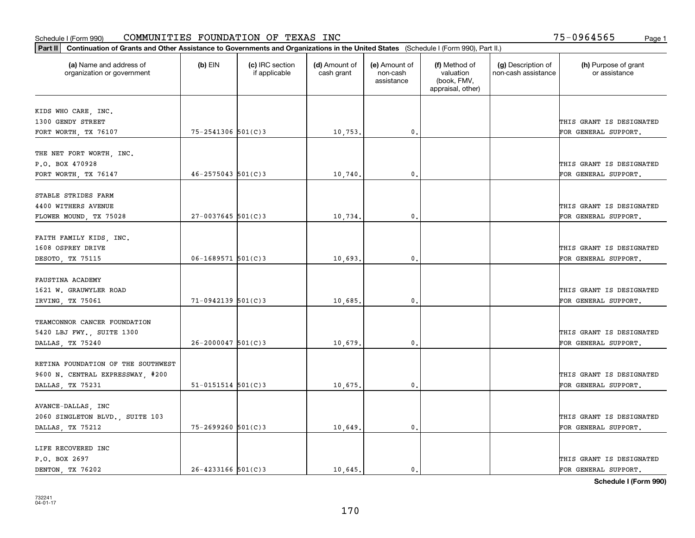|                                                       | Part II   Continuation of Grants and Other Assistance to Governments and Organizations in the United States (Schedule I (Form 990), Part II.) |                                  |                             |                                         |                                                                |                                           |                                       |  |  |  |  |
|-------------------------------------------------------|-----------------------------------------------------------------------------------------------------------------------------------------------|----------------------------------|-----------------------------|-----------------------------------------|----------------------------------------------------------------|-------------------------------------------|---------------------------------------|--|--|--|--|
| (a) Name and address of<br>organization or government | $(b)$ EIN                                                                                                                                     | (c) IRC section<br>if applicable | (d) Amount of<br>cash grant | (e) Amount of<br>non-cash<br>assistance | (f) Method of<br>valuation<br>(book, FMV,<br>appraisal, other) | (g) Description of<br>non-cash assistance | (h) Purpose of grant<br>or assistance |  |  |  |  |
|                                                       |                                                                                                                                               |                                  |                             |                                         |                                                                |                                           |                                       |  |  |  |  |
| KIDS WHO CARE, INC.<br>1300 GENDY STREET              |                                                                                                                                               |                                  |                             |                                         |                                                                |                                           | THIS GRANT IS DESIGNATED              |  |  |  |  |
| FORT WORTH, TX 76107                                  | 75-2541306 501(C)3                                                                                                                            |                                  | 10,753.                     | 0.                                      |                                                                |                                           | FOR GENERAL SUPPORT.                  |  |  |  |  |
|                                                       |                                                                                                                                               |                                  |                             |                                         |                                                                |                                           |                                       |  |  |  |  |
| THE NET FORT WORTH, INC.                              |                                                                                                                                               |                                  |                             |                                         |                                                                |                                           |                                       |  |  |  |  |
| P.O. BOX 470928                                       |                                                                                                                                               |                                  |                             |                                         |                                                                |                                           | THIS GRANT IS DESIGNATED              |  |  |  |  |
| FORT WORTH, TX 76147                                  | $46 - 2575043$ 501(C)3                                                                                                                        |                                  | 10,740.                     | 0.                                      |                                                                |                                           | FOR GENERAL SUPPORT.                  |  |  |  |  |
|                                                       |                                                                                                                                               |                                  |                             |                                         |                                                                |                                           |                                       |  |  |  |  |
| STABLE STRIDES FARM                                   |                                                                                                                                               |                                  |                             |                                         |                                                                |                                           |                                       |  |  |  |  |
| 4400 WITHERS AVENUE                                   | $27 - 0037645$ 501(C)3                                                                                                                        |                                  |                             | $\mathfrak{o}$ .                        |                                                                |                                           | THIS GRANT IS DESIGNATED              |  |  |  |  |
| FLOWER MOUND, TX 75028                                |                                                                                                                                               |                                  | 10,734.                     |                                         |                                                                |                                           | FOR GENERAL SUPPORT.                  |  |  |  |  |
| FAITH FAMILY KIDS, INC.                               |                                                                                                                                               |                                  |                             |                                         |                                                                |                                           |                                       |  |  |  |  |
| 1608 OSPREY DRIVE                                     |                                                                                                                                               |                                  |                             |                                         |                                                                |                                           | THIS GRANT IS DESIGNATED              |  |  |  |  |
| DESOTO, TX 75115                                      | $06 - 1689571$ 501(C)3                                                                                                                        |                                  | 10,693.                     | $\mathbf{0}$                            |                                                                |                                           | FOR GENERAL SUPPORT.                  |  |  |  |  |
|                                                       |                                                                                                                                               |                                  |                             |                                         |                                                                |                                           |                                       |  |  |  |  |
| FAUSTINA ACADEMY                                      |                                                                                                                                               |                                  |                             |                                         |                                                                |                                           |                                       |  |  |  |  |
| 1621 W. GRAUWYLER ROAD                                |                                                                                                                                               |                                  |                             |                                         |                                                                |                                           | THIS GRANT IS DESIGNATED              |  |  |  |  |
| IRVING, TX 75061                                      | $71-0942139$ 501(C)3                                                                                                                          |                                  | 10,685.                     | $\mathbf{0}$                            |                                                                |                                           | FOR GENERAL SUPPORT.                  |  |  |  |  |
|                                                       |                                                                                                                                               |                                  |                             |                                         |                                                                |                                           |                                       |  |  |  |  |
| TEAMCONNOR CANCER FOUNDATION                          |                                                                                                                                               |                                  |                             |                                         |                                                                |                                           |                                       |  |  |  |  |
| 5420 LBJ FWY., SUITE 1300                             | $26 - 2000047$ 501(C)3                                                                                                                        |                                  |                             | 0.                                      |                                                                |                                           | THIS GRANT IS DESIGNATED              |  |  |  |  |
| DALLAS, TX 75240                                      |                                                                                                                                               |                                  | 10,679.                     |                                         |                                                                |                                           | FOR GENERAL SUPPORT.                  |  |  |  |  |
| RETINA FOUNDATION OF THE SOUTHWEST                    |                                                                                                                                               |                                  |                             |                                         |                                                                |                                           |                                       |  |  |  |  |
| 9600 N. CENTRAL EXPRESSWAY, #200                      |                                                                                                                                               |                                  |                             |                                         |                                                                |                                           | THIS GRANT IS DESIGNATED              |  |  |  |  |
| DALLAS, TX 75231                                      | $51 - 0151514$ $501(C)3$                                                                                                                      |                                  | 10,675.                     | $^{\rm 0}$ .                            |                                                                |                                           | FOR GENERAL SUPPORT.                  |  |  |  |  |
|                                                       |                                                                                                                                               |                                  |                             |                                         |                                                                |                                           |                                       |  |  |  |  |
| AVANCE-DALLAS, INC                                    |                                                                                                                                               |                                  |                             |                                         |                                                                |                                           |                                       |  |  |  |  |
| 2060 SINGLETON BLVD., SUITE 103                       |                                                                                                                                               |                                  |                             |                                         |                                                                |                                           | THIS GRANT IS DESIGNATED              |  |  |  |  |
| DALLAS, TX 75212                                      | $75 - 2699260$ 501(C)3                                                                                                                        |                                  | 10,649.                     | $\mathfrak{o}$ .                        |                                                                |                                           | FOR GENERAL SUPPORT.                  |  |  |  |  |
|                                                       |                                                                                                                                               |                                  |                             |                                         |                                                                |                                           |                                       |  |  |  |  |
| LIFE RECOVERED INC                                    |                                                                                                                                               |                                  |                             |                                         |                                                                |                                           |                                       |  |  |  |  |
| P.O. BOX 2697                                         |                                                                                                                                               |                                  |                             |                                         |                                                                |                                           | THIS GRANT IS DESIGNATED              |  |  |  |  |
| DENTON, TX 76202                                      | $26 - 4233166$ 501(C)3                                                                                                                        |                                  | 10.645.                     | $\mathbf{0}$ .                          |                                                                |                                           | FOR GENERAL SUPPORT.                  |  |  |  |  |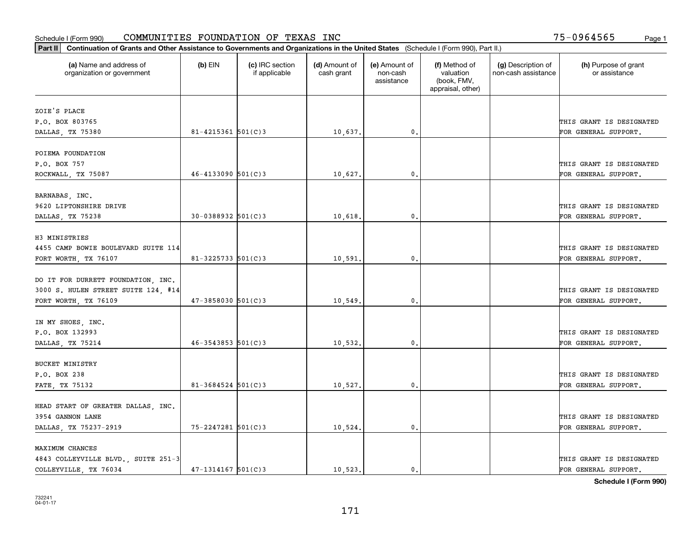| Part II   Continuation of Grants and Other Assistance to Governments and Organizations in the United States (Schedule I (Form 990), Part II.) |                          |                                  |                             |                                         |                                                                |                                           |                                       |
|-----------------------------------------------------------------------------------------------------------------------------------------------|--------------------------|----------------------------------|-----------------------------|-----------------------------------------|----------------------------------------------------------------|-------------------------------------------|---------------------------------------|
| (a) Name and address of<br>organization or government                                                                                         | $(b)$ EIN                | (c) IRC section<br>if applicable | (d) Amount of<br>cash grant | (e) Amount of<br>non-cash<br>assistance | (f) Method of<br>valuation<br>(book, FMV,<br>appraisal, other) | (g) Description of<br>non-cash assistance | (h) Purpose of grant<br>or assistance |
| ZOIE'S PLACE                                                                                                                                  |                          |                                  |                             |                                         |                                                                |                                           |                                       |
| P.O. BOX 803765                                                                                                                               |                          |                                  |                             |                                         |                                                                |                                           | THIS GRANT IS DESIGNATED              |
| DALLAS, TX 75380                                                                                                                              | 81-4215361 $501(C)$ 3    |                                  | 10,637.                     | $\mathbf{0}$ .                          |                                                                |                                           | FOR GENERAL SUPPORT.                  |
| POIEMA FOUNDATION                                                                                                                             |                          |                                  |                             |                                         |                                                                |                                           |                                       |
| P.O. BOX 757                                                                                                                                  |                          |                                  |                             |                                         |                                                                |                                           | THIS GRANT IS DESIGNATED              |
| ROCKWALL, TX 75087                                                                                                                            | $46 - 4133090$ 501(C)3   |                                  | 10,627.                     | 0.                                      |                                                                |                                           | FOR GENERAL SUPPORT.                  |
| BARNABAS, INC.                                                                                                                                |                          |                                  |                             |                                         |                                                                |                                           |                                       |
| 9620 LIPTONSHIRE DRIVE                                                                                                                        |                          |                                  |                             |                                         |                                                                |                                           | THIS GRANT IS DESIGNATED              |
| DALLAS, TX 75238                                                                                                                              | $30 - 0388932$ 501(C)3   |                                  | 10,618.                     | $\mathbf{0}$ .                          |                                                                |                                           | FOR GENERAL SUPPORT.                  |
|                                                                                                                                               |                          |                                  |                             |                                         |                                                                |                                           |                                       |
| H3 MINISTRIES                                                                                                                                 |                          |                                  |                             |                                         |                                                                |                                           |                                       |
| 4455 CAMP BOWIE BOULEVARD SUITE 114                                                                                                           |                          |                                  |                             |                                         |                                                                |                                           | THIS GRANT IS DESIGNATED              |
| FORT WORTH, TX 76107                                                                                                                          | $81 - 3225733$ 501(C)3   |                                  | 10,591                      | $\mathbf{0}$ .                          |                                                                |                                           | FOR GENERAL SUPPORT.                  |
| DO IT FOR DURRETT FOUNDATION, INC.                                                                                                            |                          |                                  |                             |                                         |                                                                |                                           |                                       |
| 3000 S. HULEN STREET SUITE 124, #14                                                                                                           |                          |                                  |                             |                                         |                                                                |                                           | THIS GRANT IS DESIGNATED              |
| FORT WORTH, TX 76109                                                                                                                          | $47 - 3858030$ $501(C)3$ |                                  | 10,549.                     | 0.                                      |                                                                |                                           | FOR GENERAL SUPPORT.                  |
|                                                                                                                                               |                          |                                  |                             |                                         |                                                                |                                           |                                       |
| IN MY SHOES, INC.                                                                                                                             |                          |                                  |                             |                                         |                                                                |                                           |                                       |
| P.O. BOX 132993                                                                                                                               |                          |                                  |                             |                                         |                                                                |                                           | THIS GRANT IS DESIGNATED              |
| DALLAS, TX 75214                                                                                                                              | $46 - 3543853$ 501(C)3   |                                  | 10,532.                     | 0.                                      |                                                                |                                           | FOR GENERAL SUPPORT.                  |
| BUCKET MINISTRY                                                                                                                               |                          |                                  |                             |                                         |                                                                |                                           |                                       |
| P.O. BOX 238                                                                                                                                  |                          |                                  |                             |                                         |                                                                |                                           | THIS GRANT IS DESIGNATED              |
| FATE, TX 75132                                                                                                                                | $81 - 3684524$ 501(C)3   |                                  | 10,527.                     | 0.                                      |                                                                |                                           | FOR GENERAL SUPPORT.                  |
|                                                                                                                                               |                          |                                  |                             |                                         |                                                                |                                           |                                       |
| HEAD START OF GREATER DALLAS, INC.                                                                                                            |                          |                                  |                             |                                         |                                                                |                                           |                                       |
| 3954 GANNON LANE                                                                                                                              |                          |                                  |                             |                                         |                                                                |                                           | THIS GRANT IS DESIGNATED              |
| DALLAS, TX 75237-2919                                                                                                                         | $75 - 2247281$ 501(C)3   |                                  | 10,524.                     | $\mathbf{0}$ .                          |                                                                |                                           | FOR GENERAL SUPPORT.                  |
| MAXIMUM CHANCES                                                                                                                               |                          |                                  |                             |                                         |                                                                |                                           |                                       |
| 4843 COLLEYVILLE BLVD., SUITE 251-3                                                                                                           |                          |                                  |                             |                                         |                                                                |                                           | THIS GRANT IS DESIGNATED              |
| COLLEYVILLE, TX 76034                                                                                                                         | $47 - 1314167$ $501(C)3$ |                                  | 10,523.                     | $\mathbf{0}$ .                          |                                                                |                                           | FOR GENERAL SUPPORT.                  |
|                                                                                                                                               |                          |                                  |                             |                                         |                                                                |                                           |                                       |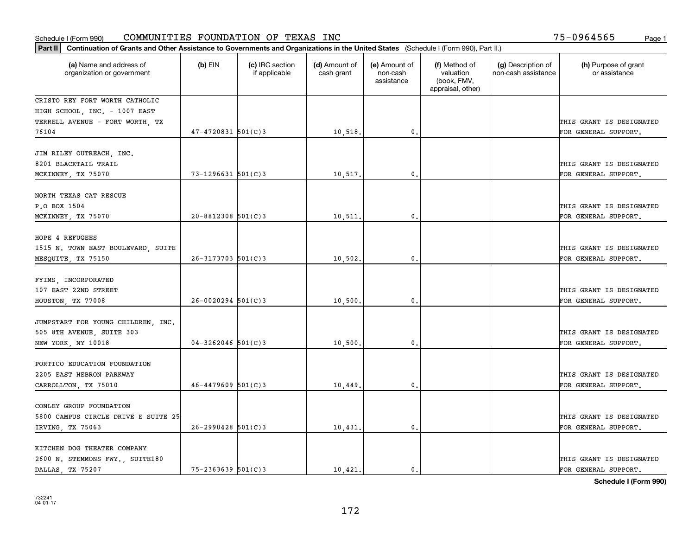| Part II   Continuation of Grants and Other Assistance to Governments and Organizations in the United States (Schedule I (Form 990), Part II.) |                        |                                  |                             |                                         |                                                                |                                           |                                       |
|-----------------------------------------------------------------------------------------------------------------------------------------------|------------------------|----------------------------------|-----------------------------|-----------------------------------------|----------------------------------------------------------------|-------------------------------------------|---------------------------------------|
| (a) Name and address of<br>organization or government                                                                                         | (b) EIN                | (c) IRC section<br>if applicable | (d) Amount of<br>cash grant | (e) Amount of<br>non-cash<br>assistance | (f) Method of<br>valuation<br>(book, FMV,<br>appraisal, other) | (g) Description of<br>non-cash assistance | (h) Purpose of grant<br>or assistance |
| CRISTO REY FORT WORTH CATHOLIC                                                                                                                |                        |                                  |                             |                                         |                                                                |                                           |                                       |
| HIGH SCHOOL, INC. - 1007 EAST                                                                                                                 |                        |                                  |                             |                                         |                                                                |                                           |                                       |
| TERRELL AVENUE - FORT WORTH, TX                                                                                                               |                        |                                  |                             |                                         |                                                                |                                           | THIS GRANT IS DESIGNATED              |
| 76104                                                                                                                                         | $47 - 4720831$ 501(C)3 |                                  | 10,518.                     | $\mathbf{0}$ .                          |                                                                |                                           | FOR GENERAL SUPPORT.                  |
| JIM RILEY OUTREACH, INC.<br>8201 BLACKTAIL TRAIL                                                                                              |                        |                                  |                             |                                         |                                                                |                                           | THIS GRANT IS DESIGNATED              |
| MCKINNEY, TX 75070                                                                                                                            | $73 - 1296631$ 501(C)3 |                                  | 10,517                      | $\mathbf{0}$                            |                                                                |                                           | FOR GENERAL SUPPORT.                  |
| NORTH TEXAS CAT RESCUE                                                                                                                        |                        |                                  |                             |                                         |                                                                |                                           |                                       |
| P.O BOX 1504                                                                                                                                  |                        |                                  |                             |                                         |                                                                |                                           | THIS GRANT IS DESIGNATED              |
| MCKINNEY, TX 75070                                                                                                                            | $20 - 8812308$ 501(C)3 |                                  | 10,511.                     | $\mathbf{0}$ .                          |                                                                |                                           | FOR GENERAL SUPPORT.                  |
|                                                                                                                                               |                        |                                  |                             |                                         |                                                                |                                           |                                       |
| HOPE 4 REFUGEES                                                                                                                               |                        |                                  |                             |                                         |                                                                |                                           |                                       |
| 1515 N. TOWN EAST BOULEVARD, SUITE                                                                                                            |                        |                                  |                             |                                         |                                                                |                                           | THIS GRANT IS DESIGNATED              |
| MESQUITE, TX 75150                                                                                                                            | $26 - 3173703$ 501(C)3 |                                  | 10,502                      | $\mathbf{0}$                            |                                                                |                                           | FOR GENERAL SUPPORT.                  |
| FYIMS, INCORPORATED                                                                                                                           |                        |                                  |                             |                                         |                                                                |                                           |                                       |
| 107 EAST 22ND STREET                                                                                                                          |                        |                                  |                             |                                         |                                                                |                                           | THIS GRANT IS DESIGNATED              |
| HOUSTON, TX 77008                                                                                                                             | $26 - 0020294$ 501(C)3 |                                  | 10,500                      | 0.                                      |                                                                |                                           | FOR GENERAL SUPPORT.                  |
|                                                                                                                                               |                        |                                  |                             |                                         |                                                                |                                           |                                       |
| JUMPSTART FOR YOUNG CHILDREN, INC.                                                                                                            |                        |                                  |                             |                                         |                                                                |                                           |                                       |
| 505 8TH AVENUE, SUITE 303                                                                                                                     |                        |                                  |                             |                                         |                                                                |                                           | THIS GRANT IS DESIGNATED              |
| NEW YORK, NY 10018                                                                                                                            | $04 - 3262046$ 501(C)3 |                                  | 10,500                      | $\mathbf{0}$                            |                                                                |                                           | FOR GENERAL SUPPORT.                  |
| PORTICO EDUCATION FOUNDATION                                                                                                                  |                        |                                  |                             |                                         |                                                                |                                           |                                       |
| 2205 EAST HEBRON PARKWAY                                                                                                                      |                        |                                  |                             |                                         |                                                                |                                           | THIS GRANT IS DESIGNATED              |
| CARROLLTON, TX 75010                                                                                                                          | $46 - 4479609$ 501(C)3 |                                  | 10,449                      | $\mathbf{0}$ .                          |                                                                |                                           | FOR GENERAL SUPPORT.                  |
|                                                                                                                                               |                        |                                  |                             |                                         |                                                                |                                           |                                       |
| CONLEY GROUP FOUNDATION                                                                                                                       |                        |                                  |                             |                                         |                                                                |                                           |                                       |
| 5800 CAMPUS CIRCLE DRIVE E SUITE 25                                                                                                           | $26 - 2990428$ 501(C)3 |                                  |                             | $\mathbf{0}$                            |                                                                |                                           | THIS GRANT IS DESIGNATED              |
| IRVING, TX 75063                                                                                                                              |                        |                                  | 10,431                      |                                         |                                                                |                                           | FOR GENERAL SUPPORT.                  |
| KITCHEN DOG THEATER COMPANY                                                                                                                   |                        |                                  |                             |                                         |                                                                |                                           |                                       |
| 2600 N. STEMMONS FWY., SUITE180                                                                                                               |                        |                                  |                             |                                         |                                                                |                                           | THIS GRANT IS DESIGNATED              |
| DALLAS, TX 75207                                                                                                                              | $75 - 2363639$ 501(C)3 |                                  | 10,421.                     | 0.                                      |                                                                |                                           | FOR GENERAL SUPPORT.                  |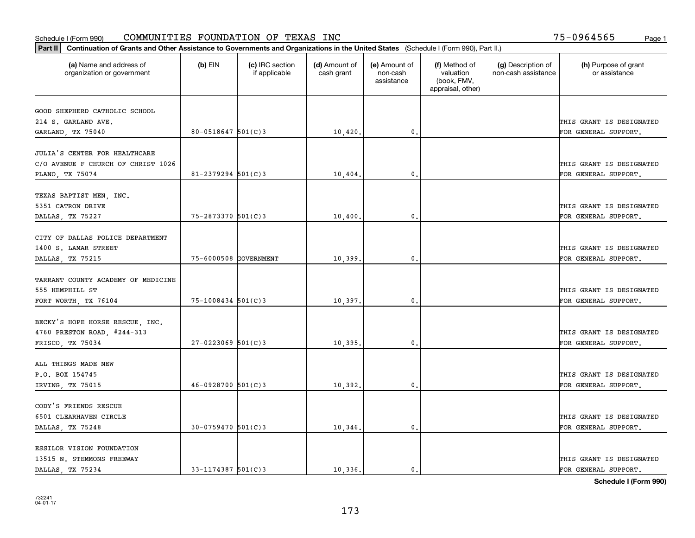| Part II   Continuation of Grants and Other Assistance to Governments and Organizations in the United States (Schedule I (Form 990), Part II.) |                        |                                  |                             |                                         |                                                                |                                           |                                       |
|-----------------------------------------------------------------------------------------------------------------------------------------------|------------------------|----------------------------------|-----------------------------|-----------------------------------------|----------------------------------------------------------------|-------------------------------------------|---------------------------------------|
| (a) Name and address of<br>organization or government                                                                                         | $(b)$ EIN              | (c) IRC section<br>if applicable | (d) Amount of<br>cash grant | (e) Amount of<br>non-cash<br>assistance | (f) Method of<br>valuation<br>(book, FMV,<br>appraisal, other) | (g) Description of<br>non-cash assistance | (h) Purpose of grant<br>or assistance |
|                                                                                                                                               |                        |                                  |                             |                                         |                                                                |                                           |                                       |
| GOOD SHEPHERD CATHOLIC SCHOOL<br>214 S. GARLAND AVE.                                                                                          |                        |                                  |                             |                                         |                                                                |                                           | THIS GRANT IS DESIGNATED              |
| GARLAND, TX 75040                                                                                                                             | $80 - 0518647$ 501(C)3 |                                  | 10,420.                     | 0.                                      |                                                                |                                           | FOR GENERAL SUPPORT.                  |
|                                                                                                                                               |                        |                                  |                             |                                         |                                                                |                                           |                                       |
| JULIA'S CENTER FOR HEALTHCARE                                                                                                                 |                        |                                  |                             |                                         |                                                                |                                           |                                       |
| C/O AVENUE F CHURCH OF CHRIST 1026                                                                                                            |                        |                                  |                             |                                         |                                                                |                                           | THIS GRANT IS DESIGNATED              |
| PLANO, TX 75074                                                                                                                               | $81 - 2379294$ 501(C)3 |                                  | 10,404                      | 0.                                      |                                                                |                                           | FOR GENERAL SUPPORT.                  |
|                                                                                                                                               |                        |                                  |                             |                                         |                                                                |                                           |                                       |
| TEXAS BAPTIST MEN, INC.                                                                                                                       |                        |                                  |                             |                                         |                                                                |                                           |                                       |
| 5351 CATRON DRIVE                                                                                                                             |                        |                                  |                             |                                         |                                                                |                                           | THIS GRANT IS DESIGNATED              |
| DALLAS, TX 75227                                                                                                                              | 75-2873370 501(C)3     |                                  | 10,400.                     | 0.                                      |                                                                |                                           | FOR GENERAL SUPPORT.                  |
|                                                                                                                                               |                        |                                  |                             |                                         |                                                                |                                           |                                       |
| CITY OF DALLAS POLICE DEPARTMENT                                                                                                              |                        |                                  |                             |                                         |                                                                |                                           |                                       |
| 1400 S. LAMAR STREET                                                                                                                          |                        |                                  |                             |                                         |                                                                |                                           | THIS GRANT IS DESIGNATED              |
| DALLAS, TX 75215                                                                                                                              | 75-6000508 GOVERNMENT  |                                  | 10,399.                     | 0.                                      |                                                                |                                           | FOR GENERAL SUPPORT.                  |
|                                                                                                                                               |                        |                                  |                             |                                         |                                                                |                                           |                                       |
| TARRANT COUNTY ACADEMY OF MEDICINE                                                                                                            |                        |                                  |                             |                                         |                                                                |                                           |                                       |
| 555 HEMPHILL ST                                                                                                                               |                        |                                  |                             |                                         |                                                                |                                           | THIS GRANT IS DESIGNATED              |
| FORT WORTH, TX 76104                                                                                                                          | 75-1008434 501(C)3     |                                  | 10,397.                     | $\mathbf{0}$ .                          |                                                                |                                           | FOR GENERAL SUPPORT.                  |
|                                                                                                                                               |                        |                                  |                             |                                         |                                                                |                                           |                                       |
| BECKY'S HOPE HORSE RESCUE, INC.                                                                                                               |                        |                                  |                             |                                         |                                                                |                                           |                                       |
| 4760 PRESTON ROAD, #244-313                                                                                                                   |                        |                                  |                             |                                         |                                                                |                                           | THIS GRANT IS DESIGNATED              |
| FRISCO, TX 75034                                                                                                                              | $27 - 0223069$ 501(C)3 |                                  | 10,395.                     | $\mathbf{0}$ .                          |                                                                |                                           | FOR GENERAL SUPPORT.                  |
|                                                                                                                                               |                        |                                  |                             |                                         |                                                                |                                           |                                       |
| ALL THINGS MADE NEW                                                                                                                           |                        |                                  |                             |                                         |                                                                |                                           |                                       |
| P.O. BOX 154745                                                                                                                               |                        |                                  |                             |                                         |                                                                |                                           | THIS GRANT IS DESIGNATED              |
| IRVING, TX 75015                                                                                                                              | $46 - 0928700$ 501(C)3 |                                  | 10,392.                     | 0.                                      |                                                                |                                           | FOR GENERAL SUPPORT.                  |
|                                                                                                                                               |                        |                                  |                             |                                         |                                                                |                                           |                                       |
| CODY'S FRIENDS RESCUE<br>6501 CLEARHAVEN CIRCLE                                                                                               |                        |                                  |                             |                                         |                                                                |                                           | THIS GRANT IS DESIGNATED              |
|                                                                                                                                               | 30-0759470 501(C)3     |                                  | 10,346.                     | $\mathfrak{o}$ .                        |                                                                |                                           |                                       |
| DALLAS, TX 75248                                                                                                                              |                        |                                  |                             |                                         |                                                                |                                           | FOR GENERAL SUPPORT.                  |
| ESSILOR VISION FOUNDATION                                                                                                                     |                        |                                  |                             |                                         |                                                                |                                           |                                       |
| 13515 N. STEMMONS FREEWAY                                                                                                                     |                        |                                  |                             |                                         |                                                                |                                           | THIS GRANT IS DESIGNATED              |
| DALLAS, TX 75234                                                                                                                              | $33 - 1174387$ 501(C)3 |                                  | 10,336.                     | $\mathbf{0}$ .                          |                                                                |                                           | FOR GENERAL SUPPORT.                  |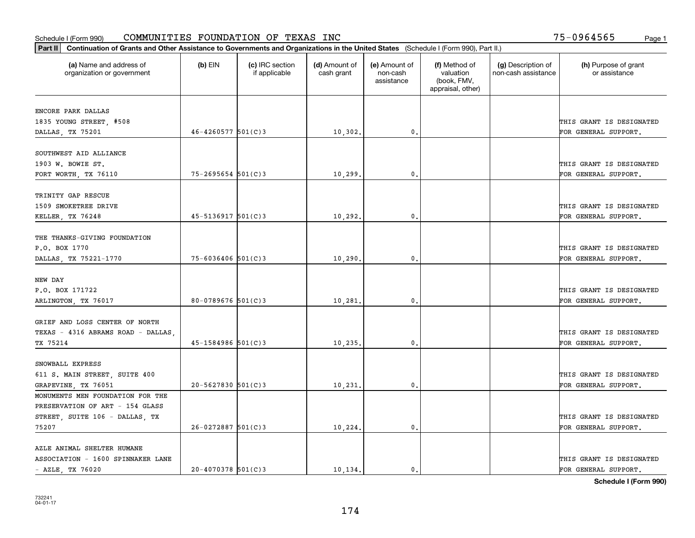| Part II   Continuation of Grants and Other Assistance to Governments and Organizations in the United States (Schedule I (Form 990), Part II.) |                          |                                  |                             |                                         |                                                                |                                           |                                       |
|-----------------------------------------------------------------------------------------------------------------------------------------------|--------------------------|----------------------------------|-----------------------------|-----------------------------------------|----------------------------------------------------------------|-------------------------------------------|---------------------------------------|
| (a) Name and address of<br>organization or government                                                                                         | $(b)$ EIN                | (c) IRC section<br>if applicable | (d) Amount of<br>cash grant | (e) Amount of<br>non-cash<br>assistance | (f) Method of<br>valuation<br>(book, FMV,<br>appraisal, other) | (g) Description of<br>non-cash assistance | (h) Purpose of grant<br>or assistance |
| ENCORE PARK DALLAS                                                                                                                            |                          |                                  |                             |                                         |                                                                |                                           |                                       |
| 1835 YOUNG STREET, #508                                                                                                                       |                          |                                  |                             |                                         |                                                                |                                           | THIS GRANT IS DESIGNATED              |
| DALLAS, TX 75201                                                                                                                              | $46 - 4260577$ 501(C)3   |                                  | 10,302.                     | $\mathbf{0}$ .                          |                                                                |                                           | FOR GENERAL SUPPORT.                  |
|                                                                                                                                               |                          |                                  |                             |                                         |                                                                |                                           |                                       |
| SOUTHWEST AID ALLIANCE                                                                                                                        |                          |                                  |                             |                                         |                                                                |                                           |                                       |
| 1903 W. BOWIE ST.                                                                                                                             |                          |                                  |                             |                                         |                                                                |                                           | THIS GRANT IS DESIGNATED              |
| FORT WORTH, TX 76110                                                                                                                          | $75 - 2695654$ 501(C)3   |                                  | 10,299                      | 0.                                      |                                                                |                                           | FOR GENERAL SUPPORT.                  |
| TRINITY GAP RESCUE                                                                                                                            |                          |                                  |                             |                                         |                                                                |                                           |                                       |
| 1509 SMOKETREE DRIVE                                                                                                                          |                          |                                  |                             |                                         |                                                                |                                           | THIS GRANT IS DESIGNATED              |
| KELLER, TX 76248                                                                                                                              | $45 - 5136917$ $501(C)3$ |                                  | 10,292.                     | $\mathbf{0}$ .                          |                                                                |                                           | FOR GENERAL SUPPORT.                  |
|                                                                                                                                               |                          |                                  |                             |                                         |                                                                |                                           |                                       |
| THE THANKS-GIVING FOUNDATION                                                                                                                  |                          |                                  |                             |                                         |                                                                |                                           |                                       |
| P.O. BOX 1770                                                                                                                                 |                          |                                  |                             |                                         |                                                                |                                           | THIS GRANT IS DESIGNATED              |
| DALLAS, TX 75221-1770                                                                                                                         | $75 - 6036406$ 501(C)3   |                                  | 10, 290.                    | 0.                                      |                                                                |                                           | FOR GENERAL SUPPORT.                  |
|                                                                                                                                               |                          |                                  |                             |                                         |                                                                |                                           |                                       |
| NEW DAY                                                                                                                                       |                          |                                  |                             |                                         |                                                                |                                           |                                       |
| P.O. BOX 171722                                                                                                                               |                          |                                  |                             |                                         |                                                                |                                           | THIS GRANT IS DESIGNATED              |
| ARLINGTON, TX 76017                                                                                                                           | 80-0789676 $501(C)3$     |                                  | 10,281                      | 0.                                      |                                                                |                                           | FOR GENERAL SUPPORT.                  |
| GRIEF AND LOSS CENTER OF NORTH                                                                                                                |                          |                                  |                             |                                         |                                                                |                                           |                                       |
|                                                                                                                                               |                          |                                  |                             |                                         |                                                                |                                           | THIS GRANT IS DESIGNATED              |
| TEXAS - 4316 ABRAMS ROAD - DALLAS<br>TX 75214                                                                                                 | $45 - 1584986$ 501(C)3   |                                  | 10, 235.                    | 0.                                      |                                                                |                                           | FOR GENERAL SUPPORT.                  |
|                                                                                                                                               |                          |                                  |                             |                                         |                                                                |                                           |                                       |
| SNOWBALL EXPRESS                                                                                                                              |                          |                                  |                             |                                         |                                                                |                                           |                                       |
| 611 S. MAIN STREET, SUITE 400                                                                                                                 |                          |                                  |                             |                                         |                                                                |                                           | THIS GRANT IS DESIGNATED              |
| GRAPEVINE, TX 76051                                                                                                                           | $20 - 5627830$ 501(C)3   |                                  | 10, 231.                    | $\mathbf{0}$ .                          |                                                                |                                           | FOR GENERAL SUPPORT.                  |
| MONUMENTS MEN FOUNDATION FOR THE                                                                                                              |                          |                                  |                             |                                         |                                                                |                                           |                                       |
| PRESERVATION OF ART - 154 GLASS                                                                                                               |                          |                                  |                             |                                         |                                                                |                                           |                                       |
| STREET, SUITE 106 - DALLAS, TX                                                                                                                |                          |                                  |                             |                                         |                                                                |                                           | THIS GRANT IS DESIGNATED              |
| 75207                                                                                                                                         | $26 - 0272887$ 501(C)3   |                                  | 10,224.                     | 0.                                      |                                                                |                                           | FOR GENERAL SUPPORT.                  |
|                                                                                                                                               |                          |                                  |                             |                                         |                                                                |                                           |                                       |
| AZLE ANIMAL SHELTER HUMANE                                                                                                                    |                          |                                  |                             |                                         |                                                                |                                           |                                       |
| ASSOCIATION - 1600 SPINNAKER LANE                                                                                                             |                          |                                  |                             |                                         |                                                                |                                           | THIS GRANT IS DESIGNATED              |
| $-$ AZLE, TX 76020                                                                                                                            | $20 - 4070378$ 501(C)3   |                                  | 10, 134.                    | 0.                                      |                                                                |                                           | FOR GENERAL SUPPORT.                  |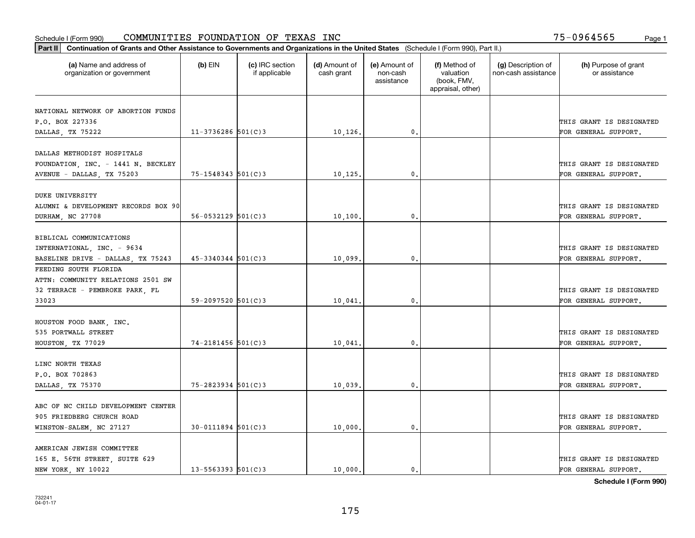| Part II   Continuation of Grants and Other Assistance to Governments and Organizations in the United States (Schedule I (Form 990), Part II.) |                          |                                  |                             |                                         |                                                                |                                           |                                                  |
|-----------------------------------------------------------------------------------------------------------------------------------------------|--------------------------|----------------------------------|-----------------------------|-----------------------------------------|----------------------------------------------------------------|-------------------------------------------|--------------------------------------------------|
| (a) Name and address of<br>organization or government                                                                                         | $(b)$ EIN                | (c) IRC section<br>if applicable | (d) Amount of<br>cash grant | (e) Amount of<br>non-cash<br>assistance | (f) Method of<br>valuation<br>(book, FMV,<br>appraisal, other) | (g) Description of<br>non-cash assistance | (h) Purpose of grant<br>or assistance            |
|                                                                                                                                               |                          |                                  |                             |                                         |                                                                |                                           |                                                  |
| NATIONAL NETWORK OF ABORTION FUNDS<br>P.O. BOX 227336                                                                                         |                          |                                  |                             |                                         |                                                                |                                           | THIS GRANT IS DESIGNATED                         |
| DALLAS, TX 75222                                                                                                                              | $11 - 3736286$ 501(C)3   |                                  | 10, 126.                    | $\mathfrak{o}$ .                        |                                                                |                                           | FOR GENERAL SUPPORT.                             |
|                                                                                                                                               |                          |                                  |                             |                                         |                                                                |                                           |                                                  |
| DALLAS METHODIST HOSPITALS                                                                                                                    |                          |                                  |                             |                                         |                                                                |                                           |                                                  |
| FOUNDATION, INC. - 1441 N. BECKLEY                                                                                                            |                          |                                  |                             |                                         |                                                                |                                           | THIS GRANT IS DESIGNATED                         |
| AVENUE - DALLAS, TX 75203                                                                                                                     | $75 - 1548343$ 501(C)3   |                                  | 10, 125.                    | 0.                                      |                                                                |                                           | FOR GENERAL SUPPORT.                             |
|                                                                                                                                               |                          |                                  |                             |                                         |                                                                |                                           |                                                  |
| <b>DUKE UNIVERSITY</b>                                                                                                                        |                          |                                  |                             |                                         |                                                                |                                           |                                                  |
| ALUMNI & DEVELOPMENT RECORDS BOX 90                                                                                                           |                          |                                  |                             |                                         |                                                                |                                           | THIS GRANT IS DESIGNATED                         |
| DURHAM, NC 27708                                                                                                                              | $56 - 0532129$ $501(C)3$ |                                  | 10, 100,                    | $\mathbf{0}$ .                          |                                                                |                                           | FOR GENERAL SUPPORT.                             |
|                                                                                                                                               |                          |                                  |                             |                                         |                                                                |                                           |                                                  |
| BIBLICAL COMMUNICATIONS                                                                                                                       |                          |                                  |                             |                                         |                                                                |                                           |                                                  |
| INTERNATIONAL, INC. - 9634                                                                                                                    |                          |                                  |                             |                                         |                                                                |                                           | THIS GRANT IS DESIGNATED                         |
| BASELINE DRIVE - DALLAS, TX 75243                                                                                                             | $45 - 3340344$ 501(C)3   |                                  | 10,099.                     | $\mathbf{0}$                            |                                                                |                                           | FOR GENERAL SUPPORT.                             |
| FEEDING SOUTH FLORIDA                                                                                                                         |                          |                                  |                             |                                         |                                                                |                                           |                                                  |
| ATTN: COMMUNITY RELATIONS 2501 SW                                                                                                             |                          |                                  |                             |                                         |                                                                |                                           |                                                  |
| 32 TERRACE - PEMBROKE PARK, FL                                                                                                                |                          |                                  |                             |                                         |                                                                |                                           | THIS GRANT IS DESIGNATED                         |
| 33023                                                                                                                                         | $59 - 2097520$ 501(C)3   |                                  | 10,041                      | $\mathbf{0}$                            |                                                                |                                           | FOR GENERAL SUPPORT.                             |
|                                                                                                                                               |                          |                                  |                             |                                         |                                                                |                                           |                                                  |
| HOUSTON FOOD BANK, INC.                                                                                                                       |                          |                                  |                             |                                         |                                                                |                                           |                                                  |
| 535 PORTWALL STREET                                                                                                                           |                          |                                  |                             |                                         |                                                                |                                           | THIS GRANT IS DESIGNATED                         |
| HOUSTON, TX 77029                                                                                                                             | $74 - 2181456$ 501(C)3   |                                  | 10,041.                     | 0.                                      |                                                                |                                           | FOR GENERAL SUPPORT.                             |
|                                                                                                                                               |                          |                                  |                             |                                         |                                                                |                                           |                                                  |
| LINC NORTH TEXAS                                                                                                                              |                          |                                  |                             |                                         |                                                                |                                           |                                                  |
| P.O. BOX 702863                                                                                                                               |                          |                                  |                             |                                         |                                                                |                                           | THIS GRANT IS DESIGNATED                         |
| DALLAS, TX 75370                                                                                                                              | 75-2823934 501(C)3       |                                  | 10,039.                     | $^{\rm 0}$ .                            |                                                                |                                           | FOR GENERAL SUPPORT.                             |
|                                                                                                                                               |                          |                                  |                             |                                         |                                                                |                                           |                                                  |
| ABC OF NC CHILD DEVELOPMENT CENTER                                                                                                            |                          |                                  |                             |                                         |                                                                |                                           |                                                  |
| 905 FRIEDBERG CHURCH ROAD                                                                                                                     |                          |                                  |                             |                                         |                                                                |                                           | THIS GRANT IS DESIGNATED                         |
| WINSTON-SALEM, NC 27127                                                                                                                       | $30 - 0111894$ 501(C)3   |                                  | 10,000.                     | $^{\circ}$ .                            |                                                                |                                           | FOR GENERAL SUPPORT.                             |
|                                                                                                                                               |                          |                                  |                             |                                         |                                                                |                                           |                                                  |
| AMERICAN JEWISH COMMITTEE                                                                                                                     |                          |                                  |                             |                                         |                                                                |                                           |                                                  |
| 165 E. 56TH STREET, SUITE 629<br>NEW YORK, NY 10022                                                                                           | $13 - 5563393$ $501(C)3$ |                                  | 10,000.                     | $\mathbf{0}$ .                          |                                                                |                                           | THIS GRANT IS DESIGNATED<br>FOR GENERAL SUPPORT. |
|                                                                                                                                               |                          |                                  |                             |                                         |                                                                |                                           |                                                  |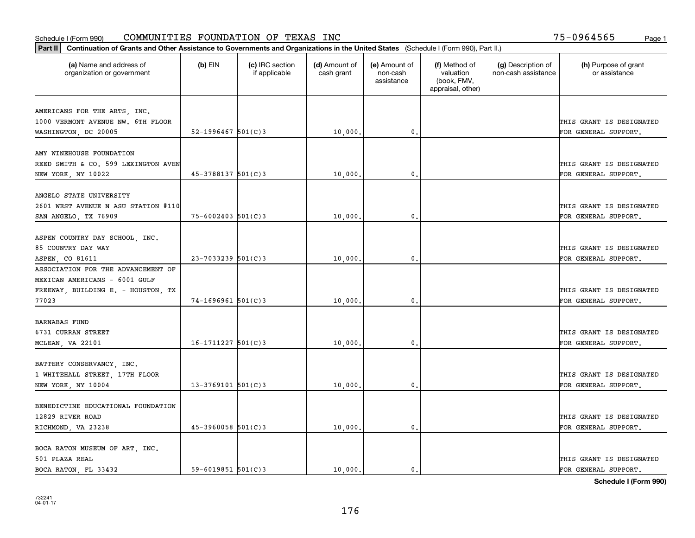| Part II   Continuation of Grants and Other Assistance to Governments and Organizations in the United States (Schedule I (Form 990), Part II.) |                        |                                  |                             |                                         |                                                                |                                           |                                       |
|-----------------------------------------------------------------------------------------------------------------------------------------------|------------------------|----------------------------------|-----------------------------|-----------------------------------------|----------------------------------------------------------------|-------------------------------------------|---------------------------------------|
| (a) Name and address of<br>organization or government                                                                                         | $(b)$ EIN              | (c) IRC section<br>if applicable | (d) Amount of<br>cash grant | (e) Amount of<br>non-cash<br>assistance | (f) Method of<br>valuation<br>(book, FMV,<br>appraisal, other) | (g) Description of<br>non-cash assistance | (h) Purpose of grant<br>or assistance |
| AMERICANS FOR THE ARTS, INC.                                                                                                                  |                        |                                  |                             |                                         |                                                                |                                           |                                       |
| 1000 VERMONT AVENUE NW. 6TH FLOOR                                                                                                             |                        |                                  |                             |                                         |                                                                |                                           | THIS GRANT IS DESIGNATED              |
| WASHINGTON, DC 20005                                                                                                                          | $52 - 1996467$ 501(C)3 |                                  | 10,000.                     | $\mathbf{0}$                            |                                                                |                                           | FOR GENERAL SUPPORT.                  |
|                                                                                                                                               |                        |                                  |                             |                                         |                                                                |                                           |                                       |
| AMY WINEHOUSE FOUNDATION                                                                                                                      |                        |                                  |                             |                                         |                                                                |                                           |                                       |
| REED SMITH & CO. 599 LEXINGTON AVEN                                                                                                           |                        |                                  |                             |                                         |                                                                |                                           | THIS GRANT IS DESIGNATED              |
| NEW YORK, NY 10022                                                                                                                            | $45 - 3788137$ 501(C)3 |                                  | 10,000                      | 0.                                      |                                                                |                                           | FOR GENERAL SUPPORT.                  |
|                                                                                                                                               |                        |                                  |                             |                                         |                                                                |                                           |                                       |
| ANGELO STATE UNIVERSITY                                                                                                                       |                        |                                  |                             |                                         |                                                                |                                           |                                       |
| 2601 WEST AVENUE N ASU STATION #110                                                                                                           |                        |                                  |                             |                                         |                                                                |                                           | THIS GRANT IS DESIGNATED              |
| SAN ANGELO, TX 76909                                                                                                                          | $75 - 6002403$ 501(C)3 |                                  | 10,000                      | $\mathfrak o$ .                         |                                                                |                                           | FOR GENERAL SUPPORT.                  |
| ASPEN COUNTRY DAY SCHOOL, INC.                                                                                                                |                        |                                  |                             |                                         |                                                                |                                           |                                       |
| 85 COUNTRY DAY WAY                                                                                                                            |                        |                                  |                             |                                         |                                                                |                                           | THIS GRANT IS DESIGNATED              |
| ASPEN, CO 81611                                                                                                                               | $23 - 7033239$ 501(C)3 |                                  | 10,000                      | 0.                                      |                                                                |                                           | FOR GENERAL SUPPORT.                  |
| ASSOCIATION FOR THE ADVANCEMENT OF                                                                                                            |                        |                                  |                             |                                         |                                                                |                                           |                                       |
| MEXICAN AMERICANS - 6001 GULF                                                                                                                 |                        |                                  |                             |                                         |                                                                |                                           |                                       |
| FREEWAY, BUILDING E. - HOUSTON, TX                                                                                                            |                        |                                  |                             |                                         |                                                                |                                           | THIS GRANT IS DESIGNATED              |
| 77023                                                                                                                                         | $74 - 1696961$ 501(C)3 |                                  | 10,000                      | 0                                       |                                                                |                                           | FOR GENERAL SUPPORT.                  |
|                                                                                                                                               |                        |                                  |                             |                                         |                                                                |                                           |                                       |
| <b>BARNABAS FUND</b>                                                                                                                          |                        |                                  |                             |                                         |                                                                |                                           |                                       |
| 6731 CURRAN STREET                                                                                                                            |                        |                                  |                             |                                         |                                                                |                                           | THIS GRANT IS DESIGNATED              |
| MCLEAN, VA 22101                                                                                                                              | $16-1711227$ 501(C)3   |                                  | 10,000                      | $\mathbf{0}$                            |                                                                |                                           | FOR GENERAL SUPPORT.                  |
|                                                                                                                                               |                        |                                  |                             |                                         |                                                                |                                           |                                       |
| BATTERY CONSERVANCY, INC.                                                                                                                     |                        |                                  |                             |                                         |                                                                |                                           |                                       |
| 1 WHITEHALL STREET, 17TH FLOOR                                                                                                                |                        |                                  |                             |                                         |                                                                |                                           | THIS GRANT IS DESIGNATED              |
| NEW YORK, NY 10004                                                                                                                            | $13 - 3769101$ 501(C)3 |                                  | 10,000                      | $\mathbf{0}$ .                          |                                                                |                                           | FOR GENERAL SUPPORT.                  |
|                                                                                                                                               |                        |                                  |                             |                                         |                                                                |                                           |                                       |
| BENEDICTINE EDUCATIONAL FOUNDATION                                                                                                            |                        |                                  |                             |                                         |                                                                |                                           |                                       |
| 12829 RIVER ROAD                                                                                                                              | $45-3960058$ 501(C)3   |                                  |                             |                                         |                                                                |                                           | THIS GRANT IS DESIGNATED              |
| RICHMOND, VA 23238                                                                                                                            |                        |                                  | 10,000.                     | $\mathfrak o$ .                         |                                                                |                                           | FOR GENERAL SUPPORT.                  |
| BOCA RATON MUSEUM OF ART, INC.                                                                                                                |                        |                                  |                             |                                         |                                                                |                                           |                                       |
| 501 PLAZA REAL                                                                                                                                |                        |                                  |                             |                                         |                                                                |                                           | THIS GRANT IS DESIGNATED              |
| BOCA RATON, FL 33432                                                                                                                          | $59 - 6019851$ 501(C)3 |                                  | 10,000.                     | $\mathfrak{o}$ .                        |                                                                |                                           | FOR GENERAL SUPPORT.                  |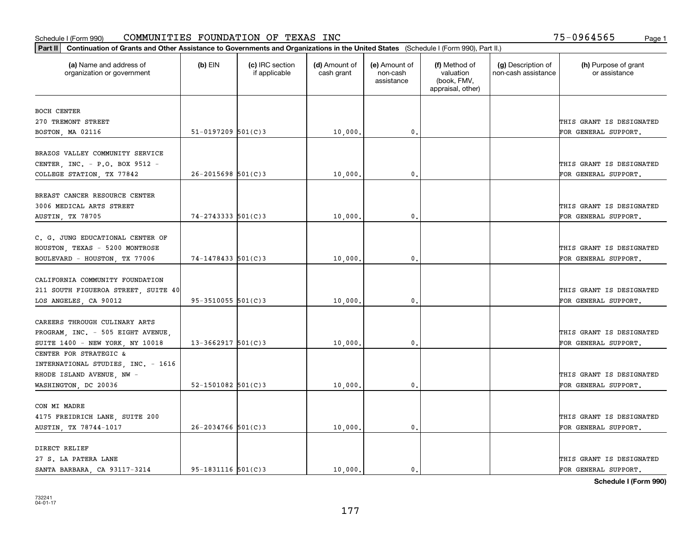| Part II   Continuation of Grants and Other Assistance to Governments and Organizations in the United States (Schedule I (Form 990), Part II.) |                          |                                  |                             |                                         |                                                                |                                           |                                       |
|-----------------------------------------------------------------------------------------------------------------------------------------------|--------------------------|----------------------------------|-----------------------------|-----------------------------------------|----------------------------------------------------------------|-------------------------------------------|---------------------------------------|
| (a) Name and address of<br>organization or government                                                                                         | $(b)$ EIN                | (c) IRC section<br>if applicable | (d) Amount of<br>cash grant | (e) Amount of<br>non-cash<br>assistance | (f) Method of<br>valuation<br>(book, FMV,<br>appraisal, other) | (g) Description of<br>non-cash assistance | (h) Purpose of grant<br>or assistance |
| <b>BOCH CENTER</b>                                                                                                                            |                          |                                  |                             |                                         |                                                                |                                           |                                       |
| 270 TREMONT STREET                                                                                                                            |                          |                                  |                             |                                         |                                                                |                                           | THIS GRANT IS DESIGNATED              |
| BOSTON, MA 02116                                                                                                                              | $51 - 0197209$ 501(C)3   |                                  | 10,000.                     | 0.                                      |                                                                |                                           | FOR GENERAL SUPPORT.                  |
|                                                                                                                                               |                          |                                  |                             |                                         |                                                                |                                           |                                       |
| BRAZOS VALLEY COMMUNITY SERVICE                                                                                                               |                          |                                  |                             |                                         |                                                                |                                           |                                       |
| CENTER, INC. - P.O. BOX 9512 -                                                                                                                |                          |                                  |                             |                                         |                                                                |                                           | THIS GRANT IS DESIGNATED              |
| COLLEGE STATION, TX 77842                                                                                                                     | $26 - 2015698$ 501(C)3   |                                  | 10,000                      | $\mathbf{0}$                            |                                                                |                                           | FOR GENERAL SUPPORT.                  |
|                                                                                                                                               |                          |                                  |                             |                                         |                                                                |                                           |                                       |
| BREAST CANCER RESOURCE CENTER                                                                                                                 |                          |                                  |                             |                                         |                                                                |                                           |                                       |
| 3006 MEDICAL ARTS STREET                                                                                                                      |                          |                                  |                             |                                         |                                                                |                                           | THIS GRANT IS DESIGNATED              |
| <b>AUSTIN, TX 78705</b>                                                                                                                       | $74 - 2743333$ $501(C)3$ |                                  | 10,000,                     | $\mathbf{0}$ .                          |                                                                |                                           | FOR GENERAL SUPPORT.                  |
|                                                                                                                                               |                          |                                  |                             |                                         |                                                                |                                           |                                       |
| C. G. JUNG EDUCATIONAL CENTER OF                                                                                                              |                          |                                  |                             |                                         |                                                                |                                           |                                       |
| HOUSTON, TEXAS - 5200 MONTROSE                                                                                                                |                          |                                  |                             |                                         |                                                                |                                           | THIS GRANT IS DESIGNATED              |
| BOULEVARD - HOUSTON, TX 77006                                                                                                                 | 74-1478433 501(C)3       |                                  | 10,000                      | $\mathbf{0}$                            |                                                                |                                           | FOR GENERAL SUPPORT.                  |
|                                                                                                                                               |                          |                                  |                             |                                         |                                                                |                                           |                                       |
| CALIFORNIA COMMUNITY FOUNDATION                                                                                                               |                          |                                  |                             |                                         |                                                                |                                           |                                       |
| 211 SOUTH FIGUEROA STREET, SUITE 40                                                                                                           |                          |                                  |                             |                                         |                                                                |                                           | THIS GRANT IS DESIGNATED              |
| LOS ANGELES, CA 90012                                                                                                                         | $95 - 3510055$ 501(C)3   |                                  | 10,000                      | $\mathbf{0}$                            |                                                                |                                           | FOR GENERAL SUPPORT.                  |
|                                                                                                                                               |                          |                                  |                             |                                         |                                                                |                                           |                                       |
| CAREERS THROUGH CULINARY ARTS                                                                                                                 |                          |                                  |                             |                                         |                                                                |                                           |                                       |
| PROGRAM, INC. - 505 EIGHT AVENUE,                                                                                                             |                          |                                  |                             |                                         |                                                                |                                           | THIS GRANT IS DESIGNATED              |
| SUITE 1400 - NEW YORK, NY 10018                                                                                                               | $13 - 3662917$ 501(C)3   |                                  | 10,000,                     | $\mathbf{0}$                            |                                                                |                                           | FOR GENERAL SUPPORT.                  |
| CENTER FOR STRATEGIC &                                                                                                                        |                          |                                  |                             |                                         |                                                                |                                           |                                       |
| INTERNATIONAL STUDIES, INC. - 1616                                                                                                            |                          |                                  |                             |                                         |                                                                |                                           |                                       |
| RHODE ISLAND AVENUE, NW -                                                                                                                     |                          |                                  |                             |                                         |                                                                |                                           | THIS GRANT IS DESIGNATED              |
| WASHINGTON, DC 20036                                                                                                                          | $52 - 1501082$ $501(C)3$ |                                  | 10,000                      | 0.                                      |                                                                |                                           | FOR GENERAL SUPPORT.                  |
|                                                                                                                                               |                          |                                  |                             |                                         |                                                                |                                           |                                       |
| CON MI MADRE                                                                                                                                  |                          |                                  |                             |                                         |                                                                |                                           |                                       |
| 4175 FREIDRICH LANE, SUITE 200                                                                                                                |                          |                                  |                             |                                         |                                                                |                                           | THIS GRANT IS DESIGNATED              |
| AUSTIN, TX 78744-1017                                                                                                                         | $26 - 2034766$ 501(C)3   |                                  | 10,000.                     | $\mathfrak{o}$ .                        |                                                                |                                           | FOR GENERAL SUPPORT.                  |
|                                                                                                                                               |                          |                                  |                             |                                         |                                                                |                                           |                                       |
| DIRECT RELIEF                                                                                                                                 |                          |                                  |                             |                                         |                                                                |                                           |                                       |
| 27 S. LA PATERA LANE                                                                                                                          |                          |                                  |                             |                                         |                                                                |                                           | THIS GRANT IS DESIGNATED              |
| SANTA BARBARA, CA 93117-3214                                                                                                                  | $95 - 1831116$ $501(C)3$ |                                  | 10,000.                     | $\mathfrak{o}$ .                        |                                                                |                                           | FOR GENERAL SUPPORT.                  |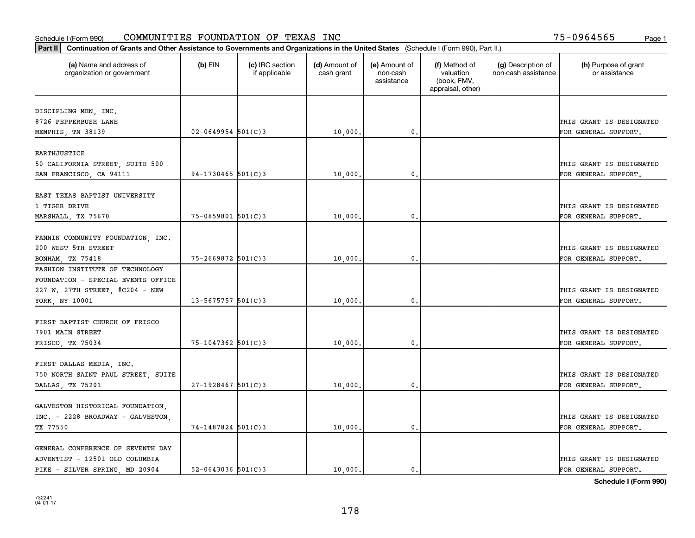| Part II   Continuation of Grants and Other Assistance to Governments and Organizations in the United States (Schedule I (Form 990), Part II.) |                        |                                  |                             |                                         |                                                                |                                           |                                       |
|-----------------------------------------------------------------------------------------------------------------------------------------------|------------------------|----------------------------------|-----------------------------|-----------------------------------------|----------------------------------------------------------------|-------------------------------------------|---------------------------------------|
| (a) Name and address of<br>organization or government                                                                                         | $(b)$ EIN              | (c) IRC section<br>if applicable | (d) Amount of<br>cash grant | (e) Amount of<br>non-cash<br>assistance | (f) Method of<br>valuation<br>(book, FMV,<br>appraisal, other) | (g) Description of<br>non-cash assistance | (h) Purpose of grant<br>or assistance |
|                                                                                                                                               |                        |                                  |                             |                                         |                                                                |                                           |                                       |
| DISCIPLING MEN, INC.<br>8726 PEPPERBUSH LANE                                                                                                  |                        |                                  |                             |                                         |                                                                |                                           | THIS GRANT IS DESIGNATED              |
| MEMPHIS, TN 38139                                                                                                                             | $02 - 0649954$ 501(C)3 |                                  | 10,000.                     | $\mathbf{0}$ .                          |                                                                |                                           | FOR GENERAL SUPPORT.                  |
|                                                                                                                                               |                        |                                  |                             |                                         |                                                                |                                           |                                       |
| <b>EARTHJUSTICE</b>                                                                                                                           |                        |                                  |                             |                                         |                                                                |                                           |                                       |
| 50 CALIFORNIA STREET, SUITE 500                                                                                                               |                        |                                  |                             |                                         |                                                                |                                           | THIS GRANT IS DESIGNATED              |
| SAN FRANCISCO, CA 94111                                                                                                                       | $94-1730465$ 501(C)3   |                                  | 10,000                      | 0.                                      |                                                                |                                           | FOR GENERAL SUPPORT.                  |
|                                                                                                                                               |                        |                                  |                             |                                         |                                                                |                                           |                                       |
| EAST TEXAS BAPTIST UNIVERSITY                                                                                                                 |                        |                                  |                             |                                         |                                                                |                                           |                                       |
| 1 TIGER DRIVE                                                                                                                                 |                        |                                  |                             |                                         |                                                                |                                           | THIS GRANT IS DESIGNATED              |
| MARSHALL, TX 75670                                                                                                                            | $75 - 0859801$ 501(C)3 |                                  | 10,000.                     | $\mathbf{0}$ .                          |                                                                |                                           | FOR GENERAL SUPPORT.                  |
|                                                                                                                                               |                        |                                  |                             |                                         |                                                                |                                           |                                       |
| FANNIN COMMUNITY FOUNDATION, INC.<br>200 WEST 5TH STREET                                                                                      |                        |                                  |                             |                                         |                                                                |                                           | THIS GRANT IS DESIGNATED              |
| BONHAM, TX 75418                                                                                                                              | $75 - 2669872$ 501(C)3 |                                  | 10,000.                     | 0.                                      |                                                                |                                           | FOR GENERAL SUPPORT.                  |
| FASHION INSTITUTE OF TECHNOLOGY                                                                                                               |                        |                                  |                             |                                         |                                                                |                                           |                                       |
| FOUNDATION - SPECIAL EVENTS OFFICE                                                                                                            |                        |                                  |                             |                                         |                                                                |                                           |                                       |
| 227 W. 27TH STREET, #C204 - NEW                                                                                                               |                        |                                  |                             |                                         |                                                                |                                           | THIS GRANT IS DESIGNATED              |
| YORK, NY 10001                                                                                                                                | $13 - 5675757$ 501(C)3 |                                  | 10,000.                     | 0.                                      |                                                                |                                           | FOR GENERAL SUPPORT.                  |
|                                                                                                                                               |                        |                                  |                             |                                         |                                                                |                                           |                                       |
| FIRST BAPTIST CHURCH OF FRISCO                                                                                                                |                        |                                  |                             |                                         |                                                                |                                           |                                       |
| 7901 MAIN STREET                                                                                                                              |                        |                                  |                             |                                         |                                                                |                                           | THIS GRANT IS DESIGNATED              |
| FRISCO, TX 75034                                                                                                                              | 75-1047362 501(C)3     |                                  | 10,000.                     | 0.                                      |                                                                |                                           | FOR GENERAL SUPPORT.                  |
|                                                                                                                                               |                        |                                  |                             |                                         |                                                                |                                           |                                       |
| FIRST DALLAS MEDIA, INC.                                                                                                                      |                        |                                  |                             |                                         |                                                                |                                           |                                       |
| 750 NORTH SAINT PAUL STREET, SUITE                                                                                                            |                        |                                  |                             |                                         |                                                                |                                           | THIS GRANT IS DESIGNATED              |
| DALLAS, TX 75201                                                                                                                              | $27-1928467$ 501(C)3   |                                  | 10,000.                     | 0.                                      |                                                                |                                           | FOR GENERAL SUPPORT.                  |
| GALVESTON HISTORICAL FOUNDATION,                                                                                                              |                        |                                  |                             |                                         |                                                                |                                           |                                       |
| INC. - 2228 BROADWAY - GALVESTON,                                                                                                             |                        |                                  |                             |                                         |                                                                |                                           | THIS GRANT IS DESIGNATED              |
| TX 77550                                                                                                                                      | 74-1487824 501(C)3     |                                  | 10,000.                     | $\mathbf{0}$ .                          |                                                                |                                           | FOR GENERAL SUPPORT.                  |
|                                                                                                                                               |                        |                                  |                             |                                         |                                                                |                                           |                                       |
| GENERAL CONFERENCE OF SEVENTH DAY                                                                                                             |                        |                                  |                             |                                         |                                                                |                                           |                                       |
| ADVENTIST - 12501 OLD COLUMBIA                                                                                                                |                        |                                  |                             |                                         |                                                                |                                           | THIS GRANT IS DESIGNATED              |
| PIKE - SILVER SPRING, MD 20904                                                                                                                | $52 - 0643036$ 501(C)3 |                                  | 10,000.                     | $\mathbf{0}$ .                          |                                                                |                                           | FOR GENERAL SUPPORT.                  |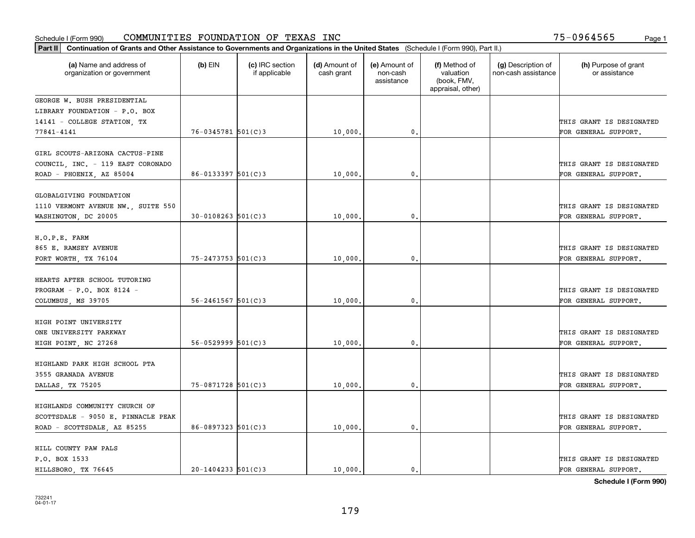| Part II   Continuation of Grants and Other Assistance to Governments and Organizations in the United States (Schedule I (Form 990), Part II.) |                          |                                  |                             |                                         |                                                                |                                           |                                                  |
|-----------------------------------------------------------------------------------------------------------------------------------------------|--------------------------|----------------------------------|-----------------------------|-----------------------------------------|----------------------------------------------------------------|-------------------------------------------|--------------------------------------------------|
| (a) Name and address of<br>organization or government                                                                                         | $(b)$ EIN                | (c) IRC section<br>if applicable | (d) Amount of<br>cash grant | (e) Amount of<br>non-cash<br>assistance | (f) Method of<br>valuation<br>(book, FMV,<br>appraisal, other) | (g) Description of<br>non-cash assistance | (h) Purpose of grant<br>or assistance            |
| GEORGE W. BUSH PRESIDENTIAL                                                                                                                   |                          |                                  |                             |                                         |                                                                |                                           |                                                  |
| LIBRARY FOUNDATION - P.O. BOX                                                                                                                 |                          |                                  |                             |                                         |                                                                |                                           |                                                  |
| 14141 - COLLEGE STATION, TX                                                                                                                   |                          |                                  |                             |                                         |                                                                |                                           | THIS GRANT IS DESIGNATED                         |
| 77841-4141                                                                                                                                    | $76 - 0345781$ 501(C)3   |                                  | 10,000.                     | 0.                                      |                                                                |                                           | FOR GENERAL SUPPORT.                             |
| GIRL SCOUTS-ARIZONA CACTUS-PINE<br>COUNCIL, INC. - 119 EAST CORONADO<br>ROAD - PHOENIX, AZ 85004                                              | $86 - 0133397$ 501(C)3   |                                  | 10,000                      | 0.                                      |                                                                |                                           | THIS GRANT IS DESIGNATED<br>FOR GENERAL SUPPORT. |
| GLOBALGIVING FOUNDATION<br>1110 VERMONT AVENUE NW., SUITE 550<br>WASHINGTON, DC 20005                                                         | $30 - 0108263$ 501(C)3   |                                  | 10,000,                     | $\mathbf{0}$ .                          |                                                                |                                           | THIS GRANT IS DESIGNATED<br>FOR GENERAL SUPPORT. |
| H.O.P.E. FARM<br>865 E. RAMSEY AVENUE<br>FORT WORTH, TX 76104                                                                                 | $75 - 2473753$ 501(C)3   |                                  | 10,000                      | $\mathbf{0}$                            |                                                                |                                           | THIS GRANT IS DESIGNATED<br>FOR GENERAL SUPPORT. |
| HEARTS AFTER SCHOOL TUTORING<br>PROGRAM - P.O. BOX 8124 -<br>COLUMBUS, MS 39705                                                               | $56 - 2461567$ $501(C)3$ |                                  | 10,000                      | $\mathbf{0}$                            |                                                                |                                           | THIS GRANT IS DESIGNATED<br>FOR GENERAL SUPPORT. |
| HIGH POINT UNIVERSITY<br>ONE UNIVERSITY PARKWAY<br>HIGH POINT, NC 27268                                                                       | $56 - 0529999$ $501(C)3$ |                                  | 10,000,                     | $\mathbf{0}$                            |                                                                |                                           | THIS GRANT IS DESIGNATED<br>FOR GENERAL SUPPORT. |
| HIGHLAND PARK HIGH SCHOOL PTA<br>3555 GRANADA AVENUE<br>DALLAS, TX 75205                                                                      | 75-0871728 501(C)3       |                                  | 10,000                      | $^{\rm 0}$ .                            |                                                                |                                           | THIS GRANT IS DESIGNATED<br>FOR GENERAL SUPPORT. |
| HIGHLANDS COMMUNITY CHURCH OF<br>SCOTTSDALE - 9050 E. PINNACLE PEAK<br>ROAD - SCOTTSDALE, AZ 85255                                            | $86 - 0897323$ 501(C)3   |                                  | 10,000.                     | $\mathfrak{o}$ .                        |                                                                |                                           | THIS GRANT IS DESIGNATED<br>FOR GENERAL SUPPORT. |
| HILL COUNTY PAW PALS<br>P.O. BOX 1533<br>HILLSBORO, TX 76645                                                                                  | $20 - 1404233$ 501(C)3   |                                  | 10,000.                     | $\mathfrak{o}$ .                        |                                                                |                                           | THIS GRANT IS DESIGNATED<br>FOR GENERAL SUPPORT. |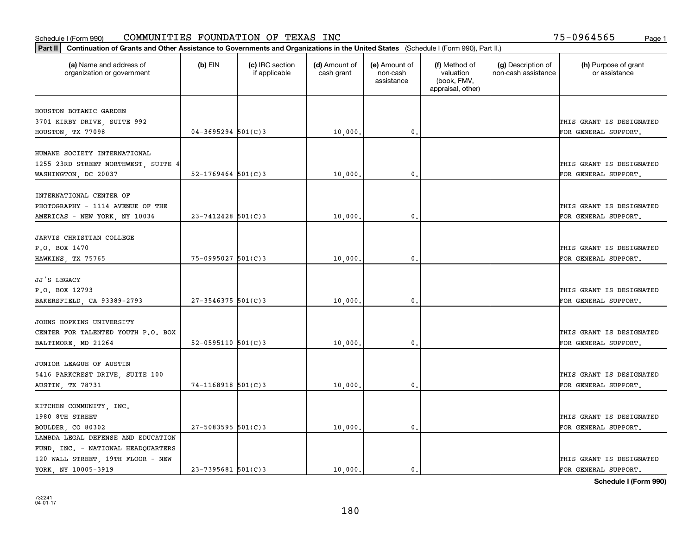| Part II   Continuation of Grants and Other Assistance to Governments and Organizations in the United States (Schedule I (Form 990), Part II.) |                          |                                  |                             |                                         |                                                                |                                           |                                       |
|-----------------------------------------------------------------------------------------------------------------------------------------------|--------------------------|----------------------------------|-----------------------------|-----------------------------------------|----------------------------------------------------------------|-------------------------------------------|---------------------------------------|
| (a) Name and address of<br>organization or government                                                                                         | $(b)$ EIN                | (c) IRC section<br>if applicable | (d) Amount of<br>cash grant | (e) Amount of<br>non-cash<br>assistance | (f) Method of<br>valuation<br>(book, FMV,<br>appraisal, other) | (g) Description of<br>non-cash assistance | (h) Purpose of grant<br>or assistance |
| HOUSTON BOTANIC GARDEN                                                                                                                        |                          |                                  |                             |                                         |                                                                |                                           |                                       |
| 3701 KIRBY DRIVE, SUITE 992                                                                                                                   |                          |                                  |                             |                                         |                                                                |                                           | THIS GRANT IS DESIGNATED              |
| HOUSTON, TX 77098                                                                                                                             | $04 - 3695294$ 501(C)3   |                                  | 10,000.                     | $\mathfrak{o}$ .                        |                                                                |                                           | FOR GENERAL SUPPORT.                  |
|                                                                                                                                               |                          |                                  |                             |                                         |                                                                |                                           |                                       |
| HUMANE SOCIETY INTERNATIONAL                                                                                                                  |                          |                                  |                             |                                         |                                                                |                                           |                                       |
| 1255 23RD STREET NORTHWEST, SUITE 4                                                                                                           |                          |                                  |                             |                                         |                                                                |                                           | THIS GRANT IS DESIGNATED              |
| WASHINGTON, DC 20037                                                                                                                          | $52 - 1769464$ $501(C)3$ |                                  | 10,000                      | 0.                                      |                                                                |                                           | FOR GENERAL SUPPORT.                  |
|                                                                                                                                               |                          |                                  |                             |                                         |                                                                |                                           |                                       |
| INTERNATIONAL CENTER OF                                                                                                                       |                          |                                  |                             |                                         |                                                                |                                           |                                       |
| PHOTOGRAPHY - 1114 AVENUE OF THE                                                                                                              |                          |                                  |                             |                                         |                                                                |                                           | THIS GRANT IS DESIGNATED              |
| AMERICAS - NEW YORK, NY 10036                                                                                                                 | $23 - 7412428$ 501(C) 3  |                                  | 10,000.                     | $\mathfrak{o}$ .                        |                                                                |                                           | FOR GENERAL SUPPORT.                  |
|                                                                                                                                               |                          |                                  |                             |                                         |                                                                |                                           |                                       |
| JARVIS CHRISTIAN COLLEGE                                                                                                                      |                          |                                  |                             |                                         |                                                                |                                           |                                       |
| P.O. BOX 1470                                                                                                                                 |                          |                                  |                             |                                         |                                                                |                                           | THIS GRANT IS DESIGNATED              |
| HAWKINS, TX 75765                                                                                                                             | $75-0995027$ 501(C)3     |                                  | 10,000                      | 0.                                      |                                                                |                                           | FOR GENERAL SUPPORT.                  |
|                                                                                                                                               |                          |                                  |                             |                                         |                                                                |                                           |                                       |
| JJ'S LEGACY                                                                                                                                   |                          |                                  |                             |                                         |                                                                |                                           |                                       |
| P.O. BOX 12793                                                                                                                                |                          |                                  |                             |                                         |                                                                |                                           | THIS GRANT IS DESIGNATED              |
| BAKERSFIELD, CA 93389-2793                                                                                                                    | $27 - 3546375$ 501(C)3   |                                  | 10,000.                     | 0.                                      |                                                                |                                           | FOR GENERAL SUPPORT.                  |
|                                                                                                                                               |                          |                                  |                             |                                         |                                                                |                                           |                                       |
| JOHNS HOPKINS UNIVERSITY                                                                                                                      |                          |                                  |                             |                                         |                                                                |                                           |                                       |
| CENTER FOR TALENTED YOUTH P.O. BOX                                                                                                            |                          |                                  |                             |                                         |                                                                |                                           | THIS GRANT IS DESIGNATED              |
| BALTIMORE, MD 21264                                                                                                                           | $52 - 0595110$ 501(C)3   |                                  | 10,000,                     | 0.                                      |                                                                |                                           | FOR GENERAL SUPPORT.                  |
| JUNIOR LEAGUE OF AUSTIN                                                                                                                       |                          |                                  |                             |                                         |                                                                |                                           |                                       |
|                                                                                                                                               |                          |                                  |                             |                                         |                                                                |                                           | THIS GRANT IS DESIGNATED              |
| 5416 PARKCREST DRIVE, SUITE 100                                                                                                               | $74-1168918$ 501(C)3     |                                  |                             | $\mathfrak{o}$ .                        |                                                                |                                           | FOR GENERAL SUPPORT.                  |
| AUSTIN, TX 78731                                                                                                                              |                          |                                  | 10,000.                     |                                         |                                                                |                                           |                                       |
| KITCHEN COMMUNITY, INC.                                                                                                                       |                          |                                  |                             |                                         |                                                                |                                           |                                       |
| 1980 8TH STREET                                                                                                                               |                          |                                  |                             |                                         |                                                                |                                           | THIS GRANT IS DESIGNATED              |
| BOULDER, CO 80302                                                                                                                             | $27 - 5083595$ 501(C)3   |                                  | 10,000                      | $\mathbf{0}$                            |                                                                |                                           | FOR GENERAL SUPPORT.                  |
| LAMBDA LEGAL DEFENSE AND EDUCATION                                                                                                            |                          |                                  |                             |                                         |                                                                |                                           |                                       |
| FUND, INC. - NATIONAL HEADQUARTERS                                                                                                            |                          |                                  |                             |                                         |                                                                |                                           |                                       |
| 120 WALL STREET, 19TH FLOOR - NEW                                                                                                             |                          |                                  |                             |                                         |                                                                |                                           | THIS GRANT IS DESIGNATED              |
| YORK, NY 10005-3919                                                                                                                           | $23 - 7395681$ 501(C)3   |                                  | 10,000.                     | $\mathbf{0}$ .                          |                                                                |                                           | FOR GENERAL SUPPORT.                  |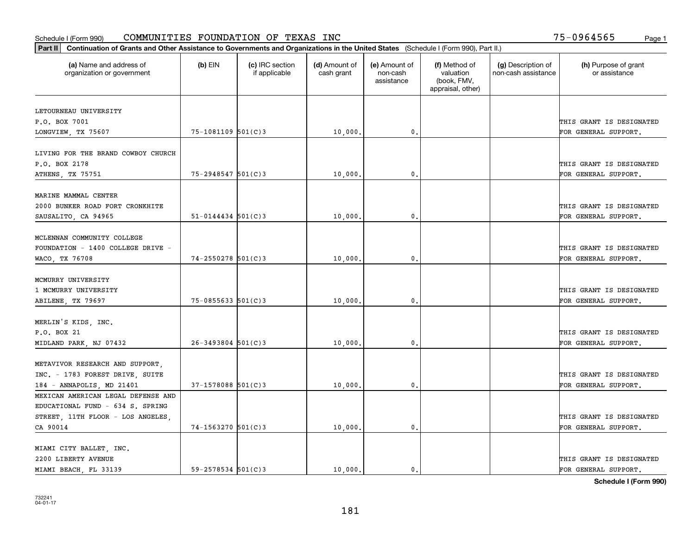| Part II   Continuation of Grants and Other Assistance to Governments and Organizations in the United States (Schedule I (Form 990), Part II.) |                          |                                  |                             |                                         |                                                                |                                           |                                       |
|-----------------------------------------------------------------------------------------------------------------------------------------------|--------------------------|----------------------------------|-----------------------------|-----------------------------------------|----------------------------------------------------------------|-------------------------------------------|---------------------------------------|
| (a) Name and address of<br>organization or government                                                                                         | $(b)$ EIN                | (c) IRC section<br>if applicable | (d) Amount of<br>cash grant | (e) Amount of<br>non-cash<br>assistance | (f) Method of<br>valuation<br>(book, FMV,<br>appraisal, other) | (g) Description of<br>non-cash assistance | (h) Purpose of grant<br>or assistance |
| LETOURNEAU UNIVERSITY                                                                                                                         |                          |                                  |                             |                                         |                                                                |                                           |                                       |
| P.O. BOX 7001                                                                                                                                 |                          |                                  |                             |                                         |                                                                |                                           | THIS GRANT IS DESIGNATED              |
| LONGVIEW, TX 75607                                                                                                                            | $75 - 1081109$ 501(C)3   |                                  | 10,000.                     | $\mathbf 0$ .                           |                                                                |                                           | FOR GENERAL SUPPORT.                  |
|                                                                                                                                               |                          |                                  |                             |                                         |                                                                |                                           |                                       |
| LIVING FOR THE BRAND COWBOY CHURCH                                                                                                            |                          |                                  |                             |                                         |                                                                |                                           |                                       |
| P.O. BOX 2178                                                                                                                                 |                          |                                  |                             |                                         |                                                                |                                           | THIS GRANT IS DESIGNATED              |
| ATHENS, TX 75751                                                                                                                              | $75 - 2948547$ 501(C)3   |                                  | 10,000                      | 0.                                      |                                                                |                                           | FOR GENERAL SUPPORT.                  |
|                                                                                                                                               |                          |                                  |                             |                                         |                                                                |                                           |                                       |
| MARINE MAMMAL CENTER                                                                                                                          |                          |                                  |                             |                                         |                                                                |                                           |                                       |
| 2000 BUNKER ROAD FORT CRONKHITE                                                                                                               |                          |                                  |                             |                                         |                                                                |                                           | THIS GRANT IS DESIGNATED              |
| SAUSALITO, CA 94965                                                                                                                           | $51 - 0144434$ $501(C)3$ |                                  | 10,000                      | $\mathbf 0$ .                           |                                                                |                                           | FOR GENERAL SUPPORT.                  |
| MCLENNAN COMMUNITY COLLEGE                                                                                                                    |                          |                                  |                             |                                         |                                                                |                                           |                                       |
| FOUNDATION - 1400 COLLEGE DRIVE -                                                                                                             |                          |                                  |                             |                                         |                                                                |                                           | THIS GRANT IS DESIGNATED              |
|                                                                                                                                               | $74 - 2550278$ 501(C)3   |                                  | 10,000                      | 0.                                      |                                                                |                                           | FOR GENERAL SUPPORT.                  |
| WACO, TX 76708                                                                                                                                |                          |                                  |                             |                                         |                                                                |                                           |                                       |
| MCMURRY UNIVERSITY                                                                                                                            |                          |                                  |                             |                                         |                                                                |                                           |                                       |
| 1 MCMURRY UNIVERSITY                                                                                                                          |                          |                                  |                             |                                         |                                                                |                                           | THIS GRANT IS DESIGNATED              |
| ABILENE, TX 79697                                                                                                                             | $75 - 0855633$ 501(C)3   |                                  | 10,000                      | 0                                       |                                                                |                                           | FOR GENERAL SUPPORT.                  |
|                                                                                                                                               |                          |                                  |                             |                                         |                                                                |                                           |                                       |
| MERLIN'S KIDS, INC.                                                                                                                           |                          |                                  |                             |                                         |                                                                |                                           |                                       |
| P.O. BOX 21                                                                                                                                   |                          |                                  |                             |                                         |                                                                |                                           | THIS GRANT IS DESIGNATED              |
| MIDLAND PARK, NJ 07432                                                                                                                        | $26 - 3493804$ 501(C)3   |                                  | 10,000.                     | $\mathbf{0}$                            |                                                                |                                           | FOR GENERAL SUPPORT.                  |
|                                                                                                                                               |                          |                                  |                             |                                         |                                                                |                                           |                                       |
| METAVIVOR RESEARCH AND SUPPORT,                                                                                                               |                          |                                  |                             |                                         |                                                                |                                           |                                       |
| INC. - 1783 FOREST DRIVE, SUITE                                                                                                               |                          |                                  |                             |                                         |                                                                |                                           | THIS GRANT IS DESIGNATED              |
| 184 - ANNAPOLIS, MD 21401                                                                                                                     | $37 - 1578088$ 501(C) 3  |                                  | 10,000                      | $\mathbf{0}$ .                          |                                                                |                                           | FOR GENERAL SUPPORT.                  |
| MEXICAN AMERICAN LEGAL DEFENSE AND                                                                                                            |                          |                                  |                             |                                         |                                                                |                                           |                                       |
| EDUCATIONAL FUND - 634 S. SPRING                                                                                                              |                          |                                  |                             |                                         |                                                                |                                           |                                       |
| STREET, 11TH FLOOR - LOS ANGELES,                                                                                                             |                          |                                  |                             |                                         |                                                                |                                           | THIS GRANT IS DESIGNATED              |
| CA 90014                                                                                                                                      | 74-1563270 501(C)3       |                                  | 10,000.                     | $\mathfrak{o}$ .                        |                                                                |                                           | FOR GENERAL SUPPORT.                  |
|                                                                                                                                               |                          |                                  |                             |                                         |                                                                |                                           |                                       |
| MIAMI CITY BALLET, INC.                                                                                                                       |                          |                                  |                             |                                         |                                                                |                                           | THIS GRANT IS DESIGNATED              |
| 2200 LIBERTY AVENUE<br>MIAMI BEACH, FL 33139                                                                                                  | $59 - 2578534$ 501(C)3   |                                  | 10,000.                     | $\mathfrak{o}$ .                        |                                                                |                                           | FOR GENERAL SUPPORT.                  |
|                                                                                                                                               |                          |                                  |                             |                                         |                                                                |                                           |                                       |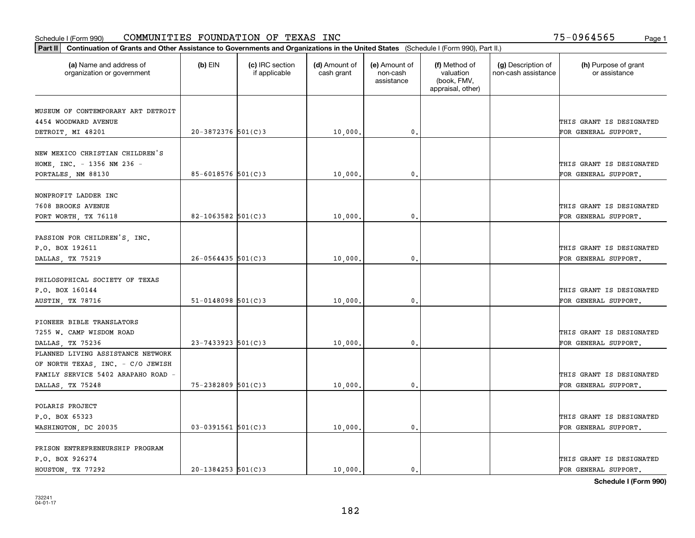| Part II   Continuation of Grants and Other Assistance to Governments and Organizations in the United States (Schedule I (Form 990), Part II.) |                        |                                  |                             |                                         |                                                                |                                           |                                       |
|-----------------------------------------------------------------------------------------------------------------------------------------------|------------------------|----------------------------------|-----------------------------|-----------------------------------------|----------------------------------------------------------------|-------------------------------------------|---------------------------------------|
| (a) Name and address of<br>organization or government                                                                                         | $(b)$ EIN              | (c) IRC section<br>if applicable | (d) Amount of<br>cash grant | (e) Amount of<br>non-cash<br>assistance | (f) Method of<br>valuation<br>(book, FMV,<br>appraisal, other) | (g) Description of<br>non-cash assistance | (h) Purpose of grant<br>or assistance |
| MUSEUM OF CONTEMPORARY ART DETROIT                                                                                                            |                        |                                  |                             |                                         |                                                                |                                           |                                       |
| 4454 WOODWARD AVENUE                                                                                                                          |                        |                                  |                             |                                         |                                                                |                                           | THIS GRANT IS DESIGNATED              |
| DETROIT, MI 48201                                                                                                                             | $20 - 3872376$ 501(C)3 |                                  | 10,000.                     | 0.                                      |                                                                |                                           | FOR GENERAL SUPPORT.                  |
|                                                                                                                                               |                        |                                  |                             |                                         |                                                                |                                           |                                       |
| NEW MEXICO CHRISTIAN CHILDREN'S                                                                                                               |                        |                                  |                             |                                         |                                                                |                                           |                                       |
| HOME, INC. - 1356 NM 236 -                                                                                                                    |                        |                                  |                             |                                         |                                                                |                                           | THIS GRANT IS DESIGNATED              |
| PORTALES, NM 88130                                                                                                                            | $85 - 6018576$ 501(C)3 |                                  | 10,000                      | 0.                                      |                                                                |                                           | FOR GENERAL SUPPORT.                  |
|                                                                                                                                               |                        |                                  |                             |                                         |                                                                |                                           |                                       |
| NONPROFIT LADDER INC                                                                                                                          |                        |                                  |                             |                                         |                                                                |                                           |                                       |
| 7608 BROOKS AVENUE                                                                                                                            |                        |                                  |                             |                                         |                                                                |                                           | THIS GRANT IS DESIGNATED              |
| FORT WORTH, TX 76118                                                                                                                          | $82 - 1063582$ 501(C)3 |                                  | 10,000.                     | $\mathfrak{o}$ .                        |                                                                |                                           | FOR GENERAL SUPPORT.                  |
| PASSION FOR CHILDREN'S, INC.                                                                                                                  |                        |                                  |                             |                                         |                                                                |                                           |                                       |
| P.O. BOX 192611                                                                                                                               |                        |                                  |                             |                                         |                                                                |                                           | THIS GRANT IS DESIGNATED              |
| DALLAS, TX 75219                                                                                                                              | $26 - 0564435$ 501(C)3 |                                  | 10,000                      | 0.                                      |                                                                |                                           | FOR GENERAL SUPPORT.                  |
|                                                                                                                                               |                        |                                  |                             |                                         |                                                                |                                           |                                       |
| PHILOSOPHICAL SOCIETY OF TEXAS                                                                                                                |                        |                                  |                             |                                         |                                                                |                                           |                                       |
| P.O. BOX 160144                                                                                                                               |                        |                                  |                             |                                         |                                                                |                                           | THIS GRANT IS DESIGNATED              |
| <b>AUSTIN, TX 78716</b>                                                                                                                       | $51 - 0148098$ 501(C)3 |                                  | 10,000                      | $\mathbf{0}$                            |                                                                |                                           | FOR GENERAL SUPPORT.                  |
|                                                                                                                                               |                        |                                  |                             |                                         |                                                                |                                           |                                       |
| PIONEER BIBLE TRANSLATORS                                                                                                                     |                        |                                  |                             |                                         |                                                                |                                           |                                       |
| 7255 W. CAMP WISDOM ROAD                                                                                                                      |                        |                                  |                             |                                         |                                                                |                                           | THIS GRANT IS DESIGNATED              |
| DALLAS, TX 75236                                                                                                                              | $23 - 7433923$ 501(C)3 |                                  | 10,000.                     | $\mathbf{0}$                            |                                                                |                                           | FOR GENERAL SUPPORT.                  |
| PLANNED LIVING ASSISTANCE NETWORK                                                                                                             |                        |                                  |                             |                                         |                                                                |                                           |                                       |
| OF NORTH TEXAS, INC. - C/O JEWISH                                                                                                             |                        |                                  |                             |                                         |                                                                |                                           |                                       |
| FAMILY SERVICE 5402 ARAPAHO ROAD -                                                                                                            |                        |                                  |                             |                                         |                                                                |                                           | THIS GRANT IS DESIGNATED              |
| DALLAS, TX 75248                                                                                                                              | $75 - 2382809$ 501(C)3 |                                  | 10,000                      | $\mathbf{0}$ .                          |                                                                |                                           | FOR GENERAL SUPPORT.                  |
|                                                                                                                                               |                        |                                  |                             |                                         |                                                                |                                           |                                       |
| POLARIS PROJECT                                                                                                                               |                        |                                  |                             |                                         |                                                                |                                           |                                       |
| P.O. BOX 65323                                                                                                                                |                        |                                  |                             |                                         |                                                                |                                           | THIS GRANT IS DESIGNATED              |
| WASHINGTON, DC 20035                                                                                                                          | $03 - 0391561$ 501(C)3 |                                  | 10,000.                     | $\mathfrak{o}$ .                        |                                                                |                                           | FOR GENERAL SUPPORT.                  |
| PRISON ENTREPRENEURSHIP PROGRAM                                                                                                               |                        |                                  |                             |                                         |                                                                |                                           |                                       |
| P.O. BOX 926274                                                                                                                               |                        |                                  |                             |                                         |                                                                |                                           | THIS GRANT IS DESIGNATED              |
| HOUSTON, TX 77292                                                                                                                             | $20 - 1384253$ 501(C)3 |                                  | 10,000.                     | $\mathfrak{o}$ .                        |                                                                |                                           | FOR GENERAL SUPPORT.                  |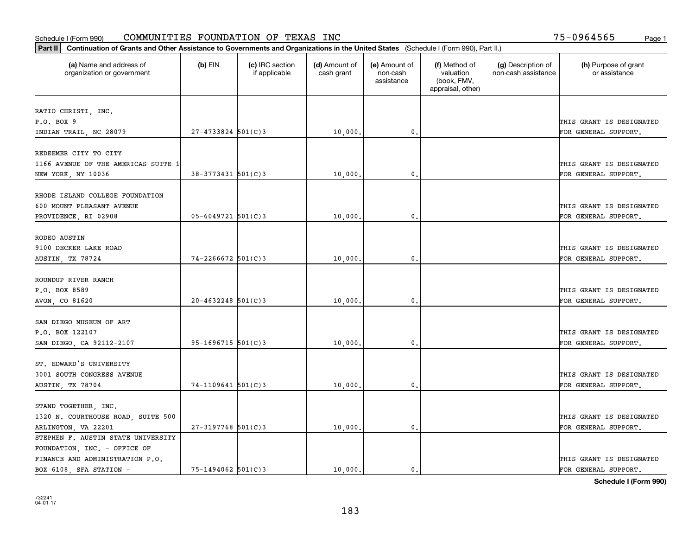| Part II   Continuation of Grants and Other Assistance to Governments and Organizations in the United States (Schedule I (Form 990), Part II.) |                        |                                  |                             |                                         |                                                                |                                           |                                       |
|-----------------------------------------------------------------------------------------------------------------------------------------------|------------------------|----------------------------------|-----------------------------|-----------------------------------------|----------------------------------------------------------------|-------------------------------------------|---------------------------------------|
| (a) Name and address of<br>organization or government                                                                                         | $(b)$ EIN              | (c) IRC section<br>if applicable | (d) Amount of<br>cash grant | (e) Amount of<br>non-cash<br>assistance | (f) Method of<br>valuation<br>(book, FMV,<br>appraisal, other) | (g) Description of<br>non-cash assistance | (h) Purpose of grant<br>or assistance |
|                                                                                                                                               |                        |                                  |                             |                                         |                                                                |                                           |                                       |
| RATIO CHRISTI, INC.<br>P.O. BOX 9                                                                                                             |                        |                                  |                             |                                         |                                                                |                                           | THIS GRANT IS DESIGNATED              |
| INDIAN TRAIL, NC 28079                                                                                                                        | $27 - 4733824$ 501(C)3 |                                  | 10,000.                     | 0.                                      |                                                                |                                           | FOR GENERAL SUPPORT.                  |
|                                                                                                                                               |                        |                                  |                             |                                         |                                                                |                                           |                                       |
| REDEEMER CITY TO CITY                                                                                                                         |                        |                                  |                             |                                         |                                                                |                                           |                                       |
| 1166 AVENUE OF THE AMERICAS SUITE 1                                                                                                           |                        |                                  |                             |                                         |                                                                |                                           | THIS GRANT IS DESIGNATED              |
| NEW YORK, NY 10036                                                                                                                            | 38-3773431 501(C)3     |                                  | 10,000                      | 0.                                      |                                                                |                                           | FOR GENERAL SUPPORT.                  |
|                                                                                                                                               |                        |                                  |                             |                                         |                                                                |                                           |                                       |
| RHODE ISLAND COLLEGE FOUNDATION                                                                                                               |                        |                                  |                             |                                         |                                                                |                                           |                                       |
| 600 MOUNT PLEASANT AVENUE                                                                                                                     |                        |                                  |                             |                                         |                                                                |                                           | THIS GRANT IS DESIGNATED              |
| PROVIDENCE, RI 02908                                                                                                                          | $05 - 6049721$ 501(C)3 |                                  | 10,000,                     | $\mathbf{0}$ .                          |                                                                |                                           | FOR GENERAL SUPPORT.                  |
|                                                                                                                                               |                        |                                  |                             |                                         |                                                                |                                           |                                       |
| RODEO AUSTIN                                                                                                                                  |                        |                                  |                             |                                         |                                                                |                                           |                                       |
| 9100 DECKER LAKE ROAD                                                                                                                         | $74 - 2266672$ 501(C)3 |                                  |                             | 0.                                      |                                                                |                                           | THIS GRANT IS DESIGNATED              |
| AUSTIN, TX 78724                                                                                                                              |                        |                                  | 10,000.                     |                                         |                                                                |                                           | FOR GENERAL SUPPORT.                  |
| ROUNDUP RIVER RANCH                                                                                                                           |                        |                                  |                             |                                         |                                                                |                                           |                                       |
| P.O. BOX 8589                                                                                                                                 |                        |                                  |                             |                                         |                                                                |                                           | THIS GRANT IS DESIGNATED              |
| AVON, CO 81620                                                                                                                                | $20 - 4632248$ 501(C)3 |                                  | 10,000.                     | 0.                                      |                                                                |                                           | FOR GENERAL SUPPORT.                  |
|                                                                                                                                               |                        |                                  |                             |                                         |                                                                |                                           |                                       |
| SAN DIEGO MUSEUM OF ART                                                                                                                       |                        |                                  |                             |                                         |                                                                |                                           |                                       |
| P.O. BOX 122107                                                                                                                               |                        |                                  |                             |                                         |                                                                |                                           | THIS GRANT IS DESIGNATED              |
| SAN DIEGO, CA 92112-2107                                                                                                                      | $95 - 1696715$ 501(C)3 |                                  | 10,000,                     | 0.                                      |                                                                |                                           | FOR GENERAL SUPPORT.                  |
|                                                                                                                                               |                        |                                  |                             |                                         |                                                                |                                           |                                       |
| ST. EDWARD'S UNIVERSITY                                                                                                                       |                        |                                  |                             |                                         |                                                                |                                           |                                       |
| 3001 SOUTH CONGRESS AVENUE                                                                                                                    |                        |                                  |                             |                                         |                                                                |                                           | THIS GRANT IS DESIGNATED              |
| AUSTIN, TX 78704                                                                                                                              | $74-1109641$ 501(C)3   |                                  | 10,000                      | $^{\circ}$ .                            |                                                                |                                           | FOR GENERAL SUPPORT.                  |
| STAND TOGETHER, INC.                                                                                                                          |                        |                                  |                             |                                         |                                                                |                                           |                                       |
| 1320 N. COURTHOUSE ROAD, SUITE 500                                                                                                            |                        |                                  |                             |                                         |                                                                |                                           | THIS GRANT IS DESIGNATED              |
| ARLINGTON, VA 22201                                                                                                                           | 27-3197768 501(C)3     |                                  | 10,000.                     | 0.                                      |                                                                |                                           | FOR GENERAL SUPPORT.                  |
| STEPHEN F. AUSTIN STATE UNIVERSITY                                                                                                            |                        |                                  |                             |                                         |                                                                |                                           |                                       |
| FOUNDATION, INC. - OFFICE OF                                                                                                                  |                        |                                  |                             |                                         |                                                                |                                           |                                       |
| FINANCE AND ADMINISTRATION P.O.                                                                                                               |                        |                                  |                             |                                         |                                                                |                                           | THIS GRANT IS DESIGNATED              |
| BOX 6108 SFA STATION -                                                                                                                        | 75-1494062 501(C)3     |                                  | 10,000.                     | $\mathbf{0}$ .                          |                                                                |                                           | FOR GENERAL SUPPORT.                  |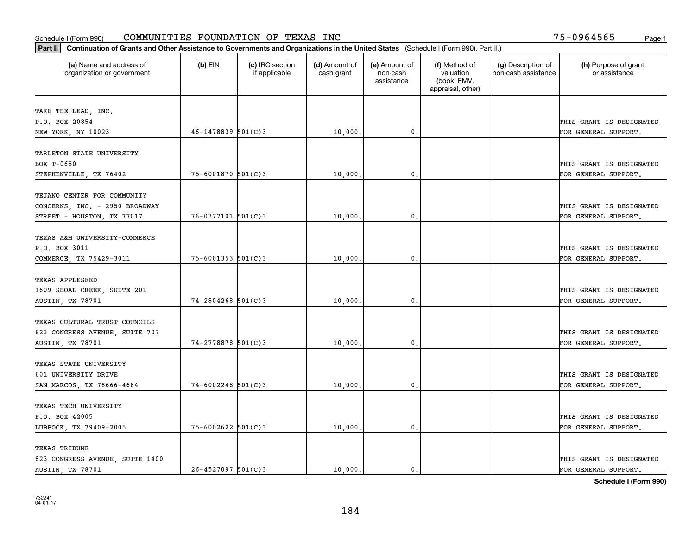| Part II   Continuation of Grants and Other Assistance to Governments and Organizations in the United States (Schedule I (Form 990), Part II.) |                        |                                  |                             |                                         |                                                                |                                           |                                       |
|-----------------------------------------------------------------------------------------------------------------------------------------------|------------------------|----------------------------------|-----------------------------|-----------------------------------------|----------------------------------------------------------------|-------------------------------------------|---------------------------------------|
| (a) Name and address of<br>organization or government                                                                                         | $(b)$ EIN              | (c) IRC section<br>if applicable | (d) Amount of<br>cash grant | (e) Amount of<br>non-cash<br>assistance | (f) Method of<br>valuation<br>(book, FMV,<br>appraisal, other) | (g) Description of<br>non-cash assistance | (h) Purpose of grant<br>or assistance |
| TAKE THE LEAD, INC.                                                                                                                           |                        |                                  |                             |                                         |                                                                |                                           |                                       |
| P.O. BOX 20854                                                                                                                                |                        |                                  |                             |                                         |                                                                |                                           | THIS GRANT IS DESIGNATED              |
| NEW YORK, NY 10023                                                                                                                            | $46 - 1478839$ 501(C)3 |                                  | 10,000.                     | 0.                                      |                                                                |                                           | FOR GENERAL SUPPORT.                  |
|                                                                                                                                               |                        |                                  |                             |                                         |                                                                |                                           |                                       |
| TARLETON STATE UNIVERSITY                                                                                                                     |                        |                                  |                             |                                         |                                                                |                                           |                                       |
| BOX T-0680                                                                                                                                    |                        |                                  |                             |                                         |                                                                |                                           | THIS GRANT IS DESIGNATED              |
| STEPHENVILLE, TX 76402                                                                                                                        | 75-6001870 501(C)3     |                                  | 10,000                      | 0.                                      |                                                                |                                           | FOR GENERAL SUPPORT.                  |
|                                                                                                                                               |                        |                                  |                             |                                         |                                                                |                                           |                                       |
| TEJANO CENTER FOR COMMUNITY                                                                                                                   |                        |                                  |                             |                                         |                                                                |                                           |                                       |
| CONCERNS, INC. - 2950 BROADWAY                                                                                                                |                        |                                  |                             |                                         |                                                                |                                           | THIS GRANT IS DESIGNATED              |
| STREET - HOUSTON, TX 77017                                                                                                                    | $76 - 0377101$ 501(C)3 |                                  | 10,000,                     | $\mathfrak{o}$ .                        |                                                                |                                           | FOR GENERAL SUPPORT.                  |
|                                                                                                                                               |                        |                                  |                             |                                         |                                                                |                                           |                                       |
| TEXAS A&M UNIVERSITY-COMMERCE                                                                                                                 |                        |                                  |                             |                                         |                                                                |                                           |                                       |
| P.O. BOX 3011                                                                                                                                 |                        |                                  |                             |                                         |                                                                |                                           | THIS GRANT IS DESIGNATED              |
| COMMERCE, TX 75429-3011                                                                                                                       | 75-6001353 501(C)3     |                                  | 10,000                      | $\mathbf{0}$                            |                                                                |                                           | FOR GENERAL SUPPORT.                  |
| TEXAS APPLESEED                                                                                                                               |                        |                                  |                             |                                         |                                                                |                                           |                                       |
| 1609 SHOAL CREEK, SUITE 201                                                                                                                   |                        |                                  |                             |                                         |                                                                |                                           | THIS GRANT IS DESIGNATED              |
| AUSTIN, TX 78701                                                                                                                              | $74 - 2804268$ 501(C)3 |                                  | 10,000                      | $\mathbf{0}$                            |                                                                |                                           | FOR GENERAL SUPPORT.                  |
|                                                                                                                                               |                        |                                  |                             |                                         |                                                                |                                           |                                       |
| TEXAS CULTURAL TRUST COUNCILS                                                                                                                 |                        |                                  |                             |                                         |                                                                |                                           |                                       |
| 823 CONGRESS AVENUE, SUITE 707                                                                                                                |                        |                                  |                             |                                         |                                                                |                                           | THIS GRANT IS DESIGNATED              |
| AUSTIN, TX 78701                                                                                                                              | 74-2778878 501(C)3     |                                  | 10,000,                     | $\mathbf{0}$                            |                                                                |                                           | FOR GENERAL SUPPORT.                  |
|                                                                                                                                               |                        |                                  |                             |                                         |                                                                |                                           |                                       |
| TEXAS STATE UNIVERSITY                                                                                                                        |                        |                                  |                             |                                         |                                                                |                                           |                                       |
| 601 UNIVERSITY DRIVE                                                                                                                          |                        |                                  |                             |                                         |                                                                |                                           | THIS GRANT IS DESIGNATED              |
| SAN MARCOS, TX 78666-4684                                                                                                                     | $74 - 6002248$ 501(C)3 |                                  | 10,000                      | $^{\rm 0}$ .                            |                                                                |                                           | FOR GENERAL SUPPORT.                  |
|                                                                                                                                               |                        |                                  |                             |                                         |                                                                |                                           |                                       |
| TEXAS TECH UNIVERSITY                                                                                                                         |                        |                                  |                             |                                         |                                                                |                                           |                                       |
| P.O. BOX 42005                                                                                                                                |                        |                                  |                             |                                         |                                                                |                                           | THIS GRANT IS DESIGNATED              |
| LUBBOCK, TX 79409-2005                                                                                                                        | $75 - 6002622$ 501(C)3 |                                  | 10,000.                     | $\mathfrak{o}$ .                        |                                                                |                                           | FOR GENERAL SUPPORT.                  |
|                                                                                                                                               |                        |                                  |                             |                                         |                                                                |                                           |                                       |
| <b>TEXAS TRIBUNE</b>                                                                                                                          |                        |                                  |                             |                                         |                                                                |                                           |                                       |
| 823 CONGRESS AVENUE, SUITE 1400                                                                                                               |                        |                                  |                             |                                         |                                                                |                                           | THIS GRANT IS DESIGNATED              |
| AUSTIN, TX 78701                                                                                                                              | $26 - 4527097$ 501(C)3 |                                  | 10,000.                     | $\mathbf{0}$ .                          |                                                                |                                           | FOR GENERAL SUPPORT.                  |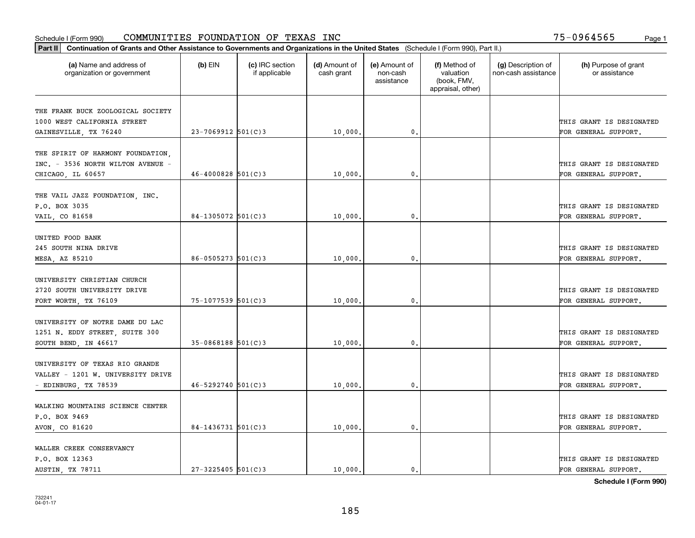| Part II   Continuation of Grants and Other Assistance to Governments and Organizations in the United States (Schedule I (Form 990), Part II.) |                        |                                  |                             |                                         |                                                                |                                           |                                                  |
|-----------------------------------------------------------------------------------------------------------------------------------------------|------------------------|----------------------------------|-----------------------------|-----------------------------------------|----------------------------------------------------------------|-------------------------------------------|--------------------------------------------------|
| (a) Name and address of<br>organization or government                                                                                         | (b) EIN                | (c) IRC section<br>if applicable | (d) Amount of<br>cash grant | (e) Amount of<br>non-cash<br>assistance | (f) Method of<br>valuation<br>(book, FMV,<br>appraisal, other) | (g) Description of<br>non-cash assistance | (h) Purpose of grant<br>or assistance            |
|                                                                                                                                               |                        |                                  |                             |                                         |                                                                |                                           |                                                  |
| THE FRANK BUCK ZOOLOGICAL SOCIETY<br>1000 WEST CALIFORNIA STREET                                                                              |                        |                                  |                             |                                         |                                                                |                                           | THIS GRANT IS DESIGNATED                         |
| GAINESVILLE, TX 76240                                                                                                                         | $23 - 7069912$ 501(C)3 |                                  | 10,000                      | 0.                                      |                                                                |                                           | FOR GENERAL SUPPORT.                             |
|                                                                                                                                               |                        |                                  |                             |                                         |                                                                |                                           |                                                  |
| THE SPIRIT OF HARMONY FOUNDATION,<br>INC. - 3536 NORTH WILTON AVENUE -<br>CHICAGO, IL 60657                                                   | $46 - 4000828$ 501(C)3 |                                  | 10,000                      | 0.                                      |                                                                |                                           | THIS GRANT IS DESIGNATED<br>FOR GENERAL SUPPORT. |
|                                                                                                                                               |                        |                                  |                             |                                         |                                                                |                                           |                                                  |
| THE VAIL JAZZ FOUNDATION, INC.<br>P.O. BOX 3035                                                                                               |                        |                                  |                             |                                         |                                                                |                                           | THIS GRANT IS DESIGNATED                         |
| VAIL, CO 81658                                                                                                                                | $84-1305072$ 501(C)3   |                                  | 10,000                      | 0.                                      |                                                                |                                           | FOR GENERAL SUPPORT.                             |
| UNITED FOOD BANK<br>245 SOUTH NINA DRIVE<br>MESA, AZ 85210                                                                                    | $86 - 0505273$ 501(C)3 |                                  | 10,000                      | 0.                                      |                                                                |                                           | THIS GRANT IS DESIGNATED<br>FOR GENERAL SUPPORT. |
| UNIVERSITY CHRISTIAN CHURCH<br>2720 SOUTH UNIVERSITY DRIVE<br>FORT WORTH, TX 76109                                                            | 75-1077539 501(C)3     |                                  | 10,000                      | 0.                                      |                                                                |                                           | THIS GRANT IS DESIGNATED<br>FOR GENERAL SUPPORT. |
|                                                                                                                                               |                        |                                  |                             |                                         |                                                                |                                           |                                                  |
| UNIVERSITY OF NOTRE DAME DU LAC<br>1251 N. EDDY STREET, SUITE 300<br>SOUTH BEND, IN 46617                                                     | $35-0868188$ 501(C)3   |                                  | 10,000                      | 0.                                      |                                                                |                                           | THIS GRANT IS DESIGNATED<br>FOR GENERAL SUPPORT. |
| UNIVERSITY OF TEXAS RIO GRANDE<br>VALLEY - 1201 W. UNIVERSITY DRIVE                                                                           |                        |                                  |                             |                                         |                                                                |                                           | THIS GRANT IS DESIGNATED                         |
| - EDINBURG, TX 78539                                                                                                                          | $46 - 5292740$ 501(C)3 |                                  | 10,000                      | $\mathbf{0}$ .                          |                                                                |                                           | FOR GENERAL SUPPORT.                             |
| WALKING MOUNTAINS SCIENCE CENTER<br>P.O. BOX 9469<br>AVON, CO 81620                                                                           | $84 - 1436731$ 501(C)3 |                                  | 10,000                      | $\mathbf{0}$ .                          |                                                                |                                           | THIS GRANT IS DESIGNATED<br>FOR GENERAL SUPPORT. |
|                                                                                                                                               |                        |                                  |                             |                                         |                                                                |                                           |                                                  |
| WALLER CREEK CONSERVANCY<br>P.O. BOX 12363<br>AUSTIN, TX 78711                                                                                | $27 - 3225405$ 501(C)3 |                                  | 10,000.                     | 0.                                      |                                                                |                                           | THIS GRANT IS DESIGNATED<br>FOR GENERAL SUPPORT. |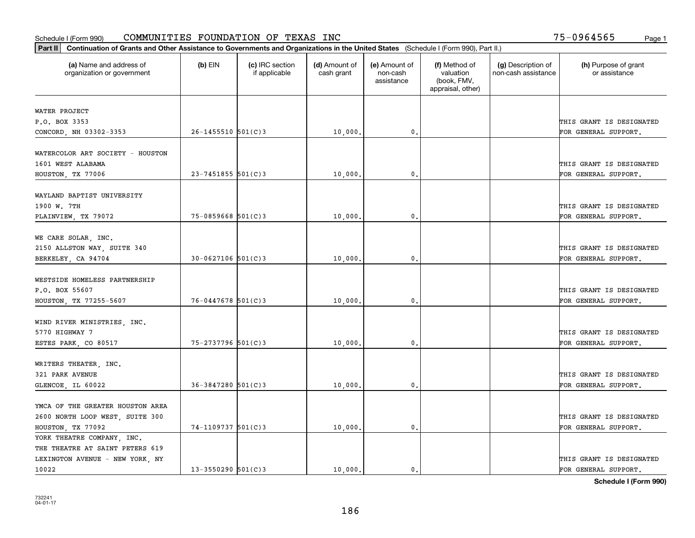| Part II   Continuation of Grants and Other Assistance to Governments and Organizations in the United States (Schedule I (Form 990), Part II.) |                        |                                  |                             |                                         |                                                                |                                           |                                       |
|-----------------------------------------------------------------------------------------------------------------------------------------------|------------------------|----------------------------------|-----------------------------|-----------------------------------------|----------------------------------------------------------------|-------------------------------------------|---------------------------------------|
| (a) Name and address of<br>organization or government                                                                                         | $(b)$ EIN              | (c) IRC section<br>if applicable | (d) Amount of<br>cash grant | (e) Amount of<br>non-cash<br>assistance | (f) Method of<br>valuation<br>(book, FMV,<br>appraisal, other) | (g) Description of<br>non-cash assistance | (h) Purpose of grant<br>or assistance |
|                                                                                                                                               |                        |                                  |                             |                                         |                                                                |                                           |                                       |
| WATER PROJECT<br>P.O. BOX 3353                                                                                                                |                        |                                  |                             |                                         |                                                                |                                           | THIS GRANT IS DESIGNATED              |
|                                                                                                                                               | $26 - 1455510$ 501(C)3 |                                  | 10,000.                     | $\mathbf 0$ .                           |                                                                |                                           | FOR GENERAL SUPPORT.                  |
| CONCORD, NH 03302-3353                                                                                                                        |                        |                                  |                             |                                         |                                                                |                                           |                                       |
| WATERCOLOR ART SOCIETY - HOUSTON                                                                                                              |                        |                                  |                             |                                         |                                                                |                                           |                                       |
| 1601 WEST ALABAMA                                                                                                                             |                        |                                  |                             |                                         |                                                                |                                           | THIS GRANT IS DESIGNATED              |
| HOUSTON, TX 77006                                                                                                                             | $23 - 7451855$ 501(C)3 |                                  | 10,000                      | 0.                                      |                                                                |                                           | FOR GENERAL SUPPORT.                  |
|                                                                                                                                               |                        |                                  |                             |                                         |                                                                |                                           |                                       |
| WAYLAND BAPTIST UNIVERSITY                                                                                                                    |                        |                                  |                             |                                         |                                                                |                                           |                                       |
| 1900 W. 7TH                                                                                                                                   |                        |                                  |                             |                                         |                                                                |                                           | THIS GRANT IS DESIGNATED              |
| PLAINVIEW, TX 79072                                                                                                                           | $75 - 0859668$ 501(C)3 |                                  | 10,000.                     | $\mathfrak{o}$ .                        |                                                                |                                           | FOR GENERAL SUPPORT.                  |
|                                                                                                                                               |                        |                                  |                             |                                         |                                                                |                                           |                                       |
| WE CARE SOLAR, INC.                                                                                                                           |                        |                                  |                             |                                         |                                                                |                                           |                                       |
| 2150 ALLSTON WAY, SUITE 340                                                                                                                   |                        |                                  |                             |                                         |                                                                |                                           | THIS GRANT IS DESIGNATED              |
| BERKELEY, CA 94704                                                                                                                            | $30 - 0627106$ 501(C)3 |                                  | 10,000                      | $\mathbf{0}$                            |                                                                |                                           | FOR GENERAL SUPPORT.                  |
|                                                                                                                                               |                        |                                  |                             |                                         |                                                                |                                           |                                       |
| WESTSIDE HOMELESS PARTNERSHIP                                                                                                                 |                        |                                  |                             |                                         |                                                                |                                           |                                       |
| P.O. BOX 55607                                                                                                                                |                        |                                  |                             |                                         |                                                                |                                           | THIS GRANT IS DESIGNATED              |
| HOUSTON, TX 77255-5607                                                                                                                        | $76 - 0447678$ 501(C)3 |                                  | 10,000.                     | $\mathfrak o$ .                         |                                                                |                                           | FOR GENERAL SUPPORT.                  |
|                                                                                                                                               |                        |                                  |                             |                                         |                                                                |                                           |                                       |
| WIND RIVER MINISTRIES, INC.                                                                                                                   |                        |                                  |                             |                                         |                                                                |                                           |                                       |
| 5770 HIGHWAY 7                                                                                                                                |                        |                                  |                             |                                         |                                                                |                                           | THIS GRANT IS DESIGNATED              |
| ESTES PARK, CO 80517                                                                                                                          | 75-2737796 501(C)3     |                                  | 10,000.                     | $\mathbf{0}$                            |                                                                |                                           | FOR GENERAL SUPPORT.                  |
|                                                                                                                                               |                        |                                  |                             |                                         |                                                                |                                           |                                       |
| WRITERS THEATER, INC.                                                                                                                         |                        |                                  |                             |                                         |                                                                |                                           |                                       |
| 321 PARK AVENUE                                                                                                                               |                        |                                  |                             |                                         |                                                                |                                           | THIS GRANT IS DESIGNATED              |
| GLENCOE, IL 60022                                                                                                                             | $36 - 3847280$ 501(C)3 |                                  | 10,000.                     | $^{\circ}$ .                            |                                                                |                                           | FOR GENERAL SUPPORT.                  |
|                                                                                                                                               |                        |                                  |                             |                                         |                                                                |                                           |                                       |
| YMCA OF THE GREATER HOUSTON AREA                                                                                                              |                        |                                  |                             |                                         |                                                                |                                           |                                       |
| 2600 NORTH LOOP WEST, SUITE 300                                                                                                               |                        |                                  |                             |                                         |                                                                |                                           | THIS GRANT IS DESIGNATED              |
| HOUSTON, TX 77092                                                                                                                             | 74-1109737 501(C)3     |                                  | 10,000                      | $\mathbf{0}$ .                          |                                                                |                                           | FOR GENERAL SUPPORT.                  |
| YORK THEATRE COMPANY, INC.                                                                                                                    |                        |                                  |                             |                                         |                                                                |                                           |                                       |
| THE THEATRE AT SAINT PETERS 619                                                                                                               |                        |                                  |                             |                                         |                                                                |                                           |                                       |
| LEXINGTON AVENUE - NEW YORK, NY                                                                                                               |                        |                                  |                             |                                         |                                                                |                                           | THIS GRANT IS DESIGNATED              |
| 10022                                                                                                                                         | $13 - 3550290$ 501(C)3 |                                  | 10,000.                     | $\mathbf{0}$ .                          |                                                                |                                           | FOR GENERAL SUPPORT.                  |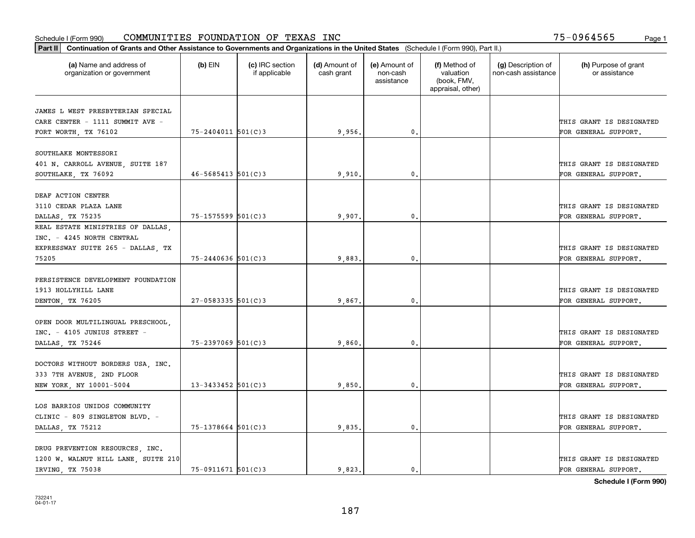| Part II   Continuation of Grants and Other Assistance to Governments and Organizations in the United States (Schedule I (Form 990), Part II.) |                        |                                  |                             |                                         |                                                                |                                           |                                       |
|-----------------------------------------------------------------------------------------------------------------------------------------------|------------------------|----------------------------------|-----------------------------|-----------------------------------------|----------------------------------------------------------------|-------------------------------------------|---------------------------------------|
| (a) Name and address of<br>organization or government                                                                                         | $(b)$ EIN              | (c) IRC section<br>if applicable | (d) Amount of<br>cash grant | (e) Amount of<br>non-cash<br>assistance | (f) Method of<br>valuation<br>(book, FMV,<br>appraisal, other) | (g) Description of<br>non-cash assistance | (h) Purpose of grant<br>or assistance |
|                                                                                                                                               |                        |                                  |                             |                                         |                                                                |                                           |                                       |
| JAMES L WEST PRESBYTERIAN SPECIAL<br>CARE CENTER - 1111 SUMMIT AVE -                                                                          |                        |                                  |                             |                                         |                                                                |                                           | THIS GRANT IS DESIGNATED              |
| FORT WORTH, TX 76102                                                                                                                          | $75 - 2404011$ 501(C)3 |                                  | 9,956.                      | 0.                                      |                                                                |                                           | FOR GENERAL SUPPORT.                  |
|                                                                                                                                               |                        |                                  |                             |                                         |                                                                |                                           |                                       |
| SOUTHLAKE MONTESSORI                                                                                                                          |                        |                                  |                             |                                         |                                                                |                                           |                                       |
| 401 N. CARROLL AVENUE, SUITE 187                                                                                                              |                        |                                  |                             |                                         |                                                                |                                           | THIS GRANT IS DESIGNATED              |
| SOUTHLAKE, TX 76092                                                                                                                           | $46 - 5685413$ 501(C)3 |                                  | 9,910.                      | $\mathbf{0}$                            |                                                                |                                           | FOR GENERAL SUPPORT.                  |
|                                                                                                                                               |                        |                                  |                             |                                         |                                                                |                                           |                                       |
| DEAF ACTION CENTER                                                                                                                            |                        |                                  |                             |                                         |                                                                |                                           |                                       |
| 3110 CEDAR PLAZA LANE                                                                                                                         |                        |                                  |                             |                                         |                                                                |                                           | THIS GRANT IS DESIGNATED              |
| DALLAS, TX 75235                                                                                                                              | 75-1575599 501(C)3     |                                  | 9,907                       | $\mathbf{0}$ .                          |                                                                |                                           | FOR GENERAL SUPPORT.                  |
| REAL ESTATE MINISTRIES OF DALLAS,                                                                                                             |                        |                                  |                             |                                         |                                                                |                                           |                                       |
| INC. - 4245 NORTH CENTRAL                                                                                                                     |                        |                                  |                             |                                         |                                                                |                                           |                                       |
| EXPRESSWAY SUITE 265 - DALLAS, TX                                                                                                             |                        |                                  |                             |                                         |                                                                |                                           | THIS GRANT IS DESIGNATED              |
| 75205                                                                                                                                         | 75-2440636 501(C)3     |                                  | 9,883                       | $\mathbf{0}$ .                          |                                                                |                                           | FOR GENERAL SUPPORT.                  |
|                                                                                                                                               |                        |                                  |                             |                                         |                                                                |                                           |                                       |
| PERSISTENCE DEVELOPMENT FOUNDATION                                                                                                            |                        |                                  |                             |                                         |                                                                |                                           |                                       |
| 1913 HOLLYHILL LANE                                                                                                                           |                        |                                  |                             |                                         |                                                                |                                           | THIS GRANT IS DESIGNATED              |
| DENTON, TX 76205                                                                                                                              | $27 - 0583335$ 501(C)3 |                                  | 9,867                       | 0.                                      |                                                                |                                           | FOR GENERAL SUPPORT.                  |
| OPEN DOOR MULTILINGUAL PRESCHOOL,                                                                                                             |                        |                                  |                             |                                         |                                                                |                                           |                                       |
| INC. - 4105 JUNIUS STREET -                                                                                                                   |                        |                                  |                             |                                         |                                                                |                                           | THIS GRANT IS DESIGNATED              |
| DALLAS, TX 75246                                                                                                                              | $75 - 2397069$ 501(C)3 |                                  | 9,860.                      | 0.                                      |                                                                |                                           | FOR GENERAL SUPPORT.                  |
|                                                                                                                                               |                        |                                  |                             |                                         |                                                                |                                           |                                       |
| DOCTORS WITHOUT BORDERS USA, INC.                                                                                                             |                        |                                  |                             |                                         |                                                                |                                           |                                       |
| 333 7TH AVENUE, 2ND FLOOR                                                                                                                     |                        |                                  |                             |                                         |                                                                |                                           | THIS GRANT IS DESIGNATED              |
| NEW YORK, NY 10001-5004                                                                                                                       | $13 - 3433452$ 501(C)3 |                                  | 9,850,                      | $\mathbf{0}$ .                          |                                                                |                                           | FOR GENERAL SUPPORT.                  |
|                                                                                                                                               |                        |                                  |                             |                                         |                                                                |                                           |                                       |
| LOS BARRIOS UNIDOS COMMUNITY                                                                                                                  |                        |                                  |                             |                                         |                                                                |                                           |                                       |
| CLINIC - 809 SINGLETON BLVD. -                                                                                                                |                        |                                  |                             |                                         |                                                                |                                           | THIS GRANT IS DESIGNATED              |
| DALLAS, TX 75212                                                                                                                              | 75-1378664 501(C)3     |                                  | 9,835.                      | $\mathbf{0}$ .                          |                                                                |                                           | FOR GENERAL SUPPORT.                  |
|                                                                                                                                               |                        |                                  |                             |                                         |                                                                |                                           |                                       |
| DRUG PREVENTION RESOURCES, INC.                                                                                                               |                        |                                  |                             |                                         |                                                                |                                           |                                       |
| 1200 W. WALNUT HILL LANE, SUITE 210                                                                                                           |                        |                                  |                             |                                         |                                                                |                                           | THIS GRANT IS DESIGNATED              |
| IRVING, TX 75038                                                                                                                              | $75 - 0911671$ 501(C)3 |                                  | 9.823.                      | $\mathbf{0}$ .                          |                                                                |                                           | FOR GENERAL SUPPORT.                  |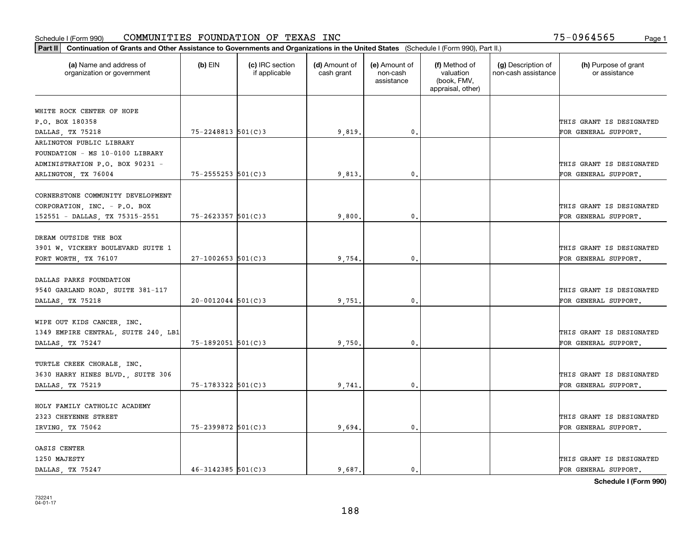| Part II   Continuation of Grants and Other Assistance to Governments and Organizations in the United States (Schedule I (Form 990), Part II.) |                        |                                  |                             |                                         |                                                                |                                           |                                       |
|-----------------------------------------------------------------------------------------------------------------------------------------------|------------------------|----------------------------------|-----------------------------|-----------------------------------------|----------------------------------------------------------------|-------------------------------------------|---------------------------------------|
| (a) Name and address of<br>organization or government                                                                                         | $(b)$ EIN              | (c) IRC section<br>if applicable | (d) Amount of<br>cash grant | (e) Amount of<br>non-cash<br>assistance | (f) Method of<br>valuation<br>(book, FMV,<br>appraisal, other) | (g) Description of<br>non-cash assistance | (h) Purpose of grant<br>or assistance |
|                                                                                                                                               |                        |                                  |                             |                                         |                                                                |                                           |                                       |
| WHITE ROCK CENTER OF HOPE                                                                                                                     |                        |                                  |                             |                                         |                                                                |                                           |                                       |
| P.O. BOX 180358                                                                                                                               | 75-2248813 501(C)3     |                                  |                             | 0.                                      |                                                                |                                           | THIS GRANT IS DESIGNATED              |
| DALLAS, TX 75218<br>ARLINGTON PUBLIC LIBRARY                                                                                                  |                        |                                  | 9,819.                      |                                         |                                                                |                                           | FOR GENERAL SUPPORT.                  |
| FOUNDATION - MS 10-0100 LIBRARY                                                                                                               |                        |                                  |                             |                                         |                                                                |                                           |                                       |
| ADMINISTRATION P.O. BOX 90231 -                                                                                                               |                        |                                  |                             |                                         |                                                                |                                           | THIS GRANT IS DESIGNATED              |
| ARLINGTON, TX 76004                                                                                                                           | $75 - 2555253$ 501(C)3 |                                  | 9,813                       | $\mathbf{0}$                            |                                                                |                                           | FOR GENERAL SUPPORT.                  |
|                                                                                                                                               |                        |                                  |                             |                                         |                                                                |                                           |                                       |
| CORNERSTONE COMMUNITY DEVELOPMENT                                                                                                             |                        |                                  |                             |                                         |                                                                |                                           |                                       |
| CORPORATION, INC. - P.O. BOX                                                                                                                  |                        |                                  |                             |                                         |                                                                |                                           | THIS GRANT IS DESIGNATED              |
| 152551 - DALLAS, TX 75315-2551                                                                                                                | $75 - 2623357$ 501(C)3 |                                  | 9,800.                      | $\mathbf{0}$ .                          |                                                                |                                           | FOR GENERAL SUPPORT.                  |
|                                                                                                                                               |                        |                                  |                             |                                         |                                                                |                                           |                                       |
| DREAM OUTSIDE THE BOX                                                                                                                         |                        |                                  |                             |                                         |                                                                |                                           |                                       |
| 3901 W. VICKERY BOULEVARD SUITE 1                                                                                                             |                        |                                  |                             |                                         |                                                                |                                           | THIS GRANT IS DESIGNATED              |
| FORT WORTH, TX 76107                                                                                                                          | $27-1002653$ 501(C)3   |                                  | 9,754.                      | $\mathbf{0}$ .                          |                                                                |                                           | FOR GENERAL SUPPORT.                  |
|                                                                                                                                               |                        |                                  |                             |                                         |                                                                |                                           |                                       |
| DALLAS PARKS FOUNDATION                                                                                                                       |                        |                                  |                             |                                         |                                                                |                                           |                                       |
| 9540 GARLAND ROAD, SUITE 381-117                                                                                                              |                        |                                  |                             |                                         |                                                                |                                           | THIS GRANT IS DESIGNATED              |
| DALLAS, TX 75218                                                                                                                              | $20 - 0012044$ 501(C)3 |                                  | 9,751                       | 0.                                      |                                                                |                                           | FOR GENERAL SUPPORT.                  |
|                                                                                                                                               |                        |                                  |                             |                                         |                                                                |                                           |                                       |
| WIPE OUT KIDS CANCER, INC.                                                                                                                    |                        |                                  |                             |                                         |                                                                |                                           |                                       |
| 1349 EMPIRE CENTRAL, SUITE 240, LB1                                                                                                           |                        |                                  |                             |                                         |                                                                |                                           | THIS GRANT IS DESIGNATED              |
| DALLAS, TX 75247                                                                                                                              | $75 - 1892051$ 501(C)3 |                                  | 9,750.                      | 0.                                      |                                                                |                                           | FOR GENERAL SUPPORT.                  |
|                                                                                                                                               |                        |                                  |                             |                                         |                                                                |                                           |                                       |
| TURTLE CREEK CHORALE, INC.                                                                                                                    |                        |                                  |                             |                                         |                                                                |                                           |                                       |
| 3630 HARRY HINES BLVD., SUITE 306                                                                                                             |                        |                                  |                             |                                         |                                                                |                                           | THIS GRANT IS DESIGNATED              |
| DALLAS, TX 75219                                                                                                                              | 75-1783322 501(C)3     |                                  | 9,741                       | $\mathbf{0}$ .                          |                                                                |                                           | FOR GENERAL SUPPORT.                  |
|                                                                                                                                               |                        |                                  |                             |                                         |                                                                |                                           |                                       |
| HOLY FAMILY CATHOLIC ACADEMY                                                                                                                  |                        |                                  |                             |                                         |                                                                |                                           |                                       |
| 2323 CHEYENNE STREET                                                                                                                          |                        |                                  |                             |                                         |                                                                |                                           | THIS GRANT IS DESIGNATED              |
| IRVING, TX 75062                                                                                                                              | 75-2399872 501(C)3     |                                  | 9,694.                      | $\mathbf{0}$ .                          |                                                                |                                           | FOR GENERAL SUPPORT.                  |
|                                                                                                                                               |                        |                                  |                             |                                         |                                                                |                                           |                                       |
| OASIS CENTER                                                                                                                                  |                        |                                  |                             |                                         |                                                                |                                           |                                       |
| 1250 MAJESTY                                                                                                                                  |                        |                                  |                             |                                         |                                                                |                                           | THIS GRANT IS DESIGNATED              |
| DALLAS, TX 75247                                                                                                                              | $46 - 3142385$ 501(C)3 |                                  | 9.687.                      | $\mathbf{0}$ .                          |                                                                |                                           | FOR GENERAL SUPPORT.                  |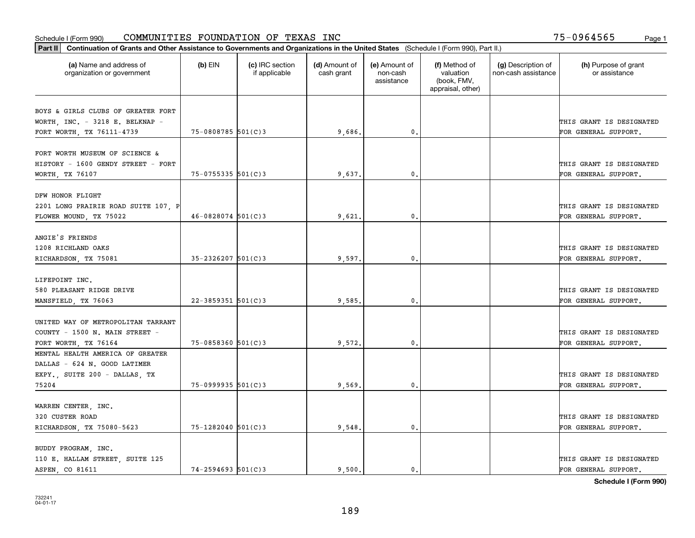| Part II   Continuation of Grants and Other Assistance to Governments and Organizations in the United States (Schedule I (Form 990), Part II.) |                         |                                  |                             |                                         |                                                                |                                           |                                       |
|-----------------------------------------------------------------------------------------------------------------------------------------------|-------------------------|----------------------------------|-----------------------------|-----------------------------------------|----------------------------------------------------------------|-------------------------------------------|---------------------------------------|
| (a) Name and address of<br>organization or government                                                                                         | $(b)$ EIN               | (c) IRC section<br>if applicable | (d) Amount of<br>cash grant | (e) Amount of<br>non-cash<br>assistance | (f) Method of<br>valuation<br>(book, FMV,<br>appraisal, other) | (g) Description of<br>non-cash assistance | (h) Purpose of grant<br>or assistance |
| BOYS & GIRLS CLUBS OF GREATER FORT                                                                                                            |                         |                                  |                             |                                         |                                                                |                                           |                                       |
| WORTH, INC. - 3218 E. BELKNAP -                                                                                                               |                         |                                  |                             |                                         |                                                                |                                           | THIS GRANT IS DESIGNATED              |
| FORT WORTH, TX 76111-4739                                                                                                                     | $75 - 0808785$ 501(C)3  |                                  | 9,686.                      | $\mathbf{0}$                            |                                                                |                                           | FOR GENERAL SUPPORT.                  |
|                                                                                                                                               |                         |                                  |                             |                                         |                                                                |                                           |                                       |
| FORT WORTH MUSEUM OF SCIENCE &                                                                                                                |                         |                                  |                             |                                         |                                                                |                                           |                                       |
| HISTORY - 1600 GENDY STREET - FORT                                                                                                            |                         |                                  |                             |                                         |                                                                |                                           | THIS GRANT IS DESIGNATED              |
| WORTH, TX 76107                                                                                                                               | $75 - 0755335$ 501(C)3  |                                  | 9,637                       | 0.                                      |                                                                |                                           | FOR GENERAL SUPPORT.                  |
|                                                                                                                                               |                         |                                  |                             |                                         |                                                                |                                           |                                       |
| DFW HONOR FLIGHT                                                                                                                              |                         |                                  |                             |                                         |                                                                |                                           |                                       |
| 2201 LONG PRAIRIE ROAD SUITE 107, P                                                                                                           |                         |                                  |                             |                                         |                                                                |                                           | THIS GRANT IS DESIGNATED              |
| FLOWER MOUND, TX 75022                                                                                                                        | $46 - 0828074$ 501(C)3  |                                  | 9,621                       | $\mathbf 0$ .                           |                                                                |                                           | FOR GENERAL SUPPORT.                  |
|                                                                                                                                               |                         |                                  |                             |                                         |                                                                |                                           |                                       |
| ANGIE'S FRIENDS                                                                                                                               |                         |                                  |                             |                                         |                                                                |                                           |                                       |
| 1208 RICHLAND OAKS                                                                                                                            |                         |                                  |                             |                                         |                                                                |                                           | THIS GRANT IS DESIGNATED              |
| RICHARDSON, TX 75081                                                                                                                          | $35 - 2326207$ 501(C)3  |                                  | 9,597.                      | $\mathbf{0}$                            |                                                                |                                           | FOR GENERAL SUPPORT.                  |
|                                                                                                                                               |                         |                                  |                             |                                         |                                                                |                                           |                                       |
| LIFEPOINT INC.                                                                                                                                |                         |                                  |                             |                                         |                                                                |                                           |                                       |
| 580 PLEASANT RIDGE DRIVE                                                                                                                      |                         |                                  |                             |                                         |                                                                |                                           | THIS GRANT IS DESIGNATED              |
| MANSFIELD, TX 76063                                                                                                                           | $22 - 3859351$ 501(C) 3 |                                  | 9,585                       | 0                                       |                                                                |                                           | FOR GENERAL SUPPORT.                  |
|                                                                                                                                               |                         |                                  |                             |                                         |                                                                |                                           |                                       |
| UNITED WAY OF METROPOLITAN TARRANT                                                                                                            |                         |                                  |                             |                                         |                                                                |                                           |                                       |
| COUNTY - 1500 N. MAIN STREET -                                                                                                                |                         |                                  |                             |                                         |                                                                |                                           | THIS GRANT IS DESIGNATED              |
| FORT WORTH, TX 76164                                                                                                                          | $75 - 0858360$ 501(C)3  |                                  | 9,572                       | $\mathbf{0}$                            |                                                                |                                           | FOR GENERAL SUPPORT.                  |
| MENTAL HEALTH AMERICA OF GREATER                                                                                                              |                         |                                  |                             |                                         |                                                                |                                           |                                       |
| DALLAS - 624 N. GOOD LATIMER                                                                                                                  |                         |                                  |                             |                                         |                                                                |                                           |                                       |
| EXPY., SUITE 200 - DALLAS, TX                                                                                                                 |                         |                                  |                             |                                         |                                                                |                                           | THIS GRANT IS DESIGNATED              |
| 75204                                                                                                                                         | $75 - 0999935$ 501(C)3  |                                  | 9,569                       | $^{\circ}$ .                            |                                                                |                                           | FOR GENERAL SUPPORT.                  |
|                                                                                                                                               |                         |                                  |                             |                                         |                                                                |                                           |                                       |
| WARREN CENTER, INC.                                                                                                                           |                         |                                  |                             |                                         |                                                                |                                           |                                       |
| 320 CUSTER ROAD                                                                                                                               |                         |                                  |                             |                                         |                                                                |                                           | THIS GRANT IS DESIGNATED              |
| RICHARDSON, TX 75080-5623                                                                                                                     | 75-1282040 501(C)3      |                                  | 9,548.                      | $\mathfrak o$ .                         |                                                                |                                           | FOR GENERAL SUPPORT.                  |
|                                                                                                                                               |                         |                                  |                             |                                         |                                                                |                                           |                                       |
| BUDDY PROGRAM, INC.                                                                                                                           |                         |                                  |                             |                                         |                                                                |                                           |                                       |
| 110 E. HALLAM STREET, SUITE 125                                                                                                               |                         |                                  |                             |                                         |                                                                |                                           | THIS GRANT IS DESIGNATED              |
| ASPEN, CO 81611                                                                                                                               | $74 - 2594693$ 501(C)3  |                                  | 9.500.                      | 0.                                      |                                                                |                                           | FOR GENERAL SUPPORT.                  |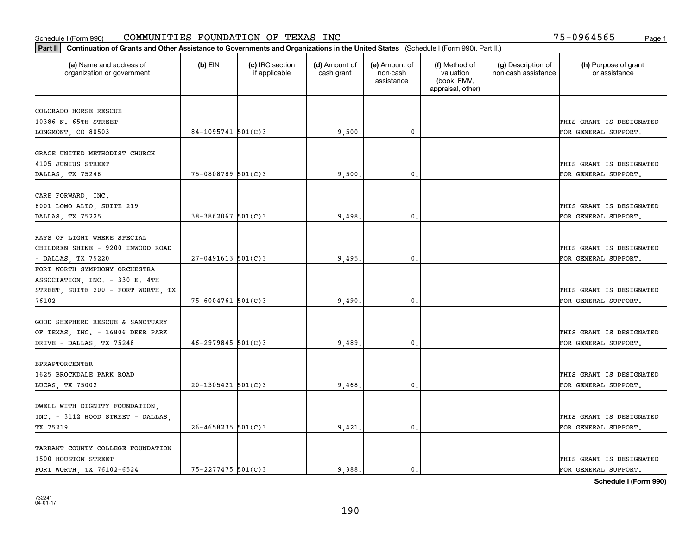| (a) Name and address of<br>organization or government                | $(b)$ EIN              | (c) IRC section<br>if applicable | (d) Amount of<br>cash grant | (e) Amount of<br>non-cash<br>assistance | (f) Method of<br>valuation<br>(book, FMV,<br>appraisal, other) | (g) Description of<br>non-cash assistance | (h) Purpose of grant<br>or assistance |
|----------------------------------------------------------------------|------------------------|----------------------------------|-----------------------------|-----------------------------------------|----------------------------------------------------------------|-------------------------------------------|---------------------------------------|
| COLORADO HORSE RESCUE                                                |                        |                                  |                             |                                         |                                                                |                                           |                                       |
| 10386 N. 65TH STREET                                                 |                        |                                  |                             |                                         |                                                                |                                           | THIS GRANT IS DESIGNATED              |
| LONGMONT, CO 80503                                                   | $84-1095741$ 501(C)3   |                                  | 9,500.                      | 0.                                      |                                                                |                                           | FOR GENERAL SUPPORT.                  |
|                                                                      |                        |                                  |                             |                                         |                                                                |                                           |                                       |
| GRACE UNITED METHODIST CHURCH                                        |                        |                                  |                             |                                         |                                                                |                                           |                                       |
| 4105 JUNIUS STREET                                                   |                        |                                  |                             |                                         |                                                                |                                           | THIS GRANT IS DESIGNATED              |
| DALLAS, TX 75246                                                     | 75-0808789 501(C)3     |                                  | 9,500                       | $\mathbf{0}$                            |                                                                |                                           | FOR GENERAL SUPPORT.                  |
| CARE FORWARD, INC.                                                   |                        |                                  |                             |                                         |                                                                |                                           |                                       |
| 8001 LOMO ALTO, SUITE 219                                            |                        |                                  |                             |                                         |                                                                |                                           | THIS GRANT IS DESIGNATED              |
| DALLAS, TX 75225                                                     | $38 - 3862067$ 501(C)3 |                                  | 9,498                       | $\mathfrak{o}$ .                        |                                                                |                                           | FOR GENERAL SUPPORT.                  |
|                                                                      |                        |                                  |                             |                                         |                                                                |                                           |                                       |
| RAYS OF LIGHT WHERE SPECIAL                                          |                        |                                  |                             |                                         |                                                                |                                           |                                       |
| CHILDREN SHINE - 9200 INWOOD ROAD                                    |                        |                                  |                             |                                         |                                                                |                                           | THIS GRANT IS DESIGNATED              |
| - DALLAS, TX 75220                                                   | $27 - 0491613$ 501(C)3 |                                  | 9,495.                      | $\mathbf 0$ .                           |                                                                |                                           | FOR GENERAL SUPPORT.                  |
| FORT WORTH SYMPHONY ORCHESTRA                                        |                        |                                  |                             |                                         |                                                                |                                           |                                       |
| ASSOCIATION, INC. - 330 E. 4TH<br>STREET, SUITE 200 - FORT WORTH, TX |                        |                                  |                             |                                         |                                                                |                                           | THIS GRANT IS DESIGNATED              |
| 76102                                                                | $75 - 6004761$ 501(C)3 |                                  | 9,490                       | $\mathbf 0$ .                           |                                                                |                                           | FOR GENERAL SUPPORT.                  |
|                                                                      |                        |                                  |                             |                                         |                                                                |                                           |                                       |
| GOOD SHEPHERD RESCUE & SANCTUARY                                     |                        |                                  |                             |                                         |                                                                |                                           |                                       |
| OF TEXAS, INC. - 16806 DEER PARK                                     |                        |                                  |                             |                                         |                                                                |                                           | THIS GRANT IS DESIGNATED              |
| DRIVE - DALLAS, TX 75248                                             | $46 - 2979845$ 501(C)3 |                                  | 9,489                       | $\mathbf{0}$                            |                                                                |                                           | FOR GENERAL SUPPORT.                  |
|                                                                      |                        |                                  |                             |                                         |                                                                |                                           |                                       |
| <b>BPRAPTORCENTER</b>                                                |                        |                                  |                             |                                         |                                                                |                                           |                                       |
| 1625 BROCKDALE PARK ROAD                                             |                        |                                  |                             |                                         |                                                                |                                           | THIS GRANT IS DESIGNATED              |
| LUCAS, TX 75002                                                      | $20 - 1305421$ 501(C)3 |                                  | 9,468                       | 0.                                      |                                                                |                                           | FOR GENERAL SUPPORT.                  |
| DWELL WITH DIGNITY FOUNDATION,                                       |                        |                                  |                             |                                         |                                                                |                                           |                                       |
| INC. - 3112 HOOD STREET - DALLAS,                                    |                        |                                  |                             |                                         |                                                                |                                           | THIS GRANT IS DESIGNATED              |
| TX 75219                                                             | $26 - 4658235$ 501(C)3 |                                  | 9,421                       | $\mathbf{0}$ .                          |                                                                |                                           | FOR GENERAL SUPPORT.                  |
|                                                                      |                        |                                  |                             |                                         |                                                                |                                           |                                       |
| TARRANT COUNTY COLLEGE FOUNDATION                                    |                        |                                  |                             |                                         |                                                                |                                           |                                       |
| 1500 HOUSTON STREET                                                  |                        |                                  |                             |                                         |                                                                |                                           | THIS GRANT IS DESIGNATED              |
| FORT WORTH, TX 76102-6524                                            | $75 - 2277475$ 501(C)3 |                                  | 9.388.                      | $\mathbf{0}$ .                          |                                                                |                                           | FOR GENERAL SUPPORT.                  |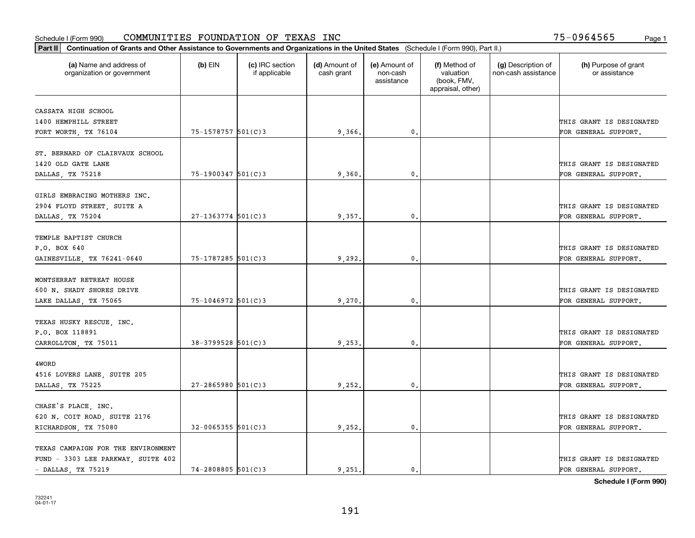|                                                       | Part II   Continuation of Grants and Other Assistance to Governments and Organizations in the United States (Schedule I (Form 990), Part II.) |                                  |                             |                                         |                                                                |                                           |                                       |  |  |  |  |
|-------------------------------------------------------|-----------------------------------------------------------------------------------------------------------------------------------------------|----------------------------------|-----------------------------|-----------------------------------------|----------------------------------------------------------------|-------------------------------------------|---------------------------------------|--|--|--|--|
| (a) Name and address of<br>organization or government | (b) $EIN$                                                                                                                                     | (c) IRC section<br>if applicable | (d) Amount of<br>cash grant | (e) Amount of<br>non-cash<br>assistance | (f) Method of<br>valuation<br>(book, FMV,<br>appraisal, other) | (g) Description of<br>non-cash assistance | (h) Purpose of grant<br>or assistance |  |  |  |  |
| CASSATA HIGH SCHOOL                                   |                                                                                                                                               |                                  |                             |                                         |                                                                |                                           |                                       |  |  |  |  |
| 1400 HEMPHILL STREET                                  |                                                                                                                                               |                                  |                             |                                         |                                                                |                                           | THIS GRANT IS DESIGNATED              |  |  |  |  |
| FORT WORTH, TX 76104                                  | 75-1578757 501(C)3                                                                                                                            |                                  | 9,366.                      | $\mathbf{0}$ .                          |                                                                |                                           | FOR GENERAL SUPPORT.                  |  |  |  |  |
|                                                       |                                                                                                                                               |                                  |                             |                                         |                                                                |                                           |                                       |  |  |  |  |
| ST. BERNARD OF CLAIRVAUX SCHOOL                       |                                                                                                                                               |                                  |                             |                                         |                                                                |                                           |                                       |  |  |  |  |
| 1420 OLD GATE LANE                                    |                                                                                                                                               |                                  |                             |                                         |                                                                |                                           | THIS GRANT IS DESIGNATED              |  |  |  |  |
| DALLAS, TX 75218                                      | $75 - 1900347$ 501(C)3                                                                                                                        |                                  | 9,360                       | 0.                                      |                                                                |                                           | FOR GENERAL SUPPORT.                  |  |  |  |  |
|                                                       |                                                                                                                                               |                                  |                             |                                         |                                                                |                                           |                                       |  |  |  |  |
| GIRLS EMBRACING MOTHERS INC.                          |                                                                                                                                               |                                  |                             |                                         |                                                                |                                           |                                       |  |  |  |  |
| 2904 FLOYD STREET, SUITE A                            |                                                                                                                                               |                                  |                             |                                         |                                                                |                                           | THIS GRANT IS DESIGNATED              |  |  |  |  |
| DALLAS, TX 75204                                      | $27 - 1363774$ 501(C)3                                                                                                                        |                                  | 9,357.                      | $\mathfrak{o}$ .                        |                                                                |                                           | FOR GENERAL SUPPORT.                  |  |  |  |  |
| TEMPLE BAPTIST CHURCH                                 |                                                                                                                                               |                                  |                             |                                         |                                                                |                                           |                                       |  |  |  |  |
| P.O. BOX 640                                          |                                                                                                                                               |                                  |                             |                                         |                                                                |                                           | THIS GRANT IS DESIGNATED              |  |  |  |  |
| GAINESVILLE, TX 76241-0640                            | $75 - 1787285$ 501(C)3                                                                                                                        |                                  | 9,292,                      | $\mathbf{0}$                            |                                                                |                                           | FOR GENERAL SUPPORT.                  |  |  |  |  |
|                                                       |                                                                                                                                               |                                  |                             |                                         |                                                                |                                           |                                       |  |  |  |  |
| MONTSERRAT RETREAT HOUSE                              |                                                                                                                                               |                                  |                             |                                         |                                                                |                                           |                                       |  |  |  |  |
| 600 N. SHADY SHORES DRIVE                             |                                                                                                                                               |                                  |                             |                                         |                                                                |                                           | THIS GRANT IS DESIGNATED              |  |  |  |  |
| LAKE DALLAS, TX 75065                                 | 75-1046972 501(C)3                                                                                                                            |                                  | 9,270                       | $\mathfrak o$ .                         |                                                                |                                           | FOR GENERAL SUPPORT.                  |  |  |  |  |
|                                                       |                                                                                                                                               |                                  |                             |                                         |                                                                |                                           |                                       |  |  |  |  |
| TEXAS HUSKY RESCUE, INC.                              |                                                                                                                                               |                                  |                             |                                         |                                                                |                                           |                                       |  |  |  |  |
| P.O. BOX 118891                                       |                                                                                                                                               |                                  |                             |                                         |                                                                |                                           | THIS GRANT IS DESIGNATED              |  |  |  |  |
| CARROLLTON, TX 75011                                  | 38-3799528 501(C)3                                                                                                                            |                                  | 9,253.                      | $\mathbf{0}$                            |                                                                |                                           | FOR GENERAL SUPPORT.                  |  |  |  |  |
|                                                       |                                                                                                                                               |                                  |                             |                                         |                                                                |                                           |                                       |  |  |  |  |
| 4WORD                                                 |                                                                                                                                               |                                  |                             |                                         |                                                                |                                           |                                       |  |  |  |  |
| 4516 LOVERS LANE, SUITE 205                           |                                                                                                                                               |                                  |                             |                                         |                                                                |                                           | THIS GRANT IS DESIGNATED              |  |  |  |  |
| DALLAS, TX 75225                                      | $27 - 2865980$ 501(C)3                                                                                                                        |                                  | 9,252,                      | $^{\circ}$ .                            |                                                                |                                           | FOR GENERAL SUPPORT.                  |  |  |  |  |
| CHASE'S PLACE, INC.                                   |                                                                                                                                               |                                  |                             |                                         |                                                                |                                           |                                       |  |  |  |  |
| 620 N. COIT ROAD, SUITE 2176                          |                                                                                                                                               |                                  |                             |                                         |                                                                |                                           | THIS GRANT IS DESIGNATED              |  |  |  |  |
| RICHARDSON, TX 75080                                  | $32 - 0065355$ 501(C)3                                                                                                                        |                                  | 9,252.                      | $\mathbf{0}$                            |                                                                |                                           | FOR GENERAL SUPPORT.                  |  |  |  |  |
|                                                       |                                                                                                                                               |                                  |                             |                                         |                                                                |                                           |                                       |  |  |  |  |
| TEXAS CAMPAIGN FOR THE ENVIRONMENT                    |                                                                                                                                               |                                  |                             |                                         |                                                                |                                           |                                       |  |  |  |  |
| FUND - 3303 LEE PARKWAY, SUITE 402                    |                                                                                                                                               |                                  |                             |                                         |                                                                |                                           | THIS GRANT IS DESIGNATED              |  |  |  |  |
| $-$ DALLAS, TX 75219                                  | $74 - 2808805$ 501(C)3                                                                                                                        |                                  | 9.251.                      | $\mathbf{0}$ .                          |                                                                |                                           | FOR GENERAL SUPPORT.                  |  |  |  |  |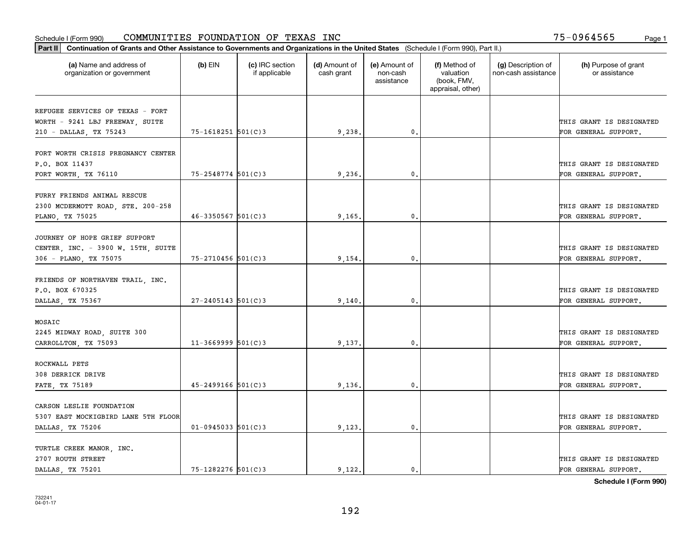| (a) Name and address of<br>organization or government | $(b)$ EIN               | (c) IRC section<br>if applicable | (d) Amount of<br>cash grant | (e) Amount of<br>non-cash<br>assistance | (f) Method of<br>valuation<br>(book, FMV,<br>appraisal, other) | (g) Description of<br>non-cash assistance | (h) Purpose of grant<br>or assistance |
|-------------------------------------------------------|-------------------------|----------------------------------|-----------------------------|-----------------------------------------|----------------------------------------------------------------|-------------------------------------------|---------------------------------------|
| REFUGEE SERVICES OF TEXAS - FORT                      |                         |                                  |                             |                                         |                                                                |                                           |                                       |
| WORTH - 9241 LBJ FREEWAY, SUITE                       |                         |                                  |                             |                                         |                                                                |                                           | THIS GRANT IS DESIGNATED              |
| 210 - DALLAS, TX 75243                                | $75 - 1618251$ 501(C)3  |                                  | 9,238.                      | 0.                                      |                                                                |                                           | FOR GENERAL SUPPORT.                  |
| FORT WORTH CRISIS PREGNANCY CENTER                    |                         |                                  |                             |                                         |                                                                |                                           |                                       |
| P.O. BOX 11437                                        |                         |                                  |                             |                                         |                                                                |                                           | THIS GRANT IS DESIGNATED              |
| FORT WORTH, TX 76110                                  | 75-2548774 501(C)3      |                                  | 9,236                       | 0.                                      |                                                                |                                           | FOR GENERAL SUPPORT.                  |
|                                                       |                         |                                  |                             |                                         |                                                                |                                           |                                       |
| FURRY FRIENDS ANIMAL RESCUE                           |                         |                                  |                             |                                         |                                                                |                                           |                                       |
| 2300 MCDERMOTT ROAD, STE. 200-258                     |                         |                                  |                             |                                         |                                                                |                                           | THIS GRANT IS DESIGNATED              |
| PLANO, TX 75025                                       | $46 - 3350567$ 501(C) 3 |                                  | 9,165.                      | $\mathfrak{o}$ .                        |                                                                |                                           | FOR GENERAL SUPPORT.                  |
|                                                       |                         |                                  |                             |                                         |                                                                |                                           |                                       |
| JOURNEY OF HOPE GRIEF SUPPORT                         |                         |                                  |                             |                                         |                                                                |                                           |                                       |
| CENTER, INC. - 3900 W. 15TH, SUITE                    |                         |                                  |                             |                                         |                                                                |                                           | THIS GRANT IS DESIGNATED              |
| 306 - PLANO, TX 75075                                 | 75-2710456 501(C)3      |                                  | 9,154.                      | $\mathbf{0}$                            |                                                                |                                           | FOR GENERAL SUPPORT.                  |
| FRIENDS OF NORTHAVEN TRAIL, INC.                      |                         |                                  |                             |                                         |                                                                |                                           |                                       |
| P.O. BOX 670325                                       |                         |                                  |                             |                                         |                                                                |                                           | THIS GRANT IS DESIGNATED              |
| DALLAS, TX 75367                                      | $27 - 2405143$ 501(C)3  |                                  | 9,140.                      | $\mathfrak o$ .                         |                                                                |                                           | FOR GENERAL SUPPORT.                  |
|                                                       |                         |                                  |                             |                                         |                                                                |                                           |                                       |
| MOSAIC                                                |                         |                                  |                             |                                         |                                                                |                                           |                                       |
| 2245 MIDWAY ROAD, SUITE 300                           |                         |                                  |                             |                                         |                                                                |                                           | THIS GRANT IS DESIGNATED              |
| CARROLLTON, TX 75093                                  | $11-3669999$ 501(C)3    |                                  | 9,137.                      | $\mathbf{0}$                            |                                                                |                                           | FOR GENERAL SUPPORT.                  |
|                                                       |                         |                                  |                             |                                         |                                                                |                                           |                                       |
| ROCKWALL PETS                                         |                         |                                  |                             |                                         |                                                                |                                           |                                       |
| 308 DERRICK DRIVE                                     |                         |                                  |                             |                                         |                                                                |                                           | THIS GRANT IS DESIGNATED              |
| FATE, TX 75189                                        | $45 - 2499166$ 501(C)3  |                                  | 9,136                       | $^{\circ}$ .                            |                                                                |                                           | FOR GENERAL SUPPORT.                  |
| CARSON LESLIE FOUNDATION                              |                         |                                  |                             |                                         |                                                                |                                           |                                       |
| 5307 EAST MOCKIGBIRD LANE 5TH FLOOR                   |                         |                                  |                             |                                         |                                                                |                                           | THIS GRANT IS DESIGNATED              |
| DALLAS, TX 75206                                      | $01 - 0945033$ 501(C)3  |                                  | 9,123.                      | $\mathbf{0}$                            |                                                                |                                           | FOR GENERAL SUPPORT.                  |
|                                                       |                         |                                  |                             |                                         |                                                                |                                           |                                       |
| TURTLE CREEK MANOR, INC.                              |                         |                                  |                             |                                         |                                                                |                                           |                                       |
| 2707 ROUTH STREET                                     |                         |                                  |                             |                                         |                                                                |                                           | THIS GRANT IS DESIGNATED              |
| DALLAS TX 75201                                       | 75-1282276 501(C)3      |                                  | 9,122.                      | $\mathfrak{o}$ .                        |                                                                |                                           | FOR GENERAL SUPPORT.                  |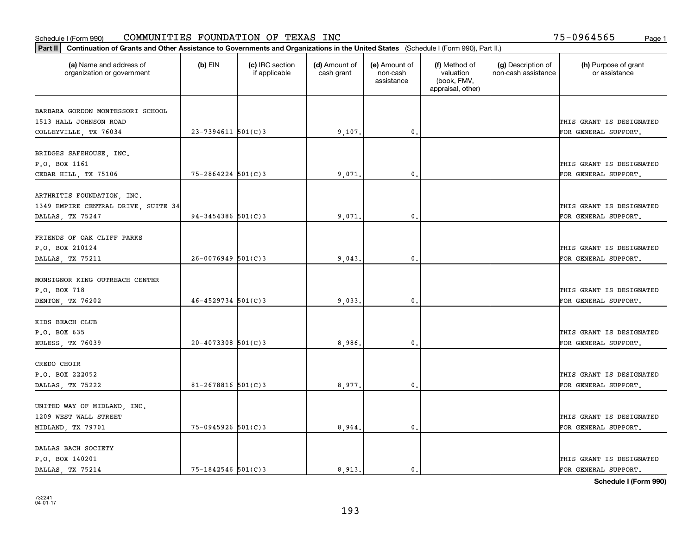| Part II   Continuation of Grants and Other Assistance to Governments and Organizations in the United States (Schedule I (Form 990), Part II.) |                        |                                  |                             |                                         |                                                                |                                           |                                       |
|-----------------------------------------------------------------------------------------------------------------------------------------------|------------------------|----------------------------------|-----------------------------|-----------------------------------------|----------------------------------------------------------------|-------------------------------------------|---------------------------------------|
| (a) Name and address of<br>organization or government                                                                                         | $(b)$ EIN              | (c) IRC section<br>if applicable | (d) Amount of<br>cash grant | (e) Amount of<br>non-cash<br>assistance | (f) Method of<br>valuation<br>(book, FMV,<br>appraisal, other) | (g) Description of<br>non-cash assistance | (h) Purpose of grant<br>or assistance |
| BARBARA GORDON MONTESSORI SCHOOL                                                                                                              |                        |                                  |                             |                                         |                                                                |                                           |                                       |
| 1513 HALL JOHNSON ROAD                                                                                                                        |                        |                                  |                             |                                         |                                                                |                                           | THIS GRANT IS DESIGNATED              |
| COLLEYVILLE, TX 76034                                                                                                                         | $23 - 7394611$ 501(C)3 |                                  | 9,107.                      | $\mathbf{0}$ .                          |                                                                |                                           | FOR GENERAL SUPPORT.                  |
|                                                                                                                                               |                        |                                  |                             |                                         |                                                                |                                           |                                       |
| BRIDGES SAFEHOUSE, INC.                                                                                                                       |                        |                                  |                             |                                         |                                                                |                                           |                                       |
| P.O. BOX 1161                                                                                                                                 |                        |                                  |                             |                                         |                                                                |                                           | THIS GRANT IS DESIGNATED              |
| CEDAR HILL, TX 75106                                                                                                                          | $75 - 2864224$ 501(C)3 |                                  | 9,071                       | 0.                                      |                                                                |                                           | FOR GENERAL SUPPORT.                  |
|                                                                                                                                               |                        |                                  |                             |                                         |                                                                |                                           |                                       |
| ARTHRITIS FOUNDATION, INC.                                                                                                                    |                        |                                  |                             |                                         |                                                                |                                           |                                       |
| 1349 EMPIRE CENTRAL DRIVE, SUITE 34                                                                                                           |                        |                                  |                             |                                         |                                                                |                                           | THIS GRANT IS DESIGNATED              |
| DALLAS, TX 75247                                                                                                                              | $94 - 3454386$ 501(C)3 |                                  | 9,071                       | 0.                                      |                                                                |                                           | FOR GENERAL SUPPORT.                  |
|                                                                                                                                               |                        |                                  |                             |                                         |                                                                |                                           |                                       |
| FRIENDS OF OAK CLIFF PARKS                                                                                                                    |                        |                                  |                             |                                         |                                                                |                                           |                                       |
| P.O. BOX 210124                                                                                                                               |                        |                                  |                             |                                         |                                                                |                                           | THIS GRANT IS DESIGNATED              |
| DALLAS, TX 75211                                                                                                                              | $26 - 0076949$ 501(C)3 |                                  | 9,043.                      | 0.                                      |                                                                |                                           | FOR GENERAL SUPPORT.                  |
|                                                                                                                                               |                        |                                  |                             |                                         |                                                                |                                           |                                       |
| MONSIGNOR KING OUTREACH CENTER                                                                                                                |                        |                                  |                             |                                         |                                                                |                                           |                                       |
| P.O. BOX 718                                                                                                                                  |                        |                                  |                             |                                         |                                                                |                                           | THIS GRANT IS DESIGNATED              |
| DENTON, TX 76202                                                                                                                              | $46 - 4529734$ 501(C)3 |                                  | 9,033.                      | 0.                                      |                                                                |                                           | FOR GENERAL SUPPORT.                  |
|                                                                                                                                               |                        |                                  |                             |                                         |                                                                |                                           |                                       |
| KIDS BEACH CLUB                                                                                                                               |                        |                                  |                             |                                         |                                                                |                                           |                                       |
| P.O. BOX 635                                                                                                                                  |                        |                                  |                             |                                         |                                                                |                                           | THIS GRANT IS DESIGNATED              |
| EULESS, TX 76039                                                                                                                              | $20 - 4073308$ 501(C)3 |                                  | 8,986                       | 0.                                      |                                                                |                                           | FOR GENERAL SUPPORT.                  |
| CREDO CHOIR                                                                                                                                   |                        |                                  |                             |                                         |                                                                |                                           |                                       |
| P.O. BOX 222052                                                                                                                               |                        |                                  |                             |                                         |                                                                |                                           | THIS GRANT IS DESIGNATED              |
|                                                                                                                                               | $81 - 2678816$ 501(C)3 |                                  |                             | $\mathbf{0}$ .                          |                                                                |                                           | FOR GENERAL SUPPORT.                  |
| DALLAS, TX 75222                                                                                                                              |                        |                                  | 8,977                       |                                         |                                                                |                                           |                                       |
| UNITED WAY OF MIDLAND, INC.                                                                                                                   |                        |                                  |                             |                                         |                                                                |                                           |                                       |
| 1209 WEST WALL STREET                                                                                                                         |                        |                                  |                             |                                         |                                                                |                                           | THIS GRANT IS DESIGNATED              |
|                                                                                                                                               | 75-0945926 501(C)3     |                                  |                             | 0.                                      |                                                                |                                           | FOR GENERAL SUPPORT.                  |
| MIDLAND, TX 79701                                                                                                                             |                        |                                  | 8,964.                      |                                         |                                                                |                                           |                                       |
| DALLAS BACH SOCIETY                                                                                                                           |                        |                                  |                             |                                         |                                                                |                                           |                                       |
| P.O. BOX 140201                                                                                                                               |                        |                                  |                             |                                         |                                                                |                                           | THIS GRANT IS DESIGNATED              |
| DALLAS, TX 75214                                                                                                                              | 75-1842546 501(C)3     |                                  | 8,913.                      | 0.                                      |                                                                |                                           | FOR GENERAL SUPPORT.                  |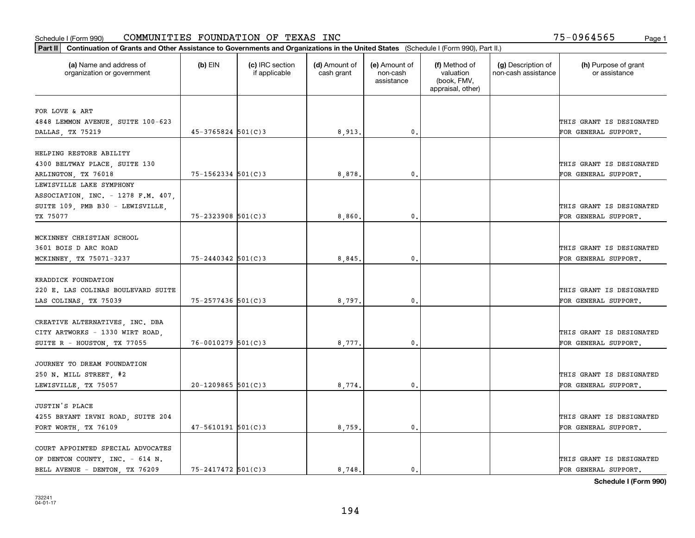| Part II   Continuation of Grants and Other Assistance to Governments and Organizations in the United States (Schedule I (Form 990), Part II.) |                        |                                  |                             |                                         |                                                                |                                           |                                       |
|-----------------------------------------------------------------------------------------------------------------------------------------------|------------------------|----------------------------------|-----------------------------|-----------------------------------------|----------------------------------------------------------------|-------------------------------------------|---------------------------------------|
| (a) Name and address of<br>organization or government                                                                                         | $(b)$ EIN              | (c) IRC section<br>if applicable | (d) Amount of<br>cash grant | (e) Amount of<br>non-cash<br>assistance | (f) Method of<br>valuation<br>(book, FMV,<br>appraisal, other) | (g) Description of<br>non-cash assistance | (h) Purpose of grant<br>or assistance |
| FOR LOVE & ART                                                                                                                                |                        |                                  |                             |                                         |                                                                |                                           |                                       |
| 4848 LEMMON AVENUE, SUITE 100-623                                                                                                             |                        |                                  |                             |                                         |                                                                |                                           | THIS GRANT IS DESIGNATED              |
| DALLAS, TX 75219                                                                                                                              | $45 - 3765824$ 501(C)3 |                                  | 8,913.                      | 0.                                      |                                                                |                                           | FOR GENERAL SUPPORT.                  |
|                                                                                                                                               |                        |                                  |                             |                                         |                                                                |                                           |                                       |
| HELPING RESTORE ABILITY                                                                                                                       |                        |                                  |                             |                                         |                                                                |                                           |                                       |
| 4300 BELTWAY PLACE, SUITE 130                                                                                                                 |                        |                                  |                             |                                         |                                                                |                                           | THIS GRANT IS DESIGNATED              |
| ARLINGTON, TX 76018                                                                                                                           | $75 - 1562334$ 501(C)3 |                                  | 8,878                       | 0.                                      |                                                                |                                           | FOR GENERAL SUPPORT.                  |
| LEWISVILLE LAKE SYMPHONY                                                                                                                      |                        |                                  |                             |                                         |                                                                |                                           |                                       |
| ASSOCIATION, INC. - 1278 F.M. 407,                                                                                                            |                        |                                  |                             |                                         |                                                                |                                           |                                       |
| SUITE 109, PMB B30 - LEWISVILLE,                                                                                                              |                        |                                  |                             |                                         |                                                                |                                           | THIS GRANT IS DESIGNATED              |
| TX 75077                                                                                                                                      | $75 - 2323908$ 501(C)3 |                                  | 8,860                       | $\mathbf{0}$ .                          |                                                                |                                           | FOR GENERAL SUPPORT.                  |
|                                                                                                                                               |                        |                                  |                             |                                         |                                                                |                                           |                                       |
| MCKINNEY CHRISTIAN SCHOOL                                                                                                                     |                        |                                  |                             |                                         |                                                                |                                           |                                       |
| 3601 BOIS D ARC ROAD                                                                                                                          |                        |                                  |                             |                                         |                                                                |                                           | THIS GRANT IS DESIGNATED              |
| MCKINNEY, TX 75071-3237                                                                                                                       | 75-2440342 501(C)3     |                                  | 8,845                       | $\mathbf{0}$ .                          |                                                                |                                           | FOR GENERAL SUPPORT.                  |
|                                                                                                                                               |                        |                                  |                             |                                         |                                                                |                                           |                                       |
| KRADDICK FOUNDATION                                                                                                                           |                        |                                  |                             |                                         |                                                                |                                           |                                       |
| 220 E. LAS COLINAS BOULEVARD SUITE                                                                                                            | 75-2577436 501(C)3     |                                  |                             |                                         |                                                                |                                           | THIS GRANT IS DESIGNATED              |
| LAS COLINAS, TX 75039                                                                                                                         |                        |                                  | 8,797.                      | 0.                                      |                                                                |                                           | FOR GENERAL SUPPORT.                  |
| CREATIVE ALTERNATIVES, INC. DBA                                                                                                               |                        |                                  |                             |                                         |                                                                |                                           |                                       |
| CITY ARTWORKS - 1330 WIRT ROAD,                                                                                                               |                        |                                  |                             |                                         |                                                                |                                           | THIS GRANT IS DESIGNATED              |
| SUITE R - HOUSTON, TX 77055                                                                                                                   | $76 - 0010279$ 501(C)3 |                                  | 8,777.                      | 0.                                      |                                                                |                                           | FOR GENERAL SUPPORT.                  |
|                                                                                                                                               |                        |                                  |                             |                                         |                                                                |                                           |                                       |
| JOURNEY TO DREAM FOUNDATION                                                                                                                   |                        |                                  |                             |                                         |                                                                |                                           |                                       |
| 250 N. MILL STREET, #2                                                                                                                        |                        |                                  |                             |                                         |                                                                |                                           | THIS GRANT IS DESIGNATED              |
| LEWISVILLE, TX 75057                                                                                                                          | $20 - 1209865$ 501(C)3 |                                  | 8,774                       | $\mathfrak{o}$ .                        |                                                                |                                           | FOR GENERAL SUPPORT.                  |
|                                                                                                                                               |                        |                                  |                             |                                         |                                                                |                                           |                                       |
| JUSTIN'S PLACE                                                                                                                                |                        |                                  |                             |                                         |                                                                |                                           |                                       |
| 4255 BRYANT IRVNI ROAD, SUITE 204                                                                                                             |                        |                                  |                             |                                         |                                                                |                                           | THIS GRANT IS DESIGNATED              |
| FORT WORTH, TX 76109                                                                                                                          | $47 - 5610191$ 501(C)3 |                                  | 8,759.                      | $\mathbf{0}$ .                          |                                                                |                                           | FOR GENERAL SUPPORT.                  |
|                                                                                                                                               |                        |                                  |                             |                                         |                                                                |                                           |                                       |
| COURT APPOINTED SPECIAL ADVOCATES                                                                                                             |                        |                                  |                             |                                         |                                                                |                                           |                                       |
| OF DENTON COUNTY, INC. - 614 N.                                                                                                               |                        |                                  |                             |                                         |                                                                |                                           | THIS GRANT IS DESIGNATED              |
| BELL AVENUE - DENTON, TX 76209                                                                                                                | $75 - 2417472$ 501(C)3 |                                  | 8.748.                      | $\mathbf{0}$ .                          |                                                                |                                           | FOR GENERAL SUPPORT.                  |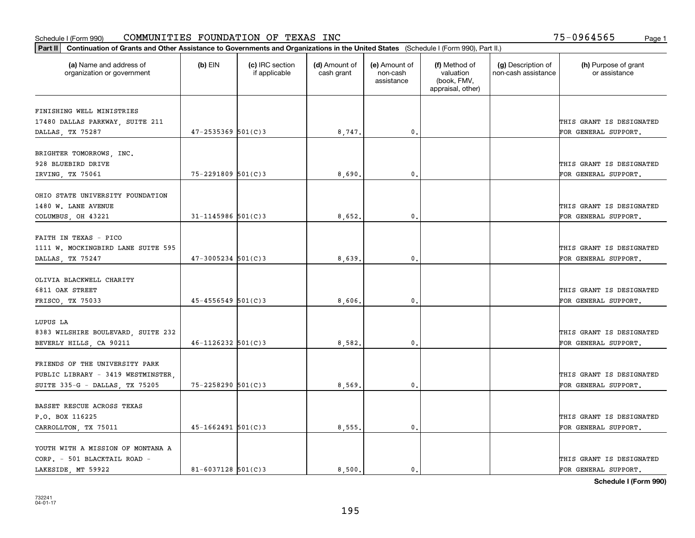|                                                       | Part II   Continuation of Grants and Other Assistance to Governments and Organizations in the United States (Schedule I (Form 990), Part II.) |                                  |                             |                                         |                                                                |                                           |                                       |  |  |  |  |
|-------------------------------------------------------|-----------------------------------------------------------------------------------------------------------------------------------------------|----------------------------------|-----------------------------|-----------------------------------------|----------------------------------------------------------------|-------------------------------------------|---------------------------------------|--|--|--|--|
| (a) Name and address of<br>organization or government | $(b)$ EIN                                                                                                                                     | (c) IRC section<br>if applicable | (d) Amount of<br>cash grant | (e) Amount of<br>non-cash<br>assistance | (f) Method of<br>valuation<br>(book, FMV,<br>appraisal, other) | (g) Description of<br>non-cash assistance | (h) Purpose of grant<br>or assistance |  |  |  |  |
| FINISHING WELL MINISTRIES                             |                                                                                                                                               |                                  |                             |                                         |                                                                |                                           |                                       |  |  |  |  |
| 17480 DALLAS PARKWAY, SUITE 211                       |                                                                                                                                               |                                  |                             |                                         |                                                                |                                           | THIS GRANT IS DESIGNATED              |  |  |  |  |
| DALLAS, TX 75287                                      | $47 - 2535369$ 501(C)3                                                                                                                        |                                  | 8,747.                      | 0.                                      |                                                                |                                           | FOR GENERAL SUPPORT.                  |  |  |  |  |
|                                                       |                                                                                                                                               |                                  |                             |                                         |                                                                |                                           |                                       |  |  |  |  |
| BRIGHTER TOMORROWS, INC.                              |                                                                                                                                               |                                  |                             |                                         |                                                                |                                           |                                       |  |  |  |  |
| 928 BLUEBIRD DRIVE                                    |                                                                                                                                               |                                  |                             |                                         |                                                                |                                           | THIS GRANT IS DESIGNATED              |  |  |  |  |
| IRVING, TX 75061                                      | $75 - 2291809$ 501(C)3                                                                                                                        |                                  | 8,690                       | 0.                                      |                                                                |                                           | FOR GENERAL SUPPORT.                  |  |  |  |  |
| OHIO STATE UNIVERSITY FOUNDATION                      |                                                                                                                                               |                                  |                             |                                         |                                                                |                                           |                                       |  |  |  |  |
| 1480 W. LANE AVENUE                                   |                                                                                                                                               |                                  |                             |                                         |                                                                |                                           | THIS GRANT IS DESIGNATED              |  |  |  |  |
| COLUMBUS, OH 43221                                    | $31 - 1145986$ 501(C)3                                                                                                                        |                                  | 8,652.                      | $\mathbf{0}$ .                          |                                                                |                                           | FOR GENERAL SUPPORT.                  |  |  |  |  |
|                                                       |                                                                                                                                               |                                  |                             |                                         |                                                                |                                           |                                       |  |  |  |  |
| FAITH IN TEXAS - PICO                                 |                                                                                                                                               |                                  |                             |                                         |                                                                |                                           |                                       |  |  |  |  |
| 1111 W. MOCKINGBIRD LANE SUITE 595                    |                                                                                                                                               |                                  |                             |                                         |                                                                |                                           | THIS GRANT IS DESIGNATED              |  |  |  |  |
| DALLAS, TX 75247                                      | $47 - 3005234$ 501(C)3                                                                                                                        |                                  | 8,639.                      | $\mathbf{0}$                            |                                                                |                                           | FOR GENERAL SUPPORT.                  |  |  |  |  |
|                                                       |                                                                                                                                               |                                  |                             |                                         |                                                                |                                           |                                       |  |  |  |  |
| OLIVIA BLACKWELL CHARITY<br>6811 OAK STREET           |                                                                                                                                               |                                  |                             |                                         |                                                                |                                           | THIS GRANT IS DESIGNATED              |  |  |  |  |
| FRISCO, TX 75033                                      | $45 - 4556549$ 501(C)3                                                                                                                        |                                  | 8,606                       | $\mathbf{0}$                            |                                                                |                                           | FOR GENERAL SUPPORT.                  |  |  |  |  |
|                                                       |                                                                                                                                               |                                  |                             |                                         |                                                                |                                           |                                       |  |  |  |  |
| LUPUS LA                                              |                                                                                                                                               |                                  |                             |                                         |                                                                |                                           |                                       |  |  |  |  |
| 8383 WILSHIRE BOULEVARD, SUITE 232                    |                                                                                                                                               |                                  |                             |                                         |                                                                |                                           | THIS GRANT IS DESIGNATED              |  |  |  |  |
| BEVERLY HILLS, CA 90211                               | $46 - 1126232$ 501(C)3                                                                                                                        |                                  | 8,582.                      | $\mathbf{0}$                            |                                                                |                                           | FOR GENERAL SUPPORT.                  |  |  |  |  |
|                                                       |                                                                                                                                               |                                  |                             |                                         |                                                                |                                           |                                       |  |  |  |  |
| FRIENDS OF THE UNIVERSITY PARK                        |                                                                                                                                               |                                  |                             |                                         |                                                                |                                           |                                       |  |  |  |  |
| PUBLIC LIBRARY - 3419 WESTMINSTER,                    |                                                                                                                                               |                                  |                             |                                         |                                                                |                                           | THIS GRANT IS DESIGNATED              |  |  |  |  |
| SUITE 335-G - DALLAS, TX 75205                        | $75 - 2258290$ 501(C)3                                                                                                                        |                                  | 8,569                       | $^{\rm 0}$ .                            |                                                                |                                           | FOR GENERAL SUPPORT.                  |  |  |  |  |
| BASSET RESCUE ACROSS TEXAS                            |                                                                                                                                               |                                  |                             |                                         |                                                                |                                           |                                       |  |  |  |  |
| P.O. BOX 116225                                       |                                                                                                                                               |                                  |                             |                                         |                                                                |                                           | THIS GRANT IS DESIGNATED              |  |  |  |  |
| CARROLLTON, TX 75011                                  | $45 - 1662491$ 501(C)3                                                                                                                        |                                  | 8,555.                      | $\mathfrak{o}$ .                        |                                                                |                                           | FOR GENERAL SUPPORT.                  |  |  |  |  |
|                                                       |                                                                                                                                               |                                  |                             |                                         |                                                                |                                           |                                       |  |  |  |  |
| YOUTH WITH A MISSION OF MONTANA A                     |                                                                                                                                               |                                  |                             |                                         |                                                                |                                           |                                       |  |  |  |  |
| CORP. - 501 BLACKTAIL ROAD -                          |                                                                                                                                               |                                  |                             |                                         |                                                                |                                           | THIS GRANT IS DESIGNATED              |  |  |  |  |
| LAKESIDE, MT 59922                                    | $81 - 6037128$ 501(C)3                                                                                                                        |                                  | 8,500.                      | $\mathbf{0}$ .                          |                                                                |                                           | FOR GENERAL SUPPORT.                  |  |  |  |  |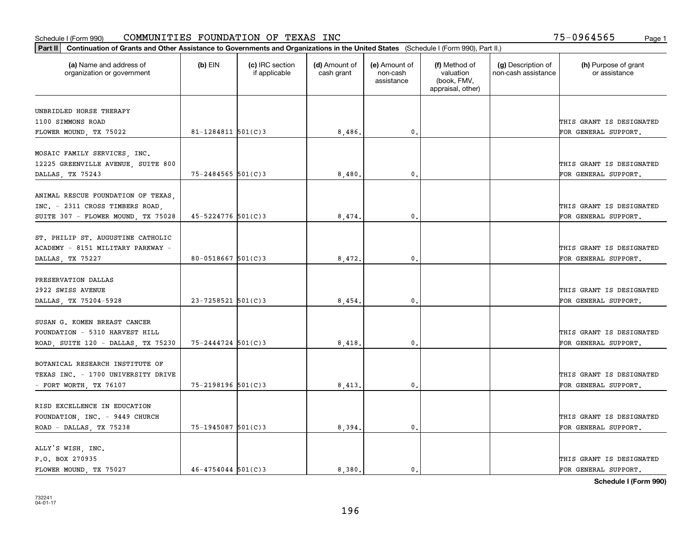|                                                        | Part II   Continuation of Grants and Other Assistance to Governments and Organizations in the United States (Schedule I (Form 990), Part II.) |                                  |                             |                                         |                                                                |                                           |                                       |  |  |  |  |
|--------------------------------------------------------|-----------------------------------------------------------------------------------------------------------------------------------------------|----------------------------------|-----------------------------|-----------------------------------------|----------------------------------------------------------------|-------------------------------------------|---------------------------------------|--|--|--|--|
| (a) Name and address of<br>organization or government  | $(b)$ EIN                                                                                                                                     | (c) IRC section<br>if applicable | (d) Amount of<br>cash grant | (e) Amount of<br>non-cash<br>assistance | (f) Method of<br>valuation<br>(book, FMV,<br>appraisal, other) | (g) Description of<br>non-cash assistance | (h) Purpose of grant<br>or assistance |  |  |  |  |
|                                                        |                                                                                                                                               |                                  |                             |                                         |                                                                |                                           |                                       |  |  |  |  |
| UNBRIDLED HORSE THERAPY<br>1100 SIMMONS ROAD           |                                                                                                                                               |                                  |                             |                                         |                                                                |                                           | THIS GRANT IS DESIGNATED              |  |  |  |  |
| FLOWER MOUND, TX 75022                                 | $81 - 1284811$ 501(C)3                                                                                                                        |                                  | 8,486.                      | 0.                                      |                                                                |                                           | FOR GENERAL SUPPORT.                  |  |  |  |  |
|                                                        |                                                                                                                                               |                                  |                             |                                         |                                                                |                                           |                                       |  |  |  |  |
| MOSAIC FAMILY SERVICES, INC.                           |                                                                                                                                               |                                  |                             |                                         |                                                                |                                           | THIS GRANT IS DESIGNATED              |  |  |  |  |
| 12225 GREENVILLE AVENUE, SUITE 800<br>DALLAS, TX 75243 | $75 - 2484565$ 501(C)3                                                                                                                        |                                  | 8,480                       | $\mathbf{0}$                            |                                                                |                                           | FOR GENERAL SUPPORT.                  |  |  |  |  |
|                                                        |                                                                                                                                               |                                  |                             |                                         |                                                                |                                           |                                       |  |  |  |  |
| ANIMAL RESCUE FOUNDATION OF TEXAS                      |                                                                                                                                               |                                  |                             |                                         |                                                                |                                           |                                       |  |  |  |  |
| INC. - 2311 CROSS TIMBERS ROAD,                        |                                                                                                                                               |                                  |                             |                                         |                                                                |                                           | THIS GRANT IS DESIGNATED              |  |  |  |  |
| SUITE 307 - FLOWER MOUND, TX 75028                     | $45 - 5224776$ 501(C)3                                                                                                                        |                                  | 8,474.                      | $\mathbf{0}$ .                          |                                                                |                                           | FOR GENERAL SUPPORT.                  |  |  |  |  |
|                                                        |                                                                                                                                               |                                  |                             |                                         |                                                                |                                           |                                       |  |  |  |  |
| ST. PHILIP ST. AUGUSTINE CATHOLIC                      |                                                                                                                                               |                                  |                             |                                         |                                                                |                                           |                                       |  |  |  |  |
| ACADEMY - 8151 MILITARY PARKWAY -                      |                                                                                                                                               |                                  |                             |                                         |                                                                |                                           | THIS GRANT IS DESIGNATED              |  |  |  |  |
| DALLAS, TX 75227                                       | $80 - 0518667$ 501(C)3                                                                                                                        |                                  | 8,472.                      | $\mathbf{0}$                            |                                                                |                                           | FOR GENERAL SUPPORT.                  |  |  |  |  |
|                                                        |                                                                                                                                               |                                  |                             |                                         |                                                                |                                           |                                       |  |  |  |  |
| PRESERVATION DALLAS                                    |                                                                                                                                               |                                  |                             |                                         |                                                                |                                           |                                       |  |  |  |  |
| 2922 SWISS AVENUE                                      |                                                                                                                                               |                                  |                             |                                         |                                                                |                                           | THIS GRANT IS DESIGNATED              |  |  |  |  |
| DALLAS, TX 75204-5928                                  | $23 - 7258521$ 501(C)3                                                                                                                        |                                  | 8,454                       | $\mathbf{0}$                            |                                                                |                                           | FOR GENERAL SUPPORT.                  |  |  |  |  |
| SUSAN G. KOMEN BREAST CANCER                           |                                                                                                                                               |                                  |                             |                                         |                                                                |                                           |                                       |  |  |  |  |
| FOUNDATION - 5310 HARVEST HILL                         |                                                                                                                                               |                                  |                             |                                         |                                                                |                                           | THIS GRANT IS DESIGNATED              |  |  |  |  |
| ROAD, SUITE 120 - DALLAS, TX 75230                     | 75-2444724 501(C)3                                                                                                                            |                                  | 8,418,                      | $\mathbf{0}$                            |                                                                |                                           | FOR GENERAL SUPPORT.                  |  |  |  |  |
|                                                        |                                                                                                                                               |                                  |                             |                                         |                                                                |                                           |                                       |  |  |  |  |
| BOTANICAL RESEARCH INSTITUTE OF                        |                                                                                                                                               |                                  |                             |                                         |                                                                |                                           |                                       |  |  |  |  |
| TEXAS INC. - 1700 UNIVERSITY DRIVE                     |                                                                                                                                               |                                  |                             |                                         |                                                                |                                           | THIS GRANT IS DESIGNATED              |  |  |  |  |
| - FORT WORTH, TX $76107$                               | 75-2198196 501(C)3                                                                                                                            |                                  | 8,413,                      | $^{\rm 0}$ .                            |                                                                |                                           | FOR GENERAL SUPPORT.                  |  |  |  |  |
|                                                        |                                                                                                                                               |                                  |                             |                                         |                                                                |                                           |                                       |  |  |  |  |
| RISD EXCELLENCE IN EDUCATION                           |                                                                                                                                               |                                  |                             |                                         |                                                                |                                           |                                       |  |  |  |  |
| FOUNDATION, INC. - 9449 CHURCH                         |                                                                                                                                               |                                  |                             |                                         |                                                                |                                           | THIS GRANT IS DESIGNATED              |  |  |  |  |
| ROAD - DALLAS, TX 75238                                | 75-1945087 501(C)3                                                                                                                            |                                  | 8,394.                      | $\mathfrak{o}$ .                        |                                                                |                                           | FOR GENERAL SUPPORT.                  |  |  |  |  |
|                                                        |                                                                                                                                               |                                  |                             |                                         |                                                                |                                           |                                       |  |  |  |  |
| ALLY'S WISH, INC.<br>P.O. BOX 270935                   |                                                                                                                                               |                                  |                             |                                         |                                                                |                                           | THIS GRANT IS DESIGNATED              |  |  |  |  |
| FLOWER MOUND, TX 75027                                 | $46 - 4754044$ 501(C)3                                                                                                                        |                                  | 8,380.                      | $\mathbf{0}$ .                          |                                                                |                                           | FOR GENERAL SUPPORT.                  |  |  |  |  |
|                                                        |                                                                                                                                               |                                  |                             |                                         |                                                                |                                           |                                       |  |  |  |  |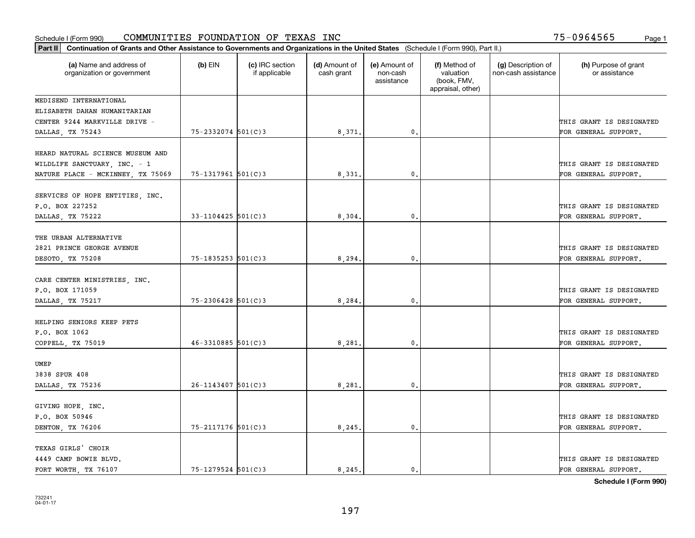|                                                                        | Part II   Continuation of Grants and Other Assistance to Governments and Organizations in the United States (Schedule I (Form 990), Part II.) |                                  |                             |                                         |                                                                |                                           |                                                  |  |  |  |  |
|------------------------------------------------------------------------|-----------------------------------------------------------------------------------------------------------------------------------------------|----------------------------------|-----------------------------|-----------------------------------------|----------------------------------------------------------------|-------------------------------------------|--------------------------------------------------|--|--|--|--|
| (a) Name and address of<br>organization or government                  | $(b)$ EIN                                                                                                                                     | (c) IRC section<br>if applicable | (d) Amount of<br>cash grant | (e) Amount of<br>non-cash<br>assistance | (f) Method of<br>valuation<br>(book, FMV,<br>appraisal, other) | (g) Description of<br>non-cash assistance | (h) Purpose of grant<br>or assistance            |  |  |  |  |
| MEDISEND INTERNATIONAL                                                 |                                                                                                                                               |                                  |                             |                                         |                                                                |                                           |                                                  |  |  |  |  |
| ELISABETH DAHAN HUMANITARIAN                                           |                                                                                                                                               |                                  |                             |                                         |                                                                |                                           |                                                  |  |  |  |  |
| CENTER 9244 MARKVILLE DRIVE -                                          |                                                                                                                                               |                                  |                             |                                         |                                                                |                                           | THIS GRANT IS DESIGNATED                         |  |  |  |  |
| DALLAS, TX 75243                                                       | 75-2332074 501(C)3                                                                                                                            |                                  | 8,371.                      | 0.                                      |                                                                |                                           | FOR GENERAL SUPPORT.                             |  |  |  |  |
| HEARD NATURAL SCIENCE MUSEUM AND<br>WILDLIFE SANCTUARY, INC. - 1       |                                                                                                                                               |                                  |                             |                                         |                                                                |                                           | THIS GRANT IS DESIGNATED                         |  |  |  |  |
| NATURE PLACE - MCKINNEY, TX 75069                                      | 75-1317961 501(C)3                                                                                                                            |                                  | 8,331                       | 0.                                      |                                                                |                                           | FOR GENERAL SUPPORT.                             |  |  |  |  |
| SERVICES OF HOPE ENTITIES, INC.<br>P.O. BOX 227252                     |                                                                                                                                               |                                  |                             |                                         |                                                                |                                           | THIS GRANT IS DESIGNATED                         |  |  |  |  |
| DALLAS, TX 75222                                                       | $33 - 1104425$ 501(C)3                                                                                                                        |                                  | 8,304                       | $\mathbf{0}$ .                          |                                                                |                                           | FOR GENERAL SUPPORT.                             |  |  |  |  |
| THE URBAN ALTERNATIVE<br>2821 PRINCE GEORGE AVENUE<br>DESOTO, TX 75208 | $75 - 1835253$ 501(C)3                                                                                                                        |                                  | 8, 294.                     | $\mathbf{0}$                            |                                                                |                                           | THIS GRANT IS DESIGNATED<br>FOR GENERAL SUPPORT. |  |  |  |  |
| CARE CENTER MINISTRIES, INC.<br>P.O. BOX 171059<br>DALLAS, TX 75217    | $75 - 2306428$ 501(C)3                                                                                                                        |                                  | 8,284                       | $\mathbf{0}$                            |                                                                |                                           | THIS GRANT IS DESIGNATED<br>FOR GENERAL SUPPORT. |  |  |  |  |
| HELPING SENIORS KEEP PETS<br>P.O. BOX 1062<br>COPPELL, TX 75019        | $46 - 3310885$ 501(C)3                                                                                                                        |                                  | 8,281                       | $\mathbf{0}$                            |                                                                |                                           | THIS GRANT IS DESIGNATED<br>FOR GENERAL SUPPORT. |  |  |  |  |
|                                                                        |                                                                                                                                               |                                  |                             |                                         |                                                                |                                           |                                                  |  |  |  |  |
| UMEP<br>3838 SPUR 408<br>DALLAS, TX 75236                              | $26 - 1143407$ 501(C)3                                                                                                                        |                                  | 8,281                       | $^{\rm 0}$ .                            |                                                                |                                           | THIS GRANT IS DESIGNATED<br>FOR GENERAL SUPPORT. |  |  |  |  |
| GIVING HOPE, INC.<br>P.O. BOX 50946<br>DENTON, TX 76206                | 75-2117176 501(C)3                                                                                                                            |                                  | 8, 245.                     | $\mathfrak{o}$ .                        |                                                                |                                           | THIS GRANT IS DESIGNATED<br>FOR GENERAL SUPPORT. |  |  |  |  |
|                                                                        |                                                                                                                                               |                                  |                             |                                         |                                                                |                                           |                                                  |  |  |  |  |
| TEXAS GIRLS' CHOIR<br>4449 CAMP BOWIE BLVD.<br>FORT WORTH, TX 76107    | $75 - 1279524$ 501(C)3                                                                                                                        |                                  | 8.245.                      | $\mathfrak{o}$ .                        |                                                                |                                           | THIS GRANT IS DESIGNATED<br>FOR GENERAL SUPPORT. |  |  |  |  |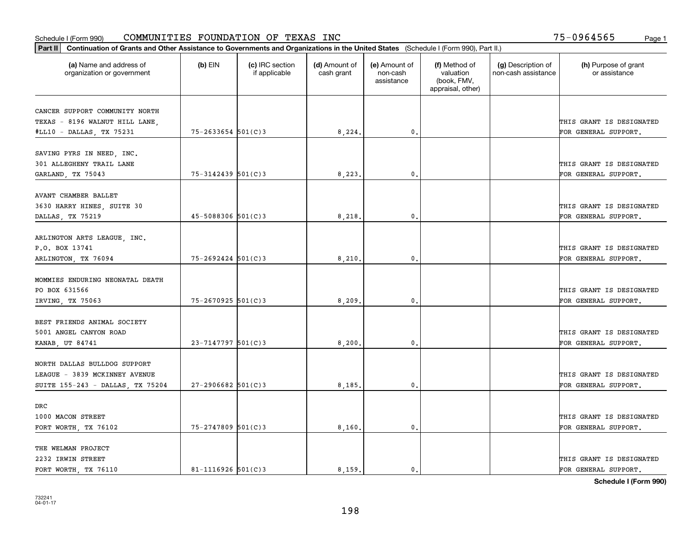| Part II   Continuation of Grants and Other Assistance to Governments and Organizations in the United States (Schedule I (Form 990), Part II.) |                        |                                  |                             |                                         |                                                                |                                           |                                       |
|-----------------------------------------------------------------------------------------------------------------------------------------------|------------------------|----------------------------------|-----------------------------|-----------------------------------------|----------------------------------------------------------------|-------------------------------------------|---------------------------------------|
| (a) Name and address of<br>organization or government                                                                                         | $(b)$ EIN              | (c) IRC section<br>if applicable | (d) Amount of<br>cash grant | (e) Amount of<br>non-cash<br>assistance | (f) Method of<br>valuation<br>(book, FMV,<br>appraisal, other) | (g) Description of<br>non-cash assistance | (h) Purpose of grant<br>or assistance |
|                                                                                                                                               |                        |                                  |                             |                                         |                                                                |                                           |                                       |
| CANCER SUPPORT COMMUNITY NORTH<br>TEXAS - 8196 WALNUT HILL LANE,                                                                              |                        |                                  |                             |                                         |                                                                |                                           | THIS GRANT IS DESIGNATED              |
| #LL10 - DALLAS, TX 75231                                                                                                                      | $75 - 2633654$ 501(C)3 |                                  | 8,224.                      | 0.                                      |                                                                |                                           | FOR GENERAL SUPPORT.                  |
|                                                                                                                                               |                        |                                  |                             |                                         |                                                                |                                           |                                       |
| SAVING PYRS IN NEED, INC.                                                                                                                     |                        |                                  |                             |                                         |                                                                |                                           |                                       |
| 301 ALLEGHENY TRAIL LANE                                                                                                                      |                        |                                  |                             |                                         |                                                                |                                           | THIS GRANT IS DESIGNATED              |
| GARLAND, TX 75043                                                                                                                             | 75-3142439 501(C)3     |                                  | 8,223                       | 0.                                      |                                                                |                                           | FOR GENERAL SUPPORT.                  |
|                                                                                                                                               |                        |                                  |                             |                                         |                                                                |                                           |                                       |
| AVANT CHAMBER BALLET                                                                                                                          |                        |                                  |                             |                                         |                                                                |                                           |                                       |
| 3630 HARRY HINES, SUITE 30                                                                                                                    |                        |                                  |                             |                                         |                                                                |                                           | THIS GRANT IS DESIGNATED              |
| DALLAS, TX 75219                                                                                                                              | $45 - 5088306$ 501(C)3 |                                  | 8,218,                      | $\mathbf{0}$ .                          |                                                                |                                           | FOR GENERAL SUPPORT.                  |
|                                                                                                                                               |                        |                                  |                             |                                         |                                                                |                                           |                                       |
| ARLINGTON ARTS LEAGUE, INC.                                                                                                                   |                        |                                  |                             |                                         |                                                                |                                           |                                       |
| P.O. BOX 13741                                                                                                                                |                        |                                  |                             |                                         |                                                                |                                           | THIS GRANT IS DESIGNATED              |
| ARLINGTON, TX 76094                                                                                                                           | 75-2692424 501(C)3     |                                  | 8,210                       | $\mathbf{0}$                            |                                                                |                                           | FOR GENERAL SUPPORT.                  |
|                                                                                                                                               |                        |                                  |                             |                                         |                                                                |                                           |                                       |
| MOMMIES ENDURING NEONATAL DEATH                                                                                                               |                        |                                  |                             |                                         |                                                                |                                           |                                       |
| PO BOX 631566                                                                                                                                 |                        |                                  |                             |                                         |                                                                |                                           | THIS GRANT IS DESIGNATED              |
| IRVING, TX 75063                                                                                                                              | 75-2670925 501(C)3     |                                  | 8,209                       | $\mathbf{0}$                            |                                                                |                                           | FOR GENERAL SUPPORT.                  |
| BEST FRIENDS ANIMAL SOCIETY                                                                                                                   |                        |                                  |                             |                                         |                                                                |                                           |                                       |
| 5001 ANGEL CANYON ROAD                                                                                                                        |                        |                                  |                             |                                         |                                                                |                                           | THIS GRANT IS DESIGNATED              |
|                                                                                                                                               | $23 - 7147797$ 501(C)3 |                                  | 8,200.                      | $\mathbf{0}$                            |                                                                |                                           | FOR GENERAL SUPPORT.                  |
| KANAB, UT 84741                                                                                                                               |                        |                                  |                             |                                         |                                                                |                                           |                                       |
| NORTH DALLAS BULLDOG SUPPORT                                                                                                                  |                        |                                  |                             |                                         |                                                                |                                           |                                       |
| LEAGUE - 3839 MCKINNEY AVENUE                                                                                                                 |                        |                                  |                             |                                         |                                                                |                                           | THIS GRANT IS DESIGNATED              |
| SUITE 155-243 - DALLAS, TX 75204                                                                                                              | $27 - 2906682$ 501(C)3 |                                  | 8,185.                      | $^{\rm 0}$ .                            |                                                                |                                           | FOR GENERAL SUPPORT.                  |
|                                                                                                                                               |                        |                                  |                             |                                         |                                                                |                                           |                                       |
| DRC                                                                                                                                           |                        |                                  |                             |                                         |                                                                |                                           |                                       |
| 1000 MACON STREET                                                                                                                             |                        |                                  |                             |                                         |                                                                |                                           | THIS GRANT IS DESIGNATED              |
| FORT WORTH, TX 76102                                                                                                                          | 75-2747809 501(C)3     |                                  | 8,160.                      | $\mathfrak{o}$ .                        |                                                                |                                           | FOR GENERAL SUPPORT.                  |
|                                                                                                                                               |                        |                                  |                             |                                         |                                                                |                                           |                                       |
| THE WELMAN PROJECT                                                                                                                            |                        |                                  |                             |                                         |                                                                |                                           |                                       |
| 2232 IRWIN STREET                                                                                                                             |                        |                                  |                             |                                         |                                                                |                                           | THIS GRANT IS DESIGNATED              |
| FORT WORTH, TX 76110                                                                                                                          | $81 - 1116926$ 501(C)3 |                                  | 8.159.                      | $\mathbf{0}$ .                          |                                                                |                                           | FOR GENERAL SUPPORT.                  |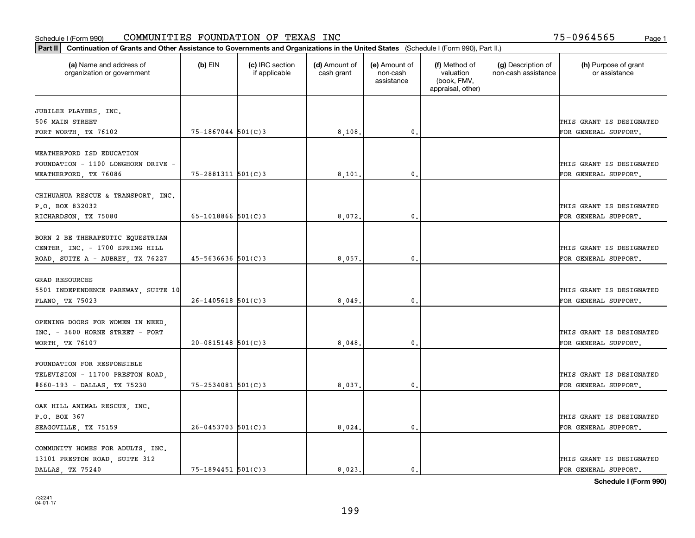|                                                        | Part II   Continuation of Grants and Other Assistance to Governments and Organizations in the United States (Schedule I (Form 990), Part II.) |                                  |                             |                                         |                                                                |                                           |                                       |  |  |  |  |
|--------------------------------------------------------|-----------------------------------------------------------------------------------------------------------------------------------------------|----------------------------------|-----------------------------|-----------------------------------------|----------------------------------------------------------------|-------------------------------------------|---------------------------------------|--|--|--|--|
| (a) Name and address of<br>organization or government  | $(b)$ EIN                                                                                                                                     | (c) IRC section<br>if applicable | (d) Amount of<br>cash grant | (e) Amount of<br>non-cash<br>assistance | (f) Method of<br>valuation<br>(book, FMV,<br>appraisal, other) | (g) Description of<br>non-cash assistance | (h) Purpose of grant<br>or assistance |  |  |  |  |
|                                                        |                                                                                                                                               |                                  |                             |                                         |                                                                |                                           |                                       |  |  |  |  |
| JUBILEE PLAYERS, INC.<br>506 MAIN STREET               |                                                                                                                                               |                                  |                             |                                         |                                                                |                                           | THIS GRANT IS DESIGNATED              |  |  |  |  |
| FORT WORTH, TX 76102                                   | 75-1867044 501(C)3                                                                                                                            |                                  | 8,108.                      | 0.                                      |                                                                |                                           | FOR GENERAL SUPPORT.                  |  |  |  |  |
|                                                        |                                                                                                                                               |                                  |                             |                                         |                                                                |                                           |                                       |  |  |  |  |
| WEATHERFORD ISD EDUCATION                              |                                                                                                                                               |                                  |                             |                                         |                                                                |                                           |                                       |  |  |  |  |
| FOUNDATION - 1100 LONGHORN DRIVE -                     |                                                                                                                                               |                                  |                             |                                         |                                                                |                                           | THIS GRANT IS DESIGNATED              |  |  |  |  |
| WEATHERFORD, TX 76086                                  | 75-2881311 501(C)3                                                                                                                            |                                  | 8,101                       | 0.                                      |                                                                |                                           | FOR GENERAL SUPPORT.                  |  |  |  |  |
|                                                        |                                                                                                                                               |                                  |                             |                                         |                                                                |                                           |                                       |  |  |  |  |
| CHIHUAHUA RESCUE & TRANSPORT, INC.                     |                                                                                                                                               |                                  |                             |                                         |                                                                |                                           |                                       |  |  |  |  |
| P.O. BOX 832032                                        |                                                                                                                                               |                                  |                             |                                         |                                                                |                                           | THIS GRANT IS DESIGNATED              |  |  |  |  |
| RICHARDSON, TX 75080                                   | 65-1018866 $501(C)$ 3                                                                                                                         |                                  | 8,072.                      | 0.                                      |                                                                |                                           | FOR GENERAL SUPPORT.                  |  |  |  |  |
|                                                        |                                                                                                                                               |                                  |                             |                                         |                                                                |                                           |                                       |  |  |  |  |
| BORN 2 BE THERAPEUTIC EQUESTRIAN                       |                                                                                                                                               |                                  |                             |                                         |                                                                |                                           |                                       |  |  |  |  |
| CENTER, INC. - 1700 SPRING HILL                        |                                                                                                                                               |                                  |                             |                                         |                                                                |                                           | THIS GRANT IS DESIGNATED              |  |  |  |  |
| ROAD, SUITE A - AUBREY, TX 76227                       | $45 - 5636636$ $501(C)3$                                                                                                                      |                                  | 8,057                       | $\mathbf{0}$ .                          |                                                                |                                           | FOR GENERAL SUPPORT.                  |  |  |  |  |
| <b>GRAD RESOURCES</b>                                  |                                                                                                                                               |                                  |                             |                                         |                                                                |                                           |                                       |  |  |  |  |
|                                                        |                                                                                                                                               |                                  |                             |                                         |                                                                |                                           | THIS GRANT IS DESIGNATED              |  |  |  |  |
| 5501 INDEPENDENCE PARKWAY, SUITE 10<br>PLANO, TX 75023 | $26 - 1405618$ 501(C)3                                                                                                                        |                                  | 8,049                       | 0.                                      |                                                                |                                           | FOR GENERAL SUPPORT.                  |  |  |  |  |
|                                                        |                                                                                                                                               |                                  |                             |                                         |                                                                |                                           |                                       |  |  |  |  |
| OPENING DOORS FOR WOMEN IN NEED,                       |                                                                                                                                               |                                  |                             |                                         |                                                                |                                           |                                       |  |  |  |  |
| INC. - 3600 HORNE STREET - FORT                        |                                                                                                                                               |                                  |                             |                                         |                                                                |                                           | THIS GRANT IS DESIGNATED              |  |  |  |  |
| WORTH, TX 76107                                        | $20 - 0815148$ 501(C)3                                                                                                                        |                                  | 8,048.                      | 0.                                      |                                                                |                                           | FOR GENERAL SUPPORT.                  |  |  |  |  |
|                                                        |                                                                                                                                               |                                  |                             |                                         |                                                                |                                           |                                       |  |  |  |  |
| FOUNDATION FOR RESPONSIBLE                             |                                                                                                                                               |                                  |                             |                                         |                                                                |                                           |                                       |  |  |  |  |
| TELEVISION - 11700 PRESTON ROAD,                       |                                                                                                                                               |                                  |                             |                                         |                                                                |                                           | THIS GRANT IS DESIGNATED              |  |  |  |  |
| #660-193 - DALLAS, TX 75230                            | 75-2534081 501(C)3                                                                                                                            |                                  | 8,037.                      | $^{\circ}$ .                            |                                                                |                                           | FOR GENERAL SUPPORT.                  |  |  |  |  |
|                                                        |                                                                                                                                               |                                  |                             |                                         |                                                                |                                           |                                       |  |  |  |  |
| OAK HILL ANIMAL RESCUE, INC.                           |                                                                                                                                               |                                  |                             |                                         |                                                                |                                           |                                       |  |  |  |  |
| P.O. BOX 367                                           |                                                                                                                                               |                                  |                             |                                         |                                                                |                                           | THIS GRANT IS DESIGNATED              |  |  |  |  |
| SEAGOVILLE, TX 75159                                   | $26 - 0453703$ 501(C)3                                                                                                                        |                                  | 8,024                       | 0.                                      |                                                                |                                           | FOR GENERAL SUPPORT.                  |  |  |  |  |
|                                                        |                                                                                                                                               |                                  |                             |                                         |                                                                |                                           |                                       |  |  |  |  |
| COMMUNITY HOMES FOR ADULTS, INC.                       |                                                                                                                                               |                                  |                             |                                         |                                                                |                                           |                                       |  |  |  |  |
| 13101 PRESTON ROAD, SUITE 312                          |                                                                                                                                               |                                  |                             |                                         |                                                                |                                           | THIS GRANT IS DESIGNATED              |  |  |  |  |
| DALLAS, TX 75240                                       | $75 - 1894451$ 501(C)3                                                                                                                        |                                  | 8.023.                      | $\mathbf{0}$ .                          |                                                                |                                           | FOR GENERAL SUPPORT.                  |  |  |  |  |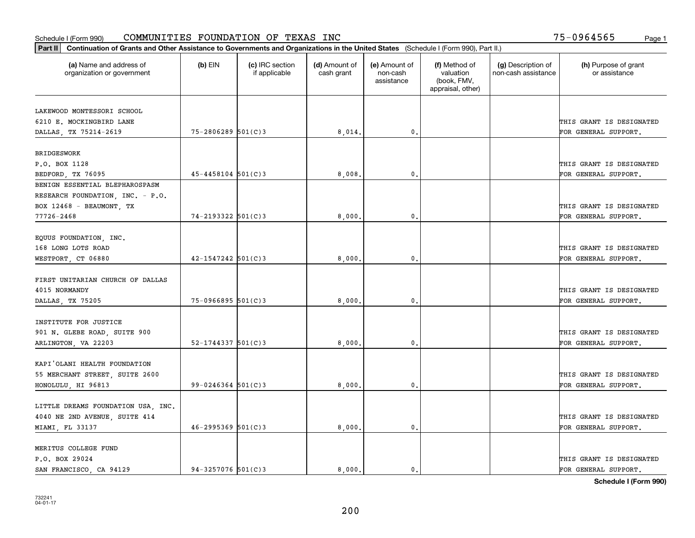| Part II   Continuation of Grants and Other Assistance to Governments and Organizations in the United States (Schedule I (Form 990), Part II.) |                          |                                  |                             |                                         |                                                                |                                           |                                       |  |  |  |
|-----------------------------------------------------------------------------------------------------------------------------------------------|--------------------------|----------------------------------|-----------------------------|-----------------------------------------|----------------------------------------------------------------|-------------------------------------------|---------------------------------------|--|--|--|
| (a) Name and address of<br>organization or government                                                                                         | $(b)$ EIN                | (c) IRC section<br>if applicable | (d) Amount of<br>cash grant | (e) Amount of<br>non-cash<br>assistance | (f) Method of<br>valuation<br>(book, FMV,<br>appraisal, other) | (g) Description of<br>non-cash assistance | (h) Purpose of grant<br>or assistance |  |  |  |
| LAKEWOOD MONTESSORI SCHOOL                                                                                                                    |                          |                                  |                             |                                         |                                                                |                                           |                                       |  |  |  |
| 6210 E. MOCKINGBIRD LANE                                                                                                                      |                          |                                  |                             |                                         |                                                                |                                           | THIS GRANT IS DESIGNATED              |  |  |  |
| DALLAS, TX 75214-2619                                                                                                                         | 75-2806289 501(C)3       |                                  | 8,014.                      | $\mathbf{0}$ .                          |                                                                |                                           | FOR GENERAL SUPPORT.                  |  |  |  |
|                                                                                                                                               |                          |                                  |                             |                                         |                                                                |                                           |                                       |  |  |  |
| <b>BRIDGESWORK</b>                                                                                                                            |                          |                                  |                             |                                         |                                                                |                                           |                                       |  |  |  |
| P.O. BOX 1128                                                                                                                                 |                          |                                  |                             |                                         |                                                                |                                           | THIS GRANT IS DESIGNATED              |  |  |  |
| BEDFORD, TX 76095                                                                                                                             | $45 - 4458104$ 501(C)3   |                                  | 8.008                       | $\mathbf{0}$                            |                                                                |                                           | FOR GENERAL SUPPORT.                  |  |  |  |
| BENIGN ESSENTIAL BLEPHAROSPASM                                                                                                                |                          |                                  |                             |                                         |                                                                |                                           |                                       |  |  |  |
| RESEARCH FOUNDATION, INC. - P.O.                                                                                                              |                          |                                  |                             |                                         |                                                                |                                           |                                       |  |  |  |
| BOX 12468 - BEAUMONT, TX                                                                                                                      |                          |                                  |                             |                                         |                                                                |                                           | THIS GRANT IS DESIGNATED              |  |  |  |
| 77726-2468                                                                                                                                    | $74 - 2193322$ 501(C)3   |                                  | 8,000                       | $\mathbf{0}$ .                          |                                                                |                                           | FOR GENERAL SUPPORT.                  |  |  |  |
|                                                                                                                                               |                          |                                  |                             |                                         |                                                                |                                           |                                       |  |  |  |
| EQUUS FOUNDATION, INC.                                                                                                                        |                          |                                  |                             |                                         |                                                                |                                           |                                       |  |  |  |
| 168 LONG LOTS ROAD                                                                                                                            |                          |                                  |                             |                                         |                                                                |                                           | THIS GRANT IS DESIGNATED              |  |  |  |
| WESTPORT, CT 06880                                                                                                                            | $42 - 1547242$ 501(C)3   |                                  | 8,000                       | $\mathbf{0}$                            |                                                                |                                           | FOR GENERAL SUPPORT.                  |  |  |  |
| FIRST UNITARIAN CHURCH OF DALLAS<br>4015 NORMANDY                                                                                             |                          |                                  |                             |                                         |                                                                |                                           | THIS GRANT IS DESIGNATED              |  |  |  |
| DALLAS, TX 75205                                                                                                                              | $75 - 0966895$ 501(C)3   |                                  | 8,000                       | $\mathbf{0}$                            |                                                                |                                           | FOR GENERAL SUPPORT.                  |  |  |  |
|                                                                                                                                               |                          |                                  |                             |                                         |                                                                |                                           |                                       |  |  |  |
| INSTITUTE FOR JUSTICE                                                                                                                         |                          |                                  |                             |                                         |                                                                |                                           |                                       |  |  |  |
| 901 N. GLEBE ROAD, SUITE 900                                                                                                                  |                          |                                  |                             |                                         |                                                                |                                           | THIS GRANT IS DESIGNATED              |  |  |  |
| ARLINGTON, VA 22203                                                                                                                           | $52 - 1744337$ $501(C)3$ |                                  | 8,000                       | $\mathbf{0}$                            |                                                                |                                           | FOR GENERAL SUPPORT.                  |  |  |  |
|                                                                                                                                               |                          |                                  |                             |                                         |                                                                |                                           |                                       |  |  |  |
| KAPI'OLANI HEALTH FOUNDATION                                                                                                                  |                          |                                  |                             |                                         |                                                                |                                           |                                       |  |  |  |
| 55 MERCHANT STREET, SUITE 2600                                                                                                                |                          |                                  |                             |                                         |                                                                |                                           | THIS GRANT IS DESIGNATED              |  |  |  |
| HONOLULU, HI 96813                                                                                                                            | $99 - 0246364$ 501(C)3   |                                  | 8,000                       | $^{\rm 0}$ .                            |                                                                |                                           | FOR GENERAL SUPPORT.                  |  |  |  |
|                                                                                                                                               |                          |                                  |                             |                                         |                                                                |                                           |                                       |  |  |  |
| LITTLE DREAMS FOUNDATION USA, INC.                                                                                                            |                          |                                  |                             |                                         |                                                                |                                           |                                       |  |  |  |
| 4040 NE 2ND AVENUE, SUITE 414                                                                                                                 |                          |                                  |                             |                                         |                                                                |                                           | THIS GRANT IS DESIGNATED              |  |  |  |
| MIAMI, FL 33137                                                                                                                               | $46 - 2995369$ 501(C)3   |                                  | 8,000,                      | $\mathfrak{o}$ .                        |                                                                |                                           | FOR GENERAL SUPPORT.                  |  |  |  |
|                                                                                                                                               |                          |                                  |                             |                                         |                                                                |                                           |                                       |  |  |  |
| MERITUS COLLEGE FUND                                                                                                                          |                          |                                  |                             |                                         |                                                                |                                           |                                       |  |  |  |
| P.O. BOX 29024                                                                                                                                |                          |                                  |                             |                                         |                                                                |                                           | THIS GRANT IS DESIGNATED              |  |  |  |
| SAN FRANCISCO, CA 94129                                                                                                                       | $94 - 3257076$ 501(C)3   |                                  | 8.000.                      | $\mathfrak{o}$ .                        |                                                                |                                           | FOR GENERAL SUPPORT.                  |  |  |  |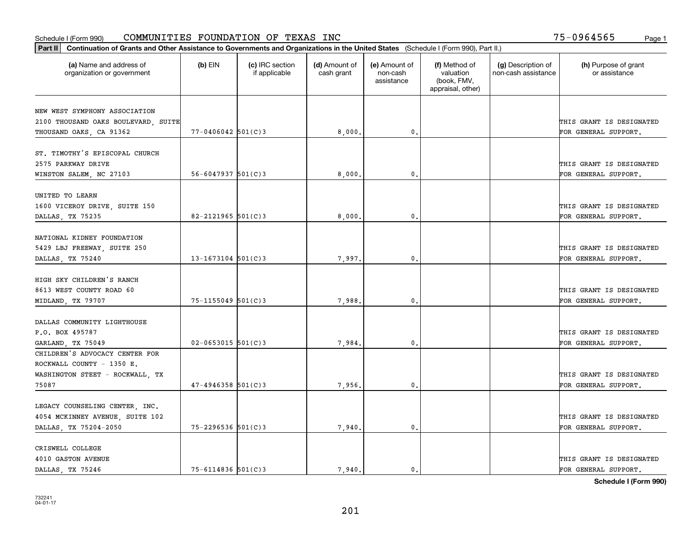#### Schedule I (Form 990) Page 1 COMMUNITIES FOUNDATION OF TEXAS INC 75-0964565

|                                                                      | Part II   Continuation of Grants and Other Assistance to Governments and Organizations in the United States (Schedule I (Form 990), Part II.) |                                  |                             |                                         |                                                                |                                           |                                       |  |  |  |  |
|----------------------------------------------------------------------|-----------------------------------------------------------------------------------------------------------------------------------------------|----------------------------------|-----------------------------|-----------------------------------------|----------------------------------------------------------------|-------------------------------------------|---------------------------------------|--|--|--|--|
| (a) Name and address of<br>organization or government                | $(b)$ EIN                                                                                                                                     | (c) IRC section<br>if applicable | (d) Amount of<br>cash grant | (e) Amount of<br>non-cash<br>assistance | (f) Method of<br>valuation<br>(book, FMV,<br>appraisal, other) | (g) Description of<br>non-cash assistance | (h) Purpose of grant<br>or assistance |  |  |  |  |
|                                                                      |                                                                                                                                               |                                  |                             |                                         |                                                                |                                           |                                       |  |  |  |  |
| NEW WEST SYMPHONY ASSOCIATION<br>2100 THOUSAND OAKS BOULEVARD, SUITE |                                                                                                                                               |                                  |                             |                                         |                                                                |                                           | THIS GRANT IS DESIGNATED              |  |  |  |  |
| THOUSAND OAKS, CA 91362                                              | $77 - 0406042$ 501(C)3                                                                                                                        |                                  | 8,000.                      | $\mathfrak{o}$ .                        |                                                                |                                           | FOR GENERAL SUPPORT.                  |  |  |  |  |
|                                                                      |                                                                                                                                               |                                  |                             |                                         |                                                                |                                           |                                       |  |  |  |  |
| ST. TIMOTHY'S EPISCOPAL CHURCH                                       |                                                                                                                                               |                                  |                             |                                         |                                                                |                                           |                                       |  |  |  |  |
| 2575 PARKWAY DRIVE                                                   |                                                                                                                                               |                                  |                             |                                         |                                                                |                                           | THIS GRANT IS DESIGNATED              |  |  |  |  |
| WINSTON SALEM, NC 27103                                              | $56 - 6047937$ $501(C)3$                                                                                                                      |                                  | 8,000                       | 0.                                      |                                                                |                                           | FOR GENERAL SUPPORT.                  |  |  |  |  |
|                                                                      |                                                                                                                                               |                                  |                             |                                         |                                                                |                                           |                                       |  |  |  |  |
| UNITED TO LEARN                                                      |                                                                                                                                               |                                  |                             |                                         |                                                                |                                           |                                       |  |  |  |  |
| 1600 VICEROY DRIVE, SUITE 150                                        |                                                                                                                                               |                                  |                             |                                         |                                                                |                                           | THIS GRANT IS DESIGNATED              |  |  |  |  |
| DALLAS, TX 75235                                                     | 82-2121965 $501(C)3$                                                                                                                          |                                  | 8,000                       | $\mathbf{0}$ .                          |                                                                |                                           | FOR GENERAL SUPPORT.                  |  |  |  |  |
|                                                                      |                                                                                                                                               |                                  |                             |                                         |                                                                |                                           |                                       |  |  |  |  |
| NATIONAL KIDNEY FOUNDATION                                           |                                                                                                                                               |                                  |                             |                                         |                                                                |                                           |                                       |  |  |  |  |
| 5429 LBJ FREEWAY, SUITE 250                                          |                                                                                                                                               |                                  |                             |                                         |                                                                |                                           | THIS GRANT IS DESIGNATED              |  |  |  |  |
| DALLAS, TX 75240                                                     | $13 - 1673104$ 501(C)3                                                                                                                        |                                  | 7,997.                      | 0.                                      |                                                                |                                           | FOR GENERAL SUPPORT.                  |  |  |  |  |
|                                                                      |                                                                                                                                               |                                  |                             |                                         |                                                                |                                           |                                       |  |  |  |  |
| HIGH SKY CHILDREN'S RANCH                                            |                                                                                                                                               |                                  |                             |                                         |                                                                |                                           |                                       |  |  |  |  |
| 8613 WEST COUNTY ROAD 60                                             |                                                                                                                                               |                                  |                             |                                         |                                                                |                                           | THIS GRANT IS DESIGNATED              |  |  |  |  |
| MIDLAND, TX 79707                                                    | 75-1155049 501(C)3                                                                                                                            |                                  | 7,988.                      | 0.                                      |                                                                |                                           | FOR GENERAL SUPPORT.                  |  |  |  |  |
|                                                                      |                                                                                                                                               |                                  |                             |                                         |                                                                |                                           |                                       |  |  |  |  |
| DALLAS COMMUNITY LIGHTHOUSE                                          |                                                                                                                                               |                                  |                             |                                         |                                                                |                                           |                                       |  |  |  |  |
| P.O. BOX 495787                                                      |                                                                                                                                               |                                  |                             |                                         |                                                                |                                           | THIS GRANT IS DESIGNATED              |  |  |  |  |
| GARLAND, TX 75049                                                    | $02 - 0653015$ 501(C)3                                                                                                                        |                                  | 7.984                       | 0.                                      |                                                                |                                           | FOR GENERAL SUPPORT.                  |  |  |  |  |
| CHILDREN'S ADVOCACY CENTER FOR                                       |                                                                                                                                               |                                  |                             |                                         |                                                                |                                           |                                       |  |  |  |  |
| ROCKWALL COUNTY - 1350 E.                                            |                                                                                                                                               |                                  |                             |                                         |                                                                |                                           |                                       |  |  |  |  |
| WASHINGTON STEET - ROCKWALL, TX                                      |                                                                                                                                               |                                  |                             |                                         |                                                                |                                           | THIS GRANT IS DESIGNATED              |  |  |  |  |
| 75087                                                                | $47 - 4946358$ 501(C)3                                                                                                                        |                                  | 7,956,                      | $\mathbf{0}$ .                          |                                                                |                                           | FOR GENERAL SUPPORT.                  |  |  |  |  |
|                                                                      |                                                                                                                                               |                                  |                             |                                         |                                                                |                                           |                                       |  |  |  |  |
| LEGACY COUNSELING CENTER, INC.                                       |                                                                                                                                               |                                  |                             |                                         |                                                                |                                           |                                       |  |  |  |  |
| 4054 MCKINNEY AVENUE, SUITE 102                                      |                                                                                                                                               |                                  |                             |                                         |                                                                |                                           | THIS GRANT IS DESIGNATED              |  |  |  |  |
| DALLAS, TX 75204-2050                                                | 75-2296536 501(C)3                                                                                                                            |                                  | 7,940.                      | 0.                                      |                                                                |                                           | FOR GENERAL SUPPORT.                  |  |  |  |  |
| CRISWELL COLLEGE                                                     |                                                                                                                                               |                                  |                             |                                         |                                                                |                                           |                                       |  |  |  |  |
| 4010 GASTON AVENUE                                                   |                                                                                                                                               |                                  |                             |                                         |                                                                |                                           | THIS GRANT IS DESIGNATED              |  |  |  |  |
| DALLAS, TX 75246                                                     | $75 - 6114836$ 501(C)3                                                                                                                        |                                  | 7.940.                      | $\mathbf{0}$ .                          |                                                                |                                           | FOR GENERAL SUPPORT.                  |  |  |  |  |
|                                                                      |                                                                                                                                               |                                  |                             |                                         |                                                                |                                           |                                       |  |  |  |  |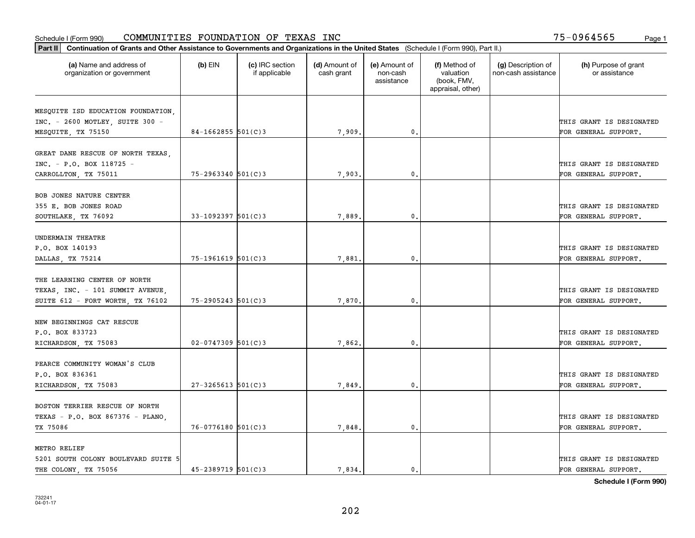| Part II   Continuation of Grants and Other Assistance to Governments and Organizations in the United States (Schedule I (Form 990), Part II.) |                        |                                  |                             |                                         |                                                                |                                           |                                       |
|-----------------------------------------------------------------------------------------------------------------------------------------------|------------------------|----------------------------------|-----------------------------|-----------------------------------------|----------------------------------------------------------------|-------------------------------------------|---------------------------------------|
| (a) Name and address of<br>organization or government                                                                                         | $(b)$ EIN              | (c) IRC section<br>if applicable | (d) Amount of<br>cash grant | (e) Amount of<br>non-cash<br>assistance | (f) Method of<br>valuation<br>(book, FMV,<br>appraisal, other) | (g) Description of<br>non-cash assistance | (h) Purpose of grant<br>or assistance |
|                                                                                                                                               |                        |                                  |                             |                                         |                                                                |                                           |                                       |
| MESQUITE ISD EDUCATION FOUNDATION,<br>INC. - 2600 MOTLEY, SUITE 300 -                                                                         |                        |                                  |                             |                                         |                                                                |                                           | THIS GRANT IS DESIGNATED              |
| MESQUITE, TX 75150                                                                                                                            | 84-1662855 $501(C)3$   |                                  | 7,909.                      | $\mathbf{0}$ .                          |                                                                |                                           | FOR GENERAL SUPPORT.                  |
|                                                                                                                                               |                        |                                  |                             |                                         |                                                                |                                           |                                       |
| GREAT DANE RESCUE OF NORTH TEXAS,                                                                                                             |                        |                                  |                             |                                         |                                                                |                                           |                                       |
| INC. - P.O. BOX 118725 -                                                                                                                      |                        |                                  |                             |                                         |                                                                |                                           | THIS GRANT IS DESIGNATED              |
| CARROLLTON, TX 75011                                                                                                                          | 75-2963340 501(C)3     |                                  | 7,903                       | 0.                                      |                                                                |                                           | FOR GENERAL SUPPORT.                  |
|                                                                                                                                               |                        |                                  |                             |                                         |                                                                |                                           |                                       |
| BOB JONES NATURE CENTER                                                                                                                       |                        |                                  |                             |                                         |                                                                |                                           |                                       |
| 355 E. BOB JONES ROAD                                                                                                                         |                        |                                  |                             |                                         |                                                                |                                           | THIS GRANT IS DESIGNATED              |
| SOUTHLAKE, TX 76092                                                                                                                           | $33-1092397$ 501(C)3   |                                  | 7,889                       | $\mathbf{0}$ .                          |                                                                |                                           | FOR GENERAL SUPPORT.                  |
|                                                                                                                                               |                        |                                  |                             |                                         |                                                                |                                           |                                       |
| UNDERMAIN THEATRE                                                                                                                             |                        |                                  |                             |                                         |                                                                |                                           |                                       |
| P.O. BOX 140193                                                                                                                               |                        |                                  |                             |                                         |                                                                |                                           | THIS GRANT IS DESIGNATED              |
| DALLAS, TX 75214                                                                                                                              | 75-1961619 501(C)3     |                                  | 7,881                       | 0.                                      |                                                                |                                           | FOR GENERAL SUPPORT.                  |
| THE LEARNING CENTER OF NORTH                                                                                                                  |                        |                                  |                             |                                         |                                                                |                                           |                                       |
| TEXAS, INC. - 101 SUMMIT AVENUE,                                                                                                              |                        |                                  |                             |                                         |                                                                |                                           | THIS GRANT IS DESIGNATED              |
| SUITE 612 - FORT WORTH, TX 76102                                                                                                              | $75 - 2905243$ 501(C)3 |                                  | 7,870                       | 0.                                      |                                                                |                                           | FOR GENERAL SUPPORT.                  |
|                                                                                                                                               |                        |                                  |                             |                                         |                                                                |                                           |                                       |
| NEW BEGINNINGS CAT RESCUE                                                                                                                     |                        |                                  |                             |                                         |                                                                |                                           |                                       |
| P.O. BOX 833723                                                                                                                               |                        |                                  |                             |                                         |                                                                |                                           | THIS GRANT IS DESIGNATED              |
| RICHARDSON, TX 75083                                                                                                                          | $02 - 0747309$ 501(C)3 |                                  | 7,862,                      | 0.                                      |                                                                |                                           | FOR GENERAL SUPPORT.                  |
|                                                                                                                                               |                        |                                  |                             |                                         |                                                                |                                           |                                       |
| PEARCE COMMUNITY WOMAN'S CLUB                                                                                                                 |                        |                                  |                             |                                         |                                                                |                                           |                                       |
| P.O. BOX 836361                                                                                                                               |                        |                                  |                             |                                         |                                                                |                                           | THIS GRANT IS DESIGNATED              |
| RICHARDSON, TX 75083                                                                                                                          | $27 - 3265613$ 501(C)3 |                                  | 7,849                       | $\mathbf{0}$ .                          |                                                                |                                           | FOR GENERAL SUPPORT.                  |
|                                                                                                                                               |                        |                                  |                             |                                         |                                                                |                                           |                                       |
| BOSTON TERRIER RESCUE OF NORTH                                                                                                                |                        |                                  |                             |                                         |                                                                |                                           |                                       |
| TEXAS - P.O. BOX 867376 - PLANO,                                                                                                              |                        |                                  |                             |                                         |                                                                |                                           | THIS GRANT IS DESIGNATED              |
| TX 75086                                                                                                                                      | 76-0776180 501(C)3     |                                  | 7,848.                      | 0.                                      |                                                                |                                           | FOR GENERAL SUPPORT.                  |
| METRO RELIEF                                                                                                                                  |                        |                                  |                             |                                         |                                                                |                                           |                                       |
| 5201 SOUTH COLONY BOULEVARD SUITE 5                                                                                                           |                        |                                  |                             |                                         |                                                                |                                           | THIS GRANT IS DESIGNATED              |
| THE COLONY TX 75056                                                                                                                           | 45-2389719 501(C)3     |                                  | 7.834.                      | $\mathbf{0}$ .                          |                                                                |                                           | FOR GENERAL SUPPORT.                  |
|                                                                                                                                               |                        |                                  |                             |                                         |                                                                |                                           |                                       |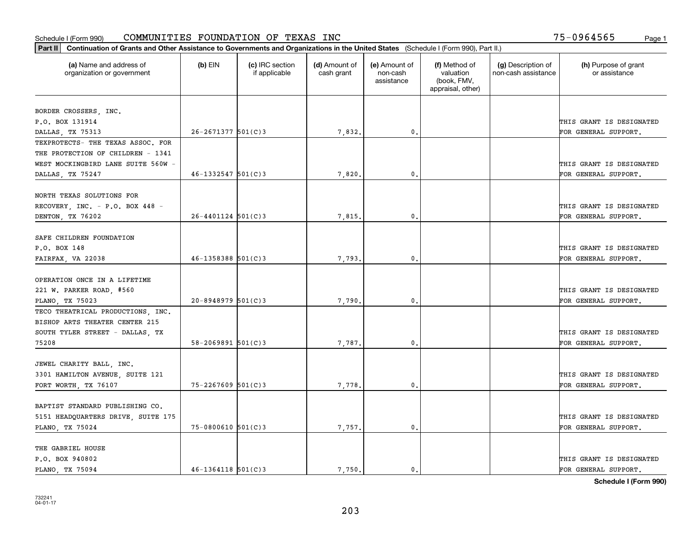| Part II   Continuation of Grants and Other Assistance to Governments and Organizations in the United States (Schedule I (Form 990), Part II.) |                          |                                  |                             |                                         |                                                                |                                           |                                       |  |  |  |
|-----------------------------------------------------------------------------------------------------------------------------------------------|--------------------------|----------------------------------|-----------------------------|-----------------------------------------|----------------------------------------------------------------|-------------------------------------------|---------------------------------------|--|--|--|
| (a) Name and address of<br>organization or government                                                                                         | $(b)$ EIN                | (c) IRC section<br>if applicable | (d) Amount of<br>cash grant | (e) Amount of<br>non-cash<br>assistance | (f) Method of<br>valuation<br>(book, FMV,<br>appraisal, other) | (g) Description of<br>non-cash assistance | (h) Purpose of grant<br>or assistance |  |  |  |
|                                                                                                                                               |                          |                                  |                             |                                         |                                                                |                                           |                                       |  |  |  |
| BORDER CROSSERS, INC.                                                                                                                         |                          |                                  |                             |                                         |                                                                |                                           | THIS GRANT IS DESIGNATED              |  |  |  |
| P.O. BOX 131914<br>DALLAS, TX 75313                                                                                                           | $26 - 2671377$ 501(C)3   |                                  | 7,832.                      | 0.                                      |                                                                |                                           | FOR GENERAL SUPPORT.                  |  |  |  |
| TEXPROTECTS- THE TEXAS ASSOC. FOR                                                                                                             |                          |                                  |                             |                                         |                                                                |                                           |                                       |  |  |  |
| THE PROTECTION OF CHILDREN - 1341                                                                                                             |                          |                                  |                             |                                         |                                                                |                                           |                                       |  |  |  |
| WEST MOCKINGBIRD LANE SUITE 560W -                                                                                                            |                          |                                  |                             |                                         |                                                                |                                           | THIS GRANT IS DESIGNATED              |  |  |  |
| DALLAS, TX 75247                                                                                                                              | $46 - 1332547$ 501(C)3   |                                  | 7,820.                      | 0.                                      |                                                                |                                           | FOR GENERAL SUPPORT.                  |  |  |  |
|                                                                                                                                               |                          |                                  |                             |                                         |                                                                |                                           |                                       |  |  |  |
| NORTH TEXAS SOLUTIONS FOR                                                                                                                     |                          |                                  |                             |                                         |                                                                |                                           |                                       |  |  |  |
| RECOVERY, INC. - P.O. BOX 448 -                                                                                                               |                          |                                  |                             |                                         |                                                                |                                           | THIS GRANT IS DESIGNATED              |  |  |  |
| DENTON, TX 76202                                                                                                                              | $26 - 4401124$ 501(C)3   |                                  | 7,815,                      | $\mathbf{0}$ .                          |                                                                |                                           | FOR GENERAL SUPPORT.                  |  |  |  |
|                                                                                                                                               |                          |                                  |                             |                                         |                                                                |                                           |                                       |  |  |  |
| SAFE CHILDREN FOUNDATION                                                                                                                      |                          |                                  |                             |                                         |                                                                |                                           |                                       |  |  |  |
| P.O. BOX 148                                                                                                                                  |                          |                                  |                             |                                         |                                                                |                                           | THIS GRANT IS DESIGNATED              |  |  |  |
| FAIRFAX, VA 22038                                                                                                                             | $46 - 1358388$ 501(C)3   |                                  | 7,793.                      | $\mathbf{0}$                            |                                                                |                                           | FOR GENERAL SUPPORT.                  |  |  |  |
|                                                                                                                                               |                          |                                  |                             |                                         |                                                                |                                           |                                       |  |  |  |
| OPERATION ONCE IN A LIFETIME                                                                                                                  |                          |                                  |                             |                                         |                                                                |                                           |                                       |  |  |  |
| 221 W. PARKER ROAD, #560                                                                                                                      |                          |                                  |                             |                                         |                                                                |                                           | THIS GRANT IS DESIGNATED              |  |  |  |
| PLANO, TX 75023                                                                                                                               | $20 - 8948979$ 501(C)3   |                                  | 7,790                       | $\mathbf{0}$                            |                                                                |                                           | FOR GENERAL SUPPORT.                  |  |  |  |
| TECO THEATRICAL PRODUCTIONS, INC.                                                                                                             |                          |                                  |                             |                                         |                                                                |                                           |                                       |  |  |  |
| BISHOP ARTS THEATER CENTER 215                                                                                                                |                          |                                  |                             |                                         |                                                                |                                           |                                       |  |  |  |
| SOUTH TYLER STREET - DALLAS, TX                                                                                                               |                          |                                  |                             |                                         |                                                                |                                           | THIS GRANT IS DESIGNATED              |  |  |  |
| 75208                                                                                                                                         | $58 - 2069891$ $501(C)3$ |                                  | 7,787.                      | $\mathbf{0}$                            |                                                                |                                           | FOR GENERAL SUPPORT.                  |  |  |  |
|                                                                                                                                               |                          |                                  |                             |                                         |                                                                |                                           |                                       |  |  |  |
| JEWEL CHARITY BALL, INC.                                                                                                                      |                          |                                  |                             |                                         |                                                                |                                           |                                       |  |  |  |
| 3301 HAMILTON AVENUE, SUITE 121                                                                                                               |                          |                                  |                             |                                         |                                                                |                                           | THIS GRANT IS DESIGNATED              |  |  |  |
| FORT WORTH, TX 76107                                                                                                                          | 75-2267609 501(C)3       |                                  | 7,778.                      | $^{\rm 0}$ .                            |                                                                |                                           | FOR GENERAL SUPPORT.                  |  |  |  |
|                                                                                                                                               |                          |                                  |                             |                                         |                                                                |                                           |                                       |  |  |  |
| BAPTIST STANDARD PUBLISHING CO.<br>5151 HEADQUARTERS DRIVE, SUITE 175                                                                         |                          |                                  |                             |                                         |                                                                |                                           | THIS GRANT IS DESIGNATED              |  |  |  |
|                                                                                                                                               | $75 - 0800610$ 501(C)3   |                                  |                             | $\mathfrak{o}$ .                        |                                                                |                                           | FOR GENERAL SUPPORT.                  |  |  |  |
| PLANO, TX 75024                                                                                                                               |                          |                                  | 7,757.                      |                                         |                                                                |                                           |                                       |  |  |  |
| THE GABRIEL HOUSE                                                                                                                             |                          |                                  |                             |                                         |                                                                |                                           |                                       |  |  |  |
| P.O. BOX 940802                                                                                                                               |                          |                                  |                             |                                         |                                                                |                                           | THIS GRANT IS DESIGNATED              |  |  |  |
| PLANO, TX 75094                                                                                                                               | $46 - 1364118$ 501(C)3   |                                  | 7.750.                      | $\mathbf{0}$ .                          |                                                                |                                           | FOR GENERAL SUPPORT.                  |  |  |  |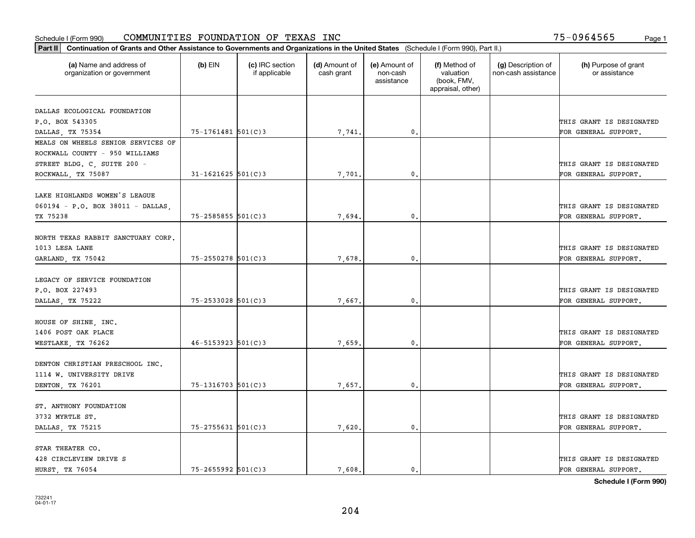| (a) Name and address of<br>organization or government | $(b)$ EIN                | (c) IRC section<br>if applicable | (d) Amount of<br>cash grant | (e) Amount of<br>non-cash<br>assistance | (f) Method of<br>valuation<br>(book, FMV,<br>appraisal, other) | (g) Description of<br>non-cash assistance | (h) Purpose of grant<br>or assistance            |
|-------------------------------------------------------|--------------------------|----------------------------------|-----------------------------|-----------------------------------------|----------------------------------------------------------------|-------------------------------------------|--------------------------------------------------|
| DALLAS ECOLOGICAL FOUNDATION                          |                          |                                  |                             |                                         |                                                                |                                           |                                                  |
| P.O. BOX 543305                                       |                          |                                  |                             |                                         |                                                                |                                           | THIS GRANT IS DESIGNATED                         |
| DALLAS, TX 75354                                      | 75-1761481 501(C)3       |                                  | 7,741.                      | $\mathfrak{o}$ .                        |                                                                |                                           | FOR GENERAL SUPPORT.                             |
| MEALS ON WHEELS SENIOR SERVICES OF                    |                          |                                  |                             |                                         |                                                                |                                           |                                                  |
| ROCKWALL COUNTY - 950 WILLIAMS                        |                          |                                  |                             |                                         |                                                                |                                           |                                                  |
| STREET BLDG. C, SUITE 200 -                           |                          |                                  |                             |                                         |                                                                |                                           | THIS GRANT IS DESIGNATED                         |
| ROCKWALL, TX 75087                                    | $31 - 1621625$ 501(C)3   |                                  | 7,701                       | 0.                                      |                                                                |                                           | FOR GENERAL SUPPORT.                             |
|                                                       |                          |                                  |                             |                                         |                                                                |                                           |                                                  |
| LAKE HIGHLANDS WOMEN'S LEAGUE                         |                          |                                  |                             |                                         |                                                                |                                           |                                                  |
| 060194 - P.O. BOX 38011 - DALLAS,                     |                          |                                  |                             | 0.                                      |                                                                |                                           | THIS GRANT IS DESIGNATED<br>FOR GENERAL SUPPORT. |
| TX 75238                                              | $75 - 2585855$ $501(C)3$ |                                  | 7,694.                      |                                         |                                                                |                                           |                                                  |
| NORTH TEXAS RABBIT SANCTUARY CORP.                    |                          |                                  |                             |                                         |                                                                |                                           |                                                  |
| 1013 LESA LANE                                        |                          |                                  |                             |                                         |                                                                |                                           | THIS GRANT IS DESIGNATED                         |
| GARLAND, TX 75042                                     | $75 - 2550278$ 501(C)3   |                                  | 7,678.                      | 0.                                      |                                                                |                                           | FOR GENERAL SUPPORT.                             |
|                                                       |                          |                                  |                             |                                         |                                                                |                                           |                                                  |
| LEGACY OF SERVICE FOUNDATION                          |                          |                                  |                             |                                         |                                                                |                                           |                                                  |
| P.O. BOX 227493                                       |                          |                                  |                             |                                         |                                                                |                                           | THIS GRANT IS DESIGNATED                         |
| DALLAS, TX 75222                                      | $75 - 2533028$ 501(C)3   |                                  | 7,667.                      | 0.                                      |                                                                |                                           | FOR GENERAL SUPPORT.                             |
| HOUSE OF SHINE, INC.                                  |                          |                                  |                             |                                         |                                                                |                                           |                                                  |
| 1406 POST OAK PLACE                                   |                          |                                  |                             |                                         |                                                                |                                           | THIS GRANT IS DESIGNATED                         |
| WESTLAKE, TX 76262                                    | $46 - 5153923$ $501(C)3$ |                                  | 7,659.                      | 0.                                      |                                                                |                                           | FOR GENERAL SUPPORT.                             |
|                                                       |                          |                                  |                             |                                         |                                                                |                                           |                                                  |
| DENTON CHRISTIAN PRESCHOOL INC.                       |                          |                                  |                             |                                         |                                                                |                                           |                                                  |
| 1114 W. UNIVERSITY DRIVE                              |                          |                                  |                             |                                         |                                                                |                                           | THIS GRANT IS DESIGNATED                         |
| DENTON, TX 76201                                      | $75 - 1316703$ 501(C)3   |                                  | 7,657.                      | $\mathfrak{o}$ .                        |                                                                |                                           | FOR GENERAL SUPPORT.                             |
| ST. ANTHONY FOUNDATION                                |                          |                                  |                             |                                         |                                                                |                                           |                                                  |
| 3732 MYRTLE ST.                                       |                          |                                  |                             |                                         |                                                                |                                           | THIS GRANT IS DESIGNATED                         |
| DALLAS, TX 75215                                      | $75 - 2755631$ 501(C)3   |                                  | 7,620                       | $\mathbf{0}$                            |                                                                |                                           | FOR GENERAL SUPPORT.                             |
|                                                       |                          |                                  |                             |                                         |                                                                |                                           |                                                  |
| STAR THEATER CO.                                      |                          |                                  |                             |                                         |                                                                |                                           |                                                  |
| 428 CIRCLEVIEW DRIVE S                                |                          |                                  |                             |                                         |                                                                |                                           | THIS GRANT IS DESIGNATED                         |
| HURST, TX 76054                                       | $75 - 2655992$ 501(C)3   |                                  | 7,608.                      | $\mathbf{0}$ .                          |                                                                |                                           | FOR GENERAL SUPPORT.                             |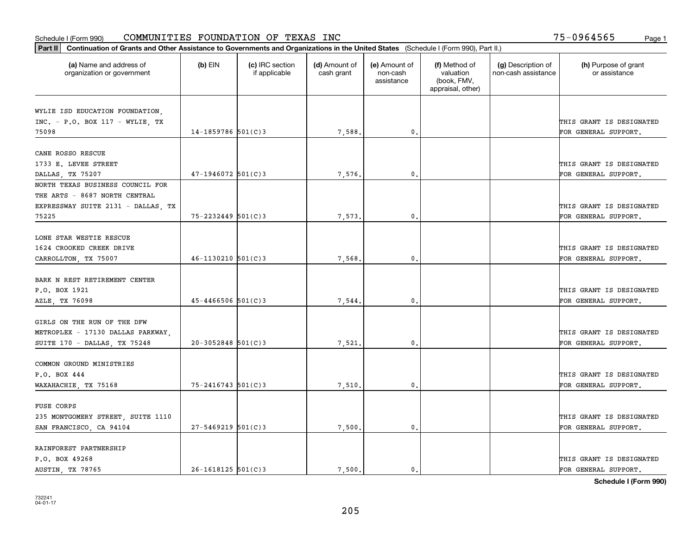| Part II   Continuation of Grants and Other Assistance to Governments and Organizations in the United States (Schedule I (Form 990), Part II.) |                        |                                  |                             |                                         |                                                                |                                           |                                       |  |  |  |
|-----------------------------------------------------------------------------------------------------------------------------------------------|------------------------|----------------------------------|-----------------------------|-----------------------------------------|----------------------------------------------------------------|-------------------------------------------|---------------------------------------|--|--|--|
| (a) Name and address of<br>organization or government                                                                                         | $(b)$ EIN              | (c) IRC section<br>if applicable | (d) Amount of<br>cash grant | (e) Amount of<br>non-cash<br>assistance | (f) Method of<br>valuation<br>(book, FMV,<br>appraisal, other) | (g) Description of<br>non-cash assistance | (h) Purpose of grant<br>or assistance |  |  |  |
|                                                                                                                                               |                        |                                  |                             |                                         |                                                                |                                           |                                       |  |  |  |
| WYLIE ISD EDUCATION FOUNDATION,                                                                                                               |                        |                                  |                             |                                         |                                                                |                                           |                                       |  |  |  |
| $INC. - P.O. BOX 117 - WYLIE TX$                                                                                                              |                        |                                  |                             |                                         |                                                                |                                           | THIS GRANT IS DESIGNATED              |  |  |  |
| 75098                                                                                                                                         | $14 - 1859786$ 501(C)3 |                                  | 7,588.                      | $\mathbf{0}$ .                          |                                                                |                                           | FOR GENERAL SUPPORT.                  |  |  |  |
| CANE ROSSO RESCUE                                                                                                                             |                        |                                  |                             |                                         |                                                                |                                           |                                       |  |  |  |
| 1733 E. LEVEE STREET                                                                                                                          |                        |                                  |                             |                                         |                                                                |                                           | THIS GRANT IS DESIGNATED              |  |  |  |
| DALLAS, TX 75207                                                                                                                              | $47 - 1946072$ 501(C)3 |                                  | 7,576,                      | 0.                                      |                                                                |                                           | FOR GENERAL SUPPORT.                  |  |  |  |
| NORTH TEXAS BUSINESS COUNCIL FOR                                                                                                              |                        |                                  |                             |                                         |                                                                |                                           |                                       |  |  |  |
| THE ARTS - 8687 NORTH CENTRAL                                                                                                                 |                        |                                  |                             |                                         |                                                                |                                           |                                       |  |  |  |
| EXPRESSWAY SUITE 2131 - DALLAS, TX                                                                                                            |                        |                                  |                             |                                         |                                                                |                                           | THIS GRANT IS DESIGNATED              |  |  |  |
| 75225                                                                                                                                         | $75 - 2232449$ 501(C)3 |                                  | 7,573.                      | $\mathfrak{o}$ .                        |                                                                |                                           | FOR GENERAL SUPPORT.                  |  |  |  |
|                                                                                                                                               |                        |                                  |                             |                                         |                                                                |                                           |                                       |  |  |  |
| LONE STAR WESTIE RESCUE                                                                                                                       |                        |                                  |                             |                                         |                                                                |                                           |                                       |  |  |  |
| 1624 CROOKED CREEK DRIVE                                                                                                                      |                        |                                  |                             |                                         |                                                                |                                           | THIS GRANT IS DESIGNATED              |  |  |  |
| CARROLLTON, TX 75007                                                                                                                          | $46 - 1130210$ 501(C)3 |                                  | 7,568.                      | 0.                                      |                                                                |                                           | FOR GENERAL SUPPORT.                  |  |  |  |
|                                                                                                                                               |                        |                                  |                             |                                         |                                                                |                                           |                                       |  |  |  |
| BARK N REST RETIREMENT CENTER                                                                                                                 |                        |                                  |                             |                                         |                                                                |                                           |                                       |  |  |  |
| P.O. BOX 1921                                                                                                                                 |                        |                                  |                             |                                         |                                                                |                                           | THIS GRANT IS DESIGNATED              |  |  |  |
| AZLE, TX 76098                                                                                                                                | $45 - 4466506$ 501(C)3 |                                  | 7,544.                      | 0.                                      |                                                                |                                           | FOR GENERAL SUPPORT.                  |  |  |  |
|                                                                                                                                               |                        |                                  |                             |                                         |                                                                |                                           |                                       |  |  |  |
| GIRLS ON THE RUN OF THE DFW                                                                                                                   |                        |                                  |                             |                                         |                                                                |                                           |                                       |  |  |  |
| METROPLEX - 17130 DALLAS PARKWAY,                                                                                                             |                        |                                  |                             |                                         |                                                                |                                           | THIS GRANT IS DESIGNATED              |  |  |  |
| SUITE 170 - DALLAS, TX 75248                                                                                                                  | $20 - 3052848$ 501(C)3 |                                  | 7,521                       | 0.                                      |                                                                |                                           | FOR GENERAL SUPPORT.                  |  |  |  |
|                                                                                                                                               |                        |                                  |                             |                                         |                                                                |                                           |                                       |  |  |  |
| COMMON GROUND MINISTRIES                                                                                                                      |                        |                                  |                             |                                         |                                                                |                                           |                                       |  |  |  |
| P.O. BOX 444                                                                                                                                  |                        |                                  |                             |                                         |                                                                |                                           | THIS GRANT IS DESIGNATED              |  |  |  |
| WAXAHACHIE, TX 75168                                                                                                                          | $75 - 2416743$ 501(C)3 |                                  | 7,510.                      | $\mathbf{0}$ .                          |                                                                |                                           | FOR GENERAL SUPPORT.                  |  |  |  |
| FUSE CORPS                                                                                                                                    |                        |                                  |                             |                                         |                                                                |                                           |                                       |  |  |  |
| 235 MONTGOMERY STREET, SUITE 1110                                                                                                             |                        |                                  |                             |                                         |                                                                |                                           | THIS GRANT IS DESIGNATED              |  |  |  |
| SAN FRANCISCO, CA 94104                                                                                                                       | $27 - 5469219$ 501(C)3 |                                  | 7,500.                      | 0.                                      |                                                                |                                           | FOR GENERAL SUPPORT.                  |  |  |  |
|                                                                                                                                               |                        |                                  |                             |                                         |                                                                |                                           |                                       |  |  |  |
| RAINFOREST PARTNERSHIP                                                                                                                        |                        |                                  |                             |                                         |                                                                |                                           |                                       |  |  |  |
| P.O. BOX 49268                                                                                                                                |                        |                                  |                             |                                         |                                                                |                                           | THIS GRANT IS DESIGNATED              |  |  |  |
| AUSTIN, TX 78765                                                                                                                              | $26 - 1618125$ 501(C)3 |                                  | 7,500.                      | $\mathbf{0}$ .                          |                                                                |                                           | FOR GENERAL SUPPORT.                  |  |  |  |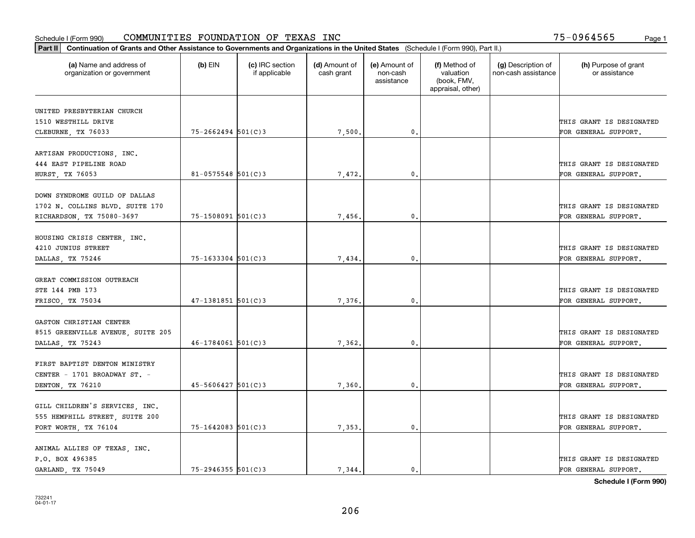| Part II   Continuation of Grants and Other Assistance to Governments and Organizations in the United States (Schedule I (Form 990), Part II.) |                        |                                  |                             |                                         |                                                                |                                           |                                       |
|-----------------------------------------------------------------------------------------------------------------------------------------------|------------------------|----------------------------------|-----------------------------|-----------------------------------------|----------------------------------------------------------------|-------------------------------------------|---------------------------------------|
| (a) Name and address of<br>organization or government                                                                                         | $(b)$ EIN              | (c) IRC section<br>if applicable | (d) Amount of<br>cash grant | (e) Amount of<br>non-cash<br>assistance | (f) Method of<br>valuation<br>(book, FMV,<br>appraisal, other) | (g) Description of<br>non-cash assistance | (h) Purpose of grant<br>or assistance |
| UNITED PRESBYTERIAN CHURCH                                                                                                                    |                        |                                  |                             |                                         |                                                                |                                           |                                       |
| 1510 WESTHILL DRIVE                                                                                                                           |                        |                                  |                             |                                         |                                                                |                                           | THIS GRANT IS DESIGNATED              |
| CLEBURNE, TX 76033                                                                                                                            | $75 - 2662494$ 501(C)3 |                                  | 7,500.                      | $\mathfrak o$ .                         |                                                                |                                           | FOR GENERAL SUPPORT.                  |
|                                                                                                                                               |                        |                                  |                             |                                         |                                                                |                                           |                                       |
| ARTISAN PRODUCTIONS, INC.                                                                                                                     |                        |                                  |                             |                                         |                                                                |                                           |                                       |
| 444 EAST PIPELINE ROAD                                                                                                                        |                        |                                  |                             |                                         |                                                                |                                           | THIS GRANT IS DESIGNATED              |
| <b>HURST, TX 76053</b>                                                                                                                        | $81 - 0575548$ 501(C)3 |                                  | 7,472.                      | 0.                                      |                                                                |                                           | FOR GENERAL SUPPORT.                  |
|                                                                                                                                               |                        |                                  |                             |                                         |                                                                |                                           |                                       |
| DOWN SYNDROME GUILD OF DALLAS                                                                                                                 |                        |                                  |                             |                                         |                                                                |                                           |                                       |
| 1702 N. COLLINS BLVD. SUITE 170                                                                                                               |                        |                                  |                             |                                         |                                                                |                                           | THIS GRANT IS DESIGNATED              |
| RICHARDSON, TX 75080-3697                                                                                                                     | $75 - 1508091$ 501(C)3 |                                  | 7,456,                      | $\mathbf{0}$ .                          |                                                                |                                           | FOR GENERAL SUPPORT.                  |
| HOUSING CRISIS CENTER, INC.                                                                                                                   |                        |                                  |                             |                                         |                                                                |                                           |                                       |
| 4210 JUNIUS STREET                                                                                                                            |                        |                                  |                             |                                         |                                                                |                                           | THIS GRANT IS DESIGNATED              |
| DALLAS, TX 75246                                                                                                                              | $75 - 1633304$ 501(C)3 |                                  | 7,434.                      | $\mathbf{0}$                            |                                                                |                                           | FOR GENERAL SUPPORT.                  |
|                                                                                                                                               |                        |                                  |                             |                                         |                                                                |                                           |                                       |
| GREAT COMMISSION OUTREACH                                                                                                                     |                        |                                  |                             |                                         |                                                                |                                           |                                       |
| STE 144 PMB 173                                                                                                                               |                        |                                  |                             |                                         |                                                                |                                           | THIS GRANT IS DESIGNATED              |
| FRISCO, TX 75034                                                                                                                              | $47 - 1381851$ 501(C)3 |                                  | 7,376,                      | $\mathbf{0}$                            |                                                                |                                           | FOR GENERAL SUPPORT.                  |
|                                                                                                                                               |                        |                                  |                             |                                         |                                                                |                                           |                                       |
| GASTON CHRISTIAN CENTER                                                                                                                       |                        |                                  |                             |                                         |                                                                |                                           |                                       |
| 8515 GREENVILLE AVENUE, SUITE 205                                                                                                             |                        |                                  |                             |                                         |                                                                |                                           | THIS GRANT IS DESIGNATED              |
| DALLAS, TX 75243                                                                                                                              | $46 - 1784061$ 501(C)3 |                                  | 7,362.                      | $\mathbf{0}$ .                          |                                                                |                                           | FOR GENERAL SUPPORT.                  |
|                                                                                                                                               |                        |                                  |                             |                                         |                                                                |                                           |                                       |
| FIRST BAPTIST DENTON MINISTRY                                                                                                                 |                        |                                  |                             |                                         |                                                                |                                           |                                       |
| CENTER - 1701 BROADWAY ST. -                                                                                                                  |                        |                                  |                             |                                         |                                                                |                                           | THIS GRANT IS DESIGNATED              |
| DENTON, TX 76210                                                                                                                              | $45 - 5606427$ 501(C)3 |                                  | 7,360                       | $^{\circ}$ .                            |                                                                |                                           | FOR GENERAL SUPPORT.                  |
| GILL CHILDREN'S SERVICES, INC.                                                                                                                |                        |                                  |                             |                                         |                                                                |                                           |                                       |
| 555 HEMPHILL STREET, SUITE 200                                                                                                                |                        |                                  |                             |                                         |                                                                |                                           | THIS GRANT IS DESIGNATED              |
| FORT WORTH, TX 76104                                                                                                                          | $75 - 1642083$ 501(C)3 |                                  | 7,353.                      | $\mathbf{0}$                            |                                                                |                                           | FOR GENERAL SUPPORT.                  |
|                                                                                                                                               |                        |                                  |                             |                                         |                                                                |                                           |                                       |
| ANIMAL ALLIES OF TEXAS, INC.                                                                                                                  |                        |                                  |                             |                                         |                                                                |                                           |                                       |
| P.O. BOX 496385                                                                                                                               |                        |                                  |                             |                                         |                                                                |                                           | THIS GRANT IS DESIGNATED              |
| GARLAND, TX 75049                                                                                                                             | $75 - 2946355$ 501(C)3 |                                  | 7.344.                      | $\mathfrak{o}$ .                        |                                                                |                                           | FOR GENERAL SUPPORT.                  |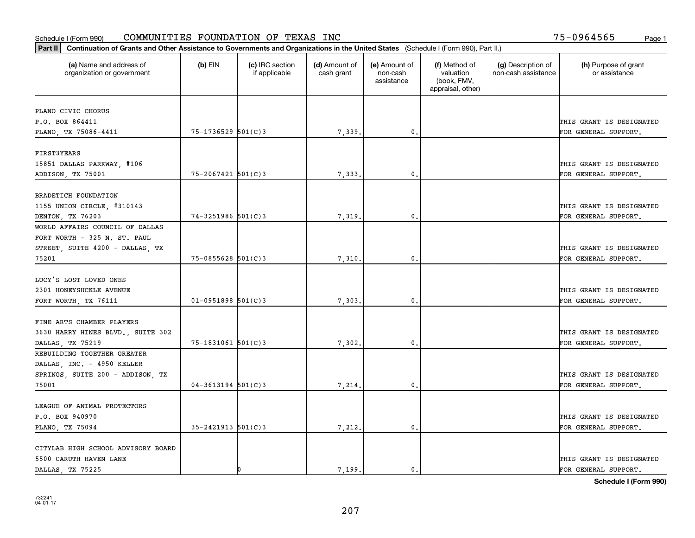| (a) Name and address of<br>organization or government | $(b)$ EIN                | (c) IRC section<br>if applicable | (d) Amount of<br>cash grant | (e) Amount of<br>non-cash<br>assistance | (f) Method of<br>valuation<br>(book, FMV,<br>appraisal, other) | (g) Description of<br>non-cash assistance | (h) Purpose of grant<br>or assistance |
|-------------------------------------------------------|--------------------------|----------------------------------|-----------------------------|-----------------------------------------|----------------------------------------------------------------|-------------------------------------------|---------------------------------------|
| PLANO CIVIC CHORUS                                    |                          |                                  |                             |                                         |                                                                |                                           |                                       |
| P.O. BOX 864411                                       |                          |                                  |                             |                                         |                                                                |                                           | THIS GRANT IS DESIGNATED              |
| PLANO, TX 75086-4411                                  | $75 - 1736529$ 501(C)3   |                                  | 7,339.                      | 0.                                      |                                                                |                                           | FOR GENERAL SUPPORT.                  |
|                                                       |                          |                                  |                             |                                         |                                                                |                                           |                                       |
| FIRST3YEARS                                           |                          |                                  |                             |                                         |                                                                |                                           |                                       |
| 15851 DALLAS PARKWAY, #106                            |                          |                                  |                             |                                         |                                                                |                                           | THIS GRANT IS DESIGNATED              |
| ADDISON, TX 75001                                     | $75 - 2067421$ 501(C)3   |                                  | 7,333.                      | 0.                                      |                                                                |                                           | FOR GENERAL SUPPORT.                  |
|                                                       |                          |                                  |                             |                                         |                                                                |                                           |                                       |
| BRADETICH FOUNDATION                                  |                          |                                  |                             |                                         |                                                                |                                           |                                       |
| 1155 UNION CIRCLE, #310143                            |                          |                                  |                             |                                         |                                                                |                                           | THIS GRANT IS DESIGNATED              |
| DENTON, TX 76203                                      | $74 - 3251986$ 501(C)3   |                                  | 7,319.                      | $\mathbf{0}$ .                          |                                                                |                                           | FOR GENERAL SUPPORT.                  |
| WORLD AFFAIRS COUNCIL OF DALLAS                       |                          |                                  |                             |                                         |                                                                |                                           |                                       |
| FORT WORTH - 325 N. ST. PAUL                          |                          |                                  |                             |                                         |                                                                |                                           |                                       |
| STREET, SUITE 4200 - DALLAS, TX                       |                          |                                  |                             |                                         |                                                                |                                           | THIS GRANT IS DESIGNATED              |
| 75201                                                 | 75-0855628 501(C)3       |                                  | 7,310.                      | $\mathbf{0}$ .                          |                                                                |                                           | FOR GENERAL SUPPORT.                  |
| LUCY'S LOST LOVED ONES                                |                          |                                  |                             |                                         |                                                                |                                           |                                       |
| 2301 HONEYSUCKLE AVENUE                               |                          |                                  |                             |                                         |                                                                |                                           | THIS GRANT IS DESIGNATED              |
| FORT WORTH, TX 76111                                  | $01-0951898$ 501(C)3     |                                  | 7,303,                      | 0.                                      |                                                                |                                           | FOR GENERAL SUPPORT.                  |
|                                                       |                          |                                  |                             |                                         |                                                                |                                           |                                       |
| FINE ARTS CHAMBER PLAYERS                             |                          |                                  |                             |                                         |                                                                |                                           |                                       |
| 3630 HARRY HINES BLVD., SUITE 302                     |                          |                                  |                             |                                         |                                                                |                                           | THIS GRANT IS DESIGNATED              |
| DALLAS, TX 75219                                      | 75-1831061 501(C)3       |                                  | 7,302.                      | 0.                                      |                                                                |                                           | FOR GENERAL SUPPORT.                  |
| REBUILDING TOGETHER GREATER                           |                          |                                  |                             |                                         |                                                                |                                           |                                       |
| DALLAS, INC. - 4950 KELLER                            |                          |                                  |                             |                                         |                                                                |                                           |                                       |
| SPRINGS, SUITE 200 - ADDISON, TX                      |                          |                                  |                             |                                         |                                                                |                                           | THIS GRANT IS DESIGNATED              |
| 75001                                                 | $04 - 3613194$ 501(C)3   |                                  | 7,214.                      | $\mathfrak{o}$ .                        |                                                                |                                           | FOR GENERAL SUPPORT.                  |
|                                                       |                          |                                  |                             |                                         |                                                                |                                           |                                       |
| LEAGUE OF ANIMAL PROTECTORS                           |                          |                                  |                             |                                         |                                                                |                                           |                                       |
| P.O. BOX 940970                                       |                          |                                  |                             |                                         |                                                                |                                           | THIS GRANT IS DESIGNATED              |
| PLANO, TX 75094                                       | $35 - 2421913$ $501(C)3$ |                                  | 7,212.                      | 0.                                      |                                                                |                                           | FOR GENERAL SUPPORT.                  |
|                                                       |                          |                                  |                             |                                         |                                                                |                                           |                                       |
| CITYLAB HIGH SCHOOL ADVISORY BOARD                    |                          |                                  |                             |                                         |                                                                |                                           |                                       |
| 5500 CARUTH HAVEN LANE                                |                          |                                  |                             |                                         |                                                                |                                           | THIS GRANT IS DESIGNATED              |
| DALLAS, TX 75225                                      |                          |                                  | 7.199.                      | $\mathbf{0}$ .                          |                                                                |                                           | FOR GENERAL SUPPORT.                  |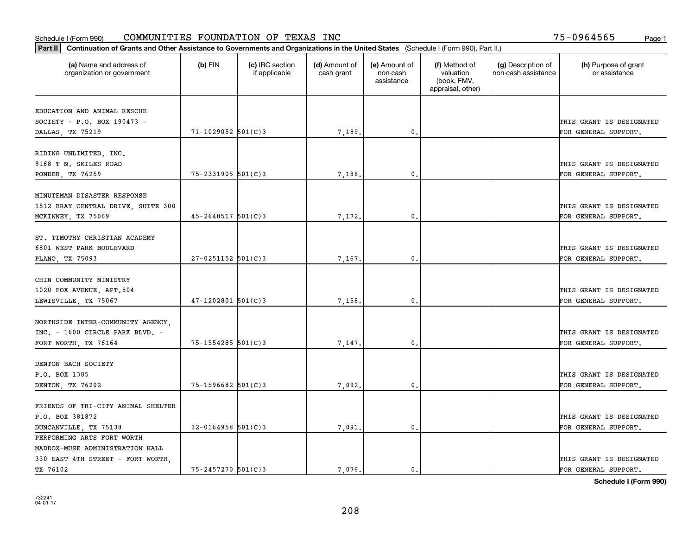| Part II   Continuation of Grants and Other Assistance to Governments and Organizations in the United States (Schedule I (Form 990), Part II.) |                         |                                  |                             |                                         |                                                                |                                           |                                       |
|-----------------------------------------------------------------------------------------------------------------------------------------------|-------------------------|----------------------------------|-----------------------------|-----------------------------------------|----------------------------------------------------------------|-------------------------------------------|---------------------------------------|
| (a) Name and address of<br>organization or government                                                                                         | $(b)$ EIN               | (c) IRC section<br>if applicable | (d) Amount of<br>cash grant | (e) Amount of<br>non-cash<br>assistance | (f) Method of<br>valuation<br>(book, FMV,<br>appraisal, other) | (g) Description of<br>non-cash assistance | (h) Purpose of grant<br>or assistance |
|                                                                                                                                               |                         |                                  |                             |                                         |                                                                |                                           |                                       |
| EDUCATION AND ANIMAL RESCUE<br>SOCIETY - P.O. BOX 190473 -                                                                                    |                         |                                  |                             |                                         |                                                                |                                           | THIS GRANT IS DESIGNATED              |
| DALLAS, TX 75219                                                                                                                              | $71 - 1029052$ 501(C)3  |                                  | 7,189.                      | $\mathfrak o$ .                         |                                                                |                                           | FOR GENERAL SUPPORT.                  |
|                                                                                                                                               |                         |                                  |                             |                                         |                                                                |                                           |                                       |
| RIDING UNLIMITED, INC.                                                                                                                        |                         |                                  |                             |                                         |                                                                |                                           |                                       |
| 9168 T N. SKILES ROAD                                                                                                                         |                         |                                  |                             |                                         |                                                                |                                           | THIS GRANT IS DESIGNATED              |
| PONDER, TX 76259                                                                                                                              | $75 - 2331905$ 501(C)3  |                                  | 7,188                       | 0.                                      |                                                                |                                           | FOR GENERAL SUPPORT.                  |
|                                                                                                                                               |                         |                                  |                             |                                         |                                                                |                                           |                                       |
| MINUTEMAN DISASTER RESPONSE                                                                                                                   |                         |                                  |                             |                                         |                                                                |                                           |                                       |
| 1512 BRAY CENTRAL DRIVE, SUITE 300                                                                                                            |                         |                                  |                             |                                         |                                                                |                                           | THIS GRANT IS DESIGNATED              |
| MCKINNEY, TX 75069                                                                                                                            | $45 - 2648517$ 501(C)3  |                                  | 7,172.                      | $\mathbf 0$ .                           |                                                                |                                           | FOR GENERAL SUPPORT.                  |
|                                                                                                                                               |                         |                                  |                             |                                         |                                                                |                                           |                                       |
| ST. TIMOTHY CHRISTIAN ACADEMY                                                                                                                 |                         |                                  |                             |                                         |                                                                |                                           |                                       |
| 6801 WEST PARK BOULEVARD                                                                                                                      |                         |                                  |                             |                                         |                                                                |                                           | THIS GRANT IS DESIGNATED              |
| PLANO, TX 75093                                                                                                                               | $27 - 0251152$ 501(C)3  |                                  | 7,167.                      | 0.                                      |                                                                |                                           | FOR GENERAL SUPPORT.                  |
|                                                                                                                                               |                         |                                  |                             |                                         |                                                                |                                           |                                       |
| CHIN COMMUNITY MINISTRY                                                                                                                       |                         |                                  |                             |                                         |                                                                |                                           |                                       |
| 1020 FOX AVENUE, APT.504                                                                                                                      |                         |                                  |                             |                                         |                                                                |                                           | THIS GRANT IS DESIGNATED              |
| LEWISVILLE, TX 75067                                                                                                                          | $47 - 1202801$ 501(C)3  |                                  | 7,158                       | 0                                       |                                                                |                                           | FOR GENERAL SUPPORT.                  |
|                                                                                                                                               |                         |                                  |                             |                                         |                                                                |                                           |                                       |
| NORTHSIDE INTER-COMMUNITY AGENCY,                                                                                                             |                         |                                  |                             |                                         |                                                                |                                           |                                       |
| INC. - 1600 CIRCLE PARK BLVD. -                                                                                                               |                         |                                  |                             |                                         |                                                                |                                           | THIS GRANT IS DESIGNATED              |
| FORT WORTH, TX 76164                                                                                                                          | $75 - 1554285$ 501(C)3  |                                  | 7,147.                      | $\mathbf{0}$                            |                                                                |                                           | FOR GENERAL SUPPORT.                  |
| DENTON BACH SOCIETY                                                                                                                           |                         |                                  |                             |                                         |                                                                |                                           |                                       |
| P.O. BOX 1385                                                                                                                                 |                         |                                  |                             |                                         |                                                                |                                           | THIS GRANT IS DESIGNATED              |
|                                                                                                                                               | $75 - 1596682$ 501(C)3  |                                  |                             | $\mathbf{0}$ .                          |                                                                |                                           |                                       |
| DENTON, TX 76202                                                                                                                              |                         |                                  | 7,092.                      |                                         |                                                                |                                           | FOR GENERAL SUPPORT.                  |
| FRIENDS OF TRI-CITY ANIMAL SHELTER                                                                                                            |                         |                                  |                             |                                         |                                                                |                                           |                                       |
| P.O. BOX 381872                                                                                                                               |                         |                                  |                             |                                         |                                                                |                                           | THIS GRANT IS DESIGNATED              |
| DUNCANVILLE, TX 75138                                                                                                                         | $32 - 0164958$ 501(C) 3 |                                  | 7,091.                      | $\mathfrak{o}$ .                        |                                                                |                                           | FOR GENERAL SUPPORT.                  |
| PERFORMING ARTS FORT WORTH                                                                                                                    |                         |                                  |                             |                                         |                                                                |                                           |                                       |
| MADDOX-MUSE ADMINISTRATION HALL                                                                                                               |                         |                                  |                             |                                         |                                                                |                                           |                                       |
| 330 EAST 4TH STREET - FORT WORTH,                                                                                                             |                         |                                  |                             |                                         |                                                                |                                           | THIS GRANT IS DESIGNATED              |
| TX 76102                                                                                                                                      | 75-2457270 501(C)3      |                                  | 7.076.                      | $\mathfrak{o}$ .                        |                                                                |                                           | FOR GENERAL SUPPORT.                  |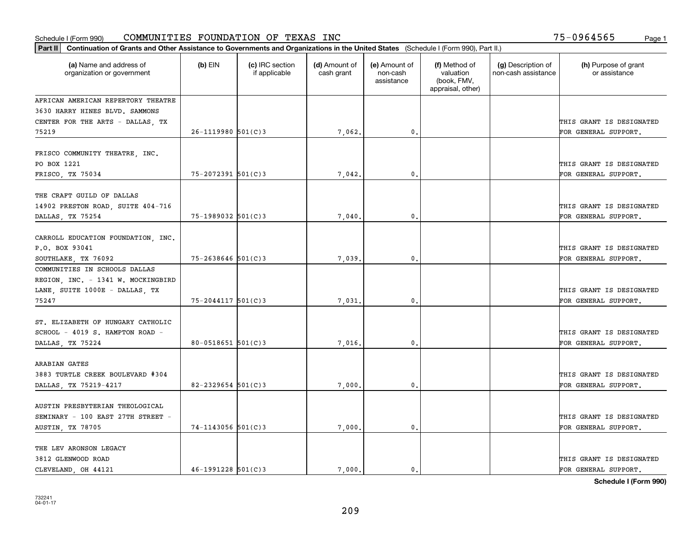| Part II   Continuation of Grants and Other Assistance to Governments and Organizations in the United States (Schedule I (Form 990), Part II.) |                        |                                  |                             |                                         |                                                                |                                           |                                                  |
|-----------------------------------------------------------------------------------------------------------------------------------------------|------------------------|----------------------------------|-----------------------------|-----------------------------------------|----------------------------------------------------------------|-------------------------------------------|--------------------------------------------------|
| (a) Name and address of<br>organization or government                                                                                         | $(b)$ EIN              | (c) IRC section<br>if applicable | (d) Amount of<br>cash grant | (e) Amount of<br>non-cash<br>assistance | (f) Method of<br>valuation<br>(book, FMV,<br>appraisal, other) | (g) Description of<br>non-cash assistance | (h) Purpose of grant<br>or assistance            |
| AFRICAN AMERICAN REPERTORY THEATRE                                                                                                            |                        |                                  |                             |                                         |                                                                |                                           |                                                  |
| 3630 HARRY HINES BLVD. SAMMONS                                                                                                                |                        |                                  |                             |                                         |                                                                |                                           |                                                  |
| CENTER FOR THE ARTS - DALLAS, TX                                                                                                              |                        |                                  |                             |                                         |                                                                |                                           | THIS GRANT IS DESIGNATED                         |
| 75219                                                                                                                                         | $26 - 1119980$ 501(C)3 |                                  | 7,062.                      | $\mathfrak{o}$ .                        |                                                                |                                           | FOR GENERAL SUPPORT.                             |
| FRISCO COMMUNITY THEATRE, INC.<br>PO BOX 1221                                                                                                 |                        |                                  |                             |                                         |                                                                |                                           | THIS GRANT IS DESIGNATED                         |
| FRISCO, TX 75034                                                                                                                              | $75 - 2072391$ 501(C)3 |                                  | 7,042                       | 0.                                      |                                                                |                                           | FOR GENERAL SUPPORT.                             |
| THE CRAFT GUILD OF DALLAS<br>14902 PRESTON ROAD, SUITE 404-716<br>DALLAS TX 75254                                                             | 75-1989032 501(C)3     |                                  | 7,040                       | 0.                                      |                                                                |                                           | THIS GRANT IS DESIGNATED<br>FOR GENERAL SUPPORT. |
| CARROLL EDUCATION FOUNDATION, INC.<br>P.O. BOX 93041<br>SOUTHLAKE, TX 76092                                                                   | $75 - 2638646$ 501(C)3 |                                  | 7,039.                      | 0.                                      |                                                                |                                           | THIS GRANT IS DESIGNATED<br>FOR GENERAL SUPPORT. |
| COMMUNITIES IN SCHOOLS DALLAS<br>REGION, INC. - 1341 W. MOCKINGBIRD<br>LANE, SUITE 1000E - DALLAS, TX<br>75247                                | $75 - 2044117$ 501(C)3 |                                  | 7,031.                      | 0.                                      |                                                                |                                           | THIS GRANT IS DESIGNATED<br>FOR GENERAL SUPPORT. |
| ST. ELIZABETH OF HUNGARY CATHOLIC<br>SCHOOL - 4019 S. HAMPTON ROAD -<br>DALLAS, TX 75224                                                      | $80 - 0518651$ 501(C)3 |                                  | 7,016.                      | 0.                                      |                                                                |                                           | THIS GRANT IS DESIGNATED<br>FOR GENERAL SUPPORT. |
| ARABIAN GATES<br>3883 TURTLE CREEK BOULEVARD #304<br>DALLAS, TX 75219-4217                                                                    | 82-2329654 $501(C)$ 3  |                                  | 7,000                       | $\mathfrak{o}$ .                        |                                                                |                                           | THIS GRANT IS DESIGNATED<br>FOR GENERAL SUPPORT. |
| AUSTIN PRESBYTERIAN THEOLOGICAL<br>SEMINARY - 100 EAST 27TH STREET -<br>AUSTIN, TX 78705                                                      | $74 - 1143056$ 501(C)3 |                                  | 7,000.                      | $\mathbf{0}$ .                          |                                                                |                                           | THIS GRANT IS DESIGNATED<br>FOR GENERAL SUPPORT. |
| THE LEV ARONSON LEGACY<br>3812 GLENWOOD ROAD<br>CLEVELAND OH 44121                                                                            | $46 - 1991228$ 501(C)3 |                                  | 7.000.                      | $\mathbf{0}$ .                          |                                                                |                                           | THIS GRANT IS DESIGNATED<br>FOR GENERAL SUPPORT. |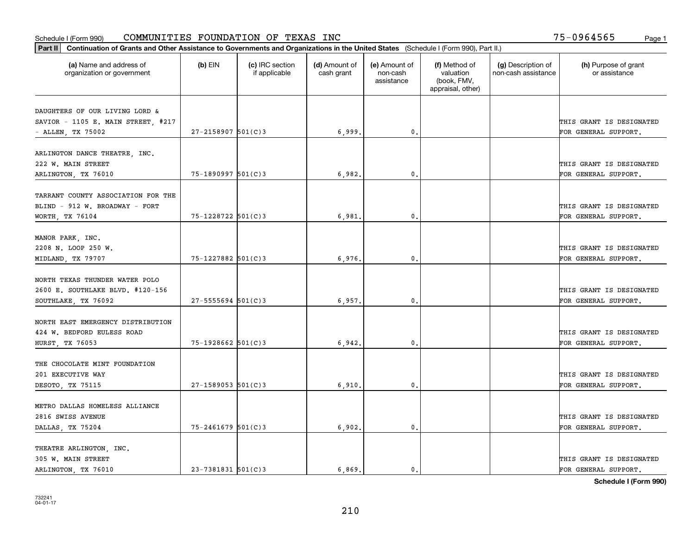| (a) Name and address of<br>organization or government                  | $(b)$ EIN               | (c) IRC section<br>if applicable | (d) Amount of<br>cash grant | (e) Amount of<br>non-cash<br>assistance | (f) Method of<br>valuation<br>(book, FMV,<br>appraisal, other) | (g) Description of<br>non-cash assistance | (h) Purpose of grant<br>or assistance            |
|------------------------------------------------------------------------|-------------------------|----------------------------------|-----------------------------|-----------------------------------------|----------------------------------------------------------------|-------------------------------------------|--------------------------------------------------|
| DAUGHTERS OF OUR LIVING LORD &<br>SAVIOR - 1105 E. MAIN STREET, $#217$ |                         |                                  |                             |                                         |                                                                |                                           | THIS GRANT IS DESIGNATED                         |
| - ALLEN, TX 75002                                                      | $27 - 2158907$ 501(C)3  |                                  | 6,999.                      | $\mathbf{0}$ .                          |                                                                |                                           | FOR GENERAL SUPPORT.                             |
| ARLINGTON DANCE THEATRE, INC.<br>222 W. MAIN STREET                    |                         |                                  |                             |                                         |                                                                |                                           | THIS GRANT IS DESIGNATED                         |
| ARLINGTON, TX 76010                                                    | 75-1890997 501(C)3      |                                  | 6,982                       | 0.                                      |                                                                |                                           | FOR GENERAL SUPPORT.                             |
| TARRANT COUNTY ASSOCIATION FOR THE<br>BLIND - 912 W. BROADWAY - FORT   |                         |                                  |                             |                                         |                                                                |                                           | THIS GRANT IS DESIGNATED                         |
| WORTH, TX 76104                                                        | $75 - 1228722$ 501(C)3  |                                  | 6,981                       | $\mathfrak{o}$ .                        |                                                                |                                           | FOR GENERAL SUPPORT.                             |
| MANOR PARK, INC.<br>2208 N. LOOP 250 W.                                |                         |                                  |                             |                                         |                                                                |                                           | THIS GRANT IS DESIGNATED                         |
| MIDLAND, TX 79707                                                      | $75 - 1227882$ 501(C)3  |                                  | 6,976                       | $\mathbf{0}$                            |                                                                |                                           | FOR GENERAL SUPPORT.                             |
| NORTH TEXAS THUNDER WATER POLO<br>2600 E. SOUTHLAKE BLVD. #120-156     |                         |                                  |                             |                                         |                                                                |                                           | THIS GRANT IS DESIGNATED                         |
| SOUTHLAKE, TX 76092                                                    | $27 - 5555694$ 501(C)3  |                                  | 6,957.                      | $\mathfrak o$ .                         |                                                                |                                           | FOR GENERAL SUPPORT.                             |
| NORTH EAST EMERGENCY DISTRIBUTION<br>424 W. BEDFORD EULESS ROAD        |                         |                                  |                             |                                         |                                                                |                                           | THIS GRANT IS DESIGNATED                         |
| HURST, TX 76053                                                        | 75-1928662 501(C)3      |                                  | 6,942                       | $\mathbf{0}$                            |                                                                |                                           | FOR GENERAL SUPPORT.                             |
| THE CHOCOLATE MINT FOUNDATION<br>201 EXECUTIVE WAY                     |                         |                                  |                             |                                         |                                                                |                                           | THIS GRANT IS DESIGNATED                         |
| DESOTO, TX 75115                                                       | $27 - 1589053$ 501(C)3  |                                  | 6,910.                      | $^{\circ}$ .                            |                                                                |                                           | FOR GENERAL SUPPORT.                             |
| METRO DALLAS HOMELESS ALLIANCE                                         |                         |                                  |                             |                                         |                                                                |                                           |                                                  |
| 2816 SWISS AVENUE<br>DALLAS, TX 75204                                  | $75 - 2461679$ 501(C)3  |                                  | 6,902                       | $\mathbf{0}$                            |                                                                |                                           | THIS GRANT IS DESIGNATED<br>FOR GENERAL SUPPORT. |
| THEATRE ARLINGTON, INC.                                                |                         |                                  |                             |                                         |                                                                |                                           |                                                  |
| 305 W. MAIN STREET<br>ARLINGTON, TX 76010                              | $23 - 7381831$ 501(C) 3 |                                  | 6,869.                      | $\mathbf{0}$ .                          |                                                                |                                           | THIS GRANT IS DESIGNATED<br>FOR GENERAL SUPPORT. |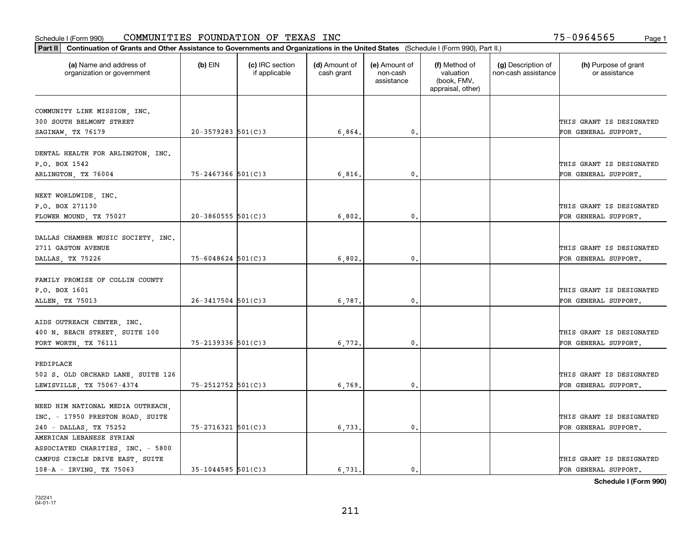| Part II   Continuation of Grants and Other Assistance to Governments and Organizations in the United States (Schedule I (Form 990), Part II.) |                          |                                  |                             |                                         |                                                                |                                           |                                       |
|-----------------------------------------------------------------------------------------------------------------------------------------------|--------------------------|----------------------------------|-----------------------------|-----------------------------------------|----------------------------------------------------------------|-------------------------------------------|---------------------------------------|
| (a) Name and address of<br>organization or government                                                                                         | $(b)$ EIN                | (c) IRC section<br>if applicable | (d) Amount of<br>cash grant | (e) Amount of<br>non-cash<br>assistance | (f) Method of<br>valuation<br>(book, FMV,<br>appraisal, other) | (g) Description of<br>non-cash assistance | (h) Purpose of grant<br>or assistance |
|                                                                                                                                               |                          |                                  |                             |                                         |                                                                |                                           |                                       |
| COMMUNITY LINK MISSION, INC.                                                                                                                  |                          |                                  |                             |                                         |                                                                |                                           |                                       |
| 300 SOUTH BELMONT STREET                                                                                                                      |                          |                                  |                             |                                         |                                                                |                                           | THIS GRANT IS DESIGNATED              |
| SAGINAW, TX 76179                                                                                                                             | $20 - 3579283$ 501(C)3   |                                  | 6,864.                      | 0.                                      |                                                                |                                           | FOR GENERAL SUPPORT.                  |
| DENTAL HEALTH FOR ARLINGTON, INC.                                                                                                             |                          |                                  |                             |                                         |                                                                |                                           |                                       |
| P.O. BOX 1542                                                                                                                                 |                          |                                  |                             |                                         |                                                                |                                           | THIS GRANT IS DESIGNATED              |
| ARLINGTON, TX 76004                                                                                                                           | $75 - 2467366$ 501(C)3   |                                  | 6,816,                      | 0.                                      |                                                                |                                           | FOR GENERAL SUPPORT.                  |
|                                                                                                                                               |                          |                                  |                             |                                         |                                                                |                                           |                                       |
| NEXT WORLDWIDE, INC.                                                                                                                          |                          |                                  |                             |                                         |                                                                |                                           |                                       |
| P.O. BOX 271130                                                                                                                               |                          |                                  |                             |                                         |                                                                |                                           | THIS GRANT IS DESIGNATED              |
| FLOWER MOUND, TX 75027                                                                                                                        | $20 - 3860555$ 501(C)3   |                                  | 6,802.                      | 0.                                      |                                                                |                                           | FOR GENERAL SUPPORT.                  |
|                                                                                                                                               |                          |                                  |                             |                                         |                                                                |                                           |                                       |
| DALLAS CHAMBER MUSIC SOCIETY, INC.                                                                                                            |                          |                                  |                             |                                         |                                                                |                                           |                                       |
| 2711 GASTON AVENUE                                                                                                                            |                          |                                  |                             |                                         |                                                                |                                           | THIS GRANT IS DESIGNATED              |
| DALLAS, TX 75226                                                                                                                              | $75 - 6048624$ 501(C)3   |                                  | 6,802.                      | 0.                                      |                                                                |                                           | FOR GENERAL SUPPORT.                  |
|                                                                                                                                               |                          |                                  |                             |                                         |                                                                |                                           |                                       |
| FAMILY PROMISE OF COLLIN COUNTY                                                                                                               |                          |                                  |                             |                                         |                                                                |                                           |                                       |
| P.O. BOX 1601                                                                                                                                 |                          |                                  |                             |                                         |                                                                |                                           | THIS GRANT IS DESIGNATED              |
| ALLEN, TX 75013                                                                                                                               | $26 - 3417504$ 501(C)3   |                                  | 6,787.                      | 0.                                      |                                                                |                                           | FOR GENERAL SUPPORT.                  |
|                                                                                                                                               |                          |                                  |                             |                                         |                                                                |                                           |                                       |
| AIDS OUTREACH CENTER, INC.                                                                                                                    |                          |                                  |                             |                                         |                                                                |                                           |                                       |
| 400 N. BEACH STREET, SUITE 100                                                                                                                |                          |                                  |                             |                                         |                                                                |                                           | THIS GRANT IS DESIGNATED              |
| FORT WORTH, TX 76111                                                                                                                          | $75 - 2139336$ $501(C)3$ |                                  | 6,772.                      | 0.                                      |                                                                |                                           | FOR GENERAL SUPPORT.                  |
|                                                                                                                                               |                          |                                  |                             |                                         |                                                                |                                           |                                       |
| PEDIPLACE                                                                                                                                     |                          |                                  |                             |                                         |                                                                |                                           |                                       |
| 502 S. OLD ORCHARD LANE, SUITE 126                                                                                                            |                          |                                  |                             |                                         |                                                                |                                           | THIS GRANT IS DESIGNATED              |
| LEWISVILLE, TX 75067-4374                                                                                                                     | 75-2512752 501(C)3       |                                  | 6,769                       | 0.                                      |                                                                |                                           | FOR GENERAL SUPPORT.                  |
| NEED HIM NATIONAL MEDIA OUTREACH,                                                                                                             |                          |                                  |                             |                                         |                                                                |                                           |                                       |
| INC. - 17950 PRESTON ROAD, SUITE                                                                                                              |                          |                                  |                             |                                         |                                                                |                                           | THIS GRANT IS DESIGNATED              |
| 240 - DALLAS, TX 75252                                                                                                                        | 75-2716321 501(C)3       |                                  | 6,733.                      | 0.                                      |                                                                |                                           | FOR GENERAL SUPPORT.                  |
| AMERICAN LEBANESE SYRIAN                                                                                                                      |                          |                                  |                             |                                         |                                                                |                                           |                                       |
| ASSOCIATED CHARITIES, INC. - 5800                                                                                                             |                          |                                  |                             |                                         |                                                                |                                           |                                       |
| CAMPUS CIRCLE DRIVE EAST, SUITE                                                                                                               |                          |                                  |                             |                                         |                                                                |                                           | THIS GRANT IS DESIGNATED              |
| 108-A - IRVING, TX 75063                                                                                                                      | $35 - 1044585$ 501(C) 3  |                                  | 6.731.                      | $\mathbf{0}$ .                          |                                                                |                                           | FOR GENERAL SUPPORT.                  |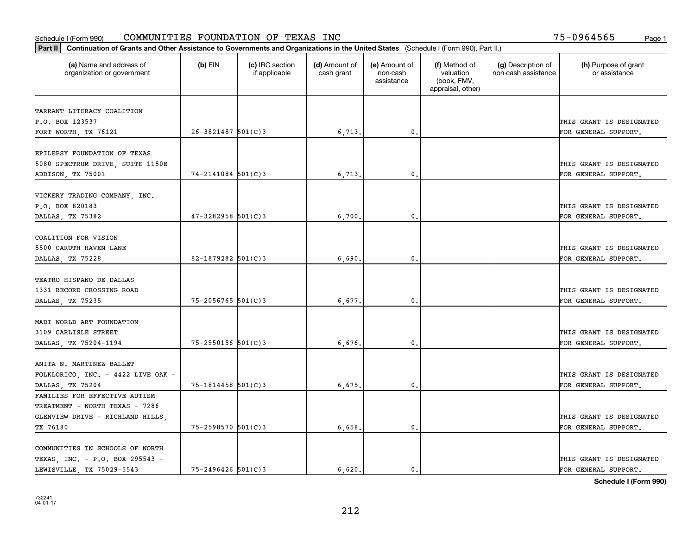| Part II   Continuation of Grants and Other Assistance to Governments and Organizations in the United States (Schedule I (Form 990), Part II.) |                          |                                  |                             |                                         |                                                                |                                           |                                       |
|-----------------------------------------------------------------------------------------------------------------------------------------------|--------------------------|----------------------------------|-----------------------------|-----------------------------------------|----------------------------------------------------------------|-------------------------------------------|---------------------------------------|
| (a) Name and address of<br>organization or government                                                                                         | $(b)$ EIN                | (c) IRC section<br>if applicable | (d) Amount of<br>cash grant | (e) Amount of<br>non-cash<br>assistance | (f) Method of<br>valuation<br>(book, FMV,<br>appraisal, other) | (g) Description of<br>non-cash assistance | (h) Purpose of grant<br>or assistance |
|                                                                                                                                               |                          |                                  |                             |                                         |                                                                |                                           |                                       |
| TARRANT LITERACY COALITION<br>P.O. BOX 123537                                                                                                 |                          |                                  |                             |                                         |                                                                |                                           | THIS GRANT IS DESIGNATED              |
|                                                                                                                                               | $26 - 3821487$ 501(C)3   |                                  |                             | $\mathbf{0}$ .                          |                                                                |                                           | FOR GENERAL SUPPORT.                  |
| FORT WORTH, TX 76121                                                                                                                          |                          |                                  | 6,713.                      |                                         |                                                                |                                           |                                       |
| EPILEPSY FOUNDATION OF TEXAS                                                                                                                  |                          |                                  |                             |                                         |                                                                |                                           |                                       |
| 5080 SPECTRUM DRIVE, SUITE 1150E                                                                                                              |                          |                                  |                             |                                         |                                                                |                                           | THIS GRANT IS DESIGNATED              |
| ADDISON, TX 75001                                                                                                                             | $74 - 2141084$ 501(C)3   |                                  | 6,713                       | 0.                                      |                                                                |                                           | FOR GENERAL SUPPORT.                  |
|                                                                                                                                               |                          |                                  |                             |                                         |                                                                |                                           |                                       |
| VICKERY TRADING COMPANY, INC.                                                                                                                 |                          |                                  |                             |                                         |                                                                |                                           |                                       |
| P.O. BOX 820183                                                                                                                               |                          |                                  |                             |                                         |                                                                |                                           | THIS GRANT IS DESIGNATED              |
| DALLAS, TX 75382                                                                                                                              | $47 - 3282958$ 501(C)3   |                                  | 6,700                       | $\mathbf{0}$ .                          |                                                                |                                           | FOR GENERAL SUPPORT.                  |
|                                                                                                                                               |                          |                                  |                             |                                         |                                                                |                                           |                                       |
| COALITION FOR VISION                                                                                                                          |                          |                                  |                             |                                         |                                                                |                                           |                                       |
| 5500 CARUTH HAVEN LANE                                                                                                                        |                          |                                  |                             |                                         |                                                                |                                           | THIS GRANT IS DESIGNATED              |
| DALLAS, TX 75228                                                                                                                              | $82 - 1879282$ 501(C)3   |                                  | 6,690.                      | 0.                                      |                                                                |                                           | FOR GENERAL SUPPORT.                  |
|                                                                                                                                               |                          |                                  |                             |                                         |                                                                |                                           |                                       |
| TEATRO HISPANO DE DALLAS                                                                                                                      |                          |                                  |                             |                                         |                                                                |                                           |                                       |
| 1331 RECORD CROSSING ROAD                                                                                                                     |                          |                                  |                             |                                         |                                                                |                                           | THIS GRANT IS DESIGNATED              |
| DALLAS, TX 75235                                                                                                                              | $75 - 2056765$ 501(C)3   |                                  | 6,677                       | $\mathfrak o$ .                         |                                                                |                                           | FOR GENERAL SUPPORT.                  |
|                                                                                                                                               |                          |                                  |                             |                                         |                                                                |                                           |                                       |
| MADI WORLD ART FOUNDATION                                                                                                                     |                          |                                  |                             |                                         |                                                                |                                           |                                       |
| 3109 CARLISLE STREET                                                                                                                          |                          |                                  |                             |                                         |                                                                |                                           | THIS GRANT IS DESIGNATED              |
| DALLAS, TX 75204-1194                                                                                                                         | $75 - 2950156$ $501(C)3$ |                                  | 6,676                       | 0.                                      |                                                                |                                           | FOR GENERAL SUPPORT.                  |
|                                                                                                                                               |                          |                                  |                             |                                         |                                                                |                                           |                                       |
| ANITA N. MARTINEZ BALLET                                                                                                                      |                          |                                  |                             |                                         |                                                                |                                           |                                       |
| FOLKLORICO, INC. - 4422 LIVE OAK -                                                                                                            |                          |                                  |                             |                                         |                                                                |                                           | THIS GRANT IS DESIGNATED              |
| DALLAS, TX 75204                                                                                                                              | 75-1814458 501(C)3       |                                  | 6,675.                      | $\mathbf{0}$ .                          |                                                                |                                           | FOR GENERAL SUPPORT.                  |
| FAMILIES FOR EFFECTIVE AUTISM                                                                                                                 |                          |                                  |                             |                                         |                                                                |                                           |                                       |
| TREATMENT - NORTH TEXAS - 7286                                                                                                                |                          |                                  |                             |                                         |                                                                |                                           |                                       |
| GLENVIEW DRIVE - RICHLAND HILLS,                                                                                                              |                          |                                  |                             |                                         |                                                                |                                           | THIS GRANT IS DESIGNATED              |
| TX 76180                                                                                                                                      | 75-2598570 501(C)3       |                                  | 6,658.                      | 0.                                      |                                                                |                                           | FOR GENERAL SUPPORT.                  |
|                                                                                                                                               |                          |                                  |                             |                                         |                                                                |                                           |                                       |
| COMMUNITIES IN SCHOOLS OF NORTH                                                                                                               |                          |                                  |                             |                                         |                                                                |                                           |                                       |
| TEXAS, INC. - P.O. BOX 295543 -                                                                                                               |                          |                                  |                             |                                         |                                                                |                                           | THIS GRANT IS DESIGNATED              |
| LEWISVILLE, TX 75029-5543                                                                                                                     | $75 - 2496426$ 501(C)3   |                                  | 6,620.                      | 0.                                      |                                                                |                                           | FOR GENERAL SUPPORT.                  |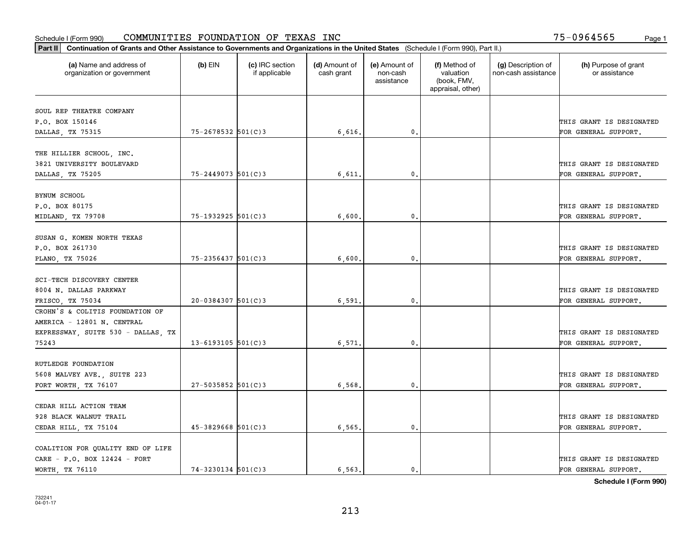| (a) Name and address of<br>organization or government | $(b)$ EIN               | (c) IRC section<br>if applicable | (d) Amount of<br>cash grant | (e) Amount of<br>non-cash<br>assistance | (f) Method of<br>valuation<br>(book, FMV,<br>appraisal, other) | (g) Description of<br>non-cash assistance | (h) Purpose of grant<br>or assistance |
|-------------------------------------------------------|-------------------------|----------------------------------|-----------------------------|-----------------------------------------|----------------------------------------------------------------|-------------------------------------------|---------------------------------------|
| SOUL REP THEATRE COMPANY                              |                         |                                  |                             |                                         |                                                                |                                           |                                       |
| P.O. BOX 150146                                       |                         |                                  |                             |                                         |                                                                |                                           | THIS GRANT IS DESIGNATED              |
| DALLAS, TX 75315                                      | 75-2678532 501(C)3      |                                  | 6,616.                      | $\mathfrak{o}$ .                        |                                                                |                                           | FOR GENERAL SUPPORT.                  |
| THE HILLIER SCHOOL, INC.                              |                         |                                  |                             |                                         |                                                                |                                           |                                       |
| 3821 UNIVERSITY BOULEVARD                             |                         |                                  |                             |                                         |                                                                |                                           | THIS GRANT IS DESIGNATED              |
| DALLAS, TX 75205                                      | $75 - 2449073$ 501(C)3  |                                  | 6,611                       | 0.                                      |                                                                |                                           | FOR GENERAL SUPPORT.                  |
| BYNUM SCHOOL                                          |                         |                                  |                             |                                         |                                                                |                                           |                                       |
| P.O. BOX 80175                                        |                         |                                  |                             |                                         |                                                                |                                           | THIS GRANT IS DESIGNATED              |
| MIDLAND, TX 79708                                     | 75-1932925 501(C)3      |                                  | 6,600                       | 0.                                      |                                                                |                                           | FOR GENERAL SUPPORT.                  |
|                                                       |                         |                                  |                             |                                         |                                                                |                                           |                                       |
| SUSAN G. KOMEN NORTH TEXAS                            |                         |                                  |                             |                                         |                                                                |                                           |                                       |
| P.O. BOX 261730                                       |                         |                                  |                             |                                         |                                                                |                                           | THIS GRANT IS DESIGNATED              |
| PLANO, TX 75026                                       | $75 - 2356437$ 501(C)3  |                                  | 6,600                       | 0.                                      |                                                                |                                           | FOR GENERAL SUPPORT.                  |
|                                                       |                         |                                  |                             |                                         |                                                                |                                           |                                       |
| SCI-TECH DISCOVERY CENTER                             |                         |                                  |                             |                                         |                                                                |                                           |                                       |
| 8004 N. DALLAS PARKWAY                                |                         |                                  |                             |                                         |                                                                |                                           | THIS GRANT IS DESIGNATED              |
| FRISCO, TX 75034                                      | $20 - 0384307$ 501(C) 3 |                                  | 6,591                       | 0.                                      |                                                                |                                           | FOR GENERAL SUPPORT.                  |
| CROHN'S & COLITIS FOUNDATION OF                       |                         |                                  |                             |                                         |                                                                |                                           |                                       |
| AMERICA - 12801 N. CENTRAL                            |                         |                                  |                             |                                         |                                                                |                                           |                                       |
| EXPRESSWAY, SUITE 530 - DALLAS, TX                    |                         |                                  |                             |                                         |                                                                |                                           | THIS GRANT IS DESIGNATED              |
| 75243                                                 | $13 - 6193105$ 501(C)3  |                                  | 6,571                       | 0.                                      |                                                                |                                           | FOR GENERAL SUPPORT.                  |
| RUTLEDGE FOUNDATION                                   |                         |                                  |                             |                                         |                                                                |                                           |                                       |
| 5608 MALVEY AVE., SUITE 223                           |                         |                                  |                             |                                         |                                                                |                                           | THIS GRANT IS DESIGNATED              |
| FORT WORTH, TX 76107                                  | $27 - 5035852$ 501(C)3  |                                  | 6,568.                      | $\mathfrak{o}$ .                        |                                                                |                                           | FOR GENERAL SUPPORT.                  |
|                                                       |                         |                                  |                             |                                         |                                                                |                                           |                                       |
| CEDAR HILL ACTION TEAM                                |                         |                                  |                             |                                         |                                                                |                                           |                                       |
| 928 BLACK WALNUT TRAIL                                |                         |                                  |                             |                                         |                                                                |                                           | THIS GRANT IS DESIGNATED              |
| CEDAR HILL, TX 75104                                  | $45 - 3829668$ 501(C)3  |                                  | 6, 565.                     | $\mathbf{0}$                            |                                                                |                                           | FOR GENERAL SUPPORT.                  |
|                                                       |                         |                                  |                             |                                         |                                                                |                                           |                                       |
| COALITION FOR QUALITY END OF LIFE                     |                         |                                  |                             |                                         |                                                                |                                           |                                       |
| CARE - P.O. BOX 12424 - FORT                          |                         |                                  |                             |                                         |                                                                |                                           | THIS GRANT IS DESIGNATED              |
| WORTH TX 76110                                        | $74 - 3230134$ 501(C)3  |                                  | 6.563.                      | $\mathbf{0}$ .                          |                                                                |                                           | FOR GENERAL SUPPORT.                  |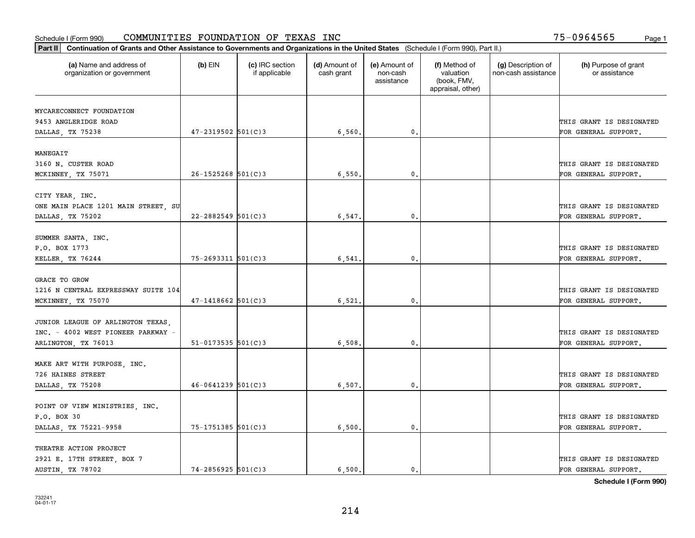| Part II   Continuation of Grants and Other Assistance to Governments and Organizations in the United States (Schedule I (Form 990), Part II.) |                          |                                  |                             |                                         |                                                                |                                           |                                       |
|-----------------------------------------------------------------------------------------------------------------------------------------------|--------------------------|----------------------------------|-----------------------------|-----------------------------------------|----------------------------------------------------------------|-------------------------------------------|---------------------------------------|
| (a) Name and address of<br>organization or government                                                                                         | $(b)$ EIN                | (c) IRC section<br>if applicable | (d) Amount of<br>cash grant | (e) Amount of<br>non-cash<br>assistance | (f) Method of<br>valuation<br>(book, FMV,<br>appraisal, other) | (g) Description of<br>non-cash assistance | (h) Purpose of grant<br>or assistance |
| MYCARECONNECT FOUNDATION                                                                                                                      |                          |                                  |                             |                                         |                                                                |                                           |                                       |
| 9453 ANGLERIDGE ROAD                                                                                                                          |                          |                                  |                             |                                         |                                                                |                                           | THIS GRANT IS DESIGNATED              |
| DALLAS, TX 75238                                                                                                                              | $47 - 2319502$ 501(C)3   |                                  | 6,560.                      | 0.                                      |                                                                |                                           | FOR GENERAL SUPPORT.                  |
|                                                                                                                                               |                          |                                  |                             |                                         |                                                                |                                           |                                       |
| MANEGAIT                                                                                                                                      |                          |                                  |                             |                                         |                                                                |                                           |                                       |
| 3160 N. CUSTER ROAD                                                                                                                           |                          |                                  |                             |                                         |                                                                |                                           | THIS GRANT IS DESIGNATED              |
| MCKINNEY, TX 75071                                                                                                                            | $26 - 1525268$ 501(C)3   |                                  | 6,550.                      | 0.                                      |                                                                |                                           | FOR GENERAL SUPPORT.                  |
|                                                                                                                                               |                          |                                  |                             |                                         |                                                                |                                           |                                       |
| CITY YEAR, INC.                                                                                                                               |                          |                                  |                             |                                         |                                                                |                                           |                                       |
| ONE MAIN PLACE 1201 MAIN STREET, SU                                                                                                           |                          |                                  |                             |                                         |                                                                |                                           | THIS GRANT IS DESIGNATED              |
| DALLAS, TX 75202                                                                                                                              | $22 - 2882549$ 501(C)3   |                                  | 6,547.                      | $\mathbf 0$ .                           |                                                                |                                           | FOR GENERAL SUPPORT.                  |
| SUMMER SANTA, INC.                                                                                                                            |                          |                                  |                             |                                         |                                                                |                                           |                                       |
| P.O. BOX 1773                                                                                                                                 |                          |                                  |                             |                                         |                                                                |                                           | THIS GRANT IS DESIGNATED              |
| KELLER, TX 76244                                                                                                                              | 75-2693311 501(C)3       |                                  | 6,541                       | 0.                                      |                                                                |                                           | FOR GENERAL SUPPORT.                  |
|                                                                                                                                               |                          |                                  |                             |                                         |                                                                |                                           |                                       |
| <b>GRACE TO GROW</b>                                                                                                                          |                          |                                  |                             |                                         |                                                                |                                           |                                       |
| 1216 N CENTRAL EXPRESSWAY SUITE 104                                                                                                           |                          |                                  |                             |                                         |                                                                |                                           | THIS GRANT IS DESIGNATED              |
| MCKINNEY, TX 75070                                                                                                                            | $47 - 1418662$ 501(C)3   |                                  | 6,521                       | 0                                       |                                                                |                                           | FOR GENERAL SUPPORT.                  |
|                                                                                                                                               |                          |                                  |                             |                                         |                                                                |                                           |                                       |
| JUNIOR LEAGUE OF ARLINGTON TEXAS,                                                                                                             |                          |                                  |                             |                                         |                                                                |                                           |                                       |
| INC. - 4002 WEST PIONEER PARKWAY -                                                                                                            |                          |                                  |                             |                                         |                                                                |                                           | THIS GRANT IS DESIGNATED              |
| ARLINGTON, TX 76013                                                                                                                           | $51 - 0173535$ $501(C)3$ |                                  | 6,508                       | $\mathbf{0}$                            |                                                                |                                           | FOR GENERAL SUPPORT.                  |
|                                                                                                                                               |                          |                                  |                             |                                         |                                                                |                                           |                                       |
| MAKE ART WITH PURPOSE, INC.<br>726 HAINES STREET                                                                                              |                          |                                  |                             |                                         |                                                                |                                           | THIS GRANT IS DESIGNATED              |
| DALLAS, TX 75208                                                                                                                              | $46 - 0641239$ 501(C)3   |                                  | 6,507.                      | $\mathbf{0}$ .                          |                                                                |                                           | FOR GENERAL SUPPORT.                  |
|                                                                                                                                               |                          |                                  |                             |                                         |                                                                |                                           |                                       |
| POINT OF VIEW MINISTRIES, INC.                                                                                                                |                          |                                  |                             |                                         |                                                                |                                           |                                       |
| P.O. BOX 30                                                                                                                                   |                          |                                  |                             |                                         |                                                                |                                           | THIS GRANT IS DESIGNATED              |
| DALLAS, TX 75221-9958                                                                                                                         | $75 - 1751385$ 501(C)3   |                                  | 6,500.                      | $\mathfrak{o}$ .                        |                                                                |                                           | FOR GENERAL SUPPORT.                  |
|                                                                                                                                               |                          |                                  |                             |                                         |                                                                |                                           |                                       |
| THEATRE ACTION PROJECT                                                                                                                        |                          |                                  |                             |                                         |                                                                |                                           |                                       |
| 2921 E. 17TH STREET, BOX 7                                                                                                                    |                          |                                  |                             |                                         |                                                                |                                           | THIS GRANT IS DESIGNATED              |
| AUSTIN, TX 78702                                                                                                                              | $74 - 2856925$ 501(C)3   |                                  | 6.500.                      | $\mathfrak{o}$ .                        |                                                                |                                           | FOR GENERAL SUPPORT.                  |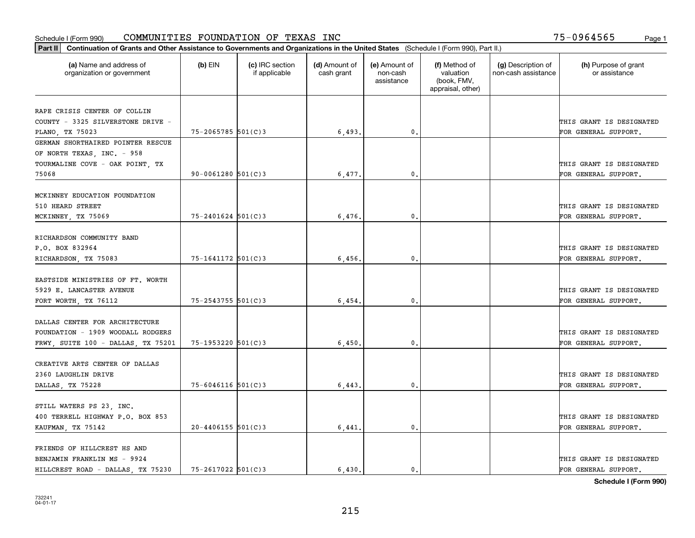| Part II   Continuation of Grants and Other Assistance to Governments and Organizations in the United States (Schedule I (Form 990), Part II.) |                         |                                  |                             |                                         |                                                                |                                           |                                                  |
|-----------------------------------------------------------------------------------------------------------------------------------------------|-------------------------|----------------------------------|-----------------------------|-----------------------------------------|----------------------------------------------------------------|-------------------------------------------|--------------------------------------------------|
| (a) Name and address of<br>organization or government                                                                                         | $(b)$ EIN               | (c) IRC section<br>if applicable | (d) Amount of<br>cash grant | (e) Amount of<br>non-cash<br>assistance | (f) Method of<br>valuation<br>(book, FMV,<br>appraisal, other) | (g) Description of<br>non-cash assistance | (h) Purpose of grant<br>or assistance            |
|                                                                                                                                               |                         |                                  |                             |                                         |                                                                |                                           |                                                  |
| RAPE CRISIS CENTER OF COLLIN<br>COUNTY - 3325 SILVERSTONE DRIVE -                                                                             |                         |                                  |                             |                                         |                                                                |                                           | THIS GRANT IS DESIGNATED                         |
| PLANO, TX 75023                                                                                                                               | $75 - 2065785$ 501(C)3  |                                  | 6,493.                      | 0.                                      |                                                                |                                           | FOR GENERAL SUPPORT.                             |
| GERMAN SHORTHAIRED POINTER RESCUE                                                                                                             |                         |                                  |                             |                                         |                                                                |                                           |                                                  |
| OF NORTH TEXAS, INC. - 958                                                                                                                    |                         |                                  |                             |                                         |                                                                |                                           |                                                  |
| TOURMALINE COVE - OAK POINT, TX                                                                                                               |                         |                                  |                             |                                         |                                                                |                                           | THIS GRANT IS DESIGNATED                         |
| 75068                                                                                                                                         | $90 - 0061280$ 501(C)3  |                                  | 6,477                       | $\mathbf{0}$                            |                                                                |                                           | FOR GENERAL SUPPORT.                             |
|                                                                                                                                               |                         |                                  |                             |                                         |                                                                |                                           |                                                  |
| MCKINNEY EDUCATION FOUNDATION                                                                                                                 |                         |                                  |                             |                                         |                                                                |                                           |                                                  |
| 510 HEARD STREET                                                                                                                              |                         |                                  |                             |                                         |                                                                |                                           | THIS GRANT IS DESIGNATED                         |
| MCKINNEY, TX 75069                                                                                                                            | $75 - 2401624$ 501(C)3  |                                  | 6,476.                      | $\mathbf{0}$ .                          |                                                                |                                           | FOR GENERAL SUPPORT.                             |
|                                                                                                                                               |                         |                                  |                             |                                         |                                                                |                                           |                                                  |
| RICHARDSON COMMUNITY BAND                                                                                                                     |                         |                                  |                             |                                         |                                                                |                                           |                                                  |
| P.O. BOX 832964                                                                                                                               |                         |                                  |                             |                                         |                                                                |                                           | THIS GRANT IS DESIGNATED                         |
| RICHARDSON, TX 75083                                                                                                                          | 75-1641172 501(C)3      |                                  | 6,456.                      | $\mathbf{0}$ .                          |                                                                |                                           | FOR GENERAL SUPPORT.                             |
|                                                                                                                                               |                         |                                  |                             |                                         |                                                                |                                           |                                                  |
| EASTSIDE MINISTRIES OF FT. WORTH                                                                                                              |                         |                                  |                             |                                         |                                                                |                                           |                                                  |
| 5929 E. LANCASTER AVENUE                                                                                                                      |                         |                                  |                             |                                         |                                                                |                                           | THIS GRANT IS DESIGNATED                         |
| FORT WORTH, TX 76112                                                                                                                          | 75-2543755 501(C)3      |                                  | 6,454                       | 0.                                      |                                                                |                                           | FOR GENERAL SUPPORT.                             |
|                                                                                                                                               |                         |                                  |                             |                                         |                                                                |                                           |                                                  |
| DALLAS CENTER FOR ARCHITECTURE                                                                                                                |                         |                                  |                             |                                         |                                                                |                                           |                                                  |
| FOUNDATION - 1909 WOODALL RODGERS                                                                                                             |                         |                                  |                             |                                         |                                                                |                                           | THIS GRANT IS DESIGNATED                         |
| FRWY, SUITE 100 - DALLAS, TX 75201                                                                                                            | $75 - 1953220$ 501(C)3  |                                  | 6,450.                      | 0.                                      |                                                                |                                           | FOR GENERAL SUPPORT.                             |
|                                                                                                                                               |                         |                                  |                             |                                         |                                                                |                                           |                                                  |
| CREATIVE ARTS CENTER OF DALLAS                                                                                                                |                         |                                  |                             |                                         |                                                                |                                           |                                                  |
| 2360 LAUGHLIN DRIVE                                                                                                                           |                         |                                  |                             |                                         |                                                                |                                           | THIS GRANT IS DESIGNATED                         |
| DALLAS, TX 75228                                                                                                                              | $75 - 6046116$ 501(C)3  |                                  | 6,443                       | $\mathbf{0}$ .                          |                                                                |                                           | FOR GENERAL SUPPORT.                             |
|                                                                                                                                               |                         |                                  |                             |                                         |                                                                |                                           |                                                  |
| STILL WATERS PS 23, INC.                                                                                                                      |                         |                                  |                             |                                         |                                                                |                                           |                                                  |
| 400 TERRELL HIGHWAY P.O. BOX 853                                                                                                              |                         |                                  |                             |                                         |                                                                |                                           | THIS GRANT IS DESIGNATED                         |
| KAUFMAN, TX 75142                                                                                                                             | $20 - 4406155$ 501(C) 3 |                                  | 6,441                       | $\mathbf{0}$ .                          |                                                                |                                           | FOR GENERAL SUPPORT.                             |
|                                                                                                                                               |                         |                                  |                             |                                         |                                                                |                                           |                                                  |
| FRIENDS OF HILLCREST HS AND                                                                                                                   |                         |                                  |                             |                                         |                                                                |                                           |                                                  |
| BENJAMIN FRANKLIN MS - 9924                                                                                                                   | $75 - 2617022$ 501(C)3  |                                  | 6.430.                      | $\mathbf{0}$ .                          |                                                                |                                           | THIS GRANT IS DESIGNATED<br>FOR GENERAL SUPPORT. |
| HILLCREST ROAD - DALLAS, TX 75230                                                                                                             |                         |                                  |                             |                                         |                                                                |                                           |                                                  |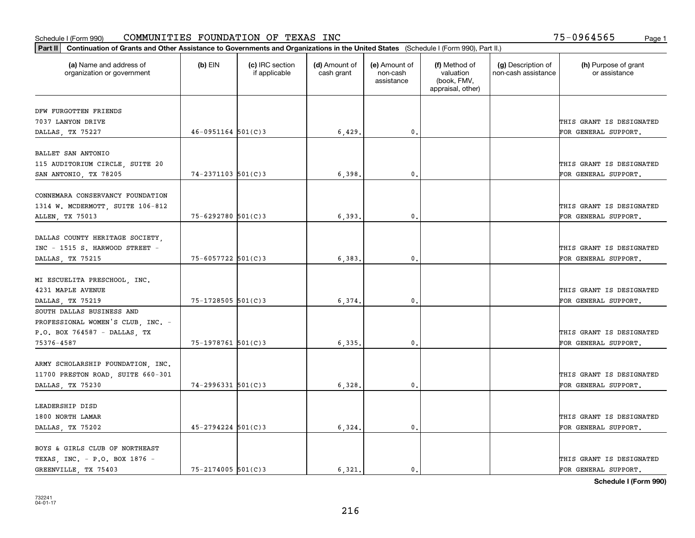| Part II   Continuation of Grants and Other Assistance to Governments and Organizations in the United States (Schedule I (Form 990), Part II.) |                        |                                  |                             |                                         |                                                                |                                           |                                       |
|-----------------------------------------------------------------------------------------------------------------------------------------------|------------------------|----------------------------------|-----------------------------|-----------------------------------------|----------------------------------------------------------------|-------------------------------------------|---------------------------------------|
| (a) Name and address of<br>organization or government                                                                                         | $(b)$ EIN              | (c) IRC section<br>if applicable | (d) Amount of<br>cash grant | (e) Amount of<br>non-cash<br>assistance | (f) Method of<br>valuation<br>(book, FMV,<br>appraisal, other) | (g) Description of<br>non-cash assistance | (h) Purpose of grant<br>or assistance |
| DFW FURGOTTEN FRIENDS                                                                                                                         |                        |                                  |                             |                                         |                                                                |                                           |                                       |
| 7037 LANYON DRIVE                                                                                                                             |                        |                                  |                             |                                         |                                                                |                                           | THIS GRANT IS DESIGNATED              |
| DALLAS, TX 75227                                                                                                                              | $46 - 0951164$ 501(C)3 |                                  | 6,429                       | 0.                                      |                                                                |                                           | FOR GENERAL SUPPORT.                  |
|                                                                                                                                               |                        |                                  |                             |                                         |                                                                |                                           |                                       |
| BALLET SAN ANTONIO                                                                                                                            |                        |                                  |                             |                                         |                                                                |                                           |                                       |
| 115 AUDITORIUM CIRCLE, SUITE 20                                                                                                               |                        |                                  |                             |                                         |                                                                |                                           | THIS GRANT IS DESIGNATED              |
| SAN ANTONIO, TX 78205                                                                                                                         | $74 - 2371103$ 501(C)3 |                                  | 6,398                       | 0.                                      |                                                                |                                           | FOR GENERAL SUPPORT.                  |
|                                                                                                                                               |                        |                                  |                             |                                         |                                                                |                                           |                                       |
| CONNEMARA CONSERVANCY FOUNDATION                                                                                                              |                        |                                  |                             |                                         |                                                                |                                           |                                       |
| 1314 W. MCDERMOTT, SUITE 106-812                                                                                                              |                        |                                  |                             |                                         |                                                                |                                           | THIS GRANT IS DESIGNATED              |
| ALLEN, TX 75013                                                                                                                               | 75-6292780 501(C)3     |                                  | 6,393.                      | $\mathfrak{o}$ .                        |                                                                |                                           | FOR GENERAL SUPPORT.                  |
|                                                                                                                                               |                        |                                  |                             |                                         |                                                                |                                           |                                       |
| DALLAS COUNTY HERITAGE SOCIETY,                                                                                                               |                        |                                  |                             |                                         |                                                                |                                           |                                       |
| INC - 1515 S. HARWOOD STREET -                                                                                                                |                        |                                  |                             |                                         |                                                                |                                           | THIS GRANT IS DESIGNATED              |
| DALLAS, TX 75215                                                                                                                              | 75-6057722 501(C)3     |                                  | 6,383.                      | 0.                                      |                                                                |                                           | FOR GENERAL SUPPORT.                  |
|                                                                                                                                               |                        |                                  |                             |                                         |                                                                |                                           |                                       |
| MI ESCUELITA PRESCHOOL, INC.                                                                                                                  |                        |                                  |                             |                                         |                                                                |                                           |                                       |
| 4231 MAPLE AVENUE                                                                                                                             |                        |                                  |                             |                                         |                                                                |                                           | THIS GRANT IS DESIGNATED              |
| DALLAS, TX 75219                                                                                                                              | $75 - 1728505$ 501(C)3 |                                  | 6,374.                      | 0.                                      |                                                                |                                           | FOR GENERAL SUPPORT.                  |
| SOUTH DALLAS BUSINESS AND                                                                                                                     |                        |                                  |                             |                                         |                                                                |                                           |                                       |
| PROFESSIONAL WOMEN'S CLUB, INC. -                                                                                                             |                        |                                  |                             |                                         |                                                                |                                           |                                       |
| P.O. BOX 764587 - DALLAS, TX                                                                                                                  |                        |                                  |                             |                                         |                                                                |                                           | THIS GRANT IS DESIGNATED              |
| 75376-4587                                                                                                                                    | 75-1978761 501(C)3     |                                  | 6,335,                      | 0.                                      |                                                                |                                           | FOR GENERAL SUPPORT.                  |
|                                                                                                                                               |                        |                                  |                             |                                         |                                                                |                                           |                                       |
| ARMY SCHOLARSHIP FOUNDATION, INC.                                                                                                             |                        |                                  |                             |                                         |                                                                |                                           |                                       |
| 11700 PRESTON ROAD, SUITE 660-301                                                                                                             |                        |                                  |                             |                                         |                                                                |                                           | THIS GRANT IS DESIGNATED              |
| DALLAS, TX 75230                                                                                                                              | $74 - 2996331$ 501(C)3 |                                  | 6,328                       | $\mathbf{0}$ .                          |                                                                |                                           | FOR GENERAL SUPPORT.                  |
|                                                                                                                                               |                        |                                  |                             |                                         |                                                                |                                           |                                       |
| LEADERSHIP DISD                                                                                                                               |                        |                                  |                             |                                         |                                                                |                                           |                                       |
| 1800 NORTH LAMAR                                                                                                                              |                        |                                  |                             |                                         |                                                                |                                           | THIS GRANT IS DESIGNATED              |
| DALLAS, TX 75202                                                                                                                              | $45 - 2794224$ 501(C)3 |                                  | 6,324.                      | 0.                                      |                                                                |                                           | FOR GENERAL SUPPORT.                  |
|                                                                                                                                               |                        |                                  |                             |                                         |                                                                |                                           |                                       |
| BOYS & GIRLS CLUB OF NORTHEAST                                                                                                                |                        |                                  |                             |                                         |                                                                |                                           |                                       |
| TEXAS, INC. - P.O. BOX 1876 -                                                                                                                 |                        |                                  |                             |                                         |                                                                |                                           | THIS GRANT IS DESIGNATED              |
| GREENVILLE, TX 75403                                                                                                                          | $75 - 2174005$ 501(C)3 |                                  | 6,321.                      | $\mathbf{0}$ .                          |                                                                |                                           | FOR GENERAL SUPPORT.                  |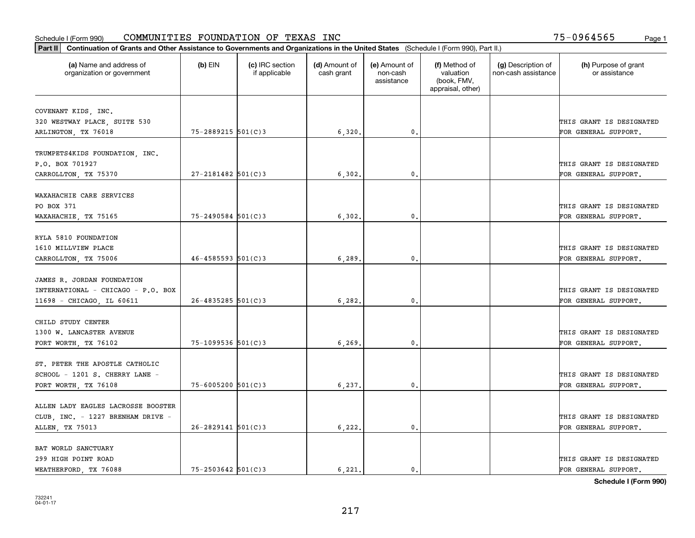| Part II   Continuation of Grants and Other Assistance to Governments and Organizations in the United States (Schedule I (Form 990), Part II.) |                          |                                  |                             |                                         |                                                                |                                           |                                                  |
|-----------------------------------------------------------------------------------------------------------------------------------------------|--------------------------|----------------------------------|-----------------------------|-----------------------------------------|----------------------------------------------------------------|-------------------------------------------|--------------------------------------------------|
| (a) Name and address of<br>organization or government                                                                                         | $(b)$ EIN                | (c) IRC section<br>if applicable | (d) Amount of<br>cash grant | (e) Amount of<br>non-cash<br>assistance | (f) Method of<br>valuation<br>(book, FMV,<br>appraisal, other) | (g) Description of<br>non-cash assistance | (h) Purpose of grant<br>or assistance            |
|                                                                                                                                               |                          |                                  |                             |                                         |                                                                |                                           |                                                  |
| COVENANT KIDS, INC.                                                                                                                           |                          |                                  |                             |                                         |                                                                |                                           |                                                  |
| 320 WESTWAY PLACE, SUITE 530                                                                                                                  | 75-2889215 501(C)3       |                                  |                             | 0.                                      |                                                                |                                           | THIS GRANT IS DESIGNATED<br>FOR GENERAL SUPPORT. |
| ARLINGTON, TX 76018                                                                                                                           |                          |                                  | 6,320.                      |                                         |                                                                |                                           |                                                  |
| TRUMPETS4KIDS FOUNDATION, INC.                                                                                                                |                          |                                  |                             |                                         |                                                                |                                           |                                                  |
| P.O. BOX 701927                                                                                                                               |                          |                                  |                             |                                         |                                                                |                                           | THIS GRANT IS DESIGNATED                         |
| CARROLLTON, TX 75370                                                                                                                          | $27 - 2181482$ 501(C)3   |                                  | 6, 302                      | 0.                                      |                                                                |                                           | FOR GENERAL SUPPORT.                             |
|                                                                                                                                               |                          |                                  |                             |                                         |                                                                |                                           |                                                  |
| WAXAHACHIE CARE SERVICES                                                                                                                      |                          |                                  |                             |                                         |                                                                |                                           |                                                  |
| PO BOX 371                                                                                                                                    |                          |                                  |                             |                                         |                                                                |                                           | THIS GRANT IS DESIGNATED                         |
| WAXAHACHIE, TX 75165                                                                                                                          | $75 - 2490584$ 501(C)3   |                                  | 6, 302.                     | 0.                                      |                                                                |                                           | FOR GENERAL SUPPORT.                             |
|                                                                                                                                               |                          |                                  |                             |                                         |                                                                |                                           |                                                  |
| RYLA 5810 FOUNDATION                                                                                                                          |                          |                                  |                             |                                         |                                                                |                                           |                                                  |
| 1610 MILLVIEW PLACE                                                                                                                           |                          |                                  |                             |                                         |                                                                |                                           | THIS GRANT IS DESIGNATED                         |
| CARROLLTON, TX 75006                                                                                                                          | $46 - 4585593$ $501(C)3$ |                                  | 6,289                       | 0.                                      |                                                                |                                           | FOR GENERAL SUPPORT.                             |
|                                                                                                                                               |                          |                                  |                             |                                         |                                                                |                                           |                                                  |
| JAMES R. JORDAN FOUNDATION                                                                                                                    |                          |                                  |                             |                                         |                                                                |                                           |                                                  |
| INTERNATIONAL - CHICAGO - P.O. BOX                                                                                                            |                          |                                  |                             |                                         |                                                                |                                           | THIS GRANT IS DESIGNATED                         |
| 11698 - CHICAGO, IL 60611                                                                                                                     | $26 - 4835285$ 501(C)3   |                                  | 6, 282.                     | 0.                                      |                                                                |                                           | FOR GENERAL SUPPORT.                             |
|                                                                                                                                               |                          |                                  |                             |                                         |                                                                |                                           |                                                  |
| CHILD STUDY CENTER                                                                                                                            |                          |                                  |                             |                                         |                                                                |                                           |                                                  |
| 1300 W. LANCASTER AVENUE                                                                                                                      |                          |                                  |                             |                                         |                                                                |                                           | THIS GRANT IS DESIGNATED                         |
| FORT WORTH, TX 76102                                                                                                                          | $75 - 1099536$ 501(C)3   |                                  | 6,269                       | $\mathbf{0}$ .                          |                                                                |                                           | FOR GENERAL SUPPORT.                             |
|                                                                                                                                               |                          |                                  |                             |                                         |                                                                |                                           |                                                  |
| ST. PETER THE APOSTLE CATHOLIC                                                                                                                |                          |                                  |                             |                                         |                                                                |                                           |                                                  |
| SCHOOL - 1201 S. CHERRY LANE -                                                                                                                |                          |                                  |                             |                                         |                                                                |                                           | THIS GRANT IS DESIGNATED                         |
| FORT WORTH, TX 76108                                                                                                                          | $75 - 6005200$ 501(C)3   |                                  | 6, 237.                     | 0.                                      |                                                                |                                           | FOR GENERAL SUPPORT.                             |
|                                                                                                                                               |                          |                                  |                             |                                         |                                                                |                                           |                                                  |
| ALLEN LADY EAGLES LACROSSE BOOSTER                                                                                                            |                          |                                  |                             |                                         |                                                                |                                           |                                                  |
| CLUB, INC. - 1227 BRENHAM DRIVE -                                                                                                             |                          |                                  |                             |                                         |                                                                |                                           | THIS GRANT IS DESIGNATED                         |
| ALLEN, TX 75013                                                                                                                               | $26 - 2829141$ 501(C)3   |                                  | 6,222.                      | $\mathbf 0$ .                           |                                                                |                                           | FOR GENERAL SUPPORT.                             |
|                                                                                                                                               |                          |                                  |                             |                                         |                                                                |                                           |                                                  |
| BAT WORLD SANCTUARY                                                                                                                           |                          |                                  |                             |                                         |                                                                |                                           |                                                  |
| 299 HIGH POINT ROAD                                                                                                                           |                          |                                  |                             |                                         |                                                                |                                           | THIS GRANT IS DESIGNATED                         |
| WEATHERFORD, TX 76088                                                                                                                         | $75 - 2503642$ 501(C)3   |                                  | 6.221.                      | $\mathbf{0}$ .                          |                                                                |                                           | FOR GENERAL SUPPORT.                             |
|                                                                                                                                               |                          |                                  |                             |                                         |                                                                |                                           |                                                  |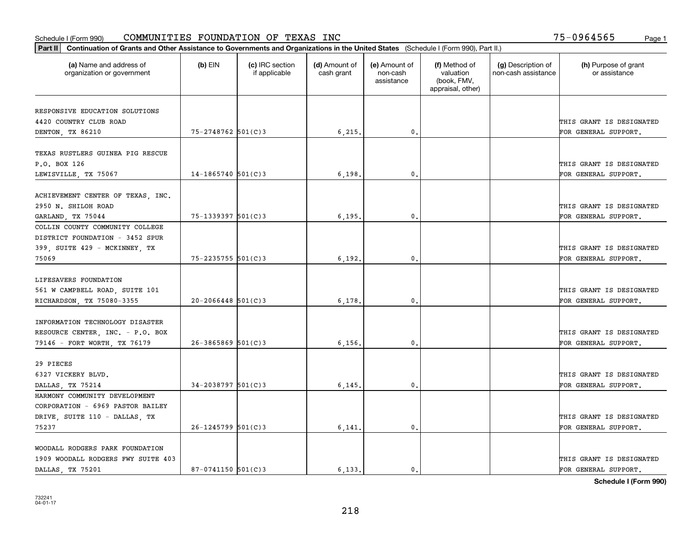| Part II   Continuation of Grants and Other Assistance to Governments and Organizations in the United States (Schedule I (Form 990), Part II.) |                        |                                  |                             |                                         |                                                                |                                           |                                       |
|-----------------------------------------------------------------------------------------------------------------------------------------------|------------------------|----------------------------------|-----------------------------|-----------------------------------------|----------------------------------------------------------------|-------------------------------------------|---------------------------------------|
| (a) Name and address of<br>organization or government                                                                                         | $(b)$ EIN              | (c) IRC section<br>if applicable | (d) Amount of<br>cash grant | (e) Amount of<br>non-cash<br>assistance | (f) Method of<br>valuation<br>(book, FMV,<br>appraisal, other) | (g) Description of<br>non-cash assistance | (h) Purpose of grant<br>or assistance |
|                                                                                                                                               |                        |                                  |                             |                                         |                                                                |                                           |                                       |
| RESPONSIVE EDUCATION SOLUTIONS<br>4420 COUNTRY CLUB ROAD                                                                                      |                        |                                  |                             |                                         |                                                                |                                           | THIS GRANT IS DESIGNATED              |
| DENTON, TX 86210                                                                                                                              | 75-2748762 501(C)3     |                                  | 6,215.                      | 0.                                      |                                                                |                                           | FOR GENERAL SUPPORT.                  |
|                                                                                                                                               |                        |                                  |                             |                                         |                                                                |                                           |                                       |
| TEXAS RUSTLERS GUINEA PIG RESCUE                                                                                                              |                        |                                  |                             |                                         |                                                                |                                           |                                       |
| P.O. BOX 126                                                                                                                                  |                        |                                  |                             |                                         |                                                                |                                           | THIS GRANT IS DESIGNATED              |
| LEWISVILLE, TX 75067                                                                                                                          | $14 - 1865740$ 501(C)3 |                                  | 6,198                       | 0.                                      |                                                                |                                           | FOR GENERAL SUPPORT.                  |
| ACHIEVEMENT CENTER OF TEXAS, INC.                                                                                                             |                        |                                  |                             |                                         |                                                                |                                           |                                       |
| 2950 N. SHILOH ROAD                                                                                                                           |                        |                                  |                             |                                         |                                                                |                                           | THIS GRANT IS DESIGNATED              |
| GARLAND, TX 75044                                                                                                                             | $75 - 1339397$ 501(C)3 |                                  | 6, 195.                     | $\mathbf{0}$ .                          |                                                                |                                           | FOR GENERAL SUPPORT.                  |
| COLLIN COUNTY COMMUNITY COLLEGE                                                                                                               |                        |                                  |                             |                                         |                                                                |                                           |                                       |
| DISTRICT FOUNDATION - 3452 SPUR                                                                                                               |                        |                                  |                             |                                         |                                                                |                                           |                                       |
| 399, SUITE 429 - MCKINNEY, TX                                                                                                                 |                        |                                  |                             |                                         |                                                                |                                           | THIS GRANT IS DESIGNATED              |
| 75069                                                                                                                                         | $75 - 2235755$ 501(C)3 |                                  | 6, 192.                     | $\mathbf{0}$                            |                                                                |                                           | FOR GENERAL SUPPORT.                  |
|                                                                                                                                               |                        |                                  |                             |                                         |                                                                |                                           |                                       |
| LIFESAVERS FOUNDATION                                                                                                                         |                        |                                  |                             |                                         |                                                                |                                           |                                       |
| 561 W CAMPBELL ROAD, SUITE 101                                                                                                                |                        |                                  |                             |                                         |                                                                |                                           | THIS GRANT IS DESIGNATED              |
| RICHARDSON, TX 75080-3355                                                                                                                     | $20 - 2066448$ 501(C)3 |                                  | 6,178                       | $\mathbf{0}$                            |                                                                |                                           | FOR GENERAL SUPPORT.                  |
|                                                                                                                                               |                        |                                  |                             |                                         |                                                                |                                           |                                       |
| INFORMATION TECHNOLOGY DISASTER                                                                                                               |                        |                                  |                             |                                         |                                                                |                                           |                                       |
| RESOURCE CENTER, INC. - P.O. BOX                                                                                                              |                        |                                  |                             |                                         |                                                                |                                           | THIS GRANT IS DESIGNATED              |
| 79146 - FORT WORTH, TX 76179                                                                                                                  | $26 - 3865869$ 501(C)3 |                                  | 6,156.                      | $\mathbf{0}$                            |                                                                |                                           | FOR GENERAL SUPPORT.                  |
|                                                                                                                                               |                        |                                  |                             |                                         |                                                                |                                           |                                       |
| 29 PIECES                                                                                                                                     |                        |                                  |                             |                                         |                                                                |                                           |                                       |
| 6327 VICKERY BLVD.                                                                                                                            |                        |                                  |                             |                                         |                                                                |                                           | THIS GRANT IS DESIGNATED              |
| DALLAS, TX 75214                                                                                                                              | $34 - 2038797$ 501(C)3 |                                  | 6, 145.                     | $^{\rm 0}$ .                            |                                                                |                                           | FOR GENERAL SUPPORT.                  |
| HARMONY COMMUNITY DEVELOPMENT                                                                                                                 |                        |                                  |                             |                                         |                                                                |                                           |                                       |
| CORPORATION - 6969 PASTOR BAILEY                                                                                                              |                        |                                  |                             |                                         |                                                                |                                           |                                       |
| DRIVE, SUITE 110 - DALLAS, TX                                                                                                                 |                        |                                  |                             |                                         |                                                                |                                           | THIS GRANT IS DESIGNATED              |
| 75237                                                                                                                                         | $26 - 1245799$ 501(C)3 |                                  | 6,141                       | $\mathfrak{o}$ .                        |                                                                |                                           | FOR GENERAL SUPPORT.                  |
|                                                                                                                                               |                        |                                  |                             |                                         |                                                                |                                           |                                       |
| WOODALL RODGERS PARK FOUNDATION                                                                                                               |                        |                                  |                             |                                         |                                                                |                                           |                                       |
| 1909 WOODALL RODGERS FWY SUITE 403                                                                                                            |                        |                                  |                             |                                         |                                                                |                                           | THIS GRANT IS DESIGNATED              |
| DALLAS, TX 75201                                                                                                                              | $87-0741150$ 501(C)3   |                                  | 6.133.                      | $\mathfrak{o}$ .                        |                                                                |                                           | FOR GENERAL SUPPORT.                  |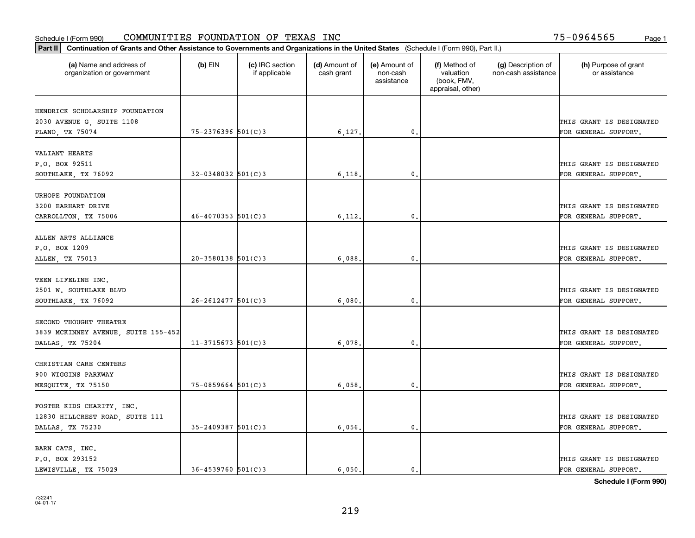| Part II   Continuation of Grants and Other Assistance to Governments and Organizations in the United States (Schedule I (Form 990), Part II.) |                        |                                  |                             |                                         |                                                                |                                           |                                       |
|-----------------------------------------------------------------------------------------------------------------------------------------------|------------------------|----------------------------------|-----------------------------|-----------------------------------------|----------------------------------------------------------------|-------------------------------------------|---------------------------------------|
| (a) Name and address of<br>organization or government                                                                                         | $(b)$ EIN              | (c) IRC section<br>if applicable | (d) Amount of<br>cash grant | (e) Amount of<br>non-cash<br>assistance | (f) Method of<br>valuation<br>(book, FMV,<br>appraisal, other) | (g) Description of<br>non-cash assistance | (h) Purpose of grant<br>or assistance |
|                                                                                                                                               |                        |                                  |                             |                                         |                                                                |                                           |                                       |
| HENDRICK SCHOLARSHIP FOUNDATION                                                                                                               |                        |                                  |                             |                                         |                                                                |                                           | THIS GRANT IS DESIGNATED              |
| 2030 AVENUE G, SUITE 1108<br>PLANO, TX 75074                                                                                                  | 75-2376396 501(C)3     |                                  | 6,127.                      | 0.                                      |                                                                |                                           | FOR GENERAL SUPPORT.                  |
|                                                                                                                                               |                        |                                  |                             |                                         |                                                                |                                           |                                       |
| VALIANT HEARTS                                                                                                                                |                        |                                  |                             |                                         |                                                                |                                           |                                       |
| P.O. BOX 92511                                                                                                                                |                        |                                  |                             |                                         |                                                                |                                           | THIS GRANT IS DESIGNATED              |
| SOUTHLAKE, TX 76092                                                                                                                           | $32 - 0348032$ 501(C)3 |                                  | 6,118                       | 0.                                      |                                                                |                                           | FOR GENERAL SUPPORT.                  |
|                                                                                                                                               |                        |                                  |                             |                                         |                                                                |                                           |                                       |
| URHOPE FOUNDATION                                                                                                                             |                        |                                  |                             |                                         |                                                                |                                           |                                       |
| 3200 EARHART DRIVE                                                                                                                            |                        |                                  |                             |                                         |                                                                |                                           | THIS GRANT IS DESIGNATED              |
| CARROLLTON, TX 75006                                                                                                                          | $46 - 4070353$ 501(C)3 |                                  | 6,112.                      | $^{\circ}$ .                            |                                                                |                                           | FOR GENERAL SUPPORT.                  |
|                                                                                                                                               |                        |                                  |                             |                                         |                                                                |                                           |                                       |
| ALLEN ARTS ALLIANCE                                                                                                                           |                        |                                  |                             |                                         |                                                                |                                           |                                       |
| P.O. BOX 1209                                                                                                                                 |                        |                                  |                             |                                         |                                                                |                                           | THIS GRANT IS DESIGNATED              |
| ALLEN, TX 75013                                                                                                                               | $20 - 3580138$ 501(C)3 |                                  | 6,088,                      | 0.                                      |                                                                |                                           | FOR GENERAL SUPPORT.                  |
|                                                                                                                                               |                        |                                  |                             |                                         |                                                                |                                           |                                       |
| TEEN LIFELINE INC.                                                                                                                            |                        |                                  |                             |                                         |                                                                |                                           |                                       |
| 2501 W. SOUTHLAKE BLVD                                                                                                                        |                        |                                  |                             |                                         |                                                                |                                           | THIS GRANT IS DESIGNATED              |
| SOUTHLAKE, TX 76092                                                                                                                           | $26 - 2612477$ 501(C)3 |                                  | 6,080                       | 0.                                      |                                                                |                                           | FOR GENERAL SUPPORT.                  |
|                                                                                                                                               |                        |                                  |                             |                                         |                                                                |                                           |                                       |
| SECOND THOUGHT THEATRE                                                                                                                        |                        |                                  |                             |                                         |                                                                |                                           |                                       |
| 3839 MCKINNEY AVENUE, SUITE 155-452                                                                                                           |                        |                                  |                             |                                         |                                                                |                                           | THIS GRANT IS DESIGNATED              |
| DALLAS, TX 75204                                                                                                                              | $11-3715673$ 501(C)3   |                                  | 6,078                       | 0.                                      |                                                                |                                           | FOR GENERAL SUPPORT.                  |
|                                                                                                                                               |                        |                                  |                             |                                         |                                                                |                                           |                                       |
| CHRISTIAN CARE CENTERS                                                                                                                        |                        |                                  |                             |                                         |                                                                |                                           |                                       |
| 900 WIGGINS PARKWAY                                                                                                                           |                        |                                  |                             |                                         |                                                                |                                           | THIS GRANT IS DESIGNATED              |
| MESQUITE, TX 75150                                                                                                                            | $75 - 0859664$ 501(C)3 |                                  | 6,058                       | $^{\circ}$ .                            |                                                                |                                           | FOR GENERAL SUPPORT.                  |
|                                                                                                                                               |                        |                                  |                             |                                         |                                                                |                                           |                                       |
| FOSTER KIDS CHARITY, INC.                                                                                                                     |                        |                                  |                             |                                         |                                                                |                                           |                                       |
| 12830 HILLCREST ROAD, SUITE 111                                                                                                               |                        |                                  |                             |                                         |                                                                |                                           | THIS GRANT IS DESIGNATED              |
| DALLAS, TX 75230                                                                                                                              | $35 - 2409387$ 501(C)3 |                                  | 6,056.                      | 0.                                      |                                                                |                                           | FOR GENERAL SUPPORT.                  |
| BARN CATS, INC.                                                                                                                               |                        |                                  |                             |                                         |                                                                |                                           |                                       |
| P.O. BOX 293152                                                                                                                               |                        |                                  |                             |                                         |                                                                |                                           | THIS GRANT IS DESIGNATED              |
| LEWISVILLE, TX 75029                                                                                                                          | $36 - 4539760$ 501(C)3 |                                  | 6.050.                      | 0.                                      |                                                                |                                           | FOR GENERAL SUPPORT.                  |
|                                                                                                                                               |                        |                                  |                             |                                         |                                                                |                                           |                                       |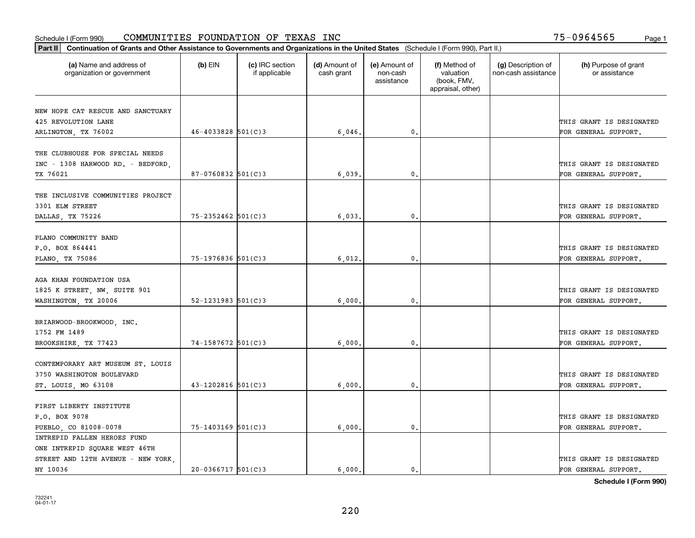| Part II   Continuation of Grants and Other Assistance to Governments and Organizations in the United States (Schedule I (Form 990), Part II.) |                          |                                  |                             |                                         |                                                                |                                           |                                                  |
|-----------------------------------------------------------------------------------------------------------------------------------------------|--------------------------|----------------------------------|-----------------------------|-----------------------------------------|----------------------------------------------------------------|-------------------------------------------|--------------------------------------------------|
| (a) Name and address of<br>organization or government                                                                                         | $(b)$ EIN                | (c) IRC section<br>if applicable | (d) Amount of<br>cash grant | (e) Amount of<br>non-cash<br>assistance | (f) Method of<br>valuation<br>(book, FMV,<br>appraisal, other) | (g) Description of<br>non-cash assistance | (h) Purpose of grant<br>or assistance            |
|                                                                                                                                               |                          |                                  |                             |                                         |                                                                |                                           |                                                  |
| NEW HOPE CAT RESCUE AND SANCTUARY<br>425 REVOLUTION LANE                                                                                      |                          |                                  |                             |                                         |                                                                |                                           | THIS GRANT IS DESIGNATED                         |
| ARLINGTON, TX 76002                                                                                                                           | $46 - 4033828$ 501(C)3   |                                  | 6,046.                      | 0.                                      |                                                                |                                           | FOR GENERAL SUPPORT.                             |
|                                                                                                                                               |                          |                                  |                             |                                         |                                                                |                                           |                                                  |
| THE CLUBHOUSE FOR SPECIAL NEEDS<br>INC - 1308 HARWOOD RD. - BEDFORD,<br>TX 76021                                                              | 87-0760832 501(C)3       |                                  | 6,039                       | $\mathbf{0}$                            |                                                                |                                           | THIS GRANT IS DESIGNATED<br>FOR GENERAL SUPPORT. |
|                                                                                                                                               |                          |                                  |                             |                                         |                                                                |                                           |                                                  |
| THE INCLUSIVE COMMUNITIES PROJECT<br>3301 ELM STREET<br>DALLAS, TX 75226                                                                      | 75-2352462 501(C)3       |                                  | 6,033                       | $\mathfrak{o}$ .                        |                                                                |                                           | THIS GRANT IS DESIGNATED<br>FOR GENERAL SUPPORT. |
|                                                                                                                                               |                          |                                  |                             |                                         |                                                                |                                           |                                                  |
| PLANO COMMUNITY BAND<br>P.O. BOX 864441<br>PLANO, TX 75086                                                                                    | $75 - 1976836$ 501(C)3   |                                  | 6,012.                      | $\mathbf{0}$ .                          |                                                                |                                           | THIS GRANT IS DESIGNATED<br>FOR GENERAL SUPPORT. |
|                                                                                                                                               |                          |                                  |                             |                                         |                                                                |                                           |                                                  |
| AGA KHAN FOUNDATION USA<br>1825 K STREET, NW, SUITE 901                                                                                       |                          |                                  |                             |                                         |                                                                |                                           | THIS GRANT IS DESIGNATED                         |
| WASHINGTON, TX 20006                                                                                                                          | $52 - 1231983$ $501(C)3$ |                                  | 6,000                       | 0.                                      |                                                                |                                           | FOR GENERAL SUPPORT.                             |
| BRIARWOOD-BROOKWOOD, INC.<br>1752 FM 1489<br>BROOKSHIRE, TX 77423                                                                             | 74-1587672 501(C)3       |                                  | 6,000                       | $\mathbf{0}$                            |                                                                |                                           | THIS GRANT IS DESIGNATED<br>FOR GENERAL SUPPORT. |
|                                                                                                                                               |                          |                                  |                             |                                         |                                                                |                                           |                                                  |
| CONTEMPORARY ART MUSEUM ST. LOUIS<br>3750 WASHINGTON BOULEVARD<br>ST. LOUIS, MO 63108                                                         | $43 - 1202816$ 501(C)3   |                                  | 6,000                       | 0.                                      |                                                                |                                           | THIS GRANT IS DESIGNATED<br>FOR GENERAL SUPPORT. |
|                                                                                                                                               |                          |                                  |                             |                                         |                                                                |                                           |                                                  |
| FIRST LIBERTY INSTITUTE                                                                                                                       |                          |                                  |                             |                                         |                                                                |                                           |                                                  |
| P.O. BOX 9078                                                                                                                                 |                          |                                  |                             |                                         |                                                                |                                           | THIS GRANT IS DESIGNATED                         |
| PUEBLO, CO 81008-0078                                                                                                                         | 75-1403169 501(C)3       |                                  | 6,000.                      | $\mathbf{0}$ .                          |                                                                |                                           | FOR GENERAL SUPPORT.                             |
| INTREPID FALLEN HEROES FUND                                                                                                                   |                          |                                  |                             |                                         |                                                                |                                           |                                                  |
| ONE INTREPID SQUARE WEST 46TH                                                                                                                 |                          |                                  |                             |                                         |                                                                |                                           |                                                  |
| STREET AND 12TH AVENUE - NEW YORK                                                                                                             |                          |                                  |                             |                                         |                                                                |                                           | THIS GRANT IS DESIGNATED                         |
| NY 10036                                                                                                                                      | $20-0366717$ 501(C)3     |                                  | 6.000.                      | $\mathbf{0}$ .                          |                                                                |                                           | FOR GENERAL SUPPORT.                             |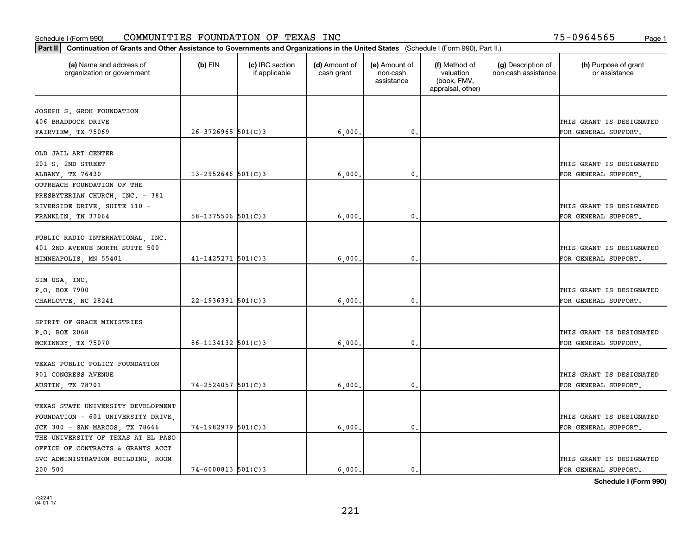|                                                       | Part II   Continuation of Grants and Other Assistance to Governments and Organizations in the United States (Schedule I (Form 990), Part II.) |                                  |                             |                                         |                                                                |                                           |                                       |  |  |  |
|-------------------------------------------------------|-----------------------------------------------------------------------------------------------------------------------------------------------|----------------------------------|-----------------------------|-----------------------------------------|----------------------------------------------------------------|-------------------------------------------|---------------------------------------|--|--|--|
| (a) Name and address of<br>organization or government | $(b)$ EIN                                                                                                                                     | (c) IRC section<br>if applicable | (d) Amount of<br>cash grant | (e) Amount of<br>non-cash<br>assistance | (f) Method of<br>valuation<br>(book, FMV,<br>appraisal, other) | (g) Description of<br>non-cash assistance | (h) Purpose of grant<br>or assistance |  |  |  |
|                                                       |                                                                                                                                               |                                  |                             |                                         |                                                                |                                           |                                       |  |  |  |
| JOSEPH S. GROH FOUNDATION                             |                                                                                                                                               |                                  |                             |                                         |                                                                |                                           |                                       |  |  |  |
| 406 BRADDOCK DRIVE                                    |                                                                                                                                               |                                  |                             |                                         |                                                                |                                           | THIS GRANT IS DESIGNATED              |  |  |  |
| FAIRVIEW, TX 75069                                    | $26 - 3726965$ 501(C)3                                                                                                                        |                                  | 6,000                       | $\mathfrak{o}$ .                        |                                                                |                                           | FOR GENERAL SUPPORT.                  |  |  |  |
| OLD JAIL ART CENTER                                   |                                                                                                                                               |                                  |                             |                                         |                                                                |                                           |                                       |  |  |  |
| 201 S. 2ND STREET                                     |                                                                                                                                               |                                  |                             |                                         |                                                                |                                           | THIS GRANT IS DESIGNATED              |  |  |  |
| ALBANY TX 76430                                       | $13 - 2952646$ 501(C)3                                                                                                                        |                                  | 6,000                       | 0.                                      |                                                                |                                           | FOR GENERAL SUPPORT.                  |  |  |  |
| OUTREACH FOUNDATION OF THE                            |                                                                                                                                               |                                  |                             |                                         |                                                                |                                           |                                       |  |  |  |
| PRESBYTERIAN CHURCH, INC. - 381                       |                                                                                                                                               |                                  |                             |                                         |                                                                |                                           |                                       |  |  |  |
| RIVERSIDE DRIVE, SUITE 110 -                          |                                                                                                                                               |                                  |                             |                                         |                                                                |                                           | THIS GRANT IS DESIGNATED              |  |  |  |
| FRANKLIN, TN 37064                                    | 58-1375506 $501(C)3$                                                                                                                          |                                  | 6,000                       | 0.                                      |                                                                |                                           | FOR GENERAL SUPPORT.                  |  |  |  |
|                                                       |                                                                                                                                               |                                  |                             |                                         |                                                                |                                           |                                       |  |  |  |
| PUBLIC RADIO INTERNATIONAL, INC.                      |                                                                                                                                               |                                  |                             |                                         |                                                                |                                           |                                       |  |  |  |
| 401 2ND AVENUE NORTH SUITE 500                        |                                                                                                                                               |                                  |                             |                                         |                                                                |                                           | THIS GRANT IS DESIGNATED              |  |  |  |
| MINNEAPOLIS, MN 55401                                 | $41 - 1425271$ 501(C)3                                                                                                                        |                                  | 6,000.                      | 0.                                      |                                                                |                                           | FOR GENERAL SUPPORT.                  |  |  |  |
|                                                       |                                                                                                                                               |                                  |                             |                                         |                                                                |                                           |                                       |  |  |  |
| SIM USA, INC.                                         |                                                                                                                                               |                                  |                             |                                         |                                                                |                                           |                                       |  |  |  |
| P.O. BOX 7900                                         |                                                                                                                                               |                                  |                             |                                         |                                                                |                                           | THIS GRANT IS DESIGNATED              |  |  |  |
| CHARLOTTE, NC 28241                                   | $22 - 1936391$ 501(C)3                                                                                                                        |                                  | 6,000                       | $\mathbf{0}$                            |                                                                |                                           | FOR GENERAL SUPPORT.                  |  |  |  |
|                                                       |                                                                                                                                               |                                  |                             |                                         |                                                                |                                           |                                       |  |  |  |
| SPIRIT OF GRACE MINISTRIES                            |                                                                                                                                               |                                  |                             |                                         |                                                                |                                           |                                       |  |  |  |
| P.O. BOX 2068                                         |                                                                                                                                               |                                  |                             |                                         |                                                                |                                           | THIS GRANT IS DESIGNATED              |  |  |  |
| MCKINNEY, TX 75070                                    | $86 - 1134132$ $501(C)3$                                                                                                                      |                                  | 6,000                       | $\mathfrak{o}$ .                        |                                                                |                                           | FOR GENERAL SUPPORT.                  |  |  |  |
|                                                       |                                                                                                                                               |                                  |                             |                                         |                                                                |                                           |                                       |  |  |  |
| TEXAS PUBLIC POLICY FOUNDATION                        |                                                                                                                                               |                                  |                             |                                         |                                                                |                                           |                                       |  |  |  |
| 901 CONGRESS AVENUE                                   |                                                                                                                                               |                                  |                             |                                         |                                                                |                                           | THIS GRANT IS DESIGNATED              |  |  |  |
| AUSTIN, TX 78701                                      | $74 - 2524057$ 501(C)3                                                                                                                        |                                  | 6,000                       | 0.                                      |                                                                |                                           | FOR GENERAL SUPPORT.                  |  |  |  |
|                                                       |                                                                                                                                               |                                  |                             |                                         |                                                                |                                           |                                       |  |  |  |
| TEXAS STATE UNIVERSITY DEVELOPMENT                    |                                                                                                                                               |                                  |                             |                                         |                                                                |                                           |                                       |  |  |  |
| FOUNDATION - 601 UNIVERSITY DRIVE                     |                                                                                                                                               |                                  |                             |                                         |                                                                |                                           | THIS GRANT IS DESIGNATED              |  |  |  |
| JCK 300 - SAN MARCOS, TX 78666                        | 74-1982979 501(C)3                                                                                                                            |                                  | 6,000                       | $\mathbf{0}$ .                          |                                                                |                                           | FOR GENERAL SUPPORT.                  |  |  |  |
| THE UNIVERSITY OF TEXAS AT EL PASO                    |                                                                                                                                               |                                  |                             |                                         |                                                                |                                           |                                       |  |  |  |
| OFFICE OF CONTRACTS & GRANTS ACCT                     |                                                                                                                                               |                                  |                             |                                         |                                                                |                                           |                                       |  |  |  |
| SVC ADMINISTRATION BUILDING, ROOM                     |                                                                                                                                               |                                  |                             |                                         |                                                                |                                           | THIS GRANT IS DESIGNATED              |  |  |  |
| 200 500                                               | $74 - 6000813$ 501(C)3                                                                                                                        |                                  | 6.000.                      | $\mathbf{0}$ .                          |                                                                |                                           | FOR GENERAL SUPPORT.                  |  |  |  |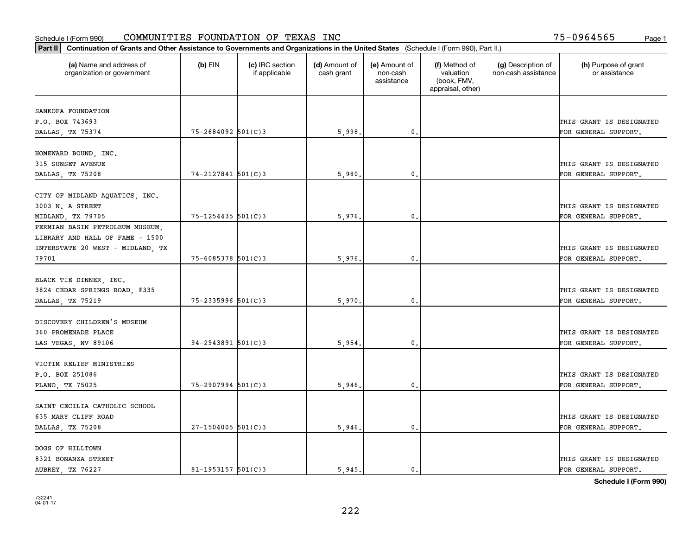| Part II   Continuation of Grants and Other Assistance to Governments and Organizations in the United States (Schedule I (Form 990), Part II.) |                        |                                  |                             |                                         |                                                                |                                           |                                       |
|-----------------------------------------------------------------------------------------------------------------------------------------------|------------------------|----------------------------------|-----------------------------|-----------------------------------------|----------------------------------------------------------------|-------------------------------------------|---------------------------------------|
| (a) Name and address of<br>organization or government                                                                                         | $(b)$ EIN              | (c) IRC section<br>if applicable | (d) Amount of<br>cash grant | (e) Amount of<br>non-cash<br>assistance | (f) Method of<br>valuation<br>(book, FMV,<br>appraisal, other) | (g) Description of<br>non-cash assistance | (h) Purpose of grant<br>or assistance |
| SANKOFA FOUNDATION                                                                                                                            |                        |                                  |                             |                                         |                                                                |                                           |                                       |
| P.O. BOX 743693                                                                                                                               |                        |                                  |                             |                                         |                                                                |                                           | THIS GRANT IS DESIGNATED              |
| DALLAS, TX 75374                                                                                                                              | 75-2684092 501(C)3     |                                  | 5,998.                      | 0.                                      |                                                                |                                           | FOR GENERAL SUPPORT.                  |
|                                                                                                                                               |                        |                                  |                             |                                         |                                                                |                                           |                                       |
| HOMEWARD BOUND, INC.                                                                                                                          |                        |                                  |                             |                                         |                                                                |                                           |                                       |
| 315 SUNSET AVENUE                                                                                                                             |                        |                                  |                             |                                         |                                                                |                                           | THIS GRANT IS DESIGNATED              |
| DALLAS, TX 75208                                                                                                                              | 74-2127841 501(C)3     |                                  | 5,980                       | 0.                                      |                                                                |                                           | FOR GENERAL SUPPORT.                  |
|                                                                                                                                               |                        |                                  |                             |                                         |                                                                |                                           |                                       |
| CITY OF MIDLAND AQUATICS, INC.                                                                                                                |                        |                                  |                             |                                         |                                                                |                                           |                                       |
| 3003 N. A STREET                                                                                                                              | $75 - 1254435$ 501(C)3 |                                  |                             | $\mathbf{0}$ .                          |                                                                |                                           | THIS GRANT IS DESIGNATED              |
| MIDLAND, TX 79705<br>PERMIAN BASIN PETROLEUM MUSEUM,                                                                                          |                        |                                  | 5,976.                      |                                         |                                                                |                                           | FOR GENERAL SUPPORT.                  |
| LIBRARY AND HALL OF FAME - 1500                                                                                                               |                        |                                  |                             |                                         |                                                                |                                           |                                       |
| INTERSTATE 20 WEST - MIDLAND, TX                                                                                                              |                        |                                  |                             |                                         |                                                                |                                           | THIS GRANT IS DESIGNATED              |
| 79701                                                                                                                                         | 75-6085378 501(C)3     |                                  | 5,976.                      | $\mathbf{0}$ .                          |                                                                |                                           | FOR GENERAL SUPPORT.                  |
|                                                                                                                                               |                        |                                  |                             |                                         |                                                                |                                           |                                       |
| BLACK TIE DINNER, INC.                                                                                                                        |                        |                                  |                             |                                         |                                                                |                                           |                                       |
| 3824 CEDAR SPRINGS ROAD, #335                                                                                                                 |                        |                                  |                             |                                         |                                                                |                                           | THIS GRANT IS DESIGNATED              |
| DALLAS, TX 75219                                                                                                                              | 75-2335996 501(C)3     |                                  | 5,970.                      | 0.                                      |                                                                |                                           | FOR GENERAL SUPPORT.                  |
|                                                                                                                                               |                        |                                  |                             |                                         |                                                                |                                           |                                       |
| DISCOVERY CHILDREN'S MUSEUM                                                                                                                   |                        |                                  |                             |                                         |                                                                |                                           |                                       |
| 360 PROMENADE PLACE                                                                                                                           |                        |                                  |                             |                                         |                                                                |                                           | THIS GRANT IS DESIGNATED              |
| LAS VEGAS, NV 89106                                                                                                                           | $94 - 2943891$ 501(C)3 |                                  | 5,954.                      | 0.                                      |                                                                |                                           | FOR GENERAL SUPPORT.                  |
|                                                                                                                                               |                        |                                  |                             |                                         |                                                                |                                           |                                       |
| VICTIM RELIEF MINISTRIES                                                                                                                      |                        |                                  |                             |                                         |                                                                |                                           |                                       |
| P.O. BOX 251086                                                                                                                               |                        |                                  |                             |                                         |                                                                |                                           | THIS GRANT IS DESIGNATED              |
| PLANO, TX 75025                                                                                                                               | 75-2907994 501(C)3     |                                  | 5,946.                      | $\mathfrak{o}$ .                        |                                                                |                                           | FOR GENERAL SUPPORT.                  |
| SAINT CECILIA CATHOLIC SCHOOL                                                                                                                 |                        |                                  |                             |                                         |                                                                |                                           |                                       |
| 635 MARY CLIFF ROAD                                                                                                                           |                        |                                  |                             |                                         |                                                                |                                           | THIS GRANT IS DESIGNATED              |
| DALLAS, TX 75208                                                                                                                              | $27 - 1504005$ 501(C)3 |                                  | 5,946.                      | $\mathfrak o$ .                         |                                                                |                                           | FOR GENERAL SUPPORT.                  |
|                                                                                                                                               |                        |                                  |                             |                                         |                                                                |                                           |                                       |
| DOGS OF HILLTOWN                                                                                                                              |                        |                                  |                             |                                         |                                                                |                                           |                                       |
| 8321 BONANZA STREET                                                                                                                           |                        |                                  |                             |                                         |                                                                |                                           | THIS GRANT IS DESIGNATED              |
| AUBREY, TX 76227                                                                                                                              | 81-1953157 $501(C)$ 3  |                                  | 5.945.                      | $\mathbf{0}$ .                          |                                                                |                                           | FOR GENERAL SUPPORT.                  |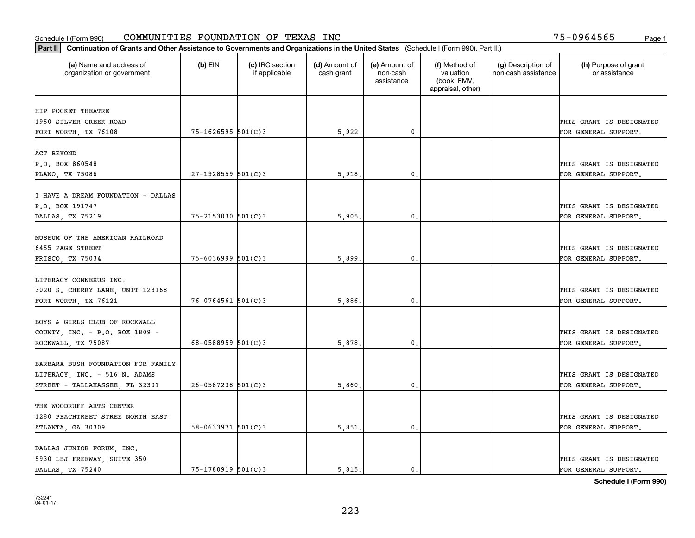| Part II   Continuation of Grants and Other Assistance to Governments and Organizations in the United States (Schedule I (Form 990), Part II.) |                          |                                  |                             |                                         |                                                                |                                           |                                       |
|-----------------------------------------------------------------------------------------------------------------------------------------------|--------------------------|----------------------------------|-----------------------------|-----------------------------------------|----------------------------------------------------------------|-------------------------------------------|---------------------------------------|
| (a) Name and address of<br>organization or government                                                                                         | $(b)$ EIN                | (c) IRC section<br>if applicable | (d) Amount of<br>cash grant | (e) Amount of<br>non-cash<br>assistance | (f) Method of<br>valuation<br>(book, FMV,<br>appraisal, other) | (g) Description of<br>non-cash assistance | (h) Purpose of grant<br>or assistance |
| HIP POCKET THEATRE                                                                                                                            |                          |                                  |                             |                                         |                                                                |                                           |                                       |
| 1950 SILVER CREEK ROAD                                                                                                                        |                          |                                  |                             |                                         |                                                                |                                           | THIS GRANT IS DESIGNATED              |
| FORT WORTH, TX 76108                                                                                                                          | $75 - 1626595$ 501(C)3   |                                  | 5,922.                      | 0.                                      |                                                                |                                           | FOR GENERAL SUPPORT.                  |
|                                                                                                                                               |                          |                                  |                             |                                         |                                                                |                                           |                                       |
| ACT BEYOND                                                                                                                                    |                          |                                  |                             |                                         |                                                                |                                           |                                       |
| P.O. BOX 860548                                                                                                                               |                          |                                  |                             |                                         |                                                                |                                           | THIS GRANT IS DESIGNATED              |
| PLANO, TX 75086                                                                                                                               | $27 - 1928559$ 501(C)3   |                                  | 5,918                       | 0.                                      |                                                                |                                           | FOR GENERAL SUPPORT.                  |
|                                                                                                                                               |                          |                                  |                             |                                         |                                                                |                                           |                                       |
| I HAVE A DREAM FOUNDATION - DALLAS                                                                                                            |                          |                                  |                             |                                         |                                                                |                                           | THIS GRANT IS DESIGNATED              |
| P.O. BOX 191747                                                                                                                               | $75 - 2153030$ $501(C)3$ |                                  |                             | $\mathbf{0}$ .                          |                                                                |                                           |                                       |
| DALLAS, TX 75219                                                                                                                              |                          |                                  | 5,905                       |                                         |                                                                |                                           | FOR GENERAL SUPPORT.                  |
| MUSEUM OF THE AMERICAN RAILROAD                                                                                                               |                          |                                  |                             |                                         |                                                                |                                           |                                       |
| 6455 PAGE STREET                                                                                                                              |                          |                                  |                             |                                         |                                                                |                                           | THIS GRANT IS DESIGNATED              |
| FRISCO, TX 75034                                                                                                                              | $75 - 6036999$ 501(C)3   |                                  | 5,899                       | $\mathbf{0}$                            |                                                                |                                           | FOR GENERAL SUPPORT.                  |
|                                                                                                                                               |                          |                                  |                             |                                         |                                                                |                                           |                                       |
| LITERACY CONNEXUS INC.                                                                                                                        |                          |                                  |                             |                                         |                                                                |                                           |                                       |
| 3020 S. CHERRY LANE, UNIT 123168                                                                                                              |                          |                                  |                             |                                         |                                                                |                                           | THIS GRANT IS DESIGNATED              |
| FORT WORTH, TX 76121                                                                                                                          | $76 - 0764561$ 501(C)3   |                                  | 5,886                       | $\mathbf{0}$                            |                                                                |                                           | FOR GENERAL SUPPORT.                  |
|                                                                                                                                               |                          |                                  |                             |                                         |                                                                |                                           |                                       |
| BOYS & GIRLS CLUB OF ROCKWALL                                                                                                                 |                          |                                  |                             |                                         |                                                                |                                           |                                       |
| COUNTY, INC. - P.O. BOX 1809 -                                                                                                                |                          |                                  |                             |                                         |                                                                |                                           | THIS GRANT IS DESIGNATED              |
| ROCKWALL, TX 75087                                                                                                                            | 68-0588959 $501(C)$ 3    |                                  | 5,878.                      | $\mathbf{0}$                            |                                                                |                                           | FOR GENERAL SUPPORT.                  |
| BARBARA BUSH FOUNDATION FOR FAMILY                                                                                                            |                          |                                  |                             |                                         |                                                                |                                           |                                       |
| LITERACY, INC. - 516 N. ADAMS                                                                                                                 |                          |                                  |                             |                                         |                                                                |                                           | THIS GRANT IS DESIGNATED              |
| STREET - TALLAHASSEE, FL 32301                                                                                                                | $26 - 0587238$ 501(C)3   |                                  | 5,860                       | $^{\rm 0}$ .                            |                                                                |                                           | FOR GENERAL SUPPORT.                  |
|                                                                                                                                               |                          |                                  |                             |                                         |                                                                |                                           |                                       |
| THE WOODRUFF ARTS CENTER                                                                                                                      |                          |                                  |                             |                                         |                                                                |                                           |                                       |
| 1280 PEACHTREET STREE NORTH EAST                                                                                                              |                          |                                  |                             |                                         |                                                                |                                           | THIS GRANT IS DESIGNATED              |
| ATLANTA, GA 30309                                                                                                                             | $58 - 0633971$ $501(C)3$ |                                  | 5,851                       | $\mathfrak{o}$ .                        |                                                                |                                           | FOR GENERAL SUPPORT.                  |
|                                                                                                                                               |                          |                                  |                             |                                         |                                                                |                                           |                                       |
| DALLAS JUNIOR FORUM, INC.                                                                                                                     |                          |                                  |                             |                                         |                                                                |                                           |                                       |
| 5930 LBJ FREEWAY, SUITE 350                                                                                                                   |                          |                                  |                             |                                         |                                                                |                                           | THIS GRANT IS DESIGNATED              |
| DALLAS, TX 75240                                                                                                                              | 75-1780919 501(C)3       |                                  | 5.815.                      | $\mathbf{0}$ .                          |                                                                |                                           | FOR GENERAL SUPPORT.                  |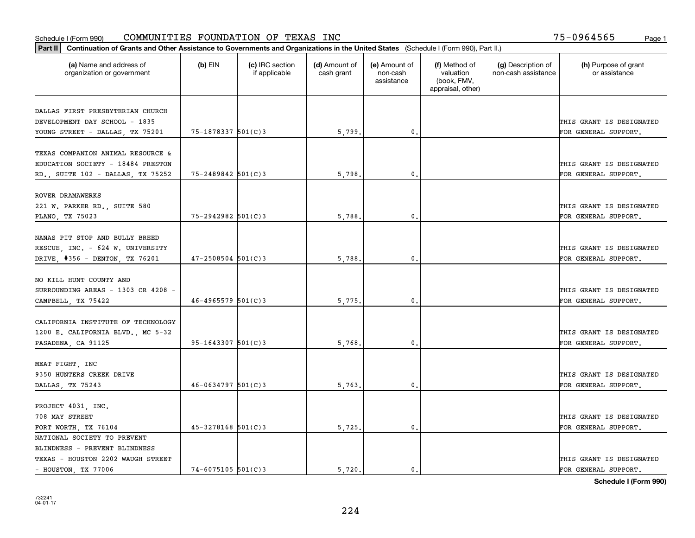| Part II   Continuation of Grants and Other Assistance to Governments and Organizations in the United States (Schedule I (Form 990), Part II.) |                        |                                  |                             |                                         |                                                                |                                           |                                       |
|-----------------------------------------------------------------------------------------------------------------------------------------------|------------------------|----------------------------------|-----------------------------|-----------------------------------------|----------------------------------------------------------------|-------------------------------------------|---------------------------------------|
| (a) Name and address of<br>organization or government                                                                                         | $(b)$ EIN              | (c) IRC section<br>if applicable | (d) Amount of<br>cash grant | (e) Amount of<br>non-cash<br>assistance | (f) Method of<br>valuation<br>(book, FMV,<br>appraisal, other) | (g) Description of<br>non-cash assistance | (h) Purpose of grant<br>or assistance |
|                                                                                                                                               |                        |                                  |                             |                                         |                                                                |                                           |                                       |
| DALLAS FIRST PRESBYTERIAN CHURCH<br>DEVELOPMENT DAY SCHOOL - 1835                                                                             |                        |                                  |                             |                                         |                                                                |                                           | THIS GRANT IS DESIGNATED              |
|                                                                                                                                               | 75-1878337 501(C)3     |                                  | 5,799.                      | $\mathbf 0$ .                           |                                                                |                                           | FOR GENERAL SUPPORT.                  |
| YOUNG STREET - DALLAS, TX 75201                                                                                                               |                        |                                  |                             |                                         |                                                                |                                           |                                       |
| TEXAS COMPANION ANIMAL RESOURCE &                                                                                                             |                        |                                  |                             |                                         |                                                                |                                           |                                       |
| EDUCATION SOCIETY - 18484 PRESTON                                                                                                             |                        |                                  |                             |                                         |                                                                |                                           | THIS GRANT IS DESIGNATED              |
| RD., SUITE 102 - DALLAS, TX 75252                                                                                                             | 75-2489842 501(C)3     |                                  | 5,798                       | 0.                                      |                                                                |                                           | FOR GENERAL SUPPORT.                  |
|                                                                                                                                               |                        |                                  |                             |                                         |                                                                |                                           |                                       |
| ROVER DRAMAWERKS                                                                                                                              |                        |                                  |                             |                                         |                                                                |                                           |                                       |
| 221 W. PARKER RD., SUITE 580                                                                                                                  |                        |                                  |                             |                                         |                                                                |                                           | THIS GRANT IS DESIGNATED              |
| PLANO, TX 75023                                                                                                                               | $75 - 2942982$ 501(C)3 |                                  | 5,788.                      | $\mathfrak{o}$ .                        |                                                                |                                           | FOR GENERAL SUPPORT.                  |
|                                                                                                                                               |                        |                                  |                             |                                         |                                                                |                                           |                                       |
| NANAS PIT STOP AND BULLY BREED                                                                                                                |                        |                                  |                             |                                         |                                                                |                                           |                                       |
| RESCUE, INC. - 624 W. UNIVERSITY                                                                                                              |                        |                                  |                             |                                         |                                                                |                                           | THIS GRANT IS DESIGNATED              |
| DRIVE, #356 - DENTON, TX 76201                                                                                                                | $47 - 2508504$ 501(C)3 |                                  | 5,788.                      | $\mathbf{0}$                            |                                                                |                                           | FOR GENERAL SUPPORT.                  |
|                                                                                                                                               |                        |                                  |                             |                                         |                                                                |                                           |                                       |
| NO KILL HUNT COUNTY AND                                                                                                                       |                        |                                  |                             |                                         |                                                                |                                           |                                       |
| SURROUNDING AREAS - 1303 CR 4208 -                                                                                                            |                        |                                  |                             |                                         |                                                                |                                           | THIS GRANT IS DESIGNATED              |
| CAMPBELL, TX 75422                                                                                                                            | $46 - 4965579$ 501(C)3 |                                  | 5,775.                      | $\mathbf{0}$                            |                                                                |                                           | FOR GENERAL SUPPORT.                  |
|                                                                                                                                               |                        |                                  |                             |                                         |                                                                |                                           |                                       |
| CALIFORNIA INSTITUTE OF TECHNOLOGY                                                                                                            |                        |                                  |                             |                                         |                                                                |                                           |                                       |
| 1200 E. CALIFORNIA BLVD., MC 5-32                                                                                                             |                        |                                  |                             |                                         |                                                                |                                           | THIS GRANT IS DESIGNATED              |
| PASADENA, CA 91125                                                                                                                            | $95 - 1643307$ 501(C)3 |                                  | 5,768.                      | $\mathbf{0}$                            |                                                                |                                           | FOR GENERAL SUPPORT.                  |
|                                                                                                                                               |                        |                                  |                             |                                         |                                                                |                                           |                                       |
| MEAT FIGHT, INC                                                                                                                               |                        |                                  |                             |                                         |                                                                |                                           |                                       |
| 9350 HUNTERS CREEK DRIVE                                                                                                                      |                        |                                  |                             |                                         |                                                                |                                           | THIS GRANT IS DESIGNATED              |
| DALLAS, TX 75243                                                                                                                              | $46 - 0634797$ 501(C)3 |                                  | 5,763.                      | $^{\circ}$ .                            |                                                                |                                           | FOR GENERAL SUPPORT.                  |
|                                                                                                                                               |                        |                                  |                             |                                         |                                                                |                                           |                                       |
| PROJECT 4031, INC.                                                                                                                            |                        |                                  |                             |                                         |                                                                |                                           |                                       |
| 708 MAY STREET                                                                                                                                |                        |                                  |                             |                                         |                                                                |                                           | THIS GRANT IS DESIGNATED              |
| FORT WORTH, TX 76104                                                                                                                          | $45 - 3278168$ 501(C)3 |                                  | 5,725.                      | $\mathbf{0}$ .                          |                                                                |                                           | FOR GENERAL SUPPORT.                  |
| NATIONAL SOCIETY TO PREVENT                                                                                                                   |                        |                                  |                             |                                         |                                                                |                                           |                                       |
| BLINDNESS - PREVENT BLINDNESS                                                                                                                 |                        |                                  |                             |                                         |                                                                |                                           |                                       |
| TEXAS - HOUSTON 2202 WAUGH STREET                                                                                                             |                        |                                  |                             |                                         |                                                                |                                           | THIS GRANT IS DESIGNATED              |
| $-$ HOUSTON, TX 77006                                                                                                                         | $74 - 6075105$ 501(C)3 |                                  | 5.720.                      | $\mathbf{0}$ .                          |                                                                |                                           | FOR GENERAL SUPPORT.                  |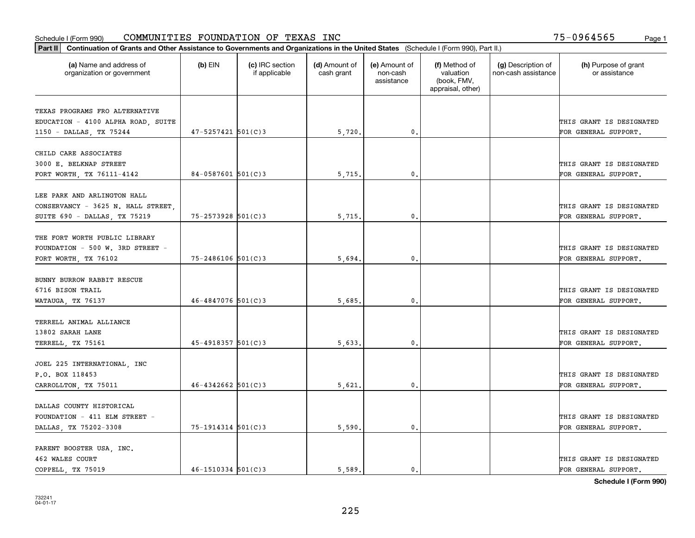| Part II   Continuation of Grants and Other Assistance to Governments and Organizations in the United States (Schedule I (Form 990), Part II.) |                        |                                  |                             |                                         |                                                                |                                           |                                       |
|-----------------------------------------------------------------------------------------------------------------------------------------------|------------------------|----------------------------------|-----------------------------|-----------------------------------------|----------------------------------------------------------------|-------------------------------------------|---------------------------------------|
| (a) Name and address of<br>organization or government                                                                                         | $(b)$ EIN              | (c) IRC section<br>if applicable | (d) Amount of<br>cash grant | (e) Amount of<br>non-cash<br>assistance | (f) Method of<br>valuation<br>(book, FMV,<br>appraisal, other) | (g) Description of<br>non-cash assistance | (h) Purpose of grant<br>or assistance |
|                                                                                                                                               |                        |                                  |                             |                                         |                                                                |                                           |                                       |
| TEXAS PROGRAMS FRO ALTERNATIVE<br>EDUCATION - 4100 ALPHA ROAD, SUITE                                                                          |                        |                                  |                             |                                         |                                                                |                                           | THIS GRANT IS DESIGNATED              |
| 1150 - DALLAS, TX 75244                                                                                                                       | $47 - 5257421$ 501(C)3 |                                  | 5,720.                      | $\mathfrak{o}$ .                        |                                                                |                                           | FOR GENERAL SUPPORT.                  |
|                                                                                                                                               |                        |                                  |                             |                                         |                                                                |                                           |                                       |
| CHILD CARE ASSOCIATES                                                                                                                         |                        |                                  |                             |                                         |                                                                |                                           |                                       |
| 3000 E. BELKNAP STREET                                                                                                                        |                        |                                  |                             |                                         |                                                                |                                           | THIS GRANT IS DESIGNATED              |
| FORT WORTH, TX 76111-4142                                                                                                                     | $84 - 0587601$ 501(C)3 |                                  | 5,715                       | 0.                                      |                                                                |                                           | FOR GENERAL SUPPORT.                  |
|                                                                                                                                               |                        |                                  |                             |                                         |                                                                |                                           |                                       |
| LEE PARK AND ARLINGTON HALL                                                                                                                   |                        |                                  |                             |                                         |                                                                |                                           |                                       |
| CONSERVANCY - 3625 N. HALL STREET,                                                                                                            |                        |                                  |                             |                                         |                                                                |                                           | THIS GRANT IS DESIGNATED              |
| SUITE 690 - DALLAS, TX 75219                                                                                                                  | 75-2573928 501(C)3     |                                  | 5,715.                      | $\mathbf{0}$ .                          |                                                                |                                           | FOR GENERAL SUPPORT.                  |
|                                                                                                                                               |                        |                                  |                             |                                         |                                                                |                                           |                                       |
| THE FORT WORTH PUBLIC LIBRARY                                                                                                                 |                        |                                  |                             |                                         |                                                                |                                           |                                       |
| FOUNDATION - 500 W. 3RD STREET -                                                                                                              |                        |                                  |                             |                                         |                                                                |                                           | THIS GRANT IS DESIGNATED              |
| FORT WORTH, TX 76102                                                                                                                          | 75-2486106 501(C)3     |                                  | 5,694                       | 0.                                      |                                                                |                                           | FOR GENERAL SUPPORT.                  |
|                                                                                                                                               |                        |                                  |                             |                                         |                                                                |                                           |                                       |
| BUNNY BURROW RABBIT RESCUE                                                                                                                    |                        |                                  |                             |                                         |                                                                |                                           |                                       |
| 6716 BISON TRAIL                                                                                                                              |                        |                                  |                             |                                         |                                                                |                                           | THIS GRANT IS DESIGNATED              |
| WATAUGA, TX 76137                                                                                                                             | $46 - 4847076$ 501(C)3 |                                  | 5,685.                      | 0.                                      |                                                                |                                           | FOR GENERAL SUPPORT.                  |
|                                                                                                                                               |                        |                                  |                             |                                         |                                                                |                                           |                                       |
| TERRELL ANIMAL ALLIANCE                                                                                                                       |                        |                                  |                             |                                         |                                                                |                                           |                                       |
| 13802 SARAH LANE                                                                                                                              |                        |                                  |                             |                                         |                                                                |                                           | THIS GRANT IS DESIGNATED              |
| TERRELL, TX 75161                                                                                                                             | $45 - 4918357$ 501(C)3 |                                  | 5,633                       | 0.                                      |                                                                |                                           | FOR GENERAL SUPPORT.                  |
|                                                                                                                                               |                        |                                  |                             |                                         |                                                                |                                           |                                       |
| JOEL 225 INTERNATIONAL, INC                                                                                                                   |                        |                                  |                             |                                         |                                                                |                                           |                                       |
| P.O. BOX 118453                                                                                                                               |                        |                                  |                             |                                         |                                                                |                                           | THIS GRANT IS DESIGNATED              |
| CARROLLTON, TX 75011                                                                                                                          | $46 - 4342662$ 501(C)3 |                                  | 5,621                       | $\mathbf{0}$ .                          |                                                                |                                           | FOR GENERAL SUPPORT.                  |
|                                                                                                                                               |                        |                                  |                             |                                         |                                                                |                                           |                                       |
| DALLAS COUNTY HISTORICAL                                                                                                                      |                        |                                  |                             |                                         |                                                                |                                           |                                       |
| FOUNDATION - 411 ELM STREET -                                                                                                                 |                        |                                  |                             | 0.                                      |                                                                |                                           | THIS GRANT IS DESIGNATED              |
| DALLAS, TX 75202-3308                                                                                                                         | 75-1914314 501(C)3     |                                  | 5,590.                      |                                         |                                                                |                                           | FOR GENERAL SUPPORT.                  |
| PARENT BOOSTER USA, INC.                                                                                                                      |                        |                                  |                             |                                         |                                                                |                                           |                                       |
| 462 WALES COURT                                                                                                                               |                        |                                  |                             |                                         |                                                                |                                           | THIS GRANT IS DESIGNATED              |
| COPPELL, TX 75019                                                                                                                             | $46 - 1510334$ 501(C)3 |                                  | 5,589.                      | $\mathbf{0}$ .                          |                                                                |                                           | FOR GENERAL SUPPORT.                  |
|                                                                                                                                               |                        |                                  |                             |                                         |                                                                |                                           |                                       |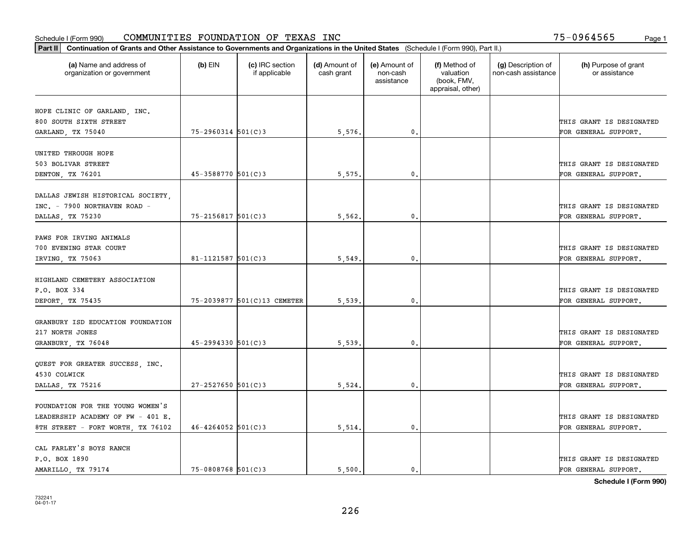| Part II   Continuation of Grants and Other Assistance to Governments and Organizations in the United States (Schedule I (Form 990), Part II.) |                        |                                  |                             |                                         |                                                                |                                           |                                       |
|-----------------------------------------------------------------------------------------------------------------------------------------------|------------------------|----------------------------------|-----------------------------|-----------------------------------------|----------------------------------------------------------------|-------------------------------------------|---------------------------------------|
| (a) Name and address of<br>organization or government                                                                                         | $(b)$ EIN              | (c) IRC section<br>if applicable | (d) Amount of<br>cash grant | (e) Amount of<br>non-cash<br>assistance | (f) Method of<br>valuation<br>(book, FMV,<br>appraisal, other) | (g) Description of<br>non-cash assistance | (h) Purpose of grant<br>or assistance |
|                                                                                                                                               |                        |                                  |                             |                                         |                                                                |                                           |                                       |
| HOPE CLINIC OF GARLAND, INC.<br>800 SOUTH SIXTH STREET                                                                                        |                        |                                  |                             |                                         |                                                                |                                           | THIS GRANT IS DESIGNATED              |
| GARLAND, TX 75040                                                                                                                             | $75 - 2960314$ 501(C)3 |                                  | 5,576.                      | $\mathbf{0}$ .                          |                                                                |                                           | FOR GENERAL SUPPORT.                  |
|                                                                                                                                               |                        |                                  |                             |                                         |                                                                |                                           |                                       |
| UNITED THROUGH HOPE                                                                                                                           |                        |                                  |                             |                                         |                                                                |                                           |                                       |
| 503 BOLIVAR STREET                                                                                                                            |                        |                                  |                             |                                         |                                                                |                                           | THIS GRANT IS DESIGNATED              |
| DENTON, TX 76201                                                                                                                              | $45 - 3588770$ 501(C)3 |                                  | 5,575                       | 0.                                      |                                                                |                                           | FOR GENERAL SUPPORT.                  |
|                                                                                                                                               |                        |                                  |                             |                                         |                                                                |                                           |                                       |
| DALLAS JEWISH HISTORICAL SOCIETY,                                                                                                             |                        |                                  |                             |                                         |                                                                |                                           |                                       |
| INC. - 7900 NORTHAVEN ROAD -                                                                                                                  |                        |                                  |                             |                                         |                                                                |                                           | THIS GRANT IS DESIGNATED              |
| DALLAS, TX 75230                                                                                                                              | 75-2156817 501(C)3     |                                  | 5,562.                      | 0.                                      |                                                                |                                           | FOR GENERAL SUPPORT.                  |
|                                                                                                                                               |                        |                                  |                             |                                         |                                                                |                                           |                                       |
| PAWS FOR IRVING ANIMALS                                                                                                                       |                        |                                  |                             |                                         |                                                                |                                           |                                       |
| 700 EVENING STAR COURT                                                                                                                        |                        |                                  |                             |                                         |                                                                |                                           | THIS GRANT IS DESIGNATED              |
| IRVING, TX 75063                                                                                                                              | 81-1121587 $ 501(C)$ 3 |                                  | 5,549                       | 0.                                      |                                                                |                                           | FOR GENERAL SUPPORT.                  |
| HIGHLAND CEMETERY ASSOCIATION                                                                                                                 |                        |                                  |                             |                                         |                                                                |                                           |                                       |
| P.O. BOX 334                                                                                                                                  |                        |                                  |                             |                                         |                                                                |                                           | THIS GRANT IS DESIGNATED              |
| DEPORT, TX 75435                                                                                                                              |                        | 75-2039877 501(C)13 CEMETER      | 5,539                       | 0.                                      |                                                                |                                           | FOR GENERAL SUPPORT.                  |
|                                                                                                                                               |                        |                                  |                             |                                         |                                                                |                                           |                                       |
| GRANBURY ISD EDUCATION FOUNDATION                                                                                                             |                        |                                  |                             |                                         |                                                                |                                           |                                       |
| 217 NORTH JONES                                                                                                                               |                        |                                  |                             |                                         |                                                                |                                           | THIS GRANT IS DESIGNATED              |
| GRANBURY, TX 76048                                                                                                                            | $45 - 2994330$ 501(C)3 |                                  | 5,539                       | 0.                                      |                                                                |                                           | FOR GENERAL SUPPORT.                  |
|                                                                                                                                               |                        |                                  |                             |                                         |                                                                |                                           |                                       |
| QUEST FOR GREATER SUCCESS, INC.                                                                                                               |                        |                                  |                             |                                         |                                                                |                                           |                                       |
| 4530 COLWICK                                                                                                                                  |                        |                                  |                             |                                         |                                                                |                                           | THIS GRANT IS DESIGNATED              |
| DALLAS, TX 75216                                                                                                                              | $27 - 2527650$ 501(C)3 |                                  | 5,524.                      | $\mathbf{0}$ .                          |                                                                |                                           | FOR GENERAL SUPPORT.                  |
|                                                                                                                                               |                        |                                  |                             |                                         |                                                                |                                           |                                       |
| FOUNDATION FOR THE YOUNG WOMEN'S                                                                                                              |                        |                                  |                             |                                         |                                                                |                                           |                                       |
| LEADERSHIP ACADEMY OF FW - 401 E.                                                                                                             |                        |                                  |                             |                                         |                                                                |                                           | THIS GRANT IS DESIGNATED              |
| 8TH STREET - FORT WORTH, TX 76102                                                                                                             | $46 - 4264052$ 501(C)3 |                                  | 5,514.                      | 0.                                      |                                                                |                                           | FOR GENERAL SUPPORT.                  |
|                                                                                                                                               |                        |                                  |                             |                                         |                                                                |                                           |                                       |
| CAL FARLEY'S BOYS RANCH                                                                                                                       |                        |                                  |                             |                                         |                                                                |                                           |                                       |
| P.O. BOX 1890                                                                                                                                 |                        |                                  |                             |                                         |                                                                |                                           | THIS GRANT IS DESIGNATED              |
| AMARILLO, TX 79174                                                                                                                            | $75 - 0808768$ 501(C)3 |                                  | 5.500.                      | $\mathbf{0}$ .                          |                                                                |                                           | FOR GENERAL SUPPORT.                  |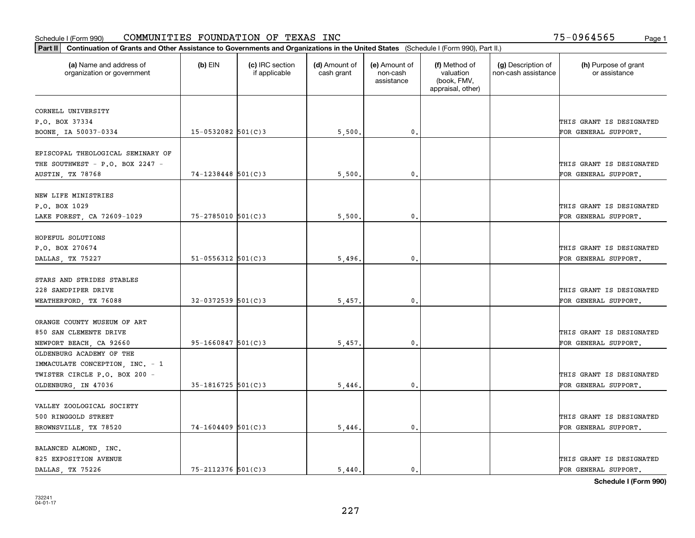| Part II   Continuation of Grants and Other Assistance to Governments and Organizations in the United States (Schedule I (Form 990), Part II.) |                          |                                  |                             |                                         |                                                                |                                           |                                       |
|-----------------------------------------------------------------------------------------------------------------------------------------------|--------------------------|----------------------------------|-----------------------------|-----------------------------------------|----------------------------------------------------------------|-------------------------------------------|---------------------------------------|
| (a) Name and address of<br>organization or government                                                                                         | $(b)$ EIN                | (c) IRC section<br>if applicable | (d) Amount of<br>cash grant | (e) Amount of<br>non-cash<br>assistance | (f) Method of<br>valuation<br>(book, FMV,<br>appraisal, other) | (g) Description of<br>non-cash assistance | (h) Purpose of grant<br>or assistance |
|                                                                                                                                               |                          |                                  |                             |                                         |                                                                |                                           |                                       |
| CORNELL UNIVERSITY<br>P.O. BOX 37334                                                                                                          |                          |                                  |                             |                                         |                                                                |                                           | THIS GRANT IS DESIGNATED              |
| BOONE, IA 50037-0334                                                                                                                          | $15 - 0532082$ 501(C)3   |                                  | 5,500.                      | $\mathbf{0}$ .                          |                                                                |                                           | FOR GENERAL SUPPORT.                  |
|                                                                                                                                               |                          |                                  |                             |                                         |                                                                |                                           |                                       |
| EPISCOPAL THEOLOGICAL SEMINARY OF                                                                                                             |                          |                                  |                             |                                         |                                                                |                                           |                                       |
| THE SOUTHWEST - P.O. BOX 2247 -                                                                                                               |                          |                                  |                             |                                         |                                                                |                                           | THIS GRANT IS DESIGNATED              |
| AUSTIN, TX 78768                                                                                                                              | $74 - 1238448$ 501(C)3   |                                  | 5,500                       | $\mathbf{0}$                            |                                                                |                                           | FOR GENERAL SUPPORT.                  |
|                                                                                                                                               |                          |                                  |                             |                                         |                                                                |                                           |                                       |
| NEW LIFE MINISTRIES                                                                                                                           |                          |                                  |                             |                                         |                                                                |                                           |                                       |
| P.O. BOX 1029                                                                                                                                 |                          |                                  |                             |                                         |                                                                |                                           | THIS GRANT IS DESIGNATED              |
| LAKE FOREST, CA 72609-1029                                                                                                                    | 75-2785010 501(C)3       |                                  | 5,500.                      | 0.                                      |                                                                |                                           | FOR GENERAL SUPPORT.                  |
|                                                                                                                                               |                          |                                  |                             |                                         |                                                                |                                           |                                       |
| HOPEFUL SOLUTIONS                                                                                                                             |                          |                                  |                             |                                         |                                                                |                                           |                                       |
| P.O. BOX 270674                                                                                                                               |                          |                                  |                             |                                         |                                                                |                                           | THIS GRANT IS DESIGNATED              |
| DALLAS, TX 75227                                                                                                                              | $51 - 0556312$ $501(C)3$ |                                  | 5,496.                      | 0.                                      |                                                                |                                           | FOR GENERAL SUPPORT.                  |
|                                                                                                                                               |                          |                                  |                             |                                         |                                                                |                                           |                                       |
| STARS AND STRIDES STABLES                                                                                                                     |                          |                                  |                             |                                         |                                                                |                                           |                                       |
| 228 SANDPIPER DRIVE                                                                                                                           |                          |                                  |                             |                                         |                                                                |                                           | THIS GRANT IS DESIGNATED              |
| WEATHERFORD, TX 76088                                                                                                                         | $32 - 0372539$ 501(C)3   |                                  | 5,457                       | 0.                                      |                                                                |                                           | FOR GENERAL SUPPORT.                  |
|                                                                                                                                               |                          |                                  |                             |                                         |                                                                |                                           |                                       |
| ORANGE COUNTY MUSEUM OF ART                                                                                                                   |                          |                                  |                             |                                         |                                                                |                                           |                                       |
| 850 SAN CLEMENTE DRIVE                                                                                                                        |                          |                                  |                             |                                         |                                                                |                                           | THIS GRANT IS DESIGNATED              |
| NEWPORT BEACH, CA 92660                                                                                                                       | $95 - 1660847$ 501(C)3   |                                  | 5,457                       | 0.                                      |                                                                |                                           | FOR GENERAL SUPPORT.                  |
| OLDENBURG ACADEMY OF THE                                                                                                                      |                          |                                  |                             |                                         |                                                                |                                           |                                       |
| IMMACULATE CONCEPTION, INC. - 1                                                                                                               |                          |                                  |                             |                                         |                                                                |                                           |                                       |
| TWISTER CIRCLE P.O. BOX 200 -                                                                                                                 |                          |                                  |                             |                                         |                                                                |                                           | THIS GRANT IS DESIGNATED              |
| OLDENBURG, IN 47036                                                                                                                           | $35 - 1816725$ 501(C)3   |                                  | 5,446                       | $\mathbf{0}$ .                          |                                                                |                                           | FOR GENERAL SUPPORT.                  |
|                                                                                                                                               |                          |                                  |                             |                                         |                                                                |                                           |                                       |
| VALLEY ZOOLOGICAL SOCIETY                                                                                                                     |                          |                                  |                             |                                         |                                                                |                                           |                                       |
| 500 RINGGOLD STREET                                                                                                                           | $74 - 1604409$ 501(C)3   |                                  |                             | 0.                                      |                                                                |                                           | THIS GRANT IS DESIGNATED              |
| BROWNSVILLE, TX 78520                                                                                                                         |                          |                                  | 5,446.                      |                                         |                                                                |                                           | FOR GENERAL SUPPORT.                  |
| BALANCED ALMOND, INC.                                                                                                                         |                          |                                  |                             |                                         |                                                                |                                           |                                       |
| 825 EXPOSITION AVENUE                                                                                                                         |                          |                                  |                             |                                         |                                                                |                                           | THIS GRANT IS DESIGNATED              |
| DALLAS TX 75226                                                                                                                               | 75-2112376 501(C)3       |                                  | 5,440.                      | $\mathbf{0}$ .                          |                                                                |                                           | FOR GENERAL SUPPORT.                  |
|                                                                                                                                               |                          |                                  |                             |                                         |                                                                |                                           |                                       |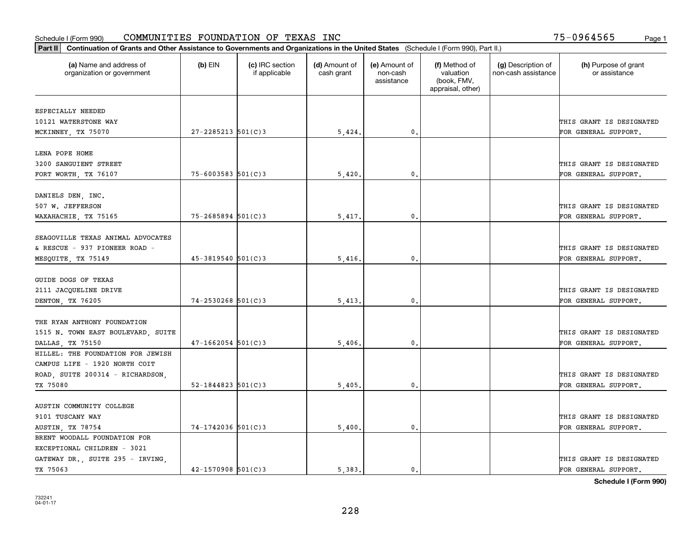| Part II   Continuation of Grants and Other Assistance to Governments and Organizations in the United States (Schedule I (Form 990), Part II.) |                          |                                  |                             |                                         |                                                                |                                           |                                       |
|-----------------------------------------------------------------------------------------------------------------------------------------------|--------------------------|----------------------------------|-----------------------------|-----------------------------------------|----------------------------------------------------------------|-------------------------------------------|---------------------------------------|
| (a) Name and address of<br>organization or government                                                                                         | $(b)$ EIN                | (c) IRC section<br>if applicable | (d) Amount of<br>cash grant | (e) Amount of<br>non-cash<br>assistance | (f) Method of<br>valuation<br>(book, FMV,<br>appraisal, other) | (g) Description of<br>non-cash assistance | (h) Purpose of grant<br>or assistance |
| ESPECIALLY NEEDED                                                                                                                             |                          |                                  |                             |                                         |                                                                |                                           |                                       |
| 10121 WATERSTONE WAY                                                                                                                          |                          |                                  |                             |                                         |                                                                |                                           | THIS GRANT IS DESIGNATED              |
| MCKINNEY, TX 75070                                                                                                                            | $27 - 2285213$ 501(C)3   |                                  | 5,424.                      | $\mathfrak o$ .                         |                                                                |                                           | FOR GENERAL SUPPORT.                  |
|                                                                                                                                               |                          |                                  |                             |                                         |                                                                |                                           |                                       |
| LENA POPE HOME                                                                                                                                |                          |                                  |                             |                                         |                                                                |                                           |                                       |
| 3200 SANGUIENT STREET                                                                                                                         |                          |                                  |                             |                                         |                                                                |                                           | THIS GRANT IS DESIGNATED              |
| FORT WORTH, TX 76107                                                                                                                          | $75 - 6003583$ 501(C)3   |                                  | 5,420                       | $\mathbf{0}$                            |                                                                |                                           | FOR GENERAL SUPPORT.                  |
|                                                                                                                                               |                          |                                  |                             |                                         |                                                                |                                           |                                       |
| DANIELS DEN, INC.                                                                                                                             |                          |                                  |                             |                                         |                                                                |                                           |                                       |
| 507 W. JEFFERSON                                                                                                                              |                          |                                  |                             |                                         |                                                                |                                           | THIS GRANT IS DESIGNATED              |
| WAXAHACHIE, TX 75165                                                                                                                          | $75 - 2685894$ 501(C)3   |                                  | 5,417.                      | $\mathbf 0$ .                           |                                                                |                                           | FOR GENERAL SUPPORT.                  |
|                                                                                                                                               |                          |                                  |                             |                                         |                                                                |                                           |                                       |
| SEAGOVILLE TEXAS ANIMAL ADVOCATES                                                                                                             |                          |                                  |                             |                                         |                                                                |                                           |                                       |
| & RESCUE - 937 PIONEER ROAD -                                                                                                                 |                          |                                  |                             |                                         |                                                                |                                           | THIS GRANT IS DESIGNATED              |
| MESQUITE, TX 75149                                                                                                                            | $45 - 3819540$ 501(C)3   |                                  | 5,416                       | $\mathbf{0}$                            |                                                                |                                           | FOR GENERAL SUPPORT.                  |
|                                                                                                                                               |                          |                                  |                             |                                         |                                                                |                                           |                                       |
| GUIDE DOGS OF TEXAS                                                                                                                           |                          |                                  |                             |                                         |                                                                |                                           |                                       |
| 2111 JACQUELINE DRIVE                                                                                                                         |                          |                                  |                             |                                         |                                                                |                                           | THIS GRANT IS DESIGNATED              |
| DENTON, TX 76205                                                                                                                              | $74 - 2530268$ 501(C)3   |                                  | 5,413                       | $\mathbf 0$ .                           |                                                                |                                           | FOR GENERAL SUPPORT.                  |
|                                                                                                                                               |                          |                                  |                             |                                         |                                                                |                                           |                                       |
| THE RYAN ANTHONY FOUNDATION                                                                                                                   |                          |                                  |                             |                                         |                                                                |                                           |                                       |
| 1515 N. TOWN EAST BOULEVARD, SUITE                                                                                                            |                          |                                  |                             |                                         |                                                                |                                           | THIS GRANT IS DESIGNATED              |
| DALLAS, TX 75150                                                                                                                              | $47 - 1662054$ 501(C)3   |                                  | 5,406                       | $\mathbf 0$ .                           |                                                                |                                           | FOR GENERAL SUPPORT.                  |
| HILLEL: THE FOUNDATION FOR JEWISH                                                                                                             |                          |                                  |                             |                                         |                                                                |                                           |                                       |
| CAMPUS LIFE - 1920 NORTH COIT                                                                                                                 |                          |                                  |                             |                                         |                                                                |                                           |                                       |
| ROAD, SUITE 200314 - RICHARDSON,                                                                                                              |                          |                                  |                             |                                         |                                                                |                                           | THIS GRANT IS DESIGNATED              |
| TX 75080                                                                                                                                      | $52 - 1844823$ $501(C)3$ |                                  | 5,405                       | $\mathfrak{o}$ .                        |                                                                |                                           | FOR GENERAL SUPPORT.                  |
|                                                                                                                                               |                          |                                  |                             |                                         |                                                                |                                           |                                       |
| AUSTIN COMMUNITY COLLEGE                                                                                                                      |                          |                                  |                             |                                         |                                                                |                                           |                                       |
| 9101 TUSCANY WAY                                                                                                                              |                          |                                  |                             |                                         |                                                                |                                           | THIS GRANT IS DESIGNATED              |
| AUSTIN, TX 78754                                                                                                                              | $74 - 1742036$ 501(C)3   |                                  | 5,400.                      | $\mathbf{0}$                            |                                                                |                                           | FOR GENERAL SUPPORT.                  |
| BRENT WOODALL FOUNDATION FOR                                                                                                                  |                          |                                  |                             |                                         |                                                                |                                           |                                       |
| EXCEPTIONAL CHILDREN - 3021                                                                                                                   |                          |                                  |                             |                                         |                                                                |                                           |                                       |
| GATEWAY DR., SUITE 295 - IRVING,                                                                                                              |                          |                                  |                             |                                         |                                                                |                                           | THIS GRANT IS DESIGNATED              |
| TX 75063                                                                                                                                      | $42 - 1570908$ 501(C)3   |                                  | 5.383.                      | $\mathbf 0$ .                           |                                                                |                                           | FOR GENERAL SUPPORT.                  |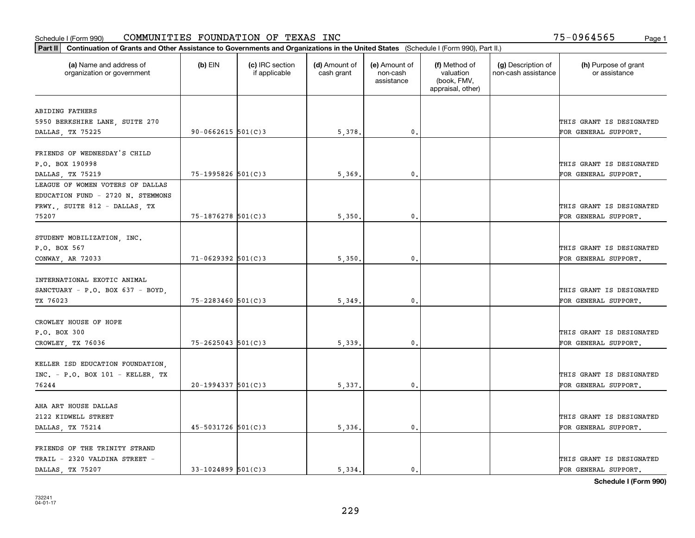| (a) Name and address of<br>organization or government | $(b)$ EIN              |                                  |                             |                                         |                                                                |                                           |                                       |
|-------------------------------------------------------|------------------------|----------------------------------|-----------------------------|-----------------------------------------|----------------------------------------------------------------|-------------------------------------------|---------------------------------------|
|                                                       |                        | (c) IRC section<br>if applicable | (d) Amount of<br>cash grant | (e) Amount of<br>non-cash<br>assistance | (f) Method of<br>valuation<br>(book, FMV,<br>appraisal, other) | (g) Description of<br>non-cash assistance | (h) Purpose of grant<br>or assistance |
|                                                       |                        |                                  |                             |                                         |                                                                |                                           |                                       |
| ABIDING FATHERS                                       |                        |                                  |                             |                                         |                                                                |                                           | THIS GRANT IS DESIGNATED              |
| 5950 BERKSHIRE LANE, SUITE 270<br>DALLAS, TX 75225    | $90 - 0662615$ 501(C)3 |                                  | 5,378.                      | 0.                                      |                                                                |                                           | FOR GENERAL SUPPORT.                  |
|                                                       |                        |                                  |                             |                                         |                                                                |                                           |                                       |
| FRIENDS OF WEDNESDAY'S CHILD                          |                        |                                  |                             |                                         |                                                                |                                           |                                       |
| P.O. BOX 190998                                       |                        |                                  |                             |                                         |                                                                |                                           | THIS GRANT IS DESIGNATED              |
| DALLAS, TX 75219                                      | 75-1995826 501(C)3     |                                  | 5,369                       | 0.                                      |                                                                |                                           | FOR GENERAL SUPPORT.                  |
| LEAGUE OF WOMEN VOTERS OF DALLAS                      |                        |                                  |                             |                                         |                                                                |                                           |                                       |
| EDUCATION FUND - 2720 N. STEMMONS                     |                        |                                  |                             |                                         |                                                                |                                           |                                       |
| FRWY., SUITE 812 - DALLAS, TX                         |                        |                                  |                             |                                         |                                                                |                                           | THIS GRANT IS DESIGNATED              |
| 75207                                                 | $75 - 1876278$ 501(C)3 |                                  | 5,350                       | $\mathbf{0}$ .                          |                                                                |                                           | FOR GENERAL SUPPORT.                  |
|                                                       |                        |                                  |                             |                                         |                                                                |                                           |                                       |
| STUDENT MOBILIZATION, INC.                            |                        |                                  |                             |                                         |                                                                |                                           |                                       |
| P.O. BOX 567                                          |                        |                                  |                             |                                         |                                                                |                                           | THIS GRANT IS DESIGNATED              |
| CONWAY, AR 72033                                      | $71 - 0629392$ 501(C)3 |                                  | 5,350                       | $\mathbf{0}$                            |                                                                |                                           | FOR GENERAL SUPPORT.                  |
|                                                       |                        |                                  |                             |                                         |                                                                |                                           |                                       |
| INTERNATIONAL EXOTIC ANIMAL                           |                        |                                  |                             |                                         |                                                                |                                           |                                       |
| SANCTUARY - P.O. BOX 637 - BOYD,                      |                        |                                  |                             |                                         |                                                                |                                           | THIS GRANT IS DESIGNATED              |
| TX 76023                                              | 75-2283460 501(C)3     |                                  | 5,349                       | $\mathbf{0}$                            |                                                                |                                           | FOR GENERAL SUPPORT.                  |
|                                                       |                        |                                  |                             |                                         |                                                                |                                           |                                       |
| CROWLEY HOUSE OF HOPE                                 |                        |                                  |                             |                                         |                                                                |                                           |                                       |
| P.O. BOX 300                                          |                        |                                  |                             |                                         |                                                                |                                           | THIS GRANT IS DESIGNATED              |
| CROWLEY, TX 76036                                     | $75 - 2625043$ 501(C)3 |                                  | 5,339.                      | $\mathbf{0}$                            |                                                                |                                           | FOR GENERAL SUPPORT.                  |
|                                                       |                        |                                  |                             |                                         |                                                                |                                           |                                       |
| KELLER ISD EDUCATION FOUNDATION,                      |                        |                                  |                             |                                         |                                                                |                                           |                                       |
| $INC. - P.O. BOX 101 - KELLER, TX$                    |                        |                                  |                             |                                         |                                                                |                                           | THIS GRANT IS DESIGNATED              |
| 76244                                                 | $20-1994337$ 501(C)3   |                                  | 5,337.                      | $^{\rm 0}$ .                            |                                                                |                                           | FOR GENERAL SUPPORT.                  |
|                                                       |                        |                                  |                             |                                         |                                                                |                                           |                                       |
| AHA ART HOUSE DALLAS                                  |                        |                                  |                             |                                         |                                                                |                                           |                                       |
| 2122 KIDWELL STREET                                   |                        |                                  |                             |                                         |                                                                |                                           | THIS GRANT IS DESIGNATED              |
| DALLAS, TX 75214                                      | $45 - 5031726$ 501(C)3 |                                  | 5,336.                      | $\mathfrak{o}$ .                        |                                                                |                                           | FOR GENERAL SUPPORT.                  |
| FRIENDS OF THE TRINITY STRAND                         |                        |                                  |                             |                                         |                                                                |                                           |                                       |
| TRAIL - 2320 VALDINA STREET -                         |                        |                                  |                             |                                         |                                                                |                                           | THIS GRANT IS DESIGNATED              |
| DALLAS, TX 75207                                      | $33 - 1024899$ 501(C)3 |                                  | 5.334.                      | $\mathfrak{o}$ .                        |                                                                |                                           | FOR GENERAL SUPPORT.                  |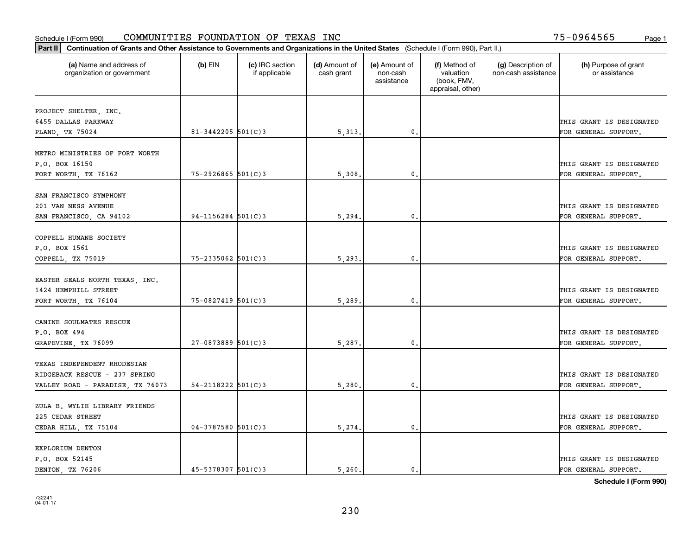| Part II   Continuation of Grants and Other Assistance to Governments and Organizations in the United States (Schedule I (Form 990), Part II.) |                          |                                  |                             |                                         |                                                                |                                           |                                       |
|-----------------------------------------------------------------------------------------------------------------------------------------------|--------------------------|----------------------------------|-----------------------------|-----------------------------------------|----------------------------------------------------------------|-------------------------------------------|---------------------------------------|
| (a) Name and address of<br>organization or government                                                                                         | $(b)$ EIN                | (c) IRC section<br>if applicable | (d) Amount of<br>cash grant | (e) Amount of<br>non-cash<br>assistance | (f) Method of<br>valuation<br>(book, FMV,<br>appraisal, other) | (g) Description of<br>non-cash assistance | (h) Purpose of grant<br>or assistance |
|                                                                                                                                               |                          |                                  |                             |                                         |                                                                |                                           |                                       |
| PROJECT SHELTER, INC.<br>6455 DALLAS PARKWAY                                                                                                  |                          |                                  |                             |                                         |                                                                |                                           | THIS GRANT IS DESIGNATED              |
| PLANO, TX 75024                                                                                                                               | $81 - 3442205$ 501(C)3   |                                  | 5,313.                      | 0.                                      |                                                                |                                           | FOR GENERAL SUPPORT.                  |
|                                                                                                                                               |                          |                                  |                             |                                         |                                                                |                                           |                                       |
| METRO MINISTRIES OF FORT WORTH                                                                                                                |                          |                                  |                             |                                         |                                                                |                                           |                                       |
| P.O. BOX 16150                                                                                                                                |                          |                                  |                             |                                         |                                                                |                                           | THIS GRANT IS DESIGNATED              |
| FORT WORTH, TX 76162                                                                                                                          | $75 - 2926865$ 501(C)3   |                                  | 5,308                       | $\mathbf{0}$                            |                                                                |                                           | FOR GENERAL SUPPORT.                  |
|                                                                                                                                               |                          |                                  |                             |                                         |                                                                |                                           |                                       |
| SAN FRANCISCO SYMPHONY                                                                                                                        |                          |                                  |                             |                                         |                                                                |                                           |                                       |
| 201 VAN NESS AVENUE                                                                                                                           |                          |                                  |                             |                                         |                                                                |                                           | THIS GRANT IS DESIGNATED              |
| SAN FRANCISCO, CA 94102                                                                                                                       | $94 - 1156284$ 501(C)3   |                                  | 5,294                       | $\mathbf{0}$ .                          |                                                                |                                           | FOR GENERAL SUPPORT.                  |
|                                                                                                                                               |                          |                                  |                             |                                         |                                                                |                                           |                                       |
| COPPELL HUMANE SOCIETY                                                                                                                        |                          |                                  |                             |                                         |                                                                |                                           |                                       |
| P.O. BOX 1561                                                                                                                                 |                          |                                  |                             |                                         |                                                                |                                           | THIS GRANT IS DESIGNATED              |
| COPPELL, TX 75019                                                                                                                             | $75 - 2335062$ 501(C)3   |                                  | 5, 293.                     | $\mathbf{0}$                            |                                                                |                                           | FOR GENERAL SUPPORT.                  |
|                                                                                                                                               |                          |                                  |                             |                                         |                                                                |                                           |                                       |
| EASTER SEALS NORTH TEXAS, INC.                                                                                                                |                          |                                  |                             |                                         |                                                                |                                           |                                       |
| 1424 HEMPHILL STREET                                                                                                                          |                          |                                  |                             |                                         |                                                                |                                           | THIS GRANT IS DESIGNATED              |
| FORT WORTH, TX 76104                                                                                                                          | 75-0827419 501(C)3       |                                  | 5,289.                      | 0.                                      |                                                                |                                           | FOR GENERAL SUPPORT.                  |
|                                                                                                                                               |                          |                                  |                             |                                         |                                                                |                                           |                                       |
| CANINE SOULMATES RESCUE                                                                                                                       |                          |                                  |                             |                                         |                                                                |                                           |                                       |
| P.O. BOX 494                                                                                                                                  |                          |                                  |                             |                                         |                                                                |                                           | THIS GRANT IS DESIGNATED              |
| GRAPEVINE, TX 76099                                                                                                                           | $27-0873889$ 501(C)3     |                                  | 5,287.                      | 0.                                      |                                                                |                                           | FOR GENERAL SUPPORT.                  |
| TEXAS INDEPENDENT RHODESIAN                                                                                                                   |                          |                                  |                             |                                         |                                                                |                                           |                                       |
| RIDGEBACK RESCUE - 237 SPRING                                                                                                                 |                          |                                  |                             |                                         |                                                                |                                           | THIS GRANT IS DESIGNATED              |
|                                                                                                                                               | $54 - 2118222$ $501(C)3$ |                                  |                             |                                         |                                                                |                                           |                                       |
| VALLEY ROAD - PARADISE, TX 76073                                                                                                              |                          |                                  | 5,280                       | $^{\circ}$ .                            |                                                                |                                           | FOR GENERAL SUPPORT.                  |
| ZULA B. WYLIE LIBRARY FRIENDS                                                                                                                 |                          |                                  |                             |                                         |                                                                |                                           |                                       |
| 225 CEDAR STREET                                                                                                                              |                          |                                  |                             |                                         |                                                                |                                           | THIS GRANT IS DESIGNATED              |
| CEDAR HILL, TX 75104                                                                                                                          | $04 - 3787580$ 501(C)3   |                                  | 5,274.                      | $\mathbf{0}$ .                          |                                                                |                                           | FOR GENERAL SUPPORT.                  |
|                                                                                                                                               |                          |                                  |                             |                                         |                                                                |                                           |                                       |
| EXPLORIUM DENTON                                                                                                                              |                          |                                  |                             |                                         |                                                                |                                           |                                       |
| P.O. BOX 52145                                                                                                                                |                          |                                  |                             |                                         |                                                                |                                           | THIS GRANT IS DESIGNATED              |
| DENTON, TX 76206                                                                                                                              | 45-5378307 501(C)3       |                                  | 5.260.                      | $\mathbf{0}$ .                          |                                                                |                                           | FOR GENERAL SUPPORT.                  |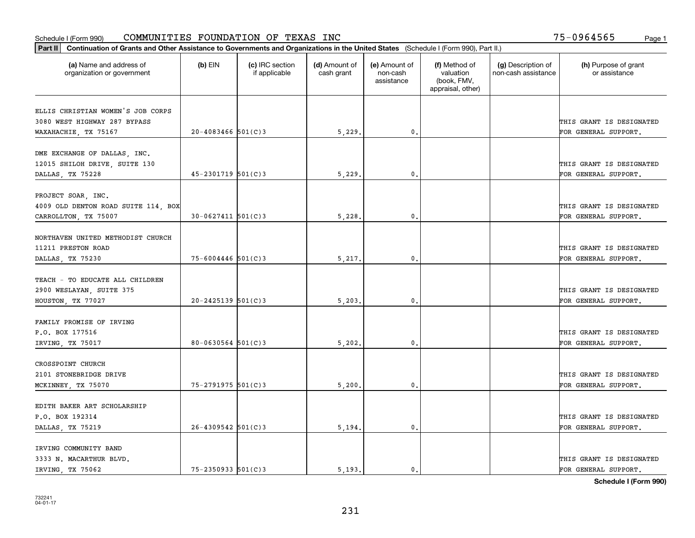| Part II   Continuation of Grants and Other Assistance to Governments and Organizations in the United States (Schedule I (Form 990), Part II.) |                          |                                  |                             |                                         |                                                                |                                           |                                       |  |
|-----------------------------------------------------------------------------------------------------------------------------------------------|--------------------------|----------------------------------|-----------------------------|-----------------------------------------|----------------------------------------------------------------|-------------------------------------------|---------------------------------------|--|
| (a) Name and address of<br>organization or government                                                                                         | $(b)$ EIN                | (c) IRC section<br>if applicable | (d) Amount of<br>cash grant | (e) Amount of<br>non-cash<br>assistance | (f) Method of<br>valuation<br>(book, FMV,<br>appraisal, other) | (g) Description of<br>non-cash assistance | (h) Purpose of grant<br>or assistance |  |
| ELLIS CHRISTIAN WOMEN'S JOB CORPS                                                                                                             |                          |                                  |                             |                                         |                                                                |                                           |                                       |  |
| 3080 WEST HIGHWAY 287 BYPASS                                                                                                                  |                          |                                  |                             |                                         |                                                                |                                           | THIS GRANT IS DESIGNATED              |  |
| WAXAHACHIE, TX 75167                                                                                                                          | $20 - 4083466$ 501(C)3   |                                  | 5,229.                      | 0.                                      |                                                                |                                           | FOR GENERAL SUPPORT.                  |  |
|                                                                                                                                               |                          |                                  |                             |                                         |                                                                |                                           |                                       |  |
| DME EXCHANGE OF DALLAS, INC.                                                                                                                  |                          |                                  |                             |                                         |                                                                |                                           |                                       |  |
| 12015 SHILOH DRIVE, SUITE 130                                                                                                                 |                          |                                  |                             |                                         |                                                                |                                           | THIS GRANT IS DESIGNATED              |  |
| DALLAS, TX 75228                                                                                                                              | $45 - 2301719$ 501(C)3   |                                  | 5,229                       | $\mathbf{0}$                            |                                                                |                                           | FOR GENERAL SUPPORT.                  |  |
|                                                                                                                                               |                          |                                  |                             |                                         |                                                                |                                           |                                       |  |
| PROJECT SOAR, INC.                                                                                                                            |                          |                                  |                             |                                         |                                                                |                                           |                                       |  |
| 4009 OLD DENTON ROAD SUITE 114, BOX                                                                                                           |                          |                                  |                             |                                         |                                                                |                                           | THIS GRANT IS DESIGNATED              |  |
| CARROLLTON, TX 75007                                                                                                                          | $30 - 0627411$ $501(C)3$ |                                  | 5,228                       | $\mathbf{0}$ .                          |                                                                |                                           | FOR GENERAL SUPPORT.                  |  |
| NORTHAVEN UNITED METHODIST CHURCH                                                                                                             |                          |                                  |                             |                                         |                                                                |                                           |                                       |  |
| 11211 PRESTON ROAD                                                                                                                            |                          |                                  |                             |                                         |                                                                |                                           | THIS GRANT IS DESIGNATED              |  |
| DALLAS, TX 75230                                                                                                                              | 75-6004446 501(C)3       |                                  | 5,217.                      | $\mathbf{0}$ .                          |                                                                |                                           | FOR GENERAL SUPPORT.                  |  |
|                                                                                                                                               |                          |                                  |                             |                                         |                                                                |                                           |                                       |  |
| TEACH - TO EDUCATE ALL CHILDREN                                                                                                               |                          |                                  |                             |                                         |                                                                |                                           |                                       |  |
| 2900 WESLAYAN, SUITE 375                                                                                                                      |                          |                                  |                             |                                         |                                                                |                                           | THIS GRANT IS DESIGNATED              |  |
| HOUSTON, TX 77027                                                                                                                             | $20 - 2425139$ 501(C)3   |                                  | 5, 203.                     | 0.                                      |                                                                |                                           | FOR GENERAL SUPPORT.                  |  |
|                                                                                                                                               |                          |                                  |                             |                                         |                                                                |                                           |                                       |  |
| FAMILY PROMISE OF IRVING                                                                                                                      |                          |                                  |                             |                                         |                                                                |                                           |                                       |  |
| P.O. BOX 177516                                                                                                                               |                          |                                  |                             |                                         |                                                                |                                           | THIS GRANT IS DESIGNATED              |  |
| IRVING, TX 75017                                                                                                                              | $80 - 0630564$ 501(C)3   |                                  | 5,202.                      | 0.                                      |                                                                |                                           | FOR GENERAL SUPPORT.                  |  |
|                                                                                                                                               |                          |                                  |                             |                                         |                                                                |                                           |                                       |  |
| CROSSPOINT CHURCH                                                                                                                             |                          |                                  |                             |                                         |                                                                |                                           |                                       |  |
| 2101 STONEBRIDGE DRIVE                                                                                                                        |                          |                                  |                             |                                         |                                                                |                                           | THIS GRANT IS DESIGNATED              |  |
| MCKINNEY, TX 75070                                                                                                                            | 75-2791975 501(C)3       |                                  | 5,200.                      | $\mathbf{0}$ .                          |                                                                |                                           | FOR GENERAL SUPPORT.                  |  |
| EDITH BAKER ART SCHOLARSHIP                                                                                                                   |                          |                                  |                             |                                         |                                                                |                                           |                                       |  |
| P.O. BOX 192314                                                                                                                               |                          |                                  |                             |                                         |                                                                |                                           | THIS GRANT IS DESIGNATED              |  |
| DALLAS, TX 75219                                                                                                                              | $26 - 4309542$ 501(C)3   |                                  | 5,194.                      | $\mathfrak o$ .                         |                                                                |                                           | FOR GENERAL SUPPORT.                  |  |
|                                                                                                                                               |                          |                                  |                             |                                         |                                                                |                                           |                                       |  |
| IRVING COMMUNITY BAND                                                                                                                         |                          |                                  |                             |                                         |                                                                |                                           |                                       |  |
| 3333 N. MACARTHUR BLVD.                                                                                                                       |                          |                                  |                             |                                         |                                                                |                                           | THIS GRANT IS DESIGNATED              |  |
| IRVING, TX 75062                                                                                                                              | $75 - 2350933$ $501(C)3$ |                                  | 5.193.                      | $\mathbf{0}$ .                          |                                                                |                                           | FOR GENERAL SUPPORT.                  |  |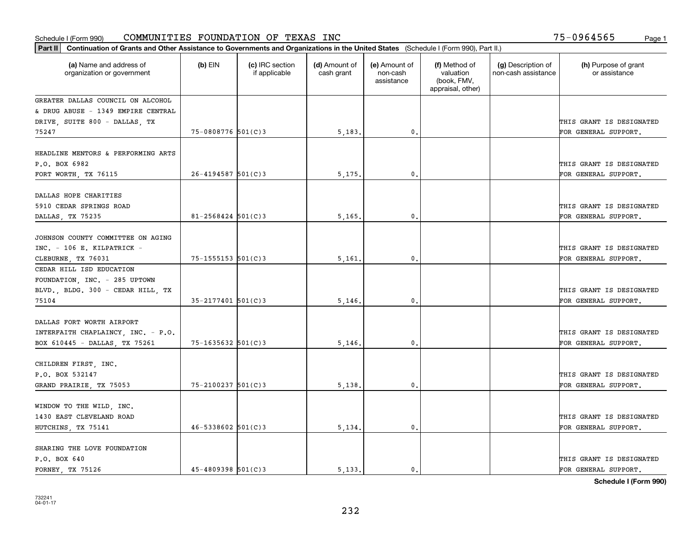| Part II   Continuation of Grants and Other Assistance to Governments and Organizations in the United States (Schedule I (Form 990), Part II.) |                          |                                  |                             |                                         |                                                                |                                           |                                                  |  |
|-----------------------------------------------------------------------------------------------------------------------------------------------|--------------------------|----------------------------------|-----------------------------|-----------------------------------------|----------------------------------------------------------------|-------------------------------------------|--------------------------------------------------|--|
| (a) Name and address of<br>organization or government                                                                                         | $(b)$ EIN                | (c) IRC section<br>if applicable | (d) Amount of<br>cash grant | (e) Amount of<br>non-cash<br>assistance | (f) Method of<br>valuation<br>(book, FMV,<br>appraisal, other) | (g) Description of<br>non-cash assistance | (h) Purpose of grant<br>or assistance            |  |
| GREATER DALLAS COUNCIL ON ALCOHOL                                                                                                             |                          |                                  |                             |                                         |                                                                |                                           |                                                  |  |
| & DRUG ABUSE - 1349 EMPIRE CENTRAL                                                                                                            |                          |                                  |                             |                                         |                                                                |                                           |                                                  |  |
| DRIVE, SUITE 800 - DALLAS, TX                                                                                                                 |                          |                                  |                             |                                         |                                                                |                                           | THIS GRANT IS DESIGNATED                         |  |
| 75247                                                                                                                                         | 75-0808776 501(C)3       |                                  | 5,183.                      | 0.                                      |                                                                |                                           | FOR GENERAL SUPPORT.                             |  |
| HEADLINE MENTORS & PERFORMING ARTS<br>P.O. BOX 6982                                                                                           |                          |                                  |                             |                                         |                                                                |                                           | THIS GRANT IS DESIGNATED                         |  |
| FORT WORTH, TX 76115                                                                                                                          | $26 - 4194587$ 501(C) 3  |                                  | 5, 175,                     | $\mathbf{0}$ .                          |                                                                |                                           | FOR GENERAL SUPPORT.                             |  |
| DALLAS HOPE CHARITIES<br>5910 CEDAR SPRINGS ROAD<br>DALLAS, TX 75235                                                                          | $81 - 2568424$ 501(C)3   |                                  | 5,165.                      | $\mathbf{0}$ .                          |                                                                |                                           | THIS GRANT IS DESIGNATED<br>FOR GENERAL SUPPORT. |  |
|                                                                                                                                               |                          |                                  |                             |                                         |                                                                |                                           |                                                  |  |
| JOHNSON COUNTY COMMITTEE ON AGING<br>INC. - 106 E. KILPATRICK -<br>CLEBURNE, TX 76031                                                         | $75 - 1555153$ $501(C)3$ |                                  | 5,161,                      | 0.                                      |                                                                |                                           | THIS GRANT IS DESIGNATED<br>FOR GENERAL SUPPORT. |  |
| CEDAR HILL ISD EDUCATION<br>FOUNDATION, INC. - 285 UPTOWN<br>BLVD., BLDG. 300 - CEDAR HILL, TX                                                |                          |                                  |                             |                                         |                                                                |                                           | THIS GRANT IS DESIGNATED                         |  |
| 75104                                                                                                                                         | $35 - 2177401$ 501(C) 3  |                                  | 5,146.                      | $\mathbf{0}$                            |                                                                |                                           | FOR GENERAL SUPPORT.                             |  |
| DALLAS FORT WORTH AIRPORT<br>INTERFAITH CHAPLAINCY, INC. - P.O.<br>BOX 610445 - DALLAS, TX 75261                                              | $75 - 1635632$ 501(C)3   |                                  | 5,146                       | 0.                                      |                                                                |                                           | THIS GRANT IS DESIGNATED<br>FOR GENERAL SUPPORT. |  |
| CHILDREN FIRST, INC.<br>P.O. BOX 532147<br>GRAND PRAIRIE, TX 75053                                                                            | 75-2100237 501(C)3       |                                  | 5,138.                      | 0.                                      |                                                                |                                           | THIS GRANT IS DESIGNATED<br>FOR GENERAL SUPPORT. |  |
| WINDOW TO THE WILD, INC.<br>1430 EAST CLEVELAND ROAD<br>HUTCHINS, TX 75141                                                                    | $46 - 5338602$ 501(C)3   |                                  | 5,134.                      | $\mathbf{0}$ .                          |                                                                |                                           | THIS GRANT IS DESIGNATED<br>FOR GENERAL SUPPORT. |  |
| SHARING THE LOVE FOUNDATION<br>P.O. BOX 640<br>FORNEY TX 75126                                                                                | $45 - 4809398$ 501(C) 3  |                                  | 5.133.                      | 0.                                      |                                                                |                                           | THIS GRANT IS DESIGNATED<br>FOR GENERAL SUPPORT. |  |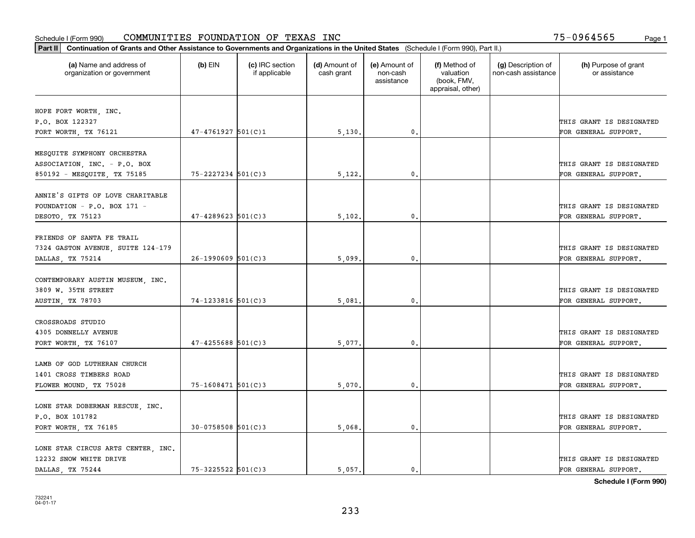| Part II   Continuation of Grants and Other Assistance to Governments and Organizations in the United States (Schedule I (Form 990), Part II.) |                        |                                  |                             |                                         |                                                                |                                           |                                       |  |
|-----------------------------------------------------------------------------------------------------------------------------------------------|------------------------|----------------------------------|-----------------------------|-----------------------------------------|----------------------------------------------------------------|-------------------------------------------|---------------------------------------|--|
| (a) Name and address of<br>organization or government                                                                                         | $(b)$ EIN              | (c) IRC section<br>if applicable | (d) Amount of<br>cash grant | (e) Amount of<br>non-cash<br>assistance | (f) Method of<br>valuation<br>(book, FMV,<br>appraisal, other) | (g) Description of<br>non-cash assistance | (h) Purpose of grant<br>or assistance |  |
|                                                                                                                                               |                        |                                  |                             |                                         |                                                                |                                           |                                       |  |
| HOPE FORT WORTH, INC.<br>P.O. BOX 122327                                                                                                      |                        |                                  |                             |                                         |                                                                |                                           | THIS GRANT IS DESIGNATED              |  |
| FORT WORTH, TX 76121                                                                                                                          | $47 - 4761927$ 501(C)1 |                                  | 5,130.                      | 0.                                      |                                                                |                                           | FOR GENERAL SUPPORT.                  |  |
|                                                                                                                                               |                        |                                  |                             |                                         |                                                                |                                           |                                       |  |
| MESQUITE SYMPHONY ORCHESTRA                                                                                                                   |                        |                                  |                             |                                         |                                                                |                                           |                                       |  |
| ASSOCIATION, INC. - P.O. BOX                                                                                                                  |                        |                                  |                             |                                         |                                                                |                                           | THIS GRANT IS DESIGNATED              |  |
| 850192 - MESQUITE, TX 75185                                                                                                                   | $75 - 2227234$ 501(C)3 |                                  | 5,122.                      | $\mathbf{0}$                            |                                                                |                                           | FOR GENERAL SUPPORT.                  |  |
|                                                                                                                                               |                        |                                  |                             |                                         |                                                                |                                           |                                       |  |
| ANNIE'S GIFTS OF LOVE CHARITABLE                                                                                                              |                        |                                  |                             |                                         |                                                                |                                           |                                       |  |
| FOUNDATION - P.O. BOX 171 -                                                                                                                   |                        |                                  |                             | $\mathbf{0}$ .                          |                                                                |                                           | THIS GRANT IS DESIGNATED              |  |
| DESOTO, TX 75123                                                                                                                              | $47 - 4289623$ 501(C)3 |                                  | 5,102.                      |                                         |                                                                |                                           | FOR GENERAL SUPPORT.                  |  |
| FRIENDS OF SANTA FE TRAIL                                                                                                                     |                        |                                  |                             |                                         |                                                                |                                           |                                       |  |
| 7324 GASTON AVENUE, SUITE 124-179                                                                                                             |                        |                                  |                             |                                         |                                                                |                                           | THIS GRANT IS DESIGNATED              |  |
| DALLAS, TX 75214                                                                                                                              | $26 - 1990609$ 501(C)3 |                                  | 5,099                       | $\mathbf{0}$                            |                                                                |                                           | FOR GENERAL SUPPORT.                  |  |
|                                                                                                                                               |                        |                                  |                             |                                         |                                                                |                                           |                                       |  |
| CONTEMPORARY AUSTIN MUSEUM, INC.                                                                                                              |                        |                                  |                             |                                         |                                                                |                                           |                                       |  |
| 3809 W. 35TH STREET                                                                                                                           |                        |                                  |                             |                                         |                                                                |                                           | THIS GRANT IS DESIGNATED              |  |
| AUSTIN, TX 78703                                                                                                                              | 74-1233816 501(C)3     |                                  | 5,081                       | $\mathbf{0}$                            |                                                                |                                           | FOR GENERAL SUPPORT.                  |  |
|                                                                                                                                               |                        |                                  |                             |                                         |                                                                |                                           |                                       |  |
| CROSSROADS STUDIO                                                                                                                             |                        |                                  |                             |                                         |                                                                |                                           |                                       |  |
| 4305 DONNELLY AVENUE                                                                                                                          |                        |                                  |                             |                                         |                                                                |                                           | THIS GRANT IS DESIGNATED              |  |
| FORT WORTH, TX 76107                                                                                                                          | $47 - 4255688$ 501(C)3 |                                  | 5,077.                      | $\mathbf{0}$                            |                                                                |                                           | FOR GENERAL SUPPORT.                  |  |
| LAMB OF GOD LUTHERAN CHURCH                                                                                                                   |                        |                                  |                             |                                         |                                                                |                                           |                                       |  |
| 1401 CROSS TIMBERS ROAD                                                                                                                       |                        |                                  |                             |                                         |                                                                |                                           | THIS GRANT IS DESIGNATED              |  |
| FLOWER MOUND, TX 75028                                                                                                                        | 75-1608471 501(C)3     |                                  | 5,070                       | $^{\rm 0}$ .                            |                                                                |                                           | FOR GENERAL SUPPORT.                  |  |
|                                                                                                                                               |                        |                                  |                             |                                         |                                                                |                                           |                                       |  |
| LONE STAR DOBERMAN RESCUE, INC.                                                                                                               |                        |                                  |                             |                                         |                                                                |                                           |                                       |  |
| P.O. BOX 101782                                                                                                                               |                        |                                  |                             |                                         |                                                                |                                           | THIS GRANT IS DESIGNATED              |  |
| FORT WORTH, TX 76185                                                                                                                          | $30-0758508$ 501(C)3   |                                  | 5,068.                      | $\mathfrak{o}$ .                        |                                                                |                                           | FOR GENERAL SUPPORT.                  |  |
|                                                                                                                                               |                        |                                  |                             |                                         |                                                                |                                           |                                       |  |
| LONE STAR CIRCUS ARTS CENTER . INC.                                                                                                           |                        |                                  |                             |                                         |                                                                |                                           |                                       |  |
| 12232 SNOW WHITE DRIVE                                                                                                                        |                        |                                  |                             |                                         |                                                                |                                           | THIS GRANT IS DESIGNATED              |  |
| DALLAS, TX 75244                                                                                                                              | $75 - 3225522$ 501(C)3 |                                  | 5.057.                      | $\mathfrak{o}$ .                        |                                                                |                                           | FOR GENERAL SUPPORT.                  |  |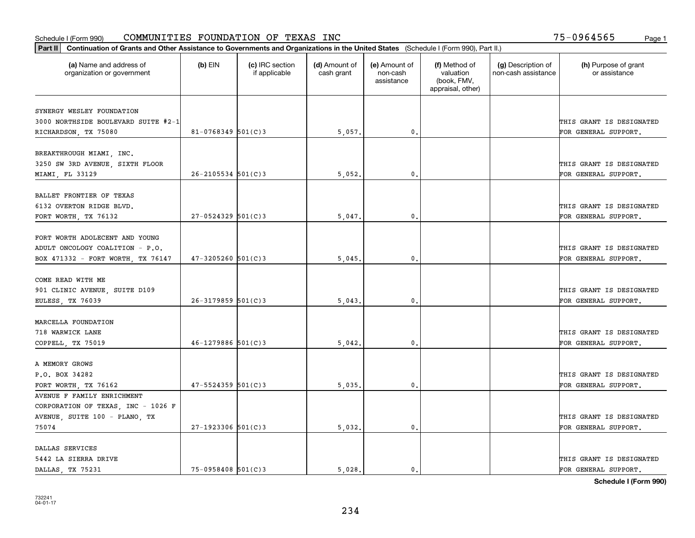| Part II   Continuation of Grants and Other Assistance to Governments and Organizations in the United States (Schedule I (Form 990), Part II.) |                        |                                  |                             |                                         |                                                                |                                           |                                       |  |
|-----------------------------------------------------------------------------------------------------------------------------------------------|------------------------|----------------------------------|-----------------------------|-----------------------------------------|----------------------------------------------------------------|-------------------------------------------|---------------------------------------|--|
| (a) Name and address of<br>organization or government                                                                                         | $(b)$ EIN              | (c) IRC section<br>if applicable | (d) Amount of<br>cash grant | (e) Amount of<br>non-cash<br>assistance | (f) Method of<br>valuation<br>(book, FMV,<br>appraisal, other) | (g) Description of<br>non-cash assistance | (h) Purpose of grant<br>or assistance |  |
|                                                                                                                                               |                        |                                  |                             |                                         |                                                                |                                           |                                       |  |
| SYNERGY WESLEY FOUNDATION<br>3000 NORTHSIDE BOULEVARD SUITE #2-1                                                                              |                        |                                  |                             |                                         |                                                                |                                           | THIS GRANT IS DESIGNATED              |  |
| RICHARDSON, TX 75080                                                                                                                          | $81 - 0768349$ 501(C)3 |                                  | 5,057.                      | $\mathfrak{o}$ .                        |                                                                |                                           | FOR GENERAL SUPPORT.                  |  |
|                                                                                                                                               |                        |                                  |                             |                                         |                                                                |                                           |                                       |  |
| BREAKTHROUGH MIAMI, INC.                                                                                                                      |                        |                                  |                             |                                         |                                                                |                                           |                                       |  |
| 3250 SW 3RD AVENUE, SIXTH FLOOR                                                                                                               |                        |                                  |                             |                                         |                                                                |                                           | THIS GRANT IS DESIGNATED              |  |
| MIAMI, FL 33129                                                                                                                               | $26 - 2105534$ 501(C)3 |                                  | 5,052                       | 0.                                      |                                                                |                                           | FOR GENERAL SUPPORT.                  |  |
|                                                                                                                                               |                        |                                  |                             |                                         |                                                                |                                           |                                       |  |
| BALLET FRONTIER OF TEXAS                                                                                                                      |                        |                                  |                             |                                         |                                                                |                                           |                                       |  |
| 6132 OVERTON RIDGE BLVD.                                                                                                                      |                        |                                  |                             |                                         |                                                                |                                           | THIS GRANT IS DESIGNATED              |  |
| FORT WORTH, TX 76132                                                                                                                          | $27 - 0524329$ 501(C)3 |                                  | 5,047                       | $\mathbf{0}$ .                          |                                                                |                                           | FOR GENERAL SUPPORT.                  |  |
|                                                                                                                                               |                        |                                  |                             |                                         |                                                                |                                           |                                       |  |
| FORT WORTH ADOLECENT AND YOUNG                                                                                                                |                        |                                  |                             |                                         |                                                                |                                           |                                       |  |
| ADULT ONCOLOGY COALITION - P.O.                                                                                                               |                        |                                  |                             |                                         |                                                                |                                           | THIS GRANT IS DESIGNATED              |  |
| BOX 471332 - FORT WORTH, TX 76147                                                                                                             | $47 - 3205260$ 501(C)3 |                                  | 5,045                       | 0.                                      |                                                                |                                           | FOR GENERAL SUPPORT.                  |  |
|                                                                                                                                               |                        |                                  |                             |                                         |                                                                |                                           |                                       |  |
| COME READ WITH ME                                                                                                                             |                        |                                  |                             |                                         |                                                                |                                           |                                       |  |
| 901 CLINIC AVENUE, SUITE D109                                                                                                                 |                        |                                  |                             |                                         |                                                                |                                           | THIS GRANT IS DESIGNATED              |  |
| EULESS, TX 76039                                                                                                                              | $26 - 3179859$ 501(C)3 |                                  | 5,043                       | 0.                                      |                                                                |                                           | FOR GENERAL SUPPORT.                  |  |
|                                                                                                                                               |                        |                                  |                             |                                         |                                                                |                                           |                                       |  |
| MARCELLA FOUNDATION                                                                                                                           |                        |                                  |                             |                                         |                                                                |                                           |                                       |  |
| 718 WARWICK LANE                                                                                                                              |                        |                                  |                             |                                         |                                                                |                                           | THIS GRANT IS DESIGNATED              |  |
| COPPELL, TX 75019                                                                                                                             | $46 - 1279886$ 501(C)3 |                                  | 5.042                       | 0.                                      |                                                                |                                           | FOR GENERAL SUPPORT.                  |  |
|                                                                                                                                               |                        |                                  |                             |                                         |                                                                |                                           |                                       |  |
| A MEMORY GROWS                                                                                                                                |                        |                                  |                             |                                         |                                                                |                                           |                                       |  |
| P.O. BOX 34282                                                                                                                                |                        |                                  |                             |                                         |                                                                |                                           | THIS GRANT IS DESIGNATED              |  |
| FORT WORTH, TX 76162                                                                                                                          | $47 - 5524359$ 501(C)3 |                                  | 5,035.                      | $\mathbf{0}$ .                          |                                                                |                                           | FOR GENERAL SUPPORT.                  |  |
| AVENUE F FAMILY ENRICHMENT                                                                                                                    |                        |                                  |                             |                                         |                                                                |                                           |                                       |  |
| CORPORATION OF TEXAS, INC - 1026 F                                                                                                            |                        |                                  |                             |                                         |                                                                |                                           |                                       |  |
| AVENUE, SUITE 100 - PLANO, TX                                                                                                                 |                        |                                  |                             |                                         |                                                                |                                           | THIS GRANT IS DESIGNATED              |  |
| 75074                                                                                                                                         | $27-1923306$ 501(C)3   |                                  | 5,032.                      | 0.                                      |                                                                |                                           | FOR GENERAL SUPPORT.                  |  |
| DALLAS SERVICES                                                                                                                               |                        |                                  |                             |                                         |                                                                |                                           |                                       |  |
| 5442 LA SIERRA DRIVE                                                                                                                          |                        |                                  |                             |                                         |                                                                |                                           | THIS GRANT IS DESIGNATED              |  |
| DALLAS, TX 75231                                                                                                                              | 75-0958408 501(C)3     |                                  | 5.028.                      | $\mathbf{0}$ .                          |                                                                |                                           | FOR GENERAL SUPPORT.                  |  |
|                                                                                                                                               |                        |                                  |                             |                                         |                                                                |                                           |                                       |  |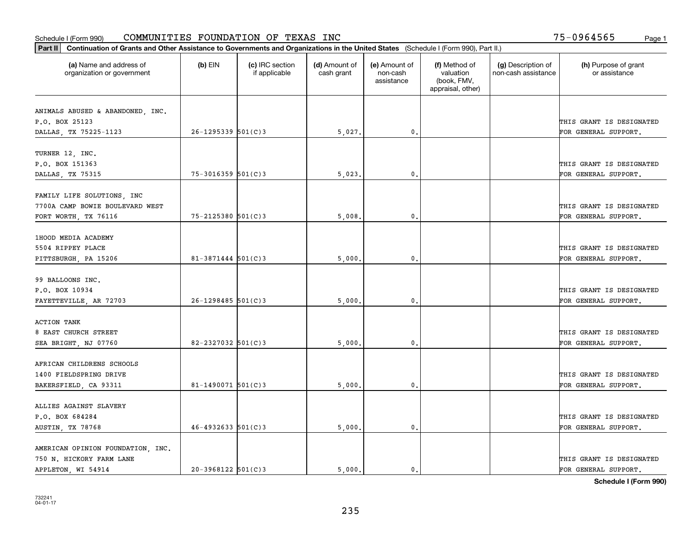| Part II   Continuation of Grants and Other Assistance to Governments and Organizations in the United States (Schedule I (Form 990), Part II.) |                        |                                  |                             |                                         |                                                                |                                           |                                       |  |
|-----------------------------------------------------------------------------------------------------------------------------------------------|------------------------|----------------------------------|-----------------------------|-----------------------------------------|----------------------------------------------------------------|-------------------------------------------|---------------------------------------|--|
| (a) Name and address of<br>organization or government                                                                                         | $(b)$ EIN              | (c) IRC section<br>if applicable | (d) Amount of<br>cash grant | (e) Amount of<br>non-cash<br>assistance | (f) Method of<br>valuation<br>(book, FMV,<br>appraisal, other) | (g) Description of<br>non-cash assistance | (h) Purpose of grant<br>or assistance |  |
|                                                                                                                                               |                        |                                  |                             |                                         |                                                                |                                           |                                       |  |
| ANIMALS ABUSED & ABANDONED, INC.                                                                                                              |                        |                                  |                             |                                         |                                                                |                                           |                                       |  |
| P.O. BOX 25123                                                                                                                                | $26 - 1295339$ 501(C)3 |                                  |                             | $\mathbf{0}$ .                          |                                                                |                                           | THIS GRANT IS DESIGNATED              |  |
| DALLAS, TX 75225-1123                                                                                                                         |                        |                                  | 5,027.                      |                                         |                                                                |                                           | FOR GENERAL SUPPORT.                  |  |
| TURNER 12, INC.                                                                                                                               |                        |                                  |                             |                                         |                                                                |                                           |                                       |  |
| P.O. BOX 151363                                                                                                                               |                        |                                  |                             |                                         |                                                                |                                           | THIS GRANT IS DESIGNATED              |  |
| DALLAS, TX 75315                                                                                                                              | $75 - 3016359$ 501(C)3 |                                  | 5,023                       | $\mathbf{0}$                            |                                                                |                                           | FOR GENERAL SUPPORT.                  |  |
|                                                                                                                                               |                        |                                  |                             |                                         |                                                                |                                           |                                       |  |
| FAMILY LIFE SOLUTIONS, INC                                                                                                                    |                        |                                  |                             |                                         |                                                                |                                           |                                       |  |
| 7700A CAMP BOWIE BOULEVARD WEST                                                                                                               |                        |                                  |                             |                                         |                                                                |                                           | THIS GRANT IS DESIGNATED              |  |
| FORT WORTH, TX 76116                                                                                                                          | 75-2125380 501(C)3     |                                  | 5,008                       | 0.                                      |                                                                |                                           | FOR GENERAL SUPPORT.                  |  |
|                                                                                                                                               |                        |                                  |                             |                                         |                                                                |                                           |                                       |  |
| 1HOOD MEDIA ACADEMY                                                                                                                           |                        |                                  |                             |                                         |                                                                |                                           |                                       |  |
| 5504 RIPPEY PLACE                                                                                                                             |                        |                                  |                             |                                         |                                                                |                                           | THIS GRANT IS DESIGNATED              |  |
| PITTSBURGH, PA 15206                                                                                                                          | $81 - 3871444$ 501(C)3 |                                  | 5,000                       | 0.                                      |                                                                |                                           | FOR GENERAL SUPPORT.                  |  |
|                                                                                                                                               |                        |                                  |                             |                                         |                                                                |                                           |                                       |  |
| 99 BALLOONS INC.                                                                                                                              |                        |                                  |                             |                                         |                                                                |                                           |                                       |  |
| P.O. BOX 10934                                                                                                                                |                        |                                  |                             |                                         |                                                                |                                           | THIS GRANT IS DESIGNATED              |  |
| FAYETTEVILLE, AR 72703                                                                                                                        | $26 - 1298485$ 501(C)3 |                                  | 5,000                       | 0.                                      |                                                                |                                           | FOR GENERAL SUPPORT.                  |  |
|                                                                                                                                               |                        |                                  |                             |                                         |                                                                |                                           |                                       |  |
| <b>ACTION TANK</b>                                                                                                                            |                        |                                  |                             |                                         |                                                                |                                           |                                       |  |
| 8 EAST CHURCH STREET                                                                                                                          |                        |                                  |                             |                                         |                                                                |                                           | THIS GRANT IS DESIGNATED              |  |
| SEA BRIGHT, NJ 07760                                                                                                                          | 82-2327032 $501(C)3$   |                                  | 5,000                       | 0.                                      |                                                                |                                           | FOR GENERAL SUPPORT.                  |  |
|                                                                                                                                               |                        |                                  |                             |                                         |                                                                |                                           |                                       |  |
| AFRICAN CHILDRENS SCHOOLS                                                                                                                     |                        |                                  |                             |                                         |                                                                |                                           |                                       |  |
| 1400 FIELDSPRING DRIVE                                                                                                                        |                        |                                  |                             |                                         |                                                                |                                           | THIS GRANT IS DESIGNATED              |  |
| BAKERSFIELD, CA 93311                                                                                                                         | 81-1490071 $501(C)$ 3  |                                  | 5,000                       | $\mathbf{0}$ .                          |                                                                |                                           | FOR GENERAL SUPPORT.                  |  |
| ALLIES AGAINST SLAVERY                                                                                                                        |                        |                                  |                             |                                         |                                                                |                                           |                                       |  |
|                                                                                                                                               |                        |                                  |                             |                                         |                                                                |                                           |                                       |  |
| P.O. BOX 684284                                                                                                                               | $46 - 4932633$ 501(C)3 |                                  |                             | 0.                                      |                                                                |                                           | THIS GRANT IS DESIGNATED              |  |
| AUSTIN, TX 78768                                                                                                                              |                        |                                  | 5,000.                      |                                         |                                                                |                                           | FOR GENERAL SUPPORT.                  |  |
| AMERICAN OPINION FOUNDATION, INC.                                                                                                             |                        |                                  |                             |                                         |                                                                |                                           |                                       |  |
| 750 N. HICKORY FARM LANE                                                                                                                      |                        |                                  |                             |                                         |                                                                |                                           | THIS GRANT IS DESIGNATED              |  |
| APPLETON, WI 54914                                                                                                                            | $20-3968122$ 501(C)3   |                                  | 5.000.                      | $\mathbf{0}$ .                          |                                                                |                                           | FOR GENERAL SUPPORT.                  |  |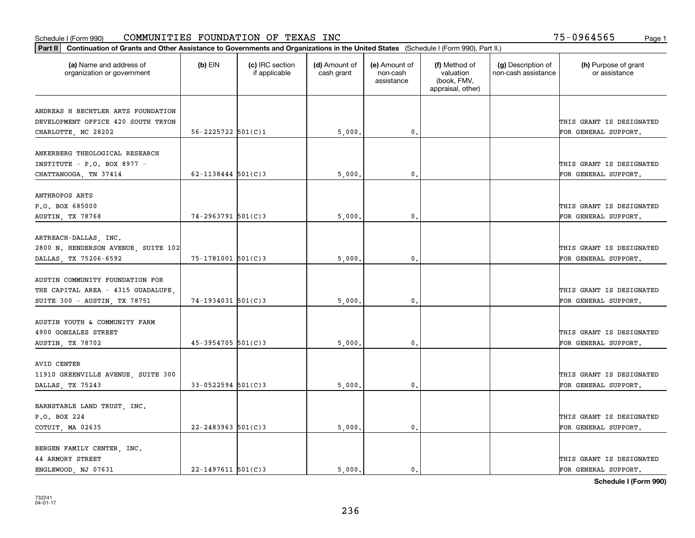| Part II   Continuation of Grants and Other Assistance to Governments and Organizations in the United States (Schedule I (Form 990), Part II.) |                          |                                  |                             |                                         |                                                                |                                           |                                                  |  |  |
|-----------------------------------------------------------------------------------------------------------------------------------------------|--------------------------|----------------------------------|-----------------------------|-----------------------------------------|----------------------------------------------------------------|-------------------------------------------|--------------------------------------------------|--|--|
| (a) Name and address of<br>organization or government                                                                                         | $(b)$ EIN                | (c) IRC section<br>if applicable | (d) Amount of<br>cash grant | (e) Amount of<br>non-cash<br>assistance | (f) Method of<br>valuation<br>(book, FMV,<br>appraisal, other) | (g) Description of<br>non-cash assistance | (h) Purpose of grant<br>or assistance            |  |  |
| ANDREAS H BECHTLER ARTS FOUNDATION                                                                                                            |                          |                                  |                             |                                         |                                                                |                                           |                                                  |  |  |
| DEVELOPMENT OFFICE 420 SOUTH TRYON                                                                                                            |                          |                                  |                             |                                         |                                                                |                                           | THIS GRANT IS DESIGNATED                         |  |  |
| CHARLOTTE, NC 28202                                                                                                                           | $56 - 2225722$ $501(C)1$ |                                  | 5,000.                      | $\mathbf{0}$ .                          |                                                                |                                           | FOR GENERAL SUPPORT.                             |  |  |
| ANKERBERG THEOLOGICAL RESEARCH<br>INSTITUTE - P.O. BOX 8977 -                                                                                 |                          |                                  |                             |                                         |                                                                |                                           | THIS GRANT IS DESIGNATED                         |  |  |
| CHATTANOOGA, TN 37414                                                                                                                         | $62 - 1138444$ $501(C)3$ |                                  | 5,000                       | $\mathbf{0}$                            |                                                                |                                           | FOR GENERAL SUPPORT.                             |  |  |
| ANTHROPOS ARTS<br>P.O. BOX 685000                                                                                                             |                          |                                  |                             |                                         |                                                                |                                           | THIS GRANT IS DESIGNATED                         |  |  |
| AUSTIN, TX 78768                                                                                                                              | 74-2963791 501(C)3       |                                  | 5,000                       | $\mathbf{0}$ .                          |                                                                |                                           | FOR GENERAL SUPPORT.                             |  |  |
| ARTREACH-DALLAS, INC.<br>2800 N. HENDERSON AVENUE, SUITE 102<br>DALLAS, TX 75206-6592                                                         | 75-1781001 501(C)3       |                                  | 5,000                       | $\mathbf{0}$                            |                                                                |                                           | THIS GRANT IS DESIGNATED<br>FOR GENERAL SUPPORT. |  |  |
| AUSTIN COMMUNITY FOUNDATION FOR<br>THE CAPITAL AREA - 4315 GUADALUPE<br>SUITE 300 - AUSTIN, TX 78751                                          | $74-1934031$ 501(C)3     |                                  | 5,000                       | $\mathbf{0}$                            |                                                                |                                           | THIS GRANT IS DESIGNATED<br>FOR GENERAL SUPPORT. |  |  |
| AUSTIN YOUTH & COMMUNITY FARM<br>4900 GONZALES STREET<br>AUSTIN, TX 78702                                                                     | $45 - 3954705$ 501(C)3   |                                  | 5,000                       | $\mathbf{0}$                            |                                                                |                                           | THIS GRANT IS DESIGNATED<br>FOR GENERAL SUPPORT. |  |  |
| AVID CENTER<br>11910 GREENVILLE AVENUE, SUITE 300<br>DALLAS, TX 75243                                                                         | $33 - 0522594$ 501(C)3   |                                  | 5,000                       | 0.                                      |                                                                |                                           | THIS GRANT IS DESIGNATED<br>FOR GENERAL SUPPORT. |  |  |
| BARNSTABLE LAND TRUST, INC.<br>P.O. BOX 224<br>COTUIT, MA 02635                                                                               | $22 - 2483963$ 501(C)3   |                                  | 5,000.                      | $\mathfrak{o}$ .                        |                                                                |                                           | THIS GRANT IS DESIGNATED<br>FOR GENERAL SUPPORT. |  |  |
| BERGEN FAMILY CENTER, INC.<br><b>44 ARMORY STREET</b><br>ENGLEWOOD, NJ 07631                                                                  | $22 - 1497611$ 501(C)3   |                                  | 5.000.                      | $\mathfrak{o}$ .                        |                                                                |                                           | THIS GRANT IS DESIGNATED<br>FOR GENERAL SUPPORT. |  |  |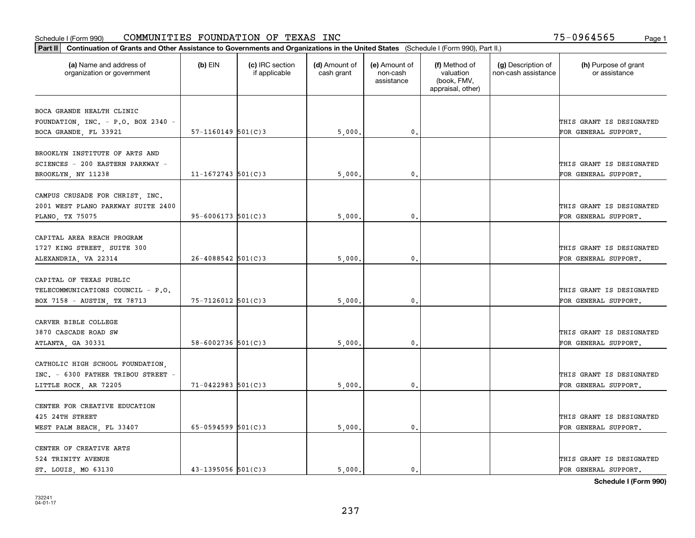| (a) Name and address of<br>(c) IRC section<br>(d) Amount of<br>(e) Amount of<br>(f) Method of<br>(g) Description of<br>$(b)$ EIN<br>valuation<br>non-cash assistance<br>organization or government<br>if applicable<br>cash grant<br>non-cash<br>(book, FMV,<br>assistance<br>appraisal, other)<br>BOCA GRANDE HEALTH CLINIC<br>FOUNDATION, INC. - P.O. BOX 2340 -<br>$57-1160149$ $501(C)3$<br>$\mathbf{0}$ .<br>BOCA GRANDE, FL 33921<br>5,000.<br>BROOKLYN INSTITUTE OF ARTS AND<br>SCIENCES - 200 EASTERN PARKWAY -<br>$11 - 1672743$ 501(C)3<br>BROOKLYN, NY 11238<br>5,000<br>0.<br>CAMPUS CRUSADE FOR CHRIST, INC.<br>2001 WEST PLANO PARKWAY SUITE 2400<br>THIS GRANT IS DESIGNATED<br>$95 - 6006173$ 501(C)3<br>5,000<br>$\mathfrak{o}$ .<br>FOR GENERAL SUPPORT.<br>PLANO, TX 75075<br>CAPITAL AREA REACH PROGRAM<br>1727 KING STREET, SUITE 300<br>$26 - 4088542$ 501(C)3<br>$\mathbf{0}$<br>ALEXANDRIA, VA 22314<br>5,000<br>CAPITAL OF TEXAS PUBLIC<br>TELECOMMUNICATIONS COUNCIL - P.O.<br>THIS GRANT IS DESIGNATED<br>$75 - 7126012$ 501(C)3<br>5,000<br>0.<br>BOX 7158 - AUSTIN, TX 78713<br>FOR GENERAL SUPPORT.<br>CARVER BIBLE COLLEGE<br>3870 CASCADE ROAD SW<br>58-6002736 $501(C)$ 3<br>0.<br>ATLANTA, GA 30331<br>5,000<br>CATHOLIC HIGH SCHOOL FOUNDATION,<br>INC. - 6300 FATHER TRIBOU STREET -<br>THIS GRANT IS DESIGNATED<br>$71 - 0422983$ 501(C)3<br>$\mathbf{0}$ .<br>FOR GENERAL SUPPORT.<br>LITTLE ROCK, AR 72205<br>5,000.<br>CENTER FOR CREATIVE EDUCATION<br>425 24TH STREET | Part II   Continuation of Grants and Other Assistance to Governments and Organizations in the United States (Schedule I (Form 990), Part II.) |                        |        |    |  |  |                                       |  |  |
|-----------------------------------------------------------------------------------------------------------------------------------------------------------------------------------------------------------------------------------------------------------------------------------------------------------------------------------------------------------------------------------------------------------------------------------------------------------------------------------------------------------------------------------------------------------------------------------------------------------------------------------------------------------------------------------------------------------------------------------------------------------------------------------------------------------------------------------------------------------------------------------------------------------------------------------------------------------------------------------------------------------------------------------------------------------------------------------------------------------------------------------------------------------------------------------------------------------------------------------------------------------------------------------------------------------------------------------------------------------------------------------------------------------------------------------------------------------------------------------------------------------------|-----------------------------------------------------------------------------------------------------------------------------------------------|------------------------|--------|----|--|--|---------------------------------------|--|--|
|                                                                                                                                                                                                                                                                                                                                                                                                                                                                                                                                                                                                                                                                                                                                                                                                                                                                                                                                                                                                                                                                                                                                                                                                                                                                                                                                                                                                                                                                                                                 |                                                                                                                                               |                        |        |    |  |  | (h) Purpose of grant<br>or assistance |  |  |
|                                                                                                                                                                                                                                                                                                                                                                                                                                                                                                                                                                                                                                                                                                                                                                                                                                                                                                                                                                                                                                                                                                                                                                                                                                                                                                                                                                                                                                                                                                                 |                                                                                                                                               |                        |        |    |  |  |                                       |  |  |
|                                                                                                                                                                                                                                                                                                                                                                                                                                                                                                                                                                                                                                                                                                                                                                                                                                                                                                                                                                                                                                                                                                                                                                                                                                                                                                                                                                                                                                                                                                                 |                                                                                                                                               |                        |        |    |  |  | THIS GRANT IS DESIGNATED              |  |  |
|                                                                                                                                                                                                                                                                                                                                                                                                                                                                                                                                                                                                                                                                                                                                                                                                                                                                                                                                                                                                                                                                                                                                                                                                                                                                                                                                                                                                                                                                                                                 |                                                                                                                                               |                        |        |    |  |  | FOR GENERAL SUPPORT.                  |  |  |
|                                                                                                                                                                                                                                                                                                                                                                                                                                                                                                                                                                                                                                                                                                                                                                                                                                                                                                                                                                                                                                                                                                                                                                                                                                                                                                                                                                                                                                                                                                                 |                                                                                                                                               |                        |        |    |  |  |                                       |  |  |
|                                                                                                                                                                                                                                                                                                                                                                                                                                                                                                                                                                                                                                                                                                                                                                                                                                                                                                                                                                                                                                                                                                                                                                                                                                                                                                                                                                                                                                                                                                                 |                                                                                                                                               |                        |        |    |  |  | THIS GRANT IS DESIGNATED              |  |  |
|                                                                                                                                                                                                                                                                                                                                                                                                                                                                                                                                                                                                                                                                                                                                                                                                                                                                                                                                                                                                                                                                                                                                                                                                                                                                                                                                                                                                                                                                                                                 |                                                                                                                                               |                        |        |    |  |  | FOR GENERAL SUPPORT.                  |  |  |
|                                                                                                                                                                                                                                                                                                                                                                                                                                                                                                                                                                                                                                                                                                                                                                                                                                                                                                                                                                                                                                                                                                                                                                                                                                                                                                                                                                                                                                                                                                                 |                                                                                                                                               |                        |        |    |  |  |                                       |  |  |
|                                                                                                                                                                                                                                                                                                                                                                                                                                                                                                                                                                                                                                                                                                                                                                                                                                                                                                                                                                                                                                                                                                                                                                                                                                                                                                                                                                                                                                                                                                                 |                                                                                                                                               |                        |        |    |  |  |                                       |  |  |
|                                                                                                                                                                                                                                                                                                                                                                                                                                                                                                                                                                                                                                                                                                                                                                                                                                                                                                                                                                                                                                                                                                                                                                                                                                                                                                                                                                                                                                                                                                                 |                                                                                                                                               |                        |        |    |  |  |                                       |  |  |
|                                                                                                                                                                                                                                                                                                                                                                                                                                                                                                                                                                                                                                                                                                                                                                                                                                                                                                                                                                                                                                                                                                                                                                                                                                                                                                                                                                                                                                                                                                                 |                                                                                                                                               |                        |        |    |  |  |                                       |  |  |
|                                                                                                                                                                                                                                                                                                                                                                                                                                                                                                                                                                                                                                                                                                                                                                                                                                                                                                                                                                                                                                                                                                                                                                                                                                                                                                                                                                                                                                                                                                                 |                                                                                                                                               |                        |        |    |  |  |                                       |  |  |
|                                                                                                                                                                                                                                                                                                                                                                                                                                                                                                                                                                                                                                                                                                                                                                                                                                                                                                                                                                                                                                                                                                                                                                                                                                                                                                                                                                                                                                                                                                                 |                                                                                                                                               |                        |        |    |  |  | THIS GRANT IS DESIGNATED              |  |  |
|                                                                                                                                                                                                                                                                                                                                                                                                                                                                                                                                                                                                                                                                                                                                                                                                                                                                                                                                                                                                                                                                                                                                                                                                                                                                                                                                                                                                                                                                                                                 |                                                                                                                                               |                        |        |    |  |  | FOR GENERAL SUPPORT.                  |  |  |
|                                                                                                                                                                                                                                                                                                                                                                                                                                                                                                                                                                                                                                                                                                                                                                                                                                                                                                                                                                                                                                                                                                                                                                                                                                                                                                                                                                                                                                                                                                                 |                                                                                                                                               |                        |        |    |  |  |                                       |  |  |
|                                                                                                                                                                                                                                                                                                                                                                                                                                                                                                                                                                                                                                                                                                                                                                                                                                                                                                                                                                                                                                                                                                                                                                                                                                                                                                                                                                                                                                                                                                                 |                                                                                                                                               |                        |        |    |  |  |                                       |  |  |
|                                                                                                                                                                                                                                                                                                                                                                                                                                                                                                                                                                                                                                                                                                                                                                                                                                                                                                                                                                                                                                                                                                                                                                                                                                                                                                                                                                                                                                                                                                                 |                                                                                                                                               |                        |        |    |  |  |                                       |  |  |
|                                                                                                                                                                                                                                                                                                                                                                                                                                                                                                                                                                                                                                                                                                                                                                                                                                                                                                                                                                                                                                                                                                                                                                                                                                                                                                                                                                                                                                                                                                                 |                                                                                                                                               |                        |        |    |  |  |                                       |  |  |
|                                                                                                                                                                                                                                                                                                                                                                                                                                                                                                                                                                                                                                                                                                                                                                                                                                                                                                                                                                                                                                                                                                                                                                                                                                                                                                                                                                                                                                                                                                                 |                                                                                                                                               |                        |        |    |  |  |                                       |  |  |
|                                                                                                                                                                                                                                                                                                                                                                                                                                                                                                                                                                                                                                                                                                                                                                                                                                                                                                                                                                                                                                                                                                                                                                                                                                                                                                                                                                                                                                                                                                                 |                                                                                                                                               |                        |        |    |  |  | THIS GRANT IS DESIGNATED              |  |  |
|                                                                                                                                                                                                                                                                                                                                                                                                                                                                                                                                                                                                                                                                                                                                                                                                                                                                                                                                                                                                                                                                                                                                                                                                                                                                                                                                                                                                                                                                                                                 |                                                                                                                                               |                        |        |    |  |  | FOR GENERAL SUPPORT.                  |  |  |
|                                                                                                                                                                                                                                                                                                                                                                                                                                                                                                                                                                                                                                                                                                                                                                                                                                                                                                                                                                                                                                                                                                                                                                                                                                                                                                                                                                                                                                                                                                                 |                                                                                                                                               |                        |        |    |  |  |                                       |  |  |
|                                                                                                                                                                                                                                                                                                                                                                                                                                                                                                                                                                                                                                                                                                                                                                                                                                                                                                                                                                                                                                                                                                                                                                                                                                                                                                                                                                                                                                                                                                                 |                                                                                                                                               |                        |        |    |  |  |                                       |  |  |
|                                                                                                                                                                                                                                                                                                                                                                                                                                                                                                                                                                                                                                                                                                                                                                                                                                                                                                                                                                                                                                                                                                                                                                                                                                                                                                                                                                                                                                                                                                                 |                                                                                                                                               |                        |        |    |  |  |                                       |  |  |
|                                                                                                                                                                                                                                                                                                                                                                                                                                                                                                                                                                                                                                                                                                                                                                                                                                                                                                                                                                                                                                                                                                                                                                                                                                                                                                                                                                                                                                                                                                                 |                                                                                                                                               |                        |        |    |  |  |                                       |  |  |
|                                                                                                                                                                                                                                                                                                                                                                                                                                                                                                                                                                                                                                                                                                                                                                                                                                                                                                                                                                                                                                                                                                                                                                                                                                                                                                                                                                                                                                                                                                                 |                                                                                                                                               |                        |        |    |  |  |                                       |  |  |
|                                                                                                                                                                                                                                                                                                                                                                                                                                                                                                                                                                                                                                                                                                                                                                                                                                                                                                                                                                                                                                                                                                                                                                                                                                                                                                                                                                                                                                                                                                                 |                                                                                                                                               |                        |        |    |  |  | THIS GRANT IS DESIGNATED              |  |  |
|                                                                                                                                                                                                                                                                                                                                                                                                                                                                                                                                                                                                                                                                                                                                                                                                                                                                                                                                                                                                                                                                                                                                                                                                                                                                                                                                                                                                                                                                                                                 | WEST PALM BEACH, FL 33407                                                                                                                     | $65 - 0594599$ 501(C)3 | 5,000. | 0. |  |  | FOR GENERAL SUPPORT.                  |  |  |
| CENTER OF CREATIVE ARTS                                                                                                                                                                                                                                                                                                                                                                                                                                                                                                                                                                                                                                                                                                                                                                                                                                                                                                                                                                                                                                                                                                                                                                                                                                                                                                                                                                                                                                                                                         |                                                                                                                                               |                        |        |    |  |  |                                       |  |  |
| 524 TRINITY AVENUE                                                                                                                                                                                                                                                                                                                                                                                                                                                                                                                                                                                                                                                                                                                                                                                                                                                                                                                                                                                                                                                                                                                                                                                                                                                                                                                                                                                                                                                                                              |                                                                                                                                               |                        |        |    |  |  | THIS GRANT IS DESIGNATED              |  |  |
| $43 - 1395056$ 501(C)3<br>5.000.<br>ST. LOUIS, MO 63130<br>$\mathbf{0}$ .                                                                                                                                                                                                                                                                                                                                                                                                                                                                                                                                                                                                                                                                                                                                                                                                                                                                                                                                                                                                                                                                                                                                                                                                                                                                                                                                                                                                                                       |                                                                                                                                               |                        |        |    |  |  | FOR GENERAL SUPPORT.                  |  |  |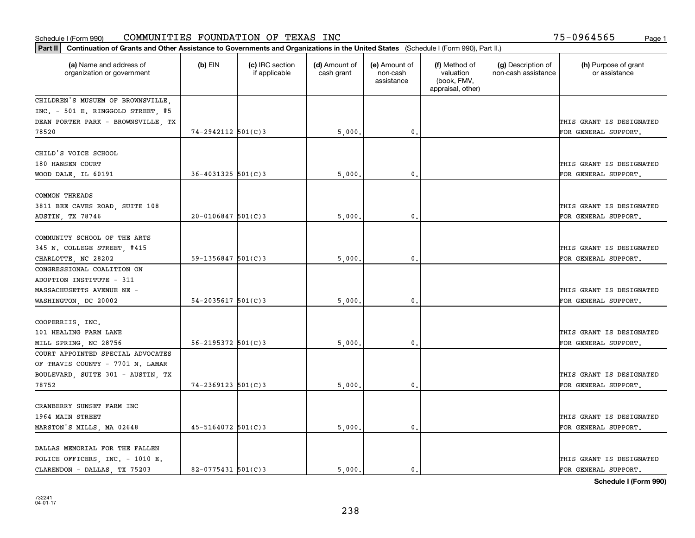| Part II   Continuation of Grants and Other Assistance to Governments and Organizations in the United States (Schedule I (Form 990), Part II.) |                          |                                  |                             |                                         |                                                                |                                           |                                       |  |
|-----------------------------------------------------------------------------------------------------------------------------------------------|--------------------------|----------------------------------|-----------------------------|-----------------------------------------|----------------------------------------------------------------|-------------------------------------------|---------------------------------------|--|
| (a) Name and address of<br>organization or government                                                                                         | $(b)$ EIN                | (c) IRC section<br>if applicable | (d) Amount of<br>cash grant | (e) Amount of<br>non-cash<br>assistance | (f) Method of<br>valuation<br>(book, FMV,<br>appraisal, other) | (g) Description of<br>non-cash assistance | (h) Purpose of grant<br>or assistance |  |
| CHILDREN'S MUSUEM OF BROWNSVILLE,                                                                                                             |                          |                                  |                             |                                         |                                                                |                                           |                                       |  |
| INC. - 501 E. RINGGOLD STREET, #5                                                                                                             |                          |                                  |                             |                                         |                                                                |                                           |                                       |  |
| DEAN PORTER PARK - BROWNSVILLE, TX                                                                                                            |                          |                                  |                             |                                         |                                                                |                                           | THIS GRANT IS DESIGNATED              |  |
| 78520                                                                                                                                         | 74-2942112 501(C)3       |                                  | 5,000                       | $\mathbf{0}$ .                          |                                                                |                                           | FOR GENERAL SUPPORT.                  |  |
| CHILD'S VOICE SCHOOL                                                                                                                          |                          |                                  |                             |                                         |                                                                |                                           |                                       |  |
| 180 HANSEN COURT                                                                                                                              |                          |                                  |                             |                                         |                                                                |                                           | THIS GRANT IS DESIGNATED              |  |
| WOOD DALE, IL 60191                                                                                                                           | $36 - 4031325$ 501(C) 3  |                                  | 5,000                       | $\mathbf 0$ .                           |                                                                |                                           | FOR GENERAL SUPPORT.                  |  |
|                                                                                                                                               |                          |                                  |                             |                                         |                                                                |                                           |                                       |  |
| COMMON THREADS                                                                                                                                |                          |                                  |                             |                                         |                                                                |                                           |                                       |  |
| 3811 BEE CAVES ROAD, SUITE 108                                                                                                                |                          |                                  |                             |                                         |                                                                |                                           | THIS GRANT IS DESIGNATED              |  |
| AUSTIN, TX 78746                                                                                                                              | $20 - 0106847$ 501(C)3   |                                  | 5,000                       | 0.                                      |                                                                |                                           | FOR GENERAL SUPPORT.                  |  |
|                                                                                                                                               |                          |                                  |                             |                                         |                                                                |                                           |                                       |  |
| COMMUNITY SCHOOL OF THE ARTS                                                                                                                  |                          |                                  |                             |                                         |                                                                |                                           |                                       |  |
| 345 N. COLLEGE STREET, #415                                                                                                                   |                          |                                  |                             |                                         |                                                                |                                           | THIS GRANT IS DESIGNATED              |  |
| CHARLOTTE, NC 28202                                                                                                                           | $59 - 1356847$ 501(C)3   |                                  | 5,000                       | $\mathbf{0}$                            |                                                                |                                           | FOR GENERAL SUPPORT.                  |  |
| CONGRESSIONAL COALITION ON                                                                                                                    |                          |                                  |                             |                                         |                                                                |                                           |                                       |  |
| ADOPTION INSTITUTE - 311                                                                                                                      |                          |                                  |                             |                                         |                                                                |                                           |                                       |  |
| MASSACHUSETTS AVENUE NE -                                                                                                                     | $54 - 2035617$ 501(C)3   |                                  |                             | 0.                                      |                                                                |                                           | THIS GRANT IS DESIGNATED              |  |
| WASHINGTON, DC 20002                                                                                                                          |                          |                                  | 5,000                       |                                         |                                                                |                                           | FOR GENERAL SUPPORT.                  |  |
| COOPERRIIS, INC.                                                                                                                              |                          |                                  |                             |                                         |                                                                |                                           |                                       |  |
| 101 HEALING FARM LANE                                                                                                                         |                          |                                  |                             |                                         |                                                                |                                           | THIS GRANT IS DESIGNATED              |  |
| MILL SPRING, NC 28756                                                                                                                         | $56 - 2195372$ $501(C)3$ |                                  | 5,000                       | $\mathbf{0}$                            |                                                                |                                           | FOR GENERAL SUPPORT.                  |  |
| COURT APPOINTED SPECIAL ADVOCATES                                                                                                             |                          |                                  |                             |                                         |                                                                |                                           |                                       |  |
| OF TRAVIS COUNTY - 7701 N. LAMAR                                                                                                              |                          |                                  |                             |                                         |                                                                |                                           |                                       |  |
| BOULEVARD, SUITE 301 - AUSTIN, TX                                                                                                             |                          |                                  |                             |                                         |                                                                |                                           | THIS GRANT IS DESIGNATED              |  |
| 78752                                                                                                                                         | $74 - 2369123$ 501(C)3   |                                  | 5,000                       | $\mathbf{0}$ .                          |                                                                |                                           | FOR GENERAL SUPPORT.                  |  |
|                                                                                                                                               |                          |                                  |                             |                                         |                                                                |                                           |                                       |  |
| CRANBERRY SUNSET FARM INC                                                                                                                     |                          |                                  |                             |                                         |                                                                |                                           |                                       |  |
| 1964 MAIN STREET                                                                                                                              |                          |                                  |                             |                                         |                                                                |                                           | THIS GRANT IS DESIGNATED              |  |
| MARSTON'S MILLS, MA 02648                                                                                                                     | $45 - 5164072$ 501(C)3   |                                  | 5,000                       | $\mathbf{0}$                            |                                                                |                                           | FOR GENERAL SUPPORT.                  |  |
| DALLAS MEMORIAL FOR THE FALLEN                                                                                                                |                          |                                  |                             |                                         |                                                                |                                           |                                       |  |
| POLICE OFFICERS, INC. - 1010 E.                                                                                                               |                          |                                  |                             |                                         |                                                                |                                           | THIS GRANT IS DESIGNATED              |  |
| CLARENDON - DALLAS, TX 75203                                                                                                                  | $82 - 0775431$ 501(C)3   |                                  | 5.000.                      | $\mathbf{0}$ .                          |                                                                |                                           | FOR GENERAL SUPPORT.                  |  |
|                                                                                                                                               |                          |                                  |                             |                                         |                                                                |                                           |                                       |  |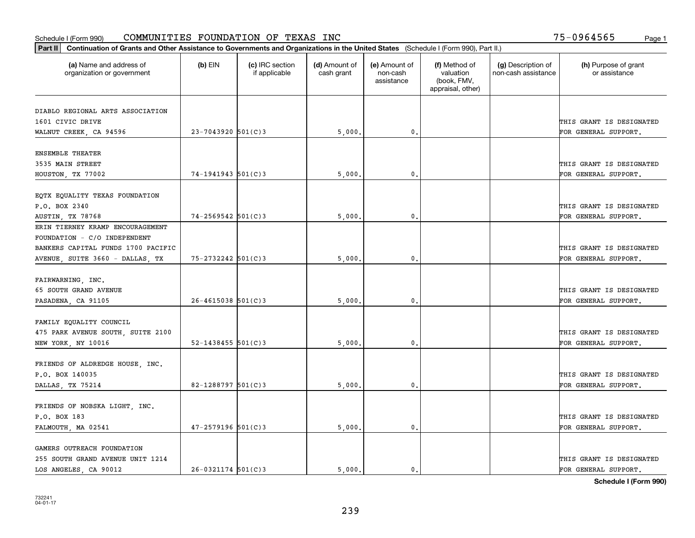| Part II   Continuation of Grants and Other Assistance to Governments and Organizations in the United States (Schedule I (Form 990), Part II.) |                        |                                  |                             |                                         |                                                                |                                           |                                                  |  |  |
|-----------------------------------------------------------------------------------------------------------------------------------------------|------------------------|----------------------------------|-----------------------------|-----------------------------------------|----------------------------------------------------------------|-------------------------------------------|--------------------------------------------------|--|--|
| (a) Name and address of<br>organization or government                                                                                         | $(b)$ EIN              | (c) IRC section<br>if applicable | (d) Amount of<br>cash grant | (e) Amount of<br>non-cash<br>assistance | (f) Method of<br>valuation<br>(book, FMV,<br>appraisal, other) | (g) Description of<br>non-cash assistance | (h) Purpose of grant<br>or assistance            |  |  |
|                                                                                                                                               |                        |                                  |                             |                                         |                                                                |                                           |                                                  |  |  |
| DIABLO REGIONAL ARTS ASSOCIATION<br>1601 CIVIC DRIVE                                                                                          |                        |                                  |                             |                                         |                                                                |                                           | THIS GRANT IS DESIGNATED                         |  |  |
| WALNUT CREEK, CA 94596                                                                                                                        | $23 - 7043920$ 501(C)3 |                                  | 5,000.                      | $\mathbf{0}$ .                          |                                                                |                                           | FOR GENERAL SUPPORT.                             |  |  |
|                                                                                                                                               |                        |                                  |                             |                                         |                                                                |                                           |                                                  |  |  |
| ENSEMBLE THEATER                                                                                                                              |                        |                                  |                             |                                         |                                                                |                                           |                                                  |  |  |
| 3535 MAIN STREET                                                                                                                              |                        |                                  |                             |                                         |                                                                |                                           | THIS GRANT IS DESIGNATED                         |  |  |
| HOUSTON, TX 77002                                                                                                                             | $74-1941943$ 501(C)3   |                                  | 5,000                       | 0.                                      |                                                                |                                           | FOR GENERAL SUPPORT.                             |  |  |
|                                                                                                                                               |                        |                                  |                             |                                         |                                                                |                                           |                                                  |  |  |
| EQTX EQUALITY TEXAS FOUNDATION                                                                                                                |                        |                                  |                             |                                         |                                                                |                                           |                                                  |  |  |
| P.O. BOX 2340                                                                                                                                 |                        |                                  |                             |                                         |                                                                |                                           | THIS GRANT IS DESIGNATED                         |  |  |
| AUSTIN, TX 78768                                                                                                                              | $74 - 2569542$ 501(C)3 |                                  | 5,000                       | $\mathbf{0}$ .                          |                                                                |                                           | FOR GENERAL SUPPORT.                             |  |  |
| ERIN TIERNEY KRAMP ENCOURAGEMENT                                                                                                              |                        |                                  |                             |                                         |                                                                |                                           |                                                  |  |  |
| FOUNDATION - C/O INDEPENDENT                                                                                                                  |                        |                                  |                             |                                         |                                                                |                                           |                                                  |  |  |
| BANKERS CAPITAL FUNDS 1700 PACIFIC                                                                                                            |                        |                                  |                             |                                         |                                                                |                                           | THIS GRANT IS DESIGNATED                         |  |  |
| AVENUE, SUITE 3660 - DALLAS, TX                                                                                                               | 75-2732242 501(C)3     |                                  | 5,000                       | $\mathbf{0}$                            |                                                                |                                           | FOR GENERAL SUPPORT.                             |  |  |
|                                                                                                                                               |                        |                                  |                             |                                         |                                                                |                                           |                                                  |  |  |
| FAIRWARNING, INC.                                                                                                                             |                        |                                  |                             |                                         |                                                                |                                           |                                                  |  |  |
| 65 SOUTH GRAND AVENUE                                                                                                                         |                        |                                  |                             |                                         |                                                                |                                           | THIS GRANT IS DESIGNATED                         |  |  |
| PASADENA, CA 91105                                                                                                                            | $26 - 4615038$ 501(C)3 |                                  | 5,000                       | $\mathbf{0}$                            |                                                                |                                           | FOR GENERAL SUPPORT.                             |  |  |
|                                                                                                                                               |                        |                                  |                             |                                         |                                                                |                                           |                                                  |  |  |
| FAMILY EQUALITY COUNCIL                                                                                                                       |                        |                                  |                             |                                         |                                                                |                                           |                                                  |  |  |
| 475 PARK AVENUE SOUTH, SUITE 2100                                                                                                             |                        |                                  |                             |                                         |                                                                |                                           | THIS GRANT IS DESIGNATED                         |  |  |
| NEW YORK, NY 10016                                                                                                                            | $52 - 1438455$ 501(C)3 |                                  | 5,000                       | $\mathbf{0}$                            |                                                                |                                           | FOR GENERAL SUPPORT.                             |  |  |
|                                                                                                                                               |                        |                                  |                             |                                         |                                                                |                                           |                                                  |  |  |
| FRIENDS OF ALDREDGE HOUSE, INC.                                                                                                               |                        |                                  |                             |                                         |                                                                |                                           |                                                  |  |  |
| P.O. BOX 140035                                                                                                                               |                        |                                  |                             |                                         |                                                                |                                           | THIS GRANT IS DESIGNATED                         |  |  |
| DALLAS, TX 75214                                                                                                                              | 82-1288797 $501(C)$ 3  |                                  | 5,000                       | $^{\rm 0}$ .                            |                                                                |                                           | FOR GENERAL SUPPORT.                             |  |  |
|                                                                                                                                               |                        |                                  |                             |                                         |                                                                |                                           |                                                  |  |  |
| FRIENDS OF NOBSKA LIGHT, INC.                                                                                                                 |                        |                                  |                             |                                         |                                                                |                                           |                                                  |  |  |
| P.O. BOX 183                                                                                                                                  |                        |                                  |                             |                                         |                                                                |                                           | THIS GRANT IS DESIGNATED                         |  |  |
| FALMOUTH, MA 02541                                                                                                                            | $47 - 2579196$ 501(C)3 |                                  | 5,000.                      | $\mathfrak{o}$ .                        |                                                                |                                           | FOR GENERAL SUPPORT.                             |  |  |
|                                                                                                                                               |                        |                                  |                             |                                         |                                                                |                                           |                                                  |  |  |
| GAMERS OUTREACH FOUNDATION                                                                                                                    |                        |                                  |                             |                                         |                                                                |                                           |                                                  |  |  |
| 255 SOUTH GRAND AVENUE UNIT 1214<br>LOS ANGELES, CA 90012                                                                                     | $26 - 0321174$ 501(C)3 |                                  | 5.000.                      | $\mathfrak{o}$ .                        |                                                                |                                           | THIS GRANT IS DESIGNATED<br>FOR GENERAL SUPPORT. |  |  |
|                                                                                                                                               |                        |                                  |                             |                                         |                                                                |                                           |                                                  |  |  |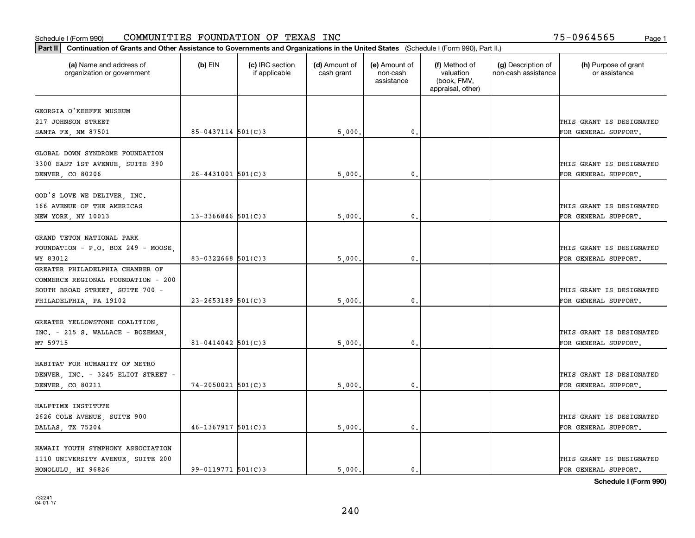| Part II   Continuation of Grants and Other Assistance to Governments and Organizations in the United States (Schedule I (Form 990), Part II.) |                        |                                  |                             |                                         |                                                                |                                           |                                       |  |
|-----------------------------------------------------------------------------------------------------------------------------------------------|------------------------|----------------------------------|-----------------------------|-----------------------------------------|----------------------------------------------------------------|-------------------------------------------|---------------------------------------|--|
| (a) Name and address of<br>organization or government                                                                                         | $(b)$ EIN              | (c) IRC section<br>if applicable | (d) Amount of<br>cash grant | (e) Amount of<br>non-cash<br>assistance | (f) Method of<br>valuation<br>(book, FMV,<br>appraisal, other) | (g) Description of<br>non-cash assistance | (h) Purpose of grant<br>or assistance |  |
| GEORGIA O'KEEFFE MUSEUM                                                                                                                       |                        |                                  |                             |                                         |                                                                |                                           |                                       |  |
| 217 JOHNSON STREET                                                                                                                            |                        |                                  |                             |                                         |                                                                |                                           | THIS GRANT IS DESIGNATED              |  |
| SANTA FE, NM 87501                                                                                                                            | $85 - 0437114$ 501(C)3 |                                  | 5,000.                      | $\mathfrak o$ .                         |                                                                |                                           | FOR GENERAL SUPPORT.                  |  |
|                                                                                                                                               |                        |                                  |                             |                                         |                                                                |                                           |                                       |  |
| GLOBAL DOWN SYNDROME FOUNDATION                                                                                                               |                        |                                  |                             |                                         |                                                                |                                           |                                       |  |
| 3300 EAST 1ST AVENUE, SUITE 390                                                                                                               |                        |                                  |                             |                                         |                                                                |                                           | THIS GRANT IS DESIGNATED              |  |
| DENVER, CO 80206                                                                                                                              | $26 - 4431001$ 501(C)3 |                                  | 5,000                       | 0.                                      |                                                                |                                           | FOR GENERAL SUPPORT.                  |  |
|                                                                                                                                               |                        |                                  |                             |                                         |                                                                |                                           |                                       |  |
| GOD'S LOVE WE DELIVER, INC.                                                                                                                   |                        |                                  |                             |                                         |                                                                |                                           |                                       |  |
| 166 AVENUE OF THE AMERICAS                                                                                                                    |                        |                                  |                             |                                         |                                                                |                                           | THIS GRANT IS DESIGNATED              |  |
| NEW YORK, NY 10013                                                                                                                            | $13 - 3366846$ 501(C)3 |                                  | 5,000                       | $\mathbf 0$ .                           |                                                                |                                           | FOR GENERAL SUPPORT.                  |  |
|                                                                                                                                               |                        |                                  |                             |                                         |                                                                |                                           |                                       |  |
| GRAND TETON NATIONAL PARK                                                                                                                     |                        |                                  |                             |                                         |                                                                |                                           |                                       |  |
| FOUNDATION - P.O. BOX 249 - MOOSE,                                                                                                            |                        |                                  |                             |                                         |                                                                |                                           | THIS GRANT IS DESIGNATED              |  |
| WY 83012                                                                                                                                      | 83-0322668 $501(C)3$   |                                  | 5,000                       | 0.                                      |                                                                |                                           | FOR GENERAL SUPPORT.                  |  |
| GREATER PHILADELPHIA CHAMBER OF                                                                                                               |                        |                                  |                             |                                         |                                                                |                                           |                                       |  |
| COMMERCE REGIONAL FOUNDATION - 200                                                                                                            |                        |                                  |                             |                                         |                                                                |                                           |                                       |  |
| SOUTH BROAD STREET, SUITE 700 -                                                                                                               |                        |                                  |                             |                                         |                                                                |                                           | THIS GRANT IS DESIGNATED              |  |
| PHILADELPHIA, PA 19102                                                                                                                        | $23 - 2653189$ 501(C)3 |                                  | 5,000                       | 0                                       |                                                                |                                           | FOR GENERAL SUPPORT.                  |  |
|                                                                                                                                               |                        |                                  |                             |                                         |                                                                |                                           |                                       |  |
| GREATER YELLOWSTONE COALITION,                                                                                                                |                        |                                  |                             |                                         |                                                                |                                           |                                       |  |
| INC. - 215 S. WALLACE - BOZEMAN,                                                                                                              |                        |                                  |                             |                                         |                                                                |                                           | THIS GRANT IS DESIGNATED              |  |
| MT 59715                                                                                                                                      | $81 - 0414042$ 501(C)3 |                                  | 5,000                       | $\mathbf{0}$                            |                                                                |                                           | FOR GENERAL SUPPORT.                  |  |
|                                                                                                                                               |                        |                                  |                             |                                         |                                                                |                                           |                                       |  |
| HABITAT FOR HUMANITY OF METRO                                                                                                                 |                        |                                  |                             |                                         |                                                                |                                           |                                       |  |
| DENVER, INC. - 3245 ELIOT STREET -                                                                                                            |                        |                                  |                             |                                         |                                                                |                                           | THIS GRANT IS DESIGNATED              |  |
| DENVER, CO 80211                                                                                                                              | $74 - 2050021$ 501(C)3 |                                  | 5,000                       | $\mathbf{0}$ .                          |                                                                |                                           | FOR GENERAL SUPPORT.                  |  |
|                                                                                                                                               |                        |                                  |                             |                                         |                                                                |                                           |                                       |  |
| HALFTIME INSTITUTE                                                                                                                            |                        |                                  |                             |                                         |                                                                |                                           |                                       |  |
| 2626 COLE AVENUE, SUITE 900                                                                                                                   |                        |                                  |                             |                                         |                                                                |                                           | THIS GRANT IS DESIGNATED              |  |
| DALLAS, TX 75204                                                                                                                              | $46 - 1367917$ 501(C)3 |                                  | 5,000.                      | $\mathfrak{o}$ .                        |                                                                |                                           | FOR GENERAL SUPPORT.                  |  |
|                                                                                                                                               |                        |                                  |                             |                                         |                                                                |                                           |                                       |  |
| HAWAII YOUTH SYMPHONY ASSOCIATION                                                                                                             |                        |                                  |                             |                                         |                                                                |                                           |                                       |  |
| 1110 UNIVERSITY AVENUE, SUITE 200                                                                                                             |                        |                                  |                             |                                         |                                                                |                                           | THIS GRANT IS DESIGNATED              |  |
| HONOLULU, HI 96826                                                                                                                            | $99 - 0119771$ 501(C)3 |                                  | 5.000.                      | $\mathfrak{o}$ .                        |                                                                |                                           | FOR GENERAL SUPPORT.                  |  |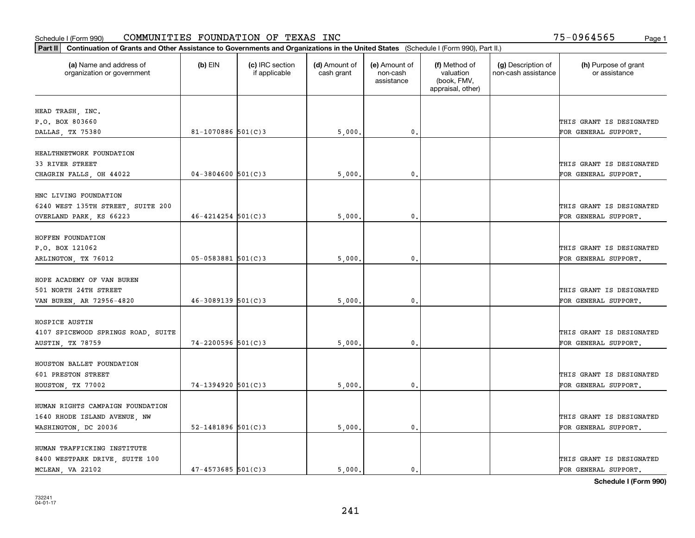| Part II   Continuation of Grants and Other Assistance to Governments and Organizations in the United States (Schedule I (Form 990), Part II.) |                          |                                  |                             |                                         |                                                                |                                           |                                       |  |
|-----------------------------------------------------------------------------------------------------------------------------------------------|--------------------------|----------------------------------|-----------------------------|-----------------------------------------|----------------------------------------------------------------|-------------------------------------------|---------------------------------------|--|
| (a) Name and address of<br>organization or government                                                                                         | $(b)$ EIN                | (c) IRC section<br>if applicable | (d) Amount of<br>cash grant | (e) Amount of<br>non-cash<br>assistance | (f) Method of<br>valuation<br>(book, FMV,<br>appraisal, other) | (g) Description of<br>non-cash assistance | (h) Purpose of grant<br>or assistance |  |
| HEAD TRASH, INC.                                                                                                                              |                          |                                  |                             |                                         |                                                                |                                           |                                       |  |
| P.O. BOX 803660                                                                                                                               |                          |                                  |                             |                                         |                                                                |                                           | THIS GRANT IS DESIGNATED              |  |
| DALLAS, TX 75380                                                                                                                              | 81-1070886 $501(C)$ 3    |                                  | 5,000.                      | 0.                                      |                                                                |                                           | FOR GENERAL SUPPORT.                  |  |
|                                                                                                                                               |                          |                                  |                             |                                         |                                                                |                                           |                                       |  |
| HEALTHNETWORK FOUNDATION                                                                                                                      |                          |                                  |                             |                                         |                                                                |                                           |                                       |  |
| 33 RIVER STREET                                                                                                                               |                          |                                  |                             |                                         |                                                                |                                           | THIS GRANT IS DESIGNATED              |  |
| CHAGRIN FALLS, OH 44022                                                                                                                       | $04 - 3804600$ 501(C)3   |                                  | 5,000                       | $\mathbf{0}$                            |                                                                |                                           | FOR GENERAL SUPPORT.                  |  |
| HNC LIVING FOUNDATION                                                                                                                         |                          |                                  |                             |                                         |                                                                |                                           |                                       |  |
| 6240 WEST 135TH STREET, SUITE 200                                                                                                             |                          |                                  |                             |                                         |                                                                |                                           | THIS GRANT IS DESIGNATED              |  |
| OVERLAND PARK, KS 66223                                                                                                                       | $46 - 4214254$ 501(C)3   |                                  | 5,000                       | $\mathbf{0}$ .                          |                                                                |                                           | FOR GENERAL SUPPORT.                  |  |
|                                                                                                                                               |                          |                                  |                             |                                         |                                                                |                                           |                                       |  |
| HOFFEN FOUNDATION                                                                                                                             |                          |                                  |                             |                                         |                                                                |                                           |                                       |  |
| P.O. BOX 121062                                                                                                                               |                          |                                  |                             |                                         |                                                                |                                           | THIS GRANT IS DESIGNATED              |  |
| ARLINGTON, TX 76012                                                                                                                           | $05 - 0583881$ 501(C)3   |                                  | 5,000                       | $\mathbf{0}$                            |                                                                |                                           | FOR GENERAL SUPPORT.                  |  |
| HOPE ACADEMY OF VAN BUREN                                                                                                                     |                          |                                  |                             |                                         |                                                                |                                           |                                       |  |
| 501 NORTH 24TH STREET                                                                                                                         |                          |                                  |                             |                                         |                                                                |                                           | THIS GRANT IS DESIGNATED              |  |
| VAN BUREN, AR 72956-4820                                                                                                                      | $46 - 3089139$ 501(C)3   |                                  | 5,000                       | 0.                                      |                                                                |                                           | FOR GENERAL SUPPORT.                  |  |
|                                                                                                                                               |                          |                                  |                             |                                         |                                                                |                                           |                                       |  |
| HOSPICE AUSTIN                                                                                                                                |                          |                                  |                             |                                         |                                                                |                                           |                                       |  |
| 4107 SPICEWOOD SPRINGS ROAD, SUITE                                                                                                            |                          |                                  |                             |                                         |                                                                |                                           | THIS GRANT IS DESIGNATED              |  |
| <b>AUSTIN, TX 78759</b>                                                                                                                       | $74 - 2200596$ 501(C)3   |                                  | 5,000                       | $\mathbf{0}$                            |                                                                |                                           | FOR GENERAL SUPPORT.                  |  |
| HOUSTON BALLET FOUNDATION                                                                                                                     |                          |                                  |                             |                                         |                                                                |                                           |                                       |  |
| 601 PRESTON STREET                                                                                                                            |                          |                                  |                             |                                         |                                                                |                                           | THIS GRANT IS DESIGNATED              |  |
| HOUSTON, TX 77002                                                                                                                             | 74-1394920 501(C)3       |                                  | 5,000                       | $^{\circ}$ .                            |                                                                |                                           | FOR GENERAL SUPPORT.                  |  |
|                                                                                                                                               |                          |                                  |                             |                                         |                                                                |                                           |                                       |  |
| HUMAN RIGHTS CAMPAIGN FOUNDATION                                                                                                              |                          |                                  |                             |                                         |                                                                |                                           |                                       |  |
| 1640 RHODE ISLAND AVENUE, NW                                                                                                                  |                          |                                  |                             |                                         |                                                                |                                           | THIS GRANT IS DESIGNATED              |  |
| WASHINGTON, DC 20036                                                                                                                          | $52 - 1481896$ $501(C)3$ |                                  | 5,000.                      | $\mathbf{0}$ .                          |                                                                |                                           | FOR GENERAL SUPPORT.                  |  |
|                                                                                                                                               |                          |                                  |                             |                                         |                                                                |                                           |                                       |  |
| HUMAN TRAFFICKING INSTITUTE                                                                                                                   |                          |                                  |                             |                                         |                                                                |                                           |                                       |  |
| 8400 WESTPARK DRIVE, SUITE 100                                                                                                                |                          |                                  |                             |                                         |                                                                |                                           | THIS GRANT IS DESIGNATED              |  |
| MCLEAN, VA 22102                                                                                                                              | $47 - 4573685$ 501(C)3   |                                  | 5.000.                      | $\mathbf{0}$ .                          |                                                                |                                           | FOR GENERAL SUPPORT.                  |  |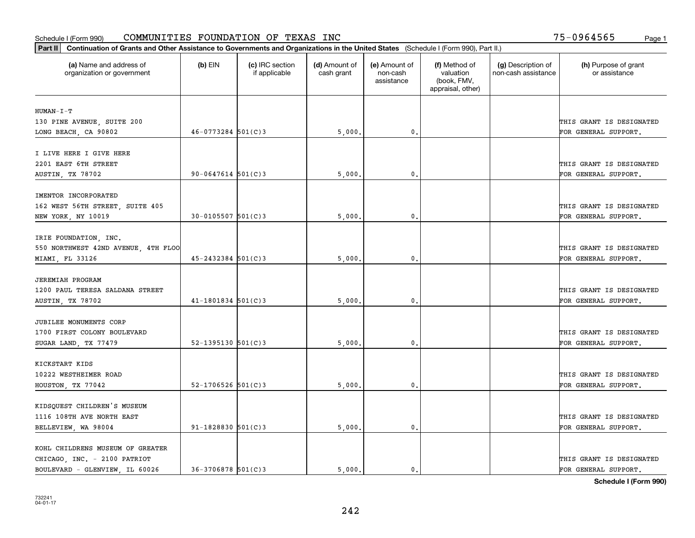| (a) Name and address of<br>organization or government          | $(b)$ EIN                | (c) IRC section<br>if applicable | (d) Amount of<br>cash grant | (e) Amount of<br>non-cash<br>assistance | (f) Method of<br>valuation<br>(book, FMV,<br>appraisal, other) | (g) Description of<br>non-cash assistance | (h) Purpose of grant<br>or assistance |
|----------------------------------------------------------------|--------------------------|----------------------------------|-----------------------------|-----------------------------------------|----------------------------------------------------------------|-------------------------------------------|---------------------------------------|
| $HUMAN-I-T$                                                    |                          |                                  |                             |                                         |                                                                |                                           |                                       |
| 130 PINE AVENUE, SUITE 200                                     |                          |                                  |                             |                                         |                                                                |                                           | THIS GRANT IS DESIGNATED              |
| LONG BEACH, CA 90802                                           | $46 - 0773284$ 501(C)3   |                                  | 5,000.                      | $\mathfrak{o}$ .                        |                                                                |                                           | FOR GENERAL SUPPORT.                  |
| I LIVE HERE I GIVE HERE                                        |                          |                                  |                             |                                         |                                                                |                                           |                                       |
| 2201 EAST 6TH STREET                                           |                          |                                  |                             |                                         |                                                                |                                           | THIS GRANT IS DESIGNATED              |
| AUSTIN, TX 78702                                               | $90 - 0647614$ 501(C)3   |                                  | 5,000                       | 0.                                      |                                                                |                                           | FOR GENERAL SUPPORT.                  |
|                                                                |                          |                                  |                             |                                         |                                                                |                                           |                                       |
| IMENTOR INCORPORATED<br>162 WEST 56TH STREET, SUITE 405        |                          |                                  |                             |                                         |                                                                |                                           | THIS GRANT IS DESIGNATED              |
| NEW YORK, NY 10019                                             | $30 - 0105507$ 501(C)3   |                                  | 5,000                       | 0.                                      |                                                                |                                           | FOR GENERAL SUPPORT.                  |
|                                                                |                          |                                  |                             |                                         |                                                                |                                           |                                       |
| IRIE FOUNDATION, INC.                                          |                          |                                  |                             |                                         |                                                                |                                           |                                       |
| 550 NORTHWEST 42ND AVENUE, 4TH FLOO                            |                          |                                  |                             |                                         |                                                                |                                           | THIS GRANT IS DESIGNATED              |
| MIAMI, FL 33126                                                | $45 - 2432384$ 501(C)3   |                                  | 5,000                       | $\mathbf 0$ .                           |                                                                |                                           | FOR GENERAL SUPPORT.                  |
|                                                                |                          |                                  |                             |                                         |                                                                |                                           |                                       |
| <b>JEREMIAH PROGRAM</b>                                        |                          |                                  |                             |                                         |                                                                |                                           |                                       |
| 1200 PAUL TERESA SALDANA STREET                                |                          |                                  |                             |                                         |                                                                |                                           | THIS GRANT IS DESIGNATED              |
| AUSTIN, TX 78702                                               | $41 - 1801834$ 501(C)3   |                                  | 5,000                       | $\mathbf{0}$                            |                                                                |                                           | FOR GENERAL SUPPORT.                  |
| JUBILEE MONUMENTS CORP                                         |                          |                                  |                             |                                         |                                                                |                                           |                                       |
| 1700 FIRST COLONY BOULEVARD                                    |                          |                                  |                             |                                         |                                                                |                                           | THIS GRANT IS DESIGNATED              |
| SUGAR LAND, TX 77479                                           | $52 - 1395130$ $501(C)3$ |                                  | 5,000                       | 0.                                      |                                                                |                                           | FOR GENERAL SUPPORT.                  |
|                                                                |                          |                                  |                             |                                         |                                                                |                                           |                                       |
| KICKSTART KIDS                                                 |                          |                                  |                             |                                         |                                                                |                                           | THIS GRANT IS DESIGNATED              |
| 10222 WESTHEIMER ROAD                                          | $52 - 1706526$ 501(C)3   |                                  |                             | 0.                                      |                                                                |                                           |                                       |
| HOUSTON, TX 77042                                              |                          |                                  | 5,000                       |                                         |                                                                |                                           | FOR GENERAL SUPPORT.                  |
| KIDSQUEST CHILDREN'S MUSEUM                                    |                          |                                  |                             |                                         |                                                                |                                           |                                       |
| 1116 108TH AVE NORTH EAST                                      |                          |                                  |                             |                                         |                                                                |                                           | THIS GRANT IS DESIGNATED              |
| BELLEVIEW, WA 98004                                            | $91 - 1828830$ 501(C) 3  |                                  | 5,000                       | 0.                                      |                                                                |                                           | FOR GENERAL SUPPORT.                  |
|                                                                |                          |                                  |                             |                                         |                                                                |                                           |                                       |
| KOHL CHILDRENS MUSEUM OF GREATER                               |                          |                                  |                             |                                         |                                                                |                                           | THIS GRANT IS DESIGNATED              |
| CHICAGO, INC. - 2100 PATRIOT<br>BOULEVARD - GLENVIEW, IL 60026 | $36 - 3706878$ 501(C)3   |                                  | 5.000.                      | $\mathbf{0}$ .                          |                                                                |                                           | FOR GENERAL SUPPORT.                  |
|                                                                |                          |                                  |                             |                                         |                                                                |                                           |                                       |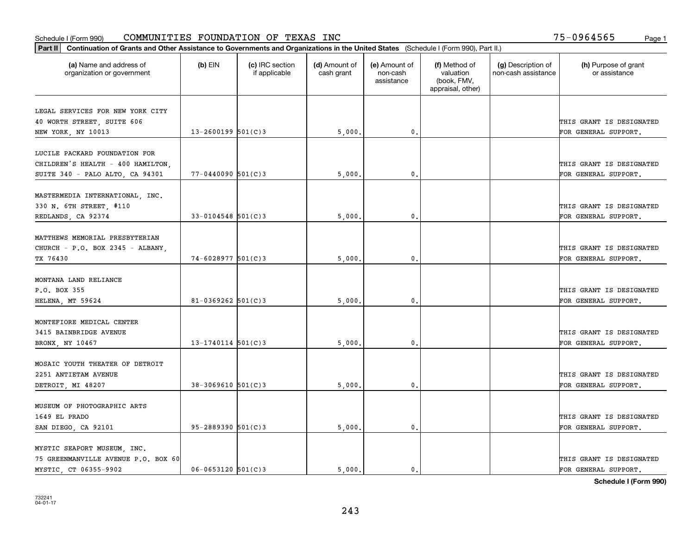| Part II   Continuation of Grants and Other Assistance to Governments and Organizations in the United States (Schedule I (Form 990), Part II.) |                          |                                  |                             |                                         |                                                                |                                           |                                       |
|-----------------------------------------------------------------------------------------------------------------------------------------------|--------------------------|----------------------------------|-----------------------------|-----------------------------------------|----------------------------------------------------------------|-------------------------------------------|---------------------------------------|
| (a) Name and address of<br>organization or government                                                                                         | $(b)$ EIN                | (c) IRC section<br>if applicable | (d) Amount of<br>cash grant | (e) Amount of<br>non-cash<br>assistance | (f) Method of<br>valuation<br>(book, FMV,<br>appraisal, other) | (g) Description of<br>non-cash assistance | (h) Purpose of grant<br>or assistance |
|                                                                                                                                               |                          |                                  |                             |                                         |                                                                |                                           |                                       |
| LEGAL SERVICES FOR NEW YORK CITY<br>40 WORTH STREET, SUITE 606                                                                                |                          |                                  |                             |                                         |                                                                |                                           | THIS GRANT IS DESIGNATED              |
| NEW YORK, NY 10013                                                                                                                            | $13 - 2600199$ 501(C)3   |                                  | 5,000.                      | $\mathbf{0}$ .                          |                                                                |                                           | FOR GENERAL SUPPORT.                  |
|                                                                                                                                               |                          |                                  |                             |                                         |                                                                |                                           |                                       |
| LUCILE PACKARD FOUNDATION FOR                                                                                                                 |                          |                                  |                             |                                         |                                                                |                                           |                                       |
| CHILDREN'S HEALTH - 400 HAMILTON,                                                                                                             |                          |                                  |                             |                                         |                                                                |                                           | THIS GRANT IS DESIGNATED              |
| SUITE 340 - PALO ALTO, CA 94301                                                                                                               | $77 - 0440090$ 501(C)3   |                                  | 5,000                       | $\mathbf{0}$                            |                                                                |                                           | FOR GENERAL SUPPORT.                  |
|                                                                                                                                               |                          |                                  |                             |                                         |                                                                |                                           |                                       |
| MASTERMEDIA INTERNATIONAL, INC.                                                                                                               |                          |                                  |                             |                                         |                                                                |                                           |                                       |
| 330 N. 6TH STREET, #110                                                                                                                       |                          |                                  |                             |                                         |                                                                |                                           | THIS GRANT IS DESIGNATED              |
| REDLANDS, CA 92374                                                                                                                            | $33 - 0104548$ 501(C) 3  |                                  | 5,000                       | $\mathbf{0}$ .                          |                                                                |                                           | FOR GENERAL SUPPORT.                  |
| MATTHEWS MEMORIAL PRESBYTERIAN                                                                                                                |                          |                                  |                             |                                         |                                                                |                                           |                                       |
| CHURCH - P.O. BOX 2345 - ALBANY,                                                                                                              |                          |                                  |                             |                                         |                                                                |                                           | THIS GRANT IS DESIGNATED              |
| TX 76430                                                                                                                                      | $74 - 6028977$ 501(C)3   |                                  | 5,000                       | $\mathbf{0}$                            |                                                                |                                           | FOR GENERAL SUPPORT.                  |
|                                                                                                                                               |                          |                                  |                             |                                         |                                                                |                                           |                                       |
| MONTANA LAND RELIANCE                                                                                                                         |                          |                                  |                             |                                         |                                                                |                                           |                                       |
| P.O. BOX 355                                                                                                                                  |                          |                                  |                             |                                         |                                                                |                                           | THIS GRANT IS DESIGNATED              |
| HELENA, MT 59624                                                                                                                              | $81 - 0369262$ 501(C)3   |                                  | 5,000                       | $\mathbf{0}$                            |                                                                |                                           | FOR GENERAL SUPPORT.                  |
|                                                                                                                                               |                          |                                  |                             |                                         |                                                                |                                           |                                       |
| MONTEFIORE MEDICAL CENTER                                                                                                                     |                          |                                  |                             |                                         |                                                                |                                           |                                       |
| 3415 BAINBRIDGE AVENUE                                                                                                                        |                          |                                  |                             |                                         |                                                                |                                           | THIS GRANT IS DESIGNATED              |
| BRONX, NY 10467                                                                                                                               | $13 - 1740114$ 501(C)3   |                                  | 5,000                       | $\mathbf{0}$                            |                                                                |                                           | FOR GENERAL SUPPORT.                  |
|                                                                                                                                               |                          |                                  |                             |                                         |                                                                |                                           |                                       |
| MOSAIC YOUTH THEATER OF DETROIT<br>2251 ANTIETAM AVENUE                                                                                       |                          |                                  |                             |                                         |                                                                |                                           | THIS GRANT IS DESIGNATED              |
| DETROIT, MI 48207                                                                                                                             | $38 - 3069610$ 501(C)3   |                                  | 5,000                       | $^{\rm 0}$ .                            |                                                                |                                           | FOR GENERAL SUPPORT.                  |
|                                                                                                                                               |                          |                                  |                             |                                         |                                                                |                                           |                                       |
| MUSEUM OF PHOTOGRAPHIC ARTS                                                                                                                   |                          |                                  |                             |                                         |                                                                |                                           |                                       |
| 1649 EL PRADO                                                                                                                                 |                          |                                  |                             |                                         |                                                                |                                           | THIS GRANT IS DESIGNATED              |
| SAN DIEGO, CA 92101                                                                                                                           | $95 - 2889390$ $501(C)3$ |                                  | 5,000.                      | $\mathfrak{o}$ .                        |                                                                |                                           | FOR GENERAL SUPPORT.                  |
|                                                                                                                                               |                          |                                  |                             |                                         |                                                                |                                           |                                       |
| MYSTIC SEAPORT MUSEUM, INC.                                                                                                                   |                          |                                  |                             |                                         |                                                                |                                           |                                       |
| 75 GREENMANVILLE AVENUE P.O. BOX 60                                                                                                           |                          |                                  |                             |                                         |                                                                |                                           | THIS GRANT IS DESIGNATED              |
| MYSTIC CT 06355-9902                                                                                                                          | $06 - 0653120$ 501(C)3   |                                  | 5.000.                      | $\mathfrak{o}$ .                        |                                                                |                                           | FOR GENERAL SUPPORT.                  |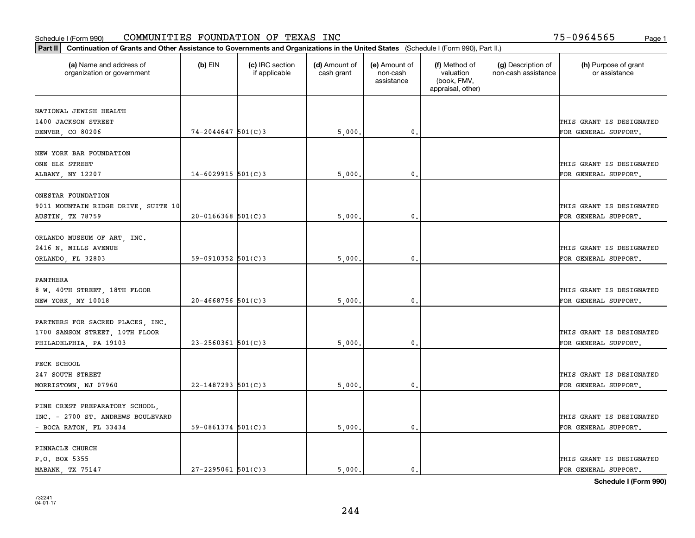| Part II   Continuation of Grants and Other Assistance to Governments and Organizations in the United States (Schedule I (Form 990), Part II.) |                        |                                  |                             |                                         |                                                                |                                           |                                       |
|-----------------------------------------------------------------------------------------------------------------------------------------------|------------------------|----------------------------------|-----------------------------|-----------------------------------------|----------------------------------------------------------------|-------------------------------------------|---------------------------------------|
| (a) Name and address of<br>organization or government                                                                                         | $(b)$ EIN              | (c) IRC section<br>if applicable | (d) Amount of<br>cash grant | (e) Amount of<br>non-cash<br>assistance | (f) Method of<br>valuation<br>(book, FMV,<br>appraisal, other) | (g) Description of<br>non-cash assistance | (h) Purpose of grant<br>or assistance |
| NATIONAL JEWISH HEALTH                                                                                                                        |                        |                                  |                             |                                         |                                                                |                                           |                                       |
| 1400 JACKSON STREET                                                                                                                           |                        |                                  |                             |                                         |                                                                |                                           | THIS GRANT IS DESIGNATED              |
| DENVER, CO 80206                                                                                                                              | $74 - 2044647$ 501(C)3 |                                  | 5,000.                      | 0.                                      |                                                                |                                           | FOR GENERAL SUPPORT.                  |
|                                                                                                                                               |                        |                                  |                             |                                         |                                                                |                                           |                                       |
| NEW YORK BAR FOUNDATION                                                                                                                       |                        |                                  |                             |                                         |                                                                |                                           |                                       |
| ONE ELK STREET                                                                                                                                |                        |                                  |                             |                                         |                                                                |                                           | THIS GRANT IS DESIGNATED              |
| ALBANY, NY 12207                                                                                                                              | $14 - 6029915$ 501(C)3 |                                  | 5,000                       | 0.                                      |                                                                |                                           | FOR GENERAL SUPPORT.                  |
| ONESTAR FOUNDATION                                                                                                                            |                        |                                  |                             |                                         |                                                                |                                           |                                       |
|                                                                                                                                               |                        |                                  |                             |                                         |                                                                |                                           | THIS GRANT IS DESIGNATED              |
| 9011 MOUNTAIN RIDGE DRIVE, SUITE 10<br><b>AUSTIN, TX 78759</b>                                                                                | $20 - 0166368$ 501(C)3 |                                  | 5,000                       | $\mathbf{0}$ .                          |                                                                |                                           | FOR GENERAL SUPPORT.                  |
|                                                                                                                                               |                        |                                  |                             |                                         |                                                                |                                           |                                       |
| ORLANDO MUSEUM OF ART, INC.                                                                                                                   |                        |                                  |                             |                                         |                                                                |                                           |                                       |
| 2416 N. MILLS AVENUE                                                                                                                          |                        |                                  |                             |                                         |                                                                |                                           | THIS GRANT IS DESIGNATED              |
| ORLANDO, FL 32803                                                                                                                             | 59-0910352 $501(C)3$   |                                  | 5,000                       | 0.                                      |                                                                |                                           | FOR GENERAL SUPPORT.                  |
|                                                                                                                                               |                        |                                  |                             |                                         |                                                                |                                           |                                       |
| PANTHERA                                                                                                                                      |                        |                                  |                             |                                         |                                                                |                                           |                                       |
| 8 W. 40TH STREET, 18TH FLOOR                                                                                                                  |                        |                                  |                             |                                         |                                                                |                                           | THIS GRANT IS DESIGNATED              |
| NEW YORK, NY 10018                                                                                                                            | $20 - 4668756$ 501(C)3 |                                  | 5,000                       | 0.                                      |                                                                |                                           | FOR GENERAL SUPPORT.                  |
|                                                                                                                                               |                        |                                  |                             |                                         |                                                                |                                           |                                       |
| PARTNERS FOR SACRED PLACES, INC.                                                                                                              |                        |                                  |                             |                                         |                                                                |                                           |                                       |
| 1700 SANSOM STREET, 10TH FLOOR                                                                                                                |                        |                                  |                             |                                         |                                                                |                                           | THIS GRANT IS DESIGNATED              |
| PHILADELPHIA, PA 19103                                                                                                                        | $23 - 2560361$ 501(C)3 |                                  | 5,000                       | 0.                                      |                                                                |                                           | FOR GENERAL SUPPORT.                  |
| PECK SCHOOL                                                                                                                                   |                        |                                  |                             |                                         |                                                                |                                           |                                       |
| 247 SOUTH STREET                                                                                                                              |                        |                                  |                             |                                         |                                                                |                                           | THIS GRANT IS DESIGNATED              |
| MORRISTOWN, NJ 07960                                                                                                                          | $22 - 1487293$ 501(C)3 |                                  | 5,000                       | $\mathfrak{o}$ .                        |                                                                |                                           | FOR GENERAL SUPPORT.                  |
|                                                                                                                                               |                        |                                  |                             |                                         |                                                                |                                           |                                       |
| PINE CREST PREPARATORY SCHOOL,                                                                                                                |                        |                                  |                             |                                         |                                                                |                                           |                                       |
| INC. - 2700 ST. ANDREWS BOULEVARD                                                                                                             |                        |                                  |                             |                                         |                                                                |                                           | THIS GRANT IS DESIGNATED              |
| - BOCA RATON, FL 33434                                                                                                                        | $59-0861374$ 501(C)3   |                                  | 5,000.                      | $\mathbf{0}$ .                          |                                                                |                                           | FOR GENERAL SUPPORT.                  |
|                                                                                                                                               |                        |                                  |                             |                                         |                                                                |                                           |                                       |
| PINNACLE CHURCH                                                                                                                               |                        |                                  |                             |                                         |                                                                |                                           |                                       |
| P.O. BOX 5355                                                                                                                                 |                        |                                  |                             |                                         |                                                                |                                           | THIS GRANT IS DESIGNATED              |
| MABANK, TX 75147                                                                                                                              | $27 - 2295061$ 501(C)3 |                                  | 5.000.                      | $\mathbf{0}$ .                          |                                                                |                                           | FOR GENERAL SUPPORT.                  |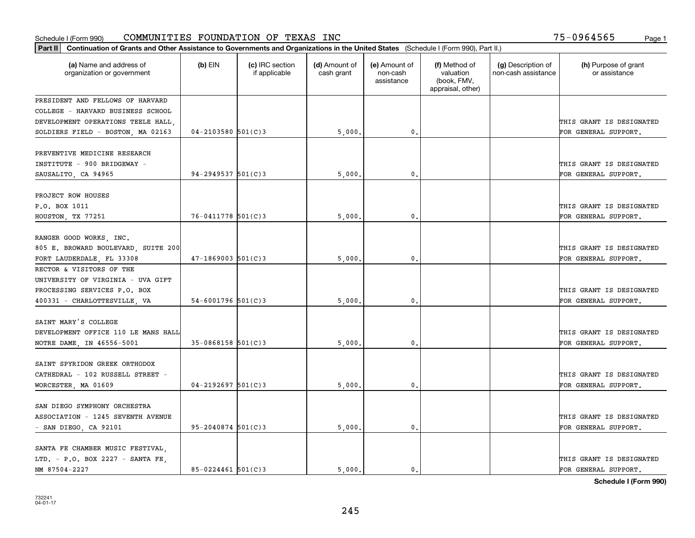| Part II   Continuation of Grants and Other Assistance to Governments and Organizations in the United States (Schedule I (Form 990), Part II.) |                        |                                  |                             |                                         |                                                                |                                           |                                                  |  |  |
|-----------------------------------------------------------------------------------------------------------------------------------------------|------------------------|----------------------------------|-----------------------------|-----------------------------------------|----------------------------------------------------------------|-------------------------------------------|--------------------------------------------------|--|--|
| (a) Name and address of<br>organization or government                                                                                         | $(b)$ EIN              | (c) IRC section<br>if applicable | (d) Amount of<br>cash grant | (e) Amount of<br>non-cash<br>assistance | (f) Method of<br>valuation<br>(book, FMV,<br>appraisal, other) | (g) Description of<br>non-cash assistance | (h) Purpose of grant<br>or assistance            |  |  |
| PRESIDENT AND FELLOWS OF HARVARD                                                                                                              |                        |                                  |                             |                                         |                                                                |                                           |                                                  |  |  |
| COLLEGE - HARVARD BUSINESS SCHOOL                                                                                                             |                        |                                  |                             |                                         |                                                                |                                           |                                                  |  |  |
| DEVELOPMENT OPERATIONS TEELE HALL                                                                                                             |                        |                                  |                             |                                         |                                                                |                                           | THIS GRANT IS DESIGNATED                         |  |  |
| SOLDIERS FIELD - BOSTON, MA 02163                                                                                                             | $04 - 2103580$ 501(C)3 |                                  | 5,000.                      | $\mathbf{0}$ .                          |                                                                |                                           | FOR GENERAL SUPPORT.                             |  |  |
| PREVENTIVE MEDICINE RESEARCH<br>INSTITUTE - 900 BRIDGEWAY -<br>SAUSALITO, CA 94965                                                            | $94 - 2949537$ 501(C)3 |                                  | 5,000                       | $\mathbf{0}$                            |                                                                |                                           | THIS GRANT IS DESIGNATED<br>FOR GENERAL SUPPORT. |  |  |
|                                                                                                                                               |                        |                                  |                             |                                         |                                                                |                                           |                                                  |  |  |
| PROJECT ROW HOUSES                                                                                                                            |                        |                                  |                             |                                         |                                                                |                                           |                                                  |  |  |
| P.O. BOX 1011                                                                                                                                 |                        |                                  |                             |                                         |                                                                |                                           | THIS GRANT IS DESIGNATED                         |  |  |
| HOUSTON, TX 77251                                                                                                                             | 76-0411778 501(C)3     |                                  | 5,000                       | $\mathbf{0}$ .                          |                                                                |                                           | FOR GENERAL SUPPORT.                             |  |  |
| RANGER GOOD WORKS, INC.<br>805 E. BROWARD BOULEVARD, SUITE 200<br>FORT LAUDERDALE, FL 33308                                                   | $47 - 1869003$ 501(C)3 |                                  | 5,000                       | $\mathbf{0}$ .                          |                                                                |                                           | THIS GRANT IS DESIGNATED<br>FOR GENERAL SUPPORT. |  |  |
| RECTOR & VISITORS OF THE                                                                                                                      |                        |                                  |                             |                                         |                                                                |                                           |                                                  |  |  |
| UNIVERSITY OF VIRGINIA - UVA GIFT                                                                                                             |                        |                                  |                             |                                         |                                                                |                                           |                                                  |  |  |
| PROCESSING SERVICES P.O. BOX                                                                                                                  |                        |                                  |                             |                                         |                                                                |                                           | THIS GRANT IS DESIGNATED                         |  |  |
| 400331 - CHARLOTTESVILLE, VA                                                                                                                  | $54 - 6001796$ 501(C)3 |                                  | 5,000                       | $\mathbf{0}$                            |                                                                |                                           | FOR GENERAL SUPPORT.                             |  |  |
| SAINT MARY'S COLLEGE<br>DEVELOPMENT OFFICE 110 LE MANS HALL<br>NOTRE DAME, IN 46556-5001                                                      | $35 - 0868158$ 501(C)3 |                                  | 5,000                       | $\mathbf{0}$                            |                                                                |                                           | THIS GRANT IS DESIGNATED<br>FOR GENERAL SUPPORT. |  |  |
| SAINT SPYRIDON GREEK ORTHODOX<br>CATHEDRAL - 102 RUSSELL STREET -<br>WORCESTER, MA 01609                                                      | $04 - 2192697$ 501(C)3 |                                  | 5,000                       | 0.                                      |                                                                |                                           | THIS GRANT IS DESIGNATED<br>FOR GENERAL SUPPORT. |  |  |
| SAN DIEGO SYMPHONY ORCHESTRA<br>ASSOCIATION - 1245 SEVENTH AVENUE<br>- SAN DIEGO, CA 92101                                                    | $95 - 2040874$ 501(C)3 |                                  | 5,000                       | $\mathfrak o$ .                         |                                                                |                                           | THIS GRANT IS DESIGNATED<br>FOR GENERAL SUPPORT. |  |  |
| SANTA FE CHAMBER MUSIC FESTIVAL.<br>LTD. - P.O. BOX 2227 - SANTA FE,<br>NM 87504-2227                                                         | $85 - 0224461$ 501(C)3 |                                  | 5.000.                      | $\mathbf{0}$ .                          |                                                                |                                           | THIS GRANT IS DESIGNATED<br>FOR GENERAL SUPPORT. |  |  |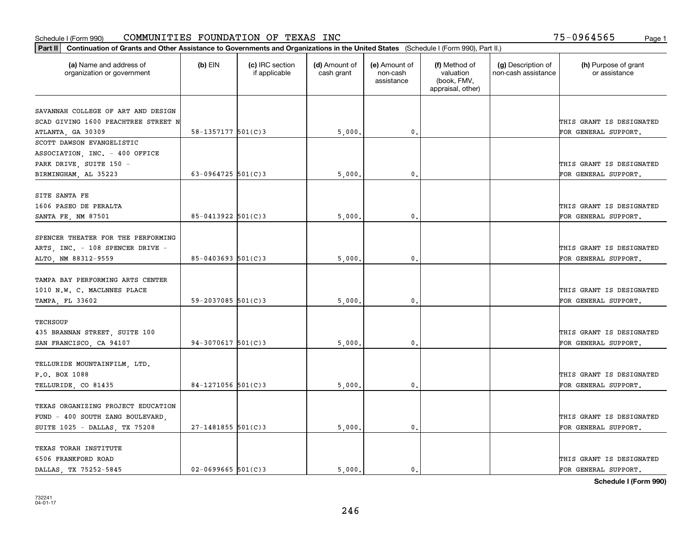| (a) Name and address of<br>organization or government                     | $(b)$ EIN              | (c) IRC section<br>if applicable | (d) Amount of<br>cash grant | (e) Amount of<br>non-cash<br>assistance | (f) Method of<br>valuation<br>(book, FMV,<br>appraisal, other) | (g) Description of<br>non-cash assistance | (h) Purpose of grant<br>or assistance            |
|---------------------------------------------------------------------------|------------------------|----------------------------------|-----------------------------|-----------------------------------------|----------------------------------------------------------------|-------------------------------------------|--------------------------------------------------|
|                                                                           |                        |                                  |                             |                                         |                                                                |                                           |                                                  |
| SAVANNAH COLLEGE OF ART AND DESIGN<br>SCAD GIVING 1600 PEACHTREE STREET N |                        |                                  |                             |                                         |                                                                |                                           |                                                  |
| ATLANTA, GA 30309                                                         | 58-1357177 $501(C)3$   |                                  | 5,000.                      | $\mathfrak{o}$ .                        |                                                                |                                           | THIS GRANT IS DESIGNATED<br>FOR GENERAL SUPPORT. |
| SCOTT DAWSON EVANGELISTIC                                                 |                        |                                  |                             |                                         |                                                                |                                           |                                                  |
| ASSOCIATION, INC. - 400 OFFICE                                            |                        |                                  |                             |                                         |                                                                |                                           |                                                  |
| PARK DRIVE, SUITE 150 -                                                   |                        |                                  |                             |                                         |                                                                |                                           | THIS GRANT IS DESIGNATED                         |
| BIRMINGHAM, AL 35223                                                      | 63-0964725 $501(C)$ 3  |                                  | 5,000                       | 0.                                      |                                                                |                                           | FOR GENERAL SUPPORT.                             |
|                                                                           |                        |                                  |                             |                                         |                                                                |                                           |                                                  |
| SITE SANTA FE                                                             |                        |                                  |                             |                                         |                                                                |                                           |                                                  |
| 1606 PASEO DE PERALTA                                                     |                        |                                  |                             |                                         |                                                                |                                           | THIS GRANT IS DESIGNATED                         |
| SANTA FE, NM 87501                                                        | $85 - 0413922$ 501(C)3 |                                  | 5,000                       | 0.                                      |                                                                |                                           | FOR GENERAL SUPPORT.                             |
|                                                                           |                        |                                  |                             |                                         |                                                                |                                           |                                                  |
| SPENCER THEATER FOR THE PERFORMING                                        |                        |                                  |                             |                                         |                                                                |                                           |                                                  |
| ARTS, INC. - 108 SPENCER DRIVE -                                          |                        |                                  |                             |                                         |                                                                |                                           | THIS GRANT IS DESIGNATED                         |
| ALTO, NM 88312-9559                                                       | $85 - 0403693$ 501(C)3 |                                  | 5,000                       | 0.                                      |                                                                |                                           | FOR GENERAL SUPPORT.                             |
|                                                                           |                        |                                  |                             |                                         |                                                                |                                           |                                                  |
| TAMPA BAY PERFORMING ARTS CENTER                                          |                        |                                  |                             |                                         |                                                                |                                           |                                                  |
| 1010 N.W. C. MACLNNES PLACE                                               |                        |                                  |                             |                                         |                                                                |                                           | THIS GRANT IS DESIGNATED                         |
| TAMPA, FL 33602                                                           | $59 - 2037085$ 501(C)3 |                                  | 5,000                       | 0.                                      |                                                                |                                           | FOR GENERAL SUPPORT.                             |
|                                                                           |                        |                                  |                             |                                         |                                                                |                                           |                                                  |
| <b>TECHSOUP</b>                                                           |                        |                                  |                             |                                         |                                                                |                                           |                                                  |
| 435 BRANNAN STREET, SUITE 100                                             |                        |                                  |                             |                                         |                                                                |                                           | THIS GRANT IS DESIGNATED                         |
| SAN FRANCISCO, CA 94107                                                   | $94-3070617$ 501(C)3   |                                  | 5,000                       | 0.                                      |                                                                |                                           | FOR GENERAL SUPPORT.                             |
|                                                                           |                        |                                  |                             |                                         |                                                                |                                           |                                                  |
| TELLURIDE MOUNTAINFILM, LTD.                                              |                        |                                  |                             |                                         |                                                                |                                           |                                                  |
| P.O. BOX 1088                                                             |                        |                                  |                             |                                         |                                                                |                                           | THIS GRANT IS DESIGNATED                         |
| TELLURIDE, CO 81435                                                       | $84-1271056$ 501(C)3   |                                  | 5,000                       | $\mathfrak{o}$ .                        |                                                                |                                           | FOR GENERAL SUPPORT.                             |
| TEXAS ORGANIZING PROJECT EDUCATION                                        |                        |                                  |                             |                                         |                                                                |                                           |                                                  |
| FUND - 400 SOUTH ZANG BOULEVARD,                                          |                        |                                  |                             |                                         |                                                                |                                           | THIS GRANT IS DESIGNATED                         |
| SUITE 1025 - DALLAS, TX 75208                                             | $27 - 1481855$ 501(C)3 |                                  | 5,000                       | $\mathbf{0}$                            |                                                                |                                           | FOR GENERAL SUPPORT.                             |
|                                                                           |                        |                                  |                             |                                         |                                                                |                                           |                                                  |
| TEXAS TORAH INSTITUTE                                                     |                        |                                  |                             |                                         |                                                                |                                           |                                                  |
| 6506 FRANKFORD ROAD                                                       |                        |                                  |                             |                                         |                                                                |                                           | THIS GRANT IS DESIGNATED                         |
| DALLAS TX 75252-5845                                                      | $02 - 0699665$ 501(C)3 |                                  | 5.000.                      | $\mathbf{0}$ .                          |                                                                |                                           | FOR GENERAL SUPPORT.                             |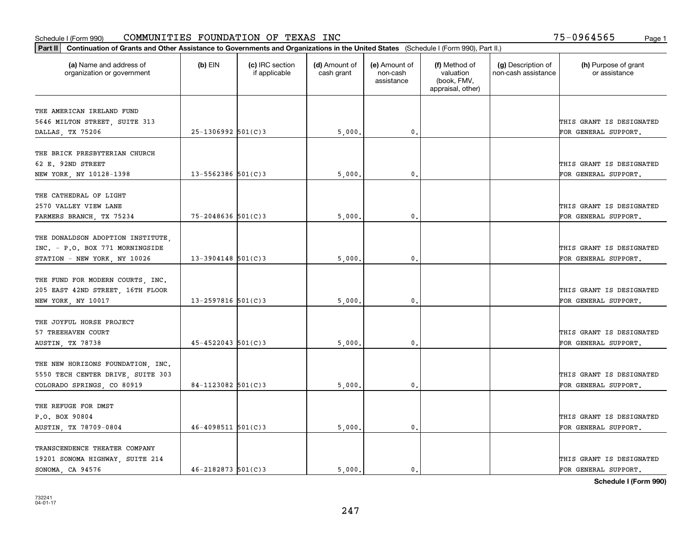| Part II   Continuation of Grants and Other Assistance to Governments and Organizations in the United States (Schedule I (Form 990), Part II.) |                        |                                  |                             |                                         |                                                                |                                           |                                       |
|-----------------------------------------------------------------------------------------------------------------------------------------------|------------------------|----------------------------------|-----------------------------|-----------------------------------------|----------------------------------------------------------------|-------------------------------------------|---------------------------------------|
| (a) Name and address of<br>organization or government                                                                                         | $(b)$ EIN              | (c) IRC section<br>if applicable | (d) Amount of<br>cash grant | (e) Amount of<br>non-cash<br>assistance | (f) Method of<br>valuation<br>(book, FMV,<br>appraisal, other) | (g) Description of<br>non-cash assistance | (h) Purpose of grant<br>or assistance |
|                                                                                                                                               |                        |                                  |                             |                                         |                                                                |                                           |                                       |
| THE AMERICAN IRELAND FUND<br>5646 MILTON STREET, SUITE 313                                                                                    |                        |                                  |                             |                                         |                                                                |                                           | THIS GRANT IS DESIGNATED              |
| DALLAS, TX 75206                                                                                                                              | $25-1306992$ 501(C)3   |                                  | 5,000.                      | 0.                                      |                                                                |                                           | FOR GENERAL SUPPORT.                  |
|                                                                                                                                               |                        |                                  |                             |                                         |                                                                |                                           |                                       |
| THE BRICK PRESBYTERIAN CHURCH                                                                                                                 |                        |                                  |                             |                                         |                                                                |                                           |                                       |
| 62 E. 92ND STREET                                                                                                                             |                        |                                  |                             |                                         |                                                                |                                           | THIS GRANT IS DESIGNATED              |
| NEW YORK, NY 10128-1398                                                                                                                       | $13 - 5562386$ 501(C)3 |                                  | 5,000                       | 0.                                      |                                                                |                                           | FOR GENERAL SUPPORT.                  |
|                                                                                                                                               |                        |                                  |                             |                                         |                                                                |                                           |                                       |
| THE CATHEDRAL OF LIGHT                                                                                                                        |                        |                                  |                             |                                         |                                                                |                                           |                                       |
| 2570 VALLEY VIEW LANE                                                                                                                         |                        |                                  |                             |                                         |                                                                |                                           | THIS GRANT IS DESIGNATED              |
| FARMERS BRANCH, TX 75234                                                                                                                      | $75 - 2048636$ 501(C)3 |                                  | 5,000                       | 0.                                      |                                                                |                                           | FOR GENERAL SUPPORT.                  |
|                                                                                                                                               |                        |                                  |                             |                                         |                                                                |                                           |                                       |
| THE DONALDSON ADOPTION INSTITUTE,                                                                                                             |                        |                                  |                             |                                         |                                                                |                                           |                                       |
| INC. - P.O. BOX 771 MORNINGSIDE                                                                                                               |                        |                                  |                             |                                         |                                                                |                                           | THIS GRANT IS DESIGNATED              |
| STATION - NEW YORK, NY 10026                                                                                                                  | $13 - 3904148$ 501(C)3 |                                  | 5,000                       | 0.                                      |                                                                |                                           | FOR GENERAL SUPPORT.                  |
|                                                                                                                                               |                        |                                  |                             |                                         |                                                                |                                           |                                       |
| THE FUND FOR MODERN COURTS, INC.                                                                                                              |                        |                                  |                             |                                         |                                                                |                                           |                                       |
| 205 EAST 42ND STREET, 16TH FLOOR                                                                                                              |                        |                                  |                             |                                         |                                                                |                                           | THIS GRANT IS DESIGNATED              |
| NEW YORK, NY 10017                                                                                                                            | $13 - 2597816$ 501(C)3 |                                  | 5,000                       | 0.                                      |                                                                |                                           | FOR GENERAL SUPPORT.                  |
|                                                                                                                                               |                        |                                  |                             |                                         |                                                                |                                           |                                       |
| THE JOYFUL HORSE PROJECT                                                                                                                      |                        |                                  |                             |                                         |                                                                |                                           |                                       |
| 57 TREEHAVEN COURT                                                                                                                            |                        |                                  |                             |                                         |                                                                |                                           | THIS GRANT IS DESIGNATED              |
| AUSTIN, TX 78738                                                                                                                              | $45 - 4522043$ 501(C)3 |                                  | 5,000                       | 0.                                      |                                                                |                                           | FOR GENERAL SUPPORT.                  |
|                                                                                                                                               |                        |                                  |                             |                                         |                                                                |                                           |                                       |
| THE NEW HORIZONS FOUNDATION, INC.                                                                                                             |                        |                                  |                             |                                         |                                                                |                                           |                                       |
| 5550 TECH CENTER DRIVE, SUITE 303                                                                                                             |                        |                                  |                             |                                         |                                                                |                                           | THIS GRANT IS DESIGNATED              |
| COLORADO SPRINGS, CO 80919                                                                                                                    | 84-1123082 $501(C)3$   |                                  | 5,000                       | 0.                                      |                                                                |                                           | FOR GENERAL SUPPORT.                  |
| THE REFUGE FOR DMST                                                                                                                           |                        |                                  |                             |                                         |                                                                |                                           |                                       |
| P.O. BOX 90804                                                                                                                                |                        |                                  |                             |                                         |                                                                |                                           | THIS GRANT IS DESIGNATED              |
|                                                                                                                                               | $46 - 4098511$ 501(C)3 |                                  |                             | 0.                                      |                                                                |                                           | FOR GENERAL SUPPORT.                  |
| AUSTIN, TX 78709-0804                                                                                                                         |                        |                                  | 5,000                       |                                         |                                                                |                                           |                                       |
| TRANSCENDENCE THEATER COMPANY                                                                                                                 |                        |                                  |                             |                                         |                                                                |                                           |                                       |
| 19201 SONOMA HIGHWAY, SUITE 214                                                                                                               |                        |                                  |                             |                                         |                                                                |                                           | THIS GRANT IS DESIGNATED              |
| SONOMA, CA 94576                                                                                                                              | $46 - 2182873$ 501(C)3 |                                  | 5.000.                      | $\mathbf{0}$ .                          |                                                                |                                           | FOR GENERAL SUPPORT.                  |
|                                                                                                                                               |                        |                                  |                             |                                         |                                                                |                                           |                                       |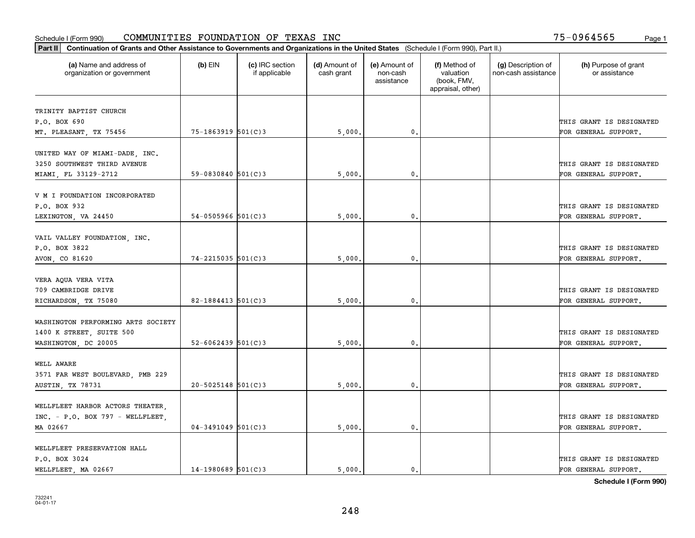| Part II   Continuation of Grants and Other Assistance to Governments and Organizations in the United States (Schedule I (Form 990), Part II.) |                        |                                  |                             |                                         |                                                                |                                           |                                       |
|-----------------------------------------------------------------------------------------------------------------------------------------------|------------------------|----------------------------------|-----------------------------|-----------------------------------------|----------------------------------------------------------------|-------------------------------------------|---------------------------------------|
| (a) Name and address of<br>organization or government                                                                                         | $(b)$ EIN              | (c) IRC section<br>if applicable | (d) Amount of<br>cash grant | (e) Amount of<br>non-cash<br>assistance | (f) Method of<br>valuation<br>(book, FMV,<br>appraisal, other) | (g) Description of<br>non-cash assistance | (h) Purpose of grant<br>or assistance |
| TRINITY BAPTIST CHURCH                                                                                                                        |                        |                                  |                             |                                         |                                                                |                                           |                                       |
| P.O. BOX 690                                                                                                                                  |                        |                                  |                             |                                         |                                                                |                                           | THIS GRANT IS DESIGNATED              |
| MT. PLEASANT, TX 75456                                                                                                                        | 75-1863919 501(C)3     |                                  | 5,000                       | 0.                                      |                                                                |                                           | FOR GENERAL SUPPORT.                  |
|                                                                                                                                               |                        |                                  |                             |                                         |                                                                |                                           |                                       |
| UNITED WAY OF MIAMI-DADE, INC.<br>3250 SOUTHWEST THIRD AVENUE                                                                                 |                        |                                  |                             |                                         |                                                                |                                           | THIS GRANT IS DESIGNATED              |
| MIAMI, FL 33129-2712                                                                                                                          | $59 - 0830840$ 501(C)3 |                                  | 5,000                       | 0.                                      |                                                                |                                           | FOR GENERAL SUPPORT.                  |
|                                                                                                                                               |                        |                                  |                             |                                         |                                                                |                                           |                                       |
| V M I FOUNDATION INCORPORATED                                                                                                                 |                        |                                  |                             |                                         |                                                                |                                           |                                       |
| P.O. BOX 932                                                                                                                                  |                        |                                  |                             |                                         |                                                                |                                           | THIS GRANT IS DESIGNATED              |
| LEXINGTON, VA 24450                                                                                                                           | $54 - 0505966$ 501(C)3 |                                  | 5,000                       | 0.                                      |                                                                |                                           | FOR GENERAL SUPPORT.                  |
|                                                                                                                                               |                        |                                  |                             |                                         |                                                                |                                           |                                       |
| VAIL VALLEY FOUNDATION, INC.                                                                                                                  |                        |                                  |                             |                                         |                                                                |                                           |                                       |
| P.O. BOX 3822                                                                                                                                 |                        |                                  |                             |                                         |                                                                |                                           | THIS GRANT IS DESIGNATED              |
| AVON, CO 81620                                                                                                                                | 74-2215035 501(C)3     |                                  | 5,000                       | 0.                                      |                                                                |                                           | FOR GENERAL SUPPORT.                  |
|                                                                                                                                               |                        |                                  |                             |                                         |                                                                |                                           |                                       |
| VERA AQUA VERA VITA                                                                                                                           |                        |                                  |                             |                                         |                                                                |                                           |                                       |
| 709 CAMBRIDGE DRIVE                                                                                                                           |                        |                                  |                             |                                         |                                                                |                                           | THIS GRANT IS DESIGNATED              |
| RICHARDSON, TX 75080                                                                                                                          | 82-1884413 $501(C)$ 3  |                                  | 5,000                       | 0.                                      |                                                                |                                           | FOR GENERAL SUPPORT.                  |
|                                                                                                                                               |                        |                                  |                             |                                         |                                                                |                                           |                                       |
| WASHINGTON PERFORMING ARTS SOCIETY                                                                                                            |                        |                                  |                             |                                         |                                                                |                                           |                                       |
| 1400 K STREET, SUITE 500                                                                                                                      |                        |                                  |                             |                                         |                                                                |                                           | THIS GRANT IS DESIGNATED              |
| WASHINGTON, DC 20005                                                                                                                          | $52 - 6062439$ 501(C)3 |                                  | 5,000                       | 0.                                      |                                                                |                                           | FOR GENERAL SUPPORT.                  |
| WELL AWARE                                                                                                                                    |                        |                                  |                             |                                         |                                                                |                                           |                                       |
|                                                                                                                                               |                        |                                  |                             |                                         |                                                                |                                           |                                       |
| 3571 FAR WEST BOULEVARD, PMB 229                                                                                                              |                        |                                  |                             |                                         |                                                                |                                           | THIS GRANT IS DESIGNATED              |
| AUSTIN, TX 78731                                                                                                                              | $20 - 5025148$ 501(C)3 |                                  | 5,000                       | $\mathbf{0}$ .                          |                                                                |                                           | FOR GENERAL SUPPORT.                  |
| WELLFLEET HARBOR ACTORS THEATER,                                                                                                              |                        |                                  |                             |                                         |                                                                |                                           |                                       |
| INC. - P.O. BOX 797 - WELLFLEET,                                                                                                              |                        |                                  |                             |                                         |                                                                |                                           | THIS GRANT IS DESIGNATED              |
| MA 02667                                                                                                                                      | $04 - 3491049$ 501(C)3 |                                  |                             | $\mathbf{0}$ .                          |                                                                |                                           | FOR GENERAL SUPPORT.                  |
|                                                                                                                                               |                        |                                  | 5,000                       |                                         |                                                                |                                           |                                       |
| WELLFLEET PRESERVATION HALL                                                                                                                   |                        |                                  |                             |                                         |                                                                |                                           |                                       |
| P.O. BOX 3024                                                                                                                                 |                        |                                  |                             |                                         |                                                                |                                           | THIS GRANT IS DESIGNATED              |
| WELLFLEET, MA 02667                                                                                                                           | $14-1980689$ 501(C)3   |                                  | 5.000.                      | $\mathbf{0}$ .                          |                                                                |                                           | FOR GENERAL SUPPORT.                  |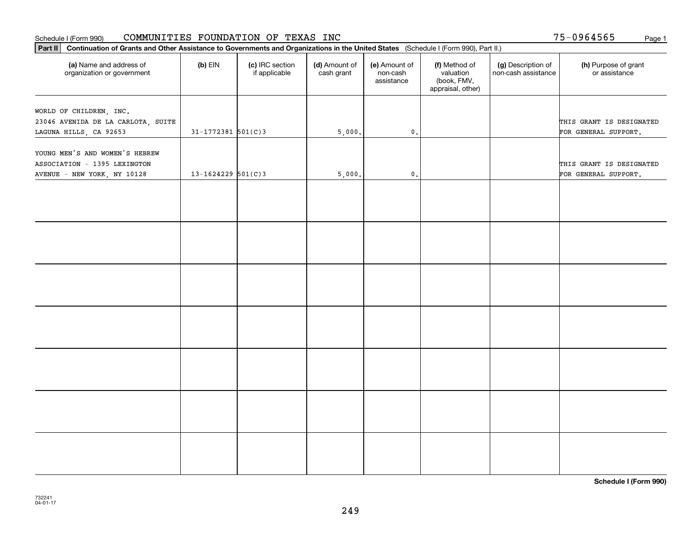#### Schedule I (Form 990) Page 1 COMMUNITIES FOUNDATION OF TEXAS INC

75-0964565

| Part II   Continuation of Grants and Other Assistance to Governments and Organizations in the United States (Schedule I (Form 990), Part II.) |                        |                                  |                             |                                         |                                                                |                                           |                                                  |  |  |  |
|-----------------------------------------------------------------------------------------------------------------------------------------------|------------------------|----------------------------------|-----------------------------|-----------------------------------------|----------------------------------------------------------------|-------------------------------------------|--------------------------------------------------|--|--|--|
| (a) Name and address of<br>organization or government                                                                                         | $(b)$ EIN              | (c) IRC section<br>if applicable | (d) Amount of<br>cash grant | (e) Amount of<br>non-cash<br>assistance | (f) Method of<br>valuation<br>(book, FMV,<br>appraisal, other) | (g) Description of<br>non-cash assistance | (h) Purpose of grant<br>or assistance            |  |  |  |
|                                                                                                                                               |                        |                                  |                             |                                         |                                                                |                                           |                                                  |  |  |  |
| WORLD OF CHILDREN, INC.                                                                                                                       |                        |                                  |                             |                                         |                                                                |                                           | THIS GRANT IS DESIGNATED                         |  |  |  |
| 23046 AVENIDA DE LA CARLOTA, SUITE                                                                                                            | $31 - 1772381$ 501(C)3 |                                  |                             |                                         |                                                                |                                           |                                                  |  |  |  |
| LAGUNA HILLS, CA 92653                                                                                                                        |                        |                                  | 5,000.                      | $\mathbf 0$ .                           |                                                                |                                           | FOR GENERAL SUPPORT.                             |  |  |  |
| YOUNG MEN'S AND WOMEN'S HEBREW<br>ASSOCIATION - 1395 LEXINGTON<br>AVENUE - NEW YORK, NY 10128                                                 | $13 - 1624229$ 501(C)3 |                                  | 5,000.                      | $\mathbf{0}$ .                          |                                                                |                                           | THIS GRANT IS DESIGNATED<br>FOR GENERAL SUPPORT. |  |  |  |
|                                                                                                                                               |                        |                                  |                             |                                         |                                                                |                                           |                                                  |  |  |  |
|                                                                                                                                               |                        |                                  |                             |                                         |                                                                |                                           |                                                  |  |  |  |
|                                                                                                                                               |                        |                                  |                             |                                         |                                                                |                                           |                                                  |  |  |  |
|                                                                                                                                               |                        |                                  |                             |                                         |                                                                |                                           |                                                  |  |  |  |
|                                                                                                                                               |                        |                                  |                             |                                         |                                                                |                                           |                                                  |  |  |  |
|                                                                                                                                               |                        |                                  |                             |                                         |                                                                |                                           |                                                  |  |  |  |
|                                                                                                                                               |                        |                                  |                             |                                         |                                                                |                                           |                                                  |  |  |  |
|                                                                                                                                               |                        |                                  |                             |                                         |                                                                |                                           |                                                  |  |  |  |
|                                                                                                                                               |                        |                                  |                             |                                         |                                                                |                                           |                                                  |  |  |  |
|                                                                                                                                               |                        |                                  |                             |                                         |                                                                |                                           |                                                  |  |  |  |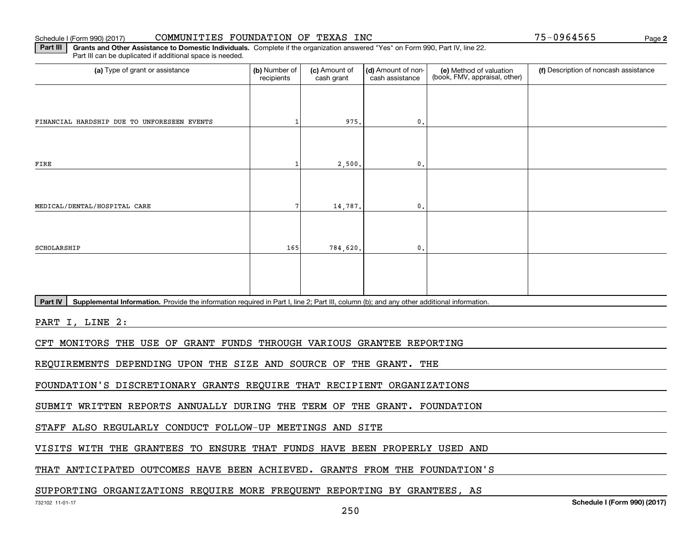#### Schedule I (Form 990) (2017) CO**MMUNITIES FOUNDATION OF TEXAS INC** Page

**Part III | Grants and Other Assistance to Domestic Individuals. Complete if the organization answered "Yes" on Form 990, Part IV, line 22.** Part III can be duplicated if additional space is needed.

| (a) Type of grant or assistance                                                                                                                      | (b) Number of<br>recipients | (c) Amount of<br>cash grant | (d) Amount of non-<br>cash assistance | (e) Method of valuation<br>(book, FMV, appraisal, other) | (f) Description of noncash assistance |  |  |  |  |  |
|------------------------------------------------------------------------------------------------------------------------------------------------------|-----------------------------|-----------------------------|---------------------------------------|----------------------------------------------------------|---------------------------------------|--|--|--|--|--|
|                                                                                                                                                      |                             |                             |                                       |                                                          |                                       |  |  |  |  |  |
|                                                                                                                                                      |                             |                             |                                       |                                                          |                                       |  |  |  |  |  |
| FINANCIAL HARDSHIP DUE TO UNFORESEEN EVENTS                                                                                                          |                             | 975.                        | 0.                                    |                                                          |                                       |  |  |  |  |  |
|                                                                                                                                                      |                             |                             |                                       |                                                          |                                       |  |  |  |  |  |
| FIRE                                                                                                                                                 |                             | 2,500.                      | 0.                                    |                                                          |                                       |  |  |  |  |  |
|                                                                                                                                                      |                             |                             |                                       |                                                          |                                       |  |  |  |  |  |
| MEDICAL/DENTAL/HOSPITAL CARE                                                                                                                         | 7                           | 14,787.                     | $\mathbf{0}$                          |                                                          |                                       |  |  |  |  |  |
|                                                                                                                                                      |                             |                             |                                       |                                                          |                                       |  |  |  |  |  |
| SCHOLARSHIP                                                                                                                                          | 165                         | 784,620.                    | $\mathbf{0}$                          |                                                          |                                       |  |  |  |  |  |
|                                                                                                                                                      |                             |                             |                                       |                                                          |                                       |  |  |  |  |  |
|                                                                                                                                                      |                             |                             |                                       |                                                          |                                       |  |  |  |  |  |
|                                                                                                                                                      |                             |                             |                                       |                                                          |                                       |  |  |  |  |  |
| Part IV<br>Supplemental Information. Provide the information required in Part I, line 2; Part III, column (b); and any other additional information. |                             |                             |                                       |                                                          |                                       |  |  |  |  |  |
| PART I, LINE 2:                                                                                                                                      |                             |                             |                                       |                                                          |                                       |  |  |  |  |  |
| CFT MONITORS THE USE OF GRANT FUNDS THROUGH VARIOUS GRANTEE REPORTING                                                                                |                             |                             |                                       |                                                          |                                       |  |  |  |  |  |
|                                                                                                                                                      |                             |                             |                                       |                                                          |                                       |  |  |  |  |  |
| REQUIREMENTS DEPENDING UPON THE SIZE AND SOURCE OF THE GRANT. THE                                                                                    |                             |                             |                                       |                                                          |                                       |  |  |  |  |  |
| FOUNDATION'S DISCRETIONARY GRANTS REQUIRE THAT RECIPIENT ORGANIZATIONS                                                                               |                             |                             |                                       |                                                          |                                       |  |  |  |  |  |
| SUBMIT WRITTEN REPORTS ANNUALLY DURING THE TERM OF THE GRANT. FOUNDATION                                                                             |                             |                             |                                       |                                                          |                                       |  |  |  |  |  |
| STAFF ALSO REGULARLY CONDUCT FOLLOW-UP MEETINGS AND SITE                                                                                             |                             |                             |                                       |                                                          |                                       |  |  |  |  |  |
| חזו הסימון עוסקת מסור השים קוונים המווה המווים מסוימות מה מסקהוונים משים שהדמו עודות מחדמי                                                           |                             |                             |                                       |                                                          |                                       |  |  |  |  |  |

VISITS WITH THE GRANTEES TO ENSURE THAT FUNDS HAVE BEEN PROPERLY USED AND

THAT ANTICIPATED OUTCOMES HAVE BEEN ACHIEVED. GRANTS FROM THE FOUNDATION'S

## SUPPORTING ORGANIZATIONS REQUIRE MORE FREQUENT REPORTING BY GRANTEES, AS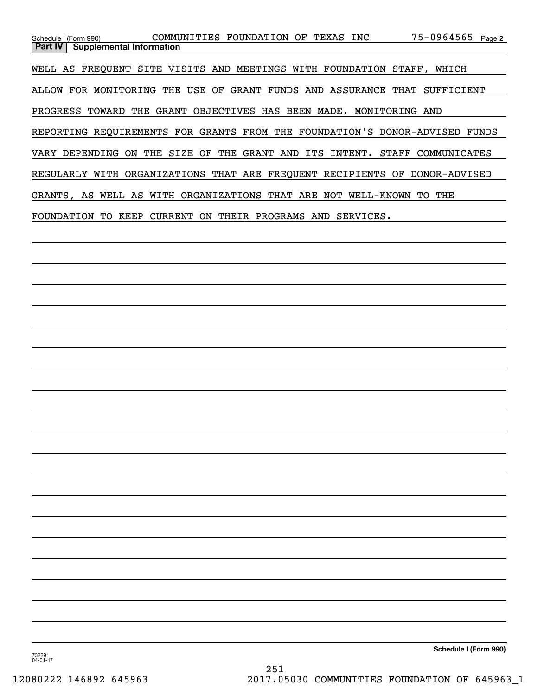| Schedule I (Form 990)                                                       | COMMUNITIES FOUNDATION OF TEXAS INC                         |                            |                  | 75-0964565 Page 2 |  |  |  |  |  |
|-----------------------------------------------------------------------------|-------------------------------------------------------------|----------------------------|------------------|-------------------|--|--|--|--|--|
| <b>Part IV</b><br><b>Supplemental Information</b>                           |                                                             |                            |                  |                   |  |  |  |  |  |
| WELL AS FREQUENT SITE VISITS AND MEETINGS WITH FOUNDATION STAFF, WHICH      |                                                             |                            |                  |                   |  |  |  |  |  |
| ALLOW FOR MONITORING THE USE OF GRANT FUNDS AND ASSURANCE THAT SUFFICIENT   |                                                             |                            |                  |                   |  |  |  |  |  |
| PROGRESS TOWARD<br>THE GRANT OBJECTIVES HAS BEEN MADE. MONITORING AND       |                                                             |                            |                  |                   |  |  |  |  |  |
| REPORTING REOUIREMENTS FOR GRANTS FROM THE FOUNDATION'S DONOR-ADVISED FUNDS |                                                             |                            |                  |                   |  |  |  |  |  |
| VARY DEPENDING                                                              | ON THE SIZE OF THE GRANT AND ITS INTENT. STAFF COMMUNICATES |                            |                  |                   |  |  |  |  |  |
| REGULARLY WITH ORGANIZATIONS THAT ARE FREQUENT RECIPIENTS OF DONOR-ADVISED  |                                                             |                            |                  |                   |  |  |  |  |  |
| GRANTS, AS WELL AS WITH                                                     |                                                             | ORGANIZATIONS THAT ARE NOT | WELL-KNOWN       | THE<br>TO.        |  |  |  |  |  |
| KEEP<br>FOUNDATION<br>TO.                                                   | CURRENT<br>ON.                                              | THEIR PROGRAMS             | SERVICES.<br>AND |                   |  |  |  |  |  |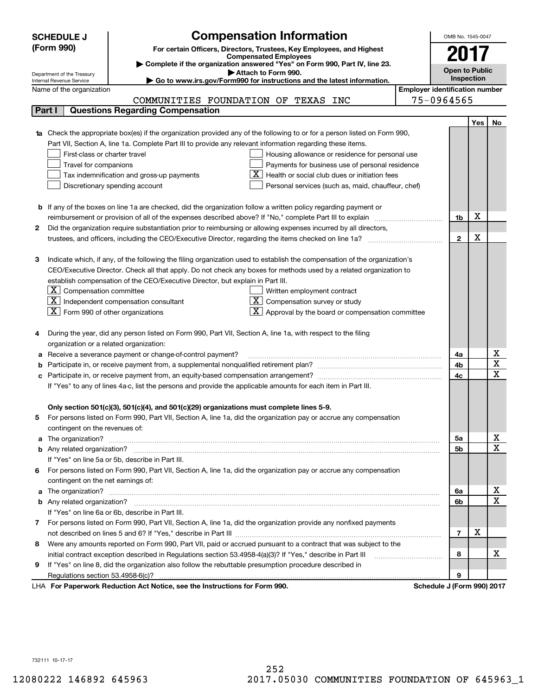|    | <b>SCHEDULE J</b>                                      | <b>Compensation Information</b>                                                                                                  |                                       | OMB No. 1545-0047     |            |                              |  |
|----|--------------------------------------------------------|----------------------------------------------------------------------------------------------------------------------------------|---------------------------------------|-----------------------|------------|------------------------------|--|
|    | (Form 990)                                             | For certain Officers, Directors, Trustees, Key Employees, and Highest                                                            |                                       |                       |            |                              |  |
|    |                                                        | <b>Compensated Employees</b>                                                                                                     |                                       | 2017                  |            |                              |  |
|    |                                                        | Complete if the organization answered "Yes" on Form 990, Part IV, line 23.<br>Attach to Form 990.                                |                                       | <b>Open to Public</b> |            |                              |  |
|    | Department of the Treasury<br>Internal Revenue Service | Go to www.irs.gov/Form990 for instructions and the latest information.                                                           |                                       |                       | Inspection |                              |  |
|    | Name of the organization                               |                                                                                                                                  | <b>Employer identification number</b> |                       |            |                              |  |
|    |                                                        | COMMUNITIES FOUNDATION OF TEXAS INC                                                                                              |                                       | 75-0964565            |            |                              |  |
|    | Part I                                                 | <b>Questions Regarding Compensation</b>                                                                                          |                                       |                       |            |                              |  |
|    |                                                        |                                                                                                                                  |                                       |                       | <b>Yes</b> | No                           |  |
|    |                                                        | <b>1a</b> Check the appropriate box(es) if the organization provided any of the following to or for a person listed on Form 990, |                                       |                       |            |                              |  |
|    |                                                        | Part VII, Section A, line 1a. Complete Part III to provide any relevant information regarding these items.                       |                                       |                       |            |                              |  |
|    | First-class or charter travel                          | Housing allowance or residence for personal use                                                                                  |                                       |                       |            |                              |  |
|    | Travel for companions                                  | Payments for business use of personal residence                                                                                  |                                       |                       |            |                              |  |
|    |                                                        | Health or social club dues or initiation fees<br>Tax indemnification and gross-up payments                                       |                                       |                       |            |                              |  |
|    |                                                        | Discretionary spending account<br>Personal services (such as, maid, chauffeur, chef)                                             |                                       |                       |            |                              |  |
|    |                                                        |                                                                                                                                  |                                       |                       |            |                              |  |
|    |                                                        | <b>b</b> If any of the boxes on line 1a are checked, did the organization follow a written policy regarding payment or           |                                       |                       | х          |                              |  |
|    |                                                        | reimbursement or provision of all of the expenses described above? If "No," complete Part III to explain                         |                                       | 1b                    |            |                              |  |
| 2  |                                                        | Did the organization require substantiation prior to reimbursing or allowing expenses incurred by all directors,                 |                                       | $\mathbf{2}$          | X          |                              |  |
|    |                                                        |                                                                                                                                  |                                       |                       |            |                              |  |
| з  |                                                        | Indicate which, if any, of the following the filing organization used to establish the compensation of the organization's        |                                       |                       |            |                              |  |
|    |                                                        | CEO/Executive Director. Check all that apply. Do not check any boxes for methods used by a related organization to               |                                       |                       |            |                              |  |
|    |                                                        | establish compensation of the CEO/Executive Director, but explain in Part III.                                                   |                                       |                       |            |                              |  |
|    | $\boxed{\textbf{X}}$ Compensation committee            | Written employment contract                                                                                                      |                                       |                       |            |                              |  |
|    |                                                        | $ \mathbf{X} $ Independent compensation consultant<br>Compensation survey or study                                               |                                       |                       |            |                              |  |
|    | $\boxed{\textbf{X}}$ Form 990 of other organizations   | Approval by the board or compensation committee                                                                                  |                                       |                       |            |                              |  |
|    |                                                        |                                                                                                                                  |                                       |                       |            |                              |  |
|    |                                                        | During the year, did any person listed on Form 990, Part VII, Section A, line 1a, with respect to the filing                     |                                       |                       |            |                              |  |
|    | organization or a related organization:                |                                                                                                                                  |                                       |                       |            |                              |  |
|    |                                                        | Receive a severance payment or change-of-control payment?                                                                        |                                       | 4a                    |            | x                            |  |
|    |                                                        |                                                                                                                                  |                                       | 4b                    |            | $\overline{\text{x}}$        |  |
|    |                                                        |                                                                                                                                  |                                       | 4c                    |            | $\overline{\text{x}}$        |  |
|    |                                                        | If "Yes" to any of lines 4a-c, list the persons and provide the applicable amounts for each item in Part III.                    |                                       |                       |            |                              |  |
|    |                                                        |                                                                                                                                  |                                       |                       |            |                              |  |
|    |                                                        | Only section 501(c)(3), 501(c)(4), and 501(c)(29) organizations must complete lines 5-9.                                         |                                       |                       |            |                              |  |
| 5. |                                                        | For persons listed on Form 990, Part VII, Section A, line 1a, did the organization pay or accrue any compensation                |                                       |                       |            |                              |  |
|    | contingent on the revenues of:                         |                                                                                                                                  |                                       |                       |            |                              |  |
|    |                                                        | a The organization? <b>Manual Community Community</b> Community Community Community Community Community Community Community      |                                       | 5a                    |            | <u>x</u>                     |  |
|    |                                                        |                                                                                                                                  |                                       | 5b                    |            | $\overline{\mathbf{x}}$      |  |
|    |                                                        | If "Yes" on line 5a or 5b, describe in Part III.                                                                                 |                                       |                       |            |                              |  |
| 6. |                                                        | For persons listed on Form 990, Part VII, Section A, line 1a, did the organization pay or accrue any compensation                |                                       |                       |            |                              |  |
|    | contingent on the net earnings of:                     |                                                                                                                                  |                                       |                       |            |                              |  |
|    |                                                        |                                                                                                                                  |                                       | 6a                    |            | x<br>$\overline{\mathbf{x}}$ |  |
|    |                                                        |                                                                                                                                  |                                       | 6b                    |            |                              |  |
|    |                                                        | If "Yes" on line 6a or 6b, describe in Part III.                                                                                 |                                       |                       |            |                              |  |
|    |                                                        | 7 For persons listed on Form 990, Part VII, Section A, line 1a, did the organization provide any nonfixed payments               |                                       |                       | х          |                              |  |
|    |                                                        |                                                                                                                                  |                                       | $\overline{7}$        |            |                              |  |
| 8  |                                                        | Were any amounts reported on Form 990, Part VII, paid or accrued pursuant to a contract that was subject to the                  |                                       |                       |            | х                            |  |
| 9  |                                                        | If "Yes" on line 8, did the organization also follow the rebuttable presumption procedure described in                           |                                       | 8                     |            |                              |  |
|    |                                                        |                                                                                                                                  |                                       | 9                     |            |                              |  |
|    |                                                        | Bediretion Ast Notice, and the Instructions for Form 000                                                                         |                                       | $\overline{10}$       |            |                              |  |

LHA For Paperwork Reduction Act Notice, see the Instructions for Form 990. Schedule J (Form 990) 2017

732111 10-17-17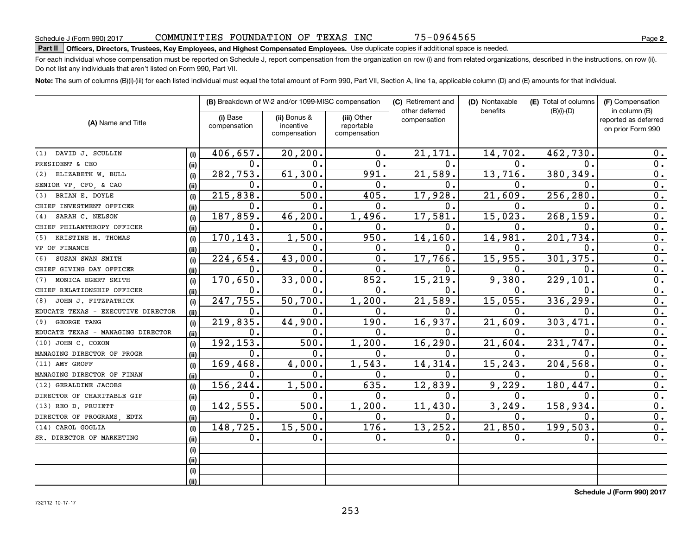75-0964565

# **Part II Officers, Directors, Trustees, Key Employees, and Highest Compensated Employees.**  Schedule J (Form 990) 2017 Page Use duplicate copies if additional space is needed.

For each individual whose compensation must be reported on Schedule J, report compensation from the organization on row (i) and from related organizations, described in the instructions, on row (ii). Do not list any individuals that aren't listed on Form 990, Part VII.

**Note:**  The sum of columns (B)(i)-(iii) for each listed individual must equal the total amount of Form 990, Part VII, Section A, line 1a, applicable column (D) and (E) amounts for that individual.

|                                    |      |                          | (B) Breakdown of W-2 and/or 1099-MISC compensation |                                           | (C) Retirement and<br>other deferred | (D) Nontaxable<br>benefits | (E) Total of columns | (F) Compensation<br>in column (B)         |
|------------------------------------|------|--------------------------|----------------------------------------------------|-------------------------------------------|--------------------------------------|----------------------------|----------------------|-------------------------------------------|
| (A) Name and Title                 |      | (i) Base<br>compensation | (ii) Bonus &<br>incentive<br>compensation          | (iii) Other<br>reportable<br>compensation | compensation                         |                            | $(B)(i)-(D)$         | reported as deferred<br>on prior Form 990 |
| DAVID J. SCULLIN<br>(1)            | (i)  | 406,657.                 | 20, 200.                                           | 0.                                        | 21,171.                              | 14,702.                    | 462,730              | 0.                                        |
| PRESIDENT & CEO                    | (ii) | $\mathbf 0$ .            | 0.                                                 | 0.                                        | $\mathbf{0}$ .                       | О.                         | 0.                   | 0.                                        |
| ELIZABETH W. BULL<br>(2)           | (i)  | 282,753.                 | 61,300.                                            | 991.                                      | 21,589.                              | 13,716.                    | 380,349              | 0.                                        |
| SENIOR VP, CFO, & CAO              | (ii) | $\mathbf 0$ .            | О.                                                 | 0.                                        | 0.                                   | 0.                         | 0.                   | 0.                                        |
| BRIAN E. DOYLE<br>(3)              | (i)  | 215,838.                 | 500.                                               | 405.                                      | 17,928.                              | 21,609.                    | 256,280              | 0.                                        |
| CHIEF INVESTMENT OFFICER           | (ii) | 0.                       | О.                                                 | 0.                                        | $\mathbf 0$ .                        | О.                         | О.                   | 0.                                        |
| SARAH C. NELSON<br>(4)             | (i)  | 187,859.                 | 46,200.                                            | 1,496.                                    | 17,581.                              | 15,023.                    | 268,159              | 0.                                        |
| CHIEF PHILANTHROPY OFFICER         | (ii) | $\mathbf 0$ .            | О.                                                 | 0.                                        | $\mathbf 0$ .                        | О.                         | 0.                   | 0.                                        |
| KRISTINE M. THOMAS<br>(5)          | (i)  | 170,143.                 | 1,500.                                             | 950.                                      | 14,160.                              | 14,981.                    | 201,734              | 0.                                        |
| VP OF FINANCE                      | (ii) | $\mathbf 0$ .            | О.                                                 | 0.                                        | 0.                                   | О.                         | 0.                   | 0.                                        |
| SUSAN SWAN SMITH<br>(6)            | (i)  | 224,654.                 | 43,000.                                            | 0.                                        | 17,766.                              | 15,955.                    | 301,375.             | 0.                                        |
| CHIEF GIVING DAY OFFICER           | (i)  | 0.                       | 0.                                                 | 0.                                        | $\mathbf 0$ .                        | О.                         | О.                   | 0.                                        |
| MONICA EGERT SMITH<br>(7)          | (i)  | 170,650.                 | 33,000.                                            | 852.                                      | 15,219.                              | 9,380.                     | 229,101              | 0.                                        |
| CHIEF RELATIONSHIP OFFICER         | (ii) | 0.                       | 0.                                                 | 0.                                        | $\mathbf 0$ .                        | 0.                         | 0.                   | 0.                                        |
| JOHN J. FITZPATRICK<br>(8)         | (i)  | 247,755.                 | 50,700.                                            | 1,200.                                    | 21,589.                              | 15,055.                    | 336,299              | $\overline{0}$ .                          |
| EDUCATE TEXAS - EXECUTIVE DIRECTOR | (ii) | $\mathbf 0$ .            | $\mathbf 0$ .                                      | 0.                                        | $\mathbf 0$ .                        | $\mathbf 0$ .              | $\mathbf{0}$ .       | $\overline{0}$ .                          |
| <b>GEORGE TANG</b><br>(9)          | (i)  | 219,835.                 | 44,900.                                            | 190.                                      | 16,937.                              | 21,609.                    | 303,471              | $\overline{0}$ .                          |
| EDUCATE TEXAS - MANAGING DIRECTOR  | (ii) | $\mathbf 0$ .            | 0.                                                 | 0.                                        | $\mathbf 0$ .                        | $\mathbf 0$ .              | $\mathbf 0$ .        | $\overline{0}$ .                          |
| (10) JOHN C. COXON                 | (i)  | 192,153.                 | 500.                                               | 1,200.                                    | 16, 290.                             | 21,604.                    | 231,747.             | $\overline{0}$ .                          |
| MANAGING DIRECTOR OF PROGR         | (ii) | $\mathbf 0$ .            | 0.                                                 | 0.                                        | $\mathbf 0$ .                        | $\mathbf 0$ .              | $\mathbf{0}$ .       | $\overline{0}$ .                          |
| (11) AMY GROFF                     | (i)  | 169,468.                 | 4,000.                                             | 1,543.                                    | 14,314.                              | 15, 243.                   | 204, 568             | $\overline{0}$ .                          |
| MANAGING DIRECTOR OF FINAN         | (ii) | $\mathbf 0$ .            | 0.                                                 | 0.                                        | $\mathbf 0$ .                        | $\mathbf 0$ .              | 0.                   | $\overline{0}$ .                          |
| (12) GERALDINE JACOBS              | (i)  | 156,244.                 | 1,500.                                             | 635.                                      | 12,839.                              | 9,229.                     | 180, 447.            | $\overline{0}$ .                          |
| DIRECTOR OF CHARITABLE GIF         | (ii) | 0.                       | 0.                                                 | 0.                                        | 0.                                   | $\mathbf 0$ .              | 0.                   | $\overline{0}$ .                          |
| (13) REO D. PRUIETT                | (i)  | 142,555.                 | 500.                                               | 1,200.                                    | 11,430.                              | 3,249.                     | 158,934.             | $\overline{0}$ .                          |
| DIRECTOR OF PROGRAMS, EDTX         | (ii) | 0.                       | 0.                                                 | 0.                                        | 0.                                   | 0.                         | 0.                   | 0.                                        |
| CAROL GOGLIA<br>(14)               | (i)  | 148, 725.                | 15,500.                                            | 176.                                      | 13,252.                              | 21,850.                    | 199,503.             | 0.                                        |
| SR. DIRECTOR OF MARKETING          | (ii) | 0.                       | 0.                                                 | 0.                                        | 0.                                   | 0.                         | 0.                   | 0.                                        |
|                                    | (i)  |                          |                                                    |                                           |                                      |                            |                      |                                           |
|                                    | (i)  |                          |                                                    |                                           |                                      |                            |                      |                                           |
|                                    | (i)  |                          |                                                    |                                           |                                      |                            |                      |                                           |
|                                    | (ii) |                          |                                                    |                                           |                                      |                            |                      |                                           |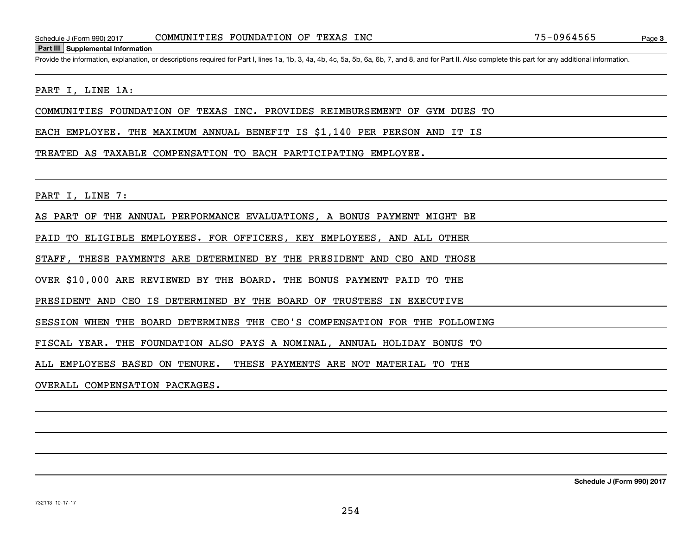Page 3

Schedule J (Form 990) 2017 COMMUNITIES FOUNDATION OF TEXAS INC 75-0964565<br>Part III Supplemental Information<br>Provide the information, explanation, or descriptions required for Part I, lines 1a, 1b, 3, 4a, 4b, 4c, 5a, 5b, 6a

### PART I, LINE 1A:

COMMUNITIES FOUNDATION OF TEXAS INC. PROVIDES REIMBURSEMENT OF GYM DUES TO

EACH EMPLOYEE. THE MAXIMUM ANNUAL BENEFIT IS \$1,140 PER PERSON AND IT IS

#### TREATED AS TAXABLE COMPENSATION TO EACH PARTICIPATING EMPLOYEE.

PART I, LINE 7:

AS PART OF THE ANNUAL PERFORMANCE EVALUATIONS, A BONUS PAYMENT MIGHT BE

PAID TO ELIGIBLE EMPLOYEES. FOR OFFICERS, KEY EMPLOYEES, AND ALL OTHER

STAFF, THESE PAYMENTS ARE DETERMINED BY THE PRESIDENT AND CEO AND THOSE

OVER \$10,000 ARE REVIEWED BY THE BOARD. THE BONUS PAYMENT PAID TO THE

PRESIDENT AND CEO IS DETERMINED BY THE BOARD OF TRUSTEES IN EXECUTIVE

SESSION WHEN THE BOARD DETERMINES THE CEO'S COMPENSATION FOR THE FOLLOWING

FISCAL YEAR. THE FOUNDATION ALSO PAYS A NOMINAL, ANNUAL HOLIDAY BONUS TO

ALL EMPLOYEES BASED ON TENURE. THESE PAYMENTS ARE NOT MATERIAL TO THE

OVERALL COMPENSATION PACKAGES.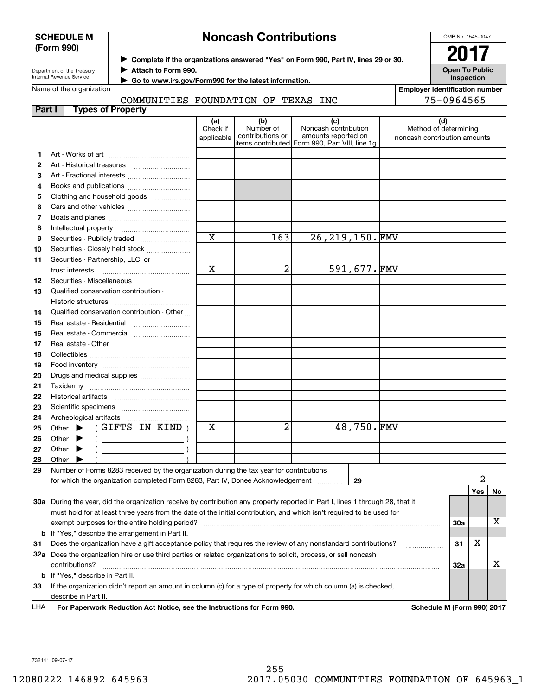|        | <b>SCHEDULE M</b>                                                  |                     |                         | <b>Noncash Contributions</b>                                                            |                                                                                                                                |  | OMB No. 1545-0047                     |     |    |
|--------|--------------------------------------------------------------------|---------------------|-------------------------|-----------------------------------------------------------------------------------------|--------------------------------------------------------------------------------------------------------------------------------|--|---------------------------------------|-----|----|
|        | (Form 990)                                                         |                     |                         |                                                                                         |                                                                                                                                |  | 2017                                  |     |    |
|        |                                                                    |                     |                         |                                                                                         | Complete if the organizations answered "Yes" on Form 990, Part IV, lines 29 or 30.                                             |  |                                       |     |    |
|        | Department of the Treasury<br>Internal Revenue Service             | Attach to Form 990. |                         |                                                                                         |                                                                                                                                |  | <b>Open To Public</b><br>Inspection   |     |    |
|        | Name of the organization                                           |                     |                         | Go to www.irs.gov/Form990 for the latest information.                                   |                                                                                                                                |  | <b>Employer identification number</b> |     |    |
|        |                                                                    |                     |                         | COMMUNITIES FOUNDATION OF TEXAS INC                                                     |                                                                                                                                |  | 75-0964565                            |     |    |
| Part I | <b>Types of Property</b>                                           |                     |                         |                                                                                         |                                                                                                                                |  |                                       |     |    |
|        |                                                                    |                     | (a)                     | (b)                                                                                     | (c)                                                                                                                            |  | (d)                                   |     |    |
|        |                                                                    |                     | Check if                | Number of                                                                               | Noncash contribution                                                                                                           |  | Method of determining                 |     |    |
|        |                                                                    |                     | applicable              | contributions or                                                                        | amounts reported on<br>items contributed  Form 990, Part VIII, line 1g                                                         |  | noncash contribution amounts          |     |    |
| 1.     |                                                                    |                     |                         |                                                                                         |                                                                                                                                |  |                                       |     |    |
| 2      |                                                                    |                     |                         |                                                                                         |                                                                                                                                |  |                                       |     |    |
| З      | Art - Fractional interests                                         |                     |                         |                                                                                         |                                                                                                                                |  |                                       |     |    |
| 4      | Books and publications                                             |                     |                         |                                                                                         |                                                                                                                                |  |                                       |     |    |
| 5      | Clothing and household goods                                       |                     |                         |                                                                                         |                                                                                                                                |  |                                       |     |    |
| 6      |                                                                    |                     |                         |                                                                                         |                                                                                                                                |  |                                       |     |    |
| 7      |                                                                    |                     |                         |                                                                                         |                                                                                                                                |  |                                       |     |    |
| 8      |                                                                    |                     |                         |                                                                                         |                                                                                                                                |  |                                       |     |    |
| 9      | Securities - Publicly traded                                       |                     | $\mathbf X$             | 163                                                                                     | 26, 219, 150. FMV                                                                                                              |  |                                       |     |    |
| 10     | Securities - Closely held stock                                    |                     |                         |                                                                                         |                                                                                                                                |  |                                       |     |    |
| 11     | Securities - Partnership, LLC, or                                  |                     |                         |                                                                                         |                                                                                                                                |  |                                       |     |    |
|        | trust interests                                                    |                     | х                       | 2                                                                                       | 591,677.FMV                                                                                                                    |  |                                       |     |    |
| 12     |                                                                    |                     |                         |                                                                                         |                                                                                                                                |  |                                       |     |    |
| 13     | Qualified conservation contribution -                              |                     |                         |                                                                                         |                                                                                                                                |  |                                       |     |    |
| 14     | Historic structures<br>Qualified conservation contribution - Other |                     |                         |                                                                                         |                                                                                                                                |  |                                       |     |    |
| 15     |                                                                    |                     |                         |                                                                                         |                                                                                                                                |  |                                       |     |    |
| 16     | Real estate - Commercial                                           |                     |                         |                                                                                         |                                                                                                                                |  |                                       |     |    |
| 17     |                                                                    |                     |                         |                                                                                         |                                                                                                                                |  |                                       |     |    |
| 18     |                                                                    |                     |                         |                                                                                         |                                                                                                                                |  |                                       |     |    |
| 19     |                                                                    |                     |                         |                                                                                         |                                                                                                                                |  |                                       |     |    |
| 20     | Drugs and medical supplies                                         |                     |                         |                                                                                         |                                                                                                                                |  |                                       |     |    |
| 21     |                                                                    |                     |                         |                                                                                         |                                                                                                                                |  |                                       |     |    |
| 22     |                                                                    |                     |                         |                                                                                         |                                                                                                                                |  |                                       |     |    |
| 23     |                                                                    |                     |                         |                                                                                         |                                                                                                                                |  |                                       |     |    |
| 24     |                                                                    |                     |                         |                                                                                         |                                                                                                                                |  |                                       |     |    |
| 25     | Other                                                              | (GIFTS IN KIND)     | $\overline{\mathtt{x}}$ | $\overline{2}$                                                                          | 48,750.FMV                                                                                                                     |  |                                       |     |    |
| 26     | Other                                                              |                     |                         |                                                                                         |                                                                                                                                |  |                                       |     |    |
| 27     | Other                                                              |                     |                         |                                                                                         |                                                                                                                                |  |                                       |     |    |
| 28     | Other                                                              |                     |                         |                                                                                         |                                                                                                                                |  |                                       |     |    |
| 29     |                                                                    |                     |                         | Number of Forms 8283 received by the organization during the tax year for contributions |                                                                                                                                |  |                                       | 2   |    |
|        |                                                                    |                     |                         | for which the organization completed Form 8283, Part IV, Donee Acknowledgement          | 29                                                                                                                             |  |                                       |     |    |
|        |                                                                    |                     |                         |                                                                                         |                                                                                                                                |  |                                       | Yes | No |
|        |                                                                    |                     |                         |                                                                                         | 30a During the year, did the organization receive by contribution any property reported in Part I, lines 1 through 28, that it |  |                                       |     |    |
|        | exempt purposes for the entire holding period?                     |                     |                         |                                                                                         | must hold for at least three years from the date of the initial contribution, and which isn't required to be used for          |  | 30a                                   |     | х  |
|        | <b>b</b> If "Yes," describe the arrangement in Part II.            |                     |                         |                                                                                         |                                                                                                                                |  |                                       |     |    |
| 31     |                                                                    |                     |                         |                                                                                         | Does the organization have a gift acceptance policy that requires the review of any nonstandard contributions?                 |  | 31                                    | х   |    |
|        |                                                                    |                     |                         |                                                                                         | 32a Does the organization hire or use third parties or related organizations to solicit, process, or sell noncash              |  |                                       |     |    |
|        | contributions?                                                     |                     |                         |                                                                                         |                                                                                                                                |  | 32a                                   |     | х  |
|        |                                                                    |                     |                         |                                                                                         |                                                                                                                                |  |                                       |     |    |

**33**If the organization didn't report an amount in column (c) for a type of property for which column (a) is checked, describe in Part II.

**b** If "Yes," describe in Part II.

**For Paperwork Reduction Act Notice, see the Instructions for Form 990. Schedule M (Form 990) 2017** LHA

732141 09-07-17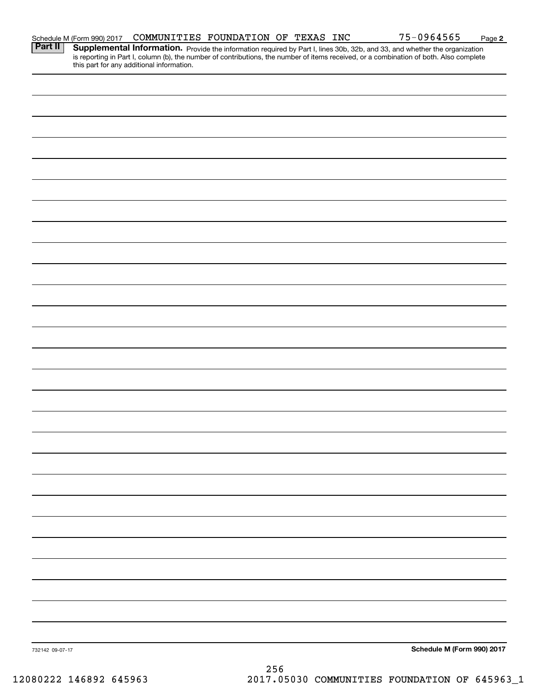|                 |                                                          | COMMUNITIES FOUNDATION OF TEXAS INC       |  | <u>75-0964565</u>                                                                                                                                                                                                                   | Page 2 |
|-----------------|----------------------------------------------------------|-------------------------------------------|--|-------------------------------------------------------------------------------------------------------------------------------------------------------------------------------------------------------------------------------------|--------|
|                 | Schedule M (Form 990) 2017<br><b>Part II</b> Supplementa | this part for any additional information. |  | <b>Supplemental Information.</b> Provide the information required by Part I, lines 30b, 32b, and 33, and whether the organization is reporting in Part I, column (b), the number of contributions, the number of items received, or |        |
|                 |                                                          |                                           |  |                                                                                                                                                                                                                                     |        |
|                 |                                                          |                                           |  |                                                                                                                                                                                                                                     |        |
|                 |                                                          |                                           |  |                                                                                                                                                                                                                                     |        |
|                 |                                                          |                                           |  |                                                                                                                                                                                                                                     |        |
|                 |                                                          |                                           |  |                                                                                                                                                                                                                                     |        |
|                 |                                                          |                                           |  |                                                                                                                                                                                                                                     |        |
|                 |                                                          |                                           |  |                                                                                                                                                                                                                                     |        |
|                 |                                                          |                                           |  |                                                                                                                                                                                                                                     |        |
|                 |                                                          |                                           |  |                                                                                                                                                                                                                                     |        |
|                 |                                                          |                                           |  |                                                                                                                                                                                                                                     |        |
|                 |                                                          |                                           |  |                                                                                                                                                                                                                                     |        |
|                 |                                                          |                                           |  |                                                                                                                                                                                                                                     |        |
|                 |                                                          |                                           |  |                                                                                                                                                                                                                                     |        |
|                 |                                                          |                                           |  |                                                                                                                                                                                                                                     |        |
|                 |                                                          |                                           |  |                                                                                                                                                                                                                                     |        |
|                 |                                                          |                                           |  |                                                                                                                                                                                                                                     |        |
|                 |                                                          |                                           |  |                                                                                                                                                                                                                                     |        |
|                 |                                                          |                                           |  |                                                                                                                                                                                                                                     |        |
|                 |                                                          |                                           |  |                                                                                                                                                                                                                                     |        |
|                 |                                                          |                                           |  |                                                                                                                                                                                                                                     |        |
|                 |                                                          |                                           |  |                                                                                                                                                                                                                                     |        |
|                 |                                                          |                                           |  |                                                                                                                                                                                                                                     |        |
|                 |                                                          |                                           |  |                                                                                                                                                                                                                                     |        |
|                 |                                                          |                                           |  |                                                                                                                                                                                                                                     |        |
|                 |                                                          |                                           |  |                                                                                                                                                                                                                                     |        |
|                 |                                                          |                                           |  |                                                                                                                                                                                                                                     |        |
|                 |                                                          |                                           |  |                                                                                                                                                                                                                                     |        |
| 732142 09-07-17 |                                                          |                                           |  | Schedule M (Form 990) 2017                                                                                                                                                                                                          |        |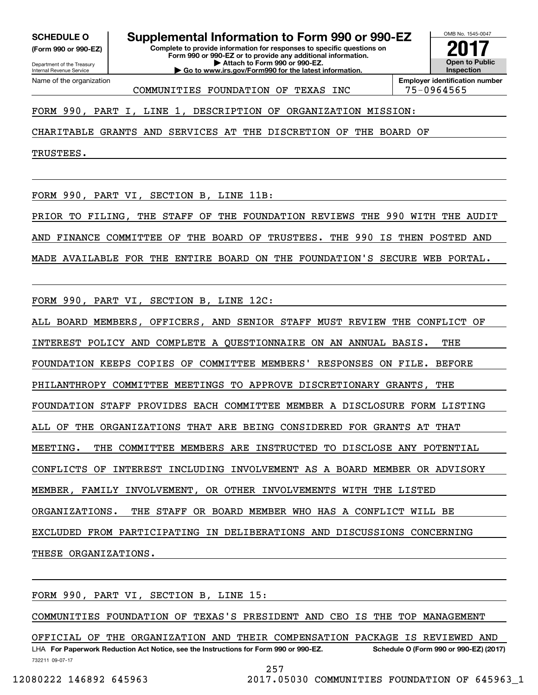**(Form 990 or 990-EZ)**

Department of the Treasury Internal Revenue Service Name of the organization

**Complete to provide information for responses to specific questions on SCHEDULE O Supplemental Information to Form 990 or 990-EZ**

**Form 990 or 990-EZ or to provide any additional information. | Attach to Form 990 or 990-EZ. | Go to www.irs.gov/Form990 for the latest information.**



COMMUNITIES FOUNDATION OF TEXAS INC 75-0964565

FORM 990, PART I, LINE 1, DESCRIPTION OF ORGANIZATION MISSION:

CHARITABLE GRANTS AND SERVICES AT THE DISCRETION OF THE BOARD OF

TRUSTEES.

FORM 990, PART VI, SECTION B, LINE 11B:

PRIOR TO FILING, THE STAFF OF THE FOUNDATION REVIEWS THE 990 WITH THE AUDIT AND FINANCE COMMITTEE OF THE BOARD OF TRUSTEES. THE 990 IS THEN POSTED AND MADE AVAILABLE FOR THE ENTIRE BOARD ON THE FOUNDATION'S SECURE WEB PORTAL.

FORM 990, PART VI, SECTION B, LINE 12C:

ALL BOARD MEMBERS, OFFICERS, AND SENIOR STAFF MUST REVIEW THE CONFLICT OF INTEREST POLICY AND COMPLETE A QUESTIONNAIRE ON AN ANNUAL BASIS. THE FOUNDATION KEEPS COPIES OF COMMITTEE MEMBERS' RESPONSES ON FILE. BEFORE PHILANTHROPY COMMITTEE MEETINGS TO APPROVE DISCRETIONARY GRANTS, THE FOUNDATION STAFF PROVIDES EACH COMMITTEE MEMBER A DISCLOSURE FORM LISTING ALL OF THE ORGANIZATIONS THAT ARE BEING CONSIDERED FOR GRANTS AT THAT MEETING. THE COMMITTEE MEMBERS ARE INSTRUCTED TO DISCLOSE ANY POTENTIAL CONFLICTS OF INTEREST INCLUDING INVOLVEMENT AS A BOARD MEMBER OR ADVISORY MEMBER, FAMILY INVOLVEMENT, OR OTHER INVOLVEMENTS WITH THE LISTED ORGANIZATIONS. THE STAFF OR BOARD MEMBER WHO HAS A CONFLICT WILL BE EXCLUDED FROM PARTICIPATING IN DELIBERATIONS AND DISCUSSIONS CONCERNING THESE ORGANIZATIONS.

FORM 990, PART VI, SECTION B, LINE 15:

COMMUNITIES FOUNDATION OF TEXAS'S PRESIDENT AND CEO IS THE TOP MANAGEMENT

732211 09-07-17 LHA For Paperwork Reduction Act Notice, see the Instructions for Form 990 or 990-EZ. Schedule O (Form 990 or 990-EZ) (2017) OFFICIAL OF THE ORGANIZATION AND THEIR COMPENSATION PACKAGE IS REVIEWED AND

257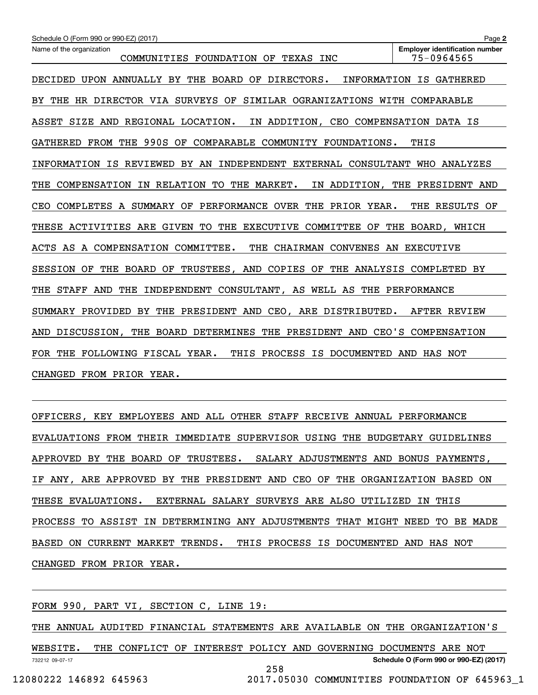| Schedule O (Form 990 or 990-EZ) (2017)                                             | Page 2                                              |
|------------------------------------------------------------------------------------|-----------------------------------------------------|
| Name of the organization<br>COMMUNITIES FOUNDATION OF TEXAS INC                    | <b>Employer identification number</b><br>75-0964565 |
|                                                                                    |                                                     |
| DECIDED UPON ANNUALLY BY THE BOARD OF DIRECTORS.                                   | INFORMATION IS GATHERED                             |
| THE HR DIRECTOR VIA SURVEYS OF<br>SIMILAR OGRANIZATIONS WITH COMPARABLE<br>BY.     |                                                     |
| ASSET SIZE AND REGIONAL LOCATION.<br>IN ADDITION, CEO COMPENSATION DATA IS         |                                                     |
| GATHERED FROM THE 990S OF COMPARABLE COMMUNITY FOUNDATIONS.                        | THIS                                                |
| INFORMATION IS REVIEWED BY AN INDEPENDENT EXTERNAL CONSULTANT WHO ANALYZES         |                                                     |
| IN RELATION TO<br>THE MARKET.<br>THE<br>COMPENSATION                               | IN ADDITION, THE PRESIDENT AND                      |
| COMPLETES A SUMMARY OF PERFORMANCE OVER THE PRIOR YEAR.<br>CEO                     | THE RESULTS OF                                      |
| THESE ACTIVITIES ARE GIVEN TO THE EXECUTIVE COMMITTEE OF THE BOARD, WHICH          |                                                     |
| ACTS AS A COMPENSATION COMMITTEE.<br>THE<br>CHAIRMAN CONVENES AN EXECUTIVE         |                                                     |
| TRUSTEES, AND COPIES OF<br>SESSION<br>THE<br>BOARD OF<br>THE ANALYSIS<br>OF        | COMPLETED BY                                        |
| THE<br>STAFF<br>AND<br>THE<br>INDEPENDENT CONSULTANT, AS WELL AS THE PERFORMANCE   |                                                     |
| SUMMARY PROVIDED BY THE PRESIDENT AND CEO, ARE DISTRIBUTED.                        | AFTER REVIEW                                        |
| THE PRESIDENT AND CEO'S COMPENSATION<br>THE BOARD DETERMINES<br>DISCUSSION,<br>AND |                                                     |
| FOLLOWING FISCAL YEAR.<br>THIS PROCESS IS DOCUMENTED<br>THE<br>FOR.                | AND HAS NOT                                         |
| CHANGED FROM PRIOR YEAR.                                                           |                                                     |

OFFICERS, KEY EMPLOYEES AND ALL OTHER STAFF RECEIVE ANNUAL PERFORMANCE EVALUATIONS FROM THEIR IMMEDIATE SUPERVISOR USING THE BUDGETARY GUIDELINES APPROVED BY THE BOARD OF TRUSTEES. SALARY ADJUSTMENTS AND BONUS PAYMENTS, IF ANY, ARE APPROVED BY THE PRESIDENT AND CEO OF THE ORGANIZATION BASED ON THESE EVALUATIONS. EXTERNAL SALARY SURVEYS ARE ALSO UTILIZED IN THIS PROCESS TO ASSIST IN DETERMINING ANY ADJUSTMENTS THAT MIGHT NEED TO BE MADE BASED ON CURRENT MARKET TRENDS. THIS PROCESS IS DOCUMENTED AND HAS NOT CHANGED FROM PRIOR YEAR.

FORM 990, PART VI, SECTION C, LINE 19:

THE ANNUAL AUDITED FINANCIAL STATEMENTS ARE AVAILABLE ON THE ORGANIZATION'S

732212 09-07-17 **Schedule O (Form 990 or 990-EZ) (2017)** WEBSITE. THE CONFLICT OF INTEREST POLICY AND GOVERNING DOCUMENTS ARE NOT 258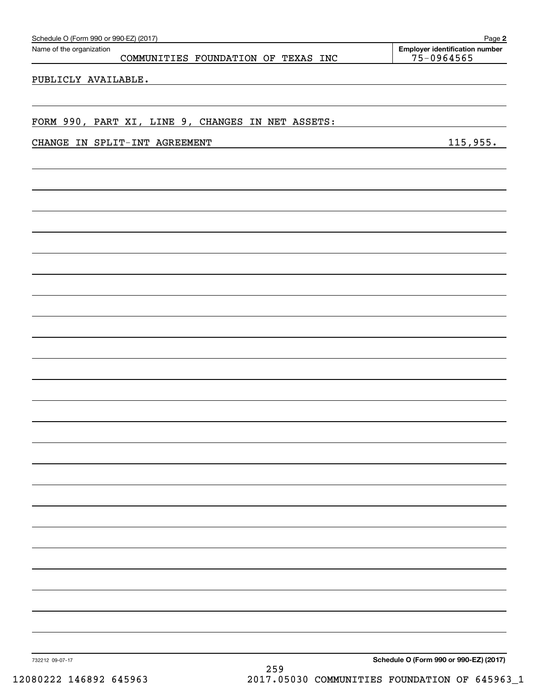| Schedule O (Form 990 or 990-EZ) (2017) |                                                   | Page 2                                              |
|----------------------------------------|---------------------------------------------------|-----------------------------------------------------|
| Name of the organization               | COMMUNITIES FOUNDATION OF TEXAS INC               | <b>Employer identification number</b><br>75-0964565 |
| PUBLICLY AVAILABLE.                    |                                                   |                                                     |
|                                        |                                                   |                                                     |
|                                        |                                                   |                                                     |
|                                        | FORM 990, PART XI, LINE 9, CHANGES IN NET ASSETS: |                                                     |
|                                        | CHANGE IN SPLIT-INT AGREEMENT                     | 115,955.                                            |
|                                        |                                                   |                                                     |
|                                        |                                                   |                                                     |
|                                        |                                                   |                                                     |
|                                        |                                                   |                                                     |
|                                        |                                                   |                                                     |
|                                        |                                                   |                                                     |
|                                        |                                                   |                                                     |
|                                        |                                                   |                                                     |
|                                        |                                                   |                                                     |
|                                        |                                                   |                                                     |
|                                        |                                                   |                                                     |
|                                        |                                                   |                                                     |
|                                        |                                                   |                                                     |
|                                        |                                                   |                                                     |
|                                        |                                                   |                                                     |
|                                        |                                                   |                                                     |
|                                        |                                                   |                                                     |
|                                        |                                                   |                                                     |
|                                        |                                                   |                                                     |
|                                        |                                                   |                                                     |
|                                        |                                                   |                                                     |
|                                        |                                                   |                                                     |
|                                        |                                                   |                                                     |
|                                        |                                                   |                                                     |
|                                        |                                                   |                                                     |
|                                        |                                                   |                                                     |
|                                        |                                                   |                                                     |
| 732212 09-07-17                        | $\sim$ $\sim$ $\sim$                              | Schedule O (Form 990 or 990-EZ) (2017)              |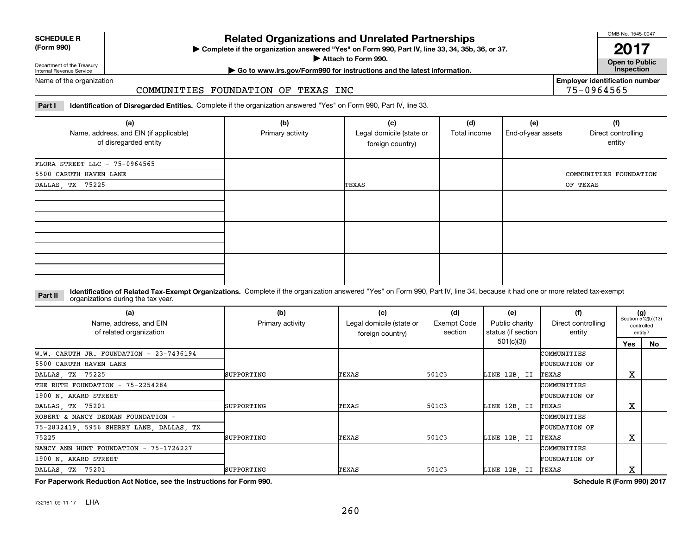| <b>SCHEDULE R</b>         |  |
|---------------------------|--|
| $(T - m \cdot \text{OM})$ |  |

**(Form 990)**

# **Related Organizations and Unrelated Partnerships**

**Complete if the organization answered "Yes" on Form 990, Part IV, line 33, 34, 35b, 36, or 37.** |

**Attach to Form 990.**  |

OMB No. 1545-0047

**Open to Public 2017**

**Employer identification number**

75-0964565

Department of the Treasury Internal Revenue Service

# **| Go to www.irs.gov/Form990 for instructions and the latest information. Inspection**

Name of the organization

#### COMMUNITIES FOUNDATION OF TEXAS INC

**Part I Identification of Disregarded Entities.**  Complete if the organization answered "Yes" on Form 990, Part IV, line 33.

| (a)<br>Name, address, and EIN (if applicable)<br>of disregarded entity | (b)<br>Primary activity | (c)<br>Legal domicile (state or<br>foreign country) | (d)<br>Total income | (e)<br>End-of-year assets | (f)<br>Direct controlling<br>entity |  |  |
|------------------------------------------------------------------------|-------------------------|-----------------------------------------------------|---------------------|---------------------------|-------------------------------------|--|--|
| FLORA STREET LLC - 75-0964565<br>5500 CARUTH HAVEN LANE                |                         |                                                     |                     |                           | COMMUNITIES FOUNDATION              |  |  |
| DALLAS, TX 75225                                                       |                         | TEXAS                                               | OF TEXAS            |                           |                                     |  |  |
|                                                                        |                         |                                                     |                     |                           |                                     |  |  |
|                                                                        |                         |                                                     |                     |                           |                                     |  |  |
|                                                                        |                         |                                                     |                     |                           |                                     |  |  |

**Identification of Related Tax-Exempt Organizations.** Complete if the organization answered "Yes" on Form 990, Part IV, line 34, because it had one or more related tax-exempt **Part II** organizations during the tax year.

| (a)<br>Name, address, and EIN<br>of related organization | (b)<br>Primary activity | (c)<br>Legal domicile (state or<br>foreign country) | (d)<br>Exempt Code<br>section | (e)<br>Public charity<br>status (if section | (f)<br>Direct controlling<br>entity | $(g)$<br>Section 512(b)(13)<br>controlled<br>entity? |     |
|----------------------------------------------------------|-------------------------|-----------------------------------------------------|-------------------------------|---------------------------------------------|-------------------------------------|------------------------------------------------------|-----|
|                                                          |                         |                                                     |                               | 501(c)(3)                                   |                                     | Yes                                                  | No. |
| W.W. CARUTH JR. FOUNDATION - 23-7436194                  |                         |                                                     |                               |                                             | COMMUNITIES                         |                                                      |     |
| 5500 CARUTH HAVEN LANE                                   |                         |                                                     |                               |                                             | <b>FOUNDATION OF</b>                |                                                      |     |
| DALLAS, TX 75225                                         | SUPPORTING              | TEXAS                                               | 501C3                         | LINE 12B, II                                | TEXAS                               | х                                                    |     |
| THE RUTH FOUNDATION - 75-2254284                         |                         |                                                     |                               |                                             | COMMUNITIES                         |                                                      |     |
| 1900 N. AKARD STREET                                     |                         |                                                     |                               |                                             | <b>FOUNDATION OF</b>                |                                                      |     |
| DALLAS, TX 75201                                         | SUPPORTING              | TEXAS                                               | 501C3                         | LINE 12B, II                                | TEXAS                               | X                                                    |     |
| ROBERT & NANCY DEDMAN FOUNDATION -                       |                         |                                                     |                               |                                             | COMMUNITIES                         |                                                      |     |
| 75-2832419, 5956 SHERRY LANE, DALLAS, TX                 |                         |                                                     |                               |                                             | <b>FOUNDATION OF</b>                |                                                      |     |
| 75225                                                    | SUPPORTING              | TEXAS                                               | 501C3                         | LINE 12B, II                                | TEXAS                               | х                                                    |     |
| NANCY ANN HUNT FOUNDATION - 75-1726227                   |                         |                                                     |                               |                                             | COMMUNITIES                         |                                                      |     |
| 1900 N. AKARD STREET                                     |                         |                                                     |                               |                                             | <b>FOUNDATION OF</b>                |                                                      |     |
| DALLAS, TX 75201                                         | SUPPORTING              | TEXAS                                               | 501C3                         | LINE 12B, II                                | TEXAS                               | х                                                    |     |

**For Paperwork Reduction Act Notice, see the Instructions for Form 990. Schedule R (Form 990) 2017**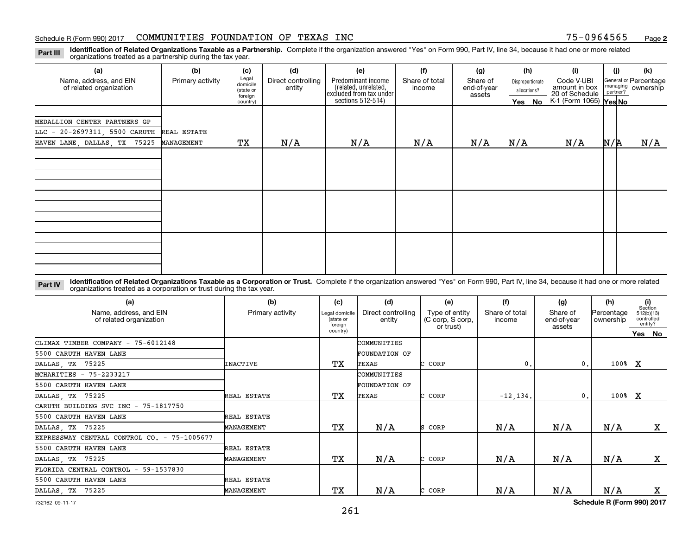**2**

**Identification of Related Organizations Taxable as a Partnership.** Complete if the organization answered "Yes" on Form 990, Part IV, line 34, because it had one or more related **Part III** organizations treated as a partnership during the tax year.

| (a)                                                                       | (b)              | (c)                                       | (d)                          | (e)                                                                                                                                                              | (f) | (g)    |     | (h)                                           | (i)                    | (i) |                                    | (k) |
|---------------------------------------------------------------------------|------------------|-------------------------------------------|------------------------------|------------------------------------------------------------------------------------------------------------------------------------------------------------------|-----|--------|-----|-----------------------------------------------|------------------------|-----|------------------------------------|-----|
| Name, address, and EIN<br>of related organization                         | Primary activity | Legal<br>domicile<br>(state or<br>foreign | Direct controlling<br>entity | Predominant income<br>Share of total<br>Share of<br>Disproportionate<br>(related, unrelated,<br>end-of-year<br>income<br>allocations?<br>excluded from tax under |     | assets |     | Code V-UBI<br>amount in box<br>20 of Schedule | managing<br>partner?   |     | General or Percentage<br>ownership |     |
|                                                                           |                  | country)                                  |                              | sections 512-514)                                                                                                                                                |     |        |     | Yes   No                                      | K-1 (Form 1065) Yes No |     |                                    |     |
| MEDALLION CENTER PARTNERS GP<br>LLC - 20-2697311, 5500 CARUTH REAL ESTATE |                  |                                           |                              |                                                                                                                                                                  |     |        |     |                                               |                        |     |                                    |     |
| HAVEN LANE, DALLAS, TX 75225                                              | MANAGEMENT       | ТX                                        | N/A                          | N/A                                                                                                                                                              | N/A | N/A    | N/A |                                               | N/A                    | N/R |                                    | N/A |
|                                                                           |                  |                                           |                              |                                                                                                                                                                  |     |        |     |                                               |                        |     |                                    |     |
|                                                                           |                  |                                           |                              |                                                                                                                                                                  |     |        |     |                                               |                        |     |                                    |     |
|                                                                           |                  |                                           |                              |                                                                                                                                                                  |     |        |     |                                               |                        |     |                                    |     |

**Identification of Related Organizations Taxable as a Corporation or Trust.** Complete if the organization answered "Yes" on Form 990, Part IV, line 34, because it had one or more related **Part IV** organizations treated as a corporation or trust during the tax year.

| (a)<br>Name, address, and EIN<br>of related organization | (b)<br>Primary activity | (c)<br>Legal domicile<br>(state or<br>foreian | (d)<br>Direct controlling<br>entity | (e)<br>Type of entity<br>(C corp, S corp,<br>or trust) | (f)<br>Share of total<br>income | (g)<br>Share of<br>end-of-year<br>assets | (h)<br><b>Percentage</b><br>ownership | (i)<br>Section<br>512(b)(13) | controlled<br>entity?     |
|----------------------------------------------------------|-------------------------|-----------------------------------------------|-------------------------------------|--------------------------------------------------------|---------------------------------|------------------------------------------|---------------------------------------|------------------------------|---------------------------|
|                                                          |                         | country)                                      |                                     |                                                        |                                 |                                          |                                       |                              | Yes   No                  |
| CLIMAX TIMBER COMPANY - 75-6012148                       |                         |                                               | COMMUNITIES                         |                                                        |                                 |                                          |                                       |                              |                           |
| 5500 CARUTH HAVEN LANE                                   |                         |                                               | FOUNDATION OF                       |                                                        |                                 |                                          |                                       |                              |                           |
| DALLAS, TX 75225                                         | <b>INACTIVE</b>         | TХ                                            | TEXAS                               | C CORP                                                 | 0.                              | 0.                                       | 100%                                  | x                            |                           |
| MCHARITIES $-75-2233217$                                 |                         |                                               | COMMUNITIES                         |                                                        |                                 |                                          |                                       |                              |                           |
| 5500 CARUTH HAVEN LANE                                   |                         |                                               | FOUNDATION OF                       |                                                        |                                 |                                          |                                       |                              |                           |
| DALLAS, TX 75225                                         | REAL ESTATE             | TХ                                            | TEXAS                               | CORP                                                   | $-12, 134.$                     | 0.                                       | $100$ <sup>8</sup>                    | x                            |                           |
| CARUTH BUILDING SVC INC - 75-1817750                     |                         |                                               |                                     |                                                        |                                 |                                          |                                       |                              |                           |
| 5500 CARUTH HAVEN LANE                                   | REAL ESTATE             |                                               |                                     |                                                        |                                 |                                          |                                       |                              |                           |
| DALLAS, TX 75225                                         | MANAGEMENT              | TХ                                            | N/A                                 | S CORP                                                 | N/A                             | N/A                                      | N/A                                   |                              | $\boldsymbol{\mathrm{X}}$ |
| EXPRESSWAY CENTRAL CONTROL CO. - 75-1005677              |                         |                                               |                                     |                                                        |                                 |                                          |                                       |                              |                           |
| 5500 CARUTH HAVEN LANE                                   | REAL ESTATE             |                                               |                                     |                                                        |                                 |                                          |                                       |                              |                           |
| DALLAS, TX 75225                                         | MANAGEMENT              | TХ                                            | N/A                                 | C CORP                                                 | N/A                             | N/A                                      | N/A                                   |                              | X                         |
| FLORIDA CENTRAL CONTROL - 59-1537830                     |                         |                                               |                                     |                                                        |                                 |                                          |                                       |                              |                           |
| 5500 CARUTH HAVEN LANE                                   | REAL ESTATE             |                                               |                                     |                                                        |                                 |                                          |                                       |                              |                           |
| DALLAS, TX 75225                                         | MANAGEMENT              | TХ                                            | N/A                                 | C CORP                                                 | N/A                             | N/A                                      | N/A                                   |                              | x                         |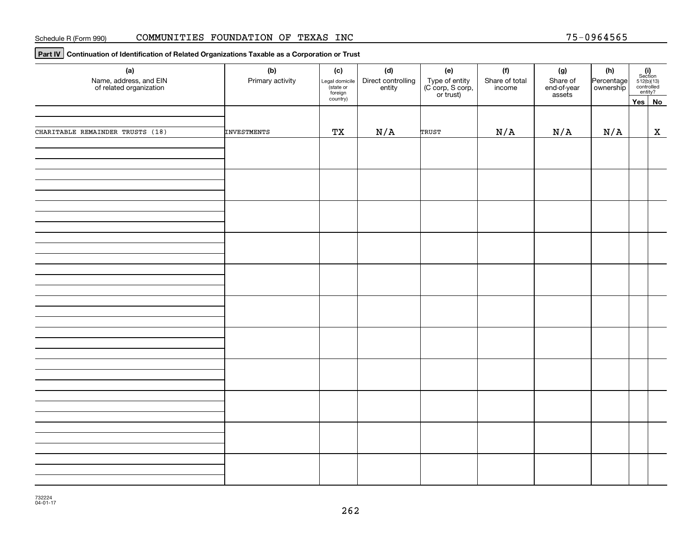**Part IV Continuation of Identification of Related Organizations Taxable as a Corporation or Trust**

| (a)<br>Name, address, and EIN<br>of related organization | (b)<br>Primary activity | (c)<br>Legal domicile<br>(state or<br>foreign | (d)<br>Direct controlling<br>entity | (e)<br>Type of entity<br>(C corp, S corp,<br>or trust) | (f)<br>Share of total<br>income | (g)<br>Share of<br>end-of-year | (h)<br>Percentage | $\begin{array}{c} \textbf{(i)}\\ \text{Section}\\ 512 \text{(b)} \text{(13)}\\ \text{controlled} \\ \text{entity?} \end{array}$ |
|----------------------------------------------------------|-------------------------|-----------------------------------------------|-------------------------------------|--------------------------------------------------------|---------------------------------|--------------------------------|-------------------|---------------------------------------------------------------------------------------------------------------------------------|
|                                                          |                         | country)                                      |                                     |                                                        |                                 | assets                         |                   | Yes No                                                                                                                          |
|                                                          |                         |                                               |                                     |                                                        |                                 |                                |                   |                                                                                                                                 |
| CHARITABLE REMAINDER TRUSTS (18)                         | INVESTMENTS             | ТX                                            | N/A                                 | TRUST                                                  | N/A                             | N/A                            | N/A               | $\mathbf X$                                                                                                                     |
|                                                          |                         |                                               |                                     |                                                        |                                 |                                |                   |                                                                                                                                 |
|                                                          |                         |                                               |                                     |                                                        |                                 |                                |                   |                                                                                                                                 |
|                                                          |                         |                                               |                                     |                                                        |                                 |                                |                   |                                                                                                                                 |
|                                                          |                         |                                               |                                     |                                                        |                                 |                                |                   |                                                                                                                                 |
|                                                          |                         |                                               |                                     |                                                        |                                 |                                |                   |                                                                                                                                 |
|                                                          |                         |                                               |                                     |                                                        |                                 |                                |                   |                                                                                                                                 |
|                                                          |                         |                                               |                                     |                                                        |                                 |                                |                   |                                                                                                                                 |
|                                                          |                         |                                               |                                     |                                                        |                                 |                                |                   |                                                                                                                                 |
|                                                          |                         |                                               |                                     |                                                        |                                 |                                |                   |                                                                                                                                 |
|                                                          |                         |                                               |                                     |                                                        |                                 |                                |                   |                                                                                                                                 |
|                                                          |                         |                                               |                                     |                                                        |                                 |                                |                   |                                                                                                                                 |
|                                                          |                         |                                               |                                     |                                                        |                                 |                                |                   |                                                                                                                                 |
|                                                          |                         |                                               |                                     |                                                        |                                 |                                |                   |                                                                                                                                 |
|                                                          |                         |                                               |                                     |                                                        |                                 |                                |                   |                                                                                                                                 |
|                                                          |                         |                                               |                                     |                                                        |                                 |                                |                   |                                                                                                                                 |
|                                                          |                         |                                               |                                     |                                                        |                                 |                                |                   |                                                                                                                                 |
|                                                          |                         |                                               |                                     |                                                        |                                 |                                |                   |                                                                                                                                 |
|                                                          |                         |                                               |                                     |                                                        |                                 |                                |                   |                                                                                                                                 |
|                                                          |                         |                                               |                                     |                                                        |                                 |                                |                   |                                                                                                                                 |
|                                                          |                         |                                               |                                     |                                                        |                                 |                                |                   |                                                                                                                                 |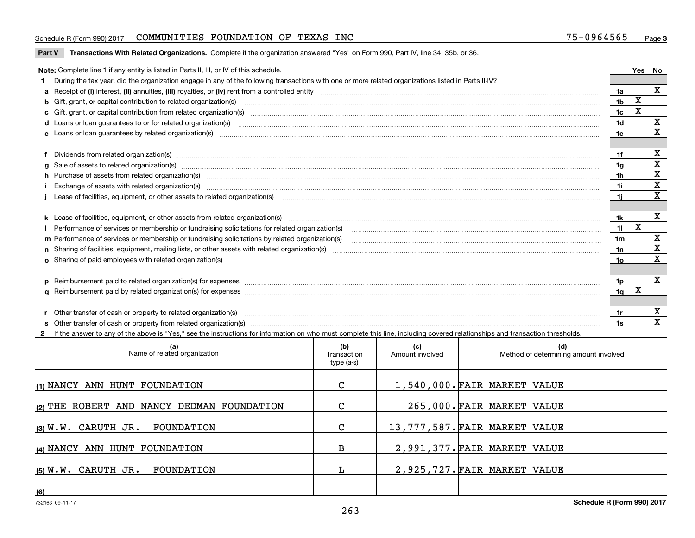### Schedule R (Form 990) 2017 CO**MMUNITIES FOUNDATION OF TEXAS INC** 75-0964565 <sub>Page</sub>

**Part V** T**ransactions With Related Organizations.** Complete if the organization answered "Yes" on Form 990, Part IV, line 34, 35b, or 36.

| Note: Complete line 1 if any entity is listed in Parts II, III, or IV of this schedule. |                                                                                                                                                                                                                                |                |   |             |  |  |
|-----------------------------------------------------------------------------------------|--------------------------------------------------------------------------------------------------------------------------------------------------------------------------------------------------------------------------------|----------------|---|-------------|--|--|
|                                                                                         | During the tax year, did the organization engage in any of the following transactions with one or more related organizations listed in Parts II-IV?                                                                            |                |   |             |  |  |
|                                                                                         |                                                                                                                                                                                                                                | 1a             |   | X           |  |  |
|                                                                                         | b Gift, grant, or capital contribution to related organization(s) manufaction contracts and contribution to related organization(s)                                                                                            | 1b             | X |             |  |  |
|                                                                                         | c Gift, grant, or capital contribution from related organization(s) www.communities.com/www.communities.com/www.communities.com/www.communities.com/www.communities.com/www.communities.com/www.communities.com/www.communitie | 1c             |   |             |  |  |
|                                                                                         | d Loans or loan guarantees to or for related organization(s) material content to consume the content of the state of the content of the content of the state or for related organization(s) materials are consumed and content | 1 <sub>d</sub> |   | x           |  |  |
|                                                                                         |                                                                                                                                                                                                                                | 1e             |   | x           |  |  |
|                                                                                         |                                                                                                                                                                                                                                |                |   |             |  |  |
|                                                                                         | f Dividends from related organization(s) manufactured and contract and contract of the contract of the contract of the contract of the contract of the contract of the contract of the contract of the contract of the contrac | 1f             |   | X           |  |  |
|                                                                                         |                                                                                                                                                                                                                                | 1a             |   | X           |  |  |
|                                                                                         | h Purchase of assets from related organization(s) manufactured and content to content and content and content and content and content and content and content and content and content and content and content and content and  | 1 <sub>h</sub> |   | $\mathbf X$ |  |  |
|                                                                                         | Exchange of assets with related organization(s) www.andron.com/www.andron.com/www.andron.com/www.andron.com/www.andron.com/www.andron.com/www.andron.com/www.andron.com/www.andron.com/www.andron.com/www.andron.com/www.andro | 1i             |   | $\mathbf X$ |  |  |
|                                                                                         | Lease of facilities, equipment, or other assets to related organization(s) manufactured content and content and content and content and content and content and content and content and content and content and content and co | 11             |   | X           |  |  |
|                                                                                         |                                                                                                                                                                                                                                |                |   |             |  |  |
|                                                                                         | k Lease of facilities, equipment, or other assets from related organization(s) manufaction content and content to the assets from related organization(s) manufaction content and content and content and content and content  | 1k             |   | $\mathbf X$ |  |  |
|                                                                                         | Performance of services or membership or fundraising solicitations for related organization(s) manufaction manufaction and the service of services or membership or fundraising solicitations for related organization(s) manu | 11             | X |             |  |  |
|                                                                                         | m Performance of services or membership or fundraising solicitations by related organization(s)                                                                                                                                | 1 <sub>m</sub> |   | x           |  |  |
|                                                                                         |                                                                                                                                                                                                                                | 1n             |   | X           |  |  |
|                                                                                         | <b>o</b> Sharing of paid employees with related organization(s)                                                                                                                                                                | 10             |   | X           |  |  |
|                                                                                         |                                                                                                                                                                                                                                |                |   |             |  |  |
|                                                                                         | p Reimbursement paid to related organization(s) for expenses [11111] [12] manufacture manufacture manufacture manufacture manufacture manufacture manufacture manufacture manufacture manufacture manufacture manufacture manu | 1p.            |   | X           |  |  |
|                                                                                         |                                                                                                                                                                                                                                | 1q             | х |             |  |  |
|                                                                                         |                                                                                                                                                                                                                                |                |   |             |  |  |
|                                                                                         | r Other transfer of cash or property to related organization(s)                                                                                                                                                                | 1r             |   | х           |  |  |
|                                                                                         |                                                                                                                                                                                                                                | 1s             |   | $\mathbf x$ |  |  |
|                                                                                         | 2 If the answer to any of the above is "Yes," see the instructions for information on who must complete this line, including covered relationships and transaction thresholds.                                                 |                |   |             |  |  |

| (a)<br>Name of related organization        | (b)<br>Transaction<br>type (a-s) | (c)<br>Amount involved | (d)<br>Method of determining amount involved |
|--------------------------------------------|----------------------------------|------------------------|----------------------------------------------|
| (1) NANCY ANN HUNT FOUNDATION              | C                                |                        | 1,540,000. FAIR MARKET VALUE                 |
| (2) THE ROBERT AND NANCY DEDMAN FOUNDATION | C                                |                        | 265,000. FAIR MARKET VALUE                   |
| (3) W.W. CARUTH JR. FOUNDATION             | C                                |                        | 13,777,587. FAIR MARKET VALUE                |
| (4) NANCY ANN HUNT FOUNDATION              | в                                |                        | 2,991,377. FAIR MARKET VALUE                 |
| (5) W.W. CARUTH JR. FOUNDATION             |                                  |                        | 2,925,727. FAIR MARKET VALUE                 |
| (6)                                        |                                  |                        |                                              |

 $\overline{\phantom{a}}$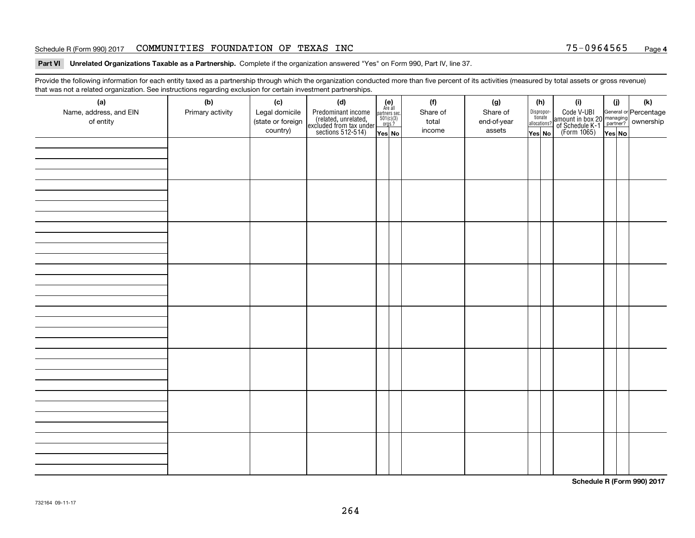#### Schedule R (Form 990) 2017 CO**MMUNITIES FOUNDATION OF TEXAS INC** 75-0964565 <sub>Page</sub>

#### **Part VI Unrelated Organizations Taxable as a Partnership. Complete if the organization answered "Yes" on Form 990, Part IV, line 37.**

Provide the following information for each entity taxed as a partnership through which the organization conducted more than five percent of its activities (measured by total assets or gross revenue) that was not a related organization. See instructions regarding exclusion for certain investment partnerships.

| (a)<br>Name, address, and EIN<br>of entity | $\tilde{}$<br>(b)<br>Primary activity | (c)<br>Legal domicile<br>(state or foreign<br>country) | (d)<br>Predominant income<br>(related, unrelated,<br>excluded from tax under<br>sections 512-514) | $(e)$<br>Are all<br>$\begin{array}{c}\n\text{partners} \sec.\n\\ \n501(c)(3)\n\\ \n0rgs.?\n\end{array}$<br>Yes No | (f)<br>Share of<br>total<br>income | (g)<br>Share of<br>end-of-year<br>assets | (h)<br>Dispropor-<br>tionate<br>allocations?<br>Yes No | (i)<br>Code V-UBI<br>amount in box 20 managing<br>of Schedule K-1<br>(Form 1065)<br>$\overline{Yes}$ No | (i)<br>Yes No | (k) |
|--------------------------------------------|---------------------------------------|--------------------------------------------------------|---------------------------------------------------------------------------------------------------|-------------------------------------------------------------------------------------------------------------------|------------------------------------|------------------------------------------|--------------------------------------------------------|---------------------------------------------------------------------------------------------------------|---------------|-----|
|                                            |                                       |                                                        |                                                                                                   |                                                                                                                   |                                    |                                          |                                                        |                                                                                                         |               |     |
|                                            |                                       |                                                        |                                                                                                   |                                                                                                                   |                                    |                                          |                                                        |                                                                                                         |               |     |
|                                            |                                       |                                                        |                                                                                                   |                                                                                                                   |                                    |                                          |                                                        |                                                                                                         |               |     |
|                                            |                                       |                                                        |                                                                                                   |                                                                                                                   |                                    |                                          |                                                        |                                                                                                         |               |     |
|                                            |                                       |                                                        |                                                                                                   |                                                                                                                   |                                    |                                          |                                                        |                                                                                                         |               |     |
|                                            |                                       |                                                        |                                                                                                   |                                                                                                                   |                                    |                                          |                                                        |                                                                                                         |               |     |
|                                            |                                       |                                                        |                                                                                                   |                                                                                                                   |                                    |                                          |                                                        |                                                                                                         |               |     |
|                                            |                                       |                                                        |                                                                                                   |                                                                                                                   |                                    |                                          |                                                        |                                                                                                         |               |     |

**Schedule R (Form 990) 2017**